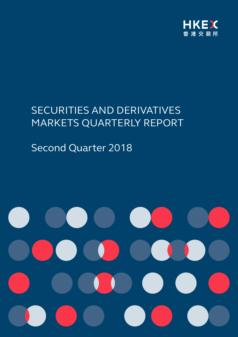

# SECURITIES AND DERIVATIVES MARKETS QUARTERLY REPORT

# Second Quarter 2018

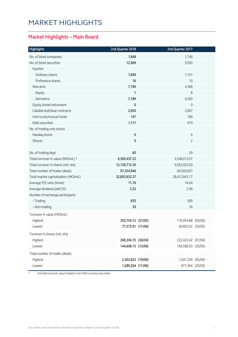### Market Highlights

#### **Market Highlights – Main Board**

| <b>Highlights</b>                      | 2nd Quarter 2018   | 2nd Quarter 2017   |  |
|----------------------------------------|--------------------|--------------------|--|
| No. of listed companies                | 1,848              | 1,746              |  |
| No. of listed securities               | 12,969             | 9,930              |  |
| Equities                               |                    |                    |  |
| Ordinary shares                        | 1,849              | 1,747              |  |
| Preference shares                      | 16                 | 10                 |  |
| Warrants                               | 7,190              | 4,368              |  |
| Equity                                 | 1                  | 8                  |  |
| Derivative                             | 7,189              | 4,360              |  |
| Equity linked instrument               | 0                  | $\mathbf 0$        |  |
| Callable bull/bear contracts           | 2,650              | 2,667              |  |
| Unit trusts/mutual funds               | 147                | 168                |  |
| Debt securities                        | 1,117              | 970                |  |
| No. of trading only stocks             |                    |                    |  |
| Nasdaq stocks                          | $\bf 6$            | 6                  |  |
| iShares                                | 0                  | $\overline{2}$     |  |
|                                        |                    |                    |  |
| No. of trading days                    | 60                 | 59                 |  |
| Total turnover in value (HK\$mil.) *   | 6,369,437.22       | 4,548,613.07       |  |
| Total turnover in shares (mil. shs)    | 12,136,712.34      | 9,052,922.60       |  |
| Total number of trades (deals)         | 97,354,946         | 66,569,027         |  |
| Total market capitalisation (HK\$mil.) | 32,855,932.37      | 28,412,843.17      |  |
| Average P/E ratio (times)              | 11.76              | 14.04              |  |
| Average dividend yield (%)             | 3.32               | 2.96               |  |
| Number of exchange participants        |                    |                    |  |
| - Trading                              | 635                | 589                |  |
| - Non-trading                          | 30                 | 34                 |  |
| Turnover in value (HK\$mil.)           |                    |                    |  |
| Highest                                | 203,754.12 (31/05) | 116,954.88 (09/06) |  |
| Lowest                                 | 77,375.91 (11/06)  | 60,803.62 (29/05)  |  |
| Turnover in shares (mil. shs)          |                    |                    |  |
| Highest                                | 269,204.75 (26/04) | 222,423.42 (07/04) |  |
| Lowest                                 | 144,608.15 (13/06) | 104,586.93 (29/05) |  |
| Total number of trades (deals)         |                    |                    |  |
| Highest                                | 2,302,822 (19/06)  | 1,647,294 (05/04)  |  |
| Lowest                                 | 1,289,204 (11/06)  | 877,364 (29/05)    |  |
|                                        |                    |                    |  |

\* Included turnover value traded in non-HKD currency securities.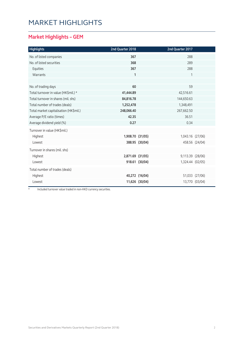### Market Highlights

#### **Market Highlights – GEM**

| <b>Highlights</b>                      | 2nd Quarter 2018 |                | 2nd Quarter 2017 |                |
|----------------------------------------|------------------|----------------|------------------|----------------|
| No. of listed companies                | 367              |                | 288              |                |
| No. of listed securities               | 368              |                | 289              |                |
| Equities                               | 367              |                | 288              |                |
| Warrants                               | $\mathbf{1}$     |                | 1                |                |
|                                        |                  |                |                  |                |
| No. of trading days                    | 60               |                | 59               |                |
| Total turnover in value (HK\$mil.) *   | 41,444.89        |                | 42,516.61        |                |
| Total turnover in shares (mil. shs)    | 84,816.78        |                | 144,650.63       |                |
| Total number of trades (deals)         | 1,252,478        |                | 1,348,491        |                |
| Total market capitalisation (HK\$mil.) | 248,066.40       |                | 267,662.50       |                |
| Average P/E ratio (times)              | 42.35            |                | 36.51            |                |
| Average dividend yield (%)             | 0.27             |                | 0.34             |                |
| Turnover in value (HK\$mil.)           |                  |                |                  |                |
| Highest                                | 1,908.70 (31/05) |                | 1,043.16 (27/06) |                |
| Lowest                                 |                  | 388.95 (30/04) |                  | 458.56 (24/04) |
| Turnover in shares (mil. shs)          |                  |                |                  |                |
| Highest                                | 2,871.69 (31/05) |                | 9,113.39 (28/06) |                |
| Lowest                                 |                  | 918.61 (30/04) | 1,324.44 (02/05) |                |
| Total number of trades (deals)         |                  |                |                  |                |
| Highest                                |                  | 40,272 (16/04) |                  | 51,033 (27/06) |
| Lowest                                 |                  | 11,626 (30/04) |                  | 13,770 (03/04) |

\* Included turnover value traded in non-HKD currency securities.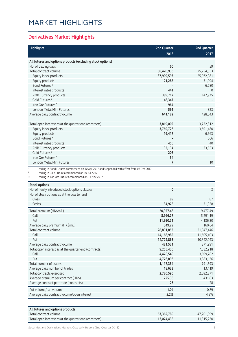## Market Highlights

#### **Derivatives Market Highlights**

| <b>Highlights</b>                                                                                         | 2nd Quarter | <b>2nd Quarter</b> |
|-----------------------------------------------------------------------------------------------------------|-------------|--------------------|
|                                                                                                           | 2018        | 2017               |
|                                                                                                           |             |                    |
| All futures and options products (excluding stock options)                                                |             |                    |
| No. of trading days                                                                                       | 60          | 59                 |
| Total contract volume                                                                                     | 38,470,936  | 25,254,553         |
| Equity index products                                                                                     | 37,909,593  | 25,072,981         |
| Equity products                                                                                           | 121,288     | 31,094             |
| Bond Futures *                                                                                            |             | 6,680              |
| Interest rates products                                                                                   | 441         | $\overline{0}$     |
| RMB Currency products                                                                                     | 389,712     | 142,975            |
| Gold Futures <sup>#</sup>                                                                                 | 48,347      |                    |
| Iron Ore Futures <sup>^</sup>                                                                             | 964         |                    |
| <b>London Metal Mini Futures</b>                                                                          | 591         | 823                |
| Average daily contract volume                                                                             | 641,182     | 428,043            |
|                                                                                                           |             |                    |
| Total open interest as at the quarter end (contracts)                                                     | 3,819,002   | 3,732,312          |
| Equity index products                                                                                     | 3,769,726   | 3,691,480          |
| Equity products                                                                                           | 16,417      | 6,563              |
| Bond Futures *                                                                                            |             | 666                |
| Interest rates products                                                                                   | 456         | 40                 |
| RMB Currency products                                                                                     | 32,134      | 33,553             |
| Gold Futures <sup>#</sup>                                                                                 | 208         |                    |
| Iron Ore Futures <sup>^</sup>                                                                             | 54          |                    |
| London Metal Mini Futures                                                                                 | 7           | 10                 |
| $^{\star}$<br>Trading in Bond Futures commenced on 10 Apr 2017 and suspended with effect from 08 Dec 2017 |             |                    |
| Trading in Gold Futures commenced on 10 Jul 2017                                                          |             |                    |
| Trading in Iron Ore Futures commenced on 13 Nov 2017<br>٨                                                 |             |                    |
| <b>Stock options</b>                                                                                      |             |                    |
| No. of newly introduced stock options classes                                                             | 0           | 3                  |
| No. of stock options as at the quarter end                                                                |             |                    |
| Class                                                                                                     | 89          | 87                 |
| <b>Series</b>                                                                                             | 34,978      | 31,958             |
| Total premium (HK\$mil.)                                                                                  | 20,957.48   | 9,477.49           |
| Call                                                                                                      | 8,966.77    | 5,291.19           |
| Put                                                                                                       | 11,990.71   | 4,186.30           |
| Average daily premium (HK\$mil.)                                                                          | 349.29      | 160.64             |
| Total contract volume                                                                                     | 28,891,853  | 21,947,446         |
| Call                                                                                                      | 14,168,985  | 11,605,403         |
| Put                                                                                                       | 14,722,868  | 10,342,043         |
| Average daily contract volume                                                                             | 481,531     | 371,991            |
| Total open interest as at the quarter end (contracts)                                                     | 9,255,436   | 7,582,918          |
| Call                                                                                                      | 4,478,540   | 3,699,782          |
| Put                                                                                                       | 4,776,896   | 3,883,136          |
| Total number of trades                                                                                    | 1,117,354   | 791,693            |

| Total contracts exercised                   | 2,780,590 | 2,092,871 |
|---------------------------------------------|-----------|-----------|
| Average premium per contract (HK\$)         | 725.38    | 431.83    |
| Average contract per trade (contracts)      | 26        |           |
| Put volume/call volume                      | 1.04      | 0.89      |
| Average daily contract volume/open interest | 5.2%      | 4.9%      |

Average daily number of trades **18,623** 13,419

| All futures and options products                      |            |            |
|-------------------------------------------------------|------------|------------|
| Total contract volume                                 | 67,362,789 | 47.201.999 |
| Total open interest as at the quarter end (contracts) | 13,074,438 | 11.315.230 |

Securities and Derivatives Markets Quarterly Report (2nd Quarter 2018) 33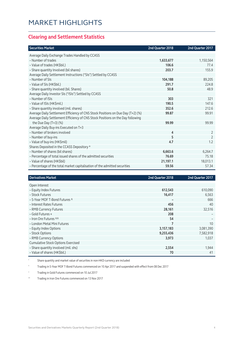#### **Clearing and Settlement Statistics**

| <b>Securities Market</b>                                                        | 2nd Quarter 2018 | 2nd Quarter 2017 |
|---------------------------------------------------------------------------------|------------------|------------------|
| Average Daily Exchange Trades Handled by CCASS                                  |                  |                  |
| - Number of trades                                                              | 1,633,677        | 1,150,564        |
| - Value of trades (HK\$bil.)                                                    | 106.6            | 77.4             |
| - Share quantity Involved (bil shares)                                          | 203.7            | 155.9            |
| Average Daily Settlement Instructions ("SIs") Settled by CCASS                  |                  |                  |
| - Number of SIs                                                                 | 104,188          | 89,205           |
| - Value of SIs (HK\$bil.)                                                       | 291.7            | 224.8            |
| - Share quantity involved (bil. Shares)                                         | 50.8             | 48.9             |
| Average Daily Investor SIs ("ISIs") Settled by CCASS                            |                  |                  |
| - Number of ISIs                                                                | 303              | 321              |
| - Value of ISIs (HK\$mil.)                                                      | 190.5            | 147.6            |
| - Share quantity involved (mil. shares)                                         | 352.6            | 212.6            |
| Average Daily Settlement Efficiency of CNS Stock Positions on Due Day (T+2) (%) | 99.87            | 99.91            |
| Average Daily Settlement Efficiency of CNS Stock Positions on the Day following |                  |                  |
| the Due Day $(T+3)$ (%)                                                         | 99.99            | 99.99            |
| Average Daily Buy-ins Executed on T+3                                           |                  |                  |
| - Number of brokers involved                                                    | 4                | $\overline{2}$   |
| - Number of buy-ins                                                             | 5                | $\overline{2}$   |
| - Value of buy-ins (HK\$mil)                                                    | 4.7              | 1.2              |
| Shares Deposited in the CCASS Depository *                                      |                  |                  |
| - Number of shares (bil shares)                                                 | 6,663.6          | 6,264.7          |
| - Percentage of total issued shares of the admitted securities                  | 76.69            | 75.18            |
| - Value of shares (HK\$bil)                                                     | 21,197.1         | 18,013.1         |
| - Percentage of the total market capitalisation of the admitted securities      | 59.56            | 57.34            |

| <b>Derivatives Market</b>                 | 2nd Quarter 2018 | 2nd Quarter 2017 |
|-------------------------------------------|------------------|------------------|
| Open Interest                             |                  |                  |
| - Equity Index Futures                    | 612,543          | 610,090          |
| - Stock Futures                           | 16,417           | 6,563            |
| - 5-Year MOF T-Bond Futures ^             | -                | 666              |
| - Interest Rates Futures                  | 456              | 40               |
| - RMB Currency Futures                    | 28,161           | 32,516           |
| - Gold Futures +                          | 208              |                  |
| - Iron Ore Futures ^^                     | 54               |                  |
| - London Metal Mini Futures               | 7                | 10               |
| - Equity Index Options                    | 3,157,183        | 3,081,390        |
| - Stock Options                           | 9,255,436        | 7,582,918        |
| - RMB Currency Options                    | 3,973            | 1,037            |
| <b>Cumulative Stock Options Exercised</b> |                  |                  |
| - Share quantity involved (mil. shs)      | 2,554            | 1,944            |
| - Value of shares (HK\$bil.)              | 70               | 41               |

Share quantity and market value of securities in non-HKD currency are included

^ Trading in 5-Year MOF T-Bond Futures commenced on 10 Apr 2017 and suspended with effect from 08 Dec 2017

+ Trading in Gold Futures commenced on 10 Jul 2017

^^ Trading in Iron Ore Futures commenced on 13 Nov 2017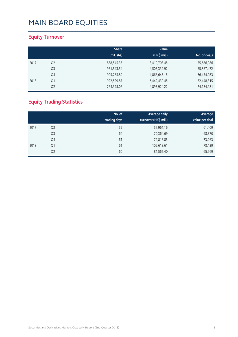#### **Equity Turnover**

|      |                | <b>Share</b> | Value        |              |
|------|----------------|--------------|--------------|--------------|
|      |                | (mil. shs)   | (HK\$ mil.)  | No. of deals |
| 2017 | Q <sub>2</sub> | 888,545.35   | 3,419,708.45 | 55,686,986   |
|      | Q3             | 961,543.54   | 4,503,339.92 | 65,867,472   |
|      | Q4             | 905,785.89   | 4,868,645.15 | 66,454,083   |
| 2018 | Q1             | 922,529.87   | 6,442,430.45 | 82,448,315   |
|      | Q <sub>2</sub> | 764,395.06   | 4,893,924.22 | 74,184,981   |

#### **Equity Trading Statistics**

|      |                | No. of<br>trading days | Average daily<br>turnover (HK\$ mil.) | Average<br>value per deal |
|------|----------------|------------------------|---------------------------------------|---------------------------|
| 2017 | Q <sub>2</sub> | 59                     | 57,961.16                             | 61,409                    |
|      | Q3             | 64                     | 70,364.69                             | 68,370                    |
|      | Q4             | 61                     | 79,813.85                             | 73,263                    |
| 2018 | Q1             | 61                     | 105,613.61                            | 78,139                    |
|      | Q <sub>2</sub> | 60                     | 81,565.40                             | 65,969                    |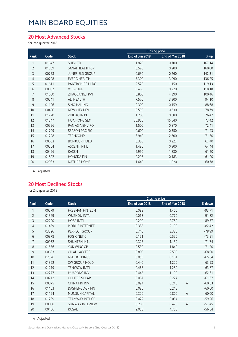#### **20 Most Advanced Stocks**

for 2nd quarter 2018

|                |       |                        | <b>Closing price</b> |                 |        |
|----------------|-------|------------------------|----------------------|-----------------|--------|
| Rank           | Code  | <b>Stock</b>           | End of Jun 2018      | End of Mar 2018 | % up   |
| 1              | 01647 | <b>SHIS LTD</b>        | 1.870                | 0.700           | 167.14 |
| $\overline{2}$ | 01889 | SANAI HEALTH GP        | 0.520                | 0.200           | 160.00 |
| 3              | 00758 | <b>JUNEFIELD GROUP</b> | 0.630                | 0.260           | 142.31 |
| $\overline{4}$ | 00708 | <b>EVERG HEALTH</b>    | 7.300                | 3.090           | 136.25 |
| 5              | 01611 | PANTRONICS HLDG        | 2.520                | 1.150           | 119.13 |
| 6              | 00082 | V1 GROUP               | 0.480                | 0.220           | 118.18 |
| 7              | 01660 | <b>ZHAOBANGJI PPT</b>  | 8.800                | 4.390           | 100.46 |
| 8              | 00241 | ALI HEALTH             | 7.570                | 3.900           | 94.10  |
| 9              | 01106 | <b>SINO HAIJING</b>    | 0.300                | 0.159           | 88.68  |
| 10             | 00456 | NEW CITY DEV           | 0.590                | 0.330           | 78.79  |
| 11             | 01220 | ZHIDAO INT'L           | 1.200                | 0.680           | 76.47  |
| 12             | 01347 | <b>HUA HONG SEMI</b>   | 26.950               | 15.540          | 73.42  |
| 13             | 00556 | PAN ASIA ENVIRO        | 1.500                | 0.870           | 72.41  |
| 14             | 01709 | <b>SEASON PACIFIC</b>  | 0.600                | 0.350           | 71.43  |
| 15             | 01298 | <b>TECHCOMP</b>        | 3.940                | 2.300           | 71.30  |
| 16             | 00653 | <b>BONJOUR HOLD</b>    | 0.380                | 0.227           | 67.40  |
| 17             | 00264 | <b>ASCENT INT'L</b>    | 1.480                | 0.900           | 64.44  |
| 18             | 00496 | <b>KASEN</b>           | 2.950                | 1.830           | 61.20  |
| 19             | 01822 | <b>HONGDA FIN</b>      | 0.295                | 0.183           | 61.20  |
| 20             | 02083 | <b>NATURE HOME</b>     | 1.640                | 1.020           | 60.78  |

A Adjusted

#### **20 Most Declined Stocks**

for 2nd quarter 2018

|                |       |                        |                 | <b>Closing price</b>    |          |
|----------------|-------|------------------------|-----------------|-------------------------|----------|
| Rank           | Code  | <b>Stock</b>           | End of Jun 2018 | End of Mar 2018         | % down   |
| 1              | 00279 | <b>FREEMAN FINTECH</b> | 0.088           | 1.400                   | $-93.71$ |
| $\overline{2}$ | 01369 | <b>WUZHOU INT'L</b>    | 0.063           | 0.770                   | $-91.82$ |
| 3              | 02200 | <b>HOSA INT'L</b>      | 0.290           | 2.780                   | $-89.57$ |
| 4              | 01439 | MOBILE INTERNET        | 0.385           | 2.190                   | $-82.42$ |
| 5              | 03326 | PERFECT GROUP          | 0.710           | 3.380                   | $-78.99$ |
| 6              | 00378 | <b>FDG KINETIC</b>     | 0.151           | 0.570                   | $-73.51$ |
| 7              | 00932 | <b>SHUNTEN INTL</b>    | 0.325           | 1.150                   | $-71.74$ |
| 8              | 01536 | YUK WING GP            | 0.530           | 1.840                   | $-71.20$ |
| 9              | 00633 | CH ALL ACCESS          | 0.800           | 2.500                   | $-68.00$ |
| 10             | 02326 | <b>NPE HOLDINGS</b>    | 0.055           | 0.161                   | $-65.84$ |
| 11             | 01322 | <b>CW GROUP HOLD</b>   | 0.440           | 1.220                   | $-63.93$ |
| 12             | 01219 | <b>TENWOW INT'L</b>    | 0.465           | 1.280                   | $-63.67$ |
| 13             | 02277 | <b>HUARONG INV</b>     | 0.445           | 1.190                   | $-62.61$ |
| 14             | 00712 | <b>COMTEC SOLAR</b>    | 0.087           | 0.227                   | $-61.67$ |
| 15             | 00875 | <b>CHINA FIN INV</b>   | 0.094           | 0.240<br>$\overline{A}$ | $-60.83$ |
| 16             | 01103 | DASHENG AGR FIN        | 0.086           | 0.215                   | $-60.00$ |
| 17             | 01194 | <b>MUNSUN CAPITAL</b>  | 0.320           | 0.800<br>A              | $-60.00$ |
| 18             | 01239 | <b>TEAMWAY INTL GP</b> | 0.022           | 0.054                   | $-59.26$ |
| 19             | 00058 | <b>SUNWAY INTL-NEW</b> | 0.200           | 0.470<br>$\overline{A}$ | $-57.45$ |
| 20             | 00486 | <b>RUSAL</b>           | 2.050           | 4.750                   | $-56.84$ |

A Adjusted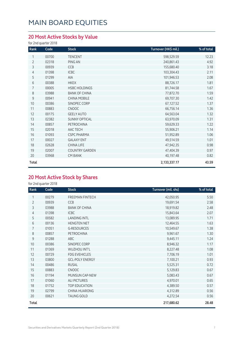#### **20 Most Active Stocks by Value**

#### for 2nd quarter 2018

| Rank           | Code  | <b>Stock</b>          | Turnover (HK\$ mil.) | % of total |
|----------------|-------|-----------------------|----------------------|------------|
| 1              | 00700 | <b>TENCENT</b>        | 598,529.59           | 12.23      |
| $\overline{2}$ | 02318 | PING AN               | 240,861.43           | 4.92       |
| 3              | 00939 | CCB                   | 155,680.40           | 3.18       |
| 4              | 01398 | <b>ICBC</b>           | 103,304.43           | 2.11       |
| 5              | 01299 | <b>AIA</b>            | 101,946.53           | 2.08       |
| 6              | 00388 | <b>HKEX</b>           | 88,726.17            | 1.81       |
| 7              | 00005 | <b>HSBC HOLDINGS</b>  | 81,744.58            | 1.67       |
| 8              | 03988 | <b>BANK OF CHINA</b>  | 77,872.70            | 1.59       |
| 9              | 00941 | <b>CHINA MOBILE</b>   | 69,707.30            | 1.42       |
| 10             | 00386 | SINOPEC CORP          | 67,127.52            | 1.37       |
| 11             | 00883 | <b>CNOOC</b>          | 66,756.14            | 1.36       |
| 12             | 00175 | <b>GEELY AUTO</b>     | 64,563.04            | 1.32       |
| 13             | 02382 | <b>SUNNY OPTICAL</b>  | 63,970.09            | 1.31       |
| 14             | 00857 | <b>PETROCHINA</b>     | 59,629.33            | 1.22       |
| 15             | 02018 | AAC TECH              | 55,906.21            | 1.14       |
| 16             | 01093 | <b>CSPC PHARMA</b>    | 51,952.89            | 1.06       |
| 17             | 00027 | <b>GALAXY ENT</b>     | 49,514.59            | 1.01       |
| 18             | 02628 | CHINA LIFE            | 47,942.35            | 0.98       |
| 19             | 02007 | <b>COUNTRY GARDEN</b> | 47,404.39            | 0.97       |
| 20             | 03968 | <b>CM BANK</b>        | 40,197.48            | 0.82       |
| <b>Total</b>   |       |                       | 2,133,337.17         | 43.59      |

#### **20 Most Active Stock by Shares**

| Rank           | Code  | <b>Stock</b>           | Turnover (mil. shs) | % of total |
|----------------|-------|------------------------|---------------------|------------|
|                | 00279 | <b>FREEMAN FINTECH</b> | 42,050.95           | 5.50       |
| $\overline{2}$ | 00939 | CCB                    | 19,691.54           | 2.58       |
| 3              | 03988 | <b>BANK OF CHINA</b>   | 18,919.82           | 2.48       |
| 4              | 01398 | <b>ICBC</b>            | 15,843.64           | 2.07       |
| 5              | 00582 | <b>LANDING INTL</b>    | 13,089.95           | 1.71       |
| 6              | 00136 | <b>HENGTEN NET</b>     | 12,464.55           | 1.63       |
| 7              | 01051 | <b>G-RESOURCES</b>     | 10,549.67           | 1.38       |
| 8              | 00857 | PETROCHINA             | 9,961.67            | 1.30       |
| 9              | 01288 | <b>ABC</b>             | 9,445.11            | 1.24       |
| 10             | 00386 | SINOPEC CORP           | 8,946.32            | 1.17       |
| 11             | 01369 | WUZHOU INT'L           | 8,227.48            | 1.08       |
| 12             | 00729 | <b>FDG EVEHICLES</b>   | 7,706.19            | 1.01       |
| 13             | 03800 | <b>GCL-POLY ENERGY</b> | 7,100.21            | 0.93       |
| 14             | 00486 | <b>RUSAL</b>           | 5,525.31            | 0.72       |
| 15             | 00883 | <b>CNOOC</b>           | 5,129.83            | 0.67       |
| 16             | 01194 | MUNSUN CAP-NEW         | 5,083.43            | 0.67       |
| 17             | 01060 | <b>ALI PICTURES</b>    | 4,970.01            | 0.65       |
| 18             | 01752 | <b>TOP EDUCATION</b>   | 4,389.50            | 0.57       |
| 19             | 02799 | <b>CHINA HUARONG</b>   | 4,312.89            | 0.56       |
| 20             | 00621 | <b>TAUNG GOLD</b>      | 4,272.54            | 0.56       |
| <b>Total</b>   |       |                        | 217,680.62          | 28.48      |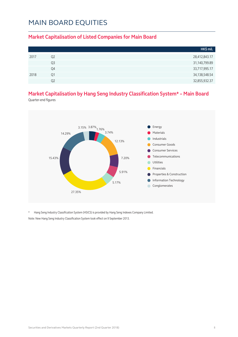#### **Market Capitalisation of Listed Companies for Main Board**

|      |                | HK\$ mil.     |
|------|----------------|---------------|
| 2017 | Q <sub>2</sub> | 28,412,843.17 |
|      | Q <sub>3</sub> | 31,140,799.89 |
|      | Q4             | 33,717,995.17 |
| 2018 | O1             | 34,138,548.54 |
|      | O2             | 32,855,932.37 |

#### **Market Capitalisation by Hang Seng Industry Classification System\* – Main Board**

Quarter-end figures



\* Hang Seng Industry Classification System (HSICS) is provided by Hang Seng Indexes Company Limited. Note: New Hang Seng Industry Classification System took effect on 9 September 2013.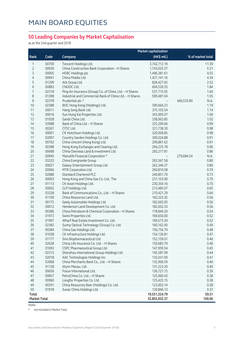#### **50 Leading Companies by Market Capitalisation**

as at the 2nd quarter end 2018

|                     |       |                                                         | <b>Market capitalisation</b> |                    |
|---------------------|-------|---------------------------------------------------------|------------------------------|--------------------|
| Rank                | Code  | Company                                                 | (HK\$ mil.)                  | % of market total  |
| 1                   | 00700 | Tencent Holdings Ltd.                                   | 3,742,712.19                 | 11.39              |
| $\overline{2}$      | 00939 | China Construction Bank Corporation - H Shares          | 1,743,025.57                 | 5.31               |
| 3                   | 00005 | <b>HSBC Holdings plc</b>                                | 1,496,381.61                 | 4.55               |
| 4                   | 00941 | China Mobile Ltd.                                       | 1,427,141.16                 | 4.34               |
| 5                   | 01299 | AIA Group Ltd.                                          | 828,427.92                   | 2.52               |
| 6                   | 00883 | CNOOC Ltd.                                              | 604,526.55                   | 1.84               |
| 7                   | 02318 | Ping An Insurance (Group) Co. of China, Ltd. - H Shares | 537,715.05                   | 1.64               |
| 8                   | 01398 | Industrial and Commercial Bank of China Ltd. - H Shares | 509,481.04                   | 1.55               |
| $\mathsf 9$         | 02378 | Prudential plc *                                        |                              | 466,535.89<br>N.A. |
| 10                  | 02388 | BOC Hong Kong (Holdings) Ltd.                           | 390,664.23                   | 1.19               |
| 11                  | 00011 | Hang Seng Bank Ltd.                                     | 375,103.54                   | 1.14               |
| 12                  | 00016 | Sun Hung Kai Properties Ltd.                            | 343,005.07                   | 1.04               |
| 13                  | 01928 | Sands China Ltd.                                        | 338,963.85                   | 1.03               |
| 14                  | 03988 | Bank of China Ltd. - H Shares                           | 325,290.66                   | 0.99               |
| 15                  | 00267 | CITIC Ltd.                                              | 321,738.30                   | 0.98               |
| 16                  | 00001 | CK Hutchison Holdings Ltd.                              | 320,958.85                   | 0.98               |
| 17                  | 02007 | Country Garden Holdings Co. Ltd.                        | 300,024.88                   | 0.91               |
| 18                  | 00762 | China Unicom (Hong Kong) Ltd.                           | 299,861.62                   | 0.91               |
| 19                  | 00388 | Hong Kong Exchanges and Clearing Ltd.                   | 294,235.18                   | 0.90               |
| 20                  | 00688 | China Overseas Land & Investment Ltd.                   | 283,217.81                   | 0.86               |
| 21                  | 00945 | Manulife Financial Corporation *                        |                              | 279,684.54<br>N.A. |
| 22                  | 03333 | China Evergrande Group                                  | 263,567.58                   | 0.80               |
| 23                  | 00027 | Galaxy Entertainment Group Ltd.                         | 262,346.37                   | 0.80               |
| 24                  | 00066 | MTR Corporation Ltd.                                    | 260,810.58                   | 0.79               |
| 25                  | 02888 | <b>Standard Chartered PLC</b>                           | 240,851.70                   | 0.73               |
| 26                  | 00003 | Hong Kong and China Gas Co. Ltd., The                   | 231,103.90                   | 0.70               |
| 27                  | 01113 | CK Asset Holdings Ltd.                                  | 230,354.16                   | 0.70               |
| 28                  | 00002 | CLP Holdings Ltd.                                       | 213,485.07                   | 0.65               |
| 29                  | 03328 | Bank of Communications Co., Ltd. - H Shares             | 210,421.29                   | 0.64               |
| 30                  | 01109 | China Resources Land Ltd.                               | 183,323.35                   | 0.56               |
| 31                  | 00175 | Geely Automobile Holdings Ltd.                          | 182,693.05                   | 0.56               |
| 32                  | 00012 | Henderson Land Development Co. Ltd.                     | 182,652.33                   | 0.56               |
| 33                  | 00386 | China Petroleum & Chemical Corporation - H Shares       | 178,849.20                   | 0.54               |
| 34                  | 01972 | Swire Properties Ltd.                                   | 169,650.00                   | 0.52               |
| 35                  | 01997 | Wharf Real Estate Investment Co. Ltd.                   | 169,573.30                   | 0.52               |
| 36                  | 02382 | Sunny Optical Technology (Group) Co. Ltd.               | 160,162.00                   | 0.49               |
| 37                  | 00384 | China Gas Holdings Ltd.                                 | 156,756.79                   | 0.48               |
| 38                  | 01038 | CK Infrastructure Holdings Ltd.                         | 154,136.81                   | 0.47               |
| 39                  | 01177 | Sino Biopharmaceutical Ltd.                             | 152,159.01                   | 0.46               |
| 40                  | 02628 | China Life Insurance Co. Ltd. - H Shares                | 150,683.79                   | 0.46               |
| 41                  | 01093 | CSPC Pharmaceutical Group Ltd.                          | 147,959.54                   | 0.45               |
| 42                  | 02313 | Shenzhou International Group Holdings Ltd.              | 145,587.09                   | 0.44               |
| 43                  | 02018 | AAC Technologies Holdings Inc.                          | 135,031.00                   | 0.41               |
| 44                  | 03968 | China Merchants Bank Co., Ltd. - H Shares               | 132,906.59                   | 0.40               |
| 45                  | 01128 | Wynn Macau, Ltd.                                        | 131,223.20                   | 0.40               |
| 46                  | 00656 | Fosun International Ltd.                                | 126,727.15                   | 0.39               |
| 47                  | 00857 | PetroChina Co. Ltd. - H Shares                          | 125,960.43                   | 0.38               |
| 48                  | 00960 | Longfor Properties Co. Ltd.                             | 125,425.15                   | 0.38               |
| 49<br>50            | 00291 | China Resources Beer (Holdings) Co. Ltd.                | 123,603.14                   | 0.38               |
| Total               | 01918 | Sunac China Holdings Ltd.                               | 120,846.13<br>19,551,324.79  | 0.37<br>59.51      |
| <b>Market Total</b> |       |                                                         | 32,855,932.37                | 100.00             |
|                     |       |                                                         |                              |                    |

Notes:

\* not included in Market Total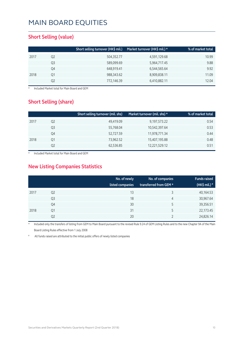#### **Short Selling (value)**

|      |    | Short selling turnover (HK\$ mil.) | Market turnover (HK\$ mil.) * | % of market total |
|------|----|------------------------------------|-------------------------------|-------------------|
| 2017 | Q2 | 504,352.77                         | 4,591,129.68                  | 10.99             |
|      | Q3 | 589,099.69                         | 5,964,717.45                  | 9.88              |
|      | Q4 | 648,919.41                         | 6,544,565.64                  | 9.92              |
| 2018 | Q1 | 988,343.62                         | 8,909,838.11                  | 11.09             |
|      | Q2 | 772,146.39                         | 6,410,882.11                  | 12.04             |

**Included Market total for Main Board and GEM** 

#### **Short Selling (share)**

|                | Short selling turnover (mil. shs) | Market turnover (mil. shs) * | % of market total |
|----------------|-----------------------------------|------------------------------|-------------------|
| Q <sub>2</sub> | 49,419.09                         | 9,197,573.22                 | 0.54              |
| Q3             | 55,768.04                         | 10,542,397.64                | 0.53              |
| Q4             | 52,727.59                         | 11,978,771.34                | 0.44              |
| Q1             | 73,962.52                         | 15,407,195.88                | 0.48              |
| Q2             | 62,536.85                         | 12,221,529.12                | 0.51              |
|                |                                   |                              |                   |

Included Market total for Main Board and GEM

#### **New Listing Companies Statistics**

|      |                | No. of newly<br>listed companies | No. of companies<br>transferred from GEM * | <b>Funds raised</b><br>(HK\$ mil.) $*$ |
|------|----------------|----------------------------------|--------------------------------------------|----------------------------------------|
| 2017 | Q <sub>2</sub> | 13                               | 3                                          | 40,164.53                              |
|      | Q3             | 18                               | 4                                          | 30,967.64                              |
|      | Q4             | 30                               | 5                                          | 39,356.51                              |
| 2018 | Q1             | 31                               | 5                                          | 22,173.45                              |
|      | Q2             | 20                               |                                            | 24,826.14                              |

Included only the transfers of listing from GEM to Main Board pursuant to the revised Rule 9.24 of GEM Listing Rules and to the new Chapter 9A of the Main Board Listing Rules effective from 1 July 2008

All funds raised are attributed to the initial public offers of newly listed companies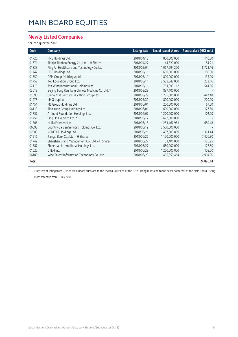#### **Newly Listed Companies**

#### for 2nd quarter 2018

| Code  | Company                                           | <b>Listing date</b> | No. of issued shares | Funds raised (HK\$ mil.) |
|-------|---------------------------------------------------|---------------------|----------------------|--------------------------|
| 01726 | HKE Holdings Ltd.                                 | 2018/04/18          | 800,000,000          | 110.00                   |
| 01671 | Tianjin Tianbao Energy Co., Ltd. - H Shares       | 2018/04/27          | 44,320,000           | 84.21                    |
| 01833 | Ping An Healthcare and Technology Co. Ltd.        | 2018/05/04          | 1,067,294,200        | 8,773.16                 |
| 01742 | HPC Holdings Ltd.                                 | 2018/05/11          | 1,600,000,000        | 180.00                   |
| 01750 | REM Group (Holdings) Ltd.                         | 2018/05/11          | 1,800,000,000        | 135.00                   |
| 01752 | Top Education Group Ltd.                          | 2018/05/11          | 2,588,548,000        | 232.16                   |
| 02119 | Tsit Wing International Holdings Ltd.             | 2018/05/11          | 761,093,112          | 544.66                   |
| 03613 | Beijing Tong Ren Tang Chinese Medicine Co. Ltd. * | 2018/05/29          | 837,100,000          |                          |
| 01598 | China 21st Century Education Group Ltd.           | 2018/05/29          | 1,236,000,000        | 447.48                   |
| 01978 | LH Group Ltd.                                     | 2018/05/30          | 800,000,000          | 220.00                   |
| 01451 | MS Group Holdings Ltd.                            | 2018/06/01          | 200,000,000          | 67.00                    |
| 06119 | Tian Yuan Group Holdings Ltd.                     | 2018/06/01          | 600,000,000          | 127.50                   |
| 01757 | Affluent Foundation Holdings Ltd.                 | 2018/06/07          | 1,200,000,000        | 102.00                   |
| 01751 | Sing On Holdings Ltd. *                           | 2018/06/12          | 672,000,000          |                          |
| 01806 | Huifu Payment Ltd.                                | 2018/06/15          | 1,251,462,961        | 1,689.48                 |
| 06098 | Country Garden Services Holdings Co. Ltd.         | 2018/06/19          | 2,500,000,000        |                          |
| 02003 | VCREDIT Holdings Ltd.                             | 2018/06/21          | 497,303,869          | 1,371.44                 |
| 01916 | Jiangxi Bank Co., Ltd. - H Shares                 | 2018/06/26          | 1,170,000,000        | 7,476.30                 |
| 01749 | Shanshan Brand Management Co., Ltd. - H Shares    | 2018/06/27          | 33,400,000           | 126.25                   |
| 01587 | Shineroad International Holdings Ltd.             | 2018/06/27          | 680,000,000          | 127.50                   |
| 01620 | CTEH Inc.                                         | 2018/06/28          | 1,200,000,000        | 108.00                   |
| 06100 | Wise Talent Information Technology Co., Ltd.      | 2018/06/29          | 495,559,464          | 2,904.00                 |
| Total |                                                   |                     |                      | 24,826.14                |

\* Transfers of listing from GEM to Main Board pursuant to the revised Rule 9.24 of the GEM Listing Rules and to the new Chapter 9A of the Main Board Listing Rules effective from 1 July 2008.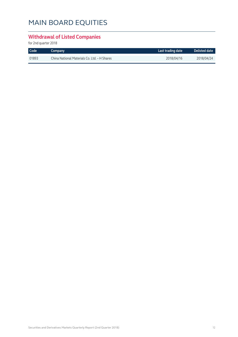#### **Withdrawal of Listed Companies**

| <b>Code</b> | Company                                      | Last trading date | <b>Delisted date</b> |
|-------------|----------------------------------------------|-------------------|----------------------|
| 01893       | China National Materials Co. Ltd. - H Shares | 2018/04/16        | 2018/04/24           |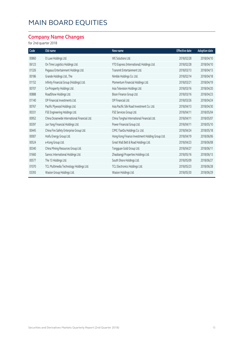#### **Company Name Changes**

| Code  | Old name                                     | New name                                        | <b>Effective date</b> | <b>Adoption date</b> |
|-------|----------------------------------------------|-------------------------------------------------|-----------------------|----------------------|
| 00860 | O Luxe Holdings Ltd.                         | WE Solutions Ltd.                               | 2018/02/28            | 2018/04/10           |
| 06123 | On Time Logistics Holdings Ltd.              | YTO Express (International) Holdings Ltd.       | 2018/02/28            | 2018/04/10           |
| 01326 | Pegasus Entertainment Holdings Ltd.          | Transmit Entertainment Ltd.                     | 2018/03/13            | 2018/04/13           |
| 00186 | Grande Holdings Ltd., The                    | Nimble Holdings Co. Ltd.                        | 2018/02/14            | 2018/04/18           |
| 01152 | Infinity Financial Group (Holdings) Ltd.     | Momentum Financial Holdings Ltd.                | 2018/03/21            | 2018/04/19           |
| 00707 | Co-Prosperity Holdings Ltd.                  | Asia Television Holdings Ltd.                   | 2018/03/16            | 2018/04/20           |
| 00888 | RoadShow Holdings Ltd.                       | Bison Finance Group Ltd.                        | 2018/03/16            | 2018/04/23           |
| 01140 | OP Financial Investments Ltd.                | OP Financial Ltd.                               | 2018/03/26            | 2018/04/24           |
| 00767 | Pacific Plywood Holdings Ltd.                | Asia Pacific Silk Road Investment Co. Ltd.      | 2018/04/13            | 2018/04/30           |
| 00331 | FSE Engineering Holdings Ltd.                | FSE Services Group Ltd.                         | 2018/04/11            | 2018/05/04           |
| 00952 | China Oceanwide International Financial Ltd. | China Tonghai International Financial Ltd.      | 2018/04/11            | 2018/05/07           |
| 00397 | Jun Yang Financial Holdings Ltd.             | Power Financial Group Ltd.                      | 2018/04/11            | 2018/05/10           |
| 00445 | China Fire Safety Enterprise Group Ltd.      | CIMC-TianDa Holdings Co. Ltd.                   | 2018/04/24            | 2018/05/18           |
| 00007 | Hoifu Energy Group Ltd.                      | Hong Kong Finance Investment Holding Group Ltd. | 2018/04/19            | 2018/06/06           |
| 00524 | e-Kong Group Ltd.                            | Great Wall Belt & Road Holdings Ltd.            | 2018/04/23            | 2018/06/08           |
| 00340 | China Mining Resources Group Ltd.            | Tongguan Gold Group Ltd.                        | 2018/04/27            | 2018/06/11           |
| 01660 | Sanroc International Holdings Ltd.           | Zhaobangji Properties Holdings Ltd.             | 2018/05/16            | 2018/06/13           |
| 00577 | The 13 Holdings Ltd.                         | South Shore Holdings Ltd.                       | 2018/05/09            | 2018/06/27           |
| 01070 | TCL Multimedia Technology Holdings Ltd.      | TCL Electronics Holdings Ltd.                   | 2018/05/23            | 2018/06/28           |
| 03393 | Wasion Group Holdings Ltd.                   | Wasion Holdings Ltd.                            | 2018/05/30            | 2018/06/29           |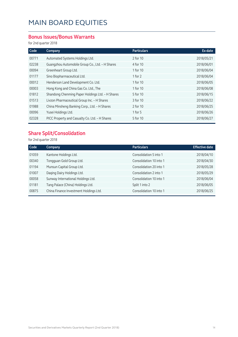#### **Bonus Issues/Bonus Warrants**

for 2nd quarter 2018

| Code  | Company                                          | <b>Particulars</b> | Ex-date    |
|-------|--------------------------------------------------|--------------------|------------|
| 00771 | Automated Systems Holdings Ltd.                  | 2 for 10           | 2018/05/21 |
| 02238 | Guangzhou Automobile Group Co., Ltd. - H Shares  | 4 for 10           | 2018/06/01 |
| 00094 | Greenheart Group Ltd.                            | 1 for 10           | 2018/06/04 |
| 01177 | Sino Biopharmaceutical Ltd.                      | 1 for $2$          | 2018/06/04 |
| 00012 | Henderson Land Development Co. Ltd.              | 1 for 10           | 2018/06/05 |
| 00003 | Hong Kong and China Gas Co. Ltd., The            | 1 for 10           | 2018/06/08 |
| 01812 | Shandong Chenming Paper Holdings Ltd. - H Shares | 5 for 10           | 2018/06/15 |
| 01513 | Livzon Pharmaceutical Group Inc. - H Shares      | 3 for 10           | 2018/06/22 |
| 01988 | China Minsheng Banking Corp., Ltd. - H Shares    | 2 for 10           | 2018/06/25 |
| 00096 | Yusei Holdings Ltd.                              | 1 for $5$          | 2018/06/26 |
| 02328 | PICC Property and Casualty Co. Ltd. - H Shares   | 5 for 10           | 2018/06/27 |

#### **Share Split/Consolidation**

| Code  | <b>Company</b>                         | <b>Particulars</b>      | <b>Effective date</b> |
|-------|----------------------------------------|-------------------------|-----------------------|
| 01059 | Kantone Holdings Ltd.                  | Consolidation 5 into 1  | 2018/04/10            |
| 00340 | Tongguan Gold Group Ltd.               | Consolidation 10 into 1 | 2018/04/30            |
| 01194 | Munsun Capital Group Ltd.              | Consolidation 20 into 1 | 2018/05/28            |
| 01007 | Daqing Dairy Holdings Ltd.             | Consolidation 2 into 1  | 2018/05/29            |
| 00058 | Sunway International Holdings Ltd.     | Consolidation 10 into 1 | 2018/06/04            |
| 01181 | Tang Palace (China) Holdings Ltd.      | Split 1 into 2          | 2018/06/05            |
| 00875 | China Finance Investment Holdings Ltd. | Consolidation 10 into 1 | 2018/06/25            |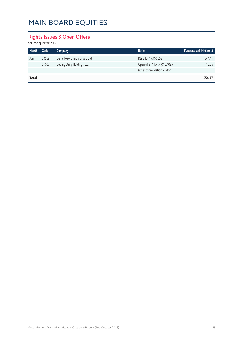#### **Rights Issues & Open Offers**

| Month | Code  | Company                     | Ratio                          | Funds raised (HK\$ mil.) |
|-------|-------|-----------------------------|--------------------------------|--------------------------|
| Jun   | 00559 | DeTai New Energy Group Ltd. | Rts 2 for 1 @\$0.052           | 544.11                   |
|       | 01007 | Daqing Dairy Holdings Ltd.  | Open offer 1 for 5 @\$0.1025   | 10.36                    |
|       |       |                             | (after consolidation 2 into 1) |                          |
| Total |       |                             |                                | 554.47                   |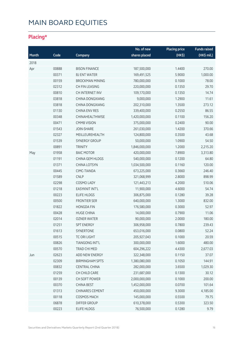#### **Placing\***

|       |       |                        | No. of new    | <b>Placing price</b> | <b>Funds raised</b> |
|-------|-------|------------------------|---------------|----------------------|---------------------|
| Month | Code  | Company                | shares placed | (HK\$)               | (HK\$ mil.)         |
| 2018  |       |                        |               |                      |                     |
| Apr   | 00888 | <b>BISON FINANCE</b>   | 187,500,000   | 1.4400               | 270.00              |
|       | 00371 | <b>BJ ENT WATER</b>    | 169,491,525   | 5.9000               | 1,000.00            |
|       | 00159 | <b>BROCKMAN MINING</b> | 780,000,000   | 0.1000               | 78.00               |
|       | 02312 | CH FIN LEASING         | 220,000,000   | 0.1350               | 29.70               |
|       | 00810 | CH INTERNET INV        | 109,170,000   | 0.1350               | 14.74               |
|       | 03818 | CHINA DONGXIANG        | 9,000,000     | 1.2900               | 11.61               |
|       | 03818 | CHINA DONGXIANG        | 202,310,000   | 1.3500               | 273.12              |
|       | 01130 | <b>CHINA ENV RES</b>   | 339,400,000   | 0.2550               | 86.55               |
|       | 00348 | CHINAHEALTHWISE        | 1,420,000,000 | 0.1100               | 156.20              |
|       | 00471 | <b>CMMB VISION</b>     | 375,000,000   | 0.2400               | 90.00               |
|       | 01543 | <b>JOIN-SHARE</b>      | 261,030,000   | 1.4200               | 370.66              |
|       | 02327 | MEILLEUREHEALTH        | 124,800,000   | 0.3500               | 43.68               |
|       | 01539 | <b>SYNERGY GROUP</b>   | 50,000,000    | 1.0900               | 54.50               |
|       | 00891 | <b>TRINITY</b>         | 1,846,000,000 | 1.2000               | 2,215.20            |
| May   | 01958 | <b>BAIC MOTOR</b>      | 420,000,000   | 7.8900               | 3,313.80            |
|       | 01191 | CHINA GEM HLDGS        | 540,000,000   | 0.1200               | 64.80               |
|       | 01371 | <b>CHINA LOTSYN</b>    | 1,034,500,000 | 0.1160               | 120.00              |
|       | 00445 | CIMC-TIANDA            | 673,225,000   | 0.3660               | 246.40              |
|       | 01589 | <b>CNLP</b>            | 321,068,999   | 2.8000               | 898.99              |
|       | 02298 | COSMO LADY             | 121,443,213   | 4.2000               | 510.06              |
|       | 01218 | <b>EASYKNIT INT'L</b>  | 11,900,000    | 4.6000               | 54.74               |
|       | 00223 | <b>ELIFE HLDGS</b>     | 306,875,000   | 0.1280               | 39.28               |
|       | 00500 | <b>FRONTIER SER</b>    | 640,000,000   | 1.3000               | 832.00              |
|       | 01822 | <b>HONGDA FIN</b>      | 176,580,000   | 0.3000               | 52.97               |
|       | 00428 | <b>HUGE CHINA</b>      | 14,000,000    | 0.7900               | 11.06               |
|       | 02014 | <b>OZNER WATER</b>     | 90,000,000    | 2.0000               | 180.00              |
|       | 01251 | <b>SPT ENERGY</b>      | 306,958,000   | 0.7800               | 239.43              |
|       | 01613 | SYNERTONE              | 653,016,000   | 0.0800               | 52.24               |
|       | 00515 | TC ORI LIGHT           | 205,927,043   | 0.1000               | 20.59               |
|       | 00826 | TIANGONG INT'L         | 300,000,000   | 1.6000               | 480.00              |
|       | 00570 | TRAD CHI MED           | 604,296,222   | 4.4300               | 2,677.03            |
| Jun   | 02623 | ADD NEW ENERGY         | 322,348,000   | 0.1150               | 37.07               |
|       | 02309 | <b>BIRMINGHAM SPTS</b> | 1,380,080,000 | 0.1050               | 144.91              |
|       | 00832 | <b>CENTRAL CHINA</b>   | 282,000,000   | 3.6500               | 1,029.30            |
|       | 01259 | CH CHILD CARE          | 231,687,000   | 0.1300               | 30.12               |
|       | 00139 | CH SOFT POWER          | 2,000,000,000 | 0.1000               | 200.00              |
|       | 00370 | <b>CHINA BEST</b>      | 1,452,000,000 | 0.0700               | 101.64              |
|       | 01313 | CHINARES CEMENT        | 450,000,000   | 9.3000               | 4,185.00            |
|       | 00118 | COSMOS MACH            | 145,000,000   | 0.5500               | 79.75               |
|       | 06878 | <b>DIFFER GROUP</b>    | 610,378,000   | 0.5300               | 323.50              |
|       | 00223 | ELIFE HLDGS            | 76,500,000    | 0.1280               | 9.79                |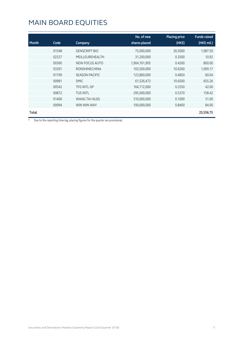| Month | Code  | Company               | No. of new<br>shares placed | <b>Placing price</b><br>(HK <sub>5</sub> ) | <b>Funds raised</b><br>(HK\$ mil.) |
|-------|-------|-----------------------|-----------------------------|--------------------------------------------|------------------------------------|
|       | 01548 | <b>GENSCRIPT BIO</b>  | 75,000,000                  | 26,5000                                    | 1,987.50                           |
|       | 02327 | MEILLEUREHEALTH       | 31,200,000                  | 0.3500                                     | 10.92                              |
|       | 00360 | NEW FOCUS AUTO        | 1,904,761,905               | 0.4200                                     | 800.00                             |
|       | 03301 | <b>RONSHINECHINA</b>  | 103,500,000                 | 10.6200                                    | 1,099.17                           |
|       | 01709 | <b>SEASON PACIFIC</b> | 123,800,000                 | 0.4850                                     | 60.04                              |
|       | 00981 | <b>SMIC</b>           | 61,526,473                  | 10.6500                                    | 655.26                             |
|       | 00542 | <b>TFG INTL GP</b>    | 164,712,000                 | 0.2550                                     | 42.00                              |
|       | 00872 | <b>TUS INTL</b>       | 295,000,000                 | 0.5370                                     | 158.42                             |
|       | 01400 | WANG TAI HLDG         | 310,000,000                 | 0.1000                                     | 31.00                              |
|       | 00994 | WIN WIN WAY           | 100,000,000                 | 0.8400                                     | 84.00                              |
| Total |       |                       |                             |                                            | 25,556.75                          |

\* Due to the reporting time-lag, placing figures for the quarter are provisional.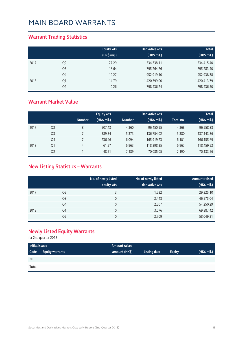#### **Warrant Trading Statistics**

|      |                | <b>Equity wts</b><br>(HK\$ mil.) | <b>Derivative wts</b><br>(HK\$ mil.) | <b>Total</b><br>(HK\$ mil.) |
|------|----------------|----------------------------------|--------------------------------------|-----------------------------|
| 2017 | Q <sub>2</sub> | 77.29                            | 534,338.11                           | 534,415.40                  |
|      | Q <sub>3</sub> | 18.64                            | 795,264.76                           | 795,283.40                  |
|      | Q4             | 19.27                            | 952,919.10                           | 952,938.38                  |
| 2018 | Q1             | 14.79                            | 1,420,399.00                         | 1,420,413.79                |
|      | Q <sub>2</sub> | 0.26                             | 798,436.24                           | 798,436.50                  |

#### **Warrant Market Value**

|      |                |               | <b>Equity wts</b> |               | Derivative wts |           | <b>Total</b> |
|------|----------------|---------------|-------------------|---------------|----------------|-----------|--------------|
|      |                | <b>Number</b> | (HK\$ mil.)       | <b>Number</b> | $(HK$$ mil.)   | Total no. | (HK\$ mil.)  |
| 2017 | Q <sub>2</sub> | 8             | 507.43            | 4,360         | 96,450.95      | 4,368     | 96,958.38    |
|      | Q <sub>3</sub> |               | 389.34            | 5,373         | 136,754.02     | 5,380     | 137, 143. 36 |
|      | Q4             |               | 236.46            | 6,094         | 165,919.23     | 6,101     | 166,155.69   |
| 2018 | Q1             | 4             | 61.57             | 6.963         | 118,398.35     | 6.967     | 118,459.92   |
|      | Q <sub>2</sub> |               | 48.51             | 7.189         | 70,085.05      | 7.190     | 70,133.56    |

#### **New Listing Statistics – Warrants**

|      |                | No. of newly listed<br>equity wts | No. of newly listed<br>derivative wts | <b>Amount raised</b><br>(HK\$ mil.) |
|------|----------------|-----------------------------------|---------------------------------------|-------------------------------------|
| 2017 | Q <sub>2</sub> | 3                                 | 1,532                                 | 29,325.10                           |
|      | Q <sub>3</sub> | 0                                 | 2,448                                 | 46,575.04                           |
|      | Q4             | 0                                 | 2,507                                 | 54,250.29                           |
| 2018 | Q1             | 0                                 | 3,076                                 | 69,887.42                           |
|      | Q <sub>2</sub> | 0                                 | 2,709                                 | 58,049.31                           |

#### **Newly Listed Equity Warrants**

| Initial issued |                        | <b>Amount raised</b> |              |               |                          |
|----------------|------------------------|----------------------|--------------|---------------|--------------------------|
| Code           | <b>Equity warrants</b> | amount (HK\$)        | Listing date | <b>Expiry</b> | $(HK$$ mil.)             |
| <b>Nil</b>     |                        |                      |              |               |                          |
| Total          |                        |                      |              |               | $\overline{\phantom{a}}$ |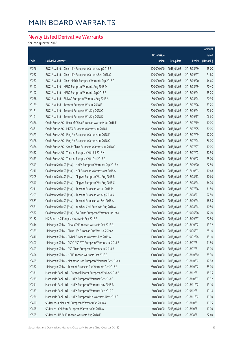#### **Newly Listed Derivative Warrants**

|       |                                                               |              |                     |               | Amount      |
|-------|---------------------------------------------------------------|--------------|---------------------|---------------|-------------|
|       |                                                               | No. of issue |                     |               | raised      |
| Code  | Derivative warrants                                           | (units)      | <b>Listing date</b> | <b>Expiry</b> | (HK\$ mil.) |
| 29226 | BOCI Asia Ltd. - China Life European Warrants Aug 2018 B      | 100,000,000  | 2018/04/03          | 2018/08/29    | 15.00       |
| 29232 | BOCI Asia Ltd. - China Life European Warrants Sep 2018 C      | 100,000,000  | 2018/04/03          | 2018/09/27    | 21.80       |
| 29237 | BOCI Asia Ltd. - China Mobile European Warrants Sep 2018 C    | 100,000,000  | 2018/04/03          | 2018/09/20    | 44.60       |
| 29197 | BOCI Asia Ltd. - HSBC European Warrants Aug 2018 D            | 200,000,000  | 2018/04/03          | 2018/08/29    | 70.40       |
| 29192 | BOCI Asia Ltd. - HSBC European Warrants Sep 2018 B            | 200,000,000  | 2018/04/03          | 2018/09/24    | 55.20       |
| 29238 | BOCI Asia Ltd. - SUNAC European Warrants Aug 2018 A           | 50,000,000   | 2018/04/03          | 2018/08/24    | 20.95       |
| 29189 | BOCI Asia Ltd. - Tencent European Wts Jul 2018 E              | 200,000,000  | 2018/04/03          | 2018/07/26    | 73.20       |
| 29171 | BOCI Asia Ltd. - Tencent European Wts Sep 2018 C              | 200,000,000  | 2018/04/03          | 2018/09/24    | 77.60       |
| 29191 | BOCI Asia Ltd. - Tencent European Wts Sep 2018 D              | 200,000,000  | 2018/04/03          | 2018/09/17    | 106.60      |
| 29486 | Credit Suisse AG - Bank of China European Warrants Jul 2018 E | 50,000,000   | 2018/04/03          | 2018/07/19    | 10.00       |
| 29461 | Credit Suisse AG - HKEX European Warrants Jul 2018 I          | 200,000,000  | 2018/04/03          | 2018/07/25    | 30.00       |
| 29423 | Credit Suisse AG - Ping An European Warrants Jul 2018 F       | 150,000,000  | 2018/04/03          | 2018/07/09    | 42.00       |
| 29428 | Credit Suisse AG - Ping An European Warrants Jul 2018 G       | 150,000,000  | 2018/04/03          | 2018/07/24    | 66.00       |
| 29484 | Credit Suisse AG - Sands China European Warrants Jul 2018 C   | 50,000,000   | 2018/04/03          | 2018/07/27    | 10.00       |
| 29452 | Credit Suisse AG - Tencent European Wts Jul 2018 K            | 250,000,000  | 2018/04/03          | 2018/07/03    | 37.50       |
| 29453 | Credit Suisse AG - Tencent European Wts Oct 2018 A            | 250,000,000  | 2018/04/03          | 2018/10/02    | 75.00       |
| 29543 | Goldman Sachs SP (Asia) - HKEX European Warrants Sep 2018 K   | 150,000,000  | 2018/04/03          | 2018/09/20    | 22.50       |
| 29210 | Goldman Sachs SP (Asia) - NCI European Warrants Oct 2018 A    | 40,000,000   | 2018/04/03          | 2018/10/03    | 10.48       |
| 29205 | Goldman Sachs SP (Asia) - Ping An European Wts Aug 2018 B     | 100,000,000  | 2018/04/03          | 2018/08/13    | 30.60       |
| 29540 | Goldman Sachs SP (Asia) - Ping An European Wts Aug 2018 C     | 100,000,000  | 2018/04/03          | 2018/08/24    | 34.70       |
| 29211 | Goldman Sachs SP (Asia) - Tencent European Wt Jul 2018 P      | 150,000,000  | 2018/04/03          | 2018/07/26    | 31.50       |
| 29203 | Goldman Sachs SP (Asia) - Tencent European Wt Aug 2018 K      | 150,000,000  | 2018/04/03          | 2018/08/21    | 52.50       |
| 29569 | Goldman Sachs SP (Asia) - Tencent European Wt Sep 2018 A      | 150,000,000  | 2018/04/03          | 2018/09/24    | 38.85       |
| 29581 | Goldman Sachs SP (Asia) - Yanzhou Coal Euro Wts Aug 2018 A    | 70,000,000   | 2018/04/03          | 2018/08/24    | 10.50       |
| 29537 | Goldman Sachs SP (Asia) - ZA Onine European Warrants Jun 19 A | 80,000,000   | 2018/04/03          | 2019/06/28    | 12.00       |
| 29167 | HK Bank - HSI European Warrants Sep 2018 E                    | 150,000,000  | 2018/04/03          | 2018/09/27    | 22.50       |
| 29414 | J P Morgan SP BV - CHALCO European Warrants Oct 2018 A        | 30,000,000   | 2018/04/03          | 2018/10/02    | 13.32       |
| 29389 | J P Morgan SP BV - China Life European Put Wts Jun 2019 A     | 100,000,000  | 2018/04/03          | 2019/06/03    | 25.10       |
| 29410 | J P Morgan SP BV - CNBM European Warrants Feb 2019 A          | 100,000,000  | 2018/04/03          | 2019/02/28    | 15.10       |
| 29400 | J P Morgan SP BV - CSOP A50 ETF European Warrants Jul 2018 B  | 100,000,000  | 2018/04/03          | 2018/07/31    | 51.80       |
| 29403 | J P Morgan SP BV - A50 China European Warrants Jul 2018 B     | 100,000,000  | 2018/04/03          | 2018/07/31    | 43.00       |
| 29404 | J P Morgan SP BV - HSI European Warrants Oct 2018 E           | 300,000,000  | 2018/04/03          | 2018/10/30    | 75.30       |
| 29405 | J P Morgan SP BV - Maanshan Iron European Warrants Oct 2018 A | 60,000,000   | 2018/04/03          | 2018/10/02    | 17.88       |
| 29387 | J P Morgan SP BV - Tencent European Put Warrants Oct 2018 A   | 250,000,000  | 2018/04/03          | 2018/10/02    | 65.00       |
| 29331 | Macquarie Bank Ltd. - Greatwall Motor European Wts Dec 2018 B | 10,000,000   | 2018/04/03          | 2018/12/31    | 15.05       |
| 29239 | Macquarie Bank Ltd. - HKEX European Warrants Oct 2018 E       | 8,000,000    | 2018/04/03          | 2018/10/03    | 13.92       |
| 29241 | Macquarie Bank Ltd. - HKEX European Warrants Nov 2018 B       | 50,000,000   | 2018/04/03          | 2018/11/02    | 13.10       |
| 29333 | Macquarie Bank Ltd. - HKEX European Warrants Dec 2019 A       | 60,000,000   | 2018/04/03          | 2019/12/31    | 19.14       |
| 29286 | Macquarie Bank Ltd. - HKEX European Put Warrants Nov 2018 C   | 40,000,000   | 2018/04/03          | 2018/11/02    | 10.00       |
| 29490 | SG Issuer - China Coal European Warrants Oct 2018 A           | 30,000,000   | 2018/04/03          | 2018/10/31    | 10.05       |
| 29498 | SG Issuer - CM Bank European Warrants Oct 2018 A              | 40,000,000   | 2018/04/03          | 2018/10/31    | 10.00       |
| 29505 | SG Issuer - HSBC European Warrants Aug 2018 E                 | 80,000,000   | 2018/04/03          | 2018/08/31    | 22.40       |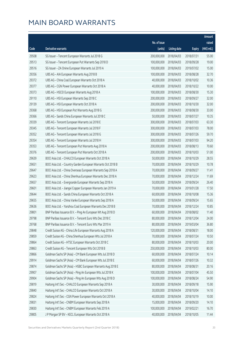|       |                                                              |              |                       |               | Amount      |
|-------|--------------------------------------------------------------|--------------|-----------------------|---------------|-------------|
|       |                                                              | No. of issue |                       |               | raised      |
| Code  | Derivative warrants                                          | (units)      | <b>Listing date</b>   | <b>Expiry</b> | (HK\$ mil.) |
| 29508 | SG Issuer - Tencent European Warrants Jul 2018 G             | 200,000,000  | 2018/04/03            | 2018/07/31    | 55.00       |
| 29513 | SG Issuer - Tencent European Put Warrants Sep 2018 D         | 100,000,000  | 2018/04/03            | 2018/09/28    | 19.00       |
| 29516 | SG Issuer - ZA Onine European Warrants Jul 2019 A            | 100,000,000  | 2018/04/03            | 2019/07/02    | 15.00       |
| 29356 | UBS AG - AIA European Warrants Aug 2018 B                    | 100,000,000  | 2018/04/03            | 2018/08/28    | 32.70       |
| 29372 | UBS AG - China Coal European Warrants Oct 2018 A             | 40,000,000   | 2018/04/03            | 2018/10/02    | 10.36       |
| 29377 | UBS AG - CGN Power European Warrants Oct 2018 A              | 40,000,000   | 2018/04/03            | 2018/10/22    | 10.00       |
| 29373 | UBS AG - HSCEI European Warrants Aug 2018 A                  | 100,000,000  | 2018/04/03            | 2018/08/30    | 15.30       |
| 29110 | UBS AG - HSI European Warrants Sep 2018 C                    | 200,000,000  | 2018/04/03            | 2018/09/27    | 32.00       |
| 29139 | UBS AG - HSI European Warrants Oct 2018 A                    | 200,000,000  | 2018/04/03            | 2018/10/30    | 32.00       |
| 29368 | UBS AG - HSI European Put Warrants Aug 2018 G                | 200,000,000  | 2018/04/03            | 2018/08/30    | 33.00       |
| 29366 | UBS AG - Sands China European Warrants Jul 2018 C            | 50,000,000   | 2018/04/03            | 2018/07/27    | 10.35       |
| 29339 | UBS AG - Tencent European Warrants Jul 2018 E                | 300,000,000  | 2018/04/03            | 2018/07/03    | 63.30       |
| 29345 | UBS AG - Tencent European Warrants Jul 2018 F                | 300,000,000  | 2018/04/03            | 2018/07/03    | 78.00       |
| 29352 | UBS AG - Tencent European Warrants Jul 2018 G                | 300,000,000  | 2018/04/03            | 2018/07/26    | 59.70       |
| 29354 | UBS AG - Tencent European Warrants Jul 2018 H                | 300,000,000  | 2018/04/03            | 2018/07/03    | 94.20       |
| 29353 | UBS AG - Tencent European Put Warrants Aug 2018 A            | 200,000,000  | 2018/04/03            | 2018/08/13    | 70.60       |
| 29376 | UBS AG - Tencent European Put Warrants Oct 2018 A            | 200,000,000  | 2018/04/03            | 2018/10/03    | 51.00       |
| 29639 | BOCI Asia Ltd. - CHALCO European Warrants Oct 2018 A         | 50,000,000   | 2018/04/04            | 2018/10/29    | 28.55       |
| 29651 | BOCI Asia Ltd. - Country Garden European Warrants Oct 2018 B | 70,000,000   | 2018/04/04            | 2018/10/29    | 10.78       |
| 29647 | BOCI Asia Ltd. - China Overseas European Warrants Sep 2018 A | 70,000,000   | 2018/04/04            | 2018/09/27    | 11.41       |
| 29623 | BOCI Asia Ltd. - China Shenhua European Warrants Dec 2018 A  | 70,000,000   | 2018/04/04            | 2018/12/24    | 11.69       |
| 29657 | BOCI Asia Ltd. - Evergrande European Warrants Sep 2018 A     | 50,000,000   | 2018/04/04            | 2018/09/24    | 26.40       |
| 29601 | BOCI Asia Ltd. - Jiangxi Copper European Warrants Jan 2019 A | 70,000,000   | 2018/04/04            | 2019/01/28    | 17.50       |
| 29644 | BOCI Asia Ltd. - Sands China European Warrants Oct 2018 A    | 60,000,000   | 2018/04/04            | 2018/10/08    | 15.36       |
| 29655 | BOCI Asia Ltd. - China Vanke European Warrants Sep 2018 A    | 50,000,000   | 2018/04/04            | 2018/09/24    | 15.65       |
| 29636 | BOCI Asia Ltd. - Yanzhou Coal European Warrants Dec 2018 B   | 70,000,000   | 2018/04/04            | 2018/12/24    | 10.85       |
| 29801 | BNP Paribas Issuance B.V. - Ping An European Wt Aug 2018 D   |              | 60,000,000 2018/04/04 | 2018/08/02    | 11.40       |
| 29798 | BNP Paribas Issuance B.V. - Tencent Euro Wts Dec 2018 C      | 80,000,000   | 2018/04/04            | 2018/12/04    | 24.00       |
| 29768 | BNP Paribas Issuance B.V. - Tencent Euro Wts Mar 2019 A      | 80,000,000   | 2018/04/04            | 2019/03/04    | 36.80       |
| 29848 | Credit Suisse AG - China Life European Warrants Aug 2018 A   | 120,000,000  | 2018/04/04            | 2018/08/31    | 18.00       |
| 29859 | Credit Suisse AG - China Shenhua European Wts Jul 2018 A     | 70,000,000   | 2018/04/04            | 2018/07/24    | 10.50       |
| 29864 | Credit Suisse AG - HTSC European Warrants Oct 2018 C         | 80,000,000   | 2018/04/04            | 2018/10/03    | 20.00       |
| 29863 | Credit Suisse AG - Tencent European Wts Oct 2018 B           | 250,000,000  | 2018/04/04            | 2018/10/03    | 80.00       |
| 29866 | Goldman Sachs SP (Asia) - CM Bank European Wts Jul 2018 D    | 60,000,000   | 2018/04/04            | 2018/07/24    | 10.14       |
| 29914 | Goldman Sachs SP (Asia) - CM Bank European Wts Jul 2018 E    | 60,000,000   | 2018/04/04            | 2018/07/26    | 10.32       |
| 29874 | Goldman Sachs SP (Asia) - HSBC European Warrants Aug 2018 E  | 80,000,000   | 2018/04/04            | 2018/08/31    | 20.16       |
| 29907 | Goldman Sachs SP (Asia) - Ping An European Wts Jul 2018 K    | 100,000,000  | 2018/04/04            | 2018/07/04    | 45.50       |
| 29904 | Goldman Sachs SP (Asia) - Ping An European Wts Aug 2018 D    | 100,000,000  | 2018/04/04            | 2018/08/24    | 54.90       |
| 29819 | Haitong Int'l Sec - CHALCO European Warrants Sep 2018 A      | 30,000,000   | 2018/04/04            | 2018/09/18    | 15.90       |
| 29840 | Haitong Int'l Sec - CHALCO European Warrants Oct 2018 A      | 30,000,000   | 2018/04/04            | 2018/10/04    | 14.10       |
| 29824 | Haitong Int'l Sec - CGN Power European Warrants Oct 2018 A   | 40,000,000   | 2018/04/04            | 2018/10/19    | 10.00       |
| 29831 | Haitong Int'l Sec - CNBM European Warrants Sep 2018 A        | 15,000,000   | 2018/04/04            | 2018/09/20    | 14.10       |
| 29830 | Haitong Int'l Sec - CNBM European Warrants Feb 2019 A        | 100,000,000  | 2018/04/04            | 2019/02/21    | 16.70       |
| 29805 | J P Morgan SP BV - KECL European Warrants Oct 2018 A         | 40,000,000   | 2018/04/04            | 2018/10/05    | 11.44       |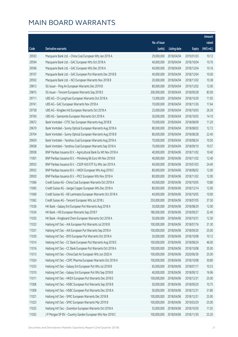|       |                                                                |              |                        |               | Amount      |
|-------|----------------------------------------------------------------|--------------|------------------------|---------------|-------------|
|       |                                                                | No. of issue |                        |               | raised      |
| Code  | Derivative warrants                                            | (units)      | <b>Listing date</b>    | <b>Expiry</b> | (HK\$ mil.) |
| 29593 | Macquarie Bank Ltd. - China Coal European Wts Jan 2019 A       | 29,000,000   | 2018/04/04             | 2019/01/03    | 10.12       |
| 29594 | Macquarie Bank Ltd. - GAC European Wts Oct 2018 A              | 40,000,000   | 2018/04/04             | 2018/10/04    | 10.76       |
| 29596 | Macquarie Bank Ltd. - GAC European Wts Dec 2018 A              | 40,000,000   | 2018/04/04             | 2018/12/04    | 10.16       |
| 29707 | Macquarie Bank Ltd. - GAC European Put Warrants Dec 2018 B     | 40,000,000   | 2018/04/04             | 2018/12/04    | 10.00       |
| 29592 | Macquarie Bank Ltd. - NCI European Warrants Nov 2018 B         | 20,000,000   | 2018/04/04             | 2018/11/02    | 10.38       |
| 29813 | SG Issuer - Ping An European Warrants Dec 2019 B               | 80,000,000   | 2018/04/04             | 2019/12/02    | 12.00       |
| 29815 | SG Issuer - Tencent European Warrants Sep 2018 E               | 200,000,000  | 2018/04/04             | 2018/09/28    | 83.00       |
| 29711 | UBS AG - Ch LongYuan European Warrants Oct 2018 A              | 13,000,000   | 2018/04/04             | 2018/10/29    | 11.05       |
| 29761 | UBS AG - GAC European Warrants Nov 2018 A                      | 70,000,000   | 2018/04/04             | 2018/11/26    | 17.64       |
| 29758 | UBS AG - Kingdee Intl European Warrants Oct 2018 A             | 25,000,000   | 2018/04/04             | 2018/10/03    | 26.30       |
| 29760 | UBS AG - Samsonite European Warrants Oct 2018 A                | 30,000,000   | 2018/04/04             | 2018/10/03    | 14.10       |
| 29672 | Bank Vontobel - CITIC Sec European Warrants Aug 2018 B         | 70,000,000   | 2018/04/04             | 2018/08/09    | 11.20       |
| 29670 | Bank Vontobel - Sunny Optical European Warrants Aug 2018 A     | 80,000,000   | 2018/04/04             | 2018/08/02    | 12.72       |
| 29704 | Bank Vontobel - Sunny Optical European Warrants Aug 2018 B     | 80,000,000   | 2018/04/04             | 2018/08/28    | 22.40       |
| 29659 | Bank Vontobel - Yanzhou Coal European Warrants Aug 2018 A      | 70,000,000   | 2018/04/04             | 2018/08/24    | 10.50       |
| 29658 | Bank Vontobel - Yanzhou Coal European Warrants Sep 2018 A      | 70,000,000   | 2018/04/04             | 2018/09/10    | 10.57       |
| 29938 | BNP Paribas Issuance B.V. - Agricultural Bank Eu Wt Nov 2018 A | 40,000,000   | 2018/04/06             | 2018/11/02    | 10.40       |
| 11001 | BNP Paribas Issuance B.V. - Minsheng Bk Euro Wt Nov 2018 B     | 40,000,000   | 2018/04/06             | 2018/11/02    | 12.40       |
| 29933 | BNP Paribas Issuance B.V. - CSOP A50 ETF Eu Wts Jan 2019 A     | 40,000,000   | 2018/04/06             | 2019/01/03    | 24.40       |
| 29932 | BNP Paribas Issuance B.V. - HKEX European Wts Aug 2018 C       | 80,000,000   | 2018/04/06             | 2018/08/02    | 12.00       |
| 29920 | BNP Paribas Issuance B.V. - PICC European Wts Nov 2018 A       | 80,000,000   | 2018/04/06             | 2018/11/02    | 12.00       |
| 11066 | Credit Suisse AG - China Coal European Warrants Oct 2018 A     | 40,000,000   | 2018/04/06             | 2018/10/05    | 10.80       |
| 11065 | Credit Suisse AG - Jiangxi Copper European Wts Dec 2018 A      | 80,000,000   | 2018/04/06             | 2018/12/14    | 12.00       |
| 11069 | Credit Suisse AG - KB Laminates European Warrants Oct 2018 A   | 40,000,000   | 2018/04/06             | 2018/10/05    | 10.00       |
| 11062 | Credit Suisse AG - Tencent European Wts Jul 2018 L             | 250,000,000  | 2018/04/06             | 2018/07/05    | 37.50       |
| 11036 | HK Bank - Galaxy Ent European Put Warrants Aug 2018 A          | 30,000,000   | 2018/04/06             | 2018/08/29    | 12.00       |
| 11034 | HK Bank - HSI European Warrants Sep 2018 F                     |              | 180,000,000 2018/04/06 | 2018/09/27    | 32.40       |
| 11035 | HK Bank - Kingboard Chem European Warrants Oct 2018 A          | 50,000,000   | 2018/04/06             | 2018/10/31    | 12.50       |
| 11032 | Haitong Int'l Sec - AIA European Put Warrants Jul 2018 B       | 100,000,000  | 2018/04/06             | 2018/07/16    | 31.30       |
| 11031 | Haitong Int'l Sec - AIA European Put Warrants Sep 2018 A       | 100,000,000  | 2018/04/06             | 2018/09/20    | 25.00       |
| 11030 | Haitong Int'l Sec - BYD European Put Warrants Oct 2018 A       | 20,000,000   | 2018/04/06             | 2018/10/08    | 10.12       |
| 11014 | Haitong Int'l Sec - CC Bank European Put Warrants Aug 2018 E   | 100,000,000  | 2018/04/06             | 2018/08/24    | 46.00       |
| 11016 | Haitong Int'l Sec - CC Bank European Put Warrants Oct 2018 A   | 100,000,000  | 2018/04/06             | 2018/10/08    | 35.00       |
| 11013 | Haitong Int'l Sec - China East Air European Wts Jun 2020 A     | 100,000,000  | 2018/04/06             | 2020/06/30    | 25.00       |
| 11024 | Haitong Int'l Sec - CSPC Pharma European Warrants Oct 2018 A   | 100,000,000  | 2018/04/06             | 2018/10/08    | 30.80       |
| 11033 | Haitong Int'l Sec - Galaxy Ent European Put Wts Jul 2018 B     | 65,000,000   | 2018/04/06             | 2018/07/17    | 10.53       |
| 11010 | Haitong Int'l Sec - Galaxy Ent European Put Wts Sep 2018 B     | 40,000,000   | 2018/04/06             | 2018/09/12    | 16.96       |
| 11011 | Haitong Int'l Sec - HKEX European Put Warrants Dec 2018 E      | 100,000,000  | 2018/04/06             | 2018/12/31    | 25.00       |
| 11006 | Haitong Int'l Sec - HSBC European Put Warrants Sep 2018 B      | 50,000,000   | 2018/04/06             | 2018/09/20    | 10.75       |
| 11009 | Haitong Int'l Sec - HSBC European Put Warrants Dec 2018 A      | 50,000,000   | 2018/04/06             | 2018/12/31    | 31.80       |
| 11021 | Haitong Int'l Sec - SMIC European Warrants Dec 2018 B          | 100,000,000  | 2018/04/06             | 2018/12/31    | 25.00       |
| 11023 | Haitong Int'l Sec - SMIC European Warrants Mar 2019 B          | 100,000,000  | 2018/04/06             | 2019/03/29    | 25.00       |
| 11025 | Haitong Int'l Sec - Zoomlion European Warrants Oct 2018 A      | 35,000,000   | 2018/04/06             | 2018/10/30    | 11.55       |
| 11052 | JP Morgan SP BV - Country Garden European Wts Nov 2018 C       | 100,000,000  | 2018/04/06             | 2018/11/30    | 25.20       |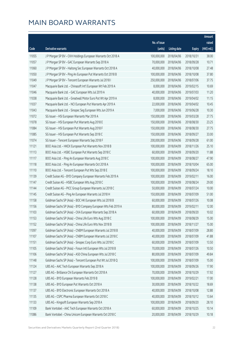|       |                                                               |              |                       |               | Amount      |
|-------|---------------------------------------------------------------|--------------|-----------------------|---------------|-------------|
|       |                                                               | No. of issue |                       |               | raised      |
| Code  | Derivative warrants                                           | (units)      | <b>Listing date</b>   | <b>Expiry</b> | (HK\$ mil.) |
| 11055 | J P Morgan SP BV - CKH Holdings European Warrants Oct 2018 A  | 100,000,000  | 2018/04/06            | 2018/10/31    | 38.00       |
| 11057 | J P Morgan SP BV - GAC European Warrants Sep 2018 A           | 70,000,000   | 2018/04/06            | 2018/09/28    | 10.71       |
| 11060 | J P Morgan SP BV - Haitong Sec European Warrants Oct 2018 A   | 40,000,000   | 2018/04/06            | 2018/10/08    | 27.48       |
| 11050 | JP Morgan SP BV - Ping An European Put Warrants Oct 2018 B    | 100,000,000  | 2018/04/06            | 2018/10/08    | 37.80       |
| 11049 | J P Morgan SP BV - Tencent European Warrants Jul 2018 I       | 250,000,000  | 2018/04/06            | 2018/07/06    | 37.75       |
| 11047 | Macquarie Bank Ltd. - Chinasoft Int'l European Wt Feb 2019 A  | 8,000,000    | 2018/04/06            | 2019/02/15    | 10.69       |
| 11046 | Macquarie Bank Ltd. - GAC European Wts Jul 2019 A             | 40,000,000   | 2018/04/06            | 2019/07/03    | 11.20       |
| 11038 | Macquarie Bank Ltd. - Greatwall Motor Euro Put Wt Apr 2019 A  | 8,000,000    | 2018/04/06            | 2019/04/02    | 11.15       |
| 11037 | Macquarie Bank Ltd. - NCI European Put Warrants Apr 2019 A    | 22,000,000   | 2018/04/06            | 2019/04/02    | 10.45       |
| 11043 | Macquarie Bank Ltd. - Sinopec Seg European Wts Jun 2019 A     | 7,000,000    | 2018/04/06            | 2019/06/28    | 10.30       |
| 11072 | SG Issuer - HSI European Warrants Mar 2019 A                  | 150,000,000  | 2018/04/06            | 2019/03/28    | 27.75       |
| 11078 | SG Issuer - HSI European Put Warrants Aug 2018 E              | 150,000,000  | 2018/04/06            | 2018/08/30    | 23.25       |
| 11084 | SG Issuer - HSI European Put Warrants Aug 2018 F              | 150,000,000  | 2018/04/06            | 2018/08/30    | 27.75       |
| 11085 | SG Issuer - HSI European Put Warrants Sep 2018 C              | 150,000,000  | 2018/04/06            | 2018/09/27    | 33.00       |
| 11074 | SG Issuer - Tencent European Warrants Sep 2018 F              | 200,000,000  | 2018/04/06            | 2018/09/28    | 61.00       |
| 11121 | BOCI Asia Ltd. - HKEX European Put Warrants Nov 2018 B        | 100,000,000  | 2018/04/09            | 2018/11/26    | 25.10       |
| 11113 | BOCI Asia Ltd. - HSBC European Put Warrants Sep 2018 C        | 60,000,000   | 2018/04/09            | 2018/09/20    | 11.88       |
| 11117 | BOCI Asia Ltd. - Ping An European Warrants Aug 2018 C         | 100,000,000  | 2018/04/09            | 2018/08/27    | 47.90       |
| 11118 | BOCI Asia Ltd. - Ping An European Warrants Oct 2018 A         | 100,000,000  | 2018/04/09            | 2018/10/04    | 65.00       |
| 11110 | BOCI Asia Ltd. - Tencent European Put Wts Sep 2018 E          | 100,000,000  | 2018/04/09            | 2018/09/24    | 18.10       |
| 11139 | Credit Suisse AG - BYD Company European Warrants Feb 2019 A   | 100,000,000  | 2018/04/09            | 2019/02/11    | 16.00       |
| 11147 | Credit Suisse AG - HSBC European Wts Aug 2018 C               | 100,000,000  | 2018/04/09            | 2018/08/24    | 29.00       |
| 11144 | Credit Suisse AG - PICC Group European Warrants Jul 2018 C    | 50,000,000   | 2018/04/09            | 2018/07/24    | 10.00       |
| 11145 | Credit Suisse AG - Ping An European Warrants Jul 2018 H       | 150,000,000  | 2018/04/09            | 2018/07/09    | 51.00       |
| 11158 | Goldman Sachs SP (Asia) - BOC HK European Wts Jul 2018 B      | 60,000,000   | 2018/04/09            | 2018/07/26    | 10.08       |
| 11156 | Goldman Sachs SP (Asia) - BYD Company European Wts Feb 2019 A | 80,000,000   | 2018/04/09            | 2019/02/11    | 12.00       |
| 11103 | Goldman Sachs SP (Asia) - CKA European Warrants Sep 2018 A    |              | 60,000,000 2018/04/09 | 2018/09/20    | 10.02       |
| 11153 | Goldman Sachs SP (Asia) - China Life Euro Wts Aug 2018 C      | 100,000,000  | 2018/04/09            | 2018/08/29    | 15.00       |
| 11152 | Goldman Sachs SP (Asia) - China Life Euro Wts Nov 2018 B      | 100,000,000  | 2018/04/09            | 2018/11/27    | 15.00       |
| 11097 | Goldman Sachs SP (Asia) - CNBM European Warrants Jul 2018 B   | 40,000,000   | 2018/04/09            | 2018/07/09    | 28.80       |
| 11107 | Goldman Sachs SP (Asia) - CNBM European Warrants Jul 2018 C   | 40,000,000   | 2018/04/09            | 2018/07/09    | 41.88       |
| 11151 | Goldman Sachs SP (Asia) - Sinopec Corp Euro Wts Jul 2018 C    | 60,000,000   | 2018/04/09            | 2018/07/09    | 13.50       |
| 11105 | Goldman Sachs SP (Asia) - Fosun Intl European Wts Jul 2018 B  | 70,000,000   | 2018/04/09            | 2018/07/26    | 10.50       |
| 11106 | Goldman Sachs SP (Asia) - A50 China European Wts Jul 2018 C   | 80,000,000   | 2018/04/09            | 2018/07/09    | 49.84       |
| 11148 | Goldman Sachs SP (Asia) - Tencent European Put Wt Jul 2018 Q  | 100,000,000  | 2018/04/09            | 2018/07/09    | 15.00       |
| 11124 | UBS AG - AAC Tech European Warrants Sep 2018 A                | 100,000,000  | 2018/04/09            | 2018/09/26    | 17.90       |
| 11127 | UBS AG - Brilliance Chi European Warrants Oct 2018 A          | 70,000,000   | 2018/04/09            | 2018/10/29    | 17.92       |
| 11128 | UBS AG - BYD European Warrants Feb 2019 B                     | 100,000,000  | 2018/04/09            | 2019/02/21    | 17.00       |
| 11138 | UBS AG - BYD European Put Warrants Oct 2018 A                 | 30,000,000   | 2018/04/09            | 2018/10/22    | 18.69       |
| 11137 | UBS AG - BYD Electronic European Warrants Oct 2018 A          | 40,000,000   | 2018/04/09            | 2018/10/08    | 12.88       |
| 11135 | UBS AG - CSPC Pharma European Warrants Oct 2018 C             | 40,000,000   | 2018/04/09            | 2018/10/12    | 13.64       |
| 11133 | UBS AG - Kingsoft European Warrants Sep 2018 A                | 100,000,000  | 2018/04/09            | 2018/09/20    | 28.10       |
| 11109 | Bank Vontobel - AAC Tech European Warrants Oct 2018 A         | 60,000,000   | 2018/04/09            | 2018/10/25    | 10.14       |
| 11086 | Bank Vontobel - China Unicom European Warrants Oct 2018 C     | 20,000,000   | 2018/04/09            | 2018/10/29    | 10.18       |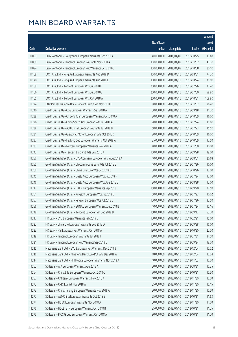|       |                                                               |                        |                     |               | Amount      |
|-------|---------------------------------------------------------------|------------------------|---------------------|---------------|-------------|
|       |                                                               | No. of issue           |                     |               | raised      |
| Code  | Derivative warrants                                           | (units)                | <b>Listing date</b> | <b>Expiry</b> | (HK\$ mil.) |
| 11093 | Bank Vontobel - Evergrande European Warrants Oct 2018 A       | 40,000,000             | 2018/04/09          | 2018/10/25    | 17.88       |
| 11089 | Bank Vontobel - Tencent European Warrants Nov 2018 A          | 100,000,000            | 2018/04/09          | 2018/11/02    | 43.20       |
| 11094 | Bank Vontobel - Tencent European Put Warrants Oct 2018 C      | 100,000,000            | 2018/04/09          | 2018/10/08    | 30.10       |
| 11169 | BOCI Asia Ltd. - Ping An European Warrants Aug 2018 D         | 100,000,000            | 2018/04/10          | 2018/08/31    | 74.20       |
| 11170 | BOCI Asia Ltd. - Ping An European Warrants Aug 2018 E         | 100,000,000            | 2018/04/10          | 2018/08/24    | 71.90       |
| 11159 | BOCI Asia Ltd. - Tencent European Wts Jul 2018 F              | 200,000,000            | 2018/04/10          | 2018/07/26    | 77.40       |
| 11166 | BOCI Asia Ltd. - Tencent European Wts Jul 2018 G              | 200,000,000            | 2018/04/10          | 2018/07/30    | 98.80       |
| 11165 | BOCI Asia Ltd. - Tencent European Wts Oct 2018 A              | 200,000,000            | 2018/04/10          | 2018/10/31    | 108.80      |
| 11224 | BNP Paribas Issuance B.V. - Tencent Eu Put Wt Nov 2018 D      | 80,000,000             | 2018/04/10          | 2018/11/02    | 26.40       |
| 11240 | Credit Suisse AG - CGS European Warrants Sep 2018 A           | 30,000,000             | 2018/04/10          | 2018/09/18    | 11.70       |
| 11239 | Credit Suisse AG - Ch LongYuan European Warrants Oct 2018 A   | 20,000,000             | 2018/04/10          | 2018/10/09    | 16.00       |
| 11226 | Credit Suisse AG - China South Air European Wts Jul 2018 A    | 20,000,000             | 2018/04/10          | 2018/07/24    | 11.60       |
| 11238 | Credit Suisse AG - A50 China European Warrants Jul 2018 B     | 50,000,000             | 2018/04/10          | 2018/07/23    | 15.50       |
| 11231 | Credit Suisse AG - Greatwall Motor European Wts Oct 2018 C    | 20,000,000             | 2018/04/10          | 2018/10/09    | 16.00       |
| 11237 | Credit Suisse AG - Haitong Sec European Warrants Oct 2018 A   | 25,000,000             | 2018/04/10          | 2018/10/09    | 17.50       |
| 11233 | Credit Suisse AG - Nexteer European Warrants Nov 2018 A       | 40,000,000             | 2018/04/10          | 2018/11/30    | 10.00       |
| 11243 | Credit Suisse AG - Tencent Euro Put Wts Sep 2018 A            | 100,000,000            | 2018/04/10          | 2018/09/28    | 19.00       |
| 11250 | Goldman Sachs SP (Asia) - BYD Company European Wts Aug 2018 A | 40,000,000             | 2018/04/10          | 2018/08/01    | 20.68       |
| 11255 | Goldman Sachs SP (Asia) - Ch Comm Cons Euro Wts Jul 2018 B    | 40,000,000             | 2018/04/10          | 2018/07/26    | 10.00       |
| 11260 | Goldman Sachs SP (Asia) - China Life Euro Wts Oct 2018 B      | 80,000,000             | 2018/04/10          | 2018/10/26    | 12.00       |
| 11245 | Goldman Sachs SP (Asia) - Geely Auto European Wts Jul 2018 F  | 80,000,000             | 2018/04/10          | 2018/07/24    | 12.00       |
| 11246 | Goldman Sachs SP (Asia) - Geely Auto European Wts Aug 2018 B  | 80,000,000             | 2018/04/10          | 2018/08/28    | 12.00       |
| 11247 | Goldman Sachs SP (Asia) - HKEX European Warrants Sep 2018 L   | 150,000,000            | 2018/04/10          | 2018/09/20    | 22.50       |
| 11261 | Goldman Sachs SP (Asia) - Kingsoft European Wts Jul 2018 B    | 60,000,000             | 2018/04/10          | 2018/07/23    | 10.02       |
| 11257 | Goldman Sachs SP (Asia) - Ping An European Wts Jul 2018 L     | 100,000,000            | 2018/04/10          | 2018/07/26    | 32.50       |
| 11256 | Goldman Sachs SP (Asia) - SUNAC European Warrants Jul 2018 B  | 40,000,000             | 2018/04/10          | 2018/07/24    | 10.16       |
| 11248 | Goldman Sachs SP (Asia) - Tencent European Wt Sep 2018 B      | 150,000,000 2018/04/10 |                     | 2018/09/17    | 53.70       |
| 11217 | HK Bank - BYD European Warrants Feb 2019 B                    | 100,000,000            | 2018/04/10          | 2019/02/21    | 15.00       |
| 11222 | HK Bank - China Life European Warrants Sep 2018 D             | 100,000,000            | 2018/04/10          | 2018/09/28    | 16.00       |
| 11223 | HK Bank - HSI European Put Warrants Oct 2018 A                | 180,000,000            | 2018/04/10          | 2018/10/30    | 27.00       |
| 11219 | HK Bank - Tencent European Warrants Jul 2018 I                | 150,000,000            | 2018/04/10          | 2018/07/31    | 34.50       |
| 11221 | HK Bank - Tencent European Put Warrants Sep 2018 C            | 100,000,000            | 2018/04/10          | 2018/09/24    | 18.00       |
| 11215 | Macquarie Bank Ltd. - BYD European Put Warrants Dec 2018 B    | 10,000,000             | 2018/04/10          | 2018/12/04    | 10.02       |
| 11216 | Macquarie Bank Ltd. - Minsheng Bank Euro Put Wts Dec 2018 A   | 18,000,000             | 2018/04/10          | 2018/12/04    | 10.04       |
| 11214 | Macquarie Bank Ltd. - FIH Mobile European Warrants Nov 2018 A | 40,000,000             | 2018/04/10          | 2018/11/02    | 10.00       |
| 11262 | SG Issuer - AIA European Warrants Aug 2018 A                  | 30,000,000             | 2018/04/10          | 2018/08/31    | 10.35       |
| 11264 | SG Issuer - China Life European Warrants Oct 2018 C           | 70,000,000             | 2018/04/10          | 2018/10/31    | 10.50       |
| 11267 | SG Issuer - CM Bank European Warrants Nov 2018 A              | 40,000,000             | 2018/04/10          | 2018/11/30    | 10.00       |
| 11272 | SG Issuer - CPIC Eur Wt Nov 2018 A                            | 35,000,000             | 2018/04/10          | 2018/11/30    | 10.15       |
| 11273 | SG Issuer - China Taiping European Warrants Nov 2018 A        | 30,000,000             | 2018/04/10          | 2018/11/30    | 10.50       |
| 11277 | SG Issuer - A50 China European Warrants Oct 2018 B            | 25,000,000             | 2018/04/10          | 2018/10/31    | 11.63       |
| 11274 | SG Issuer - HSBC European Warrants Nov 2018 A                 | 50,000,000             | 2018/04/10          | 2018/11/30    | 14.00       |
| 11276 | SG Issuer - HSCEI ETF European Warrants Oct 2018 B            | 25,000,000             | 2018/04/10          | 2018/10/31    | 11.25       |
| 11275 | SG Issuer - PICC Group European Warrants Oct 2018 A           | 30,000,000             | 2018/04/10          | 2018/10/31    | 11.70       |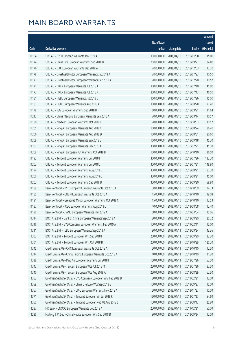|       |                                                               |              |                       |               | Amount      |
|-------|---------------------------------------------------------------|--------------|-----------------------|---------------|-------------|
|       |                                                               | No. of issue |                       |               | raised      |
| Code  | Derivative warrants                                           | (units)      | <b>Listing date</b>   | <b>Expiry</b> | (HK\$ mil.) |
| 11184 | UBS AG - BYD European Warrants Jan 2019 A                     | 100,000,000  | 2018/04/10            | 2019/01/08    | 15.00       |
| 11174 | UBS AG - China Life European Warrants Sep 2018 B              | 200,000,000  | 2018/04/10            | 2018/09/27    | 34.80       |
| 11176 | UBS AG - GAC European Warrants Dec 2018 A                     | 70,000,000   | 2018/04/10            | 2018/12/03    | 13.30       |
| 11178 | UBS AG - Greatwall Motor European Warrants Jul 2018 A         | 70,000,000   | 2018/04/10            | 2018/07/23    | 10.50       |
| 11177 | UBS AG - Greatwall Motor European Warrants Dec 2019 A         | 70,000,000   | 2018/04/10            | 2019/12/20    | 10.57       |
| 11171 | UBS AG - HKEX European Warrants Jul 2018 J                    | 300,000,000  | 2018/04/10            | 2018/07/10    | 45.90       |
| 11172 | UBS AG - HKEX European Warrants Jul 2018 K                    | 300,000,000  | 2018/04/10            | 2018/07/13    | 46.50       |
| 11181 | UBS AG - HSBC European Warrants Jul 2018 D                    | 100,000,000  | 2018/04/10            | 2018/07/26    | 15.00       |
| 11183 | UBS AG - HSBC European Warrants Aug 2018 A                    | 100,000,000  | 2018/04/10            | 2018/08/28    | 27.40       |
| 11179 | UBS AG - IGG European Warrants Sep 2018 B                     | 60,000,000   | 2018/04/10            | 2018/09/21    | 11.64       |
| 11213 | UBS AG - China Mengniu European Warrants Sep 2018 A           | 70,000,000   | 2018/04/10            | 2018/09/14    | 10.57       |
| 11180 | UBS AG - Nexteer European Warrants Oct 2018 B                 | 70,000,000   | 2018/04/10            | 2018/10/03    | 10.57       |
| 11205 | UBS AG - Ping An European Warrants Aug 2018 C                 | 100,000,000  | 2018/04/10            | 2018/08/24    | 36.40       |
| 11206 | UBS AG - Ping An European Warrants Aug 2018 D                 | 100,000,000  | 2018/04/10            | 2018/08/31    | 20.60       |
| 11209 | UBS AG - Ping An European Warrants Sep 2018 E                 | 100,000,000  | 2018/04/10            | 2018/09/18    | 45.20       |
| 11207 | UBS AG - Ping An European Warrants Feb 2020 A                 | 300,000,000  | 2018/04/10            | 2020/02/21    | 45.30       |
| 11208 | UBS AG - Ping An European Put Warrants Oct 2018 B             | 100,000,000  | 2018/04/10            | 2018/10/10    | 36.50       |
| 11192 | UBS AG - Tencent European Warrants Jul 2018 I                 | 300,000,000  | 2018/04/10            | 2018/07/26    | 133.20      |
| 11203 | UBS AG - Tencent European Warrants Jul 2018 J                 | 300,000,000  | 2018/04/10            | 2018/07/31    | 148.80      |
| 11194 | UBS AG - Tencent European Warrants Aug 2018 B                 | 300,000,000  | 2018/04/10            | 2018/08/21    | 87.30       |
| 11200 | UBS AG - Tencent European Warrants Aug 2018 C                 | 300,000,000  | 2018/04/10            | 2018/08/21    | 45.00       |
| 11202 | UBS AG - Tencent European Warrants Sep 2018 B                 | 300,000,000  | 2018/04/10            | 2018/09/20    | 58.80       |
| 11189 | Bank Vontobel - BYD Company European Warrants Oct 2018 A      | 30,000,000   | 2018/04/10            | 2018/10/09    | 24.33       |
| 11185 | Bank Vontobel - CNBM European Warrants Oct 2018 A             | 15,000,000   | 2018/04/10            | 2018/10/10    | 19.08       |
| 11191 | Bank Vontobel - Greatwall Motor European Warrants Oct 2018 C  | 15,000,000   | 2018/04/10            | 2018/10/10    | 13.53       |
| 11187 | Bank Vontobel - ICBC European Warrants Aug 2018 C             | 40,000,000   | 2018/04/10            | 2018/08/08    | 12.40       |
| 11190 | Bank Vontobel - JIANC European Warrants Mar 2019 A            |              | 60,000,000 2018/04/10 | 2019/03/04    | 15.06       |
| 11314 | BOCI Asia Ltd. - Bank of China European Warrants Sep 2018 A   | 80,000,000   | 2018/04/11            | 2018/09/20    | 26.72       |
| 11316 | BOCI Asia Ltd. - BYD Company European Warrants Feb 2019 A     | 100,000,000  | 2018/04/11            | 2019/02/11    | 15.00       |
| 11311 | BOCI Asia Ltd. - ICBC European Warrants Sep 2018 A            | 80,000,000   | 2018/04/11            | 2018/09/24    | 43.36       |
| 11307 | BOCI Asia Ltd. - Tencent European Wts Sep 2018 F              | 200,000,000  | 2018/04/11            | 2018/09/20    | 32.20       |
| 11301 | BOCI Asia Ltd. - Tencent European Wts Oct 2018 B              | 200,000,000  | 2018/04/11            | 2018/10/29    | 126.20      |
| 11345 | Credit Suisse AG - CPIC European Warrants Oct 2018 A          | 50,000,000   | 2018/04/11            | 2018/10/10    | 12.50       |
| 11344 | Credit Suisse AG - China Taiping European Warrants Oct 2018 A | 40,000,000   | 2018/04/11            | 2018/10/10    | 11.20       |
| 11338 | Credit Suisse AG - Ping An European Warrants Jul 2018 I       | 150,000,000  | 2018/04/11            | 2018/07/26    | 57.00       |
| 11343 | Credit Suisse AG - Tencent European Wts Jul 2018 M            | 250,000,000  | 2018/04/11            | 2018/07/26    | 87.50       |
| 11340 | Credit Suisse AG - Tencent European Wts Aug 2018 A            | 250,000,000  | 2018/04/11            | 2018/08/29    | 67.50       |
| 11362 | Goldman Sachs SP (Asia) - BYD Company European Wts Feb 2019 B | 80,000,000   | 2018/04/11            | 2019/02/21    | 12.00       |
| 11359 | Goldman Sachs SP (Asia) - China Life Euro Wts Sep 2018 G      | 100,000,000  | 2018/04/11            | 2018/09/27    | 15.00       |
| 11367 | Goldman Sachs SP (Asia) - CPIC European Warrants Nov 2018 A   | 50,000,000   | 2018/04/11            | 2018/11/27    | 10.00       |
| 11371 | Goldman Sachs SP (Asia) - Tencent European Wt Jul 2018 R      | 150,000,000  | 2018/04/11            | 2018/07/27    | 54.60       |
| 11360 | Goldman Sachs SP (Asia) - Tencent European Put Wt Aug 2018 L  | 100,000,000  | 2018/04/11            | 2018/08/13    | 25.80       |
| 11287 | HK Bank - CNOOC European Warrants Dec 2019 A                  | 200,000,000  | 2018/04/11            | 2019/12/31    | 50.00       |
| 11286 | Haitong Int'l Sec - China Mobile European Wts Sep 2018 B      | 80,000,000   | 2018/04/11            | 2018/09/24    | 12.00       |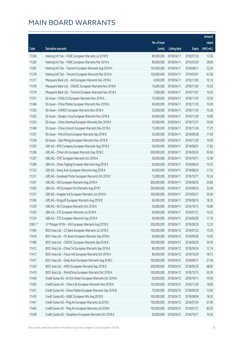|        |                                                              |              |                       |               | Amount      |
|--------|--------------------------------------------------------------|--------------|-----------------------|---------------|-------------|
|        |                                                              | No. of issue |                       |               | raised      |
| Code   | Derivative warrants                                          | (units)      | <b>Listing date</b>   | <b>Expiry</b> | (HK\$ mil.) |
| 11284  | Haitong Int'l Sec - HSBC European Warrants Jul 2018 D        | 80,000,000   | 2018/04/11            | 2018/07/26    | 12.00       |
| 11285  | Haitong Int'l Sec - HSBC European Warrants Mar 2019 A        | 80,000,000   | 2018/04/11            | 2019/03/29    | 28.00       |
| 11281  | Haitong Int'l Sec - Tencent European Warrants Aug 2018 H     | 150,000,000  | 2018/04/11            | 2018/08/21    | 22.50       |
| 11278  | Haitong Int'l Sec - Tencent European Warrants Mar 2019 A     | 150,000,000  | 2018/04/11            | 2019/03/01    | 42.00       |
| 11317  | Macquarie Bank Ltd. - AIA European Warrants Nov 2018 A       | 4,500,000    | 2018/04/11            | 2018/11/02    | 10.14       |
| 11318  | Macquarie Bank Ltd. - CNOOC European Warrants Nov 2018 A     | 19,000,000   | 2018/04/11            | 2018/11/02    | 10.53       |
| 11319  | Macquarie Bank Ltd. - Tencent European Warrants Nov 2018 A   | 7,000,000    | 2018/04/11            | 2018/11/01    | 10.03       |
| 11351  | SG Issuer - CHALCO European Warrants Nov 2018 A              | 15,000,000   | 2018/04/11            | 2018/11/30    | 10.95       |
| 11346  | SG Issuer - China Mobile European Warrants Nov 2018 A        | 40,000,000   | 2018/04/11            | 2018/11/30    | 10.00       |
| 11355  | SG Issuer - CNOOC European Warrants Nov 2018 A               | 25,000,000   | 2018/04/11            | 2018/11/30    | 10.38       |
| 11352  | SG Issuer - Sinopec Corp European Warrants Nov 2018 A        | 40,000,000   | 2018/04/11            | 2018/11/30    | 10.80       |
| 11353  | SG Issuer - China Shenhua European Warrants Dec 2018 A       | 50,000,000   | 2018/04/11            | 2018/12/31    | 10.00       |
| 11348  | SG Issuer - China Unicom European Warrants Nov 2018 A        | 15,000,000   | 2018/04/11            | 2018/11/30    | 11.25       |
| 11357  | SG Issuer - PetroChina European Warrants Sep 2018 B          | 50,000,000   | 2018/04/11            | 2018/09/28    | 11.00       |
| 11358  | SG Issuer - Zijin Mining European Warrants Nov 2018 A        | 20,000,000   | 2018/04/11            | 2018/11/30    | 10.00       |
| 11295  | UBS AG - BYD Company European Warrants Aug 2018 A            | 30,000,000   | 2018/04/11            | 2018/08/01    | 17.82       |
| 11296  | UBS AG - China Life European Warrants Sep 2018 C             | 200,000,000  | 2018/04/11            | 2018/09/24    | 30.00       |
| 11327  | UBS AG - CPIC European Warrants Oct 2018 A                   | 40,000,000   | 2018/04/11            | 2018/10/11    | 12.40       |
| 11289  | UBS AG - China Taiping European Warrants Aug 2018 A          | 50,000,000   | 2018/04/11            | 2018/08/24    | 10.55       |
| 11323  | UBS AG - Geely Auto European Warrants Aug 2018 A             | 40,000,000   | 2018/04/11            | 2018/08/24    | 11.32       |
| 11321  | UBS AG - Greatwall Motor European Warrants Oct 2018 C        | 12,000,000   | 2018/04/11            | 2018/10/11    | 10.24       |
| 11291  | UBS AG - HSI European Warrants Aug 2018 H                    | 200,000,000  | 2018/04/11            | 2018/08/30    | 35.80       |
| 11292  | UBS AG - HSI European Put Warrants Aug 2018 I                | 200,000,000  | 2018/04/11            | 2018/08/30    | 35.40       |
| 11337  | UBS AG - Kingdee Intl European Warrants Jun 2019 A           | 100,000,000  | 2018/04/11            | 2019/06/21    | 20.40       |
| 11300  | UBS AG - Kingsoft European Warrants Aug 2018 B               | 60,000,000   | 2018/04/11            | 2018/08/16    | 18.30       |
| 11329  | UBS AG - NCI European Warrants Oct 2018 A                    | 30,000,000   | 2018/04/11            | 2018/10/15    | 10.89       |
| 11335  | UBS AG - ZTE European Warrants Jul 2018 A                    |              | 40,000,000 2018/04/11 | 2018/07/31    | 10.32       |
| 11334  | UBS AG - ZTE European Warrants Sep 2018 A                    | 40,000,000   | 2018/04/11            | 2018/09/20    | 11.16       |
| 23821# | J P Morgan SP BV - HSI European Warrants Aug 2018 G          | 200,000,000  | 2018/04/11            | 2018/08/30    | 12.20       |
| 11404  | BOCI Asia Ltd. - CC Bank European Warrants Jul 2018 G        | 100,000,000  | 2018/04/12            | 2018/07/23    | 15.20       |
| 11416  | BOCI Asia Ltd. - CK Asset European Warrants Sep 2018 A       | 60,000,000   | 2018/04/12            | 2018/09/26    | 13.92       |
| 11406  | BOCI Asia Ltd. - CNOOC European Warrants Sep 2018 A          | 100,000,000  | 2018/04/12            | 2018/09/20    | 34.30       |
| 11412  | BOCI Asia Ltd. - China Tel European Warrants Sep 2018 A      | 80,000,000   | 2018/04/12            | 2018/09/24    | 12.16       |
| 11411  | BOCI Asia Ltd. - Fosun Intl European Warrants Oct 2018 A     | 80,000,000   | 2018/04/12            | 2018/10/24    | 18.72       |
| 11417  | BOCI Asia Ltd. - Geely Auto European Warrants Aug 2018 C     | 100,000,000  | 2018/04/12            | 2018/08/27    | 27.40       |
| 11429  | BOCI Asia Ltd. - HKEX European Warrants Sep 2018 G           | 200,000,000  | 2018/04/12            | 2018/09/26    | 48.00       |
| 11410  | BOCI Asia Ltd. - PetroChina European Warrants Oct 2018 A     | 100,000,000  | 2018/04/12            | 2018/10/15    | 30.30       |
| 11436  | Credit Suisse AG - BJ Ent Water European Warrants Oct 2018 A | 20,000,000   | 2018/04/12            | 2018/10/11    | 10.40       |
| 11435  | Credit Suisse AG - China Life European Warrants Nov 2018 A   | 120,000,000  | 2018/04/12            | 2018/11/30    | 18.00       |
| 11431  | Credit Suisse AG - China Mobile European Warrants Sep 2018 B | 70,000,000   | 2018/04/12            | 2018/09/28    | 12.60       |
| 11430  | Credit Suisse AG - HSBC European Wts Aug 2018 D              | 100,000,000  | 2018/04/12            | 2018/08/06    | 18.50       |
| 11441  | Credit Suisse AG - Ping An European Warrants Jul 2018 J      | 150,000,000  | 2018/04/12            | 2018/07/24    | 57.00       |
| 11445  | Credit Suisse AG - Ping An European Warrants Jul 2018 K      | 150,000,000  | 2018/04/12            | 2018/07/31    | 82.50       |
| 11438  | Credit Suisse AG - Sinopharm European Warrants Oct 2018 A    | 30,000,000   | 2018/04/12            | 2018/10/11    | 16.50       |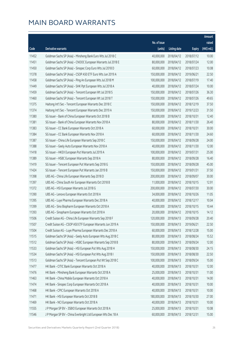|       |                                                               |              |                       |               | Amount      |
|-------|---------------------------------------------------------------|--------------|-----------------------|---------------|-------------|
|       |                                                               | No. of issue |                       |               | raised      |
| Code  | Derivative warrants                                           | (units)      | <b>Listing date</b>   | <b>Expiry</b> | (HK\$ mil.) |
| 11452 | Goldman Sachs SP (Asia) - Minsheng Bank Euro Wts Jul 2018 C   | 40,000,000   | 2018/04/12            | 2018/07/12    | 10.00       |
| 11451 | Goldman Sachs SP (Asia) - CNOOC European Warrants Jul 2018 E  | 80,000,000   | 2018/04/12            | 2018/07/24    | 12.00       |
| 11450 | Goldman Sachs SP (Asia) - Sinopec Corp Euro Wts Jul 2018 D    | 60,000,000   | 2018/04/12            | 2018/07/23    | 10.08       |
| 11378 | Goldman Sachs SP (Asia) - CSOP A50 ETF Euro Wts Jun 2019 A    | 150,000,000  | 2018/04/12            | 2019/06/21    | 22.50       |
| 11458 | Goldman Sachs SP (Asia) - Ping An European Wts Jul 2018 M     | 100,000,000  | 2018/04/12            | 2018/07/19    | 17.40       |
| 11449 | Goldman Sachs SP (Asia) - SHK Ppt European Wts Jul 2018 A     | 40,000,000   | 2018/04/12            | 2018/07/24    | 10.00       |
| 11459 | Goldman Sachs SP (Asia) - Tencent European Wt Jul 2018 S      | 150,000,000  | 2018/04/12            | 2018/07/26    | 36.30       |
| 11460 | Goldman Sachs SP (Asia) - Tencent European Wt Jul 2018 T      | 150,000,000  | 2018/04/12            | 2018/07/26    | 49.65       |
| 11375 | Haitong Int'l Sec - Tencent European Warrants Dec 2018 C      | 150,000,000  | 2018/04/12            | 2018/12/19    | 37.50       |
| 11374 | Haitong Int'l Sec - Tencent European Warrants Dec 2019 A      | 150,000,000  | 2018/04/12            | 2019/12/23    | 31.50       |
| 11380 | SG Issuer - Bank of China European Warrants Oct 2018 B        | 80,000,000   | 2018/04/12            | 2018/10/31    | 12.40       |
| 11381 | SG Issuer - Bank of China European Warrants Nov 2018 A        | 80,000,000   | 2018/04/12            | 2018/11/30    | 26.40       |
| 11383 | SG Issuer - CC Bank European Warrants Oct 2018 A              | 60,000,000   | 2018/04/12            | 2018/10/31    | 30.00       |
| 11384 | SG Issuer - CC Bank European Warrants Nov 2018 A              | 60,000,000   | 2018/04/12            | 2018/11/30    | 24.60       |
| 11387 | SG Issuer - China Life European Warrants Sep 2018 C           | 150,000,000  | 2018/04/12            | 2018/09/28    | 24.00       |
| 11388 | SG Issuer - Geely Auto European Warrants Nov 2018 A           | 40,000,000   | 2018/04/12            | 2018/11/30    | 12.00       |
| 11418 | SG Issuer - HKEX European Put Warrants Jul 2019 A             | 100,000,000  | 2018/04/12            | 2019/07/31    | 25.00       |
| 11389 | SG Issuer - HSBC European Warrants Sep 2018 A                 | 80,000,000   | 2018/04/12            | 2018/09/28    | 16.40       |
| 11419 | SG Issuer - Tencent European Put Warrants Sep 2018 G          | 150,000,000  | 2018/04/12            | 2018/09/28    | 45.00       |
| 11424 | SG Issuer - Tencent European Put Warrants Jan 2019 B          | 150,000,000  | 2018/04/12            | 2019/01/31    | 37.50       |
| 11398 | UBS AG - China Life European Warrants Sep 2018 D              | 200,000,000  | 2018/04/12            | 2018/09/07    | 30.00       |
| 11397 | UBS AG - China South Air European Warrants Oct 2018 B         | 11,000,000   | 2018/04/12            | 2018/10/15    | 12.91       |
| 11372 | UBS AG - HSI European Warrants Jul 2018 G                     | 200,000,000  | 2018/04/12            | 2018/07/30    | 30.00       |
| 11390 | UBS AG - Lenovo European Warrants Oct 2018 A                  | 34,000,000   | 2018/04/12            | 2018/10/26    | 11.05       |
| 11395 | UBS AG - Luye Pharma European Warrants Dec 2018 A             | 40,000,000   | 2018/04/12            | 2018/12/17    | 10.04       |
| 11399 | UBS AG - Sino Biopharm European Warrants Oct 2018 A           | 40,000,000   | 2018/04/12            | 2018/10/15    | 10.44       |
| 11393 | UBS AG - Sinopharm European Warrants Oct 2018 A               |              | 20,000,000 2018/04/12 | 2018/10/15    | 14.12       |
| 11506 | Credit Suisse AG - China Life European Warrants Sep 2018 F    | 120,000,000  | 2018/04/13            | 2018/09/28    | 20.40       |
| 11507 | Credit Suisse AG - CSOP A50 ETF European Warrants Jun 2019 A  | 150,000,000  | 2018/04/13            | 2019/06/21    | 22.50       |
| 11504 | Credit Suisse AG - Luye Pharma European Warrants Dec 2018 A   | 60,000,000   | 2018/04/13            | 2018/12/28    | 15.00       |
| 11515 | Goldman Sachs SP (Asia) - Geely Auto European Wts Aug 2018 C  | 80,000,000   | 2018/04/13            | 2018/08/24    | 15.52       |
| 11512 | Goldman Sachs SP (Asia) - HSBC European Warrants Sep 2018 B   | 80,000,000   | 2018/04/13            | 2018/09/24    | 12.00       |
| 11533 | Goldman Sachs SP (Asia) - HSI European Put Wts Aug 2018 H     | 150,000,000  | 2018/04/13            | 2018/08/30    | 24.15       |
| 11534 | Goldman Sachs SP (Asia) - HSI European Put Wts Aug 2018 I     | 150,000,000  | 2018/04/13            | 2018/08/30    | 22.50       |
| 11513 | Goldman Sachs SP (Asia) - Tencent European Put Wt Sep 2018 C  | 100,000,000  | 2018/04/13            | 2018/09/24    | 15.00       |
| 11477 | HK Bank - CITIC Bank European Warrants Oct 2018 A             | 40,000,000   | 2018/04/13            | 2018/10/31    | 12.00       |
| 11476 | HK Bank - Minsheng Bank European Warrants Oct 2018 A          | 25,000,000   | 2018/04/13            | 2018/10/31    | 11.00       |
| 11463 | HK Bank - China Mobile European Warrants Oct 2018 A           | 40,000,000   | 2018/04/13            | 2018/10/31    | 14.00       |
| 11474 | HK Bank - Sinopec Corp European Warrants Oct 2018 A           | 40,000,000   | 2018/04/13            | 2018/10/31    | 10.00       |
| 11468 | HK Bank - CPIC European Warrants Oct 2018 A                   | 40,000,000   | 2018/04/13            | 2018/10/31    | 10.00       |
| 11471 | HK Bank - HSI European Warrants Oct 2018 B                    | 180,000,000  | 2018/04/13            | 2018/10/30    | 27.00       |
| 11469 | HK Bank - NCI European Warrants Oct 2018 A                    | 40,000,000   | 2018/04/13            | 2018/10/31    | 10.00       |
| 11555 | J P Morgan SP BV - 3SBIO European Warrants Oct 2018 A         | 25,000,000   | 2018/04/13            | 2018/10/31    | 10.08       |
| 11546 | J P Morgan SP BV - China Everbright Ltd European Wts Dec 18 A | 60,000,000   | 2018/04/13            | 2018/12/31    | 15.00       |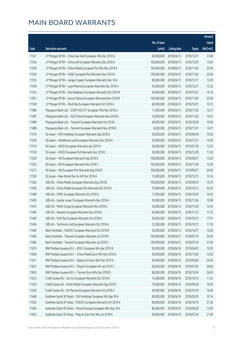|       |                                                                |              |                       |               | Amount      |
|-------|----------------------------------------------------------------|--------------|-----------------------|---------------|-------------|
|       |                                                                | No. of issue |                       |               | raised      |
| Code  | Derivative warrants                                            | (units)      | <b>Listing date</b>   | <b>Expiry</b> | (HK\$ mil.) |
| 11547 | J P Morgan SP BV - China Gas Hold European Wts Dec 2018 A      | 60,000,000   | 2018/04/13            | 2018/12/31    | 22.68       |
| 11543 | J P Morgan SP BV - China Life European Warrants Dec 2018 A     | 100,000,000  | 2018/04/13            | 2018/12/05    | 15.00       |
| 11550 | J P Morgan SP BV - China Mobile European Put Wts Nov 2018 A    | 100,000,000  | 2018/04/13            | 2018/11/02    | 25.00       |
| 11549 | J P Morgan SP BV - HSBC European Put Warrants Nov 2018 A       | 100,000,000  | 2018/04/13            | 2018/11/02    | 25.90       |
| 11553 | J P Morgan SP BV - Jiangxi Copper European Warrants Dec 18 A   | 80,000,000   | 2018/04/13            | 2018/12/17    | 12.00       |
| 11540 | J P Morgan SP BV - Luye Pharma European Warrants Dec 2018 A    | 40,000,000   | 2018/04/13            | 2018/12/31    | 10.32       |
| 11535 | J P Morgan SP BV - Sino Biopharm European Warrants Oct 2018 A  | 40,000,000   | 2018/04/13            | 2018/10/31    | 10.16       |
| 11551 | J P Morgan SP BV - Sunny Optical European Warrants Nov 2018 B  | 100,000,000  | 2018/04/13            | 2018/11/02    | 25.00       |
| 11538 | J P Morgan SP BV - WuXi Bio European Warrants Oct 2018 A       | 40,000,000   | 2018/04/13            | 2018/10/31    | 10.12       |
| 11486 | Macquarie Bank Ltd. - CSOP A50 ETF European Wts Nov 2018 A     | 11,000,000   | 2018/04/13            | 2018/11/02    | 10.21       |
| 11487 | Macquarie Bank Ltd. - A50 China European Warrants Nov 2018 A   | 16,000,000   | 2018/04/13            | 2018/11/02    | 10.42       |
| 11489 | Macquarie Bank Ltd. - Tencent European Warrants Oct 2018 I     | 40,000,000   | 2018/04/13            | 2018/10/26    | 10.08       |
| 11488 | Macquarie Bank Ltd. - Tencent European Warrants Nov 2018 B     | 8,000,000    | 2018/04/13            | 2018/11/01    | 16.91       |
| 11516 | SG Issuer - CKH Holdings European Warrants Sep 2018 A          | 50,000,000   | 2018/04/13            | 2018/09/28    | 10.00       |
| 11526 | SG Issuer - Henderson Land European Warrants Dec 2018 A        | 30,000,000   | 2018/04/13            | 2018/12/31    | 10.50       |
| 11519 | SG Issuer - HSCEI European Warrants Jan 2019 A                 | 50,000,000   | 2018/04/13            | 2019/01/30    | 12.50       |
| 11518 | SG Issuer - HSCEI European Put Warrants Dec 2018 C             | 50,000,000   | 2018/04/13            | 2018/12/28    | 11.00       |
| 11520 | SG Issuer - HSI European Warrants Sep 2018 D                   | 100,000,000  | 2018/04/13            | 2018/09/27    | 15.50       |
| 11525 | SG Issuer - HSI European Warrants Nov 2018 C                   | 100,000,000  | 2018/04/13            | 2018/11/29    | 15.00       |
| 11521 | SG Issuer - HSI European Put Warrants Sep 2018 E               | 100,000,000  | 2018/04/13            | 2018/09/27    | 20.00       |
| 11530 | SG Issuer - New World Dev Eu Wt Dec 2018 A                     | 13,000,000   | 2018/04/13            | 2018/12/31    | 10.14       |
| 11500 | UBS AG - China Mobile European Warrants Sep 2018 B             | 100,000,000  | 2018/04/13            | 2018/09/20    | 15.70       |
| 11502 | UBS AG - China Mobile European Put Warrants Oct 2018 A         | 70,000,000   | 2018/04/13            | 2018/10/12    | 30.24       |
| 11498 | UBS AG - CRRC European Warrants Oct 2018 A                     | 11,000,000   | 2018/04/13            | 2018/10/29    | 10.45       |
| 11493 | UBS AG - Guotai Junan I European Warrants Nov 2018 A           | 30,000,000   | 2018/04/13            | 2018/11/26    | 10.98       |
| 11491 | UBS AG - Minth Group European Warrants Nov 2018 A              | 30,000,000   | 2018/04/13            | 2018/11/26    | 14.43       |
| 11496 | UBS AG - Nexteer European Warrants Nov 2018 A                  |              | 45,000,000 2018/04/13 | 2018/11/12    | 11.25       |
| 11490 | UBS AG - SHK Ppt European Warrants Oct 2018 A                  | 30,000,000   | 2018/04/13            | 2018/10/12    | 17.91       |
| 11494 | UBS AG - Techtronic Ind European Warrants Oct 2018 A           | 22,000,000   | 2018/04/13            | 2018/10/12    | 11.59       |
| 11482 | Bank Vontobel - CNOOC European Warrants Oct 2018 B             | 20,000,000   | 2018/04/13            | 2018/10/31    | 12.00       |
| 11483 | Bank Vontobel - Tencent European Warrants Jul 2018 D           | 100,000,000  | 2018/04/13            | 2018/07/19    | 20.40       |
| 11484 | Bank Vontobel - Tencent European Warrants Jul 2018 E           | 100,000,000  | 2018/04/13            | 2018/07/24    | 31.60       |
| 11610 | BNP Paribas Issuance B.V. - BOCL European Wts Apr 2019 B       | 50,000,000   | 2018/04/16            | 2019/04/02    | 15.50       |
| 11608 | BNP Paribas Issuance B.V. - China Mobile Euro Wts Nov 2018 A   | 40,000,000   | 2018/04/16            | 2018/11/02    | 12.00       |
| 11611 | BNP Paribas Issuance B.V. - Galaxy Ent Euro Wts Mar 2019 A     | 40,000,000   | 2018/04/16            | 2019/03/04    | 24.00       |
| 11607 | BNP Paribas Issuance B.V. - Ping An European Wt Jan 2019 C     | 60,000,000   | 2018/04/16            | 2019/01/03    | 36.00       |
| 11605 | BNP Paribas Issuance B.V. - Tencent Euro Wts Dec 2018 D        | 80,000,000   | 2018/04/16            | 2018/12/04    | 36.00       |
| 11633 | Credit Suisse AG - Car Inc European Warrants Oct 2018 A        | 15,000,000   | 2018/04/16            | 2018/10/15    | 11.55       |
| 11629 | Credit Suisse AG - China Mobile European Warrants Sep 2018 C   | 70,000,000   | 2018/04/16            | 2018/09/28    | 10.50       |
| 11630 | Credit Suisse AG - Sh Pharma European Warrants Oct 2018 A      | 40,000,000   | 2018/04/16            | 2018/10/16    | 10.00       |
| 11648 | Goldman Sachs SP (Asia) - CKH Holdings European Wts Sep 18 A   | 60,000,000   | 2018/04/16            | 2018/09/20    | 10.14       |
| 11652 | Goldman Sachs SP (Asia) - CNOOC European Warrants Oct 2018 A   | 80,000,000   | 2018/04/16            | 2018/10/16    | 31.36       |
| 11649 | Goldman Sachs SP (Asia) - China Overseas European Wts Sep 18 A | 80,000,000   | 2018/04/16            | 2018/09/28    | 12.00       |
| 11653 | Goldman Sachs SP (Asia) - Ping An Euro Put Wts Jul 2018 N      | 60,000,000   | 2018/04/16            | 2018/07/26    | 21.00       |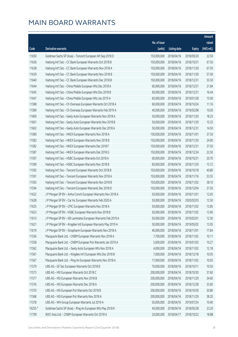|         |                                                              |              |                       |               | Amount      |
|---------|--------------------------------------------------------------|--------------|-----------------------|---------------|-------------|
|         |                                                              | No. of issue |                       |               | raised      |
| Code    | Derivative warrants                                          | (units)      | <b>Listing date</b>   | <b>Expiry</b> | (HK\$ mil.) |
| 11650   | Goldman Sachs SP (Asia) - Tencent European Wt Sep 2018 D     | 150,000,000  | 2018/04/16            | 2018/09/20    | 22.50       |
| 11636   | Haitong Int'l Sec - CC Bank European Warrants Oct 2018 B     | 150,000,000  | 2018/04/16            | 2018/10/31    | 67.50       |
| 11638   | Haitong Int'l Sec - CC Bank European Warrants Nov 2018 A     | 150,000,000  | 2018/04/16            | 2018/11/30    | 67.50       |
| 11639   | Haitong Int'l Sec - CC Bank European Warrants Nov 2018 B     | 150,000,000  | 2018/04/16            | 2018/11/30    | 57.00       |
| 11640   | Haitong Int'l Sec - CC Bank European Warrants Dec 2018 B     | 150,000,000  | 2018/04/16            | 2018/12/31    | 55.50       |
| 11644   | Haitong Int'l Sec - China Mobile European Wts Dec 2018 A     | 60,000,000   | 2018/04/16            | 2018/12/31    | 21.84       |
| 11645   | Haitong Int'l Sec - China Mobile European Wts Dec 2018 B     | 60,000,000   | 2018/04/16            | 2018/12/31    | 16.44       |
| 11647   | Haitong Int'l Sec - China Mobile European Wts Jan 2019 A     | 60,000,000   | 2018/04/16            | 2019/01/28    | 15.00       |
| 11588   | Haitong Int'l Sec - Ch Overseas European Warrants Oct 2018 A | 60,000,000   | 2018/04/16            | 2018/10/24    | 11.16       |
| 11589   | Haitong Int'l Sec - Ch Overseas European Warrants Feb 2019 A | 40,000,000   | 2018/04/16            | 2019/02/08    | 10.00       |
| 11600   | Haitong Int'l Sec - Geely Auto European Warrants Nov 2018 A  | 50,000,000   | 2018/04/16            | 2018/11/20    | 18.25       |
| 11601   | Haitong Int'l Sec - Geely Auto European Warrants Nov 2018 B  | 50,000,000   | 2018/04/16            | 2018/11/20    | 15.35       |
| 11602   | Haitong Int'l Sec - Geely Auto European Warrants Dec 2018 A  | 50,000,000   | 2018/04/16            | 2018/12/31    | 14.50       |
| 11580   | Haitong Int'l Sec - HKEX European Warrants Nov 2018 A        | 150,000,000  | 2018/04/16            | 2018/11/01    | 37.50       |
| 11583   | Haitong Int'l Sec - HKEX European Warrants Nov 2018 B        | 150,000,000  | 2018/04/16            | 2018/11/30    | 24.00       |
| 11582   | Haitong Int'l Sec - HKEX European Warrants Dec 2018 F        | 150,000,000  | 2018/04/16            | 2018/12/31    | 37.50       |
| 11587   | Haitong Int'l Sec - HKEX European Warrants Dec 2018 G        | 150,000,000  | 2018/04/16            | 2018/12/24    | 22.50       |
| 11597   | Haitong Int'l Sec - HSBC European Warrants Oct 2018 A        | 60,000,000   | 2018/04/16            | 2018/10/31    | 20.70       |
| 11599   | Haitong Int'l Sec - HSBC European Warrants Nov 2018 B        | 60,000,000   | 2018/04/16            | 2018/11/20    | 15.72       |
| 11592   | Haitong Int'l Sec - Tencent European Warrants Oct 2018 B     | 150,000,000  | 2018/04/16            | 2018/10/18    | 40.80       |
| 11591   | Haitong Int'l Sec - Tencent European Warrants Nov 2018 A     | 150,000,000  | 2018/04/16            | 2018/11/16    | 53.55       |
| 11593   | Haitong Int'l Sec - Tencent European Warrants Nov 2018 B     | 150,000,000  | 2018/04/16            | 2018/11/02    | 38.10       |
| 11594   | Haitong Int'l Sec - Tencent European Warrants Dec 2018 D     | 150,000,000  | 2018/04/16            | 2018/12/04    | 37.50       |
| 11622   | J P Morgan SP BV - Anhui Conch European Warrants Nov 2018 A  | 50,000,000   | 2018/04/16            | 2018/11/01    | 12.65       |
| 11628   | J P Morgan SP BV - Car Inc European Warrants Feb 2020 A      | 50,000,000   | 2018/04/16            | 2020/02/03    | 12.50       |
| 11625   | J P Morgan SP BV - CPIC European Warrants Nov 2018 A         | 50,000,000   | 2018/04/16            | 2018/11/02    | 13.85       |
| 11623   | J P Morgan SP BV - HSBC European Warrants Nov 2018 B         |              | 50,000,000 2018/04/16 | 2018/11/02    | 13.90       |
| 11613   | J P Morgan SP BV - KB Laminates European Warrants Feb 2019 A | 50,000,000   | 2018/04/16            | 2019/02/01    | 12.50       |
| 11621   | J P Morgan SP BV - Kingdee Intl European Warrants May 2019 A | 50,000,000   | 2018/04/16            | 2019/05/02    | 13.05       |
| 11619   | J P Morgan SP BV - Sinopharm European Warrants Nov 2018 A    | 40,000,000   | 2018/04/16            | 2018/11/01    | 17.84       |
| 11556   | Macquarie Bank Ltd. - CNBM European Warrants Nov 2018 A      | 7,700,000    | 2018/04/16            | 2018/11/02    | 10.11       |
| 11558   | Macquarie Bank Ltd. - CNBM European Put Warrants Jan 2019 A  | 5,000,000    | 2018/04/16            | 2019/01/03    | 10.27       |
| 11562   | Macquarie Bank Ltd. - Geely Auto European Wts Nov 2018 A     | 4,000,000    | 2018/04/16            | 2018/11/02    | 12.18       |
| 11561   | Macquarie Bank Ltd. - Kingdee Int'l European Wts Dec 2018 B  | 7,000,000    | 2018/04/16            | 2018/12/18    | 10.05       |
| 11567   | Macquarie Bank Ltd. - Ping An European Warrants Nov 2018 A   | 17,000,000   | 2018/04/16            | 2018/11/02    | 10.05       |
| 11579   | UBS AG - GF Sec European Warrants Oct 2018 B                 | 70,000,000   | 2018/04/16            | 2018/10/11    | 10.50       |
| 11573   | UBS AG - HSI European Warrants Oct 2018 C                    | 200,000,000  | 2018/04/16            | 2018/10/30    | 37.60       |
| 11577   | UBS AG - HSI European Warrants Nov 2018 B                    | 200,000,000  | 2018/04/16            | 2018/11/29    | 34.60       |
| 11576   | UBS AG - HSI European Warrants Dec 2018 A                    | 200,000,000  | 2018/04/16            | 2018/12/28    | 33.60       |
| 11570   | UBS AG - HSI European Put Warrants Oct 2018 B                | 200,000,000  | 2018/04/16            | 2018/10/30    | 30.80       |
| 11568   | UBS AG - HSI European Put Warrants Nov 2018 A                | 200,000,000  | 2018/04/16            | 2018/11/29    | 38.20       |
| 11578   | UBS AG - WH Group European Warrants Jul 2019 A               | 50,000,000   | 2018/04/16            | 2019/07/24    | 10.40       |
| 19255 # | Goldman Sachs SP (Asia) - Ping An European Wts May 2018 K    | 40,000,000   | 2018/04/16            | 2018/05/28    | 23.20       |
| 11709   | BOCI Asia Ltd. - CNBM European Warrants Oct 2018 A           | 20,000,000   | 2018/04/17            | 2018/10/22    | 18.88       |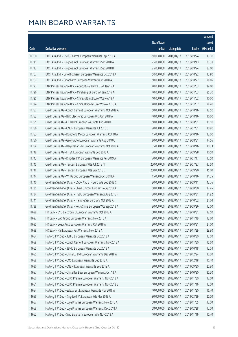|       |                                                               |              |                       |               | Amount      |
|-------|---------------------------------------------------------------|--------------|-----------------------|---------------|-------------|
|       |                                                               | No. of issue |                       |               | raised      |
| Code  | <b>Derivative warrants</b>                                    | (units)      | <b>Listing date</b>   | <b>Expiry</b> | (HK\$ mil.) |
| 11700 | BOCI Asia Ltd. - CSPC Pharma European Warrants Sep 2018 A     | 50,000,000   | 2018/04/17            | 2018/09/24    | 13.30       |
| 11711 | BOCI Asia Ltd. - Kingdee Int'l European Warrants Sep 2018 A   | 25,000,000   | 2018/04/17            | 2018/09/13    | 33.78       |
| 11712 | BOCI Asia Ltd. - Kingdee Int'l European Warrants Sep 2018 B   | 25,000,000   | 2018/04/17            | 2018/09/24    | 32.00       |
| 11707 | BOCI Asia Ltd. - Sino Biopharm European Warrants Oct 2018 A   | 50,000,000   | 2018/04/17            | 2018/10/22    | 13.80       |
| 11702 | BOCI Asia Ltd. - Sinopharm European Warrants Oct 2018 A       | 50,000,000   | 2018/04/17            | 2018/10/22    | 28.05       |
| 11723 | BNP Paribas Issuance B.V. - Agricultural Bank Eu Wt Jan 19 A  | 40,000,000   | 2018/04/17            | 2019/01/03    | 14.00       |
| 11726 | BNP Paribas Issuance B.V. - Minsheng Bk Euro Wt Jan 2019 A    | 40,000,000   | 2018/04/17            | 2019/01/03    | 25.20       |
| 11725 | BNP Paribas Issuance B.V. - Chinasoft Int'l Euro Wts Nov18 A  | 10,000,000   | 2018/04/17            | 2018/11/02    | 10.00       |
| 11724 | BNP Paribas Issuance B.V. - China Unicom Euro Wt Nov 2018 A   | 40,000,000   | 2018/04/17            | 2018/11/02    | 28.40       |
| 11757 | Credit Suisse AG - Conch Cement European Warrants Oct 2018 A  | 50,000,000   | 2018/04/17            | 2018/10/16    | 12.50       |
| 11752 | Credit Suisse AG - BYD Electronic European Wts Oct 2018 A     | 40,000,000   | 2018/04/17            | 2018/10/16    | 10.00       |
| 11755 | Credit Suisse AG - CC Bank European Warrants Aug 2018 F       | 50,000,000   | 2018/04/17            | 2018/08/31    | 11.10       |
| 11756 | Credit Suisse AG - CNBM European Warrants Jul 2018 B          | 20,000,000   | 2018/04/17            | 2018/07/31    | 10.80       |
| 11753 | Credit Suisse AG - Dongfeng Motor European Warrants Oct 18 A  | 15,000,000   | 2018/04/17            | 2018/10/16    | 12.00       |
| 11750 | Credit Suisse AG - Geely Auto European Warrants Aug 2018 C    | 80,000,000   | 2018/04/17            | 2018/08/31    | 14.56       |
| 11754 | Credit Suisse AG - Baiyunshan Ph European Warrants Oct 2018 A | 35,000,000   | 2018/04/17            | 2018/10/16    | 10.33       |
| 11748 | Credit Suisse AG - HTSC European Warrants Sep 2018 A          | 70,000,000   | 2018/04/17            | 2018/09/28    | 10.50       |
| 11743 | Credit Suisse AG - Kingdee Int'l European Warrants Jan 2019 A | 70,000,000   | 2018/04/17            | 2019/01/17    | 17.50       |
| 11745 | Credit Suisse AG - Tencent European Wts Jul 2018 N            | 250,000,000  | 2018/04/17            | 2018/07/23    | 37.50       |
| 11746 | Credit Suisse AG - Tencent European Wts Sep 2018 B            | 250,000,000  | 2018/04/17            | 2018/09/20    | 45.00       |
| 11744 | Credit Suisse AG - WH Group European Warrants Oct 2018 A      | 15,000,000   | 2018/04/17            | 2018/10/16    | 11.25       |
| 11740 | Goldman Sachs SP (Asia) - CSOP A50 ETF Euro Wts Sep 2018 C    | 80,000,000   | 2018/04/17            | 2018/09/11    | 43.76       |
| 11735 | Goldman Sachs SP (Asia) - China Unicom Euro Wts Aug 2018 A    | 50,000,000   | 2018/04/17            | 2018/08/30    | 12.45       |
| 11734 | Goldman Sachs SP (Asia) - HSBC European Warrants Aug 2018 F   | 80,000,000   | 2018/04/17            | 2018/08/31    | 21.92       |
| 11741 | Goldman Sachs SP (Asia) - Haitong Sec Euro Wts Oct 2018 A     | 40,000,000   | 2018/04/17            | 2018/10/02    | 24.04       |
| 11738 | Goldman Sachs SP (Asia) - PetroChina European Wts Sep 2018 A  | 80,000,000   | 2018/04/17            | 2018/09/26    | 12.00       |
| 11698 | HK Bank - BYD Electronic EEuropean Warrants Oct 2018 A        |              | 50,000,000 2018/04/17 | 2018/10/31    | 12.50       |
| 11697 | HK Bank - GAC Group European Warrants Nov 2018 A              | 80,000,000   | 2018/04/17            | 2018/11/19    | 12.00       |
| 11695 | HK Bank - Geely Auto European Warrants Oct 2018 A             | 80,000,000   | 2018/04/17            | 2018/10/31    | 24.00       |
| 11699 | HK Bank - HSI European Put Warrants Nov 2018 A                | 180,000,000  | 2018/04/17            | 2018/11/29    | 28.80       |
| 11664 | Haitong Int'l Sec - 3SBIO European Warrants Oct 2018 A        | 40,000,000   | 2018/04/17            | 2018/10/30    | 13.60       |
| 11659 | Haitong Int'l Sec - Conch Cement European Warrants Nov 2018 A | 40,000,000   | 2018/04/17            | 2018/11/30    | 15.60       |
| 11665 | Haitong Int'l Sec - BBMG European Warrants Oct 2018 A         | 28,000,000   | 2018/04/17            | 2018/10/18    | 12.04       |
| 11655 | Haitong Int'l Sec - China EB Ltd European Warrants Dec 2018 A | 40,000,000   | 2018/04/17            | 2018/12/24    | 10.00       |
| 11658 | Haitong Int'l Sec - CMS European Warrants Dec 2018 A          | 40,000,000   | 2018/04/17            | 2018/12/18    | 16.40       |
| 11680 | Haitong Int'l Sec - CNBM European Warrants Sep 2019 A         | 80,000,000   | 2018/04/17            | 2019/09/30    | 20.80       |
| 11657 | Haitong Int'l Sec - China Res Beer European Warrants Oct 18 A | 50,000,000   | 2018/04/17            | 2018/10/30    | 30.50       |
| 11660 | Haitong Int'l Sec - CSPC Pharma European Warrants Nov 2018 A  | 40,000,000   | 2018/04/17            | 2018/11/30    | 17.60       |
| 11661 | Haitong Int'l Sec - CSPC Pharma European Warrants Nov 2018 B  | 40,000,000   | 2018/04/17            | 2018/11/16    | 12.00       |
| 11654 | Haitong Int'l Sec - Galaxy Ent European Warrants Nov 2018 A   | 40,000,000   | 2018/04/17            | 2018/11/30    | 16.40       |
| 11656 | Haitong Int'l Sec - Kingdee Int'l European Wts Mar 2019 A     | 80,000,000   | 2018/04/17            | 2019/03/29    | 20.00       |
| 11667 | Haitong Int'l Sec - Luye Pharma European Warrants Nov 2018 A  | 68,000,000   | 2018/04/17            | 2018/11/05    | 17.00       |
| 11668 | Haitong Int'l Sec - Luye Pharma European Warrants Dec 2018 A  | 68,000,000   | 2018/04/17            | 2018/12/28    | 17.00       |
| 11662 | Haitong Int'l Sec - Sino Biopharm European Wts Nov 2018 A     | 40,000,000   | 2018/04/17            | 2018/11/16    | 10.40       |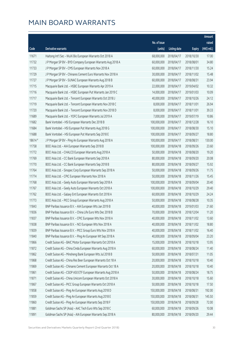|         |                                                               |              |                       |               | Amount      |
|---------|---------------------------------------------------------------|--------------|-----------------------|---------------|-------------|
|         |                                                               | No. of issue |                       |               | raised      |
| Code    | Derivative warrants                                           | (units)      | <b>Listing date</b>   | <b>Expiry</b> | (HK\$ mil.) |
| 11671   | Haitong Int'l Sec - WuXi Bio European Warrants Oct 2018 A     | 68,000,000   | 2018/04/17            | 2018/10/30    | 17.00       |
| 11732   | J P Morgan SP BV - BYD Company European Warrants Aug 2018 A   | 60,000,000   | 2018/04/17            | 2018/08/01    | 34.80       |
| 11733   | J P Morgan SP BV - CMS European Warrants Nov 2018 A           | 60,000,000   | 2018/04/17            | 2018/11/30    | 15.24       |
| 11729   | J P Morgan SP BV - Chinares Cement Euro Warrants Nov 2018 A   | 30,000,000   | 2018/04/17            | 2018/11/02    | 15.48       |
| 11727   | J P Morgan SP BV - SUNAC European Warrants Aug 2018 B         | 60,000,000   | 2018/04/17            | 2018/08/31    | 23.94       |
| 11715   | Macquarie Bank Ltd. - HSBC European Warrants Apr 2019 A       | 22,000,000   | 2018/04/17            | 2019/04/02    | 10.32       |
| 11716   | Macquarie Bank Ltd. - HSBC European Put Warrants Jan 2019 C   | 14,000,000   | 2018/04/17            | 2019/01/03    | 10.09       |
| 11717   | Macquarie Bank Ltd. - Tencent European Warrants Oct 2018 J    | 40,000,000   | 2018/04/17            | 2018/10/26    | 24.12       |
| 11719   | Macquarie Bank Ltd. - Tencent European Warrants Nov 2018 C    | 8,000,000    | 2018/04/17            | 2018/11/01    | 26.94       |
| 11720   | Macquarie Bank Ltd. - Tencent European Warrants Nov 2018 D    | 8,000,000    | 2018/04/17            | 2018/11/01    | 39.33       |
| 11689   | Macquarie Bank Ltd. - YOFC European Warrants Jul 2019 A       | 7,000,000    | 2018/04/17            | 2019/07/19    | 10.86       |
| 11682   | Bank Vontobel - HSI European Warrants Dec 2018 B              | 100,000,000  | 2018/04/17            | 2018/12/28    | 16.10       |
| 11684   | Bank Vontobel - HSI European Put Warrants Aug 2018 G          | 100,000,000  | 2018/04/17            | 2018/08/30    | 15.10       |
| 11688   | Bank Vontobel - HSI European Put Warrants Sep 2018 E          | 100,000,000  | 2018/04/17            | 2018/09/27    | 18.80       |
| 18614 # | J P Morgan SP BV - Ping An European Warrants Aug 2018 A       | 100,000,000  | 2018/04/17            | 2018/08/31    | 130.00      |
| 11758   | BOCI Asia Ltd. - AIA European Warrants Sep 2018 B             | 100,000,000  | 2018/04/18            | 2018/09/26    | 23.60       |
| 11772   | BOCI Asia Ltd. - CHALCO European Warrants Aug 2018 A          | 50,000,000   | 2018/04/18            | 2018/08/20    | 19.20       |
| 11769   | BOCI Asia Ltd. - CC Bank European Warrants Sep 2018 A         | 80,000,000   | 2018/04/18            | 2018/09/20    | 20.08       |
| 11770   | BOCI Asia Ltd. - CC Bank European Warrants Sep 2018 B         | 80,000,000   | 2018/04/18            | 2018/09/27    | 15.92       |
| 11764   | BOCI Asia Ltd. - Sinopec Corp European Warrants Sep 2018 A    | 50,000,000   | 2018/04/18            | 2018/09/26    | 11.75       |
| 11774   | BOCI Asia Ltd. - CPIC European Warrants Nov 2018 A            | 50,000,000   | 2018/04/18            | 2018/11/26    | 15.45       |
| 11768   | BOCI Asia Ltd. - Geely Auto European Warrants Sep 2018 A      | 100,000,000  | 2018/04/18            | 2018/09/04    | 20.40       |
| 11767   | BOCI Asia Ltd. - Geely Auto European Warrants Oct 2018 A      | 100,000,000  | 2018/04/18            | 2018/10/29    | 29.40       |
| 11762   | BOCI Asia Ltd. - Galaxy Ent European Warrants Oct 2018 A      | 60,000,000   | 2018/04/18            | 2018/10/29    | 24.24       |
| 11773   | BOCI Asia Ltd. - PICC Group European Warrants Aug 2018 A      | 50,000,000   | 2018/04/18            | 2018/08/28    | 10.35       |
| 11843   | BNP Paribas Issuance B.V. - AIA European Wts Jan 2019 B       | 40,000,000   | 2018/04/18            | 2019/01/03    | 21.60       |
| 11836   | BNP Paribas Issuance B.V. - China Life Euro Wts Dec 2018 B    |              | 70,000,000 2018/04/18 | 2018/12/04    | 11.20       |
| 11837   | BNP Paribas Issuance B.V. - CPIC European Wts Nov 2018 A      | 40,000,000   | 2018/04/18            | 2018/11/02    | 13.60       |
| 11838   | BNP Paribas Issuance B.V. - NCI European Wts Nov 2018 A       | 40,000,000   | 2018/04/18            | 2018/11/02    | 18.80       |
| 11839   | BNP Paribas Issuance B.V. - PICC Group Euro Wts Nov 2018 A    | 40,000,000   | 2018/04/18            | 2018/11/02    | 16.40       |
| 11840   | BNP Paribas Issuance B.V. - Ping An European Wt Sep 2018 A    | 40,000,000   | 2018/04/18            | 2018/09/04    | 23.20       |
| 11866   | Credit Suisse AG - BAIC Motor European Warrants Oct 2018 A    | 15,000,000   | 2018/04/18            | 2018/10/18    | 13.95       |
| 11872   | Credit Suisse AG - China Cinda European Warrants Aug 2018 A   | 60,000,000   | 2018/04/18            | 2018/08/24    | 11.40       |
| 11862   | Credit Suisse AG - Minsheng Bank European Wts Jul 2018 B      | 50,000,000   | 2018/04/18            | 2018/07/31    | 11.05       |
| 11868   | Credit Suisse AG - China Res Beer European Warrants Oct 18 A  | 20,000,000   | 2018/04/18            | 2018/10/18    | 10.40       |
| 11869   | Credit Suisse AG - Chinares Cement European Warrants Oct 18 A | 20,000,000   | 2018/04/18            | 2018/10/18    | 10.40       |
| 11861   | Credit Suisse AG - CSOP A50 ETF European Warrants Aug 2018 A  | 50,000,000   | 2018/04/18            | 2018/08/24    | 18.75       |
| 11871   | Credit Suisse AG - China Unicom European Warrants Oct 2018 A  | 30,000,000   | 2018/04/18            | 2018/10/18    | 15.60       |
| 11867   | Credit Suisse AG - PICC Group European Warrants Oct 2018 A    | 50,000,000   | 2018/04/18            | 2018/10/18    | 17.50       |
| 11858   | Credit Suisse AG - Ping An European Warrants Aug 2018 D       | 150,000,000  | 2018/04/18            | 2018/08/31    | 192.00      |
| 11859   | Credit Suisse AG - Ping An European Warrants Aug 2018 E       | 150,000,000  | 2018/04/18            | 2018/08/31    | 145.50      |
| 11860   | Credit Suisse AG - Ping An European Warrants Sep 2018 F       | 150,000,000  | 2018/04/18            | 2018/09/28    | 72.00       |
| 11881   | Goldman Sachs SP (Asia) - AAC Tech Euro Wts Sep 2018 C        | 60,000,000   | 2018/04/18            | 2018/09/26    | 10.08       |
| 11891   | Goldman Sachs SP (Asia) - AIA European Warrants Sep 2018 A    | 80,000,000   | 2018/04/18            | 2018/09/20    | 29.44       |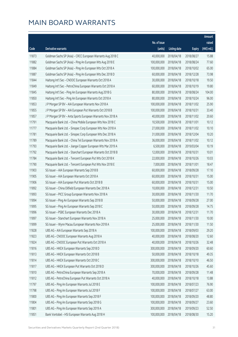|       |                                                              |              |                       |               | Amount      |
|-------|--------------------------------------------------------------|--------------|-----------------------|---------------|-------------|
|       |                                                              | No. of issue |                       |               | raised      |
| Code  | Derivative warrants                                          | (units)      | <b>Listing date</b>   | <b>Expiry</b> | (HK\$ mil.) |
| 11873 | Goldman Sachs SP (Asia) - CRCC European Warrants Aug 2018 C  | 40,000,000   | 2018/04/18            | 2018/08/27    | 15.88       |
| 11882 | Goldman Sachs SP (Asia) - Ping An European Wts Aug 2018 E    | 100,000,000  | 2018/04/18            | 2018/08/24    | 77.60       |
| 11884 | Goldman Sachs SP (Asia) - Ping An European Wts Oct 2018 A    | 100,000,000  | 2018/04/18            | 2018/10/02    | 65.00       |
| 11887 | Goldman Sachs SP (Asia) - Ping An European Wts Dec 2018 D    | 60,000,000   | 2018/04/18            | 2018/12/28    | 73.98       |
| 11844 | Haitong Int'l Sec - CNOOC European Warrants Oct 2018 A       | 30,000,000   | 2018/04/18            | 2018/10/18    | 19.50       |
| 11849 | Haitong Int'l Sec - PetroChina European Warrants Oct 2018 A  | 60,000,000   | 2018/04/18            | 2018/10/19    | 19.80       |
| 11845 | Haitong Int'l Sec - Ping An European Warrants Aug 2018 G     | 80,000,000   | 2018/04/18            | 2018/08/24    | 104.00      |
| 11850 | Haitong Int'l Sec - Ping An European Warrants Oct 2018 A     | 80,000,000   | 2018/04/18            | 2018/10/24    | 96.00       |
| 11853 | J P Morgan SP BV - AIA European Warrants Nov 2018 A          | 100,000,000  | 2018/04/18            | 2018/11/02    | 25.90       |
| 11855 | J P Morgan SP BV - AIA European Put Warrants Oct 2018 B      | 100,000,000  | 2018/04/18            | 2018/10/31    | 33.40       |
| 11857 | J P Morgan SP BV - Anta Sports European Warrants Nov 2018 A  | 40,000,000   | 2018/04/18            | 2018/11/02    | 20.60       |
| 11791 | Macquarie Bank Ltd. - China Mobile European Wts Nov 2018 C   | 10,500,000   | 2018/04/18            | 2018/11/01    | 10.12       |
| 11777 | Macquarie Bank Ltd. - Sinopec Corp European Wts Nov 2018 A   | 27,000,000   | 2018/04/18            | 2018/11/02    | 10.10       |
| 11781 | Macquarie Bank Ltd. - Sinopec Corp European Wts Dec 2018 A   | 31,000,000   | 2018/04/18            | 2018/12/04    | 10.20       |
| 11789 | Macquarie Bank Ltd. - China Tel European Warrants Nov 2018 A | 36,000,000   | 2018/04/18            | 2018/11/02    | 10.12       |
| 11793 | Macquarie Bank Ltd. - Jiangxi Copper European Wts Mar 2019 A | 6,500,000    | 2018/04/18            | 2019/03/04    | 10.19       |
| 11792 | Macquarie Bank Ltd. - Stanchart European Warrants Oct 2018 B | 12,000,000   | 2018/04/18            | 2018/10/31    | 10.01       |
| 11784 | Macquarie Bank Ltd. - Tencent European Put Wts Oct 2018 K    | 22,000,000   | 2018/04/18            | 2018/10/26    | 10.03       |
| 11790 | Macquarie Bank Ltd. - Tencent European Put Wts Nov 2018 E    | 7,000,000    | 2018/04/18            | 2018/11/01    | 18.47       |
| 11903 | SG Issuer - AIA European Warrants Sep 2018 B                 | 60,000,000   | 2018/04/18            | 2018/09/28    | 17.10       |
| 11905 | SG Issuer - AIA European Warrants Oct 2018 A                 | 60,000,000   | 2018/04/18            | 2018/10/31    | 15.00       |
| 11906 | SG Issuer - AIA European Put Warrants Oct 2018 B             | 60,000,000   | 2018/04/18            | 2018/10/31    | 15.00       |
| 11892 | SG Issuer - China Oilfield European Warrants Dec 2018 A      | 10,000,000   | 2018/04/18            | 2018/12/31    | 10.50       |
| 11893 | SG Issuer - PICC Group European Warrants Nov 2018 A          | 30,000,000   | 2018/04/18            | 2018/11/30    | 11.70       |
| 11894 | SG Issuer - Ping An European Warrants Sep 2018 B             | 50,000,000   | 2018/04/18            | 2018/09/28    | 27.00       |
| 11895 | SG Issuer - Ping An European Warrants Sep 2018 C             | 50,000,000   | 2018/04/18            | 2018/09/28    | 14.75       |
| 11896 | SG Issuer – PSBC European Warrants Dec 2018 A                |              | 30,000,000 2018/04/18 | 2018/12/31    | 11.70       |
| 11897 | SG Issuer - Stanchart European Warrants Nov 2018 A           | 25,000,000   | 2018/04/18            | 2018/11/30    | 10.00       |
| 11899 | SG Issuer - Wynn Macau European Warrants Nov 2018 A          | 25,000,000   | 2018/04/18            | 2018/11/30    | 11.50       |
| 11828 | UBS AG - AIA European Warrants Sep 2018 A                    | 100,000,000  | 2018/04/18            | 2018/09/03    | 29.20       |
| 11823 | UBS AG - CNOOC European Warrants Aug 2018 A                  | 40,000,000   | 2018/04/18            | 2018/08/20    | 12.60       |
| 11824 | UBS AG - CNOOC European Put Warrants Oct 2018 A              | 40,000,000   | 2018/04/18            | 2018/10/26    | 32.48       |
| 11816 | UBS AG - HKEX European Warrants Sep 2018 D                   | 300,000,000  | 2018/04/18            | 2018/09/20    | 60.60       |
| 11813 | UBS AG - HKEX European Warrants Oct 2018 B                   | 50,000,000   | 2018/04/18            | 2018/10/18    | 49.35       |
| 11814 | UBS AG - HKEX European Warrants Oct 2018 C                   | 300,000,000  | 2018/04/18            | 2018/10/10    | 46.50       |
| 11817 | UBS AG - HKEX European Put Warrants Oct 2018 D               | 300,000,000  | 2018/04/18            | 2018/10/26    | 45.60       |
| 11810 | UBS AG - PetroChina European Warrants Sep 2018 A             | 70,000,000   | 2018/04/18            | 2018/09/28    | 11.48       |
| 11812 | UBS AG - PetroChina European Put Warrants Oct 2018 A         | 40,000,000   | 2018/04/18            | 2018/10/18    | 13.88       |
| 11797 | UBS AG - Ping An European Warrants Jul 2018 E                | 100,000,000  | 2018/04/18            | 2018/07/23    | 76.90       |
| 11798 | UBS AG - Ping An European Warrants Jul 2018 F                | 100,000,000  | 2018/04/18            | 2018/07/27    | 63.00       |
| 11800 | UBS AG - Ping An European Warrants Sep 2018 F                | 100,000,000  | 2018/04/18            | 2018/09/20    | 48.80       |
| 11804 | UBS AG - Ping An European Warrants Sep 2018 G                | 100,000,000  | 2018/04/18            | 2018/09/27    | 23.60       |
| 11801 | UBS AG - Ping An European Warrants Sep 2019 A                | 300,000,000  | 2018/04/18            | 2019/09/23    | 52.50       |
| 11851 | Bank Vontobel - HSI European Warrants Aug 2018 H             | 100,000,000  | 2018/04/18            | 2018/08/30    | 15.20       |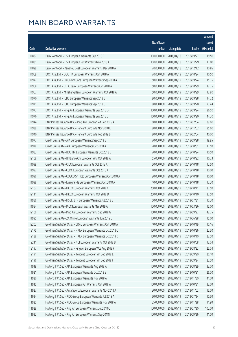|       |                                                               |                        |                     |               | Amount      |
|-------|---------------------------------------------------------------|------------------------|---------------------|---------------|-------------|
|       |                                                               | No. of issue           |                     |               | raised      |
| Code  | Derivative warrants                                           | (units)                | <b>Listing date</b> | <b>Expiry</b> | (HK\$ mil.) |
| 11832 | Bank Vontobel - HSI European Warrants Sep 2018 F              | 100,000,000            | 2018/04/18          | 2018/09/27    | 19.50       |
| 11831 | Bank Vontobel - HSI European Put Warrants Nov 2018 A          | 100,000,000            | 2018/04/18          | 2018/11/29    | 17.00       |
| 11829 | Bank Vontobel - Yanzhou Coal European Warrants Dec 2018 A     | 70,000,000             | 2018/04/18          | 2018/12/12    | 10.85       |
| 11969 | BOCI Asia Ltd. - BOC HK European Warrants Oct 2018 A          | 70,000,000             | 2018/04/19          | 2018/10/24    | 10.50       |
| 11972 | BOCI Asia Ltd. - Ch Comm Cons European Warrants Sep 2018 A    | 50,000,000             | 2018/04/19          | 2018/09/24    | 15.35       |
| 11968 | BOCI Asia Ltd. - CITIC Bank European Warrants Oct 2018 A      | 50,000,000             | 2018/04/19          | 2018/10/29    | 12.75       |
| 11967 | BOCI Asia Ltd. - Minsheng Bank European Warrants Oct 2018 A   | 50,000,000             | 2018/04/19          | 2018/10/29    | 12.80       |
| 11970 | BOCI Asia Ltd. - ICBC European Warrants Sep 2018 B            | 80,000,000             | 2018/04/19          | 2018/09/28    | 14.72       |
| 11971 | BOCI Asia Ltd. - ICBC European Warrants Sep 2018 C            | 80,000,000             | 2018/04/19          | 2018/09/20    | 23.44       |
| 11973 | BOCI Asia Ltd. - Ping An European Warrants Sep 2018 D         | 100,000,000            | 2018/04/19          | 2018/09/24    | 26.50       |
| 11976 | BOCI Asia Ltd. - Ping An European Warrants Sep 2018 E         | 100,000,000            | 2018/04/19          | 2018/09/20    | 44.30       |
| 11944 | BNP Paribas Issuance B.V. - Ping An European Wt Feb 2019 A    | 60,000,000             | 2018/04/19          | 2019/02/04    | 39.60       |
| 11939 | BNP Paribas Issuance B.V. - Tencent Euro Wts Nov 2018 E       | 80,000,000             | 2018/04/19          | 2018/11/02    | 25.60       |
| 11940 | BNP Paribas Issuance B.V. - Tencent Euro Wts Feb 2019 B       | 80,000,000             | 2018/04/19          | 2019/02/04    | 40.00       |
| 11977 | Credit Suisse AG - AIA European Warrants Sep 2018 B           | 70,000,000             | 2018/04/19          | 2018/09/28    | 19.95       |
| 11978 | Credit Suisse AG - AIA European Warrants Oct 2018 A           | 70,000,000             | 2018/04/19          | 2018/10/31    | 17.50       |
| 11983 | Credit Suisse AG - BOC HK European Warrants Oct 2018 B        | 70,000,000             | 2018/04/19          | 2018/10/24    | 10.50       |
| 12108 | Credit Suisse AG - Brilliance Chi European Wts Oct 2018 A     | 55,000,000             | 2018/04/19          | 2018/10/22    | 10.73       |
| 11999 | Credit Suisse AG - CICC European Warrants Oct 2018 A          | 50,000,000             | 2018/04/19          | 2018/10/18    | 12.50       |
| 11997 | Credit Suisse AG - CSDC European Warrants Oct 2018 A          | 40,000,000             | 2018/04/19          | 2018/10/18    | 10.00       |
| 11996 | Credit Suisse AG - COSCO Sh Hold European Warrants Oct 2018 A | 20,000,000             | 2018/04/19          | 2018/10/18    | 10.00       |
| 11998 | Credit Suisse AG - Evergrande European Warrants Oct 2018 A    | 40,000,000             | 2018/04/19          | 2018/10/18    | 17.20       |
| 12107 | Credit Suisse AG - HKEX European Warrants Oct 2018 C          | 250,000,000            | 2018/04/19          | 2018/10/11    | 37.50       |
| 12111 | Credit Suisse AG - HKEX European Warrants Oct 2018 D          | 250,000,000            | 2018/04/19          | 2018/10/10    | 37.50       |
| 11986 | Credit Suisse AG - HSCEI ETF European Warrants Jul 2018 B     | 60,000,000             | 2018/04/19          | 2018/07/31    | 10.20       |
| 11984 | Credit Suisse AG - PICC European Warrants Mar 2019 A          | 100,000,000            | 2018/04/19          | 2019/03/26    | 15.00       |
| 12106 | Credit Suisse AG - Ping An European Warrants Sep 2018 G       | 150,000,000 2018/04/19 |                     | 2018/09/27    | 42.75       |
| 11995 | Credit Suisse AG - ZA Onine European Warrants Jun 2019 B      | 100,000,000            | 2018/04/19          | 2019/06/28    | 15.00       |
| 12202 | Goldman Sachs SP (Asia) - CRRC European Warrants Oct 2018 A   | 40,000,000             | 2018/04/19          | 2018/10/19    | 10.16       |
| 12175 | Goldman Sachs SP (Asia) - HKEX European Warrants Oct 2018 C   | 150,000,000            | 2018/04/19          | 2018/10/26    | 22.50       |
| 12188 | Goldman Sachs SP (Asia) - HKEX European Warrants Oct 2018 D   | 150,000,000            | 2018/04/19          | 2018/10/10    | 22.50       |
| 12211 | Goldman Sachs SP (Asia) - NCI European Warrants Oct 2018 B    | 40,000,000             | 2018/04/19          | 2018/10/08    | 13.04       |
| 12197 | Goldman Sachs SP (Asia) - Ping An European Wts Aug 2018 F     | 80,000,000             | 2018/04/19          | 2018/08/22    | 25.04       |
| 12191 | Goldman Sachs SP (Asia) - Tencent European Wt Sep 2018 E      | 150,000,000            | 2018/04/19          | 2018/09/20    | 26.10       |
| 12196 | Goldman Sachs SP (Asia) - Tencent European Wt Sep 2018 F      | 150,000,000            | 2018/04/19          | 2018/09/24    | 22.50       |
| 11919 | Haitong Int'l Sec - AIA European Warrants Aug 2018 A          | 100,000,000            | 2018/04/19          | 2018/08/29    | 33.00       |
| 11921 | Haitong Int'l Sec - AIA European Warrants Oct 2018 B          | 100,000,000            | 2018/04/19          | 2018/10/31    | 26.00       |
| 11920 | Haitong Int'l Sec - AIA European Warrants Nov 2018 A          | 100,000,000            | 2018/04/19          | 2018/11/30    | 41.00       |
| 11915 | Haitong Int'l Sec - AIA European Put Warrants Oct 2018 A      | 100,000,000            | 2018/04/19          | 2018/10/31    | 33.00       |
| 11927 | Haitong Int'l Sec - Anta Sports European Warrants Nov 2018 A  | 30,000,000             | 2018/04/19          | 2018/11/02    | 15.00       |
| 11924 | Haitong Int'l Sec - PICC Group European Warrants Jul 2018 A   | 50,000,000             | 2018/04/19          | 2018/07/24    | 10.50       |
| 11925 | Haitong Int'l Sec - PICC Group European Warrants Nov 2018 A   | 35,000,000             | 2018/04/19          | 2018/11/28    | 11.90       |
| 11928 | Haitong Int'l Sec - Ping An European Warrants Jul 2018 C      | 100,000,000            | 2018/04/19          | 2018/07/30    | 102.00      |
| 11932 | Haitong Int'l Sec - Ping An European Warrants Sep 2018 I      | 100,000,000            | 2018/04/19          | 2018/09/26    | 41.00       |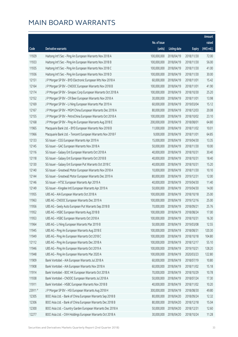|         |                                                              |                        |                     |               | Amount      |
|---------|--------------------------------------------------------------|------------------------|---------------------|---------------|-------------|
|         |                                                              | No. of issue           |                     |               | raised      |
| Code    | Derivative warrants                                          | (units)                | <b>Listing date</b> | <b>Expiry</b> | (HK\$ mil.) |
| 11929   | Haitong Int'l Sec - Ping An European Warrants Nov 2018 A     | 100,000,000            | 2018/04/19          | 2018/11/30    | 72.00       |
| 11933   | Haitong Int'l Sec - Ping An European Warrants Nov 2018 B     | 100,000,000            | 2018/04/19          | 2018/11/30    | 56.00       |
| 11935   | Haitong Int'l Sec - Ping An European Warrants Nov 2018 C     | 100,000,000            | 2018/04/19          | 2018/11/30    | 41.00       |
| 11936   | Haitong Int'l Sec - Ping An European Warrants Nov 2018 D     | 100,000,000            | 2018/04/19          | 2018/11/30    | 30.00       |
| 12151   | J P Morgan SP BV - BYD Electronic European Wts Nov 2018 A    | 60,000,000             | 2018/04/19          | 2018/11/01    | 15.42       |
| 12164   | J P Morgan SP BV - CNOOC European Warrants Nov 2018 B        | 100,000,000            | 2018/04/19          | 2018/11/01    | 41.90       |
| 12174   | J P Morgan SP BV - Sinopec Corp European Warrants Oct 2018 A | 100,000,000            | 2018/04/19          | 2018/10/30    | 25.20       |
| 12152   | J P Morgan SP BV - CR Beer European Warrants Nov 2018 A      | 30,000,000             | 2018/04/19          | 2018/11/01    | 13.98       |
| 12169   | J P Morgan SP BV - Li Ning European Warrants Mar 2019 A      | 60,000,000             | 2018/04/19          | 2019/03/04    | 15.12       |
| 12167   | J P Morgan SP BV - MGM China European Warrants Dec 2018 A    | 80,000,000             | 2018/04/19          | 2018/12/03    | 20.08       |
| 12155   | J P Morgan SP BV - PetroChina European Warrants Oct 2018 A   | 100,000,000            | 2018/04/19          | 2018/10/02    | 23.10       |
| 12168   | J P Morgan SP BV - Ping An European Warrants Aug 2018 E      | 200,000,000            | 2018/04/19          | 2018/08/01    | 64.80       |
| 11965   | Macquarie Bank Ltd. - BYD European Warrants Nov 2018 B       | 11,000,000             | 2018/04/19          | 2018/11/02    | 10.01       |
| 11966   | Macquarie Bank Ltd. - Tencent European Warrants Nov 2018 F   | 9,000,000              | 2018/04/19          | 2018/11/01    | 64.85       |
| 12133   | SG Issuer - CGS European Warrants Apr 2019 A                 | 15,000,000             | 2018/04/19          | 2019/04/30    | 13.35       |
| 12145   | SG Issuer - GAC European Warrants Nov 2018 A                 | 50,000,000             | 2018/04/19          | 2018/11/30    | 10.00       |
| 12116   | SG Issuer - Galaxy Ent European Warrants Oct 2018 A          | 40,000,000             | 2018/04/19          | 2018/10/31    | 30.40       |
| 12118   | SG Issuer - Galaxy Ent European Warrants Oct 2018 B          | 40,000,000             | 2018/04/19          | 2018/10/31    | 18.40       |
| 12130   | SG Issuer - Galaxy Ent European Put Warrants Oct 2018 C      | 40,000,000             | 2018/04/19          | 2018/10/31    | 15.20       |
| 12140   | SG Issuer - Greatwall Motor European Warrants Nov 2018 A     | 10,000,000             | 2018/04/19          | 2018/11/30    | 10.10       |
| 12144   | SG Issuer - Greatwall Motor European Warrants Dec 2019 A     | 80,000,000             | 2018/04/19          | 2019/12/31    | 12.00       |
| 12146   | SG Issuer - HTSC European Warrants Apr 2019 A                | 40,000,000             | 2018/04/19          | 2019/04/30    | 11.40       |
| 12149   | SG Issuer - Kingdee Intl European Warrants Apr 2019 A        | 50,000,000             | 2018/04/19          | 2019/04/30    | 14.00       |
| 11955   | UBS AG - AIA European Warrants Oct 2018 A                    | 100,000,000            | 2018/04/19          | 2018/10/18    | 25.00       |
| 11963   | UBS AG - CNOOC European Warrants Dec 2019 A                  | 100,000,000            | 2018/04/19          | 2019/12/16    | 25.00       |
| 11956   | UBS AG - Geely Auto European Put Warrants Sep 2018 B         | 70,000,000             | 2018/04/19          | 2018/09/21    | 25.76       |
| 11952   | UBS AG - HSBC European Warrants Aug 2018 B                   | 100,000,000 2018/04/19 |                     | 2018/08/24    | 17.00       |
| 11953   | UBS AG - HSBC European Warrants Oct 2018 A                   | 100,000,000            | 2018/04/19          | 2018/10/31    | 16.30       |
| 11964   | UBS AG - Li Ning European Warrants Mar 2019 B                | 50,000,000             | 2018/04/19          | 2019/03/08    | 12.55       |
| 11945   | UBS AG - Ping An European Warrants Aug 2018 E                | 100,000,000            | 2018/04/19          | 2018/08/31    | 120.30      |
| 11949   | UBS AG - Ping An European Warrants Oct 2018 C                | 100,000,000            | 2018/04/19          | 2018/10/18    | 104.80      |
| 12112   | UBS AG - Ping An European Warrants Dec 2018 A                | 100,000,000            | 2018/04/19          | 2018/12/17    | 55.10       |
| 11946   | UBS AG - Ping An European Warrants Oct 2019 A                | 100,000,000            | 2018/04/19          | 2019/10/21    | 128.20      |
| 11948   | UBS AG - Ping An European Warrants Mar 2020 A                | 100,000,000            | 2018/04/19          | 2020/03/23    | 122.80      |
| 11909   | Bank Vontobel - AIA European Warrants Jul 2018 A             | 60,000,000             | 2018/04/19          | 2018/07/19    | 10.80       |
| 11908   | Bank Vontobel - AIA European Warrants Nov 2018 A             | 60,000,000             | 2018/04/19          | 2018/11/02    | 15.18       |
| 11914   | Bank Vontobel - BOC HK European Warrants Oct 2018 A          | 70,000,000             | 2018/04/19          | 2018/10/29    | 10.78       |
| 11938   | Bank Vontobel - CNOOC European Warrants Jul 2018 A           | 50,000,000             | 2018/04/19          | 2018/07/24    | 17.30       |
| 11911   | Bank Vontobel - HSBC European Warrants Nov 2018 B            | 40,000,000             | 2018/04/19          | 2018/11/02    | 10.20       |
| 23911 # | J P Morgan SP BV - HSI European Warrants Aug 2018 H          | 300,000,000            | 2018/04/19          | 2018/08/30    | 49.80       |
| 12305   | BOCI Asia Ltd. - Bank of China European Warrants Sep 2018 B  | 80,000,000             | 2018/04/20          | 2018/09/24    | 12.32       |
| 12306   | BOCI Asia Ltd. - Bank of China European Warrants Dec 2018 B  | 80,000,000             | 2018/04/20          | 2018/12/18    | 15.04       |
| 12300   | BOCI Asia Ltd. - Country Garden European Warrants Dec 2018 A | 50,000,000             | 2018/04/20          | 2018/12/31    | 12.60       |
| 12277   | BOCI Asia Ltd. - CKH Holdings European Warrants Oct 2018 A   | 30,000,000             | 2018/04/20          | 2018/10/24    | 11.28       |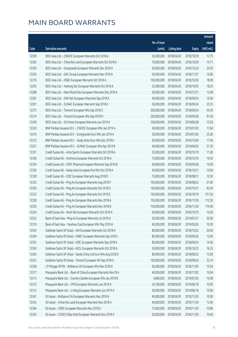|       |                                                               |              |                       |               | Amount      |
|-------|---------------------------------------------------------------|--------------|-----------------------|---------------|-------------|
|       |                                                               | No. of issue |                       |               | raised      |
| Code  | Derivative warrants                                           | (units)      | <b>Listing date</b>   | <b>Expiry</b> | (HK\$ mil.) |
| 12309 | BOCI Asia Ltd. - CNOOC European Warrants Oct 2018 A           | 50,000,000   | 2018/04/20            | 2018/10/29    | 12.75       |
| 12302 | BOCI Asia Ltd. - China Res Land European Warrants Oct 2018 A  | 70,000,000   | 2018/04/20            | 2018/10/29    | 10.71       |
| 12303 | BOCI Asia Ltd. - Evergrande European Warrants Dec 2018 A      | 50,000,000   | 2018/04/20            | 2018/12/24    | 20.55       |
| 12293 | BOCI Asia Ltd. - GAC Group European Warrants Nov 2018 A       | 50,000,000   | 2018/04/20            | 2018/11/27    | 10.85       |
| 12276 | BOCI Asia Ltd. - HSBC European Warrants Oct 2018 A            | 100,000,000  | 2018/04/20            | 2018/10/26    | 18.00       |
| 12295 | BOCI Asia Ltd. - Haitong Sec European Warrants Oct 2018 A     | 25,000,000   | 2018/04/20            | 2018/10/03    | 18.25       |
| 12288 | BOCI Asia Ltd. - New World Dev European Warrants Dec 2018 A   | 30,000,000   | 2018/04/20            | 2018/12/31    | 12.48       |
| 12281 | BOCI Asia Ltd. - SHK Ppt European Warrants Sep 2018 A         | 40,000,000   | 2018/04/20            | 2018/09/24    | 10.56       |
| 12301 | BOCI Asia Ltd. - SUNAC European Warrants Sep 2018 A           | 50,000,000   | 2018/04/20            | 2018/09/24    | 25.35       |
| 12272 | BOCI Asia Ltd. - Tencent European Wts Sep 2018 G              | 200,000,000  | 2018/04/20            | 2018/09/24    | 59.20       |
| 12274 | BOCI Asia Ltd. - Tencent European Wts Sep 2018 H              | 200,000,000  | 2018/04/20            | 2018/09/28    | 91.00       |
| 12299 | BOCI Asia Ltd. - ZA Onine European Warrants Jun 2019 A        | 100,000,000  | 2018/04/20            | 2019/06/28    | 15.50       |
| 12220 | BNP Paribas Issuance B.V. - CNOOC European Wts Jan 2019 A     | 40,000,000   | 2018/04/20            | 2019/01/03    | 17.60       |
| 12219 | BNP Paribas Issuance B.V. - Evergrande Euro Wts Jan 2019 A    | 50,000,000   | 2018/04/20            | 2019/01/03    | 25.00       |
| 12215 | BNP Paribas Issuance B.V. - Geely Auto Euro Wts Dec 2018 A    | 60,000,000   | 2018/04/20            | 2018/12/04    | 17.40       |
| 12221 | BNP Paribas Issuance B.V. - SUNAC European Wts Apr 2019 B     | 40,000,000   | 2018/04/20            | 2019/04/02    | 27.20       |
| 12327 | Credit Suisse AG - Anta Sports European Warrants Oct 2018 A   | 25,000,000   | 2018/04/20            | 2018/10/19    | 11.00       |
| 12336 | Credit Suisse AG - Avichina European Warrants Oct 2018 A      | 15,000,000   | 2018/04/20            | 2018/10/19    | 16.50       |
| 12334 | Credit Suisse AG - CSPC Pharma European Warrants Sep 2018 B   | 40,000,000   | 2018/04/20            | 2018/09/28    | 10.00       |
| 12326 | Credit Suisse AG - Geely Auto European Put Wts Oct 2018 A     | 40,000,000   | 2018/04/20            | 2018/10/31    | 10.00       |
| 12339 | Credit Suisse AG - ICBC European Warrants Aug 2018 D          | 70,000,000   | 2018/04/20            | 2018/08/31    | 10.50       |
| 12333 | Credit Suisse AG - Ping An European Warrants Aug 2018 F       | 150,000,000  | 2018/04/20            | 2018/08/22    | 57.00       |
| 12330 | Credit Suisse AG - Ping An European Warrants Oct 2018 D       | 150,000,000  | 2018/04/20            | 2018/10/31    | 82.50       |
| 12332 | Credit Suisse AG - Ping An European Warrants Oct 2018 E       | 150,000,000  | 2018/04/20            | 2018/10/19    | 151.50      |
| 12328 | Credit Suisse AG - Ping An European Warrants Nov 2018 A       | 150,000,000  | 2018/04/20            | 2018/11/30    | 112.50      |
| 12329 | Credit Suisse AG - Ping An European Warrants Nov 2018 B       | 150,000,000  | 2018/04/20            | 2018/11/30    | 174.00      |
| 12324 | Credit Suisse AG - WuXi Bio European Warrants Oct 2018 A      |              | 40,000,000 2018/04/20 | 2018/10/19    | 10.00       |
| 12322 | Bank of East Asia - Ping An European Warrants Jul 2019 A      | 30,000,000   | 2018/04/20            | 2019/07/31    | 30.00       |
| 12319 | Bank of East Asia - Yanzhou Coal European Wts May 2019 A      | 40,000,000   | 2018/04/20            | 2019/05/02    | 10.00       |
| 12354 | Goldman Sachs SP (Asia) - AIA European Warrants Oct 2018 A    | 80,000,000   | 2018/04/20            | 2018/10/22    | 20.00       |
| 12349 | Goldman Sachs SP (Asia) - HSBC European Warrants Sep 2018 C   | 80,000,000   | 2018/04/20            | 2018/09/26    | 12.00       |
| 12355 | Goldman Sachs SP (Asia) - ICBC European Warrants Sep 2018 A   | 80,000,000   | 2018/04/20            | 2018/09/24    | 14.56       |
| 12350 | Goldman Sachs SP (Asia) - KECL European Warrants Oct 2018 A   | 50,000,000   | 2018/04/20            | 2018/10/22    | 16.25       |
| 12365 | Goldman Sachs SP (Asia) - Sands China Ltd Euro Wts Aug 2018 D | 80,000,000   | 2018/04/20            | 2018/08/22    | 12.00       |
| 12353 | Goldman Sachs SP (Asia) - Tencent European Wt Sep 2018 G      | 150,000,000  | 2018/04/20            | 2018/09/24    | 32.10       |
| 12338 | J P Morgan SP BV - Brilliance Chi European Wts Nov 2018 A     | 60,000,000   | 2018/04/20            | 2018/11/05    | 15.06       |
| 12317 | Macquarie Bank Ltd. - Bank of China European Warrants Nov18 A | 40,000,000   | 2018/04/20            | 2018/11/02    | 10.04       |
| 12313 | Macquarie Bank Ltd. - Country Garden European Wts Jan 2019 B  | 4,800,000    | 2018/04/20            | 2019/01/03    | 10.08       |
| 12315 | Macquarie Bank Ltd. - CMS European Warrants Jun 2019 A        | 24,700,000   | 2018/04/20            | 2019/06/18    | 10.00       |
| 12312 | Macquarie Bank Ltd. - Li Ning European Warrants Jun 2019 A    | 40,000,000   | 2018/04/20            | 2019/06/18    | 10.00       |
| 12341 | SG Issuer - Brilliance Chi European Warrants Nov 2018 A       | 40,000,000   | 2018/04/20            | 2018/11/30    | 10.00       |
| 12342 | SG Issuer - China Res Land European Warrants Nov 2018 A       | 40,000,000   | 2018/04/20            | 2018/11/30    | 12.40       |
| 12344 | SG Issuer - CRRC European Warrants Nov 2018 A                 | 15,000,000   | 2018/04/20            | 2018/11/30    | 10.80       |
| 12343 | SG Issuer - COSCO Ship Hold European Warrants Nov 2018 A      | 20,000,000   | 2018/04/20            | 2018/11/30    | 10.60       |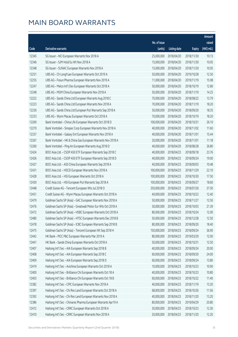|       |                                                               |              |                       |               | Amount      |
|-------|---------------------------------------------------------------|--------------|-----------------------|---------------|-------------|
|       |                                                               | No. of issue |                       |               | raised      |
| Code  | Derivative warrants                                           | (units)      | Listing date          | <b>Expiry</b> | (HK\$ mil.) |
| 12345 | SG Issuer - NCI European Warrants Nov 2018 A                  | 25,000,000   | 2018/04/20            | 2018/11/30    | 10.13       |
| 12346 | SG Issuer - SJM Hold Eu Wt Nov 2018 A                         | 15,000,000   | 2018/04/20            | 2018/11/30    | 10.05       |
| 12348 | SG Issuer - SUNAC European Warrants Nov 2018 A                | 15,000,000   | 2018/04/20            | 2018/11/30    | 10.05       |
| 12251 | UBS AG - Ch LongYuan European Warrants Oct 2019 A             | 50,000,000   | 2018/04/20            | 2019/10/28    | 12.50       |
| 12255 | UBS AG - Fosun Pharma European Warrants Nov 2019 A            | 11,000,000   | 2018/04/20            | 2019/11/19    | 15.98       |
| 12247 | UBS AG - Melco Int'l Dev European Warrants Oct 2018 A         | 50,000,000   | 2018/04/20            | 2018/10/19    | 12.80       |
| 12248 | UBS AG - MGM China European Warrants Nov 2018 A               | 50,000,000   | 2018/04/20            | 2018/11/19    | 14.25       |
| 12222 | UBS AG - Sands China Ltd European Warrants Aug 2018 C         | 70,000,000   | 2018/04/20            | 2018/08/22    | 13.79       |
| 12223 | UBS AG - Sands China Ltd European Warrants Nov 2018 A         | 70,000,000   | 2018/04/20            | 2018/11/19    | 18.20       |
| 12236 | UBS AG - Sands China Ltd European Put Warrants Sep 2018 A     | 50,000,000   | 2018/04/20            | 2018/09/20    | 18.35       |
| 12233 | UBS AG - Wynn Macau European Warrants Oct 2018 A              | 70,000,000   | 2018/04/20            | 2018/10/19    | 18.20       |
| 12269 | Bank Vontobel - China Life European Warrants Oct 2018 D       | 100,000,000  | 2018/04/20            | 2018/10/31    | 26.10       |
| 12270 | Bank Vontobel - Sinopec Corp European Warrants Nov 2018 A     | 40,000,000   | 2018/04/20            | 2018/11/02    | 11.60       |
| 12337 | Bank Vontobel - Galaxy Ent European Warrants Nov 2018 A       | 40,000,000   | 2018/04/20            | 2018/11/01    | 15.44       |
| 12267 | Bank Vontobel - HK & China Gas European Warrants Nov 2018 A   | 20,000,000   | 2018/04/20            | 2018/11/01    | 11.18       |
| 12260 | Bank Vontobel - Ping An European Warrants Aug 2018 D          | 40,000,000   | 2018/04/20            | 2018/08/28    | 26.80       |
| 12424 | BOCI Asia Ltd. - CSOP A50 ETF European Warrants Sep 2018 C    | 40,000,000   | 2018/04/23            | 2018/09/18    | 23.76       |
| 12426 | BOCI Asia Ltd. - CSOP A50 ETF European Warrants Sep 2018 D    | 40,000,000   | 2018/04/23            | 2018/09/24    | 19.00       |
| 12427 | BOCI Asia Ltd. - A50 China European Warrants Sep 2018 A       | 40,000,000   | 2018/04/23            | 2018/09/03    | 10.48       |
| 12431 | BOCI Asia Ltd. - HSCEI European Warrants Nov 2018 A           | 100,000,000  | 2018/04/23            | 2018/11/29    | 22.10       |
| 12428 | BOCI Asia Ltd. - HSI European Warrants Oct 2018 A             | 100,000,000  | 2018/04/23            | 2018/10/30    | 17.50       |
| 12430 | BOCI Asia Ltd. - HSI European Put Warrants Sep 2018 A         | 100,000,000  | 2018/04/23            | 2018/09/27    | 18.60       |
| 12448 | Credit Suisse AG - Tencent European Wts Jul 2018 O            | 250,000,000  | 2018/04/23            | 2018/07/26    | 37.50       |
| 12451 | Credit Suisse AG - Wynn Macau European Warrants Oct 2018 A    | 40,000,000   | 2018/04/23            | 2018/10/22    | 12.40       |
| 12479 | Goldman Sachs SP (Asia) - GAC European Warrants Nov 2018 A    | 50,000,000   | 2018/04/23            | 2018/11/27    | 12.50       |
| 12476 | Goldman Sachs SP (Asia) - Greatwall Motor Eur Wts Oct 2018 A  | 30,000,000   | 2018/04/23            | 2018/10/03    | 21.39       |
| 12472 | Goldman Sachs SP (Asia) - HSBC European Warrants Oct 2018 A   |              | 80,000,000 2018/04/23 | 2018/10/24    | 12.00       |
| 12480 | Goldman Sachs SP (Asia) - HTSC European Warrants Dec 2018 B   | 50,000,000   | 2018/04/23            | 2018/12/28    | 12.50       |
| 12478 | Goldman Sachs SP (Asia) - ICBC European Warrants Sep 2018 B   | 80,000,000   | 2018/04/23            | 2018/09/20    | 18.40       |
| 12475 | Goldman Sachs SP (Asia) - Tencent European Wt Sep 2018 H      | 150,000,000  | 2018/04/23            | 2018/09/24    | 36.90       |
| 12442 | HK Bank - PICC P&C European Warrants Mar 2019 A               | 80,000,000   | 2018/04/23            | 2019/03/29    | 12.00       |
| 12441 | HK Bank - Sands China European Warrants Oct 2018 A            | 50,000,000   | 2018/04/23            | 2018/10/31    | 12.50       |
| 12407 | Haitong Int'l Sec - AIA European Warrants Sep 2018 B          | 40,000,000   | 2018/04/23            | 2018/09/24    | 20.00       |
| 12408 | Haitong Int'l Sec - AIA European Warrants Sep 2018 C          | 60,000,000   | 2018/04/23            | 2018/09/20    | 24.00       |
| 12409 | Haitong Int'l Sec - AIA European Warrants Sep 2018 D          | 60,000,000   | 2018/04/23            | 2018/09/24    | 13.80       |
| 12419 | Haitong Int'l Sec - Avichina European Warrants Oct 2018 A     | 10,000,000   | 2018/04/23            | 2018/10/23    | 10.90       |
| 12400 | Haitong Int'l Sec - Brilliance Chi European Warrants Oct 18 A | 40,000,000   | 2018/04/23            | 2018/10/23    | 10.80       |
| 12403 | Haitong Int'l Sec - Brilliance Chi European Warrants Oct 18 B | 60,000,000   | 2018/04/23            | 2018/10/22    | 11.40       |
| 12382 | Haitong Int'l Sec - CPIC European Warrants Nov 2018 A         | 40,000,000   | 2018/04/23            | 2018/11/19    | 13.20       |
| 12397 | Haitong Int'l Sec - Chi Res Land European Warrants Oct 2018 A | 68,000,000   | 2018/04/23            | 2018/10/26    | 11.56       |
| 12393 | Haitong Int'l Sec - Chi Res Land European Warrants Nov 2018 A | 40,000,000   | 2018/04/23            | 2018/11/20    | 13.20       |
| 12386 | Haitong Int'l Sec - Chinares Pharma European Warrants Apr19 A | 80,000,000   | 2018/04/23            | 2019/04/29    | 20.80       |
| 12412 | Haitong Int'l Sec - CRRC European Warrants Oct 2018 A         | 30,000,000   | 2018/04/23            | 2018/10/23    | 12.30       |
| 12410 | Haitong Int'l Sec - CRRC European Warrants Nov 2018 A         | 20,000,000   | 2018/04/23            | 2018/11/20    | 12.20       |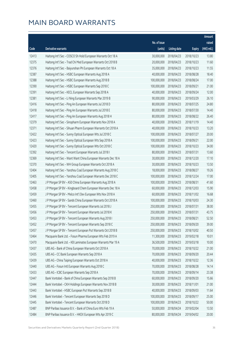|       |                                                                |                        |                     |               | Amount      |
|-------|----------------------------------------------------------------|------------------------|---------------------|---------------|-------------|
|       |                                                                | No. of issue           |                     |               | raised      |
| Code  | Derivative warrants                                            | (units)                | <b>Listing date</b> | <b>Expiry</b> | (HK\$ mil.) |
| 12413 | Haitong Int'l Sec - COSCO Sh Hold European Warrants Oct 18 A   | 30,000,000             | 2018/04/23          | 2018/10/23    | 13.80       |
| 12375 | Haitong Int'l Sec - Trad Chi Med European Warrants Oct 2018 B  | 20,000,000             | 2018/04/23          | 2018/10/23    | 11.60       |
| 12376 | Haitong Int'l Sec - Baiyunshan Ph European Warrants Oct 18 A   | 35,000,000             | 2018/04/23          | 2018/10/23    | 11.55       |
| 12387 | Haitong Int'l Sec - HSBC European Warrants Aug 2018 A          | 40,000,000             | 2018/04/23          | 2018/08/28    | 18.40       |
| 12388 | Haitong Int'l Sec - HSBC European Warrants Aug 2018 B          | 100,000,000            | 2018/04/23          | 2018/08/24    | 17.00       |
| 12390 | Haitong Int'l Sec - HSBC European Warrants Sep 2018 C          | 100,000,000            | 2018/04/23          | 2018/09/21    | 21.00       |
| 12391 | Haitong Int'l Sec - KECL European Warrants Sep 2018 A          | 40,000,000             | 2018/04/23          | 2018/09/24    | 12.00       |
| 12381 | Haitong Int'l Sec - Li Ning European Warrants Mar 2019 B       | 90,000,000             | 2018/04/23          | 2019/03/29    | 26.10       |
| 12416 | Haitong Int'l Sec - Ping An European Warrants Jul 2018 D       | 80,000,000             | 2018/04/23          | 2018/07/25    | 24.80       |
| 12418 | Haitong Int'l Sec - Ping An European Warrants Jul 2018 E       | 80,000,000             | 2018/04/23          | 2018/07/30    | 14.40       |
| 12417 | Haitong Int'l Sec - Ping An European Warrants Aug 2018 H       | 80,000,000             | 2018/04/23          | 2018/08/22    | 26.40       |
| 12379 | Haitong Int'l Sec - Sinopharm European Warrants Nov 2018 A     | 40,000,000             | 2018/04/23          | 2018/11/19    | 14.40       |
| 12371 | Haitong Int'l Sec - Sihuan Pharm European Warrants Oct 2018 A  | 40,000,000             | 2018/04/23          | 2018/10/23    | 13.20       |
| 12422 | Haitong Int'l Sec - Sunny Optical European Wts Jul 2018 C      | 100,000,000            | 2018/04/23          | 2018/07/27    | 20.00       |
| 12423 | Haitong Int'l Sec - Sunny Optical European Wts Sep 2018 A      | 100,000,000            | 2018/04/23          | 2018/09/21    | 22.00       |
| 12420 | Haitong Int'l Sec - Sunny Optical European Wts Oct 2018 C      | 100,000,000            | 2018/04/23          | 2018/10/23    | 34.00       |
| 12392 | Haitong Int'l Sec - Tencent European Warrants Jul 2018 I       | 80,000,000             | 2018/04/23          | 2018/07/31    | 13.60       |
| 12369 | Haitong Int'l Sec - Want Want China European Warrants Dec 18 A | 30,000,000             | 2018/04/23          | 2018/12/20    | 17.10       |
| 12370 | Haitong Int'l Sec - WH Group European Warrants Oct 2018 A      | 30,000,000             | 2018/04/23          | 2018/10/23    | 13.50       |
| 12404 | Haitong Int'l Sec - Yanzhou Coal European Warrants Aug 2018 C  | 18,000,000             | 2018/04/23          | 2018/08/27    | 19.26       |
| 12405 | Haitong Int'l Sec - Yanzhou Coal European Warrants Dec 2018 C  | 100,000,000            | 2018/04/23          | 2018/12/24    | 17.00       |
| 12463 | J P Morgan SP BV - A50 China European Warrants Aug 2018 A      | 100,000,000            | 2018/04/23          | 2018/08/31    | 41.60       |
| 12458 | J P Morgan SP BV - Kingboard Chem European Warrants Dec 18 A   | 60,000,000             | 2018/04/23          | 2018/12/03    | 15.90       |
| 12459 | J P Morgan SP BV - Melco Int'l Dev European Wts Nov 2018 A     | 60,000,000             | 2018/04/23          | 2018/11/02    | 16.68       |
| 12460 | J P Morgan SP BV - Sands China European Warrants Oct 2018 A    | 100,000,000            | 2018/04/23          | 2018/10/03    | 24.30       |
| 12455 | J P Morgan SP BV - Tencent European Warrants Jul 2018 J        | 250,000,000            | 2018/04/23          | 2018/07/31    | 38.00       |
| 12456 | J P Morgan SP BV - Tencent European Warrants Jul 2018 K        | 250,000,000 2018/04/23 |                     | 2018/07/31    | 43.75       |
| 12453 | J P Morgan SP BV - Tencent European Warrants Aug 2018 I        | 250,000,000            | 2018/04/23          | 2018/08/21    | 52.50       |
| 12452 | J P Morgan SP BV - Tencent European Warrants Sep 2018 C        | 250,000,000            | 2018/04/23          | 2018/09/20    | 39.00       |
| 12457 | J P Morgan SP BV - Tencent European Put Warrants Oct 2018 B    | 250,000,000            | 2018/04/23          | 2018/10/02    | 40.50       |
| 12464 | Macquarie Bank Ltd. - Fosun Pharma European Wts Feb 2019 A     | 11,300,000             | 2018/04/23          | 2019/02/18    | 10.01       |
| 12470 | Macquarie Bank Ltd. - KB Laminates European Warrants Mar 19 A  | 36,500,000             | 2018/04/23          | 2019/03/18    | 10.00       |
| 12437 | UBS AG - Bank of China European Warrants Oct 2018 A            | 70,000,000             | 2018/04/23          | 2018/10/22    | 21.00       |
| 12435 | UBS AG - CC Bank European Warrants Sep 2018 A                  | 70,000,000             | 2018/04/23          | 2018/09/20    | 20.44       |
| 12439 | UBS AG - China Taiping European Warrants Oct 2018 A            | 40,000,000             | 2018/04/23          | 2018/10/22    | 12.36       |
| 12440 | UBS AG - Fosun Intl European Warrants Aug 2018 C               | 70,000,000             | 2018/04/23          | 2018/08/28    | 14.14       |
| 12433 | UBS AG - ICBC European Warrants Sep 2018 A                     | 70,000,000             | 2018/04/23          | 2018/09/14    | 23.38       |
| 12447 | Bank Vontobel - Bank of China European Warrants Sep 2018 B     | 60,000,000             | 2018/04/23          | 2018/09/20    | 15.66       |
| 12444 | Bank Vontobel - CKH Holdings European Warrants Nov 2018 B      | 30,000,000             | 2018/04/23          | 2018/11/01    | 21.00       |
| 12443 | Bank Vontobel - HSBC European Put Warrants Sep 2018 B          | 40,000,000             | 2018/04/23          | 2018/09/03    | 11.64       |
| 12446 | Bank Vontobel - Tencent European Warrants Sep 2018 D           | 100,000,000            | 2018/04/23          | 2018/09/17    | 25.00       |
| 12445 | Bank Vontobel - Tencent European Warrants Oct 2018 D           | 100,000,000            | 2018/04/23          | 2018/10/22    | 50.00       |
| 12487 | BNP Paribas Issuance B.V. - Bank of China Euro Wts Feb 19 A    | 50,000,000             | 2018/04/24          | 2019/02/04    | 13.50       |
| 12484 | BNP Paribas Issuance B.V. - HKEX European Wts Apr 2019 C       | 80,000,000             | 2018/04/24          | 2019/04/02    | 20.00       |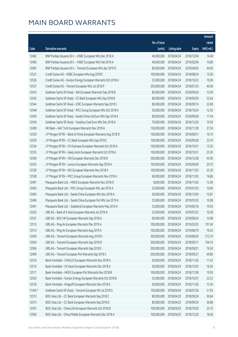|                |                                                                                                |                            |                          |                          | Amount           |
|----------------|------------------------------------------------------------------------------------------------|----------------------------|--------------------------|--------------------------|------------------|
|                |                                                                                                | No. of issue               |                          |                          | raised           |
| Code           | Derivative warrants                                                                            | (units)                    | <b>Listing date</b>      | <b>Expiry</b>            | (HK\$ mil.)      |
| 12482          | BNP Paribas Issuance B.V. - HSBC European Wts Dec 2018 A                                       | 40,000,000                 | 2018/04/24               | 2018/12/04               | 14.40            |
| 12483          | BNP Paribas Issuance B.V. - HSBC European Wts Feb 2019 A                                       | 40,000,000                 | 2018/04/24               | 2019/02/04               | 10.80            |
| 12481          | BNP Paribas Issuance B.V. - Tencent European Wts Apr 2019 D                                    | 80,000,000                 | 2018/04/24               | 2019/04/02               | 44.00            |
| 12521          | Credit Suisse AG - HSBC European Wts Aug 2018 E                                                | 100,000,000                | 2018/04/24               | 2018/08/24               | 15.00            |
| 12526          | Credit Suisse AG - Kunlun Energy European Warrants Oct 2018 A                                  | 25,000,000                 | 2018/04/24               | 2018/10/23               | 10.00            |
| 12527          | Credit Suisse AG - Tencent European Wts Jul 2018 P                                             | 250,000,000                | 2018/04/24               | 2018/07/23               | 40.00            |
| 12543          | Goldman Sachs SP (Asia) - AIA European Warrants Sep 2018 B                                     | 80,000,000                 | 2018/04/24               | 2018/09/24               | 12.00            |
| 12542          | Goldman Sachs SP (Asia) - CC Bank European Wts Sep 2018 B                                      | 80,000,000                 | 2018/04/24               | 2018/09/20               | 22.64            |
| 12544          | Goldman Sachs SP (Asia) - ICBC European Warrants Sep 2018 C                                    | 80,000,000                 | 2018/04/24               | 2018/09/14               | 22.80            |
| 12548          | Goldman Sachs SP (Asia) - PICC Group European Wts Oct 2018 A                                   | 50,000,000                 | 2018/04/24               | 2018/10/24               | 12.50            |
| 12545          | Goldman Sachs SP (Asia) - Sands China Ltd Euro Wts Sep 2018 A                                  | 80,000,000                 | 2018/04/24               | 2018/09/28               | 17.44            |
| 12549          | Goldman Sachs SP (Asia) - Yanzhou Coal Euro Wts Dec 2018 A                                     | 70,000,000                 | 2018/04/24               | 2018/12/20               | 10.50            |
| 12490          | HK Bank - AAC Tech European Warrants Nov 2018 A                                                | 150,000,000                | 2018/04/24               | 2018/11/30               | 37.50            |
| 12530          | J P Morgan SP BV - Bank of China European Warrants Aug 2018 D                                  | 100,000,000                | 2018/04/24               | 2018/08/31               | 16.10            |
| 12529          | J P Morgan SP BV - CC Bank European Wts Sep 2018 C                                             | 100,000,000                | 2018/04/24               | 2018/09/28               | 33.10            |
| 12534          | J P Morgan SP BV - Ch Overseas European Warrants Oct 2018 A                                    | 100,000,000                | 2018/04/24               | 2018/10/31               | 15.20            |
| 12535          | J P Morgan SP BV - Geely Auto European Warrants Oct 2018 A                                     | 100,000,000                | 2018/04/24               | 2018/10/31               | 25.30            |
| 12540          | J P Morgan SP BV - HSI European Warrants Dec 2018 B                                            | 300,000,000                | 2018/04/24               | 2018/12/28               | 45.90            |
| 12533          | J P Morgan SP BV - Lenovo European Warrants Sep 2018 A                                         | 100,000,000                | 2018/04/24               | 2018/09/04               | 20.70            |
| 12539          | J P Morgan SP BV - NCI European Warrants Nov 2018 A                                            | 100,000,000                | 2018/04/24               | 2018/11/02               | 25.30            |
| 12538          | J P Morgan SP BV - PICC Group European Warrants Nov 2018 A                                     | 60,000,000                 | 2018/04/24               | 2018/11/02               | 16.86            |
| 12497          | Macquarie Bank Ltd. - HKEX European Warrants Nov 2018 D                                        | 8,000,000                  | 2018/04/24               | 2018/11/02               | 12.49            |
| 12493          | Macquarie Bank Ltd. - PICC Group European Wts Jan 2019 A                                       | 25,000,000                 | 2018/04/24               | 2019/01/03               | 10.00            |
| 12495          | Macquarie Bank Ltd. - Sands China European Wts Dec 2018 A                                      | 28,000,000                 | 2018/04/24               | 2018/12/04               | 10.81            |
| 12496          | Macquarie Bank Ltd. - Sands China European Put Wts Jan 2019 A                                  | 25,000,000                 | 2018/04/24               | 2019/01/03               | 10.08            |
| 12491          | Macquarie Bank Ltd. - Goldwind European Warrants May 2019 A                                    | 33,000,000                 | 2018/04/24               | 2019/05/16               | 10.03            |
| 12503          | UBS AG - Bank of E Asia European Warrants Jul 2019 A                                           |                            | 25,000,000 2018/04/24    | 2019/07/22               | 10.28            |
| 12501          | UBS AG - BOC HK European Warrants Sep 2018 A                                                   | 60,000,000                 | 2018/04/24               | 2018/09/24               | 10.08            |
| 12515          | UBS AG - Ping An European Warrants Mar 2019 A                                                  | 100,000,000                | 2018/04/24               | 2019/03/25               | 107.40           |
| 12514          | UBS AG - Ping An European Warrants Aug 2019 A                                                  | 100,000,000                | 2018/04/24               | 2019/08/19               | 79.20            |
| 12509<br>12504 | UBS AG - Tencent European Warrants Aug 2018 D<br>UBS AG - Tencent European Warrants Sep 2018 D | 300,000,000<br>300,000,000 | 2018/04/24               | 2018/08/29               | 212.70<br>104.10 |
| 12506          | UBS AG - Tencent European Warrants Sep 2018 E                                                  | 300,000,000                | 2018/04/24               | 2018/09/17               | 76.50            |
| 12499          | UBS AG - Tencent European Put Warrants Sep 2018 C                                              | 200,000,000                | 2018/04/24<br>2018/04/24 | 2018/09/21<br>2018/09/21 | 49.80            |
| 12516          | Bank Vontobel - CHALCO European Warrants Nov 2018 A                                            | 20,000,000                 | 2018/04/24               | 2018/11/26               | 11.42            |
| 12519          | Bank Vontobel - CK Asset European Warrants Dec 2018 A                                          | 30,000,000                 | 2018/04/24               | 2018/12/03               | 16.50            |
| 12517          | Bank Vontobel - HKEX European Put Warrants Nov 2018 B                                          | 100,000,000                | 2018/04/24               | 2018/11/28               | 19.50            |
| 12520          | Bank Vontobel - Kunlun Energy European Warrants Oct 2018 B                                     | 25,000,000                 | 2018/04/24               | 2018/10/31               | 22.53            |
| 12518          | Bank Vontobel - Kingsoft European Warrants Nov 2018 A                                          | 30,000,000                 | 2018/04/24               | 2018/11/26               | 15.30            |
| 11459 #        | Goldman Sachs SP (Asia) - Tencent European Wt Jul 2018 S                                       | 150,000,000                | 2018/04/24               | 2018/07/26               | 31.05            |
| 12573          | BOCI Asia Ltd. - CC Bank European Warrants Sep 2018 C                                          | 80,000,000                 | 2018/04/25               | 2018/09/26               | 50.64            |
| 12575          | BOCI Asia Ltd. - CC Bank European Warrants Sep 2018 D                                          | 80,000,000                 | 2018/04/25               | 2018/09/24               | 36.80            |
| 12591          | BOCI Asia Ltd. - China Life European Warrants Oct 2018 B                                       | 100,000,000                | 2018/04/25               | 2018/10/29               | 25.10            |
| 12590          | BOCI Asia Ltd. - China Mobile European Warrants Dec 2018 A                                     | 100,000,000                | 2018/04/25               | 2018/12/20               | 18.40            |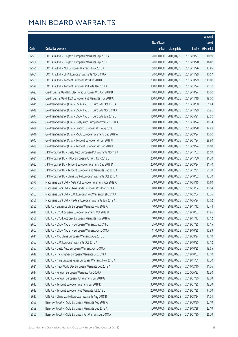|       |                                                              |              |                       |               | Amount      |
|-------|--------------------------------------------------------------|--------------|-----------------------|---------------|-------------|
|       |                                                              | No. of issue |                       |               | raised      |
| Code  | Derivative warrants                                          | (units)      | <b>Listing date</b>   | <b>Expiry</b> | (HK\$ mil.) |
| 12583 | BOCI Asia Ltd. - Kingsoft European Warrants Sep 2018 A       | 70,000,000   | 2018/04/25            | 2018/09/27    | 10.99       |
| 12588 | BOCI Asia Ltd. - Kingsoft European Warrants Sep 2018 B       | 70,000,000   | 2018/04/25            | 2018/09/20    | 16.80       |
| 12595 | BOCI Asia Ltd. - NCI European Warrants Nov 2018 A            | 50,000,000   | 2018/04/25            | 2018/11/26    | 12.85       |
| 12601 | BOCI Asia Ltd. - SMIC European Warrants Nov 2018 A           | 70,000,000   | 2018/04/25            | 2018/11/29    | 10.57       |
| 12581 | BOCI Asia Ltd. - Tencent European Wts Oct 2018 C             | 200,000,000  | 2018/04/25            | 2018/10/29    | 110.00      |
| 12579 | BOCI Asia Ltd. - Tencent European Put Wts Jan 2019 A         | 100,000,000  | 2018/04/25            | 2019/01/24    | 21.20       |
| 12623 | Credit Suisse AG - BYD Electronic European Wts Oct 2018 B    | 40,000,000   | 2018/04/25            | 2018/10/24    | 10.00       |
| 12622 | Credit Suisse AG - HKEX European Put Warrants Nov 2018 C     | 100,000,000  | 2018/04/25            | 2018/11/19    | 18.00       |
| 12645 | Goldman Sachs SP (Asia) - CSOP A50 ETF Euro Wts Oct 2018 A   | 80,000,000   | 2018/04/25            | 2018/10/30    | 65.84       |
| 12649 | Goldman Sachs SP (Asia) - CSOP A50 ETF Euro Wts Nov 2018 A   | 80,000,000   | 2018/04/25            | 2018/11/29    | 90.96       |
| 12644 | Goldman Sachs SP (Asia) - CSOP A50 ETF Euro Wts Jun 2019 B   | 150,000,000  | 2018/04/25            | 2019/06/21    | 22.50       |
| 12634 | Goldman Sachs SP (Asia) - Geely Auto European Wts Oct 2018 A | 80,000,000   | 2018/04/25            | 2018/10/24    | 16.24       |
| 12638 | Goldman Sachs SP (Asia) - Lenovo European Wts Aug 2018 B     | 60,000,000   | 2018/04/25            | 2018/08/28    | 14.88       |
| 12646 | Goldman Sachs SP (Asia) - PSBC European Warrants Sep 2018 A  | 40,000,000   | 2018/04/25            | 2018/09/24    | 10.00       |
| 12642 | Goldman Sachs SP (Asia) - Tencent European Wt Jul 2018 U     | 150,000,000  | 2018/04/25            | 2018/07/24    | 28.80       |
| 12639 | Goldman Sachs SP (Asia) - Tencent European Wt Sep 2018 I     | 150,000,000  | 2018/04/25            | 2018/09/24    | 36.60       |
| 12628 | J P Morgan SP BV - Geely Auto European Put Warrants Nov 18 A | 100,000,000  | 2018/04/25            | 2018/11/02    | 25.50       |
| 12631 | J P Morgan SP BV - HKEX European Put Wts Nov 2018 C          | 200,000,000  | 2018/04/25            | 2018/11/30    | 31.20       |
| 12632 | J P Morgan SP BV - Tencent European Warrants Sep 2018 D      | 200,000,000  | 2018/04/25            | 2018/09/24    | 31.40       |
| 12630 | J P Morgan SP BV - Tencent European Put Warrants Dec 2018 A  | 200,000,000  | 2018/04/25            | 2018/12/31    | 51.20       |
| 12625 | J P Morgan SP BV - China Vanke European Warrants Oct 2018 A  | 50,000,000   | 2018/04/25            | 2018/10/02    | 13.30       |
| 12570 | Macquarie Bank Ltd. - Agile Ppt European Warrants Apr 2019 A | 38,000,000   | 2018/04/25            | 2019/04/15    | 10.60       |
| 12562 | Macquarie Bank Ltd. - China Cinda European Wts Mar 2019 A    | 40,000,000   | 2018/04/25            | 2019/03/04    | 10.04       |
| 12563 | Macquarie Bank Ltd. - GAC European Put Warrants Feb 2019 A   | 8,000,000    | 2018/04/25            | 2019/02/04    | 13.76       |
| 12566 | Macquarie Bank Ltd. - Nexteer European Warrants Jun 2019 A   | 28,000,000   | 2018/04/25            | 2019/06/24    | 10.02       |
| 12555 | UBS AG - Brilliance Chi European Warrants Nov 2018 A         | 40,000,000   | 2018/04/25            | 2018/11/12    | 12.44       |
| 12616 | UBS AG - BYD Company European Warrants Oct 2018 B            |              | 20,000,000 2018/04/25 | 2018/10/02    | 11.86       |
| 12556 | UBS AG - BYD Electronic European Warrants Nov 2018 A         | 40,000,000   | 2018/04/25            | 2018/11/12    | 10.12       |
| 12602 | UBS AG - CSOP A50 ETF European Warrants Jul 2018 C           | 35,000,000   | 2018/04/25            | 2018/07/25    | 10.15       |
| 12607 | UBS AG - CSOP A50 ETF European Warrants Oct 2018 A           | 11,000,000   | 2018/04/25            | 2018/10/25    | 10.99       |
| 12611 | UBS AG - A50 China European Warrants Aug 2018 C              | 20,000,000   | 2018/04/25            | 2018/08/24    | 10.10       |
| 12553 | UBS AG - GAC European Warrants Oct 2018 A                    | 40,000,000   | 2018/04/25            | 2018/10/25    | 10.12       |
| 12557 | UBS AG - Geely Auto European Warrants Oct 2018 A             | 50,000,000   | 2018/04/25            | 2018/10/25    | 18.65       |
| 12618 | UBS AG - Haitong Sec European Warrants Oct 2018 A            | 20,000,000   | 2018/04/25            | 2018/10/02    | 10.10       |
| 12620 | UBS AG - Nine Dragons Paper European Warrants Nov 2018 A     | 60,000,000   | 2018/04/25            | 2018/11/01    | 10.20       |
| 12621 | UBS AG - New World Dev European Warrants Dec 2019 A          | 70,000,000   | 2018/04/25            | 2019/12/10    | 11.06       |
| 12614 | UBS AG - Ping An European Warrants Jun 2020 A                | 300,000,000  | 2018/04/25            | 2020/06/23    | 45.30       |
| 12615 | UBS AG - Ping An European Put Warrants Jul 2018 G            | 50,000,000   | 2018/04/25            | 2018/07/30    | 18.00       |
| 12612 | UBS AG - Tencent European Warrants Jul 2018 K                | 300,000,000  | 2018/04/25            | 2018/07/25    | 48.30       |
| 12613 | UBS AG - Tencent European Put Warrants Jul 2018 L            | 200,000,000  | 2018/04/25            | 2018/07/25    | 94.00       |
| 12617 | UBS AG - China Vanke European Warrants Aug 2018 B            | 60,000,000   | 2018/04/25            | 2018/08/24    | 11.04       |
| 12558 | Bank Vontobel - HSCEI European Warrants Aug 2018 A           | 150,000,000  | 2018/04/25            | 2018/08/30    | 23.10       |
| 12559 | Bank Vontobel - HSCEI European Warrants Dec 2018 A           | 150,000,000  | 2018/04/25            | 2018/12/28    | 23.10       |
| 12560 | Bank Vontobel - HSCEI European Put Warrants Jul 2018 A       | 150,000,000  | 2018/04/25            | 2018/07/30    | 26.70       |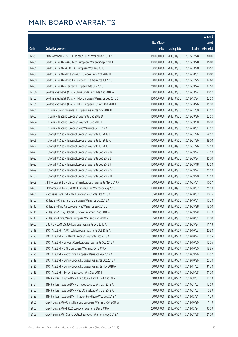|       |                                                               |              |                       |               | Amount      |
|-------|---------------------------------------------------------------|--------------|-----------------------|---------------|-------------|
|       |                                                               | No. of issue |                       |               | raised      |
| Code  | Derivative warrants                                           | (units)      | <b>Listing date</b>   | <b>Expiry</b> | (HK\$ mil.) |
| 12561 | Bank Vontobel - HSCEI European Put Warrants Dec 2018 B        | 150,000,000  | 2018/04/25            | 2018/12/28    | 30.00       |
| 12661 | Credit Suisse AG - AAC Tech European Warrants Sep 2018 A      | 100,000,000  | 2018/04/26            | 2018/09/28    | 15.00       |
| 12665 | Credit Suisse AG - CHALCO European Wts Aug 2018 B             | 30,000,000   | 2018/04/26            | 2018/08/20    | 10.50       |
| 12664 | Credit Suisse AG - Brilliance Chi European Wts Oct 2018 B     | 40,000,000   | 2018/04/26            | 2018/10/31    | 10.00       |
| 12660 | Credit Suisse AG - Ping An European Put Warrants Jul 2018 L   | 70,000,000   | 2018/04/26            | 2018/07/25    | 12.60       |
| 12663 | Credit Suisse AG - Tencent European Wts Sep 2018 C            | 250,000,000  | 2018/04/26            | 2018/09/24    | 37.50       |
| 12706 | Goldman Sachs SP (Asia) - China Cinda Euro Wts Aug 2018 A     | 70,000,000   | 2018/04/26            | 2018/08/24    | 10.50       |
| 12702 | Goldman Sachs SP (Asia) - HKEX European Warrants Dec 2018 C   | 150,000,000  | 2018/04/26            | 2018/12/24    | 22.50       |
| 12705 | Goldman Sachs SP (Asia) - HKEX European Put Wts Oct 2018 E    | 100,000,000  | 2018/04/26            | 2018/10/26    | 15.00       |
| 12651 | HK Bank - Country Garden European Warrants Nov 2018 B         | 150,000,000  | 2018/04/26            | 2018/11/30    | 37.50       |
| 12653 | HK Bank - Tencent European Warrants Sep 2018 D                | 150,000,000  | 2018/04/26            | 2018/09/26    | 22.50       |
| 12654 | HK Bank - Tencent European Warrants Sep 2018 E                | 150,000,000  | 2018/04/26            | 2018/09/18    | 36.00       |
| 12652 | HK Bank - Tencent European Put Warrants Oct 2018 A            | 150,000,000  | 2018/04/26            | 2018/10/31    | 37.50       |
| 12669 | Haitong Int'l Sec - Tencent European Warrants Jul 2018 J      | 150,000,000  | 2018/04/26            | 2018/07/26    | 58.50       |
| 12688 | Haitong Int'l Sec - Tencent European Warrants Jul 2018 K      | 150,000,000  | 2018/04/26            | 2018/07/26    | 39.00       |
| 12697 | Haitong Int'l Sec - Tencent European Warrants Jul 2018 L      | 150,000,000  | 2018/04/26            | 2018/07/26    | 22.50       |
| 12672 | Haitong Int'l Sec - Tencent European Warrants Sep 2018 D      | 150,000,000  | 2018/04/26            | 2018/09/24    | 67.50       |
| 12692 | Haitong Int'l Sec - Tencent European Warrants Sep 2018 E      | 150,000,000  | 2018/04/26            | 2018/09/24    | 45.00       |
| 12693 | Haitong Int'l Sec - Tencent European Warrants Sep 2018 F      | 150,000,000  | 2018/04/26            | 2018/09/18    | 37.50       |
| 12699 | Haitong Int'l Sec - Tencent European Warrants Sep 2018 G      | 150,000,000  | 2018/04/26            | 2018/09/24    | 25.50       |
| 12700 | Haitong Int'l Sec - Tencent European Warrants Sep 2018 H      | 150,000,000  | 2018/04/26            | 2018/09/20    | 22.50       |
| 12659 | J P Morgan SP BV - Ch LongYuan European Warrants May 2019 A   | 70,000,000   | 2018/04/26            | 2019/05/31    | 10.57       |
| 12658 | J P Morgan SP BV - CNOOC European Put Warrants Aug 2018 B     | 100,000,000  | 2018/04/26            | 2018/08/02    | 25.10       |
| 12656 | Macquarie Bank Ltd. - AIA European Warrants Oct 2018 A        | 35,000,000   | 2018/04/26            | 2018/10/03    | 10.26       |
| 12707 | SG Issuer - China Taiping European Warrants Oct 2018 A        | 30,000,000   | 2018/04/26            | 2018/10/31    | 10.20       |
| 12713 | SG Issuer - Ping An European Put Warrants Sep 2018 D          | 50,000,000   | 2018/04/26            | 2018/09/28    | 18.00       |
| 12714 | SG Issuer - Sunny Optical European Warrants Sep 2018 A        |              | 60,000,000 2018/04/26 | 2018/09/28    | 10.20       |
| 12712 | SG Issuer - China Vanke European Warrants Oct 2018 A          | 25,000,000   | 2018/04/26            | 2018/10/31    | 11.00       |
| 12657 | UBS AG - CAM CSI300 European Warrants Sep 2018 A              | 70,000,000   | 2018/04/26            | 2018/09/24    | 11.13       |
| 12718 | BOCI Asia Ltd. - AAC Tech European Warrants Oct 2018 A        | 100,000,000  | 2018/04/27            | 2018/10/03    | 20.50       |
| 12723 | BOCI Asia Ltd. - CM Bank European Warrants Oct 2018 A         | 50,000,000   | 2018/04/27            | 2018/10/24    | 11.55       |
| 12727 | BOCI Asia Ltd. - Sinopec Corp European Warrants Oct 2018 A    | 60,000,000   | 2018/04/27            | 2018/10/30    | 15.06       |
| 12728 | BOCI Asia Ltd. - CRRC European Warrants Oct 2018 A            | 50,000,000   | 2018/04/27            | 2018/10/30    | 18.85       |
| 12725 | BOCI Asia Ltd. - PetroChina European Warrants Sep 2018 A      | 70,000,000   | 2018/04/27            | 2018/09/26    | 10.57       |
| 12719 | BOCI Asia Ltd. - Sunny Optical European Warrants Oct 2018 A   | 100,000,000  | 2018/04/27            | 2018/10/26    | 26.00       |
| 12720 | BOCI Asia Ltd. - Sunny Optical European Warrants Nov 2018 A   | 100,000,000  | 2018/04/27            | 2018/11/02    | 31.70       |
| 12715 | BOCI Asia Ltd. - Tencent European Wts Sep 2018 I              | 200,000,000  | 2018/04/27            | 2018/09/28    | 31.00       |
| 12787 | BNP Paribas Issuance B.V. - Agricultural Bank Eu Wt Aug 19 A  | 40,000,000   | 2018/04/27            | 2019/08/02    | 11.60       |
| 12784 | BNP Paribas Issuance B.V. - Sinopec Corp Eu Wts Jan 2019 A    | 40,000,000   | 2018/04/27            | 2019/01/03    | 13.60       |
| 12783 | BNP Paribas Issuance B.V. - PetroChina Euro Wts Jan 2019 A    | 40,000,000   | 2018/04/27            | 2019/01/03    | 10.80       |
| 12789 | BNP Paribas Issuance B.V. - Tracker Fund Euro Wts Dec 2018 A  | 70,000,000   | 2018/04/27            | 2018/12/21    | 11.20       |
| 12806 | Credit Suisse AG - China Huarong European Warrants Oct 2018 A | 30,000,000   | 2018/04/27            | 2018/10/26    | 11.40       |
| 12803 | Credit Suisse AG - HKEX European Warrants Dec 2018 A          | 200,000,000  | 2018/04/27            | 2018/12/24    | 30.00       |
| 12805 | Credit Suisse AG - Sunny Optical European Warrants Aug 2018 A | 100,000,000  | 2018/04/27            | 2018/08/28    | 21.00       |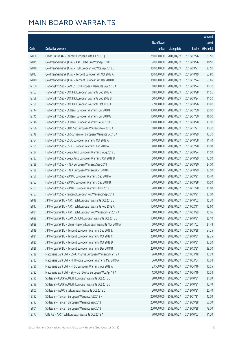|       |                                                                |              |                       |               | Amount      |
|-------|----------------------------------------------------------------|--------------|-----------------------|---------------|-------------|
|       |                                                                | No. of issue |                       |               | raised      |
| Code  | Derivative warrants                                            | (units)      | <b>Listing date</b>   | <b>Expiry</b> | (HK\$ mil.) |
| 12808 | Credit Suisse AG - Tencent European Wts Jul 2018 Q             | 250,000,000  | 2018/04/27            | 2018/07/26    | 82.50       |
| 12815 | Goldman Sachs SP (Asia) - AAC Tech Euro Wts Sep 2018 D         | 70,000,000   | 2018/04/27            | 2018/09/26    | 10.50       |
| 12816 | Goldman Sachs SP (Asia) - HSI European Put Wts Sep 2018 C      | 150,000,000  | 2018/04/27            | 2018/09/27    | 22.50       |
| 12813 | Goldman Sachs SP (Asia) - Tencent European Wt Oct 2018 A       | 150,000,000  | 2018/04/27            | 2018/10/19    | 52.80       |
| 12810 | Goldman Sachs SP (Asia) - Tencent European Wt Dec 2018 B       | 150,000,000  | 2018/04/27            | 2018/12/24    | 53.85       |
| 12760 | Haitong Int'l Sec - CAM CSI300 European Warrants Sep 2018 A    | 68,000,000   | 2018/04/27            | 2018/09/24    | 10.20       |
| 12753 | Haitong Int'l Sec - BOC HK European Warrants Sep 2018 A        | 68,000,000   | 2018/04/27            | 2018/09/28    | 11.56       |
| 12758 | Haitong Int'l Sec - BOC HK European Warrants Sep 2018 B        | 50,000,000   | 2018/04/27            | 2018/09/24    | 11.50       |
| 12759 | Haitong Int'l Sec - BOC HK European Warrants Oct 2018 A        | 72,000,000   | 2018/04/27            | 2018/10/26    | 10.80       |
| 12744 | Haitong Int'l Sec - CC Bank European Warrants Jul 2018 F       | 100,000,000  | 2018/04/27            | 2018/07/30    | 30.00       |
| 12745 | Haitong Int'l Sec - CC Bank European Warrants Jul 2018 G       | 100,000,000  | 2018/04/27            | 2018/07/30    | 16.00       |
| 12746 | Haitong Int'l Sec - CC Bank European Warrants Aug 2018 F       | 100,000,000  | 2018/04/27            | 2018/08/28    | 17.00       |
| 12756 | Haitong Int'l Sec - CITIC Sec European Warrants Nov 2018 A     | 68,000,000   | 2018/04/27            | 2018/11/27    | 10.20       |
| 12749 | Haitong Int'l Sec - Ch Southern Air European Warrants Oct 18 A | 20,000,000   | 2018/04/27            | 2018/10/29    | 12.20       |
| 12754 | Haitong Int'l Sec - CSDC European Warrants Oct 2018 A          | 60,000,000   | 2018/04/27            | 2018/10/08    | 11.40       |
| 12755 | Haitong Int'l Sec - CSDC European Warrants Feb 2019 A          | 40,000,000   | 2018/04/27            | 2019/02/28    | 10.00       |
| 12734 | Haitong Int'l Sec - Geely Auto European Warrants Aug 2018 B    | 50,000,000   | 2018/04/27            | 2018/08/24    | 11.50       |
| 12737 | Haitong Int'l Sec - Geely Auto European Warrants Oct 2018 B    | 50,000,000   | 2018/04/27            | 2018/10/29    | 12.50       |
| 12738 | Haitong Int'l Sec - HKEX European Warrants Sep 2018 I          | 150,000,000  | 2018/04/27            | 2018/09/20    | 24.00       |
| 12739 | Haitong Int'l Sec - HKEX European Warrants Oct 2018 F          | 150,000,000  | 2018/04/27            | 2018/10/29    | 22.50       |
| 12750 | Haitong Int'l Sec - SUNAC European Warrants Sep 2018 A         | 20,000,000   | 2018/04/27            | 2018/09/21    | 10.40       |
| 12752 | Haitong Int'l Sec - SUNAC European Warrants Sep 2018 B         | 30,000,000   | 2018/04/27            | 2018/09/28    | 10.50       |
| 12751 | Haitong Int'l Sec - SUNAC European Warrants Nov 2018 B         | 20,000,000   | 2018/04/27            | 2018/11/28    | 11.60       |
| 12757 | Haitong Int'l Sec - Tencent European Put Warrants Sep 2018 I   | 150,000,000  | 2018/04/27            | 2018/09/21    | 27.00       |
| 12818 | J P Morgan SP BV - AAC Tech European Warrants Oct 2018 B       | 100,000,000  | 2018/04/27            | 2018/10/02    | 15.30       |
| 12817 | J P Morgan SP BV - AAC Tech European Warrants Feb 2019 A       | 100,000,000  | 2018/04/27            | 2019/02/11    | 15.60       |
| 12831 | J P Morgan SP BV - AAC Tech European Put Warrants Mar 2019 A   |              | 60,000,000 2018/04/27 | 2019/03/29    | 15.06       |
| 12828 | J P Morgan SP BV - CAM CSI300 European Warrants Oct 2018 B     | 100,000,000  | 2018/04/27            | 2018/10/31    | 25.10       |
| 12829 | J P Morgan SP BV - China Huarong European Warrants Nov 2018 A  | 60,000,000   | 2018/04/27            | 2018/11/02    | 24.48       |
| 12819 | J P Morgan SP BV - Tencent European Warrants Sep 2018 E        | 250,000,000  | 2018/04/27            | 2018/09/28    | 54.25       |
| 12821 | J P Morgan SP BV - Tencent European Warrants Oct 2018 C        | 250,000,000  | 2018/04/27            | 2018/10/31    | 39.25       |
| 12825 | J P Morgan SP BV - Tencent European Warrants Oct 2018 D        | 250,000,000  | 2018/04/27            | 2018/10/31    | 37.50       |
| 12826 | J P Morgan SP BV - Tencent European Warrants Dec 2018 B        | 250,000,000  | 2018/04/27            | 2018/12/31    | 38.00       |
| 12729 | Macquarie Bank Ltd. - CSPC Pharma European Warrants Mar 19 A   | 26,000,000   | 2018/04/27            | 2019/03/18    | 10.09       |
| 12733 | Macquarie Bank Ltd. - FIH Mobile European Warrants Mar 2019 A  | 36,000,000   | 2018/04/27            | 2019/03/04    | 10.04       |
| 12780 | Macquarie Bank Ltd. - HTSC European Warrants Apr 2019 A        | 33,500,000   | 2018/04/27            | 2019/04/16    | 10.05       |
| 12782 | Macquarie Bank Ltd. - Skyworth Digital European Wts Apr 19 A   | 12,000,000   | 2018/04/27            | 2019/04/16    | 10.04       |
| 12795 | SG Issuer - CSOP A50 ETF European Warrants Oct 2018 B          | 20,000,000   | 2018/04/27            | 2018/10/31    | 24.00       |
| 12798 | SG Issuer - CSOP A50 ETF European Warrants Oct 2018 C          | 20,000,000   | 2018/04/27            | 2018/10/31    | 13.40       |
| 12800 | SG Issuer - A50 China European Warrants Oct 2018 C             | 20,000,000   | 2018/04/27            | 2018/10/31    | 20.40       |
| 12792 | SG Issuer - Tencent European Warrants Jul 2018 H               | 200,000,000  | 2018/04/27            | 2018/07/31    | 47.00       |
| 12793 | SG Issuer - Tencent European Warrants Sep 2018 H               | 200,000,000  | 2018/04/27            | 2018/09/28    | 60.00       |
| 12801 | SG Issuer - Tencent European Warrants Sep 2018 I               | 200,000,000  | 2018/04/27            | 2018/09/28    | 78.00       |
| 12777 | UBS AG - AAC Tech European Warrants Oct 2018 A                 | 70,000,000   | 2018/04/27            | 2018/10/03    | 11.20       |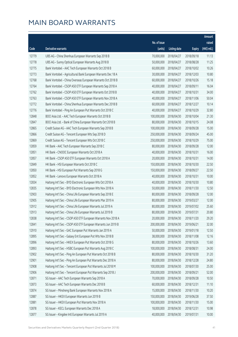|       |                                                               |              |                       |               | Amount      |
|-------|---------------------------------------------------------------|--------------|-----------------------|---------------|-------------|
|       |                                                               | No. of issue |                       |               | raised      |
| Code  | Derivative warrants                                           | (units)      | <b>Listing date</b>   | <b>Expiry</b> | (HK\$ mil.) |
| 12779 | UBS AG - China Shenhua European Warrants Sep 2018 B           | 70,000,000   | 2018/04/27            | 2018/09/18    | 11.13       |
| 12778 | UBS AG - Sunny Optical European Warrants Aug 2018 B           | 50,000,000   | 2018/04/27            | 2018/08/28    | 11.25       |
| 12775 | Bank Vontobel - AAC Tech European Warrants Oct 2018 B         | 60,000,000   | 2018/04/27            | 2018/10/02    | 10.26       |
| 12773 | Bank Vontobel - Agricultural Bank European Warrants Dec 18 A  | 30,000,000   | 2018/04/27            | 2018/12/03    | 10.80       |
| 12768 | Bank Vontobel - China Overseas European Warrants Oct 2018 B   | 60,000,000   | 2018/04/27            | 2018/10/26    | 15.18       |
| 12764 | Bank Vontobel - CSOP A50 ETF European Warrants Sep 2018 A     | 40,000,000   | 2018/04/27            | 2018/09/11    | 16.04       |
| 12762 | Bank Vontobel - CSOP A50 ETF European Warrants Oct 2018 B     | 40,000,000   | 2018/04/27            | 2018/10/31    | 34.00       |
| 12763 | Bank Vontobel - CSOP A50 ETF European Warrants Nov 2018 A     | 40,000,000   | 2018/04/27            | 2018/11/06    | 50.04       |
| 12772 | Bank Vontobel - China Shenhua European Warrants Dec 2018 B    | 60,000,000   | 2018/04/27            | 2018/12/27    | 10.14       |
| 12776 | Bank Vontobel - Ping An European Put Warrants Oct 2018 C      | 40,000,000   | 2018/04/27            | 2018/10/29    | 32.80       |
| 12848 | BOCI Asia Ltd. - AAC Tech European Warrants Oct 2018 B        | 100,000,000  | 2018/04/30            | 2018/10/04    | 21.30       |
| 12847 | BOCI Asia Ltd. - Bank of China European Warrants Oct 2018 B   | 80,000,000   | 2018/04/30            | 2018/10/15    | 24.08       |
| 12865 | Credit Suisse AG - AAC Tech European Warrants Sep 2018 B      | 100,000,000  | 2018/04/30            | 2018/09/28    | 15.00       |
| 12866 | Credit Suisse AG - Tencent European Wts Sep 2018 D            | 250,000,000  | 2018/04/30            | 2018/09/24    | 45.00       |
| 12869 | Credit Suisse AG - Tencent European Wts Oct 2018 C            | 250,000,000  | 2018/04/30            | 2018/10/29    | 75.00       |
| 12859 | HK Bank - AAC Tech European Warrants Sep 2018 C               | 80,000,000   | 2018/04/30            | 2018/09/28    | 12.00       |
| 12851 | HK Bank - CNOOC European Warrants Oct 2018 A                  | 40,000,000   | 2018/04/30            | 2018/10/31    | 16.00       |
| 12857 | HK Bank - CSOP A50 ETF European Warrants Oct 2018 A           | 20,000,000   | 2018/04/30            | 2018/10/31    | 14.00       |
| 12849 | HK Bank - HSI European Warrants Oct 2018 C                    | 150,000,000  | 2018/04/30            | 2018/10/30    | 22.50       |
| 12850 | HK Bank - HSI European Put Warrants Sep 2018 G                | 150,000,000  | 2018/04/30            | 2018/09/27    | 22.50       |
| 12852 | HK Bank - Lenovo European Warrants Oct 2018 A                 | 40,000,000   | 2018/04/30            | 2018/10/31    | 10.00       |
| 12834 | Haitong Int'l Sec - BYD Electronic European Wts Oct 2018 A    | 40,000,000   | 2018/04/30            | 2018/10/30    | 10.80       |
| 12835 | Haitong Int'l Sec - BYD Electronic European Wts Nov 2018 A    | 50,000,000   | 2018/04/30            | 2018/11/30    | 12.50       |
| 12903 | Haitong Int'l Sec - China Life European Warrants Sep 2018 E   | 80,000,000   | 2018/04/30            | 2018/09/28    | 12.00       |
| 12905 | Haitong Int'l Sec - China Life European Warrants Mar 2019 A   | 80,000,000   | 2018/04/30            | 2019/03/27    | 12.00       |
| 12912 | Haitong Int'l Sec - China Life European Warrants Jul 2019 A   | 80,000,000   | 2018/04/30            | 2019/07/02    | 25.60       |
| 12913 | Haitong Int'l Sec - China Life European Warrants Jul 2019 B   |              | 80,000,000 2018/04/30 | 2019/07/31    | 20.80       |
| 12838 | Haitong Int'l Sec - CSOP A50 ETF European Warrants Nov 2018 A | 20,000,000   | 2018/04/30            | 2018/11/20    | 29.20       |
| 12841 | Haitong Int'l Sec - CSOP A50 ETF European Warrants Jun 2019 B | 200,000,000  | 2018/04/30            | 2019/06/21    | 32.00       |
| 12910 | Haitong Int'l Sec - GAC European Put Warrants Jan 2019 A      | 50,000,000   | 2018/04/30            | 2019/01/18    | 12.50       |
| 12895 | Haitong Int'l Sec - Galaxy Ent European Put Wts Nov 2018 B    | 38,000,000   | 2018/04/30            | 2018/11/08    | 12.16       |
| 12896 | Haitong Int'l Sec - HKEX European Put Warrants Oct 2018 G     | 80,000,000   | 2018/04/30            | 2018/10/26    | 13.60       |
| 12893 | Haitong Int'l Sec - HSBC European Put Warrants Aug 2018 C     | 100,000,000  | 2018/04/30            | 2018/08/31    | 24.00       |
| 12902 | Haitong Int'l Sec - Ping An European Put Warrants Oct 2018 B  | 80,000,000   | 2018/04/30            | 2018/10/30    | 31.20       |
| 12901 | Haitong Int'l Sec - Ping An European Put Warrants Dec 2018 A  | 80,000,000   | 2018/04/30            | 2018/12/28    | 24.80       |
| 12908 | Haitong Int'l Sec - Tencent European Put Warrants Jul 2018 M  | 100,000,000  | 2018/04/30            | 2018/07/30    | 25.00       |
| 12906 | Haitong Int'l Sec - Tencent European Put Warrants Sep 2018 J  | 200,000,000  | 2018/04/30            | 2018/09/21    | 52.00       |
| 12871 | SG Issuer - AAC Tech European Warrants Sep 2018 A             | 70,000,000   | 2018/04/30            | 2018/09/28    | 10.50       |
| 12873 | SG Issuer - AAC Tech European Warrants Dec 2018 B             | 60,000,000   | 2018/04/30            | 2018/12/31    | 11.10       |
| 12874 | SG Issuer - Minsheng Bank European Warrants Nov 2018 A        | 15,000,000   | 2018/04/30            | 2018/11/30    | 10.20       |
| 12887 | SG Issuer - HKEX European Warrants Jun 2019 B                 | 150,000,000  | 2018/04/30            | 2019/06/28    | 37.50       |
| 12881 | SG Issuer - HKEX European Put Warrants Nov 2018 A             | 100,000,000  | 2018/04/30            | 2018/11/30    | 15.00       |
| 12878 | SG Issuer - KECL European Warrants Dec 2018 A                 | 18,000,000   | 2018/04/30            | 2018/12/31    | 10.98       |
| 12877 | SG Issuer - Kingdee Intl European Warrants Jul 2019 A         | 40,000,000   | 2018/04/30            | 2019/07/31    | 10.00       |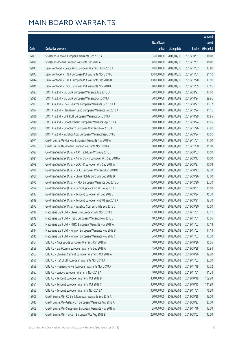|       |                                                               |              |                       |               | Amount       |
|-------|---------------------------------------------------------------|--------------|-----------------------|---------------|--------------|
|       |                                                               | No. of issue |                       |               | raised       |
| Code  | Derivative warrants                                           | (units)      | <b>Listing date</b>   | <b>Expiry</b> | $(HK\$ mil.) |
| 12891 | SG Issuer - Lenovo European Warrants Oct 2018 A               | 36,000,000   | 2018/04/30            | 2018/10/31    | 10.08        |
| 12879 | SG Issuer - Meitu European Warrants Dec 2018 A                | 40,000,000   | 2018/04/30            | 2018/12/31    | 10.00        |
| 12842 | Bank Vontobel - Geely Auto European Warrants Nov 2018 A       | 40,000,000   | 2018/04/30            | 2018/11/02    | 12.80        |
| 12843 | Bank Vontobel - HKEX European Put Warrants Nov 2018 C         | 100,000,000  | 2018/04/30            | 2018/11/01    | 21.10        |
| 12844 | Bank Vontobel - HKEX European Put Warrants Dec 2018 D         | 100,000,000  | 2018/04/30            | 2018/12/28    | 17.90        |
| 12845 | Bank Vontobel - HSBC European Put Warrants Nov 2018 C         | 40,000,000   | 2018/04/30            | 2018/11/05    | 23.56        |
| 12927 | BOCI Asia Ltd. - CC Bank European Warrants Aug 2018 D         | 70,000,000   | 2018/05/02            | 2018/08/27    | 14.00        |
| 12925 | BOCI Asia Ltd. - CC Bank European Warrants Oct 2018 A         | 70,000,000   | 2018/05/02            | 2018/10/24    | 29.96        |
| 12937 | BOCI Asia Ltd. - CSPC Pharma European Warrants Oct 2018 A     | 60,000,000   | 2018/05/02            | 2018/10/22    | 10.32        |
| 12934 | BOCI Asia Ltd. - Henderson Land European Warrants Dec 2018 A  | 40,000,000   | 2018/05/02            | 2018/12/24    | 11.16        |
| 12936 | BOCI Asia Ltd. - Link REIT European Warrants Oct 2018 A       | 70,000,000   | 2018/05/02            | 2018/10/29    | 10.85        |
| 12940 | BOCI Asia Ltd. - Sino Biopharm European Warrants Sep 2018 A   | 50,000,000   | 2018/05/02            | 2018/09/24    | 10.05        |
| 12939 | BOCI Asia Ltd. - Sinopharm European Warrants Nov 2018 A       | 50,000,000   | 2018/05/02            | 2018/11/26    | 27.80        |
| 12930 | BOCI Asia Ltd. - Yanzhou Coal European Warrants Sep 2018 C    | 70,000,000   | 2018/05/02            | 2018/09/24    | 10.50        |
| 12971 | Credit Suisse AG - Lenovo European Warrants Nov 2018 A        | 50,000,000   | 2018/05/02            | 2018/11/01    | 14.00        |
| 12972 | Credit Suisse AG - Meitu European Warrants Nov 2018 A         | 60,000,000   | 2018/05/02            | 2018/11/30    | 15.00        |
| 12922 | Goldman Sachs SP (Asia) - AAC Tech Euro Wts Aug 2018 B        | 70,000,000   | 2018/05/02            | 2018/08/02    | 10.50        |
| 12921 | Goldman Sachs SP (Asia) - Anhui Conch European Wts Sep 2018 A | 50,000,000   | 2018/05/02            | 2018/09/13    | 10.00        |
| 12979 | Goldman Sachs SP (Asia) - BOC HK European Wts Sep 2018 A      | 60,000,000   | 2018/05/02            | 2018/09/27    | 10.08        |
| 12976 | Goldman Sachs SP (Asia) - BOCL European Warrants Oct 2018 D   | 80,000,000   | 2018/05/02            | 2018/10/12    | 19.20        |
| 12980 | Goldman Sachs SP (Asia) - China Mobile Euro Wts Sep 2018 D    | 80,000,000   | 2018/05/02            | 2018/09/26    | 12.00        |
| 12975 | Goldman Sachs SP (Asia) - HKEX European Warrants Dec 2018 D   | 150,000,000  | 2018/05/02            | 2018/12/20    | 27.30        |
| 12924 | Goldman Sachs SP (Asia) - Sunny Optical Euro Wts Aug 2018 B   | 70,000,000   | 2018/05/02            | 2018/08/01    | 10.50        |
| 12917 | Goldman Sachs SP (Asia) - Tencent European Wt Sep 2018 J      | 150,000,000  | 2018/05/02            | 2018/09/24    | 45.30        |
| 12919 | Goldman Sachs SP (Asia) - Tencent European Put Wt Sep 2018 K  | 100,000,000  | 2018/05/02            | 2018/09/21    | 18.30        |
| 12973 | Goldman Sachs SP (Asia) - Yanzhou Coal Euro Wts Sep 2018 C    | 70,000,000   | 2018/05/02            | 2018/09/20    | 10.50        |
| 12948 | Macquarie Bank Ltd. - China Life European Wts Nov 2018 B      |              | 13,000,000 2018/05/02 | 2018/11/01    | 10.11        |
| 12949 | Macquarie Bank Ltd. - HSBC European Warrants Nov 2018 B       | 10,200,000   | 2018/05/02            | 2018/11/01    | 10.06        |
| 12943 | Macquarie Bank Ltd. - MTRC European Warrants Nov 2018 A       | 29,000,000   | 2018/05/02            | 2018/11/02    | 10.18        |
| 12914 | Macquarie Bank Ltd. - Ping An European Warrants Nov 2018 B    | 20,000,000   | 2018/05/02            | 2018/11/02    | 14.14        |
| 12915 | Macquarie Bank Ltd. - Ping An European Warrants Nov 2018 C    | 34,000,000   | 2018/05/02            | 2018/11/02    | 10.20        |
| 12964 | UBS AG - Anta Sports European Warrants Oct 2018 A             | 40,000,000   | 2018/05/02            | 2018/10/26    | 16.56        |
| 12958 | UBS AG - BankComm European Warrants Sep 2018 A                | 45,000,000   | 2018/05/02            | 2018/09/28    | 10.94        |
| 12967 | UBS AG - Chinares Cement European Warrants Oct 2018 A         | 30,000,000   | 2018/05/02            | 2018/10/26    | 19.80        |
| 12956 | UBS AG - HSCEI ETF European Warrants Nov 2018 A               | 50,000,000   | 2018/05/02            | 2018/11/02    | 22.50        |
| 12959 | UBS AG - Huaneng Power European Warrants Nov 2018 A           | 20,000,000   | 2018/05/02            | 2018/11/19    | 10.02        |
| 12957 | UBS AG - Lenovo European Warrants Nov 2018 A                  | 40,000,000   | 2018/05/02            | 2018/11/01    | 11.24        |
| 12950 | UBS AG - Tencent European Warrants Oct 2018 B                 | 300,000,000  | 2018/05/02            | 2018/10/19    | 109.80       |
| 12951 | UBS AG - Tencent European Warrants Oct 2018 C                 | 300,000,000  | 2018/05/02            | 2018/10/15    | 141.90       |
| 12955 | UBS AG - Tencent European Warrants Nov 2018 A                 | 300,000,000  | 2018/05/02            | 2018/11/01    | 76.50        |
| 13006 | Credit Suisse AG - CC Bank European Warrants Sep 2018 A       | 50,000,000   | 2018/05/03            | 2018/09/28    | 13.00        |
| 13015 | Credit Suisse AG - Galaxy Ent European Warrants Aug 2018 A    | 50,000,000   | 2018/05/03            | 2018/08/23    | 20.00        |
| 13008 | Credit Suisse AG - Sinopharm European Warrants Nov 2018 A     | 25,000,000   | 2018/05/03            | 2018/11/16    | 13.00        |
| 12998 | Credit Suisse AG - Tencent European Wts Aug 2018 B            | 250,000,000  | 2018/05/03            | 2018/08/02    | 47.50        |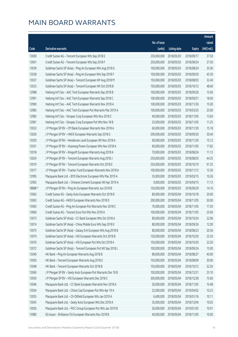|        |                                                               |              |                        |               | Amount       |
|--------|---------------------------------------------------------------|--------------|------------------------|---------------|--------------|
|        |                                                               | No. of issue |                        |               | raised       |
| Code   | Derivative warrants                                           | (units)      | <b>Listing date</b>    | <b>Expiry</b> | $(HK$$ mil.) |
| 13000  | Credit Suisse AG - Tencent European Wts Sep 2018 E            | 250,000,000  | 2018/05/03             | 2018/09/17    | 37.50        |
| 13001  | Credit Suisse AG - Tencent European Wts Sep 2018 F            | 250,000,000  | 2018/05/03             | 2018/09/24    | 37.50        |
| 13039  | Goldman Sachs SP (Asia) - Ping An European Wts Aug 2018 G     | 100,000,000  | 2018/05/03             | 2018/08/24    | 35.00        |
| 13038  | Goldman Sachs SP (Asia) - Ping An European Wts Sep 2018 F     | 100,000,000  | 2018/05/03             | 2018/09/20    | 45.50        |
| 13037  | Goldman Sachs SP (Asia) - Tencent European Wt Aug 2018 M      | 150,000,000  | 2018/05/03             | 2018/08/03    | 32.40        |
| 13033  | Goldman Sachs SP (Asia) - Tencent European Wt Oct 2018 B      | 150,000,000  | 2018/05/03             | 2018/10/12    | 48.60        |
| 12988  | Haitong Int'l Sec - AAC Tech European Warrants Sep 2018 B     | 100,000,000  | 2018/05/03             | 2018/09/26    | 15.00        |
| 12991  | Haitong Int'l Sec - AAC Tech European Warrants Sep 2018 C     | 100,000,000  | 2018/05/03             | 2018/09/21    | 18.00        |
| 12990  | Haitong Int'l Sec - AAC Tech European Warrants Nov 2018 A     | 100,000,000  | 2018/05/03             | 2018/11/26    | 15.00        |
| 12985  | Haitong Int'l Sec - AAC Tech European Put Warrants Mar 2019 A | 100,000,000  | 2018/05/03             | 2019/03/25    | 25.00        |
| 12983  | Haitong Int'l Sec - Sinopec Corp European Wts Nov 2018 C      | 40,000,000   | 2018/05/03             | 2018/11/05    | 13.60        |
| 12981  | Haitong Int'l Sec - Sinopec Corp European Put Wts Nov 18 B    | 25,000,000   | 2018/05/03             | 2018/11/05    | 11.25        |
| 13032  | J P Morgan SP BV - CM Bank European Warrants Nov 2018 A       | 60,000,000   | 2018/05/03             | 2018/11/30    | 15.18        |
| 13026  | J P Morgan SP BV - HKEX European Warrants Sep 2018 G          | 200,000,000  | 2018/05/03             | 2018/09/20    | 30.40        |
| 13030  | J P Morgan SP BV - Henderson Land European Wt Nov 2018 A      | 60,000,000   | 2018/05/03             | 2018/11/30    | 15.12        |
| 13031  | J P Morgan SP BV - Huaneng Power European Wts Nov 2018 A      | 60,000,000   | 2018/05/03             | 2018/11/05    | 17.82        |
| 13018  | J P Morgan SP BV - Kingsoft European Warrants Aug 2018 A      | 70,000,000   | 2018/05/03             | 2018/08/24    | 11.13        |
| 13024  | J P Morgan SP BV - Tencent European Warrants Aug 2018 J       | 250,000,000  | 2018/05/03             | 2018/08/03    | 44.25        |
| 13019  | J P Morgan SP BV - Tencent European Warrants Oct 2018 E       | 250,000,000  | 2018/05/03             | 2018/10/19    | 91.25        |
| 13017  | J P Morgan SP BV - Tracker Fund European Warrants Nov 2018 A  | 100,000,000  | 2018/05/03             | 2018/11/12    | 15.30        |
| 12995  | Macquarie Bank Ltd. - BYD Electronic European Wts Mar 2019 A  | 35,000,000   | 2018/05/03             | 2019/03/15    | 10.26        |
| 12992  | Macquarie Bank Ltd. - Chinares Cement European Wt Apr 2019 A  | 9,000,000    | 2018/05/03             | 2019/04/15    | 11.13        |
| 18888# | J P Morgan SP BV - Ping An European Warrants Jun 2018 B       | 150,000,000  | 2018/05/03             | 2018/06/29    | 14.10        |
| 13062  | Credit Suisse AG - Geely Auto European Warrants Oct 2018 B    | 80,000,000   | 2018/05/04             | 2018/10/18    | 20.00        |
| 13063  | Credit Suisse AG - HKEX European Warrants Nov 2018 D          | 200,000,000  | 2018/05/04             | 2018/11/05    | 50.00        |
| 13065  | Credit Suisse AG - Ping An European Put Warrants Nov 2018 C   | 70,000,000   | 2018/05/04             | 2018/11/05    | 17.50        |
| 13066  | Credit Suisse AG - Tencent Furo Put Wts Nov 2018 A            |              | 100,000,000 2018/05/04 | 2018/11/05    | 25.00        |
| 13073  | Goldman Sachs SP (Asia) - CC Bank European Wts Oct 2018 A     | 80,000,000   | 2018/05/04             | 2018/10/24    | 22.96        |
| 13074  | Goldman Sachs SP (Asia) - China Mobile Euro Wts Sep 2018 E    | 80,000,000   | 2018/05/04             | 2018/09/26    | 12.00        |
| 13075  | Goldman Sachs SP (Asia) - Galaxy Ent European Wts Aug 2018 B  | 80,000,000   | 2018/05/04             | 2018/08/23    | 20.56        |
| 13079  | Goldman Sachs SP (Asia) - HSI European Warrants Oct 2018 B    | 150,000,000  | 2018/05/04             | 2018/10/30    | 22.50        |
| 13076  | Goldman Sachs SP (Asia) - HSI European Put Wts Oct 2018 A     | 150,000,000  | 2018/05/04             | 2018/10/30    | 22.50        |
| 13072  | Goldman Sachs SP (Asia) - Tencent European Put Wt Sep 2018 L  | 100,000,000  | 2018/05/04             | 2018/09/24    | 15.00        |
| 13049  | HK Bank - Ping An European Warrants Aug 2018 B                | 80,000,000   | 2018/05/04             | 2018/08/27    | 40.00        |
| 13050  | HK Bank - Tencent European Warrants Aug 2018 E                | 150,000,000  | 2018/05/04             | 2018/08/09    | 30.00        |
| 13048  | HK Bank - Tencent European Warrants Oct 2018 B                | 150,000,000  | 2018/05/04             | 2018/10/12    | 52.50        |
| 13060  | JP Morgan SP BV - Geely Auto European Put Warrants Dec 18 B   | 100,000,000  | 2018/05/04             | 2018/12/31    | 25.10        |
| 13059  | J P Morgan SP BV - HSI European Warrants Dec 2018 C           | 300,000,000  | 2018/05/04             | 2018/12/28    | 75.60        |
| 13046  | Macquarie Bank Ltd. - CC Bank European Warrants Nov 2018 A    | 26,000,000   | 2018/05/04             | 2018/11/05    | 10.48        |
| 13054  | Macquarie Bank Ltd. - China Coal European Put Wts Apr 19 A    | 22,000,000   | 2018/05/04             | 2019/04/02    | 10.23        |
| 13055  | Macquarie Bank Ltd. - Ch Oilfield European Wts Jan 2019 A     | 6,400,000    | 2018/05/04             | 2019/01/16    | 10.11        |
| 13045  | Macquarie Bank Ltd. - Geely Auto European Wts Dec 2018 A      | 35,000,000   | 2018/05/04             | 2018/12/04    | 10.05        |
| 13056  | Macquarie Bank Ltd. - PICC Group European Put Wts Jan 2019 B  | 26,000,000   | 2018/05/04             | 2019/01/03    | 10.01        |
| 13080  | SG Issuer - Brilliance Chi European Warrants Nov 2018 B       | 40,000,000   | 2018/05/04             | 2018/11/05    | 10.00        |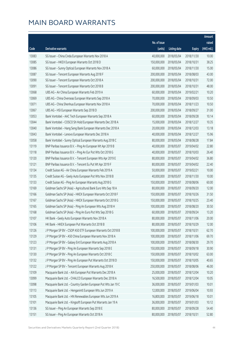|       |                                                                |              |                       |               | Amount       |
|-------|----------------------------------------------------------------|--------------|-----------------------|---------------|--------------|
|       |                                                                | No. of issue |                       |               | raised       |
| Code  | Derivative warrants                                            | (units)      | <b>Listing date</b>   | <b>Expiry</b> | $(HK$$ mil.) |
| 13083 | SG Issuer - China Cinda European Warrants Nov 2018 A           | 40,000,000   | 2018/05/04            | 2018/11/30    | 10.00        |
| 13085 | SG Issuer - HKEX European Warrants Oct 2018 D                  | 150,000,000  | 2018/05/04            | 2018/10/31    | 38.25        |
| 13086 | SG Issuer - Sunny Optical European Warrants Nov 2018 A         | 60,000,000   | 2018/05/04            | 2018/11/30    | 15.00        |
| 13087 | SG Issuer - Tencent European Warrants Aug 2018 F               | 200,000,000  | 2018/05/04            | 2018/08/03    | 43.00        |
| 13090 | SG Issuer - Tencent European Warrants Oct 2018 A               | 200,000,000  | 2018/05/04            | 2018/10/31    | 72.00        |
| 13091 | SG Issuer - Tencent European Warrants Oct 2018 B               | 200,000,000  | 2018/05/04            | 2018/10/31    | 48.00        |
| 13068 | UBS AG - Air China European Warrants Feb 2019 A                | 60,000,000   | 2018/05/04            | 2019/02/21    | 10.20        |
| 13069 | UBS AG - China Overseas European Warrants Sep 2018 A           | 70,000,000   | 2018/05/04            | 2018/09/03    | 10.50        |
| 13071 | UBS AG - China Shenhua European Warrants Nov 2018 A            | 70,000,000   | 2018/05/04            | 2018/11/23    | 10.50        |
| 13067 | UBS AG - HSI European Warrants Sep 2018 D                      | 200,000,000  | 2018/05/04            | 2018/09/27    | 31.00        |
| 13053 | Bank Vontobel - AAC Tech European Warrants Sep 2018 A          | 60,000,000   | 2018/05/04            | 2018/09/28    | 10.14        |
| 13044 | Bank Vontobel - COSCO Sh Hold European Warrants Dec 2018 A     | 15,000,000   | 2018/05/04            | 2018/12/27    | 10.35        |
| 13040 | Bank Vontobel - Hang Seng Bank European Warrants Dec 2018 A    | 20,000,000   | 2018/05/04            | 2018/12/03    | 13.18        |
| 13043 | Bank Vontobel - Lenovo European Warrants Dec 2018 A            | 40,000,000   | 2018/05/04            | 2018/12/27    | 15.96        |
| 13058 | Bank Vontobel - Sunny Optical European Warrants Aug 2018 C     | 80,000,000   | 2018/05/04            | 2018/08/28    | 17.84        |
| 13119 | BNP Paribas Issuance B.V. - Ping An European Wt Apr 2019 B     | 40,000,000   | 2018/05/07            | 2019/04/02    | 22.80        |
| 13118 | BNP Paribas Issuance B.V. - Ping An Eur Put Wts Oct 2018 G     | 40,000,000   | 2018/05/07            | 2018/10/03    | 26.40        |
| 13120 | BNP Paribas Issuance B.V. - Tencent European Wts Apr 2019 E    | 80,000,000   | 2018/05/07            | 2019/04/02    | 36.80        |
| 13121 | BNP Paribas Issuance B.V. - Tencent Eu Put Wt Apr 2019 F       | 80,000,000   | 2018/05/07            | 2019/04/02    | 22.40        |
| 13134 | Credit Suisse AG - Air China European Warrants Feb 2019 A      | 50,000,000   | 2018/05/07            | 2019/02/21    | 10.00        |
| 13135 | Credit Suisse AG - Geely Auto European Put Wts Nov 2018 B      | 40,000,000   | 2018/05/07            | 2018/11/30    | 10.00        |
| 13133 | Credit Suisse AG - Ping An European Warrants Aug 2018 G        | 150,000,000  | 2018/05/07            | 2018/08/06    | 60.00        |
| 13169 | Goldman Sachs SP (Asia) - Agricultural Bank Euro Wts Sep 18 A  | 80,000,000   | 2018/05/07            | 2018/09/20    | 12.00        |
| 13166 | Goldman Sachs SP (Asia) - HKEX European Warrants Oct 2018 F    | 150,000,000  | 2018/05/07            | 2018/10/26    | 31.50        |
| 13167 | Goldman Sachs SP (Asia) - HKEX European Warrants Oct 2018 G    | 150,000,000  | 2018/05/07            | 2018/10/25    | 23.40        |
| 13165 | Goldman Sachs SP (Asia) - Ping An European Wts Aug 2018 H      | 100,000,000  | 2018/05/07            | 2018/08/20    | 30.50        |
| 13168 | Goldman Sachs SP (Asia) - Ping An Euro Put Wts Sep 2018 G      |              | 60,000,000 2018/05/07 | 2018/09/24    | 13.20        |
| 13107 | HK Bank - Geely Auto European Warrants Nov 2018 A              | 80,000,000   | 2018/05/07            | 2018/11/06    | 20.00        |
| 13106 | HK Bank - HKEX European Put Warrants Oct 2018 B                | 80,000,000   | 2018/05/07            | 2018/10/29    | 12.00        |
| 13126 | J P Morgan SP BV - CSOP A50 ETF European Warrants Oct 2018 B   | 100,000,000  | 2018/05/07            | 2018/10/31    | 62.70        |
| 13129 | J P Morgan SP BV - A50 China European Warrants Nov 2018 A      | 100,000,000  | 2018/05/07            | 2018/11/06    | 69.70        |
| 13123 | J P Morgan SP BV - Galaxy Ent European Warrants Aug 2018 A     | 100,000,000  | 2018/05/07            | 2018/08/30    | 29.70        |
| 13131 | J P Morgan SP BV - Ping An European Warrants Sep 2018 E        | 150,000,000  | 2018/05/07            | 2018/09/18    | 30.90        |
| 13130 | J P Morgan SP BV - Ping An European Warrants Oct 2018 C        | 150,000,000  | 2018/05/07            | 2018/10/02    | 63.00        |
| 13132 | J P Morgan SP BV - Ping An European Put Warrants Oct 2018 D    | 150,000,000  | 2018/05/07            | 2018/10/05    | 40.65        |
| 13122 | J P Morgan SP BV - Tencent European Warrants Aug 2018 K        | 250,000,000  | 2018/05/07            | 2018/08/06    | 46.00        |
| 13109 | Macquarie Bank Ltd. - AIA European Put Warrants Dec 2018 A     | 25,000,000   | 2018/05/07            | 2018/12/04    | 10.20        |
| 13099 | Macquarie Bank Ltd. - CHALCO European Warrants Dec 2018 A      | 16,500,000   | 2018/05/07            | 2018/12/04    | 10.05        |
| 13098 | Macquarie Bank Ltd. - Country Garden European Put Wts Jan 19 C | 36,000,000   | 2018/05/07            | 2019/01/03    | 10.01        |
| 13113 | Macquarie Bank Ltd. - Henganintl European Wts Jun 2019 A       | 12,000,000   | 2018/05/07            | 2019/06/04    | 10.93        |
| 13105 | Macquarie Bank Ltd. - HN Renewables European Wts Jun 2019 A    | 16,800,000   | 2018/05/07            | 2019/06/18    | 10.01        |
| 13101 | Macquarie Bank Ltd. - Kingsoft European Put Warrants Jan 19 A  | 36,000,000   | 2018/05/07            | 2019/01/03    | 10.12        |
| 13136 | SG Issuer - Ping An European Warrants Sep 2018 E               | 80,000,000   | 2018/05/07            | 2018/09/28    | 54.40        |
| 13151 | SG Issuer - Ping An European Warrants Oct 2018 A               | 80,000,000   | 2018/05/07            | 2018/10/31    | 52.80        |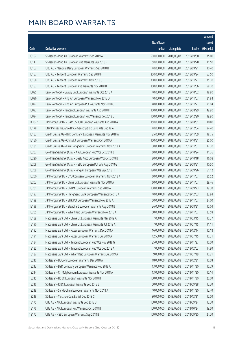|         |                                                               |              |                       |               | Amount      |
|---------|---------------------------------------------------------------|--------------|-----------------------|---------------|-------------|
|         |                                                               | No. of issue |                       |               | raised      |
| Code    | Derivative warrants                                           | (units)      | <b>Listing date</b>   | <b>Expiry</b> | (HK\$ mil.) |
| 13152   | SG Issuer - Ping An European Warrants Sep 2019 A              | 500,000,000  | 2018/05/07            | 2019/09/30    | 75.00       |
| 13147   | SG Issuer - Ping An European Put Warrants Sep 2018 F          | 50,000,000   | 2018/05/07            | 2018/09/28    | 11.50       |
| 13162   | UBS AG - Mengniu Dairy European Warrants Sep 2018 B           | 40,000,000   | 2018/05/07            | 2018/09/21    | 10.40       |
| 13157   | UBS AG - Tencent European Warrants Sep 2018 F                 | 300,000,000  | 2018/05/07            | 2018/09/24    | 52.50       |
| 13158   | UBS AG - Tencent European Warrants Nov 2018 C                 | 300,000,000  | 2018/05/07            | 2018/11/27    | 75.30       |
| 13153   | UBS AG - Tencent European Put Warrants Nov 2018 B             | 300,000,000  | 2018/05/07            | 2018/11/06    | 98.70       |
| 13095   | Bank Vontobel - Galaxy Ent European Warrants Oct 2018 A       | 40,000,000   | 2018/05/07            | 2018/10/02    | 18.80       |
| 13096   | Bank Vontobel - Ping An European Warrants Nov 2018 D          | 40,000,000   | 2018/05/07            | 2018/11/07    | 31.84       |
| 13092   | Bank Vontobel - Ping An European Put Warrants Nov 2018 C      | 40,000,000   | 2018/05/07            | 2018/11/27    | 21.04       |
| 13093   | Bank Vontobel - Tencent European Warrants Aug 2018 H          | 100,000,000  | 2018/05/07            | 2018/08/29    | 49.90       |
| 13094   | Bank Vontobel - Tencent European Put Warrants Dec 2018 B      | 100,000,000  | 2018/05/07            | 2018/12/20    | 19.90       |
| 14302 # | J P Morgan SP BV - CAM CSI300 European Warrants Aug 2018 A    | 150,000,000  | 2018/05/07            | 2018/08/31    | 10.80       |
| 13178   | BNP Paribas Issuance B.V. - Genscript Bio Euro Wts Dec 18 A   | 40,000,000   | 2018/05/08            | 2018/12/04    | 24.40       |
| 13183   | Credit Suisse AG - BYD Company European Warrants Nov 2018 A   | 25,000,000   | 2018/05/08            | 2018/11/09    | 18.75       |
| 13180   | Credit Suisse AG - China Lit European Warrants Oct 2019 A     | 100,000,000  | 2018/05/08            | 2019/10/31    | 25.00       |
| 13181   | Credit Suisse AG - Hua Hong Semi European Warrants Nov 2018 A | 30,000,000   | 2018/05/08            | 2018/11/07    | 12.30       |
| 13207   | Goldman Sachs SP (Asia) - AIA European Put Wts Oct 2018 B     | 60,000,000   | 2018/05/08            | 2018/10/24    | 11.76       |
| 13220   | Goldman Sachs SP (Asia) - Geely Auto European Wts Oct 2018 B  | 80,000,000   | 2018/05/08            | 2018/10/18    | 16.08       |
| 13208   | Goldman Sachs SP (Asia) - HSBC European Put Wts Aug 2018 G    | 70,000,000   | 2018/05/08            | 2018/08/31    | 10.50       |
| 13209   | Goldman Sachs SP (Asia) - Ping An European Wts Sep 2018 H     | 120,000,000  | 2018/05/08            | 2018/09/26    | 51.12       |
| 13200   | J P Morgan SP BV - BYD Company European Warrants Nov 2018 A   | 60,000,000   | 2018/05/08            | 2018/11/07    | 35.52       |
| 13203   | J P Morgan SP BV - China Lit European Warrants Nov 2018 A     | 60,000,000   | 2018/05/08            | 2018/11/07    | 29.46       |
| 13201   | J P Morgan SP BV - CNBM European Warrants Sep 2019 A          | 100,000,000  | 2018/05/08            | 2019/09/23    | 19.30       |
| 13197   | J P Morgan SP BV - Hang Seng Bank European Warrants Dec 18 A  | 40,000,000   | 2018/05/08            | 2018/12/03    | 22.84       |
| 13199   | J P Morgan SP BV - SHK Ppt European Warrants Nov 2018 A       | 60,000,000   | 2018/05/08            | 2018/11/07    | 24.00       |
| 13198   | J P Morgan SP BV - Stanchart European Warrants Aug 2018 B     | 36,000,000   | 2018/05/08            | 2018/08/31    | 10.04       |
| 13205   | J P Morgan SP BV - Wharf Reic European Warrants Nov 2018 A    |              | 60,000,000 2018/05/08 | 2018/11/07    | 23.58       |
| 13189   | Macquarie Bank Ltd. - China Lit European Warrants Mar 2019 A  | 7,000,000    | 2018/05/08            | 2019/03/15    | 10.37       |
| 13190   | Macquarie Bank Ltd. - China Lit European Warrants Jul 2019 A  | 7,000,000    | 2018/05/08            | 2019/07/15    | 11.11       |
| 13192   | Macquarie Bank Ltd. - Razer European Warrants Dec 2018 A      | 16,000,000   | 2018/05/08            | 2018/12/14    | 10.18       |
| 13191   | Macquarie Bank Ltd. - Razer European Warrants Jul 2019 A      | 12,500,000   | 2018/05/08            | 2019/07/15    | 10.31       |
| 13184   | Macquarie Bank Ltd. - Tencent European Put Wts Nov 2018 G     | 25,000,000   | 2018/05/08            | 2018/11/27    | 10.00       |
| 13185   | Macquarie Bank Ltd. - Tencent European Put Wts Dec 2018 A     | 7,000,000    | 2018/05/08            | 2018/12/03    | 14.80       |
| 13187   | Macquarie Bank Ltd. - Wharf Reic European Warrants Jul 2019 A | 9,000,000    | 2018/05/08            | 2019/07/19    | 10.21       |
| 13210   | SG Issuer - BOCom European Warrants Dec 2018 A                | 18,000,000   | 2018/05/08            | 2018/12/31    | 10.08       |
| 13213   | SG Issuer - BYD Company European Warrants Nov 2018 A          | 13,000,000   | 2018/05/08            | 2018/11/30    | 10.79       |
| 13214   | SG Issuer - Ch Molybdenum European Warrants Nov 2018 A        | 13,000,000   | 2018/05/08            | 2018/11/30    | 10.14       |
| 13215   | SG Issuer - HSBC European Warrants Nov 2018 B                 | 100,000,000  | 2018/05/08            | 2018/11/30    | 20.00       |
| 13216   | SG Issuer - ICBC European Warrants Sep 2018 B                 | 60,000,000   | 2018/05/08            | 2018/09/28    | 12.30       |
| 13218   | SG Issuer - Sands China European Warrants Nov 2018 A          | 40,000,000   | 2018/05/08            | 2018/11/30    | 12.40       |
| 13219   | SG Issuer - Yanzhou Coal Eu Wt Dec 2018 C                     | 80,000,000   | 2018/05/08            | 2018/12/31    | 12.00       |
| 13175   | UBS AG - AIA European Warrants Sep 2018 B                     | 100,000,000  | 2018/05/08            | 2018/09/24    | 15.20       |
| 13176   | UBS AG - AIA European Put Warrants Oct 2018 B                 | 100,000,000  | 2018/05/08            | 2018/10/24    | 39.60       |
| 13172   | UBS AG - HSBC European Warrants Sep 2018 B                    | 100,000,000  | 2018/05/08            | 2018/09/20    | 24.20       |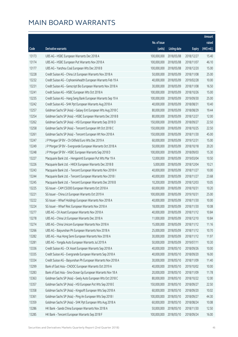|       |                                                               |              |                       |               | Amount      |
|-------|---------------------------------------------------------------|--------------|-----------------------|---------------|-------------|
|       |                                                               | No. of issue |                       |               | raised      |
| Code  | Derivative warrants                                           | (units)      | <b>Listing date</b>   | <b>Expiry</b> | (HK\$ mil.) |
| 13173 | UBS AG - HSBC European Warrants Dec 2018 A                    | 100,000,000  | 2018/05/08            | 2018/12/27    | 15.40       |
| 13174 | UBS AG - HSBC European Put Warrants Nov 2018 A                | 100,000,000  | 2018/05/08            | 2018/11/07    | 46.10       |
| 13177 | UBS AG - Yanzhou Coal European Wts Dec 2018 B                 | 100,000,000  | 2018/05/08            | 2018/12/20    | 15.00       |
| 13228 | Credit Suisse AG - China Lit European Warrants Nov 2018 A     | 50,000,000   | 2018/05/09            | 2018/11/08    | 25.00       |
| 13232 | Credit Suisse AG - Crphoenixhealth European Warrants Feb 19 A | 40,000,000   | 2018/05/09            | 2019/02/28    | 10.00       |
| 13231 | Credit Suisse AG - Genscript Bio European Warrants Nov 2018 A | 30,000,000   | 2018/05/09            | 2018/11/08    | 16.50       |
| 13241 | Credit Suisse AG - HSBC European Wts Oct 2018 A               | 100,000,000  | 2018/05/09            | 2018/10/26    | 15.00       |
| 13235 | Credit Suisse AG - Hang Seng Bank European Warrants Sep 19 A  | 100,000,000  | 2018/05/09            | 2019/09/30    | 25.00       |
| 13242 | Credit Suisse AG - SHK Ppt European Warrants Aug 2018 A       | 40,000,000   | 2018/05/09            | 2018/08/31    | 10.40       |
| 13257 | Goldman Sachs SP (Asia) - Galaxy Ent European Wts Aug 2018 C  | 80,000,000   | 2018/05/09            | 2018/08/29    | 19.44       |
| 13254 | Goldman Sachs SP (Asia) - HSBC European Warrants Dec 2018 B   | 80,000,000   | 2018/05/09            | 2018/12/27    | 12.00       |
| 13262 | Goldman Sachs SP (Asia) - HSI European Warrants Sep 2018 D    | 150,000,000  | 2018/05/09            | 2018/09/27    | 22.50       |
| 13258 | Goldman Sachs SP (Asia) - Tencent European Wt Oct 2018 C      | 150,000,000  | 2018/05/09            | 2018/10/25    | 22.50       |
| 13261 | Goldman Sachs SP (Asia) - Tencent European Wt Nov 2018 A      | 150,000,000  | 2018/05/09            | 2018/11/30    | 45.00       |
| 13247 | J P Morgan SP BV - Ch Oilfield Euro Wts Dec 2019 A            | 60,000,000   | 2018/05/09            | 2019/12/31    | 15.00       |
| 13249 | J P Morgan SP BV - Evergrande European Warrants Oct 2018 A    | 50,000,000   | 2018/05/09            | 2018/10/18    | 20.20       |
| 13248 | J P Morgan SP BV - HSBC European Warrants Sep 2018 D          | 100,000,000  | 2018/05/09            | 2018/09/03    | 15.30       |
| 13227 | Macquarie Bank Ltd. - Henganintl European Put Wts Mar 19 A    | 12,000,000   | 2018/05/09            | 2019/03/04    | 10.50       |
| 13226 | Macquarie Bank Ltd. - HKEX European Warrants Dec 2018 B       | 5,000,000    | 2018/05/09            | 2018/12/04    | 10.21       |
| 13243 | Macquarie Bank Ltd. - Tencent European Warrants Nov 2018 H    | 40,000,000   | 2018/05/09            | 2018/11/27    | 10.00       |
| 13244 | Macquarie Bank Ltd. - Tencent European Warrants Nov 2018 I    | 40,000,000   | 2018/05/09            | 2018/11/27    | 23.68       |
| 13245 | Macquarie Bank Ltd. - Tencent European Warrants Dec 2018 B    | 10,200,000   | 2018/05/09            | 2018/12/03    | 10.05       |
| 13225 | SG Issuer - CAM CSI300 European Warrants Oct 2018 A           | 60,000,000   | 2018/05/09            | 2018/10/31    | 10.20       |
| 13221 | SG Issuer - China Lit European Warrants Oct 2019 A            | 100,000,000  | 2018/05/09            | 2019/10/31    | 25.00       |
| 13222 | SG Issuer - Wharf Holdings European Warrants Nov 2018 A       | 40,000,000   | 2018/05/09            | 2018/11/30    | 10.00       |
| 13224 | SG Issuer - Wharf Reic European Warrants Nov 2018 A           | 18,000,000   | 2018/05/09            | 2018/11/30    | 10.08       |
| 13277 | UBS AG – CK Asset European Warrants Nov 2018 A                |              | 40,000,000 2018/05/09 | 2018/11/12    | 10.84       |
| 13278 | UBS AG - China Lit European Warrants Dec 2018 A               | 11,000,000   | 2018/05/09            | 2018/12/10    | 10.84       |
| 13274 | UBS AG - China Unicom European Warrants Nov 2018 A            | 15,000,000   | 2018/05/09            | 2018/11/12    | 11.16       |
| 13266 | UBS AG - Baiyunshan Ph European Warrants Nov 2018 A           | 25,000,000   | 2018/05/09            | 2018/11/12    | 10.70       |
| 13282 | UBS AG - Hua Hong Semi European Warrants Nov 2018 A           | 30,000,000   | 2018/05/09            | 2018/11/12    | 11.97       |
| 13281 | UBS AG - Yongda Auto European Warrants Jul 2019 A             | 50,000,000   | 2018/05/09            | 2019/07/11    | 10.30       |
| 13336 | Credit Suisse AG - CK Asset European Warrants Sep 2018 A      | 40,000,000   | 2018/05/10            | 2018/09/26    | 10.00       |
| 13335 | Credit Suisse AG - Evergrande European Warrants Sep 2018 A    | 40,000,000   | 2018/05/10            | 2018/09/20    | 16.00       |
| 13334 | Credit Suisse AG - Baiyunshan Ph European Warrants Nov 2018 A | 30,000,000   | 2018/05/10            | 2018/11/09    | 11.40       |
| 13299 | Bank of East Asia - CNOOC European Warrants Oct 2019 A        | 40,000,000   | 2018/05/10            | 2019/10/02    | 10.00       |
| 13283 | Bank of East Asia - Sino-Ocean Gp European Warrants Nov 18 A  | 20,000,000   | 2018/05/10            | 2018/11/09    | 11.78       |
| 13363 | Goldman Sachs SP (Asia) - Geely Auto European Wts Oct 2018 C  | 80,000,000   | 2018/05/10            | 2018/10/22    | 12.00       |
| 13357 | Goldman Sachs SP (Asia) - HSI European Put Wts Sep 2018 E     | 150,000,000  | 2018/05/10            | 2018/09/27    | 22.50       |
| 13358 | Goldman Sachs SP (Asia) - Kingsoft European Wts Sep 2018 A    | 60,000,000   | 2018/05/10            | 2018/09/20    | 10.02       |
| 13361 | Goldman Sachs SP (Asia) - Ping An European Wts Sep 2018 I     | 100,000,000  | 2018/05/10            | 2018/09/27    | 44.30       |
| 13359 | Goldman Sachs SP (Asia) - SHK Ppt European Wts Aug 2018 A     | 60,000,000   | 2018/05/10            | 2018/08/24    | 10.08       |
| 13286 | HK Bank - Sands China European Warrants Nov 2018 A            | 50,000,000   | 2018/05/10            | 2018/11/30    | 12.50       |
| 13285 | HK Bank - Tencent European Warrants Sep 2018 F                | 100,000,000  | 2018/05/10            | 2018/09/24    | 16.00       |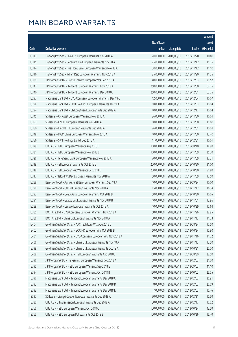|       |                                                                |              |                       |               | Amount      |
|-------|----------------------------------------------------------------|--------------|-----------------------|---------------|-------------|
|       |                                                                | No. of issue |                       |               | raised      |
| Code  | Derivative warrants                                            | (units)      | <b>Listing date</b>   | <b>Expiry</b> | (HK\$ mil.) |
| 13313 | Haitong Int'l Sec - China Lit European Warrants Nov 2018 A     | 20,000,000   | 2018/05/10            | 2018/11/20    | 10.80       |
| 13315 | Haitong Int'l Sec - Genscript Bio European Warrants Nov 18 A   | 25,000,000   | 2018/05/10            | 2018/11/12    | 11.75       |
| 13314 | Haitong Int'l Sec - Hua Hong Semi European Warrants Nov 18 A   | 30,000,000   | 2018/05/10            | 2018/11/12    | 11.10       |
| 13316 | Haitong Int'l Sec - Wharf Reic European Warrants Nov 2018 A    | 25,000,000   | 2018/05/10            | 2018/11/20    | 11.25       |
| 13339 | J P Morgan SP BV - Baiyunshan Ph European Wts Dec 2018 A       | 40,000,000   | 2018/05/10            | 2018/12/03    | 21.52       |
| 13342 | JP Morgan SP BV - Tencent European Warrants Nov 2018 A         | 250,000,000  | 2018/05/10            | 2018/11/30    | 62.75       |
| 13340 | J P Morgan SP BV - Tencent European Warrants Dec 2018 C        | 250,000,000  | 2018/05/10            | 2018/12/31    | 63.75       |
| 13297 | Macquarie Bank Ltd. - BYD Company European Warrants Dec 18 C   | 12,000,000   | 2018/05/10            | 2018/12/04    | 10.07       |
| 13298 | Macquarie Bank Ltd. - CKH Holdings European Warrants Jan 19 A  | 18,000,000   | 2018/05/10            | 2019/01/03    | 10.04       |
| 13294 | Macquarie Bank Ltd. - Ch LongYuan European Wts Dec 2019 A      | 40,000,000   | 2018/05/10            | 2019/12/17    | 10.04       |
| 13345 | SG Issuer - CK Asset European Warrants Nov 2018 A              | 26,000,000   | 2018/05/10            | 2018/11/30    | 10.01       |
| 13353 | SG Issuer - CNBM European Warrants Nov 2018 A                  | 10,000,000   | 2018/05/10            | 2018/11/30    | 11.60       |
| 13350 | SG Issuer - Link REIT European Warrants Dec 2018 A             | 26,000,000   | 2018/05/10            | 2018/12/31    | 10.01       |
| 13348 | SG Issuer - MGM China European Warrants Nov 2018 A             | 40,000,000   | 2018/05/10            | 2018/11/30    | 13.40       |
| 13356 | SG Issuer - SJM Holdings Eu Wt Dec 2018 A                      | 11,000,000   | 2018/05/10            | 2018/12/31    | 10.01       |
| 13329 | UBS AG - HSBC European Warrants Aug 2018 C                     | 100,000,000  | 2018/05/10            | 2018/08/10    | 18.90       |
| 13331 | UBS AG - HSBC European Warrants Nov 2018 B                     | 100,000,000  | 2018/05/10            | 2018/11/09    | 25.30       |
| 13326 | UBS AG - Hang Seng Bank European Warrants Nov 2018 A           | 70,000,000   | 2018/05/10            | 2018/11/09    | 37.31       |
| 13319 | UBS AG - HSI European Warrants Oct 2018 E                      | 200,000,000  | 2018/05/10            | 2018/10/30    | 31.00       |
| 13318 | UBS AG - HSI European Put Warrants Oct 2018 D                  | 200,000,000  | 2018/05/10            | 2018/10/30    | 51.80       |
| 13317 | UBS AG - Melco Int'l Dev European Warrants Nov 2018 A          | 50,000,000   | 2018/05/10            | 2018/11/09    | 12.50       |
| 13288 | Bank Vontobel - Agricultural Bank European Warrants Sep 18 A   | 40,000,000   | 2018/05/10            | 2018/09/24    | 10.00       |
| 13290 | Bank Vontobel - CNBM European Warrants Nov 2018 A              | 15,000,000   | 2018/05/10            | 2018/11/12    | 16.34       |
| 13292 | Bank Vontobel - Geely Auto European Warrants Oct 2018 B        | 50,000,000   | 2018/05/10            | 2018/10/30    | 10.05       |
| 13291 | Bank Vontobel - Galaxy Ent European Warrants Nov 2018 B        | 40,000,000   | 2018/05/10            | 2018/11/01    | 13.96       |
| 13289 | Bank Vontobel - Lenovo European Warrants Oct 2018 A            | 40,000,000   | 2018/05/10            | 2018/10/29    | 10.64       |
| 13385 | BOCI Asia Ltd. - BYD Company European Warrants Nov 2018 A      |              | 50,000,000 2018/05/11 | 2018/11/26    | 28.95       |
| 13386 | BOCI Asia Ltd. - China Lit European Warrants Nov 2018 A        | 30,000,000   | 2018/05/11            | 2018/11/12    | 11.73       |
| 13404 | Goldman Sachs SP (Asia) - AAC Tech Euro Wts Aug 2018 C         | 70,000,000   | 2018/05/11            | 2018/08/24    | 10.50       |
| 13402 | Goldman Sachs SP (Asia) - BOC HK European Wts Oct 2018 B       | 60,000,000   | 2018/05/11            | 2018/10/24    | 10.80       |
| 13401 | Goldman Sachs SP (Asia) - BYD Company European Wts Nov 2018 A  | 40,000,000   | 2018/05/11            | 2018/11/16    | 11.72       |
| 13406 | Goldman Sachs SP (Asia) - China Lit European Warrants Nov 18 A | 50,000,000   | 2018/05/11            | 2018/11/12    | 12.50       |
| 13399 | Goldman Sachs SP (Asia) - China Lit European Warrants Oct 19 A | 80,000,000   | 2018/05/11            | 2019/10/31    | 20.00       |
| 13408 | Goldman Sachs SP (Asia) - HSI European Warrants Aug 2018 J     | 150,000,000  | 2018/05/11            | 2018/08/30    | 22.50       |
| 13396 | J P Morgan SP BV - Henganintl European Warrants Dec 2018 A     | 60,000,000   | 2018/05/11            | 2018/12/03    | 21.00       |
| 13395 | J P Morgan SP BV - HSBC European Warrants Sep 2018 E           | 150,000,000  | 2018/05/11            | 2018/09/03    | 41.10       |
| 13394 | J P Morgan SP BV - HSBC European Warrants Oct 2018 B           | 150,000,000  | 2018/05/11            | 2018/10/02    | 25.05       |
| 13390 | Macquarie Bank Ltd. - Tencent European Warrants Dec 2018 C     | 9,000,000    | 2018/05/11            | 2018/12/03    | 36.91       |
| 13392 | Macquarie Bank Ltd. - Tencent European Warrants Dec 2018 D     | 8,000,000    | 2018/05/11            | 2018/12/03    | 20.09       |
| 13393 | Macquarie Bank Ltd. - Tencent European Warrants Dec 2018 E     | 7,000,000    | 2018/05/11            | 2018/12/03    | 10.46       |
| 13397 | SG Issuer - Jiangxi Copper European Warrants Dec 2018 A        | 70,000,000   | 2018/05/11            | 2018/12/31    | 10.50       |
| 13380 | UBS AG - C Transmission European Warrants Dec 2018 A           | 30,000,000   | 2018/05/11            | 2018/12/17    | 10.02       |
| 13366 | UBS AG - HSBC European Warrants Oct 2018 C                     | 100,000,000  | 2018/05/11            | 2018/10/24    | 43.50       |
| 13365 | UBS AG - HSBC European Put Warrants Oct 2018 B                 | 100,000,000  | 2018/05/11            | 2018/10/26    | 15.40       |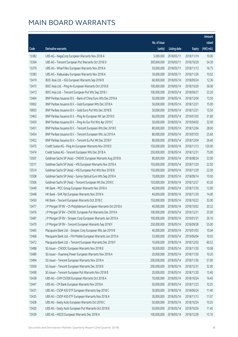|       |                                                               |                        |                     |               | Amount      |
|-------|---------------------------------------------------------------|------------------------|---------------------|---------------|-------------|
|       |                                                               | No. of issue           |                     |               | raised      |
| Code  | Derivative warrants                                           | (units)                | <b>Listing date</b> | <b>Expiry</b> | (HK\$ mil.) |
| 13382 | UBS AG - NagaCorp European Warrants Nov 2018 A                | 5,000,000              | 2018/05/11          | 2018/11/19    | 10.00       |
| 13364 | UBS AG - Tencent European Put Warrants Oct 2018 D             | 300,000,000            | 2018/05/11          | 2018/10/29    | 54.30       |
| 13379 | UBS AG - Wharf Reic European Warrants Nov 2018 A              | 50,000,000             | 2018/05/11          | 2018/11/12    | 16.75       |
| 13383 | UBS AG - Xiabuxiabu European Warrants Nov 2018 A              | 30,000,000             | 2018/05/11          | 2018/11/26    | 10.02       |
| 13419 | BOCI Asia Ltd. - IGG European Warrants Sep 2018 B             | 60,000,000             | 2018/05/14          | 2018/09/24    | 12.36       |
| 13415 | BOCI Asia Ltd. - Ping An European Warrants Oct 2018 B         | 100,000,000            | 2018/05/14          | 2018/10/29    | 36.00       |
| 13413 | BOCI Asia Ltd. - Tencent European Put Wts Sep 2018 J          | 100,000,000            | 2018/05/14          | 2018/09/27    | 23.20       |
| 13464 | BNP Paribas Issuance B.V. - Bank of China Euro Wts Dec 2018 A | 50,000,000             | 2018/05/14          | 2018/12/04    | 13.50       |
| 10002 | BNP Paribas Issuance B.V. - Gold European Wts Dec 2018 A      | 50,000,000             | 2018/05/14          | 2018/12/21    | 15.00       |
| 10003 | BNP Paribas Issuance B.V. - Gold Euro Put Wts Dec 2018 B      | 50,000,000             | 2018/05/14          | 2018/12/21    | 15.50       |
| 13463 | BNP Paribas Issuance B.V. - Ping An European Wt Jan 2019 D    | 60,000,000             | 2018/05/14          | 2019/01/03    | 31.80       |
| 13459 | BNP Paribas Issuance B.V. - Ping An Eur Put Wts Apr 2019 C    | 50,000,000             | 2018/05/14          | 2019/04/02    | 32.00       |
| 13451 | BNP Paribas Issuance B.V. - Tencent European Wts Dec 2018 E   | 80,000,000             | 2018/05/14          | 2018/12/04    | 28.00       |
| 13454 | BNP Paribas Issuance B.V. - Tencent European Wts Jul 2019 A   | 80,000,000             | 2018/05/14          | 2019/07/03    | 25.60       |
| 13452 | BNP Paribas Issuance B.V. - Tencent Eu Put Wt Dec 2018 F      | 80,000,000             | 2018/05/14          | 2018/12/04    | 26.40       |
| 13475 | Credit Suisse AG - Ping An European Warrants Nov 2018 D       | 150,000,000            | 2018/05/14          | 2018/11/13    | 120.00      |
| 13474 | Credit Suisse AG - Tencent European Wts Dec 2018 A            | 250,000,000            | 2018/05/14          | 2018/12/31    | 75.00       |
| 13507 | Goldman Sachs SP (Asia) - CNOOC European Warrants Aug 2018 B  | 80,000,000             | 2018/05/14          | 2018/08/24    | 32.00       |
| 13511 | Goldman Sachs SP (Asia) - HSI European Warrants Nov 2018 A    | 150,000,000            | 2018/05/14          | 2018/11/29    | 22.50       |
| 13514 | Goldman Sachs SP (Asia) - HSI European Put Wts Nov 2018 B     | 150,000,000            | 2018/05/14          | 2018/11/29    | 22.50       |
| 13508 | Goldman Sachs SP (Asia) - Sunny Optical Euro Wts Sep 2018 A   | 70,000,000             | 2018/05/14          | 2018/09/14    | 10.50       |
| 13506 | Goldman Sachs SP (Asia) - Tencent European Wt Dec 2018 C      | 150,000,000            | 2018/05/14          | 2018/12/27    | 43.20       |
| 13449 | HK Bank - PICC Group European Warrants Nov 2018 A             | 40,000,000             | 2018/05/14          | 2018/11/30    | 12.00       |
| 13448 | HK Bank - SHK Ppt European Warrants Nov 2018 A                | 40,000,000             | 2018/05/14          | 2018/11/30    | 14.00       |
| 13450 | HK Bank - Tencent European Warrants Oct 2018 C                | 150,000,000            | 2018/05/14          | 2018/10/22    | 33.00       |
| 13477 | J P Morgan SP BV - Ch Molybdenum European Warrants Oct 2018 A | 40,000,000             | 2018/05/14          | 2018/10/02    | 20.32       |
| 13476 | J P Morgan SP BV - CNOOC European Put Warrants Dec 2019 A     | 100,000,000 2018/05/14 |                     | 2019/12/31    | 25.00       |
| 13487 | J P Morgan SP BV - Sinopec Corp European Warrants Jan 2019 A  | 100,000,000            | 2018/05/14          | 2019/01/31    | 26.10       |
| 13479 | J P Morgan SP BV - Tencent European Warrants Sep 2018 F       | 250,000,000            | 2018/05/14          | 2018/09/28    | 55.00       |
| 13465 | Macquarie Bank Ltd. - Sinopec Corp European Wts Jan 2019 B    | 40,000,000             | 2018/05/14          | 2019/01/03    | 10.04       |
| 13468 | Macquarie Bank Ltd. - FIH Mobile European Warrants Jun 2019 A | 33,000,000             | 2018/05/14          | 2019/06/04    | 10.03       |
| 13472 | Macquarie Bank Ltd. - Tencent European Warrants Dec 2018 F    | 10,000,000             | 2018/05/14          | 2018/12/03    | 60.52       |
| 13488 | SG Issuer - CNOOC European Warrants Nov 2018 B                | 18,000,000             | 2018/05/14          | 2018/11/30    | 10.08       |
| 13489 | SG Issuer - Huaneng Power European Warrants Nov 2018 A        | 20,000,000             | 2018/05/14          | 2018/11/30    | 10.20       |
| 13494 | SG Issuer - Tencent European Warrants Nov 2018 A              | 200,000,000            | 2018/05/14          | 2018/11/30    | 57.00       |
| 13500 | SG Issuer - Tencent European Warrants Dec 2018 B              | 200,000,000            | 2018/05/14          | 2018/12/31    | 32.00       |
| 13498 | SG Issuer - Tencent European Put Warrants Nov 2018 B          | 20,000,000             | 2018/05/14          | 2018/11/30    | 13.40       |
| 13438 | UBS AG - CAM CSI300 European Warrants Oct 2018 A              | 70,000,000             | 2018/05/14          | 2018/10/24    | 16.45       |
| 13447 | UBS AG - CM Bank European Warrants Nov 2018 A                 | 50,000,000             | 2018/05/14          | 2018/11/23    | 10.25       |
| 13431 | UBS AG - CSOP A50 ETF European Warrants Sep 2018 C            | 30,000,000             | 2018/05/14          | 2018/09/24    | 11.40       |
| 13435 | UBS AG - CSOP A50 ETF European Warrants Nov 2018 A            | 30,000,000             | 2018/05/14          | 2018/11/13    | 11.07       |
| 13428 | UBS AG - Geely Auto European Warrants Oct 2018 C              | 50,000,000             | 2018/05/14          | 2018/10/24    | 10.25       |
| 13420 | UBS AG - Geely Auto European Put Warrants Oct 2018 B          | 50,000,000             | 2018/05/14          | 2018/10/26    | 11.45       |
| 13439 | UBS AG - HSCEI European Warrants Dec 2018 A                   | 100,000,000            | 2018/05/14          | 2018/12/28    | 15.10       |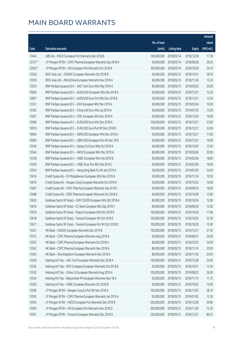|         |                                                              |              |                        |               | Amount      |
|---------|--------------------------------------------------------------|--------------|------------------------|---------------|-------------|
|         |                                                              | No. of issue |                        |               | raised      |
| Code    | Derivative warrants                                          | (units)      | <b>Listing date</b>    | <b>Expiry</b> | (HK\$ mil.) |
| 13443   | UBS AG - HSCEI European Put Warrants Dec 2018 B              | 100,000,000  | 2018/05/14             | 2018/12/28    | 17.30       |
| 23727 # | J P Morgan SP BV - CSPC Pharma European Warrants Sep 2018 A  | 60,000,000   | 2018/05/14             | 2018/09/28    | 28.20       |
| 23920 # | J P Morgan SP BV - HSI European Put Warrants Oct 2018 B      | 300,000,000  | 2018/05/14             | 2018/10/30    | 26.10       |
| 13520   | BOCI Asia Ltd. - CNOOC European Warrants Oct 2018 B          | 50,000,000   | 2018/05/15             | 2018/10/31    | 28.55       |
| 13518   | BOCI Asia Ltd. - PetroChina European Warrants Nov 2018 A     | 60,000,000   | 2018/05/15             | 2018/11/26    | 15.24       |
| 13553   | BNP Paribas Issuance B.V. - AAC Tech Euro Wts May 2019 A     | 80,000,000   | 2018/05/15             | 2019/05/02    | 20.00       |
| 10006   | BNP Paribas Issuance B.V. - AUD/USD European Wts Dec 2018 A  | 50,000,000   | 2018/05/15             | 2018/12/21    | 12.50       |
| 10007   | BNP Paribas Issuance B.V. - AUD/USD Euro Put Wts Dec 2018 B  | 50,000,000   | 2018/05/15             | 2018/12/21    | 12.50       |
| 13551   | BNP Paribas Issuance B.V. - CKH European Wts Mar 2019 A      | 40,000,000   | 2018/05/15             | 2019/03/04    | 10.00       |
| 13545   | BNP Paribas Issuance B.V. - China Life Euro Wts Jul 2019 A   | 60,000,000   | 2018/05/15             | 2019/07/03    | 15.00       |
| 13627   | BNP Paribas Issuance B.V. - CPIC European Wts Dec 2018 A     | 40,000,000   | 2018/05/15             | 2018/12/04    | 10.00       |
| 10009   | BNP Paribas Issuance B.V. - EUR/USD Euro Wts Dec 2018 A      | 100,000,000  | 2018/05/15             | 2018/12/21    | 33.00       |
| 10010   | BNP Paribas Issuance B.V. - EUR/USD Euro Put Wt Dec 2018 B   | 100,000,000  | 2018/05/15             | 2018/12/21    | 32.00       |
| 10004   | BNP Paribas Issuance B.V. - GBP/USD European Wts Dec 2018 A  | 50,000,000   | 2018/05/15             | 2018/12/21    | 17.00       |
| 10005   | BNP Paribas Issuance B.V. - GBP/USD European Put Wt Dec 18 B | 50,000,000   | 2018/05/15             | 2018/12/21    | 16.00       |
| 13549   | BNP Paribas Issuance B.V. - Galaxy Ent Euro Wts Oct 2018 A   | 40,000,000   | 2018/05/15             | 2018/10/03    | 15.60       |
| 13544   | BNP Paribas Issuance B.V. - HKEX European Wts Mar 2019 A     | 80,000,000   | 2018/05/15             | 2019/03/04    | 20.00       |
| 13538   | BNP Paribas Issuance B.V. - HSBC European Wts Feb 2019 B     | 40,000,000   | 2018/05/15             | 2019/02/04    | 18.80       |
| 13540   | BNP Paribas Issuance B.V. - HSBC Euro Put Wts Feb 2019 C     | 40,000,000   | 2018/05/15             | 2019/02/04    | 18.40       |
| 13554   | BNP Paribas Issuance B.V. - Hang Seng Bank Eu Wt Jan 2019 A  | 20,000,000   | 2018/05/15             | 2019/01/03    | 10.40       |
| 13614   | Credit Suisse AG - Ch Molybdenum European Wts Nov 2018 A     | 30,000,000   | 2018/05/15             | 2018/11/14    | 19.50       |
| 13610   | Credit Suisse AG - Sinopec Corp European Warrants Oct 2018 A | 50,000,000   | 2018/05/15             | 2018/10/23    | 14.00       |
| 13607   | Credit Suisse AG - CSPC Pharma European Warrants Sep 2018 C  | 40,000,000   | 2018/05/15             | 2018/09/20    | 18.00       |
| 13608   | Credit Suisse AG - CSPC Pharma European Warrants Oct 2018 A  | 40,000,000   | 2018/05/15             | 2018/10/08    | 12.80       |
| 13620   | Goldman Sachs SP (Asia) - CAM CSI300 European Wts Oct 2018 A | 80,000,000   | 2018/05/15             | 2018/10/24    | 12.00       |
| 13616   | Goldman Sachs SP (Asia) - CC Bank European Wts Sep 2018 C    | 80,000,000   | 2018/05/15             | 2018/09/20    | 12.00       |
| 13619   | Goldman Sachs SP (Asia) - Ping An European Wts Oct 2018 B    |              | 100,000,000 2018/05/15 | 2018/10/26    | 17.60       |
| 13618   | Goldman Sachs SP (Asia) - Tencent European Wt Oct 2018 E     | 150,000,000  | 2018/05/15             | 2018/10/26    | 22.50       |
| 13617   | Goldman Sachs SP (Asia) - Tencent European Put Wt Oct 2018 D | 100,000,000  | 2018/05/15             | 2018/10/29    | 15.00       |
| 13521   | HK Bank - CNOOC European Warrants Dec 2019 B                 | 150,000,000  | 2018/05/15             | 2019/12/31    | 37.50       |
| 13572   | HK Bank - CSPC Pharma European Warrants Aug 2018 A           | 50,000,000   | 2018/05/15             | 2018/08/31    | 24.00       |
| 13555   | HK Bank - CSPC Pharma European Warrants Oct 2018 A           | 80,000,000   | 2018/05/15             | 2018/10/22    | 24.00       |
| 13562   | HK Bank - CSPC Pharma European Warrants Nov 2018 A           | 80,000,000   | 2018/05/15             | 2018/11/14    | 20.00       |
| 13565   | HK Bank - Sino Biopharm European Warrants Nov 2018 A         | 80,000,000   | 2018/05/15             | 2018/11/30    | 20.00       |
| 13536   | Haitong Int'l Sec - AAC Tech European Warrants Dec 2018 A    | 100,000,000  | 2018/05/15             | 2018/12/28    | 25.00       |
| 13535   | Haitong Int'l Sec - BYD Company European Warrants Oct 2018 B | 25,000,000   | 2018/05/15             | 2018/10/31    | 12.50       |
| 13532   | Haitong Int'l Sec - China Lit European Warrants Aug 2019 A   | 100,000,000  | 2018/05/15             | 2019/08/22    | 26.00       |
| 13534   | Haitong Int'l Sec - Baiyunshan Ph European Warrants Nov 18 A | 25,000,000   | 2018/05/15             | 2018/11/15    | 11.75       |
| 13526   | Haitong Int'l Sec - HSBC European Warrants Oct 2018 B        | 50,000,000   | 2018/05/15             | 2018/10/02    | 15.00       |
| 13596   | J P Morgan SP BV - Sinopec Corp Eu Put Wt Nov 2018 A         | 100,000,000  | 2018/05/15             | 2018/11/02    | 28.10       |
| 13595   | J P Morgan SP BV - CSPC Pharma European Warrants Jan 2019 A  | 50,000,000   | 2018/05/15             | 2019/01/02    | 13.30       |
| 13594   | J P Morgan SP BV - HSCEI European Put Warrants Dec 2018 B    | 200,000,000  | 2018/05/15             | 2018/12/28    | 39.80       |
| 13590   | J P Morgan SP BV - HSI European Put Warrants Nov 2018 D      | 300,000,000  | 2018/05/15             | 2018/11/29    | 75.30       |
| 13597   | J P Morgan SP BV - Tencent European Warrants Dec 2018 D      | 250,000,000  | 2018/05/15             | 2018/12/31    | 86.25       |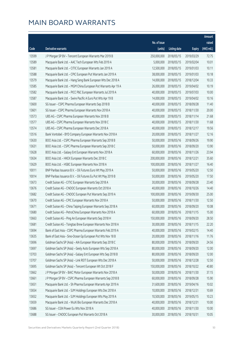|       |                                                                |              |                       |               | Amount      |
|-------|----------------------------------------------------------------|--------------|-----------------------|---------------|-------------|
|       |                                                                | No. of issue |                       |               | raised      |
| Code  | Derivative warrants                                            | (units)      | <b>Listing date</b>   | <b>Expiry</b> | (HK\$ mil.) |
| 13599 | J P Morgan SP BV - Tencent European Warrants Mar 2019 B        | 250,000,000  | 2018/05/15            | 2019/03/29    | 72.75       |
| 13589 | Macquarie Bank Ltd. - AAC Tech European Wts Feb 2019 A         | 5,000,000    | 2018/05/15            | 2019/02/04    | 10.01       |
| 13581 | Macquarie Bank Ltd. - CITIC European Warrants Jan 2019 A       | 12,500,000   | 2018/05/15            | 2019/01/03    | 10.11       |
| 13588 | Macquarie Bank Ltd. - CPIC European Put Warrants Jan 2019 A    | 38,000,000   | 2018/05/15            | 2019/01/03    | 10.18       |
| 13579 | Macquarie Bank Ltd. - Hang Seng Bank European Wts Dec 2018 A   | 14,000,000   | 2018/05/15            | 2018/12/04    | 10.33       |
| 13585 | Macquarie Bank Ltd. - MGM China European Put Warrants Apr 19 A | 26,000,000   | 2018/05/15            | 2019/04/02    | 10.19       |
| 13582 | Macquarie Bank Ltd. - PICC P&C European Warrants Jul 2019 A    | 40,000,000   | 2018/05/15            | 2019/07/03    | 10.00       |
| 13587 | Macquarie Bank Ltd. - Swire Pacific A Euro Put Wts Apr 19 B    | 14,000,000   | 2018/05/15            | 2019/04/02    | 10.16       |
| 13600 | SG Issuer - CSPC Pharma European Warrants Sep 2018 B           | 40,000,000   | 2018/05/15            | 2018/09/28    | 11.40       |
| 13601 | SG Issuer - CSPC Pharma European Warrants Nov 2018 A           | 40,000,000   | 2018/05/15            | 2018/11/30    | 20.00       |
| 13573 | UBS AG - CSPC Pharma European Warrants Nov 2018 B              | 40,000,000   | 2018/05/15            | 2018/11/14    | 21.68       |
| 13577 | UBS AG - CSPC Pharma European Warrants Nov 2018 C              | 40,000,000   | 2018/05/15            | 2018/11/30    | 11.68       |
| 13574 | UBS AG - CSPC Pharma European Warrants Dec 2018 A              | 40,000,000   | 2018/05/15            | 2018/12/17    | 19.56       |
| 13516 | Bank Vontobel - BYD Company European Warrants Nov 2018 A       | 20,000,000   | 2018/05/15            | 2018/11/27    | 12.16       |
| 13630 | BOCI Asia Ltd. - CSPC Pharma European Warrants Sep 2018 B      | 50,000,000   | 2018/05/16            | 2018/09/26    | 19.90       |
| 13631 | BOCI Asia Ltd. - CSPC Pharma European Warrants Sep 2018 C      | 50,000,000   | 2018/05/16            | 2018/09/20    | 13.90       |
| 13628 | BOCI Asia Ltd. - Galaxy Ent European Warrants Nov 2018 A       | 60,000,000   | 2018/05/16            | 2018/11/26    | 23.94       |
| 13634 | BOCI Asia Ltd. - HKEX European Warrants Dec 2018 C             | 200,000,000  | 2018/05/16            | 2018/12/21    | 35.60       |
| 13629 | BOCI Asia Ltd. - HSBC European Warrants Nov 2018 A             | 100,000,000  | 2018/05/16            | 2018/11/27    | 16.40       |
| 10011 | BNP Paribas Issuance B.V. - Oil Futures Euro Wt May 2019 A     | 50,000,000   | 2018/05/16            | 2019/05/20    | 12.50       |
| 10014 | BNP Paribas Issuance B.V. - Oil Futures Eu Put Wt May 2019 B   | 50,000,000   | 2018/05/16            | 2019/05/20    | 17.50       |
| 13673 | Credit Suisse AG - CITIC European Warrants Sep 2018 A          | 30,000,000   | 2018/05/16            | 2018/09/28    | 23.40       |
| 13676 | Credit Suisse AG - CNOOC European Warrants Oct 2018 A          | 40,000,000   | 2018/05/16            | 2018/10/26    | 14.40       |
| 13682 | Credit Suisse AG - CNOOC European Put Warrants Sep 2019 A      | 100,000,000  | 2018/05/16            | 2019/09/30    | 25.00       |
| 13670 | Credit Suisse AG - CPIC European Warrants Nov 2018 A           | 50,000,000   | 2018/05/16            | 2018/11/30    | 12.50       |
| 13671 | Credit Suisse AG - China Taiping European Warrants Sep 2018 A  | 60,000,000   | 2018/05/16            | 2018/09/20    | 10.08       |
| 13680 | Credit Suisse AG - PetroChina European Warrants Nov 2018 A     |              | 60,000,000 2018/05/16 | 2018/11/15    | 15.00       |
| 13663 | Credit Suisse AG - Ping An European Warrants Sep 2018 H        | 150,000,000  | 2018/05/16            | 2018/09/20    | 28.50       |
| 13681 | Credit Suisse AG - Tsingtao Brew European Warrants Nov 2018 A  | 30,000,000   | 2018/05/16            | 2018/11/15    | 22.20       |
| 13694 | Bank of East Asia - CSPC Pharma European Warrants Feb 2019 A   | 40,000,000   | 2018/05/16            | 2019/02/15    | 14.40       |
| 13635 | Bank of East Asia - Sino-Ocean Gp European Put Wts Nov 18 B    | 20,000,000   | 2018/05/16            | 2018/11/16    | 11.76       |
| 13696 | Goldman Sachs SP (Asia) - AIA European Warrants Sep 2018 C     | 80,000,000   | 2018/05/16            | 2018/09/20    | 24.56       |
| 13697 | Goldman Sachs SP (Asia) - Geely Auto European Wts Sep 2018 A   | 80,000,000   | 2018/05/16            | 2018/09/20    | 12.00       |
| 13703 | Goldman Sachs SP (Asia) - Galaxy Ent European Wts Sep 2018 B   | 80,000,000   | 2018/05/16            | 2018/09/20    | 12.00       |
| 13707 | Goldman Sachs SP (Asia) - Link REIT European Wts Dec 2018 A    | 50,000,000   | 2018/05/16            | 2018/12/28    | 12.50       |
| 13695 | Goldman Sachs SP (Asia) - Tencent European Wt Oct 2018 F       | 150,000,000  | 2018/05/16            | 2018/10/22    | 40.80       |
| 13662 | J P Morgan SP BV - BAIC Motor European Warrants Nov 2018 A     | 50,000,000   | 2018/05/16            | 2018/11/30    | 37.15       |
| 13661 | J P Morgan SP BV - CSPC Pharma European Warrants Sep 2018 B    | 60,000,000   | 2018/05/16            | 2018/09/28    | 15.90       |
| 13651 | Macquarie Bank Ltd. - Sh Pharma European Warrants Apr 2019 A   | 31,600,000   | 2018/05/16            | 2019/04/16    | 10.02       |
| 13654 | Macquarie Bank Ltd. - SJM Holdings European Wts Dec 2018 A     | 10,000,000   | 2018/05/16            | 2018/12/31    | 10.69       |
| 13652 | Macquarie Bank Ltd. - SJM Holdings European Wts May 2019 A     | 10,500,000   | 2018/05/16            | 2019/05/15    | 10.23       |
| 13659 | Macquarie Bank Ltd. - WuXi Bio European Warrants Dec 2018 A    | 40,000,000   | 2018/05/16            | 2018/12/31    | 10.00       |
| 13686 | SG Issuer - CGN Power Eu Wts Nov 2018 A                        | 40,000,000   | 2018/05/16            | 2018/11/30    | 10.00       |
| 13688 | SG Issuer - CNOOC European Put Warrants Oct 2018 A             | 30,000,000   | 2018/05/16            | 2018/10/31    | 10.05       |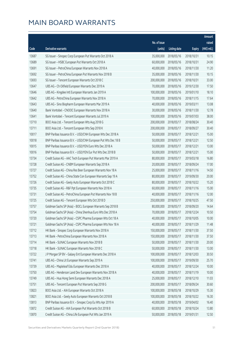|       |                                                               |              |                       |               | Amount      |
|-------|---------------------------------------------------------------|--------------|-----------------------|---------------|-------------|
|       |                                                               | No. of issue |                       |               | raised      |
| Code  | Derivative warrants                                           | (units)      | <b>Listing date</b>   | <b>Expiry</b> | (HK\$ mil.) |
| 13687 | SG Issuer - Sinopec Corp European Put Warrants Oct 2018 A     | 35,000,000   | 2018/05/16            | 2018/10/31    | 10.15       |
| 13689 | SG Issuer - HSBC European Put Warrants Oct 2018 A             | 60,000,000   | 2018/05/16            | 2018/10/31    | 24.90       |
| 13691 | SG Issuer - PetroChina European Warrants Nov 2018 A           | 40,000,000   | 2018/05/16            | 2018/11/30    | 11.20       |
| 13692 | SG Issuer - PetroChina European Put Warrants Nov 2018 B       | 35,000,000   | 2018/05/16            | 2018/11/30    | 10.15       |
| 13693 | SG Issuer - Tencent European Warrants Oct 2018 C              | 200,000,000  | 2018/05/16            | 2018/10/31    | 33.00       |
| 13647 | UBS AG - Ch Oilfield European Warrants Dec 2019 A             | 70,000,000   | 2018/05/16            | 2019/12/30    | 17.50       |
| 13646 | UBS AG - Kingdee Intl European Warrants Jan 2019 A            | 100,000,000  | 2018/05/16            | 2019/01/10    | 18.10       |
| 13642 | UBS AG - PetroChina European Warrants Nov 2018 A              | 70,000,000   | 2018/05/16            | 2018/11/15    | 17.64       |
| 13643 | UBS AG - Sino Biopharm European Warrants Mar 2019 A           | 40,000,000   | 2018/05/16            | 2019/03/11    | 13.08       |
| 13640 | Bank Vontobel - CNOOC European Warrants Nov 2018 A            | 30,000,000   | 2018/05/16            | 2018/11/30    | 12.78       |
| 13641 | Bank Vontobel - Tencent European Warrants Jul 2019 A          | 100,000,000  | 2018/05/16            | 2019/07/03    | 38.00       |
| 13710 | BOCI Asia Ltd. - Tencent European Wts Aug 2018 G              | 200,000,000  | 2018/05/17            | 2018/08/24    | 30.40       |
| 13711 | BOCI Asia Ltd. - Tencent European Wts Sep 2018 K              | 200,000,000  | 2018/05/17            | 2018/09/27    | 30.40       |
| 10017 | BNP Paribas Issuance B.V. - USD/CNH European Wts Dec 2018 A   | 50,000,000   | 2018/05/17            | 2018/12/21    | 15.00       |
| 10018 | BNP Paribas Issuance B.V. - USD/CNH European Put Wts Dec 18 B | 50,000,000   | 2018/05/17            | 2018/12/21    | 12.50       |
| 10015 | BNP Paribas Issuance B.V. - USD/YEN Euro Wts Dec 2018 A       | 50,000,000   | 2018/05/17            | 2018/12/21    | 13.00       |
| 10016 | BNP Paribas Issuance B.V. - USD/YEN Eur Put Wts Dec 2018 B    | 50,000,000   | 2018/05/17            | 2018/12/21    | 15.00       |
| 13734 | Credit Suisse AG - AAC Tech European Put Warrants Mar 2019 A  | 80,000,000   | 2018/05/17            | 2019/03/18    | 16.80       |
| 13728 | Credit Suisse AG - CNBM European Warrants Sep 2018 A          | 20,000,000   | 2018/05/17            | 2018/09/24    | 17.00       |
| 13727 | Credit Suisse AG - China Res Beer European Warrants Nov 18 A  | 25,000,000   | 2018/05/17            | 2018/11/16    | 14.50       |
| 13752 | Credit Suisse AG - China State Con European Warrants Sep 19 A | 80,000,000   | 2018/05/17            | 2019/09/30    | 20.00       |
| 13726 | Credit Suisse AG - Geely Auto European Warrants Oct 2018 C    | 80,000,000   | 2018/05/17            | 2018/10/22    | 15.20       |
| 13735 | Credit Suisse AG - R&F Ppt European Warrants Nov 2018 A       | 60,000,000   | 2018/05/17            | 2018/11/16    | 15.00       |
| 13731 | Credit Suisse AG - PetroChina European Put Warrants Nov 18 B  | 40,000,000   | 2018/05/17            | 2018/11/16    | 12.00       |
| 13725 | Credit Suisse AG - Tencent European Wts Oct 2018 D            | 250,000,000  | 2018/05/17            | 2018/10/25    | 47.50       |
| 13757 | Goldman Sachs SP (Asia) - BOCL European Warrants Sep 2018 B   | 80,000,000   | 2018/05/17            | 2018/09/20    | 14.64       |
| 13754 | Goldman Sachs SP (Asia) - China Shenhua Euro Wts Dec 2018 A   |              | 70,000,000 2018/05/17 | 2018/12/24    | 10.50       |
| 13720 | Goldman Sachs SP (Asia) - CSPC Pharma European Wts Oct 18 A   | 40,000,000   | 2018/05/17            | 2018/10/05    | 10.00       |
| 13721 | Goldman Sachs SP (Asia) - CSPC Pharma European Wts Nov 18 A   | 40,000,000   | 2018/05/17            | 2018/11/29    | 11.48       |
| 13712 | HK Bank - Sinopec Corp European Warrants Nov 2018 A           | 150,000,000  | 2018/05/17            | 2018/11/30    | 37.50       |
| 13713 | HK Bank - PetroChina European Warrants Nov 2018 A             | 150,000,000  | 2018/05/17            | 2018/11/30    | 37.50       |
| 13714 | HK Bank - SUNAC European Warrants Nov 2018 B                  | 50,000,000   | 2018/05/17            | 2018/11/30    | 20.00       |
| 13718 | HK Bank - SUNAC European Warrants Nov 2018 C                  | 50,000,000   | 2018/05/17            | 2018/11/30    | 13.00       |
| 13722 | J P Morgan SP BV - Galaxy Ent European Warrants Dec 2018 A    | 100,000,000  | 2018/05/17            | 2018/12/03    | 30.50       |
| 13741 | UBS AG - China Lit European Warrants Sep 2019 A               | 100,000,000  | 2018/05/17            | 2019/09/30    | 25.70       |
| 13739 | UBS AG - Mapleleaf Edu European Warrants Dec 2018 A           | 40,000,000   | 2018/05/17            | 2018/12/24    | 10.00       |
| 13750 | UBS AG - Henderson Land Dev European Warrants Nov 2018 A      | 40,000,000   | 2018/05/17            | 2018/11/19    | 10.00       |
| 13749 | UBS AG - Hua Hong Semi European Warrants Dec 2018 A           | 25,000,000   | 2018/05/17            | 2018/12/10    | 11.03       |
| 13751 | UBS AG - Tencent European Put Warrants Sep 2018 G             | 200,000,000  | 2018/05/17            | 2018/09/24    | 30.60       |
| 13823 | BOCI Asia Ltd. - AIA European Warrants Oct 2018 A             | 100,000,000  | 2018/05/18            | 2018/10/29    | 15.30       |
| 13821 | BOCI Asia Ltd. - Geely Auto European Warrants Oct 2018 B      | 100,000,000  | 2018/05/18            | 2018/10/22    | 16.30       |
| 13813 | BNP Paribas Issuance B.V. - Sinopec Corp Eu Wts Apr 2019 A    | 40,000,000   | 2018/05/18            | 2019/04/02    | 16.40       |
| 13872 | Credit Suisse AG - AIA European Put Warrants Oct 2018 B       | 60,000,000   | 2018/05/18            | 2018/10/24    | 13.80       |
| 13870 | Credit Suisse AG - China Life European Put Wts Jan 2019 A     | 50,000,000   | 2018/05/18            | 2019/01/31    | 12.50       |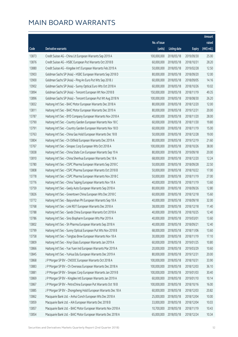|       |                                                                |              |                       |               | Amount       |
|-------|----------------------------------------------------------------|--------------|-----------------------|---------------|--------------|
|       |                                                                | No. of issue |                       |               | raised       |
| Code  | Derivative warrants                                            | (units)      | <b>Listing date</b>   | <b>Expiry</b> | $(HK$$ mil.) |
| 13873 | Credit Suisse AG - China Lit European Warrants Sep 2019 A      | 100,000,000  | 2018/05/18            | 2019/09/30    | 25.00        |
| 13876 | Credit Suisse AG - HSBC European Put Warrants Oct 2018 B       | 60,000,000   | 2018/05/18            | 2018/10/31    | 28.20        |
| 13880 | Credit Suisse AG - Kingdee Int'l European Warrants Feb 2019 A  | 50,000,000   | 2018/05/18            | 2019/02/28    | 12.50        |
| 13903 | Goldman Sachs SP (Asia) - HSBC European Warrants Sep 2018 D    | 80,000,000   | 2018/05/18            | 2018/09/20    | 12.00        |
| 13900 | Goldman Sachs SP (Asia) - Ping An Euro Put Wts Sep 2018 J      | 60,000,000   | 2018/05/18            | 2018/09/05    | 14.16        |
| 13902 | Goldman Sachs SP (Asia) - Sunny Optical Euro Wts Oct 2018 A    | 60,000,000   | 2018/05/18            | 2018/10/26    | 10.02        |
| 13894 | Goldman Sachs SP (Asia) - Tencent European Wt Nov 2018 B       | 150,000,000  | 2018/05/18            | 2018/11/19    | 49.35        |
| 13896 | Goldman Sachs SP (Asia) - Tencent European Put Wt Aug 2018 N   | 100,000,000  | 2018/05/18            | 2018/08/30    | 26.20        |
| 13832 | Haitong Int'l Sec - BAIC Motor European Warrants Dec 2018 A    | 80,000,000   | 2018/05/18            | 2018/12/20    | 12.00        |
| 13811 | Haitong Int'l Sec - BAIC Motor European Warrants Dec 2019 A    | 80,000,000   | 2018/05/18            | 2019/12/31    | 20.00        |
| 13787 | Haitong Int'l Sec - BYD Company European Warrants Nov 2018 A   | 40,000,000   | 2018/05/18            | 2018/11/20    | 28.00        |
| 13790 | Haitong Int'l Sec - Country Garden European Warrants Nov 18 C  | 60,000,000   | 2018/05/18            | 2018/11/30    | 19.80        |
| 13791 | Haitong Int'l Sec - Country Garden European Warrants Nov 18 D  | 60,000,000   | 2018/05/18            | 2018/11/19    | 15.00        |
| 13763 | Haitong Int'l Sec - China Gas Hold European Warrants Dec 18 B  | 50,000,000   | 2018/05/18            | 2018/12/28    | 19.00        |
| 13804 | Haitong Int'l Sec - Ch Oilfield European Warrants Dec 2019 A   | 80,000,000   | 2018/05/18            | 2019/12/19    | 21.60        |
| 13767 | Haitong Int'l Sec - Sinopec Corp European Wts Oct 2018 A       | 100,000,000  | 2018/05/18            | 2018/10/26    | 38.00        |
| 13838 | Haitong Int'l Sec - China State Con European Warrants Sep 19 A | 80,000,000   | 2018/05/18            | 2019/09/18    | 20.00        |
| 13810 | Haitong Int'l Sec - China Shenhua European Warrants Dec 18 A   | 68,000,000   | 2018/05/18            | 2018/12/20    | 12.24        |
| 13780 | Haitong Int'l Sec - CSPC Pharma European Warrants Sep 2018 C   | 50,000,000   | 2018/05/18            | 2018/09/28    | 22.50        |
| 13808 | Haitong Int'l Sec - CSPC Pharma European Warrants Oct 2018 B   | 50,000,000   | 2018/05/18            | 2018/10/22    | 17.00        |
| 13778 | Haitong Int'l Sec - CSPC Pharma European Warrants Nov 2018 C   | 50,000,000   | 2018/05/18            | 2018/11/19    | 27.00        |
| 13776 | Haitong Int'l Sec - China Taiping European Warrants Nov 18 A   | 40,000,000   | 2018/05/18            | 2018/11/19    | 13.60        |
| 13759 | Haitong Int'l Sec - Geely Auto European Warrants Sep 2018 A    | 80,000,000   | 2018/05/18            | 2018/09/26    | 12.80        |
| 13826 | Haitong Int'l Sec - Greentown China European Wts Dec 2018 C    | 60,000,000   | 2018/05/18            | 2018/12/18    | 15.60        |
| 13772 | Haitong Int'l Sec - Baiyunshan Ph European Warrants Sep 18 A   | 40,000,000   | 2018/05/18            | 2018/09/18    | 32.00        |
| 13768 | Haitong Int'l Sec - Link REIT European Warrants Dec 2018 A     | 38,000,000   | 2018/05/18            | 2018/12/18    | 11.40        |
| 13788 | Haitong Int'l Sec - Sands China European Warrants Oct 2018 A   |              | 40,000,000 2018/05/18 | 2018/10/25    | 12.40        |
| 13786 | Haitong Int'l Sec - Sino Biopharm European Wts Mar 2019 A      | 40,000,000   | 2018/05/18            | 2019/03/01    | 13.60        |
| 13802 | Haitong Int'l Sec - Sh Pharma European Warrants Sep 2018 A     | 40,000,000   | 2018/05/18            | 2018/09/21    | 12.40        |
| 13799 | Haitong Int'l Sec - Sunny Optical European Put Wts Nov 2018 B  | 68,000,000   | 2018/05/18            | 2018/11/06    | 13.60        |
| 13758 | Haitong Int'l Sec - Tsingtao Brew European Warrants Nov 18 A   | 30,000,000   | 2018/05/18            | 2018/11/19    | 17.10        |
| 13809 | Haitong Int'l Sec - Xinyi Glass European Warrants Jan 2019 A   | 60,000,000   | 2018/05/18            | 2019/01/25    | 10.80        |
| 13866 | Haitong Int'l Sec - Yue Yuen Ind European Warrants Mar 2019 A  | 20,000,000   | 2018/05/18            | 2019/03/29    | 10.60        |
| 13845 | Haitong Int'l Sec - YuHua Edu European Warrants Dec 2019 A     | 80,000,000   | 2018/05/18            | 2019/12/31    | 20.00        |
| 13868 | J P Morgan SP BV - CNOOC European Warrants Oct 2018 A          | 100,000,000  | 2018/05/18            | 2018/10/31    | 33.90        |
| 13883 | J P Morgan SP BV - Ch Overseas European Warrants Dec 2018 A    | 100,000,000  | 2018/05/18            | 2018/12/03    | 36.10        |
| 13881 | J P Morgan SP BV - Sinopec Corp European Warrants Jan 2019 B   | 100,000,000  | 2018/05/18            | 2019/01/03    | 30.40        |
| 13869 | J P Morgan SP BV - Kingdee Intl European Warrants Jan 2019 A   | 60,000,000   | 2018/05/18            | 2019/01/10    | 10.14        |
| 13867 | J P Morgan SP BV - PetroChina European Put Warrants Oct 18 B   | 100,000,000  | 2018/05/18            | 2018/10/16    | 16.00        |
| 13885 | J P Morgan SP BV - Zhongsheng Hold European Warrants Dec 18 A  | 60,000,000   | 2018/05/18            | 2018/12/03    | 20.82        |
| 13862 | Macquarie Bank Ltd. - Anhui Conch European Wts Dec 2018 A      | 25,000,000   | 2018/05/18            | 2018/12/04    | 10.00        |
| 13859 | Macquarie Bank Ltd. - AIA European Warrants Dec 2018 B         | 33,000,000   | 2018/05/18            | 2018/12/04    | 10.03        |
| 13857 | Macquarie Bank Ltd. - BAIC Motor European Warrants Nov 2018 A  | 10,700,000   | 2018/05/18            | 2018/11/19    | 10.43        |
| 13854 | Macquarie Bank Ltd. - BAIC Motor European Warrants Dec 2018 A  | 65,000,000   | 2018/05/18            | 2018/12/24    | 10.34        |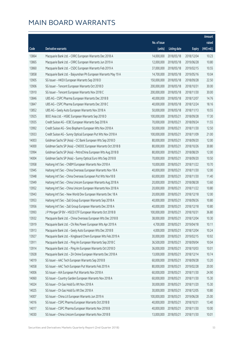|       |                                                                |                        |                     |               | Amount      |
|-------|----------------------------------------------------------------|------------------------|---------------------|---------------|-------------|
|       |                                                                | No. of issue           |                     |               | raised      |
| Code  | Derivative warrants                                            | (units)                | <b>Listing date</b> | <b>Expiry</b> | (HK\$ mil.) |
| 13864 | Macquarie Bank Ltd. - CRRC European Warrants Dec 2018 A        | 14,000,000             | 2018/05/18          | 2018/12/04    | 10.23       |
| 13865 | Macquarie Bank Ltd. - CRRC European Warrants Jun 2019 A        | 12,000,000             | 2018/05/18          | 2019/06/28    | 10.80       |
| 13860 | Macquarie Bank Ltd. - CSDC European Warrants Feb 2019 A        | 37,000,000             | 2018/05/18          | 2019/02/15    | 10.55       |
| 13858 | Macquarie Bank Ltd. - Baiyunshan Ph European Warrants May 19 A | 14,700,000             | 2018/05/18          | 2019/05/16    | 10.04       |
| 13905 | SG Issuer - HKEX European Warrants Sep 2018 D                  | 150,000,000            | 2018/05/18          | 2018/09/28    | 22.50       |
| 13906 | SG Issuer - Tencent European Warrants Oct 2018 D               | 200,000,000            | 2018/05/18          | 2018/10/31    | 30.00       |
| 13910 | SG Issuer - Tencent European Warrants Nov 2018 C               | 200,000,000            | 2018/05/18          | 2018/11/30    | 30.00       |
| 13846 | UBS AG - CSPC Pharma European Warrants Dec 2018 B              | 40,000,000             | 2018/05/18          | 2018/12/07    | 14.76       |
| 13847 | UBS AG - CSPC Pharma European Warrants Dec 2018 C              | 40,000,000             | 2018/05/18          | 2018/12/24    | 18.16       |
| 13852 | UBS AG - Geely Auto European Warrants Nov 2018 A               | 50,000,000             | 2018/05/18          | 2018/11/13    | 10.55       |
| 13925 | BOCI Asia Ltd. - HSBC European Warrants Sep 2018 D             | 100,000,000            | 2018/05/21          | 2018/09/28    | 17.30       |
| 13935 | Credit Suisse AG - ICBC European Warrants Sep 2018 A           | 70,000,000             | 2018/05/21          | 2018/09/24    | 11.55       |
| 13992 | Credit Suisse AG - Sino Biopharm European Wts Nov 2018 A       | 50,000,000             | 2018/05/21          | 2018/11/30    | 12.50       |
| 13933 | Credit Suisse AG - Sunny Optical European Put Wts Nov 2018 A   | 100,000,000            | 2018/05/21          | 2018/11/09    | 21.00       |
| 14003 | Goldman Sachs SP (Asia) - CC Bank European Wts Sep 2018 D      | 80,000,000             | 2018/05/21          | 2018/09/20    | 12.00       |
| 14000 | Goldman Sachs SP (Asia) - CNOOC European Warrants Oct 2018 B   | 80,000,000             | 2018/05/21          | 2018/10/26    | 30.80       |
| 13994 | Goldman Sachs SP (Asia) - PetroChina European Wts Aug 2018 B   | 80,000,000             | 2018/05/21          | 2018/08/29    | 12.00       |
| 14004 | Goldman Sachs SP (Asia) - Sunny Optical Euro Wts Sep 2018 B    | 70,000,000             | 2018/05/21          | 2018/09/20    | 10.50       |
| 13958 | Haitong Int'l Sec - CNBM European Warrants Nov 2018 A          | 10,000,000             | 2018/05/21          | 2018/11/22    | 10.70       |
| 13945 | Haitong Int'l Sec - China Overseas European Warrants Nov 18 A  | 40,000,000             | 2018/05/21          | 2018/11/30    | 12.00       |
| 13948 | Haitong Int'l Sec - China Overseas European Put Wts Nov18 B    | 60,000,000             | 2018/05/21          | 2018/11/30    | 11.40       |
| 13949 | Haitong Int'l Sec - China Unicom European Warrants Aug 2018 A  | 20,000,000             | 2018/05/21          | 2018/08/28    | 13.60       |
| 13952 | Haitong Int'l Sec - China Unicom European Warrants Nov 2018 A  | 20,000,000             | 2018/05/21          | 2018/11/22    | 10.80       |
| 13943 | Haitong Int'l Sec - New World Dev European Warrants Dec 18 A   | 20,000,000             | 2018/05/21          | 2018/12/18    | 12.00       |
| 13953 | Haitong Int'l Sec - Zall Group European Warrants Sep 2018 A    | 40,000,000             | 2018/05/21          | 2018/09/26    | 10.80       |
| 13956 | Haitong Int'l Sec - Zall Group European Warrants Dec 2018 A    | 40,000,000             | 2018/05/21          | 2018/12/18    | 10.80       |
| 13993 | J P Morgan SP BV - HSCEI ETF European Warrants Oct 2018 B      | 100,000,000 2018/05/21 |                     | 2018/10/31    | 36.80       |
| 13932 | Macquarie Bank Ltd. - China Overseas European Wts Dec 2018 B   | 38,000,000             | 2018/05/21          | 2018/12/04    | 10.30       |
| 13919 | Macquarie Bank Ltd. - Chi Res Power European Wts Apr 2019 A    | 4,700,000              | 2018/05/21          | 2019/04/18    | 10.11       |
| 13913 | Macquarie Bank Ltd. - Geely Auto European Wts Dec 2018 B       | 4,000,000              | 2018/05/21          | 2018/12/04    | 10.24       |
| 13927 | Macquarie Bank Ltd. - Kingboard Chem European Wts Feb 2019 A   | 30,000,000             | 2018/05/21          | 2019/02/15    | 10.92       |
| 13911 | Macquarie Bank Ltd. - Ping An European Warrants Sep 2018 C     | 36,500,000             | 2018/05/21          | 2018/09/04    | 10.04       |
| 13914 | Macquarie Bank Ltd. - Ping An European Warrants Oct 2018 D     | 36,000,000             | 2018/05/21          | 2018/10/03    | 10.01       |
| 13928 | Macquarie Bank Ltd. - ZA Onine European Warrants Dec 2018 A    | 13,000,000             | 2018/05/21          | 2018/12/14    | 10.74       |
| 14019 | SG Issuer - AAC Tech European Warrants Sep 2018 B              | 60,000,000             | 2018/05/21          | 2018/09/28    | 13.20       |
| 14058 | SG Issuer - AAC Tech European Put Warrants Feb 2019 A          | 80,000,000             | 2018/05/21          | 2019/02/28    | 20.00       |
| 14006 | SG Issuer - AIA European Put Warrants Nov 2018 A               | 60,000,000             | 2018/05/21          | 2018/11/30    | 24.90       |
| 14060 | SG Issuer - Country Garden European Warrants Nov 2018 A        | 60,000,000             | 2018/05/21          | 2018/11/30    | 15.30       |
| 14024 | SG Issuer - Ch Gas Hold Eu Wt Nov 2018 A                       | 30,000,000             | 2018/05/21          | 2018/11/20    | 15.30       |
| 14025 | SG Issuer - Ch Gas Hold Eu Wt Dec 2018 A                       | 30,000,000             | 2018/05/21          | 2018/12/05    | 10.80       |
| 14007 | SG Issuer - China Lit European Warrants Jun 2019 A             | 100,000,000            | 2018/05/21          | 2019/06/28    | 25.00       |
| 14016 | SG Issuer - CSPC Pharma European Warrants Oct 2018 B           | 40,000,000             | 2018/05/21          | 2018/10/31    | 13.40       |
| 14017 | SG Issuer - CSPC Pharma European Warrants Nov 2018 B           | 40,000,000             | 2018/05/21          | 2018/11/30    | 10.00       |
| 14030 | SG Issuer - China Unicom European Warrants Nov 2018 B          | 13,000,000             | 2018/05/21          | 2018/11/30    | 10.01       |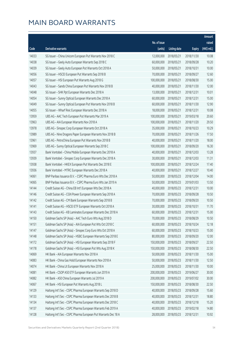|       |                                                                |              |                       |               | Amount      |
|-------|----------------------------------------------------------------|--------------|-----------------------|---------------|-------------|
|       |                                                                | No. of issue |                       |               | raised      |
| Code  | Derivative warrants                                            | (units)      | <b>Listing date</b>   | <b>Expiry</b> | (HK\$ mil.) |
| 14033 | SG Issuer - China Unicom European Put Warrants Nov 2018 C      | 12,000,000   | 2018/05/21            | 2018/11/30    | 10.08       |
| 14038 | SG Issuer - Geely Auto European Warrants Sep 2018 C            | 60,000,000   | 2018/05/21            | 2018/09/28    | 10.20       |
| 14039 | SG Issuer - Geely Auto European Put Warrants Oct 2018 A        | 50,000,000   | 2018/05/21            | 2018/10/31    | 10.00       |
| 14056 | SG Issuer - HSCEI European Put Warrants Sep 2018 B             | 70,000,000   | 2018/05/21            | 2018/09/27    | 12.60       |
| 14057 | SG Issuer - HSI European Put Warrants Aug 2018 G               | 100,000,000  | 2018/05/21            | 2018/08/30    | 15.00       |
| 14043 | SG Issuer - Sands China European Put Warrants Nov 2018 B       | 40,000,000   | 2018/05/21            | 2018/11/30    | 12.00       |
| 14048 | SG Issuer - SHK Ppt European Warrants Dec 2018 A               | 13,000,000   | 2018/05/21            | 2018/12/31    | 10.01       |
| 14054 | SG Issuer - Sunny Optical European Warrants Dec 2018 A         | 60,000,000   | 2018/05/21            | 2018/12/31    | 15.00       |
| 14049 | SG Issuer - Sunny Optical European Put Warrants Nov 2018 B     | 60,000,000   | 2018/05/21            | 2018/11/30    | 12.90       |
| 14055 | SG Issuer - Wharf Reic European Warrants Dec 2018 A            | 18,000,000   | 2018/05/21            | 2018/12/31    | 10.08       |
| 13959 | UBS AG - AAC Tech European Put Warrants Mar 2019 A             | 100,000,000  | 2018/05/21            | 2019/03/18    | 20.60       |
| 13963 | UBS AG - AIA European Warrants Nov 2018 A                      | 100,000,000  | 2018/05/21            | 2018/11/20    | 29.50       |
| 13978 | UBS AG - Sinopec Corp European Warrants Oct 2018 A             | 35,000,000   | 2018/05/21            | 2018/10/23    | 10.29       |
| 13989 | UBS AG - Nine Dragons Paper European Warrants Nov 2018 B       | 70,000,000   | 2018/05/21            | 2018/11/26    | 17.50       |
| 13961 | UBS AG - PetroChina European Put Warrants Nov 2018 B           | 40,000,000   | 2018/05/21            | 2018/11/20    | 18.00       |
| 13969 | UBS AG - Sunny Optical European Warrants Sep 2018 C            | 100,000,000  | 2018/05/21            | 2018/09/20    | 16.30       |
| 13937 | Bank Vontobel - China Mobile European Warrants Dec 2018 A      | 40,000,000   | 2018/05/21            | 2018/12/03    | 13.28       |
| 13939 | Bank Vontobel - Sinopec Corp European Warrants Dec 2018 A      | 30,000,000   | 2018/05/21            | 2018/12/03    | 11.31       |
| 13938 | Bank Vontobel - HKEX European Put Warrants Dec 2018 E          | 100,000,000  | 2018/05/21            | 2018/12/24    | 17.40       |
| 13936 | Bank Vontobel - MTRC European Warrants Dec 2018 A              | 40,000,000   | 2018/05/21            | 2018/12/27    | 10.40       |
| 14061 | BNP Paribas Issuance B.V. - CSPC Pharma Euro Wts Dec 2018 A    | 50,000,000   | 2018/05/23            | 2018/12/04    | 14.00       |
| 14065 | BNP Paribas Issuance B.V. - CSPC Pharma Euro Wts Jan 2019 A    | 50,000,000   | 2018/05/23            | 2019/01/03    | 13.50       |
| 14144 | Credit Suisse AG - China EB Int'l European Wts Dec 2018 A      | 40,000,000   | 2018/05/23            | 2018/12/31    | 10.00       |
| 14146 | Credit Suisse AG - CGN Power European Warrants Sep 2018 A      | 70,000,000   | 2018/05/23            | 2018/09/28    | 10.50       |
| 14142 | Credit Suisse AG - CM Bank European Warrants Sep 2018 B        | 70,000,000   | 2018/05/23            | 2018/09/20    | 10.50       |
| 14141 | Credit Suisse AG - HSCEI ETF European Warrants Oct 2018 A      | 30,000,000   | 2018/05/23            | 2018/10/31    | 11.70       |
| 14143 | Credit Suisse AG - KB Laminates European Warrants Dec 2018 A   |              | 60,000,000 2018/05/23 | 2018/12/31    | 15.00       |
| 14150 | Goldman Sachs SP (Asia) - AAC Tech Euro Wts Aug 2018 D         | 70,000,000   | 2018/05/23            | 2018/08/29    | 10.50       |
| 14151 | Goldman Sachs SP (Asia) - AIA European Put Wts Oct 2018 C      | 60,000,000   | 2018/05/23            | 2018/10/24    | 12.18       |
| 14147 | Goldman Sachs SP (Asia) - Sinopec Corp Euro Wts Oct 2018 A     | 60,000,000   | 2018/05/23            | 2018/10/23    | 15.00       |
| 14148 | Goldman Sachs SP (Asia) - HSBC European Warrants Sep 2018 E    | 80,000,000   | 2018/05/23            | 2018/09/20    | 12.00       |
| 14172 | Goldman Sachs SP (Asia) - HSI European Warrants Sep 2018 F     | 150,000,000  | 2018/05/23            | 2018/09/27    | 22.50       |
| 14178 | Goldman Sachs SP (Asia) - HSI European Put Wts Aug 2018 K      | 150,000,000  | 2018/05/23            | 2018/08/30    | 22.50       |
| 14069 | HK Bank - AIA European Warrants Nov 2018 A                     | 50,000,000   | 2018/05/23            | 2018/11/30    | 15.00       |
| 14083 | HK Bank - China Gas Hold European Warrants Nov 2018 A          | 50,000,000   | 2018/05/23            | 2018/11/30    | 12.50       |
| 14074 | HK Bank - China Lit European Warrants Nov 2018 A               | 25,000,000   | 2018/05/23            | 2018/11/30    | 10.00       |
| 14081 | HK Bank - CSOP A50 ETF European Warrants Jun 2019 A            | 200,000,000  | 2018/05/23            | 2019/06/27    | 30.00       |
| 14082 | HK Bank - A50 China European Warrants Jul 2019 A               | 200,000,000  | 2018/05/23            | 2019/07/02    | 30.00       |
| 14067 | HK Bank - HSI European Put Warrants Aug 2018 L                 | 150,000,000  | 2018/05/23            | 2018/08/30    | 22.50       |
| 14129 | Haitong Int'l Sec - CSPC Pharma European Warrants Sep 2018 D   | 40,000,000   | 2018/05/23            | 2018/09/28    | 15.60       |
| 14133 | Haitong Int'l Sec - CSPC Pharma European Warrants Dec 2018 B   | 40,000,000   | 2018/05/23            | 2018/12/31    | 18.80       |
| 14134 | Haitong Int'l Sec - CSPC Pharma European Warrants Dec 2018 C   | 40,000,000   | 2018/05/23            | 2018/12/18    | 15.20       |
| 14137 | Haitong Int'l Sec - CSPC Pharma European Warrants Feb 2019 A   | 40,000,000   | 2018/05/23            | 2019/02/18    | 14.80       |
| 14128 | Haitong Int'l Sec - CSPC Pharma European Put Warrants Dec 18 A | 28,000,000   | 2018/05/23            | 2018/12/31    | 10.92       |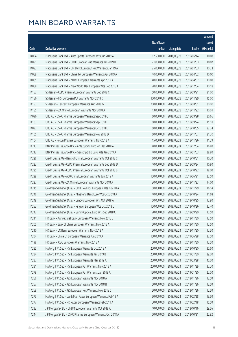|       |                                                                |              |                       |               | Amount      |
|-------|----------------------------------------------------------------|--------------|-----------------------|---------------|-------------|
|       |                                                                | No. of issue |                       |               | raised      |
| Code  | Derivative warrants                                            | (units)      | <b>Listing date</b>   | <b>Expiry</b> | (HK\$ mil.) |
| 14094 | Macquarie Bank Ltd. - Anta Sports European Wts Jun 2019 A      | 12,500,000   | 2018/05/23            | 2019/06/14    | 10.08       |
| 14091 | Macquarie Bank Ltd. - CKH European Put Warrants Jan 2019 B     | 21,000,000   | 2018/05/23            | 2019/01/03    | 10.02       |
| 14093 | Macquarie Bank Ltd. - CM Bank European Put Warrants Jan 19 A   | 25,000,000   | 2018/05/23            | 2019/01/03    | 10.23       |
| 14089 | Macquarie Bank Ltd. - China Tel European Warrants Apr 2019 A   | 40,000,000   | 2018/05/23            | 2019/04/02    | 10.00       |
| 14085 | Macquarie Bank Ltd. - MTRC European Warrants Apr 2019 A        | 40,000,000   | 2018/05/23            | 2019/04/02    | 10.08       |
| 14088 | Macquarie Bank Ltd. - New World Dev European Wts Dec 2018 A    | 20,000,000   | 2018/05/23            | 2018/12/04    | 10.18       |
| 14152 | SG Issuer - CSPC Pharma European Warrants Sep 2018 C           | 50,000,000   | 2018/05/23            | 2018/09/21    | 21.00       |
| 14156 | SG Issuer - HSI European Put Warrants Nov 2018 D               | 100,000,000  | 2018/05/23            | 2018/11/29    | 15.00       |
| 14153 | SG Issuer - Tencent European Warrants Aug 2018 G               | 200,000,000  | 2018/05/23            | 2018/08/31    | 30.00       |
| 14155 | SG Issuer - ZA Onine European Warrants Nov 2018 A              | 13,000,000   | 2018/05/23            | 2018/11/22    | 10.01       |
| 14096 | UBS AG - CSPC Pharma European Warrants Sep 2018 C              | 60,000,000   | 2018/05/23            | 2018/09/28    | 30.66       |
| 14103 | UBS AG - CSPC Pharma European Warrants Sep 2018 D              | 60,000,000   | 2018/05/23            | 2018/09/24    | 15.18       |
| 14097 | UBS AG - CSPC Pharma European Warrants Oct 2018 D              | 60,000,000   | 2018/05/23            | 2018/10/05    | 22.74       |
| 14105 | UBS AG - CSPC Pharma European Warrants Nov 2018 D              | 60,000,000   | 2018/05/23            | 2018/11/07    | 21.30       |
| 14104 | UBS AG - Fosun Pharma European Warrants Nov 2018 A             | 15,000,000   | 2018/05/23            | 2018/11/26    | 11.39       |
| 14213 | BNP Paribas Issuance B.V. - Anta Sports Euro Wt Dec 2018 A     | 40,000,000   | 2018/05/24            | 2018/12/04    | 16.80       |
| 14212 | BNP Paribas Issuance B.V. - Genscript Bio Euro Wts Jan 2019 A  | 40,000,000   | 2018/05/24            | 2019/01/03    | 28.80       |
| 14226 | Credit Suisse AG - Bank of China European Warrants Oct 2018 C  | 60,000,000   | 2018/05/24            | 2018/10/31    | 10.20       |
| 14223 | Credit Suisse AG - CSPC Pharma European Warrants Sep 2018 D    | 40,000,000   | 2018/05/24            | 2018/09/24    | 10.80       |
| 14225 | Credit Suisse AG - CSPC Pharma European Warrants Oct 2018 B    | 40,000,000   | 2018/05/24            | 2018/10/22    | 18.00       |
| 14229 | Credit Suisse AG - A50 China European Warrants Jun 2019 A      | 150,000,000  | 2018/05/24            | 2019/06/21    | 22.50       |
| 14227 | Credit Suisse AG - ZA Onine European Warrants Nov 2018 A       | 20,000,000   | 2018/05/24            | 2018/11/23    | 14.00       |
| 14245 | Goldman Sachs SP (Asia) - CKH Holdings European Wts Nov 18 A   | 60,000,000   | 2018/05/24            | 2018/11/29    | 16.14       |
| 14246 | Goldman Sachs SP (Asia) - Minsheng Bank Euro Wts Oct 2018 A    | 40,000,000   | 2018/05/24            | 2018/10/24    | 11.68       |
| 14249 | Goldman Sachs SP (Asia) - Lenovo European Wts Oct 2018 A       | 60,000,000   | 2018/05/24            | 2018/10/25    | 12.90       |
| 14253 | Goldman Sachs SP (Asia) - Ping An European Wts Oct 2018 C      | 100,000,000  | 2018/05/24            | 2018/10/26    | 32.40       |
| 14247 | Goldman Sachs SP (Asia) - Sunny Optical Euro Wts Sep 2018 C    |              | 70,000,000 2018/05/24 | 2018/09/20    | 10.50       |
| 14211 | HK Bank - Agricultural Bank European Warrants Nov 2018 B       | 50,000,000   | 2018/05/24            | 2018/11/30    | 12.50       |
| 14205 | HK Bank - Bank of China European Warrants Nov 2018 A           | 50,000,000   | 2018/05/24            | 2018/11/30    | 12.50       |
| 14210 | HK Bank - CC Bank European Warrants Nov 2018 A                 | 50,000,000   | 2018/05/24            | 2018/11/30    | 17.50       |
| 14204 | HK Bank - China Lit European Warrants Jun 2019 A               | 150,000,000  | 2018/05/24            | 2019/06/28    | 37.50       |
| 14198 | HK Bank - ICBC European Warrants Nov 2018 A                    | 50,000,000   | 2018/05/24            | 2018/11/30    | 12.50       |
| 14285 | Haitong Int'l Sec - HSI European Warrants Oct 2018 A           | 200,000,000  | 2018/05/24            | 2018/10/30    | 30.60       |
| 14284 | Haitong Int'l Sec - HSI European Warrants Jan 2019 B           | 200,000,000  | 2018/05/24            | 2019/01/30    | 39.00       |
| 14287 | Haitong Int'l Sec - HSI European Warrants Mar 2019 A           | 200,000,000  | 2018/05/24            | 2019/03/28    | 40.00       |
| 14281 | Haitong Int'l Sec - HSI European Put Warrants Nov 2018 A       | 200,000,000  | 2018/05/24            | 2018/11/29    | 37.20       |
| 14279 | Haitong Int'l Sec - HSI European Put Warrants Jan 2019 A       | 150,000,000  | 2018/05/24            | 2019/01/30    | 27.00       |
| 14266 | Haitong Int'l Sec - IGG European Warrants Nov 2018 A           | 50,000,000   | 2018/05/24            | 2018/11/26    | 12.50       |
| 14267 | Haitong Int'l Sec - IGG European Warrants Nov 2018 B           | 50,000,000   | 2018/05/24            | 2018/11/26    | 13.50       |
| 14268 | Haitong Int'l Sec - IGG European Put Warrants Nov 2018 C       | 50,000,000   | 2018/05/24            | 2018/11/26    | 12.50       |
| 14275 | Haitong Int'l Sec - Lee & Man Paper European Warrants Feb 19 A | 50,000,000   | 2018/05/24            | 2019/02/28    | 13.50       |
| 14277 | Haitong Int'l Sec - ND Paper European Warrants Feb 2019 A      | 50,000,000   | 2018/05/24            | 2019/02/18    | 15.50       |
| 14233 | J P Morgan SP BV - CNBM European Warrants Oct 2018 A           | 40,000,000   | 2018/05/24            | 2018/10/16    | 29.56       |
| 14244 | J P Morgan SP BV - CSPC Pharma European Warrants Oct 2018 A    | 60,000,000   | 2018/05/24            | 2018/10/31    | 22.92       |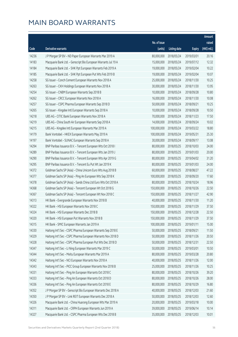|       |                                                                |              |                        |               | Amount      |
|-------|----------------------------------------------------------------|--------------|------------------------|---------------|-------------|
|       |                                                                | No. of issue |                        |               | raised      |
| Code  | Derivative warrants                                            | (units)      | <b>Listing date</b>    | <b>Expiry</b> | (HK\$ mil.) |
| 14236 | J P Morgan SP BV - ND Paper European Warrants Mar 2019 A       | 80,000,000   | 2018/05/24             | 2019/03/01    | 20.16       |
| 14183 | Macquarie Bank Ltd. - Genscript Bio European Warrants Jul 19 A | 15,000,000   | 2018/05/24             | 2019/07/12    | 12.32       |
| 14184 | Macquarie Bank Ltd. - SHK Ppt European Warrants Feb 2019 A     | 19,000,000   | 2018/05/24             | 2019/02/04    | 10.22       |
| 14185 | Macquarie Bank Ltd. - SHK Ppt European Put Wts Feb 2019 B      | 19,000,000   | 2018/05/24             | 2019/02/04    | 10.07       |
| 14258 | SG Issuer - Conch Cement European Warrants Nov 2018 A          | 25,000,000   | 2018/05/24             | 2018/11/30    | 10.25       |
| 14263 | SG Issuer - CKH Holdings European Warrants Nov 2018 A          | 30,000,000   | 2018/05/24             | 2018/11/30    | 13.95       |
| 14254 | SG Issuer - CNBM European Warrants Sep 2018 B                  | 10,000,000   | 2018/05/24             | 2018/09/28    | 10.80       |
| 14262 | SG Issuer - CRCC European Warrants Nov 2018 A                  | 16,000,000   | 2018/05/24             | 2018/11/30    | 10.08       |
| 14257 | SG Issuer - CSPC Pharma European Warrants Sep 2018 D           | 50,000,000   | 2018/05/24             | 2018/09/21    | 10.25       |
| 14265 | SG Issuer - Kingdee Intl European Warrants Sep 2018 A          | 10,000,000   | 2018/05/24             | 2018/09/28    | 10.50       |
| 14218 | UBS AG - CITIC Bank European Warrants Nov 2018 A               | 70,000,000   | 2018/05/24             | 2018/11/23    | 17.50       |
| 14219 | UBS AG - China South Air European Warrants Sep 2018 A          | 14,000,000   | 2018/05/24             | 2018/09/24    | 10.02       |
| 14215 | UBS AG - Kingdee Intl European Warrants Mar 2019 A             | 100,000,000  | 2018/05/24             | 2019/03/22    | 18.80       |
| 14179 | Bank Vontobel - HKEX European Warrants May 2019 A              | 100,000,000  | 2018/05/24             | 2019/05/31    | 25.30       |
| 14197 | Bank Vontobel - SUNAC European Warrants Sep 2018 A             | 30,000,000   | 2018/05/24             | 2018/09/17    | 13.08       |
| 14294 | BNP Paribas Issuance B.V. - Tencent European Wts Oct 2018 I    | 80,000,000   | 2018/05/25             | 2018/10/03    | 24.00       |
| 14289 | BNP Paribas Issuance B.V. - Tencent European Wts Jan 2019 J    | 80,000,000   | 2018/05/25             | 2019/01/03    | 20.00       |
| 14290 | BNP Paribas Issuance B.V. - Tencent European Wts Apr 2019 G    | 80,000,000   | 2018/05/25             | 2019/04/02    | 31.20       |
| 14295 | BNP Paribas Issuance B.V. - Tencent Eu Put Wt Jan 2019 K       | 80,000,000   | 2018/05/25             | 2019/01/03    | 24.00       |
| 14372 | Goldman Sachs SP (Asia) - China Unicom Euro Wts Aug 2018 B     | 60,000,000   | 2018/05/25             | 2018/08/27    | 47.22       |
| 14377 | Goldman Sachs SP (Asia) - Ping An European Wts Sep 2018 K      | 100,000,000  | 2018/05/25             | 2018/09/20    | 17.60       |
| 14378 | Goldman Sachs SP (Asia) - Sands China Ltd Euro Wts Oct 2018 A  | 80,000,000   | 2018/05/25             | 2018/10/24    | 18.96       |
| 14368 | Goldman Sachs SP (Asia) - Tencent European Wt Oct 2018 G       | 150,000,000  | 2018/05/25             | 2018/10/26    | 22.50       |
| 14367 | Goldman Sachs SP (Asia) - Tencent European Wt Nov 2018 C       | 150,000,000  | 2018/05/25             | 2018/11/27    | 42.90       |
| 14313 | HK Bank - Evergrande European Warrants Nov 2018 B              | 40,000,000   | 2018/05/25             | 2018/11/30    | 11.20       |
| 14322 | HK Bank - HSI European Warrants Nov 2018 C                     | 150,000,000  | 2018/05/25             | 2018/11/29    | 37.50       |
| 14324 | HK Bank - HSI European Warrants Dec 2018 B                     |              | 150,000,000 2018/05/25 | 2018/12/28    | 22.50       |
| 14320 | HK Bank - HSI European Put Warrants Nov 2018 B                 | 150,000,000  | 2018/05/25             | 2018/11/29    | 37.50       |
| 14315 | HK Bank - SMIC European Warrants Jan 2019 A                    | 100,000,000  | 2018/05/25             | 2019/01/11    | 15.00       |
| 14330 | Haitong Int'l Sec - CSPC Pharma European Warrants Sep 2018 E   | 50,000,000   | 2018/05/25             | 2018/09/21    | 11.50       |
| 14329 | Haitong Int'l Sec - CSPC Pharma European Warrants Nov 2018 D   | 50,000,000   | 2018/05/25             | 2018/11/26    | 20.50       |
| 14328 | Haitong Int'l Sec - CSPC Pharma European Put Wts Dec 2018 D    | 50,000,000   | 2018/05/25             | 2018/12/31    | 22.50       |
| 14347 | Haitong Int'l Sec - Li Ning European Warrants Mar 2019 C       | 50,000,000   | 2018/05/25             | 2019/03/01    | 10.50       |
| 14344 | Haitong Int'l Sec - Meitu European Warrants Mar 2019 A         | 80,000,000   | 2018/05/25             | 2019/03/28    | 20.80       |
| 14342 | Haitong Int'l Sec - NCI European Warrants Nov 2018 A           | 40,000,000   | 2018/05/25             | 2018/11/26    | 12.00       |
| 14343 | Haitong Int'l Sec - PICC Group European Warrants Nov 2018 B    | 25,000,000   | 2018/05/25             | 2018/11/26    | 10.25       |
| 14331 | Haitong Int'l Sec - Ping An European Warrants Oct 2018 C       | 80,000,000   | 2018/05/25             | 2018/10/26    | 39.20       |
| 14333 | Haitong Int'l Sec - Ping An European Warrants Oct 2018 D       | 80,000,000   | 2018/05/25             | 2018/10/26    | 28.00       |
| 14336 | Haitong Int'l Sec - Ping An European Warrants Oct 2018 E       | 80,000,000   | 2018/05/25             | 2018/10/29    | 16.80       |
| 14352 | J P Morgan SP BV - Genscript Bio European Warrants Dec 2018 A  | 40,000,000   | 2018/05/25             | 2018/12/03    | 21.60       |
| 14350 | J P Morgan SP BV - Link REIT European Warrants Dec 2018 A      | 50,000,000   | 2018/05/25             | 2018/12/03    | 12.60       |
| 14326 | Macquarie Bank Ltd. - China Huarong European Wts Mar 2019 A    | 20,000,000   | 2018/05/25             | 2019/03/18    | 10.00       |
| 14311 | Macquarie Bank Ltd. - CRPH European Warrants Jun 2019 A        | 39,000,000   | 2018/05/25             | 2019/06/14    | 10.14       |
| 14327 | Macquarie Bank Ltd. - CSPC Pharma European Wts Dec 2018 B      | 35,000,000   | 2018/05/25             | 2018/12/03    | 10.01       |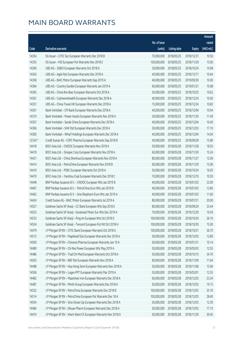|         |                                                               |              |                       |               | Amount      |
|---------|---------------------------------------------------------------|--------------|-----------------------|---------------|-------------|
|         |                                                               | No. of issue |                       |               | raised      |
| Code    | Derivative warrants                                           | (units)      | <b>Listing date</b>   | <b>Expiry</b> | (HK\$ mil.) |
| 14354   | SG Issuer - CITIC Sec European Warrants Dec 2018 B            | 70,000,000   | 2018/05/25            | 2018/12/31    | 10.50       |
| 14355   | SG Issuer - HSI European Put Warrants Nov 2018 E              | 100,000,000  | 2018/05/25            | 2018/11/29    | 15.00       |
| 14360   | UBS AG - 3SBIO European Warrants Oct 2018 A                   | 30,000,000   | 2018/05/25            | 2018/10/24    | 10.98       |
| 14363   | UBS AG - Agile Ppt European Warrants Dec 2018 A               | 40,000,000   | 2018/05/25            | 2018/12/17    | 10.64       |
| 14358   | UBS AG - BAIC Motor European Warrants Sep 2019 A              | 40,000,000   | 2018/05/25            | 2019/09/30    | 10.00       |
| 14364   | UBS AG - Country Garden European Warrants Jan 2019 A          | 60,000,000   | 2018/05/25            | 2019/01/21    | 10.68       |
| 14365   | UBS AG - China Res Beer European Warrants Oct 2018 A          | 30,000,000   | 2018/05/25            | 2018/10/25    | 10.62       |
| 14361   | UBS AG - Crphoenixhealth European Warrants Dec 2018 A         | 40,000,000   | 2018/05/25            | 2018/12/24    | 10.00       |
| 14357   | UBS AG - China Travel HK European Warrants Dec 2018 A         | 15,000,000   | 2018/05/25            | 2018/12/24    | 10.82       |
| 14301   | Bank Vontobel - CM Bank European Warrants Dec 2018 A          | 40,000,000   | 2018/05/25            | 2018/12/04    | 10.04       |
| 14310   | Bank Vontobel - Power Assets European Warrants Nov 2018 A     | 30,000,000   | 2018/05/25            | 2018/11/30    | 11.49       |
| 14307   | Bank Vontobel - Sands China European Warrants Dec 2018 A      | 40,000,000   | 2018/05/25            | 2018/12/04    | 10.40       |
| 14306   | Bank Vontobel - SHK Ppt European Warrants Dec 2018 A          | 30,000,000   | 2018/05/25            | 2018/12/03    | 17.10       |
| 14300   | Bank Vontobel - Wharf Holdings European Warrants Dec 2018 A   | 40,000,000   | 2018/05/25            | 2018/12/04    | 14.04       |
| 12334 # | Credit Suisse AG - CSPC Pharma European Warrants Sep 2018 B   | 40,000,000   | 2018/05/25            | 2018/09/28    | 15.80       |
| 14418   | BOCI Asia Ltd. - CNOOC European Warrants Nov 2018 A           | 50,000,000   | 2018/05/28            | 2018/11/28    | 18.55       |
| 14419   | BOCI Asia Ltd. - Sinopec Corp European Warrants Nov 2018 A    | 60,000,000   | 2018/05/28            | 2018/11/30    | 15.24       |
| 14421   | BOCI Asia Ltd. - China Shenhua European Warrants Nov 2018 A   | 80,000,000   | 2018/05/28            | 2018/11/27    | 12.00       |
| 14414   | BOCI Asia Ltd. - PetroChina European Warrants Nov 2018 B      | 60,000,000   | 2018/05/28            | 2018/11/29    | 15.06       |
| 14410   | BOCI Asia Ltd. - PSBC European Warrants Oct 2018 A            | 50,000,000   | 2018/05/28            | 2018/10/24    | 16.05       |
| 14470   | BOCI Asia Ltd. - Yanzhou Coal European Warrants Dec 2018 C    | 70,000,000   | 2018/05/28            | 2018/12/10    | 10.50       |
| 14448   | BNP Paribas Issuance B.V. - CNOOC European Wts Jan 2019 B     | 40,000,000   | 2018/05/28            | 2019/01/03    | 22.00       |
| 14467   | BNP Paribas Issuance B.V. - PetroChina Euro Wts Jan 2019 B    | 40,000,000   | 2018/05/28            | 2019/01/03    | 12.80       |
| 14462   | BNP Paribas Issuance B.V. - Sino Biopharm Euro Wts Jan 2019 A | 40,000,000   | 2018/05/28            | 2019/01/03    | 11.60       |
| 14424   | Credit Suisse AG - BAIC Motor European Warrants Jul 2019 A    | 80,000,000   | 2018/05/28            | 2019/07/31    | 20.00       |
| 14527   | Goldman Sachs SP (Asia) - CC Bank European Wts Sep 2018 E     | 80,000,000   | 2018/05/28            | 2018/09/24    | 23.44       |
| 14525   | Goldman Sachs SP (Asia) - Greatwall Motor Eur Wts Dec 2019 A  |              | 70,000,000 2018/05/28 | 2019/12/20    | 10.50       |
| 14533   | Goldman Sachs SP (Asia) - Ping An European Wts Oct 2018 D     | 100,000,000  | 2018/05/28            | 2018/10/24    | 26.10       |
| 14534   | Goldman Sachs SP (Asia) - Tencent European Put Wt Oct 2018 H  | 100,000,000  | 2018/05/28            | 2018/10/30    | 15.00       |
| 14479   | J P Morgan SP BV - CITIC Bank European Warrants Oct 2018 A    | 100,000,000  | 2018/05/28            | 2018/10/31    | 36.70       |
| 14515   | J P Morgan SP BV - Mapleleaf Edu European Warrants Dec 2018 A | 50,000,000   | 2018/05/28            | 2018/12/03    | 12.80       |
| 14500   | J P Morgan SP BV - Chinares Pharma European Warrants Jan 19 A | 60,000,000   | 2018/05/28            | 2019/01/31    | 10.14       |
| 14489   | J P Morgan SP BV - Chi Res Power European Wts May 2019 A      | 50,000,000   | 2018/05/28            | 2019/05/03    | 12.55       |
| 14486   | J P Morgan SP BV - Trad Chi Med European Warrants Oct 2018 A  | 50,000,000   | 2018/05/28            | 2018/10/15    | 34.70       |
| 14503   | J P Morgan SP BV - R&F Ppt European Warrants Nov 2018 A       | 60,000,000   | 2018/05/28            | 2018/11/09    | 11.64       |
| 14498   | J P Morgan SP BV - Hua Hong Semi European Warrants Nov 2018 A | 50,000,000   | 2018/05/28            | 2018/11/06    | 15.90       |
| 14506   | J P Morgan SP BV - Logan PPT European Warrants Mar 2019 A     | 50,000,000   | 2018/05/28            | 2019/03/01    | 12.55       |
| 14482   | J P Morgan SP BV - Maanshan Iron European Warrants Dec 2018 A | 60,000,000   | 2018/05/28            | 2018/12/03    | 23.34       |
| 14487   | J P Morgan SP BV - Minth Group European Warrants Dec 2018 A   | 50,000,000   | 2018/05/28            | 2018/12/03    | 19.15       |
| 14522   | J P Morgan SP BV - PetroChina European Warrants Dec 2018 B    | 100,000,000  | 2018/05/28            | 2018/12/03    | 25.10       |
| 14514   | J P Morgan SP BV - PetroChina European Put Warrants Dec 18 A  | 100,000,000  | 2018/05/28            | 2018/12/03    | 28.40       |
| 14504   | J P Morgan SP BV - Sino-Ocean Gp European Warrants Dec 2018 A | 30,000,000   | 2018/05/28            | 2018/12/03    | 12.39       |
| 14484   | J P Morgan SP BV - Sihuan Pharm European Warrants Dec 2018 A  | 50,000,000   | 2018/05/28            | 2018/12/03    | 17.75       |
| 14474   | J P Morgan SP BV - Want Want Ch European Warrants Nov 2018 A  | 50,000,000   | 2018/05/28            | 2018/11/30    | 39.45       |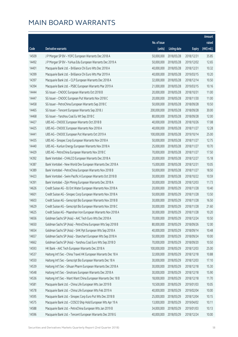|       |                                                                |              |                       |               | Amount      |
|-------|----------------------------------------------------------------|--------------|-----------------------|---------------|-------------|
|       |                                                                | No. of issue |                       |               | raised      |
| Code  | Derivative warrants                                            | (units)      | <b>Listing date</b>   | <b>Expiry</b> | (HK\$ mil.) |
| 14509 | J P Morgan SP BV - YOFC European Warrants Dec 2018 A           | 50,000,000   | 2018/05/28            | 2018/12/31    | 35.85       |
| 14492 | J P Morgan SP BV - YuHua Edu European Warrants Dec 2019 A      | 50,000,000   | 2018/05/28            | 2019/12/02    | 12.65       |
| 14401 | Macquarie Bank Ltd. - Brilliance Chi Euro Wts Dec 2018 A       | 40,000,000   | 2018/05/28            | 2018/12/31    | 10.32       |
| 14399 | Macquarie Bank Ltd. - Brilliance Chi Euro Wts Mar 2019 A       | 40,000,000   | 2018/05/28            | 2019/03/15    | 10.20       |
| 14397 | Macquarie Bank Ltd. - CLP European Warrants Dec 2018 A         | 32,000,000   | 2018/05/28            | 2018/12/14    | 10.50       |
| 14394 | Macquarie Bank Ltd. - PSBC European Warrants Mar 2019 A        | 21,000,000   | 2018/05/28            | 2019/03/15    | 10.16       |
| 14444 | SG Issuer - CNOOC European Warrants Oct 2018 B                 | 20,000,000   | 2018/05/28            | 2018/10/31    | 11.00       |
| 14447 | SG Issuer - CNOOC European Put Warrants Nov 2018 C             | 20,000,000   | 2018/05/28            | 2018/11/30    | 11.00       |
| 14458 | SG Issuer - PetroChina European Warrants Sep 2018 C            | 50,000,000   | 2018/05/28            | 2018/09/28    | 10.50       |
| 14465 | SG Issuer - Tencent European Warrants Sep 2018 J               | 200,000,000  | 2018/05/28            | 2018/09/28    | 30.00       |
| 14468 | SG Issuer - Yanzhou Coal Eu Wt Sep 2018 C                      | 80,000,000   | 2018/05/28            | 2018/09/28    | 12.00       |
| 14427 | UBS AG - CNOOC European Warrants Oct 2018 B                    | 40,000,000   | 2018/05/28            | 2018/10/26    | 17.08       |
| 14425 | UBS AG - CNOOC European Warrants Nov 2018 A                    | 40,000,000   | 2018/05/28            | 2018/11/27    | 12.28       |
| 14441 | UBS AG - CNOOC European Put Warrants Oct 2019 A                | 100,000,000  | 2018/05/28            | 2019/10/14    | 25.00       |
| 14435 | UBS AG - Sinopec Corp European Warrants Nov 2018 A             | 50,000,000   | 2018/05/28            | 2018/11/27    | 12.75       |
| 14440 | UBS AG - Kunlun Energy European Warrants Nov 2018 A            | 25,000,000   | 2018/05/28            | 2018/11/27    | 10.70       |
| 14429 | UBS AG - PetroChina European Warrants Nov 2018 C               | 70,000,000   | 2018/05/28            | 2018/11/27    | 17.50       |
| 14392 | Bank Vontobel - CHALCO European Warrants Dec 2018 A            | 20,000,000   | 2018/05/28            | 2018/12/27    | 15.18       |
| 14387 | Bank Vontobel - New World Dev European Warrants Dec 2018 A     | 15,000,000   | 2018/05/28            | 2018/12/31    | 10.05       |
| 14389 | Bank Vontobel - PetroChina European Warrants Nov 2018 B        | 50,000,000   | 2018/05/28            | 2018/11/27    | 18.50       |
| 14423 | Bank Vontobel - Swire Pacific A European Warrants Oct 2018 B   | 30,000,000   | 2018/05/28            | 2018/10/22    | 10.59       |
| 14391 | Bank Vontobel - Zijin Mining European Warrants Dec 2018 A      | 30,000,000   | 2018/05/28            | 2018/12/03    | 11.73       |
| 14626 | Credit Suisse AG - BJ Ent Water European Warrants Nov 2018 A   | 20,000,000   | 2018/05/29            | 2018/11/28    | 10.40       |
| 14601 | Credit Suisse AG - Sinopec Corp European Warrants Nov 2018 A   | 50,000,000   | 2018/05/29            | 2018/11/28    | 13.50       |
| 14603 | Credit Suisse AG - Genscript Bio European Warrants Nov 2018 B  | 30,000,000   | 2018/05/29            | 2018/11/28    | 16.50       |
| 14629 | Credit Suisse AG - Genscript Bio European Warrants Nov 2018 C  | 30,000,000   | 2018/05/29            | 2018/11/28    | 21.60       |
| 14625 | Credit Suisse AG - Maanshan Iron European Warrants Nov 2018 A  |              | 30,000,000 2018/05/29 | 2018/11/28    | 10.20       |
| 14656 | Goldman Sachs SP (Asia) - AAC Tech Euro Wts Dec 2018 A         | 70,000,000   | 2018/05/29            | 2018/12/24    | 10.50       |
| 14650 | Goldman Sachs SP (Asia) - PetroChina European Wts Sep 2018 B   | 80,000,000   | 2018/05/29            | 2018/09/26    | 12.00       |
| 14654 | Goldman Sachs SP (Asia) - SHK Ppt European Wts Sep 2018 A      | 40,000,000   | 2018/05/29            | 2018/09/14    | 10.48       |
| 14657 | Goldman Sachs SP (Asia) - Stanchart European Wts Sep 2018 A    | 50,000,000   | 2018/05/29            | 2018/09/24    | 10.00       |
| 14662 | Goldman Sachs SP (Asia) - Yanzhou Coal Euro Wts Sep 2018 D     | 70,000,000   | 2018/05/29            | 2018/09/20    | 10.50       |
| 14593 | HK Bank - AAC Tech European Warrants Dec 2018 A                | 100,000,000  | 2018/05/29            | 2018/12/03    | 25.00       |
| 14537 | Haitong Int'l Sec - China Travel HK European Warrants Dec 18 A | 32,000,000   | 2018/05/29            | 2018/12/18    | 10.88       |
| 14550 | Haitong Int'l Sec - Genscript Bio European Warrants Dec 18 A   | 30,000,000   | 2018/05/29            | 2018/12/03    | 17.10       |
| 14539 | Haitong Int'l Sec - Sihuan Pharm European Warrants Dec 2018 A  | 30,000,000   | 2018/05/29            | 2018/12/18    | 15.30       |
| 14548 | Haitong Int'l Sec - Sinotrans European Warrants Dec 2018 A     | 30,000,000   | 2018/05/29            | 2018/12/18    | 15.90       |
| 14536 | Haitong Int'l Sec - Want Want China European Warrants Dec 18 B | 18,000,000   | 2018/05/29            | 2018/12/18    | 11.70       |
| 14581 | Macquarie Bank Ltd. - China Life European Wts Jan 2019 B       | 10,500,000   | 2018/05/29            | 2019/01/03    | 10.05       |
| 14578 | Macquarie Bank Ltd. - China Life European Wts Feb 2019 A       | 40,000,000   | 2018/05/29            | 2019/02/04    | 10.00       |
| 14595 | Macquarie Bank Ltd. - Sinopec Corp Euro Put Wts Dec 2018 B     | 25,000,000   | 2018/05/29            | 2018/12/04    | 10.15       |
| 14575 | Macquarie Bank Ltd. - COSCO Ship Hold European Wts Apr 19 A    | 13,000,000   | 2018/05/29            | 2019/04/02    | 10.11       |
| 14588 | Macquarie Bank Ltd. - PetroChina European Wts Jan 2019 B       | 34,000,000   | 2018/05/29            | 2019/01/03    | 10.13       |
| 14596 | Macquarie Bank Ltd. - Tencent European Warrants Dec 2018 G     | 40,000,000   | 2018/05/29            | 2018/12/24    | 10.00       |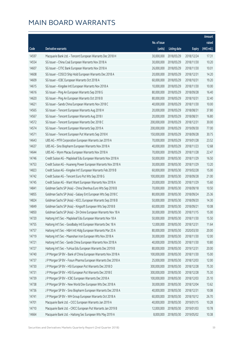|       |                                                               |              |                       |               | Amount      |
|-------|---------------------------------------------------------------|--------------|-----------------------|---------------|-------------|
|       |                                                               | No. of issue |                       |               | raised      |
| Code  | Derivative warrants                                           | (units)      | <b>Listing date</b>   | <b>Expiry</b> | (HK\$ mil.) |
| 14597 | Macquarie Bank Ltd. - Tencent European Warrants Dec 2018 H    | 30,000,000   | 2018/05/29            | 2018/12/24    | 17.31       |
| 14554 | SG Issuer - China Coal European Warrants Nov 2018 A           | 30,000,000   | 2018/05/29            | 2018/11/30    | 10.20       |
| 14607 | SG Issuer - CITIC Bank European Warrants Nov 2018 A           | 26,000,000   | 2018/05/29            | 2018/11/30    | 10.01       |
| 14608 | SG Issuer - COSCO Ship Hold European Warrants Dec 2018 A      | 20,000,000   | 2018/05/29            | 2018/12/31    | 14.20       |
| 14609 | SG Issuer - ICBC European Warrants Oct 2018 A                 | 60,000,000   | 2018/05/29            | 2018/10/31    | 19.20       |
| 14615 | SG Issuer - Kingdee Intl European Warrants Nov 2018 A         | 10,000,000   | 2018/05/29            | 2018/11/30    | 10.00       |
| 14616 | SG Issuer - Ping An European Warrants Sep 2018 G              | 80,000,000   | 2018/05/29            | 2018/09/28    | 16.40       |
| 14620 | SG Issuer - Ping An European Warrants Oct 2018 B              | 80,000,000   | 2018/05/29            | 2018/10/31    | 32.40       |
| 14621 | SG Issuer - Sands China European Warrants Nov 2018 C          | 40,000,000   | 2018/05/29            | 2018/11/30    | 10.00       |
| 14565 | SG Issuer - Tencent European Warrants Aug 2018 H              | 20,000,000   | 2018/05/29            | 2018/08/31    | 37.80       |
| 14567 | SG Issuer - Tencent European Warrants Aug 2018 I              | 20,000,000   | 2018/05/29            | 2018/08/31    | 16.80       |
| 14572 | SG Issuer - Tencent European Warrants Dec 2018 C              | 200,000,000  | 2018/05/29            | 2018/12/31    | 30.00       |
| 14574 | SG Issuer - Tencent European Warrants Sep 2019 A              | 200,000,000  | 2018/05/29            | 2019/09/30    | 77.00       |
| 14571 | SG Issuer - Tencent European Put Warrants Sep 2018 K          | 150,000,000  | 2018/05/29            | 2018/09/28    | 30.75       |
| 14643 | UBS AG - MTR Corporation European Warrants Jan 2019 A         | 70,000,000   | 2018/05/29            | 2019/01/28    | 23.52       |
| 14637 | UBS AG - Sino Biopharm European Warrants Nov 2018 A           | 40,000,000   | 2018/05/29            | 2018/11/23    | 12.68       |
| 14644 | UBS AG - Wynn Macau European Warrants Nov 2018 A              | 70,000,000   | 2018/05/29            | 2018/11/28    | 22.47       |
| 14746 | Credit Suisse AG - Mapleleaf Edu European Warrants Nov 2018 A | 50,000,000   | 2018/05/30            | 2018/11/29    | 16.50       |
| 14753 | Credit Suisse AG - Huaneng Power European Warrants Nov 2018 A | 30,000,000   | 2018/05/30            | 2018/11/29    | 13.20       |
| 14823 | Credit Suisse AG - Kingdee Int'l European Warrants Feb 2019 B | 60,000,000   | 2018/05/30            | 2019/02/28    | 15.00       |
| 14742 | Credit Suisse AG - Tencent Euro Put Wts Sep 2018 G            | 100,000,000  | 2018/05/30            | 2018/09/28    | 21.00       |
| 14745 | Credit Suisse AG - Want Want European Warrants Nov 2018 A     | 20,000,000   | 2018/05/30            | 2018/11/29    | 15.60       |
| 14841 | Goldman Sachs SP (Asia) - China Shenhua Euro Wts Sep 2018 B   | 70,000,000   | 2018/05/30            | 2018/09/18    | 10.50       |
| 14855 | Goldman Sachs SP (Asia) - Galaxy Ent European Wts Sep 2018 C  | 80,000,000   | 2018/05/30            | 2018/09/24    | 25.36       |
| 14824 | Goldman Sachs SP (Asia) - KECL European Warrants Sep 2018 B   | 50,000,000   | 2018/05/30            | 2018/09/20    | 14.30       |
| 14849 | Goldman Sachs SP (Asia) - Kingsoft European Wts Sep 2018 B    | 60,000,000   | 2018/05/30            | 2018/09/21    | 10.08       |
| 14850 | Goldman Sachs SP (Asia) - ZA Onine European Warrants Nov 18 A |              | 30,000,000 2018/05/30 | 2018/11/15    | 15.00       |
| 14720 | Haitong Int'l Sec - Mapleleaf Edu European Warrants Nov 18 A  | 50,000,000   | 2018/05/30            | 2018/11/30    | 15.50       |
| 14755 | Haitong Int'l Sec - Goodbaby Intl European Warrants Dec 18 A  | 12,000,000   | 2018/05/30            | 2018/12/31    | 11.64       |
| 14757 | Haitong Int'l Sec - H&H Intl Hldg European Warrants Mar 20 A  | 80,000,000   | 2018/05/30            | 2020/03/30    | 20.00       |
| 14719 | Haitong Int'l Sec - Maanshan Iron European Wts Nov 2018 A     | 30,000,000   | 2018/05/30            | 2018/11/30    | 12.00       |
| 14721 | Haitong Int'l Sec - Sands China European Warrants Nov 2018 A  | 40,000,000   | 2018/05/30            | 2018/11/30    | 10.80       |
| 14727 | Haitong Int'l Sec - YuHua Edu European Warrants Dec 2019 B    | 80,000,000   | 2018/05/30            | 2019/12/31    | 20.00       |
| 14740 | J P Morgan SP BV - Bank of China European Warrants Nov 2018 A | 100,000,000  | 2018/05/30            | 2018/11/30    | 15.00       |
| 14737 | J P Morgan SP BV - Fosun Pharma European Warrants Dec 2018 A  | 25,000,000   | 2018/05/30            | 2018/12/03    | 12.00       |
| 14730 | J P Morgan SP BV - HSI European Put Warrants Dec 2018 D       | 300,000,000  | 2018/05/30            | 2018/12/28    | 75.30       |
| 14731 | J P Morgan SP BV - HSI European Put Warrants Dec 2018 E       | 300,000,000  | 2018/05/30            | 2018/12/28    | 75.30       |
| 14739 | J P Morgan SP BV - ICBC European Warrants Dec 2018 A          | 100,000,000  | 2018/05/30            | 2018/12/03    | 25.10       |
| 14738 | J P Morgan SP BV - New World Dev European Wts Dec 2018 A      | 30,000,000   | 2018/05/30            | 2018/12/04    | 13.62       |
| 14736 | J P Morgan SP BV - Sino Biopharm European Warrants Dec 2018 A | 40,000,000   | 2018/05/30            | 2018/12/31    | 10.08       |
| 14741 | J P Morgan SP BV - WH Group European Warrants Oct 2018 A      | 60,000,000   | 2018/05/30            | 2018/10/12    | 26.70       |
| 14701 | Macquarie Bank Ltd. - CICC European Warrants Jan 2019 A       | 40,000,000   | 2018/05/30            | 2019/01/15    | 10.28       |
| 14710 | Macquarie Bank Ltd. - CRCC European Put Warrants Jan 2019 B   | 12,000,000   | 2018/05/30            | 2019/01/03    | 10.78       |
| 14664 | Macquarie Bank Ltd. - Haitong Sec European Wts May 2019 A     | 8,000,000    | 2018/05/30            | 2019/05/02    | 10.38       |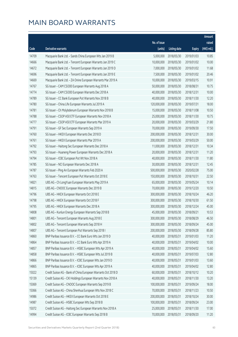|       |                                                               |              |                       |               | Amount      |
|-------|---------------------------------------------------------------|--------------|-----------------------|---------------|-------------|
|       |                                                               | No. of issue |                       |               | raised      |
| Code  | Derivative warrants                                           | (units)      | <b>Listing date</b>   | <b>Expiry</b> | (HK\$ mil.) |
| 14709 | Macquarie Bank Ltd. - Sands China European Wts Jan 2019 B     | 5,000,000    | 2018/05/30            | 2019/01/03    | 10.85       |
| 14666 | Macquarie Bank Ltd. - Tencent European Warrants Jan 2019 C    | 10,000,000   | 2018/05/30            | 2019/01/02    | 10.00       |
| 14672 | Macquarie Bank Ltd. - Tencent European Warrants Jan 2019 D    | 7,000,000    | 2018/05/30            | 2019/01/02    | 11.68       |
| 14696 | Macquarie Bank Ltd. - Tencent European Warrants Jan 2019 E    | 7,500,000    | 2018/05/30            | 2019/01/02    | 20.46       |
| 14669 | Macquarie Bank Ltd. - ZA Onine European Warrants Mar 2019 A   | 10,000,000   | 2018/05/30            | 2019/03/15    | 10.91       |
| 14767 | SG Issuer - CAM CSI300 European Warrants Aug 2018 A           | 50,000,000   | 2018/05/30            | 2018/08/31    | 10.75       |
| 14774 | SG Issuer - CAM CSI300 European Warrants Dec 2018 A           | 40,000,000   | 2018/05/30            | 2018/12/31    | 10.00       |
| 14789 | SG Issuer - CC Bank European Put Warrants Nov 2018 B          | 40,000,000   | 2018/05/30            | 2018/11/30    | 12.20       |
| 14780 | SG Issuer - China Life European Warrants Jul 2019 A           | 120,000,000  | 2018/05/30            | 2019/07/31    | 18.00       |
| 14781 | SG Issuer - Ch Molybdenum European Warrants Nov 2018 B        | 15,000,000   | 2018/05/30            | 2018/11/08    | 10.50       |
| 14788 | SG Issuer - CSOP A50 ETF European Warrants Nov 2018 A         | 25,000,000   | 2018/05/30            | 2018/11/30    | 10.75       |
| 14777 | SG Issuer - CSOP A50 ETF European Warrants Mar 2019 A         | 20,000,000   | 2018/05/30            | 2019/03/29    | 21.80       |
| 14791 | SG Issuer - GF Sec European Warrants Sep 2019 A               | 70,000,000   | 2018/05/30            | 2019/09/30    | 17.50       |
| 14760 | SG Issuer - HKEX European Warrants Dec 2018 D                 | 200,000,000  | 2018/05/30            | 2018/12/31    | 30.00       |
| 14761 | SG Issuer - HKEX European Warrants Mar 2019 A                 | 200,000,000  | 2018/05/30            | 2019/03/29    | 50.00       |
| 14792 | SG Issuer - Haitong Sec European Warrants Dec 2018 A          | 11,000,000   | 2018/05/30            | 2018/12/31    | 10.34       |
| 14793 | SG Issuer - Huaneng Power European Warrants Dec 2018 A        | 20,000,000   | 2018/05/30            | 2018/12/31    | 11.20       |
| 14794 | SG Issuer - ICBC European Put Wt Nov 2018 A                   | 40,000,000   | 2018/05/30            | 2018/11/30    | 11.80       |
| 14785 | SG Issuer - NCI European Warrants Dec 2018 A                  | 30,000,000   | 2018/05/30            | 2018/12/31    | 12.45       |
| 14787 | SG Issuer - Ping An European Warrants Feb 2020 A              | 500,000,000  | 2018/05/30            | 2020/02/28    | 75.00       |
| 14763 | SG Issuer - Tencent European Put Warrants Oct 2018 E          | 150,000,000  | 2018/05/30            | 2018/10/31    | 22.50       |
| 14821 | UBS AG - Ch LongYuan European Warrants May 2019 A             | 65,000,000   | 2018/05/30            | 2019/05/24    | 10.14       |
| 14815 | UBS AG - CNOOC European Warrants Dec 2019 B                   | 70,000,000   | 2018/05/30            | 2019/12/20    | 10.50       |
| 14796 | UBS AG - HKEX European Warrants Oct 2018 E                    | 300,000,000  | 2018/05/30            | 2018/10/24    | 46.20       |
| 14798 | UBS AG - HKEX European Warrants Oct 2018 F                    | 300,000,000  | 2018/05/30            | 2018/10/30    | 61.50       |
| 14795 | UBS AG - HKEX European Warrants Dec 2018 A                    | 300,000,000  | 2018/05/30            | 2018/12/24    | 45.00       |
| 14808 | UBS AG - Kunlun Energy European Warrants Sep 2018 B           |              | 45,000,000 2018/05/30 | 2018/09/21    | 10.53       |
| 14801 | UBS AG - Tencent European Warrants Aug 2018 E                 | 300,000,000  | 2018/05/30            | 2018/08/29    | 46.50       |
| 14802 | UBS AG - Tencent European Warrants Sep 2018 H                 | 300,000,000  | 2018/05/30            | 2018/09/24    | 45.00       |
| 14807 | UBS AG - Tencent European Put Warrants Sep 2018 I             | 200,000,000  | 2018/05/30            | 2018/09/28    | 85.80       |
| 14860 | BNP Paribas Issuance B.V. - CC Bank Euro Wts Jan 2019 D       | 40,000,000   | 2018/05/31            | 2019/01/03    | 11.20       |
| 14864 | BNP Paribas Issuance B.V. - CC Bank Euro Wts Apr 2019 A       | 40,000,000   | 2018/05/31            | 2019/04/02    | 10.00       |
| 14857 | BNP Paribas Issuance B.V. - HSBC European Wts Apr 2019 A      | 40,000,000   | 2018/05/31            | 2019/04/02    | 15.60       |
| 14858 | BNP Paribas Issuance B.V. - HSBC European Wts Jul 2019 B      | 40,000,000   | 2018/05/31            | 2019/07/03    | 12.80       |
| 14866 | BNP Paribas Issuance B.V. - ICBC European Wts Jan 2019 D      | 40,000,000   | 2018/05/31            | 2019/01/03    | 13.60       |
| 14865 | BNP Paribas Issuance B.V. - ICBC European Wts Apr 2019 A      | 40,000,000   | 2018/05/31            | 2019/04/02    | 12.80       |
| 15022 | Credit Suisse AG - Bank of China European Warrants Oct 2018 D | 60,000,000   | 2018/05/31            | 2018/10/12    | 10.20       |
| 15139 | Credit Suisse AG - CKI Holdings European Warrants Nov 2018 A  | 40,000,000   | 2018/05/31            | 2018/11/30    | 13.20       |
| 15069 | Credit Suisse AG - CNOOC European Warrants Sep 2019 B         | 100,000,000  | 2018/05/31            | 2019/09/24    | 18.00       |
| 15066 | Credit Suisse AG - China Shenhua European Wts Nov 2018 C      | 70,000,000   | 2018/05/31            | 2018/11/23    | 10.50       |
| 14986 | Credit Suisse AG - HKEX European Warrants Oct 2018 E          | 200,000,000  | 2018/05/31            | 2018/10/24    | 30.00       |
| 14987 | Credit Suisse AG - HSBC European Wts Sep 2018 B               | 100,000,000  | 2018/05/31            | 2018/09/24    | 23.00       |
| 15072 | Credit Suisse AG - Haitong Sec European Warrants Nov 2018 A   | 25,000,000   | 2018/05/31            | 2018/11/30    | 17.00       |
| 14994 | Credit Suisse AG - ICBC European Warrants Sep 2018 B          | 70,000,000   | 2018/05/31            | 2018/09/20    | 11.20       |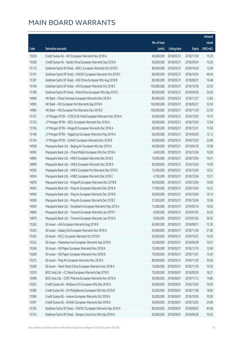|       |                                                               |              |                      |               | Amount      |
|-------|---------------------------------------------------------------|--------------|----------------------|---------------|-------------|
|       |                                                               | No. of issue |                      |               | raised      |
| Code  | Derivative warrants                                           | (units)      | <b>Listing date</b>  | <b>Expiry</b> | (HK\$ mil.) |
| 15039 | Credit Suisse AG - NCI European Warrants Nov 2018 A           | 40,000,000   | 2018/05/31           | 2018/11/30    | 15.20       |
| 15058 | Credit Suisse AG - Sands China European Warrants Sep 2018 A   | 60,000,000   | 2018/05/31           | 2018/09/24    | 10.20       |
| 15173 | Goldman Sachs SP (Asia) - BOCL European Warrants Oct 2018 E   | 80,000,000   | 2018/05/31           | 2018/10/26    | 12.00       |
| 15191 | Goldman Sachs SP (Asia) - CNOOC European Warrants Oct 2018 C  | 80,000,000   | 2018/05/31           | 2018/10/24    | 48.40       |
| 15187 | Goldman Sachs SP (Asia) - A50 China European Wts Aug 2018 B   | 80,000,000   | 2018/05/31           | 2018/08/31    | 16.48       |
| 15196 | Goldman Sachs SP (Asia) - HSI European Warrants Oct 2018 C    | 150,000,000  | 2018/05/31           | 2018/10/30    | 22.50       |
| 15188 | Goldman Sachs SP (Asia) - PetroChina European Wts Sep 2018 C  | 80,000,000   | 2018/05/31           | 2018/09/26    | 24.56       |
| 14966 | HK Bank - China Overseas European Warrants Nov 2018 A         | 80,000,000   | 2018/05/31           | 2018/11/27    | 12.80       |
| 14983 | HK Bank - HSI European Put Warrants Sep 2018 H                | 150,000,000  | 2018/05/31           | 2018/09/27    | 22.50       |
| 14984 | HK Bank - HSI European Put Warrants Nov 2018 D                | 150,000,000  | 2018/05/31           | 2018/11/29    | 22.50       |
| 15157 | J P Morgan SP BV - COSCO Sh Hold European Warrants Dec 2018 A | 50,000,000   | 2018/05/31           | 2018/12/03    | 19.70       |
| 15155 | J P Morgan SP BV - KECL European Warrants Dec 2018 A          | 40,000,000   | 2018/05/31           | 2018/12/03    | 13.64       |
| 15156 | J P Morgan SP BV - Kingsoft European Warrants Dec 2018 A      | 60,000,000   | 2018/05/31           | 2018/12/31    | 15.06       |
| 15146 | J P Morgan SP BV - NagaCorp European Warrants May 2019 A      | 60,000,000   | 2018/05/31           | 2019/05/03    | 15.12       |
| 15144 | J P Morgan SP BV - SUNAC European Warrants Dec 2018 B         | 60,000,000   | 2018/05/31           | 2018/12/03    | 22.80       |
| 14938 | Macquarie Bank Ltd. - Beijing Air European Wts Apr 2019 A     | 40,000,000   | 2018/05/31           | 2019/04/18    | 10.08       |
| 14905 | Macquarie Bank Ltd. - China Mobile European Wts Dec 2018 A    | 4,400,000    | 2018/05/31           | 2018/12/04    | 10.00       |
| 14894 | Macquarie Bank Ltd. - HKEX European Warrants Dec 2018 C       | 10,000,000   | 2018/05/31           | 2018/12/04    | 10.41       |
| 14898 | Macquarie Bank Ltd. - HKEX European Warrants Dec 2018 D       | 60,000,000   | 2018/05/31           | 2018/12/04    | 15.00       |
| 14935 | Macquarie Bank Ltd. - HKEX European Put Warrants Dec 2018 E   | 12,000,000   | 2018/05/31           | 2018/12/04    | 10.22       |
| 14934 | Macquarie Bank Ltd. - HSBC European Warrants Dec 2018 C       | 4,100,000    | 2018/05/31           | 2018/12/04    | 10.21       |
| 14878 | Macquarie Bank Ltd. - Kingsoft European Warrants Dec 2018 B   | 40,000,000   | 2018/05/31           | 2018/12/04    | 10.00       |
| 14943 | Macquarie Bank Ltd. - Ping An European Warrants Dec 2018 A    | 17,000,000   | 2018/05/31           | 2018/12/04    | 10.22       |
| 14950 | Macquarie Bank Ltd. - Ping An European Warrants Dec 2018 B    | 30,000,000   | 2018/05/31           | 2018/12/04    | 10.14       |
| 14958 | Macquarie Bank Ltd. - Ping An European Warrants Dec 2018 C    | 37,000,000   | 2018/05/31           | 2018/12/04    | 10.06       |
| 14900 | Macquarie Bank Ltd. - Sinopharm European Warrants May 2019 A  | 13,000,000   | 2018/05/31           | 2019/05/16    | 10.02       |
| 14869 | Macquarie Bank Ltd. - Tencent European Warrants Jan 2019 F    |              | 8,500,000 2018/05/31 | 2019/01/02    | 34.35       |
| 14870 | Macquarie Bank Ltd. - Tencent European Warrants Jan 2019 G    | 9,000,000    | 2018/05/31           | 2019/01/02    | 56.92       |
| 15262 | SG Issuer - AIA European Warrants Aug 2018 B                  | 60,000,000   | 2018/05/31           | 2018/08/31    | 12.30       |
| 15263 | SG Issuer - Galaxy Ent European Warrants Nov 2018 A           | 40,000,000   | 2018/05/31           | 2018/11/30    | 21.60       |
| 15265 | SG Issuer - KECL European Warrants Oct 2018 A                 | 20,000,000   | 2018/05/31           | 2018/10/31    | 10.20       |
| 15232 | SG Issuer - Maanshan Iron European Warrants Sep 2018 A        | 33,000,000   | 2018/05/31           | 2018/09/28    | 10.07       |
| 15246 | SG Issuer - ND Paper European Warrants Nov 2018 A             | 70,000,000   | 2018/05/31           | 2018/11/19    | 12.60       |
| 15269 | SG Issuer - ND Paper European Warrants Nov 2018 B             | 70,000,000   | 2018/05/31           | 2018/11/01    | 15.40       |
| 15275 | SG Issuer - Ping An European Warrants Nov 2018 A              | 80,000,000   | 2018/05/31           | 2018/11/30    | 35.60       |
| 15289 | SG Issuer - Want Want China European Warrants Nov 2018 A      | 14,000,000   | 2018/05/31           | 2018/11/30    | 10.50       |
| 15529 | BOCI Asia Ltd. - CC Bank European Warrants Sep 2018 E         | 70,000,000   | 2018/06/01           | 2018/09/20    | 18.27       |
| 15498 | BOCI Asia Ltd. - CSPC Pharma European Warrants Nov 2018 A     | 50,000,000   | 2018/06/01           | 2018/11/12    | 14.80       |
| 15625 | Credit Suisse AG - Brilliance Chi European Wts Dec 2018 A     | 40,000,000   | 2018/06/01           | 2018/12/03    | 10.00       |
| 15589 | Credit Suisse AG - Ch Molybdenum European Wts Nov 2018 B      | 30,000,000   | 2018/06/01           | 2018/11/08    | 18.60       |
| 15599 | Credit Suisse AG - Lenovo European Warrants Oct 2018 A        | 50,000,000   | 2018/06/01           | 2018/10/26    | 10.00       |
| 15597 | Credit Suisse AG - SUNAC European Warrants Dec 2018 A         | 40,000,000   | 2018/06/01           | 2018/12/03    | 24.00       |
| 15795 | Goldman Sachs SP (Asia) - CNOOC European Warrants Sep 2018 A  | 80,000,000   | 2018/06/01           | 2018/09/03    | 40.08       |
| 15754 | Goldman Sachs SP (Asia) - Sinopec Corp Euro Wts Sep 2018 A    | 60,000,000   | 2018/06/01           | 2018/09/28    | 10.02       |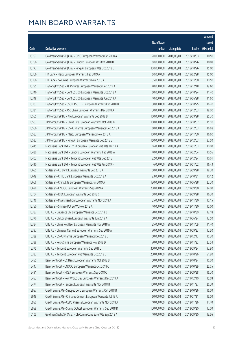|       |                                                               |              |                       |               | Amount      |
|-------|---------------------------------------------------------------|--------------|-----------------------|---------------|-------------|
|       |                                                               | No. of issue |                       |               | raised      |
| Code  | Derivative warrants                                           | (units)      | <b>Listing date</b>   | <b>Expiry</b> | (HK\$ mil.) |
| 15757 | Goldman Sachs SP (Asia) - CPIC European Warrants Oct 2018 A   | 70,000,000   | 2018/06/01            | 2018/10/03    | 10.50       |
| 15756 | Goldman Sachs SP (Asia) - Lenovo European Wts Oct 2018 B      | 60,000,000   | 2018/06/01            | 2018/10/26    | 10.08       |
| 15773 | Goldman Sachs SP (Asia) - Ping An European Wts Oct 2018 E     | 100,000,000  | 2018/06/01            | 2018/10/26    | 15.00       |
| 15366 | HK Bank - Meitu European Warrants Feb 2019 A                  | 60,000,000   | 2018/06/01            | 2019/02/28    | 15.00       |
| 15356 | HK Bank - ZA Onine European Warrants Nov 2018 A               | 35,000,000   | 2018/06/01            | 2018/11/30    | 10.50       |
| 15295 | Haitong Int'l Sec - Ali Pictures European Warrants Dec 2019 A | 40,000,000   | 2018/06/01            | 2019/12/18    | 19.60       |
| 15346 | Haitong Int'l Sec - CAM CSI300 European Warrants Oct 2018 A   | 60,000,000   | 2018/06/01            | 2018/10/24    | 11.40       |
| 15348 | Haitong Int'l Sec - CAM CSI300 European Warrants Jun 2019 A   | 40,000,000   | 2018/06/01            | 2019/06/28    | 11.60       |
| 15303 | Haitong Int'l Sec - CSOP A50 ETF European Warrants Oct 2018 B | 30,000,000   | 2018/06/01            | 2018/10/25    | 16.20       |
| 15331 | Haitong Int'l Sec - A50 China European Warrants Dec 2018 A    | 30,000,000   | 2018/06/01            | 2018/12/03    | 18.00       |
| 15565 | J P Morgan SP BV - AIA European Warrants Sep 2018 B           | 100,000,000  | 2018/06/01            | 2018/09/28    | 25.30       |
| 15563 | J P Morgan SP BV - China Life European Warrants Oct 2018 B    | 100,000,000  | 2018/06/01            | 2018/10/02    | 15.10       |
| 15566 | J P Morgan SP BV - CSPC Pharma European Warrants Dec 2018 A   | 60,000,000   | 2018/06/01            | 2018/12/03    | 16.68       |
| 15583 | J P Morgan SP BV - Meitu European Warrants Nov 2018 A         | 100,000,000  | 2018/06/01            | 2018/11/30    | 16.60       |
| 15533 | J P Morgan SP BV - Ping An European Warrants Dec 2018 B       | 150,000,000  | 2018/06/01            | 2018/12/03    | 37.50       |
| 15415 | Macquarie Bank Ltd. - BYD Company European Put Wts Jan 19 A   | 16,000,000   | 2018/06/01            | 2019/01/03    | 10.00       |
| 15430 | Macquarie Bank Ltd. - Lenovo European Warrants Feb 2019 A     | 40,000,000   | 2018/06/01            | 2019/02/04    | 10.56       |
| 15402 | Macquarie Bank Ltd. - Tencent European Put Wts Dec 2018 I     | 22,000,000   | 2018/06/01            | 2018/12/24    | 10.01       |
| 15410 | Macquarie Bank Ltd. - Tencent European Put Wts Jan 2019 H     | 6,000,000    | 2018/06/01            | 2019/01/02    | 16.43       |
| 15655 | SG Issuer - CC Bank European Warrants Sep 2018 A              | 60,000,000   | 2018/06/01            | 2018/09/28    | 18.30       |
| 15649 | SG Issuer - CITIC Bank European Warrants Oct 2018 A           | 23,000,000   | 2018/06/01            | 2018/10/31    | 10.12       |
| 15666 | SG Issuer - China Life European Warrants Jun 2019 A           | 120,000,000  | 2018/06/01            | 2019/06/28    | 22.20       |
| 15696 | SG Issuer - CNOOC European Warrants Sep 2019 A                | 200,000,000  | 2018/06/01            | 2019/09/30    | 34.00       |
| 15704 | SG Issuer - ICBC European Warrants Sep 2018 C                 | 60,000,000   | 2018/06/01            | 2018/09/28    | 16.20       |
| 15746 | SG Issuer - Maanshan Iron European Warrants Nov 2018 A        | 35,000,000   | 2018/06/01            | 2018/11/30    | 10.15       |
| 15750 | SG Issuer - Shimao Ppt Eu Wt Nov 2018 A                       | 40,000,000   | 2018/06/01            | 2018/11/30    | 10.00       |
| 15387 | UBS AG - Brilliance Chi European Warrants Oct 2018 B          |              | 70,000,000 2018/06/01 | 2018/10/30    | 12.18       |
| 15370 | UBS AG - Ch LongYuan European Warrants Jun 2019 A             | 50,000,000   | 2018/06/01            | 2019/06/24    | 12.50       |
| 15384 | UBS AG - China Res Beer European Warrants Nov 2018 A          | 25,000,000   | 2018/06/01            | 2018/11/09    | 11.40       |
| 15397 | UBS AG - Chinares Cement European Warrants Sep 2019 A         | 70,000,000   | 2018/06/01            | 2019/09/23    | 17.50       |
| 15389 | UBS AG - CSPC Pharma European Warrants Dec 2018 D             | 60,000,000   | 2018/06/01            | 2018/12/13    | 16.20       |
| 15388 | UBS AG - PetroChina European Warrants Nov 2018 D              | 70,000,000   | 2018/06/01            | 2018/11/22    | 22.54       |
| 15375 | UBS AG - Tencent European Warrants Sep 2018 J                 | 300,000,000  | 2018/06/01            | 2018/09/24    | 97.80       |
| 15383 | UBS AG - Tencent European Put Warrants Oct 2018 E             | 200,000,000  | 2018/06/01            | 2018/10/26    | 51.80       |
| 15455 | Bank Vontobel - CC Bank European Warrants Oct 2018 B          | 50,000,000   | 2018/06/01            | 2018/10/24    | 16.00       |
| 15447 | Bank Vontobel - CNOOC European Warrants Oct 2018 C            | 50,000,000   | 2018/06/01            | 2018/10/29    | 25.05       |
| 15491 | Bank Vontobel - HKEX European Warrants Sep 2018 C             | 100,000,000  | 2018/06/01            | 2018/09/28    | 16.70       |
| 15453 | Bank Vontobel - New World Dev European Warrants Dec 2019 A    | 80,000,000   | 2018/06/01            | 2019/12/10    | 15.68       |
| 15474 | Bank Vontobel - Tencent European Warrants Nov 2018 B          | 100,000,000  | 2018/06/01            | 2018/11/27    | 26.20       |
| 15957 | Credit Suisse AG - Sinopec Corp European Warrants Oct 2018 B  | 50,000,000   | 2018/06/04            | 2018/10/26    | 16.00       |
| 15949 | Credit Suisse AG - Chinares Cement European Warrants Jul 19 A | 60,000,000   | 2018/06/04            | 2019/07/31    | 15.00       |
| 15950 | Credit Suisse AG - CSPC Pharma European Warrants Nov 2018 A   | 40,000,000   | 2018/06/04            | 2018/11/26    | 14.40       |
| 15958 | Credit Suisse AG - Sunny Optical European Warrants Sep 2018 D | 100,000,000  | 2018/06/04            | 2018/09/20    | 17.00       |
| 16105 | Goldman Sachs SP (Asia) - Ch Comm Cons Euro Wts Sep 2018 A    | 40,000,000   | 2018/06/04            | 2018/09/20    | 13.56       |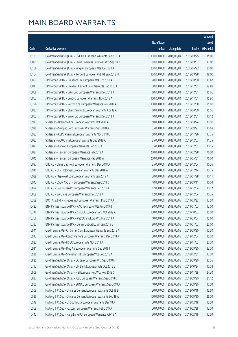|       |                                                                |                        |                     |               | Amount      |
|-------|----------------------------------------------------------------|------------------------|---------------------|---------------|-------------|
|       |                                                                | No. of issue           |                     |               | raised      |
| Code  | Derivative warrants                                            | (units)                | <b>Listing date</b> | <b>Expiry</b> | (HK\$ mil.) |
| 16131 | Goldman Sachs SP (Asia) – CNOOC European Warrants Sep 2019 A   | 100,000,000            | 2018/06/04          | 2019/09/25    | 15.00       |
| 16091 | Goldman Sachs SP (Asia) - China Overseas European Wts Sep 18 B | 80,000,000             | 2018/06/04          | 2018/09/07    | 12.00       |
| 16106 | Goldman Sachs SP (Asia) - Ping An European Wts Jun 2020 A      | 200,000,000            | 2018/06/04          | 2020/06/22    | 30.00       |
| 16164 | Goldman Sachs SP (Asia) - Tencent European Put Wt Sep 2018 M   | 100,000,000            | 2018/06/04          | 2018/09/28    | 18.00       |
| 15852 | J P Morgan SP BV - Brilliance Chi European Wts Oct 2018 A      | 70,000,000             | 2018/06/04          | 2018/10/30    | 11.62       |
| 15817 | J P Morgan SP BV - Chinares Cement Euro Warrants Dec 2018 A    | 30,000,000             | 2018/06/04          | 2018/12/31    | 29.88       |
| 15808 | J P Morgan SP BV - Li & Fung European Warrants Dec 2018 A      | 60,000,000             | 2018/06/04          | 2018/12/31    | 15.06       |
| 15863 | J P Morgan SP BV - Lenovo European Warrants Nov 2018 A         | 100,000,000            | 2018/06/04          | 2018/11/01    | 15.90       |
| 15796 | J P Morgan SP BV - PetroChina European Warrants Nov 2018 A     | 100,000,000            | 2018/06/04          | 2018/11/08    | 25.60       |
| 15833 | J P Morgan SP BV - Shenzhen Int'l European Warrants Apr 19 A   | 60,000,000             | 2018/06/04          | 2019/04/30    | 15.06       |
| 15802 | J P Morgan SP BV - WuXi Bio European Warrants Dec 2018 A       | 40,000,000             | 2018/06/04          | 2018/12/31    | 10.12       |
| 15977 | SG Issuer - Brilliance Chi European Warrants Oct 2018 A        | 50,000,000             | 2018/06/04          | 2018/10/24    | 10.00       |
| 15979 | SG Issuer - Sinopec Corp European Warrants Sep 2018 A          | 35,000,000             | 2018/06/04          | 2018/09/27    | 10.68       |
| 15982 | SG Issuer - CSPC Pharma European Warrants Nov 2018 C           | 50,000,000             | 2018/06/04          | 2018/11/26    | 17.75       |
| 16082 | SG Issuer - A50 China European Warrants Dec 2018 A             | 25,000,000             | 2018/06/04          | 2018/12/03    | 11.25       |
| 16023 | SG Issuer - Lenovo European Warrants Dec 2018 A                | 35,000,000             | 2018/06/04          | 2018/12/31    | 10.15       |
| 16037 | SG Issuer - Tencent European Warrants Feb 2019 A               | 200,000,000            | 2018/06/04          | 2019/02/28    | 76.00       |
| 16045 | SG Issuer - Tencent European Warrants May 2019 A               | 200,000,000            | 2018/06/04          | 2019/05/31    | 76.00       |
| 15897 | UBS AG - China Gas Hold European Warrants Dec 2018 A           | 35,000,000             | 2018/06/04          | 2018/12/04    | 10.26       |
| 15940 | UBS AG - CLP Holdings European Warrants Dec 2018 A             | 50,000,000             | 2018/06/04          | 2018/12/14    | 10.75       |
| 15939 | UBS AG - Mapleleaf Edu European Warrants Jan 2019 A            | 30,000,000             | 2018/06/04          | 2019/01/28    | 10.11       |
| 15943 | UBS AG - CSOP A50 ETF European Warrants Sep 2018 D             | 40,000,000             | 2018/06/04          | 2018/09/11    | 10.04       |
| 15894 | UBS AG - Baiyunshan Ph European Warrants Dec 2018 A            | 17,000,000             | 2018/06/04          | 2018/12/04    | 10.12       |
| 15869 | UBS AG - ZA Onine European Warrants Dec 2018 A                 | 12,000,000             | 2018/06/04          | 2018/12/04    | 10.25       |
| 16289 | BOCI Asia Ltd. - Kingdee Int'l European Warrants Mar 2019 A    | 70,000,000             | 2018/06/05          | 2019/03/22    | 17.50       |
| 16422 | BNP Paribas Issuance B.V. - AAC Tech Euro Wts Jan 2019 B       | 80,000,000             | 2018/06/05          | 2019/01/03    | 12.00       |
| 16346 | BNP Paribas Issuance B.V. - CNOOC European Wts Oct 2019 A      | 100,000,000 2018/06/05 |                     | 2019/10/03    | 15.00       |
| 16366 | BNP Paribas Issuance B.V. - PetroChina Euro Wts Mar 2019 A     | 40,000,000             | 2018/06/05          | 2019/03/04    | 15.60       |
| 16333 | BNP Paribas Issuance B.V. - Sunny Optical Eu Wt Jan 2019 B     | 80,000,000             | 2018/06/05          | 2019/01/03    | 20.00       |
| 16941 | Credit Suisse AG - Ch Comm Cons European Warrants Sep 2018 A   | 25,000,000             | 2018/06/05          | 2018/09/20    | 10.50       |
| 16947 | Credit Suisse AG - Conch Venture European Warrants Dec 2018 A  | 30,000,000             | 2018/06/05          | 2018/12/04    | 15.00       |
| 16922 | Credit Suisse AG - HSBC European Wts Nov 2018 A                | 100,000,000            | 2018/06/05          | 2018/11/02    | 20.00       |
| 16911 | Credit Suisse AG - Ping An European Warrants Sep 2018 I        | 150,000,000            | 2018/06/05          | 2018/09/20    | 33.00       |
| 16926 | Credit Suisse AG - Shenzhen Int'l European Wts Dec 2018 A      | 40,000,000             | 2018/06/05          | 2018/12/31    | 10.00       |
| 16825 | Goldman Sachs SP (Asia) - CC Bank European Wts Sep 2018 F      | 80,000,000             | 2018/06/05          | 2018/09/20    | 30.56       |
| 16793 | Goldman Sachs SP (Asia) - CM Bank European Wts Oct 2018 B      | 60,000,000             | 2018/06/05          | 2018/10/24    | 10.08       |
| 16908 | Goldman Sachs SP (Asia) - HSI European Put Wts Nov 2018 C      | 150,000,000            | 2018/06/05          | 2018/11/29    | 24.30       |
| 16837 | Goldman Sachs SP (Asia) - ICBC European Warrants Sep 2018 D    | 80,000,000             | 2018/06/05          | 2018/09/20    | 21.12       |
| 16906 | Goldman Sachs SP (Asia) - SUNAC European Warrants Sep 2018 A   | 40,000,000             | 2018/06/05          | 2018/09/20    | 10.00       |
| 16508 | Haitong Int'l Sec - Chinares Cement European Warrants Oct 18 B | 30,000,000             | 2018/06/05          | 2018/10/16    | 45.60       |
| 16536 | Haitong Int'l Sec - Chinares Cement European Warrants Sep 19 A | 100,000,000            | 2018/06/05          | 2019/09/30    | 26.00       |
| 16548 | Haitong Int'l Sec - Ch South City European Warrants Dec 18 A   | 50,000,000             | 2018/06/05          | 2018/12/18    | 15.50       |
| 16569 | Haitong Int'l Sec - Foxconn European Warrants Feb 2019 A       | 50,000,000             | 2018/06/05          | 2019/02/28    | 13.00       |
| 16442 | Haitong Int'l Sec - Hang Lung Ppt European Warrants Feb 19 A   | 50,000,000             | 2018/06/05          | 2019/02/18    | 12.50       |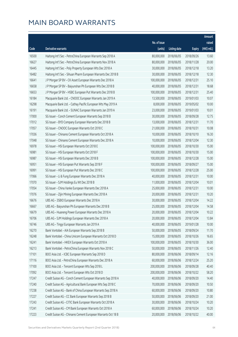|       |                                                               |              |                       |               | Amount      |
|-------|---------------------------------------------------------------|--------------|-----------------------|---------------|-------------|
|       |                                                               | No. of issue |                       |               | raised      |
| Code  | Derivative warrants                                           | (units)      | <b>Listing date</b>   | <b>Expiry</b> | (HK\$ mil.) |
| 16500 | Haitong Int'l Sec - PetroChina European Warrants Sep 2018 A   | 80,000,000   | 2018/06/05            | 2018/09/26    | 13.60       |
| 16627 | Haitong Int'l Sec - PetroChina European Warrants Nov 2018 A   | 80,000,000   | 2018/06/05            | 2018/11/28    | 20.00       |
| 16445 | Haitong Int'l Sec - Poly Property European Wts Dec 2018 A     | 30,000,000   | 2018/06/05            | 2018/12/18    | 13.20       |
| 16482 | Haitong Int'l Sec - Sihuan Pharm European Warrants Dec 2018 B | 30,000,000   | 2018/06/05            | 2018/12/18    | 12.30       |
| 16641 | J P Morgan SP BV - CK Asset European Warrants Dec 2018 A      | 100,000,000  | 2018/06/05            | 2018/12/31    | 25.10       |
| 16658 | J P Morgan SP BV - Baiyunshan Ph European Wts Dec 2018 B      | 40,000,000   | 2018/06/05            | 2018/12/31    | 18.68       |
| 16653 | J P Morgan SP BV - HSBC European Put Warrants Dec 2018 B      | 100,000,000  | 2018/06/05            | 2018/12/31    | 25.40       |
| 16184 | Macquarie Bank Ltd. - CNOOC European Warrants Jan 2019 A      | 13,500,000   | 2018/06/05            | 2019/01/03    | 10.07       |
| 16298 | Macquarie Bank Ltd. - Cathay Pacific European Wts May 2019 A  | 8,000,000    | 2018/06/05            | 2019/05/02    | 10.00       |
| 16191 | Macquarie Bank Ltd. - SUNAC European Warrants Jan 2019 A      | 23,000,000   | 2018/06/05            | 2019/01/03    | 10.01       |
| 17000 | SG Issuer - Conch Cement European Warrants Sep 2018 B         | 30,000,000   | 2018/06/05            | 2018/09/28    | 12.75       |
| 17012 | SG Issuer - BYD Company European Warrants Dec 2018 B          | 13,000,000   | 2018/06/05            | 2018/12/31    | 11.70       |
| 17057 | SG Issuer - CNOOC European Warrants Oct 2018 C                | 21,000,000   | 2018/06/05            | 2018/10/31    | 10.08       |
| 17036 | SG Issuer - Chinares Cement European Warrants Oct 2018 A      | 10,000,000   | 2018/06/05            | 2018/10/10    | 16.30       |
| 17048 | SG Issuer - Chinares Cement European Warrants Dec 2018 A      | 10,000,000   | 2018/06/05            | 2018/12/04    | 12.30       |
| 16978 | SG Issuer - HSI European Warrants Oct 2018 E                  | 100,000,000  | 2018/06/05            | 2018/10/30    | 15.00       |
| 16981 | SG Issuer - HSI European Warrants Oct 2018 F                  | 100,000,000  | 2018/06/05            | 2018/10/30    | 15.00       |
| 16987 | SG Issuer - HSI European Warrants Dec 2018 B                  | 100,000,000  | 2018/06/05            | 2018/12/28    | 15.00       |
| 16951 | SG Issuer - HSI European Put Warrants Sep 2018 F              | 100,000,000  | 2018/06/05            | 2018/09/27    | 15.00       |
| 16991 | SG Issuer - HSI European Put Warrants Dec 2018 C              | 100,000,000  | 2018/06/05            | 2018/12/28    | 25.00       |
| 17066 | SG Issuer - Li & Fung European Warrants Dec 2018 A            | 40,000,000   | 2018/06/05            | 2018/12/31    | 10.00       |
| 17070 | SG Issuer - SJM Holdings Eu Wt Dec 2018 B                     | 11,000,000   | 2018/06/05            | 2018/12/04    | 10.01       |
| 17054 | SG Issuer - China Vanke European Warrants Dec 2018 A          | 25,000,000   | 2018/06/05            | 2018/12/31    | 10.00       |
| 17076 | SG Issuer - Zijin Mining European Warrants Dec 2018 A         | 20,000,000   | 2018/06/05            | 2018/12/31    | 10.20       |
| 16676 | UBS AG - 3SBIO European Warrants Dec 2018 A                   | 30,000,000   | 2018/06/05            | 2018/12/04    | 14.22       |
| 16667 | UBS AG - Baiyunshan Ph European Warrants Dec 2018 B           | 25,000,000   | 2018/06/05            | 2018/12/04    | 14.58       |
| 16679 | UBS AG - Huaneng Power European Warrants Dec 2018 A           |              | 20,000,000 2018/06/05 | 2018/12/04    | 10.22       |
| 16706 | UBS AG - SJM Holdings European Warrants Dec 2018 A            | 20,000,000   | 2018/06/05            | 2018/12/04    | 13.84       |
| 16746 | UBS AG - Tingyi European Warrants Jan 2019 A                  | 40,000,000   | 2018/06/05            | 2019/01/28    | 10.00       |
| 16270 | Bank Vontobel - AIA European Warrants Sep 2018 B              | 50,000,000   | 2018/06/05            | 2018/09/24    | 11.70       |
| 16248 | Bank Vontobel - China Unicom European Warrants Oct 2018 D     | 15,000,000   | 2018/06/05            | 2018/10/26    | 16.65       |
| 16241 | Bank Vontobel - HKEX European Warrants Oct 2018 A             | 100,000,000  | 2018/06/05            | 2018/10/30    | 36.00       |
| 16213 | Bank Vontobel - PetroChina European Warrants Nov 2018 C       | 50,000,000   | 2018/06/05            | 2018/11/26    | 12.40       |
| 17101 | BOCI Asia Ltd. - ICBC European Warrants Sep 2018 D            | 80,000,000   | 2018/06/06            | 2018/09/14    | 12.16       |
| 17116 | BOCI Asia Ltd. - PetroChina European Warrants Dec 2018 A      | 60,000,000   | 2018/06/06            | 2018/12/24    | 25.20       |
| 17100 | BOCI Asia Ltd. - Tencent European Wts Sep 2018 L              | 200,000,000  | 2018/06/06            | 2018/09/28    | 40.40       |
| 17092 | BOCI Asia Ltd. - Tencent European Wts Oct 2018 D              | 200,000,000  | 2018/06/06            | 2018/10/22    | 58.20       |
| 17247 | Credit Suisse AG - Conch Cement European Warrants Sep 2018 A  | 40,000,000   | 2018/06/06            | 2018/09/20    | 14.40       |
| 17240 | Credit Suisse AG - Agricultural Bank European Wts Sep 2018 C  | 70,000,000   | 2018/06/06            | 2018/09/20    | 10.50       |
| 17238 | Credit Suisse AG - Bank of China European Warrants Sep 2018 A | 60,000,000   | 2018/06/06            | 2018/09/20    | 10.80       |
| 17227 | Credit Suisse AG - CC Bank European Warrants Sep 2018 B       | 50,000,000   | 2018/06/06            | 2018/09/20    | 21.00       |
| 17243 | Credit Suisse AG - CITIC Bank European Warrants Oct 2018 A    | 30,000,000   | 2018/06/06            | 2018/10/24    | 10.20       |
| 17241 | Credit Suisse AG - CM Bank European Warrants Oct 2018 A       | 60,000,000   | 2018/06/06            | 2018/10/24    | 10.20       |
| 17223 | Credit Suisse AG - Chinares Cement European Warrants Oct 18 B | 20,000,000   | 2018/06/06            | 2018/10/22    | 40.00       |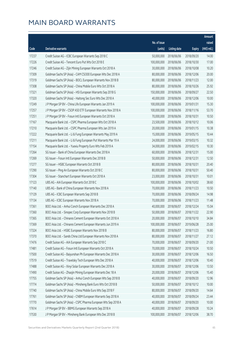|       |                                                                |              |                       |               | Amount      |
|-------|----------------------------------------------------------------|--------------|-----------------------|---------------|-------------|
|       |                                                                | No. of issue |                       |               | raised      |
| Code  | Derivative warrants                                            | (units)      | <b>Listing date</b>   | <b>Expiry</b> | (HK\$ mil.) |
| 17237 | Credit Suisse AG - ICBC European Warrants Sep 2018 C           | 50,000,000   | 2018/06/06            | 2018/09/20    | 14.00       |
| 17226 | Credit Suisse AG - Tencent Euro Put Wts Oct 2018 E             | 100,000,000  | 2018/06/06            | 2018/10/30    | 17.00       |
| 17246 | Credit Suisse AG - Zijin Mining European Warrants Oct 2018 A   | 30,000,000   | 2018/06/06            | 2018/10/08    | 10.20       |
| 17309 | Goldman Sachs SP (Asia) - CAM CSI300 European Wts Dec 2018 A   | 80,000,000   | 2018/06/06            | 2018/12/06    | 20.00       |
| 17319 | Goldman Sachs SP (Asia) - BOCL European Warrants Nov 2018 B    | 80,000,000   | 2018/06/06            | 2018/11/23    | 12.00       |
| 17308 | Goldman Sachs SP (Asia) - China Mobile Euro Wts Oct 2018 A     | 80,000,000   | 2018/06/06            | 2018/10/26    | 25.92       |
| 17321 | Goldman Sachs SP (Asia) - HSI European Warrants Sep 2018 G     | 150,000,000  | 2018/06/06            | 2018/09/27    | 22.50       |
| 17320 | Goldman Sachs SP (Asia) - Haitong Sec Euro Wts Dec 2018 A      | 40,000,000   | 2018/06/06            | 2018/12/06    | 10.00       |
| 17249 | J P Morgan SP BV - China Life European Warrants Jan 2019 A     | 100,000,000  | 2018/06/06            | 2019/01/31    | 15.30       |
| 17257 | J P Morgan SP BV - CSOP A50 ETF European Warrants Nov 2018 A   | 100,000,000  | 2018/06/06            | 2018/11/16    | 53.70       |
| 17251 | J P Morgan SP BV - Fosun Intl European Warrants Oct 2018 A     | 70,000,000   | 2018/06/06            | 2018/10/31    | 10.50       |
| 17167 | Macquarie Bank Ltd. - CSPC Pharma European Wts Oct 2018 A      | 23,500,000   | 2018/06/06            | 2018/10/12    | 10.06       |
| 17210 | Macquarie Bank Ltd. - CSPC Pharma European Wts Jan 2019 A      | 20,000,000   | 2018/06/06            | 2019/01/15    | 10.38       |
| 17222 | Macquarie Bank Ltd. - Li & Fung European Warrants May 2019 A   | 15,000,000   | 2018/06/06            | 2019/05/15    | 10.44       |
| 17211 | Macquarie Bank Ltd. - Li & Fung European Put Warrants Mar 19 A | 24,000,000   | 2018/06/06            | 2019/03/15    | 10.32       |
| 17154 | Macquarie Bank Ltd. - Yuexiu Property Euro Wts Feb 2019 A      | 34,000,000   | 2018/06/06            | 2019/02/15    | 10.30       |
| 17264 | SG Issuer - Bank of China European Warrants Dec 2018 A         | 60,000,000   | 2018/06/06            | 2018/12/31    | 15.00       |
| 17269 | SG Issuer - Fosun Intl European Warrants Dec 2018 B            | 50,000,000   | 2018/06/06            | 2018/12/31    | 12.50       |
| 17277 | SG Issuer - HSBC European Warrants Oct 2018 B                  | 80,000,000   | 2018/06/06            | 2018/10/31    | 20.40       |
| 17290 | SG Issuer - Ping An European Warrants Oct 2018 C               | 80,000,000   | 2018/06/06            | 2018/10/31    | 50.40       |
| 17304 | SG Issuer - Stanchart European Warrants Oct 2018 A             | 23,000,000   | 2018/06/06            | 2018/10/31    | 10.01       |
| 17123 | UBS AG - AIA European Warrants Oct 2018 C                      | 100,000,000  | 2018/06/06            | 2018/10/02    | 38.60       |
| 17140 | UBS AG - Bank of China European Warrants Nov 2018 A            | 70,000,000   | 2018/06/06            | 2018/11/23    | 10.50       |
| 17129 | UBS AG - ICBC European Warrants Sep 2018 B                     | 70,000,000   | 2018/06/06            | 2018/09/24    | 14.98       |
| 17134 | UBS AG - ICBC European Warrants Nov 2018 A                     | 70,000,000   | 2018/06/06            | 2018/11/23    | 11.48       |
| 17361 | BOCI Asia Ltd. - Anhui Conch European Warrants Dec 2018 A      | 40,000,000   | 2018/06/07            | 2018/12/24    | 15.04       |
| 17360 | BOCI Asia Ltd. - Sinopec Corp European Warrants Nov 2018 B     |              | 50,000,000 2018/06/07 | 2018/11/22    | 22.90       |
| 17365 | BOCI Asia Ltd. - Chinares Cement European Warrants Oct 2018 A  | 20,000,000   | 2018/06/07            | 2018/10/10    | 34.84       |
| 17369 | BOCI Asia Ltd. - Chinares Cement European Warrants Jun 2019 A  | 100,000,000  | 2018/06/07            | 2019/06/28    | 25.00       |
| 17324 | BOCI Asia Ltd. - HSBC European Warrants Nov 2018 B             | 80,000,000   | 2018/06/07            | 2018/11/23    | 16.80       |
| 17370 | BOCI Asia Ltd. - Sands China Ltd European Warrants Nov 2018 A  | 80,000,000   | 2018/06/07            | 2018/11/27    | 27.12       |
| 17476 | Credit Suisse AG - AIA European Warrants Sep 2018 C            | 70,000,000   | 2018/06/07            | 2018/09/20    | 21.00       |
| 17481 | Credit Suisse AG - Fosun Intl European Warrants Oct 2018 A     | 70,000,000   | 2018/06/07            | 2018/10/24    | 10.50       |
| 17500 | Credit Suisse AG - Baiyunshan Ph European Warrants Dec 2018 A  | 30,000,000   | 2018/06/07            | 2018/12/06    | 16.50       |
| 17519 | Credit Suisse AG - Travelsky Tech European Wts Dec 2018 A      | 40,000,000   | 2018/06/07            | 2018/12/06    | 10.40       |
| 17488 | Credit Suisse AG - Xinyi Solar European Warrants Dec 2018 A    | 30,000,000   | 2018/06/07            | 2018/12/06    | 13.50       |
| 17490 | Credit Suisse AG - Zhaojin Mining European Warrants Dec 18 A   | 20,000,000   | 2018/06/07            | 2018/12/06    | 15.40       |
| 17755 | Goldman Sachs SP (Asia) - Anhui Conch European Wts Sep 2018 B  | 40,000,000   | 2018/06/07            | 2018/09/20    | 12.96       |
| 17774 | Goldman Sachs SP (Asia) - Minsheng Bank Euro Wts Oct 2018 B    | 50,000,000   | 2018/06/07            | 2018/10/12    | 10.00       |
| 17740 | Goldman Sachs SP (Asia) - China Mobile Euro Wts Sep 2018 F     | 80,000,000   | 2018/06/07            | 2018/09/20    | 14.64       |
| 17761 | Goldman Sachs SP (Asia) - CNBM European Warrants Sep 2018 A    | 40,000,000   | 2018/06/07            | 2018/09/24    | 23.44       |
| 17770 | Goldman Sachs SP (Asia) - CSPC Pharma European Wts Sep 2018 A  | 40,000,000   | 2018/06/07            | 2018/09/20    | 10.00       |
| 17614 | J P Morgan SP BV - BBMG European Warrants Sep 2018 A           | 40,000,000   | 2018/06/07            | 2018/09/28    | 10.24       |
| 17530 | J P Morgan SP BV - Minsheng Bank European Wts Dec 2018 B       | 100,000,000  | 2018/06/07            | 2018/12/06    | 38.70       |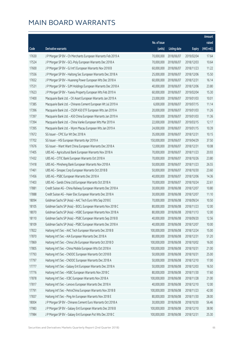|       |                                                               |              |                       |               | Amount      |
|-------|---------------------------------------------------------------|--------------|-----------------------|---------------|-------------|
|       |                                                               | No. of issue |                       |               | raised      |
| Code  | Derivative warrants                                           | (units)      | <b>Listing date</b>   | <b>Expiry</b> | (HK\$ mil.) |
| 17630 | J P Morgan SP BV - Ch Merchants European Warrants Feb 2019 A  | 70,000,000   | 2018/06/07            | 2019/02/04    | 17.64       |
| 17524 | J P Morgan SP BV - GCL-Poly European Warrants Dec 2018 A      | 70,000,000   | 2018/06/07            | 2018/12/03    | 10.64       |
| 17600 | J P Morgan SP BV - GJ Int'l European Warrants Nov 2018 B      | 60,000,000   | 2018/06/07            | 2018/11/23    | 11.22       |
| 17556 | JP Morgan SP BV - Haitong Sec European Warrants Dec 2018 A    | 25,000,000   | 2018/06/07            | 2018/12/06    | 15.50       |
| 17652 | JP Morgan SP BV - Huaneng Power European Wts Dec 2018 A       | 60,000,000   | 2018/06/07            | 2018/12/31    | 16.14       |
| 17531 | J P Morgan SP BV - SJM Holdings European Warrants Dec 2018 A  | 40,000,000   | 2018/06/07            | 2018/12/06    | 23.80       |
| 17623 | J P Morgan SP BV - Yuexiu Property European Wts Feb 2019 A    | 60,000,000   | 2018/06/07            | 2019/02/04    | 15.30       |
| 17400 | Macquarie Bank Ltd. - CK Asset European Warrants Jan 2019 A   | 23,000,000   | 2018/06/07            | 2019/01/03    | 10.01       |
| 17385 | Macquarie Bank Ltd. - Chinares Cement European Wt Jul 2019 A  | 6,000,000    | 2018/06/07            | 2019/07/15    | 11.14       |
| 17396 | Macquarie Bank Ltd. - CSOP A50 ETF European Wts Jan 2019 A    | 20,000,000   | 2018/06/07            | 2019/01/03    | 11.26       |
| 17397 | Macquarie Bank Ltd. - A50 China European Warrants Jan 2019 A  | 19,000,000   | 2018/06/07            | 2019/01/03    | 11.36       |
| 17394 | Macquarie Bank Ltd. - China Vanke European Wts Mar 2019 A     | 22,000,000   | 2018/06/07            | 2019/03/15    | 12.17       |
| 17395 | Macquarie Bank Ltd. - Wynn Macau European Wts Jan 2019 A      | 24,000,000   | 2018/06/07            | 2019/01/15    | 10.39       |
| 17672 | SG Issuer - CPIC Eur Wt Dec 2018 A                            | 35,000,000   | 2018/06/07            | 2018/12/31    | 10.15       |
| 17702 | SG Issuer - HSI European Warrants Apr 2019 A                  | 150,000,000  | 2018/06/07            | 2019/04/29    | 37.50       |
| 17676 | SG Issuer - Want Want China European Warrants Dec 2018 A      | 12,000,000   | 2018/06/07            | 2018/12/31    | 10.08       |
| 17405 | UBS AG - Agricultural Bank European Warrants Nov 2018 A       | 70,000,000   | 2018/06/07            | 2018/11/23    | 20.93       |
| 17432 | UBS AG - CITIC Bank European Warrants Oct 2018 A              | 70,000,000   | 2018/06/07            | 2018/10/26    | 23.80       |
| 17418 | UBS AG - Minsheng Bank European Warrants Nov 2018 A           | 50,000,000   | 2018/06/07            | 2018/11/23    | 26.55       |
| 17461 | UBS AG - Sinopec Corp European Warrants Oct 2018 B            | 50,000,000   | 2018/06/07            | 2018/10/30    | 23.60       |
| 17456 | UBS AG - PSBC European Warrants Dec 2018 A                    | 40,000,000   | 2018/06/07            | 2018/12/06    | 14.36       |
| 17403 | UBS AG - Sands China Ltd European Warrants Oct 2018 A         | 70,000,000   | 2018/06/07            | 2018/10/24    | 22.61       |
| 17881 | Credit Suisse AG - China Railway European Warrants Dec 2018 A | 30,000,000   | 2018/06/08            | 2018/12/07    | 10.80       |
| 17888 | Credit Suisse AG - Haier Elec European Warrants Dec 2018 A    | 30,000,000   | 2018/06/08            | 2018/12/07    | 11.10       |
| 18094 | Goldman Sachs SP (Asia) - AAC Tech Euro Wts Sep 2018 E        | 70,000,000   | 2018/06/08            | 2018/09/24    | 10.50       |
| 18105 | Goldman Sachs SP (Asia) - BOCL European Warrants Nov 2018 C   | 80,000,000   | 2018/06/08            | 2018/11/23    | 12.00       |
| 18070 | Goldman Sachs SP (Asia) - HSBC European Warrants Nov 2018 A   |              | 80,000,000 2018/06/08 | 2018/11/13    | 12.00       |
| 18110 | Goldman Sachs SP (Asia) - PSBC European Warrants Sep 2018 B   | 40,000,000   | 2018/06/08            | 2018/09/20    | 12.56       |
| 18109 | Goldman Sachs SP (Asia) - PSBC European Warrants Dec 2018 A   | 40,000,000   | 2018/06/08            | 2018/12/07    | 10.00       |
| 17822 | Haitong Int'l Sec - AAC Tech European Warrants Dec 2018 B     | 100,000,000  | 2018/06/08            | 2018/12/24    | 15.00       |
| 17870 | Haitong Int'l Sec - AIA European Warrants Dec 2018 A          | 80,000,000   | 2018/06/08            | 2018/12/31    | 51.20       |
| 17869 | Haitong Int'l Sec - China Life European Warrants Oct 2018 D   | 100,000,000  | 2018/06/08            | 2018/10/02    | 16.00       |
| 17805 | Haitong Int'l Sec - China Mobile European Wts Oct 2018 A      | 100,000,000  | 2018/06/08            | 2018/10/31    | 21.00       |
| 17793 | Haitong Int'l Sec - CNOOC European Warrants Oct 2018 B        | 50,000,000   | 2018/06/08            | 2018/10/31    | 25.00       |
| 17797 | Haitong Int'l Sec - CNOOC European Warrants Dec 2018 A        | 50,000,000   | 2018/06/08            | 2018/12/10    | 17.00       |
| 17777 | Haitong Int'l Sec - Galaxy Ent European Warrants Dec 2018 A   | 50,000,000   | 2018/06/08            | 2018/12/03    | 16.50       |
| 17776 | Haitong Int'l Sec - HSBC European Warrants Nov 2018 C         | 80,000,000   | 2018/06/08            | 2018/11/30    | 17.60       |
| 17878 | Haitong Int'l Sec - ICBC European Warrants Nov 2018 A         | 100,000,000  | 2018/06/08            | 2018/11/28    | 21.00       |
| 17817 | Haitong Int'l Sec - Lenovo European Warrants Dec 2018 A       | 40,000,000   | 2018/06/08            | 2018/12/10    | 12.00       |
| 17791 | Haitong Int'l Sec - PetroChina European Warrants Nov 2018 B   | 100,000,000  | 2018/06/08            | 2018/11/23    | 42.00       |
| 17837 | Haitong Int'l Sec - Ping An European Warrants Nov 2018 E      | 80,000,000   | 2018/06/08            | 2018/11/30    | 28.00       |
| 18004 | J P Morgan SP BV - Chinares Cement Euro Warrants Oct 2018 A   | 30,000,000   | 2018/06/08            | 2018/10/30    | 56.46       |
| 17983 | J P Morgan SP BV - Galaxy Ent European Warrants Dec 2018 B    | 100,000,000  | 2018/06/08            | 2018/12/10    | 38.90       |
| 17984 | J P Morgan SP BV - Galaxy Ent European Put Wts Dec 2018 C     | 100,000,000  | 2018/06/08            | 2018/12/31    | 25.30       |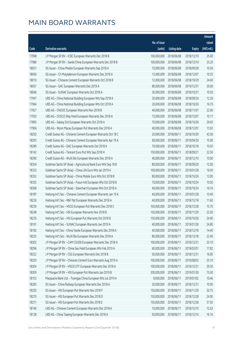|       |                                                                |                        |                     |               | Amount       |
|-------|----------------------------------------------------------------|------------------------|---------------------|---------------|--------------|
|       |                                                                | No. of issue           |                     |               | raised       |
| Code  | Derivative warrants                                            | (units)                | <b>Listing date</b> | <b>Expiry</b> | $(HK\$ mil.) |
| 17998 | J P Morgan SP BV - ICBC European Warrants Dec 2018 B           | 100,000,000            | 2018/06/08          | 2018/12/10    | 25.00        |
| 17980 | J P Morgan SP BV - Sands China European Warrants Dec 2018 B    | 100,000,000            | 2018/06/08          | 2018/12/10    | 25.20        |
| 18021 | SG Issuer - China Mobile European Warrants Sep 2018 A          | 70,000,000             | 2018/06/08          | 2018/09/28    | 10.50        |
| 18056 | SG Issuer - Ch Molybdenum European Warrants Dec 2018 A         | 15,000,000             | 2018/06/08          | 2018/12/07    | 10.35        |
| 18010 | SG Issuer - Chinares Cement European Warrants Oct 2018 B       | 12,000,000             | 2018/06/08          | 2018/10/29    | 24.60        |
| 18057 | SG Issuer - GAC European Warrants Dec 2019 A                   | 80,000,000             | 2018/06/08          | 2019/12/31    | 20.00        |
| 18066 | SG Issuer - SUNAC European Warrants Oct 2018 A                 | 30,000,000             | 2018/06/08          | 2018/10/31    | 10.50        |
| 17947 | UBS AG - China National Building European Wts Sep 2018 A       | 20,000,000             | 2018/06/08          | 2018/09/24    | 12.26        |
| 17964 | UBS AG - China National Building European Wts Oct 2018 A       | 20,000,000             | 2018/06/08          | 2018/10/26    | 16.70        |
| 17927 | UBS AG - CNOOC European Warrants Nov 2018 B                    | 40,000,000             | 2018/06/08          | 2018/11/01    | 22.00        |
| 17930 | UBS AG - COSCO Ship Hold European Warrants Dec 2018 A          | 15,000,000             | 2018/06/08          | 2018/12/07    | 10.17        |
| 17895 | UBS AG - Galaxy Ent European Warrants Oct 2018 A               | 70,000,000             | 2018/06/08          | 2018/10/26    | 29.05        |
| 17906 | UBS AG - Wynn Macau European Put Warrants Dec 2018 A           | 40,000,000             | 2018/06/08          | 2018/12/07    | 13.92        |
| 18292 | Credit Suisse AG - Chinares Cement European Warrants Oct 18 C  | 20,000,000             | 2018/06/11          | 2018/10/29    | 42.00        |
| 18295 | Credit Suisse AG - Chinares Cement European Warrants Apr 19 A  | 60,000,000             | 2018/06/11          | 2019/04/30    | 15.00        |
| 18289 | Credit Suisse AG - GAC European Warrants Oct 2018 A            | 70,000,000             | 2018/06/11          | 2018/10/18    | 10.50        |
| 18142 | Credit Suisse AG - Tencent Euro Put Wts Sep 2018 H             | 150,000,000            | 2018/06/11          | 2018/09/21    | 22.50        |
| 18290 | Credit Suisse AG - WuXi Bio European Warrants Dec 2018 A       | 40,000,000             | 2018/06/11          | 2018/12/10    | 10.00        |
| 18354 | Goldman Sachs SP (Asia) - Agricultural Bank Euro Wts Sep 18 B  | 80,000,000             | 2018/06/11          | 2018/09/20    | 12.00        |
| 18333 | Goldman Sachs SP (Asia) - China Life Euro Wts Jan 2019 A       | 100,000,000            | 2018/06/11          | 2019/01/28    | 16.50        |
| 18352 | Goldman Sachs SP (Asia) - China Mobile Euro Wts Oct 2018 B     | 80,000,000             | 2018/06/11          | 2018/10/26    | 12.00        |
| 18355 | Goldman Sachs SP (Asia) - Fosun Intl European Wts Oct 2018 B   | 70,000,000             | 2018/06/11          | 2018/10/24    | 10.50        |
| 18368 | Goldman Sachs SP (Asia) - Stanchart European Wts Oct 2018 A    | 40,000,000             | 2018/06/11          | 2018/10/24    | 16.16        |
| 18187 | Haitong Int'l Sec - Chinares Cement European Warrants Jan 19 A | 40,000,000             | 2018/06/11          | 2019/01/28    | 10.40        |
| 18226 | Haitong Int'l Sec - R&F Ppt European Warrants Dec 2018 A       | 40,000,000             | 2018/06/11          | 2018/12/18    | 11.60        |
| 18239 | Haitong Int'l Sec - HSCEI European Put Warrants Dec 2018 C     | 100,000,000            | 2018/06/11          | 2018/12/28    | 15.70        |
| 18248 | Haitong Int'l Sec - HSI European Warrants Nov 2018 B           | 150,000,000 2018/06/11 |                     | 2018/11/29    | 22.50        |
| 18235 | Haitong Int'l Sec - HSI European Put Warrants Oct 2018 B       | 150,000,000            | 2018/06/11          | 2018/10/30    | 24.00        |
| 18191 | Haitong Int'l Sec - SUNAC European Warrants Jan 2019 A         | 40,000,000             | 2018/06/11          | 2019/01/28    | 24.80        |
| 18192 | Haitong Int'l Sec - China Vanke European Warrants Dec 2018 A   | 40,000,000             | 2018/06/11          | 2018/12/18    | 14.40        |
| 18225 | Haitong Int'l Sec - WuXi Bio European Warrants Dec 2018 A      | 80,000,000             | 2018/06/11          | 2018/12/18    | 22.40        |
| 18302 | J P Morgan SP BV - CAM CSI300 European Warrants Dec 2018 A     | 100,000,000            | 2018/06/11          | 2018/12/31    | 25.10        |
| 18296 | J P Morgan SP BV - China Gas Hold European Wts Feb 2019 A      | 60,000,000             | 2018/06/11          | 2019/02/01    | 17.82        |
| 18322 | J P Morgan SP BV - CGS European Warrants Dec 2018 B            | 50,000,000             | 2018/06/11          | 2018/12/31    | 16.00        |
| 18329 | J P Morgan SP BV - Chinares Cement Euro Warrants Aug 2019 A    | 100,000,000            | 2018/06/11          | 2019/08/02    | 25.10        |
| 18304 | J P Morgan SP BV - HSCEI ETF European Warrants Dec 2018 A      | 100,000,000            | 2018/06/11          | 2018/12/31    | 39.30        |
| 18309 | J P Morgan SP BV - HSI European Put Warrants Jan 2019 B        | 300,000,000            | 2018/06/11          | 2019/01/30    | 75.00        |
| 18153 | Macquarie Bank Ltd. - Towngas China European Wts Jul 2019 A    | 8,000,000              | 2018/06/11          | 2019/07/02    | 10.46        |
| 18283 | SG Issuer - China Railway European Warrants Dec 2018 A         | 20,000,000             | 2018/06/11          | 2018/12/31    | 10.00        |
| 18250 | SG Issuer - HSI European Put Warrants Nov 2018 F               | 150,000,000            | 2018/06/11          | 2018/11/29    | 30.75        |
| 18270 | SG Issuer - HSI European Put Warrants Dec 2018 D               | 150,000,000            | 2018/06/11          | 2018/12/28    | 24.00        |
| 18271 | SG Issuer - HSI European Put Warrants Dec 2018 E               | 150,000,000            | 2018/06/11          | 2018/12/28    | 37.50        |
| 18140 | UBS AG - Chinares Cement European Warrants Dec 2018 A          | 10,000,000             | 2018/06/11          | 2018/12/10    | 12.63        |
| 18138 | UBS AG - China Taiping European Warrants Dec 2018 A            | 50,000,000             | 2018/06/11          | 2018/12/10    | 16.10        |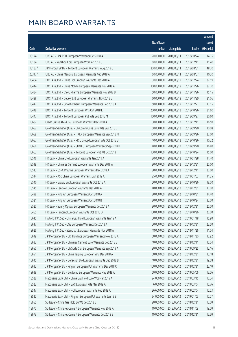|         |                                                               |                        |                     |               | Amount      |
|---------|---------------------------------------------------------------|------------------------|---------------------|---------------|-------------|
|         |                                                               | No. of issue           |                     |               | raised      |
| Code    | Derivative warrants                                           | (units)                | <b>Listing date</b> | <b>Expiry</b> | (HK\$ mil.) |
| 18124   | UBS AG - Link REIT European Warrants Oct 2018 A               | 70,000,000             | 2018/06/11          | 2018/10/24    | 14.35       |
| 18134   | UBS AG - Yanzhou Coal European Wts Dec 2018 C                 | 60,000,000             | 2018/06/11          | 2018/12/11    | 11.40       |
| 18132 # | J P Morgan SP BV - Tencent European Warrants Aug 2018 C       | 300,000,000            | 2018/06/11          | 2018/08/31    | 48.30       |
| 23317#  | UBS AG - China Mengniu European Warrants Aug 2018 A           | 60,000,000             | 2018/06/11          | 2018/08/07    | 10.20       |
| 18464   | BOCI Asia Ltd. - China Lit European Warrants Dec 2018 A       | 30,000,000             | 2018/06/12          | 2018/12/24    | 32.19       |
| 18444   | BOCI Asia Ltd. - China Mobile European Warrants Nov 2018 A    | 100,000,000            | 2018/06/12          | 2018/11/26    | 32.70       |
| 18434   | BOCI Asia Ltd. - CSPC Pharma European Warrants Nov 2018 B     | 50,000,000             | 2018/06/12          | 2018/11/26    | 15.15       |
| 18428   | BOCI Asia Ltd. - Galaxy Ent European Warrants Nov 2018 B      | 60,000,000             | 2018/06/12          | 2018/11/29    | 21.06       |
| 18442   | BOCI Asia Ltd. - Sino Biopharm European Warrants Dec 2018 A   | 50,000,000             | 2018/06/12          | 2018/12/27    | 13.15       |
| 18449   | BOCI Asia Ltd. - Tencent European Wts Oct 2018 E              | 200,000,000            | 2018/06/12          | 2018/10/26    | 31.60       |
| 18447   | BOCI Asia Ltd. - Tencent European Put Wts Sep 2018 M          | 100,000,000            | 2018/06/12          | 2018/09/27    | 30.60       |
| 18682   | Credit Suisse AG - CGS European Warrants Dec 2018 A           | 30,000,000             | 2018/06/12          | 2018/12/11    | 16.50       |
| 18652   | Goldman Sachs SP (Asia) - Ch Comm Cons Euro Wts Sep 2018 B    | 60,000,000             | 2018/06/12          | 2018/09/20    | 10.08       |
| 18659   | Goldman Sachs SP (Asia) - HKEX European Warrants Sep 2018 M   | 150,000,000            | 2018/06/12          | 2018/09/26    | 27.00       |
| 18657   | Goldman Sachs SP (Asia) - PICC Group European Wts Oct 2018 B  | 40,000,000             | 2018/06/12          | 2018/10/26    | 10.32       |
| 18656   | Goldman Sachs SP (Asia) - SUNAC European Warrants Sep 2018 B  | 40,000,000             | 2018/06/12          | 2018/09/20    | 16.80       |
| 18663   | Goldman Sachs SP (Asia) - Tencent European Put Wt Oct 2018 I  | 100,000,000            | 2018/06/12          | 2018/10/24    | 15.00       |
| 18546   | HK Bank - China Life European Warrants Jan 2019 A             | 80,000,000             | 2018/06/12          | 2019/01/28    | 14.40       |
| 18519   | HK Bank - Chinares Cement European Warrants Dec 2018 A        | 80,000,000             | 2018/06/12          | 2018/12/31    | 20.00       |
| 18513   | HK Bank - CSPC Pharma European Warrants Dec 2018 A            | 80,000,000             | 2018/06/12          | 2018/12/11    | 20.00       |
| 18514   | HK Bank - A50 China European Warrants Jan 2019 A              | 25,000,000             | 2018/06/12          | 2019/01/03    | 11.25       |
| 18540   | HK Bank - Galaxy Ent European Warrants Oct 2018 A             | 50,000,000             | 2018/06/12          | 2018/10/26    | 18.00       |
| 18545   | HK Bank - Lenovo European Warrants Dec 2018 A                 | 40,000,000             | 2018/06/12          | 2018/12/31    | 10.00       |
| 18498   | HK Bank - Ping An European Warrants Oct 2018 A                | 80,000,000             | 2018/06/12          | 2018/10/31    | 14.40       |
| 18521   | HK Bank - Ping An European Warrants Oct 2018 B                | 80,000,000             | 2018/06/12          | 2018/10/24    | 32.00       |
| 18520   | HK Bank - Sunny Optical European Warrants Dec 2018 A          | 80,000,000             | 2018/06/12          | 2018/12/31    | 20.00       |
| 18465   | HK Bank - Tencent European Warrants Oct 2018 D                | 100,000,000 2018/06/12 |                     | 2018/10/26    | 20.00       |
| 18615   | Haitong Int'l Sec - China Gas Hold European Warrants Jan 19 A | 30,000,000             | 2018/06/12          | 2019/01/18    | 15.90       |
| 18617   | Haitong Int'l Sec - CGS European Warrants Dec 2018 A          | 50,000,000             | 2018/06/12          | 2018/12/31    | 23.50       |
| 18626   | Haitong Int'l Sec - Stanchart European Warrants Nov 2018 A    | 48,000,000             | 2018/06/12          | 2018/11/26    | 11.04       |
| 18649   | J P Morgan SP BV - CKI Holdings European Warrants Nov 2018 A  | 60,000,000             | 2018/06/12          | 2018/11/30    | 10.92       |
| 18633   | J P Morgan SP BV - Chinares Cement Euro Warrants Dec 2018 B   | 40,000,000             | 2018/06/12          | 2018/12/11    | 10.04       |
| 18650   | J P Morgan SP BV - Ch State Con European Warrants Sep 2019 A  | 80,000,000             | 2018/06/12          | 2019/09/25    | 12.16       |
| 18651   | J P Morgan SP BV - China Taiping European Wts Dec 2018 A      | 60,000,000             | 2018/06/12          | 2018/12/31    | 15.18       |
| 18645   | J P Morgan SP BV - Genscript Bio European Warrants Dec 2018 B | 40,000,000             | 2018/06/12          | 2018/12/31    | 19.08       |
| 18632   | J P Morgan SP BV - Ping An European Put Warrants Dec 2018 C   | 100,000,000            | 2018/06/12          | 2018/12/31    | 25.10       |
| 18638   | J P Morgan SP BV - Goldwind European Warrants May 2019 A      | 60,000,000             | 2018/06/12          | 2019/05/06    | 15.06       |
| 18528   | Macquarie Bank Ltd. - China Gas Hold Euro Wts Mar 2019 A      | 24,000,000             | 2018/06/12          | 2019/03/15    | 10.34       |
| 18523   | Macquarie Bank Ltd. - GAC European Wts Mar 2019 A             | 6,000,000              | 2018/06/12          | 2019/03/04    | 10.76       |
| 18547   | Macquarie Bank Ltd. - NCI European Warrants Feb 2019 A        | 26,600,000             | 2018/06/12          | 2019/02/04    | 10.03       |
| 18522   | Macquarie Bank Ltd. - Ping An European Put Warrants Jan 19 B  | 24,000,000             | 2018/06/12          | 2019/01/03    | 10.27       |
| 18665   | SG Issuer - China Gas Hold Eu Wt Dec 2018 B                   | 20,000,000             | 2018/06/12          | 2018/12/31    | 10.00       |
| 18670   | SG Issuer - Chinares Cement European Warrants Nov 2018 A      | 10,000,000             | 2018/06/12          | 2018/11/09    | 19.00       |
| 18673   | SG Issuer - Chinares Cement European Warrants Dec 2018 B      | 10,000,000             | 2018/06/12          | 2018/12/31    | 12.50       |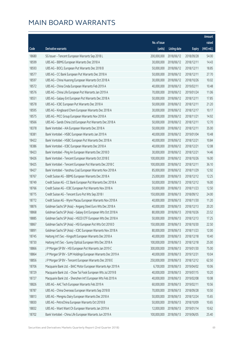|       |                                                               |              |                       |               | Amount       |
|-------|---------------------------------------------------------------|--------------|-----------------------|---------------|--------------|
|       |                                                               | No. of issue |                       |               | raised       |
| Code  | Derivative warrants                                           | (units)      | <b>Listing date</b>   | <b>Expiry</b> | $(HK\$ mil.) |
| 18680 | SG Issuer - Tencent European Warrants Sep 2018 L              | 200,000,000  | 2018/06/12            | 2018/09/28    | 54.00        |
| 18599 | UBS AG - BBMG European Warrants Dec 2018 A                    | 30,000,000   | 2018/06/12            | 2018/12/11    | 14.43        |
| 18593 | UBS AG - BOCL European Put Warrants Dec 2018 B                | 50,000,000   | 2018/06/12            | 2018/12/11    | 18.85        |
| 18577 | UBS AG - CC Bank European Put Warrants Dec 2018 A             | 50,000,000   | 2018/06/12            | 2018/12/11    | 27.70        |
| 18597 | UBS AG - China Huarong European Warrants Oct 2018 A           | 30,000,000   | 2018/06/12            | 2018/10/26    | 10.02        |
| 18572 | UBS AG - China Cinda European Warrants Feb 2019 A             | 40,000,000   | 2018/06/12            | 2019/02/11    | 10.48        |
| 18576 | UBS AG - China Life European Put Warrants Jan 2019 A          | 70,000,000   | 2018/06/12            | 2019/01/24    | 11.06        |
| 18551 | UBS AG - Galaxy Ent European Put Warrants Dec 2018 A          | 50,000,000   | 2018/06/12            | 2018/12/11    | 17.85        |
| 18578 | UBS AG - ICBC European Put Warrants Dec 2018 A                | 50,000,000   | 2018/06/12            | 2018/12/11    | 21.20        |
| 18595 | UBS AG - Kingboard Chem European Warrants Dec 2018 A          | 30,000,000   | 2018/06/12            | 2018/12/17    | 10.17        |
| 18575 | UBS AG - PICC Group European Warrants Nov 2018 A              | 40,000,000   | 2018/06/12            | 2018/11/21    | 14.92        |
| 18566 | UBS AG - Sands China Ltd European Put Warrants Dec 2018 A     | 50,000,000   | 2018/06/12            | 2018/12/11    | 12.70        |
| 18378 | Bank Vontobel - AIA European Warrants Dec 2018 A              | 50,000,000   | 2018/06/12            | 2018/12/11    | 35.00        |
| 18381 | Bank Vontobel - HSBC European Warrants Jan 2019 A             | 40,000,000   | 2018/06/12            | 2019/01/04    | 10.48        |
| 18422 | Bank Vontobel - HSBC European Put Warrants Dec 2018 A         | 40,000,000   | 2018/06/12            | 2018/12/21    | 10.84        |
| 18386 | Bank Vontobel - ICBC European Warrants Dec 2018 A             | 40,000,000   | 2018/06/12            | 2018/12/21    | 12.08        |
| 18423 | Bank Vontobel - Ping An European Warrants Dec 2018 D          | 30,000,000   | 2018/06/12            | 2018/12/21    | 14.46        |
| 18426 | Bank Vontobel - Tencent European Warrants Oct 2018 E          | 100,000,000  | 2018/06/12            | 2018/10/26    | 16.00        |
| 18425 | Bank Vontobel - Tencent European Put Warrants Dec 2018 C      | 100,000,000  | 2018/06/12            | 2018/12/11    | 36.10        |
| 18427 | Bank Vontobel - Yanzhou Coal European Warrants Nov 2018 A     | 85,000,000   | 2018/06/12            | 2018/11/29    | 12.92        |
| 18767 | Credit Suisse AG - BBMG European Warrants Dec 2018 A          | 25,000,000   | 2018/06/13            | 2018/12/12    | 12.25        |
| 18749 | Credit Suisse AG - CC Bank European Put Warrants Dec 2018 A   | 50,000,000   | 2018/06/13            | 2018/12/12    | 16.00        |
| 18766 | Credit Suisse AG - ICBC European Put Warrants Nov 2018 A      | 50,000,000   | 2018/06/13            | 2018/11/23    | 12.50        |
| 18775 | Credit Suisse AG - Tencent Euro Put Wts Sep 2018 I            | 150,000,000  | 2018/06/13            | 2018/09/12    | 24.00        |
| 18772 | Credit Suisse AG - Wynn Macau European Warrants Nov 2018 A    | 40,000,000   | 2018/06/13            | 2018/11/30    | 11.20        |
| 18876 | Goldman Sachs SP (Asia) - Angang Steel Euro Wts Dec 2018 A    | 40,000,000   | 2018/06/13            | 2018/12/13    | 20.20        |
| 18868 | Goldman Sachs SP (Asia) - Galaxy Ent European Wts Oct 2018 A  |              | 80,000,000 2018/06/13 | 2018/10/26    | 23.52        |
| 18885 | Goldman Sachs SP (Asia) - HSCEI ETF European Wts Dec 2018 A   | 50,000,000   | 2018/06/13            | 2018/12/13    | 17.25        |
| 18867 | Goldman Sachs SP (Asia) - HSI European Put Wts Oct 2018 D     | 150,000,000  | 2018/06/13            | 2018/10/30    | 22.50        |
| 18891 | Goldman Sachs SP (Asia) - ICBC European Warrants Nov 2018 A   | 80,000,000   | 2018/06/13            | 2018/11/23    | 12.00        |
| 18745 | Haitong Int'l Sec - Kingsoft European Warrants Dec 2018 A     | 40,000,000   | 2018/06/13            | 2018/12/18    | 10.40        |
| 18730 | Haitong Int'l Sec - Sunny Optical European Wts Dec 2018 A     | 100,000,000  | 2018/06/13            | 2018/12/18    | 25.00        |
| 18866 | J P Morgan SP BV - HSI European Put Warrants Jan 2019 C       | 300,000,000  | 2018/06/13            | 2019/01/30    | 75.00        |
| 18864 | J P Morgan SP BV - SJM Holdings European Warrants Dec 2019 A  | 40,000,000   | 2018/06/13            | 2019/12/31    | 10.04        |
| 18856 | J P Morgan SP BV - Tencent European Warrants Dec 2018 E       | 250,000,000  | 2018/06/13            | 2018/12/12    | 62.50        |
| 18706 | Macquarie Bank Ltd. - BAIC Motor European Warrants Apr 2019 A | 6,700,000    | 2018/06/13            | 2019/04/02    | 10.06        |
| 18729 | Macquarie Bank Ltd. - Chow Tai Fook European Wts Jul 2019 B   | 40,000,000   | 2018/06/13            | 2019/07/15    | 10.20        |
| 18727 | Macquarie Bank Ltd. - Shenzhen Int'l European Wts Feb 2019 A  | 40,000,000   | 2018/06/13            | 2019/02/08    | 10.08        |
| 18826 | UBS AG - AAC Tech European Warrants Feb 2019 A                | 60,000,000   | 2018/06/13            | 2019/02/11    | 10.56        |
| 18787 | UBS AG - China Overseas European Warrants Sep 2018 B          | 70,000,000   | 2018/06/13            | 2018/09/28    | 10.50        |
| 18813 | UBS AG - Mengniu Dairy European Warrants Dec 2018 A           | 50,000,000   | 2018/06/13            | 2018/12/24    | 15.65        |
| 18830 | UBS AG - PetroChina European Warrants Oct 2018 B              | 50,000,000   | 2018/06/13            | 2018/10/09    | 10.65        |
| 18832 | UBS AG - Want Want Ch European Warrants Jan 2019 A            | 12,000,000   | 2018/06/13            | 2019/01/14    | 10.62        |
| 18702 | Bank Vontobel - China Life European Warrants Jun 2019 A       | 100,000,000  | 2018/06/13            | 2019/06/05    | 25.40        |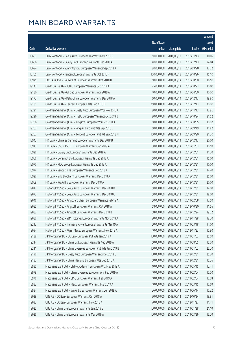|       |                                                               |              |                       |               | Amount      |
|-------|---------------------------------------------------------------|--------------|-----------------------|---------------|-------------|
|       |                                                               | No. of issue |                       |               | raised      |
| Code  | Derivative warrants                                           | (units)      | <b>Listing date</b>   | <b>Expiry</b> | (HK\$ mil.) |
| 18687 | Bank Vontobel - Geely Auto European Warrants Nov 2018 B       | 50,000,000   | 2018/06/13            | 2018/11/13    | 10.05       |
| 18686 | Bank Vontobel - Galaxy Ent European Warrants Dec 2018 A       | 40,000,000   | 2018/06/13            | 2018/12/13    | 24.04       |
| 18694 | Bank Vontobel - Sunny Optical European Warrants Sep 2018 A    | 80,000,000   | 2018/06/13            | 2018/09/20    | 12.32       |
| 18705 | Bank Vontobel - Tencent European Warrants Oct 2018 F          | 100,000,000  | 2018/06/13            | 2018/10/26    | 15.10       |
| 18975 | BOCI Asia Ltd. - Galaxy Ent European Warrants Oct 2018 B      | 50,000,000   | 2018/06/14            | 2018/10/30    | 16.50       |
| 19143 | Credit Suisse AG - 3SBIO European Warrants Oct 2018 A         | 25,000,000   | 2018/06/14            | 2018/10/23    | 10.00       |
| 19130 | Credit Suisse AG - GF Sec European Warrants Apr 2019 A        | 40,000,000   | 2018/06/14            | 2019/04/30    | 10.00       |
| 19172 | Credit Suisse AG - PetroChina European Warrants Dec 2018 A    | 60,000,000   | 2018/06/14            | 2018/12/13    | 19.80       |
| 19181 | Credit Suisse AG - Tencent European Wts Dec 2018 B            | 250,000,000  | 2018/06/14            | 2018/12/13    | 70.00       |
| 19221 | Goldman Sachs SP (Asia) - Geely Auto European Wts Nov 2018 A  | 80,000,000   | 2018/06/14            | 2018/11/13    | 12.96       |
| 19226 | Goldman Sachs SP (Asia) - HSBC European Warrants Oct 2018 B   | 80,000,000   | 2018/06/14            | 2018/10/24    | 21.52       |
| 19266 | Goldman Sachs SP (Asia) - Kingsoft European Wts Oct 2018 A    | 60,000,000   | 2018/06/14            | 2018/10/05    | 10.02       |
| 19263 | Goldman Sachs SP (Asia) - Ping An Euro Put Wts Sep 2018 L     | 60,000,000   | 2018/06/14            | 2018/09/19    | 11.82       |
| 19267 | Goldman Sachs SP (Asia) - Tencent European Put Wt Sep 2018 N  | 100,000,000  | 2018/06/14            | 2018/09/20    | 21.20       |
| 18942 | HK Bank - Chinares Cement European Warrants Dec 2018 B        | 80,000,000   | 2018/06/14            | 2018/12/13    | 20.00       |
| 18943 | HK Bank - CSOP A50 ETF European Warrants Jan 2019 A           | 30,000,000   | 2018/06/14            | 2019/01/03    | 10.50       |
| 18926 | HK Bank - Galaxy Ent European Warrants Dec 2018 A             | 40,000,000   | 2018/06/14            | 2018/12/31    | 11.20       |
| 18966 | HK Bank - Genscript Bio European Warrants Dec 2018 A          | 50,000,000   | 2018/06/14            | 2018/12/31    | 15.00       |
| 18970 | HK Bank - PICC Group European Warrants Dec 2018 A             | 40,000,000   | 2018/06/14            | 2018/12/31    | 10.00       |
| 18974 | HK Bank - Sands China European Warrants Dec 2018 A            | 40,000,000   | 2018/06/14            | 2018/12/31    | 14.40       |
| 18920 | HK Bank - Sino Biopharm European Warrants Dec 2018 A          | 100,000,000  | 2018/06/14            | 2018/12/31    | 25.00       |
| 18969 | HK Bank - WuXi Bio European Warrants Dec 2018 A               | 80,000,000   | 2018/06/14            | 2018/12/31    | 20.00       |
| 19047 | Haitong Int'l Sec - Geely Auto European Warrants Dec 2018 B   | 50,000,000   | 2018/06/14            | 2018/12/31    | 14.00       |
| 19072 | Haitong Int'l Sec - Geely Auto European Warrants Dec 2018 C   | 50,000,000   | 2018/06/14            | 2018/12/31    | 18.00       |
| 19046 | Haitong Int'l Sec - Kingboard Chem European Warrants Feb 19 A | 50,000,000   | 2018/06/14            | 2019/02/08    | 17.50       |
| 19085 | Haitong Int'l Sec - Kingsoft European Warrants Oct 2018 A     | 68,000,000   | 2018/06/14            | 2018/10/30    | 11.56       |
| 19082 | Haitong Int'l Sec - Kingsoft European Warrants Dec 2018 B     |              | 68,000,000 2018/06/14 | 2018/12/24    | 19.72       |
| 19080 | Haitong Int'l Sec - SJM Holdings European Warrants Nov 2018 A | 20,000,000   | 2018/06/14            | 2018/11/28    | 18.20       |
| 19213 | Haitong Int'l Sec - Tianneng Power European Warrants Mar 19 A | 50,000,000   | 2018/06/14            | 2019/03/18    | 14.00       |
| 19094 | Haitong Int'l Sec - Wynn Macau European Warrants Nov 2018 A   | 40,000,000   | 2018/06/14            | 2018/11/23    | 10.80       |
| 19188 | J P Morgan SP BV - CC Bank European Put Wts Jan 2019 A        | 100,000,000  | 2018/06/14            | 2019/01/02    | 25.60       |
| 19214 | J P Morgan SP BV - China Lit European Warrants Aug 2019 A     | 60,000,000   | 2018/06/14            | 2019/08/05    | 15.00       |
| 19211 | J P Morgan SP BV - China Overseas European Put Wts Jan 2019 B | 100,000,000  | 2018/06/14            | 2019/01/02    | 25.20       |
| 19190 | J P Morgan SP BV - Geely Auto European Warrants Dec 2018 C    | 100,000,000  | 2018/06/14            | 2018/12/31    | 25.20       |
| 19182 | J P Morgan SP BV - China Mengniu European Wts Dec 2018 A      | 60,000,000   | 2018/06/14            | 2018/12/31    | 15.36       |
| 18985 | Macquarie Bank Ltd. - Ch Molybdenum European Wts May 2019 A   | 10,000,000   | 2018/06/14            | 2019/05/15    | 12.41       |
| 18979 | Macquarie Bank Ltd. - China Overseas European Wts Feb 2019 A  | 40,000,000   | 2018/06/14            | 2019/02/04    | 10.00       |
| 18976 | Macquarie Bank Ltd. - CPIC European Warrants Feb 2019 A       | 40,000,000   | 2018/06/14            | 2019/02/04    | 10.08       |
| 18983 | Macquarie Bank Ltd. - Meitu European Warrants Mar 2019 A      | 40,000,000   | 2018/06/14            | 2019/03/15    | 10.60       |
| 18984 | Macquarie Bank Ltd. - WuXi Bio European Warrants Jun 2019 A   | 26,000,000   | 2018/06/14            | 2019/06/14    | 10.32       |
| 19028 | UBS AG - CC Bank European Warrants Oct 2018 A                 | 70,000,000   | 2018/06/14            | 2018/10/24    | 19.81       |
| 19032 | UBS AG - CC Bank European Warrants Nov 2018 A                 | 70,000,000   | 2018/06/14            | 2018/11/27    | 11.41       |
| 19025 | UBS AG - China Life European Warrants Jan 2019 B              | 100,000,000  | 2018/06/14            | 2019/01/28    | 21.10       |
| 19026 | UBS AG - China Life European Warrants Mar 2019 A              | 100,000,000  | 2018/06/14            | 2019/03/26    | 15.20       |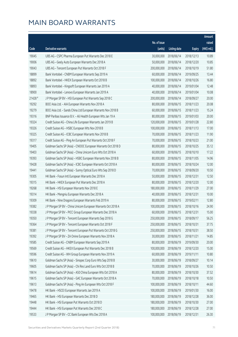|         |                                                               |              |                       |               | Amount      |
|---------|---------------------------------------------------------------|--------------|-----------------------|---------------|-------------|
|         |                                                               | No. of issue |                       |               | raised      |
| Code    | Derivative warrants                                           | (units)      | <b>Listing date</b>   | <b>Expiry</b> | (HK\$ mil.) |
| 19045   | UBS AG - CSPC Pharma European Put Warrants Dec 2018 E         | 30,000,000   | 2018/06/14            | 2018/12/13    | 10.89       |
| 19006   | UBS AG - Geely Auto European Warrants Dec 2018 A              | 50,000,000   | 2018/06/14            | 2018/12/20    | 10.85       |
| 19043   | UBS AG - Tencent European Put Warrants Oct 2018 F             | 200,000,000  | 2018/06/14            | 2018/10/19    | 51.80       |
| 18899   | Bank Vontobel - CNBM European Warrants Sep 2019 A             | 60,000,000   | 2018/06/14            | 2019/09/25    | 13.44       |
| 18892   | Bank Vontobel - HKEX European Warrants Oct 2018 B             | 100,000,000  | 2018/06/14            | 2018/10/26    | 16.80       |
| 18893   | Bank Vontobel - Kingsoft European Warrants Jan 2019 A         | 40,000,000   | 2018/06/14            | 2019/01/04    | 12.48       |
| 18900   | Bank Vontobel - Lenovo European Warrants Jan 2019 A           | 40,000,000   | 2018/06/14            | 2019/01/04    | 10.08       |
| 21428 # | J P Morgan SP BV - HSI European Put Warrants Sep 2018 C       | 200,000,000  | 2018/06/14            | 2018/09/27    | 20.00       |
| 19292   | BOCI Asia Ltd. - AIA European Warrants Nov 2018 A             | 80,000,000   | 2018/06/15            | 2018/11/23    | 20.08       |
| 19279   | BOCI Asia Ltd. - Sands China Ltd European Warrants Nov 2018 B | 60,000,000   | 2018/06/15            | 2018/11/23    | 15.24       |
| 19316   | BNP Paribas Issuance B.V. - Ali Health European Wts Jan 19 A  | 80,000,000   | 2018/06/15            | 2019/01/03    | 20.00       |
| 19324   | Credit Suisse AG - China Life European Warrants Jan 2019 B    | 120,000,000  | 2018/06/15            | 2019/01/28    | 22.80       |
| 19326   | Credit Suisse AG - HSBC European Wts Nov 2018 B               | 100,000,000  | 2018/06/15            | 2018/11/13    | 17.00       |
| 19325   | Credit Suisse AG - ICBC European Warrants Nov 2018 B          | 70,000,000   | 2018/06/15            | 2018/11/23    | 11.90       |
| 19317   | Credit Suisse AG - Ping An European Put Warrants Oct 2018 F   | 70,000,000   | 2018/06/15            | 2018/10/23    | 21.00       |
| 19405   | Goldman Sachs SP (Asia) - CNOOC European Warrants Oct 2018 D  | 80,000,000   | 2018/06/15            | 2018/10/25    | 35.12       |
| 19403   | Goldman Sachs SP (Asia) - China Unicom Euro Wts Oct 2018 A    | 60,000,000   | 2018/06/15            | 2018/10/10    | 17.22       |
| 19393   | Goldman Sachs SP (Asia) - HSBC European Warrants Nov 2018 B   | 80,000,000   | 2018/06/15            | 2018/11/05    | 14.96       |
| 19428   | Goldman Sachs SP (Asia) - ICBC European Warrants Oct 2018 A   | 80,000,000   | 2018/06/15            | 2018/10/24    | 12.00       |
| 19441   | Goldman Sachs SP (Asia) - Sunny Optical Euro Wts Sep 2018 D   | 70,000,000   | 2018/06/15            | 2018/09/20    | 10.50       |
| 19305   | HK Bank - Fosun Intl European Warrants Dec 2018 A             | 50,000,000   | 2018/06/15            | 2018/12/31    | 12.50       |
| 19315   | HK Bank - HKEX European Put Warrants Dec 2018 A               | 80,000,000   | 2018/06/15            | 2018/12/20    | 12.00       |
| 19268   | HK Bank - HSI European Warrants Nov 2018 E                    | 180,000,000  | 2018/06/15            | 2018/11/29    | 27.00       |
| 19314   | HK Bank - Mengniu European Warrants Dec 2018 A                | 40,000,000   | 2018/06/15            | 2018/12/31    | 10.00       |
| 19309   | HK Bank - Nine Dragons European Warrants Feb 2019 A           | 80,000,000   | 2018/06/15            | 2019/02/11    | 12.80       |
| 19382   | J P Morgan SP BV - China Unicom European Warrants Oct 2018 A  | 100,000,000  | 2018/06/15            | 2018/10/16    | 24.90       |
| 19338   | J P Morgan SP BV - PICC Group European Warrants Dec 2018 A    |              | 60,000,000 2018/06/15 | 2018/12/31    | 15.00       |
| 19350   | J P Morgan SP BV - Tencent European Warrants Sep 2018 G       | 250,000,000  | 2018/06/15            | 2018/09/17    | 56.25       |
| 19364   | J P Morgan SP BV - Tencent European Warrants Oct 2018 F       | 250,000,000  | 2018/06/15            | 2018/10/31    | 37.75       |
| 19381   | J P Morgan SP BV - Tencent European Put Warrants Oct 2018 G   | 250,000,000  | 2018/06/15            | 2018/10/31    | 38.50       |
| 19392   | J P Morgan SP BV - ZA Onine European Warrants Nov 2018 A      | 30,000,000   | 2018/06/15            | 2018/11/21    | 14.85       |
| 19585   | Credit Suisse AG - CNBM European Warrants Sep 2019 A          | 80,000,000   | 2018/06/19            | 2019/09/30    | 20.00       |
| 19569   | Credit Suisse AG - HKEX European Put Warrants Dec 2018 B      | 100,000,000  | 2018/06/19            | 2018/12/20    | 15.00       |
| 19596   | Credit Suisse AG - WH Group European Warrants Nov 2019 A      | 60,000,000   | 2018/06/19            | 2019/11/11    | 10.80       |
| 19610   | Goldman Sachs SP (Asia) - Sinopec Corp Euro Wts Sep 2018 B    | 30,000,000   | 2018/06/19            | 2018/09/27    | 10.14       |
| 19605   | Goldman Sachs SP (Asia) - Chi Res Land Euro Wts Oct 2018 B    | 70,000,000   | 2018/06/19            | 2018/10/26    | 10.50       |
| 19614   | Goldman Sachs SP (Asia) - A50 China European Wts Oct 2018 A   | 80,000,000   | 2018/06/19            | 2018/10/30    | 37.52       |
| 19615   | Goldman Sachs SP (Asia) - GAC European Warrants Oct 2018 A    | 70,000,000   | 2018/06/19            | 2018/10/18    | 10.50       |
| 19613   | Goldman Sachs SP (Asia) - Ping An European Wts Oct 2018 F     | 100,000,000  | 2018/06/19            | 2018/10/11    | 44.60       |
| 19478   | HK Bank - HSCEI European Warrants Jan 2019 A                  | 100,000,000  | 2018/06/19            | 2019/01/30    | 16.00       |
| 19465   | HK Bank - HSI European Warrants Dec 2018 D                    | 180,000,000  | 2018/06/19            | 2018/12/28    | 36.00       |
| 19448   | HK Bank - HSI European Put Warrants Oct 2018 D                | 180,000,000  | 2018/06/19            | 2018/10/30    | 27.00       |
| 19444   | HK Bank - HSI European Put Warrants Dec 2018 C                | 180,000,000  | 2018/06/19            | 2018/12/28    | 27.00       |
| 19533   | J P Morgan SP BV - CC Bank European Wts Dec 2018 A            | 100,000,000  | 2018/06/19            | 2018/12/31    | 26.30       |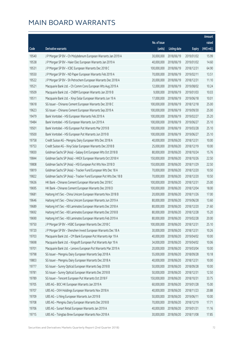|       |                                                                  |              |                       |               | Amount      |
|-------|------------------------------------------------------------------|--------------|-----------------------|---------------|-------------|
|       |                                                                  | No. of issue |                       |               | raised      |
| Code  | Derivative warrants                                              | (units)      | <b>Listing date</b>   | <b>Expiry</b> | (HK\$ mil.) |
| 19540 | J P Morgan SP BV - Ch Molybdenum European Warrants Jan 2019 A    | 30,000,000   | 2018/06/19            | 2019/01/02    | 15.99       |
| 19538 | J P Morgan SP BV - Haier Elec European Warrants Jan 2019 A       | 40,000,000   | 2018/06/19            | 2019/01/02    | 14.60       |
| 19531 | J P Morgan SP BV - ICBC European Warrants Dec 2018 C             | 100,000,000  | 2018/06/19            | 2018/12/31    | 64.90       |
| 19550 | J P Morgan SP BV - ND Paper European Warrants Feb 2019 A         | 70,000,000   | 2018/06/19            | 2019/02/11    | 13.51       |
| 19522 | J P Morgan SP BV - Sh Petrochem European Warrants Dec 2018 A     | 20,000,000   | 2018/06/19            | 2018/12/31    | 11.10       |
| 19521 | Macquarie Bank Ltd. - Ch Comm Cons European Wts Aug 2019 A       | 12,000,000   | 2018/06/19            | 2019/08/02    | 10.24       |
| 19509 | Macquarie Bank Ltd. - CNBM European Warrants Jan 2019 B          | 9,000,000    | 2018/06/19            | 2019/01/03    | 10.03       |
| 19511 | Macquarie Bank Ltd. - Xinyi Solar European Warrants Jun 19 A     | 17,000,000   | 2018/06/19            | 2019/06/18    | 10.01       |
| 19618 | SG Issuer - Chinares Cement European Warrants Dec 2018 C         | 100,000,000  | 2018/06/19            | 2018/12/18    | 25.00       |
| 19623 | SG Issuer - Chinares Cement European Warrants Sep 2019 A         | 100,000,000  | 2018/06/19            | 2019/09/30    | 25.00       |
| 19479 | Bank Vontobel - HSI European Warrants Feb 2019 A                 | 100,000,000  | 2018/06/19            | 2019/02/27    | 25.20       |
| 19484 | Bank Vontobel - HSI European Warrants Jun 2019 A                 | 100,000,000  | 2018/06/19            | 2019/06/27    | 25.10       |
| 19501 | Bank Vontobel - HSI European Put Warrants Mar 2019 B             | 100,000,000  | 2018/06/19            | 2019/03/28    | 25.10       |
| 19500 | Bank Vontobel - HSI European Put Warrants Jun 2019 B             | 100,000,000  | 2018/06/19            | 2019/06/27    | 25.10       |
| 19758 | Credit Suisse AG - Mengniu Dairy European Wts Dec 2018 A         | 40,000,000   | 2018/06/20            | 2018/12/31    | 10.00       |
| 19753 | Credit Suisse AG - Xinyi Solar European Warrants Dec 2018 B      | 25,000,000   | 2018/06/20            | 2018/12/19    | 10.00       |
| 19830 | Goldman Sachs SP (Asia) - Galaxy Ent European Wts Oct 2018 B     | 80,000,000   | 2018/06/20            | 2018/10/24    | 15.76       |
| 19844 | Goldman Sachs SP (Asia) - HKEX European Warrants Oct 2018 H      | 150,000,000  | 2018/06/20            | 2018/10/26    | 22.50       |
| 19808 | Goldman Sachs SP (Asia) - HSI European Put Wts Nov 2018 D        | 150,000,000  | 2018/06/20            | 2018/11/29    | 22.50       |
| 19819 | Goldman Sachs SP (Asia) - Tracker Fund European Wts Dec 18 A     | 70,000,000   | 2018/06/20            | 2018/12/20    | 10.50       |
| 19822 | Goldman Sachs SP (Asia) - Tracker Fund European Put Wts Dec 18 B | 70,000,000   | 2018/06/20            | 2018/12/20    | 10.50       |
| 19636 | HK Bank - Chinares Cement European Warrants Dec 2018 C           | 100,000,000  | 2018/06/20            | 2018/12/31    | 25.00       |
| 19695 | HK Bank - Chinares Cement European Warrants Dec 2018 D           | 100,000,000  | 2018/06/20            | 2018/12/04    | 18.00       |
| 19681 | Haitong Int'l Sec - China Unicom European Warrants Nov 2018 B    | 20,000,000   | 2018/06/20            | 2018/11/26    | 17.00       |
| 19646 | Haitong Int'l Sec - China Unicom European Warrants Jun 2019 A    | 80,000,000   | 2018/06/20            | 2019/06/28    | 13.60       |
| 19689 | Haitong Int'l Sec - KB Laminates European Warrants Dec 2018 A    | 80,000,000   | 2018/06/20            | 2018/12/20    | 21.60       |
| 19692 | Haitong Int'l Sec - KB Laminates European Warrants Dec 2018 B    |              | 80,000,000 2018/06/20 | 2018/12/28    | 15.20       |
| 19690 | Haitong Int'l Sec - KB Laminates European Warrants Feb 2019 A    | 80,000,000   | 2018/06/20            | 2019/02/28    | 20.00       |
| 19750 | J P Morgan SP BV - HSBC European Warrants Dec 2018 C             | 100,000,000  | 2018/06/20            | 2018/12/31    | 25.10       |
| 19720 | J P Morgan SP BV - Shenzhen Invest European Warrants Dec 18 A    | 30,000,000   | 2018/06/20            | 2018/12/31    | 10.26       |
| 19703 | Macquarie Bank Ltd. - CM Bank European Put Warrants Apr 19 A     | 40,000,000   | 2018/06/20            | 2019/04/02    | 10.00       |
| 19698 | Macquarie Bank Ltd. - Kingsoft European Put Warrants Apr 19 A    | 34,000,000   | 2018/06/20            | 2019/04/02    | 10.06       |
| 19701 | Macquarie Bank Ltd. - Lenovo European Put Warrants Mar 2019 A    | 20,000,000   | 2018/06/20            | 2019/03/04    | 10.00       |
| 19798 | SG Issuer - Mengniu Dairy European Warrants Sep 2018 A           | 55,000,000   | 2018/06/20            | 2018/09/28    | 10.18       |
| 19803 | SG Issuer - Mengniu Dairy European Warrants Dec 2018 A           | 40,000,000   | 2018/06/20            | 2018/12/31    | 10.00       |
| 19777 | SG Issuer - Sunny Optical European Warrants Sep 2018 B           | 50,000,000   | 2018/06/20            | 2018/09/28    | 10.00       |
| 19781 | SG Issuer - Sunny Optical European Warrants Dec 2018 B           | 50,000,000   | 2018/06/20            | 2018/12/31    | 12.50       |
| 19789 | SG Issuer - Tencent European Put Warrants Oct 2018 F             | 150,000,000  | 2018/06/20            | 2018/10/31    | 33.75       |
| 19705 | UBS AG - BOC HK European Warrants Jan 2019 A                     | 60,000,000   | 2018/06/20            | 2019/01/28    | 15.00       |
| 19707 | UBS AG - CKH Holdings European Warrants Nov 2018 A               | 40,000,000   | 2018/06/20            | 2018/11/23    | 20.88       |
| 19709 | UBS AG - Li Ning European Warrants Jun 2019 B                    | 50,000,000   | 2018/06/20            | 2019/06/11    | 10.00       |
| 19708 | UBS AG - Mengniu Dairy European Warrants Dec 2018 B              | 70,000,000   | 2018/06/20            | 2018/12/19    | 17.71       |
| 19706 | UBS AG - Sunart Retail European Warrants Jan 2019 A              | 40,000,000   | 2018/06/20            | 2019/01/31    | 11.16       |
| 19715 | UBS AG - Tsingtao Brew European Warrants Nov 2018 A              | 30,000,000   | 2018/06/20            | 2018/11/08    | 17.85       |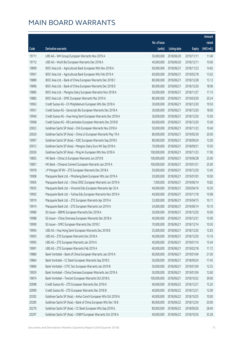|       |                                                                |              |                       |               | Amount      |
|-------|----------------------------------------------------------------|--------------|-----------------------|---------------|-------------|
|       |                                                                | No. of issue |                       |               | raised      |
| Code  | Derivative warrants                                            | (units)      | <b>Listing date</b>   | <b>Expiry</b> | (HK\$ mil.) |
| 19711 | UBS AG - WH Group European Warrants Nov 2019 A                 | 50,000,000   | 2018/06/20            | 2019/11/11    | 11.40       |
| 19712 | UBS AG - WuXi Bio European Warrants Dec 2018 A                 | 40,000,000   | 2018/06/20            | 2018/12/11    | 10.00       |
| 19899 | BOCI Asia Ltd. - Agricultural Bank European Wts Nov 2018 A     | 60,000,000   | 2018/06/21            | 2018/11/23    | 14.82       |
| 19901 | BOCI Asia Ltd. - Agricultural Bank European Wts Feb 2019 A     | 60,000,000   | 2018/06/21            | 2019/02/18    | 13.62       |
| 19889 | BOCI Asia Ltd. - Bank of China European Warrants Dec 2018 C    | 80,000,000   | 2018/06/21            | 2018/12/28    | 13.12       |
| 19896 | BOCI Asia Ltd. - Bank of China European Warrants Dec 2018 D    | 80,000,000   | 2018/06/21            | 2018/12/20    | 18.96       |
| 19885 | BOCI Asia Ltd. - Mengniu Dairy European Warrants Nov 2018 A    | 50,000,000   | 2018/06/21            | 2018/11/27    | 17.15       |
| 19882 | BOCI Asia Ltd. - SMIC European Warrants Mar 2019 A             | 80,000,000   | 2018/06/21            | 2019/03/29    | 20.24       |
| 19963 | Credit Suisse AG - Ch Molybdenum European Wts Dec 2018 A       | 30,000,000   | 2018/06/21            | 2018/12/20    | 19.50       |
| 19931 | Credit Suisse AG - Genscript Bio European Warrants Dec 2018 A  | 30,000,000   | 2018/06/21            | 2018/12/20    | 18.00       |
| 19940 | Credit Suisse AG - Hua Hong Semi European Warrants Dec 2018 A  | 30,000,000   | 2018/06/21            | 2018/12/20    | 15.00       |
| 19968 | Credit Suisse AG - KB Laminates European Warrants Dec 2018 B   | 60,000,000   | 2018/06/21            | 2018/12/20    | 15.00       |
| 20022 | Goldman Sachs SP (Asia) - CKA European Warrants Nov 2018 A     | 50,000,000   | 2018/06/21            | 2018/11/23    | 10.40       |
| 20020 | Goldman Sachs SP (Asia) - China Lit European Warrants May 19 A | 80,000,000   | 2018/06/21            | 2019/05/30    | 20.00       |
| 19997 | Goldman Sachs SP (Asia) - ICBC European Warrants Sep 2018 E    | 80,000,000   | 2018/06/21            | 2018/09/24    | 12.00       |
| 20012 | Goldman Sachs SP (Asia) - Mengniu Dairy Euro Wt Sep 2018 A     | 70,000,000   | 2018/06/21            | 2018/09/21    | 10.50       |
| 20026 | Goldman Sachs SP (Asia) - Ping An European Wts Nov 2018 A      | 100,000,000  | 2018/06/21            | 2018/11/23    | 17.90       |
| 19855 | HK Bank - China Lit European Warrants Jun 2019 B               | 100,000,000  | 2018/06/21            | 2019/06/28    | 25.00       |
| 19857 | HK Bank - Chinares Cement European Warrants Jan 2019 A         | 100,000,000  | 2018/06/21            | 2019/01/31    | 25.00       |
| 19978 | J P Morgan SP BV - ZTE European Warrants Dec 2018 A            | 50,000,000   | 2018/06/21            | 2018/12/20    | 13.45       |
| 19908 | Macquarie Bank Ltd. - Minsheng Bank European Wts Jan 2019 A    | 20,000,000   | 2018/06/21            | 2019/01/03    | 10.00       |
| 19905 | Macquarie Bank Ltd. - China CRSC European Warrants Jun 2019 A  | 7,000,000    | 2018/06/21            | 2019/06/14    | 10.82       |
| 19925 | Macquarie Bank Ltd. - Virscend Edu European Warrants Apr 20 A  | 40,000,000   | 2018/06/21            | 2020/04/16    | 10.20       |
| 19902 | Macquarie Bank Ltd. - YuHua Edu European Warrants Nov 2019 A   | 40,000,000   | 2018/06/21            | 2019/11/18    | 10.08       |
| 19919 | Macquarie Bank Ltd. - ZTE European Warrants Apr 2019 A         | 32,000,000   | 2018/06/21            | 2019/04/15    | 10.11       |
| 19914 | Macquarie Bank Ltd. - ZTE European Warrants Jun 2019 A         | 24,000,000   | 2018/06/21            | 2019/06/14    | 10.10       |
| 19980 | SG Issuer - BBMG European Warrants Dec 2018 A                  |              | 20,000,000 2018/06/21 | 2018/12/20    | 10.00       |
| 19988 | SG Issuer - China Overseas European Warrants Dec 2018 A        | 40,000,000   | 2018/06/21            | 2018/12/31    | 10.00       |
| 19990 | SG Issuer - SMIC European Warrants Dec 2018 C                  | 70,000,000   | 2018/06/21            | 2018/12/14    | 10.50       |
| 19904 | UBS AG - Hua Hong Semi European Warrants Dec 2018 B            | 25,000,000   | 2018/06/21            | 2018/12/20    | 12.83       |
| 19903 | UBS AG - ZTE European Warrants Dec 2018 A                      | 40,000,000   | 2018/06/21            | 2018/12/20    | 13.16       |
| 19995 | UBS AG - ZTE European Warrants Jan 2019 A                      | 40,000,000   | 2018/06/21            | 2019/01/14    | 15.44       |
| 19991 | UBS AG - ZTE European Warrants Feb 2019 A                      | 40,000,000   | 2018/06/21            | 2019/02/18    | 11.72       |
| 19880 | Bank Vontobel - Bank of China European Warrants Jan 2019 A     | 60,000,000   | 2018/06/21            | 2019/01/04    | 21.00       |
| 19864 | Bank Vontobel - CC Bank European Warrants Sep 2018 C           | 50,000,000   | 2018/06/21            | 2018/09/24    | 17.45       |
| 19866 | Bank Vontobel - CITIC Sec European Warrants Jan 2019 B         | 50,000,000   | 2018/06/21            | 2019/01/04    | 12.55       |
| 19929 | Bank Vontobel - China Overseas European Warrants Jan 2019 A    | 50,000,000   | 2018/06/21            | 2019/01/04    | 12.60       |
| 19874 | Bank Vontobel - Tencent European Warrants Oct 2018 G           | 100,000,000  | 2018/06/21            | 2018/10/22    | 39.00       |
| 20098 | Credit Suisse AG - ZTE European Warrants Dec 2018 A            | 40,000,000   | 2018/06/22            | 2018/12/21    | 15.20       |
| 20099 | Credit Suisse AG - ZTE European Warrants Dec 2018 B            | 40,000,000   | 2018/06/22            | 2018/12/21    | 12.00       |
| 20292 | Goldman Sachs SP (Asia) - Anhui Conch European Wts Oct 2018 A  | 40,000,000   | 2018/06/22            | 2018/10/25    | 10.00       |
| 20285 | Goldman Sachs SP (Asia) - Bank of China European Wts Dec 18 B  | 80,000,000   | 2018/06/22            | 2018/12/24    | 20.00       |
| 20279 | Goldman Sachs SP (Asia) - CC Bank European Wts Sep 2018 G      | 80,000,000   | 2018/06/22            | 2018/09/26    | 28.40       |
| 20297 | Goldman Sachs SP (Asia) - CNBM European Warrants Oct 2018 A    | 40,000,000   | 2018/06/22            | 2018/10/26    | 35.28       |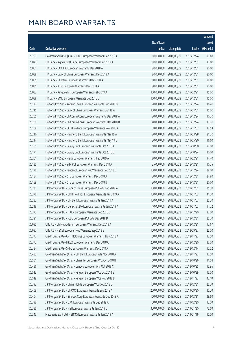|       |                                                               |                        |                     |               | <b>Amount</b>         |
|-------|---------------------------------------------------------------|------------------------|---------------------|---------------|-----------------------|
|       |                                                               | No. of issue           |                     |               | raised                |
| Code  | Derivative warrants                                           | (units)                | <b>Listing date</b> | <b>Expiry</b> | $(HK\frac{1}{2}mil.)$ |
| 20283 | Goldman Sachs SP (Asia) - ICBC European Warrants Dec 2018 A   | 80,000,000             | 2018/06/22          | 2018/12/24    | 22.88                 |
| 20073 | HK Bank - Agricultural Bank European Warrants Dec 2018 A      | 80,000,000             | 2018/06/22          | 2018/12/31    | 12.00                 |
| 20061 | HK Bank - BOC HK European Warrants Dec 2018 A                 | 80,000,000             | 2018/06/22          | 2018/12/31    | 20.00                 |
| 20038 | HK Bank - Bank of China European Warrants Dec 2018 A          | 80,000,000             | 2018/06/22          | 2018/12/31    | 20.00                 |
| 20055 | HK Bank - CC Bank European Warrants Dec 2018 A                | 80,000,000             | 2018/06/22          | 2018/12/31    | 28.00                 |
| 20035 | HK Bank - ICBC European Warrants Dec 2018 A                   | 80,000,000             | 2018/06/22          | 2018/12/31    | 20.00                 |
| 20033 | HK Bank - Kingdee Intl European Warrants Feb 2019 A           | 100,000,000            | 2018/06/22          | 2019/02/21    | 15.00                 |
| 20088 | HK Bank - SMIC European Warrants Dec 2018 B                   | 100,000,000            | 2018/06/22          | 2018/12/31    | 15.00                 |
| 20172 | Haitong Int'l Sec - Angang Steel European Warrants Dec 2018 B | 20,000,000             | 2018/06/22          | 2018/12/24    | 16.40                 |
| 20215 | Haitong Int'l Sec - Bank of China European Warrants Jan 19 A  | 100,000,000            | 2018/06/22          | 2019/01/31    | 15.00                 |
| 20205 | Haitong Int'l Sec - Ch Comm Cons European Warrants Dec 2018 A | 20,000,000             | 2018/06/22          | 2018/12/24    | 10.20                 |
| 20209 | Haitong Int'l Sec - Ch Comm Cons European Warrants Dec 2018 B | 40,000,000             | 2018/06/22          | 2018/12/24    | 13.20                 |
| 20108 | Haitong Int'l Sec - CKH Holdings European Warrants Nov 2018 A | 38,000,000             | 2018/06/22          | 2018/11/02    | 12.54                 |
| 20210 | Haitong Int'l Sec - Minsheng Bank European Warrants Mar 19 A  | 20,000,000             | 2018/06/22          | 2019/03/28    | 21.20                 |
| 20214 | Haitong Int'l Sec - Minsheng Bank European Warrants May 19 B  | 20,000,000             | 2018/06/22          | 2019/05/20    | 16.60                 |
| 20165 | Haitong Int'l Sec - Galaxy Ent European Warrants Oct 2018 A   | 50,000,000             | 2018/06/22          | 2018/10/30    | 22.00                 |
| 20171 | Haitong Int'l Sec - Galaxy Ent European Warrants Oct 2018 B   | 40,000,000             | 2018/06/22          | 2018/10/24    | 10.00                 |
| 20201 | Haitong Int'l Sec - Meitu European Warrants Feb 2019 A        | 80,000,000             | 2018/06/22          | 2019/02/21    | 14.40                 |
| 20135 | Haitong Int'l Sec - SHK Ppt European Warrants Dec 2018 A      | 25,000,000             | 2018/06/22          | 2018/12/21    | 10.25                 |
| 20176 | Haitong Int'l Sec - Tencent European Put Warrants Dec 2018 E  | 100,000,000            | 2018/06/22          | 2018/12/24    | 28.00                 |
| 20184 | Haitong Int'l Sec - ZTE European Warrants Dec 2018 A          | 80,000,000             | 2018/06/22          | 2018/12/31    | 24.80                 |
| 20189 | Haitong Int'l Sec - ZTE European Warrants Dec 2018 B          | 80,000,000             | 2018/06/22          | 2018/12/31    | 20.00                 |
| 20231 | J P Morgan SP BV - Bank of China European Put Wts Feb 2019 A  | 100,000,000            | 2018/06/22          | 2019/02/01    | 25.30                 |
| 20270 | J P Morgan SP BV - CKH Holdings European Warrants Jan 2019 A  | 100,000,000            | 2018/06/22          | 2019/01/03    | 41.20                 |
| 20232 | J P Morgan SP BV - CM Bank European Warrants Jan 2019 A       | 100,000,000            | 2018/06/22          | 2019/01/03    | 25.30                 |
| 20218 | J P Morgan SP BV - Genscript Bio European Warrants Jan 2019 A | 40,000,000             | 2018/06/22          | 2019/01/03    | 14.72                 |
| 20273 | J P Morgan SP BV - HKEX European Warrants Dec 2018 C          | 200,000,000 2018/06/22 |                     | 2018/12/20    | 30.00                 |
| 20221 | J P Morgan SP BV - ICBC European Put Wts Dec 2018 D           | 100,000,000            | 2018/06/22          | 2018/12/31    | 25.70                 |
| 20095 | UBS AG - Ch Molybdenum European Warrants Dec 2018 A           | 30,000,000             | 2018/06/22          | 2018/12/21    | 17.67                 |
| 20097 | UBS AG - HSCEI European Put Warrants Sep 2018 B               | 100,000,000            | 2018/06/22          | 2018/09/27    | 25.00                 |
| 20377 | Credit Suisse AG - CKH Holdings European Warrants Nov 2018 A  | 50,000,000             | 2018/06/25          | 2018/11/22    | 17.50                 |
| 20372 | Credit Suisse AG - HKEX European Warrants Dec 2018 C          | 200,000,000            | 2018/06/25          | 2018/12/20    | 30.00                 |
| 20384 | Credit Suisse AG - SMIC European Warrants Dec 2018 A          | 60,000,000             | 2018/06/25          | 2018/12/14    | 10.02                 |
| 20483 | Goldman Sachs SP (Asia) - CM Bank European Wts Nov 2018 A     | 70,000,000             | 2018/06/25          | 2018/11/23    | 10.50                 |
| 20501 | Goldman Sachs SP (Asia) - China Tel European Wts Oct 2018 B   | 60,000,000             | 2018/06/25          | 2018/10/26    | 11.64                 |
| 20486 | Goldman Sachs SP (Asia) - Lenovo European Wts Oct 2018 C      | 60,000,000             | 2018/06/25          | 2018/10/25    | 15.96                 |
| 20513 | Goldman Sachs SP (Asia) - Ping An European Wts Oct 2018 G     | 100,000,000            | 2018/06/25          | 2018/10/29    | 15.00                 |
| 20519 | Goldman Sachs SP (Asia) - Ping An European Wts Nov 2018 B     | 100,000,000            | 2018/06/25          | 2018/11/23    | 42.10                 |
| 20393 | J P Morgan SP BV - China Mobile European Wts Dec 2018 B       | 100,000,000            | 2018/06/25          | 2018/12/31    | 25.20                 |
| 20408 | J P Morgan SP BV - CNOOC European Warrants Sep 2019 A         | 200,000,000            | 2018/06/25          | 2019/09/30    | 30.20                 |
| 20404 | J P Morgan SP BV - Sinopec Corp European Warrants Dec 2018 A  | 100,000,000            | 2018/06/25          | 2018/12/31    | 38.60                 |
| 20398 | J P Morgan SP BV - GAC European Warrants Dec 2019 A           | 60,000,000             | 2018/06/25          | 2019/12/20    | 12.00                 |
| 20386 | J P Morgan SP BV - HSI European Warrants Jan 2019 D           | 300,000,000            | 2018/06/25          | 2019/01/30    | 75.60                 |
| 20345 | Macquarie Bank Ltd. - BBMG European Warrants Jan 2019 A       | 20,000,000             | 2018/06/25          | 2019/01/16    | 10.00                 |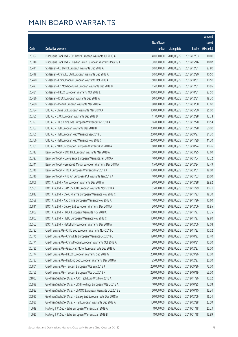|       |                                                                |              |                        |               | Amount      |
|-------|----------------------------------------------------------------|--------------|------------------------|---------------|-------------|
|       |                                                                | No. of issue |                        |               | raised      |
| Code  | Derivative warrants                                            | (units)      | <b>Listing date</b>    | <b>Expiry</b> | (HK\$ mil.) |
| 20352 | Macquarie Bank Ltd. - CM Bank European Warrants Jul 2019 A     | 40,000,000   | 2018/06/25             | 2019/07/03    | 10.00       |
| 20348 | Macquarie Bank Ltd. - Huadian Fuxin European Warrants May 19 A | 30,000,000   | 2018/06/25             | 2019/05/16    | 10.02       |
| 20411 | SG Issuer - CC Bank European Warrants Dec 2018 A               | 60,000,000   | 2018/06/25             | 2018/12/31    | 22.80       |
| 20418 | SG Issuer - China EB Ltd European Warrants Dec 2018 A          | 60,000,000   | 2018/06/25             | 2018/12/20    | 10.50       |
| 20420 | SG Issuer - China Mobile European Warrants Oct 2018 A          | 50,000,000   | 2018/06/25             | 2018/10/31    | 10.50       |
| 20427 | SG Issuer - Ch Molybdenum European Warrants Dec 2018 B         | 15,000,000   | 2018/06/25             | 2018/12/31    | 10.95       |
| 20431 | SG Issuer - HKEX European Warrants Oct 2018 E                  | 150,000,000  | 2018/06/25             | 2018/10/31    | 22.50       |
| 20436 | SG Issuer - ICBC European Warrants Dec 2018 A                  | 60,000,000   | 2018/06/25             | 2018/12/31    | 18.30       |
| 20480 | SG Issuer - Meitu European Warrants Mar 2019 A                 | 80,000,000   | 2018/06/25             | 2019/03/08    | 13.60       |
| 20354 | UBS AG - China Lit European Warrants May 2019 A                | 100,000,000  | 2018/06/25             | 2019/05/30    | 25.00       |
| 20355 | UBS AG - GAC European Warrants Dec 2018 B                      | 11,000,000   | 2018/06/25             | 2018/12/28    | 13.73       |
| 20353 | UBS AG - HK & China Gas European Warrants Dec 2018 A           | 16,000,000   | 2018/06/25             | 2018/12/28    | 10.54       |
| 20362 | UBS AG - HSI European Warrants Dec 2018 B                      | 200,000,000  | 2018/06/25             | 2018/12/28    | 50.00       |
| 20365 | UBS AG - HSI European Put Warrants Sep 2018 E                  | 200,000,000  | 2018/06/25             | 2018/09/27    | 31.20       |
| 20366 | UBS AG - HSI European Put Warrants Nov 2018 C                  | 200,000,000  | 2018/06/25             | 2018/11/29    | 41.20       |
| 20361 | UBS AG - MTR Corporation European Warrants Oct 2018 A          | 60,000,000   | 2018/06/25             | 2018/10/24    | 10.26       |
| 20312 | Bank Vontobel - BOC HK European Warrants Mar 2019 A            | 50,000,000   | 2018/06/25             | 2019/03/25    | 12.60       |
| 20327 | Bank Vontobel - Evergrande European Warrants Jan 2019 A        | 40,000,000   | 2018/06/25             | 2019/01/04    | 12.32       |
| 20341 | Bank Vontobel - Greatwall Motor European Warrants Dec 2018 A   | 15,000,000   | 2018/06/25             | 2018/12/24    | 13.49       |
| 20340 | Bank Vontobel - HKEX European Warrants Mar 2019 A              | 100,000,000  | 2018/06/25             | 2019/03/01    | 18.00       |
| 20310 | Bank Vontobel - Ping An European Put Warrants Jan 2019 A       | 40,000,000   | 2018/06/25             | 2019/01/03    | 20.00       |
| 20806 | BOCI Asia Ltd. - AIA European Warrants Dec 2018 A              | 80,000,000   | 2018/06/26             | 2018/12/28    | 29.92       |
| 20561 | BOCI Asia Ltd. - CAM CSI300 European Warrants Nov 2018 A       | 65,000,000   | 2018/06/26             | 2018/11/29    | 10.21       |
| 20812 | BOCI Asia Ltd. - CSPC Pharma European Warrants Nov 2018 C      | 60,000,000   | 2018/06/26             | 2018/11/23    | 18.30       |
| 20558 | BOCI Asia Ltd. - A50 China European Warrants Nov 2018 A        | 40,000,000   | 2018/06/26             | 2018/11/26    | 10.60       |
| 20811 | BOCI Asia Ltd. - Galaxy Ent European Warrants Dec 2018 A       | 50,000,000   | 2018/06/26             | 2018/12/06    | 16.95       |
| 20802 | BOCI Asia Ltd. - HKEX European Warrants Nov 2018 C             |              | 150,000,000 2018/06/26 | 2018/11/27    | 23.25       |
| 20803 | BOCI Asia Ltd. - HSBC European Warrants Nov 2018 C             | 100,000,000  | 2018/06/26             | 2018/11/27    | 19.80       |
| 20562 | BOCI Asia Ltd. - HSCEI ETF European Warrants Dec 2018 A        | 40,000,000   | 2018/06/26             | 2018/12/06    | 13.08       |
| 20782 | Credit Suisse AG - CITIC Sec European Warrants Nov 2018 C      | 60,000,000   | 2018/06/26             | 2018/11/23    | 10.02       |
| 20775 | Credit Suisse AG - China Life European Warrants Oct 2018 C     | 120,000,000  | 2018/06/26             | 2018/10/22    | 20.40       |
| 20771 | Credit Suisse AG - China Mobile European Warrants Oct 2018 A   | 50,000,000   | 2018/06/26             | 2018/10/31    | 10.00       |
| 20785 | Credit Suisse AG - Greatwall Motor European Wts Dec 2018 A     | 20,000,000   | 2018/06/26             | 2018/12/27    | 15.00       |
| 20774 | Credit Suisse AG - HKEX European Warrants Sep 2018 G           | 200,000,000  | 2018/06/26             | 2018/09/26    | 33.00       |
| 20783 | Credit Suisse AG - Haitong Sec European Warrants Dec 2018 A    | 25,000,000   | 2018/06/26             | 2018/12/27    | 20.00       |
| 20801 | Credit Suisse AG - Tencent European Wts Sep 2018 J             | 250,000,000  | 2018/06/26             | 2018/09/26    | 75.00       |
| 20765 | Credit Suisse AG - Tencent European Wts Oct 2018 F             | 250,000,000  | 2018/06/26             | 2018/10/19    | 65.00       |
| 21003 | Goldman Sachs SP (Asia) - AAC Tech Euro Wts Nov 2018 A         | 60,000,000   | 2018/06/26             | 2018/11/26    | 10.02       |
| 20998 | Goldman Sachs SP (Asia) - CKH Holdings European Wts Oct 18 A   | 40,000,000   | 2018/06/26             | 2018/10/25    | 12.08       |
| 20983 | Goldman Sachs SP (Asia) - CNOOC European Warrants Oct 2018 E   | 60,000,000   | 2018/06/26             | 2018/10/10    | 35.34       |
| 20990 | Goldman Sachs SP (Asia) - Galaxy Ent European Wts Dec 2018 A   | 60,000,000   | 2018/06/26             | 2018/12/06    | 16.74       |
| 20980 | Goldman Sachs SP (Asia) - HSI European Warrants Dec 2018 A     | 150,000,000  | 2018/06/26             | 2018/12/28    | 22.50       |
| 10019 | Haitong Int'l Sec - Baba European Warrants Jan 2019 A          | 8,000,000    | 2018/06/26             | 2019/01/18    | 20.23       |
| 10020 | Haitong Int'l Sec - Baba European Warrants Jan 2019 B          | 8,000,000    | 2018/06/26             | 2019/01/18    | 15.89       |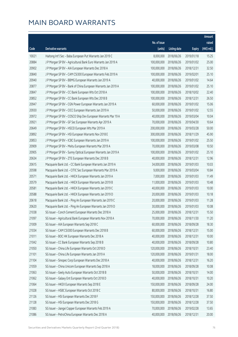|       |                                                               |              |                       |               | Amount      |
|-------|---------------------------------------------------------------|--------------|-----------------------|---------------|-------------|
|       |                                                               | No. of issue |                       |               | raised      |
| Code  | Derivative warrants                                           | (units)      | <b>Listing date</b>   | <b>Expiry</b> | (HK\$ mil.) |
| 10021 | Haitong Int'l Sec - Baba European Put Warrants Jan 2019 C     | 8,000,000    | 2018/06/26            | 2019/01/18    | 15.25       |
| 20884 | J P Morgan SP BV - Agricultural Bank Euro Warrants Jan 2019 A | 100,000,000  | 2018/06/26            | 2019/01/02    | 25.00       |
| 20902 | J P Morgan SP BV - AIA European Warrants Dec 2018 A           | 100,000,000  | 2018/06/26            | 2018/12/31    | 32.50       |
| 20840 | J P Morgan SP BV - CAM CSI300 European Warrants Feb 2019 A    | 100,000,000  | 2018/06/26            | 2019/02/01    | 25.10       |
| 20940 | J P Morgan SP BV - BBMG European Warrants Jan 2019 A          | 40,000,000   | 2018/06/26            | 2019/01/02    | 14.64       |
| 20877 | J P Morgan SP BV - Bank of China European Warrants Jan 2019 A | 100,000,000  | 2018/06/26            | 2019/01/02    | 25.10       |
| 20847 | J P Morgan SP BV - CC Bank European Wts Oct 2018 A            | 100,000,000  | 2018/06/26            | 2018/10/02    | 22.40       |
| 20852 | J P Morgan SP BV - CC Bank European Wts Dec 2018 B            | 100,000,000  | 2018/06/26            | 2018/12/31    | 26.50       |
| 20947 | J P Morgan SP BV - CGN Power European Warrants Jan 2019 A     | 60,000,000   | 2018/06/26            | 2019/01/02    | 15.06       |
| 20930 | J P Morgan SP BV - CICC European Warrants Jan 2019 A          | 50,000,000   | 2018/06/26            | 2019/01/02    | 12.55       |
| 20972 | J P Morgan SP BV - COSCO Ship Dev European Warrants Mar 19 A  | 40,000,000   | 2018/06/26            | 2019/03/04    | 10.04       |
| 20921 | J P Morgan SP BV - GF Sec European Warrants Apr 2019 A        | 70,000,000   | 2018/06/26            | 2019/04/30    | 10.64       |
| 20649 | J P Morgan SP BV - HSCEI European Wts Mar 2019 A              | 200,000,000  | 2018/06/26            | 2019/03/28    | 50.00       |
| 20892 | J P Morgan SP BV - HSI European Warrants Nov 2018 E           | 300,000,000  | 2018/06/26            | 2018/11/29    | 45.90       |
| 20853 | J P Morgan SP BV - ICBC European Warrants Jan 2019 A          | 100,000,000  | 2018/06/26            | 2019/01/02    | 25.50       |
| 20909 | J P Morgan SP BV - Meitu European Warrants Mar 2019 A         | 70,000,000   | 2018/06/26            | 2019/03/08    | 10.50       |
| 20905 | J P Morgan SP BV - Sunny Optical European Warrants Jan 2019 A | 100,000,000  | 2018/06/26            | 2019/01/02    | 25.10       |
| 20634 | J P Morgan SP BV - ZTE European Warrants Dec 2018 B           | 40,000,000   | 2018/06/26            | 2018/12/31    | 12.96       |
| 20615 | Macquarie Bank Ltd. - CC Bank European Warrants Jan 2019 A    | 34,000,000   | 2018/06/26            | 2019/01/03    | 10.03       |
| 20598 | Macquarie Bank Ltd. - CITIC Sec European Warrants Mar 2019 A  | 9,000,000    | 2018/06/26            | 2019/03/04    | 10.84       |
| 20571 | Macquarie Bank Ltd. - HKEX European Warrants Jan 2019 A       | 7,000,000    | 2018/06/26            | 2019/01/03    | 11.49       |
| 20579 | Macquarie Bank Ltd. - HKEX European Warrants Jan 2019 B       | 11,000,000   | 2018/06/26            | 2019/01/03    | 10.48       |
| 20581 | Macquarie Bank Ltd. - HKEX European Warrants Jan 2019 C       | 40,000,000   | 2018/06/26            | 2019/01/03    | 10.00       |
| 20588 | Macquarie Bank Ltd. - HKEX European Warrants Jan 2019 D       | 20,000,000   | 2018/06/26            | 2019/01/03    | 10.18       |
| 20618 | Macquarie Bank Ltd. - Ping An European Warrants Jan 2019 C    | 20,000,000   | 2018/06/26            | 2019/01/03    | 11.28       |
| 20620 | Macquarie Bank Ltd. - Ping An European Warrants Jan 2019 D    | 30,000,000   | 2018/06/26            | 2019/01/03    | 10.08       |
| 21038 | SG Issuer - Conch Cement European Warrants Dec 2018 A         |              | 25,000,000 2018/06/26 | 2018/12/31    | 15.50       |
| 21097 | SG Issuer - Agricultural Bank European Warrants Nov 2018 A    | 70,000,000   | 2018/06/26            | 2018/11/30    | 11.20       |
| 21009 | SG Issuer - AIA European Warrants Sep 2018 C                  | 60,000,000   | 2018/06/26            | 2018/09/28    | 18.30       |
| 21034 | SG Issuer - CAM CSI300 European Warrants Dec 2018 B           | 60,000,000   | 2018/06/26            | 2018/12/31    | 15.00       |
| 21011 | SG Issuer - BOC HK European Warrants Dec 2018 A               | 40,000,000   | 2018/06/26            | 2018/12/31    | 10.00       |
| 21042 | SG Issuer - CC Bank European Warrants Sep 2018 B              | 40,000,000   | 2018/06/26            | 2018/09/28    | 10.80       |
| 21050 | SG Issuer - China Life European Warrants Oct 2018 D           | 120,000,000  | 2018/06/26            | 2018/10/31    | 23.40       |
| 21101 | SG Issuer - China Life European Warrants Jan 2019 A           | 120,000,000  | 2018/06/26            | 2019/01/31    | 18.00       |
| 21104 | SG Issuer - Sinopec Corp European Warrants Dec 2018 A         | 40,000,000   | 2018/06/26            | 2018/12/31    | 16.20       |
| 21059 | SG Issuer - China Unicom European Warrants Sep 2018 A         | 18,000,000   | 2018/06/26            | 2018/09/28    | 10.08       |
| 21063 | SG Issuer - Geely Auto European Warrants Oct 2018 B           | 50,000,000   | 2018/06/26            | 2018/10/31    | 14.00       |
| 21062 | SG Issuer - Galaxy Ent European Warrants Oct 2018 D           | 40,000,000   | 2018/06/26            | 2018/10/31    | 10.20       |
| 21064 | SG Issuer - HKEX European Warrants Sep 2018 E                 | 150,000,000  | 2018/06/26            | 2018/09/28    | 24.00       |
| 21028 | SG Issuer - HSBC European Warrants Oct 2018 C                 | 80,000,000   | 2018/06/26            | 2018/10/31    | 16.80       |
| 21126 | SG Issuer - HSI European Warrants Dec 2018 F                  | 150,000,000  | 2018/06/26            | 2018/12/28    | 37.50       |
| 21128 | SG Issuer - HSI European Warrants Dec 2018 G                  | 150,000,000  | 2018/06/26            | 2018/12/28    | 37.50       |
| 21083 | SG Issuer - Jiangxi Copper European Warrants Feb 2019 A       | 70,000,000   | 2018/06/26            | 2019/02/28    | 13.65       |
| 21086 | SG Issuer - PetroChina European Warrants Dec 2018 A           | 40,000,000   | 2018/06/26            | 2018/12/31    | 20.00       |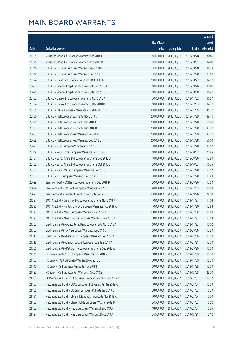|       |                                                              |                        |                     |               | Amount      |
|-------|--------------------------------------------------------------|------------------------|---------------------|---------------|-------------|
|       |                                                              | No. of issue           |                     |               | raised      |
| Code  | <b>Derivative warrants</b>                                   | (units)                | <b>Listing date</b> | <b>Expiry</b> | (HK\$ mil.) |
| 21105 | SG Issuer - Ping An European Warrants Sep 2018 H             | 80,000,000             | 2018/06/26          | 2018/09/28    | 30.80       |
| 21125 | SG Issuer - Ping An European Warrants Oct 2018 D             | 80,000,000             | 2018/06/26          | 2018/10/31    | 14.00       |
| 20546 | UBS AG - CC Bank European Warrants Sep 2018 B                | 70,000,000             | 2018/06/26          | 2018/09/28    | 16.38       |
| 20548 | UBS AG - CC Bank European Warrants Dec 2018 B                | 70,000,000             | 2018/06/26          | 2018/12/28    | 23.59       |
| 20724 | UBS AG - China Life European Warrants Oct 2018 B             | 200,000,000            | 2018/06/26          | 2018/10/22    | 34.20       |
| 20687 | UBS AG - Sinopec Corp European Warrants Sep 2018 A           | 60,000,000             | 2018/06/26          | 2018/09/26    | 10.86       |
| 20695 | UBS AG - Sinopec Corp European Warrants Oct 2018 C           | 50,000,000             | 2018/06/26          | 2018/10/08    | 26.90       |
| 20733 | UBS AG - Galaxy Ent European Warrants Nov 2018 A             | 70,000,000             | 2018/06/26          | 2018/11/02    | 10.57       |
| 20734 | UBS AG - Galaxy Ent European Warrants Dec 2018 B             | 50,000,000             | 2018/06/26          | 2018/12/03    | 14.30       |
| 20705 | UBS AG - HKEX European Warrants Nov 2018 B                   | 300,000,000            | 2018/06/26          | 2018/11/05    | 45.30       |
| 20536 | UBS AG - HSI European Warrants Nov 2018 D                    | 200,000,000            | 2018/06/26          | 2018/11/29    | 38.40       |
| 20525 | UBS AG - HSI European Warrants Dec 2018 C                    | 200,000,000            | 2018/06/26          | 2018/12/28    | 50.00       |
| 20537 | UBS AG - HSI European Warrants Dec 2018 D                    | 200,000,000            | 2018/06/26          | 2018/12/28    | 32.40       |
| 20663 | UBS AG - HSI European Put Warrants Nov 2018 E                | 200,000,000            | 2018/06/26          | 2018/11/29    | 34.40       |
| 20669 | UBS AG - HSI European Put Warrants Dec 2018 E                | 200,000,000            | 2018/06/26          | 2018/12/28    | 50.00       |
| 20670 | UBS AG - ICBC European Warrants Dec 2018 B                   | 70,000,000             | 2018/06/26          | 2018/12/28    | 19.67       |
| 20549 | UBS AG - PetroChina European Warrants Oct 2018 C             | 50,000,000             | 2018/06/26          | 2018/10/12    | 21.85       |
| 20764 | UBS AG - Sands China Ltd European Warrants Sep 2018 B        | 40,000,000             | 2018/06/26          | 2018/09/26    | 12.80       |
| 20758 | UBS AG - Sands China Ltd European Warrants Oct 2018 B        | 50,000,000             | 2018/06/26          | 2018/10/03    | 10.35       |
| 20731 | UBS AG - Wynn Macau European Warrants Dec 2018 B             | 40,000,000             | 2018/06/26          | 2018/12/28    | 12.52       |
| 20550 | UBS AG - ZTE European Warrants Dec 2018 B                    | 30,000,000             | 2018/06/26          | 2018/12/28    | 13.89       |
| 20629 | Bank Vontobel - CC Bank European Warrants Sep 2018 D         | 50,000,000             | 2018/06/26          | 2018/09/26    | 17.50       |
| 20624 | Bank Vontobel - CM Bank European Warrants Dec 2018 B         | 40,000,000             | 2018/06/26          | 2018/12/03    | 10.80       |
| 20627 | Bank Vontobel - Tencent European Warrants Sep 2018 E         | 100,000,000            | 2018/06/26          | 2018/09/26    | 28.00       |
| 21294 | BOCI Asia Ltd. - Genscript Bio European Warrants Nov 2018 A  | 40,000,000             | 2018/06/27          | 2018/11/27    | 14.08       |
| 21290 | BOCI Asia Ltd. - Kunlun Energy European Warrants Nov 2018 A  | 40,000,000             | 2018/06/27          | 2018/11/20    | 12.88       |
| 21273 | BOCI Asia Ltd. - Meitu European Warrants Mar 2019 A          | 100,000,000 2018/06/27 |                     | 2019/03/08    | 16.60       |
| 21323 | BOCI Asia Ltd. - Nine Dragons European Warrants Nov 2018 A   | 70,000,000             | 2018/06/27          | 2018/11/23    | 12.53       |
| 21303 | Credit Suisse AG - Agricultural Bank European Wts Nov 2018 A | 60,000,000             | 2018/06/27          | 2018/11/23    | 10.02       |
| 21302 | Credit Suisse AG - AIA European Warrants Sep 2018 D          | 70,000,000             | 2018/06/27          | 2018/09/26    | 17.50       |
| 21317 | Credit Suisse AG - Galaxy Ent European Warrants Dec 2018 A   | 50,000,000             | 2018/06/27          | 2018/12/06    | 17.50       |
| 21318 | Credit Suisse AG - Jiangxi Copper European Wts Jan 2019 A    | 80,000,000             | 2018/06/27          | 2019/01/21    | 12.00       |
| 21306 | Credit Suisse AG - PetroChina European Warrants Sep 2018 A   | 50,000,000             | 2018/06/27          | 2018/09/26    | 10.00       |
| 21144 | HK Bank - CAM CSI300 European Warrants Nov 2018 A            | 100,000,000            | 2018/06/27          | 2018/11/30    | 15.00       |
| 21157 | HK Bank - HKEX European Warrants Nov 2018 B                  | 100,000,000            | 2018/06/27          | 2018/11/30    | 15.00       |
| 21140 | HK Bank - HSI European Warrants Nov 2018 F                   | 100,000,000            | 2018/06/27          | 2018/11/29    | 15.00       |
| 21132 | HK Bank - HSI European Put Warrants Dec 2018 E               | 100,000,000            | 2018/06/27          | 2018/12/28    | 25.00       |
| 21301 | J P Morgan SP BV - BYD Company European Warrants Jan 2019 A  | 60,000,000             | 2018/06/27          | 2019/01/03    | 18.72       |
| 21187 | Macquarie Bank Ltd. - BOCL European Put Warrants Mar 2019 A  | 40,000,000             | 2018/06/27          | 2019/03/04    | 10.00       |
| 21186 | Macquarie Bank Ltd. - CC Bank European Put Wts Jan 2019 B    | 28,000,000             | 2018/06/27          | 2019/01/03    | 10.30       |
| 21191 | Macquarie Bank Ltd. - CM Bank European Warrants Mar 2019 A   | 40,000,000             | 2018/06/27          | 2019/03/04    | 10.00       |
| 21185 | Macquarie Bank Ltd. - China Mobile European Wts Jan 2019 B   | 24,500,000             | 2018/06/27          | 2019/01/03    | 10.02       |
| 21182 | Macquarie Bank Ltd. - HSBC European Warrants Feb 2019 A      | 18,000,000             | 2018/06/27          | 2019/02/04    | 10.55       |
| 21184 | Macquarie Bank Ltd. - HSBC European Warrants Dec 2019 A      | 24,500,000             | 2018/06/27          | 2019/12/31    | 10.12       |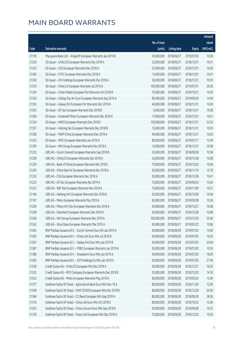|       |                                                               |              |                       |               | Amount      |
|-------|---------------------------------------------------------------|--------------|-----------------------|---------------|-------------|
|       |                                                               | No. of issue |                       |               | raised      |
| Code  | Derivative warrants                                           | (units)      | <b>Listing date</b>   | <b>Expiry</b> | (HK\$ mil.) |
| 21195 | Macquarie Bank Ltd. - Kingsoft European Warrants Jan 2019 B   | 29,600,000   | 2018/06/27            | 2019/01/03    | 10.00       |
| 21329 | SG Issuer - CHALCO European Warrants Dec 2018 A               | 22,000,000   | 2018/06/27            | 2018/12/31    | 10.01       |
| 21332 | SG Issuer - CGS European Warrants Dec 2018 A                  | 25,000,000   | 2018/06/27            | 2018/12/31    | 10.00       |
| 21345 | SG Issuer - CITIC European Warrants Dec 2018 A                | 13,000,000   | 2018/06/27            | 2018/12/31    | 10.01       |
| 21350 | SG Issuer - CKI Holdings European Warrants Dec 2018 A         | 30,000,000   | 2018/06/27            | 2018/12/31    | 10.05       |
| 21333 | SG Issuer - China Lit European Warrants Jul 2019 A            | 100,000,000  | 2018/06/27            | 2019/07/31    | 20.00       |
| 21334 | SG Issuer - China Mobile European Put Warrants Oct 2018 B     | 70,000,000   | 2018/06/27            | 2018/10/31    | 10.50       |
| 21330 | SG Issuer - Cathay Pac Air Euro European Warrants Sep 2019 A  | 80,000,000   | 2018/06/27            | 2019/09/30    | 14.40       |
| 21353 | SG Issuer - Galaxy Ent European Put Warrants Dec 2018 A       | 40,000,000   | 2018/06/27            | 2018/12/31    | 10.00       |
| 21355 | SG Issuer - GF Sec European Warrants Dec 2018 B               | 9,000,000    | 2018/06/27            | 2018/12/31    | 10.08       |
| 21356 | SG Issuer - Greatwall Motor European Warrants Dec 2018 A      | 13,000,000   | 2018/06/27            | 2018/12/31    | 10.01       |
| 21324 | SG Issuer - HKEX European Warrants Dec 2018 E                 | 150,000,000  | 2018/06/27            | 2018/12/31    | 22.50       |
| 21357 | SG Issuer - Haitong Sec European Warrants Dec 2018 B          | 15,000,000   | 2018/06/27            | 2018/12/31    | 10.05       |
| 21358 | SG Issuer - MGM China European Warrants Dec 2018 A            | 40,000,000   | 2018/06/27            | 2018/12/31    | 10.00       |
| 21325 | SG Issuer - SMIC European Warrants Jan 2019 A                 | 80,000,000   | 2018/06/27            | 2019/01/11    | 12.40       |
| 21359 | SG Issuer - WH Group European Warrants Dec 2018 A             | 14,000,000   | 2018/06/27            | 2018/12/31    | 10.08       |
| 21223 | UBS AG - Conch Cement European Warrants Sep 2018 B            | 35,000,000   | 2018/06/27            | 2018/09/28    | 10.96       |
| 21228 | UBS AG - CHALCO European Warrants Dec 2018 A                  | 20,000,000   | 2018/06/27            | 2018/12/28    | 10.08       |
| 21226 | UBS AG - Bank of China European Warrants Dec 2018 C           | 70,000,000   | 2018/06/27            | 2018/12/20    | 10.64       |
| 21245 | UBS AG - China East Air European Warrants Nov 2018 A          | 20,000,000   | 2018/06/27            | 2018/11/16    | 15.78       |
| 21232 | UBS AG - CGS European Warrants Dec 2018 A                     | 30,000,000   | 2018/06/27            | 2018/12/28    | 10.47       |
| 21222 | UBS AG - GF Sec European Warrants Apr 2019 A                  | 70,000,000   | 2018/06/27            | 2019/04/23    | 10.64       |
| 21231 | UBS AG - R&F Ppt European Warrants Nov 2018 A                 | 70,000,000   | 2018/06/27            | 2018/11/09    | 10.57       |
| 21196 | UBS AG - Haitong Int'l European Warrants Dec 2018 A           | 20,000,000   | 2018/06/27            | 2018/12/28    | 10.06       |
| 21197 | UBS AG - Meitu European Warrants Mar 2019 A                   | 60,000,000   | 2018/06/27            | 2019/03/08    | 10.26       |
| 21204 | UBS AG - Melco Int'l Dev European Warrants Dec 2018 A         | 40,000,000   | 2018/06/27            | 2018/12/27    | 10.08       |
| 21258 | UBS AG - Stanchart European Warrants Dec 2018 A               |              | 20,000,000 2018/06/27 | 2018/12/28    | 10.88       |
| 21246 | UBS AG - WH Group European Warrants Dec 2019 A                | 100,000,000  | 2018/06/27            | 2019/12/30    | 25.00       |
| 21262 | UBS AG - Xinyi Glass European Warrants Mar 2019 A             | 60,000,000   | 2018/06/27            | 2019/03/22    | 10.86       |
| 21402 | BNP Paribas Issuance B.V. - Conch Cement Euro Wt Jan 2019 A   | 40,000,000   | 2018/06/28            | 2019/01/03    | 14.00       |
| 21393 | BNP Paribas Issuance B.V. - China Life Euro Wts Jul 2019 B    | 60,000,000   | 2018/06/28            | 2019/07/03    | 16.20       |
| 21391 | BNP Paribas Issuance B.V. - Galaxy Ent Euro Wts Jan 2019 B    | 40,000,000   | 2018/06/28            | 2019/01/03    | 20.40       |
| 21387 | BNP Paribas Issuance B.V. - PSBC European Warrants Jan 2019 A | 30,000,000   | 2018/06/28            | 2019/01/03    | 10.50       |
| 21386 | BNP Paribas Issuance B.V. - Sinopharm Euro Wts Jan 2019 A     | 40,000,000   | 2018/06/28            | 2019/01/03    | 18.00       |
| 21392 | BNP Paribas Issuance B.V. - SJM Holdings Eu Wts Jan 2019 A    | 30,000,000   | 2018/06/28            | 2019/01/03    | 27.90       |
| 21528 | Credit Suisse AG - CHALCO European Wts Dec 2018 A             | 30,000,000   | 2018/06/28            | 2018/12/27    | 16.50       |
| 21525 | Credit Suisse AG - BYD Company European Warrants Dec 2018 B   | 25,000,000   | 2018/06/28            | 2018/12/20    | 14.50       |
| 21532 | Credit Suisse AG - Meitu European Warrants May 2019 A         | 60,000,000   | 2018/06/28            | 2019/05/24    | 15.00       |
| 21377 | Goldman Sachs SP (Asia) - Agricultural Bank Euro Wts Nov 18 A | 80,000,000   | 2018/06/28            | 2018/11/26    | 12.00       |
| 21548 | Goldman Sachs SP (Asia) - CAM CSI300 European Wts Dec 2018 B  | 80,000,000   | 2018/06/28            | 2018/12/28    | 20.00       |
| 21366 | Goldman Sachs SP (Asia) - CC Bank European Wts Sep 2018 H     | 80,000,000   | 2018/06/28            | 2018/09/28    | 28.56       |
| 21376 | Goldman Sachs SP (Asia) - China Life Euro Wts Oct 2018 C      | 80,000,000   | 2018/06/28            | 2018/10/22    | 12.00       |
| 21553 | Goldman Sachs SP (Asia) - China Unicom Euro Wts Sep 2018 A    | 40,000,000   | 2018/06/28            | 2018/09/28    | 14.52       |
| 21378 | Goldman Sachs SP (Asia) - Fosun Intl European Wts Dec 2018 A  | 70,000,000   | 2018/06/28            | 2018/12/20    | 10.50       |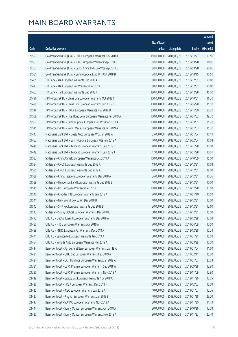|       |                                                               |              |                       |               | Amount      |
|-------|---------------------------------------------------------------|--------------|-----------------------|---------------|-------------|
|       |                                                               | No. of issue |                       |               | raised      |
| Code  | Derivative warrants                                           | (units)      | <b>Listing date</b>   | <b>Expiry</b> | (HK\$ mil.) |
| 21552 | Goldman Sachs SP (Asia) - HKEX European Warrants Nov 2018 C   | 150,000,000  | 2018/06/28            | 2018/11/27    | 22.50       |
| 21557 | Goldman Sachs SP (Asia) - ICBC European Warrants Sep 2018 F   | 80,000,000   | 2018/06/28            | 2018/09/28    | 20.96       |
| 21367 | Goldman Sachs SP (Asia) - Sands China Ltd Euro Wts Sep 2018 B | 80,000,000   | 2018/06/28            | 2018/09/28    | 20.96       |
| 21551 | Goldman Sachs SP (Asia) - Sunny Optical Euro Wts Oct 2018 B   | 70,000,000   | 2018/06/28            | 2018/10/15    | 10.50       |
| 21405 | HK Bank - AIA European Warrants Dec 2018 A                    | 80,000,000   | 2018/06/28            | 2018/12/31    | 20.00       |
| 21413 | HK Bank - AIA European Put Warrants Dec 2018 B                | 80,000,000   | 2018/06/28            | 2018/12/31    | 20.00       |
| 21403 | HK Bank - HSI European Warrants Dec 2018 F                    | 180,000,000  | 2018/06/28            | 2018/12/28    | 45.00       |
| 21496 | J P Morgan SP BV - China Life European Warrants Oct 2018 C    | 100,000,000  | 2018/06/28            | 2018/10/31    | 16.20       |
| 21499 | J P Morgan SP BV - China Life European Warrants Jun 2019 B    | 100,000,000  | 2018/06/28            | 2019/06/28    | 15.10       |
| 21518 | J P Morgan SP BV - HKEX European Warrants Nov 2018 D          | 200,000,000  | 2018/06/28            | 2018/11/30    | 30.20       |
| 21509 | J P Morgan SP BV - Hua Hong Semi European Warrants Jan 2019 A | 100,000,000  | 2018/06/28            | 2019/01/02    | 49.70       |
| 21502 | J P Morgan SP BV - Sunny Optical European Put Wts Mar 2019 A  | 100,000,000  | 2018/06/28            | 2019/03/01    | 25.20       |
| 21515 | J P Morgan SP BV - Wynn Macau European Warrants Jan 2019 A    | 60,000,000   | 2018/06/28            | 2019/01/03    | 15.30       |
| 21447 | Macquarie Bank Ltd. - Geely Auto European Wts Jan 2019 A      | 35,000,000   | 2018/06/28            | 2019/01/04    | 10.19       |
| 21453 | Macquarie Bank Ltd. - Sunny Optical European Wts Feb 2019 A   | 40,000,000   | 2018/06/28            | 2019/02/04    | 10.08       |
| 21448 | Macquarie Bank Ltd. - Tencent European Warrants Jan 2019 I    | 40,000,000   | 2018/06/28            | 2019/01/28    | 10.00       |
| 21449 | Macquarie Bank Ltd. - Tencent European Warrants Jan 2019 J    | 17,000,000   | 2018/06/28            | 2019/01/28    | 10.01       |
| 21533 | SG Issuer - China Oilfield European Warrants Oct 2019 A       | 100,000,000  | 2018/06/28            | 2019/10/09    | 15.00       |
| 21534 | SG Issuer - CRCC European Warrants Dec 2018 A                 | 18,000,000   | 2018/06/28            | 2018/12/31    | 10.08       |
| 21535 | SG Issuer - CRCC European Warrants Dec 2019 A                 | 120,000,000  | 2018/06/28            | 2019/12/31    | 18.00       |
| 21538 | SG Issuer - China Telecom European Warrants Dec 2018 A        | 36,000,000   | 2018/06/28            | 2018/12/31    | 10.26       |
| 21539 | SG Issuer - Henderson Land European Warrants Dec 2018 B       | 40,000,000   | 2018/06/28            | 2018/12/31    | 10.00       |
| 21545 | SG Issuer - HSI European Warrants Dec 2018 H                  | 150,000,000  | 2018/06/28            | 2018/12/28    | 37.50       |
| 21540 | SG Issuer - Kingdee Intl European Warrants Jan 2019 A         | 70,000,000   | 2018/06/28            | 2019/01/10    | 10.50       |
| 21541 | SG Issuer - New World Dev Eu Wt Dec 2018 B                    | 10,000,000   | 2018/06/28            | 2018/12/31    | 10.00       |
| 21542 | SG Issuer - SHK Ppt European Warrants Dec 2018 B              | 20,000,000   | 2018/06/28            | 2018/12/31    | 13.60       |
| 21543 | SG Issuer - Sunny Optical European Warrants Dec 2018 C        |              | 60,000,000 2018/06/28 | 2018/12/31    | 15.00       |
| 21472 | UBS AG - Guotai Junan I European Warrants Dec 2018 A          | 40,000,000   | 2018/06/28            | 2018/12/28    | 10.04       |
| 21485 | UBS AG - HTSC European Warrants Apr 2019 A                    | 70,000,000   | 2018/06/28            | 2019/04/09    | 10.50       |
| 21489 | UBS AG - MTRC European Put Warrants Dec 2018 A                | 40,000,000   | 2018/06/28            | 2018/12/28    | 10.24       |
| 21471 | UBS AG - Samsonite European Warrants Jan 2019 A               | 30,000,000   | 2018/06/28            | 2019/01/21    | 15.60       |
| 21454 | UBS AG - Yongda Auto European Warrants Mar 2019 A             | 40,000,000   | 2018/06/28            | 2019/03/29    | 10.00       |
| 21414 | Bank Vontobel - Agricultural Bank European Warrants Jan 19 A  | 40,000,000   | 2018/06/28            | 2019/01/04    | 11.60       |
| 21421 | Bank Vontobel - CITIC Sec European Warrants Feb 2019 A        | 60,000,000   | 2018/06/28            | 2019/02/11    | 15.00       |
| 21424 | Bank Vontobel - CKH Holdings European Warrants Jan 2019 A     | 30,000,000   | 2018/06/28            | 2019/01/07    | 27.03       |
| 21381 | Bank Vontobel - CSPC Pharma European Warrants Sep 2018 A      | 40,000,000   | 2018/06/28            | 2018/09/28    | 13.80       |
| 21380 | Bank Vontobel - CSPC Pharma European Warrants Nov 2018 A      | 40,000,000   | 2018/06/28            | 2018/11/09    | 12.80       |
| 21419 | Bank Vontobel - Galaxy Ent European Warrants Nov 2018 C       | 50,000,000   | 2018/06/28            | 2018/11/26    | 10.05       |
| 21426 | Bank Vontobel - HKEX European Warrants Dec 2018 F             | 100,000,000  | 2018/06/28            | 2018/12/03    | 15.00       |
| 21415 | Bank Vontobel - ICBC European Warrants Jan 2019 A             | 40,000,000   | 2018/06/28            | 2019/01/07    | 12.76       |
| 21427 | Bank Vontobel - Ping An European Warrants Jan 2019 B          | 40,000,000   | 2018/06/28            | 2019/01/28    | 23.20       |
| 21417 | Bank Vontobel - SUNAC European Warrants Nov 2018 A            | 30,000,000   | 2018/06/28            | 2018/11/30    | 11.43       |
| 21444 | Bank Vontobel - Sunny Optical European Warrants Oct 2018 A    | 80,000,000   | 2018/06/28            | 2018/10/26    | 12.08       |
| 21420 | Bank Vontobel - Sunny Optical European Warrants Nov 2018 A    | 80,000,000   | 2018/06/28            | 2018/11/23    | 22.40       |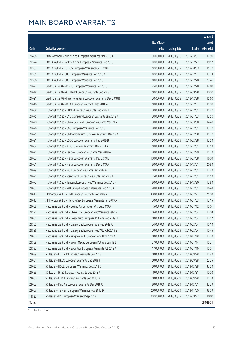|         |                                                                 |              |                       |               | Amount      |
|---------|-----------------------------------------------------------------|--------------|-----------------------|---------------|-------------|
|         |                                                                 | No. of issue |                       |               | raised      |
| Code    | Derivative warrants                                             | (units)      | <b>Listing date</b>   | <b>Expiry</b> | (HK\$ mil.) |
| 21438   | Bank Vontobel - Zijin Mining European Warrants Mar 2019 A       | 30,000,000   | 2018/06/28            | 2019/03/01    | 12.90       |
| 21574   | BOCI Asia Ltd. - Bank of China European Warrants Dec 2018 E     | 80,000,000   | 2018/06/29            | 2018/12/27    | 19.12       |
| 21563   | BOCI Asia Ltd. - CC Bank European Warrants Oct 2018 B           | 50,000,000   | 2018/06/29            | 2018/10/03    | 15.30       |
| 21565   | BOCI Asia Ltd. - ICBC European Warrants Dec 2018 A              | 60,000,000   | 2018/06/29            | 2018/12/17    | 13.74       |
| 21566   | BOCI Asia Ltd. - ICBC European Warrants Dec 2018 B              | 60,000,000   | 2018/06/29            | 2018/12/20    | 23.46       |
| 21627   | Credit Suisse AG - BBMG European Warrants Dec 2018 B            | 25,000,000   | 2018/06/29            | 2018/12/28    | 12.00       |
| 21618   | Credit Suisse AG - CC Bank European Warrants Sep 2018 C         | 50,000,000   | 2018/06/29            | 2018/09/28    | 10.00       |
| 21621   | Credit Suisse AG - Hua Hong Semi European Warrants Dec 2018 B   | 30,000,000   | 2018/06/29            | 2018/12/28    | 15.60       |
| 21616   | Credit Suisse AG - ICBC European Warrants Dec 2018 A            | 50,000,000   | 2018/06/29            | 2018/12/17    | 11.00       |
| 21688   | Haitong Int'l Sec - BBMG European Warrants Dec 2018 B           | 30,000,000   | 2018/06/29            | 2018/12/31    | 11.40       |
| 21675   | Haitong Int'l Sec - BYD Company European Warrants Jan 2019 A    | 30,000,000   | 2018/06/29            | 2019/01/03    | 13.50       |
| 21670   | Haitong Int'l Sec - China Gas Hold European Warrants Mar 19 A   | 30,000,000   | 2018/06/29            | 2019/03/08    | 14.40       |
| 21696   | Haitong Int'l Sec - CGS European Warrants Dec 2018 B            | 40,000,000   | 2018/06/29            | 2018/12/31    | 13.20       |
| 21695   | Haitong Int'l Sec - Ch Molybdenum European Warrants Dec 18 A    | 30,000,000   | 2018/06/29            | 2018/12/18    | 11.70       |
| 21691   | Haitong Int'l Sec - CSDC European Warrants Feb 2019 B           | 50,000,000   | 2018/06/29            | 2019/02/28    | 12.50       |
| 21682   | Haitong Int'l Sec - ICBC European Warrants Dec 2018 A           | 50,000,000   | 2018/06/29            | 2018/12/31    | 13.50       |
| 21674   | Haitong Int'l Sec - Lenovo European Warrants Mar 2019 A         | 40,000,000   | 2018/06/29            | 2019/03/29    | 11.20       |
| 21680   | Haitong Int'l Sec - Meitu European Warrants Mar 2019 B          | 100,000,000  | 2018/06/29            | 2019/03/08    | 16.00       |
| 21681   | Haitong Int'l Sec - Meitu European Warrants Dec 2019 A          | 80,000,000   | 2018/06/29            | 2019/12/31    | 20.80       |
| 21679   | Haitong Int'l Sec - NCI European Warrants Dec 2018 A            | 40,000,000   | 2018/06/29            | 2018/12/31    | 12.40       |
| 21694   | Haitong Int'l Sec - Stanchart European Warrants Dec 2018 A      | 25,000,000   | 2018/06/29            | 2018/12/31    | 11.50       |
| 21672   | Haitong Int'l Sec - Tencent European Put Warrants Dec 2018 F    | 80,000,000   | 2018/06/29            | 2018/12/20    | 12.80       |
| 21668   | Haitong Int'l Sec - WH Group European Warrants Dec 2018 A       | 20,000,000   | 2018/06/29            | 2018/12/31    | 16.40       |
| 21610   | J P Morgan SP BV - HSI European Warrants Feb 2019 A             | 300,000,000  | 2018/06/29            | 2019/02/27    | 75.00       |
| 21612   | JP Morgan SP BV - Haitong Sec European Warrants Jan 2019 A      | 30,000,000   | 2018/06/29            | 2019/01/03    | 12.15       |
| 21608   | Macquarie Bank Ltd. - Beijing Air European Wts Jul 2019 A       | 5,000,000    | 2018/06/29            | 2019/07/12    | 10.01       |
| 21591   | Macquarie Bank Ltd. - China Life European Put Warrants Feb 19 B |              | 16,000,000 2018/06/29 | 2019/02/04    | 10.03       |
| 21601   | Macquarie Bank Ltd. - Geely Auto European Put Wts Feb 2019 B    | 40,000,000   | 2018/06/29            | 2019/02/04    | 10.12       |
| 21585   | Macquarie Bank Ltd. - Galaxy Ent European Wts Feb 2019 A        | 24,000,000   | 2018/06/29            | 2019/02/04    | 10.10       |
| 21586   | Macquarie Bank Ltd. - Galaxy Ent European Put Wts Feb 2019 B    | 20,000,000   | 2018/06/29            | 2019/02/04    | 10.46       |
| 21600   | Macquarie Bank Ltd. - Kingdee Int'l European Wts Nov 2019 A     | 40,000,000   | 2018/06/29            | 2019/11/18    | 10.00       |
| 21589   | Macquarie Bank Ltd. - Wynn Macau European Put Wts Jan 19 B      | 27,000,000   | 2018/06/29            | 2019/01/14    | 10.21       |
| 21593   | Macquarie Bank Ltd. - Zoomlion European Warrants Jul 2019 A     | 17,000,000   | 2018/06/29            | 2019/07/16    | 10.01       |
| 21639   | SG Issuer - CC Bank European Warrants Sep 2018 C                | 40,000,000   | 2018/06/29            | 2018/09/28    | 11.80       |
| 21651   | SG Issuer - HKEX European Warrants Sep 2018 F                   | 150,000,000  | 2018/06/29            | 2018/09/28    | 23.25       |
| 21635   | SG Issuer - HSCEI European Warrants Dec 2018 D                  | 150,000,000  | 2018/06/29            | 2018/12/28    | 37.50       |
| 21659   | SG Issuer - HTSC European Warrants Dec 2018 A                   | 9,000,000    | 2018/06/29            | 2018/12/31    | 10.08       |
| 21660   | SG Issuer - ICBC European Warrants Sep 2018 D                   | 40,000,000   | 2018/06/29            | 2018/09/28    | 11.00       |
| 21662   | SG Issuer - Ping An European Warrants Dec 2018 C                | 80,000,000   | 2018/06/29            | 2018/12/31    | 43.20       |
| 21667   | SG Issuer - Tencent European Warrants Nov 2018 D                | 200,000,000  | 2018/06/29            | 2018/11/30    | 38.00       |
| 11520 # | SG Issuer - HSI European Warrants Sep 2018 D                    | 200,000,000  | 2018/06/29            | 2018/09/27    | 10.00       |
| Total   |                                                                 |              |                       |               | 58,049.31   |

# Further issue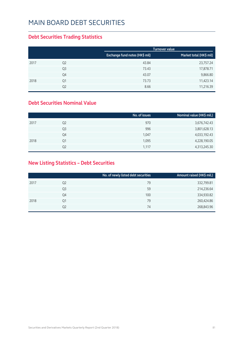### Main Board Debt Securities

### **Debt Securities Trading Statistics**

|      |                |                                | <b>Turnover value</b>   |
|------|----------------|--------------------------------|-------------------------|
|      |                | Exchange fund notes (HK\$ mil) | Market total (HK\$ mil) |
| 2017 | Q <sub>2</sub> | 43.84                          | 23,757.24               |
|      | Q <sub>3</sub> | 73.43                          | 17,878.71               |
|      | Q4             | 43.07                          | 9,866.80                |
| 2018 | Q1             | 73.73                          | 11,423.14               |
|      | Q2             | 8.66                           | 11,216.39               |

#### **Debt Securities Nominal Value**

|                | No. of issues | Nominal value (HK\$ mil.) |
|----------------|---------------|---------------------------|
| Q <sub>2</sub> | 970           | 3,676,742.43              |
| Q3             | 996           | 3,801,628.13              |
| Q4             | 1,047         | 4,033,192.43              |
| Q1             | 1,095         | 4,228,190.05              |
| Q2             | 1,117         | 4,313,245.30              |
|                |               |                           |

### **New Listing Statistics – Debt Securities**

|      |                | No. of newly listed debt securities | Amount raised (HK\$ mil.) |
|------|----------------|-------------------------------------|---------------------------|
| 2017 | Q <sub>2</sub> | 79                                  | 332,799.81                |
|      | Q3             | 59                                  | 214,236.64                |
|      | Q4             | 100                                 | 334,930.82                |
| 2018 | Q1             | 79                                  | 260,424.86                |
|      | Q2             | 74                                  | 268,843.96                |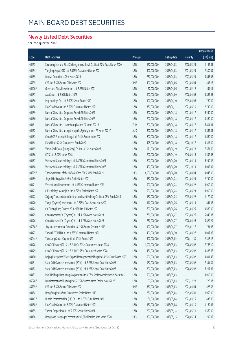### Main Board Debt Securities

### **Newly Listed Debt Securities**

for 2nd quarter 2018

|        |                                                                                  |            |               |                     |                 | Amount raised |
|--------|----------------------------------------------------------------------------------|------------|---------------|---------------------|-----------------|---------------|
| Code   | Debt securities                                                                  | Principal  |               | <b>Listing date</b> | <b>Maturity</b> | (HK\$ mil.)   |
| 04453  | Shandong Iron and Steel Xinheng International Co. Ltd. 6.90% Guar. Bonds 2020    | <b>USD</b> | 150,000,000   | 2018/04/03          | 2020/03/29      | 1,167.85      |
| 04454  | Tongfang Aqua 2017 Ltd. 5.375% Guaranteed Bonds 2021                             | <b>USD</b> | 300,000,000   | 2018/04/03          | 2021/03/29      | 2,300.39      |
| 04455  | Lenovo Group Ltd. 4.75% Notes 2023                                               | <b>USD</b> | 750,000,000   | 2018/04/03          | 2023/03/29      | 5,845.38      |
| 85735  | CAR Inc. 6.50% Senior CNY Notes 2021                                             | <b>RMB</b> | 400,000,000   | 2018/04/06          | 2021/04/04      | 493.17        |
| 04426# | Greenland Global Investment Ltd. 5.25% Notes 2021                                | <b>USD</b> | 60,000,000    | 2018/04/06          | 2021/02/12      | 454.11        |
| 04457  | AIA Group Ltd. 3.90% Notes 2028                                                  | <b>USD</b> | 500,000,000   | 2018/04/09          | 2028/04/06      | 3,887.83      |
| 04456  | Lvqi Holdings Co., Ltd. 8.50% Senior Bonds 2019                                  | <b>USD</b> | 100,000,000   | 2018/04/10          | 2019/04/08      | 780.00        |
| 04458  | Ease Trade Global Ltd. 5.20% Guaranteed Notes 2021                               | <b>USD</b> | 350,000,000   | 2018/04/11          | 2021/04/10      | 2,730.00      |
| 04459  | Bank of China Ltd., Singapore Branch FR Notes 2021                               | <b>USD</b> | 800,000,000   | 2018/04/18          | 2021/04/17      | 6,240.00      |
| 04460  | Bank of China Ltd., Singapore Branch FR Notes 2023                               | <b>USD</b> | 700,000,000   | 2018/04/18          | 2023/04/17      | 5,460.00      |
| 04461  | Bank of China Ltd., Luxembourg Branch FR Notes 2021B                             | EUR        | 700,000,000   | 2018/04/18          | 2021/04/17      | 6,804.91      |
| 04462  | Bank of China Ltd., acting through its Sydney branch FR Notes 2021C              | AUD        | 800,000,000   | 2018/04/18          | 2021/04/17      | 4,881.04      |
| 04463  | China SCE Property Holdings Ltd. 7.45% Senior Notes 2021                         | <b>USD</b> | 600,000,000   | 2018/04/18          | 2021/04/17      | 4,680.00      |
| 04464  | Kunzhi Ltd. 6.25% Guaranteed Bonds 2020                                          | <b>USD</b> | 425,000,000   | 2018/04/18          | 2020/10/17      | 3,315.00      |
| 04465  | Vanke Real Estate (Hong Kong) Co. Ltd. 4.15% Notes 2023                          | <b>USD</b> | 971,000,000   | 2018/04/19          | 2023/04/18      | 7,561.60      |
| 04466  | CITIC Ltd. 5.07% Notes 2048                                                      | <b>USD</b> | 200,000,000   | 2018/04/19          | 2048/04/18      | 1,552.86      |
| 04467  | Westwood Group Holdings Ltd. 4.875% Guaranteed Notes 2021                        | <b>USD</b> | 800,000,000   | 2018/04/20          | 2021/04/19      | 6,230.02      |
| 04468  | Westwood Group Holdings Ltd. 5.375% Guaranteed Notes 2023                        | <b>USD</b> | 400,000,000   | 2018/04/20          | 2023/10/19      | 3,092.39      |
| 04209# | The Government of the HKSAR of the PRC 2.46% Bonds 2021                          | <b>HKD</b> | 4,000,000,000 | 2018/04/20          | 2021/08/04      | 4,046.00      |
| 04469  | Jingrui Holdings Ltd. 9.45% Senior Notes 2021                                    | <b>USD</b> | 350,000,000   | 2018/04/24          | 2021/04/23      | 2,730.00      |
| 04471  | Vertex Capital Investment Ltd. 4.15% Guaranteed Bonds 2019                       | <b>USD</b> | 500,000,000   | 2018/04/24          | 2019/04/22      | 3,900.00      |
| 04473  | CIFI Holdings (Group) Co. Ltd. 6.875% Senior Notes 2021                          | <b>USD</b> | 500,000,000   | 2018/04/24          | 2021/04/23      | 3,900.00      |
| 04472  | Xinjiang Transportation Construction Invest Holding Co. Ltd. 6.25% Bonds 2019    | <b>USD</b> | 150,000,000   | 2018/04/25          | 2019/04/22      | 1,170.00      |
| 04470  | Yango (Cayman) Investment Ltd. 9.875% Guar. Senior Notes2021                     | <b>USD</b> | 110,000,000   | 2018/04/26          | 2021/04/19      | 841.08        |
| 04474  | CICC Hong Kong Finance 2016 MTN Ltd. FR Notes 2021                               | <b>USD</b> | 600,000,000   | 2018/04/26          | 2021/04/25      | 4,680.00      |
| 04475  | China Overseas Fin (Cayman) VII Ltd. 4.25% Guar. Notes 2023                      | <b>USD</b> | 750,000,000   | 2018/04/27          | 2023/04/26      | 5,840.87      |
| 04476  | China Overseas Fin (Cayman) VII Ltd. 4.75% Guar. Notes 2028                      | <b>USD</b> | 750,000,000   | 2018/04/27          | 2028/04/26      | 5,829.29      |
| 05088# | Jiayuan International Group Ltd. 8.125% Senior Secured N2019                     | <b>USD</b> | 100,000,000   | 2018/04/27          | 2019/01/17      | 784.88        |
| 04477  | Yuexiu REIT MTN Co. Ltd. 4.75% Guaranteed Notes 2021                             | <b>USD</b> | 400,000,000   | 2018/04/30          | 2021/04/27      | 3,097.85      |
| 05044# | Yankuang Group (Cayman) Ltd. 4.75% Bonds 2020                                    | <b>USD</b> | 300,000,000   | 2018/05/02          | 2020/11/30      | 2,318.17      |
| 04478  | CNOOC Finance (2015) U.S.A. LLC 4.375% Guaranteed Notes 2028                     | <b>USD</b> | 1,000,000,000 | 2018/05/03          | 2028/05/02      | 7,768.10      |
| 04479  | CNOOC Finance (2015) U.S.A. LLC 3.75% Guaranteed Notes 2028                      | <b>USD</b> | 450,000,000   | 2018/05/03          | 2023/05/02      | 3,488.66      |
| 04480  | Beijing Enterprises Water Capital Management Holdings Ltd. 4.95% Guar Bonds 2023 | <b>USD</b> | 500,000,000   | 2018/05/03          | 2023/05/02      | 3,891.46      |
| 04481  | State Grid Overseas Investment (2016) Ltd. 3.75% Senior Guar Notes 2023          | <b>USD</b> | 950,000,000   | 2018/05/03          | 2023/05/02      | 7,394.59      |
| 04482  | State Grid Overseas Investment (2016) Ltd. 4.25% Senior Guar Notes 2028          | <b>USD</b> | 800,000,000   | 2018/05/03          | 2028/05/02      | 6,217.85      |
| 04483  | MCC Holding (Hong Kong) Corporation Ltd. 4.95% Senior Guar Perpetual Securities  | <b>USD</b> | 500,000,000   | 2018/05/03          |                 | 3,900.00      |
| 05078# | Luso International Banking Ltd. 5.375% Subordinated Capital Notes 2027           | <b>USD</b> | 93,200,000    | 2018/05/03          | 2027/12/28      | 726.07        |
| 85735# | CAR Inc. 6.50% Senior CNY Notes 2021                                             | <b>RMB</b> | 350,000,000   | 2018/05/03          | 2021/04/04      | 428.52        |
| 04484  | Hong Seng Ltd. 8.50% Guaranteed Senior Notes 2019                                | <b>USD</b> | 250,000,000   | 2018/05/04          | 2019/05/01      | 1,950.00      |
| 04447# | Huaxin Pharmaceutical (HK) Co., Ltd. 6.80% Guar. Notes 2021                      | <b>USD</b> | 56,000,000    | 2018/05/04          | 2021/03/15      | 436.80        |
| 04458# | Ease Trade Global Ltd. 5.20% Guaranteed Notes 2021                               | <b>USD</b> | 150,000,000   | 2018/05/08          | 2021/04/10      | 1,169.95      |
| 04485  | Yuzhou Properties Co. Ltd. 7.90% Senior Notes 2021                               | <b>USD</b> | 200,000,000   | 2018/05/14          | 2021/05/11      | 1,560.00      |
| 04486  | Hong Kong Mortgage Corporation Ltd., The Floating Rate Notes 2020                | <b>HKD</b> | 300,000,000   | 2018/05/15          | 2020/05/14      | 299.95        |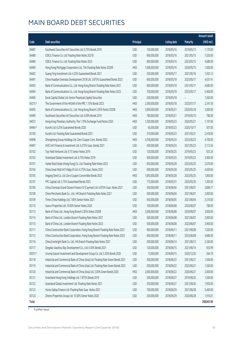### Main Board Debt Securities

|        |                                                                                    |            |               |                     |                 | Amount raised |
|--------|------------------------------------------------------------------------------------|------------|---------------|---------------------|-----------------|---------------|
| Code   | Debt securities                                                                    | Principal  |               | <b>Listing date</b> | <b>Maturity</b> | (HK\$ mil.)   |
| 04487  | Southwest Securities Int'l Securities Ltd. 6.75% Bonds 2019                        | <b>USD</b> | 150,000,000   | 2018/05/16          | 2019/05/13      | 1,170.00      |
| 04488  | ICBCIL Finance Co. Ltd. Floating Rate Notes 2021B                                  | <b>USD</b> | 900,000,000   | 2018/05/16          | 2021/05/15      | 7,020.00      |
| 04489  | ICBCIL Finance Co. Ltd. Floating Rate Notes 2023                                   | <b>USD</b> | 600,000,000   | 2018/05/16          | 2023/05/15      | 4,680.00      |
| 04490  | Hong Kong Mortgage Corporation Ltd., The Floating Rate Notes 2020B                 | <b>HKD</b> | 1,000,000,000 | 2018/05/16          | 2020/05/15      | 1,000.00      |
| 04492  | Guang Ying Investment Ltd. 4.25% Guaranteed Bonds 2021                             | <b>USD</b> | 250,000,000   | 2018/05/17          | 2021/05/16      | 1,935.12      |
| 04491  | China Huadian Overseas Development 2018 Ltd. 3.875% Guaranteed Bonds 2023          | <b>USD</b> | 600,000,000   | 2018/05/18          | 2023/05/17      | 4,637.41      |
| 04493  | Bank of Communications Co., Ltd. Hong Kong Branch Floating Rate Notes 2021         | <b>USD</b> | 600,000,000   | 2018/05/18          | 2021/05/17      | 4,680.00      |
| 04494  | Bank of Communications Co., Ltd. Hong Kong Branch Floating Rate Notes 2023         | <b>USD</b> | 700,000,000   | 2018/05/18          | 2023/05/17      | 5,460.00      |
| 04496  | Excel Capital Global Ltd. Senior Perpetual Capital Securities                      | <b>USD</b> | 200,000,000   | 2018/05/18          |                 | 1,560.00      |
| 04215# | The Government of the HKSAR of the PRC 1.10% Bonds 2023                            | <b>HKD</b> | 2,500,000,000 | 2018/05/18          | 2023/01/17      | 2,347.50      |
| 04495  | Bank of Communications Co., Ltd. Hong Kong Branch 2.95% Notes 2020B                | <b>HKD</b> | 3,000,000,000 | 2018/05/21          | 2020/05/18      | 3,000.00      |
| 04499  | Southwest Securities Int'l Securities Ltd. 6.00% Bonds 2019                        | <b>HKD</b> | 780,000,000   | 2018/05/21          | 2019/05/10      | 780.00        |
| 04072  | Hong Kong Monetary Authority, The 1.79% Exchange Fund Notes 2020                   | <b>HKD</b> | 1,200,000,000 | 2018/05/23          | 2020/05/21      | 1,197.00      |
| 04464# | Kunzhi Ltd. 6.25% Guaranteed Bonds 2020                                            | <b>USD</b> | 65,000,000    | 2018/05/23          | 2020/10/17      | 507.00        |
| 05100  | Kunzhi Ltd. Floating Rate Guaranteed Bonds 2021                                    | <b>USD</b> | 310,000,000   | 2018/05/23          | 2021/05/21      | 2,418.00      |
| 04498  | Zhongsheng Group Holdings Ltd. Zero Coupon Conv. Bonds 2023                        | <b>HKD</b> | 4,700,000,000 | 2018/05/24          | 2023/05/23      | 4,700.00      |
| 04497  | AVIC Int'l Finance & Investment Ltd. 4.375% Guar. Bonds 2021                       | <b>USD</b> | 400,000,000   | 2018/05/24          | 2021/05/23      | 3,112.45      |
| 05102  | Top Yield Ventures Ltd. 9.75 Senior Notes 2019                                     | <b>USD</b> | 120,000,000   | 2018/05/25          | 2019/05/23      | 925.24        |
| 05103  | Greenland Global Investment Ltd. 6.75% Notes 2019                                  | <b>USD</b> | 500,000,000   | 2018/05/25          | 2019/05/22      | 3,900.00      |
| 05101  | Vanke Real Estate (Hong Kong) Co. Ltd. Floating Rate Notes 2023                    | <b>USD</b> | 650,000,000   | 2018/05/28          | 2023/05/25      | 5,070.00      |
| 05104  | China Great Wall Int'l Hldgs III Ltd. 4.375% Guar. Notes 2023                      | <b>USD</b> | 600,000,000   | 2018/05/28          | 2023/05/25      | 4,659.04      |
| 05105  | Angang Steel Co. Ltd. Zero Coupon Convertible Bonds 2023                           | <b>HKD</b> | 1,850,000,000 | 2018/05/28          | 2023/05/25      | 1,850.00      |
| 05107  | FPC Capital Ltd. 5.75% Guaranteed Bonds 2025                                       | <b>USD</b> | 175,000,000   | 2018/05/31          | 2025/05/30      | 1,365.00      |
| 05106  | China Overseas Grand Oceans Finance IV (Cayman) Ltd. 4.875% Guar. Notes 2021       | <b>USD</b> | 500,000,000   | 2018/06/04          | 2021/06/01      | 3,896.77      |
| 05108  | China Merchants Bank Co., Ltd., HK Branch Flotating Rate Notes 2021                | <b>USD</b> | 500,000,000   | 2018/06/04          | 2021/06/01      | 3,900.00      |
| 05109  | Times China Holdings Ltd. 7.85% Senior Notes 2021                                  | <b>USD</b> | 450,000,000   | 2018/06/05          | 2021/06/04      | 3,510.00      |
| 05110  | Guorui Properties Ltd. 10.00% Senior Notes 2020                                    | <b>USD</b> | 100,000,000   | 2018/06/08          | 2020/06/07      | 780.00        |
| 05113  | Bank of China Ltd., Hong Kong Branch 2.85% Notes 2020B                             | <b>HKD</b> | 3,000,000,000 | 2018/06/08          | 2020/06/07      | 3,000.00      |
| 05114  | Bank of China Ltd., London Branch Floating Rate Notes 2021                         | <b>USD</b> | 500,000,000   | 2018/06/08          | 2021/06/07      | 3,900.00      |
| 05115  | Bank of China Ltd., London Branch Floating Rate Notes 2023                         | <b>USD</b> | 500,000,000   | 2018/06/08          | 2023/06/07      | 3,900.00      |
| 05111  | China Construction Bank Corporation, Hong Kong Branch Floating Rate Notes 2021     | <b>USD</b> | 900,000,000   | 2018/06/11          | 2021/06/08      | 7,020.00      |
| 05112  | China Construction Bank Corporation, Hong Kong Branch Floating Rate Notes 2023     | <b>USD</b> | 600,000,000   | 2018/06/11          | 2023/06/08      | 4,680.00      |
| 05116  | China Everbright Bank Co. Ltd., HK Branch Floating Rate Notes 2021                 | <b>USD</b> | 300,000,000   | 2018/06/14          | 2021/06/13      | 2,340.00      |
| 05117  | Qingdao Jiaozhou Bay Development Co., Ltd. 6.50% Bonds 2021                        | <b>USD</b> | 120,000,000   | 2018/06/15          | 2021/06/14      | 925.99        |
| 05073# | Urumqi Gaoxin Investment and Development Group Co. Ltd. 5.20% Bonds 2020           | <b>USD</b> | 73,000,000    | 2018/06/15          | 2020/12/20      | 564.79        |
| 05118  | Industrial and Commercial Bank of China (Asia) Ltd. Floating Rate Green Bonds 2021 | <b>USD</b> | 200,000,000   | 2018/06/22          | 2021/06/21      | 1,560.00      |
| 05119  | Industrial and Commercial Bank of China (Asia) Ltd. Floating Rate Green Bonds 2023 | <b>USD</b> | 200,000,000   | 2018/06/22          | 2023/06/21      | 1,560.00      |
| 05120  | Industrial and Commercial Bank of China (Asia) Ltd. 3.00% Green Bonds 2020         | <b>HKD</b> | 2,600,000,000 | 2018/06/22          | 2020/06/21      | 2,600.00      |
| 05121  | Greenland Hong Kong Holdings Ltd. 7.875% Bonds 2019                                | <b>USD</b> | 200,000,000   | 2018/06/27          | 2019/06/25      | 1,560.00      |
| 05122  | Greenland Global Investment Ltd. Floating Rate Notes 2021                          | <b>USD</b> | 250,000,000   | 2018/06/27          | 2021/09/26      | 1,950.00      |
| 05123  | Horse Gallop Finance Ltd. Floating Rate Guar. Notes 2021                           | <b>USD</b> | 700,000,000   | 2018/06/29          | 2021/06/28      | 5,460.00      |
| 05124  | Zhenro Properties Group Ltd. 10.50% Senior Notes 2020                              | <b>USD</b> | 250,000,000   | 2018/06/29          | 2020/06/28      | 1,916.01      |
| Total  |                                                                                    |            |               |                     |                 | 268,843.96    |

# Further issue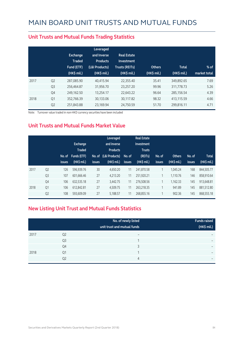|      |                | Exchange<br><b>Traded</b><br>Fund (ETF)<br>$(HK\$ mil.) | Leveraged<br>and Inverse<br><b>Products</b><br>(L&I Products)<br>(HK\$ mil.) | <b>Real Estate</b><br>Investment<br><b>Trusts (REITs)</b><br>$(HK$$ mil.) | <b>Others</b><br>(HK\$ mil.) | <b>Total</b><br>$(HK\$ mil.) | $%$ of<br>market total |
|------|----------------|---------------------------------------------------------|------------------------------------------------------------------------------|---------------------------------------------------------------------------|------------------------------|------------------------------|------------------------|
| 2017 | Q <sub>2</sub> | 287,085.90                                              | 40.415.94                                                                    | 22,355.40                                                                 | 35.41                        | 349,892.65                   | 7.69                   |
|      | Q <sub>3</sub> | 256.464.87                                              | 31,956.70                                                                    | 23.257.20                                                                 | 99.96                        | 311,778.73                   | 5.26                   |
|      | Q4             | 249,162.50                                              | 13,254.17                                                                    | 22,643.22                                                                 | 96.64                        | 285,156.54                   | 4.39                   |
| 2018 | Q1             | 352,766.39                                              | 30,133.06                                                                    | 30,117.82                                                                 | 98.32                        | 413,115.59                   | 4.66                   |
|      | Q <sub>2</sub> | 251,843.88                                              | 23,169.94                                                                    | 24,750.59                                                                 | 51.70                        | 299,816.11                   | 4.71                   |

#### **Unit Trusts and Mutual Funds Trading Statistics**

Note: Turnover value traded in non-HKD currency securities have been included

#### **Unit Trusts and Mutual Funds Market Value**

|      |                | No. of<br><b>issues</b> | <b>Exchange</b><br><b>Traded</b><br>Funds (ETF)<br>(HK\$ mil.) | No. of<br><b>issues</b> | Leveraged<br>and Inverse<br><b>Products</b><br>(L&I Products)<br>$(HK$$ mil.) | No. of<br><b>issues</b> | <b>Real Estate</b><br>Investment<br><b>Trusts</b><br>(REITs)<br>(HK\$ mil.) | No. of<br><b>issues</b> | <b>Others</b><br>(HK\$ mil.) | No. of<br><b>issues</b> | <b>Total</b><br>(HK\$ mil.) |
|------|----------------|-------------------------|----------------------------------------------------------------|-------------------------|-------------------------------------------------------------------------------|-------------------------|-----------------------------------------------------------------------------|-------------------------|------------------------------|-------------------------|-----------------------------|
| 2017 | Q <sub>2</sub> | 126                     | 596,939.76                                                     | 30                      | 4,650.20                                                                      | 11                      | 241,870.58                                                                  | 1                       | 1,045.24                     | 168                     | 844,505.77                  |
|      | Q <sub>3</sub> | 107                     | 601,666.46                                                     | 27                      | 4,213.20                                                                      | 11                      | 251,920.21                                                                  |                         | 1,110.76                     | 146                     | 858,910.64                  |
|      | Q4             | 106                     | 632,535.18                                                     | 27                      | 3,442.75                                                                      | 11                      | 276,508.56                                                                  |                         | 1,162.33                     | 145                     | 913,648.81                  |
| 2018 | Q1             | 106                     | 612,842.81                                                     | 27                      | 4,509.75                                                                      | 11                      | 263.218.35                                                                  |                         | 941.89                       | 145                     | 881,512.80                  |
|      | Q <sub>2</sub> | 108                     | 593,609.09                                                     | 27                      | 5,188.57                                                                      | 11                      | 268,855.16                                                                  | $\overline{ }$          | 902.36                       | 145                     | 868,555.18                  |

#### **New Listing Unit Trust and Mutual Funds Statistics**

|      |                | No. of newly listed<br>unit trust and mutual funds | <b>Funds raised</b><br>(HK\$ mil.) |
|------|----------------|----------------------------------------------------|------------------------------------|
| 2017 | Q <sub>2</sub> | $\overline{\phantom{0}}$                           | -                                  |
|      | Q <sub>3</sub> |                                                    | $\overline{\phantom{0}}$           |
|      | Q4             | ς                                                  | -                                  |
| 2018 | Q1             |                                                    | $\overline{\phantom{0}}$           |
|      | Q <sub>2</sub> | 4                                                  | $\overline{\phantom{0}}$           |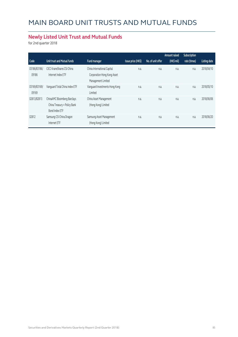### **Newly Listed Unit Trust and Mutual Funds**

for 2nd quarter 2018

|                       |                                                                               |                                                                                  |                    |                   | Amount raised | Subscription |                     |
|-----------------------|-------------------------------------------------------------------------------|----------------------------------------------------------------------------------|--------------------|-------------------|---------------|--------------|---------------------|
| Code                  | Unit trust and Mutual funds                                                   | <b>Fund manager</b>                                                              | Issue price (HK\$) | No. of unit offer | (HK\$ mil)    | rate (times) | <b>Listing date</b> |
| 03186/83186/<br>09186 | CICC KraneShares CSI China<br>Internet Index ETF                              | China International Capital<br>Corporation Hong Kong Asset<br>Management Limited | n.a.               | n.a.              | n.a.          | n.a.         | 2018/04/10          |
| 03169/83169/<br>09169 | Vanguard Total China Index ETF                                                | Vanguard Investments Hong Kong<br>Limited                                        | n.a.               | n.a.              | n.a.          | n.a.         | 2018/05/10          |
| 02813/82813           | ChinaAMC Bloomberg Barclays<br>China Treasury + Policy Bank<br>Bond Index ETF | China Asset Management<br>(Hong Kong) Limited                                    | n.a.               | n.a.              | n.a.          | n.a.         | 2018/06/06          |
| 02812                 | Samsung CSI China Dragon<br>Internet ETF                                      | Samsung Asset Management<br>(Hong Kong) Limited                                  | n.a.               | n.a.              | n.a.          | n.a.         | 2018/06/20          |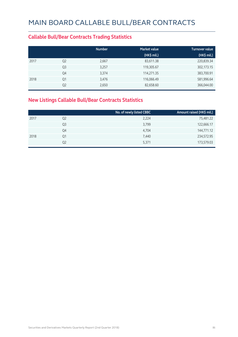#### **Callable Bull/Bear Contracts Trading Statistics**

|      |                | <b>Number</b> | <b>Market value</b> | <b>Turnover value</b> |
|------|----------------|---------------|---------------------|-----------------------|
|      |                |               | (HK\$ mil.)         | (HK\$ mil.)           |
| 2017 | Q <sub>2</sub> | 2,667         | 83,611.38           | 220,839.34            |
|      | Q <sub>3</sub> | 3,257         | 119,305.67          | 302,173.15            |
|      | Q4             | 3,374         | 114,271.35          | 383,700.91            |
| 2018 | Q1             | 3,476         | 116,066.49          | 581,996.64            |
|      | Q <sub>2</sub> | 2,650         | 82,658.60           | 366,044.00            |

### **New Listings Callable Bull/Bear Contracts Statistics**

|      |                | No. of newly listed CBBC | Amount raised (HK\$ mil.) |
|------|----------------|--------------------------|---------------------------|
| 2017 | Q <sub>2</sub> | 2,224                    | 75,481.22                 |
|      | Q3             | 3,799                    | 122,666.17                |
|      | Q4             | 4,704                    | 144,771.12                |
| 2018 | Q1             | 7,440                    | 234,572.95                |
|      | Q2             | 5,371                    | 173,579.03                |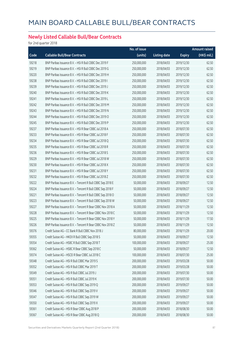### **Newly Listed Callable Bull/Bear Contracts**

for 2nd quarter 2018

|       |                                                            | No. of issue |                     |               | Amount raised |
|-------|------------------------------------------------------------|--------------|---------------------|---------------|---------------|
| Code  | <b>Callable Bull/Bear Contracts</b>                        | (units)      | <b>Listing date</b> | <b>Expiry</b> | (HK\$ mil.)   |
| 59218 | BNP Paribas Issuance B.V. - HSI R Bull CBBC Dec 2019 F     | 250,000,000  | 2018/04/03          | 2019/12/30    | 62.50         |
| 59219 | BNP Paribas Issuance B.V. - HSI R Bull CBBC Dec 2019 G     | 250,000,000  | 2018/04/03          | 2019/12/30    | 62.50         |
| 59220 | BNP Paribas Issuance B.V. - HSI R Bull CBBC Dec 2019 H     | 250,000,000  | 2018/04/03          | 2019/12/30    | 62.50         |
| 59238 | BNP Paribas Issuance B.V. - HSI R Bull CBBC Dec 2019 I     | 250,000,000  | 2018/04/03          | 2019/12/30    | 62.50         |
| 59239 | BNP Paribas Issuance B.V. - HSI R Bull CBBC Dec 2019 J     | 250,000,000  | 2018/04/03          | 2019/12/30    | 62.50         |
| 59240 | BNP Paribas Issuance B.V. - HSI R Bull CBBC Dec 2019 K     | 250,000,000  | 2018/04/03          | 2019/12/30    | 62.50         |
| 59241 | BNP Paribas Issuance B.V. - HSI R Bull CBBC Dec 2019 L     | 250,000,000  | 2018/04/03          | 2019/12/30    | 62.50         |
| 59242 | BNP Paribas Issuance B.V. - HSI R Bull CBBC Dec 2019 M     | 250,000,000  | 2018/04/03          | 2019/12/30    | 62.50         |
| 59243 | BNP Paribas Issuance B.V. - HSI R Bull CBBC Dec 2019 N     | 250,000,000  | 2018/04/03          | 2019/12/30    | 62.50         |
| 59244 | BNP Paribas Issuance B.V. - HSI R Bull CBBC Dec 2019 O     | 250,000,000  | 2018/04/03          | 2019/12/30    | 62.50         |
| 59245 | BNP Paribas Issuance B.V. - HSI R Bull CBBC Dec 2019 P     | 250,000,000  | 2018/04/03          | 2019/12/30    | 62.50         |
| 59237 | BNP Paribas Issuance B.V. - HSI R Bear CBBC Jul 2018 A     | 250,000,000  | 2018/04/03          | 2018/07/30    | 62.50         |
| 59233 | BNP Paribas Issuance B.V. - HSI R Bear CBBC Jul 2018 F     | 250,000,000  | 2018/04/03          | 2018/07/30    | 62.50         |
| 59234 | BNP Paribas Issuance B.V. - HSI R Bear CBBC Jul 2018 Q     | 250,000,000  | 2018/04/03          | 2018/07/30    | 62.50         |
| 59235 | BNP Paribas Issuance B.V. - HSI R Bear CBBC Jul 2018 R     | 250,000,000  | 2018/04/03          | 2018/07/30    | 62.50         |
| 59236 | BNP Paribas Issuance B.V. - HSI R Bear CBBC Jul 2018 S     | 250,000,000  | 2018/04/03          | 2018/07/30    | 62.50         |
| 59229 | BNP Paribas Issuance B.V. - HSI R Bear CBBC Jul 2018 W     | 250,000,000  | 2018/04/03          | 2018/07/30    | 62.50         |
| 59230 | BNP Paribas Issuance B.V. - HSI R Bear CBBC Jul 2018 X     | 250,000,000  | 2018/04/03          | 2018/07/30    | 62.50         |
| 59231 | BNP Paribas Issuance B.V. - HSI R Bear CBBC Jul 2018 Y     | 250,000,000  | 2018/04/03          | 2018/07/30    | 62.50         |
| 59232 | BNP Paribas Issuance B.V. - HSI R Bear CBBC Jul 2018 Z     | 250,000,000  | 2018/04/03          | 2018/07/30    | 62.50         |
| 59222 | BNP Paribas Issuance B.V. - Tencent R Bull CBBC Sep 2018 E | 50,000,000   | 2018/04/03          | 2018/09/27    | 12.50         |
| 59224 | BNP Paribas Issuance B.V. - Tencent R Bull CBBC Sep 2018 F | 50,000,000   | 2018/04/03          | 2018/09/27    | 12.50         |
| 59221 | BNP Paribas Issuance B.V. - Tencent R Bull CBBC Sep 2018 O | 50,000,000   | 2018/04/03          | 2018/09/27    | 12.50         |
| 59223 | BNP Paribas Issuance B.V. - Tencent R Bull CBBC Sep 2018 W | 50,000,000   | 2018/04/03          | 2018/09/27    | 12.50         |
| 59227 | BNP Paribas Issuance B.V. - Tencent R Bear CBBC Nov 2018 A | 50,000,000   | 2018/04/03          | 2018/11/29    | 12.50         |
| 59228 | BNP Paribas Issuance B.V. - Tencent R Bear CBBC Nov 2018 C | 50,000,000   | 2018/04/03          | 2018/11/29    | 12.50         |
| 59225 | BNP Paribas Issuance B.V. - Tencent R Bear CBBC Nov 2018 Y | 50,000,000   | 2018/04/03          | 2018/11/29    | 17.50         |
| 59226 | BNP Paribas Issuance B.V. - Tencent R Bear CBBC Nov 2018 Z | 50,000,000   | 2018/04/03          | 2018/11/29    | 12.50         |
| 59376 | Credit Suisse AG - CC Bank R Bull CBBC Nov 2018 J          | 80,000,000   | 2018/04/03          | 2018/11/29    | 20.00         |
| 59355 | Credit Suisse AG - HKEX R Bull CBBC Sep 2018 S             | 50,000,000   | 2018/04/03          | 2018/09/27    | 12.50         |
| 59354 | Credit Suisse AG - HSBC R Bull CBBC Sep 2018 T             | 100,000,000  | 2018/04/03          | 2018/09/27    | 25.00         |
| 59362 | Credit Suisse AG - HSBC R Bear CBBC Sep 2018 C             | 50,000,000   | 2018/04/03          | 2018/09/27    | 12.50         |
| 59374 | Credit Suisse AG - HSCEI R Bear CBBC Jul 2018 C            | 100,000,000  | 2018/04/03          | 2018/07/30    | 25.00         |
| 59348 | Credit Suisse AG - HSI R Bull CBBC Mar 2019 S              | 200,000,000  | 2018/04/03          | 2019/03/28    | 50.00         |
| 59352 | Credit Suisse AG - HSI R Bull CBBC Mar 2019 T              | 200,000,000  | 2018/04/03          | 2019/03/28    | 50.00         |
| 59349 | Credit Suisse AG - HSI R Bull CBBC Jul 2019 J              | 200,000,000  | 2018/04/03          | 2019/07/30    | 50.00         |
| 59351 | Credit Suisse AG - HSI R Bull CBBC Jul 2019 K              | 200,000,000  | 2018/04/03          | 2019/07/30    | 50.00         |
| 59353 | Credit Suisse AG - HSI R Bull CBBC Sep 2019 Q              | 200,000,000  | 2018/04/03          | 2019/09/27    | 50.00         |
| 59346 | Credit Suisse AG - HSI R Bull CBBC Sep 2019 V              | 200,000,000  | 2018/04/03          | 2019/09/27    | 50.00         |
| 59347 | Credit Suisse AG - HSI R Bull CBBC Sep 2019 W              | 200,000,000  | 2018/04/03          | 2019/09/27    | 50.00         |
| 59350 | Credit Suisse AG - HSI R Bull CBBC Sep 2019 X              | 200,000,000  | 2018/04/03          | 2019/09/27    | 50.00         |
| 59361 | Credit Suisse AG - HSI R Bear CBBC Aug 2018 P              | 200,000,000  | 2018/04/03          | 2018/08/30    | 50.00         |
| 59367 | Credit Suisse AG - HSI R Bear CBBC Aug 2018 Q              | 200,000,000  | 2018/04/03          | 2018/08/30    | 50.00         |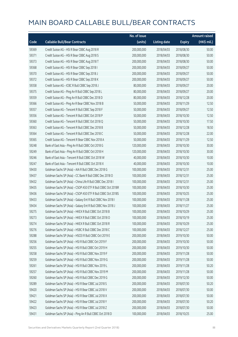|       |                                                              | No. of issue |                     |               | Amount raised |
|-------|--------------------------------------------------------------|--------------|---------------------|---------------|---------------|
| Code  | <b>Callable Bull/Bear Contracts</b>                          | (units)      | <b>Listing date</b> | <b>Expiry</b> | (HK\$ mil.)   |
| 59369 | Credit Suisse AG - HSI R Bear CBBC Aug 2018 R                | 200,000,000  | 2018/04/03          | 2018/08/30    | 50.00         |
| 59371 | Credit Suisse AG - HSI R Bear CBBC Aug 2018 S                | 200,000,000  | 2018/04/03          | 2018/08/30    | 50.00         |
| 59373 | Credit Suisse AG - HSI R Bear CBBC Aug 2018 T                | 200,000,000  | 2018/04/03          | 2018/08/30    | 50.00         |
| 59368 | Credit Suisse AG - HSI R Bear CBBC Sep 2018 I                | 200,000,000  | 2018/04/03          | 2018/09/27    | 50.00         |
| 59370 | Credit Suisse AG - HSI R Bear CBBC Sep 2018 J                | 200,000,000  | 2018/04/03          | 2018/09/27    | 50.00         |
| 59372 | Credit Suisse AG - HSI R Bear CBBC Sep 2018 K                | 200,000,000  | 2018/04/03          | 2018/09/27    | 50.00         |
| 59358 | Credit Suisse AG - ICBC R Bull CBBC Sep 2018 J               | 80,000,000   | 2018/04/03          | 2018/09/27    | 20.00         |
| 59375 | Credit Suisse AG - Ping An R Bull CBBC Sep 2018 L            | 80,000,000   | 2018/04/03          | 2018/09/27    | 20.00         |
| 59359 | Credit Suisse AG - Ping An R Bull CBBC Dec 2018 D            | 80,000,000   | 2018/04/03          | 2018/12/28    | 20.00         |
| 59366 | Credit Suisse AG - Ping An R Bear CBBC Nov 2018 B            | 50,000,000   | 2018/04/03          | 2018/11/29    | 12.50         |
| 59357 | Credit Suisse AG - Tencent R Bull CBBC Sep 2018 F            | 50,000,000   | 2018/04/03          | 2018/09/27    | 12.50         |
| 59356 | Credit Suisse AG - Tencent R Bull CBBC Oct 2018 P            | 50,000,000   | 2018/04/03          | 2018/10/30    | 12.50         |
| 59360 | Credit Suisse AG - Tencent R Bull CBBC Oct 2018 Q            | 50,000,000   | 2018/04/03          | 2018/10/30    | 17.50         |
| 59363 | Credit Suisse AG - Tencent R Bull CBBC Dec 2018 B            | 50,000,000   | 2018/04/03          | 2018/12/28    | 18.50         |
| 59364 | Credit Suisse AG - Tencent R Bull CBBC Dec 2018 C            | 50,000,000   | 2018/04/03          | 2018/12/28    | 22.00         |
| 59365 | Credit Suisse AG - Tencent R Bear CBBC Nov 2018 A            | 50,000,000   | 2018/04/03          | 2018/11/29    | 12.50         |
| 59248 | Bank of East Asia - Ping An R Bull CBBC Oct 2018 G           | 120,000,000  | 2018/04/03          | 2018/10/30    | 30.00         |
| 59249 | Bank of East Asia - Ping An R Bull CBBC Oct 2018 H           | 120,000,000  | 2018/04/03          | 2018/10/30    | 30.00         |
| 59246 | Bank of East Asia - Tencent R Bull CBBC Oct 2018 W           | 40,000,000   | 2018/04/03          | 2018/10/30    | 10.00         |
| 59247 | Bank of East Asia - Tencent R Bull CBBC Oct 2018 X           | 40,000,000   | 2018/04/03          | 2018/10/30    | 10.00         |
| 59430 | Goldman Sachs SP (Asia) - AIA R Bull CBBC Dec 2018 G         | 100,000,000  | 2018/04/03          | 2018/12/31    | 25.00         |
| 59437 | Goldman Sachs SP (Asia) - CC Bank R Bull CBBC Dec 2018 O     | 100,000,000  | 2018/04/03          | 2018/12/31    | 25.00         |
| 59432 | Goldman Sachs SP (Asia) - China Life R Bull CBBC Dec 2018 I  | 100,000,000  | 2018/04/03          | 2018/12/31    | 25.00         |
| 59435 | Goldman Sachs SP (Asia) - CSOP A50 ETF R Bull CBBC Oct 2018R | 100,000,000  | 2018/04/03          | 2018/10/30    | 25.00         |
| 59436 | Goldman Sachs SP (Asia) - CSOP A50 ETF R Bull CBBC Oct 2018S | 100,000,000  | 2018/04/03          | 2018/10/25    | 25.00         |
| 59433 | Goldman Sachs SP (Asia) - Galaxy Ent R Bull CBBC Nov 2018 I  | 100,000,000  | 2018/04/03          | 2018/11/28    | 25.00         |
| 59434 | Goldman Sachs SP (Asia) - Galaxy Ent R Bull CBBC Nov 2018 J  | 100,000,000  | 2018/04/03          | 2018/11/27    | 25.00         |
| 59275 | Goldman Sachs SP (Asia) - HKEX R Bull CBBC Oct 2018 B        | 100,000,000  | 2018/04/03          | 2018/10/29    | 25.00         |
| 59273 | Goldman Sachs SP (Asia) - HKEX R Bull CBBC Oct 2018 O        | 100,000,000  | 2018/04/03          | 2018/10/19    | 25.00         |
| 59274 | Goldman Sachs SP (Asia) - HKEX R Bull CBBC Oct 2018 R        | 100,000,000  | 2018/04/03          | 2018/10/29    | 25.00         |
| 59276 | Goldman Sachs SP (Asia) - HSBC R Bull CBBC Dec 2018 C        | 100,000,000  | 2018/04/03          | 2018/12/27    | 25.00         |
| 59288 | Goldman Sachs SP (Asia) - HSCEI R Bull CBBC Oct 2019 E       | 200,000,000  | 2018/04/03          | 2019/10/30    | 50.00         |
| 59256 | Goldman Sachs SP (Asia) - HSI R Bull CBBC Oct 2019 F         | 200,000,000  | 2018/04/03          | 2019/10/30    | 50.00         |
| 59255 | Goldman Sachs SP (Asia) - HSI R Bull CBBC Oct 2019 H         | 200,000,000  | 2018/04/03          | 2019/10/30    | 50.00         |
| 59258 | Goldman Sachs SP (Asia) - HSI R Bull CBBC Nov 2019 F         | 200,000,000  | 2018/04/03          | 2019/11/28    | 50.00         |
| 59259 | Goldman Sachs SP (Asia) - HSI R Bull CBBC Nov 2019 G         | 200,000,000  | 2018/04/03          | 2019/11/28    | 50.00         |
| 59261 | Goldman Sachs SP (Asia) - HSI R Bull CBBC Nov 2019 L         | 200,000,000  | 2018/04/03          | 2019/11/28    | 50.20         |
| 59257 | Goldman Sachs SP (Asia) - HSI R Bull CBBC Nov 2019 M         | 200,000,000  | 2018/04/03          | 2019/11/28    | 50.00         |
| 59260 | Goldman Sachs SP (Asia) - HSI R Bull CBBC Dec 2019 G         | 200,000,000  | 2018/04/03          | 2019/12/30    | 50.00         |
| 59289 | Goldman Sachs SP (Asia) - HSI R Bear CBBC Jul 2018 S         | 200,000,000  | 2018/04/03          | 2018/07/30    | 50.20         |
| 59420 | Goldman Sachs SP (Asia) - HSI R Bear CBBC Jul 2018 V         | 200,000,000  | 2018/04/03          | 2018/07/30    | 50.00         |
| 59421 | Goldman Sachs SP (Asia) - HSI R Bear CBBC Jul 2018 X         | 200,000,000  | 2018/04/03          | 2018/07/30    | 50.00         |
| 59422 | Goldman Sachs SP (Asia) - HSI R Bear CBBC Jul 2018 Y         | 200,000,000  | 2018/04/03          | 2018/07/30    | 50.20         |
| 59423 | Goldman Sachs SP (Asia) - HSI R Bear CBBC Jul 2018 Z         | 200,000,000  | 2018/04/03          | 2018/07/30    | 50.00         |
| 59431 | Goldman Sachs SP (Asia) - Ping An R Bull CBBC Oct 2018 D     | 100,000,000  | 2018/04/03          | 2018/10/25    | 25.00         |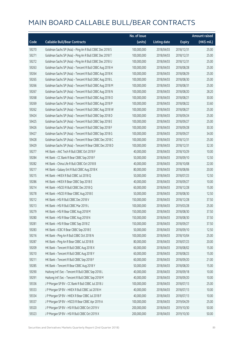|       |                                                          | No. of issue |                     |               | <b>Amount raised</b>  |
|-------|----------------------------------------------------------|--------------|---------------------|---------------|-----------------------|
| Code  | <b>Callable Bull/Bear Contracts</b>                      | (units)      | <b>Listing date</b> | <b>Expiry</b> | $(HK\frac{1}{2}mil.)$ |
| 59270 | Goldman Sachs SP (Asia) - Ping An R Bull CBBC Dec 2018 S | 100,000,000  | 2018/04/03          | 2018/12/31    | 25.00                 |
| 59271 | Goldman Sachs SP (Asia) - Ping An R Bull CBBC Dec 2018 T | 100,000,000  | 2018/04/03          | 2018/12/31    | 25.00                 |
| 59272 | Goldman Sachs SP (Asia) - Ping An R Bull CBBC Dec 2018 U | 100,000,000  | 2018/04/03          | 2018/12/31    | 25.00                 |
| 59263 | Goldman Sachs SP (Asia) - Tencent R Bull CBBC Aug 2018 H | 100,000,000  | 2018/04/03          | 2018/08/28    | 25.00                 |
| 59264 | Goldman Sachs SP (Asia) - Tencent R Bull CBBC Aug 2018 K | 100,000,000  | 2018/04/03          | 2018/08/29    | 25.00                 |
| 59265 | Goldman Sachs SP (Asia) - Tencent R Bull CBBC Aug 2018 L | 100,000,000  | 2018/04/03          | 2018/08/30    | 25.00                 |
| 59266 | Goldman Sachs SP (Asia) - Tencent R Bull CBBC Aug 2018 M | 100,000,000  | 2018/04/03          | 2018/08/31    | 25.00                 |
| 59267 | Goldman Sachs SP (Asia) - Tencent R Bull CBBC Aug 2018 N | 100,000,000  | 2018/04/03          | 2018/08/20    | 28.20                 |
| 59268 | Goldman Sachs SP (Asia) - Tencent R Bull CBBC Aug 2018 O | 100,000,000  | 2018/04/03          | 2018/08/21    | 30.00                 |
| 59269 | Goldman Sachs SP (Asia) - Tencent R Bull CBBC Aug 2018 P | 100,000,000  | 2018/04/03          | 2018/08/22    | 33.60                 |
| 59262 | Goldman Sachs SP (Asia) - Tencent R Bull CBBC Aug 2018 W | 100,000,000  | 2018/04/03          | 2018/08/27    | 25.00                 |
| 59424 | Goldman Sachs SP (Asia) - Tencent R Bull CBBC Sep 2018 D | 100,000,000  | 2018/04/03          | 2018/09/24    | 25.00                 |
| 59425 | Goldman Sachs SP (Asia) - Tencent R Bull CBBC Sep 2018 E | 100,000,000  | 2018/04/03          | 2018/09/27    | 25.00                 |
| 59426 | Goldman Sachs SP (Asia) - Tencent R Bull CBBC Sep 2018 F | 100,000,000  | 2018/04/03          | 2018/09/28    | 30.30                 |
| 59427 | Goldman Sachs SP (Asia) - Tencent R Bull CBBC Sep 2018 G | 100,000,000  | 2018/04/03          | 2018/09/27    | 34.00                 |
| 59428 | Goldman Sachs SP (Asia) - Tencent R Bear CBBC Dec 2018 C | 100,000,000  | 2018/04/03          | 2018/12/31    | 25.00                 |
| 59429 | Goldman Sachs SP (Asia) - Tencent R Bear CBBC Dec 2018 D | 100,000,000  | 2018/04/03          | 2018/12/31    | 32.30                 |
| 59277 | HK Bank - AAC Tech R Bull CBBC Oct 2018 F                | 40,000,000   | 2018/04/03          | 2018/10/29    | 10.00                 |
| 59284 | HK Bank - CC Bank R Bear CBBC Sep 2018 F                 | 50,000,000   | 2018/04/03          | 2018/09/10    | 12.50                 |
| 59282 | HK Bank - China Life R Bull CBBC Oct 2018 B              | 40,000,000   | 2018/04/03          | 2018/10/08    | 22.00                 |
| 59217 | HK Bank - Galaxy Ent R Bull CBBC Aug 2018 K              | 80,000,000   | 2018/04/03          | 2018/08/06    | 20.00                 |
| 59215 | HK Bank - HKEX R Bull CBBC Jul 2018 Q                    | 50,000,000   | 2018/04/03          | 2018/07/23    | 12.50                 |
| 59286 | HK Bank - HKEX R Bear CBBC Sep 2018 E                    | 40,000,000   | 2018/04/03          | 2018/09/27    | 10.00                 |
| 59214 | HK Bank - HSCEI R Bull CBBC Dec 2018 Q                   | 60,000,000   | 2018/04/03          | 2018/12/28    | 15.00                 |
| 59278 | HK Bank - HSCEI R Bear CBBC Aug 2018 E                   | 50,000,000   | 2018/04/03          | 2018/08/30    | 12.50                 |
| 59212 | HK Bank - HSI R Bull CBBC Dec 2018 V                     | 150,000,000  | 2018/04/03          | 2018/12/28    | 37.50                 |
| 59213 | HK Bank - HSI R Bull CBBC Mar 2019 L                     | 100,000,000  | 2018/04/03          | 2019/03/28    | 25.00                 |
| 59279 | HK Bank - HSI R Bear CBBC Aug 2018 M                     | 150,000,000  | 2018/04/03          | 2018/08/30    | 37.50                 |
| 59280 | HK Bank - HSI R Bear CBBC Aug 2018 N                     | 150,000,000  | 2018/04/03          | 2018/08/30    | 37.50                 |
| 59281 | HK Bank - HSI R Bear CBBC Sep 2018 Z                     | 150,000,000  | 2018/04/03          | 2018/09/27    | 37.50                 |
| 59283 | HK Bank - ICBC R Bear CBBC Sep 2018 E                    | 50,000,000   | 2018/04/03          | 2018/09/10    | 12.50                 |
| 59216 | HK Bank - Ping An R Bull CBBC Oct 2018 N                 | 100,000,000  | 2018/04/03          | 2018/10/04    | 25.00                 |
| 59287 | HK Bank - Ping An R Bear CBBC Jul 2018 B                 | 80,000,000   | 2018/04/03          | 2018/07/23    | 20.00                 |
| 59209 | HK Bank - Tencent R Bull CBBC Aug 2018 X                 | 60,000,000   | 2018/04/03          | 2018/08/02    | 15.00                 |
| 59210 | HK Bank - Tencent R Bull CBBC Aug 2018 Y                 | 60,000,000   | 2018/04/03          | 2018/08/23    | 15.00                 |
| 59211 | HK Bank - Tencent R Bull CBBC Sep 2018 F                 | 60,000,000   | 2018/04/03          | 2018/09/20    | 21.00                 |
| 59285 | HK Bank - Tencent R Bear CBBC Aug 2018 Y                 | 50,000,000   | 2018/04/03          | 2018/08/20    | 15.00                 |
| 59290 | Haitong Int'l Sec - Tencent R Bull CBBC Sep 2018 L       | 40,000,000   | 2018/04/03          | 2018/09/18    | 10.00                 |
| 59291 | Haitong Int'l Sec - Tencent R Bull CBBC Sep 2018 M       | 40,000,000   | 2018/04/03          | 2018/09/20    | 10.00                 |
| 59336 | J P Morgan SP BV - CC Bank R Bull CBBC Jul 2018 J        | 100,000,000  | 2018/04/03          | 2018/07/13    | 25.00                 |
| 59333 | J P Morgan SP BV - HKEX R Bull CBBC Jul 2018 H           | 40,000,000   | 2018/04/03          | 2018/07/13    | 10.00                 |
| 59334 | J P Morgan SP BV - HKEX R Bear CBBC Jul 2018 F           | 40,000,000   | 2018/04/03          | 2018/07/13    | 10.00                 |
| 59337 | J P Morgan SP BV - HSCEI R Bear CBBC Apr 2019 A          | 100,000,000  | 2018/04/03          | 2019/04/29    | 25.00                 |
| 59320 | J P Morgan SP BV - HSI R Bull CBBC Oct 2019 V            | 200,000,000  | 2018/04/03          | 2019/10/30    | 50.00                 |
| 59323 | J P Morgan SP BV - HSI R Bull CBBC Oct 2019 X            | 200,000,000  | 2018/04/03          | 2019/10/30    | 50.00                 |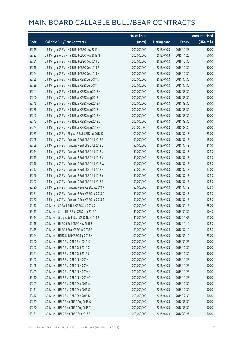|       |                                                   | No. of issue |                     |               | <b>Amount raised</b> |
|-------|---------------------------------------------------|--------------|---------------------|---------------|----------------------|
| Code  | <b>Callable Bull/Bear Contracts</b>               | (units)      | <b>Listing date</b> | <b>Expiry</b> | (HK\$ mil.)          |
| 59319 | J P Morgan SP BV - HSI R Bull CBBC Nov 2019 L     | 200,000,000  | 2018/04/03          | 2019/11/28    | 50.00                |
| 59322 | J P Morgan SP BV - HSI R Bull CBBC Nov 2019 N     | 200,000,000  | 2018/04/03          | 2019/11/28    | 50.00                |
| 59321 | J P Morgan SP BV - HSI R Bull CBBC Dec 2019 L     | 200,000,000  | 2018/04/03          | 2019/12/30    | 50.00                |
| 59318 | J P Morgan SP BV - HSI R Bull CBBC Dec 2019 P     | 200,000,000  | 2018/04/03          | 2019/12/30    | 50.00                |
| 59324 | J P Morgan SP BV - HSI R Bull CBBC Dec 2019 X     | 200,000,000  | 2018/04/03          | 2019/12/30    | 50.00                |
| 59325 | J P Morgan SP BV - HSI R Bear CBBC Jul 2018 L     | 200,000,000  | 2018/04/03          | 2018/07/30    | 50.00                |
| 59339 | J P Morgan SP BV - HSI R Bear CBBC Jul 2018 T     | 200,000,000  | 2018/04/03          | 2018/07/30    | 50.00                |
| 59341 | J P Morgan SP BV - HSI R Bear CBBC Aug 2018 H     | 200,000,000  | 2018/04/03          | 2018/08/30    | 50.00                |
| 59340 | J P Morgan SP BV - HSI R Bear CBBC Aug 2018 I     | 200,000,000  | 2018/04/03          | 2018/08/30    | 50.00                |
| 59345 | J P Morgan SP BV - HSI R Bear CBBC Aug 2018 J     | 200,000,000  | 2018/04/03          | 2018/08/30    | 50.00                |
| 59338 | J P Morgan SP BV - HSI R Bear CBBC Aug 2018 L     | 200,000,000  | 2018/04/03          | 2018/08/30    | 50.00                |
| 59342 | J P Morgan SP BV - HSI R Bear CBBC Aug 2018 N     | 200,000,000  | 2018/04/03          | 2018/08/30    | 50.00                |
| 59343 | J P Morgan SP BV - HSI R Bear CBBC Aug 2018 O     | 200,000,000  | 2018/04/03          | 2018/08/30    | 50.00                |
| 59344 | J P Morgan SP BV - HSI R Bear CBBC Aug 2018 P     | 200,000,000  | 2018/04/03          | 2018/08/30    | 50.00                |
| 59335 | J P Morgan SP BV - Ping An R Bull CBBC Jul 2018 D | 100,000,000  | 2018/04/03          | 2018/07/13    | 25.00                |
| 59328 | J P Morgan SP BV - Tencent R Bull CBBC Jul 2018 B | 50,000,000   | 2018/04/03          | 2018/07/13    | 15.00                |
| 59329 | J P Morgan SP BV - Tencent R Bull CBBC Jul 2018 D | 50,000,000   | 2018/04/03          | 2018/07/13    | 21.00                |
| 59314 | J P Morgan SP BV - Tencent R Bull CBBC Jul 2018 U | 50,000,000   | 2018/04/03          | 2018/07/13    | 12.50                |
| 59315 | J P Morgan SP BV - Tencent R Bull CBBC Jul 2018 V | 50,000,000   | 2018/04/03          | 2018/07/13    | 12.50                |
| 59316 | J P Morgan SP BV - Tencent R Bull CBBC Jul 2018 W | 50,000,000   | 2018/04/03          | 2018/07/13    | 12.50                |
| 59317 | J P Morgan SP BV - Tencent R Bull CBBC Jul 2018 X | 50,000,000   | 2018/04/03          | 2018/07/13    | 13.00                |
| 59326 | J P Morgan SP BV - Tencent R Bull CBBC Jul 2018 Y | 50,000,000   | 2018/04/03          | 2018/07/13    | 12.50                |
| 59327 | J P Morgan SP BV - Tencent R Bull CBBC Jul 2018 Z | 50,000,000   | 2018/04/03          | 2018/07/13    | 12.50                |
| 59330 | J P Morgan SP BV - Tencent R Bear CBBC Jul 2018 P | 50,000,000   | 2018/04/03          | 2018/07/13    | 12.50                |
| 59331 | J P Morgan SP BV - Tencent R Bear CBBC Jul 2018 Q | 50,000,000   | 2018/04/03          | 2018/07/13    | 12.50                |
| 59332 | J P Morgan SP BV - Tencent R Bear CBBC Jul 2018 R | 50,000,000   | 2018/04/03          | 2018/07/13    | 12.50                |
| 59417 | SG Issuer - CC Bank R Bull CBBC Sep 2018 S        | 100,000,000  | 2018/04/03          | 2018/09/18    | 25.00                |
| 59413 | SG Issuer - China Life R Bull CBBC Jan 2019 A     | 40,000,000   | 2018/04/03          | 2019/01/30    | 10.40                |
| 59414 | SG Issuer - Geely Auto R Bear CBBC Nov 2018 B     | 40,000,000   | 2018/04/03          | 2018/11/05    | 13.00                |
| 59418 | SG Issuer - HKEX R Bull CBBC Nov 2018 S           | 50,000,000   | 2018/04/03          | 2018/11/14    | 12.50                |
| 59415 | SG Issuer - HKEX R Bear CBBC Jul 2018 E           | 50,000,000   | 2018/04/03          | 2018/07/19    | 12.50                |
| 59394 | SG Issuer - HSBC R Bull CBBC Sep 2018 M           | 100,000,000  | 2018/04/03          | 2018/09/10    | 25.00                |
| 59390 | SG Issuer - HSI R Bull CBBC Sep 2019 X            | 200,000,000  | 2018/04/03          | 2019/09/27    | 50.00                |
| 59392 | SG Issuer - HSI R Bull CBBC Oct 2019 C            | 200,000,000  | 2018/04/03          | 2019/10/30    | 50.00                |
| 59391 | SG Issuer - HSI R Bull CBBC Oct 2019 J            | 200,000,000  | 2018/04/03          | 2019/10/30    | 50.00                |
| 59407 | SG Issuer - HSI R Bull CBBC Nov 2019 I            | 200,000,000  | 2018/04/03          | 2019/11/28    | 50.00                |
| 59408 | SG Issuer - HSI R Bull CBBC Nov 2019 J            | 200,000,000  | 2018/04/03          | 2019/11/28    | 50.00                |
| 59409 | SG Issuer - HSI R Bull CBBC Nov 2019 M            | 200,000,000  | 2018/04/03          | 2019/11/28    | 50.00                |
| 59410 | SG Issuer - HSI R Bull CBBC Nov 2019 O            | 200,000,000  | 2018/04/03          | 2019/11/28    | 50.00                |
| 59393 | SG Issuer - HSI R Bull CBBC Dec 2019 A            | 200,000,000  | 2018/04/03          | 2019/12/30    | 50.00                |
| 59411 | SG Issuer - HSI R Bull CBBC Dec 2019 C            | 200,000,000  | 2018/04/03          | 2019/12/30    | 50.00                |
| 59412 | SG Issuer - HSI R Bull CBBC Dec 2019 D            | 200,000,000  | 2018/04/03          | 2019/12/30    | 50.00                |
| 59379 | SG Issuer - HSI R Bear CBBC Aug 2018 Q            | 200,000,000  | 2018/04/03          | 2018/08/30    | 50.00                |
| 59380 | SG Issuer - HSI R Bear CBBC Aug 2018 T            | 200,000,000  | 2018/04/03          | 2018/08/30    | 50.00                |
| 59381 | SG Issuer - HSI R Bear CBBC Sep 2018 B            | 200,000,000  | 2018/04/03          | 2018/09/27    | 50.00                |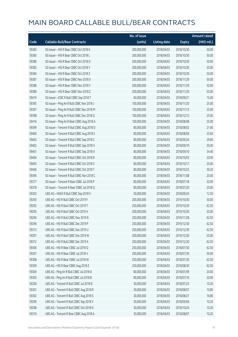|       |                                            | No. of issue |                     |               | <b>Amount raised</b> |
|-------|--------------------------------------------|--------------|---------------------|---------------|----------------------|
| Code  | <b>Callable Bull/Bear Contracts</b>        | (units)      | <b>Listing date</b> | <b>Expiry</b> | (HK\$ mil.)          |
| 59383 | SG Issuer - HSI R Bear CBBC Oct 2018 K     | 200,000,000  | 2018/04/03          | 2018/10/30    | 50.00                |
| 59385 | SG Issuer - HSI R Bear CBBC Oct 2018 L     | 200,000,000  | 2018/04/03          | 2018/10/30    | 50.00                |
| 59386 | SG Issuer - HSI R Bear CBBC Oct 2018 O     | 200,000,000  | 2018/04/03          | 2018/10/30    | 50.00                |
| 59382 | SG Issuer - HSI R Bear CBBC Oct 2018 Y     | 200,000,000  | 2018/04/03          | 2018/10/30    | 50.00                |
| 59384 | SG Issuer - HSI R Bear CBBC Oct 2018 Z     | 200,000,000  | 2018/04/03          | 2018/10/30    | 50.00                |
| 59387 | SG Issuer - HSI R Bear CBBC Nov 2018 X     | 200,000,000  | 2018/04/03          | 2018/11/29    | 50.00                |
| 59388 | SG Issuer - HSI R Bear CBBC Nov 2018 Y     | 200,000,000  | 2018/04/03          | 2018/11/29    | 50.00                |
| 59389 | SG Issuer - HSI R Bear CBBC Nov 2018 Z     | 200,000,000  | 2018/04/03          | 2018/11/29    | 50.00                |
| 59419 | SG Issuer - ICBC R Bull CBBC Sep 2018 T    | 60,000,000   | 2018/04/03          | 2018/09/21    | 15.00                |
| 59395 | SG Issuer - Ping An R Bull CBBC Nov 2018 J | 100,000,000  | 2018/04/03          | 2018/11/20    | 25.00                |
| 59397 | SG Issuer - Ping An R Bull CBBC Nov 2018 M | 100,000,000  | 2018/04/03          | 2018/11/13    | 25.00                |
| 59398 | SG Issuer - Ping An R Bull CBBC Dec 2018 Q | 100,000,000  | 2018/04/03          | 2018/12/12    | 25.00                |
| 59416 | SG Issuer - Ping An R Bear CBBC Aug 2018 A | 100,000,000  | 2018/04/03          | 2018/08/08    | 25.00                |
| 59399 | SG Issuer - Tencent R Bull CBBC Aug 2018 O | 80,000,000   | 2018/04/03          | 2018/08/02    | 21.60                |
| 59400 | SG Issuer - Tencent R Bull CBBC Aug 2018 S | 80,000,000   | 2018/04/03          | 2018/08/06    | 25.60                |
| 59403 | SG Issuer - Tencent R Bull CBBC Sep 2018 C | 80,000,000   | 2018/04/03          | 2018/09/24    | 29.60                |
| 59402 | SG Issuer - Tencent R Bull CBBC Sep 2018 V | 80,000,000   | 2018/04/03          | 2018/09/19    | 20.00                |
| 59401 | SG Issuer - Tencent R Bull CBBC Sep 2018 X | 80,000,000   | 2018/04/03          | 2018/09/10    | 34.40                |
| 59404 | SG Issuer - Tencent R Bull CBBC Oct 2018 R | 80,000,000   | 2018/04/03          | 2018/10/03    | 20.00                |
| 59405 | SG Issuer - Tencent R Bull CBBC Oct 2018 S | 80,000,000   | 2018/04/03          | 2018/10/11    | 20.00                |
| 59406 | SG Issuer - Tencent R Bull CBBC Oct 2018 T | 80,000,000   | 2018/04/03          | 2018/10/22    | 39.20                |
| 59396 | SG Issuer - Tencent R Bull CBBC Nov 2018 C | 80,000,000   | 2018/04/03          | 2018/11/08    | 20.00                |
| 59377 | SG Issuer - Tencent R Bear CBBC Jul 2018 P | 80,000,000   | 2018/04/03          | 2018/07/18    | 20.00                |
| 59378 | SG Issuer - Tencent R Bear CBBC Jul 2018 Q | 80,000,000   | 2018/04/03          | 2018/07/20    | 20.00                |
| 59303 | UBS AG - HKEX R Bull CBBC Sep 2018 V       | 50,000,000   | 2018/04/03          | 2018/09/24    | 12.50                |
| 59293 | UBS AG - HSI R Bull CBBC Oct 2019 F        | 200,000,000  | 2018/04/03          | 2019/10/30    | 50.00                |
| 59292 | UBS AG - HSI R Bull CBBC Oct 2019 T        | 250,000,000  | 2018/04/03          | 2019/10/30    | 62.50                |
| 59295 | UBS AG - HSI R Bull CBBC Oct 2019 V        | 200,000,000  | 2018/04/03          | 2019/10/30    | 50.00                |
| 59294 | UBS AG - HSI R Bull CBBC Nov 2019 B        | 250,000,000  | 2018/04/03          | 2019/11/28    | 62.50                |
| 59296 | UBS AG - HSI R Bull CBBC Dec 2019 P        | 250,000,000  | 2018/04/03          | 2019/12/30    | 62.50                |
| 59313 | UBS AG - HSI R Bull CBBC Dec 2019 U        | 250,000,000  | 2018/04/03          | 2019/12/30    | 62.50                |
| 59297 | UBS AG - HSI R Bull CBBC Dec 2019 W        | 200,000,000  | 2018/04/03          | 2019/12/30    | 50.00                |
| 59312 | UBS AG - HSI R Bull CBBC Dec 2019 X        | 250,000,000  | 2018/04/03          | 2019/12/30    | 62.50                |
| 59306 | UBS AG - HSI R Bear CBBC Jul 2018 Q        | 250,000,000  | 2018/04/03          | 2018/07/30    | 62.50                |
| 59307 | UBS AG - HSI R Bear CBBC Jul 2018 V        | 200,000,000  | 2018/04/03          | 2018/07/30    | 50.00                |
| 59308 | UBS AG - HSI R Bear CBBC Jul 2018 W        | 250,000,000  | 2018/04/03          | 2018/07/30    | 62.50                |
| 59309 | UBS AG - HSI R Bear CBBC Aug 2018 Z        | 250,000,000  | 2018/04/03          | 2018/08/30    | 62.50                |
| 59304 | UBS AG - Ping An R Bull CBBC Jul 2018 A    | 80,000,000   | 2018/04/03          | 2018/07/09    | 20.00                |
| 59305 | UBS AG - Ping An R Bull CBBC Jul 2018 B    | 80,000,000   | 2018/04/03          | 2018/07/16    | 20.00                |
| 59300 | UBS AG - Tencent R Bull CBBC Jul 2018 B    | 30,000,000   | 2018/04/03          | 2018/07/23    | 10.20                |
| 59301 | UBS AG - Tencent R Bull CBBC Aug 2018 R    | 30,000,000   | 2018/04/03          | 2018/08/07    | 10.80                |
| 59302 | UBS AG - Tencent R Bull CBBC Aug 2018 S    | 30,000,000   | 2018/04/03          | 2018/08/21    | 16.80                |
| 59299 | UBS AG - Tencent R Bull CBBC Sep 2018 V    | 30,000,000   | 2018/04/03          | 2018/09/06    | 10.20                |
| 59298 | UBS AG - Tencent R Bull CBBC Oct 2018 N    | 30,000,000   | 2018/04/03          | 2018/10/24    | 10.20                |
| 59310 | UBS AG - Tencent R Bear CBBC Aug 2018 A    | 30,000,000   | 2018/04/03          | 2018/08/07    | 10.20                |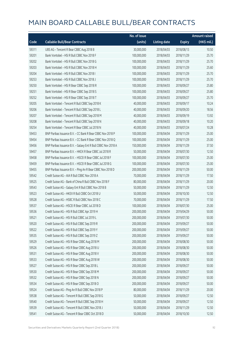|       |                                                               | No. of issue |                     |               | <b>Amount raised</b> |
|-------|---------------------------------------------------------------|--------------|---------------------|---------------|----------------------|
| Code  | <b>Callable Bull/Bear Contracts</b>                           | (units)      | <b>Listing date</b> | <b>Expiry</b> | (HK\$ mil.)          |
| 59311 | UBS AG - Tencent R Bear CBBC Aug 2018 B                       | 30,000,000   | 2018/04/03          | 2018/08/13    | 10.50                |
| 59201 | Bank Vontobel - HSI R Bull CBBC Nov 2018 F                    | 100,000,000  | 2018/04/03          | 2018/11/29    | 25.70                |
| 59202 | Bank Vontobel - HSI R Bull CBBC Nov 2018 G                    | 100,000,000  | 2018/04/03          | 2018/11/29    | 25.70                |
| 59203 | Bank Vontobel - HSI R Bull CBBC Nov 2018 H                    | 100,000,000  | 2018/04/03          | 2018/11/29    | 25.60                |
| 59204 | Bank Vontobel - HSI R Bull CBBC Nov 2018 I                    | 100,000,000  | 2018/04/03          | 2018/11/29    | 25.70                |
| 59253 | Bank Vontobel - HSI R Bull CBBC Nov 2018 J                    | 100,000,000  | 2018/04/03          | 2018/11/29    | 25.70                |
| 59250 | Bank Vontobel - HSI R Bear CBBC Sep 2018 R                    | 100,000,000  | 2018/04/03          | 2018/09/27    | 25.80                |
| 59251 | Bank Vontobel - HSI R Bear CBBC Sep 2018 S                    | 100,000,000  | 2018/04/03          | 2018/09/27    | 25.80                |
| 59252 | Bank Vontobel - HSI R Bear CBBC Sep 2018 T                    | 100,000,000  | 2018/04/03          | 2018/09/27    | 25.70                |
| 59205 | Bank Vontobel - Tencent R Bull CBBC Sep 2018 K                | 40,000,000   | 2018/04/03          | 2018/09/17    | 10.24                |
| 59206 | Bank Vontobel - Tencent R Bull CBBC Sep 2018 L                | 40,000,000   | 2018/04/03          | 2018/09/20    | 18.56                |
| 59207 | Bank Vontobel - Tencent R Bull CBBC Sep 2018 M                | 40,000,000   | 2018/04/03          | 2018/09/19    | 13.92                |
| 59208 | Bank Vontobel - Tencent R Bull CBBC Sep 2018 N                | 40,000,000   | 2018/04/03          | 2018/09/18    | 10.20                |
| 59254 | Bank Vontobel - Tencent R Bear CBBC Jul 2018 N                | 40,000,000   | 2018/04/03          | 2018/07/24    | 10.28                |
| 59453 | BNP Paribas Issuance B.V. - CC Bank R Bear CBBC Nov 2018 P    | 100,000,000  | 2018/04/04          | 2018/11/29    | 25.00                |
| 59454 | BNP Paribas Issuance B.V. - CC Bank R Bear CBBC Nov 2018 Q    | 100,000,000  | 2018/04/04          | 2018/11/29    | 25.00                |
| 59456 | BNP Paribas Issuance B.V. - Galaxy Ent R Bull CBBC Nov 2018 A | 150,000,000  | 2018/04/04          | 2018/11/29    | 37.50                |
| 59457 | BNP Paribas Issuance B.V. - HKEX R Bear CBBC Jul 2018 R       | 50,000,000   | 2018/04/04          | 2018/07/30    | 12.50                |
| 59458 | BNP Paribas Issuance B.V. - HSCEI R Bear CBBC Jul 2018 F      | 100,000,000  | 2018/04/04          | 2018/07/30    | 25.00                |
| 59459 | BNP Paribas Issuance B.V. - HSCEI R Bear CBBC Jul 2018 G      | 100,000,000  | 2018/04/04          | 2018/07/30    | 25.00                |
| 59455 | BNP Paribas Issuance B.V. - Ping An R Bear CBBC Nov 2018 D    | 200,000,000  | 2018/04/04          | 2018/11/29    | 50.00                |
| 59542 | Credit Suisse AG - AIA R Bull CBBC Nov 2018 A                 | 70,000,000   | 2018/04/04          | 2018/11/29    | 17.50                |
| 59525 | Credit Suisse AG - Bank of China R Bull CBBC Nov 2018 F       | 80,000,000   | 2018/04/04          | 2018/11/29    | 20.00                |
| 59543 | Credit Suisse AG - Galaxy Ent R Bull CBBC Nov 2018 B          | 50,000,000   | 2018/04/04          | 2018/11/29    | 12.50                |
| 59523 | Credit Suisse AG - HKEX R Bull CBBC Oct 2018 U                | 50,000,000   | 2018/04/04          | 2018/10/30    | 12.50                |
| 59528 | Credit Suisse AG - HSBC R Bull CBBC Nov 2018 C                | 70,000,000   | 2018/04/04          | 2018/11/29    | 17.50                |
| 59537 | Credit Suisse AG - HSCEI R Bear CBBC Jul 2018 D               | 100,000,000  | 2018/04/04          | 2018/07/30    | 25.00                |
| 59536 | Credit Suisse AG - HSI R Bull CBBC Apr 2019 H                 | 200,000,000  | 2018/04/04          | 2019/04/29    | 50.00                |
| 59521 | Credit Suisse AG - HSI R Bull CBBC Jul 2019 L                 | 200,000,000  | 2018/04/04          | 2019/07/30    | 50.00                |
| 59520 | Credit Suisse AG - HSI R Bull CBBC Sep 2019 R                 | 200,000,000  | 2018/04/04          | 2019/09/27    | 50.00                |
| 59522 | Credit Suisse AG - HSI R Bull CBBC Sep 2019 Y                 | 200,000,000  | 2018/04/04          | 2019/09/27    | 50.00                |
| 59535 | Credit Suisse AG - HSI R Bull CBBC Sep 2019 Z                 | 200,000,000  | 2018/04/04          | 2019/09/27    | 50.00                |
| 59529 | Credit Suisse AG - HSI R Bear CBBC Aug 2018 M                 | 200,000,000  | 2018/04/04          | 2018/08/30    | 50.00                |
| 59526 | Credit Suisse AG - HSI R Bear CBBC Aug 2018 U                 | 200,000,000  | 2018/04/04          | 2018/08/30    | 50.00                |
| 59531 | Credit Suisse AG - HSI R Bear CBBC Aug 2018 V                 | 200,000,000  | 2018/04/04          | 2018/08/30    | 50.00                |
| 59533 | Credit Suisse AG - HSI R Bear CBBC Aug 2018 W                 | 200,000,000  | 2018/04/04          | 2018/08/30    | 50.00                |
| 59527 | Credit Suisse AG - HSI R Bear CBBC Sep 2018 L                 | 200,000,000  | 2018/04/04          | 2018/09/27    | 50.00                |
| 59530 | Credit Suisse AG - HSI R Bear CBBC Sep 2018 M                 | 200,000,000  | 2018/04/04          | 2018/09/27    | 50.00                |
| 59532 | Credit Suisse AG - HSI R Bear CBBC Sep 2018 N                 | 200,000,000  | 2018/04/04          | 2018/09/27    | 50.00                |
| 59534 | Credit Suisse AG - HSI R Bear CBBC Sep 2018 O                 | 200,000,000  | 2018/04/04          | 2018/09/27    | 50.00                |
| 59524 | Credit Suisse AG - Ping An R Bull CBBC Nov 2018 P             | 80,000,000   | 2018/04/04          | 2018/11/29    | 20.00                |
| 59538 | Credit Suisse AG - Tencent R Bull CBBC Sep 2018 G             | 50,000,000   | 2018/04/04          | 2018/09/27    | 12.50                |
| 59540 | Credit Suisse AG - Tencent R Bull CBBC Sep 2018 H             | 50,000,000   | 2018/04/04          | 2018/09/27    | 12.50                |
| 59539 | Credit Suisse AG - Tencent R Bull CBBC Nov 2018 J             | 50,000,000   | 2018/04/04          | 2018/11/29    | 12.50                |
| 59541 | Credit Suisse AG - Tencent R Bear CBBC Oct 2018 D             | 50,000,000   | 2018/04/04          | 2018/10/30    | 12.50                |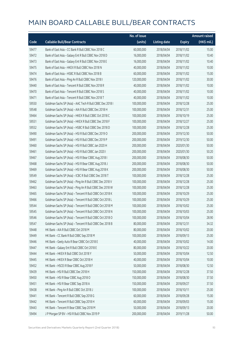|       |                                                           | No. of issue |                     |               | <b>Amount raised</b> |
|-------|-----------------------------------------------------------|--------------|---------------------|---------------|----------------------|
| Code  | <b>Callable Bull/Bear Contracts</b>                       | (units)      | <b>Listing date</b> | <b>Expiry</b> | (HK\$ mil.)          |
| 59477 | Bank of East Asia - CC Bank R Bull CBBC Nov 2018 C        | 60,000,000   | 2018/04/04          | 2018/11/02    | 15.00                |
| 59472 | Bank of East Asia - Galaxy Ent R Bull CBBC Nov 2018 D     | 16,000,000   | 2018/04/04          | 2018/11/02    | 10.40                |
| 59473 | Bank of East Asia - Galaxy Ent R Bull CBBC Nov 2018 E     | 16,000,000   | 2018/04/04          | 2018/11/02    | 10.40                |
| 59475 | Bank of East Asia - HKEX R Bull CBBC Nov 2018 N           | 40,000,000   | 2018/04/04          | 2018/11/02    | 10.00                |
| 59474 | Bank of East Asia - HSBC R Bull CBBC Nov 2018 B           | 60,000,000   | 2018/04/04          | 2018/11/02    | 15.00                |
| 59476 | Bank of East Asia - Ping An R Bull CBBC Nov 2018 I        | 120,000,000  | 2018/04/04          | 2018/11/02    | 30.00                |
| 59440 | Bank of East Asia - Tencent R Bull CBBC Nov 2018 R        | 40,000,000   | 2018/04/04          | 2018/11/02    | 10.00                |
| 59470 | Bank of East Asia - Tencent R Bull CBBC Nov 2018 S        | 40,000,000   | 2018/04/04          | 2018/11/02    | 10.00                |
| 59471 | Bank of East Asia - Tencent R Bull CBBC Nov 2018 T        | 40,000,000   | 2018/04/04          | 2018/11/02    | 10.00                |
| 59550 | Goldman Sachs SP (Asia) - AAC Tech R Bull CBBC Dec 2018 I | 100,000,000  | 2018/04/04          | 2018/12/28    | 25.00                |
| 59548 | Goldman Sachs SP (Asia) - AIA R Bull CBBC Dec 2018 H      | 100,000,000  | 2018/04/04          | 2018/12/31    | 25.00                |
| 59464 | Goldman Sachs SP (Asia) - HKEX R Bull CBBC Oct 2018 C     | 100,000,000  | 2018/04/04          | 2018/10/19    | 25.00                |
| 59551 | Goldman Sachs SP (Asia) - HKEX R Bull CBBC Dec 2018 F     | 100,000,000  | 2018/04/04          | 2018/12/27    | 25.00                |
| 59552 | Goldman Sachs SP (Asia) - HSBC R Bull CBBC Dec 2018 D     | 100,000,000  | 2018/04/04          | 2018/12/28    | 25.00                |
| 59490 | Goldman Sachs SP (Asia) - HSI R Bull CBBC Dec 2019 O      | 200,000,000  | 2018/04/04          | 2019/12/30    | 50.00                |
| 59491 | Goldman Sachs SP (Asia) - HSI R Bull CBBC Dec 2019 P      | 200,000,000  | 2018/04/04          | 2019/12/30    | 50.00                |
| 59460 | Goldman Sachs SP (Asia) - HSI R Bull CBBC Jan 2020 H      | 200,000,000  | 2018/04/04          | 2020/01/30    | 50.00                |
| 59461 | Goldman Sachs SP (Asia) - HSI R Bull CBBC Jan 2020 I      | 200,000,000  | 2018/04/04          | 2020/01/30    | 50.20                |
| 59467 | Goldman Sachs SP (Asia) - HSI R Bear CBBC Aug 2018 I      | 200,000,000  | 2018/04/04          | 2018/08/30    | 50.00                |
| 59468 | Goldman Sachs SP (Asia) - HSI R Bear CBBC Aug 2018 J      | 200,000,000  | 2018/04/04          | 2018/08/30    | 50.00                |
| 59469 | Goldman Sachs SP (Asia) - HSI R Bear CBBC Aug 2018 K      | 200,000,000  | 2018/04/04          | 2018/08/30    | 50.00                |
| 59549 | Goldman Sachs SP (Asia) - ICBC R Bull CBBC Dec 2018 T     | 100,000,000  | 2018/04/04          | 2018/12/28    | 25.00                |
| 59462 | Goldman Sachs SP (Asia) - Ping An R Bull CBBC Dec 2018 V  | 100,000,000  | 2018/04/04          | 2018/12/28    | 25.00                |
| 59463 | Goldman Sachs SP (Asia) - Ping An R Bull CBBC Dec 2018 W  | 100,000,000  | 2018/04/04          | 2018/12/28    | 25.00                |
| 59465 | Goldman Sachs SP (Asia) - Tencent R Bull CBBC Oct 2018 K  | 100,000,000  | 2018/04/04          | 2018/10/29    | 25.00                |
| 59466 | Goldman Sachs SP (Asia) - Tencent R Bull CBBC Oct 2018 L  | 100,000,000  | 2018/04/04          | 2018/10/29    | 25.00                |
| 59544 | Goldman Sachs SP (Asia) - Tencent R Bull CBBC Oct 2018 M  | 100,000,000  | 2018/04/04          | 2018/10/02    | 25.00                |
| 59545 | Goldman Sachs SP (Asia) - Tencent R Bull CBBC Oct 2018 N  | 100,000,000  | 2018/04/04          | 2018/10/03    | 25.00                |
| 59546 | Goldman Sachs SP (Asia) - Tencent R Bull CBBC Oct 2018 O  | 100,000,000  | 2018/04/04          | 2018/10/04    | 28.90                |
| 59547 | Goldman Sachs SP (Asia) - Tencent R Bull CBBC Dec 2018 B  | 80,000,000   | 2018/04/04          | 2018/12/31    | 34.32                |
| 59448 | HK Bank - AIA R Bull CBBC Oct 2018 M                      | 80,000,000   | 2018/04/04          | 2018/10/02    | 20.00                |
| 59449 | HK Bank - CC Bank R Bull CBBC Sep 2018 M                  | 100,000,000  | 2018/04/04          | 2018/09/13    | 25.00                |
| 59446 | HK Bank - Geely Auto R Bear CBBC Oct 2018 E               | 40,000,000   | 2018/04/04          | 2018/10/02    | 14.00                |
| 59447 | HK Bank - Galaxy Ent R Bull CBBC Oct 2018 E               | 80,000,000   | 2018/04/04          | 2018/10/22    | 20.00                |
| 59444 | HK Bank - HKEX R Bull CBBC Oct 2018 Y                     | 50,000,000   | 2018/04/04          | 2018/10/04    | 12.50                |
| 59445 | HK Bank - HKEX R Bear CBBC Oct 2018 H                     | 40,000,000   | 2018/04/04          | 2018/10/04    | 10.00                |
| 59452 | HK Bank - HSCEI R Bear CBBC Aug 2018 F                    | 50,000,000   | 2018/04/04          | 2018/08/30    | 12.50                |
| 59439 | HK Bank - HSI R Bull CBBC Dec 2018 H                      | 150,000,000  | 2018/04/04          | 2018/12/28    | 37.50                |
| 59450 | HK Bank - HSI R Bear CBBC Aug 2018 O                      | 150,000,000  | 2018/04/04          | 2018/08/30    | 37.50                |
| 59451 | HK Bank - HSI R Bear CBBC Sep 2018 A                      | 150,000,000  | 2018/04/04          | 2018/09/27    | 37.50                |
| 59438 | HK Bank - Ping An R Bull CBBC Oct 2018 J                  | 100,000,000  | 2018/04/04          | 2018/10/11    | 25.00                |
| 59441 | HK Bank - Tencent R Bull CBBC Sep 2018 G                  | 60,000,000   | 2018/04/04          | 2018/09/28    | 15.00                |
| 59442 | HK Bank - Tencent R Bull CBBC Sep 2018 H                  | 60,000,000   | 2018/04/04          | 2018/09/03    | 15.00                |
| 59443 | HK Bank - Tencent R Bear CBBC Sep 2018 M                  | 50,000,000   | 2018/04/04          | 2018/09/13    | 20.00                |
| 59494 | J P Morgan SP BV - HSI R Bull CBBC Nov 2019 P             | 200,000,000  | 2018/04/04          | 2019/11/28    | 50.00                |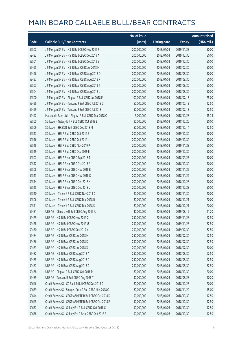|       |                                                        | No. of issue |                     |               | <b>Amount raised</b> |
|-------|--------------------------------------------------------|--------------|---------------------|---------------|----------------------|
| Code  | <b>Callable Bull/Bear Contracts</b>                    | (units)      | <b>Listing date</b> | <b>Expiry</b> | (HK\$ mil.)          |
| 59502 | J P Morgan SP BV - HSI R Bull CBBC Nov 2019 R          | 200,000,000  | 2018/04/04          | 2019/11/28    | 50.00                |
| 59493 | J P Morgan SP BV - HSI R Bull CBBC Dec 2019 A          | 200,000,000  | 2018/04/04          | 2019/12/30    | 50.00                |
| 59501 | J P Morgan SP BV - HSI R Bull CBBC Dec 2019 B          | 200,000,000  | 2018/04/04          | 2019/12/30    | 50.00                |
| 59495 | J P Morgan SP BV - HSI R Bear CBBC Jul 2018 M          | 200,000,000  | 2018/04/04          | 2018/07/30    | 50.00                |
| 59496 | J P Morgan SP BV - HSI R Bear CBBC Aug 2018 Q          | 200,000,000  | 2018/04/04          | 2018/08/30    | 50.00                |
| 59497 | J P Morgan SP BV - HSI R Bear CBBC Aug 2018 R          | 200,000,000  | 2018/04/04          | 2018/08/30    | 50.00                |
| 59503 | J P Morgan SP BV - HSI R Bear CBBC Aug 2018 T          | 200,000,000  | 2018/04/04          | 2018/08/30    | 50.00                |
| 59504 | J P Morgan SP BV - HSI R Bear CBBC Aug 2018 U          | 200,000,000  | 2018/04/04          | 2018/08/30    | 50.00                |
| 59500 | J P Morgan SP BV - Ping An R Bull CBBC Jul 2018 E      | 100,000,000  | 2018/04/04          | 2018/07/13    | 25.00                |
| 59498 | J P Morgan SP BV - Tencent R Bull CBBC Jul 2018 G      | 50,000,000   | 2018/04/04          | 2018/07/13    | 12.50                |
| 59499 | J P Morgan SP BV - Tencent R Bull CBBC Jul 2018 I      | 50,000,000   | 2018/04/04          | 2018/07/13    | 12.50                |
| 59492 | Macquarie Bank Ltd. - Ping An R Bull CBBC Dec 2018 C   | 5,000,000    | 2018/04/04          | 2018/12/28    | 15.74                |
| 59505 | SG Issuer - Galaxy Ent R Bull CBBC Oct 2018 E          | 80,000,000   | 2018/04/04          | 2018/10/26    | 20.00                |
| 59509 | SG Issuer - HKEX R Bull CBBC Dec 2018 M                | 50,000,000   | 2018/04/04          | 2018/12/14    | 12.50                |
| 59517 | SG Issuer - HSI R Bull CBBC Oct 2019 E                 | 200,000,000  | 2018/04/04          | 2019/10/30    | 50.00                |
| 59516 | SG Issuer - HSI R Bull CBBC Oct 2019 L                 | 200,000,000  | 2018/04/04          | 2019/10/30    | 50.00                |
| 59518 | SG Issuer - HSI R Bull CBBC Nov 2019 P                 | 200,000,000  | 2018/04/04          | 2019/11/28    | 50.00                |
| 59519 | SG Issuer - HSI R Bull CBBC Dec 2019 E                 | 200,000,000  | 2018/04/04          | 2019/12/30    | 50.00                |
| 59507 | SG Issuer - HSI R Bear CBBC Sep 2018 T                 | 200,000,000  | 2018/04/04          | 2018/09/27    | 50.00                |
| 59512 | SG Issuer - HSI R Bear CBBC Oct 2018 A                 | 200,000,000  | 2018/04/04          | 2018/10/30    | 50.00                |
| 59508 | SG Issuer - HSI R Bear CBBC Nov 2018 B                 | 200,000,000  | 2018/04/04          | 2018/11/29    | 50.00                |
| 59513 | SG Issuer - HSI R Bear CBBC Nov 2018 C                 | 200,000,000  | 2018/04/04          | 2018/11/29    | 50.00                |
| 59514 | SG Issuer - HSI R Bear CBBC Dec 2018 K                 | 200,000,000  | 2018/04/04          | 2018/12/28    | 50.00                |
| 59515 | SG Issuer - HSI R Bear CBBC Dec 2018 L                 | 200,000,000  | 2018/04/04          | 2018/12/28    | 50.00                |
| 59510 | SG Issuer - Tencent R Bull CBBC Nov 2018 D             | 80,000,000   | 2018/04/04          | 2018/11/30    | 20.00                |
| 59506 | SG Issuer - Tencent R Bull CBBC Dec 2018 R             | 80,000,000   | 2018/04/04          | 2018/12/21    | 20.00                |
| 59511 | SG Issuer - Tencent R Bull CBBC Dec 2018 S             | 80,000,000   | 2018/04/04          | 2018/12/21    | 20.00                |
| 59481 | UBS AG - China Life R Bull CBBC Aug 2019 A             | 40,000,000   | 2018/04/04          | 2019/08/19    | 11.20                |
| 59479 | UBS AG - HSI R Bull CBBC Nov 2019 C                    | 250,000,000  | 2018/04/04          | 2019/11/28    | 62.50                |
| 59478 | UBS AG - HSI R Bull CBBC Nov 2019 U                    | 250,000,000  | 2018/04/04          | 2019/11/28    | 62.50                |
| 59480 | UBS AG - HSI R Bull CBBC Dec 2019 Y                    | 250,000,000  | 2018/04/04          | 2019/12/30    | 62.50                |
| 59484 | UBS AG - HSI R Bear CBBC Jul 2018 H                    | 250,000,000  | 2018/04/04          | 2018/07/30    | 62.50                |
| 59486 | UBS AG - HSI R Bear CBBC Jul 2018 K                    | 250,000,000  | 2018/04/04          | 2018/07/30    | 62.50                |
| 59483 | UBS AG - HSI R Bear CBBC Jul 2018 X                    | 200,000,000  | 2018/04/04          | 2018/07/30    | 50.00                |
| 59482 | UBS AG - HSI R Bear CBBC Aug 2018 A                    | 250,000,000  | 2018/04/04          | 2018/08/30    | 62.50                |
| 59485 | UBS AG - HSI R Bear CBBC Aug 2018 C                    | 250,000,000  | 2018/04/04          | 2018/08/30    | 62.50                |
| 59487 | UBS AG - HSI R Bear CBBC Aug 2018 D                    | 250,000,000  | 2018/04/04          | 2018/08/30    | 62.50                |
| 59488 | UBS AG - Ping An R Bull CBBC Oct 2018 P                | 80,000,000   | 2018/04/04          | 2018/10/30    | 20.00                |
| 59489 | UBS AG - Tencent R Bull CBBC Aug 2018 T                | 30,000,000   | 2018/04/04          | 2018/08/28    | 10.20                |
| 59646 | Credit Suisse AG - CC Bank R Bull CBBC Dec 2018 D      | 80,000,000   | 2018/04/06          | 2018/12/28    | 20.00                |
| 59639 | Credit Suisse AG - Sinopec Corp R Bull CBBC Nov 2018 C | 60,000,000   | 2018/04/06          | 2018/11/29    | 15.00                |
| 59644 | Credit Suisse AG - CSOP A50 ETF R Bull CBBC Oct 2018 D | 50,000,000   | 2018/04/06          | 2018/10/30    | 12.50                |
| 59645 | Credit Suisse AG - CSOP A50 ETF R Bull CBBC Oct 2018 E | 50,000,000   | 2018/04/06          | 2018/10/30    | 12.50                |
| 59637 | Credit Suisse AG - Galaxy Ent R Bull CBBC Oct 2018 C   | 50,000,000   | 2018/04/06          | 2018/10/30    | 12.50                |
| 59638 | Credit Suisse AG - Galaxy Ent R Bear CBBC Oct 2018 B   | 50,000,000   | 2018/04/06          | 2018/10/30    | 12.50                |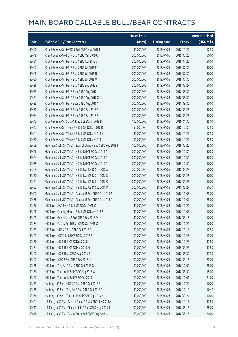|       |                                                                | No. of issue |                     |               | Amount raised |
|-------|----------------------------------------------------------------|--------------|---------------------|---------------|---------------|
| Code  | <b>Callable Bull/Bear Contracts</b>                            | (units)      | <b>Listing date</b> | <b>Expiry</b> | (HK\$ mil.)   |
| 59640 | Credit Suisse AG - HKEX R Bull CBBC Nov 2018 E                 | 50,000,000   | 2018/04/06          | 2018/11/29    | 12.50         |
| 59649 | Credit Suisse AG - HSI R Bull CBBC Mar 2019 U                  | 200,000,000  | 2018/04/06          | 2019/03/28    | 50.00         |
| 59651 | Credit Suisse AG - HSI R Bull CBBC Apr 2019 C                  | 200,000,000  | 2018/04/06          | 2019/04/29    | 50.00         |
| 59647 | Credit Suisse AG - HSI R Bull CBBC Jul 2019 M                  | 200,000,000  | 2018/04/06          | 2019/07/30    | 50.00         |
| 59648 | Credit Suisse AG - HSI R Bull CBBC Jul 2019 N                  | 200,000,000  | 2018/04/06          | 2019/07/30    | 50.00         |
| 59650 | Credit Suisse AG - HSI R Bull CBBC Jul 2019 O                  | 200,000,000  | 2018/04/06          | 2019/07/30    | 50.00         |
| 59636 | Credit Suisse AG - HSI R Bull CBBC Sep 2019 E                  | 200,000,000  | 2018/04/06          | 2019/09/27    | 50.00         |
| 59633 | Credit Suisse AG - HSI R Bear CBBC Aug 2018 J                  | 200,000,000  | 2018/04/06          | 2018/08/30    | 50.00         |
| 59631 | Credit Suisse AG - HSI R Bear CBBC Aug 2018 X                  | 200,000,000  | 2018/04/06          | 2018/08/30    | 50.00         |
| 59635 | Credit Suisse AG - HSI R Bear CBBC Aug 2018 Y                  | 200,000,000  | 2018/04/06          | 2018/08/30    | 50.00         |
| 59632 | Credit Suisse AG - HSI R Bear CBBC Sep 2018 P                  | 200,000,000  | 2018/04/06          | 2018/09/27    | 50.00         |
| 59634 | Credit Suisse AG - HSI R Bear CBBC Sep 2018 R                  | 200,000,000  | 2018/04/06          | 2018/09/27    | 50.00         |
| 59643 | Credit Suisse AG - SUNAC R Bull CBBC Jan 2019 B                | 100,000,000  | 2018/04/06          | 2019/01/30    | 25.00         |
| 59642 | Credit Suisse AG - Tencent R Bull CBBC Oct 2018 R              | 50,000,000   | 2018/04/06          | 2018/10/30    | 12.50         |
| 59641 | Credit Suisse AG - Tencent R Bull CBBC Nov 2018 K              | 50,000,000   | 2018/04/06          | 2018/11/29    | 12.50         |
| 59652 | Credit Suisse AG - Tencent R Bull CBBC Nov 2018 L              | 50,000,000   | 2018/04/06          | 2018/11/29    | 22.50         |
| 59669 | Goldman Sachs SP (Asia) - Bank of China R Bull CBBC Feb 2019 I | 100,000,000  | 2018/04/06          | 2019/02/26    | 25.00         |
| 59666 | Goldman Sachs SP (Asia) - HSI R Bull CBBC Dec 2019 A           | 200,000,000  | 2018/04/06          | 2019/12/30    | 50.20         |
| 59664 | Goldman Sachs SP (Asia) - HSI R Bull CBBC Dec 2019 Q           | 200,000,000  | 2018/04/06          | 2019/12/30    | 50.20         |
| 59665 | Goldman Sachs SP (Asia) - HSI R Bull CBBC Dec 2019 R           | 200,000,000  | 2018/04/06          | 2019/12/30    | 50.00         |
| 59569 | Goldman Sachs SP (Asia) - HSI R Bear CBBC Sep 2018 A           | 200,000,000  | 2018/04/06          | 2018/09/27    | 50.00         |
| 59570 | Goldman Sachs SP (Asia) - HSI R Bear CBBC Sep 2018 B           | 200,000,000  | 2018/04/06          | 2018/09/27    | 50.00         |
| 59571 | Goldman Sachs SP (Asia) - HSI R Bear CBBC Sep 2018 C           | 200,000,000  | 2018/04/06          | 2018/09/27    | 50.00         |
| 59663 | Goldman Sachs SP (Asia) - HSI R Bear CBBC Sep 2018 D           | 200,000,000  | 2018/04/06          | 2018/09/27    | 50.20         |
| 59667 | Goldman Sachs SP (Asia) - Tencent R Bull CBBC Oct 2018 P       | 100,000,000  | 2018/04/06          | 2018/10/08    | 25.00         |
| 59668 | Goldman Sachs SP (Asia) - Tencent R Bull CBBC Oct 2018 Q       | 100,000,000  | 2018/04/06          | 2018/10/09    | 25.00         |
| 59566 | HK Bank - AAC Tech R Bull CBBC Oct 2018 G                      | 40,000,000   | 2018/04/06          | 2018/10/22    | 10.00         |
| 59568 | HK Bank - Country Garden R Bull CBBC Nov 2018 F                | 40,000,000   | 2018/04/06          | 2018/11/05    | 10.00         |
| 59565 | HK Bank - Geely Auto R Bull CBBC Sep 2018 Q                    | 40,000,000   | 2018/04/06          | 2018/09/17    | 10.00         |
| 59564 | HK Bank - Galaxy Ent R Bear CBBC Oct 2018 C                    | 40,000,000   | 2018/04/06          | 2018/10/22    | 10.00         |
| 59559 | HK Bank - HKEX R Bull CBBC Oct 2018 Z                          | 50,000,000   | 2018/04/06          | 2018/10/18    | 12.50         |
| 59563 | HK Bank - HSCEI R Bull CBBC Dec 2018 R                         | 60,000,000   | 2018/04/06          | 2018/12/28    | 15.00         |
| 59560 | HK Bank - HSI R Bull CBBC Dec 2018 I                           | 150,000,000  | 2018/04/06          | 2018/12/28    | 37.50         |
| 59561 | HK Bank - HSI R Bull CBBC Mar 2019 M                           | 150,000,000  | 2018/04/06          | 2019/03/28    | 37.50         |
| 59562 | HK Bank - HSI R Bear CBBC Aug 2018 P                           | 150,000,000  | 2018/04/06          | 2018/08/30    | 37.50         |
| 59567 | HK Bank - ICBC R Bull CBBC Sep 2018 N                          | 100,000,000  | 2018/04/06          | 2018/09/17    | 25.00         |
| 59558 | HK Bank - Ping An R Bull CBBC Oct 2018 O                       | 100,000,000  | 2018/04/06          | 2018/10/02    | 25.00         |
| 59556 | HK Bank - Tencent R Bull CBBC Aug 2018 W                       | 60,000,000   | 2018/04/06          | 2018/08/30    | 15.00         |
| 59557 | HK Bank - Tencent R Bull CBBC Oct 2018 U                       | 60,000,000   | 2018/04/06          | 2018/10/02    | 21.00         |
| 59553 | Haitong Int'l Sec - HKEX R Bull CBBC Oct 2018 B                | 40,000,000   | 2018/04/06          | 2018/10/24    | 10.00         |
| 59555 | Haitong Int'l Sec - Ping An R Bull CBBC Oct 2018 F             | 30,000,000   | 2018/04/06          | 2018/10/10    | 10.47         |
| 59554 | Haitong Int'l Sec - Tencent R Bull CBBC Sep 2018 N             | 40,000,000   | 2018/04/06          | 2018/09/24    | 10.00         |
| 59621 | J P Morgan SP BV - Bank of China R Bull CBBC Nov 2018 A        | 150,000,000  | 2018/04/06          | 2018/11/16    | 37.50         |
| 59619 | J P Morgan SP BV - China Mobile R Bull CBBC Aug 2018 B         | 100,000,000  | 2018/04/06          | 2018/08/17    | 25.00         |
| 59618 | J P Morgan SP BV - Galaxy Ent R Bull CBBC Aug 2018 C           | 80,000,000   | 2018/04/06          | 2018/08/17    | 20.00         |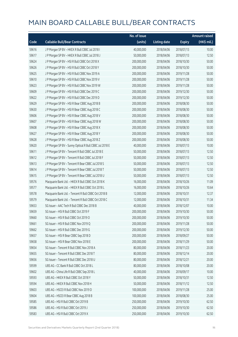|       |                                                         | No. of issue |                     |               | <b>Amount raised</b> |
|-------|---------------------------------------------------------|--------------|---------------------|---------------|----------------------|
| Code  | <b>Callable Bull/Bear Contracts</b>                     | (units)      | <b>Listing date</b> | <b>Expiry</b> | (HK\$ mil.)          |
| 59616 | J P Morgan SP BV - HKEX R Bull CBBC Jul 2018 I          | 40,000,000   | 2018/04/06          | 2018/07/13    | 10.00                |
| 59617 | J P Morgan SP BV - HKEX R Bull CBBC Jul 2018 J          | 50,000,000   | 2018/04/06          | 2018/07/13    | 12.50                |
| 59624 | J P Morgan SP BV - HSI R Bull CBBC Oct 2018 X           | 200,000,000  | 2018/04/06          | 2018/10/30    | 50.00                |
| 59626 | JP Morgan SP BV - HSIR Bull CBBC Oct 2018 Y             | 200,000,000  | 2018/04/06          | 2018/10/30    | 50.00                |
| 59625 | J P Morgan SP BV - HSI R Bull CBBC Nov 2019 A           | 200,000,000  | 2018/04/06          | 2019/11/28    | 50.00                |
| 59610 | J P Morgan SP BV - HSI R Bull CBBC Nov 2019 V           | 200,000,000  | 2018/04/06          | 2019/11/28    | 50.00                |
| 59623 | J P Morgan SP BV - HSI R Bull CBBC Nov 2019 W           | 200,000,000  | 2018/04/06          | 2019/11/28    | 50.00                |
| 59609 | J P Morgan SP BV - HSI R Bull CBBC Dec 2019 C           | 200,000,000  | 2018/04/06          | 2019/12/30    | 50.00                |
| 59622 | JP Morgan SP BV - HSIR Bull CBBC Dec 2019 D             | 200,000,000  | 2018/04/06          | 2019/12/30    | 50.00                |
| 59629 | J P Morgan SP BV - HSI R Bear CBBC Aug 2018 B           | 200,000,000  | 2018/04/06          | 2018/08/30    | 50.00                |
| 59630 | J P Morgan SP BV - HSI R Bear CBBC Aug 2018 C           | 200,000,000  | 2018/04/06          | 2018/08/30    | 50.00                |
| 59606 | J P Morgan SP BV - HSI R Bear CBBC Aug 2018 V           | 200,000,000  | 2018/04/06          | 2018/08/30    | 50.00                |
| 59607 | J P Morgan SP BV - HSI R Bear CBBC Aug 2018 W           | 200,000,000  | 2018/04/06          | 2018/08/30    | 50.00                |
| 59608 | J P Morgan SP BV - HSI R Bear CBBC Aug 2018 X           | 200,000,000  | 2018/04/06          | 2018/08/30    | 50.00                |
| 59627 | J P Morgan SP BV - HSI R Bear CBBC Aug 2018 Y           | 200,000,000  | 2018/04/06          | 2018/08/30    | 50.00                |
| 59628 | J P Morgan SP BV - HSI R Bear CBBC Aug 2018 Z           | 200,000,000  | 2018/04/06          | 2018/08/30    | 50.00                |
| 59620 | J P Morgan SP BV - Sunny Optical R Bull CBBC Jul 2018 E | 40,000,000   | 2018/04/06          | 2018/07/13    | 10.00                |
| 59611 | J P Morgan SP BV - Tencent R Bull CBBC Jul 2018 E       | 50,000,000   | 2018/04/06          | 2018/07/13    | 12.50                |
| 59612 | J P Morgan SP BV - Tencent R Bull CBBC Jul 2018 F       | 50,000,000   | 2018/04/06          | 2018/07/13    | 12.50                |
| 59613 | J P Morgan SP BV - Tencent R Bear CBBC Jul 2018 S       | 50,000,000   | 2018/04/06          | 2018/07/13    | 12.50                |
| 59614 | J P Morgan SP BV - Tencent R Bear CBBC Jul 2018 T       | 50,000,000   | 2018/04/06          | 2018/07/13    | 12.50                |
| 59615 | J P Morgan SP BV - Tencent R Bear CBBC Jul 2018 U       | 50,000,000   | 2018/04/06          | 2018/07/13    | 12.50                |
| 59576 | Macquarie Bank Ltd. - HKEX R Bull CBBC Oct 2018 K       | 16,000,000   | 2018/04/06          | 2018/10/26    | 11.09                |
| 59577 | Macquarie Bank Ltd. - HKEX R Bull CBBC Oct 2018 L       | 16,000,000   | 2018/04/06          | 2018/10/26    | 10.64                |
| 59578 | Macquarie Bank Ltd. - Tencent R Bull CBBC Oct 2018 B    | 12,000,000   | 2018/04/06          | 2018/10/31    | 12.37                |
| 59579 | Macquarie Bank Ltd. - Tencent R Bull CBBC Oct 2018 C    | 12,000,000   | 2018/04/06          | 2018/10/31    | 11.34                |
| 59653 | SG Issuer - AAC Tech R Bull CBBC Dec 2018 B             | 40,000,000   | 2018/04/06          | 2018/12/07    | 10.00                |
| 59659 | SG Issuer - HSI R Bull CBBC Oct 2019 F                  | 200,000,000  | 2018/04/06          | 2019/10/30    | 50.00                |
| 59660 | SG Issuer - HSI R Bull CBBC Oct 2019 O                  | 200,000,000  | 2018/04/06          | 2019/10/30    | 50.00                |
| 59661 | SG Issuer - HSI R Bull CBBC Nov 2019 Q                  | 200,000,000  | 2018/04/06          | 2019/11/28    | 50.00                |
| 59662 | SG Issuer - HSI R Bull CBBC Dec 2019 G                  | 200,000,000  | 2018/04/06          | 2019/12/30    | 50.00                |
| 59657 | SG Issuer - HSI R Bear CBBC Sep 2018 D                  | 200,000,000  | 2018/04/06          | 2018/09/27    | 50.00                |
| 59658 | SG Issuer - HSI R Bear CBBC Nov 2018 E                  | 200,000,000  | 2018/04/06          | 2018/11/29    | 50.00                |
| 59654 | SG Issuer - Tencent R Bull CBBC Nov 2018 A              | 80,000,000   | 2018/04/06          | 2018/11/23    | 20.00                |
| 59655 | SG Issuer - Tencent R Bull CBBC Dec 2018 T              | 80,000,000   | 2018/04/06          | 2018/12/14    | 20.00                |
| 59656 | SG Issuer - Tencent R Bull CBBC Dec 2018 U              | 80,000,000   | 2018/04/06          | 2018/12/21    | 20.00                |
| 59599 | UBS AG - CC Bank R Bull CBBC Oct 2018 L                 | 80,000,000   | 2018/04/06          | 2018/10/08    | 20.00                |
| 59602 | UBS AG - China Life R Bull CBBC Sep 2018 L              | 40,000,000   | 2018/04/06          | 2018/09/17    | 10.00                |
| 59593 | UBS AG - HKEX R Bull CBBC Oct 2018 Y                    | 50,000,000   | 2018/04/06          | 2018/10/31    | 12.50                |
| 59594 | UBS AG - HKEX R Bull CBBC Nov 2018 H                    | 50,000,000   | 2018/04/06          | 2018/11/12    | 12.50                |
| 59603 | UBS AG - HSCEI R Bull CBBC Nov 2019 D                   | 100,000,000  | 2018/04/06          | 2019/11/28    | 25.00                |
| 59604 | UBS AG - HSCEI R Bear CBBC Aug 2018 B                   | 100,000,000  | 2018/04/06          | 2018/08/30    | 25.00                |
| 59585 | UBS AG - HSI R Bull CBBC Oct 2019 B                     | 250,000,000  | 2018/04/06          | 2019/10/30    | 62.50                |
| 59586 | UBS AG - HSI R Bull CBBC Oct 2019 J                     | 250,000,000  | 2018/04/06          | 2019/10/30    | 62.50                |
| 59583 | UBS AG - HSI R Bull CBBC Oct 2019 X                     | 250,000,000  | 2018/04/06          | 2019/10/30    | 62.50                |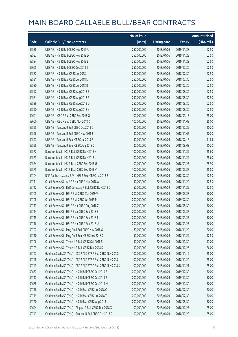|       |                                                               | No. of issue |                     |               | <b>Amount raised</b> |
|-------|---------------------------------------------------------------|--------------|---------------------|---------------|----------------------|
| Code  | <b>Callable Bull/Bear Contracts</b>                           | (units)      | <b>Listing date</b> | <b>Expiry</b> | (HK\$ mil.)          |
| 59588 | UBS AG - HSI R Bull CBBC Nov 2019 A                           | 250,000,000  | 2018/04/06          | 2019/11/28    | 62.50                |
| 59587 | UBS AG - HSI R Bull CBBC Nov 2019 D                           | 250,000,000  | 2018/04/06          | 2019/11/28    | 62.50                |
| 59584 | UBS AG - HSI R Bull CBBC Nov 2019 E                           | 250,000,000  | 2018/04/06          | 2019/11/28    | 62.50                |
| 59605 | UBS AG - HSI R Bull CBBC Dec 2019 Z                           | 250,000,000  | 2018/04/06          | 2019/12/30    | 62.50                |
| 59582 | UBS AG - HSI R Bear CBBC Jul 2018 J                           | 250,000,000  | 2018/04/06          | 2018/07/30    | 62.50                |
| 59591 | UBS AG - HSI R Bear CBBC Jul 2018 L                           | 250,000,000  | 2018/04/06          | 2018/07/30    | 62.50                |
| 59580 | UBS AG - HSI R Bear CBBC Jul 2018 R                           | 250,000,000  | 2018/04/06          | 2018/07/30    | 62.50                |
| 59592 | UBS AG - HSI R Bear CBBC Aug 2018 E                           | 250,000,000  | 2018/04/06          | 2018/08/30    | 62.50                |
| 59581 | UBS AG - HSI R Bear CBBC Aug 2018 F                           | 250,000,000  | 2018/04/06          | 2018/08/30    | 62.50                |
| 59589 | UBS AG - HSI R Bear CBBC Aug 2018 O                           | 250,000,000  | 2018/04/06          | 2018/08/30    | 62.50                |
| 59590 | UBS AG - HSI R Bear CBBC Aug 2018 Y                           | 250,000,000  | 2018/04/06          | 2018/08/30    | 62.50                |
| 59601 | UBS AG - ICBC R Bull CBBC Sep 2018 G                          | 100,000,000  | 2018/04/06          | 2018/09/17    | 25.00                |
| 59600 | UBS AG - ICBC R Bull CBBC Nov 2018 D                          | 100,000,000  | 2018/04/06          | 2018/11/08    | 25.00                |
| 59595 | UBS AG - Tencent R Bull CBBC Oct 2018 O                       | 30,000,000   | 2018/04/06          | 2018/10/29    | 10.20                |
| 59596 | UBS AG - Tencent R Bull CBBC Nov 2018 F                       | 30,000,000   | 2018/04/06          | 2018/11/05    | 10.20                |
| 59597 | UBS AG - Tencent R Bear CBBC Jul 2018 E                       | 30,000,000   | 2018/04/06          | 2018/07/16    | 11.85                |
| 59598 | UBS AG - Tencent R Bear CBBC Aug 2018 C                       | 30,000,000   | 2018/04/06          | 2018/08/08    | 10.20                |
| 59572 | Bank Vontobel - HSI R Bull CBBC Nov 2018 K                    | 100,000,000  | 2018/04/06          | 2018/11/29    | 25.60                |
| 59573 | Bank Vontobel - HSI R Bull CBBC Nov 2018 L                    | 100,000,000  | 2018/04/06          | 2018/11/29    | 25.60                |
| 59574 | Bank Vontobel - HSI R Bear CBBC Sep 2018 U                    | 100,000,000  | 2018/04/06          | 2018/09/27    | 25.90                |
| 59575 | Bank Vontobel - HSI R Bear CBBC Sep 2018 V                    | 100,000,000  | 2018/04/06          | 2018/09/27    | 25.80                |
| 59704 | BNP Paribas Issuance B.V. - HSI R Bear CBBC Jul 2018 B        | 250,000,000  | 2018/04/09          | 2018/07/30    | 62.50                |
| 59711 | Credit Suisse AG - AIA R Bear CBBC Nov 2018 A                 | 50,000,000   | 2018/04/09          | 2018/11/29    | 12.50                |
| 59712 | Credit Suisse AG - BYD Company R Bull CBBC Nov 2018 D         | 50,000,000   | 2018/04/09          | 2018/11/29    | 12.50                |
| 59705 | Credit Suisse AG - HSI R Bull CBBC Mar 2019 V                 | 200,000,000  | 2018/04/09          | 2019/03/28    | 50.00                |
| 59708 | Credit Suisse AG - HSI R Bull CBBC Jul 2019 P                 | 200,000,000  | 2018/04/09          | 2019/07/30    | 50.00                |
| 59713 | Credit Suisse AG - HSI R Bear CBBC Aug 2018 Z                 | 200,000,000  | 2018/04/09          | 2018/08/30    | 50.00                |
| 59714 | Credit Suisse AG - HSI R Bear CBBC Sep 2018 S                 | 200,000,000  | 2018/04/09          | 2018/09/27    | 50.00                |
| 59715 | Credit Suisse AG - HSI R Bear CBBC Sep 2018 T                 | 200,000,000  | 2018/04/09          | 2018/09/27    | 50.00                |
| 59716 | Credit Suisse AG - HSI R Bear CBBC Sep 2018 U                 | 200,000,000  | 2018/04/09          | 2018/09/27    | 50.00                |
| 59707 | Credit Suisse AG - Ping An R Bull CBBC Nov 2018 Q             | 80,000,000   | 2018/04/09          | 2018/11/29    | 20.00                |
| 59710 | Credit Suisse AG - Ping An R Bear CBBC Nov 2018 C             | 50,000,000   | 2018/04/09          | 2018/11/29    | 12.50                |
| 59706 | Credit Suisse AG - Tencent R Bull CBBC Oct 2018 S             | 50,000,000   | 2018/04/09          | 2018/10/30    | 17.00                |
| 59709 | Credit Suisse AG - Tencent R Bull CBBC Dec 2018 D             | 50,000,000   | 2018/04/09          | 2018/12/28    | 26.00                |
| 59747 | Goldman Sachs SP (Asia) - CSOP A50 ETF R Bull CBBC Nov 2018 I | 100,000,000  | 2018/04/09          | 2018/11/19    | 25.00                |
| 59748 | Goldman Sachs SP (Asia) - CSOP A50 ETF R Bull CBBC Nov 2018 J | 100,000,000  | 2018/04/09          | 2018/11/20    | 25.00                |
| 59749 | Goldman Sachs SP (Asia) - CSOP A50 ETF R Bull CBBC Nov 2018 K | 100,000,000  | 2018/04/09          | 2018/11/21    | 25.00                |
| 59687 | Goldman Sachs SP (Asia) - HSI R Bull CBBC Dec 2019 B          | 200,000,000  | 2018/04/09          | 2019/12/30    | 50.00                |
| 59717 | Goldman Sachs SP (Asia) - HSI R Bull CBBC Dec 2019 E          | 200,000,000  | 2018/04/09          | 2019/12/30    | 50.00                |
| 59688 | Goldman Sachs SP (Asia) - HSI R Bull CBBC Dec 2019 M          | 200,000,000  | 2018/04/09          | 2019/12/30    | 50.00                |
| 59718 | Goldman Sachs SP (Asia) - HSI R Bear CBBC Jul 2018 Q          | 200,000,000  | 2018/04/09          | 2018/07/30    | 50.00                |
| 59719 | Goldman Sachs SP (Asia) - HSI R Bear CBBC Jul 2018 T          | 200,000,000  | 2018/04/09          | 2018/07/30    | 50.00                |
| 59720 | Goldman Sachs SP (Asia) - HSI R Bear CBBC Aug 2018 L          | 200,000,000  | 2018/04/09          | 2018/08/30    | 50.20                |
| 59694 | Goldman Sachs SP (Asia) - Ping An R Bull CBBC Dec 2018 X      | 100,000,000  | 2018/04/09          | 2018/12/27    | 25.00                |
| 59743 | Goldman Sachs SP (Asia) - Tencent R Bull CBBC Oct 2018 R      | 100,000,000  | 2018/04/09          | 2018/10/22    | 25.00                |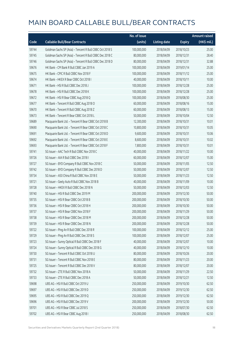|       |                                                          | No. of issue |                     |               | <b>Amount raised</b> |
|-------|----------------------------------------------------------|--------------|---------------------|---------------|----------------------|
| Code  | <b>Callable Bull/Bear Contracts</b>                      | (units)      | <b>Listing date</b> | <b>Expiry</b> | (HK\$ mil.)          |
| 59744 | Goldman Sachs SP (Asia) - Tencent R Bull CBBC Oct 2018 S | 100,000,000  | 2018/04/09          | 2018/10/23    | 25.00                |
| 59745 | Goldman Sachs SP (Asia) - Tencent R Bull CBBC Dec 2018 C | 80,000,000   | 2018/04/09          | 2018/12/31    | 28.40                |
| 59746 | Goldman Sachs SP (Asia) - Tencent R Bull CBBC Dec 2018 D | 80,000,000   | 2018/04/09          | 2018/12/31    | 32.88                |
| 59676 | HK Bank - CM Bank R Bull CBBC Jan 2019 A                 | 100,000,000  | 2018/04/09          | 2019/01/14    | 25.00                |
| 59675 | HK Bank - CPIC R Bull CBBC Nov 2018 F                    | 100,000,000  | 2018/04/09          | 2018/11/12    | 25.00                |
| 59674 | HK Bank - HKEX R Bear CBBC Oct 2018 I                    | 40,000,000   | 2018/04/09          | 2018/10/11    | 10.00                |
| 59671 | HK Bank - HSI R Bull CBBC Dec 2018 J                     | 100,000,000  | 2018/04/09          | 2018/12/28    | 25.00                |
| 59678 | HK Bank - HSI R Bull CBBC Dec 2018 K                     | 100,000,000  | 2018/04/09          | 2018/12/28    | 25.00                |
| 59672 | HK Bank - HSI R Bear CBBC Aug 2018 Q                     | 100,000,000  | 2018/04/09          | 2018/08/30    | 25.00                |
| 59677 | HK Bank - Tencent R Bull CBBC Aug 2018 O                 | 60,000,000   | 2018/04/09          | 2018/08/16    | 15.00                |
| 59670 | HK Bank - Tencent R Bull CBBC Aug 2018 Z                 | 60,000,000   | 2018/04/09          | 2018/08/13    | 15.00                |
| 59673 | HK Bank - Tencent R Bear CBBC Oct 2018 L                 | 50,000,000   | 2018/04/09          | 2018/10/04    | 12.50                |
| 59689 | Macquarie Bank Ltd. - Tencent R Bear CBBC Oct 2018 B     | 12,300,000   | 2018/04/09          | 2018/10/31    | 10.01                |
| 59690 | Macquarie Bank Ltd. - Tencent R Bear CBBC Oct 2018 C     | 10,800,000   | 2018/04/09          | 2018/10/31    | 10.05                |
| 59691 | Macquarie Bank Ltd. - Tencent R Bear CBBC Oct 2018 D     | 9,600,000    | 2018/04/09          | 2018/10/31    | 10.06                |
| 59692 | Macquarie Bank Ltd. - Tencent R Bear CBBC Oct 2018 E     | 8,600,000    | 2018/04/09          | 2018/10/31    | 10.02                |
| 59693 | Macquarie Bank Ltd. - Tencent R Bear CBBC Oct 2018 F     | 7,800,000    | 2018/04/09          | 2018/10/31    | 10.01                |
| 59741 | SG Issuer - AAC Tech R Bull CBBC Nov 2018 C              | 40,000,000   | 2018/04/09          | 2018/11/22    | 10.00                |
| 59726 | SG Issuer - AIA R Bull CBBC Dec 2018 I                   | 60,000,000   | 2018/04/09          | 2018/12/07    | 15.00                |
| 59727 | SG Issuer - BYD Company R Bull CBBC Nov 2018 C           | 50,000,000   | 2018/04/09          | 2018/11/05    | 12.50                |
| 59742 | SG Issuer - BYD Company R Bull CBBC Dec 2018 D           | 50,000,000   | 2018/04/09          | 2018/12/07    | 12.50                |
| 59734 | SG Issuer - A50 China R Bull CBBC Nov 2018 E             | 50,000,000   | 2018/04/09          | 2018/11/23    | 12.50                |
| 59721 | SG Issuer - Geely Auto R Bull CBBC Nov 2018 B            | 40,000,000   | 2018/04/09          | 2018/11/09    | 10.00                |
| 59728 | SG Issuer - HKEX R Bull CBBC Dec 2018 N                  | 50,000,000   | 2018/04/09          | 2018/12/03    | 12.50                |
| 59740 | SG Issuer - HSI R Bull CBBC Dec 2019 M                   | 200,000,000  | 2018/04/09          | 2019/12/30    | 50.00                |
| 59735 | SG Issuer - HSI R Bear CBBC Oct 2018 B                   | 200,000,000  | 2018/04/09          | 2018/10/30    | 50.00                |
| 59736 | SG Issuer - HSI R Bear CBBC Oct 2018 H                   | 200,000,000  | 2018/04/09          | 2018/10/30    | 50.00                |
| 59737 | SG Issuer - HSI R Bear CBBC Nov 2018 F                   | 200,000,000  | 2018/04/09          | 2018/11/29    | 50.00                |
| 59738 | SG Issuer - HSI R Bear CBBC Dec 2018 M                   | 200,000,000  | 2018/04/09          | 2018/12/28    | 50.00                |
| 59739 | SG Issuer - HSI R Bear CBBC Dec 2018 N                   | 200,000,000  | 2018/04/09          | 2018/12/28    | 50.00                |
| 59722 | SG Issuer - Ping An R Bull CBBC Dec 2018 R               | 100,000,000  | 2018/04/09          | 2018/12/12    | 25.00                |
| 59729 | SG Issuer - Ping An R Bull CBBC Dec 2018 S               | 100,000,000  | 2018/04/09          | 2018/12/07    | 25.00                |
| 59723 | SG Issuer - Sunny Optical R Bull CBBC Dec 2018 F         | 40,000,000   | 2018/04/09          | 2018/12/07    | 10.00                |
| 59724 | SG Issuer - Sunny Optical R Bull CBBC Dec 2018 G         | 40,000,000   | 2018/04/09          | 2018/12/10    | 10.00                |
| 59730 | SG Issuer - Tencent R Bull CBBC Oct 2018 U               | 80,000,000   | 2018/04/09          | 2018/10/26    | 20.00                |
| 59731 | SG Issuer - Tencent R Bull CBBC Nov 2018 E               | 80,000,000   | 2018/04/09          | 2018/11/23    | 20.00                |
| 59725 | SG Issuer - Tencent R Bull CBBC Dec 2018 V               | 80,000,000   | 2018/04/09          | 2018/12/07    | 20.00                |
| 59732 | SG Issuer - ZTE R Bull CBBC Nov 2018 A                   | 50,000,000   | 2018/04/09          | 2018/11/29    | 22.50                |
| 59733 | SG Issuer - ZTE R Bull CBBC Dec 2018 A                   | 50,000,000   | 2018/04/09          | 2018/12/21    | 12.50                |
| 59698 | UBS AG - HSI R Bull CBBC Oct 2019 U                      | 250,000,000  | 2018/04/09          | 2019/10/30    | 62.50                |
| 59697 | UBS AG - HSI R Bull CBBC Dec 2019 D                      | 250,000,000  | 2018/04/09          | 2019/12/30    | 62.50                |
| 59695 | UBS AG - HSI R Bull CBBC Dec 2019 Q                      | 250,000,000  | 2018/04/09          | 2019/12/30    | 62.50                |
| 59696 | UBS AG - HSI R Bull CBBC Dec 2019 V                      | 200,000,000  | 2018/04/09          | 2019/12/30    | 50.00                |
| 59701 | UBS AG - HSI R Bear CBBC Jul 2018 S                      | 250,000,000  | 2018/04/09          | 2018/07/30    | 62.50                |
| 59702 | UBS AG - HSI R Bear CBBC Aug 2018 I                      | 250,000,000  | 2018/04/09          | 2018/08/30    | 62.50                |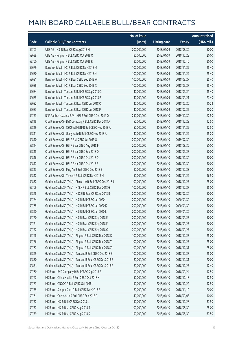|       |                                                             | No. of issue |                     |               | Amount raised |
|-------|-------------------------------------------------------------|--------------|---------------------|---------------|---------------|
| Code  | <b>Callable Bull/Bear Contracts</b>                         | (units)      | <b>Listing date</b> | <b>Expiry</b> | (HK\$ mil.)   |
| 59703 | UBS AG - HSI R Bear CBBC Aug 2018 M                         | 200,000,000  | 2018/04/09          | 2018/08/30    | 50.00         |
| 59699 | UBS AG - Ping An R Bull CBBC Oct 2018 Q                     | 80,000,000   | 2018/04/09          | 2018/10/23    | 20.00         |
| 59700 | UBS AG - Ping An R Bull CBBC Oct 2018 R                     | 80,000,000   | 2018/04/09          | 2018/10/16    | 20.00         |
| 59679 | Bank Vontobel - HSI R Bull CBBC Nov 2018 M                  | 100,000,000  | 2018/04/09          | 2018/11/29    | 25.40         |
| 59680 | Bank Vontobel - HSI R Bull CBBC Nov 2018 N                  | 100,000,000  | 2018/04/09          | 2018/11/29    | 25.40         |
| 59681 | Bank Vontobel - HSI R Bear CBBC Sep 2018 W                  | 100,000,000  | 2018/04/09          | 2018/09/27    | 25.40         |
| 59686 | Bank Vontobel - HSI R Bear CBBC Sep 2018 X                  | 100,000,000  | 2018/04/09          | 2018/09/27    | 25.40         |
| 59684 | Bank Vontobel - Tencent R Bull CBBC Sep 2018 O              | 40,000,000   | 2018/04/09          | 2018/09/24    | 45.40         |
| 59685 | Bank Vontobel - Tencent R Bull CBBC Sep 2018 P              | 40,000,000   | 2018/04/09          | 2018/09/21    | 27.40         |
| 59682 | Bank Vontobel - Tencent R Bear CBBC Jul 2018 O              | 40,000,000   | 2018/04/09          | 2018/07/26    | 10.24         |
| 59683 | Bank Vontobel - Tencent R Bear CBBC Jul 2018 P              | 40,000,000   | 2018/04/09          | 2018/07/25    | 10.20         |
| 59753 | BNP Paribas Issuance B.V. - HSI R Bull CBBC Dec 2019 Q      | 250,000,000  | 2018/04/10          | 2019/12/30    | 62.50         |
| 59818 | Credit Suisse AG - BYD Company R Bull CBBC Dec 2018 A       | 50,000,000   | 2018/04/10          | 2018/12/28    | 12.50         |
| 59819 | Credit Suisse AG - CSOP A50 ETF R Bull CBBC Nov 2018 A      | 50,000,000   | 2018/04/10          | 2018/11/29    | 12.50         |
| 59811 | Credit Suisse AG - Geely Auto R Bull CBBC Nov 2018 A        | 40,000,000   | 2018/04/10          | 2018/11/29    | 15.20         |
| 59810 | Credit Suisse AG - HSI R Bull CBBC Jul 2019 Q               | 200,000,000  | 2018/04/10          | 2019/07/30    | 50.00         |
| 59814 | Credit Suisse AG - HSI R Bear CBBC Aug 2018 F               | 200,000,000  | 2018/04/10          | 2018/08/30    | 50.00         |
| 59815 | Credit Suisse AG - HSI R Bear CBBC Sep 2018 Q               | 200,000,000  | 2018/04/10          | 2018/09/27    | 50.00         |
| 59816 | Credit Suisse AG - HSI R Bear CBBC Oct 2018 D               | 200,000,000  | 2018/04/10          | 2018/10/30    | 50.00         |
| 59817 | Credit Suisse AG - HSI R Bear CBBC Oct 2018 E               | 200,000,000  | 2018/04/10          | 2018/10/30    | 50.00         |
| 59813 | Credit Suisse AG - Ping An R Bull CBBC Dec 2018 E           | 80,000,000   | 2018/04/10          | 2018/12/28    | 20.00         |
| 59812 | Credit Suisse AG - Tencent R Bull CBBC Nov 2018 M           | 50,000,000   | 2018/04/10          | 2018/11/29    | 16.50         |
| 59832 | Goldman Sachs SP (Asia) - China Life R Bull CBBC Dec 2018 J | 100,000,000  | 2018/04/10          | 2018/12/27    | 25.00         |
| 59769 | Goldman Sachs SP (Asia) - HKEX R Bull CBBC Dec 2018 G       | 100,000,000  | 2018/04/10          | 2018/12/27    | 25.00         |
| 59828 | Goldman Sachs SP (Asia) - HSCEI R Bear CBBC Jul 2018 B      | 200,000,000  | 2018/04/10          | 2018/07/30    | 50.00         |
| 59764 | Goldman Sachs SP (Asia) - HSI R Bull CBBC Jan 2020 J        | 200,000,000  | 2018/04/10          | 2020/01/30    | 50.00         |
| 59765 | Goldman Sachs SP (Asia) - HSI R Bull CBBC Jan 2020 K        | 200,000,000  | 2018/04/10          | 2020/01/30    | 50.00         |
| 59820 | Goldman Sachs SP (Asia) - HSI R Bull CBBC Jan 2020 L        | 200,000,000  | 2018/04/10          | 2020/01/30    | 50.00         |
| 59770 | Goldman Sachs SP (Asia) - HSI R Bear CBBC Sep 2018 E        | 200,000,000  | 2018/04/10          | 2018/09/27    | 50.00         |
| 59771 | Goldman Sachs SP (Asia) - HSI R Bear CBBC Sep 2018 F        | 200,000,000  | 2018/04/10          | 2018/09/27    | 50.00         |
| 59772 | Goldman Sachs SP (Asia) - HSI R Bear CBBC Sep 2018 G        | 200,000,000  | 2018/04/10          | 2018/09/27    | 50.00         |
| 59768 | Goldman Sachs SP (Asia) - Ping An R Bull CBBC Dec 2018 D    | 100,000,000  | 2018/04/10          | 2018/12/27    | 25.00         |
| 59766 | Goldman Sachs SP (Asia) - Ping An R Bull CBBC Dec 2018 Y    | 100,000,000  | 2018/04/10          | 2018/12/27    | 25.00         |
| 59767 | Goldman Sachs SP (Asia) - Ping An R Bull CBBC Dec 2018 Z    | 100,000,000  | 2018/04/10          | 2018/12/31    | 25.00         |
| 59829 | Goldman Sachs SP (Asia) - Tencent R Bull CBBC Dec 2018 E    | 100,000,000  | 2018/04/10          | 2018/12/27    | 25.00         |
| 59830 | Goldman Sachs SP (Asia) - Tencent R Bear CBBC Dec 2018 E    | 80,000,000   | 2018/04/10          | 2018/12/31    | 20.00         |
| 59831 | Goldman Sachs SP (Asia) - Tencent R Bear CBBC Dec 2018 F    | 80,000,000   | 2018/04/10          | 2018/12/27    | 42.40         |
| 59760 | HK Bank - BYD Company R Bull CBBC Sep 2018 E                | 50,000,000   | 2018/04/10          | 2018/09/24    | 12.50         |
| 59762 | HK Bank - China Mobile R Bull CBBC Oct 2018 K               | 50,000,000   | 2018/04/10          | 2018/10/18    | 12.50         |
| 59763 | HK Bank - CNOOC R Bull CBBC Oct 2018 J                      | 50,000,000   | 2018/04/10          | 2018/10/22    | 12.50         |
| 59755 | HK Bank - Sinopec Corp R Bull CBBC Nov 2018 B               | 80,000,000   | 2018/04/10          | 2018/11/12    | 20.00         |
| 59761 | HK Bank - Geely Auto R Bull CBBC Sep 2018 R                 | 40,000,000   | 2018/04/10          | 2018/09/03    | 10.00         |
| 59752 | HK Bank - HSI R Bull CBBC Dec 2018 L                        | 150,000,000  | 2018/04/10          | 2018/12/28    | 37.50         |
| 59757 | HK Bank - HSI R Bear CBBC Aug 2018 R                        | 100,000,000  | 2018/04/10          | 2018/08/30    | 25.00         |
| 59759 | HK Bank - HSI R Bear CBBC Aug 2018 S                        | 150,000,000  | 2018/04/10          | 2018/08/30    | 37.50         |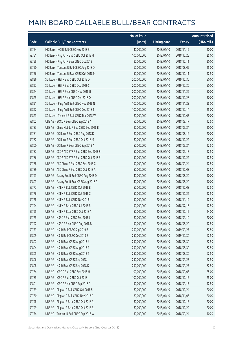|       |                                              | No. of issue |                     |               | <b>Amount raised</b> |
|-------|----------------------------------------------|--------------|---------------------|---------------|----------------------|
| Code  | <b>Callable Bull/Bear Contracts</b>          | (units)      | <b>Listing date</b> | <b>Expiry</b> | (HK\$ mil.)          |
| 59754 | HK Bank - NCI R Bull CBBC Nov 2018 B         | 40,000,000   | 2018/04/10          | 2018/11/19    | 10.00                |
| 59751 | HK Bank - Ping An R Bull CBBC Oct 2018 H     | 100,000,000  | 2018/04/10          | 2018/10/25    | 25.00                |
| 59758 | HK Bank - Ping An R Bear CBBC Oct 2018 I     | 80,000,000   | 2018/04/10          | 2018/10/11    | 20.00                |
| 59750 | HK Bank - Tencent R Bull CBBC Aug 2018 D     | 60,000,000   | 2018/04/10          | 2018/08/09    | 15.00                |
| 59756 | HK Bank - Tencent R Bear CBBC Oct 2018 M     | 50,000,000   | 2018/04/10          | 2018/10/11    | 12.50                |
| 59826 | SG Issuer - HSI R Bull CBBC Oct 2019 D       | 200,000,000  | 2018/04/10          | 2019/10/30    | 50.00                |
| 59827 | SG Issuer - HSI R Bull CBBC Dec 2019 S       | 200,000,000  | 2018/04/10          | 2019/12/30    | 50.00                |
| 59824 | SG Issuer - HSI R Bear CBBC Nov 2018 G       | 200,000,000  | 2018/04/10          | 2018/11/29    | 50.00                |
| 59825 | SG Issuer - HSI R Bear CBBC Dec 2018 O       | 200,000,000  | 2018/04/10          | 2018/12/28    | 50.00                |
| 59821 | SG Issuer - Ping An R Bull CBBC Nov 2018 N   | 100,000,000  | 2018/04/10          | 2018/11/23    | 25.00                |
| 59822 | SG Issuer - Ping An R Bull CBBC Dec 2018 T   | 100,000,000  | 2018/04/10          | 2018/12/14    | 25.00                |
| 59823 | SG Issuer - Tencent R Bull CBBC Dec 2018 W   | 80,000,000   | 2018/04/10          | 2018/12/07    | 20.00                |
| 59802 | UBS AG - BOCL R Bear CBBC Sep 2018 A         | 50,000,000   | 2018/04/10          | 2018/09/17    | 12.50                |
| 59783 | UBS AG - China Mobile R Bull CBBC Sep 2018 B | 80,000,000   | 2018/04/10          | 2018/09/24    | 20.00                |
| 59781 | UBS AG - CC Bank R Bull CBBC Aug 2018 K      | 80,000,000   | 2018/04/10          | 2018/08/16    | 20.00                |
| 59782 | UBS AG - CC Bank R Bull CBBC Oct 2018 M      | 80,000,000   | 2018/04/10          | 2018/10/22    | 20.00                |
| 59800 | UBS AG - CC Bank R Bear CBBC Sep 2018 A      | 50,000,000   | 2018/04/10          | 2018/09/24    | 12.50                |
| 59787 | UBS AG - CSOP A50 ETF R Bull CBBC Sep 2018 F | 50,000,000   | 2018/04/10          | 2018/09/17    | 12.50                |
| 59786 | UBS AG - CSOP A50 ETF R Bull CBBC Oct 2018 E | 50,000,000   | 2018/04/10          | 2018/10/22    | 12.50                |
| 59788 | UBS AG - A50 China R Bull CBBC Sep 2018 C    | 50,000,000   | 2018/04/10          | 2018/09/24    | 12.50                |
| 59789 | UBS AG - A50 China R Bull CBBC Oct 2018 A    | 50,000,000   | 2018/04/10          | 2018/10/08    | 12.50                |
| 59793 | UBS AG - Galaxy Ent R Bull CBBC Aug 2018 D   | 40,000,000   | 2018/04/10          | 2018/08/20    | 10.00                |
| 59803 | UBS AG - Galaxy Ent R Bear CBBC Aug 2018 A   | 40,000,000   | 2018/04/10          | 2018/08/20    | 10.00                |
| 59777 | UBS AG - HKEX R Bull CBBC Oct 2018 B         | 50,000,000   | 2018/04/10          | 2018/10/08    | 12.50                |
| 59776 | UBS AG - HKEX R Bull CBBC Oct 2018 Z         | 50,000,000   | 2018/04/10          | 2018/10/22    | 12.50                |
| 59778 | UBS AG - HKEX R Bull CBBC Nov 2018 I         | 50,000,000   | 2018/04/10          | 2018/11/19    | 12.50                |
| 59794 | UBS AG - HKEX R Bear CBBC Jul 2018 B         | 50,000,000   | 2018/04/10          | 2018/07/16    | 12.50                |
| 59795 | UBS AG - HKEX R Bear CBBC Oct 2018 A         | 50,000,000   | 2018/04/10          | 2018/10/15    | 14.00                |
| 59775 | UBS AG - HSBC R Bull CBBC Sep 2018 L         | 80,000,000   | 2018/04/10          | 2018/09/10    | 20.00                |
| 59792 | UBS AG - HSBC R Bear CBBC Aug 2018 B         | 50,000,000   | 2018/04/10          | 2018/08/20    | 12.50                |
| 59773 | UBS AG - HSI R Bull CBBC Sep 2019 B          | 250,000,000  | 2018/04/10          | 2019/09/27    | 62.50                |
| 59809 | UBS AG - HSI R Bull CBBC Dec 2019 E          | 250,000,000  | 2018/04/10          | 2019/12/30    | 62.50                |
| 59807 | UBS AG - HSI R Bear CBBC Aug 2018 J          | 250,000,000  | 2018/04/10          | 2018/08/30    | 62.50                |
| 59804 | UBS AG - HSI R Bear CBBC Aug 2018 S          | 250,000,000  | 2018/04/10          | 2018/08/30    | 62.50                |
| 59805 | UBS AG - HSI R Bear CBBC Aug 2018 T          | 250,000,000  | 2018/04/10          | 2018/08/30    | 62.50                |
| 59806 | UBS AG - HSI R Bear CBBC Sep 2018 J          | 250,000,000  | 2018/04/10          | 2018/09/27    | 62.50                |
| 59808 | UBS AG - HSI R Bear CBBC Sep 2018 K          | 250,000,000  | 2018/04/10          | 2018/09/27    | 62.50                |
| 59784 | UBS AG - ICBC R Bull CBBC Sep 2018 H         | 100,000,000  | 2018/04/10          | 2018/09/03    | 25.00                |
| 59785 | UBS AG - ICBC R Bull CBBC Oct 2018 I         | 100,000,000  | 2018/04/10          | 2018/10/15    | 25.00                |
| 59801 | UBS AG - ICBC R Bear CBBC Sep 2018 A         | 50,000,000   | 2018/04/10          | 2018/09/17    | 12.50                |
| 59779 | UBS AG - Ping An R Bull CBBC Oct 2018 S      | 80,000,000   | 2018/04/10          | 2018/10/24    | 20.00                |
| 59780 | UBS AG - Ping An R Bull CBBC Nov 2018 P      | 80,000,000   | 2018/04/10          | 2018/11/05    | 20.00                |
| 59798 | UBS AG - Ping An R Bear CBBC Oct 2018 A      | 80,000,000   | 2018/04/10          | 2018/10/15    | 20.00                |
| 59799 | UBS AG - Ping An R Bear CBBC Oct 2018 B      | 80,000,000   | 2018/04/10          | 2018/10/29    | 20.00                |
| 59774 | UBS AG - Tencent R Bull CBBC Sep 2018 W      | 30,000,000   | 2018/04/10          | 2018/09/24    | 10.20                |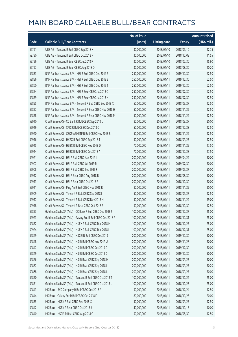|       |                                                             | No. of issue |                     |               | <b>Amount raised</b> |
|-------|-------------------------------------------------------------|--------------|---------------------|---------------|----------------------|
| Code  | <b>Callable Bull/Bear Contracts</b>                         | (units)      | <b>Listing date</b> | <b>Expiry</b> | (HK\$ mil.)          |
| 59791 | UBS AG - Tencent R Bull CBBC Sep 2018 X                     | 30,000,000   | 2018/04/10          | 2018/09/10    | 12.75                |
| 59790 | UBS AG - Tencent R Bull CBBC Oct 2018 P                     | 30,000,000   | 2018/04/10          | 2018/10/08    | 11.55                |
| 59796 | UBS AG - Tencent R Bear CBBC Jul 2018 F                     | 30,000,000   | 2018/04/10          | 2018/07/30    | 15.90                |
| 59797 | UBS AG - Tencent R Bear CBBC Aug 2018 D                     | 30,000,000   | 2018/04/10          | 2018/08/20    | 10.20                |
| 59833 | BNP Paribas Issuance B.V. - HSI R Bull CBBC Dec 2019 R      | 250,000,000  | 2018/04/11          | 2019/12/30    | 62.50                |
| 59856 | BNP Paribas Issuance B.V. - HSI R Bull CBBC Dec 2019 S      | 250,000,000  | 2018/04/11          | 2019/12/30    | 62.50                |
| 59860 | BNP Paribas Issuance B.V. - HSI R Bull CBBC Dec 2019 T      | 250,000,000  | 2018/04/11          | 2019/12/30    | 62.50                |
| 59854 | BNP Paribas Issuance B.V. - HSI R Bear CBBC Jul 2018 C      | 250,000,000  | 2018/04/11          | 2018/07/30    | 62.50                |
| 59859 | BNP Paribas Issuance B.V. - HSI R Bear CBBC Jul 2018 H      | 250,000,000  | 2018/04/11          | 2018/07/30    | 62.50                |
| 59855 | BNP Paribas Issuance B.V. - Tencent R Bull CBBC Sep 2018 X  | 50,000,000   | 2018/04/11          | 2018/09/27    | 12.50                |
| 59857 | BNP Paribas Issuance B.V. - Tencent R Bear CBBC Nov 2018 H  | 50,000,000   | 2018/04/11          | 2018/11/29    | 12.50                |
| 59858 | BNP Paribas Issuance B.V. - Tencent R Bear CBBC Nov 2018 P  | 50,000,000   | 2018/04/11          | 2018/11/29    | 12.50                |
| 59910 | Credit Suisse AG - CC Bank R Bull CBBC Sep 2018 L           | 80,000,000   | 2018/04/11          | 2018/09/27    | 20.00                |
| 59919 | Credit Suisse AG - CPIC R Bull CBBC Dec 2018 C              | 50,000,000   | 2018/04/11          | 2018/12/28    | 12.50                |
| 59920 | Credit Suisse AG - CSOP A50 ETF R Bull CBBC Nov 2018 B      | 50,000,000   | 2018/04/11          | 2018/11/29    | 12.50                |
| 59916 | Credit Suisse AG - HKEX R Bull CBBC Sep 2018 T              | 50,000,000   | 2018/04/11          | 2018/09/27    | 12.50                |
| 59915 | Credit Suisse AG - HSBC R Bull CBBC Nov 2018 D              | 70,000,000   | 2018/04/11          | 2018/11/29    | 17.50                |
| 59914 | Credit Suisse AG - HSBC R Bull CBBC Dec 2018 A              | 70,000,000   | 2018/04/11          | 2018/12/28    | 17.50                |
| 59921 | Credit Suisse AG - HSI R Bull CBBC Apr 2019 I               | 200,000,000  | 2018/04/11          | 2019/04/29    | 50.00                |
| 59907 | Credit Suisse AG - HSI R Bull CBBC Jul 2019 R               | 200,000,000  | 2018/04/11          | 2019/07/30    | 50.00                |
| 59908 | Credit Suisse AG - HSI R Bull CBBC Sep 2019 F               | 200,000,000  | 2018/04/11          | 2019/09/27    | 50.00                |
| 59912 | Credit Suisse AG - HSI R Bear CBBC Aug 2018 B               | 200,000,000  | 2018/04/11          | 2018/08/30    | 50.00                |
| 59913 | Credit Suisse AG - HSI R Bear CBBC Oct 2018 F               | 200,000,000  | 2018/04/11          | 2018/10/30    | 50.00                |
| 59911 | Credit Suisse AG - Ping An R Bull CBBC Nov 2018 R           | 80,000,000   | 2018/04/11          | 2018/11/29    | 20.00                |
| 59909 | Credit Suisse AG - Tencent R Bull CBBC Sep 2018 I           | 50,000,000   | 2018/04/11          | 2018/09/27    | 12.50                |
| 59917 | Credit Suisse AG - Tencent R Bull CBBC Nov 2018 N           | 50,000,000   | 2018/04/11          | 2018/11/29    | 19.00                |
| 59918 | Credit Suisse AG - Tencent R Bear CBBC Oct 2018 E           | 50,000,000   | 2018/04/11          | 2018/10/30    | 12.50                |
| 59853 | Goldman Sachs SP (Asia) - CC Bank R Bull CBBC Dec 2018 P    | 100,000,000  | 2018/04/11          | 2018/12/27    | 25.00                |
| 59923 | Goldman Sachs SP (Asia) - Galaxy Ent R Bull CBBC Dec 2018 P | 100,000,000  | 2018/04/11          | 2018/12/31    | 25.00                |
| 59852 | Goldman Sachs SP (Asia) - HKEX R Bull CBBC Dec 2018 H       | 100,000,000  | 2018/04/11          | 2018/12/27    | 25.00                |
| 59924 | Goldman Sachs SP (Asia) - HKEX R Bull CBBC Dec 2018 I       | 100,000,000  | 2018/04/11          | 2018/12/31    | 25.00                |
| 59869 | Goldman Sachs SP (Asia) - HSCEI R Bull CBBC Dec 2019 I      | 200,000,000  | 2018/04/11          | 2019/12/30    | 50.00                |
| 59848 | Goldman Sachs SP (Asia) - HSI R Bull CBBC Nov 2019 U        | 200,000,000  | 2018/04/11          | 2019/11/28    | 50.00                |
| 59847 | Goldman Sachs SP (Asia) - HSI R Bull CBBC Dec 2019 C        | 200,000,000  | 2018/04/11          | 2019/12/30    | 50.00                |
| 59849 | Goldman Sachs SP (Asia) - HSI R Bull CBBC Dec 2019 D        | 200,000,000  | 2018/04/11          | 2019/12/30    | 50.00                |
| 59866 | Goldman Sachs SP (Asia) - HSI R Bear CBBC Sep 2018 H        | 200,000,000  | 2018/04/11          | 2018/09/27    | 50.00                |
| 59867 | Goldman Sachs SP (Asia) - HSI R Bear CBBC Sep 2018 I        | 200,000,000  | 2018/04/11          | 2018/09/27    | 50.20                |
| 59868 | Goldman Sachs SP (Asia) - HSI R Bear CBBC Sep 2018 L        | 200,000,000  | 2018/04/11          | 2018/09/27    | 50.00                |
| 59850 | Goldman Sachs SP (Asia) - Tencent R Bull CBBC Oct 2018 T    | 100,000,000  | 2018/04/11          | 2018/10/22    | 25.00                |
| 59851 | Goldman Sachs SP (Asia) - Tencent R Bull CBBC Oct 2018 U    | 100,000,000  | 2018/04/11          | 2018/10/23    | 25.00                |
| 59843 | HK Bank - BYD Company R Bull CBBC Dec 2018 A                | 50,000,000   | 2018/04/11          | 2018/12/24    | 12.50                |
| 59844 | HK Bank - Galaxy Ent R Bull CBBC Oct 2018 F                 | 80,000,000   | 2018/04/11          | 2018/10/25    | 20.00                |
| 59835 | HK Bank - HKEX R Bull CBBC Sep 2018 X                       | 50,000,000   | 2018/04/11          | 2018/09/27    | 12.50                |
| 59842 | HK Bank - HKEX R Bear CBBC Oct 2018 J                       | 40,000,000   | 2018/04/11          | 2018/10/15    | 10.00                |
| 59840 | HK Bank - HSCEI R Bear CBBC Aug 2018 G                      | 50,000,000   | 2018/04/11          | 2018/08/30    | 12.50                |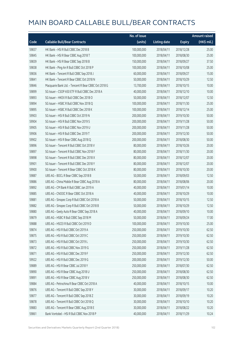|       |                                                      | No. of issue |                     |               | <b>Amount raised</b> |
|-------|------------------------------------------------------|--------------|---------------------|---------------|----------------------|
| Code  | <b>Callable Bull/Bear Contracts</b>                  | (units)      | <b>Listing date</b> | <b>Expiry</b> | (HK\$ mil.)          |
| 59837 | HK Bank - HSI R Bull CBBC Dec 2018 B                 | 100,000,000  | 2018/04/11          | 2018/12/28    | 25.00                |
| 59845 | HK Bank - HSI R Bear CBBC Aug 2018 T                 | 100,000,000  | 2018/04/11          | 2018/08/30    | 25.00                |
| 59839 | HK Bank - HSI R Bear CBBC Sep 2018 B                 | 150,000,000  | 2018/04/11          | 2018/09/27    | 37.50                |
| 59838 | HK Bank - Ping An R Bull CBBC Oct 2018 P             | 100,000,000  | 2018/04/11          | 2018/10/08    | 25.00                |
| 59836 | HK Bank - Tencent R Bull CBBC Sep 2018 J             | 60,000,000   | 2018/04/11          | 2018/09/27    | 15.00                |
| 59841 | HK Bank - Tencent R Bear CBBC Oct 2018 N             | 50,000,000   | 2018/04/11          | 2018/10/29    | 12.50                |
| 59846 | Macquarie Bank Ltd. - Tencent R Bear CBBC Oct 2018 G | 13,700,000   | 2018/04/11          | 2018/10/15    | 10.00                |
| 59899 | SG Issuer - CSOP A50 ETF R Bull CBBC Dec 2018 A      | 40,000,000   | 2018/04/11          | 2018/12/10    | 10.00                |
| 59893 | SG Issuer - HKEX R Bull CBBC Dec 2018 O              | 50,000,000   | 2018/04/11          | 2018/12/07    | 12.50                |
| 59894 | SG Issuer - HSBC R Bull CBBC Nov 2018 Q              | 100,000,000  | 2018/04/11          | 2018/11/30    | 25.00                |
| 59895 | SG Issuer - HSBC R Bull CBBC Dec 2018 K              | 100,000,000  | 2018/04/11          | 2018/12/14    | 25.00                |
| 59903 | SG Issuer - HSI R Bull CBBC Oct 2019 N               | 200,000,000  | 2018/04/11          | 2019/10/30    | 50.00                |
| 59904 | SG Issuer - HSI R Bull CBBC Nov 2019 S               | 200,000,000  | 2018/04/11          | 2019/11/28    | 50.00                |
| 59905 | SG Issuer - HSI R Bull CBBC Nov 2019 U               | 200,000,000  | 2018/04/11          | 2019/11/28    | 50.00                |
| 59906 | SG Issuer - HSI R Bull CBBC Dec 2019 T               | 200,000,000  | 2018/04/11          | 2019/12/30    | 50.00                |
| 59902 | SG Issuer - HSI R Bear CBBC Aug 2018 Q               | 200,000,000  | 2018/04/11          | 2018/08/30    | 50.00                |
| 59896 | SG Issuer - Tencent R Bull CBBC Oct 2018 V           | 80,000,000   | 2018/04/11          | 2018/10/26    | 20.00                |
| 59897 | SG Issuer - Tencent R Bull CBBC Nov 2018 F           | 80,000,000   | 2018/04/11          | 2018/11/30    | 20.00                |
| 59898 | SG Issuer - Tencent R Bull CBBC Dec 2018 X           | 80,000,000   | 2018/04/11          | 2018/12/07    | 20.00                |
| 59901 | SG Issuer - Tencent R Bull CBBC Dec 2018 Y           | 80,000,000   | 2018/04/11          | 2018/12/07    | 20.00                |
| 59900 | SG Issuer - Tencent R Bear CBBC Oct 2018 K           | 80,000,000   | 2018/04/11          | 2018/10/30    | 20.00                |
| 59887 | UBS AG - BOCL R Bear CBBC Sep 2018 B                 | 50,000,000   | 2018/04/11          | 2018/09/03    | 12.50                |
| 59886 | UBS AG - China Mobile R Bear CBBC Aug 2018 A         | 80,000,000   | 2018/04/11          | 2018/08/06    | 20.00                |
| 59892 | UBS AG - CM Bank R Bull CBBC Jan 2019 A              | 40,000,000   | 2018/04/11          | 2019/01/14    | 10.00                |
| 59885 | UBS AG - CNOOC R Bear CBBC Oct 2018 A                | 40,000,000   | 2018/04/11          | 2018/10/29    | 10.00                |
| 59881 | UBS AG - Sinopec Corp R Bull CBBC Oct 2018 A         | 50,000,000   | 2018/04/11          | 2018/10/15    | 12.50                |
| 59882 | UBS AG - Sinopec Corp R Bull CBBC Oct 2018 B         | 50,000,000   | 2018/04/11          | 2018/10/29    | 12.50                |
| 59880 | UBS AG - Geely Auto R Bear CBBC Sep 2018 A           | 40,000,000   | 2018/04/11          | 2018/09/10    | 10.00                |
| 59879 | UBS AG - HSBC R Bull CBBC Sep 2018 M                 | 50,000,000   | 2018/04/11          | 2018/09/24    | 17.00                |
| 59888 | UBS AG - HSCEI R Bull CBBC Oct 2019 D                | 100,000,000  | 2018/04/11          | 2019/10/30    | 25.00                |
| 59874 | UBS AG - HSI R Bull CBBC Oct 2019 A                  | 250,000,000  | 2018/04/11          | 2019/10/30    | 62.50                |
| 59875 | UBS AG - HSI R Bull CBBC Oct 2019 C                  | 250,000,000  | 2018/04/11          | 2019/10/30    | 62.50                |
| 59873 | UBS AG - HSI R Bull CBBC Oct 2019 L                  | 250,000,000  | 2018/04/11          | 2019/10/30    | 62.50                |
| 59872 | UBS AG - HSI R Bull CBBC Nov 2019 G                  | 250,000,000  | 2018/04/11          | 2019/11/28    | 62.50                |
| 59871 | UBS AG - HSI R Bull CBBC Dec 2019 F                  | 250,000,000  | 2018/04/11          | 2019/12/30    | 62.50                |
| 59922 | UBS AG - HSI R Bull CBBC Dec 2019 G                  | 200,000,000  | 2018/04/11          | 2019/12/30    | 50.00                |
| 59889 | UBS AG - HSI R Bear CBBC Jul 2018 Y                  | 250,000,000  | 2018/04/11          | 2018/07/30    | 62.50                |
| 59890 | UBS AG - HSI R Bear CBBC Aug 2018 U                  | 250,000,000  | 2018/04/11          | 2018/08/30    | 62.50                |
| 59891 | UBS AG - HSI R Bear CBBC Aug 2018 V                  | 250,000,000  | 2018/04/11          | 2018/08/30    | 62.50                |
| 59884 | UBS AG - Petrochina R Bear CBBC Oct 2018 A           | 40,000,000   | 2018/04/11          | 2018/10/15    | 10.00                |
| 59876 | UBS AG - Tencent R Bull CBBC Sep 2018 Y              | 30,000,000   | 2018/04/11          | 2018/09/17    | 10.20                |
| 59877 | UBS AG - Tencent R Bull CBBC Sep 2018 Z              | 30,000,000   | 2018/04/11          | 2018/09/19    | 10.20                |
| 59878 | UBS AG - Tencent R Bull CBBC Oct 2018 Q              | 30,000,000   | 2018/04/11          | 2018/10/10    | 10.20                |
| 59883 | UBS AG - Tencent R Bear CBBC Aug 2018 E              | 30,000,000   | 2018/04/11          | 2018/08/22    | 10.20                |
| 59861 | Bank Vontobel - HSI R Bull CBBC Nov 2018 P           | 40,000,000   | 2018/04/11          | 2018/11/29    | 10.24                |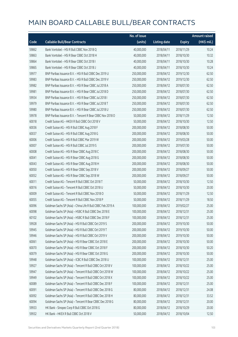|       |                                                             | No. of issue |                     |               | Amount raised |
|-------|-------------------------------------------------------------|--------------|---------------------|---------------|---------------|
| Code  | <b>Callable Bull/Bear Contracts</b>                         | (units)      | <b>Listing date</b> | <b>Expiry</b> | (HK\$ mil.)   |
| 59862 | Bank Vontobel - HSI R Bull CBBC Nov 2018 Q                  | 40,000,000   | 2018/04/11          | 2018/11/29    | 10.24         |
| 59863 | Bank Vontobel - HSI R Bear CBBC Oct 2018 H                  | 40,000,000   | 2018/04/11          | 2018/10/30    | 10.32         |
| 59864 | Bank Vontobel - HSI R Bear CBBC Oct 2018 I                  | 40,000,000   | 2018/04/11          | 2018/10/30    | 10.28         |
| 59865 | Bank Vontobel - HSI R Bear CBBC Oct 2018 J                  | 40,000,000   | 2018/04/11          | 2018/10/30    | 10.24         |
| 59977 | BNP Paribas Issuance B.V. - HSI R Bull CBBC Dec 2019 U      | 250,000,000  | 2018/04/12          | 2019/12/30    | 62.50         |
| 59983 | BNP Paribas Issuance B.V. - HSI R Bull CBBC Dec 2019 V      | 250,000,000  | 2018/04/12          | 2019/12/30    | 62.50         |
| 59982 | BNP Paribas Issuance B.V. - HSI R Bear CBBC Jul 2018 A      | 250,000,000  | 2018/04/12          | 2018/07/30    | 62.50         |
| 59981 | BNP Paribas Issuance B.V. - HSI R Bear CBBC Jul 2018 D      | 250,000,000  | 2018/04/12          | 2018/07/30    | 62.50         |
| 59934 | BNP Paribas Issuance B.V. - HSI R Bear CBBC Jul 2018 I      | 250,000,000  | 2018/04/12          | 2018/07/30    | 62.50         |
| 59979 | BNP Paribas Issuance B.V. - HSI R Bear CBBC Jul 2018 T      | 250,000,000  | 2018/04/12          | 2018/07/30    | 62.50         |
| 59980 | BNP Paribas Issuance B.V. - HSI R Bear CBBC Jul 2018 U      | 250,000,000  | 2018/04/12          | 2018/07/30    | 62.50         |
| 59978 | BNP Paribas Issuance B.V. - Tencent R Bear CBBC Nov 2018 O  | 50,000,000   | 2018/04/12          | 2018/11/29    | 12.50         |
| 60018 | Credit Suisse AG - HKEX R Bull CBBC Oct 2018 V              | 50,000,000   | 2018/04/12          | 2018/10/30    | 12.50         |
| 60036 | Credit Suisse AG - HSI R Bull CBBC Aug 2018 F               | 200,000,000  | 2018/04/12          | 2018/08/30    | 50.00         |
| 60037 | Credit Suisse AG - HSI R Bull CBBC Aug 2018 G               | 200,000,000  | 2018/04/12          | 2018/08/30    | 50.00         |
| 60006 | Credit Suisse AG - HSI R Bull CBBC Mar 2019 W               | 200,000,000  | 2018/04/12          | 2019/03/28    | 50.00         |
| 60007 | Credit Suisse AG - HSI R Bull CBBC Jul 2019 S               | 200,000,000  | 2018/04/12          | 2019/07/30    | 50.00         |
| 60008 | Credit Suisse AG - HSI R Bear CBBC Aug 2018 C               | 200,000,000  | 2018/04/12          | 2018/08/30    | 50.00         |
| 60041 | Credit Suisse AG - HSI R Bear CBBC Aug 2018 G               | 200,000,000  | 2018/04/12          | 2018/08/30    | 50.00         |
| 60043 | Credit Suisse AG - HSI R Bear CBBC Aug 2018 H               | 200,000,000  | 2018/04/12          | 2018/08/30    | 50.00         |
| 60050 | Credit Suisse AG - HSI R Bear CBBC Sep 2018 V               | 200,000,000  | 2018/04/12          | 2018/09/27    | 50.00         |
| 60052 | Credit Suisse AG - HSI R Bear CBBC Sep 2018 W               | 200,000,000  | 2018/04/12          | 2018/09/27    | 50.00         |
| 60011 | Credit Suisse AG - Tencent R Bull CBBC Oct 2018 T           | 50,000,000   | 2018/04/12          | 2018/10/30    | 12.50         |
| 60016 | Credit Suisse AG - Tencent R Bull CBBC Oct 2018 U           | 50,000,000   | 2018/04/12          | 2018/10/30    | 20.00         |
| 60009 | Credit Suisse AG - Tencent R Bull CBBC Nov 2018 O           | 50,000,000   | 2018/04/12          | 2018/11/29    | 12.50         |
| 60055 | Credit Suisse AG - Tencent R Bull CBBC Nov 2018 P           | 50,000,000   | 2018/04/12          | 2018/11/29    | 18.50         |
| 60096 | Goldman Sachs SP (Asia) - China Life R Bull CBBC Feb 2019 A | 100,000,000  | 2018/04/12          | 2019/02/27    | 25.00         |
| 60098 | Goldman Sachs SP (Asia) - HSBC R Bull CBBC Dec 2018 E       | 100,000,000  | 2018/04/12          | 2018/12/31    | 25.00         |
| 60102 | Goldman Sachs SP (Asia) - HSBC R Bull CBBC Dec 2018 F       | 100,000,000  | 2018/04/12          | 2018/12/31    | 25.00         |
| 59928 | Goldman Sachs SP (Asia) - HSI R Bull CBBC Oct 2019 S        | 200,000,000  | 2018/04/12          | 2019/10/30    | 50.00         |
| 59945 | Goldman Sachs SP (Asia) - HSI R Bull CBBC Oct 2019 T        | 200,000,000  | 2018/04/12          | 2019/10/30    | 50.00         |
| 59946 | Goldman Sachs SP (Asia) - HSI R Bull CBBC Oct 2019 V        | 200,000,000  | 2018/04/12          | 2019/10/30    | 50.00         |
| 60061 | Goldman Sachs SP (Asia) - HSI R Bear CBBC Oct 2018 E        | 200,000,000  | 2018/04/12          | 2018/10/30    | 50.00         |
| 60070 | Goldman Sachs SP (Asia) - HSI R Bear CBBC Oct 2018 F        | 200,000,000  | 2018/04/12          | 2018/10/30    | 50.20         |
| 60079 | Goldman Sachs SP (Asia) - HSI R Bear CBBC Oct 2018 G        | 200,000,000  | 2018/04/12          | 2018/10/30    | 50.00         |
| 59948 | Goldman Sachs SP (Asia) - ICBC R Bull CBBC Dec 2018 U       | 100,000,000  | 2018/04/12          | 2018/12/31    | 25.00         |
| 59927 | Goldman Sachs SP (Asia) - Tencent R Bull CBBC Oct 2018 V    | 100,000,000  | 2018/04/12          | 2018/10/22    | 25.00         |
| 59947 | Goldman Sachs SP (Asia) - Tencent R Bull CBBC Oct 2018 W    | 100,000,000  | 2018/04/12          | 2018/10/22    | 25.00         |
| 59949 | Goldman Sachs SP (Asia) - Tencent R Bull CBBC Oct 2018 X    | 100,000,000  | 2018/04/12          | 2018/10/22    | 25.00         |
| 60089 | Goldman Sachs SP (Asia) - Tencent R Bull CBBC Dec 2018 F    | 100,000,000  | 2018/04/12          | 2018/12/31    | 25.00         |
| 60091 | Goldman Sachs SP (Asia) - Tencent R Bull CBBC Dec 2018 G    | 80,000,000   | 2018/04/12          | 2018/12/31    | 24.08         |
| 60092 | Goldman Sachs SP (Asia) - Tencent R Bull CBBC Dec 2018 H    | 80,000,000   | 2018/04/12          | 2018/12/31    | 33.52         |
| 60094 | Goldman Sachs SP (Asia) - Tencent R Bear CBBC Dec 2018 G    | 80,000,000   | 2018/04/12          | 2018/12/31    | 20.00         |
| 59933 | HK Bank - Sinopec Corp R Bull CBBC Oct 2018 G               | 80,000,000   | 2018/04/12          | 2018/10/29    | 20.00         |
| 59932 | HK Bank - HKEX R Bull CBBC Oct 2018 V                       | 50,000,000   | 2018/04/12          | 2018/10/04    | 12.50         |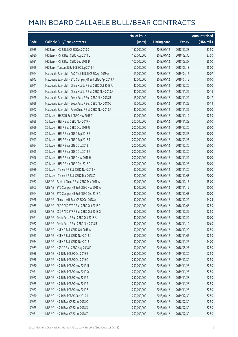|       |                                                           | No. of issue |                     |               | <b>Amount raised</b> |
|-------|-----------------------------------------------------------|--------------|---------------------|---------------|----------------------|
| Code  | <b>Callable Bull/Bear Contracts</b>                       | (units)      | <b>Listing date</b> | <b>Expiry</b> | (HK\$ mil.)          |
| 59939 | HK Bank - HSI R Bull CBBC Dec 2018 D                      | 150,000,000  | 2018/04/12          | 2018/12/28    | 37.50                |
| 59930 | HK Bank - HSI R Bear CBBC Aug 2018 U                      | 150,000,000  | 2018/04/12          | 2018/08/30    | 37.50                |
| 59931 | HK Bank - HSI R Bear CBBC Sep 2018 D                      | 100,000,000  | 2018/04/12          | 2018/09/27    | 25.00                |
| 59929 | HK Bank - Tencent R Bull CBBC Sep 2018 K                  | 60,000,000   | 2018/04/12          | 2018/09/13    | 15.00                |
| 59944 | Macquarie Bank Ltd. - AAC Tech R Bull CBBC Apr 2019 A     | 19,000,000   | 2018/04/12          | 2019/04/15    | 10.07                |
| 59943 | Macquarie Bank Ltd. - BYD Company R Bull CBBC Apr 2019 A  | 40,000,000   | 2018/04/12          | 2019/04/15    | 10.00                |
| 59941 | Macquarie Bank Ltd. - China Mobile R Bull CBBC Oct 2018 A | 40,000,000   | 2018/04/12          | 2018/10/30    | 10.00                |
| 59940 | Macquarie Bank Ltd. - China Mobile R Bull CBBC Nov 2018 A | 40,000,000   | 2018/04/12          | 2018/11/29    | 10.16                |
| 59925 | Macquarie Bank Ltd. - Geely Auto R Bull CBBC Nov 2018 B   | 15,000,000   | 2018/04/12          | 2018/11/29    | 10.17                |
| 59926 | Macquarie Bank Ltd. - Geely Auto R Bull CBBC Nov 2018 C   | 16,000,000   | 2018/04/12          | 2018/11/29    | 10.19                |
| 59942 | Macquarie Bank Ltd. - PetroChina R Bull CBBC Nov 2018 A   | 40,000,000   | 2018/04/12          | 2018/11/29    | 10.00                |
| 59990 | SG Issuer - HKEX R Bull CBBC Nov 2018 T                   | 50,000,000   | 2018/04/12          | 2018/11/19    | 12.50                |
| 59998 | SG Issuer - HSI R Bull CBBC Nov 2019 H                    | 200,000,000  | 2018/04/12          | 2019/11/28    | 50.00                |
| 59999 | SG Issuer - HSI R Bull CBBC Dec 2019 U                    | 200,000,000  | 2018/04/12          | 2019/12/30    | 50.00                |
| 59992 | SG Issuer - HSI R Bear CBBC Sep 2018 B                    | 200,000,000  | 2018/04/12          | 2018/09/27    | 50.00                |
| 59993 | SG Issuer - HSI R Bear CBBC Sep 2018 T                    | 200,000,000  | 2018/04/12          | 2018/09/27    | 50.00                |
| 59994 | SG Issuer - HSI R Bear CBBC Oct 2018 I                    | 200,000,000  | 2018/04/12          | 2018/10/30    | 50.00                |
| 59995 | SG Issuer - HSI R Bear CBBC Oct 2018 J                    | 200,000,000  | 2018/04/12          | 2018/10/30    | 50.00                |
| 59996 | SG Issuer - HSI R Bear CBBC Nov 2018 H                    | 200,000,000  | 2018/04/12          | 2018/11/29    | 50.00                |
| 59997 | SG Issuer - HSI R Bear CBBC Dec 2018 P                    | 200,000,000  | 2018/04/12          | 2018/12/28    | 50.00                |
| 59989 | SG Issuer - Tencent R Bull CBBC Nov 2018 H                | 80,000,000   | 2018/04/12          | 2018/11/30    | 20.00                |
| 59991 | SG Issuer - Tencent R Bull CBBC Dec 2018 Z                | 80,000,000   | 2018/04/12          | 2018/12/03    | 20.00                |
| 59967 | UBS AG - Bank of China R Bull CBBC Dec 2018 A             | 60,000,000   | 2018/04/12          | 2018/12/17    | 15.00                |
| 59963 | UBS AG - BYD Company R Bull CBBC Nov 2018 A               | 40,000,000   | 2018/04/12          | 2018/11/19    | 10.00                |
| 59964 | UBS AG - BYD Company R Bull CBBC Dec 2018 A               | 40,000,000   | 2018/04/12          | 2018/12/03    | 10.00                |
| 59968 | UBS AG - China Life R Bear CBBC Oct 2018 A                | 50,000,000   | 2018/04/12          | 2018/10/22    | 14.25                |
| 59965 | UBS AG - CSOP A50 ETF R Bull CBBC Oct 2018 F              | 50,000,000   | 2018/04/12          | 2018/10/08    | 12.50                |
| 59966 | UBS AG - CSOP A50 ETF R Bull CBBC Oct 2018 G              | 50,000,000   | 2018/04/12          | 2018/10/29    | 12.50                |
| 59961 | UBS AG - Geely Auto R Bull CBBC Oct 2018 A                | 40,000,000   | 2018/04/12          | 2018/10/29    | 10.00                |
| 59962 | UBS AG - Geely Auto R Bull CBBC Nov 2018 B                | 40,000,000   | 2018/04/12          | 2018/11/19    | 10.60                |
| 59952 | UBS AG - HKEX R Bull CBBC Oct 2018 A                      | 50,000,000   | 2018/04/12          | 2018/10/29    | 12.50                |
| 59953 | UBS AG - HKEX R Bull CBBC Nov 2018 J                      | 50,000,000   | 2018/04/12          | 2018/11/05    | 12.50                |
| 59954 | UBS AG - HKEX R Bull CBBC Nov 2018 K                      | 50,000,000   | 2018/04/12          | 2018/11/26    | 14.00                |
| 59969 | UBS AG - HSBC R Bull CBBC Aug 2018 F                      | 50,000,000   | 2018/04/12          | 2018/08/27    | 12.50                |
| 59986 | UBS AG - HSI R Bull CBBC Oct 2019 E                       | 250,000,000  | 2018/04/12          | 2019/10/30    | 62.50                |
| 59988 | UBS AG - HSI R Bull CBBC Oct 2019 O                       | 250,000,000  | 2018/04/12          | 2019/10/30    | 62.50                |
| 59950 | UBS AG - HSI R Bull CBBC Nov 2019 N                       | 250,000,000  | 2018/04/12          | 2019/11/28    | 62.50                |
| 59971 | UBS AG - HSI R Bull CBBC Nov 2019 O                       | 250,000,000  | 2018/04/12          | 2019/11/28    | 62.50                |
| 59972 | UBS AG - HSI R Bull CBBC Nov 2019 P                       | 250,000,000  | 2018/04/12          | 2019/11/28    | 62.50                |
| 59985 | UBS AG - HSI R Bull CBBC Nov 2019 R                       | 250,000,000  | 2018/04/12          | 2019/11/28    | 62.50                |
| 59987 | UBS AG - HSI R Bull CBBC Nov 2019 S                       | 250,000,000  | 2018/04/12          | 2019/11/28    | 62.50                |
| 59970 | UBS AG - HSI R Bull CBBC Dec 2019 J                       | 250,000,000  | 2018/04/12          | 2019/12/30    | 62.50                |
| 59973 | UBS AG - HSI R Bear CBBC Jul 2018 Q                       | 250,000,000  | 2018/04/12          | 2018/07/30    | 62.50                |
| 59975 | UBS AG - HSI R Bear CBBC Jul 2018 X                       | 250,000,000  | 2018/04/12          | 2018/07/30    | 62.50                |
| 59951 | UBS AG - HSI R Bear CBBC Jul 2018 Z                       | 250,000,000  | 2018/04/12          | 2018/07/30    | 62.50                |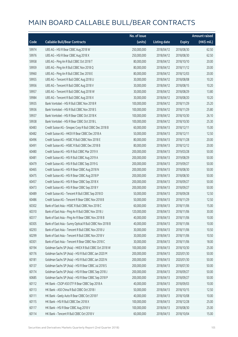|       |                                                          | No. of issue |                     |               | <b>Amount raised</b> |
|-------|----------------------------------------------------------|--------------|---------------------|---------------|----------------------|
| Code  | <b>Callable Bull/Bear Contracts</b>                      | (units)      | <b>Listing date</b> | <b>Expiry</b> | (HK\$ mil.)          |
| 59974 | UBS AG - HSI R Bear CBBC Aug 2018 W                      | 250,000,000  | 2018/04/12          | 2018/08/30    | 62.50                |
| 59976 | UBS AG - HSI R Bear CBBC Aug 2018 X                      | 250,000,000  | 2018/04/12          | 2018/08/30    | 62.50                |
| 59958 | UBS AG - Ping An R Bull CBBC Oct 2018 T                  | 80,000,000   | 2018/04/12          | 2018/10/10    | 20.00                |
| 59959 | UBS AG - Ping An R Bull CBBC Nov 2018 Q                  | 80,000,000   | 2018/04/12          | 2018/11/12    | 20.00                |
| 59960 | UBS AG - Ping An R Bull CBBC Dec 2018 E                  | 80,000,000   | 2018/04/12          | 2018/12/03    | 20.00                |
| 59955 | UBS AG - Tencent R Bull CBBC Aug 2018 U                  | 30,000,000   | 2018/04/12          | 2018/08/08    | 10.20                |
| 59956 | UBS AG - Tencent R Bull CBBC Aug 2018 V                  | 30,000,000   | 2018/04/12          | 2018/08/15    | 10.20                |
| 59957 | UBS AG - Tencent R Bull CBBC Aug 2018 W                  | 30,000,000   | 2018/04/12          | 2018/08/29    | 13.80                |
| 59984 | UBS AG - Tencent R Bull CBBC Aug 2018 X                  | 30,000,000   | 2018/04/12          | 2018/08/20    | 10.20                |
| 59935 | Bank Vontobel - HSI R Bull CBBC Nov 2018 R               | 100,000,000  | 2018/04/12          | 2018/11/29    | 25.20                |
| 59936 | Bank Vontobel - HSI R Bull CBBC Nov 2018 S               | 100,000,000  | 2018/04/12          | 2018/11/29    | 25.80                |
| 59937 | Bank Vontobel - HSI R Bear CBBC Oct 2018 K               | 100,000,000  | 2018/04/12          | 2018/10/30    | 26.10                |
| 59938 | Bank Vontobel - HSI R Bear CBBC Oct 2018 L               | 100,000,000  | 2018/04/12          | 2018/10/30    | 25.30                |
| 60483 | Credit Suisse AG - Sinopec Corp R Bull CBBC Dec 2018 B   | 60,000,000   | 2018/04/13          | 2018/12/11    | 15.00                |
| 60482 | Credit Suisse AG - HKEX R Bear CBBC Dec 2018 A           | 50,000,000   | 2018/04/13          | 2018/12/11    | 12.50                |
| 60496 | Credit Suisse AG - HSBC R Bull CBBC Nov 2018 E           | 80,000,000   | 2018/04/13          | 2018/11/28    | 20.00                |
| 60491 | Credit Suisse AG - HSBC R Bull CBBC Dec 2018 B           | 80,000,000   | 2018/04/13          | 2018/12/12    | 20.00                |
| 60480 | Credit Suisse AG - HSI R Bull CBBC Mar 2019 X            | 200,000,000  | 2018/04/13          | 2019/03/28    | 50.00                |
| 60481 | Credit Suisse AG - HSI R Bull CBBC Aug 2019 A            | 200,000,000  | 2018/04/13          | 2019/08/29    | 50.00                |
| 60479 | Credit Suisse AG - HSI R Bull CBBC Sep 2019 G            | 200,000,000  | 2018/04/13          | 2019/09/27    | 50.00                |
| 60465 | Credit Suisse AG - HSI R Bear CBBC Aug 2018 N            | 200,000,000  | 2018/04/13          | 2018/08/30    | 50.00                |
| 60475 | Credit Suisse AG - HSI R Bear CBBC Aug 2018 P            | 200,000,000  | 2018/04/13          | 2018/08/30    | 50.00                |
| 60457 | Credit Suisse AG - HSI R Bear CBBC Sep 2018 X            | 200,000,000  | 2018/04/13          | 2018/09/27    | 50.00                |
| 60473 | Credit Suisse AG - HSI R Bear CBBC Sep 2018 Y            | 200,000,000  | 2018/04/13          | 2018/09/27    | 50.00                |
| 60489 | Credit Suisse AG - Tencent R Bull CBBC Sep 2018 D        | 50,000,000   | 2018/04/13          | 2018/09/28    | 12.50                |
| 60486 | Credit Suisse AG - Tencent R Bear CBBC Nov 2018 B        | 50,000,000   | 2018/04/13          | 2018/11/29    | 12.50                |
| 60302 | Bank of East Asia - HSBC R Bull CBBC Nov 2018 C          | 60,000,000   | 2018/04/13          | 2018/11/06    | 15.00                |
| 60310 | Bank of East Asia - Ping An R Bull CBBC Nov 2018 J       | 120,000,000  | 2018/04/13          | 2018/11/06    | 30.00                |
| 60317 | Bank of East Asia - Ping An R Bear CBBC Nov 2018 B       | 40,000,000   | 2018/04/13          | 2018/11/06    | 10.00                |
| 60305 | Bank of East Asia - Sunny Optical R Bull CBBC Nov 2018 B | 40,000,000   | 2018/04/13          | 2018/11/06    | 10.00                |
| 60293 | Bank of East Asia - Tencent R Bull CBBC Nov 2018 U       | 30,000,000   | 2018/04/13          | 2018/11/06    | 10.50                |
| 60299 | Bank of East Asia - Tencent R Bull CBBC Nov 2018 V       | 30,000,000   | 2018/04/13          | 2018/11/06    | 10.50                |
| 60301 | Bank of East Asia - Tencent R Bear CBBC Nov 2018 C       | 30,000,000   | 2018/04/13          | 2018/11/06    | 18.00                |
| 60194 | Goldman Sachs SP (Asia) - HKEX R Bull CBBC Oct 2018 W    | 100,000,000  | 2018/04/13          | 2018/10/30    | 25.00                |
| 60176 | Goldman Sachs SP (Asia) - HSI R Bull CBBC Jan 2020 M     | 200,000,000  | 2018/04/13          | 2020/01/30    | 50.00                |
| 60181 | Goldman Sachs SP (Asia) - HSI R Bull CBBC Jan 2020 N     | 200,000,000  | 2018/04/13          | 2020/01/30    | 50.00                |
| 60137 | Goldman Sachs SP (Asia) - HSI R Bear CBBC Jul 2018 S     | 200,000,000  | 2018/04/13          | 2018/07/30    | 50.00                |
| 60174 | Goldman Sachs SP (Asia) - HSI R Bear CBBC Sep 2018 J     | 200,000,000  | 2018/04/13          | 2018/09/27    | 50.00                |
| 60685 | Goldman Sachs SP (Asia) - HSI R Bear CBBC Sep 2018 P     | 200,000,000  | 2018/04/13          | 2018/09/27    | 50.00                |
| 60112 | HK Bank - CSOP A50 ETF R Bear CBBC Sep 2018 A            | 40,000,000   | 2018/04/13          | 2018/09/03    | 10.00                |
| 60113 | HK Bank - A50 China R Bull CBBC Oct 2018 I               | 50,000,000   | 2018/04/13          | 2018/10/15    | 12.50                |
| 60111 | HK Bank - Geely Auto R Bear CBBC Oct 2018 F              | 40,000,000   | 2018/04/13          | 2018/10/08    | 10.00                |
| 60115 | HK Bank - HSI R Bull CBBC Dec 2018 X                     | 100,000,000  | 2018/04/13          | 2018/12/28    | 25.00                |
| 60117 | HK Bank - HSI R Bear CBBC Aug 2018 V                     | 100,000,000  | 2018/04/13          | 2018/08/30    | 25.00                |
| 60114 | HK Bank - Tencent R Bull CBBC Oct 2018 V                 | 60,000,000   | 2018/04/13          | 2018/10/04    | 15.00                |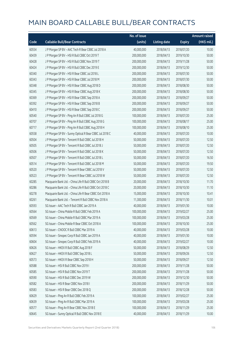|       |                                                         | No. of issue |                     |               | <b>Amount raised</b> |
|-------|---------------------------------------------------------|--------------|---------------------|---------------|----------------------|
| Code  | <b>Callable Bull/Bear Contracts</b>                     | (units)      | <b>Listing date</b> | <b>Expiry</b> | (HK\$ mil.)          |
| 60554 | J P Morgan SP BV - AAC Tech R Bear CBBC Jul 2018 A      | 40,000,000   | 2018/04/13          | 2018/07/20    | 10.00                |
| 60439 | JP Morgan SP BV - HSIR Bull CBBC Oct 2019 T             | 200,000,000  | 2018/04/13          | 2019/10/30    | 50.00                |
| 60428 | J P Morgan SP BV - HSI R Bull CBBC Nov 2019 T           | 200,000,000  | 2018/04/13          | 2019/11/28    | 50.00                |
| 60424 | J P Morgan SP BV - HSI R Bull CBBC Dec 2019 E           | 200,000,000  | 2018/04/13          | 2019/12/30    | 50.00                |
| 60340 | J P Morgan SP BV - HSI R Bear CBBC Jul 2018 L           | 200,000,000  | 2018/04/13          | 2018/07/30    | 50.00                |
| 60343 | J P Morgan SP BV - HSI R Bear CBBC Jul 2018 M           | 200,000,000  | 2018/04/13          | 2018/07/30    | 50.00                |
| 60348 | J P Morgan SP BV - HSI R Bear CBBC Aug 2018 D           | 200,000,000  | 2018/04/13          | 2018/08/30    | 50.00                |
| 60345 | J P Morgan SP BV - HSI R Bear CBBC Aug 2018 K           | 200,000,000  | 2018/04/13          | 2018/08/30    | 50.00                |
| 60369 | J P Morgan SP BV - HSI R Bear CBBC Sep 2018 A           | 200,000,000  | 2018/04/13          | 2018/09/27    | 50.00                |
| 60392 | J P Morgan SP BV - HSI R Bear CBBC Sep 2018 B           | 200,000,000  | 2018/04/13          | 2018/09/27    | 50.00                |
| 60410 | J P Morgan SP BV - HSI R Bear CBBC Sep 2018 C           | 200,000,000  | 2018/04/13          | 2018/09/27    | 50.00                |
| 60540 | J P Morgan SP BV - Ping An R Bull CBBC Jul 2018 G       | 100,000,000  | 2018/04/13          | 2018/07/20    | 25.00                |
| 60707 | J P Morgan SP BV - Ping An R Bull CBBC Aug 2018 G       | 100,000,000  | 2018/04/13          | 2018/08/17    | 25.00                |
| 60717 | J P Morgan SP BV - Ping An R Bull CBBC Aug 2018 H       | 100,000,000  | 2018/04/13          | 2018/08/10    | 25.00                |
| 60558 | J P Morgan SP BV - Sunny Optical R Bear CBBC Jul 2018 C | 40,000,000   | 2018/04/13          | 2018/07/20    | 10.00                |
| 60504 | J P Morgan SP BV - Tencent R Bull CBBC Jul 2018 H       | 50,000,000   | 2018/04/13          | 2018/07/20    | 12.50                |
| 60505 | JP Morgan SP BV - Tencent R Bull CBBC Jul 2018 J        | 50,000,000   | 2018/04/13          | 2018/07/20    | 12.50                |
| 60506 | JP Morgan SP BV - Tencent R Bull CBBC Jul 2018 K        | 50,000,000   | 2018/04/13          | 2018/07/20    | 12.50                |
| 60507 | J P Morgan SP BV - Tencent R Bull CBBC Jul 2018 L       | 50,000,000   | 2018/04/13          | 2018/07/20    | 16.50                |
| 60514 | J P Morgan SP BV - Tencent R Bull CBBC Jul 2018 M       | 50,000,000   | 2018/04/13          | 2018/07/20    | 19.50                |
| 60520 | J P Morgan SP BV - Tencent R Bear CBBC Jul 2018 V       | 50,000,000   | 2018/04/13          | 2018/07/20    | 12.50                |
| 60523 | J P Morgan SP BV - Tencent R Bear CBBC Jul 2018 W       | 50,000,000   | 2018/04/13          | 2018/07/20    | 12.50                |
| 60285 | Macquarie Bank Ltd. - China Life R Bull CBBC Oct 2018 B | 20,000,000   | 2018/04/13          | 2018/10/30    | 11.70                |
| 60286 | Macquarie Bank Ltd. - China Life R Bull CBBC Oct 2018 C | 20,000,000   | 2018/04/13          | 2018/10/30    | 11.10                |
| 60278 | Macquarie Bank Ltd. - China Life R Bear CBBC Oct 2018 A | 15,000,000   | 2018/04/13          | 2018/10/30    | 10.41                |
| 60261 | Macquarie Bank Ltd. - Tencent R Bull CBBC Nov 2018 A    | 11,300,000   | 2018/04/13          | 2018/11/30    | 10.01                |
| 60593 | SG Issuer - AAC Tech R Bull CBBC Jan 2019 A             | 40,000,000   | 2018/04/13          | 2019/01/30    | 10.00                |
| 60564 | SG Issuer - China Mobile R Bull CBBC Feb 2019 A         | 100,000,000  | 2018/04/13          | 2019/02/27    | 25.00                |
| 60569 | SG Issuer - China Mobile R Bull CBBC Mar 2019 A         | 100,000,000  | 2018/04/13          | 2019/03/28    | 25.00                |
| 60562 | SG Issuer - China Mobile R Bear CBBC Oct 2018 A         | 100,000,000  | 2018/04/13          | 2018/10/30    | 25.00                |
| 60613 | SG Issuer - CNOOC R Bull CBBC Mar 2019 A                | 40,000,000   | 2018/04/13          | 2019/03/28    | 10.00                |
| 60594 | SG Issuer - Sinopec Corp R Bull CBBC Jan 2019 A         | 40,000,000   | 2018/04/13          | 2019/01/30    | 10.00                |
| 60604 | SG Issuer - Sinopec Corp R Bull CBBC Feb 2019 A         | 40,000,000   | 2018/04/13          | 2019/02/27    | 10.00                |
| 60626 | SG Issuer - HKEX R Bull CBBC Aug 2018 F                 | 50,000,000   | 2018/04/13          | 2018/08/29    | 12.50                |
| 60627 | SG Issuer - HKEX R Bull CBBC Sep 2018 L                 | 50,000,000   | 2018/04/13          | 2018/09/26    | 12.50                |
| 60573 | SG Issuer - HKEX R Bear CBBC Sep 2018 H                 | 50,000,000   | 2018/04/13          | 2018/09/27    | 12.50                |
| 60588 | SG Issuer - HSI R Bull CBBC Nov 2019 I                  | 200,000,000  | 2018/04/13          | 2019/11/28    | 50.00                |
| 60585 | SG Issuer - HSI R Bull CBBC Nov 2019 T                  | 200,000,000  | 2018/04/13          | 2019/11/28    | 50.00                |
| 60590 | SG Issuer - HSI R Bull CBBC Dec 2019 W                  | 200,000,000  | 2018/04/13          | 2019/12/30    | 50.00                |
| 60582 | SG Issuer - HSI R Bear CBBC Nov 2018 I                  | 200,000,000  | 2018/04/13          | 2018/11/29    | 50.00                |
| 60583 | SG Issuer - HSI R Bear CBBC Dec 2018 Q                  | 200,000,000  | 2018/04/13          | 2018/12/28    | 50.00                |
| 60629 | SG Issuer - Ping An R Bull CBBC Feb 2019 A              | 100,000,000  | 2018/04/13          | 2019/02/27    | 25.00                |
| 60639 | SG Issuer - Ping An R Bull CBBC Mar 2019 A              | 100,000,000  | 2018/04/13          | 2019/03/28    | 25.00                |
| 60577 | SG Issuer - Ping An R Bear CBBC Nov 2018 E              | 100,000,000  | 2018/04/13          | 2018/11/29    | 25.00                |
| 60645 | SG Issuer - Sunny Optical R Bull CBBC Nov 2018 E        | 40,000,000   | 2018/04/13          | 2018/11/29    | 10.00                |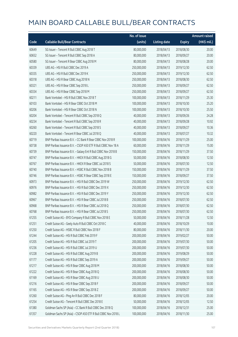|       |                                                               | No. of issue |                     |               | <b>Amount raised</b> |
|-------|---------------------------------------------------------------|--------------|---------------------|---------------|----------------------|
| Code  | <b>Callable Bull/Bear Contracts</b>                           | (units)      | <b>Listing date</b> | <b>Expiry</b> | (HK\$ mil.)          |
| 60649 | SG Issuer - Tencent R Bull CBBC Aug 2018 T                    | 80,000,000   | 2018/04/13          | 2018/08/30    | 20.00                |
| 60652 | SG Issuer - Tencent R Bull CBBC Sep 2018 A                    | 80,000,000   | 2018/04/13          | 2018/09/27    | 20.00                |
| 60580 | SG Issuer - Tencent R Bear CBBC Aug 2018 M                    | 80,000,000   | 2018/04/13          | 2018/08/28    | 20.00                |
| 60339 | UBS AG - HSI R Bull CBBC Dec 2019 A                           | 250,000,000  | 2018/04/13          | 2019/12/30    | 62.50                |
| 60335 | UBS AG - HSI R Bull CBBC Dec 2019 K                           | 250,000,000  | 2018/04/13          | 2019/12/30    | 62.50                |
| 60318 | UBS AG - HSI R Bear CBBC Aug 2018 N                           | 250,000,000  | 2018/04/13          | 2018/08/30    | 62.50                |
| 60321 | UBS AG - HSI R Bear CBBC Sep 2018 L                           | 250,000,000  | 2018/04/13          | 2018/09/27    | 62.50                |
| 60334 | UBS AG - HSI R Bear CBBC Sep 2018 M                           | 250,000,000  | 2018/04/13          | 2018/09/27    | 62.50                |
| 60211 | Bank Vontobel - HSI R Bull CBBC Nov 2018 T                    | 100,000,000  | 2018/04/13          | 2018/11/29    | 25.30                |
| 60103 | Bank Vontobel - HSI R Bear CBBC Oct 2018 M                    | 100,000,000  | 2018/04/13          | 2018/10/30    | 25.20                |
| 60206 | Bank Vontobel - HSI R Bear CBBC Oct 2018 N                    | 100,000,000  | 2018/04/13          | 2018/10/30    | 25.50                |
| 60204 | Bank Vontobel - Tencent R Bull CBBC Sep 2018 Q                | 40,000,000   | 2018/04/13          | 2018/09/26    | 24.28                |
| 60234 | Bank Vontobel - Tencent R Bull CBBC Sep 2018 R                | 40,000,000   | 2018/04/13          | 2018/09/28    | 10.92                |
| 60260 | Bank Vontobel - Tencent R Bull CBBC Sep 2018 S                | 40,000,000   | 2018/04/13          | 2018/09/27    | 10.36                |
| 60220 | Bank Vontobel - Tencent R Bear CBBC Jul 2018 Q                | 40,000,000   | 2018/04/13          | 2018/07/27    | 10.32                |
| 60719 | BNP Paribas Issuance B.V. - CC Bank R Bear CBBC Nov 2018 R    | 100,000,000  | 2018/04/16          | 2018/11/29    | 25.00                |
| 60738 | BNP Paribas Issuance B.V. - CSOP A50 ETF R Bull CBBC Nov 18 A | 60,000,000   | 2018/04/16          | 2018/11/29    | 15.00                |
| 60739 | BNP Paribas Issuance B.V. - Galaxy Ent R Bull CBBC Nov 2018 B | 150,000,000  | 2018/04/16          | 2018/11/29    | 37.50                |
| 60747 | BNP Paribas Issuance B.V. - HKEX R Bull CBBC Aug 2018 G       | 50,000,000   | 2018/04/16          | 2018/08/30    | 12.50                |
| 60767 | BNP Paribas Issuance B.V. - HKEX R Bear CBBC Jul 2018 S       | 50,000,000   | 2018/04/16          | 2018/07/30    | 12.50                |
| 60740 | BNP Paribas Issuance B.V. - HSBC R Bull CBBC Nov 2018 B       | 150,000,000  | 2018/04/16          | 2018/11/29    | 37.50                |
| 60746 | BNP Paribas Issuance B.V. - HSBC R Bear CBBC Sep 2018 E       | 150,000,000  | 2018/04/16          | 2018/09/27    | 37.50                |
| 60973 | BNP Paribas Issuance B.V. - HSI R Bull CBBC Dec 2019 W        | 250,000,000  | 2018/04/16          | 2019/12/30    | 62.50                |
| 60976 | BNP Paribas Issuance B.V. - HSI R Bull CBBC Dec 2019 X        | 250,000,000  | 2018/04/16          | 2019/12/30    | 62.50                |
| 60982 | BNP Paribas Issuance B.V. - HSI R Bull CBBC Dec 2019 Y        | 250,000,000  | 2018/04/16          | 2019/12/30    | 62.50                |
| 60967 | BNP Paribas Issuance B.V. - HSI R Bear CBBC Jul 2018 B        | 250,000,000  | 2018/04/16          | 2018/07/30    | 62.50                |
| 60968 | BNP Paribas Issuance B.V. - HSI R Bear CBBC Jul 2018 Q        | 250,000,000  | 2018/04/16          | 2018/07/30    | 62.50                |
| 60768 | BNP Paribas Issuance B.V. - HSI R Bear CBBC Jul 2018 S        | 250,000,000  | 2018/04/16          | 2018/07/30    | 62.50                |
| 61255 | Credit Suisse AG - BYD Company R Bull CBBC Nov 2018 E         | 50,000,000   | 2018/04/16          | 2018/11/28    | 12.50                |
| 61251 | Credit Suisse AG - Geely Auto R Bull CBBC Oct 2018 C          | 40,000,000   | 2018/04/16          | 2018/10/29    | 10.00                |
| 61250 | Credit Suisse AG - HSBC R Bull CBBC Nov 2018 F                | 80,000,000   | 2018/04/16          | 2018/11/30    | 20.00                |
| 61244 | Credit Suisse AG - HSI R Bull CBBC Feb 2019 F                 | 200,000,000  | 2018/04/16          | 2019/02/27    | 50.00                |
| 61205 | Credit Suisse AG - HSI R Bull CBBC Jul 2019 T                 | 200,000,000  | 2018/04/16          | 2019/07/30    | 50.00                |
| 61236 | Credit Suisse AG - HSI R Bull CBBC Jul 2019 U                 | 200,000,000  | 2018/04/16          | 2019/07/30    | 50.00                |
| 61228 | Credit Suisse AG - HSI R Bull CBBC Aug 2019 B                 | 200,000,000  | 2018/04/16          | 2019/08/29    | 50.00                |
| 61177 | Credit Suisse AG - HSI R Bull CBBC Sep 2019 A                 | 200,000,000  | 2018/04/16          | 2019/09/27    | 50.00                |
| 61217 | Credit Suisse AG - HSI R Bear CBBC Aug 2018 M                 | 200,000,000  | 2018/04/16          | 2018/08/30    | 50.00                |
| 61222 | Credit Suisse AG - HSI R Bear CBBC Aug 2018 Q                 | 200,000,000  | 2018/04/16          | 2018/08/30    | 50.00                |
| 61169 | Credit Suisse AG - HSI R Bear CBBC Aug 2018 U                 | 200,000,000  | 2018/04/16          | 2018/08/30    | 50.00                |
| 61216 | Credit Suisse AG - HSI R Bear CBBC Sep 2018 F                 | 200,000,000  | 2018/04/16          | 2018/09/27    | 50.00                |
| 61165 | Credit Suisse AG - HSI R Bear CBBC Sep 2018 Z                 | 200,000,000  | 2018/04/16          | 2018/09/27    | 50.00                |
| 61260 | Credit Suisse AG - Ping An R Bull CBBC Dec 2018 F             | 80,000,000   | 2018/04/16          | 2018/12/05    | 20.00                |
| 61254 | Credit Suisse AG - Tencent R Bull CBBC Dec 2018 E             | 50,000,000   | 2018/04/16          | 2018/12/05    | 12.50                |
| 61380 | Goldman Sachs SP (Asia) - CC Bank R Bull CBBC Dec 2018 Q      | 100,000,000  | 2018/04/16          | 2018/12/31    | 25.00                |
| 61357 | Goldman Sachs SP (Asia) - CSOP A50 ETF R Bull CBBC Nov 2018 L | 100,000,000  | 2018/04/16          | 2018/11/30    | 25.00                |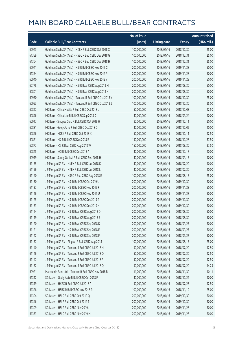|       |                                                          | No. of issue |                     |               | <b>Amount raised</b>  |
|-------|----------------------------------------------------------|--------------|---------------------|---------------|-----------------------|
| Code  | <b>Callable Bull/Bear Contracts</b>                      | (units)      | <b>Listing date</b> | <b>Expiry</b> | $(HK\frac{1}{2}mil.)$ |
| 60943 | Goldman Sachs SP (Asia) - HKEX R Bull CBBC Oct 2018 X    | 100,000,000  | 2018/04/16          | 2018/10/30    | 25.00                 |
| 61359 | Goldman Sachs SP (Asia) - HSBC R Bull CBBC Dec 2018 G    | 100,000,000  | 2018/04/16          | 2018/12/31    | 25.00                 |
| 61364 | Goldman Sachs SP (Asia) - HSBC R Bull CBBC Dec 2018 H    | 100,000,000  | 2018/04/16          | 2018/12/31    | 25.00                 |
| 60941 | Goldman Sachs SP (Asia) - HSI R Bull CBBC Nov 2019 C     | 200,000,000  | 2018/04/16          | 2019/11/28    | 50.00                 |
| 61354 | Goldman Sachs SP (Asia) - HSI R Bull CBBC Nov 2019 P     | 200,000,000  | 2018/04/16          | 2019/11/28    | 50.00                 |
| 60940 | Goldman Sachs SP (Asia) - HSI R Bull CBBC Nov 2019 Y     | 200,000,000  | 2018/04/16          | 2019/11/28    | 50.00                 |
| 60778 | Goldman Sachs SP (Asia) - HSI R Bear CBBC Aug 2018 M     | 200,000,000  | 2018/04/16          | 2018/08/30    | 50.00                 |
| 60801 | Goldman Sachs SP (Asia) - HSI R Bear CBBC Aug 2018 N     | 200,000,000  | 2018/04/16          | 2018/08/30    | 50.00                 |
| 60950 | Goldman Sachs SP (Asia) - Tencent R Bull CBBC Oct 2018 Y | 100,000,000  | 2018/04/16          | 2018/10/30    | 25.00                 |
| 60953 | Goldman Sachs SP (Asia) - Tencent R Bull CBBC Oct 2018 Z | 100,000,000  | 2018/04/16          | 2018/10/30    | 25.00                 |
| 60827 | HK Bank - China Mobile R Bull CBBC Oct 2018 L            | 50,000,000   | 2018/04/16          | 2018/10/08    | 12.50                 |
| 60896 | HK Bank - China Life R Bull CBBC Sep 2018 D              | 40,000,000   | 2018/04/16          | 2018/09/24    | 10.00                 |
| 60917 | HK Bank - Sinopec Corp R Bull CBBC Oct 2018 H            | 80,000,000   | 2018/04/16          | 2018/10/11    | 20.00                 |
| 60881 | HK Bank - Geely Auto R Bull CBBC Oct 2018 C              | 40,000,000   | 2018/04/16          | 2018/10/02    | 10.00                 |
| 60866 | HK Bank - HKEX R Bull CBBC Oct 2018 X                    | 50,000,000   | 2018/04/16          | 2018/10/11    | 12.50                 |
| 60871 | HK Bank - HSI R Bull CBBC Dec 2018 E                     | 150,000,000  | 2018/04/16          | 2018/12/28    | 37.50                 |
| 60877 | HK Bank - HSI R Bear CBBC Aug 2018 W                     | 150,000,000  | 2018/04/16          | 2018/08/30    | 37.50                 |
| 60845 | HK Bank - NCI R Bull CBBC Dec 2018 A                     | 40,000,000   | 2018/04/16          | 2018/12/17    | 10.00                 |
| 60919 | HK Bank - Sunny Optical R Bull CBBC Sep 2018 H           | 40,000,000   | 2018/04/16          | 2018/09/17    | 10.00                 |
| 61155 | J P Morgan SP BV - HKEX R Bull CBBC Jul 2018 K           | 40,000,000   | 2018/04/16          | 2018/07/20    | 10.00                 |
| 61156 | J P Morgan SP BV - HKEX R Bull CBBC Jul 2018 L           | 40,000,000   | 2018/04/16          | 2018/07/20    | 10.00                 |
| 61160 | J P Morgan SP BV - HSBC R Bull CBBC Aug 2018 E           | 100,000,000  | 2018/04/16          | 2018/08/17    | 25.00                 |
| 61130 | J P Morgan SP BV - HSI R Bull CBBC Oct 2019 U            | 200,000,000  | 2018/04/16          | 2019/10/30    | 50.00                 |
| 61137 | J P Morgan SP BV - HSI R Bull CBBC Nov 2019 F            | 200,000,000  | 2018/04/16          | 2019/11/28    | 50.00                 |
| 61126 | J P Morgan SP BV - HSI R Bull CBBC Nov 2019 U            | 200,000,000  | 2018/04/16          | 2019/11/28    | 50.00                 |
| 61125 | J P Morgan SP BV - HSI R Bull CBBC Dec 2019 G            | 200,000,000  | 2018/04/16          | 2019/12/30    | 50.00                 |
| 61133 | J P Morgan SP BV - HSI R Bull CBBC Dec 2019 H            | 200,000,000  | 2018/04/16          | 2019/12/30    | 50.00                 |
| 61124 | J P Morgan SP BV - HSI R Bear CBBC Aug 2018 Q            | 200,000,000  | 2018/04/16          | 2018/08/30    | 50.00                 |
| 61119 | J P Morgan SP BV - HSI R Bear CBBC Aug 2018 S            | 200,000,000  | 2018/04/16          | 2018/08/30    | 50.00                 |
| 61120 | J P Morgan SP BV - HSI R Bear CBBC Sep 2018 D            | 200,000,000  | 2018/04/16          | 2018/09/27    | 50.00                 |
| 61121 | J P Morgan SP BV - HSI R Bear CBBC Sep 2018 E            | 200,000,000  | 2018/04/16          | 2018/09/27    | 50.00                 |
| 61122 | J P Morgan SP BV - HSI R Bear CBBC Sep 2018 F            | 200,000,000  | 2018/04/16          | 2018/09/27    | 50.00                 |
| 61157 | J P Morgan SP BV - Ping An R Bull CBBC Aug 2018 I        | 100,000,000  | 2018/04/16          | 2018/08/17    | 25.00                 |
| 61140 | J P Morgan SP BV - Tencent R Bull CBBC Jul 2018 N        | 50,000,000   | 2018/04/16          | 2018/07/20    | 12.50                 |
| 61146 | J P Morgan SP BV - Tencent R Bull CBBC Jul 2018 O        | 50,000,000   | 2018/04/16          | 2018/07/20    | 12.50                 |
| 61147 | J P Morgan SP BV - Tencent R Bull CBBC Jul 2018 P        | 50,000,000   | 2018/04/16          | 2018/07/20    | 12.50                 |
| 61152 | J P Morgan SP BV - Tencent R Bull CBBC Jul 2018 Q        | 50,000,000   | 2018/04/16          | 2018/07/20    | 14.25                 |
| 60921 | Macquarie Bank Ltd. - Tencent R Bull CBBC Nov 2018 B     | 11,700,000   | 2018/04/16          | 2018/11/30    | 10.11                 |
| 61312 | SG Issuer - Geely Auto R Bull CBBC Oct 2018 F            | 40,000,000   | 2018/04/16          | 2018/10/22    | 10.00                 |
| 61319 | SG Issuer - HKEX R Bull CBBC Jul 2018 A                  | 50,000,000   | 2018/04/16          | 2018/07/23    | 12.50                 |
| 61326 | SG Issuer - HSBC R Bull CBBC Nov 2018 R                  | 100,000,000  | 2018/04/16          | 2018/11/19    | 25.00                 |
| 61304 | SG Issuer - HSI R Bull CBBC Oct 2019 Q                   | 200,000,000  | 2018/04/16          | 2019/10/30    | 50.00                 |
| 61346 | SG Issuer - HSI R Bull CBBC Oct 2019 T                   | 200,000,000  | 2018/04/16          | 2019/10/30    | 50.00                 |
| 61309 | SG Issuer - HSI R Bull CBBC Nov 2019 J                   | 200,000,000  | 2018/04/16          | 2019/11/28    | 50.00                 |
| 61353 | SG Issuer - HSI R Bull CBBC Nov 2019 M                   | 200,000,000  | 2018/04/16          | 2019/11/28    | 50.00                 |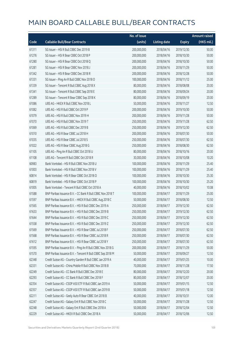|       |                                                            | No. of issue |                     |               | <b>Amount raised</b>  |
|-------|------------------------------------------------------------|--------------|---------------------|---------------|-----------------------|
| Code  | <b>Callable Bull/Bear Contracts</b>                        | (units)      | <b>Listing date</b> | <b>Expiry</b> | $(HK\frac{1}{2}mil.)$ |
| 61311 | SG Issuer - HSI R Bull CBBC Dec 2019 B                     | 200,000,000  | 2018/04/16          | 2019/12/30    | 50.00                 |
| 61276 | SG Issuer - HSI R Bear CBBC Oct 2018 P                     | 200,000,000  | 2018/04/16          | 2018/10/30    | 50.00                 |
| 61280 | SG Issuer - HSI R Bear CBBC Oct 2018 Q                     | 200,000,000  | 2018/04/16          | 2018/10/30    | 50.00                 |
| 61281 | SG Issuer - HSI R Bear CBBC Nov 2018 J                     | 200,000,000  | 2018/04/16          | 2018/11/29    | 50.00                 |
| 61342 | SG Issuer - HSI R Bear CBBC Dec 2018 R                     | 200,000,000  | 2018/04/16          | 2018/12/28    | 50.00                 |
| 61331 | SG Issuer - Ping An R Bull CBBC Nov 2018 O                 | 100,000,000  | 2018/04/16          | 2018/11/12    | 25.00                 |
| 61339 | SG Issuer - Tencent R Bull CBBC Aug 2018 X                 | 80,000,000   | 2018/04/16          | 2018/08/08    | 20.00                 |
| 61341 | SG Issuer - Tencent R Bull CBBC Sep 2018 E                 | 80,000,000   | 2018/04/16          | 2018/09/24    | 20.00                 |
| 61289 | SG Issuer - Tencent R Bear CBBC Sep 2018 K                 | 80,000,000   | 2018/04/16          | 2018/09/19    | 20.00                 |
| 61086 | UBS AG - HKEX R Bull CBBC Nov 2018 L                       | 50,000,000   | 2018/04/16          | 2018/11/27    | 12.50                 |
| 61082 | UBS AG - HSI R Bull CBBC Oct 2019 P                        | 200,000,000  | 2018/04/16          | 2019/10/30    | 50.00                 |
| 61079 | UBS AG - HSI R Bull CBBC Nov 2019 H                        | 200,000,000  | 2018/04/16          | 2019/11/28    | 50.00                 |
| 61070 | UBS AG - HSI R Bull CBBC Nov 2019 T                        | 250,000,000  | 2018/04/16          | 2019/11/28    | 62.50                 |
| 61069 | UBS AG - HSI R Bull CBBC Dec 2019 B                        | 250,000,000  | 2018/04/16          | 2019/12/30    | 62.50                 |
| 61010 | UBS AG - HSI R Bear CBBC Jul 2018 H                        | 200,000,000  | 2018/04/16          | 2018/07/30    | 50.00                 |
| 61035 | UBS AG - HSI R Bear CBBC Jul 2018 S                        | 250,000,000  | 2018/04/16          | 2018/07/30    | 62.50                 |
| 61022 | UBS AG - HSI R Bear CBBC Aug 2018 G                        | 250,000,000  | 2018/04/16          | 2018/08/30    | 62.50                 |
| 61105 | UBS AG - Ping An R Bull CBBC Oct 2018 U                    | 80,000,000   | 2018/04/16          | 2018/10/16    | 20.00                 |
| 61108 | UBS AG - Tencent R Bull CBBC Oct 2018 R                    | 30,000,000   | 2018/04/16          | 2018/10/08    | 10.20                 |
| 60983 | Bank Vontobel - HSI R Bull CBBC Nov 2018 U                 | 100,000,000  | 2018/04/16          | 2018/11/29    | 25.40                 |
| 61003 | Bank Vontobel - HSI R Bull CBBC Nov 2018 V                 | 100,000,000  | 2018/04/16          | 2018/11/29    | 25.40                 |
| 60814 | Bank Vontobel - HSI R Bear CBBC Oct 2018 O                 | 100,000,000  | 2018/04/16          | 2018/10/30    | 25.30                 |
| 60819 | Bank Vontobel - HSI R Bear CBBC Oct 2018 P                 | 100,000,000  | 2018/04/16          | 2018/10/30    | 25.20                 |
| 61005 | Bank Vontobel - Tencent R Bull CBBC Oct 2018 A             | 40,000,000   | 2018/04/16          | 2018/10/02    | 10.08                 |
| 61588 | BNP Paribas Issuance B.V. - CC Bank R Bull CBBC Nov 2018 T | 100,000,000  | 2018/04/17          | 2018/11/29    | 25.00                 |
| 61597 | BNP Paribas Issuance B.V. - HKEX R Bull CBBC Aug 2018 C    | 50,000,000   | 2018/04/17          | 2018/08/30    | 12.50                 |
| 61565 | BNP Paribas Issuance B.V. - HSI R Bull CBBC Dec 2019 A     | 250,000,000  | 2018/04/17          | 2019/12/30    | 62.50                 |
| 61633 | BNP Paribas Issuance B.V. - HSI R Bull CBBC Dec 2019 B     | 250,000,000  | 2018/04/17          | 2019/12/30    | 62.50                 |
| 61644 | BNP Paribas Issuance B.V. - HSI R Bull CBBC Dec 2019 C     | 250,000,000  | 2018/04/17          | 2019/12/30    | 62.50                 |
| 61558 | BNP Paribas Issuance B.V. - HSI R Bull CBBC Dec 2019 Z     | 250,000,000  | 2018/04/17          | 2019/12/30    | 62.50                 |
| 61569 | BNP Paribas Issuance B.V. - HSI R Bear CBBC Jul 2018 F     | 250,000,000  | 2018/04/17          | 2018/07/30    | 62.50                 |
| 61568 | BNP Paribas Issuance B.V. - HSI R Bear CBBC Jul 2018 R     | 250,000,000  | 2018/04/17          | 2018/07/30    | 62.50                 |
| 61612 | BNP Paribas Issuance B.V. - HSI R Bear CBBC Jul 2018 Y     | 250,000,000  | 2018/04/17          | 2018/07/30    | 62.50                 |
| 61595 | BNP Paribas Issuance B.V. - Ping An R Bull CBBC Nov 2018 G | 200,000,000  | 2018/04/17          | 2018/11/29    | 50.00                 |
| 61570 | BNP Paribas Issuance B.V. - Tencent R Bull CBBC Sep 2018 M | 50,000,000   | 2018/04/17          | 2018/09/27    | 12.50                 |
| 62348 | Credit Suisse AG - Country Garden R Bull CBBC Jan 2019 A   | 40,000,000   | 2018/04/17          | 2019/01/25    | 10.00                 |
| 62331 | Credit Suisse AG - China Mobile R Bull CBBC Nov 2018 B     | 70,000,000   | 2018/04/17          | 2018/11/28    | 17.50                 |
| 62249 | Credit Suisse AG - CC Bank R Bull CBBC Dec 2018 E          | 80,000,000   | 2018/04/17          | 2018/12/20    | 20.00                 |
| 62293 | Credit Suisse AG - CC Bank R Bull CBBC Dec 2018 F          | 80,000,000   | 2018/04/17          | 2018/12/07    | 20.00                 |
| 62354 | Credit Suisse AG - CSOP A50 ETF R Bull CBBC Jan 2019 A     | 50,000,000   | 2018/04/17          | 2019/01/15    | 12.50                 |
| 62357 | Credit Suisse AG - CSOP A50 ETF R Bull CBBC Jan 2019 B     | 50,000,000   | 2018/04/17          | 2019/01/18    | 12.50                 |
| 62211 | Credit Suisse AG - Geely Auto R Bear CBBC Oct 2018 B       | 40,000,000   | 2018/04/17          | 2018/10/31    | 12.00                 |
| 62247 | Credit Suisse AG - Galaxy Ent R Bull CBBC Nov 2018 C       | 50,000,000   | 2018/04/17          | 2018/11/28    | 12.50                 |
| 62248 | Credit Suisse AG - Galaxy Ent R Bull CBBC Dec 2018 A       | 50,000,000   | 2018/04/17          | 2018/12/04    | 12.50                 |
| 62229 | Credit Suisse AG - HKEX R Bull CBBC Dec 2018 A             | 50,000,000   | 2018/04/17          | 2018/12/06    | 12.50                 |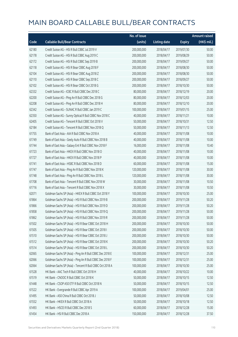|       |                                                          | No. of issue |                     |               | <b>Amount raised</b> |
|-------|----------------------------------------------------------|--------------|---------------------|---------------|----------------------|
| Code  | <b>Callable Bull/Bear Contracts</b>                      | (units)      | <b>Listing date</b> | <b>Expiry</b> | (HK\$ mil.)          |
| 62180 | Credit Suisse AG - HSI R Bull CBBC Jul 2019 V            | 200,000,000  | 2018/04/17          | 2019/07/30    | 50.00                |
| 62178 | Credit Suisse AG - HSI R Bull CBBC Aug 2019 C            | 200,000,000  | 2018/04/17          | 2019/08/29    | 50.00                |
| 62172 | Credit Suisse AG - HSI R Bull CBBC Sep 2019 B            | 200,000,000  | 2018/04/17          | 2019/09/27    | 50.00                |
| 62118 | Credit Suisse AG - HSI R Bear CBBC Aug 2018 F            | 200,000,000  | 2018/04/17          | 2018/08/30    | 50.00                |
| 62104 | Credit Suisse AG - HSI R Bear CBBC Aug 2018 Z            | 200,000,000  | 2018/04/17          | 2018/08/30    | 50.00                |
| 62110 | Credit Suisse AG - HSI R Bear CBBC Sep 2018 C            | 200,000,000  | 2018/04/17          | 2018/09/27    | 50.00                |
| 62102 | Credit Suisse AG - HSI R Bear CBBC Oct 2018 G            | 200,000,000  | 2018/04/17          | 2018/10/30    | 50.00                |
| 62332 | Credit Suisse AG - ICBC R Bull CBBC Dec 2018 C           | 80,000,000   | 2018/04/17          | 2018/12/19    | 20.00                |
| 62200 | Credit Suisse AG - Ping An R Bull CBBC Dec 2018 G        | 80,000,000   | 2018/04/17          | 2018/12/03    | 20.00                |
| 62208 | Credit Suisse AG - Ping An R Bull CBBC Dec 2018 H        | 80,000,000   | 2018/04/17          | 2018/12/10    | 20.00                |
| 62342 | Credit Suisse AG - SUNAC R Bull CBBC Jan 2019 C          | 100,000,000  | 2018/04/17          | 2019/01/15    | 25.00                |
| 62350 | Credit Suisse AG - Sunny Optical R Bull CBBC Nov 2018 C  | 40,000,000   | 2018/04/17          | 2018/11/21    | 10.00                |
| 62405 | Credit Suisse AG - Tencent R Bull CBBC Oct 2018 V        | 50,000,000   | 2018/04/17          | 2018/10/31    | 12.50                |
| 62184 | Credit Suisse AG - Tencent R Bull CBBC Nov 2018 Q        | 50,000,000   | 2018/04/17          | 2018/11/13    | 12.50                |
| 61755 | Bank of East Asia - AIA R Bull CBBC Nov 2018 A           | 40,000,000   | 2018/04/17          | 2018/11/08    | 10.00                |
| 61749 | Bank of East Asia - Geely Auto R Bull CBBC Nov 2018 B    | 40,000,000   | 2018/04/17          | 2018/11/08    | 10.00                |
| 61744 | Bank of East Asia - Galaxy Ent R Bull CBBC Nov 2018 F    | 16,000,000   | 2018/04/17          | 2018/11/08    | 10.40                |
| 61723 | Bank of East Asia - HKEX R Bull CBBC Nov 2018 O          | 40,000,000   | 2018/04/17          | 2018/11/08    | 10.00                |
| 61727 | Bank of East Asia - HKEX R Bull CBBC Nov 2018 P          | 40,000,000   | 2018/04/17          | 2018/11/08    | 10.00                |
| 61741 | Bank of East Asia - HSBC R Bull CBBC Nov 2018 D          | 60,000,000   | 2018/04/17          | 2018/11/08    | 15.00                |
| 61747 | Bank of East Asia - Ping An R Bull CBBC Nov 2018 K       | 120,000,000  | 2018/04/17          | 2018/11/08    | 30.00                |
| 61748 | Bank of East Asia - Ping An R Bull CBBC Nov 2018 L       | 120,000,000  | 2018/04/17          | 2018/11/08    | 30.00                |
| 61708 | Bank of East Asia - Tencent R Bull CBBC Nov 2018 W       | 30,000,000   | 2018/04/17          | 2018/11/08    | 10.50                |
| 61716 | Bank of East Asia - Tencent R Bull CBBC Nov 2018 X       | 30,000,000   | 2018/04/17          | 2018/11/08    | 10.50                |
| 62071 | Goldman Sachs SP (Asia) - HKEX R Bull CBBC Oct 2018 Y    | 100,000,000  | 2018/04/17          | 2018/10/30    | 25.00                |
| 61864 | Goldman Sachs SP (Asia) - HSI R Bull CBBC Nov 2019 B     | 200,000,000  | 2018/04/17          | 2019/11/28    | 50.20                |
| 61866 | Goldman Sachs SP (Asia) - HSI R Bull CBBC Nov 2019 D     | 200,000,000  | 2018/04/17          | 2019/11/28    | 50.20                |
| 61858 | Goldman Sachs SP (Asia) - HSI R Bull CBBC Nov 2019 Q     | 200,000,000  | 2018/04/17          | 2019/11/28    | 50.00                |
| 61862 | Goldman Sachs SP (Asia) - HSI R Bull CBBC Nov 2019 R     | 200,000,000  | 2018/04/17          | 2019/11/28    | 50.00                |
| 61502 | Goldman Sachs SP (Asia) - HSI R Bear CBBC Oct 2018 H     | 200,000,000  | 2018/04/17          | 2018/10/30    | 50.00                |
| 61505 | Goldman Sachs SP (Asia) - HSI R Bear CBBC Oct 2018 I     | 200,000,000  | 2018/04/17          | 2018/10/30    | 50.00                |
| 61510 | Goldman Sachs SP (Asia) - HSI R Bear CBBC Oct 2018 J     | 200,000,000  | 2018/04/17          | 2018/10/30    | 50.00                |
| 61512 | Goldman Sachs SP (Asia) - HSI R Bear CBBC Oct 2018 K     | 200,000,000  | 2018/04/17          | 2018/10/30    | 50.20                |
| 61514 | Goldman Sachs SP (Asia) - HSI R Bear CBBC Oct 2018 L     | 200,000,000  | 2018/04/17          | 2018/10/30    | 50.20                |
| 62065 | Goldman Sachs SP (Asia) - Ping An R Bull CBBC Dec 2018 E | 100,000,000  | 2018/04/17          | 2018/12/31    | 25.00                |
| 62066 | Goldman Sachs SP (Asia) - Ping An R Bull CBBC Dec 2018 F | 100,000,000  | 2018/04/17          | 2018/12/31    | 25.00                |
| 62064 | Goldman Sachs SP (Asia) - Tencent R Bull CBBC Oct 2018 A | 100,000,000  | 2018/04/17          | 2018/10/30    | 25.00                |
| 61528 | HK Bank - AAC Tech R Bull CBBC Oct 2018 H                | 40,000,000   | 2018/04/17          | 2018/10/22    | 10.00                |
| 61519 | HK Bank - CNOOC R Bull CBBC Oct 2018 K                   | 50,000,000   | 2018/04/17          | 2018/10/15    | 12.50                |
| 61448 | HK Bank - CSOP A50 ETF R Bull CBBC Oct 2018 N            | 50,000,000   | 2018/04/17          | 2018/10/15    | 12.50                |
| 61522 | HK Bank - Evergrande R Bull CBBC Apr 2019 A              | 100,000,000  | 2018/04/17          | 2019/04/01    | 25.00                |
| 61495 | HK Bank - A50 China R Bull CBBC Oct 2018 J               | 50,000,000   | 2018/04/17          | 2018/10/08    | 12.50                |
| 61552 | HK Bank - HKEX R Bull CBBC Oct 2018 A                    | 50,000,000   | 2018/04/17          | 2018/10/18    | 12.50                |
| 61493 | HK Bank - HSCEI R Bull CBBC Dec 2018 S                   | 60,000,000   | 2018/04/17          | 2018/12/28    | 15.00                |
| 61454 | HK Bank - HSI R Bull CBBC Dec 2018 A                     | 150,000,000  | 2018/04/17          | 2018/12/28    | 37.50                |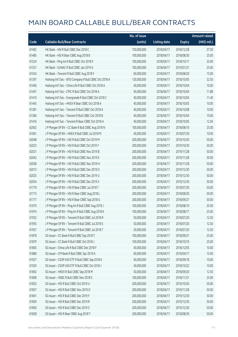|       |                                                        | No. of issue |                     |               | <b>Amount raised</b> |
|-------|--------------------------------------------------------|--------------|---------------------|---------------|----------------------|
| Code  | <b>Callable Bull/Bear Contracts</b>                    | (units)      | <b>Listing date</b> | <b>Expiry</b> | (HK\$ mil.)          |
| 61492 | HK Bank - HSI R Bull CBBC Dec 2018 C                   | 150,000,000  | 2018/04/17          | 2018/12/28    | 37.50                |
| 61485 | HK Bank - HSI R Bear CBBC Aug 2018 B                   | 100,000,000  | 2018/04/17          | 2018/08/30    | 25.00                |
| 61524 | HK Bank - Ping An R Bull CBBC Oct 2018 F               | 100,000,000  | 2018/04/17          | 2018/10/11    | 25.00                |
| 61531 | HK Bank - SUNAC R Bull CBBC Jan 2019 G                 | 100,000,000  | 2018/04/17          | 2019/01/21    | 25.00                |
| 61543 | HK Bank - Tencent R Bull CBBC Aug 2018 F               | 60,000,000   | 2018/04/17          | 2018/08/20    | 15.00                |
| 61397 | Haitong Int'l Sec - BYD Company R Bull CBBC Oct 2018 A | 130,000,000  | 2018/04/17          | 2018/10/05    | 32.50                |
| 61406 | Haitong Int'l Sec - China Life R Bull CBBC Oct 2018 A  | 40,000,000   | 2018/04/17          | 2018/10/04    | 10.00                |
| 61401 | Haitong Int'l Sec - CPIC R Bull CBBC Oct 2018 A        | 40,000,000   | 2018/04/17          | 2018/10/04    | 11.88                |
| 61410 | Haitong Int'l Sec - Evergrande R Bull CBBC Oct 2018 C  | 40,000,000   | 2018/04/17          | 2018/10/04    | 11.40                |
| 61445 | Haitong Int'l Sec - HKEX R Bear CBBC Oct 2018 A        | 40,000,000   | 2018/04/17          | 2018/10/05    | 10.00                |
| 61381 | Haitong Int'l Sec - Tencent R Bull CBBC Oct 2018 A     | 40,000,000   | 2018/04/17          | 2018/10/08    | 10.00                |
| 61384 | Haitong Int'l Sec - Tencent R Bull CBBC Oct 2018 B     | 40,000,000   | 2018/04/17          | 2018/10/04    | 10.00                |
| 61416 | Haitong Int'l Sec - Tencent R Bear CBBC Oct 2018 A     | 40,000,000   | 2018/04/17          | 2018/10/05    | 12.04                |
| 62002 | J P Morgan SP BV - CC Bank R Bull CBBC Aug 2018 N      | 100,000,000  | 2018/04/17          | 2018/08/10    | 25.00                |
| 61961 | J P Morgan SP BV - HKEX R Bull CBBC Jul 2018 M         | 40,000,000   | 2018/04/17          | 2018/07/20    | 10.00                |
| 62048 | J P Morgan SP BV - HSI R Bull CBBC Oct 2019 M          | 200,000,000  | 2018/04/17          | 2019/10/30    | 50.00                |
| 62023 | J P Morgan SP BV - HSI R Bull CBBC Oct 2019 Y          | 200,000,000  | 2018/04/17          | 2019/10/30    | 50.00                |
| 62021 | J P Morgan SP BV - HSI R Bull CBBC Nov 2019 B          | 200,000,000  | 2018/04/17          | 2019/11/28    | 50.00                |
| 62042 | J P Morgan SP BV - HSI R Bull CBBC Nov 2019 E          | 200,000,000  | 2018/04/17          | 2019/11/28    | 50.00                |
| 62058 | J P Morgan SP BV - HSI R Bull CBBC Nov 2019 H          | 200,000,000  | 2018/04/17          | 2019/11/28    | 50.00                |
| 62013 | J P Morgan SP BV - HSI R Bull CBBC Dec 2019 O          | 200,000,000  | 2018/04/17          | 2019/12/30    | 50.00                |
| 62025 | J P Morgan SP BV - HSI R Bull CBBC Dec 2019 U          | 200,000,000  | 2018/04/17          | 2019/12/30    | 50.00                |
| 62054 | J P Morgan SP BV - HSI R Bull CBBC Dec 2019 V          | 200,000,000  | 2018/04/17          | 2019/12/30    | 50.00                |
| 61779 | J P Morgan SP BV - HSI R Bear CBBC Jul 2018 T          | 200,000,000  | 2018/04/17          | 2018/07/30    | 50.00                |
| 61773 | J P Morgan SP BV - HSI R Bear CBBC Aug 2018 L          | 200,000,000  | 2018/04/17          | 2018/08/30    | 50.00                |
| 61777 | J P Morgan SP BV - HSI R Bear CBBC Sep 2018 G          | 200,000,000  | 2018/04/17          | 2018/09/27    | 50.00                |
| 61970 | J P Morgan SP BV - Ping An R Bull CBBC Aug 2018 J      | 100,000,000  | 2018/04/17          | 2018/08/10    | 25.00                |
| 61974 | J P Morgan SP BV - Ping An R Bull CBBC Aug 2018 K      | 100,000,000  | 2018/04/17          | 2018/08/17    | 25.00                |
| 61932 | J P Morgan SP BV - Tencent R Bull CBBC Jul 2018 R      | 50,000,000   | 2018/04/17          | 2018/07/20    | 12.50                |
| 61955 | J P Morgan SP BV - Tencent R Bull CBBC Jul 2018 S      | 50,000,000   | 2018/04/17          | 2018/07/20    | 12.50                |
| 61957 | J P Morgan SP BV - Tencent R Bull CBBC Jul 2018 T      | 50,000,000   | 2018/04/17          | 2018/07/20    | 12.50                |
| 61878 | SG Issuer - CC Bank R Bull CBBC Sep 2018 T             | 100,000,000  | 2018/04/17          | 2018/09/21    | 25.00                |
| 61879 | SG Issuer - CC Bank R Bull CBBC Oct 2018 J             | 100,000,000  | 2018/04/17          | 2018/10/19    | 25.00                |
| 61805 | SG Issuer - China Life R Bull CBBC Dec 2018 F          | 40,000,000   | 2018/04/17          | 2018/12/05    | 10.00                |
| 61880 | SG Issuer - CM Bank R Bull CBBC Apr 2019 A             | 60,000,000   | 2018/04/17          | 2019/04/17    | 15.00                |
| 61927 | SG Issuer - CSOP A50 ETF R Bull CBBC Sep 2018 K        | 40,000,000   | 2018/04/17          | 2018/09/18    | 10.00                |
| 61929 | SG Issuer - CSOP A50 ETF R Bull CBBC Oct 2018 J        | 40,000,000   | 2018/04/17          | 2018/10/22    | 10.00                |
| 61892 | SG Issuer - HKEX R Bull CBBC Sep 2018 M                | 50,000,000   | 2018/04/17          | 2018/09/20    | 12.50                |
| 61808 | SG Issuer - HSBC R Bull CBBC Nov 2018 S                | 100,000,000  | 2018/04/17          | 2018/11/21    | 25.00                |
| 61833 | SG Issuer - HSI R Bull CBBC Oct 2019 U                 | 200,000,000  | 2018/04/17          | 2019/10/30    | 50.00                |
| 61837 | SG Issuer - HSI R Bull CBBC Nov 2019 O                 | 200,000,000  | 2018/04/17          | 2019/11/28    | 50.00                |
| 61841 | SG Issuer - HSI R Bull CBBC Dec 2019 F                 | 200,000,000  | 2018/04/17          | 2019/12/30    | 50.00                |
| 61839 | SG Issuer - HSI R Bull CBBC Dec 2019 R                 | 200,000,000  | 2018/04/17          | 2019/12/30    | 50.00                |
| 61856 | SG Issuer - HSI R Bull CBBC Dec 2019 Z                 | 200,000,000  | 2018/04/17          | 2019/12/30    | 50.00                |
| 61828 | SG Issuer - HSI R Bear CBBC Aug 2018 T                 | 200,000,000  | 2018/04/17          | 2018/08/30    | 50.00                |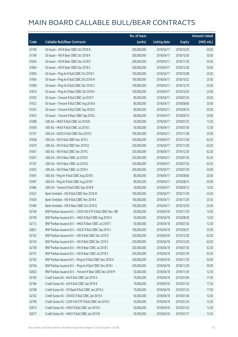|       |                                                              | No. of issue |                     |               | <b>Amount raised</b> |
|-------|--------------------------------------------------------------|--------------|---------------------|---------------|----------------------|
| Code  | <b>Callable Bull/Bear Contracts</b>                          | (units)      | <b>Listing date</b> | <b>Expiry</b> | (HK\$ mil.)          |
| 61796 | SG Issuer - HSI R Bear CBBC Oct 2018 N                       | 200,000,000  | 2018/04/17          | 2018/10/30    | 50.00                |
| 61789 | SG Issuer - HSI R Bear CBBC Oct 2018 R                       | 200,000,000  | 2018/04/17          | 2018/10/30    | 50.00                |
| 61824 | SG Issuer - HSI R Bear CBBC Nov 2018 K                       | 200,000,000  | 2018/04/17          | 2018/11/29    | 50.00                |
| 61804 | SG Issuer - HSI R Bear CBBC Dec 2018 S                       | 200,000,000  | 2018/04/17          | 2018/12/28    | 50.00                |
| 61893 | SG Issuer - Ping An R Bull CBBC Oct 2018 V                   | 100,000,000  | 2018/04/17          | 2018/10/08    | 25.00                |
| 61904 | SG Issuer - Ping An R Bull CBBC Oct 2018 W                   | 100,000,000  | 2018/04/17          | 2018/10/22    | 25.00                |
| 61909 | SG Issuer - Ping An R Bull CBBC Dec 2018 U                   | 100,000,000  | 2018/04/17          | 2018/12/10    | 25.00                |
| 61810 | SG Issuer - Ping An R Bear CBBC Oct 2018 K                   | 100,000,000  | 2018/04/17          | 2018/10/25    | 25.00                |
| 61920 | SG Issuer - Tencent R Bull CBBC Jul 2018 Y                   | 80,000,000   | 2018/04/17          | 2018/07/26    | 20.00                |
| 61922 | SG Issuer - Tencent R Bull CBBC Aug 2018 A                   | 80,000,000   | 2018/04/17          | 2018/08/06    | 20.00                |
| 61923 | SG Issuer - Tencent R Bull CBBC Sep 2018 G                   | 80,000,000   | 2018/04/17          | 2018/09/10    | 20.00                |
| 61815 | SG Issuer - Tencent R Bear CBBC Sep 2018 L                   | 80,000,000   | 2018/04/17          | 2018/09/10    | 20.00                |
| 61688 | UBS AG - HKEX R Bull CBBC Jul 2018 B                         | 50,000,000   | 2018/04/17          | 2018/07/23    | 12.50                |
| 61690 | UBS AG - HKEX R Bull CBBC Jul 2018 C                         | 50,000,000   | 2018/04/17          | 2018/07/30    | 12.50                |
| 61701 | UBS AG - HSCEI R Bull CBBC Nov 2019 E                        | 100,000,000  | 2018/04/17          | 2019/11/28    | 25.00                |
| 61658 | UBS AG - HSI R Bull CBBC Nov 2019 J                          | 250,000,000  | 2018/04/17          | 2019/11/28    | 62.50                |
| 61679 | UBS AG - HSI R Bull CBBC Nov 2019 Q                          | 250,000,000  | 2018/04/17          | 2019/11/28    | 62.50                |
| 61661 | UBS AG - HSI R Bull CBBC Dec 2019 C                          | 250,000,000  | 2018/04/17          | 2019/12/30    | 62.50                |
| 61657 | UBS AG - HSI R Bear CBBC Jul 2018 E                          | 250,000,000  | 2018/04/17          | 2018/07/30    | 62.50                |
| 61707 | UBS AG - HSI R Bear CBBC Jul 2018 G                          | 250,000,000  | 2018/04/17          | 2018/07/30    | 62.50                |
| 61655 | UBS AG - HSI R Bear CBBC Jul 2018 V                          | 200,000,000  | 2018/04/17          | 2018/07/30    | 50.00                |
| 61691 | UBS AG - Ping An R Bull CBBC Aug 2018 E                      | 80,000,000   | 2018/04/17          | 2018/08/06    | 20.00                |
| 61697 | UBS AG - Ping An R Bull CBBC Aug 2018 F                      | 80,000,000   | 2018/04/17          | 2018/08/15    | 20.00                |
| 61686 | UBS AG - Tencent R Bull CBBC Sep 2018 B                      | 30,000,000   | 2018/04/17          | 2018/09/12    | 10.20                |
| 61627 | Bank Vontobel - HSI R Bull CBBC Nov 2018 W                   | 100,000,000  | 2018/04/17          | 2018/11/29    | 25.50                |
| 61629 | Bank Vontobel - HSI R Bull CBBC Nov 2018 X                   | 100,000,000  | 2018/04/17          | 2018/11/29    | 25.30                |
| 61496 | Bank Vontobel - HSI R Bear CBBC Oct 2018 Q                   | 100,000,000  | 2018/04/17          | 2018/10/30    | 25.40                |
| 62749 | BNP Paribas Issuance B.V. - CSOP A50 ETF R Bull CBBC Nov 18B | 60,000,000   | 2018/04/18          | 2018/11/29    | 15.00                |
| 62769 | BNP Paribas Issuance B.V. - HKEX R Bull CBBC Aug 2018 H      | 50,000,000   | 2018/04/18          | 2018/08/30    | 12.50                |
| 62772 | BNP Paribas Issuance B.V. - HKEX R Bear CBBC Jul 2018 T      | 50,000,000   | 2018/04/18          | 2018/07/30    | 12.50                |
| 62821 | BNP Paribas Issuance B.V. - HSCEI R Bull CBBC Sep 2019 J     | 100,000,000  | 2018/04/18          | 2019/09/27    | 25.00                |
| 62742 | BNP Paribas Issuance B.V. - HSI R Bull CBBC Dec 2019 D       | 250,000,000  | 2018/04/18          | 2019/12/30    | 62.50                |
| 62743 | BNP Paribas Issuance B.V. - HSI R Bull CBBC Dec 2019 E       | 250,000,000  | 2018/04/18          | 2019/12/30    | 62.50                |
| 62738 | BNP Paribas Issuance B.V. - HSI R Bear CBBC Jul 2018 C       | 250,000,000  | 2018/04/18          | 2018/07/30    | 62.50                |
| 62737 | BNP Paribas Issuance B.V. - HSI R Bear CBBC Jul 2018 Z       | 250,000,000  | 2018/04/18          | 2018/07/30    | 62.50                |
| 62765 | BNP Paribas Issuance B.V. - Ping An R Bull CBBC Nov 2018 H   | 200,000,000  | 2018/04/18          | 2018/11/29    | 50.00                |
| 62766 | BNP Paribas Issuance B.V. - Ping An R Bull CBBC Nov 2018 I   | 200,000,000  | 2018/04/18          | 2018/11/29    | 50.00                |
| 62820 | BNP Paribas Issuance B.V. - Tencent R Bear CBBC Nov 2018 M   | 50,000,000   | 2018/04/18          | 2018/11/29    | 12.50                |
| 63183 | Credit Suisse AG - AIA R Bull CBBC Jan 2019 A                | 70,000,000   | 2018/04/18          | 2019/01/04    | 17.50                |
| 63184 | Credit Suisse AG - AIA R Bull CBBC Jan 2019 B                | 70,000,000   | 2018/04/18          | 2019/01/24    | 17.50                |
| 62708 | Credit Suisse AG - CM Bank R Bull CBBC Jan 2019 A            | 70,000,000   | 2018/04/18          | 2019/01/16    | 17.50                |
| 62702 | Credit Suisse AG - CNOOC R Bull CBBC Jan 2019 A              | 50,000,000   | 2018/04/18          | 2019/01/04    | 12.50                |
| 62706 | Credit Suisse AG - CSOP A50 ETF R Bull CBBC Jan 2019 C       | 50,000,000   | 2018/04/18          | 2019/01/24    | 12.50                |
| 62673 | Credit Suisse AG - HKEX R Bull CBBC Jan 2019 A               | 50,000,000   | 2018/04/18          | 2019/01/23    | 12.50                |
| 62677 | Credit Suisse AG - HKEX R Bull CBBC Jan 2019 B               | 50,000,000   | 2018/04/18          | 2019/01/17    | 12.50                |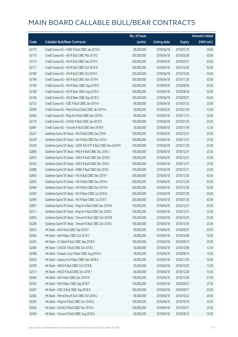|       |                                                               | No. of issue |                     |               | <b>Amount raised</b> |
|-------|---------------------------------------------------------------|--------------|---------------------|---------------|----------------------|
| Code  | <b>Callable Bull/Bear Contracts</b>                           | (units)      | <b>Listing date</b> | <b>Expiry</b> | (HK\$ mil.)          |
| 63175 | Credit Suisse AG - HSBC R Bull CBBC Jan 2019 A                | 80,000,000   | 2018/04/18          | 2019/01/10    | 20.00                |
| 63173 | Credit Suisse AG - HSI R Bull CBBC Mar 2019 C                 | 200,000,000  | 2018/04/18          | 2019/03/28    | 50.00                |
| 63174 | Credit Suisse AG - HSI R Bull CBBC Sep 2019 C                 | 200,000,000  | 2018/04/18          | 2019/09/27    | 50.00                |
| 63171 | Credit Suisse AG - HSI R Bull CBBC Oct 2019 B                 | 200,000,000  | 2018/04/18          | 2019/10/30    | 50.00                |
| 63189 | Credit Suisse AG - HSI R Bull CBBC Oct 2019 C                 | 200,000,000  | 2018/04/18          | 2019/10/30    | 50.00                |
| 63196 | Credit Suisse AG - HSI R Bull CBBC Nov 2019 K                 | 200,000,000  | 2018/04/18          | 2019/11/28    | 50.00                |
| 63166 | Credit Suisse AG - HSI R Bear CBBC Aug 2018 R                 | 200,000,000  | 2018/04/18          | 2018/08/30    | 50.00                |
| 63168 | Credit Suisse AG - HSI R Bear CBBC Aug 2018 V                 | 200,000,000  | 2018/04/18          | 2018/08/30    | 50.00                |
| 63169 | Credit Suisse AG - HSI R Bear CBBC Sep 2018 G                 | 200,000,000  | 2018/04/18          | 2018/09/27    | 50.00                |
| 62732 | Credit Suisse AG - ICBC R Bull CBBC Jan 2019 A                | 80,000,000   | 2018/04/18          | 2019/01/23    | 20.00                |
| 62695 | Credit Suisse AG - PetroChina R Bull CBBC Jan 2019 A          | 50,000,000   | 2018/04/18          | 2019/01/29    | 12.50                |
| 62663 | Credit Suisse AG - Ping An R Bull CBBC Nov 2018 S             | 80,000,000   | 2018/04/18          | 2018/11/15    | 20.00                |
| 62710 | Credit Suisse AG - SUNAC R Bull CBBC Jan 2019 D               | 100,000,000  | 2018/04/18          | 2019/01/24    | 25.00                |
| 62681 | Credit Suisse AG - Tencent R Bull CBBC Nov 2018 R             | 50,000,000   | 2018/04/18          | 2018/11/09    | 12.50                |
| 63227 | Goldman Sachs SP (Asia) - AIA R Bull CBBC Dec 2018 I          | 100,000,000  | 2018/04/18          | 2018/12/31    | 25.00                |
| 63239 | Goldman Sachs SP (Asia) - AIA R Bull CBBC Dec 2018 J          | 100,000,000  | 2018/04/18          | 2018/12/31    | 25.00                |
| 63244 | Goldman Sachs SP (Asia) - CSOP A50 ETF R Bull CBBC Nov 2018 M | 100,000,000  | 2018/04/18          | 2018/11/30    | 25.00                |
| 62860 | Goldman Sachs SP (Asia) - HKEX R Bull CBBC Dec 2018 J         | 100,000,000  | 2018/04/18          | 2018/12/31    | 25.00                |
| 62873 | Goldman Sachs SP (Asia) - HKEX R Bull CBBC Dec 2018 K         | 100,000,000  | 2018/04/18          | 2018/12/31    | 25.00                |
| 63224 | Goldman Sachs SP (Asia) - HKEX R Bull CBBC Dec 2018 L         | 100,000,000  | 2018/04/18          | 2018/12/31    | 25.00                |
| 62880 | Goldman Sachs SP (Asia) - HSBC R Bull CBBC Dec 2018 I         | 100,000,000  | 2018/04/18          | 2018/12/31    | 25.00                |
| 62850 | Goldman Sachs SP (Asia) - HSI R Bull CBBC Dec 2019 F          | 200,000,000  | 2018/04/18          | 2019/12/30    | 50.00                |
| 62843 | Goldman Sachs SP (Asia) - HSI R Bull CBBC Dec 2019 K          | 200,000,000  | 2018/04/18          | 2019/12/30    | 50.00                |
| 62844 | Goldman Sachs SP (Asia) - HSI R Bull CBBC Dec 2019 N          | 200,000,000  | 2018/04/18          | 2019/12/30    | 50.00                |
| 62587 | Goldman Sachs SP (Asia) - HSI R Bear CBBC Jul 2018 Q          | 200,000,000  | 2018/04/18          | 2018/07/30    | 50.00                |
| 62594 | Goldman Sachs SP (Asia) - HSI R Bear CBBC Jul 2018 T          | 200,000,000  | 2018/04/18          | 2018/07/30    | 50.00                |
| 62857 | Goldman Sachs SP (Asia) - Ping An R Bull CBBC Dec 2018 B      | 100,000,000  | 2018/04/18          | 2018/12/31    | 25.00                |
| 63211 | Goldman Sachs SP (Asia) - Ping An R Bull CBBC Dec 2018 C      | 100,000,000  | 2018/04/18          | 2018/12/31    | 25.00                |
| 62853 | Goldman Sachs SP (Asia) - Tencent R Bull CBBC Oct 2018 B      | 100,000,000  | 2018/04/18          | 2018/10/30    | 25.00                |
| 63208 | Goldman Sachs SP (Asia) - Tencent R Bull CBBC Oct 2018 C      | 100,000,000  | 2018/04/18          | 2018/10/30    | 25.00                |
| 62632 | HK Bank - AIA R Bull CBBC Sep 2018 F                          | 80,000,000   | 2018/04/18          | 2018/09/27    | 20.00                |
| 62645 | HK Bank - AIA R Bear CBBC Oct 2018 C                          | 40,000,000   | 2018/04/18          | 2018/10/08    | 10.00                |
| 62492 | HK Bank - CC Bank R Bull CBBC Sep 2018 N                      | 100,000,000  | 2018/04/18          | 2018/09/13    | 25.00                |
| 62484 | HK Bank - CNOOC R Bull CBBC Oct 2018 L                        | 50,000,000   | 2018/04/18          | 2018/10/08    | 12.50                |
| 62488 | HK Bank - Sinopec Corp R Bear CBBC Aug 2018 A                 | 40,000,000   | 2018/04/18          | 2018/08/13    | 10.00                |
| 62629 | HK Bank - Galaxy Ent R Bear CBBC Nov 2018 A                   | 40,000,000   | 2018/04/18          | 2018/11/05    | 10.00                |
| 62599 | HK Bank - HKEX R Bull CBBC Oct 2018 B                         | 50,000,000   | 2018/04/18          | 2018/10/25    | 12.50                |
| 62517 | HK Bank - HSCEI R Bull CBBC Dec 2018 T                        | 60,000,000   | 2018/04/18          | 2018/12/28    | 15.00                |
| 62494 | HK Bank - HSI R Bull CBBC Dec 2018 M                          | 150,000,000  | 2018/04/18          | 2018/12/28    | 37.50                |
| 62502 | HK Bank - HSI R Bear CBBC Sep 2018 F                          | 150,000,000  | 2018/04/18          | 2018/09/27    | 37.50                |
| 62607 | HK Bank - ICBC R Bull CBBC Sep 2018 O                         | 100,000,000  | 2018/04/18          | 2018/09/17    | 25.00                |
| 62482 | HK Bank - PetroChina R Bull CBBC Oct 2018 L                   | 80,000,000   | 2018/04/18          | 2018/10/22    | 20.00                |
| 62595 | HK Bank - Ping An R Bull CBBC Oct 2018 Q                      | 100,000,000  | 2018/04/18          | 2018/10/18    | 25.00                |
| 62656 | HK Bank - SUNAC R Bull CBBC Mar 2019 A                        | 100,000,000  | 2018/04/18          | 2019/03/11    | 25.00                |
| 62490 | HK Bank - Tencent R Bull CBBC Aug 2018 G                      | 60,000,000   | 2018/04/18          | 2018/08/13    | 15.00                |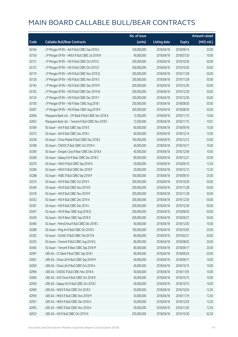|       |                                                      | No. of issue |                     |               | <b>Amount raised</b>  |
|-------|------------------------------------------------------|--------------|---------------------|---------------|-----------------------|
| Code  | <b>Callable Bull/Bear Contracts</b>                  | (units)      | <b>Listing date</b> | <b>Expiry</b> | $(HK\frac{1}{2}mil.)$ |
| 63164 | J P Morgan SP BV - AIA R Bull CBBC Sep 2018 A        | 100,000,000  | 2018/04/18          | 2018/09/14    | 25.00                 |
| 63156 | J P Morgan SP BV - HKEX R Bull CBBC Jul 2018 N       | 40,000,000   | 2018/04/18          | 2018/07/20    | 10.00                 |
| 63121 | JP Morgan SP BV - HSIR Bull CBBC Oct 2019 S          | 200,000,000  | 2018/04/18          | 2019/10/30    | 50.00                 |
| 63137 | J P Morgan SP BV - HSI R Bull CBBC Oct 2019 Z        | 200,000,000  | 2018/04/18          | 2019/10/30    | 50.00                 |
| 63119 | J P Morgan SP BV - HSI R Bull CBBC Nov 2019 Q        | 200,000,000  | 2018/04/18          | 2019/11/28    | 50.00                 |
| 63126 | J P Morgan SP BV - HSI R Bull CBBC Nov 2019 S        | 200,000,000  | 2018/04/18          | 2019/11/28    | 50.00                 |
| 63145 | J P Morgan SP BV - HSI R Bull CBBC Dec 2019 M        | 200,000,000  | 2018/04/18          | 2019/12/30    | 50.00                 |
| 63102 | J P Morgan SP BV - HSI R Bull CBBC Dec 2019 W        | 200,000,000  | 2018/04/18          | 2019/12/30    | 50.00                 |
| 63124 | J P Morgan SP BV - HSI R Bull CBBC Dec 2019 Y        | 200,000,000  | 2018/04/18          | 2019/12/30    | 50.00                 |
| 63100 | J P Morgan SP BV - HSI R Bear CBBC Aug 2018 I        | 200,000,000  | 2018/04/18          | 2018/08/30    | 50.00                 |
| 63097 | J P Morgan SP BV - HSI R Bear CBBC Aug 2018 R        | 200,000,000  | 2018/04/18          | 2018/08/30    | 50.00                 |
| 62836 | Macquarie Bank Ltd. - CM Bank R Bull CBBC Nov 2018 A | 12,500,000   | 2018/04/18          | 2018/11/15    | 10.06                 |
| 62833 | Macquarie Bank Ltd. - Tencent R Bull CBBC Nov 2018 C | 12,500,000   | 2018/04/18          | 2018/11/15    | 10.01                 |
| 63369 | SG Issuer - AIA R Bull CBBC Sep 2018 E               | 60,000,000   | 2018/04/18          | 2018/09/18    | 15.00                 |
| 63373 | SG Issuer - AIA R Bull CBBC Dec 2018 J               | 60,000,000   | 2018/04/18          | 2018/12/14    | 15.00                 |
| 63258 | SG Issuer - China Mobile R Bull CBBC Dec 2018 S      | 100,000,000  | 2018/04/18          | 2018/12/12    | 25.00                 |
| 63398 | SG Issuer - CNOOC R Bull CBBC Oct 2018 H             | 40,000,000   | 2018/04/18          | 2018/10/11    | 10.00                 |
| 63390 | SG Issuer - Sinopec Corp R Bear CBBC Dec 2018 A      | 40,000,000   | 2018/04/18          | 2018/12/06    | 10.00                 |
| 63268 | SG Issuer - Galaxy Ent R Bear CBBC Dec 2018 C        | 80,000,000   | 2018/04/18          | 2018/12/21    | 20.00                 |
| 63276 | SG Issuer - HKEX R Bull CBBC Sep 2018 N              | 50,000,000   | 2018/04/18          | 2018/09/10    | 12.50                 |
| 63284 | SG Issuer - HKEX R Bull CBBC Dec 2018 P              | 50,000,000   | 2018/04/18          | 2018/12/13    | 12.50                 |
| 63288 | SG Issuer - HSBC R Bull CBBC Sep 2018 P              | 100,000,000  | 2018/04/18          | 2018/09/10    | 25.00                 |
| 63314 | SG Issuer - HSI R Bull CBBC Oct 2019 Y               | 200,000,000  | 2018/04/18          | 2019/10/30    | 50.00                 |
| 63349 | SG Issuer - HSI R Bull CBBC Nov 2019 N               | 200,000,000  | 2018/04/18          | 2019/11/28    | 50.00                 |
| 63318 | SG Issuer - HSI R Bull CBBC Nov 2019 R               | 200,000,000  | 2018/04/18          | 2019/11/28    | 50.00                 |
| 63352 | SG Issuer - HSI R Bull CBBC Dec 2019 A               | 200,000,000  | 2018/04/18          | 2019/12/30    | 50.00                 |
| 63307 | SG Issuer - HSI R Bull CBBC Dec 2019 J               | 200,000,000  | 2018/04/18          | 2019/12/30    | 50.00                 |
| 63407 | SG Issuer - HSI R Bear CBBC Aug 2018 Q               | 200,000,000  | 2018/04/18          | 2018/08/30    | 50.00                 |
| 63249 | SG Issuer - HSI R Bear CBBC Sep 2018 D               | 200,000,000  | 2018/04/18          | 2018/09/27    | 50.00                 |
| 63404 | SG Issuer - PetroChina R Bull CBBC Dec 2018 C        | 40,000,000   | 2018/04/18          | 2018/12/20    | 10.00                 |
| 63289 | SG Issuer - Ping An R Bull CBBC Oct 2018 S           | 100,000,000  | 2018/04/18          | 2018/10/05    | 25.00                 |
| 63292 | SG Issuer - SUNAC R Bull CBBC Feb 2019 B             | 80,000,000   | 2018/04/18          | 2019/02/21    | 20.00                 |
| 63293 | SG Issuer - Tencent R Bull CBBC Aug 2018 Q           | 80,000,000   | 2018/04/18          | 2018/08/03    | 20.00                 |
| 63405 | SG Issuer - Tencent R Bear CBBC Sep 2018 M           | 80,000,000   | 2018/04/18          | 2018/09/17    | 20.00                 |
| 62997 | UBS AG - CC Bank R Bull CBBC Sep 2018 I              | 80,000,000   | 2018/04/18          | 2018/09/24    | 20.00                 |
| 63061 | UBS AG - China Life R Bull CBBC Sep 2018 M           | 40,000,000   | 2018/04/18          | 2018/09/17    | 10.00                 |
| 63059 | UBS AG - China Life R Bull CBBC Oct 2018 A           | 40,000,000   | 2018/04/18          | 2018/10/15    | 10.00                 |
| 62994 | UBS AG - CNOOC R Bull CBBC Nov 2018 A                | 40,000,000   | 2018/04/18          | 2018/11/05    | 10.00                 |
| 63069 | UBS AG - A50 China R Bull CBBC Oct 2018 B            | 40,000,000   | 2018/04/18          | 2018/10/15    | 10.00                 |
| 62950 | UBS AG - Galaxy Ent R Bull CBBC Oct 2018 C           | 40,000,000   | 2018/04/18          | 2018/10/15    | 10.00                 |
| 62960 | UBS AG - HKEX R Bull CBBC Oct 2018 C                 | 50,000,000   | 2018/04/18          | 2018/10/24    | 12.50                 |
| 62959 | UBS AG - HKEX R Bull CBBC Nov 2018 M                 | 50,000,000   | 2018/04/18          | 2018/11/19    | 12.50                 |
| 62957 | UBS AG - HKEX R Bull CBBC Dec 2018 A                 | 50,000,000   | 2018/04/18          | 2018/12/03    | 12.50                 |
| 62955 | UBS AG - HSBC R Bull CBBC Nov 2018 A                 | 50,000,000   | 2018/04/18          | 2018/11/05    | 12.50                 |
| 62923 | UBS AG - HSI R Bull CBBC Oct 2019 N                  | 250,000,000  | 2018/04/18          | 2019/10/30    | 62.50                 |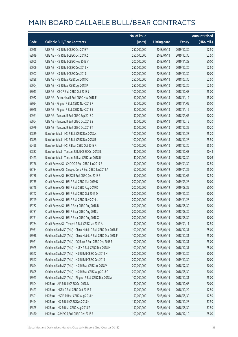|       |                                                               | No. of issue |                     |               | <b>Amount raised</b> |
|-------|---------------------------------------------------------------|--------------|---------------------|---------------|----------------------|
| Code  | <b>Callable Bull/Bear Contracts</b>                           | (units)      | <b>Listing date</b> | <b>Expiry</b> | (HK\$ mil.)          |
| 62918 | UBS AG - HSI R Bull CBBC Oct 2019 Y                           | 250,000,000  | 2018/04/18          | 2019/10/30    | 62.50                |
| 62919 | UBS AG - HSI R Bull CBBC Oct 2019 Z                           | 250,000,000  | 2018/04/18          | 2019/10/30    | 62.50                |
| 62905 | UBS AG - HSI R Bull CBBC Nov 2019 V                           | 200,000,000  | 2018/04/18          | 2019/11/28    | 50.00                |
| 62906 | UBS AG - HSI R Bull CBBC Dec 2019 H                           | 250,000,000  | 2018/04/18          | 2019/12/30    | 62.50                |
| 62907 | UBS AG - HSI R Bull CBBC Dec 2019 I                           | 200,000,000  | 2018/04/18          | 2019/12/30    | 50.00                |
| 62888 | UBS AG - HSI R Bear CBBC Jul 2018 O                           | 250,000,000  | 2018/04/18          | 2018/07/30    | 62.50                |
| 62904 | UBS AG - HSI R Bear CBBC Jul 2018 P                           | 250,000,000  | 2018/04/18          | 2018/07/30    | 62.50                |
| 63013 | UBS AG - ICBC R Bull CBBC Oct 2018 J                          | 100,000,000  | 2018/04/18          | 2018/10/08    | 25.00                |
| 62982 | UBS AG - Petrochina R Bull CBBC Nov 2018 E                    | 60,000,000   | 2018/04/18          | 2018/11/19    | 15.00                |
| 63024 | UBS AG - Ping An R Bull CBBC Nov 2018 R                       | 80,000,000   | 2018/04/18          | 2018/11/05    | 20.00                |
| 63048 | UBS AG - Ping An R Bull CBBC Nov 2018 S                       | 80,000,000   | 2018/04/18          | 2018/11/19    | 20.00                |
| 62961 | UBS AG - Tencent R Bull CBBC Sep 2018 C                       | 30,000,000   | 2018/04/18          | 2018/09/05    | 10.20                |
| 62964 | UBS AG - Tencent R Bull CBBC Oct 2018 S                       | 30,000,000   | 2018/04/18          | 2018/10/15    | 10.20                |
| 62976 | UBS AG - Tencent R Bull CBBC Oct 2018 T                       | 30,000,000   | 2018/04/18          | 2018/10/29    | 10.20                |
| 62839 | Bank Vontobel - HSI R Bull CBBC Dec 2018 A                    | 100,000,000  | 2018/04/18          | 2018/12/28    | 25.20                |
| 62885 | Bank Vontobel - HSI R Bull CBBC Dec 2018 B                    | 100,000,000  | 2018/04/18          | 2018/12/28    | 25.50                |
| 62428 | Bank Vontobel - HSI R Bear CBBC Oct 2018 R                    | 100,000,000  | 2018/04/18          | 2018/10/30    | 25.50                |
| 62837 | Bank Vontobel - Tencent R Bull CBBC Oct 2018 B                | 40,000,000   | 2018/04/18          | 2018/10/03    | 10.48                |
| 62423 | Bank Vontobel - Tencent R Bear CBBC Jul 2018 R                | 40,000,000   | 2018/04/18          | 2018/07/30    | 10.08                |
| 63776 | Credit Suisse AG - CNOOC R Bull CBBC Jan 2019 B               | 50,000,000   | 2018/04/19          | 2019/01/30    | 12.50                |
| 63734 | Credit Suisse AG - Sinopec Corp R Bull CBBC Jan 2019 A        | 60,000,000   | 2018/04/19          | 2019/01/22    | 15.00                |
| 63788 | Credit Suisse AG - HKEX R Bull CBBC Dec 2018 B                | 50,000,000   | 2018/04/19          | 2018/12/05    | 12.50                |
| 63735 | Credit Suisse AG - HSI R Bull CBBC Mar 2019 D                 | 200,000,000  | 2018/04/19          | 2019/03/28    | 50.00                |
| 63748 | Credit Suisse AG - HSI R Bull CBBC Aug 2019 D                 | 200,000,000  | 2018/04/19          | 2019/08/29    | 50.00                |
| 63742 | Credit Suisse AG - HSI R Bull CBBC Oct 2019 D                 | 200,000,000  | 2018/04/19          | 2019/10/30    | 50.00                |
| 63749 | Credit Suisse AG - HSI R Bull CBBC Nov 2019 L                 | 200,000,000  | 2018/04/19          | 2019/11/28    | 50.00                |
| 63762 | Credit Suisse AG - HSI R Bear CBBC Aug 2018 B                 | 200,000,000  | 2018/04/19          | 2018/08/30    | 50.00                |
| 63781 | Credit Suisse AG - HSI R Bear CBBC Aug 2018 J                 | 200,000,000  | 2018/04/19          | 2018/08/30    | 50.00                |
| 63751 | Credit Suisse AG - HSI R Bear CBBC Aug 2018 X                 | 200,000,000  | 2018/04/19          | 2018/08/30    | 50.00                |
| 63784 | Credit Suisse AG - Tencent R Bull CBBC Jan 2019 A             | 50,000,000   | 2018/04/19          | 2019/01/11    | 12.50                |
| 63931 | Goldman Sachs SP (Asia) - China Mobile R Bull CBBC Dec 2018 E | 100,000,000  | 2018/04/19          | 2018/12/31    | 25.00                |
| 63938 | Goldman Sachs SP (Asia) - China Mobile R Bull CBBC Dec 2018 F | 100,000,000  | 2018/04/19          | 2018/12/31    | 25.00                |
| 63921 | Goldman Sachs SP (Asia) - CC Bank R Bull CBBC Dec 2018 R      | 100,000,000  | 2018/04/19          | 2018/12/31    | 25.00                |
| 63925 | Goldman Sachs SP (Asia) - HKEX R Bull CBBC Dec 2018 M         | 100,000,000  | 2018/04/19          | 2018/12/31    | 25.00                |
| 63542 | Goldman Sachs SP (Asia) - HSI R Bull CBBC Dec 2019 H          | 200,000,000  | 2018/04/19          | 2019/12/30    | 50.00                |
| 63547 | Goldman Sachs SP (Asia) - HSI R Bull CBBC Dec 2019 I          | 200,000,000  | 2018/04/19          | 2019/12/30    | 50.00                |
| 63894 | Goldman Sachs SP (Asia) - HSI R Bear CBBC Jul 2018 V          | 200,000,000  | 2018/04/19          | 2018/07/30    | 50.00                |
| 63895 | Goldman Sachs SP (Asia) - HSI R Bear CBBC Aug 2018 O          | 200,000,000  | 2018/04/19          | 2018/08/30    | 50.00                |
| 63923 | Goldman Sachs SP (Asia) - Ping An R Bull CBBC Dec 2018 A      | 100,000,000  | 2018/04/19          | 2018/12/31    | 25.00                |
| 63504 | HK Bank - AIA R Bull CBBC Oct 2018 N                          | 80,000,000   | 2018/04/19          | 2018/10/08    | 20.00                |
| 63423 | HK Bank - HKEX R Bull CBBC Oct 2018 T                         | 50,000,000   | 2018/04/19          | 2018/10/29    | 12.50                |
| 63501 | HK Bank - HSCEI R Bear CBBC Aug 2018 H                        | 50,000,000   | 2018/04/19          | 2018/08/30    | 12.50                |
| 63494 | HK Bank - HSI R Bull CBBC Dec 2018 N                          | 150,000,000  | 2018/04/19          | 2018/12/28    | 37.50                |
| 63525 | HK Bank - HSI R Bear CBBC Aug 2018 Z                          | 150,000,000  | 2018/04/19          | 2018/08/30    | 37.50                |
| 63470 | HK Bank - SUNAC R Bull CBBC Dec 2018 E                        | 100,000,000  | 2018/04/19          | 2018/12/10    | 25.00                |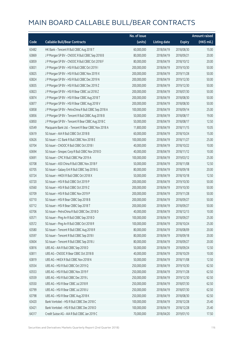|       |                                                      | No. of issue |                     |               | Amount raised |
|-------|------------------------------------------------------|--------------|---------------------|---------------|---------------|
| Code  | <b>Callable Bull/Bear Contracts</b>                  | (units)      | <b>Listing date</b> | <b>Expiry</b> | (HK\$ mil.)   |
| 63482 | HK Bank - Tencent R Bull CBBC Aug 2018 T             | 60,000,000   | 2018/04/19          | 2018/08/30    | 15.00         |
| 63869 | J P Morgan SP BV - CNOOC R Bull CBBC Sep 2018 B      | 80,000,000   | 2018/04/19          | 2018/09/21    | 20.00         |
| 63859 | J P Morgan SP BV - CNOOC R Bull CBBC Oct 2018 F      | 80,000,000   | 2018/04/19          | 2018/10/12    | 20.00         |
| 63831 | J P Morgan SP BV - HSI R Bull CBBC Oct 2019 I        | 200,000,000  | 2018/04/19          | 2019/10/30    | 50.00         |
| 63825 | J P Morgan SP BV - HSI R Bull CBBC Nov 2019 X        | 200,000,000  | 2018/04/19          | 2019/11/28    | 50.00         |
| 63824 | J P Morgan SP BV - HSI R Bull CBBC Dec 2019 N        | 200,000,000  | 2018/04/19          | 2019/12/30    | 50.00         |
| 63835 | J P Morgan SP BV - HSI R Bull CBBC Dec 2019 Z        | 200,000,000  | 2018/04/19          | 2019/12/30    | 50.00         |
| 63823 | J P Morgan SP BV - HSI R Bear CBBC Jul 2018 Z        | 200,000,000  | 2018/04/19          | 2018/07/30    | 50.00         |
| 63874 | J P Morgan SP BV - HSI R Bear CBBC Aug 2018 T        | 200,000,000  | 2018/04/19          | 2018/08/30    | 50.00         |
| 63877 | J P Morgan SP BV - HSI R Bear CBBC Aug 2018 V        | 200,000,000  | 2018/04/19          | 2018/08/30    | 50.00         |
| 63858 | J P Morgan SP BV - PetroChina R Bull CBBC Sep 2018 A | 100,000,000  | 2018/04/19          | 2018/09/14    | 25.00         |
| 63856 | JP Morgan SP BV - Tencent R Bull CBBC Aug 2018 B     | 50,000,000   | 2018/04/19          | 2018/08/17    | 19.00         |
| 63850 | J P Morgan SP BV - Tencent R Bear CBBC Aug 2018 C    | 50,000,000   | 2018/04/19          | 2018/08/17    | 12.50         |
| 63549 | Macquarie Bank Ltd. - Tencent R Bear CBBC Nov 2018 A | 11,800,000   | 2018/04/19          | 2018/11/15    | 10.05         |
| 63619 | SG Issuer - AIA R Bull CBBC Oct 2018 B               | 60,000,000   | 2018/04/19          | 2018/10/24    | 15.00         |
| 63626 | SG Issuer - CC Bank R Bull CBBC Nov 2018 E           | 100,000,000  | 2018/04/19          | 2018/11/27    | 25.00         |
| 63704 | SG Issuer - CNOOC R Bull CBBC Oct 2018 I             | 40,000,000   | 2018/04/19          | 2018/10/22    | 10.00         |
| 63694 | SG Issuer - Sinopec Corp R Bull CBBC Nov 2018 D      | 40,000,000   | 2018/04/19          | 2018/11/12    | 10.00         |
| 63691 | SG Issuer - CPIC R Bull CBBC Mar 2019 A              | 100,000,000  | 2018/04/19          | 2019/03/12    | 25.00         |
| 63708 | SG Issuer - A50 China R Bull CBBC Nov 2018 F         | 50,000,000   | 2018/04/19          | 2018/11/08    | 12.50         |
| 63705 | SG Issuer - Galaxy Ent R Bull CBBC Sep 2018 G        | 80,000,000   | 2018/04/19          | 2018/09/18    | 20.00         |
| 63724 | SG Issuer - HKEX R Bull CBBC Oct 2018 X              | 50,000,000   | 2018/04/19          | 2018/10/18    | 12.50         |
| 63720 | SG Issuer - HSI R Bull CBBC Oct 2019 P               | 200,000,000  | 2018/04/19          | 2019/10/30    | 50.00         |
| 63560 | SG Issuer - HSI R Bull CBBC Oct 2019 Z               | 200,000,000  | 2018/04/19          | 2019/10/30    | 50.00         |
| 63709 | SG Issuer - HSI R Bull CBBC Nov 2019 P               | 200,000,000  | 2018/04/19          | 2019/11/28    | 50.00         |
| 63710 | SG Issuer - HSI R Bear CBBC Sep 2018 B               | 200,000,000  | 2018/04/19          | 2018/09/27    | 50.00         |
| 63712 | SG Issuer - HSI R Bear CBBC Sep 2018 T               | 200,000,000  | 2018/04/19          | 2018/09/27    | 50.00         |
| 63706 | SG Issuer - PetroChina R Bull CBBC Dec 2018 D        | 40,000,000   | 2018/04/19          | 2018/12/13    | 10.00         |
| 63571 | SG Issuer - Ping An R Bull CBBC Sep 2018 D           | 100,000,000  | 2018/04/19          | 2018/09/27    | 25.00         |
| 63572 | SG Issuer - Ping An R Bull CBBC Oct 2018 R           | 100,000,000  | 2018/04/19          | 2018/10/24    | 25.00         |
| 63580 | SG Issuer - Tencent R Bull CBBC Aug 2018 R           | 80,000,000   | 2018/04/19          | 2018/08/09    | 20.00         |
| 63597 | SG Issuer - Tencent R Bull CBBC Sep 2018 I           | 80,000,000   | 2018/04/19          | 2018/09/18    | 20.00         |
| 63604 | SG Issuer - Tencent R Bull CBBC Sep 2018 J           | 80,000,000   | 2018/04/19          | 2018/09/27    | 20.00         |
| 63816 | UBS AG - AIA R Bull CBBC Sep 2018 D                  | 50,000,000   | 2018/04/19          | 2018/09/24    | 12.50         |
| 63811 | UBS AG - CNOOC R Bear CBBC Oct 2018 B                | 40,000,000   | 2018/04/19          | 2018/10/29    | 10.00         |
| 63819 | UBS AG - HKEX R Bull CBBC Nov 2018 N                 | 50,000,000   | 2018/04/19          | 2018/11/08    | 12.50         |
| 63554 | UBS AG - HSI R Bull CBBC Oct 2019 Q                  | 250,000,000  | 2018/04/19          | 2019/10/30    | 62.50         |
| 63553 | UBS AG - HSI R Bull CBBC Nov 2019 F                  | 250,000,000  | 2018/04/19          | 2019/11/28    | 62.50         |
| 63559 | UBS AG - HSI R Bull CBBC Dec 2019 L                  | 250,000,000  | 2018/04/19          | 2019/12/30    | 62.50         |
| 63550 | UBS AG - HSI R Bear CBBC Jul 2018 R                  | 250,000,000  | 2018/04/19          | 2018/07/30    | 62.50         |
| 63799 | UBS AG - HSI R Bear CBBC Jul 2018 U                  | 250,000,000  | 2018/04/19          | 2018/07/30    | 62.50         |
| 63798 | UBS AG - HSI R Bear CBBC Aug 2018 K                  | 250,000,000  | 2018/04/19          | 2018/08/30    | 62.50         |
| 63420 | Bank Vontobel - HSI R Bull CBBC Dec 2018 C           | 100,000,000  | 2018/04/19          | 2018/12/28    | 25.40         |
| 63421 | Bank Vontobel - HSI R Bull CBBC Dec 2018 D           | 100,000,000  | 2018/04/19          | 2018/12/28    | 25.40         |
| 64317 | Credit Suisse AG - AIA R Bull CBBC Jan 2019 C        | 70,000,000   | 2018/04/20          | 2019/01/10    | 17.50         |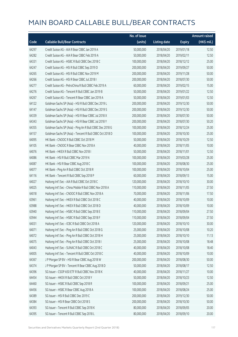|       |                                                          | No. of issue |                     |               | <b>Amount raised</b> |
|-------|----------------------------------------------------------|--------------|---------------------|---------------|----------------------|
| Code  | <b>Callable Bull/Bear Contracts</b>                      | (units)      | <b>Listing date</b> | <b>Expiry</b> | (HK\$ mil.)          |
| 64297 | Credit Suisse AG - AIA R Bear CBBC Jan 2019 A            | 50,000,000   | 2018/04/20          | 2019/01/18    | 12.50                |
| 64282 | Credit Suisse AG - AIA R Bear CBBC Feb 2019 A            | 50,000,000   | 2018/04/20          | 2019/02/11    | 12.50                |
| 64331 | Credit Suisse AG - HSBC R Bull CBBC Dec 2018 C           | 100,000,000  | 2018/04/20          | 2018/12/12    | 25.00                |
| 64247 | Credit Suisse AG - HSI R Bull CBBC Sep 2019 D            | 200,000,000  | 2018/04/20          | 2019/09/27    | 50.00                |
| 64265 | Credit Suisse AG - HSI R Bull CBBC Nov 2019 M            | 200,000,000  | 2018/04/20          | 2019/11/28    | 50.00                |
| 64266 | Credit Suisse AG - HSI R Bear CBBC Jul 2018 I            | 200,000,000  | 2018/04/20          | 2018/07/30    | 50.00                |
| 64277 | Credit Suisse AG - PetroChina R Bull CBBC Feb 2019 A     | 60,000,000   | 2018/04/20          | 2019/02/15    | 15.00                |
| 64276 | Credit Suisse AG - Tencent R Bull CBBC Jan 2019 B        | 50,000,000   | 2018/04/20          | 2019/01/22    | 12.50                |
| 64267 | Credit Suisse AG - Tencent R Bear CBBC Jan 2019 A        | 50,000,000   | 2018/04/20          | 2019/01/03    | 12.50                |
| 64122 | Goldman Sachs SP (Asia) - HSI R Bull CBBC Dec 2019 L     | 200,000,000  | 2018/04/20          | 2019/12/30    | 50.00                |
| 64147 | Goldman Sachs SP (Asia) - HSI R Bull CBBC Dec 2019 S     | 200,000,000  | 2018/04/20          | 2019/12/30    | 50.00                |
| 64339 | Goldman Sachs SP (Asia) - HSI R Bear CBBC Jul 2018 X     | 200,000,000  | 2018/04/20          | 2018/07/30    | 50.00                |
| 64343 | Goldman Sachs SP (Asia) - HSI R Bear CBBC Jul 2018 Y     | 200,000,000  | 2018/04/20          | 2018/07/30    | 50.20                |
| 64355 | Goldman Sachs SP (Asia) - Ping An R Bull CBBC Dec 2018 G | 100,000,000  | 2018/04/20          | 2018/12/24    | 25.00                |
| 64157 | Goldman Sachs SP (Asia) - Tencent R Bull CBBC Oct 2018 D | 100,000,000  | 2018/04/20          | 2018/10/30    | 25.00                |
| 64095 | HK Bank - CNOOC R Bull CBBC Oct 2018 M                   | 50,000,000   | 2018/04/20          | 2018/10/29    | 12.50                |
| 64105 | HK Bank - CNOOC R Bear CBBC Nov 2018 A                   | 40,000,000   | 2018/04/20          | 2018/11/05    | 10.00                |
| 64076 | HK Bank - HKEX R Bull CBBC Nov 2018 I                    | 50,000,000   | 2018/04/20          | 2018/11/01    | 12.50                |
| 64086 | HK Bank - HSI R Bull CBBC Mar 2019 N                     | 100,000,000  | 2018/04/20          | 2019/03/28    | 25.00                |
| 64087 | HK Bank - HSI R Bear CBBC Aug 2018 C                     | 100,000,000  | 2018/04/20          | 2018/08/30    | 25.00                |
| 64077 | HK Bank - Ping An R Bull CBBC Oct 2018 R                 | 100,000,000  | 2018/04/20          | 2018/10/04    | 25.00                |
| 64116 | HK Bank - Tencent R Bull CBBC Sep 2018 P                 | 60,000,000   | 2018/04/20          | 2018/09/13    | 15.00                |
| 64027 | Haitong Int'l Sec - AIA R Bull CBBC Oct 2018 C           | 120,000,000  | 2018/04/20          | 2018/10/10    | 30.00                |
| 64025 | Haitong Int'l Sec - China Mobile R Bull CBBC Nov 2018 A  | 110,000,000  | 2018/04/20          | 2018/11/05    | 27.50                |
| 64018 | Haitong Int'l Sec - CNOOC R Bull CBBC Nov 2018 A         | 70,000,000   | 2018/04/20          | 2018/11/06    | 17.50                |
| 63961 | Haitong Int'l Sec - HKEX R Bull CBBC Oct 2018 C          | 40,000,000   | 2018/04/20          | 2018/10/09    | 10.00                |
| 63988 | Haitong Int'l Sec - HKEX R Bull CBBC Oct 2018 D          | 40,000,000   | 2018/04/20          | 2018/10/09    | 10.00                |
| 63940 | Haitong Int'l Sec - HSBC R Bull CBBC Sep 2018 E          | 110,000,000  | 2018/04/20          | 2018/09/04    | 27.50                |
| 63944 | Haitong Int'l Sec - HSBC R Bull CBBC Sep 2018 F          | 110,000,000  | 2018/04/20          | 2018/09/04    | 27.50                |
| 64031 | Haitong Int'l Sec - ICBC R Bull CBBC Oct 2018 A          | 120,000,000  | 2018/04/20          | 2018/10/10    | 30.00                |
| 64071 | Haitong Int'l Sec - Ping An R Bull CBBC Oct 2018 G       | 25,000,000   | 2018/04/20          | 2018/10/08    | 10.20                |
| 64072 | Haitong Int'l Sec - Ping An R Bull CBBC Oct 2018 H       | 25,000,000   | 2018/04/20          | 2018/10/10    | 11.13                |
| 64075 | Haitong Int'l Sec - Ping An R Bull CBBC Oct 2018 I       | 25,000,000   | 2018/04/20          | 2018/10/08    | 18.48                |
| 64043 | Haitong Int'l Sec - SUNAC R Bull CBBC Oct 2018 C         | 40,000,000   | 2018/04/20          | 2018/10/08    | 18.40                |
| 64005 | Haitong Int'l Sec - Tencent R Bull CBBC Oct 2018 C       | 40,000,000   | 2018/04/20          | 2018/10/09    | 10.00                |
| 64367 | J P Morgan SP BV - HSI R Bear CBBC Aug 2018 W            | 200,000,000  | 2018/04/20          | 2018/08/30    | 50.00                |
| 64374 | J P Morgan SP BV - Tencent R Bear CBBC Aug 2018 D        | 50,000,000   | 2018/04/20          | 2018/08/17    | 12.50                |
| 64396 | SG Issuer - CSOP A50 ETF R Bull CBBC Nov 2018 K          | 40,000,000   | 2018/04/20          | 2018/11/27    | 10.00                |
| 64454 | SG Issuer - HKEX R Bull CBBC Oct 2018 Y                  | 50,000,000   | 2018/04/20          | 2018/10/23    | 12.50                |
| 64460 | SG Issuer - HSBC R Bull CBBC Sep 2018 R                  | 100,000,000  | 2018/04/20          | 2018/09/21    | 25.00                |
| 64456 | SG Issuer - HSBC R Bear CBBC Aug 2018 A                  | 100,000,000  | 2018/04/20          | 2018/08/24    | 25.00                |
| 64389 | SG Issuer - HSI R Bull CBBC Dec 2019 C                   | 200,000,000  | 2018/04/20          | 2019/12/30    | 50.00                |
| 64384 | SG Issuer - HSI R Bear CBBC Oct 2018 S                   | 200,000,000  | 2018/04/20          | 2018/10/30    | 50.00                |
| 64393 | SG Issuer - Tencent R Bull CBBC Sep 2018 K               | 80,000,000   | 2018/04/20          | 2018/09/05    | 20.00                |
| 64395 | SG Issuer - Tencent R Bull CBBC Sep 2018 L               | 80,000,000   | 2018/04/20          | 2018/09/10    | 20.00                |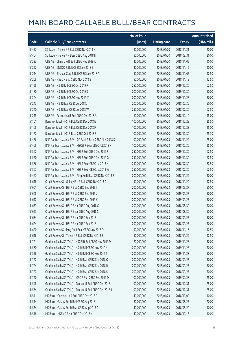|       |                                                            | No. of issue |                     |               | <b>Amount raised</b> |
|-------|------------------------------------------------------------|--------------|---------------------|---------------|----------------------|
| Code  | <b>Callable Bull/Bear Contracts</b>                        | (units)      | <b>Listing date</b> | <b>Expiry</b> | (HK\$ mil.)          |
| 64457 | SG Issuer - Tencent R Bull CBBC Nov 2018 N                 | 80,000,000   | 2018/04/20          | 2018/11/21    | 20.00                |
| 64464 | SG Issuer - Tencent R Bear CBBC Aug 2018 N                 | 80,000,000   | 2018/04/20          | 2018/08/31    | 20.00                |
| 64233 | UBS AG - China Life R Bull CBBC Nov 2018 A                 | 40,000,000   | 2018/04/20          | 2018/11/05    | 10.00                |
| 64222 | UBS AG - CNOOC R Bull CBBC Nov 2018 B                      | 40,000,000   | 2018/04/20          | 2018/11/12    | 10.00                |
| 64214 | UBS AG - Sinopec Corp R Bull CBBC Nov 2018 A               | 50,000,000   | 2018/04/20          | 2018/11/05    | 12.50                |
| 64208 | UBS AG - HSBC R Bull CBBC Nov 2018 B                       | 50,000,000   | 2018/04/20          | 2018/11/12    | 12.50                |
| 64198 | UBS AG - HSI R Bull CBBC Oct 2019 F                        | 250,000,000  | 2018/04/20          | 2019/10/30    | 62.50                |
| 64180 | UBS AG - HSI R Bull CBBC Oct 2019 S                        | 200,000,000  | 2018/04/20          | 2019/10/30    | 50.00                |
| 64204 | UBS AG - HSI R Bull CBBC Nov 2019 M                        | 200,000,000  | 2018/04/20          | 2019/11/28    | 50.00                |
| 64243 | UBS AG - HSI R Bear CBBC Jul 2018 J                        | 200,000,000  | 2018/04/20          | 2018/07/30    | 50.00                |
| 64240 | UBS AG - HSI R Bear CBBC Jul 2018 W                        | 250,000,000  | 2018/04/20          | 2018/07/30    | 62.50                |
| 64215 | UBS AG - Petrochina R Bull CBBC Dec 2018 A                 | 60,000,000   | 2018/04/20          | 2018/12/10    | 15.00                |
| 64161 | Bank Vontobel - HSI R Bull CBBC Dec 2018 E                 | 100,000,000  | 2018/04/20          | 2018/12/28    | 25.50                |
| 64168 | Bank Vontobel - HSI R Bull CBBC Dec 2018 F                 | 100,000,000  | 2018/04/20          | 2018/12/28    | 25.00                |
| 64172 | Bank Vontobel - HSI R Bear CBBC Oct 2018 S                 | 100,000,000  | 2018/04/20          | 2018/10/30    | 25.30                |
| 64466 | BNP Paribas Issuance B.V. - CC Bank R Bear CBBC Nov 2018 S | 100,000,000  | 2018/04/23          | 2018/11/29    | 25.00                |
| 64468 | BNP Paribas Issuance B.V. - HSCEI R Bear CBBC Jul 2018 H   | 100,000,000  | 2018/04/23          | 2018/07/30    | 25.00                |
| 64562 | BNP Paribas Issuance B.V. - HSI R Bull CBBC Dec 2019 F     | 250,000,000  | 2018/04/23          | 2019/12/30    | 62.50                |
| 64570 | BNP Paribas Issuance B.V. - HSI R Bull CBBC Dec 2019 G     | 250,000,000  | 2018/04/23          | 2019/12/30    | 62.50                |
| 64566 | BNP Paribas Issuance B.V. - HSI R Bear CBBC Jul 2018 H     | 250,000,000  | 2018/04/23          | 2018/07/30    | 62.50                |
| 64567 | BNP Paribas Issuance B.V. - HSI R Bear CBBC Jul 2018 W     | 250,000,000  | 2018/04/23          | 2018/07/30    | 62.50                |
| 64467 | BNP Paribas Issuance B.V. - Ping An R Bear CBBC Nov 2018 E | 200,000,000  | 2018/04/23          | 2018/11/29    | 50.00                |
| 64618 | Credit Suisse AG - Galaxy Ent R Bull CBBC Nov 2018 D       | 50,000,000   | 2018/04/23          | 2018/11/29    | 12.50                |
| 64601 | Credit Suisse AG - HSI R Bull CBBC Sep 2019 I              | 200,000,000  | 2018/04/23          | 2019/09/27    | 50.00                |
| 64608 | Credit Suisse AG - HSI R Bull CBBC Sep 2019 J              | 200,000,000  | 2018/04/23          | 2019/09/27    | 50.00                |
| 64612 | Credit Suisse AG - HSI R Bull CBBC Sep 2019 K              | 200,000,000  | 2018/04/23          | 2019/09/27    | 50.00                |
| 64633 | Credit Suisse AG - HSI R Bear CBBC Aug 2018 C              | 200,000,000  | 2018/04/23          | 2018/08/30    | 50.00                |
| 64623 | Credit Suisse AG - HSI R Bear CBBC Aug 2018 S              | 200,000,000  | 2018/04/23          | 2018/08/30    | 50.00                |
| 64634 | Credit Suisse AG - HSI R Bear CBBC Sep 2018 I              | 200,000,000  | 2018/04/23          | 2018/09/27    | 50.00                |
| 64624 | Credit Suisse AG - HSI R Bear CBBC Sep 2018 L              | 200,000,000  | 2018/04/23          | 2018/09/27    | 50.00                |
| 64620 | Credit Suisse AG - Ping An R Bear CBBC Nov 2018 D          | 50,000,000   | 2018/04/23          | 2018/11/16    | 12.50                |
| 64616 | Credit Suisse AG - Tencent R Bull CBBC Nov 2018 S          | 50,000,000   | 2018/04/23          | 2018/11/29    | 12.50                |
| 64721 | Goldman Sachs SP (Asia) - HSCEI R Bull CBBC Nov 2019 D     | 120,000,000  | 2018/04/23          | 2019/11/28    | 30.00                |
| 64560 | Goldman Sachs SP (Asia) - HSI R Bull CBBC Nov 2019 K       | 200,000,000  | 2018/04/23          | 2019/11/28    | 50.00                |
| 64556 | Goldman Sachs SP (Asia) - HSI R Bull CBBC Nov 2019 T       | 200,000,000  | 2018/04/23          | 2019/11/28    | 50.00                |
| 64722 | Goldman Sachs SP (Asia) - HSI R Bear CBBC Sep 2018 Q       | 200,000,000  | 2018/04/23          | 2018/09/27    | 50.00                |
| 64724 | Goldman Sachs SP (Asia) - HSI R Bear CBBC Sep 2018 R       | 200,000,000  | 2018/04/23          | 2018/09/27    | 50.00                |
| 64727 | Goldman Sachs SP (Asia) - HSI R Bear CBBC Sep 2018 S       | 200,000,000  | 2018/04/23          | 2018/09/27    | 50.00                |
| 64720 | Goldman Sachs SP (Asia) - ICBC R Bull CBBC Feb 2019 D      | 100,000,000  | 2018/04/23          | 2019/02/28    | 25.00                |
| 64548 | Goldman Sachs SP (Asia) - Tencent R Bull CBBC Dec 2018 I   | 100,000,000  | 2018/04/23          | 2018/12/31    | 25.00                |
| 64554 | Goldman Sachs SP (Asia) - Tencent R Bull CBBC Dec 2018 J   | 100,000,000  | 2018/04/23          | 2018/12/31    | 25.00                |
| 64511 | HK Bank - Geely Auto R Bull CBBC Oct 2018 D                | 40,000,000   | 2018/04/23          | 2018/10/02    | 10.00                |
| 64514 | HK Bank - Galaxy Ent R Bull CBBC Aug 2018 L                | 80,000,000   | 2018/04/23          | 2018/08/27    | 20.00                |
| 64534 | HK Bank - Galaxy Ent R Bear CBBC Aug 2018 D                | 40,000,000   | 2018/04/23          | 2018/08/20    | 10.00                |
| 64518 | HK Bank - HKEX R Bear CBBC Oct 2018 K                      | 40,000,000   | 2018/04/23          | 2018/10/15    | 10.00                |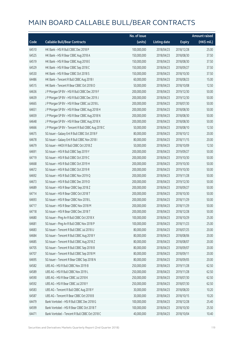|       |                                                   | No. of issue |                     |               | <b>Amount raised</b> |
|-------|---------------------------------------------------|--------------|---------------------|---------------|----------------------|
| Code  | <b>Callable Bull/Bear Contracts</b>               | (units)      | <b>Listing date</b> | <b>Expiry</b> | (HK\$ mil.)          |
| 64510 | HK Bank - HSI R Bull CBBC Dec 2018 P              | 100,000,000  | 2018/04/23          | 2018/12/28    | 25.00                |
| 64525 | HK Bank - HSI R Bear CBBC Aug 2018 A              | 150,000,000  | 2018/04/23          | 2018/08/30    | 37.50                |
| 64519 | HK Bank - HSI R Bear CBBC Aug 2018 E              | 150,000,000  | 2018/04/23          | 2018/08/30    | 37.50                |
| 64529 | HK Bank - HSI R Bear CBBC Sep 2018 C              | 150,000,000  | 2018/04/23          | 2018/09/27    | 37.50                |
| 64530 | HK Bank - HSI R Bear CBBC Oct 2018 S              | 150,000,000  | 2018/04/23          | 2018/10/30    | 37.50                |
| 64486 | HK Bank - Tencent R Bull CBBC Aug 2018 I          | 60,000,000   | 2018/04/23          | 2018/08/23    | 15.00                |
| 64515 | HK Bank - Tencent R Bear CBBC Oct 2018 O          | 50,000,000   | 2018/04/23          | 2018/10/08    | 12.50                |
| 64636 | J P Morgan SP BV - HSI R Bull CBBC Dec 2019 F     | 200,000,000  | 2018/04/23          | 2019/12/30    | 50.00                |
| 64639 | J P Morgan SP BV - HSI R Bull CBBC Dec 2019 J     | 200,000,000  | 2018/04/23          | 2019/12/30    | 50.00                |
| 64665 | J P Morgan SP BV - HSI R Bear CBBC Jul 2018 L     | 200,000,000  | 2018/04/23          | 2018/07/30    | 50.00                |
| 64651 | J P Morgan SP BV - HSI R Bear CBBC Aug 2018 H     | 200,000,000  | 2018/04/23          | 2018/08/30    | 50.00                |
| 64659 | J P Morgan SP BV - HSI R Bear CBBC Aug 2018 N     | 200,000,000  | 2018/04/23          | 2018/08/30    | 50.00                |
| 64648 | J P Morgan SP BV - HSI R Bear CBBC Aug 2018 X     | 200,000,000  | 2018/04/23          | 2018/08/30    | 50.00                |
| 64666 | J P Morgan SP BV - Tencent R Bull CBBC Aug 2018 C | 50,000,000   | 2018/04/23          | 2018/08/10    | 12.50                |
| 64675 | SG Issuer - Galaxy Ent R Bull CBBC Oct 2018 F     | 80,000,000   | 2018/04/23          | 2018/10/12    | 20.00                |
| 64678 | SG Issuer - Galaxy Ent R Bull CBBC Nov 2018 I     | 80,000,000   | 2018/04/23          | 2018/11/15    | 20.00                |
| 64679 | SG Issuer - HKEX R Bull CBBC Oct 2018 Z           | 50,000,000   | 2018/04/23          | 2018/10/09    | 12.50                |
| 64691 | SG Issuer - HSI R Bull CBBC Sep 2019 Y            | 200,000,000  | 2018/04/23          | 2019/09/27    | 50.00                |
| 64719 | SG Issuer - HSI R Bull CBBC Oct 2019 C            | 200,000,000  | 2018/04/23          | 2019/10/30    | 50.00                |
| 64668 | SG Issuer - HSI R Bull CBBC Oct 2019 H            | 200,000,000  | 2018/04/23          | 2019/10/30    | 50.00                |
| 64672 | SG Issuer - HSI R Bull CBBC Oct 2019 R            | 200,000,000  | 2018/04/23          | 2019/10/30    | 50.00                |
| 64692 | SG Issuer - HSI R Bull CBBC Nov 2019 Q            | 200,000,000  | 2018/04/23          | 2019/11/28    | 50.00                |
| 64673 | SG Issuer - HSI R Bull CBBC Dec 2019 D            | 200,000,000  | 2018/04/23          | 2019/12/30    | 50.00                |
| 64689 | SG Issuer - HSI R Bear CBBC Sep 2018 Z            | 200,000,000  | 2018/04/23          | 2018/09/27    | 50.00                |
| 64714 | SG Issuer - HSI R Bear CBBC Oct 2018 T            | 200,000,000  | 2018/04/23          | 2018/10/30    | 50.00                |
| 64693 | SG Issuer - HSI R Bear CBBC Nov 2018 L            | 200,000,000  | 2018/04/23          | 2018/11/29    | 50.00                |
| 64717 | SG Issuer - HSI R Bear CBBC Nov 2018 M            | 200,000,000  | 2018/04/23          | 2018/11/29    | 50.00                |
| 64718 | SG Issuer - HSI R Bear CBBC Dec 2018 T            | 200,000,000  | 2018/04/23          | 2018/12/28    | 50.00                |
| 64680 | SG Issuer - Ping An R Bull CBBC Oct 2018 X        | 100,000,000  | 2018/04/23          | 2018/10/29    | 25.00                |
| 64681 | SG Issuer - Ping An R Bull CBBC Nov 2018 P        | 100,000,000  | 2018/04/23          | 2018/11/23    | 25.00                |
| 64683 | SG Issuer - Tencent R Bull CBBC Jul 2018 U        | 80,000,000   | 2018/04/23          | 2018/07/25    | 20.00                |
| 64684 | SG Issuer - Tencent R Bull CBBC Aug 2018 Y        | 80,000,000   | 2018/04/23          | 2018/08/06    | 20.00                |
| 64685 | SG Issuer - Tencent R Bull CBBC Aug 2018 Z        | 80,000,000   | 2018/04/23          | 2018/08/07    | 20.00                |
| 64705 | SG Issuer - Tencent R Bull CBBC Sep 2018 B        | 80,000,000   | 2018/04/23          | 2018/09/07    | 20.00                |
| 64707 | SG Issuer - Tencent R Bull CBBC Sep 2018 M        | 80,000,000   | 2018/04/23          | 2018/09/11    | 20.00                |
| 64695 | SG Issuer - Tencent R Bear CBBC Sep 2018 N        | 80,000,000   | 2018/04/23          | 2018/09/05    | 20.00                |
| 64582 | UBS AG - HSI R Bull CBBC Nov 2019 B               | 250,000,000  | 2018/04/23          | 2019/11/28    | 62.50                |
| 64589 | UBS AG - HSI R Bull CBBC Nov 2019 L               | 250,000,000  | 2018/04/23          | 2019/11/28    | 62.50                |
| 64590 | UBS AG - HSI R Bear CBBC Jul 2018 K               | 250,000,000  | 2018/04/23          | 2018/07/30    | 62.50                |
| 64592 | UBS AG - HSI R Bear CBBC Jul 2018 Y               | 250,000,000  | 2018/04/23          | 2018/07/30    | 62.50                |
| 64583 | UBS AG - Tencent R Bull CBBC Aug 2018 Y           | 30,000,000   | 2018/04/23          | 2018/08/20    | 10.20                |
| 64587 | UBS AG - Tencent R Bear CBBC Oct 2018 B           | 30,000,000   | 2018/04/23          | 2018/10/15    | 10.20                |
| 64479 | Bank Vontobel - HSI R Bull CBBC Dec 2018 G        | 100,000,000  | 2018/04/23          | 2018/12/28    | 25.40                |
| 64599 | Bank Vontobel - HSI R Bear CBBC Oct 2018 T        | 100,000,000  | 2018/04/23          | 2018/10/30    | 25.50                |
| 64471 | Bank Vontobel - Tencent R Bull CBBC Oct 2018 C    | 40,000,000   | 2018/04/23          | 2018/10/04    | 10.40                |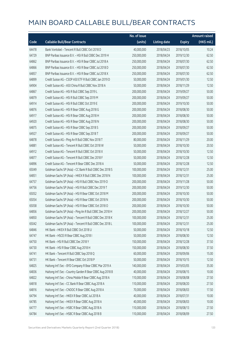|       |                                                           | No. of issue |                     |               | <b>Amount raised</b> |
|-------|-----------------------------------------------------------|--------------|---------------------|---------------|----------------------|
| Code  | <b>Callable Bull/Bear Contracts</b>                       | (units)      | <b>Listing date</b> | <b>Expiry</b> | (HK\$ mil.)          |
| 64478 | Bank Vontobel - Tencent R Bull CBBC Oct 2018 D            | 40,000,000   | 2018/04/23          | 2018/10/05    | 10.24                |
| 64729 | BNP Paribas Issuance B.V. - HSI R Bull CBBC Dec 2019 H    | 250,000,000  | 2018/04/24          | 2019/12/30    | 62.50                |
| 64862 | BNP Paribas Issuance B.V. - HSI R Bear CBBC Jul 2018 A    | 250,000,000  | 2018/04/24          | 2018/07/30    | 62.50                |
| 64866 | BNP Paribas Issuance B.V. - HSI R Bear CBBC Jul 2018 D    | 250,000,000  | 2018/04/24          | 2018/07/30    | 62.50                |
| 64857 | BNP Paribas Issuance B.V. - HSI R Bear CBBC Jul 2018 X    | 250,000,000  | 2018/04/24          | 2018/07/30    | 62.50                |
| 64899 | Credit Suisse AG - CSOP A50 ETF R Bull CBBC Jan 2019 D    | 50,000,000   | 2018/04/24          | 2019/01/30    | 12.50                |
| 64904 | Credit Suisse AG - A50 China R Bull CBBC Nov 2018 A       | 50,000,000   | 2018/04/24          | 2018/11/29    | 12.50                |
| 64867 | Credit Suisse AG - HSI R Bull CBBC Sep 2019 L             | 200,000,000  | 2018/04/24          | 2019/09/27    | 50.00                |
| 64879 | Credit Suisse AG - HSI R Bull CBBC Sep 2019 M             | 200,000,000  | 2018/04/24          | 2019/09/27    | 50.00                |
| 64914 | Credit Suisse AG - HSI R Bull CBBC Oct 2019 E             | 200,000,000  | 2018/04/24          | 2019/10/30    | 50.00                |
| 64876 | Credit Suisse AG - HSI R Bear CBBC Aug 2018 G             | 200,000,000  | 2018/04/24          | 2018/08/30    | 50.00                |
| 64917 | Credit Suisse AG - HSI R Bear CBBC Aug 2018 H             | 200,000,000  | 2018/04/24          | 2018/08/30    | 50.00                |
| 64920 | Credit Suisse AG - HSI R Bear CBBC Aug 2018 N             | 200,000,000  | 2018/04/24          | 2018/08/30    | 50.00                |
| 64875 | Credit Suisse AG - HSI R Bear CBBC Sep 2018 S             | 200,000,000  | 2018/04/24          | 2018/09/27    | 50.00                |
| 64927 | Credit Suisse AG - HSI R Bear CBBC Sep 2018 T             | 200,000,000  | 2018/04/24          | 2018/09/27    | 50.00                |
| 64878 | Credit Suisse AG - Ping An R Bull CBBC Nov 2018 T         | 80,000,000   | 2018/04/24          | 2018/11/29    | 20.00                |
| 64881 | Credit Suisse AG - Tencent R Bull CBBC Oct 2018 W         | 50,000,000   | 2018/04/24          | 2018/10/30    | 20.50                |
| 64912 | Credit Suisse AG - Tencent R Bull CBBC Oct 2018 X         | 50,000,000   | 2018/04/24          | 2018/10/30    | 12.50                |
| 64877 | Credit Suisse AG - Tencent R Bull CBBC Dec 2018 F         | 50,000,000   | 2018/04/24          | 2018/12/28    | 12.50                |
| 64896 | Credit Suisse AG - Tencent R Bear CBBC Dec 2018 A         | 50,000,000   | 2018/04/24          | 2018/12/28    | 12.50                |
| 65049 | Goldman Sachs SP (Asia) - CC Bank R Bull CBBC Dec 2018 S  | 100,000,000  | 2018/04/24          | 2018/12/31    | 25.00                |
| 64851 | Goldman Sachs SP (Asia) - HKEX R Bull CBBC Dec 2018 N     | 100,000,000  | 2018/04/24          | 2018/12/31    | 25.00                |
| 64757 | Goldman Sachs SP (Asia) - HSI R Bull CBBC Nov 2019 O      | 200,000,000  | 2018/04/24          | 2019/11/28    | 50.00                |
| 64756 | Goldman Sachs SP (Asia) - HSI R Bull CBBC Dec 2019 T      | 200,000,000  | 2018/04/24          | 2019/12/30    | 50.00                |
| 65052 | Goldman Sachs SP (Asia) - HSI R Bear CBBC Oct 2018 M      | 200,000,000  | 2018/04/24          | 2018/10/30    | 50.00                |
| 65054 | Goldman Sachs SP (Asia) - HSI R Bear CBBC Oct 2018 N      | 200,000,000  | 2018/04/24          | 2018/10/30    | 50.00                |
| 65058 | Goldman Sachs SP (Asia) - HSI R Bear CBBC Oct 2018 O      | 200,000,000  | 2018/04/24          | 2018/10/30    | 50.00                |
| 64856 | Goldman Sachs SP (Asia) - Ping An R Bull CBBC Dec 2018 H  | 200,000,000  | 2018/04/24          | 2018/12/27    | 50.00                |
| 64850 | Goldman Sachs SP (Asia) - Tencent R Bull CBBC Dec 2018 K  | 100,000,000  | 2018/04/24          | 2018/12/31    | 25.00                |
| 65042 | Goldman Sachs SP (Asia) - Tencent R Bull CBBC Dec 2018 L  | 100,000,000  | 2018/04/24          | 2018/12/31    | 25.00                |
| 64846 | HK Bank - HKEX R Bull CBBC Oct 2018 U                     | 50,000,000   | 2018/04/24          | 2018/10/18    | 12.50                |
| 64747 | HK Bank - HSCEI R Bear CBBC Aug 2018 I                    | 50,000,000   | 2018/04/24          | 2018/08/30    | 12.50                |
| 64750 | HK Bank - HSI R Bull CBBC Dec 2018 Y                      | 150,000,000  | 2018/04/24          | 2018/12/28    | 37.50                |
| 64730 | HK Bank - HSI R Bear CBBC Aug 2018 H                      | 150,000,000  | 2018/04/24          | 2018/08/30    | 37.50                |
| 64741 | HK Bank - Tencent R Bull CBBC Sep 2018 Q                  | 60,000,000   | 2018/04/24          | 2018/09/06    | 15.00                |
| 64731 | HK Bank - Tencent R Bear CBBC Oct 2018 P                  | 50,000,000   | 2018/04/24          | 2018/10/15    | 12.50                |
| 64825 | Haitong Int'l Sec - BYD Company R Bear CBBC Mar 2019 A    | 140,000,000  | 2018/04/24          | 2019/03/05    | 35.00                |
| 64836 | Haitong Int'l Sec - Country Garden R Bear CBBC Aug 2018 B | 40,000,000   | 2018/04/24          | 2018/08/15    | 10.00                |
| 64822 | Haitong Int'l Sec - China Mobile R Bear CBBC Aug 2018 A   | 110,000,000  | 2018/04/24          | 2018/08/08    | 27.50                |
| 64818 | Haitong Int'l Sec - CC Bank R Bear CBBC Aug 2018 A        | 110,000,000  | 2018/04/24          | 2018/08/20    | 27.50                |
| 64816 | Haitong Int'l Sec - CNOOC R Bear CBBC Aug 2018 A          | 70,000,000   | 2018/04/24          | 2018/08/03    | 17.50                |
| 64794 | Haitong Int'l Sec - HKEX R Bear CBBC Jul 2018 A           | 40,000,000   | 2018/04/24          | 2018/07/31    | 10.00                |
| 64785 | Haitong Int'l Sec - HKEX R Bear CBBC Aug 2018 A           | 40,000,000   | 2018/04/24          | 2018/08/03    | 10.00                |
| 64777 | Haitong Int'l Sec - HSBC R Bear CBBC Aug 2018 A           | 110,000,000  | 2018/04/24          | 2018/08/13    | 27.50                |
| 64784 | Haitong Int'l Sec - HSBC R Bear CBBC Aug 2018 B           | 110,000,000  | 2018/04/24          | 2018/08/09    | 27.50                |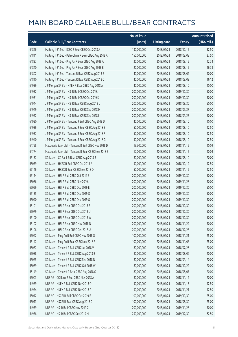|       |                                                       | No. of issue |                     |               | <b>Amount raised</b>  |
|-------|-------------------------------------------------------|--------------|---------------------|---------------|-----------------------|
| Code  | <b>Callable Bull/Bear Contracts</b>                   | (units)      | <b>Listing date</b> | <b>Expiry</b> | $(HK\frac{1}{2}mil.)$ |
| 64826 | Haitong Int'l Sec - ICBC R Bear CBBC Oct 2018 A       | 130,000,000  | 2018/04/24          | 2018/10/15    | 32.50                 |
| 64811 | Haitong Int'l Sec - PetroChina R Bear CBBC Aug 2018 A | 150,000,000  | 2018/04/24          | 2018/08/08    | 37.50                 |
| 64837 | Haitong Int'l Sec - Ping An R Bear CBBC Aug 2018 A    | 20,000,000   | 2018/04/24          | 2018/08/15    | 12.34                 |
| 64840 | Haitong Int'l Sec - Ping An R Bear CBBC Aug 2018 B    | 20,000,000   | 2018/04/24          | 2018/08/15    | 16.38                 |
| 64802 | Haitong Int'l Sec - Tencent R Bear CBBC Aug 2018 B    | 40,000,000   | 2018/04/24          | 2018/08/02    | 10.00                 |
| 64810 | Haitong Int'l Sec - Tencent R Bear CBBC Aug 2018 C    | 40,000,000   | 2018/04/24          | 2018/08/03    | 16.12                 |
| 64939 | J P Morgan SP BV - HKEX R Bear CBBC Aug 2018 A        | 40,000,000   | 2018/04/24          | 2018/08/10    | 10.00                 |
| 64932 | J P Morgan SP BV - HSI R Bull CBBC Oct 2019 J         | 200,000,000  | 2018/04/24          | 2019/10/30    | 50.00                 |
| 64931 | J P Morgan SP BV - HSI R Bull CBBC Oct 2019 K         | 200,000,000  | 2018/04/24          | 2019/10/30    | 50.00                 |
| 64944 | J P Morgan SP BV - HSI R Bear CBBC Aug 2018 U         | 200,000,000  | 2018/04/24          | 2018/08/30    | 50.00                 |
| 64949 | J P Morgan SP BV - HSI R Bear CBBC Sep 2018 H         | 200,000,000  | 2018/04/24          | 2018/09/27    | 50.00                 |
| 64952 | J P Morgan SP BV - HSI R Bear CBBC Sep 2018 I         | 200,000,000  | 2018/04/24          | 2018/09/27    | 50.00                 |
| 64930 | J P Morgan SP BV - Tencent R Bull CBBC Aug 2018 D     | 40,000,000   | 2018/04/24          | 2018/08/10    | 10.00                 |
| 64936 | J P Morgan SP BV - Tencent R Bear CBBC Aug 2018 E     | 50,000,000   | 2018/04/24          | 2018/08/10    | 12.50                 |
| 64937 | J P Morgan SP BV - Tencent R Bear CBBC Aug 2018 F     | 50,000,000   | 2018/04/24          | 2018/08/10    | 12.50                 |
| 64940 | J P Morgan SP BV - Tencent R Bear CBBC Aug 2018 G     | 50,000,000   | 2018/04/24          | 2018/08/10    | 12.50                 |
| 64758 | Macquarie Bank Ltd. - Tencent R Bull CBBC Nov 2018 D  | 13,300,000   | 2018/04/24          | 2018/11/15    | 10.09                 |
| 64774 | Macquarie Bank Ltd. - Tencent R Bear CBBC Nov 2018 B  | 12,000,000   | 2018/04/24          | 2018/11/15    | 10.04                 |
| 65137 | SG Issuer - CC Bank R Bear CBBC Aug 2018 B            | 80,000,000   | 2018/04/24          | 2018/08/10    | 20.00                 |
| 65059 | SG Issuer - HKEX R Bull CBBC Oct 2018 A               | 50,000,000   | 2018/04/24          | 2018/10/19    | 12.50                 |
| 65146 | SG Issuer - HKEX R Bear CBBC Nov 2018 D               | 50,000,000   | 2018/04/24          | 2018/11/19    | 12.50                 |
| 65114 | SG Issuer - HSI R Bull CBBC Oct 2019 E                | 200,000,000  | 2018/04/24          | 2019/10/30    | 50.00                 |
| 65086 | SG Issuer - HSI R Bull CBBC Nov 2019 J                | 200,000,000  | 2018/04/24          | 2019/11/28    | 50.00                 |
| 65099 | SG Issuer - HSI R Bull CBBC Dec 2019 E                | 200,000,000  | 2018/04/24          | 2019/12/30    | 50.00                 |
| 65135 | SG Issuer - HSI R Bull CBBC Dec 2019 O                | 200,000,000  | 2018/04/24          | 2019/12/30    | 50.00                 |
| 65090 | SG Issuer - HSI R Bull CBBC Dec 2019 Q                | 200,000,000  | 2018/04/24          | 2019/12/30    | 50.00                 |
| 65101 | SG Issuer - HSI R Bear CBBC Oct 2018 B                | 200,000,000  | 2018/04/24          | 2018/10/30    | 50.00                 |
| 65079 | SG Issuer - HSI R Bear CBBC Oct 2018 U                | 200,000,000  | 2018/04/24          | 2018/10/30    | 50.00                 |
| 65100 | SG Issuer - HSI R Bear CBBC Oct 2018 W                | 200,000,000  | 2018/04/24          | 2018/10/30    | 50.00                 |
| 65102 | SG Issuer - HSI R Bear CBBC Nov 2018 N                | 200,000,000  | 2018/04/24          | 2018/11/29    | 50.00                 |
| 65106 | SG Issuer - HSI R Bear CBBC Dec 2018 U                | 200,000,000  | 2018/04/24          | 2018/12/28    | 50.00                 |
| 65062 | SG Issuer - Ping An R Bull CBBC Nov 2018 Q            | 100,000,000  | 2018/04/24          | 2018/11/21    | 25.00                 |
| 65147 | SG Issuer - Ping An R Bear CBBC Nov 2018 F            | 100,000,000  | 2018/04/24          | 2018/11/06    | 25.00                 |
| 65087 | SG Issuer - Tencent R Bull CBBC Jul 2018 V            | 80,000,000   | 2018/04/24          | 2018/07/26    | 20.00                 |
| 65088 | SG Issuer - Tencent R Bull CBBC Aug 2018 B            | 80,000,000   | 2018/04/24          | 2018/08/06    | 20.00                 |
| 65065 | SG Issuer - Tencent R Bull CBBC Sep 2018 N            | 80,000,000   | 2018/04/24          | 2018/09/14    | 20.00                 |
| 65089 | SG Issuer - Tencent R Bull CBBC Oct 2018 W            | 80,000,000   | 2018/04/24          | 2018/10/22    | 20.00                 |
| 65149 | SG Issuer - Tencent R Bear CBBC Aug 2018 O            | 80,000,000   | 2018/04/24          | 2018/08/07    | 20.00                 |
| 65003 | UBS AG - CC Bank R Bull CBBC Nov 2018 A               | 80,000,000   | 2018/04/24          | 2018/11/12    | 20.00                 |
| 64969 | UBS AG - HKEX R Bull CBBC Nov 2018 O                  | 50,000,000   | 2018/04/24          | 2018/11/13    | 12.50                 |
| 64974 | UBS AG - HKEX R Bull CBBC Nov 2018 P                  | 50,000,000   | 2018/04/24          | 2018/11/21    | 12.50                 |
| 65012 | UBS AG - HSCEI R Bull CBBC Oct 2019 E                 | 100,000,000  | 2018/04/24          | 2019/10/30    | 25.00                 |
| 65013 | UBS AG - HSCEI R Bear CBBC Aug 2018 C                 | 100,000,000  | 2018/04/24          | 2018/08/30    | 25.00                 |
| 64959 | UBS AG - HSI R Bull CBBC Nov 2019 C                   | 200,000,000  | 2018/04/24          | 2019/11/28    | 50.00                 |
| 64956 | UBS AG - HSI R Bull CBBC Dec 2019 M                   | 250,000,000  | 2018/04/24          | 2019/12/30    | 62.50                 |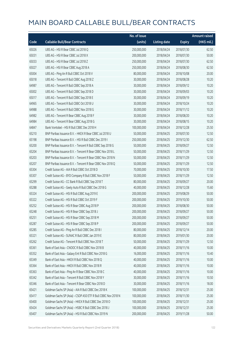|       |                                                               | No. of issue |                     |               | <b>Amount raised</b> |
|-------|---------------------------------------------------------------|--------------|---------------------|---------------|----------------------|
| Code  | <b>Callable Bull/Bear Contracts</b>                           | (units)      | <b>Listing date</b> | <b>Expiry</b> | (HK\$ mil.)          |
| 65026 | UBS AG - HSI R Bear CBBC Jul 2018 Q                           | 250,000,000  | 2018/04/24          | 2018/07/30    | 62.50                |
| 65031 | UBS AG - HSI R Bear CBBC Jul 2018 X                           | 200,000,000  | 2018/04/24          | 2018/07/30    | 50.00                |
| 65033 | UBS AG - HSI R Bear CBBC Jul 2018 Z                           | 250,000,000  | 2018/04/24          | 2018/07/30    | 62.50                |
| 65027 | UBS AG - HSI R Bear CBBC Aug 2018 A                           | 250,000,000  | 2018/04/24          | 2018/08/30    | 62.50                |
| 65004 | UBS AG - Ping An R Bull CBBC Oct 2018 V                       | 80,000,000   | 2018/04/24          | 2018/10/08    | 20.00                |
| 65018 | UBS AG - Tencent R Bull CBBC Aug 2018 Z                       | 30,000,000   | 2018/04/24          | 2018/08/28    | 10.20                |
| 64987 | UBS AG - Tencent R Bull CBBC Sep 2018 A                       | 30,000,000   | 2018/04/24          | 2018/09/12    | 10.20                |
| 65002 | UBS AG - Tencent R Bull CBBC Sep 2018 D                       | 30,000,000   | 2018/04/24          | 2018/09/03    | 10.20                |
| 65017 | UBS AG - Tencent R Bull CBBC Sep 2018 E                       | 30,000,000   | 2018/04/24          | 2018/09/19    | 10.20                |
| 64965 | UBS AG - Tencent R Bull CBBC Oct 2018 U                       | 30,000,000   | 2018/04/24          | 2018/10/24    | 10.20                |
| 64988 | UBS AG - Tencent R Bull CBBC Nov 2018 G                       | 30,000,000   | 2018/04/24          | 2018/11/12    | 10.20                |
| 64982 | UBS AG - Tencent R Bear CBBC Aug 2018 F                       | 30,000,000   | 2018/04/24          | 2018/08/20    | 10.20                |
| 64984 | UBS AG - Tencent R Bear CBBC Aug 2018 G                       | 30,000,000   | 2018/04/24          | 2018/08/15    | 10.20                |
| 64847 | Bank Vontobel - HSI R Bull CBBC Dec 2018 H                    | 100,000,000  | 2018/04/24          | 2018/12/28    | 25.50                |
| 65210 | BNP Paribas Issuance B.V. - HKEX R Bear CBBC Jul 2018 U       | 50,000,000   | 2018/04/25          | 2018/07/30    | 12.50                |
| 65198 | BNP Paribas Issuance B.V. - HSI R Bull CBBC Dec 2019 I        | 250,000,000  | 2018/04/25          | 2019/12/30    | 62.50                |
| 65200 | BNP Paribas Issuance B.V. - Tencent R Bull CBBC Sep 2018 G    | 50,000,000   | 2018/04/25          | 2018/09/27    | 12.50                |
| 65204 | BNP Paribas Issuance B.V. - Tencent R Bear CBBC Nov 2018 L    | 50,000,000   | 2018/04/25          | 2018/11/29    | 12.50                |
| 65203 | BNP Paribas Issuance B.V. - Tencent R Bear CBBC Nov 2018 N    | 50,000,000   | 2018/04/25          | 2018/11/29    | 12.50                |
| 65207 | BNP Paribas Issuance B.V. - Tencent R Bear CBBC Nov 2018 Q    | 50,000,000   | 2018/04/25          | 2018/11/29    | 12.50                |
| 65304 | Credit Suisse AG - AIA R Bull CBBC Oct 2018 D                 | 70,000,000   | 2018/04/25          | 2018/10/30    | 17.50                |
| 65307 | Credit Suisse AG - BYD Company R Bull CBBC Nov 2018 F         | 50,000,000   | 2018/04/25          | 2018/11/29    | 12.50                |
| 65299 | Credit Suisse AG - CC Bank R Bull CBBC Sep 2018 T             | 80,000,000   | 2018/04/25          | 2018/09/27    | 20.00                |
| 65288 | Credit Suisse AG - Geely Auto R Bull CBBC Dec 2018 G          | 40,000,000   | 2018/04/25          | 2018/12/28    | 15.60                |
| 65324 | Credit Suisse AG - HSI R Bull CBBC Aug 2019 E                 | 200,000,000  | 2018/04/25          | 2019/08/29    | 50.00                |
| 65322 | Credit Suisse AG - HSI R Bull CBBC Oct 2019 F                 | 200,000,000  | 2018/04/25          | 2019/10/30    | 50.00                |
| 65252 | Credit Suisse AG - HSI R Bear CBBC Aug 2018 P                 | 200,000,000  | 2018/04/25          | 2018/08/30    | 50.00                |
| 65248 | Credit Suisse AG - HSI R Bear CBBC Sep 2018 J                 | 200,000,000  | 2018/04/25          | 2018/09/27    | 50.00                |
| 65251 | Credit Suisse AG - HSI R Bear CBBC Sep 2018 M                 | 200,000,000  | 2018/04/25          | 2018/09/27    | 50.00                |
| 65287 | Credit Suisse AG - HSI R Bear CBBC Sep 2018 P                 | 200,000,000  | 2018/04/25          | 2018/09/27    | 50.00                |
| 65285 | Credit Suisse AG - Ping An R Bull CBBC Dec 2018 I             | 80,000,000   | 2018/04/25          | 2018/12/14    | 20.00                |
| 65321 | Credit Suisse AG - SUNAC R Bull CBBC Jan 2019 E               | 80,000,000   | 2018/04/25          | 2019/01/30    | 20.00                |
| 65262 | Credit Suisse AG - Tencent R Bull CBBC Nov 2018 T             | 50,000,000   | 2018/04/25          | 2018/11/29    | 12.50                |
| 65361 | Bank of East Asia - CNOOC R Bull CBBC Nov 2018 B              | 40,000,000   | 2018/04/25          | 2018/11/16    | 10.00                |
| 65352 | Bank of East Asia - Galaxy Ent R Bull CBBC Nov 2018 G         | 16,000,000   | 2018/04/25          | 2018/11/16    | 10.40                |
| 65349 | Bank of East Asia - HKEX R Bull CBBC Nov 2018 Q               | 40,000,000   | 2018/04/25          | 2018/11/16    | 10.00                |
| 65364 | Bank of East Asia - HKEX R Bull CBBC Nov 2018 R               | 40,000,000   | 2018/04/25          | 2018/11/16    | 10.00                |
| 65363 | Bank of East Asia - Ping An R Bear CBBC Nov 2018 C            | 40,000,000   | 2018/04/25          | 2018/11/16    | 10.00                |
| 65342 | Bank of East Asia - Tencent R Bull CBBC Nov 2018 Y            | 30,000,000   | 2018/04/25          | 2018/11/16    | 10.50                |
| 65346 | Bank of East Asia - Tencent R Bear CBBC Nov 2018 D            | 30,000,000   | 2018/04/25          | 2018/11/16    | 18.00                |
| 65421 | Goldman Sachs SP (Asia) - AIA R Bull CBBC Dec 2018 K          | 100,000,000  | 2018/04/25          | 2018/12/31    | 25.00                |
| 65417 | Goldman Sachs SP (Asia) - CSOP A50 ETF R Bull CBBC Nov 2018 N | 100,000,000  | 2018/04/25          | 2018/11/30    | 25.00                |
| 65400 | Goldman Sachs SP (Asia) - HKEX R Bull CBBC Dec 2018 O         | 100,000,000  | 2018/04/25          | 2018/12/31    | 25.00                |
| 65424 | Goldman Sachs SP (Asia) - HSBC R Bull CBBC Dec 2018 J         | 100,000,000  | 2018/04/25          | 2018/12/31    | 25.00                |
| 65407 | Goldman Sachs SP (Asia) - HSI R Bull CBBC Nov 2019 N          | 200,000,000  | 2018/04/25          | 2019/11/28    | 50.00                |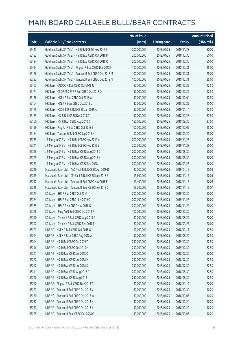|       |                                                          | No. of issue |                     |               | <b>Amount raised</b> |
|-------|----------------------------------------------------------|--------------|---------------------|---------------|----------------------|
| Code  | <b>Callable Bull/Bear Contracts</b>                      | (units)      | <b>Listing date</b> | <b>Expiry</b> | (HK\$ mil.)          |
| 65413 | Goldman Sachs SP (Asia) - HSI R Bull CBBC Nov 2019 S     | 200,000,000  | 2018/04/25          | 2019/11/28    | 50.00                |
| 65183 | Goldman Sachs SP (Asia) - HSI R Bear CBBC Oct 2018 P     | 200,000,000  | 2018/04/25          | 2018/10/30    | 50.00                |
| 65184 | Goldman Sachs SP (Asia) - HSI R Bear CBBC Oct 2018 Q     | 200,000,000  | 2018/04/25          | 2018/10/30    | 50.00                |
| 65414 | Goldman Sachs SP (Asia) - Ping An R Bull CBBC Dec 2018 I | 100,000,000  | 2018/04/25          | 2018/12/31    | 25.00                |
| 65176 | Goldman Sachs SP (Asia) - Tencent R Bull CBBC Dec 2018 M | 100,000,000  | 2018/04/25          | 2018/12/31    | 25.00                |
| 65393 | Goldman Sachs SP (Asia) - Tencent R Bull CBBC Dec 2018 N | 100,000,000  | 2018/04/25          | 2018/12/31    | 25.00                |
| 65163 | HK Bank - CNOOC R Bull CBBC Oct 2018 N                   | 50,000,000   | 2018/04/25          | 2018/10/22    | 12.50                |
| 65171 | HK Bank - CSOP A50 ETF R Bull CBBC Oct 2018 O            | 50,000,000   | 2018/04/25          | 2018/10/22    | 12.50                |
| 65158 | HK Bank - HKEX R Bull CBBC Oct 2018 W                    | 50,000,000   | 2018/04/25          | 2018/10/04    | 12.50                |
| 65164 | HK Bank - HKEX R Bear CBBC Oct 2018 L                    | 40,000,000   | 2018/04/25          | 2018/10/22    | 10.00                |
| 65175 | HK Bank - HSCEI ETF R Bull CBBC Jan 2019 A               | 50,000,000   | 2018/04/25          | 2019/01/14    | 12.50                |
| 65159 | HK Bank - HSI R Bull CBBC Dec 2018 Z                     | 150,000,000  | 2018/04/25          | 2018/12/28    | 37.50                |
| 65160 | HK Bank - HSI R Bear CBBC Aug 2018 D                     | 150,000,000  | 2018/04/25          | 2018/08/30    | 37.50                |
| 65156 | HK Bank - Ping An R Bull CBBC Oct 2018 S                 | 100,000,000  | 2018/04/25          | 2018/10/02    | 25.00                |
| 65154 | HK Bank - Tencent R Bull CBBC Sep 2018 N                 | 60,000,000   | 2018/04/25          | 2018/09/20    | 15.00                |
| 65339 | J P Morgan SP BV - HSI R Bull CBBC Nov 2019 Y            | 200,000,000  | 2018/04/25          | 2019/11/28    | 50.00                |
| 65341 | J P Morgan SP BV - HSI R Bull CBBC Nov 2019 Z            | 200,000,000  | 2018/04/25          | 2019/11/28    | 50.00                |
| 65326 | J P Morgan SP BV - HSI R Bear CBBC Aug 2018 D            | 200,000,000  | 2018/04/25          | 2018/08/30    | 50.00                |
| 65325 | J P Morgan SP BV - HSI R Bear CBBC Aug 2018 Y            | 200,000,000  | 2018/04/25          | 2018/08/30    | 50.00                |
| 65333 | J P Morgan SP BV - HSI R Bear CBBC Sep 2018 J            | 200,000,000  | 2018/04/25          | 2018/09/27    | 50.00                |
| 65218 | Macquarie Bank Ltd. - AAC Tech R Bull CBBC Apr 2019 B    | 22,000,000   | 2018/04/25          | 2019/04/15    | 10.08                |
| 65219 | Macquarie Bank Ltd. - CM Bank R Bull CBBC Nov 2018 B     | 15,600,000   | 2018/04/25          | 2018/11/15    | 10.05                |
| 65212 | Macquarie Bank Ltd. - Tencent R Bull CBBC Nov 2018 E     | 13,400,000   | 2018/04/25          | 2018/11/15    | 10.08                |
| 65216 | Macquarie Bank Ltd. - Tencent R Bear CBBC Nov 2018 C     | 13,200,000   | 2018/04/25          | 2018/11/15    | 10.07                |
| 65373 | SG Issuer - HSI R Bull CBBC Oct 2019 I                   | 200,000,000  | 2018/04/25          | 2019/10/30    | 50.00                |
| 65374 | SG Issuer - HSI R Bull CBBC Nov 2019 O                   | 200,000,000  | 2018/04/25          | 2019/11/28    | 50.00                |
| 65365 | SG Issuer - HSI R Bear CBBC Nov 2018 O                   | 200,000,000  | 2018/04/25          | 2018/11/29    | 50.00                |
| 65376 | SG Issuer - Ping An R Bull CBBC Oct 2018 P               | 100,000,000  | 2018/04/25          | 2018/10/30    | 25.00                |
| 65390 | SG Issuer - Tencent R Bull CBBC Aug 2018 C               | 80,000,000   | 2018/04/25          | 2018/08/29    | 20.00                |
| 65392 | SG Issuer - Tencent R Bull CBBC Sep 2018 F               | 80,000,000   | 2018/04/25          | 2018/09/27    | 20.00                |
| 65223 | UBS AG - HKEX R Bull CBBC Oct 2018 G                     | 50,000,000   | 2018/04/25          | 2018/10/11    | 12.50                |
| 65224 | UBS AG - HKEX R Bear CBBC Aug 2018 A                     | 50,000,000   | 2018/04/25          | 2018/08/20    | 12.50                |
| 65244 | UBS AG - HSI R Bull CBBC Oct 2019 T                      | 250,000,000  | 2018/04/25          | 2019/10/30    | 62.50                |
| 65246 | UBS AG - HSI R Bull CBBC Dec 2019 N                      | 250,000,000  | 2018/04/25          | 2019/12/30    | 62.50                |
| 65221 | UBS AG - HSI R Bear CBBC Jul 2018 D                      | 200,000,000  | 2018/04/25          | 2018/07/30    | 50.00                |
| 65222 | UBS AG - HSI R Bear CBBC Jul 2018 H                      | 250,000,000  | 2018/04/25          | 2018/07/30    | 62.50                |
| 65242 | UBS AG - HSI R Bear CBBC Jul 2018 S                      | 250,000,000  | 2018/04/25          | 2018/07/30    | 62.50                |
| 65241 | UBS AG - HSI R Bear CBBC Aug 2018 C                      | 250,000,000  | 2018/04/25          | 2018/08/30    | 62.50                |
| 65220 | UBS AG - HSI R Bear CBBC Aug 2018 I                      | 250,000,000  | 2018/04/25          | 2018/08/30    | 62.50                |
| 65240 | UBS AG - Ping An R Bull CBBC Nov 2018 T                  | 80,000,000   | 2018/04/25          | 2018/11/19    | 20.00                |
| 65227 | UBS AG - Tencent R Bull CBBC Oct 2018 V                  | 30,000,000   | 2018/04/25          | 2018/10/30    | 10.20                |
| 65230 | UBS AG - Tencent R Bull CBBC Oct 2018 W                  | 30,000,000   | 2018/04/25          | 2018/10/03    | 10.20                |
| 65232 | UBS AG - Tencent R Bull CBBC Oct 2018 X                  | 30,000,000   | 2018/04/25          | 2018/10/24    | 10.20                |
| 65233 | UBS AG - Tencent R Bull CBBC Oct 2018 Y                  | 30,000,000   | 2018/04/25          | 2018/10/22    | 10.20                |
| 65225 | UBS AG - Tencent R Bear CBBC Oct 2018 C                  | 30,000,000   | 2018/04/25          | 2018/10/08    | 10.20                |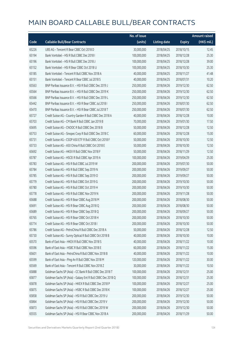|       |                                                             | No. of issue |                     |               | <b>Amount raised</b> |
|-------|-------------------------------------------------------------|--------------|---------------------|---------------|----------------------|
| Code  | <b>Callable Bull/Bear Contracts</b>                         | (units)      | <b>Listing date</b> | <b>Expiry</b> | (HK\$ mil.)          |
| 65226 | UBS AG - Tencent R Bear CBBC Oct 2018 D                     | 30,000,000   | 2018/04/25          | 2018/10/15    | 12.45                |
| 65194 | Bank Vontobel - HSI R Bull CBBC Dec 2018 I                  | 100,000,000  | 2018/04/25          | 2018/12/28    | 25.30                |
| 65196 | Bank Vontobel - HSI R Bull CBBC Dec 2018 J                  | 100,000,000  | 2018/04/25          | 2018/12/28    | 39.00                |
| 65152 | Bank Vontobel - HSI R Bear CBBC Oct 2018 U                  | 100,000,000  | 2018/04/25          | 2018/10/30    | 25.30                |
| 65185 | Bank Vontobel - Tencent R Bull CBBC Nov 2018 A              | 40,000,000   | 2018/04/25          | 2018/11/27    | 41.48                |
| 65151 | Bank Vontobel - Tencent R Bear CBBC Jul 2018 S              | 40,000,000   | 2018/04/25          | 2018/07/31    | 10.20                |
| 65563 | BNP Paribas Issuance B.V. - HSI R Bull CBBC Dec 2019 J      | 250,000,000  | 2018/04/26          | 2019/12/30    | 62.50                |
| 65564 | BNP Paribas Issuance B.V. - HSI R Bull CBBC Dec 2019 K      | 250,000,000  | 2018/04/26          | 2019/12/30    | 62.50                |
| 65566 | BNP Paribas Issuance B.V. - HSI R Bull CBBC Dec 2019 L      | 250,000,000  | 2018/04/26          | 2019/12/30    | 62.50                |
| 65442 | BNP Paribas Issuance B.V. - HSI R Bear CBBC Jul 2018 I      | 250,000,000  | 2018/04/26          | 2018/07/30    | 62.50                |
| 65470 | BNP Paribas Issuance B.V. - HSI R Bear CBBC Jul 2018 T      | 250,000,000  | 2018/04/26          | 2018/07/30    | 62.50                |
| 65727 | Credit Suisse AG - Country Garden R Bull CBBC Dec 2018 A    | 40,000,000   | 2018/04/26          | 2018/12/28    | 10.00                |
| 65703 | Credit Suisse AG - CM Bank R Bull CBBC Jan 2019 B           | 70,000,000   | 2018/04/26          | 2019/01/30    | 17.50                |
| 65695 | Credit Suisse AG - CNOOC R Bull CBBC Dec 2018 B             | 50,000,000   | 2018/04/26          | 2018/12/28    | 12.50                |
| 65753 | Credit Suisse AG - Sinopec Corp R Bull CBBC Dec 2018 C      | 60,000,000   | 2018/04/26          | 2018/12/28    | 15.00                |
| 65731 | Credit Suisse AG - CSOP A50 ETF R Bull CBBC Oct 2018 F      | 50,000,000   | 2018/04/26          | 2018/10/30    | 12.50                |
| 65733 | Credit Suisse AG - A50 China R Bull CBBC Oct 2018 E         | 50,000,000   | 2018/04/26          | 2018/10/30    | 12.50                |
| 65692 | Credit Suisse AG - HKEX R Bull CBBC Nov 2018 F              | 50,000,000   | 2018/04/26          | 2018/11/29    | 12.50                |
| 65787 | Credit Suisse AG - HSCEI R Bull CBBC Apr 2019 A             | 100,000,000  | 2018/04/26          | 2019/04/29    | 25.00                |
| 65783 | Credit Suisse AG - HSI R Bull CBBC Jul 2019 W               | 200,000,000  | 2018/04/26          | 2019/07/30    | 50.00                |
| 65784 | Credit Suisse AG - HSI R Bull CBBC Sep 2019 N               | 200,000,000  | 2018/04/26          | 2019/09/27    | 50.00                |
| 65785 | Credit Suisse AG - HSI R Bull CBBC Sep 2019 O               | 200,000,000  | 2018/04/26          | 2019/09/27    | 50.00                |
| 65779 | Credit Suisse AG - HSI R Bull CBBC Oct 2019 G               | 200,000,000  | 2018/04/26          | 2019/10/30    | 50.00                |
| 65780 | Credit Suisse AG - HSI R Bull CBBC Oct 2019 H               | 200,000,000  | 2018/04/26          | 2019/10/30    | 50.00                |
| 65778 | Credit Suisse AG - HSI R Bull CBBC Nov 2019 N               | 200,000,000  | 2018/04/26          | 2019/11/28    | 50.00                |
| 65688 | Credit Suisse AG - HSI R Bear CBBC Aug 2018 M               | 200,000,000  | 2018/04/26          | 2018/08/30    | 50.00                |
| 65691 | Credit Suisse AG - HSI R Bear CBBC Aug 2018 Q               | 200,000,000  | 2018/04/26          | 2018/08/30    | 50.00                |
| 65689 | Credit Suisse AG - HSI R Bear CBBC Sep 2018 Q               | 200,000,000  | 2018/04/26          | 2018/09/27    | 50.00                |
| 65765 | Credit Suisse AG - HSI R Bear CBBC Oct 2018 H               | 200,000,000  | 2018/04/26          | 2018/10/30    | 50.00                |
| 65774 | Credit Suisse AG - HSI R Bear CBBC Oct 2018 I               | 200,000,000  | 2018/04/26          | 2018/10/30    | 50.00                |
| 65786 | Credit Suisse AG - PetroChina R Bull CBBC Dec 2018 A        | 50,000,000   | 2018/04/26          | 2018/12/28    | 12.50                |
| 65730 | Credit Suisse AG - Sunny Optical R Bull CBBC Oct 2018 B     | 40,000,000   | 2018/04/26          | 2018/10/30    | 10.00                |
| 65570 | Bank of East Asia - HKEX R Bull CBBC Nov 2018 S             | 40,000,000   | 2018/04/26          | 2018/11/22    | 10.00                |
| 65596 | Bank of East Asia - HSBC R Bull CBBC Nov 2018 E             | 60,000,000   | 2018/04/26          | 2018/11/22    | 15.00                |
| 65601 | Bank of East Asia - PetroChina R Bull CBBC Nov 2018 B       | 40,000,000   | 2018/04/26          | 2018/11/22    | 10.00                |
| 65599 | Bank of East Asia - Ping An R Bull CBBC Nov 2018 M          | 120,000,000  | 2018/04/26          | 2018/11/22    | 30.00                |
| 65569 | Bank of East Asia - Tencent R Bull CBBC Nov 2018 Z          | 30,000,000   | 2018/04/26          | 2018/11/22    | 10.50                |
| 65888 | Goldman Sachs SP (Asia) - CC Bank R Bull CBBC Dec 2018 T    | 100,000,000  | 2018/04/26          | 2018/12/31    | 25.00                |
| 65877 | Goldman Sachs SP (Asia) - Galaxy Ent R Bull CBBC Dec 2018 Q | 100,000,000  | 2018/04/26          | 2018/12/31    | 25.00                |
| 65878 | Goldman Sachs SP (Asia) - HKEX R Bull CBBC Dec 2018 P       | 100,000,000  | 2018/04/26          | 2018/12/27    | 25.00                |
| 65875 | Goldman Sachs SP (Asia) - HSBC R Bull CBBC Dec 2018 K       | 100,000,000  | 2018/04/26          | 2018/12/27    | 25.00                |
| 65858 | Goldman Sachs SP (Asia) - HSI R Bull CBBC Dec 2019 U        | 200,000,000  | 2018/04/26          | 2019/12/30    | 50.00                |
| 65864 | Goldman Sachs SP (Asia) - HSI R Bull CBBC Dec 2019 V        | 200,000,000  | 2018/04/26          | 2019/12/30    | 50.00                |
| 65873 | Goldman Sachs SP (Asia) - HSI R Bull CBBC Dec 2019 W        | 200,000,000  | 2018/04/26          | 2019/12/30    | 50.00                |
| 65555 | Goldman Sachs SP (Asia) - HSI R Bear CBBC Nov 2018 A        | 200,000,000  | 2018/04/26          | 2018/11/29    | 50.00                |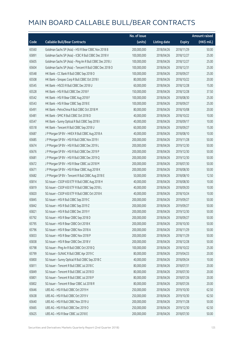|       |                                                          | No. of issue |                     |               | <b>Amount raised</b> |
|-------|----------------------------------------------------------|--------------|---------------------|---------------|----------------------|
| Code  | <b>Callable Bull/Bear Contracts</b>                      | (units)      | <b>Listing date</b> | <b>Expiry</b> | (HK\$ mil.)          |
| 65560 | Goldman Sachs SP (Asia) - HSI R Bear CBBC Nov 2018 B     | 200,000,000  | 2018/04/26          | 2018/11/29    | 50.00                |
| 65891 | Goldman Sachs SP (Asia) - ICBC R Bull CBBC Dec 2018 V    | 100,000,000  | 2018/04/26          | 2018/12/27    | 25.00                |
| 65605 | Goldman Sachs SP (Asia) - Ping An R Bull CBBC Dec 2018 J | 100,000,000  | 2018/04/26          | 2018/12/27    | 25.00                |
| 65604 | Goldman Sachs SP (Asia) - Tencent R Bull CBBC Dec 2018 O | 100,000,000  | 2018/04/26          | 2018/12/31    | 25.00                |
| 65548 | HK Bank - CC Bank R Bull CBBC Sep 2018 O                 | 100,000,000  | 2018/04/26          | 2018/09/27    | 25.00                |
| 65508 | HK Bank - Sinopec Corp R Bull CBBC Oct 2018 I            | 80,000,000   | 2018/04/26          | 2018/10/22    | 20.00                |
| 65545 | HK Bank - HSCEI R Bull CBBC Dec 2018 U                   | 60,000,000   | 2018/04/26          | 2018/12/28    | 15.00                |
| 65528 | HK Bank - HSI R Bull CBBC Dec 2018 F                     | 150,000,000  | 2018/04/26          | 2018/12/28    | 37.50                |
| 65542 | HK Bank - HSI R Bear CBBC Aug 2018 F                     | 100,000,000  | 2018/04/26          | 2018/08/30    | 25.00                |
| 65543 | HK Bank - HSI R Bear CBBC Sep 2018 E                     | 100,000,000  | 2018/04/26          | 2018/09/27    | 25.00                |
| 65491 | HK Bank - PetroChina R Bull CBBC Oct 2018 M              | 80,000,000   | 2018/04/26          | 2018/10/08    | 20.00                |
| 65481 | HK Bank - SMIC R Bull CBBC Oct 2018 D                    | 40,000,000   | 2018/04/26          | 2018/10/22    | 10.00                |
| 65547 | HK Bank - Sunny Optical R Bull CBBC Sep 2018 I           | 40,000,000   | 2018/04/26          | 2018/09/17    | 10.00                |
| 65518 | HK Bank - Tencent R Bull CBBC Sep 2018 U                 | 60,000,000   | 2018/04/26          | 2018/09/27    | 15.00                |
| 65687 | J P Morgan SP BV - HKEX R Bull CBBC Aug 2018 A           | 40,000,000   | 2018/04/26          | 2018/08/10    | 10.00                |
| 65685 | J P Morgan SP BV - HSI R Bull CBBC Nov 2019 I            | 200,000,000  | 2018/04/26          | 2019/11/28    | 50.00                |
| 65674 | J P Morgan SP BV - HSI R Bull CBBC Dec 2019 L            | 200,000,000  | 2018/04/26          | 2019/12/30    | 50.00                |
| 65676 | J P Morgan SP BV - HSI R Bull CBBC Dec 2019 P            | 200,000,000  | 2018/04/26          | 2019/12/30    | 50.00                |
| 65681 | J P Morgan SP BV - HSI R Bull CBBC Dec 2019 Q            | 200,000,000  | 2018/04/26          | 2019/12/30    | 50.00                |
| 65672 | J P Morgan SP BV - HSI R Bear CBBC Jul 2018 M            | 200,000,000  | 2018/04/26          | 2018/07/30    | 50.00                |
| 65671 | J P Morgan SP BV - HSI R Bear CBBC Aug 2018 K            | 200,000,000  | 2018/04/26          | 2018/08/30    | 50.00                |
| 65682 | J P Morgan SP BV - Tencent R Bull CBBC Aug 2018 E        | 50,000,000   | 2018/04/26          | 2018/08/10    | 12.50                |
| 65814 | SG Issuer - CSOP A50 ETF R Bull CBBC Aug 2018 H          | 40,000,000   | 2018/04/26          | 2018/08/30    | 10.00                |
| 65819 | SG Issuer - CSOP A50 ETF R Bull CBBC Sep 2018 L          | 40,000,000   | 2018/04/26          | 2018/09/20    | 10.00                |
| 65820 | SG Issuer - CSOP A50 ETF R Bull CBBC Oct 2018 K          | 40,000,000   | 2018/04/26          | 2018/10/24    | 10.00                |
| 65845 | SG Issuer - HSI R Bull CBBC Sep 2019 C                   | 200,000,000  | 2018/04/26          | 2019/09/27    | 50.00                |
| 65842 | SG Issuer - HSI R Bull CBBC Sep 2019 Z                   | 200,000,000  | 2018/04/26          | 2019/09/27    | 50.00                |
| 65821 | SG Issuer - HSI R Bull CBBC Dec 2019 Y                   | 200,000,000  | 2018/04/26          | 2019/12/30    | 50.00                |
| 65792 | SG Issuer - HSI R Bear CBBC Sep 2018 D                   | 200,000,000  | 2018/04/26          | 2018/09/27    | 50.00                |
| 65795 | SG Issuer - HSI R Bear CBBC Oct 2018 K                   | 200,000,000  | 2018/04/26          | 2018/10/30    | 50.00                |
| 65796 | SG Issuer - HSI R Bear CBBC Nov 2018 A                   | 200,000,000  | 2018/04/26          | 2018/11/29    | 50.00                |
| 65833 | SG Issuer - HSI R Bear CBBC Nov 2018 P                   | 200,000,000  | 2018/04/26          | 2018/11/29    | 50.00                |
| 65838 | SG Issuer - HSI R Bear CBBC Dec 2018 V                   | 200,000,000  | 2018/04/26          | 2018/12/28    | 50.00                |
| 65798 | SG Issuer - Ping An R Bull CBBC Oct 2018 Q               | 100,000,000  | 2018/04/26          | 2018/10/22    | 25.00                |
| 65799 | SG Issuer - SUNAC R Bull CBBC Apr 2019 C                 | 80,000,000   | 2018/04/26          | 2019/04/23    | 20.00                |
| 65800 | SG Issuer - Sunny Optical R Bull CBBC Sep 2018 C         | 40,000,000   | 2018/04/26          | 2018/09/24    | 10.00                |
| 65811 | SG Issuer - Tencent R Bull CBBC Jul 2018 C               | 80,000,000   | 2018/04/26          | 2018/07/31    | 20.00                |
| 65849 | SG Issuer - Tencent R Bull CBBC Jul 2018 D               | 80,000,000   | 2018/04/26          | 2018/07/30    | 20.00                |
| 65801 | SG Issuer - Tencent R Bull CBBC Jul 2018 P               | 80,000,000   | 2018/04/26          | 2018/07/26    | 20.00                |
| 65802 | SG Issuer - Tencent R Bear CBBC Jul 2018 R               | 80,000,000   | 2018/04/26          | 2018/07/26    | 20.00                |
| 65646 | UBS AG - HSI R Bull CBBC Oct 2019 H                      | 250,000,000  | 2018/04/26          | 2019/10/30    | 62.50                |
| 65638 | UBS AG - HSI R Bull CBBC Oct 2019 V                      | 250,000,000  | 2018/04/26          | 2019/10/30    | 62.50                |
| 65640 | UBS AG - HSI R Bull CBBC Nov 2019 U                      | 200,000,000  | 2018/04/26          | 2019/11/28    | 50.00                |
| 65665 | UBS AG - HSI R Bull CBBC Dec 2019 O                      | 250,000,000  | 2018/04/26          | 2019/12/30    | 62.50                |
| 65625 | UBS AG - HSI R Bear CBBC Jul 2018 E                      | 200,000,000  | 2018/04/26          | 2018/07/30    | 50.00                |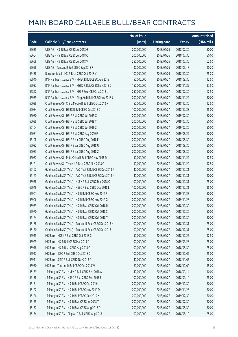|       |                                                            | No. of issue |                     |               | <b>Amount raised</b> |
|-------|------------------------------------------------------------|--------------|---------------------|---------------|----------------------|
| Code  | <b>Callable Bull/Bear Contracts</b>                        | (units)      | <b>Listing date</b> | <b>Expiry</b> | (HK\$ mil.)          |
| 65635 | UBS AG - HSI R Bear CBBC Jul 2018 G                        | 200,000,000  | 2018/04/26          | 2018/07/30    | 50.00                |
| 65664 | UBS AG - HSI R Bear CBBC Jul 2018 O                        | 200,000,000  | 2018/04/26          | 2018/07/30    | 50.00                |
| 65609 | UBS AG - HSI R Bear CBBC Jul 2018 V                        | 250,000,000  | 2018/04/26          | 2018/07/30    | 62.50                |
| 65656 | UBS AG - Tencent R Bull CBBC Sep 2018 F                    | 30,000,000   | 2018/04/26          | 2018/09/17    | 10.20                |
| 65438 | Bank Vontobel - HSI R Bear CBBC Oct 2018 V                 | 100,000,000  | 2018/04/26          | 2018/10/30    | 25.20                |
| 65940 | BNP Paribas Issuance B.V. - HKEX R Bull CBBC Aug 2018 I    | 50,000,000   | 2018/04/27          | 2018/08/30    | 12.50                |
| 65937 | BNP Paribas Issuance B.V. - HSBC R Bull CBBC Nov 2018 C    | 150,000,000  | 2018/04/27          | 2018/11/29    | 37.50                |
| 65892 | BNP Paribas Issuance B.V. - HSI R Bear CBBC Jul 2018 U     | 250,000,000  | 2018/04/27          | 2018/07/30    | 62.50                |
| 65939 | BNP Paribas Issuance B.V. - Ping An R Bull CBBC Nov 2018 J | 200,000,000  | 2018/04/27          | 2018/11/29    | 50.00                |
| 66088 | Credit Suisse AG - China Mobile R Bull CBBC Oct 2018 M     | 50,000,000   | 2018/04/27          | 2018/10/30    | 12.50                |
| 66084 | Credit Suisse AG - HSBC R Bull CBBC Dec 2018 D             | 100,000,000  | 2018/04/27          | 2018/12/28    | 25.00                |
| 66080 | Credit Suisse AG - HSI R Bull CBBC Jul 2019 X              | 200,000,000  | 2018/04/27          | 2019/07/30    | 50.00                |
| 66098 | Credit Suisse AG - HSI R Bull CBBC Jul 2019 Y              | 200,000,000  | 2018/04/27          | 2019/07/30    | 50.00                |
| 66104 | Credit Suisse AG - HSI R Bull CBBC Jul 2019 Z              | 200,000,000  | 2018/04/27          | 2019/07/30    | 50.00                |
| 66081 | Credit Suisse AG - HSI R Bull CBBC Aug 2019 F              | 200,000,000  | 2018/04/27          | 2019/08/29    | 50.00                |
| 66108 | Credit Suisse AG - HSI R Bear CBBC Aug 2018 F              | 200,000,000  | 2018/04/27          | 2018/08/30    | 50.00                |
| 66082 | Credit Suisse AG - HSI R Bear CBBC Aug 2018 U              | 200,000,000  | 2018/04/27          | 2018/08/30    | 50.00                |
| 66083 | Credit Suisse AG - HSI R Bear CBBC Aug 2018 Z              | 200,000,000  | 2018/04/27          | 2018/08/30    | 50.00                |
| 66087 | Credit Suisse AG - PetroChina R Bull CBBC Nov 2018 D       | 50,000,000   | 2018/04/27          | 2018/11/29    | 12.50                |
| 66121 | Credit Suisse AG - Tencent R Bear CBBC Nov 2018 C          | 50,000,000   | 2018/04/27          | 2018/11/29    | 12.50                |
| 66162 | Goldman Sachs SP (Asia) - AAC Tech R Bull CBBC Dec 2018 J  | 40,000,000   | 2018/04/27          | 2018/12/31    | 10.00                |
| 66163 | Goldman Sachs SP (Asia) - AAC Tech R Bull CBBC Dec 2018 K  | 40,000,000   | 2018/04/27          | 2018/12/31    | 10.00                |
| 65958 | Goldman Sachs SP (Asia) - HKEX R Bull CBBC Dec 2018 Q      | 100,000,000  | 2018/04/27          | 2018/12/31    | 25.00                |
| 65946 | Goldman Sachs SP (Asia) - HSBC R Bull CBBC Dec 2018 L      | 100,000,000  | 2018/04/27          | 2018/12/31    | 25.00                |
| 65901 | Goldman Sachs SP (Asia) - HSI R Bull CBBC Nov 2019 F       | 200,000,000  | 2018/04/27          | 2019/11/28    | 50.00                |
| 65906 | Goldman Sachs SP (Asia) - HSI R Bull CBBC Nov 2019 G       | 200,000,000  | 2018/04/27          | 2019/11/28    | 50.00                |
| 65959 | Goldman Sachs SP (Asia) - HSI R Bear CBBC Oct 2018 R       | 200,000,000  | 2018/04/27          | 2018/10/30    | 50.00                |
| 65970 | Goldman Sachs SP (Asia) - HSI R Bear CBBC Oct 2018 S       | 200,000,000  | 2018/04/27          | 2018/10/30    | 50.00                |
| 66164 | Goldman Sachs SP (Asia) - HSI R Bear CBBC Oct 2018 T       | 200,000,000  | 2018/04/27          | 2018/10/30    | 50.00                |
| 66168 | Goldman Sachs SP (Asia) - Tencent R Bear CBBC Dec 2018 H   | 100,000,000  | 2018/04/27          | 2018/12/31    | 25.00                |
| 66170 | Goldman Sachs SP (Asia) - Tencent R Bear CBBC Dec 2018 I   | 100,000,000  | 2018/04/27          | 2018/12/31    | 25.00                |
| 65915 | HK Bank - HKEX R Bull CBBC Oct 2018 C                      | 50,000,000   | 2018/04/27          | 2018/10/25    | 12.50                |
| 65929 | HK Bank - HSI R Bull CBBC Mar 2019 O                       | 100,000,000  | 2018/04/27          | 2019/03/28    | 25.00                |
| 65918 | HK Bank - HSI R Bear CBBC Aug 2018 G                       | 100,000,000  | 2018/04/27          | 2018/08/30    | 25.00                |
| 65917 | HK Bank - ICBC R Bull CBBC Oct 2018 C                      | 100,000,000  | 2018/04/27          | 2018/10/02    | 25.00                |
| 65911 | HK Bank - SMIC R Bull CBBC Nov 2018 A                      | 40,000,000   | 2018/04/27          | 2018/11/05    | 10.00                |
| 65930 | HK Bank - Tencent R Bull CBBC Oct 2018 W                   | 60,000,000   | 2018/04/27          | 2018/10/02    | 15.00                |
| 66139 | J P Morgan SP BV - HKEX R Bull CBBC Sep 2018 A             | 40,000,000   | 2018/04/27          | 2018/09/14    | 10.00                |
| 66138 | J P Morgan SP BV - HSBC R Bull CBBC Sep 2018 B             | 100,000,000  | 2018/04/27          | 2018/09/14    | 25.00                |
| 66151 | J P Morgan SP BV - HSI R Bull CBBC Oct 2019 L              | 200,000,000  | 2018/04/27          | 2019/10/30    | 50.00                |
| 66122 | J P Morgan SP BV - HSI R Bull CBBC Nov 2019 D              | 200,000,000  | 2018/04/27          | 2019/11/28    | 50.00                |
| 66126 | J P Morgan SP BV - HSI R Bull CBBC Dec 2019 X              | 200,000,000  | 2018/04/27          | 2019/12/30    | 50.00                |
| 66155 | J P Morgan SP BV - HSI R Bear CBBC Jul 2018 T              | 200,000,000  | 2018/04/27          | 2018/07/30    | 50.00                |
| 66157 | J P Morgan SP BV - HSI R Bear CBBC Aug 2018 Q              | 200,000,000  | 2018/04/27          | 2018/08/30    | 50.00                |
| 66134 | J P Morgan SP BV - Ping An R Bull CBBC Aug 2018 L          | 100,000,000  | 2018/04/27          | 2018/08/10    | 25.00                |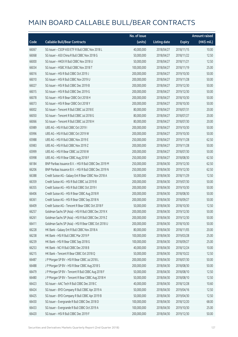|       |                                                        | No. of issue |                     |               | <b>Amount raised</b> |
|-------|--------------------------------------------------------|--------------|---------------------|---------------|----------------------|
| Code  | <b>Callable Bull/Bear Contracts</b>                    | (units)      | <b>Listing date</b> | <b>Expiry</b> | $(HK\$ mil.)         |
| 66067 | SG Issuer - CSOP A50 ETF R Bull CBBC Nov 2018 L        | 40,000,000   | 2018/04/27          | 2018/11/15    | 10.00                |
| 66068 | SG Issuer - A50 China R Bull CBBC Nov 2018 G           | 50,000,000   | 2018/04/27          | 2018/11/22    | 12.50                |
| 66000 | SG Issuer - HKEX R Bull CBBC Nov 2018 U                | 50,000,000   | 2018/04/27          | 2018/11/21    | 12.50                |
| 66034 | SG Issuer - HSBC R Bull CBBC Nov 2018 T                | 100,000,000  | 2018/04/27          | 2018/11/19    | 25.00                |
| 66016 | SG Issuer - HSI R Bull CBBC Oct 2019 J                 | 200,000,000  | 2018/04/27          | 2019/10/30    | 50.00                |
| 66010 | SG Issuer - HSI R Bull CBBC Nov 2019 U                 | 200,000,000  | 2018/04/27          | 2019/11/28    | 50.00                |
| 66027 | SG Issuer - HSI R Bull CBBC Dec 2019 B                 | 200,000,000  | 2018/04/27          | 2019/12/30    | 50.00                |
| 66015 | SG Issuer - HSI R Bull CBBC Dec 2019 G                 | 200,000,000  | 2018/04/27          | 2019/12/30    | 50.00                |
| 66078 | SG Issuer - HSI R Bear CBBC Oct 2018 H                 | 200,000,000  | 2018/04/27          | 2018/10/30    | 50.00                |
| 66073 | SG Issuer - HSI R Bear CBBC Oct 2018 Y                 | 200,000,000  | 2018/04/27          | 2018/10/30    | 50.00                |
| 66002 | SG Issuer - Tencent R Bull CBBC Jul 2018 E             | 80,000,000   | 2018/04/27          | 2018/07/31    | 20.00                |
| 66050 | SG Issuer - Tencent R Bull CBBC Jul 2018 G             | 80,000,000   | 2018/04/27          | 2018/07/27    | 20.00                |
| 66066 | SG Issuer - Tencent R Bull CBBC Jul 2018 H             | 80,000,000   | 2018/04/27          | 2018/07/30    | 20.00                |
| 65989 | UBS AG - HSI R Bull CBBC Oct 2019 I                    | 200,000,000  | 2018/04/27          | 2019/10/30    | 50.00                |
| 65996 | UBS AG - HSI R Bull CBBC Oct 2019 W                    | 200,000,000  | 2018/04/27          | 2019/10/30    | 50.00                |
| 65988 | UBS AG - HSI R Bull CBBC Nov 2019 E                    | 250,000,000  | 2018/04/27          | 2019/11/28    | 62.50                |
| 65983 | UBS AG - HSI R Bull CBBC Nov 2019 Z                    | 200,000,000  | 2018/04/27          | 2019/11/28    | 50.00                |
| 65999 | UBS AG - HSI R Bear CBBC Jul 2018 W                    | 200,000,000  | 2018/04/27          | 2018/07/30    | 50.00                |
| 65998 | UBS AG - HSI R Bear CBBC Aug 2018 F                    | 250,000,000  | 2018/04/27          | 2018/08/30    | 62.50                |
| 66184 | BNP Paribas Issuance B.V. - HSI R Bull CBBC Dec 2019 M | 250,000,000  | 2018/04/30          | 2019/12/30    | 62.50                |
| 66206 | BNP Paribas Issuance B.V. - HSI R Bull CBBC Dec 2019 N | 250,000,000  | 2018/04/30          | 2019/12/30    | 62.50                |
| 66388 | Credit Suisse AG - Galaxy Ent R Bear CBBC Nov 2018 A   | 50,000,000   | 2018/04/30          | 2018/11/29    | 12.50                |
| 66359 | Credit Suisse AG - HSI R Bull CBBC Jul 2019 B          | 200,000,000  | 2018/04/30          | 2019/07/30    | 50.00                |
| 66355 | Credit Suisse AG - HSI R Bull CBBC Oct 2019 I          | 200,000,000  | 2018/04/30          | 2019/10/30    | 50.00                |
| 66406 | Credit Suisse AG - HSI R Bear CBBC Aug 2018 R          | 200,000,000  | 2018/04/30          | 2018/08/30    | 50.00                |
| 66361 | Credit Suisse AG - HSI R Bear CBBC Sep 2018 N          | 200,000,000  | 2018/04/30          | 2018/09/27    | 50.00                |
| 66409 | Credit Suisse AG - Tencent R Bear CBBC Oct 2018 F      | 50,000,000   | 2018/04/30          | 2018/10/30    | 12.50                |
| 66257 | Goldman Sachs SP (Asia) - HSI R Bull CBBC Dec 2019 X   | 200,000,000  | 2018/04/30          | 2019/12/30    | 50.00                |
| 66261 | Goldman Sachs SP (Asia) - HSI R Bull CBBC Dec 2019 Z   | 200,000,000  | 2018/04/30          | 2019/12/30    | 50.00                |
| 66411 | Goldman Sachs SP (Asia) - HSI R Bear CBBC Oct 2018 U   | 200,000,000  | 2018/04/30          | 2018/10/30    | 50.00                |
| 66228 | HK Bank - Galaxy Ent R Bull CBBC Nov 2018 A            | 80,000,000   | 2018/04/30          | 2018/11/05    | 20.00                |
| 66238 | HK Bank - HSI R Bull CBBC Mar 2019 P                   | 100,000,000  | 2018/04/30          | 2019/03/28    | 25.00                |
| 66239 | HK Bank - HSI R Bear CBBC Sep 2018 G                   | 100,000,000  | 2018/04/30          | 2018/09/27    | 25.00                |
| 66253 | HK Bank - NCI R Bull CBBC Dec 2018 B                   | 40,000,000   | 2018/04/30          | 2018/12/24    | 10.00                |
| 66215 | HK Bank - Tencent R Bear CBBC Oct 2018 Q               | 50,000,000   | 2018/04/30          | 2018/10/22    | 12.50                |
| 66487 | J P Morgan SP BV - HSI R Bear CBBC Jul 2018 L          | 200,000,000  | 2018/04/30          | 2018/07/30    | 50.00                |
| 66488 | J P Morgan SP BV - HSI R Bear CBBC Aug 2018 S          | 200,000,000  | 2018/04/30          | 2018/08/30    | 50.00                |
| 66479 | J P Morgan SP BV - Tencent R Bull CBBC Aug 2018 F      | 50,000,000   | 2018/04/30          | 2018/08/10    | 12.50                |
| 66480 | J P Morgan SP BV - Tencent R Bear CBBC Aug 2018 H      | 50,000,000   | 2018/04/30          | 2018/08/10    | 12.50                |
| 66423 | SG Issuer - AAC Tech R Bull CBBC Dec 2018 C            | 40,000,000   | 2018/04/30          | 2018/12/28    | 10.60                |
| 66424 | SG Issuer - BYD Company R Bull CBBC Apr 2019 A         | 50,000,000   | 2018/04/30          | 2019/04/16    | 12.50                |
| 66425 | SG Issuer - BYD Company R Bull CBBC Apr 2019 B         | 50,000,000   | 2018/04/30          | 2019/04/30    | 12.50                |
| 66430 | SG Issuer - Evergrande R Bull CBBC Dec 2018 D          | 100,000,000  | 2018/04/30          | 2018/12/20    | 68.00                |
| 66433 | SG Issuer - Evergrande R Bull CBBC Oct 2019 A          | 100,000,000  | 2018/04/30          | 2019/10/30    | 25.00                |
| 66420 | SG Issuer - HSI R Bull CBBC Dec 2019 F                 | 200,000,000  | 2018/04/30          | 2019/12/30    | 50.00                |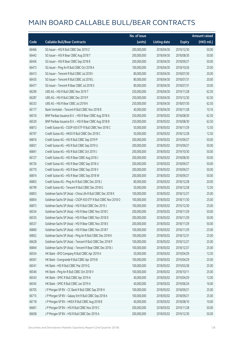|       |                                                               | No. of issue |                     |               | <b>Amount raised</b> |
|-------|---------------------------------------------------------------|--------------|---------------------|---------------|----------------------|
| Code  | <b>Callable Bull/Bear Contracts</b>                           | (units)      | <b>Listing date</b> | <b>Expiry</b> | $(HK\$ mil.)         |
| 66466 | SG Issuer - HSI R Bull CBBC Dec 2019 Z                        | 200,000,000  | 2018/04/30          | 2019/12/30    | 50.00                |
| 66442 | SG Issuer - HSI R Bear CBBC Aug 2018 T                        | 200,000,000  | 2018/04/30          | 2018/08/30    | 50.00                |
| 66456 | SG Issuer - HSI R Bear CBBC Sep 2018 B                        | 200,000,000  | 2018/04/30          | 2018/09/27    | 50.00                |
| 66473 | SG Issuer - Ping An R Bull CBBC Oct 2018 A                    | 100,000,000  | 2018/04/30          | 2018/10/26    | 25.00                |
| 66413 | SG Issuer - Tencent R Bull CBBC Jul 2018 I                    | 80,000,000   | 2018/04/30          | 2018/07/30    | 20.00                |
| 66435 | SG Issuer - Tencent R Bull CBBC Jul 2018 L                    | 80,000,000   | 2018/04/30          | 2018/07/31    | 20.00                |
| 66477 | SG Issuer - Tencent R Bear CBBC Jul 2018 S                    | 80,000,000   | 2018/04/30          | 2018/07/31    | 20.00                |
| 66290 | UBS AG - HSI R Bull CBBC Nov 2019 T                           | 250,000,000  | 2018/04/30          | 2019/11/28    | 62.50                |
| 66287 | UBS AG - HSI R Bull CBBC Dec 2019 P                           | 250,000,000  | 2018/04/30          | 2019/12/30    | 62.50                |
| 66333 | UBS AG - HSI R Bear CBBC Jul 2018 K                           | 250,000,000  | 2018/04/30          | 2018/07/30    | 62.50                |
| 66177 | Bank Vontobel - Tencent R Bull CBBC Nov 2018 B                | 40,000,000   | 2018/04/30          | 2018/11/28    | 10.16                |
| 66516 | BNP Paribas Issuance B.V. - HSI R Bear CBBC Aug 2018 A        | 250,000,000  | 2018/05/02          | 2018/08/30    | 62.50                |
| 66529 | BNP Paribas Issuance B.V. - HSI R Bear CBBC Aug 2018 B        | 250,000,000  | 2018/05/02          | 2018/08/30    | 62.50                |
| 66813 | Credit Suisse AG - CSOP A50 ETF R Bull CBBC Nov 2018 C        | 50,000,000   | 2018/05/02          | 2018/11/29    | 12.50                |
| 66797 | Credit Suisse AG - HKEX R Bull CBBC Dec 2018 C                | 50,000,000   | 2018/05/02          | 2018/12/28    | 12.50                |
| 66816 | Credit Suisse AG - HSI R Bull CBBC Sep 2019 P                 | 200,000,000  | 2018/05/02          | 2019/09/27    | 50.00                |
| 66831 | Credit Suisse AG - HSI R Bull CBBC Sep 2019 U                 | 200,000,000  | 2018/05/02          | 2019/09/27    | 50.00                |
| 66841 | Credit Suisse AG - HSI R Bull CBBC Oct 2019 J                 | 200,000,000  | 2018/05/02          | 2019/10/30    | 50.00                |
| 66727 | Credit Suisse AG - HSI R Bear CBBC Aug 2018 J                 | 200,000,000  | 2018/05/02          | 2018/08/30    | 50.00                |
| 66726 | Credit Suisse AG - HSI R Bear CBBC Sep 2018 U                 | 200,000,000  | 2018/05/02          | 2018/09/27    | 50.00                |
| 66770 | Credit Suisse AG - HSI R Bear CBBC Sep 2018 V                 | 200,000,000  | 2018/05/02          | 2018/09/27    | 50.00                |
| 66814 | Credit Suisse AG - HSI R Bear CBBC Sep 2018 W                 | 200,000,000  | 2018/05/02          | 2018/09/27    | 50.00                |
| 66803 | Credit Suisse AG - Ping An R Bull CBBC Dec 2018 J             | 80,000,000   | 2018/05/02          | 2018/12/28    | 20.00                |
| 66799 | Credit Suisse AG - Tencent R Bull CBBC Dec 2018 G             | 50,000,000   | 2018/05/02          | 2018/12/28    | 12.50                |
| 66853 | Goldman Sachs SP (Asia) - China Life R Bull CBBC Dec 2018 K   | 100,000,000  | 2018/05/02          | 2018/12/27    | 25.00                |
| 66854 | Goldman Sachs SP (Asia) - CSOP A50 ETF R Bull CBBC Nov 2018 O | 100,000,000  | 2018/05/02          | 2018/11/30    | 25.00                |
| 66873 | Goldman Sachs SP (Asia) - HSI R Bull CBBC Dec 2019 J          | 100,000,000  | 2018/05/02          | 2019/12/30    | 25.00                |
| 66534 | Goldman Sachs SP (Asia) - HSI R Bear CBBC Nov 2018 C          | 200,000,000  | 2018/05/02          | 2018/11/29    | 50.00                |
| 66535 | Goldman Sachs SP (Asia) - HSI R Bear CBBC Nov 2018 D          | 200,000,000  | 2018/05/02          | 2018/11/29    | 50.00                |
| 66537 | Goldman Sachs SP (Asia) - HSI R Bear CBBC Nov 2018 E          | 200,000,000  | 2018/05/02          | 2018/11/29    | 50.00                |
| 66860 | Goldman Sachs SP (Asia) - HSI R Bear CBBC Nov 2018 F          | 100,000,000  | 2018/05/02          | 2018/11/29    | 25.00                |
| 66852 | Goldman Sachs SP (Asia) - Ping An R Bull CBBC Dec 2018 K      | 100,000,000  | 2018/05/02          | 2018/12/31    | 25.00                |
| 66628 | Goldman Sachs SP (Asia) - Tencent R Bull CBBC Dec 2018 P      | 100,000,000  | 2018/05/02          | 2018/12/27    | 25.00                |
| 66844 | Goldman Sachs SP (Asia) - Tencent R Bear CBBC Dec 2018 J      | 100,000,000  | 2018/05/02          | 2018/12/27    | 25.00                |
| 66554 | HK Bank - BYD Company R Bull CBBC Apr 2019 A                  | 50,000,000   | 2018/05/02          | 2019/04/29    | 12.50                |
| 66561 | HK Bank - Evergrande R Bull CBBC Apr 2019 B                   | 100,000,000  | 2018/05/02          | 2019/04/29    | 25.00                |
| 66541 | HK Bank - HSI R Bull CBBC Mar 2019 Q                          | 100,000,000  | 2018/05/02          | 2019/03/28    | 25.00                |
| 66546 | HK Bank - Ping An R Bull CBBC Oct 2018 V                      | 100,000,000  | 2018/05/02          | 2018/10/11    | 25.00                |
| 66543 | HK Bank - SMIC R Bull CBBC Apr 2019 A                         | 40,000,000   | 2018/05/02          | 2019/04/29    | 12.00                |
| 66545 | HK Bank - SMIC R Bull CBBC Jun 2019 A                         | 40,000,000   | 2018/05/02          | 2019/06/24    | 16.00                |
| 66705 | J P Morgan SP BV - CC Bank R Bull CBBC Sep 2018 H             | 100,000,000  | 2018/05/02          | 2018/09/21    | 25.00                |
| 66715 | J P Morgan SP BV - Galaxy Ent R Bull CBBC Sep 2018 A          | 100,000,000  | 2018/05/02          | 2018/09/21    | 25.00                |
| 66718 | J P Morgan SP BV - HKEX R Bull CBBC Aug 2018 B                | 40,000,000   | 2018/05/02          | 2018/08/10    | 10.00                |
| 66661 | J P Morgan SP BV - HSI R Bull CBBC Nov 2019 C                 | 200,000,000  | 2018/05/02          | 2019/11/28    | 50.00                |
| 66658 | J P Morgan SP BV - HSI R Bull CBBC Dec 2019 A                 | 200,000,000  | 2018/05/02          | 2019/12/30    | 50.00                |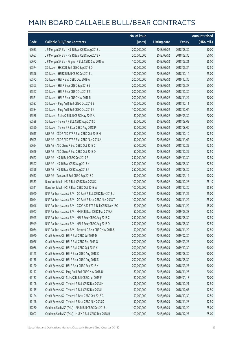|       |                                                              | No. of issue |                     |               | <b>Amount raised</b>  |
|-------|--------------------------------------------------------------|--------------|---------------------|---------------|-----------------------|
| Code  | <b>Callable Bull/Bear Contracts</b>                          | (units)      | <b>Listing date</b> | <b>Expiry</b> | $(HK\frac{1}{2}mil.)$ |
| 66633 | J P Morgan SP BV - HSI R Bear CBBC Aug 2018 L                | 200,000,000  | 2018/05/02          | 2018/08/30    | 50.00                 |
| 66657 | J P Morgan SP BV - HSI R Bear CBBC Aug 2018 R                | 200,000,000  | 2018/05/02          | 2018/08/30    | 50.00                 |
| 66672 | J P Morgan SP BV - Ping An R Bull CBBC Sep 2018 A            | 100,000,000  | 2018/05/02          | 2018/09/21    | 25.00                 |
| 66574 | SG Issuer - HKEX R Bull CBBC Sep 2018 O                      | 50,000,000   | 2018/05/02          | 2018/09/24    | 12.50                 |
| 66596 | SG Issuer - HSBC R Bull CBBC Dec 2018 L                      | 100,000,000  | 2018/05/02          | 2018/12/14    | 25.00                 |
| 66572 | SG Issuer - HSI R Bull CBBC Dec 2019 A                       | 200,000,000  | 2018/05/02          | 2019/12/30    | 50.00                 |
| 66563 | SG Issuer - HSI R Bear CBBC Sep 2018 Z                       | 200,000,000  | 2018/05/02          | 2018/09/27    | 50.00                 |
| 66567 | SG Issuer - HSI R Bear CBBC Oct 2018 Z                       | 200,000,000  | 2018/05/02          | 2018/10/30    | 50.00                 |
| 66571 | SG Issuer - HSI R Bear CBBC Nov 2018 R                       | 200,000,000  | 2018/05/02          | 2018/11/29    | 50.00                 |
| 66587 | SG Issuer - Ping An R Bull CBBC Oct 2018 B                   | 100,000,000  | 2018/05/02          | 2018/10/11    | 25.00                 |
| 66584 | SG Issuer - Ping An R Bull CBBC Oct 2018 Y                   | 100,000,000  | 2018/05/02          | 2018/10/04    | 25.00                 |
| 66588 | SG Issuer - SUNAC R Bull CBBC May 2019 A                     | 80,000,000   | 2018/05/02          | 2019/05/30    | 20.00                 |
| 66589 | SG Issuer - Tencent R Bull CBBC Aug 2018 D                   | 80,000,000   | 2018/05/02          | 2018/08/03    | 20.00                 |
| 66590 | SG Issuer - Tencent R Bear CBBC Aug 2018 P                   | 80,000,000   | 2018/05/02          | 2018/08/06    | 20.00                 |
| 66615 | UBS AG - CSOP A50 ETF R Bull CBBC Oct 2018 H                 | 50,000,000   | 2018/05/02          | 2018/10/10    | 12.50                 |
| 66605 | UBS AG - CSOP A50 ETF R Bull CBBC Nov 2018 A                 | 50,000,000   | 2018/05/02          | 2018/11/02    | 12.50                 |
| 66624 | UBS AG - A50 China R Bull CBBC Oct 2018 C                    | 50,000,000   | 2018/05/02          | 2018/10/22    | 12.50                 |
| 66626 | UBS AG - A50 China R Bull CBBC Oct 2018 D                    | 50,000,000   | 2018/05/02          | 2018/10/29    | 12.50                 |
| 66627 | UBS AG - HSI R Bull CBBC Dec 2019 R                          | 250,000,000  | 2018/05/02          | 2019/12/30    | 62.50                 |
| 66597 | UBS AG - HSI R Bear CBBC Aug 2018 H                          | 250,000,000  | 2018/05/02          | 2018/08/30    | 62.50                 |
| 66598 | UBS AG - HSI R Bear CBBC Aug 2018 J                          | 250,000,000  | 2018/05/02          | 2018/08/30    | 62.50                 |
| 66617 | UBS AG - Tencent R Bull CBBC Sep 2018 G                      | 30,000,000   | 2018/05/02          | 2018/09/19    | 10.20                 |
| 66533 | Bank Vontobel - HSI R Bull CBBC Dec 2018 K                   | 100,000,000  | 2018/05/02          | 2018/12/28    | 25.10                 |
| 66511 | Bank Vontobel - HSI R Bear CBBC Oct 2018 W                   | 100,000,000  | 2018/05/02          | 2018/10/30    | 25.60                 |
| 67040 | BNP Paribas Issuance B.V. - CC Bank R Bull CBBC Nov 2018 U   | 100,000,000  | 2018/05/03          | 2018/11/29    | 25.00                 |
| 67044 | BNP Paribas Issuance B.V. - CC Bank R Bear CBBC Nov 2018 T   | 100,000,000  | 2018/05/03          | 2018/11/29    | 25.00                 |
| 67046 | BNP Paribas Issuance B.V. - CSOP A50 ETF R Bull CBBC Nov 18C | 60,000,000   | 2018/05/03          | 2018/11/29    | 15.00                 |
| 67047 | BNP Paribas Issuance B.V. - HKEX R Bear CBBC Mar 2019 A      | 50,000,000   | 2018/05/03          | 2019/03/28    | 12.50                 |
| 66945 | BNP Paribas Issuance B.V. - HSI R Bear CBBC Aug 2018 C       | 250,000,000  | 2018/05/03          | 2018/08/30    | 62.50                 |
| 66949 | BNP Paribas Issuance B.V. - HSI R Bear CBBC Aug 2018 D       | 250,000,000  | 2018/05/03          | 2018/08/30    | 62.50                 |
| 67034 | BNP Paribas Issuance B.V. - Tencent R Bear CBBC Nov 2018 S   | 50,000,000   | 2018/05/03          | 2018/11/29    | 12.50                 |
| 67070 | Credit Suisse AG - HSI R Bull CBBC Jul 2019 D                | 200,000,000  | 2018/05/03          | 2019/07/30    | 50.00                 |
| 67076 | Credit Suisse AG - HSI R Bull CBBC Sep 2019 Q                | 200,000,000  | 2018/05/03          | 2019/09/27    | 50.00                 |
| 67066 | Credit Suisse AG - HSI R Bull CBBC Oct 2019 K                | 200,000,000  | 2018/05/03          | 2019/10/30    | 50.00                 |
| 67145 | Credit Suisse AG - HSI R Bear CBBC Aug 2018 C                | 200,000,000  | 2018/05/03          | 2018/08/30    | 50.00                 |
| 67138 | Credit Suisse AG - HSI R Bear CBBC Aug 2018 S                | 200,000,000  | 2018/05/03          | 2018/08/30    | 50.00                 |
| 67120 | Credit Suisse AG - HSI R Bear CBBC Sep 2018 X                | 200,000,000  | 2018/05/03          | 2018/09/27    | 50.00                 |
| 67117 | Credit Suisse AG - Ping An R Bull CBBC Nov 2018 U            | 80,000,000   | 2018/05/03          | 2018/11/23    | 20.00                 |
| 67137 | Credit Suisse AG - SUNAC R Bull CBBC Jan 2019 F              | 80,000,000   | 2018/05/03          | 2019/01/18    | 20.00                 |
| 67108 | Credit Suisse AG - Tencent R Bull CBBC Dec 2018 H            | 50,000,000   | 2018/05/03          | 2018/12/21    | 12.50                 |
| 67115 | Credit Suisse AG - Tencent R Bull CBBC Dec 2018 I            | 50,000,000   | 2018/05/03          | 2018/12/07    | 12.50                 |
| 67124 | Credit Suisse AG - Tencent R Bear CBBC Oct 2018 G            | 50,000,000   | 2018/05/03          | 2018/10/30    | 12.50                 |
| 67148 | Credit Suisse AG - Tencent R Bear CBBC Nov 2018 D            | 50,000,000   | 2018/05/03          | 2018/11/28    | 12.50                 |
| 67260 | Goldman Sachs SP (Asia) - AIA R Bull CBBC Dec 2018 L         | 100,000,000  | 2018/05/03          | 2018/12/20    | 25.00                 |
| 67007 | Goldman Sachs SP (Asia) - HKEX R Bull CBBC Dec 2018 R        | 100,000,000  | 2018/05/03          | 2018/12/27    | 25.00                 |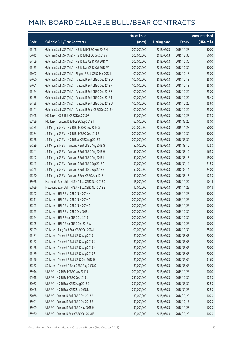|       |                                                          | No. of issue |                     |               | <b>Amount raised</b>  |
|-------|----------------------------------------------------------|--------------|---------------------|---------------|-----------------------|
| Code  | <b>Callable Bull/Bear Contracts</b>                      | (units)      | <b>Listing date</b> | <b>Expiry</b> | $(HK\frac{1}{2}mil.)$ |
| 67168 | Goldman Sachs SP (Asia) - HSI R Bull CBBC Nov 2019 H     | 200,000,000  | 2018/05/03          | 2019/11/28    | 50.00                 |
| 67015 | Goldman Sachs SP (Asia) - HSI R Bull CBBC Dec 2019 Y     | 200,000,000  | 2018/05/03          | 2019/12/30    | 50.00                 |
| 67169 | Goldman Sachs SP (Asia) - HSI R Bear CBBC Oct 2018 V     | 200,000,000  | 2018/05/03          | 2018/10/30    | 50.00                 |
| 67173 | Goldman Sachs SP (Asia) - HSI R Bear CBBC Oct 2018 W     | 200,000,000  | 2018/05/03          | 2018/10/30    | 50.00                 |
| 67002 | Goldman Sachs SP (Asia) - Ping An R Bull CBBC Dec 2018 L | 100,000,000  | 2018/05/03          | 2018/12/18    | 25.00                 |
| 67000 | Goldman Sachs SP (Asia) - Tencent R Bull CBBC Dec 2018 Q | 100,000,000  | 2018/05/03          | 2018/12/18    | 25.00                 |
| 67001 | Goldman Sachs SP (Asia) - Tencent R Bull CBBC Dec 2018 R | 100,000,000  | 2018/05/03          | 2018/12/18    | 25.00                 |
| 67154 | Goldman Sachs SP (Asia) - Tencent R Bull CBBC Dec 2018 S | 100,000,000  | 2018/05/03          | 2018/12/20    | 25.00                 |
| 67155 | Goldman Sachs SP (Asia) - Tencent R Bull CBBC Dec 2018 T | 100,000,000  | 2018/05/03          | 2018/12/20    | 28.40                 |
| 67158 | Goldman Sachs SP (Asia) - Tencent R Bull CBBC Dec 2018 U | 100,000,000  | 2018/05/03          | 2018/12/20    | 35.60                 |
| 67161 | Goldman Sachs SP (Asia) - Tencent R Bear CBBC Dec 2018 K | 100,000,000  | 2018/05/03          | 2018/12/20    | 25.00                 |
| 66908 | HK Bank - HSI R Bull CBBC Dec 2018 G                     | 150,000,000  | 2018/05/03          | 2018/12/28    | 37.50                 |
| 66899 | HK Bank - Tencent R Bull CBBC Sep 2018 T                 | 60,000,000   | 2018/05/03          | 2018/09/20    | 15.00                 |
| 67235 | J P Morgan SP BV - HSI R Bull CBBC Nov 2019 G            | 200,000,000  | 2018/05/03          | 2019/11/28    | 50.00                 |
| 67234 | J P Morgan SP BV - HSI R Bull CBBC Dec 2019 B            | 200,000,000  | 2018/05/03          | 2019/12/30    | 50.00                 |
| 67238 | J P Morgan SP BV - HSI R Bear CBBC Aug 2018 T            | 200,000,000  | 2018/05/03          | 2018/08/30    | 50.00                 |
| 67239 | J P Morgan SP BV - Tencent R Bull CBBC Aug 2018 G        | 50,000,000   | 2018/05/03          | 2018/08/10    | 12.50                 |
| 67241 | J P Morgan SP BV - Tencent R Bull CBBC Aug 2018 H        | 50,000,000   | 2018/05/03          | 2018/08/10    | 16.50                 |
| 67242 | J P Morgan SP BV - Tencent R Bull CBBC Aug 2018 I        | 50,000,000   | 2018/05/03          | 2018/08/17    | 19.00                 |
| 67243 | J P Morgan SP BV - Tencent R Bull CBBC Sep 2018 A        | 50,000,000   | 2018/05/03          | 2018/09/14    | 21.50                 |
| 67245 | J P Morgan SP BV - Tencent R Bull CBBC Sep 2018 B        | 50,000,000   | 2018/05/03          | 2018/09/14    | 24.00                 |
| 67250 | J P Morgan SP BV - Tencent R Bear CBBC Aug 2018 I        | 50,000,000   | 2018/05/03          | 2018/08/17    | 12.50                 |
| 66988 | Macquarie Bank Ltd. - HKEX R Bull CBBC Nov 2018 D        | 16,000,000   | 2018/05/03          | 2018/11/29    | 10.14                 |
| 66999 | Macquarie Bank Ltd. - HKEX R Bull CBBC Nov 2018 E        | 16,000,000   | 2018/05/03          | 2018/11/29    | 10.18                 |
| 67202 | SG Issuer - HSI R Bull CBBC Nov 2019 N                   | 200,000,000  | 2018/05/03          | 2019/11/28    | 50.00                 |
| 67211 | SG Issuer - HSI R Bull CBBC Nov 2019 P                   | 200,000,000  | 2018/05/03          | 2019/11/28    | 50.00                 |
| 67203 | SG Issuer - HSI R Bull CBBC Nov 2019 R                   | 200,000,000  | 2018/05/03          | 2019/11/28    | 50.00                 |
| 67223 | SG Issuer - HSI R Bull CBBC Dec 2019 J                   | 200,000,000  | 2018/05/03          | 2019/12/30    | 50.00                 |
| 67224 | SG Issuer - HSI R Bear CBBC Oct 2018 I                   | 200,000,000  | 2018/05/03          | 2018/10/30    | 50.00                 |
| 67225 | SG Issuer - HSI R Bear CBBC Dec 2018 W                   | 200,000,000  | 2018/05/03          | 2018/12/28    | 50.00                 |
| 67229 | SG Issuer - Ping An R Bear CBBC Oct 2018 L               | 100,000,000  | 2018/05/03          | 2018/10/30    | 25.00                 |
| 67181 | SG Issuer - Tencent R Bull CBBC Aug 2018 J               | 80,000,000   | 2018/05/03          | 2018/08/03    | 20.00                 |
| 67187 | SG Issuer - Tencent R Bull CBBC Aug 2018 K               | 80,000,000   | 2018/05/03          | 2018/08/06    | 20.00                 |
| 67188 | SG Issuer - Tencent R Bull CBBC Aug 2018 N               | 80,000,000   | 2018/05/03          | 2018/08/07    | 20.00                 |
| 67189 | SG Issuer - Tencent R Bull CBBC Aug 2018 P               | 80,000,000   | 2018/05/03          | 2018/08/07    | 20.00                 |
| 67196 | SG Issuer - Tencent R Bull CBBC Sep 2018 H               | 80,000,000   | 2018/05/03          | 2018/09/04    | 31.60                 |
| 67232 | SG Issuer - Tencent R Bear CBBC Aug 2018 Q               | 80,000,000   | 2018/05/03          | 2018/08/08    | 20.00                 |
| 66914 | UBS AG - HSI R Bull CBBC Nov 2019 J                      | 200,000,000  | 2018/05/03          | 2019/11/28    | 50.00                 |
| 66918 | UBS AG - HSI R Bull CBBC Dec 2019 U                      | 250,000,000  | 2018/05/03          | 2019/12/30    | 62.50                 |
| 67057 | UBS AG - HSI R Bear CBBC Aug 2018 S                      | 250,000,000  | 2018/05/03          | 2018/08/30    | 62.50                 |
| 67048 | UBS AG - HSI R Bear CBBC Sep 2018 N                      | 250,000,000  | 2018/05/03          | 2018/09/27    | 62.50                 |
| 67058 | UBS AG - Tencent R Bull CBBC Oct 2018 A                  | 30,000,000   | 2018/05/03          | 2018/10/29    | 10.20                 |
| 66921 | UBS AG - Tencent R Bull CBBC Oct 2018 Z                  | 30,000,000   | 2018/05/03          | 2018/10/15    | 10.20                 |
| 66929 | UBS AG - Tencent R Bull CBBC Nov 2018 H                  | 30,000,000   | 2018/05/03          | 2018/11/26    | 10.20                 |
| 66930 | UBS AG - Tencent R Bear CBBC Oct 2018 E                  | 30,000,000   | 2018/05/03          | 2018/10/22    | 10.20                 |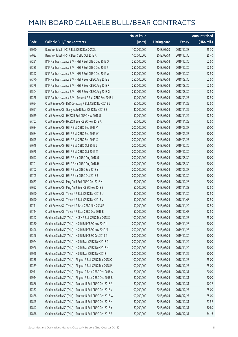|       |                                                            | No. of issue |                     |               | <b>Amount raised</b> |
|-------|------------------------------------------------------------|--------------|---------------------|---------------|----------------------|
| Code  | <b>Callable Bull/Bear Contracts</b>                        | (units)      | <b>Listing date</b> | <b>Expiry</b> | (HK\$ mil.)          |
| 67020 | Bank Vontobel - HSI R Bull CBBC Dec 2018 L                 | 100,000,000  | 2018/05/03          | 2018/12/28    | 25.30                |
| 67033 | Bank Vontobel - HSI R Bear CBBC Oct 2018 X                 | 100,000,000  | 2018/05/03          | 2018/10/30    | 25.40                |
| 67291 | BNP Paribas Issuance B.V. - HSI R Bull CBBC Dec 2019 O     | 250,000,000  | 2018/05/04          | 2019/12/30    | 62.50                |
| 67385 | BNP Paribas Issuance B.V. - HSI R Bull CBBC Dec 2019 P     | 250,000,000  | 2018/05/04          | 2019/12/30    | 62.50                |
| 67392 | BNP Paribas Issuance B.V. - HSI R Bull CBBC Dec 2019 W     | 250,000,000  | 2018/05/04          | 2019/12/30    | 62.50                |
| 67370 | BNP Paribas Issuance B.V. - HSI R Bear CBBC Aug 2018 E     | 250,000,000  | 2018/05/04          | 2018/08/30    | 62.50                |
| 67376 | BNP Paribas Issuance B.V. - HSI R Bear CBBC Aug 2018 F     | 250,000,000  | 2018/05/04          | 2018/08/30    | 62.50                |
| 67504 | BNP Paribas Issuance B.V. - HSI R Bear CBBC Aug 2018 G     | 250,000,000  | 2018/05/04          | 2018/08/30    | 62.50                |
| 67378 | BNP Paribas Issuance B.V. - Tencent R Bull CBBC Sep 2018 L | 50,000,000   | 2018/05/04          | 2018/09/27    | 12.50                |
| 67694 | Credit Suisse AG - BYD Company R Bull CBBC Nov 2018 G      | 50,000,000   | 2018/05/04          | 2018/11/29    | 12.50                |
| 67691 | Credit Suisse AG - Geely Auto R Bear CBBC Nov 2018 E       | 40,000,000   | 2018/05/04          | 2018/11/29    | 10.00                |
| 67659 | Credit Suisse AG - HKEX R Bull CBBC Nov 2018 G             | 50,000,000   | 2018/05/04          | 2018/11/29    | 12.50                |
| 67707 | Credit Suisse AG - HKEX R Bear CBBC Nov 2018 A             | 50,000,000   | 2018/05/04          | 2018/11/29    | 12.50                |
| 67634 | Credit Suisse AG - HSI R Bull CBBC Sep 2019 V              | 200,000,000  | 2018/05/04          | 2019/09/27    | 50.00                |
| 67684 | Credit Suisse AG - HSI R Bull CBBC Sep 2019 W              | 200,000,000  | 2018/05/04          | 2019/09/27    | 50.00                |
| 67695 | Credit Suisse AG - HSI R Bull CBBC Sep 2019 X              | 200,000,000  | 2018/05/04          | 2019/09/27    | 50.00                |
| 67646 | Credit Suisse AG - HSI R Bull CBBC Oct 2019 L              | 200,000,000  | 2018/05/04          | 2019/10/30    | 50.00                |
| 67678 | Credit Suisse AG - HSI R Bull CBBC Oct 2019 M              | 200,000,000  | 2018/05/04          | 2019/10/30    | 50.00                |
| 67697 | Credit Suisse AG - HSI R Bear CBBC Aug 2018 G              | 200,000,000  | 2018/05/04          | 2018/08/30    | 50.00                |
| 67701 | Credit Suisse AG - HSI R Bear CBBC Aug 2018 H              | 200,000,000  | 2018/05/04          | 2018/08/30    | 50.00                |
| 67702 | Credit Suisse AG - HSI R Bear CBBC Sep 2018 Y              | 200,000,000  | 2018/05/04          | 2018/09/27    | 50.00                |
| 67705 | Credit Suisse AG - HSI R Bear CBBC Oct 2018 J              | 200,000,000  | 2018/05/04          | 2018/10/30    | 50.00                |
| 67663 | Credit Suisse AG - Ping An R Bull CBBC Dec 2018 K          | 80,000,000   | 2018/05/04          | 2018/12/28    | 20.00                |
| 67692 | Credit Suisse AG - Ping An R Bear CBBC Nov 2018 E          | 50,000,000   | 2018/05/04          | 2018/11/23    | 12.50                |
| 67660 | Credit Suisse AG - Tencent R Bull CBBC Nov 2018 U          | 50,000,000   | 2018/05/04          | 2018/11/30    | 12.50                |
| 67690 | Credit Suisse AG - Tencent R Bull CBBC Nov 2018 V          | 50,000,000   | 2018/05/04          | 2018/11/08    | 12.50                |
| 67711 | Credit Suisse AG - Tencent R Bear CBBC Nov 2018 E          | 50,000,000   | 2018/05/04          | 2018/11/29    | 12.50                |
| 67714 | Credit Suisse AG - Tencent R Bear CBBC Dec 2018 B          | 50,000,000   | 2018/05/04          | 2018/12/07    | 12.50                |
| 67342 | Goldman Sachs SP (Asia) - HKEX R Bull CBBC Dec 2018 S      | 100,000,000  | 2018/05/04          | 2018/12/27    | 25.00                |
| 67350 | Goldman Sachs SP (Asia) - HSI R Bull CBBC Nov 2019 L       | 200,000,000  | 2018/05/04          | 2019/11/28    | 50.00                |
| 67496 | Goldman Sachs SP (Asia) - HSI R Bull CBBC Nov 2019 M       | 200,000,000  | 2018/05/04          | 2019/11/28    | 50.00                |
| 67346 | Goldman Sachs SP (Asia) - HSI R Bull CBBC Dec 2019 G       | 200,000,000  | 2018/05/04          | 2019/12/30    | 50.00                |
| 67924 | Goldman Sachs SP (Asia) - HSI R Bear CBBC Nov 2018 G       | 200,000,000  | 2018/05/04          | 2018/11/29    | 50.00                |
| 67926 | Goldman Sachs SP (Asia) - HSI R Bear CBBC Nov 2018 H       | 200,000,000  | 2018/05/04          | 2018/11/29    | 50.00                |
| 67928 | Goldman Sachs SP (Asia) - HSI R Bear CBBC Nov 2018 I       | 200,000,000  | 2018/05/04          | 2018/11/29    | 50.00                |
| 67338 | Goldman Sachs SP (Asia) - Ping An R Bull CBBC Dec 2018 O   | 100,000,000  | 2018/05/04          | 2018/12/27    | 25.00                |
| 67339 | Goldman Sachs SP (Asia) - Ping An R Bull CBBC Dec 2018 P   | 100,000,000  | 2018/05/04          | 2018/12/27    | 25.00                |
| 67911 | Goldman Sachs SP (Asia) - Ping An R Bear CBBC Dec 2018 A   | 80,000,000   | 2018/05/04          | 2018/12/31    | 20.00                |
| 67914 | Goldman Sachs SP (Asia) - Ping An R Bear CBBC Dec 2018 B   | 80,000,000   | 2018/05/04          | 2018/12/31    | 20.00                |
| 67886 | Goldman Sachs SP (Asia) - Tencent R Bull CBBC Dec 2018 A   | 80,000,000   | 2018/05/04          | 2018/12/31    | 40.72                |
| 67337 | Goldman Sachs SP (Asia) - Tencent R Bull CBBC Dec 2018 V   | 100,000,000  | 2018/05/04          | 2018/12/27    | 25.00                |
| 67488 | Goldman Sachs SP (Asia) - Tencent R Bull CBBC Dec 2018 W   | 100,000,000  | 2018/05/04          | 2018/12/27    | 25.00                |
| 67845 | Goldman Sachs SP (Asia) - Tencent R Bull CBBC Dec 2018 X   | 80,000,000   | 2018/05/04          | 2018/12/31    | 27.52                |
| 67847 | Goldman Sachs SP (Asia) - Tencent R Bull CBBC Dec 2018 Y   | 80,000,000   | 2018/05/04          | 2018/12/31    | 30.80                |
| 67878 | Goldman Sachs SP (Asia) - Tencent R Bull CBBC Dec 2018 Z   | 80,000,000   | 2018/05/04          | 2018/12/31    | 34.16                |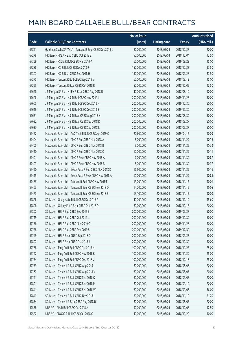|       |                                                          | No. of issue |                     |               | <b>Amount raised</b> |
|-------|----------------------------------------------------------|--------------|---------------------|---------------|----------------------|
| Code  | <b>Callable Bull/Bear Contracts</b>                      | (units)      | <b>Listing date</b> | <b>Expiry</b> | (HK\$ mil.)          |
| 67891 | Goldman Sachs SP (Asia) - Tencent R Bear CBBC Dec 2018 L | 80,000,000   | 2018/05/04          | 2018/12/27    | 20.00                |
| 67278 | HK Bank - HKEX R Bull CBBC Oct 2018 E                    | 50,000,000   | 2018/05/04          | 2018/10/04    | 12.50                |
| 67309 | HK Bank - HSCEI R Bull CBBC Mar 2019 A                   | 60,000,000   | 2018/05/04          | 2019/03/28    | 15.00                |
| 67288 | HK Bank - HSI R Bull CBBC Dec 2018 R                     | 150,000,000  | 2018/05/04          | 2018/12/28    | 37.50                |
| 67307 | HK Bank - HSI R Bear CBBC Sep 2018 H                     | 150,000,000  | 2018/05/04          | 2018/09/27    | 37.50                |
| 67275 | HK Bank - Tencent R Bull CBBC Sep 2018 V                 | 60,000,000   | 2018/05/04          | 2018/09/13    | 15.00                |
| 67295 | HK Bank - Tencent R Bear CBBC Oct 2018 R                 | 50,000,000   | 2018/05/04          | 2018/10/02    | 12.50                |
| 67628 | J P Morgan SP BV - HKEX R Bear CBBC Aug 2018 B           | 40,000,000   | 2018/05/04          | 2018/08/10    | 10.00                |
| 67608 | J P Morgan SP BV - HSI R Bull CBBC Nov 2019 L            | 200,000,000  | 2018/05/04          | 2019/11/28    | 50.00                |
| 67605 | J P Morgan SP BV - HSI R Bull CBBC Dec 2019 K            | 200,000,000  | 2018/05/04          | 2019/12/30    | 50.00                |
| 67616 | J P Morgan SP BV - HSI R Bull CBBC Dec 2019 S            | 200,000,000  | 2018/05/04          | 2019/12/30    | 50.00                |
| 67631 | J P Morgan SP BV - HSI R Bear CBBC Aug 2018 N            | 200,000,000  | 2018/05/04          | 2018/08/30    | 50.00                |
| 67632 | J P Morgan SP BV - HSI R Bear CBBC Sep 2018 K            | 200,000,000  | 2018/05/04          | 2018/09/27    | 50.00                |
| 67633 | J P Morgan SP BV - HSI R Bear CBBC Sep 2018 L            | 200,000,000  | 2018/05/04          | 2018/09/27    | 50.00                |
| 67452 | Macquarie Bank Ltd. - AAC Tech R Bull CBBC Apr 2019 C    | 22,600,000   | 2018/05/04          | 2019/04/15    | 10.03                |
| 67404 | Macquarie Bank Ltd. - CPIC R Bull CBBC Nov 2018 A        | 8,000,000    | 2018/05/04          | 2018/11/29    | 10.36                |
| 67405 | Macquarie Bank Ltd. - CPIC R Bull CBBC Nov 2018 B        | 9,000,000    | 2018/05/04          | 2018/11/29    | 10.32                |
| 67410 | Macquarie Bank Ltd. - CPIC R Bull CBBC Nov 2018 C        | 10,000,000   | 2018/05/04          | 2018/11/29    | 10.11                |
| 67401 | Macquarie Bank Ltd. - CPIC R Bear CBBC Nov 2018 A        | 7,000,000    | 2018/05/04          | 2018/11/30    | 10.87                |
| 67403 | Macquarie Bank Ltd. - CPIC R Bear CBBC Nov 2018 B        | 8,000,000    | 2018/05/04          | 2018/11/30    | 10.37                |
| 67420 | Macquarie Bank Ltd. - Geely Auto R Bull CBBC Nov 2018 D  | 16,500,000   | 2018/05/04          | 2018/11/29    | 10.16                |
| 67415 | Macquarie Bank Ltd. - Geely Auto R Bear CBBC Nov 2018 A  | 10,000,000   | 2018/05/04          | 2018/11/29    | 10.85                |
| 67485 | Macquarie Bank Ltd. - Tencent R Bull CBBC Nov 2018 F     | 13,700,000   | 2018/05/04          | 2018/11/15    | 10.01                |
| 67463 | Macquarie Bank Ltd. - Tencent R Bear CBBC Nov 2018 D     | 14,200,000   | 2018/05/04          | 2018/11/15    | 10.05                |
| 67473 | Macquarie Bank Ltd. - Tencent R Bear CBBC Nov 2018 E     | 13,100,000   | 2018/05/04          | 2018/11/15    | 10.03                |
| 67828 | SG Issuer - Geely Auto R Bull CBBC Dec 2018 G            | 40,000,000   | 2018/05/04          | 2018/12/10    | 15.60                |
| 67808 | SG Issuer - Galaxy Ent R Bear CBBC Oct 2018 D            | 80,000,000   | 2018/05/04          | 2018/10/15    | 20.00                |
| 67802 | SG Issuer - HSI R Bull CBBC Sep 2019 E                   | 200,000,000  | 2018/05/04          | 2019/09/27    | 50.00                |
| 67719 | SG Issuer - HSI R Bull CBBC Oct 2019 L                   | 200,000,000  | 2018/05/04          | 2019/10/30    | 50.00                |
| 67738 | SG Issuer - HSI R Bull CBBC Nov 2019 Q                   | 200,000,000  | 2018/05/04          | 2019/11/28    | 50.00                |
| 67778 | SG Issuer - HSI R Bull CBBC Dec 2019 S                   | 200,000,000  | 2018/05/04          | 2019/12/30    | 50.00                |
| 67769 | SG Issuer - HSI R Bear CBBC Sep 2018 D                   | 200,000,000  | 2018/05/04          | 2018/09/27    | 50.00                |
| 67807 | SG Issuer - HSI R Bear CBBC Oct 2018 J                   | 200,000,000  | 2018/05/04          | 2018/10/30    | 50.00                |
| 67788 | SG Issuer - Ping An R Bull CBBC Oct 2018 H               | 100,000,000  | 2018/05/04          | 2018/10/23    | 25.00                |
| 67742 | SG Issuer - Ping An R Bull CBBC Nov 2018 K               | 100,000,000  | 2018/05/04          | 2018/11/20    | 25.00                |
| 67754 | SG Issuer - Ping An R Bull CBBC Dec 2018 V               | 100,000,000  | 2018/05/04          | 2018/12/13    | 25.00                |
| 67759 | SG Issuer - Tencent R Bull CBBC Aug 2018 U               | 80,000,000   | 2018/05/04          | 2018/08/06    | 20.00                |
| 67767 | SG Issuer - Tencent R Bull CBBC Aug 2018 V               | 80,000,000   | 2018/05/04          | 2018/08/07    | 20.00                |
| 67791 | SG Issuer - Tencent R Bull CBBC Sep 2018 O               | 80,000,000   | 2018/05/04          | 2018/09/07    | 20.00                |
| 67801 | SG Issuer - Tencent R Bull CBBC Sep 2018 P               | 80,000,000   | 2018/05/04          | 2018/09/10    | 20.00                |
| 67841 | SG Issuer - Tencent R Bull CBBC Sep 2018 W               | 80,000,000   | 2018/05/04          | 2018/09/05    | 36.00                |
| 67843 | SG Issuer - Tencent R Bull CBBC Nov 2018 L               | 80,000,000   | 2018/05/04          | 2018/11/12    | 51.20                |
| 67834 | SG Issuer - Tencent R Bear CBBC Aug 2018 R               | 80,000,000   | 2018/05/04          | 2018/08/07    | 20.00                |
| 67538 | UBS AG - AIA R Bull CBBC Oct 2018 A                      | 50,000,000   | 2018/05/04          | 2018/10/08    | 12.50                |
| 67522 | UBS AG - CNOOC R Bull CBBC Oct 2018 G                    | 40,000,000   | 2018/05/04          | 2018/10/29    | 10.00                |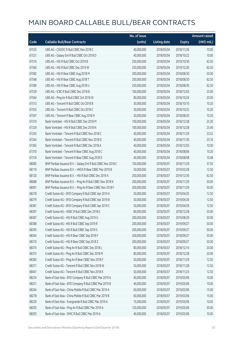|       |                                                               | No. of issue |                     |               | <b>Amount raised</b> |
|-------|---------------------------------------------------------------|--------------|---------------------|---------------|----------------------|
| Code  | <b>Callable Bull/Bear Contracts</b>                           | (units)      | <b>Listing date</b> | <b>Expiry</b> | $(HK\$ mil.)         |
| 67535 | UBS AG - CNOOC R Bull CBBC Nov 2018 C                         | 40,000,000   | 2018/05/04          | 2018/11/26    | 10.00                |
| 67521 | UBS AG - Galaxy Ent R Bull CBBC Oct 2018 D                    | 40,000,000   | 2018/05/04          | 2018/10/22    | 10.00                |
| 67510 | UBS AG - HSI R Bull CBBC Oct 2019 B                           | 250,000,000  | 2018/05/04          | 2019/10/30    | 62.50                |
| 67566 | UBS AG - HSI R Bull CBBC Dec 2019 W                           | 250,000,000  | 2018/05/04          | 2019/12/30    | 62.50                |
| 67582 | UBS AG - HSI R Bear CBBC Aug 2018 M                           | 200,000,000  | 2018/05/04          | 2018/08/30    | 50.00                |
| 67568 | UBS AG - HSI R Bear CBBC Aug 2018 T                           | 250,000,000  | 2018/05/04          | 2018/08/30    | 62.50                |
| 67589 | UBS AG - HSI R Bear CBBC Aug 2018 U                           | 250,000,000  | 2018/05/04          | 2018/08/30    | 62.50                |
| 67539 | UBS AG - ICBC R Bull CBBC Dec 2018 B                          | 100,000,000  | 2018/05/04          | 2018/12/03    | 25.00                |
| 67564 | UBS AG - Ping An R Bull CBBC Oct 2018 W                       | 80,000,000   | 2018/05/04          | 2018/10/24    | 20.00                |
| 67513 | UBS AG - Tencent R Bull CBBC Oct 2018 B                       | 30,000,000   | 2018/05/04          | 2018/10/10    | 10.20                |
| 67555 | UBS AG - Tencent R Bull CBBC Oct 2018 C                       | 30,000,000   | 2018/05/04          | 2018/10/22    | 10.20                |
| 67597 | UBS AG - Tencent R Bear CBBC Aug 2018 H                       | 30,000,000   | 2018/05/04          | 2018/08/20    | 10.20                |
| 67319 | Bank Vontobel - HSI R Bull CBBC Dec 2018 M                    | 100,000,000  | 2018/05/04          | 2018/12/28    | 25.30                |
| 67329 | Bank Vontobel - HSI R Bull CBBC Dec 2018 N                    | 100,000,000  | 2018/05/04          | 2018/12/28    | 25.40                |
| 67263 | Bank Vontobel - Tencent R Bull CBBC Nov 2018 C                | 40,000,000   | 2018/05/04          | 2018/11/29    | 33.52                |
| 67264 | Bank Vontobel - Tencent R Bull CBBC Nov 2018 D                | 40,000,000   | 2018/05/04          | 2018/11/30    | 25.16                |
| 67365 | Bank Vontobel - Tencent R Bull CBBC Dec 2018 A                | 40,000,000   | 2018/05/04          | 2018/12/03    | 10.00                |
| 67310 | Bank Vontobel - Tencent R Bear CBBC Aug 2018 C                | 40,000,000   | 2018/05/04          | 2018/08/06    | 10.20                |
| 67316 | Bank Vontobel - Tencent R Bear CBBC Aug 2018 D                | 40,000,000   | 2018/05/04          | 2018/08/08    | 10.48                |
| 68085 | BNP Paribas Issuance B.V. - Galaxy Ent R Bull CBBC Nov 2018 C | 150,000,000  | 2018/05/07          | 2018/11/29    | 37.50                |
| 68119 | BNP Paribas Issuance B.V. - HKEX R Bear CBBC Mar 2019 B       | 50,000,000   | 2018/05/07          | 2019/03/28    | 12.50                |
| 68120 | BNP Paribas Issuance B.V. - HSI R Bull CBBC Dec 2019 X        | 250,000,000  | 2018/05/07          | 2019/12/30    | 62.50                |
| 68088 | BNP Paribas Issuance B.V. - Ping An R Bull CBBC Nov 2018 K    | 200,000,000  | 2018/05/07          | 2018/11/29    | 50.00                |
| 68091 | BNP Paribas Issuance B.V. - Ping An R Bear CBBC Nov 2018 F    | 200,000,000  | 2018/05/07          | 2018/11/29    | 50.00                |
| 68378 | Credit Suisse AG - BYD Company R Bull CBBC Apr 2019 A         | 50,000,000   | 2018/05/07          | 2019/04/25    | 12.50                |
| 68379 | Credit Suisse AG - BYD Company R Bull CBBC Apr 2019 B         | 50,000,000   | 2018/05/07          | 2019/04/26    | 12.50                |
| 68381 | Credit Suisse AG - BYD Company R Bull CBBC Apr 2019 C         | 50,000,000   | 2018/05/07          | 2019/04/29    | 12.50                |
| 68397 | Credit Suisse AG - HSBC R Bull CBBC Dec 2018 E                | 80,000,000   | 2018/05/07          | 2018/12/28    | 20.00                |
| 68387 | Credit Suisse AG - HSI R Bull CBBC Aug 2019 G                 | 200,000,000  | 2018/05/07          | 2019/08/29    | 50.00                |
| 68388 | Credit Suisse AG - HSI R Bull CBBC Sep 2019 R                 | 200,000,000  | 2018/05/07          | 2019/09/27    | 50.00                |
| 68395 | Credit Suisse AG - HSI R Bull CBBC Sep 2019 S                 | 200,000,000  | 2018/05/07          | 2019/09/27    | 50.00                |
| 68364 | Credit Suisse AG - HSI R Bear CBBC Sep 2018 F                 | 200,000,000  | 2018/05/07          | 2018/09/27    | 50.00                |
| 68370 | Credit Suisse AG - HSI R Bear CBBC Sep 2018 Z                 | 200,000,000  | 2018/05/07          | 2018/09/27    | 50.00                |
| 68374 | Credit Suisse AG - Ping An R Bull CBBC Dec 2018 L             | 80,000,000   | 2018/05/07          | 2018/12/14    | 20.00                |
| 68375 | Credit Suisse AG - Ping An R Bull CBBC Dec 2018 M             | 80,000,000   | 2018/05/07          | 2018/12/28    | 20.00                |
| 68385 | Credit Suisse AG - Ping An R Bear CBBC Nov 2018 F             | 50,000,000   | 2018/05/07          | 2018/11/29    | 12.50                |
| 68371 | Credit Suisse AG - Tencent R Bull CBBC Nov 2018 W             | 50,000,000   | 2018/05/07          | 2018/11/28    | 12.50                |
| 68401 | Credit Suisse AG - Tencent R Bull CBBC Nov 2018 X             | 50,000,000   | 2018/05/07          | 2018/11/23    | 12.50                |
| 68234 | Bank of East Asia - BYD Company R Bull CBBC Mar 2019 A        | 40,000,000   | 2018/05/07          | 2019/03/06    | 10.00                |
| 68251 | Bank of East Asia - BYD Company R Bull CBBC Mar 2019 B        | 40,000,000   | 2018/05/07          | 2019/03/06    | 10.00                |
| 68264 | Bank of East Asia - China Mobile R Bull CBBC Mar 2019 A       | 60,000,000   | 2018/05/07          | 2019/03/06    | 15.00                |
| 68278 | Bank of East Asia - China Mobile R Bull CBBC Mar 2019 B       | 60,000,000   | 2018/05/07          | 2019/03/06    | 15.00                |
| 68229 | Bank of East Asia - Evergrande R Bull CBBC Mar 2019 A         | 15,000,000   | 2018/05/07          | 2019/03/06    | 10.05                |
| 68292 | Bank of East Asia - Ping An R Bull CBBC Mar 2019 A            | 120,000,000  | 2018/05/07          | 2019/03/06    | 30.00                |
| 68293 | Bank of East Asia - SMIC R Bull CBBC Mar 2019 A               | 40,000,000   | 2018/05/07          | 2019/03/06    | 10.00                |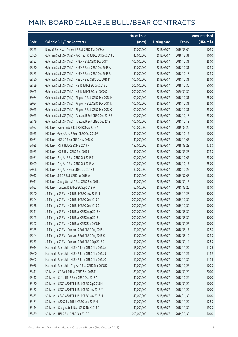|       |                                                           | No. of issue |                     |               | <b>Amount raised</b> |
|-------|-----------------------------------------------------------|--------------|---------------------|---------------|----------------------|
| Code  | <b>Callable Bull/Bear Contracts</b>                       | (units)      | <b>Listing date</b> | <b>Expiry</b> | (HK\$ mil.)          |
| 68253 | Bank of East Asia - Tencent R Bull CBBC Mar 2019 A        | 30,000,000   | 2018/05/07          | 2019/03/06    | 10.50                |
| 68550 | Goldman Sachs SP (Asia) - AAC Tech R Bull CBBC Dec 2018 L | 40,000,000   | 2018/05/07          | 2018/12/31    | 10.00                |
| 68552 | Goldman Sachs SP (Asia) - HKEX R Bull CBBC Dec 2018 T     | 100,000,000  | 2018/05/07          | 2018/12/31    | 25.00                |
| 68570 | Goldman Sachs SP (Asia) - HKEX R Bear CBBC Dec 2018 A     | 50,000,000   | 2018/05/07          | 2018/12/31    | 12.50                |
| 68583 | Goldman Sachs SP (Asia) - HKEX R Bear CBBC Dec 2018 B     | 50,000,000   | 2018/05/07          | 2018/12/18    | 12.50                |
| 68590 | Goldman Sachs SP (Asia) - HSBC R Bull CBBC Dec 2018 M     | 100,000,000  | 2018/05/07          | 2018/12/31    | 25.00                |
| 68599 | Goldman Sachs SP (Asia) - HSI R Bull CBBC Dec 2019 O      | 200,000,000  | 2018/05/07          | 2019/12/30    | 50.00                |
| 68065 | Goldman Sachs SP (Asia) - HSI R Bull CBBC Jan 2020 O      | 200,000,000  | 2018/05/07          | 2020/01/30    | 50.00                |
| 68064 | Goldman Sachs SP (Asia) - Ping An R Bull CBBC Dec 2018 M  | 100,000,000  | 2018/05/07          | 2018/12/31    | 25.00                |
| 68054 | Goldman Sachs SP (Asia) - Ping An R Bull CBBC Dec 2018 N  | 100,000,000  | 2018/05/07          | 2018/12/31    | 25.00                |
| 68055 | Goldman Sachs SP (Asia) - Ping An R Bull CBBC Dec 2018 Q  | 100,000,000  | 2018/05/07          | 2018/12/31    | 25.00                |
| 68053 | Goldman Sachs SP (Asia) - Tencent R Bull CBBC Dec 2018 E  | 100,000,000  | 2018/05/07          | 2018/12/18    | 25.00                |
| 68549 | Goldman Sachs SP (Asia) - Tencent R Bull CBBC Dec 2018 I  | 100,000,000  | 2018/05/07          | 2018/12/18    | 25.00                |
| 67977 | HK Bank - Evergrande R Bull CBBC May 2019 A               | 100,000,000  | 2018/05/07          | 2019/05/20    | 25.00                |
| 67975 | HK Bank - Geely Auto R Bear CBBC Oct 2018 G               | 40,000,000   | 2018/05/07          | 2018/10/15    | 10.00                |
| 67961 | HK Bank - HKEX R Bear CBBC Nov 2018 C                     | 40,000,000   | 2018/05/07          | 2018/11/05    | 10.00                |
| 67985 | HK Bank - HSI R Bull CBBC Mar 2019 R                      | 150,000,000  | 2018/05/07          | 2019/03/28    | 37.50                |
| 67983 | HK Bank - HSI R Bear CBBC Sep 2018 I                      | 150,000,000  | 2018/05/07          | 2018/09/27    | 37.50                |
| 67931 | HK Bank - Ping An R Bull CBBC Oct 2018 T                  | 100,000,000  | 2018/05/07          | 2018/10/02    | 25.00                |
| 67929 | HK Bank - Ping An R Bull CBBC Oct 2018 W                  | 100,000,000  | 2018/05/07          | 2018/10/15    | 25.00                |
| 68008 | HK Bank - Ping An R Bear CBBC Oct 2018 J                  | 80,000,000   | 2018/05/07          | 2018/10/22    | 20.00                |
| 68012 | HK Bank - SMIC R Bull CBBC Jul 2019 A                     | 40,000,000   | 2018/05/07          | 2019/07/08    | 18.00                |
| 68011 | HK Bank - Sunny Optical R Bull CBBC Sep 2018 J            | 40,000,000   | 2018/05/07          | 2018/09/17    | 10.00                |
| 67992 | HK Bank - Tencent R Bull CBBC Sep 2018 W                  | 60,000,000   | 2018/05/07          | 2018/09/20    | 15.00                |
| 68360 | J P Morgan SP BV - HSI R Bull CBBC Nov 2019 N             | 200,000,000  | 2018/05/07          | 2019/11/28    | 50.00                |
| 68304 | J P Morgan SP BV - HSI R Bull CBBC Dec 2019 C             | 200,000,000  | 2018/05/07          | 2019/12/30    | 50.00                |
| 68358 | J P Morgan SP BV - HSI R Bull CBBC Dec 2019 D             | 200,000,000  | 2018/05/07          | 2019/12/30    | 50.00                |
| 68311 | J P Morgan SP BV - HSI R Bear CBBC Aug 2018 H             | 200,000,000  | 2018/05/07          | 2018/08/30    | 50.00                |
| 68363 | J P Morgan SP BV - HSI R Bear CBBC Aug 2018 U             | 200,000,000  | 2018/05/07          | 2018/08/30    | 50.00                |
| 68322 | J P Morgan SP BV - HSI R Bear CBBC Sep 2018 M             | 200,000,000  | 2018/05/07          | 2018/09/27    | 50.00                |
| 68335 | JP Morgan SP BV - Tencent R Bull CBBC Aug 2018 J          | 50,000,000   | 2018/05/07          | 2018/08/17    | 12.50                |
| 68344 | J P Morgan SP BV - Tencent R Bull CBBC Aug 2018 K         | 50,000,000   | 2018/05/07          | 2018/08/10    | 12.50                |
| 68353 | J P Morgan SP BV - Tencent R Bull CBBC Sep 2018 C         | 50,000,000   | 2018/05/07          | 2018/09/14    | 12.50                |
| 68014 | Macquarie Bank Ltd. - HKEX R Bear CBBC Nov 2018 A         | 16,000,000   | 2018/05/07          | 2018/11/29    | 11.26                |
| 68040 | Macquarie Bank Ltd. - HKEX R Bear CBBC Nov 2018 B         | 14,000,000   | 2018/05/07          | 2018/11/29    | 11.52                |
| 68042 | Macquarie Bank Ltd. - HKEX R Bear CBBC Nov 2018 C         | 12,000,000   | 2018/05/07          | 2018/11/30    | 11.34                |
| 68066 | Macquarie Bank Ltd. - Ping An R Bull CBBC Dec 2018 D      | 40,000,000   | 2018/05/07          | 2018/12/28    | 10.20                |
| 68411 | SG Issuer - CC Bank R Bear CBBC Sep 2018 F                | 80,000,000   | 2018/05/07          | 2018/09/20    | 20.00                |
| 68412 | SG Issuer - China Life R Bear CBBC Oct 2018 A             | 40,000,000   | 2018/05/07          | 2018/10/24    | 10.00                |
| 68450 | SG Issuer - CSOP A50 ETF R Bull CBBC Sep 2018 M           | 40,000,000   | 2018/05/07          | 2018/09/20    | 10.00                |
| 68452 | SG Issuer - CSOP A50 ETF R Bull CBBC Nov 2018 M           | 40,000,000   | 2018/05/07          | 2018/11/29    | 10.00                |
| 68453 | SG Issuer - CSOP A50 ETF R Bull CBBC Nov 2018 N           | 40,000,000   | 2018/05/07          | 2018/11/30    | 10.00                |
| 68461 | SG Issuer - A50 China R Bull CBBC Nov 2018 H              | 50,000,000   | 2018/05/07          | 2018/11/29    | 12.50                |
| 68414 | SG Issuer - Geely Auto R Bear CBBC Nov 2018 C             | 40,000,000   | 2018/05/07          | 2018/11/30    | 19.20                |
| 68489 | SG Issuer - HSI R Bull CBBC Oct 2019 F                    | 200,000,000  | 2018/05/07          | 2019/10/30    | 50.00                |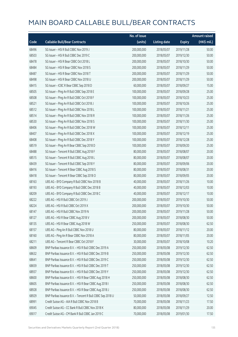|       |                                                            | No. of issue |                     |               | <b>Amount raised</b> |
|-------|------------------------------------------------------------|--------------|---------------------|---------------|----------------------|
| Code  | <b>Callable Bull/Bear Contracts</b>                        | (units)      | <b>Listing date</b> | <b>Expiry</b> | (HK\$ mil.)          |
| 68496 | SG Issuer - HSI R Bull CBBC Nov 2019 J                     | 200,000,000  | 2018/05/07          | 2019/11/28    | 50.00                |
| 68503 | SG Issuer - HSI R Bull CBBC Dec 2019 C                     | 200,000,000  | 2018/05/07          | 2019/12/30    | 50.00                |
| 68478 | SG Issuer - HSI R Bear CBBC Oct 2018 L                     | 200,000,000  | 2018/05/07          | 2018/10/30    | 50.00                |
| 68484 | SG Issuer - HSI R Bear CBBC Nov 2018 S                     | 200,000,000  | 2018/05/07          | 2018/11/29    | 50.00                |
| 68487 | SG Issuer - HSI R Bear CBBC Nov 2018 T                     | 200,000,000  | 2018/05/07          | 2018/11/29    | 50.00                |
| 68498 | SG Issuer - HSI R Bear CBBC Nov 2018 U                     | 200,000,000  | 2018/05/07          | 2018/11/29    | 50.00                |
| 68415 | SG Issuer - ICBC R Bear CBBC Sep 2018 D                    | 60,000,000   | 2018/05/07          | 2018/09/27    | 15.00                |
| 68505 | SG Issuer - Ping An R Bull CBBC Sep 2018 E                 | 100,000,000  | 2018/05/07          | 2018/09/28    | 25.00                |
| 68508 | SG Issuer - Ping An R Bull CBBC Oct 2018 F                 | 100,000,000  | 2018/05/07          | 2018/10/23    | 25.00                |
| 68521 | SG Issuer - Ping An R Bull CBBC Oct 2018 J                 | 100,000,000  | 2018/05/07          | 2018/10/26    | 25.00                |
| 68512 | SG Issuer - Ping An R Bull CBBC Nov 2018 L                 | 100,000,000  | 2018/05/07          | 2018/11/21    | 25.00                |
| 68514 | SG Issuer - Ping An R Bull CBBC Nov 2018 R                 | 100,000,000  | 2018/05/07          | 2018/11/26    | 25.00                |
| 68530 | SG Issuer - Ping An R Bull CBBC Nov 2018 S                 | 100,000,000  | 2018/05/07          | 2018/11/30    | 25.00                |
| 68406 | SG Issuer - Ping An R Bull CBBC Dec 2018 W                 | 100,000,000  | 2018/05/07          | 2018/12/11    | 25.00                |
| 68407 | SG Issuer - Ping An R Bull CBBC Dec 2018 X                 | 100,000,000  | 2018/05/07          | 2018/12/19    | 25.00                |
| 68408 | SG Issuer - Ping An R Bull CBBC Dec 2018 Y                 | 100,000,000  | 2018/05/07          | 2018/12/28    | 25.00                |
| 68519 | SG Issuer - Ping An R Bear CBBC Sep 2018 D                 | 100,000,000  | 2018/05/07          | 2018/09/20    | 25.00                |
| 68488 | SG Issuer - Tencent R Bull CBBC Aug 2018 F                 | 80,000,000   | 2018/05/07          | 2018/08/07    | 20.00                |
| 68515 | SG Issuer - Tencent R Bull CBBC Aug 2018 L                 | 80,000,000   | 2018/05/07          | 2018/08/07    | 20.00                |
| 68439 | SG Issuer - Tencent R Bull CBBC Sep 2018 Y                 | 80,000,000   | 2018/05/07          | 2018/09/06    | 20.00                |
| 68416 | SG Issuer - Tencent R Bear CBBC Aug 2018 S                 | 80,000,000   | 2018/05/07          | 2018/08/31    | 20.00                |
| 68418 | SG Issuer - Tencent R Bear CBBC Sep 2018 O                 | 80,000,000   | 2018/05/07          | 2018/09/05    | 20.00                |
| 68163 | UBS AG - BYD Company R Bull CBBC Nov 2018 B                | 40,000,000   | 2018/05/07          | 2018/11/26    | 10.00                |
| 68193 | UBS AG - BYD Company R Bull CBBC Dec 2018 B                | 40,000,000   | 2018/05/07          | 2018/12/03    | 10.00                |
| 68209 | UBS AG - BYD Company R Bull CBBC Dec 2018 C                | 40,000,000   | 2018/05/07          | 2018/12/17    | 10.00                |
| 68222 | UBS AG - HSI R Bull CBBC Oct 2019 J                        | 200,000,000  | 2018/05/07          | 2019/10/30    | 50.00                |
| 68224 | UBS AG - HSI R Bull CBBC Oct 2019 X                        | 200,000,000  | 2018/05/07          | 2019/10/30    | 50.00                |
| 68147 | UBS AG - HSI R Bull CBBC Nov 2019 N                        | 200,000,000  | 2018/05/07          | 2019/11/28    | 50.00                |
| 68127 | UBS AG - HSI R Bear CBBC Aug 2018 V                        | 200,000,000  | 2018/05/07          | 2018/08/30    | 50.00                |
| 68135 | UBS AG - HSI R Bear CBBC Aug 2018 W                        | 250,000,000  | 2018/05/07          | 2018/08/30    | 62.50                |
| 68157 | UBS AG - Ping An R Bull CBBC Nov 2018 U                    | 80,000,000   | 2018/05/07          | 2018/11/12    | 20.00                |
| 68160 | UBS AG - Ping An R Bear CBBC Nov 2018 A                    | 80,000,000   | 2018/05/07          | 2018/11/05    | 20.00                |
| 68211 | UBS AG - Tencent R Bear CBBC Oct 2018 F                    | 30,000,000   | 2018/05/07          | 2018/10/08    | 10.20                |
| 68609 | BNP Paribas Issuance B.V. - HSI R Bull CBBC Dec 2019 A     | 250,000,000  | 2018/05/08          | 2019/12/30    | 62.50                |
| 68632 | BNP Paribas Issuance B.V. - HSI R Bull CBBC Dec 2019 B     | 250,000,000  | 2018/05/08          | 2019/12/30    | 62.50                |
| 68641 | BNP Paribas Issuance B.V. - HSI R Bull CBBC Dec 2019 C     | 250,000,000  | 2018/05/08          | 2019/12/30    | 62.50                |
| 68659 | BNP Paribas Issuance B.V. - HSI R Bull CBBC Dec 2019 T     | 250,000,000  | 2018/05/08          | 2019/12/30    | 62.50                |
| 68937 | BNP Paribas Issuance B.V. - HSI R Bull CBBC Dec 2019 Y     | 250,000,000  | 2018/05/08          | 2019/12/30    | 62.50                |
| 68600 | BNP Paribas Issuance B.V. - HSI R Bear CBBC Aug 2018 H     | 250,000,000  | 2018/05/08          | 2018/08/30    | 62.50                |
| 68605 | BNP Paribas Issuance B.V. - HSI R Bear CBBC Aug 2018 I     | 250,000,000  | 2018/05/08          | 2018/08/30    | 62.50                |
| 68928 | BNP Paribas Issuance B.V. - HSI R Bear CBBC Aug 2018 J     | 250,000,000  | 2018/05/08          | 2018/08/30    | 62.50                |
| 68929 | BNP Paribas Issuance B.V. - Tencent R Bull CBBC Sep 2018 U | 50,000,000   | 2018/05/08          | 2018/09/27    | 12.50                |
| 68991 | Credit Suisse AG - AIA R Bull CBBC Nov 2018 B              | 70,000,000   | 2018/05/08          | 2018/11/23    | 17.50                |
| 69045 | Credit Suisse AG - CC Bank R Bull CBBC Nov 2018 K          | 80,000,000   | 2018/05/08          | 2018/11/29    | 20.00                |
| 69017 | Credit Suisse AG - CM Bank R Bull CBBC Jan 2019 C          | 70,000,000   | 2018/05/08          | 2019/01/30    | 17.50                |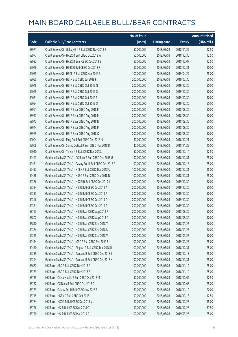|       |                                                             | No. of issue |                     |               | <b>Amount raised</b> |
|-------|-------------------------------------------------------------|--------------|---------------------|---------------|----------------------|
| Code  | <b>Callable Bull/Bear Contracts</b>                         | (units)      | <b>Listing date</b> | <b>Expiry</b> | (HK\$ mil.)          |
| 68971 | Credit Suisse AG - Galaxy Ent R Bull CBBC Nov 2018 E        | 50,000,000   | 2018/05/08          | 2018/11/29    | 12.50                |
| 68977 | Credit Suisse AG - HKEX R Bull CBBC Oct 2018 W              | 50,000,000   | 2018/05/08          | 2018/10/30    | 12.50                |
| 68982 | Credit Suisse AG - HKEX R Bear CBBC Dec 2018 B              | 50,000,000   | 2018/05/08          | 2018/12/07    | 12.50                |
| 69046 | Credit Suisse AG - HSBC R Bull CBBC Dec 2018 F              | 80,000,000   | 2018/05/08          | 2018/12/21    | 20.00                |
| 69059 | Credit Suisse AG - HSCEI R Bull CBBC Apr 2019 B             | 100,000,000  | 2018/05/08          | 2019/04/29    | 25.00                |
| 69055 | Credit Suisse AG - HSI R Bull CBBC Jul 2019 F               | 200,000,000  | 2018/05/08          | 2019/07/30    | 50.00                |
| 69048 | Credit Suisse AG - HSI R Bull CBBC Oct 2019 N               | 200,000,000  | 2018/05/08          | 2019/10/30    | 50.00                |
| 69049 | Credit Suisse AG - HSI R Bull CBBC Oct 2019 O               | 200,000,000  | 2018/05/08          | 2019/10/30    | 50.00                |
| 69051 | Credit Suisse AG - HSI R Bull CBBC Oct 2019 P               | 200,000,000  | 2018/05/08          | 2019/10/30    | 50.00                |
| 69054 | Credit Suisse AG - HSI R Bull CBBC Oct 2019 Q               | 200,000,000  | 2018/05/08          | 2019/10/30    | 50.00                |
| 68961 | Credit Suisse AG - HSI R Bear CBBC Aug 2018 F               | 200,000,000  | 2018/05/08          | 2018/08/30    | 50.00                |
| 68957 | Credit Suisse AG - HSI R Bear CBBC Aug 2018 M               | 200,000,000  | 2018/05/08          | 2018/08/30    | 50.00                |
| 68943 | Credit Suisse AG - HSI R Bear CBBC Aug 2018 N               | 200,000,000  | 2018/05/08          | 2018/08/30    | 50.00                |
| 68944 | Credit Suisse AG - HSI R Bear CBBC Aug 2018 P               | 200,000,000  | 2018/05/08          | 2018/08/30    | 50.00                |
| 68969 | Credit Suisse AG - HSI R Bear CBBC Aug 2018 Q               | 200,000,000  | 2018/05/08          | 2018/08/30    | 50.00                |
| 69004 | Credit Suisse AG - Ping An R Bull CBBC Dec 2018 N           | 80,000,000   | 2018/05/08          | 2018/12/21    | 20.00                |
| 69008 | Credit Suisse AG - Sunny Optical R Bull CBBC Nov 2018 D     | 40,000,000   | 2018/05/08          | 2018/11/29    | 10.00                |
| 69010 | Credit Suisse AG - Tencent R Bull CBBC Dec 2018 J           | 50,000,000   | 2018/05/08          | 2018/12/14    | 12.50                |
| 69443 | Goldman Sachs SP (Asia) - CC Bank R Bull CBBC Dec 2018 U    | 100,000,000  | 2018/05/08          | 2018/12/31    | 25.00                |
| 69431 | Goldman Sachs SP (Asia) - Galaxy Ent R Bull CBBC Dec 2018 R | 100,000,000  | 2018/05/08          | 2018/12/18    | 25.00                |
| 69437 | Goldman Sachs SP (Asia) - HKEX R Bull CBBC Dec 2018 U       | 100,000,000  | 2018/05/08          | 2018/12/31    | 25.00                |
| 69438 | Goldman Sachs SP (Asia) - HSBC R Bull CBBC Dec 2018 N       | 100,000,000  | 2018/05/08          | 2018/12/31    | 25.00                |
| 69386 | Goldman Sachs SP (Asia) - HSCEI R Bull CBBC Dec 2019 J      | 200,000,000  | 2018/05/08          | 2019/12/30    | 50.00                |
| 69334 | Goldman Sachs SP (Asia) - HSI R Bull CBBC Dec 2019 A        | 200,000,000  | 2018/05/08          | 2019/12/30    | 50.00                |
| 69333 | Goldman Sachs SP (Asia) - HSI R Bull CBBC Dec 2019 P        | 200,000,000  | 2018/05/08          | 2019/12/30    | 50.00                |
| 69346 | Goldman Sachs SP (Asia) - HSI R Bull CBBC Dec 2019 Q        | 200,000,000  | 2018/05/08          | 2019/12/30    | 50.00                |
| 69351 | Goldman Sachs SP (Asia) - HSI R Bull CBBC Dec 2019 R        | 200,000,000  | 2018/05/08          | 2019/12/30    | 50.00                |
| 68793 | Goldman Sachs SP (Asia) - HSI R Bear CBBC Aug 2018 P        | 200,000,000  | 2018/05/08          | 2018/08/30    | 50.00                |
| 68802 | Goldman Sachs SP (Asia) - HSI R Bear CBBC Aug 2018 Q        | 200,000,000  | 2018/05/08          | 2018/08/30    | 50.00                |
| 68810 | Goldman Sachs SP (Asia) - HSI R Bear CBBC Sep 2018 T        | 200,000,000  | 2018/05/08          | 2018/09/27    | 50.00                |
| 69354 | Goldman Sachs SP (Asia) - HSI R Bear CBBC Sep 2018 U        | 200,000,000  | 2018/05/08          | 2018/09/27    | 50.00                |
| 69355 | Goldman Sachs SP (Asia) - HSI R Bear CBBC Sep 2018 V        | 200,000,000  | 2018/05/08          | 2018/09/27    | 50.00                |
| 69414 | Goldman Sachs SP (Asia) - ICBC R Bull CBBC Feb 2019 E       | 100,000,000  | 2018/05/08          | 2019/02/28    | 25.00                |
| 69430 | Goldman Sachs SP (Asia) - Ping An R Bull CBBC Dec 2018 R    | 100,000,000  | 2018/05/08          | 2018/12/31    | 25.00                |
| 69389 | Goldman Sachs SP (Asia) - Tencent R Bull CBBC Dec 2018 J    | 100,000,000  | 2018/05/08          | 2018/12/18    | 25.00                |
| 69394 | Goldman Sachs SP (Asia) - Tencent R Bull CBBC Dec 2018 K    | 100,000,000  | 2018/05/08          | 2018/12/31    | 25.00                |
| 68667 | HK Bank - ABC R Bull CBBC Nov 2018 A                        | 100,000,000  | 2018/05/08          | 2018/11/12    | 25.00                |
| 68759 | HK Bank - ABC R Bull CBBC Nov 2018 B                        | 100,000,000  | 2018/05/08          | 2018/11/19    | 25.00                |
| 68735 | HK Bank - China Mobile R Bull CBBC Oct 2018 M               | 50,000,000   | 2018/05/08          | 2018/10/02    | 12.50                |
| 68732 | HK Bank - CC Bank R Bull CBBC Oct 2018 C                    | 100,000,000  | 2018/05/08          | 2018/10/08    | 25.00                |
| 68789 | HK Bank - Galaxy Ent R Bull CBBC Nov 2018 B                 | 80,000,000   | 2018/05/08          | 2018/11/12    | 20.00                |
| 68715 | HK Bank - HKEX R Bull CBBC Oct 2018 I                       | 50,000,000   | 2018/05/08          | 2018/10/18    | 12.50                |
| 68784 | HK Bank - HSCEI R Bull CBBC Dec 2018 V                      | 60,000,000   | 2018/05/08          | 2018/12/28    | 15.00                |
| 68776 | HK Bank - HSI R Bull CBBC Dec 2018 Q                        | 150,000,000  | 2018/05/08          | 2018/12/28    | 37.50                |
| 68770 | HK Bank - HSI R Bull CBBC Mar 2019 S                        | 100,000,000  | 2018/05/08          | 2019/03/28    | 25.00                |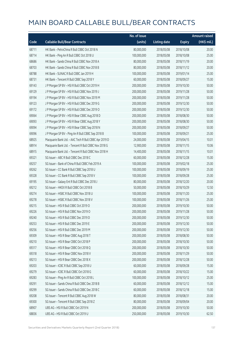|       |                                                       | No. of issue |                     |               | <b>Amount raised</b> |
|-------|-------------------------------------------------------|--------------|---------------------|---------------|----------------------|
| Code  | <b>Callable Bull/Bear Contracts</b>                   | (units)      | <b>Listing date</b> | <b>Expiry</b> | (HK\$ mil.)          |
| 68711 | HK Bank - PetroChina R Bull CBBC Oct 2018 N           | 80,000,000   | 2018/05/08          | 2018/10/08    | 20.00                |
| 68714 | HK Bank - Ping An R Bull CBBC Oct 2018 U              | 100,000,000  | 2018/05/08          | 2018/10/08    | 25.00                |
| 68686 | HK Bank - Sands China R Bull CBBC Nov 2018 A          | 80,000,000   | 2018/05/08          | 2018/11/19    | 20.00                |
| 68703 | HK Bank - Sands China R Bull CBBC Nov 2018 B          | 80,000,000   | 2018/05/08          | 2018/11/12    | 20.00                |
| 68788 | HK Bank - SUNAC R Bull CBBC Jan 2019 H                | 100,000,000  | 2018/05/08          | 2019/01/14    | 25.00                |
| 68731 | HK Bank - Tencent R Bull CBBC Sep 2018 Y              | 60,000,000   | 2018/05/08          | 2018/09/27    | 15.00                |
| 69143 | J P Morgan SP BV - HSI R Bull CBBC Oct 2019 H         | 200,000,000  | 2018/05/08          | 2019/10/30    | 50.00                |
| 69129 | J P Morgan SP BV - HSI R Bull CBBC Nov 2019 J         | 200,000,000  | 2018/05/08          | 2019/11/28    | 50.00                |
| 69194 | J P Morgan SP BV - HSI R Bull CBBC Nov 2019 M         | 200,000,000  | 2018/05/08          | 2019/11/28    | 50.00                |
| 69123 | J P Morgan SP BV - HSI R Bull CBBC Dec 2019 G         | 200,000,000  | 2018/05/08          | 2019/12/30    | 50.00                |
| 69172 | J P Morgan SP BV - HSI R Bull CBBC Dec 2019 O         | 200,000,000  | 2018/05/08          | 2019/12/30    | 50.00                |
| 69064 | J P Morgan SP BV - HSI R Bear CBBC Aug 2018 D         | 200,000,000  | 2018/05/08          | 2018/08/30    | 50.00                |
| 69093 | J P Morgan SP BV - HSI R Bear CBBC Aug 2018 Y         | 200,000,000  | 2018/05/08          | 2018/08/30    | 50.00                |
| 69094 | J P Morgan SP BV - HSI R Bear CBBC Sep 2018 N         | 200,000,000  | 2018/05/08          | 2018/09/27    | 50.00                |
| 69096 | J P Morgan SP BV - Ping An R Bull CBBC Sep 2018 B     | 100,000,000  | 2018/05/08          | 2018/09/21    | 25.00                |
| 68925 | Macquarie Bank Ltd. - AAC Tech R Bull CBBC Apr 2019 D | 24,000,000   | 2018/05/08          | 2019/04/15    | 10.01                |
| 68914 | Macquarie Bank Ltd. - Tencent R Bull CBBC Nov 2018 G  | 12,900,000   | 2018/05/08          | 2018/11/15    | 10.06                |
| 68915 | Macquarie Bank Ltd. - Tencent R Bull CBBC Nov 2018 H  | 14,400,000   | 2018/05/08          | 2018/11/15    | 10.01                |
| 69321 | SG Issuer - ABC R Bull CBBC Dec 2018 C                | 60,000,000   | 2018/05/08          | 2018/12/28    | 15.00                |
| 69257 | SG Issuer - Bank of China R Bull CBBC Feb 2019 A      | 100,000,000  | 2018/05/08          | 2019/02/18    | 25.00                |
| 69262 | SG Issuer - CC Bank R Bull CBBC Sep 2018 U            | 100,000,000  | 2018/05/08          | 2018/09/19    | 25.00                |
| 69328 | SG Issuer - CC Bank R Bull CBBC Sep 2018 V            | 100,000,000  | 2018/05/08          | 2018/09/28    | 25.00                |
| 69195 | SG Issuer - Galaxy Ent R Bull CBBC Dec 2018 J         | 80,000,000   | 2018/05/08          | 2018/12/20    | 20.00                |
| 69212 | SG Issuer - HKEX R Bull CBBC Oct 2018 B               | 50,000,000   | 2018/05/08          | 2018/10/29    | 12.50                |
| 69274 | SG Issuer - HSBC R Bull CBBC Nov 2018 U               | 100,000,000  | 2018/05/08          | 2018/11/20    | 25.00                |
| 69278 | SG Issuer - HSBC R Bull CBBC Nov 2018 V               | 100,000,000  | 2018/05/08          | 2018/11/26    | 25.00                |
| 69215 | SG Issuer - HSI R Bull CBBC Oct 2019 O                | 200,000,000  | 2018/05/08          | 2019/10/30    | 50.00                |
| 69226 | SG Issuer - HSI R Bull CBBC Nov 2019 O                | 200,000,000  | 2018/05/08          | 2019/11/28    | 50.00                |
| 69240 | SG Issuer - HSI R Bull CBBC Dec 2019 D                | 200,000,000  | 2018/05/08          | 2019/12/30    | 50.00                |
| 69253 | SG Issuer - HSI R Bull CBBC Dec 2019 E                | 200,000,000  | 2018/05/08          | 2019/12/30    | 50.00                |
| 69256 | SG Issuer - HSI R Bull CBBC Dec 2019 M                | 200,000,000  | 2018/05/08          | 2019/12/30    | 50.00                |
| 69309 | SG Issuer - HSI R Bear CBBC Aug 2018 T                | 200,000,000  | 2018/05/08          | 2018/08/30    | 50.00                |
| 69210 | SG Issuer - HSI R Bear CBBC Oct 2018 P                | 200,000,000  | 2018/05/08          | 2018/10/30    | 50.00                |
| 69317 | SG Issuer - HSI R Bear CBBC Oct 2018 Q                | 200,000,000  | 2018/05/08          | 2018/10/30    | 50.00                |
| 69318 | SG Issuer - HSI R Bear CBBC Nov 2018 V                | 200,000,000  | 2018/05/08          | 2018/11/29    | 50.00                |
| 69213 | SG Issuer - HSI R Bear CBBC Dec 2018 X                | 200,000,000  | 2018/05/08          | 2018/12/28    | 50.00                |
| 69203 | SG Issuer - ICBC R Bull CBBC Sep 2018 U               | 60,000,000   | 2018/05/08          | 2018/09/28    | 15.00                |
| 69279 | SG Issuer - ICBC R Bull CBBC Oct 2018 G               | 60,000,000   | 2018/05/08          | 2018/10/22    | 15.00                |
| 69283 | SG Issuer - Ping An R Bull CBBC Oct 2018 L            | 100,000,000  | 2018/05/08          | 2018/10/12    | 25.00                |
| 69291 | SG Issuer - Sands China R Bull CBBC Dec 2018 B        | 60,000,000   | 2018/05/08          | 2018/12/12    | 15.00                |
| 69299 | SG Issuer - Sands China R Bull CBBC Dec 2018 C        | 60,000,000   | 2018/05/08          | 2018/12/18    | 15.00                |
| 69208 | SG Issuer - Tencent R Bull CBBC Aug 2018 W            | 80,000,000   | 2018/05/08          | 2018/08/31    | 20.00                |
| 69300 | SG Issuer - Tencent R Bull CBBC Sep 2018 Z            | 80,000,000   | 2018/05/08          | 2018/09/04    | 20.00                |
| 68907 | UBS AG - HSI R Bull CBBC Oct 2019 N                   | 200,000,000  | 2018/05/08          | 2019/10/30    | 50.00                |
| 68836 | UBS AG - HSI R Bull CBBC Oct 2019 U                   | 250,000,000  | 2018/05/08          | 2019/10/30    | 62.50                |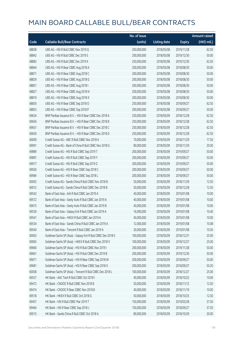|       |                                                             | No. of issue |                     |               | <b>Amount raised</b>  |
|-------|-------------------------------------------------------------|--------------|---------------------|---------------|-----------------------|
| Code  | <b>Callable Bull/Bear Contracts</b>                         | (units)      | <b>Listing date</b> | <b>Expiry</b> | $(HK\frac{1}{2}mil.)$ |
| 68838 | UBS AG - HSI R Bull CBBC Nov 2019 Q                         | 250,000,000  | 2018/05/08          | 2019/11/28    | 62.50                 |
| 68842 | UBS AG - HSI R Bull CBBC Dec 2019 S                         | 200,000,000  | 2018/05/08          | 2019/12/30    | 50.00                 |
| 68883 | UBS AG - HSI R Bull CBBC Dec 2019 X                         | 250,000,000  | 2018/05/08          | 2019/12/30    | 62.50                 |
| 68844 | UBS AG - HSI R Bear CBBC Aug 2018 A                         | 200,000,000  | 2018/05/08          | 2018/08/30    | 50.00                 |
| 68871 | UBS AG - HSI R Bear CBBC Aug 2018 C                         | 200,000,000  | 2018/05/08          | 2018/08/30    | 50.00                 |
| 68829 | UBS AG - HSI R Bear CBBC Aug 2018 G                         | 200,000,000  | 2018/05/08          | 2018/08/30    | 50.00                 |
| 68851 | UBS AG - HSI R Bear CBBC Aug 2018 I                         | 200,000,000  | 2018/05/08          | 2018/08/30    | 50.00                 |
| 68827 | UBS AG - HSI R Bear CBBC Aug 2018 N                         | 200,000,000  | 2018/05/08          | 2018/08/30    | 50.00                 |
| 68819 | UBS AG - HSI R Bear CBBC Aug 2018 X                         | 200,000,000  | 2018/05/08          | 2018/08/30    | 50.00                 |
| 68830 | UBS AG - HSI R Bear CBBC Sep 2018 O                         | 250,000,000  | 2018/05/08          | 2018/09/27    | 62.50                 |
| 68853 | UBS AG - HSI R Bear CBBC Sep 2018 P                         | 200,000,000  | 2018/05/08          | 2018/09/27    | 50.00                 |
| 69634 | BNP Paribas Issuance B.V. - HSI R Bear CBBC Dec 2018 A      | 250,000,000  | 2018/05/09          | 2018/12/28    | 62.50                 |
| 69656 | BNP Paribas Issuance B.V. - HSI R Bear CBBC Dec 2018 B      | 250,000,000  | 2018/05/09          | 2018/12/28    | 62.50                 |
| 69657 | BNP Paribas Issuance B.V. - HSI R Bear CBBC Dec 2018 C      | 250,000,000  | 2018/05/09          | 2018/12/28    | 62.50                 |
| 69659 | BNP Paribas Issuance B.V. - HSI R Bear CBBC Dec 2018 D      | 250,000,000  | 2018/05/09          | 2018/12/28    | 62.50                 |
| 60000 | Credit Suisse AG - ABC R Bull CBBC Nov 2018 A               | 70,000,000   | 2018/05/09          | 2018/11/29    | 17.50                 |
| 69991 | Credit Suisse AG - Bank of China R Bull CBBC Nov 2018 G     | 80,000,000   | 2018/05/09          | 2018/11/29    | 20.00                 |
| 69889 | Credit Suisse AG - HSI R Bull CBBC Sep 2019 T               | 200,000,000  | 2018/05/09          | 2019/09/27    | 50.00                 |
| 69897 | Credit Suisse AG - HSI R Bull CBBC Sep 2019 Y               | 200,000,000  | 2018/05/09          | 2019/09/27    | 50.00                 |
| 69917 | Credit Suisse AG - HSI R Bull CBBC Sep 2019 Z               | 200,000,000  | 2018/05/09          | 2019/09/27    | 50.00                 |
| 69926 | Credit Suisse AG - HSI R Bear CBBC Sep 2018 C               | 200,000,000  | 2018/05/09          | 2018/09/27    | 50.00                 |
| 69984 | Credit Suisse AG - HSI R Bear CBBC Sep 2018 L               | 200,000,000  | 2018/05/09          | 2018/09/27    | 50.00                 |
| 60002 | Credit Suisse AG - Sands China R Bull CBBC Nov 2018 B       | 50,000,000   | 2018/05/09          | 2018/11/29    | 12.50                 |
| 60012 | Credit Suisse AG - Sands China R Bull CBBC Dec 2018 B       | 50,000,000   | 2018/05/09          | 2018/12/28    | 12.50                 |
| 69542 | Bank of East Asia - AIA R Bull CBBC Jan 2019 A              | 40,000,000   | 2018/05/09          | 2019/01/08    | 10.00                 |
| 69572 | Bank of East Asia - Geely Auto R Bull CBBC Jan 2019 A       | 40,000,000   | 2018/05/09          | 2019/01/08    | 10.00                 |
| 69615 | Bank of East Asia - Geely Auto R Bull CBBC Jan 2019 B       | 40,000,000   | 2018/05/09          | 2019/01/08    | 10.00                 |
| 69530 | Bank of East Asia - Galaxy Ent R Bull CBBC Jan 2019 A       | 16,000,000   | 2018/05/09          | 2019/01/08    | 10.40                 |
| 69541 | Bank of East Asia - HKEX R Bull CBBC Jan 2019 A             | 40,000,000   | 2018/05/09          | 2019/01/08    | 10.00                 |
| 69534 | Bank of East Asia - Sands China R Bull CBBC Jan 2019 A      | 12,000,000   | 2018/05/09          | 2019/01/08    | 10.08                 |
| 69540 | Bank of East Asia - Tencent R Bull CBBC Jan 2019 A          | 30,000,000   | 2018/05/09          | 2019/01/08    | 10.50                 |
| 60063 | Goldman Sachs SP (Asia) - Galaxy Ent R Bull CBBC Dec 2018 S | 100,000,000  | 2018/05/09          | 2018/12/31    | 25.00                 |
| 60065 | Goldman Sachs SP (Asia) - HKEX R Bull CBBC Dec 2018 V       | 100,000,000  | 2018/05/09          | 2018/12/27    | 25.00                 |
| 69660 | Goldman Sachs SP (Asia) - HSI R Bull CBBC Nov 2019 I        | 200,000,000  | 2018/05/09          | 2019/11/28    | 50.00                 |
| 69661 | Goldman Sachs SP (Asia) - HSI R Bull CBBC Dec 2019 B        | 200,000,000  | 2018/05/09          | 2019/12/30    | 50.00                 |
| 69671 | Goldman Sachs SP (Asia) - HSI R Bear CBBC Sep 2018 W        | 200,000,000  | 2018/05/09          | 2018/09/27    | 50.00                 |
| 69681 | Goldman Sachs SP (Asia) - HSI R Bear CBBC Sep 2018 X        | 200,000,000  | 2018/05/09          | 2018/09/27    | 50.20                 |
| 60058 | Goldman Sachs SP (Asia) - Tencent R Bull CBBC Dec 2018 L    | 100,000,000  | 2018/05/09          | 2018/12/27    | 25.00                 |
| 69527 | HK Bank - AAC Tech R Bull CBBC Oct 2018 I                   | 40,000,000   | 2018/05/09          | 2018/10/22    | 10.00                 |
| 69472 | HK Bank - CNOOC R Bull CBBC Nov 2018 B                      | 50,000,000   | 2018/05/09          | 2018/11/12    | 12.50                 |
| 69474 | HK Bank - CNOOC R Bear CBBC Nov 2018 B                      | 40,000,000   | 2018/05/09          | 2018/11/19    | 10.00                 |
| 69518 | HK Bank - HKEX R Bull CBBC Oct 2018 G                       | 50,000,000   | 2018/05/09          | 2018/10/25    | 12.50                 |
| 69457 | HK Bank - HSI R Bull CBBC Mar 2019 T                        | 150,000,000  | 2018/05/09          | 2019/03/28    | 37.50                 |
| 69464 | HK Bank - HSI R Bear CBBC Sep 2018 J                        | 150,000,000  | 2018/05/09          | 2018/09/27    | 37.50                 |
| 69515 | HK Bank - Sands China R Bull CBBC Oct 2018 A                | 80,000,000   | 2018/05/09          | 2018/10/29    | 20.00                 |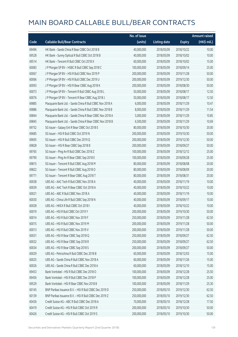|       |                                                          | No. of issue |                     |               | Amount raised         |
|-------|----------------------------------------------------------|--------------|---------------------|---------------|-----------------------|
| Code  | <b>Callable Bull/Bear Contracts</b>                      | (units)      | <b>Listing date</b> | <b>Expiry</b> | $(HK\frac{1}{2}mil.)$ |
| 69496 | HK Bank - Sands China R Bear CBBC Oct 2018 B             | 40,000,000   | 2018/05/09          | 2018/10/22    | 10.00                 |
| 69528 | HK Bank - Sunny Optical R Bull CBBC Oct 2018 B           | 40,000,000   | 2018/05/09          | 2018/10/02    | 10.00                 |
| 69514 | HK Bank - Tencent R Bull CBBC Oct 2018 X                 | 60,000,000   | 2018/05/09          | 2018/10/02    | 15.00                 |
| 60083 | J P Morgan SP BV - HSBC R Bull CBBC Sep 2018 C           | 100,000,000  | 2018/05/09          | 2018/09/14    | 25.00                 |
| 60067 | J P Morgan SP BV - HSI R Bull CBBC Nov 2019 P            | 200,000,000  | 2018/05/09          | 2019/11/28    | 50.00                 |
| 60066 | J P Morgan SP BV - HSI R Bull CBBC Dec 2019 U            | 200,000,000  | 2018/05/09          | 2019/12/30    | 50.00                 |
| 60093 | J P Morgan SP BV - HSI R Bear CBBC Aug 2018 K            | 200,000,000  | 2018/05/09          | 2018/08/30    | 50.00                 |
| 60073 | JP Morgan SP BV - Tencent R Bull CBBC Aug 2018 L         | 50,000,000   | 2018/05/09          | 2018/08/17    | 12.50                 |
| 60076 | J P Morgan SP BV - Tencent R Bear CBBC Aug 2018 J        | 50,000,000   | 2018/05/09          | 2018/08/17    | 12.50                 |
| 69885 | Macquarie Bank Ltd. - Sands China R Bull CBBC Nov 2018 A | 6,000,000    | 2018/05/09          | 2018/11/29    | 10.47                 |
| 69886 | Macquarie Bank Ltd. - Sands China R Bull CBBC Nov 2018 B | 8,000,000    | 2018/05/09          | 2018/11/29    | 11.54                 |
| 69844 | Macquarie Bank Ltd. - Sands China R Bear CBBC Nov 2018 A | 5,000,000    | 2018/05/09          | 2018/11/29    | 10.85                 |
| 69845 | Macquarie Bank Ltd. - Sands China R Bear CBBC Nov 2018 B | 6,500,000    | 2018/05/09          | 2018/11/29    | 10.69                 |
| 69752 | SG Issuer - Galaxy Ent R Bear CBBC Oct 2018 E            | 80,000,000   | 2018/05/09          | 2018/10/30    | 20.00                 |
| 69685 | SG Issuer - HSI R Bull CBBC Oct 2019 N                   | 200,000,000  | 2018/05/09          | 2019/10/30    | 50.00                 |
| 69695 | SG Issuer - HSI R Bull CBBC Dec 2019 Q                   | 200,000,000  | 2018/05/09          | 2019/12/30    | 50.00                 |
| 69828 | SG Issuer - HSI R Bear CBBC Sep 2018 B                   | 200,000,000  | 2018/05/09          | 2018/09/27    | 50.00                 |
| 69765 | SG Issuer - Ping An R Bull CBBC Dec 2018 Z               | 100,000,000  | 2018/05/09          | 2018/12/12    | 25.00                 |
| 69790 | SG Issuer - Ping An R Bear CBBC Sep 2018 E               | 100,000,000  | 2018/05/09          | 2018/09/28    | 25.00                 |
| 69815 | SG Issuer - Tencent R Bull CBBC Aug 2018 M               | 80,000,000   | 2018/05/09          | 2018/08/08    | 20.00                 |
| 69822 | SG Issuer - Tencent R Bull CBBC Aug 2018 O               | 80,000,000   | 2018/05/09          | 2018/08/09    | 20.00                 |
| 69771 | SG Issuer - Tencent R Bear CBBC Aug 2018 T               | 80,000,000   | 2018/05/09          | 2018/08/31    | 20.00                 |
| 60038 | UBS AG - AAC Tech R Bull CBBC Nov 2018 A                 | 40,000,000   | 2018/05/09          | 2018/11/19    | 10.00                 |
| 60039 | UBS AG - AAC Tech R Bear CBBC Oct 2018 A                 | 40,000,000   | 2018/05/09          | 2018/10/22    | 10.00                 |
| 60021 | UBS AG - ABC R Bull CBBC Nov 2018 A                      | 40,000,000   | 2018/05/09          | 2018/11/19    | 10.00                 |
| 60030 | UBS AG - China Life R Bull CBBC Sep 2018 N               | 40,000,000   | 2018/05/09          | 2018/09/17    | 10.00                 |
| 60028 | UBS AG - HKEX R Bull CBBC Oct 2018 I                     | 40,000,000   | 2018/05/09          | 2018/10/22    | 10.00                 |
| 60019 | UBS AG - HSI R Bull CBBC Oct 2019 Y                      | 200,000,000  | 2018/05/09          | 2019/10/30    | 50.00                 |
| 60014 | UBS AG - HSI R Bull CBBC Nov 2019 F                      | 250,000,000  | 2018/05/09          | 2019/11/28    | 62.50                 |
| 60015 | UBS AG - HSI R Bull CBBC Nov 2019 M                      | 200,000,000  | 2018/05/09          | 2019/11/28    | 50.00                 |
| 60013 | UBS AG - HSI R Bull CBBC Nov 2019 V                      | 200,000,000  | 2018/05/09          | 2019/11/28    | 50.00                 |
| 60031 | UBS AG - HSI R Bear CBBC Sep 2018 Q                      | 250,000,000  | 2018/05/09          | 2018/09/27    | 62.50                 |
| 60032 | UBS AG - HSI R Bear CBBC Sep 2018 R                      | 250,000,000  | 2018/05/09          | 2018/09/27    | 62.50                 |
| 60034 | UBS AG - HSI R Bear CBBC Sep 2018 S                      | 200,000,000  | 2018/05/09          | 2018/09/27    | 50.00                 |
| 60029 | UBS AG - Petrochina R Bull CBBC Dec 2018 B               | 60,000,000   | 2018/05/09          | 2018/12/03    | 15.00                 |
| 60025 | UBS AG - Sands China R Bull CBBC Nov 2018 A              | 60,000,000   | 2018/05/09          | 2018/11/26    | 15.00                 |
| 60026 | UBS AG - Sands China R Bull CBBC Dec 2018 A              | 60,000,000   | 2018/05/09          | 2018/12/10    | 15.00                 |
| 69453 | Bank Vontobel - HSI R Bull CBBC Dec 2018 O               | 100,000,000  | 2018/05/09          | 2018/12/28    | 25.50                 |
| 69456 | Bank Vontobel - HSI R Bull CBBC Dec 2018 P               | 100,000,000  | 2018/05/09          | 2018/12/28    | 25.00                 |
| 69529 | Bank Vontobel - HSI R Bear CBBC Nov 2018 B               | 100,000,000  | 2018/05/09          | 2018/11/29    | 25.30                 |
| 60145 | BNP Paribas Issuance B.V. - HSI R Bull CBBC Dec 2019 D   | 250,000,000  | 2018/05/10          | 2019/12/30    | 62.50                 |
| 60139 | BNP Paribas Issuance B.V. - HSI R Bull CBBC Dec 2019 Z   | 250,000,000  | 2018/05/10          | 2019/12/30    | 62.50                 |
| 60436 | Credit Suisse AG - ABC R Bull CBBC Dec 2018 A            | 70,000,000   | 2018/05/10          | 2018/12/28    | 17.50                 |
| 60419 | Credit Suisse AG - HSI R Bull CBBC Oct 2019 R            | 200,000,000  | 2018/05/10          | 2019/10/30    | 50.00                 |
| 60426 | Credit Suisse AG - HSI R Bull CBBC Oct 2019 S            | 200,000,000  | 2018/05/10          | 2019/10/30    | 50.00                 |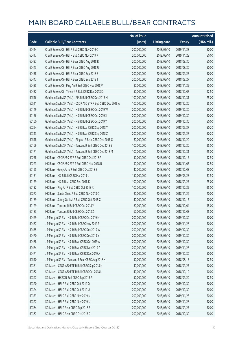|       |                                                               | No. of issue |                     |               | <b>Amount raised</b> |
|-------|---------------------------------------------------------------|--------------|---------------------|---------------|----------------------|
| Code  | <b>Callable Bull/Bear Contracts</b>                           | (units)      | <b>Listing date</b> | <b>Expiry</b> | (HK\$ mil.)          |
| 60414 | Credit Suisse AG - HSI R Bull CBBC Nov 2019 O                 | 200,000,000  | 2018/05/10          | 2019/11/28    | 50.00                |
| 60417 | Credit Suisse AG - HSI R Bull CBBC Nov 2019 P                 | 200,000,000  | 2018/05/10          | 2019/11/28    | 50.00                |
| 60437 | Credit Suisse AG - HSI R Bear CBBC Aug 2018 R                 | 200,000,000  | 2018/05/10          | 2018/08/30    | 50.00                |
| 60443 | Credit Suisse AG - HSI R Bear CBBC Aug 2018 U                 | 200,000,000  | 2018/05/10          | 2018/08/30    | 50.00                |
| 60438 | Credit Suisse AG - HSI R Bear CBBC Sep 2018 S                 | 200,000,000  | 2018/05/10          | 2018/09/27    | 50.00                |
| 60447 | Credit Suisse AG - HSI R Bear CBBC Sep 2018 T                 | 200,000,000  | 2018/05/10          | 2018/09/27    | 50.00                |
| 60435 | Credit Suisse AG - Ping An R Bull CBBC Nov 2018 V             | 80,000,000   | 2018/05/10          | 2018/11/29    | 20.00                |
| 60432 | Credit Suisse AG - Tencent R Bull CBBC Dec 2018 K             | 50,000,000   | 2018/05/10          | 2018/12/07    | 12.50                |
| 60516 | Goldman Sachs SP (Asia) - AIA R Bull CBBC Dec 2018 M          | 100,000,000  | 2018/05/10          | 2018/12/31    | 25.00                |
| 60511 | Goldman Sachs SP (Asia) - CSOP A50 ETF R Bull CBBC Dec 2018 A | 100,000,000  | 2018/05/10          | 2018/12/20    | 25.00                |
| 60149 | Goldman Sachs SP (Asia) - HSI R Bull CBBC Oct 2019 W          | 200,000,000  | 2018/05/10          | 2019/10/30    | 50.00                |
| 60156 | Goldman Sachs SP (Asia) - HSI R Bull CBBC Oct 2019 X          | 200,000,000  | 2018/05/10          | 2019/10/30    | 50.00                |
| 60160 | Goldman Sachs SP (Asia) - HSI R Bull CBBC Oct 2019 Y          | 200,000,000  | 2018/05/10          | 2019/10/30    | 50.00                |
| 60294 | Goldman Sachs SP (Asia) - HSI R Bear CBBC Sep 2018 Y          | 200,000,000  | 2018/05/10          | 2018/09/27    | 50.20                |
| 60313 | Goldman Sachs SP (Asia) - HSI R Bear CBBC Sep 2018 Z          | 200,000,000  | 2018/05/10          | 2018/09/27    | 50.20                |
| 60518 | Goldman Sachs SP (Asia) - Ping An R Bear CBBC Dec 2018 C      | 80,000,000   | 2018/05/10          | 2018/12/20    | 20.00                |
| 60169 | Goldman Sachs SP (Asia) - Tencent R Bull CBBC Dec 2018 B      | 100,000,000  | 2018/05/10          | 2018/12/20    | 25.00                |
| 60171 | Goldman Sachs SP (Asia) - Tencent R Bull CBBC Dec 2018 M      | 100,000,000  | 2018/05/10          | 2018/12/31    | 25.00                |
| 60258 | HK Bank - CSOP A50 ETF R Bull CBBC Oct 2018 P                 | 50,000,000   | 2018/05/10          | 2018/10/15    | 12.50                |
| 60223 | HK Bank - CSOP A50 ETF R Bull CBBC Nov 2018 B                 | 50,000,000   | 2018/05/10          | 2018/11/05    | 12.50                |
| 60195 | HK Bank - Geely Auto R Bull CBBC Oct 2018 E                   | 40,000,000   | 2018/05/10          | 2018/10/08    | 10.00                |
| 60131 | HK Bank - HSI R Bull CBBC Mar 2019 U                          | 150,000,000  | 2018/05/10          | 2019/03/28    | 37.50                |
| 60179 | HK Bank - HSI R Bear CBBC Sep 2018 K                          | 100,000,000  | 2018/05/10          | 2018/09/27    | 25.00                |
| 60132 | HK Bank - Ping An R Bull CBBC Oct 2018 X                      | 100,000,000  | 2018/05/10          | 2018/10/22    | 25.00                |
| 60277 | HK Bank - Sands China R Bull CBBC Nov 2018 C                  | 80,000,000   | 2018/05/10          | 2018/11/26    | 20.00                |
| 60189 | HK Bank - Sunny Optical R Bull CBBC Oct 2018 C                | 40,000,000   | 2018/05/10          | 2018/10/15    | 10.00                |
| 60129 | HK Bank - Tencent R Bull CBBC Oct 2018 Y                      | 60,000,000   | 2018/05/10          | 2018/10/04    | 15.00                |
| 60183 | HK Bank - Tencent R Bull CBBC Oct 2018 Z                      | 60,000,000   | 2018/05/10          | 2018/10/08    | 15.00                |
| 60469 | J P Morgan SP BV - HSI R Bull CBBC Oct 2019 N                 | 200,000,000  | 2018/05/10          | 2019/10/30    | 50.00                |
| 60467 | J P Morgan SP BV - HSI R Bull CBBC Nov 2019 R                 | 200,000,000  | 2018/05/10          | 2019/11/28    | 50.00                |
| 60455 | J P Morgan SP BV - HSI R Bull CBBC Dec 2019 W                 | 200,000,000  | 2018/05/10          | 2019/12/30    | 50.00                |
| 60470 | J P Morgan SP BV - HSI R Bull CBBC Dec 2019 Y                 | 200,000,000  | 2018/05/10          | 2019/12/30    | 50.00                |
| 60488 | J P Morgan SP BV - HSI R Bear CBBC Oct 2019 A                 | 200,000,000  | 2018/05/10          | 2019/10/30    | 50.00                |
| 60484 | J P Morgan SP BV - HSI R Bear CBBC Nov 2019 A                 | 200,000,000  | 2018/05/10          | 2019/11/28    | 50.00                |
| 60471 | J P Morgan SP BV - HSI R Bear CBBC Dec 2019 A                 | 200,000,000  | 2018/05/10          | 2019/12/30    | 50.00                |
| 60510 | J P Morgan SP BV - Tencent R Bear CBBC Aug 2018 K             | 50,000,000   | 2018/05/10          | 2018/08/17    | 12.50                |
| 60361 | SG Issuer - CSOP A50 ETF R Bull CBBC Sep 2018 N               | 40,000,000   | 2018/05/10          | 2018/09/27    | 10.00                |
| 60362 | SG Issuer - CSOP A50 ETF R Bull CBBC Oct 2018 L               | 40,000,000   | 2018/05/10          | 2018/10/19    | 10.00                |
| 60347 | SG Issuer - HKEX R Bull CBBC Sep 2018 P                       | 50,000,000   | 2018/05/10          | 2018/09/20    | 12.50                |
| 60320 | SG Issuer - HSI R Bull CBBC Oct 2019 Q                        | 200,000,000  | 2018/05/10          | 2019/10/30    | 50.00                |
| 60324 | SG Issuer - HSI R Bull CBBC Oct 2019 U                        | 200,000,000  | 2018/05/10          | 2019/10/30    | 50.00                |
| 60333 | SG Issuer - HSI R Bull CBBC Nov 2019 N                        | 200,000,000  | 2018/05/10          | 2019/11/28    | 50.00                |
| 60327 | SG Issuer - HSI R Bull CBBC Nov 2019 U                        | 200,000,000  | 2018/05/10          | 2019/11/28    | 50.00                |
| 60364 | SG Issuer - HSI R Bear CBBC Sep 2018 Z                        | 200,000,000  | 2018/05/10          | 2018/09/27    | 50.00                |
| 60367 | SG Issuer - HSI R Bear CBBC Oct 2018 R                        | 200,000,000  | 2018/05/10          | 2018/10/30    | 50.00                |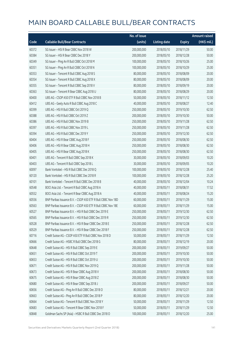|       |                                                              | No. of issue |                     |               | <b>Amount raised</b> |
|-------|--------------------------------------------------------------|--------------|---------------------|---------------|----------------------|
| Code  | <b>Callable Bull/Bear Contracts</b>                          | (units)      | <b>Listing date</b> | <b>Expiry</b> | (HK\$ mil.)          |
| 60372 | SG Issuer - HSI R Bear CBBC Nov 2018 W                       | 200,000,000  | 2018/05/10          | 2018/11/29    | 50.00                |
| 60384 | SG Issuer - HSI R Bear CBBC Dec 2018 Y                       | 200,000,000  | 2018/05/10          | 2018/12/28    | 50.00                |
| 60349 | SG Issuer - Ping An R Bull CBBC Oct 2018 M                   | 100,000,000  | 2018/05/10          | 2018/10/26    | 25.00                |
| 60351 | SG Issuer - Ping An R Bull CBBC Oct 2018 N                   | 100,000,000  | 2018/05/10          | 2018/10/29    | 25.00                |
| 60353 | SG Issuer - Tencent R Bull CBBC Aug 2018 S                   | 80,000,000   | 2018/05/10          | 2018/08/09    | 20.00                |
| 60354 | SG Issuer - Tencent R Bull CBBC Aug 2018 X                   | 80,000,000   | 2018/05/10          | 2018/08/09    | 20.00                |
| 60355 | SG Issuer - Tencent R Bull CBBC Sep 2018 V                   | 80,000,000   | 2018/05/10          | 2018/09/19    | 20.00                |
| 60363 | SG Issuer - Tencent R Bear CBBC Aug 2018 U                   | 80,000,000   | 2018/05/10          | 2018/08/29    | 20.00                |
| 60400 | UBS AG - CSOP A50 ETF R Bull CBBC Nov 2018 B                 | 50,000,000   | 2018/05/10          | 2018/11/12    | 12.50                |
| 60412 | UBS AG - Geely Auto R Bull CBBC Aug 2018 C                   | 40,000,000   | 2018/05/10          | 2018/08/27    | 12.40                |
| 60399 | UBS AG - HSI R Bull CBBC Oct 2019 Q                          | 250,000,000  | 2018/05/10          | 2019/10/30    | 62.50                |
| 60388 | UBS AG - HSI R Bull CBBC Oct 2019 Z                          | 200,000,000  | 2018/05/10          | 2019/10/30    | 50.00                |
| 60386 | UBS AG - HSI R Bull CBBC Nov 2019 B                          | 250,000,000  | 2018/05/10          | 2019/11/28    | 62.50                |
| 60397 | UBS AG - HSI R Bull CBBC Nov 2019 L                          | 250,000,000  | 2018/05/10          | 2019/11/28    | 62.50                |
| 60394 | UBS AG - HSI R Bull CBBC Dec 2019 Y                          | 250,000,000  | 2018/05/10          | 2019/12/30    | 62.50                |
| 60404 | UBS AG - HSI R Bear CBBC Aug 2018 F                          | 250,000,000  | 2018/05/10          | 2018/08/30    | 62.50                |
| 60406 | UBS AG - HSI R Bear CBBC Aug 2018 H                          | 250,000,000  | 2018/05/10          | 2018/08/30    | 62.50                |
| 60405 | UBS AG - HSI R Bear CBBC Aug 2018 K                          | 250,000,000  | 2018/05/10          | 2018/08/30    | 62.50                |
| 60401 | UBS AG - Tencent R Bull CBBC Sep 2018 K                      | 30,000,000   | 2018/05/10          | 2018/09/03    | 10.20                |
| 60403 | UBS AG - Tencent R Bull CBBC Sep 2018 L                      | 30,000,000   | 2018/05/10          | 2018/09/05    | 10.20                |
| 60097 | Bank Vontobel - HSI R Bull CBBC Dec 2018 Q                   | 100,000,000  | 2018/05/10          | 2018/12/28    | 25.40                |
| 60120 | Bank Vontobel - HSI R Bull CBBC Dec 2018 R                   | 100,000,000  | 2018/05/10          | 2018/12/28    | 25.20                |
| 60101 | Bank Vontobel - Tencent R Bull CBBC Dec 2018 B               | 40,000,000   | 2018/05/10          | 2018/12/04    | 10.24                |
| 60548 | BOCI Asia Ltd. - Tencent R Bull CBBC Aug 2018 A              | 40,000,000   | 2018/05/11          | 2018/08/31    | 17.52                |
| 60552 | BOCI Asia Ltd. - Tencent R Bear CBBC Aug 2018 A              | 40,000,000   | 2018/05/11          | 2018/08/24    | 15.20                |
| 60556 | BNP Paribas Issuance B.V. - CSOP A50 ETF R Bull CBBC Nov 18D | 60,000,000   | 2018/05/11          | 2018/11/29    | 15.00                |
| 60563 | BNP Paribas Issuance B.V. - CSOP A50 ETF R Bull CBBC Nov 18E | 60,000,000   | 2018/05/11          | 2018/11/29    | 15.00                |
| 60527 | BNP Paribas Issuance B.V. - HSLR Bull CBBC Dec 2019 F        | 250,000,000  | 2018/05/11          | 2019/12/30    | 62.50                |
| 60565 | BNP Paribas Issuance B.V. - HSI R Bull CBBC Dec 2019 R       | 250,000,000  | 2018/05/11          | 2019/12/30    | 62.50                |
| 60528 | BNP Paribas Issuance B.V. - HSI R Bear CBBC Dec 2018 E       | 250,000,000  | 2018/05/11          | 2018/12/28    | 62.50                |
| 60529 | BNP Paribas Issuance B.V. - HSI R Bear CBBC Dec 2018 F       | 250,000,000  | 2018/05/11          | 2018/12/28    | 62.50                |
| 60716 | Credit Suisse AG - CSOP A50 ETF R Bull CBBC Nov 2018 D       | 50,000,000   | 2018/05/11          | 2018/11/29    | 12.50                |
| 60666 | Credit Suisse AG - HSBC R Bull CBBC Dec 2018 G               | 80,000,000   | 2018/05/11          | 2018/12/19    | 20.00                |
| 60648 | Credit Suisse AG - HSI R Bull CBBC Sep 2019 E                | 200,000,000  | 2018/05/11          | 2019/09/27    | 50.00                |
| 60651 | Credit Suisse AG - HSI R Bull CBBC Oct 2019 T                | 200,000,000  | 2018/05/11          | 2019/10/30    | 50.00                |
| 60653 | Credit Suisse AG - HSI R Bull CBBC Oct 2019 U                | 200,000,000  | 2018/05/11          | 2019/10/30    | 50.00                |
| 60671 | Credit Suisse AG - HSI R Bull CBBC Nov 2019 Q                | 200,000,000  | 2018/05/11          | 2019/11/28    | 50.00                |
| 60673 | Credit Suisse AG - HSI R Bear CBBC Aug 2018 V                | 200,000,000  | 2018/05/11          | 2018/08/30    | 50.00                |
| 60675 | Credit Suisse AG - HSI R Bear CBBC Aug 2018 Z                | 200,000,000  | 2018/05/11          | 2018/08/30    | 50.00                |
| 60680 | Credit Suisse AG - HSI R Bear CBBC Sep 2018 J                | 200,000,000  | 2018/05/11          | 2018/09/27    | 50.00                |
| 60656 | Credit Suisse AG - Ping An R Bull CBBC Dec 2018 O            | 80,000,000   | 2018/05/11          | 2018/12/21    | 20.00                |
| 60663 | Credit Suisse AG - Ping An R Bull CBBC Dec 2018 P            | 80,000,000   | 2018/05/11          | 2018/12/20    | 20.00                |
| 60664 | Credit Suisse AG - Tencent R Bull CBBC Nov 2018 Y            | 50,000,000   | 2018/05/11          | 2018/11/29    | 12.50                |
| 60683 | Credit Suisse AG - Tencent R Bear CBBC Nov 2018 F            | 50,000,000   | 2018/05/11          | 2018/11/29    | 12.50                |
| 60848 | Goldman Sachs SP (Asia) - HSBC R Bull CBBC Dec 2018 O        | 100,000,000  | 2018/05/11          | 2018/12/20    | 25.00                |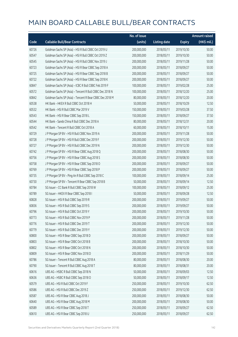|       |                                                          | No. of issue |                     |               | <b>Amount raised</b>  |
|-------|----------------------------------------------------------|--------------|---------------------|---------------|-----------------------|
| Code  | <b>Callable Bull/Bear Contracts</b>                      | (units)      | <b>Listing date</b> | <b>Expiry</b> | $(HK\frac{1}{2}mil.)$ |
| 60726 | Goldman Sachs SP (Asia) - HSI R Bull CBBC Oct 2019 U     | 200,000,000  | 2018/05/11          | 2019/10/30    | 50.00                 |
| 60547 | Goldman Sachs SP (Asia) - HSI R Bull CBBC Oct 2019 Z     | 200,000,000  | 2018/05/11          | 2019/10/30    | 50.00                 |
| 60545 | Goldman Sachs SP (Asia) - HSI R Bull CBBC Nov 2019 J     | 200,000,000  | 2018/05/11          | 2019/11/28    | 50.00                 |
| 60723 | Goldman Sachs SP (Asia) - HSI R Bear CBBC Sep 2018 A     | 200,000,000  | 2018/05/11          | 2018/09/27    | 50.00                 |
| 60725 | Goldman Sachs SP (Asia) - HSI R Bear CBBC Sep 2018 B     | 200,000,000  | 2018/05/11          | 2018/09/27    | 50.00                 |
| 60722 | Goldman Sachs SP (Asia) - HSI R Bear CBBC Sep 2018 K     | 200,000,000  | 2018/05/11          | 2018/09/27    | 50.00                 |
| 60847 | Goldman Sachs SP (Asia) - ICBC R Bull CBBC Feb 2019 F    | 100,000,000  | 2018/05/11          | 2019/02/28    | 25.00                 |
| 60572 | Goldman Sachs SP (Asia) - Tencent R Bull CBBC Dec 2018 N | 100,000,000  | 2018/05/11          | 2018/12/20    | 25.00                 |
| 60842 | Goldman Sachs SP (Asia) - Tencent R Bear CBBC Dec 2018 M | 80,000,000   | 2018/05/11          | 2018/12/20    | 20.00                 |
| 60538 | HK Bank - HKEX R Bull CBBC Oct 2018 H                    | 50,000,000   | 2018/05/11          | 2018/10/29    | 12.50                 |
| 60532 | HK Bank - HSI R Bull CBBC Mar 2019 V                     | 150,000,000  | 2018/05/11          | 2019/03/28    | 37.50                 |
| 60543 | HK Bank - HSI R Bear CBBC Sep 2018 L                     | 150,000,000  | 2018/05/11          | 2018/09/27    | 37.50                 |
| 60544 | HK Bank - Sands China R Bull CBBC Dec 2018 A             | 80,000,000   | 2018/05/11          | 2018/12/31    | 20.00                 |
| 60542 | HK Bank - Tencent R Bull CBBC Oct 2018 A                 | 60,000,000   | 2018/05/11          | 2018/10/11    | 15.00                 |
| 60729 | J P Morgan SP BV - HSI R Bull CBBC Nov 2019 A            | 200,000,000  | 2018/05/11          | 2019/11/28    | 50.00                 |
| 60728 | J P Morgan SP BV - HSI R Bull CBBC Dec 2019 F            | 200,000,000  | 2018/05/11          | 2019/12/30    | 50.00                 |
| 60727 | J P Morgan SP BV - HSI R Bull CBBC Dec 2019 N            | 200,000,000  | 2018/05/11          | 2019/12/30    | 50.00                 |
| 60742 | J P Morgan SP BV - HSI R Bear CBBC Aug 2018 Q            | 200,000,000  | 2018/05/11          | 2018/08/30    | 50.00                 |
| 60756 | J P Morgan SP BV - HSI R Bear CBBC Aug 2018 S            | 200,000,000  | 2018/05/11          | 2018/08/30    | 50.00                 |
| 60758 | J P Morgan SP BV - HSI R Bear CBBC Sep 2018 O            | 200,000,000  | 2018/05/11          | 2018/09/27    | 50.00                 |
| 60769 | J P Morgan SP BV - HSI R Bear CBBC Sep 2018 P            | 200,000,000  | 2018/05/11          | 2018/09/27    | 50.00                 |
| 60735 | J P Morgan SP BV - Ping An R Bull CBBC Sep 2018 C        | 100,000,000  | 2018/05/11          | 2018/09/14    | 25.00                 |
| 60730 | J P Morgan SP BV - Tencent R Bear CBBC Sep 2018 B        | 50,000,000   | 2018/05/11          | 2018/09/14    | 12.50                 |
| 60784 | SG Issuer - CC Bank R Bull CBBC Sep 2018 W               | 100,000,000  | 2018/05/11          | 2018/09/12    | 25.00                 |
| 60789 | SG Issuer - HKEX R Bear CBBC Sep 2018 I                  | 50,000,000   | 2018/05/11          | 2018/09/28    | 12.50                 |
| 60828 | SG Issuer - HSI R Bull CBBC Sep 2019 R                   | 200,000,000  | 2018/05/11          | 2019/09/27    | 50.00                 |
| 60836 | SG Issuer - HSI R Bull CBBC Sep 2019 S                   | 200,000,000  | 2018/05/11          | 2019/09/27    | 50.00                 |
| 60796 | SG Issuer - HSI R Bull CBBC Oct 2019 Y                   | 200,000,000  | 2018/05/11          | 2019/10/30    | 50.00                 |
| 60773 | SG Issuer - HSI R Bull CBBC Nov 2019 P                   | 200,000,000  | 2018/05/11          | 2019/11/28    | 50.00                 |
| 60776 | SG Issuer - HSI R Bull CBBC Dec 2019 T                   | 200,000,000  | 2018/05/11          | 2019/12/30    | 50.00                 |
| 60779 | SG Issuer - HSI R Bull CBBC Dec 2019 Y                   | 200,000,000  | 2018/05/11          | 2019/12/30    | 50.00                 |
| 60800 | SG Issuer - HSI R Bear CBBC Sep 2018 D                   | 200,000,000  | 2018/05/11          | 2018/09/27    | 50.00                 |
| 60803 | SG Issuer - HSI R Bear CBBC Oct 2018 B                   | 200,000,000  | 2018/05/11          | 2018/10/30    | 50.00                 |
| 60802 | SG Issuer - HSI R Bear CBBC Oct 2018 N                   | 200,000,000  | 2018/05/11          | 2018/10/30    | 50.00                 |
| 60809 | SG Issuer - HSI R Bear CBBC Nov 2018 D                   | 200,000,000  | 2018/05/11          | 2018/11/29    | 50.00                 |
| 60786 | SG Issuer - Tencent R Bull CBBC Aug 2018 A               | 80,000,000   | 2018/05/11          | 2018/08/30    | 20.00                 |
| 60790 | SG Issuer - Tencent R Bull CBBC Aug 2018 T               | 80,000,000   | 2018/05/11          | 2018/08/31    | 20.00                 |
| 60616 | UBS AG - HSBC R Bull CBBC Sep 2018 N                     | 50,000,000   | 2018/05/11          | 2018/09/03    | 12.50                 |
| 60636 | UBS AG - HSBC R Bull CBBC Sep 2018 O                     | 50,000,000   | 2018/05/11          | 2018/09/17    | 12.50                 |
| 60579 | UBS AG - HSI R Bull CBBC Oct 2019 F                      | 250,000,000  | 2018/05/11          | 2019/10/30    | 62.50                 |
| 60586 | UBS AG - HSI R Bull CBBC Dec 2019 Z                      | 250,000,000  | 2018/05/11          | 2019/12/30    | 62.50                 |
| 60587 | UBS AG - HSI R Bear CBBC Aug 2018 J                      | 200,000,000  | 2018/05/11          | 2018/08/30    | 50.00                 |
| 60640 | UBS AG - HSI R Bear CBBC Aug 2018 M                      | 200,000,000  | 2018/05/11          | 2018/08/30    | 50.00                 |
| 60589 | UBS AG - HSI R Bear CBBC Sep 2018 T                      | 250,000,000  | 2018/05/11          | 2018/09/27    | 62.50                 |
| 60610 | UBS AG - HSI R Bear CBBC Sep 2018 U                      | 250,000,000  | 2018/05/11          | 2018/09/27    | 62.50                 |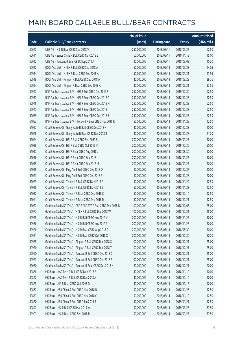|       |                                                               | No. of issue |                     |               | <b>Amount raised</b> |
|-------|---------------------------------------------------------------|--------------|---------------------|---------------|----------------------|
| Code  | <b>Callable Bull/Bear Contracts</b>                           | (units)      | <b>Listing date</b> | <b>Expiry</b> | (HK\$ mil.)          |
| 60642 | UBS AG - HSI R Bear CBBC Sep 2018 V                           | 250,000,000  | 2018/05/11          | 2018/09/27    | 62.50                |
| 60611 | UBS AG - Sands China R Bull CBBC Nov 2018 B                   | 60,000,000   | 2018/05/11          | 2018/11/19    | 15.00                |
| 60612 | UBS AG - Tencent R Bear CBBC Sep 2018 A                       | 30,000,000   | 2018/05/11          | 2018/09/03    | 10.20                |
| 60912 | BOCI Asia Ltd. - HKEX R Bull CBBC Sep 2018 A                  | 50,000,000   | 2018/05/14          | 2018/09/28    | 14.05                |
| 60914 | BOCI Asia Ltd. - HKEX R Bear CBBC Sep 2018 A                  | 50,000,000   | 2018/05/14          | 2018/09/21    | 13.95                |
| 60918 | BOCI Asia Ltd. - Ping An R Bull CBBC Sep 2018 A               | 40,000,000   | 2018/05/14          | 2018/09/28    | 29.36                |
| 60924 | BOCI Asia Ltd. - Ping An R Bear CBBC Sep 2018 A               | 40,000,000   | 2018/05/14          | 2018/09/21    | 33.56                |
| 60927 | BNP Paribas Issuance B.V. - HSI R Bull CBBC Dec 2019 F        | 250,000,000  | 2018/05/14          | 2019/12/30    | 62.50                |
| 60937 | BNP Paribas Issuance B.V. - HSI R Bear CBBC Dec 2018 G        | 250,000,000  | 2018/05/14          | 2018/12/28    | 62.50                |
| 60946 | BNP Paribas Issuance B.V. - HSI R Bear CBBC Dec 2018 H        | 250,000,000  | 2018/05/14          | 2018/12/28    | 62.50                |
| 60947 | BNP Paribas Issuance B.V. - HSI R Bear CBBC Dec 2018 I        | 250,000,000  | 2018/05/14          | 2018/12/28    | 62.50                |
| 61059 | BNP Paribas Issuance B.V. - HSI R Bear CBBC Dec 2018 J        | 250,000,000  | 2018/05/14          | 2018/12/28    | 62.50                |
| 61053 | BNP Paribas Issuance B.V. - Tencent R Bear CBBC Nov 2018 R    | 50,000,000   | 2018/05/14          | 2018/11/29    | 12.50                |
| 61027 | Credit Suisse AG - Geely Auto R Bull CBBC Dec 2018 H          | 40,000,000   | 2018/05/14          | 2018/12/28    | 10.00                |
| 61028 | Credit Suisse AG - Geely Auto R Bear CBBC Dec 2018 B          | 40,000,000   | 2018/05/14          | 2018/12/28    | 11.20                |
| 61024 | Credit Suisse AG - HSI R Bull CBBC Sep 2019 B                 | 200,000,000  | 2018/05/14          | 2019/09/27    | 50.00                |
| 61039 | Credit Suisse AG - HSI R Bull CBBC Oct 2019 V                 | 200,000,000  | 2018/05/14          | 2019/10/30    | 50.00                |
| 61017 | Credit Suisse AG - HSI R Bear CBBC Aug 2018 J                 | 200,000,000  | 2018/05/14          | 2018/08/30    | 50.00                |
| 61016 | Credit Suisse AG - HSI R Bear CBBC Sep 2018 I                 | 200,000,000  | 2018/05/14          | 2018/09/27    | 50.00                |
| 61015 | Credit Suisse AG - HSI R Bear CBBC Sep 2018 M                 | 200,000,000  | 2018/05/14          | 2018/09/27    | 50.00                |
| 61019 | Credit Suisse AG - Ping An R Bull CBBC Dec 2018 Q             | 80,000,000   | 2018/05/14          | 2018/12/27    | 20.00                |
| 61023 | Credit Suisse AG - Ping An R Bull CBBC Dec 2018 R             | 80,000,000   | 2018/05/14          | 2018/12/28    | 20.00                |
| 61029 | Credit Suisse AG - Tencent R Bull CBBC Nov 2018 A             | 50,000,000   | 2018/05/14          | 2018/11/29    | 12.50                |
| 61018 | Credit Suisse AG - Tencent R Bull CBBC Nov 2018 Z             | 50,000,000   | 2018/05/14          | 2018/11/23    | 12.50                |
| 61032 | Credit Suisse AG - Tencent R Bear CBBC Dec 2018 C             | 50,000,000   | 2018/05/14          | 2018/12/14    | 12.50                |
| 61041 | Credit Suisse AG - Tencent R Bear CBBC Dec 2018 D             | 50,000,000   | 2018/05/14          | 2018/12/21    | 12.50                |
| 61077 | Goldman Sachs SP (Asia) - CSOP A50 ETF R Bull CBBC Dec 2018 B | 100,000,000  | 2018/05/14          | 2018/12/03    | 25.00                |
| 60977 | Goldman Sachs SP (Asia) - HKEX R Bull CBBC Dec 2018 W         | 100,000,000  | 2018/05/14          | 2018/12/21    | 25.00                |
| 60955 | Goldman Sachs SP (Asia) - HSI R Bull CBBC Nov 2019 V          | 200,000,000  | 2018/05/14          | 2019/11/28    | 50.00                |
| 60956 | Goldman Sachs SP (Asia) - HSI R Bull CBBC Nov 2019 Z          | 200,000,000  | 2018/05/14          | 2019/11/28    | 50.00                |
| 60926 | Goldman Sachs SP (Asia) - HSI R Bear CBBC Aug 2018 R          | 200,000,000  | 2018/05/14          | 2018/08/30    | 50.00                |
| 60951 | Goldman Sachs SP (Asia) - HSI R Bear CBBC Oct 2018 X          | 200,000,000  | 2018/05/14          | 2018/10/30    | 50.20                |
| 60965 | Goldman Sachs SP (Asia) - Ping An R Bull CBBC Dec 2018 S      | 100,000,000  | 2018/05/14          | 2018/12/21    | 25.00                |
| 60970 | Goldman Sachs SP (Asia) - Ping An R Bull CBBC Dec 2018 T      | 100,000,000  | 2018/05/14          | 2018/12/21    | 25.00                |
| 60960 | Goldman Sachs SP (Asia) - Tencent R Bull CBBC Dec 2018 C      | 100,000,000  | 2018/05/14          | 2018/12/21    | 25.00                |
| 60963 | Goldman Sachs SP (Asia) - Tencent R Bull CBBC Dec 2018 F      | 100,000,000  | 2018/05/14          | 2018/12/21    | 25.00                |
| 61060 | Goldman Sachs SP (Asia) - Tencent R Bear CBBC Dec 2018 N      | 80,000,000   | 2018/05/14          | 2018/12/21    | 20.00                |
| 60886 | HK Bank - AAC Tech R Bull CBBC Nov 2018 B                     | 40,000,000   | 2018/05/14          | 2018/11/12    | 10.00                |
| 60892 | HK Bank - AAC Tech R Bull CBBC Dec 2018 A                     | 40,000,000   | 2018/05/14          | 2018/12/10    | 10.00                |
| 60875 | HK Bank - AIA R Bear CBBC Oct 2018 D                          | 40,000,000   | 2018/05/14          | 2018/10/15    | 10.00                |
| 60867 | HK Bank - A50 China R Bull CBBC Nov 2018 B                    | 50,000,000   | 2018/05/14          | 2018/11/26    | 12.50                |
| 60873 | HK Bank - A50 China R Bull CBBC Nov 2018 C                    | 50,000,000   | 2018/05/14          | 2018/11/12    | 12.50                |
| 60870 | HK Bank - A50 China R Bull CBBC Jan 2019 B                    | 50,000,000   | 2018/05/14          | 2019/01/21    | 12.50                |
| 60897 | HK Bank - HSI R Bull CBBC Mar 2019 W                          | 150,000,000  | 2018/05/14          | 2019/03/28    | 37.50                |
| 60903 | HK Bank - HSI R Bear CBBC Sep 2018 M                          | 150,000,000  | 2018/05/14          | 2018/09/27    | 37.50                |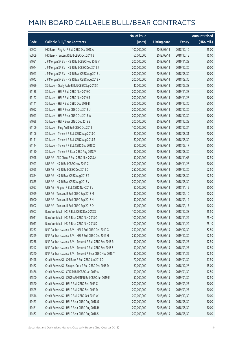|       |                                                            | No. of issue |                     |               | <b>Amount raised</b> |
|-------|------------------------------------------------------------|--------------|---------------------|---------------|----------------------|
| Code  | <b>Callable Bull/Bear Contracts</b>                        | (units)      | <b>Listing date</b> | <b>Expiry</b> | (HK\$ mil.)          |
| 60907 | HK Bank - Ping An R Bull CBBC Dec 2018 A                   | 100,000,000  | 2018/05/14          | 2018/12/10    | 25.00                |
| 60909 | HK Bank - Tencent R Bull CBBC Oct 2018 B                   | 60,000,000   | 2018/05/14          | 2018/10/15    | 15.00                |
| 61051 | J P Morgan SP BV - HSI R Bull CBBC Nov 2019 V              | 200,000,000  | 2018/05/14          | 2019/11/28    | 50.00                |
| 61044 | J P Morgan SP BV - HSI R Bull CBBC Dec 2019 J              | 200,000,000  | 2018/05/14          | 2019/12/30    | 50.00                |
| 61043 | J P Morgan SP BV - HSI R Bear CBBC Aug 2018 L              | 200,000,000  | 2018/05/14          | 2018/08/30    | 50.00                |
| 61042 | J P Morgan SP BV - HSI R Bear CBBC Aug 2018 X              | 200,000,000  | 2018/05/14          | 2018/08/30    | 50.00                |
| 61099 | SG Issuer - Geely Auto R Bull CBBC Sep 2018 K              | 40,000,000   | 2018/05/14          | 2018/09/28    | 10.00                |
| 61138 | SG Issuer - HSI R Bull CBBC Nov 2019 Q                     | 200,000,000  | 2018/05/14          | 2019/11/28    | 50.00                |
| 61127 | SG Issuer - HSI R Bull CBBC Nov 2019 R                     | 200,000,000  | 2018/05/14          | 2019/11/28    | 50.00                |
| 61141 | SG Issuer - HSI R Bull CBBC Dec 2019 B                     | 200,000,000  | 2018/05/14          | 2019/12/30    | 50.00                |
| 61092 | SG Issuer - HSI R Bear CBBC Oct 2018 U                     | 200,000,000  | 2018/05/14          | 2018/10/30    | 50.00                |
| 61093 | SG Issuer - HSI R Bear CBBC Oct 2018 W                     | 200,000,000  | 2018/05/14          | 2018/10/30    | 50.00                |
| 61098 | SG Issuer - HSI R Bear CBBC Dec 2018 Z                     | 200,000,000  | 2018/05/14          | 2018/12/28    | 50.00                |
| 61109 | SG Issuer - Ping An R Bull CBBC Oct 2018 I                 | 100,000,000  | 2018/05/14          | 2018/10/24    | 25.00                |
| 61106 | SG Issuer - Tencent R Bull CBBC Aug 2018 Q                 | 80,000,000   | 2018/05/14          | 2018/08/31    | 20.00                |
| 61111 | SG Issuer - Tencent R Bull CBBC Aug 2018 R                 | 80,000,000   | 2018/05/14          | 2018/08/30    | 20.00                |
| 61114 | SG Issuer - Tencent R Bull CBBC Sep 2018 X                 | 80,000,000   | 2018/05/14          | 2018/09/17    | 20.00                |
| 61150 | SG Issuer - Tencent R Bear CBBC Aug 2018 V                 | 80,000,000   | 2018/05/14          | 2018/08/30    | 20.00                |
| 60998 | UBS AG - A50 China R Bull CBBC Nov 2018 A                  | 50,000,000   | 2018/05/14          | 2018/11/05    | 12.50                |
| 60993 | UBS AG - HSI R Bull CBBC Nov 2019 C                        | 200,000,000  | 2018/05/14          | 2019/11/28    | 50.00                |
| 60995 | UBS AG - HSI R Bull CBBC Dec 2019 D                        | 250,000,000  | 2018/05/14          | 2019/12/30    | 62.50                |
| 60854 | UBS AG - HSI R Bear CBBC Aug 2018 T                        | 250,000,000  | 2018/05/14          | 2018/08/30    | 62.50                |
| 60855 | UBS AG - HSI R Bear CBBC Aug 2018 V                        | 200,000,000  | 2018/05/14          | 2018/08/30    | 50.00                |
| 60997 | UBS AG - Ping An R Bull CBBC Nov 2018 V                    | 80,000,000   | 2018/05/14          | 2018/11/19    | 20.00                |
| 60999 | UBS AG - Tencent R Bull CBBC Sep 2018 M                    | 30,000,000   | 2018/05/14          | 2018/09/10    | 10.20                |
| 61000 | UBS AG - Tencent R Bull CBBC Sep 2018 N                    | 30,000,000   | 2018/05/14          | 2018/09/19    | 10.20                |
| 61002 | UBS AG - Tencent R Bull CBBC Sep 2018 O                    | 30,000,000   | 2018/05/14          | 2018/09/17    | 10.20                |
| 61007 | Bank Vontobel - HSI R Bull CBBC Dec 2018 S                 | 100,000,000  | 2018/05/14          | 2018/12/28    | 25.50                |
| 61011 | Bank Vontobel - HSI R Bear CBBC Nov 2018 C                 | 100,000,000  | 2018/05/14          | 2018/11/29    | 25.40                |
| 61013 | Bank Vontobel - HSI R Bear CBBC Nov 2018 D                 | 100,000,000  | 2018/05/14          | 2018/11/29    | 25.10                |
| 61237 | BNP Paribas Issuance B.V. - HSI R Bull CBBC Dec 2019 G     | 250,000,000  | 2018/05/15          | 2019/12/30    | 62.50                |
| 61299 | BNP Paribas Issuance B.V. - HSI R Bull CBBC Dec 2019 H     | 250,000,000  | 2018/05/15          | 2019/12/30    | 62.50                |
| 61238 | BNP Paribas Issuance B.V. - Tencent R Bull CBBC Sep 2018 R | 50,000,000   | 2018/05/15          | 2018/09/27    | 12.50                |
| 61242 | BNP Paribas Issuance B.V. - Tencent R Bull CBBC Sep 2018 S | 50,000,000   | 2018/05/15          | 2018/09/27    | 12.50                |
| 61240 | BNP Paribas Issuance B.V. - Tencent R Bear CBBC Nov 2018 T | 50,000,000   | 2018/05/15          | 2018/11/29    | 12.50                |
| 61498 | Credit Suisse AG - CM Bank R Bull CBBC Jan 2019 D          | 70,000,000   | 2018/05/15          | 2019/01/30    | 17.50                |
| 61482 | Credit Suisse AG - Sinopec Corp R Bull CBBC Dec 2018 D     | 60,000,000   | 2018/05/15          | 2018/12/28    | 15.00                |
| 61486 | Credit Suisse AG - CPIC R Bull CBBC Jan 2019 A             | 50,000,000   | 2018/05/15          | 2019/01/30    | 12.50                |
| 61500 | Credit Suisse AG - CSOP A50 ETF R Bull CBBC Jan 2019 E     | 50,000,000   | 2018/05/15          | 2019/01/30    | 12.50                |
| 61520 | Credit Suisse AG - HSI R Bull CBBC Sep 2019 C              | 200,000,000  | 2018/05/15          | 2019/09/27    | 50.00                |
| 61525 | Credit Suisse AG - HSI R Bull CBBC Sep 2019 D              | 200,000,000  | 2018/05/15          | 2019/09/27    | 50.00                |
| 61516 | Credit Suisse AG - HSI R Bull CBBC Oct 2019 W              | 200,000,000  | 2018/05/15          | 2019/10/30    | 50.00                |
| 61473 | Credit Suisse AG - HSI R Bear CBBC Aug 2018 G              | 200,000,000  | 2018/05/15          | 2018/08/30    | 50.00                |
| 61481 | Credit Suisse AG - HSI R Bear CBBC Aug 2018 H              | 200,000,000  | 2018/05/15          | 2018/08/30    | 50.00                |
| 61467 | Credit Suisse AG - HSI R Bear CBBC Aug 2018 S              | 200,000,000  | 2018/05/15          | 2018/08/30    | 50.00                |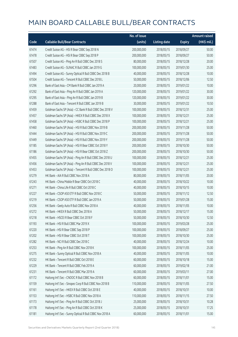|       |                                                          | No. of issue |                     |               | <b>Amount raised</b> |
|-------|----------------------------------------------------------|--------------|---------------------|---------------|----------------------|
| Code  | <b>Callable Bull/Bear Contracts</b>                      | (units)      | <b>Listing date</b> | <b>Expiry</b> | (HK\$ mil.)          |
| 61474 | Credit Suisse AG - HSI R Bear CBBC Sep 2018 N            | 200,000,000  | 2018/05/15          | 2018/09/27    | 50.00                |
| 61478 | Credit Suisse AG - HSI R Bear CBBC Sep 2018 P            | 200,000,000  | 2018/05/15          | 2018/09/27    | 50.00                |
| 61507 | Credit Suisse AG - Ping An R Bull CBBC Dec 2018 S        | 80,000,000   | 2018/05/15          | 2018/12/28    | 20.00                |
| 61483 | Credit Suisse AG - SUNAC R Bull CBBC Jan 2019 G          | 100,000,000  | 2018/05/15          | 2019/01/30    | 25.00                |
| 61494 | Credit Suisse AG - Sunny Optical R Bull CBBC Dec 2018 B  | 40,000,000   | 2018/05/15          | 2018/12/28    | 10.00                |
| 61504 | Credit Suisse AG - Tencent R Bull CBBC Dec 2018 L        | 50,000,000   | 2018/05/15          | 2018/12/06    | 12.50                |
| 61296 | Bank of East Asia - CM Bank R Bull CBBC Jan 2019 A       | 20,000,000   | 2018/05/15          | 2019/01/22    | 10.00                |
| 61292 | Bank of East Asia - Ping An R Bull CBBC Jan 2019 A       | 120,000,000  | 2018/05/15          | 2019/01/22    | 30.00                |
| 61295 | Bank of East Asia - Ping An R Bull CBBC Jan 2019 B       | 120,000,000  | 2018/05/15          | 2019/01/22    | 30.00                |
| 61288 | Bank of East Asia - Tencent R Bull CBBC Jan 2019 B       | 30,000,000   | 2018/05/15          | 2019/01/22    | 10.50                |
| 61459 | Goldman Sachs SP (Asia) - CC Bank R Bull CBBC Dec 2018 V | 100,000,000  | 2018/05/15          | 2018/12/31    | 25.00                |
| 61457 | Goldman Sachs SP (Asia) - HKEX R Bull CBBC Dec 2018 X    | 100,000,000  | 2018/05/15          | 2018/12/21    | 25.00                |
| 61458 | Goldman Sachs SP (Asia) - HSBC R Bull CBBC Dec 2018 P    | 100,000,000  | 2018/05/15          | 2018/12/21    | 25.00                |
| 61460 | Goldman Sachs SP (Asia) - HSI R Bull CBBC Nov 2019 B     | 200,000,000  | 2018/05/15          | 2019/11/28    | 50.00                |
| 61444 | Goldman Sachs SP (Asia) - HSI R Bull CBBC Nov 2019 C     | 200,000,000  | 2018/05/15          | 2019/11/28    | 50.00                |
| 61449 | Goldman Sachs SP (Asia) - HSI R Bull CBBC Nov 2019 Y     | 200,000,000  | 2018/05/15          | 2019/11/28    | 50.00                |
| 61185 | Goldman Sachs SP (Asia) - HSI R Bear CBBC Oct 2018 Y     | 200,000,000  | 2018/05/15          | 2018/10/30    | 50.00                |
| 61186 | Goldman Sachs SP (Asia) - HSI R Bear CBBC Oct 2018 Z     | 200,000,000  | 2018/05/15          | 2018/10/30    | 50.00                |
| 61455 | Goldman Sachs SP (Asia) - Ping An R Bull CBBC Dec 2018 U | 100,000,000  | 2018/05/15          | 2018/12/21    | 25.00                |
| 61456 | Goldman Sachs SP (Asia) - Ping An R Bull CBBC Dec 2018 V | 100,000,000  | 2018/05/15          | 2018/12/21    | 25.00                |
| 61453 | Goldman Sachs SP (Asia) - Tencent R Bull CBBC Dec 2018 O | 100,000,000  | 2018/05/15          | 2018/12/21    | 25.00                |
| 61279 | HK Bank - AIA R Bull CBBC Nov 2018 A                     | 80,000,000   | 2018/05/15          | 2018/11/05    | 20.00                |
| 61243 | HK Bank - China Mobile R Bear CBBC Oct 2018 C            | 40,000,000   | 2018/05/15          | 2018/10/22    | 10.00                |
| 61271 | HK Bank - China Life R Bull CBBC Oct 2018 C              | 40,000,000   | 2018/05/15          | 2018/10/15    | 10.00                |
| 61227 | HK Bank - CSOP A50 ETF R Bull CBBC Nov 2018 C            | 50,000,000   | 2018/05/15          | 2018/11/12    | 12.50                |
| 61219 | HK Bank - CSOP A50 ETF R Bull CBBC Jan 2019 A            | 50,000,000   | 2018/05/15          | 2019/01/28    | 15.00                |
| 61256 | HK Bank - Geely Auto R Bull CBBC Nov 2018 A              | 40,000,000   | 2018/05/15          | 2018/11/05    | 10.00                |
| 61272 | HK Bank - HKEX R Bull CBBC Dec 2018 A                    | 50,000,000   | 2018/05/15          | 2018/12/17    | 15.00                |
| 61218 | HK Bank - HSCEI R Bear CBBC Oct 2018 F                   | 50,000,000   | 2018/05/15          | 2018/10/30    | 12.50                |
| 61193 | HK Bank - HSI R Bull CBBC Mar 2019 X                     | 100,000,000  | 2018/05/15          | 2019/03/28    | 25.00                |
| 61220 | HK Bank - HSI R Bear CBBC Sep 2018 P                     | 100,000,000  | 2018/05/15          | 2018/09/27    | 25.00                |
| 61202 | HK Bank - HSI R Bear CBBC Oct 2018 T                     | 100,000,000  | 2018/05/15          | 2018/10/30    | 25.00                |
| 61282 | HK Bank - NCI R Bull CBBC Dec 2018 C                     | 40,000,000   | 2018/05/15          | 2018/12/24    | 10.00                |
| 61253 | HK Bank - Ping An R Bull CBBC Nov 2018 K                 | 100,000,000  | 2018/05/15          | 2018/11/05    | 25.00                |
| 61275 | HK Bank - Sunny Optical R Bull CBBC Nov 2018 A           | 40,000,000   | 2018/05/15          | 2018/11/05    | 10.00                |
| 61232 | HK Bank - Tencent R Bull CBBC Oct 2018 E                 | 60,000,000   | 2018/05/15          | 2018/10/18    | 15.00                |
| 61229 | HK Bank - Tencent R Bull CBBC Feb 2019 A                 | 60,000,000   | 2018/05/15          | 2019/02/18    | 21.00                |
| 61231 | HK Bank - Tencent R Bull CBBC Mar 2019 A                 | 60,000,000   | 2018/05/15          | 2019/03/11    | 27.00                |
| 61172 | Haitong Int'l Sec - CNOOC R Bull CBBC Nov 2018 B         | 60,000,000   | 2018/05/15          | 2018/11/01    | 15.00                |
| 61159 | Haitong Int'l Sec - Sinopec Corp R Bull CBBC Nov 2018 B  | 110,000,000  | 2018/05/15          | 2018/11/05    | 27.50                |
| 61161 | Haitong Int'l Sec - HKEX R Bull CBBC Oct 2018 E          | 40,000,000   | 2018/05/15          | 2018/10/31    | 10.00                |
| 61153 | Haitong Int'l Sec - HSBC R Bull CBBC Nov 2018 A          | 110,000,000  | 2018/05/15          | 2018/11/15    | 27.50                |
| 61173 | Haitong Int'l Sec - Ping An R Bull CBBC Oct 2018 J       | 25,000,000   | 2018/05/15          | 2018/10/31    | 10.28                |
| 61178 | Haitong Int'l Sec - Ping An R Bull CBBC Oct 2018 K       | 25,000,000   | 2018/05/15          | 2018/10/31    | 17.25                |
| 61181 | Haitong Int'l Sec - Sunny Optical R Bull CBBC Nov 2018 A | 60,000,000   | 2018/05/15          | 2018/11/01    | 15.00                |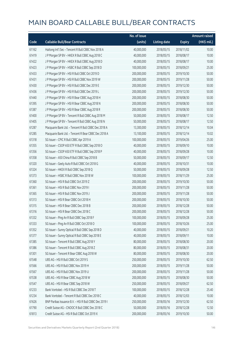|       |                                                        | No. of issue |                     |               | <b>Amount raised</b> |
|-------|--------------------------------------------------------|--------------|---------------------|---------------|----------------------|
| Code  | <b>Callable Bull/Bear Contracts</b>                    | (units)      | <b>Listing date</b> | <b>Expiry</b> | (HK\$ mil.)          |
| 61162 | Haitong Int'l Sec - Tencent R Bull CBBC Nov 2018 A     | 40,000,000   | 2018/05/15          | 2018/11/02    | 10.00                |
| 61419 | J P Morgan SP BV - HKEX R Bull CBBC Aug 2018 C         | 40,000,000   | 2018/05/15          | 2018/08/17    | 10.00                |
| 61422 | J P Morgan SP BV - HKEX R Bull CBBC Aug 2018 D         | 40,000,000   | 2018/05/15          | 2018/08/17    | 10.00                |
| 61423 | J P Morgan SP BV - HSBC R Bull CBBC Sep 2018 D         | 100,000,000  | 2018/05/15          | 2018/09/21    | 25.00                |
| 61433 | J P Morgan SP BV - HSI R Bull CBBC Oct 2019 D          | 200,000,000  | 2018/05/15          | 2019/10/30    | 50.00                |
| 61431 | J P Morgan SP BV - HSI R Bull CBBC Nov 2019 W          | 200,000,000  | 2018/05/15          | 2019/11/28    | 50.00                |
| 61430 | J P Morgan SP BV - HSI R Bull CBBC Dec 2019 E          | 200,000,000  | 2018/05/15          | 2019/12/30    | 50.00                |
| 61436 | J P Morgan SP BV - HSI R Bull CBBC Dec 2019 L          | 200,000,000  | 2018/05/15          | 2019/12/30    | 50.00                |
| 61440 | J P Morgan SP BV - HSI R Bear CBBC Aug 2018 H          | 200,000,000  | 2018/05/15          | 2018/08/30    | 50.00                |
| 61395 | J P Morgan SP BV - HSI R Bear CBBC Aug 2018 N          | 200,000,000  | 2018/05/15          | 2018/08/30    | 50.00                |
| 61387 | J P Morgan SP BV - HSI R Bear CBBC Aug 2018 R          | 200,000,000  | 2018/05/15          | 2018/08/30    | 50.00                |
| 61400 | J P Morgan SP BV - Tencent R Bull CBBC Aug 2018 M      | 50,000,000   | 2018/05/15          | 2018/08/17    | 12.50                |
| 61405 | J P Morgan SP BV - Tencent R Bull CBBC Aug 2018 N      | 50,000,000   | 2018/05/15          | 2018/08/17    | 12.50                |
| 61287 | Macquarie Bank Ltd. - Tencent R Bull CBBC Dec 2018 A   | 13,300,000   | 2018/05/15          | 2018/12/14    | 10.04                |
| 61285 | Macquarie Bank Ltd. - Tencent R Bear CBBC Dec 2018 A   | 13,100,000   | 2018/05/15          | 2018/12/14    | 10.02                |
| 61318 | SG Issuer - CPIC R Bull CBBC Apr 2019 A                | 100,000,000  | 2018/05/15          | 2019/04/26    | 25.00                |
| 61355 | SG Issuer - CSOP A50 ETF R Bull CBBC Sep 2018 O        | 40,000,000   | 2018/05/15          | 2018/09/10    | 10.00                |
| 61356 | SG Issuer - CSOP A50 ETF R Bull CBBC Sep 2018 P        | 40,000,000   | 2018/05/15          | 2018/09/28    | 10.00                |
| 61358 | SG Issuer - A50 China R Bull CBBC Sep 2018 B           | 50,000,000   | 2018/05/15          | 2018/09/17    | 12.50                |
| 61320 | SG Issuer - Geely Auto R Bull CBBC Oct 2018 G          | 40,000,000   | 2018/05/15          | 2018/10/31    | 10.00                |
| 61324 | SG Issuer - HKEX R Bull CBBC Sep 2018 Q                | 50,000,000   | 2018/05/15          | 2018/09/28    | 12.50                |
| 61373 | SG Issuer - HSBC R Bull CBBC Nov 2018 W                | 100,000,000  | 2018/05/15          | 2018/11/29    | 25.00                |
| 61360 | SG Issuer - HSI R Bull CBBC Oct 2019 Z                 | 200,000,000  | 2018/05/15          | 2019/10/30    | 50.00                |
| 61361 | SG Issuer - HSI R Bull CBBC Nov 2019 I                 | 200,000,000  | 2018/05/15          | 2019/11/28    | 50.00                |
| 61365 | SG Issuer - HSI R Bull CBBC Nov 2019 J                 | 200,000,000  | 2018/05/15          | 2019/11/28    | 50.00                |
| 61313 | SG Issuer - HSI R Bear CBBC Oct 2018 H                 | 200,000,000  | 2018/05/15          | 2018/10/30    | 50.00                |
| 61315 | SG Issuer - HSI R Bear CBBC Dec 2018 B                 | 200,000,000  | 2018/05/15          | 2018/12/28    | 50.00                |
| 61316 | SG Issuer - HSI R Bear CBBC Dec 2018 C                 | 200,000,000  | 2018/05/15          | 2018/12/28    | 50.00                |
| 61332 | SG Issuer - Ping An R Bull CBBC Sep 2018 F             | 100,000,000  | 2018/05/15          | 2018/09/28    | 25.00                |
| 61333 | SG Issuer - Ping An R Bull CBBC Oct 2018 O             | 100,000,000  | 2018/05/15          | 2018/10/26    | 25.00                |
| 61352 | SG Issuer - Sunny Optical R Bull CBBC Sep 2018 D       | 40,000,000   | 2018/05/15          | 2018/09/21    | 10.20                |
| 61377 | SG Issuer - Sunny Optical R Bull CBBC Sep 2018 E       | 40,000,000   | 2018/05/15          | 2018/09/11    | 10.00                |
| 61385 | SG Issuer - Tencent R Bull CBBC Aug 2018 Y             | 80,000,000   | 2018/05/15          | 2018/08/30    | 20.00                |
| 61386 | SG Issuer - Tencent R Bull CBBC Aug 2018 Z             | 80,000,000   | 2018/05/15          | 2018/08/31    | 20.00                |
| 61301 | SG Issuer - Tencent R Bear CBBC Aug 2018 W             | 80,000,000   | 2018/05/15          | 2018/08/30    | 20.00                |
| 61548 | UBS AG - HSI R Bull CBBC Oct 2019 S                    | 250,000,000  | 2018/05/15          | 2019/10/30    | 62.50                |
| 61566 | UBS AG - HSI R Bull CBBC Nov 2019 H                    | 200,000,000  | 2018/05/15          | 2019/11/28    | 50.00                |
| 61567 | UBS AG - HSI R Bull CBBC Nov 2019 U                    | 200,000,000  | 2018/05/15          | 2019/11/28    | 50.00                |
| 61538 | UBS AG - HSI R Bear CBBC Aug 2018 W                    | 200,000,000  | 2018/05/15          | 2018/08/30    | 50.00                |
| 61547 | UBS AG - HSI R Bear CBBC Sep 2018 W                    | 250,000,000  | 2018/05/15          | 2018/09/27    | 62.50                |
| 61233 | Bank Vontobel - HSI R Bull CBBC Dec 2018 T             | 100,000,000  | 2018/05/15          | 2018/12/28    | 25.40                |
| 61234 | Bank Vontobel - Tencent R Bull CBBC Dec 2018 C         | 40,000,000   | 2018/05/15          | 2018/12/03    | 10.00                |
| 61626 | BNP Paribas Issuance B.V. - HSI R Bull CBBC Dec 2019 I | 250,000,000  | 2018/05/16          | 2019/12/30    | 62.50                |
| 61790 | Credit Suisse AG - CNOOC R Bull CBBC Dec 2018 C        | 50,000,000   | 2018/05/16          | 2018/12/28    | 12.50                |
| 61813 | Credit Suisse AG - HSI R Bull CBBC Oct 2019 X          | 200,000,000  | 2018/05/16          | 2019/10/30    | 50.00                |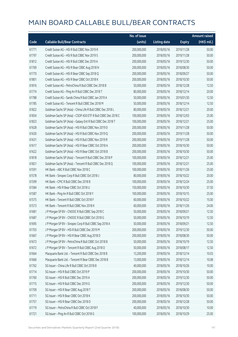|       |                                                               | No. of issue |                     |               | <b>Amount raised</b> |
|-------|---------------------------------------------------------------|--------------|---------------------|---------------|----------------------|
| Code  | <b>Callable Bull/Bear Contracts</b>                           | (units)      | <b>Listing date</b> | <b>Expiry</b> | (HK\$ mil.)          |
| 61771 | Credit Suisse AG - HSI R Bull CBBC Nov 2019 R                 | 200,000,000  | 2018/05/16          | 2019/11/28    | 50.00                |
| 61797 | Credit Suisse AG - HSI R Bull CBBC Nov 2019 S                 | 200,000,000  | 2018/05/16          | 2019/11/28    | 50.00                |
| 61812 | Credit Suisse AG - HSI R Bull CBBC Dec 2019 A                 | 200,000,000  | 2018/05/16          | 2019/12/30    | 50.00                |
| 61769 | Credit Suisse AG - HSI R Bear CBBC Aug 2018 N                 | 200,000,000  | 2018/05/16          | 2018/08/30    | 50.00                |
| 61770 | Credit Suisse AG - HSI R Bear CBBC Sep 2018 Q                 | 200,000,000  | 2018/05/16          | 2018/09/27    | 50.00                |
| 61801 | Credit Suisse AG - HSI R Bear CBBC Oct 2018 K                 | 200,000,000  | 2018/05/16          | 2018/10/30    | 50.00                |
| 61816 | Credit Suisse AG - PetroChina R Bull CBBC Dec 2018 B          | 50,000,000   | 2018/05/16          | 2018/12/28    | 12.50                |
| 61774 | Credit Suisse AG - Ping An R Bull CBBC Dec 2018 T             | 80,000,000   | 2018/05/16          | 2018/12/14    | 20.00                |
| 61788 | Credit Suisse AG - Sands China R Bull CBBC Jan 2019 A         | 50,000,000   | 2018/05/16          | 2019/01/30    | 12.50                |
| 61785 | Credit Suisse AG - Tencent R Bull CBBC Dec 2018 M             | 50,000,000   | 2018/05/16          | 2018/12/14    | 12.50                |
| 61822 | Goldman Sachs SP (Asia) - China Life R Bull CBBC Dec 2018 L   | 80,000,000   | 2018/05/16          | 2018/12/21    | 20.00                |
| 61834 | Goldman Sachs SP (Asia) - CSOP A50 ETF R Bull CBBC Dec 2018 C | 100,000,000  | 2018/05/16          | 2018/12/03    | 25.00                |
| 61823 | Goldman Sachs SP (Asia) - Galaxy Ent R Bull CBBC Dec 2018 T   | 100,000,000  | 2018/05/16          | 2018/12/21    | 25.00                |
| 61628 | Goldman Sachs SP (Asia) - HSI R Bull CBBC Nov 2019 D          | 200,000,000  | 2018/05/16          | 2019/11/28    | 50.00                |
| 61630 | Goldman Sachs SP (Asia) - HSI R Bull CBBC Nov 2019 Q          | 200,000,000  | 2018/05/16          | 2019/11/28    | 50.00                |
| 61631 | Goldman Sachs SP (Asia) - HSI R Bull CBBC Nov 2019 R          | 200,000,000  | 2018/05/16          | 2019/11/28    | 50.00                |
| 61617 | Goldman Sachs SP (Asia) - HSI R Bear CBBC Oct 2018 A          | 200,000,000  | 2018/05/16          | 2018/10/30    | 50.00                |
| 61622 | Goldman Sachs SP (Asia) - HSI R Bear CBBC Oct 2018 B          | 200,000,000  | 2018/05/16          | 2018/10/30    | 50.00                |
| 61818 | Goldman Sachs SP (Asia) - Tencent R Bull CBBC Dec 2018 P      | 100,000,000  | 2018/05/16          | 2018/12/21    | 25.00                |
| 61821 | Goldman Sachs SP (Asia) - Tencent R Bull CBBC Dec 2018 Q      | 100,000,000  | 2018/05/16          | 2018/12/21    | 25.00                |
| 61591 | HK Bank - ABC R Bull CBBC Nov 2018 C                          | 100,000,000  | 2018/05/16          | 2018/11/26    | 25.00                |
| 61578 | HK Bank - Sinopec Corp R Bull CBBC Oct 2018 J                 | 80,000,000   | 2018/05/16          | 2018/10/22    | 20.00                |
| 61599 | HK Bank - CPIC R Bull CBBC Dec 2018 B                         | 100,000,000  | 2018/05/16          | 2018/12/24    | 25.00                |
| 61584 | HK Bank - HSI R Bear CBBC Oct 2018 U                          | 150,000,000  | 2018/05/16          | 2018/10/30    | 37.50                |
| 61587 | HK Bank - Ping An R Bull CBBC Oct 2018 Y                      | 100,000,000  | 2018/05/16          | 2018/10/15    | 25.00                |
| 61575 | HK Bank - Tencent R Bull CBBC Oct 2018 F                      | 60,000,000   | 2018/05/16          | 2018/10/22    | 15.00                |
| 61573 | HK Bank - Tencent R Bull CBBC Nov 2018 K                      | 60,000,000   | 2018/05/16          | 2018/11/26    | 24.00                |
| 61681 | J P Morgan SP BV - CNOOC R Bull CBBC Sep 2018 C               | 50,000,000   | 2018/05/16          | 2018/09/21    | 12.50                |
| 61687 | J P Morgan SP BV - CNOOC R Bull CBBC Oct 2018 G               | 50,000,000   | 2018/05/16          | 2018/10/19    | 12.50                |
| 61695 | J P Morgan SP BV - Sinopec Corp R Bull CBBC Sep 2018 A        | 50,000,000   | 2018/05/16          | 2018/09/21    | 12.50                |
| 61703 | J P Morgan SP BV - HSI R Bull CBBC Dec 2019 M                 | 200,000,000  | 2018/05/16          | 2019/12/30    | 50.00                |
| 61667 | J P Morgan SP BV - HSI R Bear CBBC Aug 2018 D                 | 200,000,000  | 2018/05/16          | 2018/08/30    | 50.00                |
| 61673 | J P Morgan SP BV - PetroChina R Bull CBBC Oct 2018 B          | 50,000,000   | 2018/05/16          | 2018/10/19    | 12.50                |
| 61672 | J P Morgan SP BV - Tencent R Bull CBBC Aug 2018 O             | 50,000,000   | 2018/05/16          | 2018/08/17    | 12.50                |
| 61664 | Macquarie Bank Ltd. - Tencent R Bull CBBC Dec 2018 B          | 13,200,000   | 2018/05/16          | 2018/12/14    | 10.03                |
| 61666 | Macquarie Bank Ltd. - Tencent R Bear CBBC Dec 2018 B          | 13,000,000   | 2018/05/16          | 2018/12/14    | 10.08                |
| 61762 | SG Issuer - China Life R Bull CBBC Oct 2018 B                 | 40,000,000   | 2018/05/16          | 2018/10/26    | 10.00                |
| 61714 | SG Issuer - HSI R Bull CBBC Oct 2019 P                        | 200,000,000  | 2018/05/16          | 2019/10/30    | 50.00                |
| 61760 | SG Issuer - HSI R Bull CBBC Dec 2019 A                        | 200,000,000  | 2018/05/16          | 2019/12/30    | 50.00                |
| 61715 | SG Issuer - HSI R Bull CBBC Dec 2019 G                        | 200,000,000  | 2018/05/16          | 2019/12/30    | 50.00                |
| 61709 | SG Issuer - HSI R Bear CBBC Aug 2018 T                        | 200,000,000  | 2018/05/16          | 2018/08/30    | 50.00                |
| 61711 | SG Issuer - HSI R Bear CBBC Oct 2018 K                        | 200,000,000  | 2018/05/16          | 2018/10/30    | 50.00                |
| 61757 | SG Issuer - HSI R Bear CBBC Dec 2018 D                        | 200,000,000  | 2018/05/16          | 2018/12/28    | 50.00                |
| 61719 | SG Issuer - PetroChina R Bull CBBC Oct 2018 F                 | 40,000,000   | 2018/05/16          | 2018/10/30    | 10.00                |
| 61721 | SG Issuer - Ping An R Bull CBBC Oct 2018 G                    | 100,000,000  | 2018/05/16          | 2018/10/29    | 25.00                |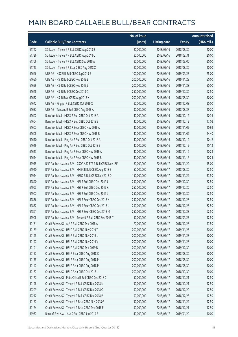|       |                                                              | No. of issue |                     |               | <b>Amount raised</b> |
|-------|--------------------------------------------------------------|--------------|---------------------|---------------|----------------------|
| Code  | <b>Callable Bull/Bear Contracts</b>                          | (units)      | <b>Listing date</b> | <b>Expiry</b> | (HK\$ mil.)          |
| 61722 | SG Issuer - Tencent R Bull CBBC Aug 2018 B                   | 80,000,000   | 2018/05/16          | 2018/08/30    | 20.00                |
| 61726 | SG Issuer - Tencent R Bull CBBC Aug 2018 C                   | 80,000,000   | 2018/05/16          | 2018/08/31    | 20.00                |
| 61766 | SG Issuer - Tencent R Bull CBBC Sep 2018 A                   | 80,000,000   | 2018/05/16          | 2018/09/06    | 20.00                |
| 61713 | SG Issuer - Tencent R Bear CBBC Aug 2018 X                   | 80,000,000   | 2018/05/16          | 2018/08/30    | 20.00                |
| 61646 | UBS AG - HSCEI R Bull CBBC Sep 2019 E                        | 100,000,000  | 2018/05/16          | 2019/09/27    | 25.00                |
| 61650 | UBS AG - HSI R Bull CBBC Nov 2019 E                          | 200,000,000  | 2018/05/16          | 2019/11/28    | 50.00                |
| 61659 | UBS AG - HSI R Bull CBBC Nov 2019 Z                          | 200,000,000  | 2018/05/16          | 2019/11/28    | 50.00                |
| 61648 | UBS AG - HSI R Bull CBBC Dec 2019 Q                          | 250,000,000  | 2018/05/16          | 2019/12/30    | 62.50                |
| 61632 | UBS AG - HSI R Bear CBBC Aug 2018 X                          | 200,000,000  | 2018/05/16          | 2018/08/30    | 50.00                |
| 61642 | UBS AG - Ping An R Bull CBBC Oct 2018 X                      | 80,000,000   | 2018/05/16          | 2018/10/08    | 20.00                |
| 61637 | UBS AG - Tencent R Bull CBBC Aug 2018 A                      | 30,000,000   | 2018/05/16          | 2018/08/27    | 10.20                |
| 61602 | Bank Vontobel - HKEX R Bull CBBC Oct 2018 A                  | 40,000,000   | 2018/05/16          | 2018/10/12    | 10.36                |
| 61604 | Bank Vontobel - HKEX R Bull CBBC Oct 2018 B                  | 40,000,000   | 2018/05/16          | 2018/10/12    | 17.08                |
| 61607 | Bank Vontobel - HKEX R Bear CBBC Nov 2018 A                  | 40,000,000   | 2018/05/16          | 2018/11/09    | 10.68                |
| 61608 | Bank Vontobel - HKEX R Bear CBBC Nov 2018 B                  | 40,000,000   | 2018/05/16          | 2018/11/09    | 14.40                |
| 61610 | Bank Vontobel - Ping An R Bull CBBC Oct 2018 A               | 40,000,000   | 2018/05/16          | 2018/10/19    | 10.12                |
| 61616 | Bank Vontobel - Ping An R Bull CBBC Oct 2018 B               | 40,000,000   | 2018/05/16          | 2018/10/19    | 10.12                |
| 61613 | Bank Vontobel - Ping An R Bear CBBC Nov 2018 A               | 40,000,000   | 2018/05/16          | 2018/11/16    | 10.28                |
| 61614 | Bank Vontobel - Ping An R Bear CBBC Nov 2018 B               | 40,000,000   | 2018/05/16          | 2018/11/16    | 10.24                |
| 61915 | BNP Paribas Issuance B.V. - CSOP A50 ETF R Bull CBBC Nov 18F | 60,000,000   | 2018/05/17          | 2018/11/29    | 15.00                |
| 61910 | BNP Paribas Issuance B.V. - HKEX R Bull CBBC Aug 2018 B      | 50,000,000   | 2018/05/17          | 2018/08/30    | 12.50                |
| 61914 | BNP Paribas Issuance B.V. - HSBC R Bull CBBC Nov 2018 D      | 150,000,000  | 2018/05/17          | 2018/11/29    | 37.50                |
| 61890 | BNP Paribas Issuance B.V. - HSI R Bull CBBC Dec 2019 J       | 250,000,000  | 2018/05/17          | 2019/12/30    | 62.50                |
| 61903 | BNP Paribas Issuance B.V. - HSI R Bull CBBC Dec 2019 K       | 250,000,000  | 2018/05/17          | 2019/12/30    | 62.50                |
| 61907 | BNP Paribas Issuance B.V. - HSI R Bull CBBC Dec 2019 L       | 250,000,000  | 2018/05/17          | 2019/12/30    | 62.50                |
| 61836 | BNP Paribas Issuance B.V. - HSI R Bear CBBC Dec 2018 K       | 250,000,000  | 2018/05/17          | 2018/12/28    | 62.50                |
| 61852 | BNP Paribas Issuance B.V. - HSI R Bear CBBC Dec 2018 L       | 250,000,000  | 2018/05/17          | 2018/12/28    | 62.50                |
| 61861 | BNP Paribas Issuance B.V. - HSI R Bear CBBC Dec 2018 M       | 250,000,000  | 2018/05/17          | 2018/12/28    | 62.50                |
| 61908 | BNP Paribas Issuance B.V. - Tencent R Bull CBBC Sep 2018 T   | 50,000,000   | 2018/05/17          | 2018/09/27    | 12.50                |
| 62181 | Credit Suisse AG - AIA R Bull CBBC Dec 2018 A                | 70,000,000   | 2018/05/17          | 2018/12/28    | 17.50                |
| 62189 | Credit Suisse AG - HSI R Bull CBBC Nov 2019 T                | 200,000,000  | 2018/05/17          | 2019/11/28    | 50.00                |
| 62195 | Credit Suisse AG - HSI R Bull CBBC Nov 2019 U                | 200,000,000  | 2018/05/17          | 2019/11/28    | 50.00                |
| 62197 | Credit Suisse AG - HSI R Bull CBBC Nov 2019 V                | 200,000,000  | 2018/05/17          | 2019/11/28    | 50.00                |
| 62191 | Credit Suisse AG - HSI R Bull CBBC Dec 2019 B                | 200,000,000  | 2018/05/17          | 2019/12/30    | 50.00                |
| 62157 | Credit Suisse AG - HSI R Bear CBBC Aug 2018 C                | 200,000,000  | 2018/05/17          | 2018/08/30    | 50.00                |
| 62155 | Credit Suisse AG - HSI R Bear CBBC Aug 2018 M                | 200,000,000  | 2018/05/17          | 2018/08/30    | 50.00                |
| 62147 | Credit Suisse AG - HSI R Bear CBBC Aug 2018 P                | 200,000,000  | 2018/05/17          | 2018/08/30    | 50.00                |
| 62187 | Credit Suisse AG - HSI R Bear CBBC Oct 2018 L                | 200,000,000  | 2018/05/17          | 2018/10/30    | 50.00                |
| 62177 | Credit Suisse AG - PetroChina R Bull CBBC Dec 2018 C         | 50,000,000   | 2018/05/17          | 2018/12/21    | 12.50                |
| 62198 | Credit Suisse AG - Tencent R Bull CBBC Dec 2018 N            | 50,000,000   | 2018/05/17          | 2018/12/21    | 12.50                |
| 62209 | Credit Suisse AG - Tencent R Bull CBBC Dec 2018 O            | 50,000,000   | 2018/05/17          | 2018/12/20    | 12.50                |
| 62212 | Credit Suisse AG - Tencent R Bull CBBC Dec 2018 P            | 50,000,000   | 2018/05/17          | 2018/12/28    | 12.50                |
| 62167 | Credit Suisse AG - Tencent R Bear CBBC Nov 2018 G            | 50,000,000   | 2018/05/17          | 2018/11/29    | 12.50                |
| 62174 | Credit Suisse AG - Tencent R Bear CBBC Dec 2018 E            | 50,000,000   | 2018/05/17          | 2018/12/21    | 12.50                |
| 61937 | Bank of East Asia - AIA R Bull CBBC Jan 2019 B               | 40,000,000   | 2018/05/17          | 2019/01/29    | 10.00                |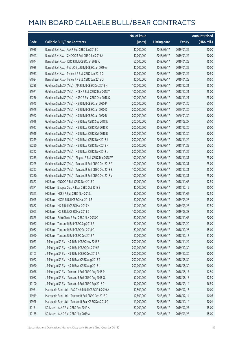|       |                                                          | No. of issue |                     |               | Amount raised |
|-------|----------------------------------------------------------|--------------|---------------------|---------------|---------------|
| Code  | <b>Callable Bull/Bear Contracts</b>                      | (units)      | <b>Listing date</b> | <b>Expiry</b> | (HK\$ mil.)   |
| 61938 | Bank of East Asia - AIA R Bull CBBC Jan 2019 C           | 40,000,000   | 2018/05/17          | 2019/01/29    | 10.00         |
| 61943 | Bank of East Asia - CNOOC R Bull CBBC Jan 2019 A         | 40,000,000   | 2018/05/17          | 2019/01/29    | 10.00         |
| 61944 | Bank of East Asia - ICBC R Bull CBBC Jan 2019 A          | 60,000,000   | 2018/05/17          | 2019/01/29    | 15.00         |
| 61939 | Bank of East Asia - PetroChina R Bull CBBC Jan 2019 A    | 40,000,000   | 2018/05/17          | 2019/01/29    | 10.00         |
| 61933 | Bank of East Asia - Tencent R Bull CBBC Jan 2019 C       | 30,000,000   | 2018/05/17          | 2019/01/29    | 10.50         |
| 61934 | Bank of East Asia - Tencent R Bull CBBC Jan 2019 D       | 30,000,000   | 2018/05/17          | 2019/01/29    | 10.50         |
| 62238 | Goldman Sachs SP (Asia) - AIA R Bull CBBC Dec 2018 N     | 100,000,000  | 2018/05/17          | 2018/12/21    | 25.00         |
| 61971 | Goldman Sachs SP (Asia) - HKEX R Bull CBBC Dec 2018 Y    | 100,000,000  | 2018/05/17          | 2018/12/21    | 25.00         |
| 62236 | Goldman Sachs SP (Asia) - HSBC R Bull CBBC Dec 2018 Q    | 100,000,000  | 2018/05/17          | 2018/12/21    | 25.00         |
| 61945 | Goldman Sachs SP (Asia) - HSI R Bull CBBC Jan 2020 P     | 200,000,000  | 2018/05/17          | 2020/01/30    | 50.00         |
| 61949 | Goldman Sachs SP (Asia) - HSI R Bull CBBC Jan 2020 Q     | 200,000,000  | 2018/05/17          | 2020/01/30    | 50.00         |
| 61962 | Goldman Sachs SP (Asia) - HSI R Bull CBBC Jan 2020 R     | 200,000,000  | 2018/05/17          | 2020/01/30    | 50.00         |
| 61916 | Goldman Sachs SP (Asia) - HSI R Bear CBBC Sep 2018 E     | 200,000,000  | 2018/05/17          | 2018/09/27    | 50.00         |
| 61917 | Goldman Sachs SP (Asia) - HSI R Bear CBBC Oct 2018 C     | 200,000,000  | 2018/05/17          | 2018/10/30    | 50.00         |
| 61918 | Goldman Sachs SP (Asia) - HSI R Bear CBBC Oct 2018 D     | 200,000,000  | 2018/05/17          | 2018/10/30    | 50.00         |
| 62219 | Goldman Sachs SP (Asia) - HSI R Bear CBBC Nov 2018 J     | 200,000,000  | 2018/05/17          | 2018/11/29    | 50.20         |
| 62220 | Goldman Sachs SP (Asia) - HSI R Bear CBBC Nov 2018 K     | 200,000,000  | 2018/05/17          | 2018/11/29    | 50.20         |
| 62222 | Goldman Sachs SP (Asia) - HSI R Bear CBBC Nov 2018 L     | 200,000,000  | 2018/05/17          | 2018/11/29    | 50.20         |
| 62235 | Goldman Sachs SP (Asia) - Ping An R Bull CBBC Dec 2018 W | 100,000,000  | 2018/05/17          | 2018/12/31    | 25.00         |
| 62225 | Goldman Sachs SP (Asia) - Tencent R Bull CBBC Dec 2018 R | 100,000,000  | 2018/05/17          | 2018/12/31    | 25.00         |
| 62227 | Goldman Sachs SP (Asia) - Tencent R Bull CBBC Dec 2018 S | 100,000,000  | 2018/05/17          | 2018/12/31    | 25.00         |
| 62230 | Goldman Sachs SP (Asia) - Tencent R Bull CBBC Dec 2018 V | 100,000,000  | 2018/05/17          | 2018/12/31    | 25.00         |
| 61877 | HK Bank - CNOOC R Bull CBBC Nov 2018 C                   | 50,000,000   | 2018/05/17          | 2018/11/05    | 12.50         |
| 61871 | HK Bank - Sinopec Corp R Bear CBBC Oct 2018 B            | 40,000,000   | 2018/05/17          | 2018/10/15    | 10.00         |
| 61863 | HK Bank - HKEX R Bull CBBC Nov 2018 J                    | 50,000,000   | 2018/05/17          | 2018/11/05    | 12.50         |
| 62045 | HK Bank - HSCEI R Bull CBBC Mar 2019 B                   | 60,000,000   | 2018/05/17          | 2019/03/28    | 15.00         |
| 61882 | HK Bank - HSI R Bull CBBC Mar 2019 Y                     | 150,000,000  | 2018/05/17          | 2019/03/28    | 37.50         |
| 62063 | HK Bank - HSI R Bull CBBC Mar 2019 Z                     | 100,000,000  | 2018/05/17          | 2019/03/28    | 25.00         |
| 61875 | HK Bank - PetroChina R Bull CBBC Nov 2018 C              | 80,000,000   | 2018/05/17          | 2018/11/05    | 20.00         |
| 62057 | HK Bank - Tencent R Bull CBBC Sep 2018 Z                 | 60,000,000   | 2018/05/17          | 2018/09/20    | 15.00         |
| 62062 | HK Bank - Tencent R Bull CBBC Oct 2018 G                 | 60,000,000   | 2018/05/17          | 2018/10/25    | 15.00         |
| 62060 | HK Bank - Tencent R Bull CBBC Dec 2018 A                 | 60,000,000   | 2018/05/17          | 2018/12/17    | 33.00         |
| 62073 | J P Morgan SP BV - HSI R Bull CBBC Nov 2018 S            | 200,000,000  | 2018/05/17          | 2018/11/29    | 50.00         |
| 62077 | JP Morgan SP BV - HSIR Bull CBBC Oct 2019 E              | 200,000,000  | 2018/05/17          | 2019/10/30    | 50.00         |
| 62103 | J P Morgan SP BV - HSI R Bull CBBC Dec 2019 P            | 200,000,000  | 2018/05/17          | 2019/12/30    | 50.00         |
| 62072 | J P Morgan SP BV - HSI R Bear CBBC Aug 2018 T            | 200,000,000  | 2018/05/17          | 2018/08/30    | 50.00         |
| 62070 | J P Morgan SP BV - HSI R Bear CBBC Aug 2018 U            | 200,000,000  | 2018/05/17          | 2018/08/30    | 50.00         |
| 62078 | J P Morgan SP BV - Tencent R Bull CBBC Aug 2018 P        | 50,000,000   | 2018/05/17          | 2018/08/17    | 12.50         |
| 62082 | J P Morgan SP BV - Tencent R Bull CBBC Aug 2018 Q        | 50,000,000   | 2018/05/17          | 2018/08/17    | 12.50         |
| 62100 | JP Morgan SP BV - Tencent R Bull CBBC Sep 2018 D         | 50,000,000   | 2018/05/17          | 2018/09/14    | 16.50         |
| 61931 | Macquarie Bank Ltd. - AAC Tech R Bull CBBC Feb 2019 A    | 30,500,000   | 2018/05/17          | 2019/02/13    | 10.00         |
| 61919 | Macquarie Bank Ltd. - Tencent R Bull CBBC Dec 2018 C     | 12,800,000   | 2018/05/17          | 2018/12/14    | 10.06         |
| 61928 | Macquarie Bank Ltd. - Tencent R Bear CBBC Dec 2018 C     | 11,000,000   | 2018/05/17          | 2018/12/14    | 10.01         |
| 62131 | SG Issuer - AIA R Bull CBBC Feb 2019 A                   | 60,000,000   | 2018/05/17          | 2019/02/27    | 15.00         |
| 62135 | SG Issuer - AIA R Bull CBBC Mar 2019 A                   | 60,000,000   | 2018/05/17          | 2019/03/28    | 15.00         |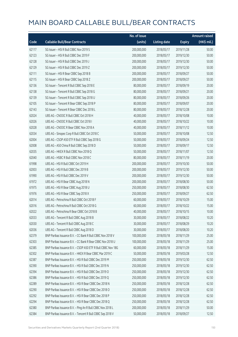|       |                                                              | No. of issue |                     |               | <b>Amount raised</b> |
|-------|--------------------------------------------------------------|--------------|---------------------|---------------|----------------------|
| Code  | <b>Callable Bull/Bear Contracts</b>                          | (units)      | <b>Listing date</b> | <b>Expiry</b> | (HK\$ mil.)          |
| 62117 | SG Issuer - HSI R Bull CBBC Nov 2019 S                       | 200,000,000  | 2018/05/17          | 2019/11/28    | 50.00                |
| 62123 | SG Issuer - HSI R Bull CBBC Dec 2019 F                       | 200,000,000  | 2018/05/17          | 2019/12/30    | 50.00                |
| 62128 | SG Issuer - HSI R Bull CBBC Dec 2019 J                       | 200,000,000  | 2018/05/17          | 2019/12/30    | 50.00                |
| 62129 | SG Issuer - HSI R Bull CBBC Dec 2019 Z                       | 200,000,000  | 2018/05/17          | 2019/12/30    | 50.00                |
| 62111 | SG Issuer - HSI R Bear CBBC Sep 2018 B                       | 200,000,000  | 2018/05/17          | 2018/09/27    | 50.00                |
| 62115 | SG Issuer - HSI R Bear CBBC Sep 2018 Z                       | 200,000,000  | 2018/05/17          | 2018/09/27    | 50.00                |
| 62136 | SG Issuer - Tencent R Bull CBBC Sep 2018 E                   | 80,000,000   | 2018/05/17          | 2018/09/19    | 20.00                |
| 62138 | SG Issuer - Tencent R Bull CBBC Sep 2018 G                   | 80,000,000   | 2018/05/17          | 2018/09/21    | 20.00                |
| 62139 | SG Issuer - Tencent R Bull CBBC Sep 2018 U                   | 80,000,000   | 2018/05/17          | 2018/09/26    | 20.00                |
| 62105 | SG Issuer - Tencent R Bear CBBC Sep 2018 P                   | 80,000,000   | 2018/05/17          | 2018/09/07    | 20.00                |
| 62143 | SG Issuer - Tencent R Bear CBBC Dec 2018 L                   | 80,000,000   | 2018/05/17          | 2018/12/28    | 20.00                |
| 62024 | UBS AG - CNOOC R Bull CBBC Oct 2018 H                        | 40,000,000   | 2018/05/17          | 2018/10/08    | 10.00                |
| 62026 | UBS AG - CNOOC R Bull CBBC Oct 2018 I                        | 40,000,000   | 2018/05/17          | 2018/10/22    | 10.00                |
| 62028 | UBS AG - CNOOC R Bear CBBC Nov 2018 A                        | 40,000,000   | 2018/05/17          | 2018/11/12    | 10.00                |
| 62034 | UBS AG - Sinopec Corp R Bull CBBC Oct 2018 C                 | 50,000,000   | 2018/05/17          | 2018/10/08    | 12.50                |
| 62004 | UBS AG - CSOP A50 ETF R Bull CBBC Sep 2018 G                 | 50,000,000   | 2018/05/17          | 2018/09/24    | 12.50                |
| 62008 | UBS AG - A50 China R Bull CBBC Sep 2018 D                    | 50,000,000   | 2018/05/17          | 2018/09/17    | 12.50                |
| 62035 | UBS AG - HKEX R Bull CBBC Nov 2018 Q                         | 50,000,000   | 2018/05/17          | 2018/11/07    | 12.50                |
| 62040 | UBS AG - HSBC R Bull CBBC Nov 2018 C                         | 80,000,000   | 2018/05/17          | 2018/11/19    | 20.00                |
| 61998 | UBS AG - HSI R Bull CBBC Oct 2019 H                          | 200,000,000  | 2018/05/17          | 2019/10/30    | 50.00                |
| 62003 | UBS AG - HSI R Bull CBBC Dec 2019 B                          | 200,000,000  | 2018/05/17          | 2019/12/30    | 50.00                |
| 61990 | UBS AG - HSI R Bull CBBC Dec 2019 V                          | 200,000,000  | 2018/05/17          | 2019/12/30    | 50.00                |
| 61972 | UBS AG - HSI R Bear CBBC Aug 2018 N                          | 200,000,000  | 2018/05/17          | 2018/08/30    | 50.00                |
| 61975 | UBS AG - HSI R Bear CBBC Aug 2018 U                          | 250,000,000  | 2018/05/17          | 2018/08/30    | 62.50                |
| 61976 | UBS AG - HSI R Bear CBBC Sep 2018 X                          | 250,000,000  | 2018/05/17          | 2018/09/27    | 62.50                |
| 62014 | UBS AG - Petrochina R Bull CBBC Oct 2018 F                   | 60,000,000   | 2018/05/17          | 2018/10/29    | 15.00                |
| 62016 | UBS AG - Petrochina R Bull CBBC Oct 2018 G                   | 60,000,000   | 2018/05/17          | 2018/10/22    | 15.00                |
| 62022 | UBS AG - Petrochina R Bear CBBC Oct 2018 B                   | 40,000,000   | 2018/05/17          | 2018/10/15    | 10.00                |
| 62033 | UBS AG - Tencent R Bull CBBC Aug 2018 B                      | 30,000,000   | 2018/05/17          | 2018/08/22    | 10.20                |
| 62030 | UBS AG - Tencent R Bull CBBC Aug 2018 C                      | 30,000,000   | 2018/05/17          | 2018/08/29    | 10.20                |
| 62036 | UBS AG - Tencent R Bull CBBC Aug 2018 D                      | 30,000,000   | 2018/05/17          | 2018/08/20    | 10.20                |
| 62379 | BNP Paribas Issuance B.V. - CC Bank R Bull CBBC Nov 2018 V   | 100,000,000  | 2018/05/18          | 2018/11/29    | 25.00                |
| 62303 | BNP Paribas Issuance B.V. - CC Bank R Bear CBBC Nov 2018 U   | 100,000,000  | 2018/05/18          | 2018/11/29    | 25.00                |
| 62385 | BNP Paribas Issuance B.V. - CSOP A50 ETF R Bull CBBC Nov 18G | 60,000,000   | 2018/05/18          | 2018/11/29    | 15.00                |
| 62302 | BNP Paribas Issuance B.V. - HKEX R Bear CBBC Mar 2019 C      | 50,000,000   | 2018/05/18          | 2019/03/28    | 12.50                |
| 62387 | BNP Paribas Issuance B.V. - HSI R Bull CBBC Dec 2019 M       | 250,000,000  | 2018/05/18          | 2019/12/30    | 62.50                |
| 62390 | BNP Paribas Issuance B.V. - HSI R Bull CBBC Dec 2019 N       | 250,000,000  | 2018/05/18          | 2019/12/30    | 62.50                |
| 62394 | BNP Paribas Issuance B.V. - HSI R Bull CBBC Dec 2019 O       | 250,000,000  | 2018/05/18          | 2019/12/30    | 62.50                |
| 62386 | BNP Paribas Issuance B.V. - HSI R Bull CBBC Dec 2019 Q       | 250,000,000  | 2018/05/18          | 2019/12/30    | 62.50                |
| 62289 | BNP Paribas Issuance B.V. - HSI R Bear CBBC Dec 2018 N       | 250,000,000  | 2018/05/18          | 2018/12/28    | 62.50                |
| 62290 | BNP Paribas Issuance B.V. - HSI R Bear CBBC Dec 2018 O       | 250,000,000  | 2018/05/18          | 2018/12/28    | 62.50                |
| 62292 | BNP Paribas Issuance B.V. - HSI R Bear CBBC Dec 2018 P       | 250,000,000  | 2018/05/18          | 2018/12/28    | 62.50                |
| 62294 | BNP Paribas Issuance B.V. - HSI R Bear CBBC Dec 2018 Q       | 250,000,000  | 2018/05/18          | 2018/12/28    | 62.50                |
| 62380 | BNP Paribas Issuance B.V. - Ping An R Bull CBBC Nov 2018 L   | 200,000,000  | 2018/05/18          | 2018/11/29    | 50.00                |
| 62384 | BNP Paribas Issuance B.V. - Tencent R Bull CBBC Sep 2018 V   | 50,000,000   | 2018/05/18          | 2018/09/27    | 12.50                |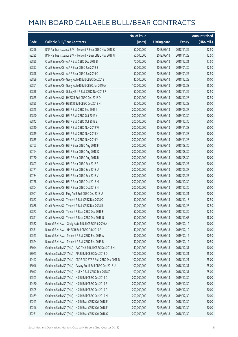|       |                                                               | No. of issue |                     |               | <b>Amount raised</b> |
|-------|---------------------------------------------------------------|--------------|---------------------|---------------|----------------------|
| Code  | <b>Callable Bull/Bear Contracts</b>                           | (units)      | <b>Listing date</b> | <b>Expiry</b> | (HK\$ mil.)          |
| 62296 | BNP Paribas Issuance B.V. - Tencent R Bear CBBC Nov 2018 K    | 50,000,000   | 2018/05/18          | 2018/11/29    | 12.50                |
| 62295 | BNP Paribas Issuance B.V. - Tencent R Bear CBBC Nov 2018 U    | 50,000,000   | 2018/05/18          | 2018/11/29    | 12.50                |
| 62895 | Credit Suisse AG - AIA R Bull CBBC Dec 2018 B                 | 70,000,000   | 2018/05/18          | 2018/12/21    | 17.50                |
| 62897 | Credit Suisse AG - AIA R Bear CBBC Jan 2019 B                 | 50,000,000   | 2018/05/18          | 2019/01/30    | 12.50                |
| 62898 | Credit Suisse AG - AIA R Bear CBBC Jan 2019 C                 | 50,000,000   | 2018/05/18          | 2019/01/25    | 12.50                |
| 62859 | Credit Suisse AG - Geely Auto R Bull CBBC Dec 2018 I          | 40,000,000   | 2018/05/18          | 2018/12/28    | 10.00                |
| 62861 | Credit Suisse AG - Geely Auto R Bull CBBC Jun 2019 A          | 100,000,000  | 2018/05/18          | 2019/06/28    | 25.00                |
| 62858 | Credit Suisse AG - Galaxy Ent R Bull CBBC Nov 2018 F          | 50,000,000   | 2018/05/18          | 2018/11/29    | 12.50                |
| 62865 | Credit Suisse AG - HKEX R Bull CBBC Dec 2018 D                | 50,000,000   | 2018/05/18          | 2018/12/28    | 12.50                |
| 62855 | Credit Suisse AG - HSBC R Bull CBBC Dec 2018 H                | 80,000,000   | 2018/05/18          | 2018/12/28    | 20.00                |
| 62845 | Credit Suisse AG - HSI R Bull CBBC Sep 2019 I                 | 200,000,000  | 2018/05/18          | 2019/09/27    | 50.00                |
| 62840 | Credit Suisse AG - HSI R Bull CBBC Oct 2019 Y                 | 200,000,000  | 2018/05/18          | 2019/10/30    | 50.00                |
| 62842 | Credit Suisse AG - HSI R Bull CBBC Oct 2019 Z                 | 200,000,000  | 2018/05/18          | 2019/10/30    | 50.00                |
| 62810 | Credit Suisse AG - HSI R Bull CBBC Nov 2019 W                 | 200,000,000  | 2018/05/18          | 2019/11/28    | 50.00                |
| 62819 | Credit Suisse AG - HSI R Bull CBBC Nov 2019 X                 | 200,000,000  | 2018/05/18          | 2019/11/28    | 50.00                |
| 62835 | Credit Suisse AG - HSI R Bull CBBC Nov 2019 Y                 | 200,000,000  | 2018/05/18          | 2019/11/28    | 50.00                |
| 62763 | Credit Suisse AG - HSI R Bear CBBC Aug 2018 F                 | 200,000,000  | 2018/05/18          | 2018/08/30    | 50.00                |
| 62764 | Credit Suisse AG - HSI R Bear CBBC Aug 2018 Q                 | 200,000,000  | 2018/05/18          | 2018/08/30    | 50.00                |
| 62770 | Credit Suisse AG - HSI R Bear CBBC Aug 2018 R                 | 200,000,000  | 2018/05/18          | 2018/08/30    | 50.00                |
| 62803 | Credit Suisse AG - HSI R Bear CBBC Sep 2018 F                 | 200,000,000  | 2018/05/18          | 2018/09/27    | 50.00                |
| 62771 | Credit Suisse AG - HSI R Bear CBBC Sep 2018 U                 | 200,000,000  | 2018/05/18          | 2018/09/27    | 50.00                |
| 62784 | Credit Suisse AG - HSI R Bear CBBC Sep 2018 V                 | 200,000,000  | 2018/05/18          | 2018/09/27    | 50.00                |
| 62778 | Credit Suisse AG - HSI R Bear CBBC Oct 2018 M                 | 200,000,000  | 2018/05/18          | 2018/10/30    | 50.00                |
| 62804 | Credit Suisse AG - HSI R Bear CBBC Oct 2018 N                 | 200,000,000  | 2018/05/18          | 2018/10/30    | 50.00                |
| 62901 | Credit Suisse AG - Ping An R Bull CBBC Dec 2018 U             | 80,000,000   | 2018/05/18          | 2018/12/21    | 20.00                |
| 62867 | Credit Suisse AG - Tencent R Bull CBBC Dec 2018 Q             | 50,000,000   | 2018/05/18          | 2018/12/13    | 12.50                |
| 62868 | Credit Suisse AG - Tencent R Bull CBBC Dec 2018 R             | 50,000,000   | 2018/05/18          | 2018/12/28    | 12.50                |
| 62877 | Credit Suisse AG - Tencent R Bear CBBC Dec 2018 F             | 50,000,000   | 2018/05/18          | 2018/12/20    | 12.50                |
| 62891 | Credit Suisse AG - Tencent R Bear CBBC Dec 2018 G             | 50,000,000   | 2018/05/18          | 2018/12/07    | 18.00                |
| 62532 | Bank of East Asia - Geely Auto R Bull CBBC Feb 2019 A         | 40,000,000   | 2018/05/18          | 2019/02/12    | 10.00                |
| 62531 | Bank of East Asia - HKEX R Bull CBBC Feb 2019 A               | 40,000,000   | 2018/05/18          | 2019/02/12    | 10.00                |
| 62523 | Bank of East Asia - Tencent R Bull CBBC Feb 2019 A            | 30,000,000   | 2018/05/18          | 2019/02/12    | 10.50                |
| 62524 | Bank of East Asia - Tencent R Bull CBBC Feb 2019 B            | 30,000,000   | 2018/05/18          | 2019/02/12    | 10.50                |
| 63044 | Goldman Sachs SP (Asia) - AAC Tech R Bull CBBC Dec 2018 M     | 40,000,000   | 2018/05/18          | 2018/12/31    | 10.00                |
| 63043 | Goldman Sachs SP (Asia) - AIA R Bull CBBC Dec 2018 O          | 100,000,000  | 2018/05/18          | 2018/12/21    | 25.00                |
| 62447 | Goldman Sachs SP (Asia) - CSOP A50 ETF R Bull CBBC Dec 2018 D | 100,000,000  | 2018/05/18          | 2018/12/21    | 25.00                |
| 63046 | Goldman Sachs SP (Asia) - Galaxy Ent R Bull CBBC Dec 2018 U   | 100,000,000  | 2018/05/18          | 2018/12/31    | 25.00                |
| 63047 | Goldman Sachs SP (Asia) - HKEX R Bull CBBC Dec 2018 Z         | 100,000,000  | 2018/05/18          | 2018/12/31    | 25.00                |
| 62503 | Goldman Sachs SP (Asia) - HSI R Bull CBBC Dec 2019 C          | 200,000,000  | 2018/05/18          | 2019/12/30    | 50.00                |
| 62460 | Goldman Sachs SP (Asia) - HSI R Bull CBBC Dec 2019 E          | 200,000,000  | 2018/05/18          | 2019/12/30    | 50.00                |
| 62505 | Goldman Sachs SP (Asia) - HSI R Bull CBBC Dec 2019 F          | 200,000,000  | 2018/05/18          | 2019/12/30    | 50.00                |
| 62469 | Goldman Sachs SP (Asia) - HSI R Bull CBBC Dec 2019 M          | 200,000,000  | 2018/05/18          | 2019/12/30    | 50.00                |
| 62243 | Goldman Sachs SP (Asia) - HSI R Bear CBBC Oct 2018 E          | 200,000,000  | 2018/05/18          | 2018/10/30    | 50.00                |
| 62246 | Goldman Sachs SP (Asia) - HSI R Bear CBBC Oct 2018 F          | 200,000,000  | 2018/05/18          | 2018/10/30    | 50.00                |
| 62251 | Goldman Sachs SP (Asia) - HSI R Bear CBBC Oct 2018 G          | 200,000,000  | 2018/05/18          | 2018/10/30    | 50.00                |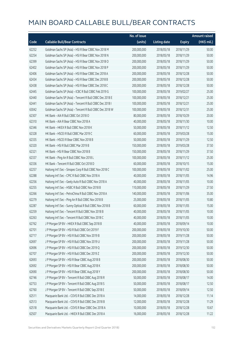|       |                                                          | No. of issue |                     |               | <b>Amount raised</b> |
|-------|----------------------------------------------------------|--------------|---------------------|---------------|----------------------|
| Code  | <b>Callable Bull/Bear Contracts</b>                      | (units)      | <b>Listing date</b> | <b>Expiry</b> | (HK\$ mil.)          |
| 62252 | Goldman Sachs SP (Asia) - HSI R Bear CBBC Nov 2018 M     | 200,000,000  | 2018/05/18          | 2018/11/29    | 50.00                |
| 62254 | Goldman Sachs SP (Asia) - HSI R Bear CBBC Nov 2018 N     | 200,000,000  | 2018/05/18          | 2018/11/29    | 50.00                |
| 62399 | Goldman Sachs SP (Asia) - HSI R Bear CBBC Nov 2018 O     | 200,000,000  | 2018/05/18          | 2018/11/29    | 50.00                |
| 62402 | Goldman Sachs SP (Asia) - HSI R Bear CBBC Nov 2018 P     | 200,000,000  | 2018/05/18          | 2018/11/29    | 50.00                |
| 62406 | Goldman Sachs SP (Asia) - HSI R Bear CBBC Dec 2018 A     | 200,000,000  | 2018/05/18          | 2018/12/28    | 50.00                |
| 62434 | Goldman Sachs SP (Asia) - HSI R Bear CBBC Dec 2018 B     | 200,000,000  | 2018/05/18          | 2018/12/28    | 50.00                |
| 62438 | Goldman Sachs SP (Asia) - HSI R Bear CBBC Dec 2018 C     | 200,000,000  | 2018/05/18          | 2018/12/28    | 50.00                |
| 62445 | Goldman Sachs SP (Asia) - ICBC R Bull CBBC Feb 2019 G    | 100,000,000  | 2018/05/18          | 2019/02/27    | 25.00                |
| 62440 | Goldman Sachs SP (Asia) - Tencent R Bull CBBC Dec 2018 E | 100,000,000  | 2018/05/18          | 2018/12/21    | 25.00                |
| 62441 | Goldman Sachs SP (Asia) - Tencent R Bull CBBC Dec 2018 I | 100,000,000  | 2018/05/18          | 2018/12/21    | 25.00                |
| 63042 | Goldman Sachs SP (Asia) - Tencent R Bull CBBC Dec 2018 W | 100,000,000  | 2018/05/18          | 2018/12/31    | 25.00                |
| 62307 | HK Bank - AIA R Bull CBBC Oct 2018 O                     | 80,000,000   | 2018/05/18          | 2018/10/29    | 20.00                |
| 62310 | HK Bank - AIA R Bear CBBC Nov 2018 A                     | 40,000,000   | 2018/05/18          | 2018/11/30    | 10.00                |
| 62346 | HK Bank - HKEX R Bull CBBC Nov 2018 K                    | 50,000,000   | 2018/05/18          | 2018/11/12    | 12.50                |
| 62328 | HK Bank - HSCEI R Bull CBBC Mar 2019 C                   | 60,000,000   | 2018/05/18          | 2019/03/28    | 15.00                |
| 62335 | HK Bank - HSCEI R Bear CBBC Nov 2018 B                   | 50,000,000   | 2018/05/18          | 2018/11/29    | 12.50                |
| 62320 | HK Bank - HSI R Bull CBBC Mar 2019 B                     | 150,000,000  | 2018/05/18          | 2019/03/28    | 37.50                |
| 62321 | HK Bank - HSI R Bear CBBC Nov 2018 B                     | 150,000,000  | 2018/05/18          | 2018/11/29    | 37.50                |
| 62337 | HK Bank - Ping An R Bull CBBC Nov 2018 L                 | 100,000,000  | 2018/05/18          | 2018/11/12    | 25.00                |
| 62336 | HK Bank - Tencent R Bull CBBC Oct 2018 D                 | 60,000,000   | 2018/05/18          | 2018/10/15    | 15.00                |
| 62257 | Haitong Int'l Sec - Sinopec Corp R Bull CBBC Nov 2018 C  | 100,000,000  | 2018/05/18          | 2018/11/02    | 25.00                |
| 62288 | Haitong Int'l Sec - CPIC R Bull CBBC Nov 2018 A          | 40,000,000   | 2018/05/18          | 2018/11/05    | 14.96                |
| 62256 | Haitong Int'l Sec - Geely Auto R Bull CBBC Nov 2018 A    | 40,000,000   | 2018/05/18          | 2018/11/05    | 10.00                |
| 62255 | Haitong Int'l Sec - HSBC R Bull CBBC Nov 2018 B          | 110,000,000  | 2018/05/18          | 2018/11/29    | 27.50                |
| 62266 | Haitong Int'l Sec - PetroChina R Bull CBBC Nov 2018 A    | 140,000,000  | 2018/05/18          | 2018/11/06    | 35.00                |
| 62279 | Haitong Int'l Sec - Ping An R Bull CBBC Nov 2018 B       | 25,000,000   | 2018/05/18          | 2018/11/05    | 10.80                |
| 62287 | Haitong Int'l Sec - Sunny Optical R Bull CBBC Nov 2018 B | 60,000,000   | 2018/05/18          | 2018/11/05    | 15.00                |
| 62259 | Haitong Int'l Sec - Tencent R Bull CBBC Nov 2018 B       | 40,000,000   | 2018/05/18          | 2018/11/05    | 10.00                |
| 62263 | Haitong Int'l Sec - Tencent R Bull CBBC Nov 2018 C       | 40,000,000   | 2018/05/18          | 2018/11/05    | 10.00                |
| 62762 | J P Morgan SP BV - HKEX R Bull CBBC Sep 2018 B           | 40,000,000   | 2018/05/18          | 2018/09/14    | 10.00                |
| 62701 | J P Morgan SP BV - HSI R Bull CBBC Oct 2019 F            | 200,000,000  | 2018/05/18          | 2019/10/30    | 50.00                |
| 62717 | J P Morgan SP BV - HSI R Bull CBBC Nov 2019 B            | 200,000,000  | 2018/05/18          | 2019/11/28    | 50.00                |
| 62697 | J P Morgan SP BV - HSI R Bull CBBC Nov 2019 U            | 200,000,000  | 2018/05/18          | 2019/11/28    | 50.00                |
| 62696 | J P Morgan SP BV - HSI R Bull CBBC Dec 2019 Q            | 200,000,000  | 2018/05/18          | 2019/12/30    | 50.00                |
| 62707 | J P Morgan SP BV - HSI R Bull CBBC Dec 2019 Z            | 200,000,000  | 2018/05/18          | 2019/12/30    | 50.00                |
| 62693 | J P Morgan SP BV - HSI R Bear CBBC Aug 2018 B            | 200,000,000  | 2018/05/18          | 2018/08/30    | 50.00                |
| 62692 | J P Morgan SP BV - HSI R Bear CBBC Aug 2018 K            | 200,000,000  | 2018/05/18          | 2018/08/30    | 50.00                |
| 62690 | J P Morgan SP BV - HSI R Bear CBBC Aug 2018 Y            | 200,000,000  | 2018/05/18          | 2018/08/30    | 50.00                |
| 62746 | J P Morgan SP BV - Tencent R Bull CBBC Aug 2018 R        | 50,000,000   | 2018/05/18          | 2018/08/17    | 14.00                |
| 62753 | J P Morgan SP BV - Tencent R Bull CBBC Aug 2018 S        | 50,000,000   | 2018/05/18          | 2018/08/17    | 12.50                |
| 62760 | J P Morgan SP BV - Tencent R Bull CBBC Sep 2018 E        | 50,000,000   | 2018/05/18          | 2018/09/14    | 12.50                |
| 62511 | Macquarie Bank Ltd. - COVS R Bull CBBC Dec 2018 A        | 14,000,000   | 2018/05/18          | 2018/12/28    | 11.14                |
| 62513 | Macquarie Bank Ltd. - COVS R Bull CBBC Dec 2018 B        | 12,000,000   | 2018/05/18          | 2018/12/28    | 11.29                |
| 62518 | Macquarie Bank Ltd. - COVS R Bear CBBC Dec 2018 A        | 10,000,000   | 2018/05/18          | 2018/12/28    | 10.67                |
| 62507 | Macquarie Bank Ltd. - HKEX R Bull CBBC Dec 2018 A        | 16,000,000   | 2018/05/18          | 2018/12/28    | 11.22                |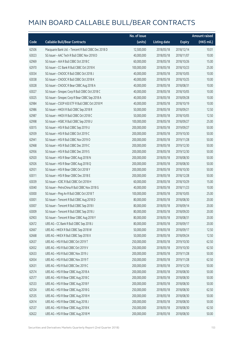|       |                                                      | No. of issue |                     |               | <b>Amount raised</b>  |
|-------|------------------------------------------------------|--------------|---------------------|---------------|-----------------------|
| Code  | <b>Callable Bull/Bear Contracts</b>                  | (units)      | <b>Listing date</b> | <b>Expiry</b> | $(HK\frac{1}{2}mil.)$ |
| 62506 | Macquarie Bank Ltd. - Tencent R Bull CBBC Dec 2018 D | 12,500,000   | 2018/05/18          | 2018/12/14    | 10.01                 |
| 63023 | SG Issuer - AAC Tech R Bull CBBC Nov 2018 D          | 40,000,000   | 2018/05/18          | 2018/11/07    | 10.00                 |
| 62969 | SG Issuer - AIA R Bull CBBC Oct 2018 C               | 60,000,000   | 2018/05/18          | 2018/10/26    | 15.00                 |
| 62970 | SG Issuer - CC Bank R Bull CBBC Oct 2018 K           | 100,000,000  | 2018/05/18          | 2018/10/23    | 25.00                 |
| 63034 | SG Issuer - CNOOC R Bull CBBC Oct 2018 J             | 40,000,000   | 2018/05/18          | 2018/10/05    | 10.00                 |
| 63038 | SG Issuer - CNOOC R Bull CBBC Oct 2018 K             | 40,000,000   | 2018/05/18          | 2018/10/25    | 10.00                 |
| 63028 | SG Issuer - CNOOC R Bear CBBC Aug 2018 A             | 40,000,000   | 2018/05/18          | 2018/08/31    | 10.00                 |
| 63027 | SG Issuer - Sinopec Corp R Bull CBBC Oct 2018 C      | 40,000,000   | 2018/05/18          | 2018/10/05    | 10.00                 |
| 63025 | SG Issuer - Sinopec Corp R Bear CBBC Sep 2018 A      | 40,000,000   | 2018/05/18          | 2018/09/28    | 10.00                 |
| 62984 | SG Issuer - CSOP A50 ETF R Bull CBBC Oct 2018 M      | 40,000,000   | 2018/05/18          | 2018/10/19    | 10.00                 |
| 62986 | SG Issuer - HKEX R Bull CBBC Sep 2018 R              | 50,000,000   | 2018/05/18          | 2018/09/21    | 12.50                 |
| 62987 | SG Issuer - HKEX R Bull CBBC Oct 2018 C              | 50,000,000   | 2018/05/18          | 2018/10/05    | 12.50                 |
| 62998 | SG Issuer - HSBC R Bull CBBC Sep 2018 U              | 100,000,000  | 2018/05/18          | 2018/09/27    | 25.00                 |
| 63015 | SG Issuer - HSI R Bull CBBC Sep 2019 U               | 200,000,000  | 2018/05/18          | 2019/09/27    | 50.00                 |
| 62939 | SG Issuer - HSI R Bull CBBC Oct 2019 C               | 200,000,000  | 2018/05/18          | 2019/10/30    | 50.00                 |
| 62941 | SG Issuer - HSI R Bull CBBC Nov 2019 O               | 200,000,000  | 2018/05/18          | 2019/11/28    | 50.00                 |
| 62968 | SG Issuer - HSI R Bull CBBC Dec 2019 C               | 200,000,000  | 2018/05/18          | 2019/12/30    | 50.00                 |
| 62956 | SG Issuer - HSI R Bull CBBC Dec 2019 S               | 200,000,000  | 2018/05/18          | 2019/12/30    | 50.00                 |
| 62920 | SG Issuer - HSI R Bear CBBC Aug 2018 N               | 200,000,000  | 2018/05/18          | 2018/08/30    | 50.00                 |
| 62926 | SG Issuer - HSI R Bear CBBC Aug 2018 Q               | 200,000,000  | 2018/05/18          | 2018/08/30    | 50.00                 |
| 62931 | SG Issuer - HSI R Bear CBBC Oct 2018 Y               | 200,000,000  | 2018/05/18          | 2018/10/30    | 50.00                 |
| 63011 | SG Issuer - HSI R Bear CBBC Dec 2018 E               | 200,000,000  | 2018/05/18          | 2018/12/28    | 50.00                 |
| 63039 | SG Issuer - ICBC R Bull CBBC Oct 2018 H              | 60,000,000   | 2018/05/18          | 2018/10/29    | 15.00                 |
| 63040 | SG Issuer - PetroChina R Bull CBBC Nov 2018 G        | 40,000,000   | 2018/05/18          | 2018/11/23    | 10.00                 |
| 63000 | SG Issuer - Ping An R Bull CBBC Oct 2018 T           | 100,000,000  | 2018/05/18          | 2018/10/05    | 25.00                 |
| 63001 | SG Issuer - Tencent R Bull CBBC Aug 2018 D           | 80,000,000   | 2018/05/18          | 2018/08/30    | 20.00                 |
| 63007 | SG Issuer - Tencent R Bull CBBC Sep 2018 I           | 80,000,000   | 2018/05/18          | 2018/09/14    | 20.00                 |
| 63009 | SG Issuer - Tencent R Bull CBBC Sep 2018 J           | 80,000,000   | 2018/05/18          | 2018/09/20    | 20.00                 |
| 62903 | SG Issuer - Tencent R Bear CBBC Aug 2018 Y           | 80,000,000   | 2018/05/18          | 2018/08/31    | 20.00                 |
| 62672 | UBS AG - CC Bank R Bull CBBC Sep 2018 J              | 80,000,000   | 2018/05/18          | 2018/09/17    | 20.00                 |
| 62667 | UBS AG - HKEX R Bull CBBC Sep 2018 W                 | 50,000,000   | 2018/05/18          | 2018/09/17    | 12.50                 |
| 62668 | UBS AG - HKEX R Bull CBBC Sep 2018 X                 | 50,000,000   | 2018/05/18          | 2018/09/24    | 12.50                 |
| 62637 | UBS AG - HSI R Bull CBBC Oct 2019 T                  | 250,000,000  | 2018/05/18          | 2019/10/30    | 62.50                 |
| 62652 | UBS AG - HSI R Bull CBBC Oct 2019 V                  | 250,000,000  | 2018/05/18          | 2019/10/30    | 62.50                 |
| 62633 | UBS AG - HSI R Bull CBBC Nov 2019 J                  | 200,000,000  | 2018/05/18          | 2019/11/28    | 50.00                 |
| 62654 | UBS AG - HSI R Bull CBBC Nov 2019 T                  | 250,000,000  | 2018/05/18          | 2019/11/28    | 62.50                 |
| 62631 | UBS AG - HSI R Bull CBBC Dec 2019 C                  | 200,000,000  | 2018/05/18          | 2019/12/30    | 50.00                 |
| 62574 | UBS AG - HSI R Bear CBBC Aug 2018 A                  | 200,000,000  | 2018/05/18          | 2018/08/30    | 50.00                 |
| 62577 | UBS AG - HSI R Bear CBBC Aug 2018 C                  | 200,000,000  | 2018/05/18          | 2018/08/30    | 50.00                 |
| 62533 | UBS AG - HSI R Bear CBBC Aug 2018 F                  | 200,000,000  | 2018/05/18          | 2018/08/30    | 50.00                 |
| 62534 | UBS AG - HSI R Bear CBBC Aug 2018 G                  | 250,000,000  | 2018/05/18          | 2018/08/30    | 62.50                 |
| 62535 | UBS AG - HSI R Bear CBBC Aug 2018 H                  | 200,000,000  | 2018/05/18          | 2018/08/30    | 50.00                 |
| 62614 | UBS AG - HSI R Bear CBBC Aug 2018 J                  | 200,000,000  | 2018/05/18          | 2018/08/30    | 50.00                 |
| 62537 | UBS AG - HSI R Bear CBBC Aug 2018 K                  | 250,000,000  | 2018/05/18          | 2018/08/30    | 62.50                 |
| 62622 | UBS AG - HSI R Bear CBBC Aug 2018 M                  | 200,000,000  | 2018/05/18          | 2018/08/30    | 50.00                 |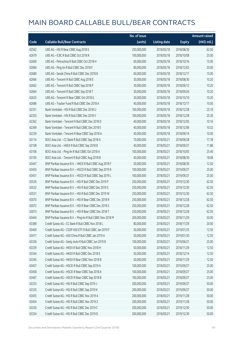|       |                                                            | No. of issue |                     |               | <b>Amount raised</b> |
|-------|------------------------------------------------------------|--------------|---------------------|---------------|----------------------|
| Code  | <b>Callable Bull/Bear Contracts</b>                        | (units)      | <b>Listing date</b> | <b>Expiry</b> | (HK\$ mil.)          |
| 62562 | UBS AG - HSI R Bear CBBC Aug 2018 S                        | 250,000,000  | 2018/05/18          | 2018/08/30    | 62.50                |
| 62679 | UBS AG - ICBC R Bull CBBC Oct 2018 K                       | 100,000,000  | 2018/05/18          | 2018/10/08    | 25.00                |
| 62669 | UBS AG - Petrochina R Bull CBBC Oct 2018 H                 | 60,000,000   | 2018/05/18          | 2018/10/16    | 15.00                |
| 62684 | UBS AG - Ping An R Bull CBBC Dec 2018 F                    | 80,000,000   | 2018/05/18          | 2018/12/03    | 20.00                |
| 62680 | UBS AG - Sands China R Bull CBBC Dec 2018 B                | 60,000,000   | 2018/05/18          | 2018/12/17    | 15.00                |
| 62666 | UBS AG - Tencent R Bull CBBC Aug 2018 E                    | 30,000,000   | 2018/05/18          | 2018/08/30    | 10.20                |
| 62662 | UBS AG - Tencent R Bull CBBC Sep 2018 P                    | 30,000,000   | 2018/05/18          | 2018/09/12    | 10.20                |
| 62664 | UBS AG - Tencent R Bull CBBC Sep 2018 T                    | 30,000,000   | 2018/05/18          | 2018/09/26    | 10.20                |
| 62625 | UBS AG - Tencent R Bear CBBC Oct 2018 G                    | 30,000,000   | 2018/05/18          | 2018/10/10    | 10.20                |
| 62686 | UBS AG - Tracker Fund R Bull CBBC Dec 2018 A               | 40,000,000   | 2018/05/18          | 2018/12/17    | 10.00                |
| 62351 | Bank Vontobel - HSI R Bull CBBC Dec 2018 U                 | 100,000,000  | 2018/05/18          | 2018/12/28    | 25.10                |
| 62353 | Bank Vontobel - HSI R Bull CBBC Dec 2018 V                 | 100,000,000  | 2018/05/18          | 2018/12/28    | 25.30                |
| 62362 | Bank Vontobel - Tencent R Bull CBBC Dec 2018 D             | 40,000,000   | 2018/05/18          | 2018/12/05    | 10.16                |
| 62369 | Bank Vontobel - Tencent R Bull CBBC Dec 2018 E             | 40,000,000   | 2018/05/18          | 2018/12/06    | 10.32                |
| 62239 | Bank Vontobel - Tencent R Bear CBBC Sep 2018 A             | 40,000,000   | 2018/05/18          | 2018/09/14    | 10.00                |
| 63114 | BOCI Asia Ltd. - CC Bank R Bull CBBC Sep 2018 A            | 70,000,000   | 2018/05/21          | 2018/09/28    | 17.78                |
| 63108 | BOCI Asia Ltd. - HKEX R Bull CBBC Sep 2018 B               | 40,000,000   | 2018/05/21          | 2018/09/27    | 11.88                |
| 63106 | BOCI Asia Ltd. - Ping An R Bull CBBC Oct 2018 A            | 100,000,000  | 2018/05/21          | 2018/10/05    | 25.40                |
| 63105 | BOCI Asia Ltd. - Tencent R Bull CBBC Aug 2018 B            | 40,000,000   | 2018/05/21          | 2018/08/30    | 18.08                |
| 63447 | BNP Paribas Issuance B.V. - HKEX R Bull CBBC Aug 2018 F    | 50,000,000   | 2018/05/21          | 2018/08/30    | 12.50                |
| 63450 | BNP Paribas Issuance B.V. - HSCEI R Bull CBBC Sep 2019 K   | 100,000,000  | 2018/05/21          | 2019/09/27    | 25.00                |
| 63451 | BNP Paribas Issuance B.V. - HSCEI R Bull CBBC Sep 2019 L   | 100,000,000  | 2018/05/21          | 2019/09/27    | 25.00                |
| 63526 | BNP Paribas Issuance B.V. - HSI R Bull CBBC Dec 2019 P     | 250,000,000  | 2018/05/21          | 2019/12/30    | 62.50                |
| 63532 | BNP Paribas Issuance B.V. - HSI R Bull CBBC Dec 2019 S     | 250,000,000  | 2018/05/21          | 2019/12/30    | 62.50                |
| 63531 | BNP Paribas Issuance B.V. - HSI R Bull CBBC Dec 2019 W     | 250,000,000  | 2018/05/21          | 2019/12/30    | 62.50                |
| 63070 | BNP Paribas Issuance B.V. - HSI R Bear CBBC Dec 2018 R     | 250,000,000  | 2018/05/21          | 2018/12/28    | 62.50                |
| 63072 | BNP Paribas Issuance B.V. - HSI R Bear CBBC Dec 2018 S     | 250,000,000  | 2018/05/21          | 2018/12/28    | 62.50                |
| 63073 | BNP Paribas Issuance B.V. - HSI R Bear CBBC Dec 2018 T     | 250,000,000  | 2018/05/21          | 2018/12/28    | 62.50                |
| 63444 | BNP Paribas Issuance B.V. - Ping An R Bull CBBC Nov 2018 M | 200,000,000  | 2018/05/21          | 2018/11/29    | 50.00                |
| 63389 | Credit Suisse AG - CC Bank R Bull CBBC Nov 2018 L          | 80,000,000   | 2018/05/21          | 2018/11/29    | 20.00                |
| 63400 | Credit Suisse AG - CSOP A50 ETF R Bull CBBC Jan 2019 F     | 50,000,000   | 2018/05/21          | 2019/01/25    | 12.50                |
| 63417 | Credit Suisse AG - A50 China R Bull CBBC Jan 2019 A        | 50,000,000   | 2018/05/21          | 2019/01/30    | 12.50                |
| 63336 | Credit Suisse AG - Geely Auto R Bull CBBC Jun 2019 B       | 100,000,000  | 2018/05/21          | 2019/06/21    | 25.00                |
| 63339 | Credit Suisse AG - HKEX R Bull CBBC Nov 2018 H             | 50,000,000   | 2018/05/21          | 2018/11/29    | 12.50                |
| 63344 | Credit Suisse AG - HKEX R Bull CBBC Dec 2018 E             | 50,000,000   | 2018/05/21          | 2018/12/14    | 12.50                |
| 63345 | Credit Suisse AG - HKEX R Bear CBBC Nov 2018 B             | 50,000,000   | 2018/05/21          | 2018/11/29    | 12.50                |
| 63457 | Credit Suisse AG - HSCEI R Bull CBBC Sep 2019 A            | 100,000,000  | 2018/05/21          | 2019/09/27    | 25.00                |
| 63458 | Credit Suisse AG - HSCEI R Bear CBBC Sep 2018 A            | 100,000,000  | 2018/05/21          | 2018/09/27    | 25.00                |
| 63467 | Credit Suisse AG - HSCEI R Bear CBBC Sep 2018 B            | 100,000,000  | 2018/05/21          | 2018/09/27    | 25.00                |
| 63333 | Credit Suisse AG - HSI R Bull CBBC Sep 2019 J              | 200,000,000  | 2018/05/21          | 2019/09/27    | 50.00                |
| 63335 | Credit Suisse AG - HSI R Bull CBBC Sep 2019 K              | 200,000,000  | 2018/05/21          | 2019/09/27    | 50.00                |
| 63455 | Credit Suisse AG - HSI R Bull CBBC Nov 2019 A              | 200,000,000  | 2018/05/21          | 2019/11/28    | 50.00                |
| 63454 | Credit Suisse AG - HSI R Bull CBBC Nov 2019 Z              | 200,000,000  | 2018/05/21          | 2019/11/28    | 50.00                |
| 63330 | Credit Suisse AG - HSI R Bull CBBC Dec 2019 C              | 200,000,000  | 2018/05/21          | 2019/12/30    | 50.00                |
| 63334 | Credit Suisse AG - HSI R Bull CBBC Dec 2019 D              | 200,000,000  | 2018/05/21          | 2019/12/30    | 50.00                |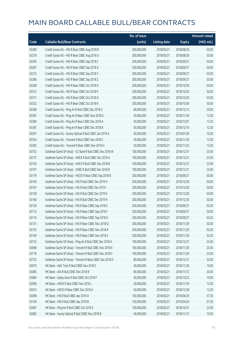|       |                                                          | No. of issue |                     |               | <b>Amount raised</b> |
|-------|----------------------------------------------------------|--------------|---------------------|---------------|----------------------|
| Code  | <b>Callable Bull/Bear Contracts</b>                      | (units)      | <b>Listing date</b> | <b>Expiry</b> | (HK\$ mil.)          |
| 63280 | Credit Suisse AG - HSI R Bear CBBC Aug 2018 B            | 200,000,000  | 2018/05/21          | 2018/08/30    | 50.00                |
| 63278 | Credit Suisse AG - HSI R Bear CBBC Aug 2018 U            | 200,000,000  | 2018/05/21          | 2018/08/30    | 50.00                |
| 63295 | Credit Suisse AG - HSI R Bear CBBC Sep 2018 C            | 200,000,000  | 2018/05/21          | 2018/09/27    | 50.00                |
| 63287 | Credit Suisse AG - HSI R Bear CBBC Sep 2018 X            | 200,000,000  | 2018/05/21          | 2018/09/27    | 50.00                |
| 63273 | Credit Suisse AG - HSI R Bear CBBC Sep 2018 Y            | 200,000,000  | 2018/05/21          | 2018/09/27    | 50.00                |
| 63286 | Credit Suisse AG - HSI R Bear CBBC Sep 2018 Z            | 200,000,000  | 2018/05/21          | 2018/09/27    | 50.00                |
| 63308 | Credit Suisse AG - HSI R Bear CBBC Oct 2018 O            | 200,000,000  | 2018/05/21          | 2018/10/30    | 50.00                |
| 63312 | Credit Suisse AG - HSI R Bear CBBC Oct 2018 P            | 200,000,000  | 2018/05/21          | 2018/10/30    | 50.00                |
| 63317 | Credit Suisse AG - HSI R Bear CBBC Oct 2018 Q            | 200,000,000  | 2018/05/21          | 2018/10/30    | 50.00                |
| 63322 | Credit Suisse AG - HSI R Bear CBBC Oct 2018 R            | 200,000,000  | 2018/05/21          | 2018/10/30    | 50.00                |
| 63368 | Credit Suisse AG - Ping An R Bull CBBC Dec 2018 V        | 80,000,000   | 2018/05/21          | 2018/12/13    | 20.00                |
| 63381 | Credit Suisse AG - Ping An R Bear CBBC Nov 2018 G        | 50,000,000   | 2018/05/21          | 2018/11/30    | 12.50                |
| 63384 | Credit Suisse AG - Ping An R Bear CBBC Dec 2018 A        | 50,000,000   | 2018/05/21          | 2018/12/07    | 12.50                |
| 63387 | Credit Suisse AG - Ping An R Bear CBBC Dec 2018 B        | 50,000,000   | 2018/05/21          | 2018/12/14    | 12.50                |
| 63391 | Credit Suisse AG - Sunny Optical R Bull CBBC Jan 2019 A  | 40,000,000   | 2018/05/21          | 2019/01/30    | 10.00                |
| 63354 | Credit Suisse AG - Tencent R Bull CBBC Nov 2018 C        | 50,000,000   | 2018/05/21          | 2018/11/29    | 12.50                |
| 63365 | Credit Suisse AG - Tencent R Bear CBBC Nov 2018 H        | 50,000,000   | 2018/05/21          | 2018/11/23    | 13.50                |
| 63752 | Goldman Sachs SP (Asia) - CC Bank R Bull CBBC Dec 2018 W | 100,000,000  | 2018/05/21          | 2018/12/31    | 25.00                |
| 63737 | Goldman Sachs SP (Asia) - HKEX R Bull CBBC Dec 2018 A    | 100,000,000  | 2018/05/21          | 2018/12/31    | 25.00                |
| 63745 | Goldman Sachs SP (Asia) - HKEX R Bull CBBC Dec 2018 B    | 100,000,000  | 2018/05/21          | 2018/12/31    | 25.00                |
| 63747 | Goldman Sachs SP (Asia) - HSBC R Bull CBBC Dec 2018 R    | 100,000,000  | 2018/05/21          | 2018/12/21    | 25.00                |
| 63179 | Goldman Sachs SP (Asia) - HSCEI R Bear CBBC Sep 2018 B   | 200,000,000  | 2018/05/21          | 2018/09/27    | 50.00                |
| 63165 | Goldman Sachs SP (Asia) - HSI R Bull CBBC Dec 2019 H     | 200,000,000  | 2018/05/21          | 2019/12/30    | 50.00                |
| 63167 | Goldman Sachs SP (Asia) - HSI R Bull CBBC Dec 2019 I     | 200,000,000  | 2018/05/21          | 2019/12/30    | 50.00                |
| 63158 | Goldman Sachs SP (Asia) - HSI R Bull CBBC Dec 2019 K     | 200,000,000  | 2018/05/21          | 2019/12/30    | 50.00                |
| 63160 | Goldman Sachs SP (Asia) - HSI R Bull CBBC Dec 2019 N     | 200,000,000  | 2018/05/21          | 2019/12/30    | 50.00                |
| 63129 | Goldman Sachs SP (Asia) - HSI R Bear CBBC Sep 2018 C     | 200,000,000  | 2018/05/21          | 2018/09/27    | 50.20                |
| 63115 | Goldman Sachs SP (Asia) - HSI R Bear CBBC Sep 2018 F     | 200,000,000  | 2018/05/21          | 2018/09/27    | 50.00                |
| 63116 | Goldman Sachs SP (Asia) - HSI R Bear CBBC Sep 2018 G     | 200,000,000  | 2018/05/21          | 2018/09/27    | 50.20                |
| 63131 | Goldman Sachs SP (Asia) - HSI R Bear CBBC Nov 2018 Q     | 200,000,000  | 2018/05/21          | 2018/11/29    | 50.00                |
| 63135 | Goldman Sachs SP (Asia) - HSI R Bear CBBC Nov 2018 R     | 200,000,000  | 2018/05/21          | 2018/11/29    | 50.20                |
| 63140 | Goldman Sachs SP (Asia) - HSI R Bear CBBC Nov 2018 S     | 200,000,000  | 2018/05/21          | 2018/11/29    | 50.20                |
| 63733 | Goldman Sachs SP (Asia) - Ping An R Bull CBBC Dec 2018 X | 100,000,000  | 2018/05/21          | 2018/12/31    | 25.00                |
| 63698 | Goldman Sachs SP (Asia) - Tencent R Bull CBBC Nov 2018 E | 100,000,000  | 2018/05/21          | 2018/11/29    | 25.00                |
| 63718 | Goldman Sachs SP (Asia) - Tencent R Bull CBBC Nov 2018 F | 100,000,000  | 2018/05/21          | 2018/11/29    | 25.00                |
| 63725 | Goldman Sachs SP (Asia) - Tencent R Bear CBBC Dec 2018 O | 80,000,000   | 2018/05/21          | 2018/12/31    | 20.00                |
| 63079 | HK Bank - AAC Tech R Bull CBBC Nov 2018 C                | 40,000,000   | 2018/05/21          | 2018/11/30    | 10.00                |
| 63085 | HK Bank - AIA R Bull CBBC Nov 2018 B                     | 80,000,000   | 2018/05/21          | 2018/11/12    | 20.00                |
| 63084 | HK Bank - Geely Auto R Bull CBBC Oct 2018 F              | 40,000,000   | 2018/05/21          | 2018/10/22    | 10.00                |
| 63096 | HK Bank - HKEX R Bull CBBC Nov 2018 L                    | 50,000,000   | 2018/05/21          | 2018/11/19    | 12.50                |
| 63074 | HK Bank - HSCEI R Bear CBBC Dec 2018 A                   | 50,000,000   | 2018/05/21          | 2018/12/28    | 12.50                |
| 63098 | HK Bank - HSI R Bull CBBC Apr 2019 A                     | 150,000,000  | 2018/05/21          | 2019/04/29    | 37.50                |
| 63104 | HK Bank - HSI R Bull CBBC Apr 2019 B                     | 150,000,000  | 2018/05/21          | 2019/04/29    | 37.50                |
| 63087 | HK Bank - Ping An R Bull CBBC Oct 2018 Z                 | 100,000,000  | 2018/05/21          | 2018/10/31    | 25.00                |
| 63082 | HK Bank - Sunny Optical R Bull CBBC Nov 2018 B           | 40,000,000   | 2018/05/21          | 2018/11/12    | 10.00                |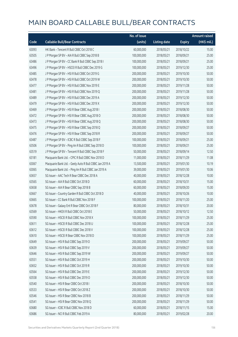|       |                                                         | No. of issue |                     |               | <b>Amount raised</b> |
|-------|---------------------------------------------------------|--------------|---------------------|---------------|----------------------|
| Code  | <b>Callable Bull/Bear Contracts</b>                     | (units)      | <b>Listing date</b> | <b>Expiry</b> | (HK\$ mil.)          |
| 63093 | HK Bank - Tencent R Bull CBBC Oct 2018 C                | 60,000,000   | 2018/05/21          | 2018/10/22    | 15.00                |
| 63505 | J P Morgan SP BV - AIA R Bull CBBC Sep 2018 B           | 100,000,000  | 2018/05/21          | 2018/09/21    | 25.00                |
| 63486 | J P Morgan SP BV - CC Bank R Bull CBBC Sep 2018 I       | 100,000,000  | 2018/05/21          | 2018/09/21    | 25.00                |
| 63496 | J P Morgan SP BV - HSCEI R Bull CBBC Dec 2019 G         | 100,000,000  | 2018/05/21          | 2019/12/30    | 25.00                |
| 63485 | J P Morgan SP BV - HSI R Bull CBBC Oct 2019 G           | 200,000,000  | 2018/05/21          | 2019/10/30    | 50.00                |
| 63478 | J P Morgan SP BV - HSI R Bull CBBC Oct 2019 W           | 200,000,000  | 2018/05/21          | 2019/10/30    | 50.00                |
| 63477 | J P Morgan SP BV - HSI R Bull CBBC Nov 2019 E           | 200,000,000  | 2018/05/21          | 2019/11/28    | 50.00                |
| 63481 | J P Morgan SP BV - HSI R Bull CBBC Nov 2019 Q           | 200,000,000  | 2018/05/21          | 2019/11/28    | 50.00                |
| 63489 | J P Morgan SP BV - HSI R Bull CBBC Dec 2019 A           | 200,000,000  | 2018/05/21          | 2019/12/30    | 50.00                |
| 63479 | J P Morgan SP BV - HSI R Bull CBBC Dec 2019 X           | 200,000,000  | 2018/05/21          | 2019/12/30    | 50.00                |
| 63469 | J P Morgan SP BV - HSI R Bear CBBC Aug 2018 I           | 200,000,000  | 2018/05/21          | 2018/08/30    | 50.00                |
| 63472 | J P Morgan SP BV - HSI R Bear CBBC Aug 2018 O           | 200,000,000  | 2018/05/21          | 2018/08/30    | 50.00                |
| 63473 | J P Morgan SP BV - HSI R Bear CBBC Aug 2018 Q           | 200,000,000  | 2018/05/21          | 2018/08/30    | 50.00                |
| 63475 | J P Morgan SP BV - HSI R Bear CBBC Sep 2018 Q           | 200,000,000  | 2018/05/21          | 2018/09/27    | 50.00                |
| 63476 | J P Morgan SP BV - HSI R Bear CBBC Sep 2018 R           | 200,000,000  | 2018/05/21          | 2018/09/27    | 50.00                |
| 63487 | J P Morgan SP BV - ICBC R Bull CBBC Sep 2018 F          | 100,000,000  | 2018/05/21          | 2018/09/21    | 25.00                |
| 63506 | J P Morgan SP BV - Ping An R Bull CBBC Sep 2018 D       | 100,000,000  | 2018/05/21          | 2018/09/21    | 25.00                |
| 63519 | J P Morgan SP BV - Tencent R Bull CBBC Sep 2018 F       | 50,000,000   | 2018/05/21          | 2018/09/14    | 12.50                |
| 63181 | Macquarie Bank Ltd. - CPIC R Bull CBBC Nov 2018 D       | 11,000,000   | 2018/05/21          | 2018/11/29    | 11.08                |
| 63067 | Macquarie Bank Ltd. - Geely Auto R Bull CBBC Jan 2019 A | 13,500,000   | 2018/05/21          | 2019/01/30    | 10.19                |
| 63065 | Macquarie Bank Ltd. - Ping An R Bull CBBC Jan 2019 A    | 39,000,000   | 2018/05/21          | 2019/01/30    | 10.06                |
| 63657 | SG Issuer - AAC Tech R Bear CBBC Dec 2018 A             | 40,000,000   | 2018/05/21          | 2018/12/28    | 10.00                |
| 63565 | SG Issuer - AIA R Bull CBBC Oct 2018 D                  | 60,000,000   | 2018/05/21          | 2018/10/31    | 15.00                |
| 63658 | SG Issuer - AIA R Bear CBBC Sep 2018 B                  | 60,000,000   | 2018/05/21          | 2018/09/20    | 15.00                |
| 63667 | SG Issuer - Country Garden R Bull CBBC Oct 2018 D       | 40,000,000   | 2018/05/21          | 2018/10/26    | 10.00                |
| 63665 | SG Issuer - CC Bank R Bull CBBC Nov 2018 F              | 100,000,000  | 2018/05/21          | 2018/11/20    | 25.00                |
| 63678 | SG Issuer - Galaxy Ent R Bear CBBC Oct 2018 F           | 80,000,000   | 2018/05/21          | 2018/10/31    | 20.00                |
| 63569 | SG Issuer – HKEX R Bull CBBC Oct 2018 E                 | 50,000,000   | 2018/05/21          | 2018/10/12    | 12.50                |
| 63590 | SG Issuer - HSCEI R Bull CBBC Nov 2018 X                | 100,000,000  | 2018/05/21          | 2018/11/29    | 25.00                |
| 63611 | SG Issuer - HSCEI R Bull CBBC Dec 2018 U                | 100,000,000  | 2018/05/21          | 2018/12/28    | 25.00                |
| 63612 | SG Issuer - HSCEI R Bull CBBC Dec 2018 V                | 100,000,000  | 2018/05/21          | 2018/12/28    | 25.00                |
| 63610 | SG Issuer - HSCEI R Bear CBBC Nov 2018 D                | 100,000,000  | 2018/05/21          | 2018/11/29    | 25.00                |
| 63649 | SG Issuer - HSI R Bull CBBC Sep 2019 O                  | 200,000,000  | 2018/05/21          | 2019/09/27    | 50.00                |
| 63639 | SG Issuer - HSI R Bull CBBC Sep 2019 V                  | 200,000,000  | 2018/05/21          | 2019/09/27    | 50.00                |
| 63646 | SG Issuer - HSI R Bull CBBC Sep 2019 W                  | 200,000,000  | 2018/05/21          | 2019/09/27    | 50.00                |
| 63551 | SG Issuer - HSI R Bull CBBC Oct 2019 H                  | 200,000,000  | 2018/05/21          | 2019/10/30    | 50.00                |
| 63652 | SG Issuer - HSI R Bull CBBC Oct 2019 R                  | 200,000,000  | 2018/05/21          | 2019/10/30    | 50.00                |
| 63564 | SG Issuer - HSI R Bull CBBC Dec 2019 E                  | 200,000,000  | 2018/05/21          | 2019/12/30    | 50.00                |
| 63558 | SG Issuer - HSI R Bull CBBC Dec 2019 O                  | 200,000,000  | 2018/05/21          | 2019/12/30    | 50.00                |
| 63540 | SG Issuer - HSI R Bear CBBC Oct 2018 I                  | 200,000,000  | 2018/05/21          | 2018/10/30    | 50.00                |
| 63533 | SG Issuer - HSI R Bear CBBC Oct 2018 Z                  | 200,000,000  | 2018/05/21          | 2018/10/30    | 50.00                |
| 63546 | SG Issuer - HSI R Bear CBBC Nov 2018 B                  | 200,000,000  | 2018/05/21          | 2018/11/29    | 50.00                |
| 63541 | SG Issuer - HSI R Bear CBBC Nov 2018 Q                  | 200,000,000  | 2018/05/21          | 2018/11/29    | 50.00                |
| 63680 | SG Issuer - ICBC R Bull CBBC Nov 2018 D                 | 60,000,000   | 2018/05/21          | 2018/11/15    | 15.00                |
| 63686 | SG Issuer - NCI R Bull CBBC Feb 2019 A                  | 80,000,000   | 2018/05/21          | 2019/02/28    | 20.00                |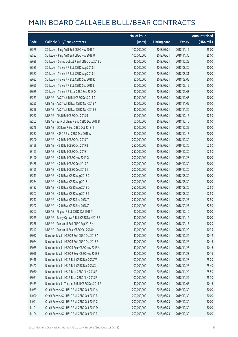|       |                                                  | No. of issue |                     |               | <b>Amount raised</b> |
|-------|--------------------------------------------------|--------------|---------------------|---------------|----------------------|
| Code  | <b>Callable Bull/Bear Contracts</b>              | (units)      | <b>Listing date</b> | <b>Expiry</b> | (HK\$ mil.)          |
| 63579 | SG Issuer - Ping An R Bull CBBC Nov 2018 T       | 100,000,000  | 2018/05/21          | 2018/11/12    | 25.00                |
| 63582 | SG Issuer - Ping An R Bull CBBC Nov 2018 U       | 100,000,000  | 2018/05/21          | 2018/11/30    | 25.00                |
| 63688 | SG Issuer - Sunny Optical R Bull CBBC Oct 2018 C | 40,000,000   | 2018/05/21          | 2018/10/29    | 10.00                |
| 63585 | SG Issuer - Tencent R Bull CBBC Aug 2018 J       | 80,000,000   | 2018/05/21          | 2018/08/30    | 20.00                |
| 63587 | SG Issuer - Tencent R Bull CBBC Aug 2018 K       | 80,000,000   | 2018/05/21          | 2018/08/31    | 20.00                |
| 63692 | SG Issuer - Tencent R Bull CBBC Sep 2018 K       | 80,000,000   | 2018/05/21          | 2018/09/05    | 20.00                |
| 63695 | SG Issuer - Tencent R Bull CBBC Sep 2018 L       | 80,000,000   | 2018/05/21          | 2018/09/12    | 20.00                |
| 63689 | SG Issuer - Tencent R Bear CBBC Sep 2018 Q       | 80,000,000   | 2018/05/21          | 2018/09/03    | 20.00                |
| 63253 | UBS AG - AAC Tech R Bull CBBC Dec 2018 D         | 40,000,000   | 2018/05/21          | 2018/12/03    | 10.00                |
| 63255 | UBS AG - AAC Tech R Bear CBBC Nov 2018 A         | 40,000,000   | 2018/05/21          | 2018/11/05    | 10.00                |
| 63256 | UBS AG - AAC Tech R Bear CBBC Nov 2018 B         | 40,000,000   | 2018/05/21          | 2018/11/26    | 10.00                |
| 63252 | UBS AG - AIA R Bull CBBC Oct 2018 B              | 50,000,000   | 2018/05/21          | 2018/10/15    | 12.50                |
| 63262 | UBS AG - Bank of China R Bull CBBC Dec 2018 B    | 60,000,000   | 2018/05/21          | 2018/12/10    | 15.00                |
| 63248 | UBS AG - CC Bank R Bull CBBC Oct 2018 N          | 80,000,000   | 2018/05/21          | 2018/10/22    | 20.00                |
| 63237 | UBS AG - HSBC R Bull CBBC Dec 2018 A             | 80,000,000   | 2018/05/21          | 2018/12/17    | 20.00                |
| 63200 | UBS AG - HSI R Bull CBBC Oct 2018 T              | 200,000,000  | 2018/05/21          | 2018/10/30    | 50.00                |
| 63199 | UBS AG - HSI R Bull CBBC Oct 2019 B              | 250,000,000  | 2018/05/21          | 2019/10/30    | 62.50                |
| 63193 | UBS AG - HSI R Bull CBBC Oct 2019 I              | 250,000,000  | 2018/05/21          | 2019/10/30    | 62.50                |
| 63190 | UBS AG - HSI R Bull CBBC Nov 2019 G              | 200,000,000  | 2018/05/21          | 2019/11/28    | 50.00                |
| 63468 | UBS AG - HSI R Bull CBBC Dec 2019 F              | 200,000,000  | 2018/05/21          | 2019/12/30    | 50.00                |
| 63195 | UBS AG - HSI R Bull CBBC Dec 2019 G              | 200,000,000  | 2018/05/21          | 2019/12/30    | 50.00                |
| 63213 | UBS AG - HSI R Bear CBBC Aug 2018 D              | 200,000,000  | 2018/05/21          | 2018/08/30    | 50.00                |
| 63234 | UBS AG - HSI R Bear CBBC Aug 2018 I              | 200,000,000  | 2018/05/21          | 2018/08/30    | 50.00                |
| 63182 | UBS AG - HSI R Bear CBBC Aug 2018 O              | 250,000,000  | 2018/05/21          | 2018/08/30    | 62.50                |
| 63207 | UBS AG - HSI R Bear CBBC Aug 2018 Z              | 250,000,000  | 2018/05/21          | 2018/08/30    | 62.50                |
| 63217 | UBS AG - HSI R Bear CBBC Sep 2018 Y              | 250,000,000  | 2018/05/21          | 2018/09/27    | 62.50                |
| 63222 | UBS AG - HSI R Bear CBBC Sep 2018 Z              | 250,000,000  | 2018/05/21          | 2018/09/27    | 62.50                |
| 63267 | UBS AG - Ping An R Bull CBBC Oct 2018 Y          | 80,000,000   | 2018/05/21          | 2018/10/10    | 20.00                |
| 63259 | UBS AG - Sunny Optical R Bull CBBC Nov 2018 B    | 40,000,000   | 2018/05/21          | 2018/11/12    | 10.00                |
| 63238 | UBS AG - Tencent R Bull CBBC Sep 2018 H          | 30,000,000   | 2018/05/21          | 2018/09/17    | 10.20                |
| 63247 | UBS AG - Tencent R Bear CBBC Oct 2018 H          | 30,000,000   | 2018/05/21          | 2018/10/22    | 10.35                |
| 63052 | Bank Vontobel - HSBC R Bull CBBC Oct 2018 A      | 40,000,000   | 2018/05/21          | 2018/10/26    | 10.12                |
| 63064 | Bank Vontobel - HSBC R Bull CBBC Oct 2018 B      | 40,000,000   | 2018/05/21          | 2018/10/26    | 10.16                |
| 63055 | Bank Vontobel - HSBC R Bear CBBC Nov 2018 A      | 40,000,000   | 2018/05/21          | 2018/11/23    | 10.16                |
| 63058 | Bank Vontobel - HSBC R Bear CBBC Nov 2018 B      | 40,000,000   | 2018/05/21          | 2018/11/23    | 10.16                |
| 63418 | Bank Vontobel - HSI R Bull CBBC Dec 2018 W       | 100,000,000  | 2018/05/21          | 2018/12/28    | 25.20                |
| 63427 | Bank Vontobel - HSI R Bull CBBC Dec 2018 X       | 100,000,000  | 2018/05/21          | 2018/12/28    | 25.40                |
| 63050 | Bank Vontobel - HSI R Bear CBBC Nov 2018 E       | 100,000,000  | 2018/05/21          | 2018/11/29    | 25.50                |
| 63051 | Bank Vontobel - HSI R Bear CBBC Nov 2018 F       | 100,000,000  | 2018/05/21          | 2018/11/29    | 25.30                |
| 63439 | Bank Vontobel - Tencent R Bull CBBC Dec 2018 F   | 40,000,000   | 2018/05/21          | 2018/12/07    | 10.16                |
| 64089 | Credit Suisse AG - HSI R Bull CBBC Oct 2019 A    | 200,000,000  | 2018/05/23          | 2019/10/30    | 50.00                |
| 64090 | Credit Suisse AG - HSI R Bull CBBC Oct 2019 B    | 200,000,000  | 2018/05/23          | 2019/10/30    | 50.00                |
| 64091 | Credit Suisse AG - HSI R Bull CBBC Oct 2019 C    | 200,000,000  | 2018/05/23          | 2019/10/30    | 50.00                |
| 64101 | Credit Suisse AG - HSI R Bull CBBC Oct 2019 D    | 200,000,000  | 2018/05/23          | 2019/10/30    | 50.00                |
| 64104 | Credit Suisse AG - HSI R Bull CBBC Oct 2019 F    | 200,000,000  | 2018/05/23          | 2019/10/30    | 50.00                |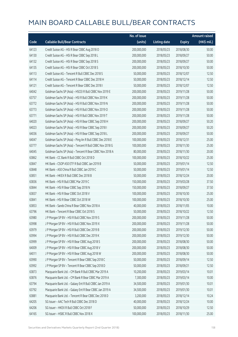|       |                                                          | No. of issue |                     |               | <b>Amount raised</b> |
|-------|----------------------------------------------------------|--------------|---------------------|---------------|----------------------|
| Code  | <b>Callable Bull/Bear Contracts</b>                      | (units)      | <b>Listing date</b> | <b>Expiry</b> | (HK\$ mil.)          |
| 64123 | Credit Suisse AG - HSI R Bear CBBC Aug 2018 O            | 200,000,000  | 2018/05/23          | 2018/08/30    | 50.00                |
| 64130 | Credit Suisse AG - HSI R Bear CBBC Sep 2018 L            | 200,000,000  | 2018/05/23          | 2018/09/27    | 50.00                |
| 64132 | Credit Suisse AG - HSI R Bear CBBC Sep 2018 S            | 200,000,000  | 2018/05/23          | 2018/09/27    | 50.00                |
| 64135 | Credit Suisse AG - HSI R Bear CBBC Oct 2018 S            | 200,000,000  | 2018/05/23          | 2018/10/30    | 50.00                |
| 64113 | Credit Suisse AG - Tencent R Bull CBBC Dec 2018 S        | 50,000,000   | 2018/05/23          | 2018/12/07    | 12.50                |
| 64114 | Credit Suisse AG - Tencent R Bear CBBC Dec 2018 H        | 50,000,000   | 2018/05/23          | 2018/12/14    | 12.50                |
| 64121 | Credit Suisse AG - Tencent R Bear CBBC Dec 2018 I        | 50,000,000   | 2018/05/23          | 2018/12/07    | 12.50                |
| 64042 | Goldman Sachs SP (Asia) - HSCEI R Bull CBBC Nov 2019 E   | 200,000,000  | 2018/05/23          | 2019/11/28    | 50.00                |
| 63757 | Goldman Sachs SP (Asia) - HSI R Bull CBBC Nov 2019 K     | 200,000,000  | 2018/05/23          | 2019/11/28    | 50.00                |
| 63772 | Goldman Sachs SP (Asia) - HSI R Bull CBBC Nov 2019 N     | 200,000,000  | 2018/05/23          | 2019/11/28    | 50.00                |
| 63773 | Goldman Sachs SP (Asia) - HSI R Bull CBBC Nov 2019 O     | 200,000,000  | 2018/05/23          | 2019/11/28    | 50.00                |
| 63771 | Goldman Sachs SP (Asia) - HSI R Bull CBBC Nov 2019 T     | 200,000,000  | 2018/05/23          | 2019/11/28    | 50.00                |
| 64020 | Goldman Sachs SP (Asia) - HSI R Bear CBBC Sep 2018 H     | 200,000,000  | 2018/05/23          | 2018/09/27    | 50.20                |
| 64023 | Goldman Sachs SP (Asia) - HSI R Bear CBBC Sep 2018 I     | 200,000,000  | 2018/05/23          | 2018/09/27    | 50.20                |
| 64036 | Goldman Sachs SP (Asia) - HSI R Bear CBBC Sep 2018 L     | 200,000,000  | 2018/05/23          | 2018/09/27    | 50.00                |
| 64047 | Goldman Sachs SP (Asia) - Ping An R Bull CBBC Dec 2018 E | 100,000,000  | 2018/05/23          | 2018/12/31    | 25.00                |
| 63777 | Goldman Sachs SP (Asia) - Tencent R Bull CBBC Nov 2018 G | 100,000,000  | 2018/05/23          | 2018/11/30    | 25.00                |
| 64045 | Goldman Sachs SP (Asia) - Tencent R Bear CBBC Nov 2018 A | 80,000,000   | 2018/05/23          | 2018/11/30    | 20.00                |
| 63862 | HK Bank - CC Bank R Bull CBBC Oct 2018 D                 | 100,000,000  | 2018/05/23          | 2018/10/22    | 25.00                |
| 63847 | HK Bank - CSOP A50 ETF R Bull CBBC Jan 2019 B            | 50,000,000   | 2018/05/23          | 2019/01/14    | 12.50                |
| 63848 | HK Bank - A50 China R Bull CBBC Jan 2019 C               | 50,000,000   | 2018/05/23          | 2019/01/14    | 12.50                |
| 63851 | HK Bank - HKEX R Bull CBBC Dec 2018 B                    | 50,000,000   | 2018/05/23          | 2018/12/24    | 20.00                |
| 63836 | HK Bank - HSI R Bull CBBC Mar 2019 C                     | 150,000,000  | 2018/05/23          | 2019/03/28    | 37.50                |
| 63844 | HK Bank - HSI R Bear CBBC Sep 2018 N                     | 150,000,000  | 2018/05/23          | 2018/09/27    | 37.50                |
| 63837 | HK Bank - HSI R Bear CBBC Oct 2018 V                     | 100,000,000  | 2018/05/23          | 2018/10/30    | 25.00                |
| 63841 | HK Bank - HSI R Bear CBBC Oct 2018 W                     | 100,000,000  | 2018/05/23          | 2018/10/30    | 25.00                |
| 63853 | HK Bank - Sands China R Bear CBBC Nov 2018 A             | 40,000,000   | 2018/05/23          | 2018/11/05    | 10.00                |
| 63796 | HK Bank - Tencent R Bear CBBC Oct 2018 S                 | 50,000,000   | 2018/05/23          | 2018/10/22    | 12.50                |
| 63980 | J P Morgan SP BV - HSI R Bull CBBC Nov 2019 S            | 200,000,000  | 2018/05/23          | 2019/11/28    | 50.00                |
| 63998 | J P Morgan SP BV - HSI R Bull CBBC Nov 2019 X            | 200,000,000  | 2018/05/23          | 2019/11/28    | 50.00                |
| 63979 | J P Morgan SP BV - HSI R Bull CBBC Dec 2019 B            | 200,000,000  | 2018/05/23          | 2019/12/30    | 50.00                |
| 63994 | J P Morgan SP BV - HSI R Bull CBBC Dec 2019 K            | 200,000,000  | 2018/05/23          | 2019/12/30    | 50.00                |
| 63999 | J P Morgan SP BV - HSI R Bear CBBC Aug 2018 S            | 200,000,000  | 2018/05/23          | 2018/08/30    | 50.00                |
| 64009 | J P Morgan SP BV - HSI R Bear CBBC Aug 2018 V            | 200,000,000  | 2018/05/23          | 2018/08/30    | 50.00                |
| 64011 | J P Morgan SP BV - HSI R Bear CBBC Aug 2018 W            | 200,000,000  | 2018/05/23          | 2018/08/30    | 50.00                |
| 63990 | J P Morgan SP BV - Tencent R Bear CBBC Sep 2018 C        | 50,000,000   | 2018/05/23          | 2018/09/14    | 12.50                |
| 63992 | J P Morgan SP BV - Tencent R Bear CBBC Sep 2018 D        | 50,000,000   | 2018/05/23          | 2018/09/21    | 12.50                |
| 63873 | Macquarie Bank Ltd. - CM Bank R Bull CBBC Mar 2019 A     | 10,200,000   | 2018/05/23          | 2019/03/14    | 10.01                |
| 63876 | Macquarie Bank Ltd. - CM Bank R Bear CBBC Mar 2019 A     | 7,300,000    | 2018/05/23          | 2019/03/14    | 10.00                |
| 63794 | Macquarie Bank Ltd. - Galaxy Ent R Bull CBBC Jan 2019 A  | 34,500,000   | 2018/05/23          | 2019/01/30    | 10.01                |
| 63792 | Macquarie Bank Ltd. - Galaxy Ent R Bear CBBC Jan 2019 A  | 34,500,000   | 2018/05/23          | 2019/01/30    | 10.01                |
| 63881 | Macquarie Bank Ltd. - Tencent R Bear CBBC Dec 2018 D     | 3,200,000    | 2018/05/23          | 2018/12/14    | 10.24                |
| 64205 | SG Issuer - AAC Tech R Bull CBBC Dec 2018 D              | 40,000,000   | 2018/05/23          | 2018/12/24    | 10.00                |
| 64206 | SG Issuer - HKEX R Bull CBBC Oct 2018 F                  | 50,000,000   | 2018/05/23          | 2018/10/29    | 12.50                |
| 64165 | SG Issuer - HSBC R Bull CBBC Nov 2018 X                  | 100,000,000  | 2018/05/23          | 2018/11/30    | 25.00                |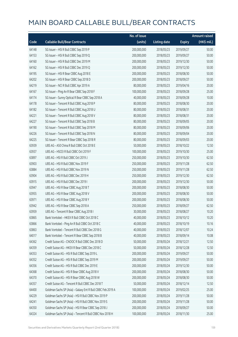|       |                                                             | No. of issue |                     |               | <b>Amount raised</b> |
|-------|-------------------------------------------------------------|--------------|---------------------|---------------|----------------------|
| Code  | <b>Callable Bull/Bear Contracts</b>                         | (units)      | <b>Listing date</b> | <b>Expiry</b> | (HK\$ mil.)          |
| 64148 | SG Issuer - HSI R Bull CBBC Sep 2019 P                      | 200,000,000  | 2018/05/23          | 2019/09/27    | 50.00                |
| 64153 | SG Issuer - HSI R Bull CBBC Sep 2019 Q                      | 200,000,000  | 2018/05/23          | 2019/09/27    | 50.00                |
| 64160 | SG Issuer - HSI R Bull CBBC Dec 2019 M                      | 200,000,000  | 2018/05/23          | 2019/12/30    | 50.00                |
| 64162 | SG Issuer - HSI R Bull CBBC Dec 2019 Q                      | 200,000,000  | 2018/05/23          | 2019/12/30    | 50.00                |
| 64195 | SG Issuer - HSI R Bear CBBC Aug 2018 E                      | 200,000,000  | 2018/05/23          | 2018/08/30    | 50.00                |
| 64202 | SG Issuer - HSI R Bear CBBC Sep 2018 D                      | 200,000,000  | 2018/05/23          | 2018/09/27    | 50.00                |
| 64219 | SG Issuer - NCI R Bull CBBC Apr 2019 A                      | 80,000,000   | 2018/05/23          | 2019/04/16    | 20.00                |
| 64167 | SG Issuer - Ping An R Bear CBBC Sep 2018 F                  | 100,000,000  | 2018/05/23          | 2018/09/28    | 25.00                |
| 64174 | SG Issuer - Sunny Optical R Bear CBBC Sep 2018 A            | 40,000,000   | 2018/05/23          | 2018/09/28    | 10.00                |
| 64178 | SG Issuer - Tencent R Bull CBBC Aug 2018 P                  | 80,000,000   | 2018/05/23          | 2018/08/30    | 20.00                |
| 64182 | SG Issuer - Tencent R Bull CBBC Aug 2018 U                  | 80,000,000   | 2018/05/23          | 2018/08/31    | 20.00                |
| 64221 | SG Issuer - Tencent R Bull CBBC Aug 2018 V                  | 80,000,000   | 2018/05/23          | 2018/08/31    | 20.00                |
| 64227 | SG Issuer - Tencent R Bull CBBC Sep 2018 B                  | 80,000,000   | 2018/05/23          | 2018/09/05    | 20.00                |
| 64190 | SG Issuer - Tencent R Bull CBBC Sep 2018 M                  | 80,000,000   | 2018/05/23          | 2018/09/06    | 20.00                |
| 64226 | SG Issuer - Tencent R Bull CBBC Sep 2018 N                  | 80,000,000   | 2018/05/23          | 2018/09/04    | 20.00                |
| 64225 | SG Issuer - Tencent R Bear CBBC Sep 2018 R                  | 80,000,000   | 2018/05/23          | 2018/09/03    | 20.00                |
| 63939 | UBS AG - A50 China R Bull CBBC Oct 2018 E                   | 50,000,000   | 2018/05/23          | 2018/10/22    | 12.50                |
| 63937 | UBS AG - HSCEI R Bull CBBC Oct 2019 F                       | 100,000,000  | 2018/05/23          | 2019/10/30    | 25.00                |
| 63897 | UBS AG - HSI R Bull CBBC Oct 2019 J                         | 250,000,000  | 2018/05/23          | 2019/10/30    | 62.50                |
| 63903 | UBS AG - HSI R Bull CBBC Nov 2019 F                         | 250,000,000  | 2018/05/23          | 2019/11/28    | 62.50                |
| 63884 | UBS AG - HSI R Bull CBBC Nov 2019 N                         | 250,000,000  | 2018/05/23          | 2019/11/28    | 62.50                |
| 63904 | UBS AG - HSI R Bull CBBC Dec 2019 H                         | 250,000,000  | 2018/05/23          | 2019/12/30    | 62.50                |
| 63915 | UBS AG - HSI R Bull CBBC Dec 2019 I                         | 200,000,000  | 2018/05/23          | 2019/12/30    | 50.00                |
| 63947 | UBS AG - HSI R Bear CBBC Aug 2018 T                         | 200,000,000  | 2018/05/23          | 2018/08/30    | 50.00                |
| 63955 | UBS AG - HSI R Bear CBBC Aug 2018 V                         | 200,000,000  | 2018/05/23          | 2018/08/30    | 50.00                |
| 63971 | UBS AG - HSI R Bear CBBC Aug 2018 Y                         | 200,000,000  | 2018/05/23          | 2018/08/30    | 50.00                |
| 63942 | UBS AG - HSI R Bear CBBC Sep 2018 A                         | 250,000,000  | 2018/05/23          | 2018/09/27    | 62.50                |
| 63959 | UBS AG - Tencent R Bear CBBC Aug 2018 I                     | 30,000,000   | 2018/05/23          | 2018/08/27    | 10.20                |
| 63865 | Bank Vontobel - HKEX R Bull CBBC Oct 2018 C                 | 40,000,000   | 2018/05/23          | 2018/10/12    | 10.20                |
| 63866 | Bank Vontobel - Ping An R Bull CBBC Oct 2018 C              | 40,000,000   | 2018/05/23          | 2018/10/19    | 10.16                |
| 63863 | Bank Vontobel - Tencent R Bull CBBC Dec 2018 G              | 40,000,000   | 2018/05/23          | 2018/12/07    | 10.24                |
| 64017 | Bank Vontobel - Tencent R Bear CBBC Sep 2018 B              | 40,000,000   | 2018/05/23          | 2018/09/14    | 10.08                |
| 64362 | Credit Suisse AG - CNOOC R Bull CBBC Dec 2018 D             | 50,000,000   | 2018/05/24          | 2018/12/21    | 12.50                |
| 64359 | Credit Suisse AG - HKEX R Bear CBBC Dec 2018 C              | 50,000,000   | 2018/05/24          | 2018/12/28    | 12.50                |
| 64353 | Credit Suisse AG - HSI R Bull CBBC Sep 2019 L               | 200,000,000  | 2018/05/24          | 2019/09/27    | 50.00                |
| 64352 | Credit Suisse AG - HSI R Bull CBBC Sep 2019 M               | 200,000,000  | 2018/05/24          | 2019/09/27    | 50.00                |
| 64356 | Credit Suisse AG - HSI R Bull CBBC Dec 2019 E               | 200,000,000  | 2018/05/24          | 2019/12/30    | 50.00                |
| 64368 | Credit Suisse AG - HSI R Bear CBBC Aug 2018 V               | 200,000,000  | 2018/05/24          | 2018/08/30    | 50.00                |
| 64370 | Credit Suisse AG - HSI R Bear CBBC Aug 2018 W               | 200,000,000  | 2018/05/24          | 2018/08/30    | 50.00                |
| 64357 | Credit Suisse AG - Tencent R Bull CBBC Dec 2018 T           | 50,000,000   | 2018/05/24          | 2018/12/14    | 12.50                |
| 64400 | Goldman Sachs SP (Asia) - Galaxy Ent R Bull CBBC Feb 2019 A | 100,000,000  | 2018/05/24          | 2019/02/25    | 25.00                |
| 64229 | Goldman Sachs SP (Asia) - HSI R Bull CBBC Nov 2019 P        | 200,000,000  | 2018/05/24          | 2019/11/28    | 50.00                |
| 64241 | Goldman Sachs SP (Asia) - HSI R Bull CBBC Nov 2019 S        | 200,000,000  | 2018/05/24          | 2019/11/28    | 50.00                |
| 64350 | Goldman Sachs SP (Asia) - HSI R Bear CBBC Sep 2018 J        | 200,000,000  | 2018/05/24          | 2018/09/27    | 50.00                |
| 64324 | Goldman Sachs SP (Asia) - Tencent R Bull CBBC Nov 2018 H    | 100,000,000  | 2018/05/24          | 2018/11/30    | 25.00                |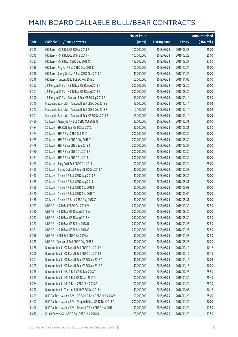|       |                                                            | No. of issue |                     |               | <b>Amount raised</b> |
|-------|------------------------------------------------------------|--------------|---------------------|---------------|----------------------|
| Code  | <b>Callable Bull/Bear Contracts</b>                        | (units)      | <b>Listing date</b> | <b>Expiry</b> | (HK\$ mil.)          |
| 64325 | HK Bank - HSI R Bull CBBC Mar 2019 F                       | 100,000,000  | 2018/05/24          | 2019/03/28    | 25.00                |
| 64245 | HK Bank - HSI R Bull CBBC Mar 2019 H                       | 100,000,000  | 2018/05/24          | 2019/03/28    | 25.00                |
| 64327 | HK Bank - HSI R Bear CBBC Sep 2018 Q                       | 150,000,000  | 2018/05/24          | 2018/09/27    | 37.50                |
| 64336 | HK Bank - Ping An R Bull CBBC Dec 2018 B                   | 100,000,000  | 2018/05/24          | 2018/12/24    | 25.00                |
| 64330 | HK Bank - Sunny Optical R Bull CBBC Nov 2018 C             | 40,000,000   | 2018/05/24          | 2018/11/26    | 10.00                |
| 64246 | HK Bank - Tencent R Bull CBBC Nov 2018 L                   | 60,000,000   | 2018/05/24          | 2018/11/05    | 15.00                |
| 64392 | J P Morgan SP BV - HSI R Bear CBBC Aug 2018 J              | 200,000,000  | 2018/05/24          | 2018/08/30    | 50.00                |
| 64391 | J P Morgan SP BV - HSI R Bear CBBC Aug 2018 Z              | 200,000,000  | 2018/05/24          | 2018/08/30    | 50.00                |
| 64390 | J P Morgan SP BV - Tencent R Bear CBBC Sep 2018 E          | 50,000,000   | 2018/05/24          | 2018/09/14    | 12.50                |
| 64340 | Macquarie Bank Ltd. - Tencent R Bull CBBC Dec 2018 E       | 13,500,000   | 2018/05/24          | 2018/12/14    | 10.02                |
| 64347 | Macquarie Bank Ltd. - Tencent R Bull CBBC Dec 2018 F       | 2,100,000    | 2018/05/24          | 2018/12/14    | 10.02                |
| 64341 | Macquarie Bank Ltd. - Tencent R Bear CBBC Dec 2018 E       | 13,100,000   | 2018/05/24          | 2018/12/14    | 10.03                |
| 64490 | SG Issuer - Galaxy Ent R Bull CBBC Oct 2018 G              | 80,000,000   | 2018/05/24          | 2018/10/31    | 20.00                |
| 64484 | SG Issuer - HKEX R Bear CBBC Sep 2018 J                    | 50,000,000   | 2018/05/24          | 2018/09/21    | 12.50                |
| 64474 | SG Issuer - HSI R Bull CBBC Oct 2019 I                     | 200,000,000  | 2018/05/24          | 2019/10/30    | 50.00                |
| 64489 | SG Issuer - HSI R Bear CBBC Aug 2018 T                     | 200,000,000  | 2018/05/24          | 2018/08/30    | 50.00                |
| 64476 | SG Issuer - HSI R Bear CBBC Sep 2018 T                     | 200,000,000  | 2018/05/24          | 2018/09/27    | 50.00                |
| 64480 | SG Issuer - HSI R Bear CBBC Oct 2018 J                     | 200,000,000  | 2018/05/24          | 2018/10/30    | 50.00                |
| 64481 | SG Issuer - HSI R Bear CBBC Oct 2018 L                     | 200,000,000  | 2018/05/24          | 2018/10/30    | 50.00                |
| 64487 | SG Issuer - Ping An R Bull CBBC Oct 2018 U                 | 100,000,000  | 2018/05/24          | 2018/10/24    | 25.00                |
| 64495 | SG Issuer - Sunny Optical R Bear CBBC Dec 2018 A           | 40,000,000   | 2018/05/24          | 2018/12/28    | 10.00                |
| 64452 | SG Issuer - Tencent R Bull CBBC Aug 2018 F                 | 80,000,000   | 2018/05/24          | 2018/08/30    | 20.00                |
| 64455 | SG Issuer - Tencent R Bull CBBC Aug 2018 L                 | 80,000,000   | 2018/05/24          | 2018/08/31    | 20.00                |
| 64458 | SG Issuer - Tencent R Bull CBBC Sep 2018 F                 | 80,000,000   | 2018/05/24          | 2018/09/03    | 20.00                |
| 64470 | SG Issuer - Tencent R Bull CBBC Sep 2018 T                 | 80,000,000   | 2018/05/24          | 2018/09/04    | 20.00                |
| 64488 | SG Issuer - Tencent R Bear CBBC Aug 2018 Z                 | 80,000,000   | 2018/05/24          | 2018/08/31    | 20.00                |
| 64373 | UBS AG - HSI R Bull CBBC Oct 2019 W                        | 250,000,000  | 2018/05/24          | 2019/10/30    | 62.50                |
| 64380 | UBS AG - HSI R Bear CBBC Aug 2018 W                        | 200,000,000  | 2018/05/24          | 2018/08/30    | 50.00                |
| 64387 | UBS AG - HSI R Bear CBBC Aug 2018 X                        | 250,000,000  | 2018/05/24          | 2018/08/30    | 62.50                |
| 64377 | UBS AG - HSI R Bear CBBC Sep 2018 B                        | 250,000,000  | 2018/05/24          | 2018/09/27    | 62.50                |
| 64381 | UBS AG - HSI R Bear CBBC Sep 2018 C                        | 250,000,000  | 2018/05/24          | 2018/09/27    | 62.50                |
| 64386 | UBS AG - NCI R Bull CBBC Jan 2019 A                        | 50,000,000   | 2018/05/24          | 2019/01/28    | 12.50                |
| 64375 | UBS AG - Tencent R Bull CBBC Aug 2018 F                    | 30,000,000   | 2018/05/24          | 2018/08/27    | 10.20                |
| 64288 | Bank Vontobel - CC Bank R Bull CBBC Oct 2018 A             | 40,000,000   | 2018/05/24          | 2018/10/19    | 10.12                |
| 64290 | Bank Vontobel - CC Bank R Bull CBBC Oct 2018 B             | 40,000,000   | 2018/05/24          | 2018/10/19    | 10.16                |
| 64291 | Bank Vontobel - CC Bank R Bear CBBC Nov 2018 A             | 40,000,000   | 2018/05/24          | 2018/11/16    | 10.08                |
| 64305 | Bank Vontobel - CC Bank R Bear CBBC Nov 2018 B             | 40,000,000   | 2018/05/24          | 2018/11/16    | 10.20                |
| 64278 | Bank Vontobel - HSI R Bull CBBC Dec 2018 Y                 | 100,000,000  | 2018/05/24          | 2018/12/28    | 25.50                |
| 64283 | Bank Vontobel - HSI R Bull CBBC Jan 2019 A                 | 100,000,000  | 2018/05/24          | 2019/01/30    | 25.40                |
| 64284 | Bank Vontobel - HSI R Bear CBBC Nov 2018 G                 | 100,000,000  | 2018/05/24          | 2018/11/29    | 25.30                |
| 64272 | Bank Vontobel - Tencent R Bull CBBC Dec 2018 H             | 40,000,000   | 2018/05/24          | 2018/12/07    | 10.12                |
| 64499 | BNP Paribas Issuance B.V. - CC Bank R Bear CBBC Nov 2018 V | 100,000,000  | 2018/05/25          | 2018/11/29    | 25.00                |
| 64497 | BNP Paribas Issuance B.V. - Ping An R Bear CBBC Nov 2018 G | 200,000,000  | 2018/05/25          | 2018/11/29    | 50.00                |
| 64496 | BNP Paribas Issuance B.V. - Tencent R Bear CBBC Nov 2018 J | 50,000,000   | 2018/05/25          | 2018/11/29    | 17.50                |
| 64632 | Credit Suisse AG - ABC R Bull CBBC Nov 2018 B              | 70,000,000   | 2018/05/25          | 2018/11/29    | 17.50                |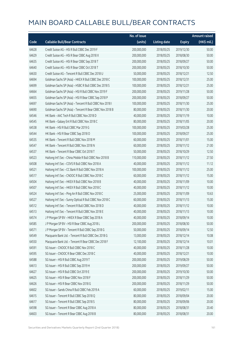|       |                                                          | No. of issue |                     |               | <b>Amount raised</b> |
|-------|----------------------------------------------------------|--------------|---------------------|---------------|----------------------|
| Code  | <b>Callable Bull/Bear Contracts</b>                      | (units)      | <b>Listing date</b> | <b>Expiry</b> | (HK\$ mil.)          |
| 64628 | Credit Suisse AG - HSI R Bull CBBC Dec 2019 F            | 200,000,000  | 2018/05/25          | 2019/12/30    | 50.00                |
| 64629 | Credit Suisse AG - HSI R Bear CBBC Aug 2018 X            | 200,000,000  | 2018/05/25          | 2018/08/30    | 50.00                |
| 64635 | Credit Suisse AG - HSI R Bear CBBC Sep 2018 T            | 200,000,000  | 2018/05/25          | 2018/09/27    | 50.00                |
| 64640 | Credit Suisse AG - HSI R Bear CBBC Oct 2018 T            | 200,000,000  | 2018/05/25          | 2018/10/30    | 50.00                |
| 64630 | Credit Suisse AG - Tencent R Bull CBBC Dec 2018 U        | 50,000,000   | 2018/05/25          | 2018/12/21    | 12.50                |
| 64694 | Goldman Sachs SP (Asia) - HKEX R Bull CBBC Dec 2018 C    | 100,000,000  | 2018/05/25          | 2018/12/31    | 25.00                |
| 64699 | Goldman Sachs SP (Asia) - HSBC R Bull CBBC Dec 2018 S    | 100,000,000  | 2018/05/25          | 2018/12/21    | 25.00                |
| 64664 | Goldman Sachs SP (Asia) - HSI R Bull CBBC Nov 2019 F     | 200,000,000  | 2018/05/25          | 2019/11/28    | 50.00                |
| 64655 | Goldman Sachs SP (Asia) - HSI R Bear CBBC Sep 2018 P     | 200,000,000  | 2018/05/25          | 2018/09/27    | 50.00                |
| 64697 | Goldman Sachs SP (Asia) - Tencent R Bull CBBC Nov 2018 I | 100,000,000  | 2018/05/25          | 2018/11/30    | 25.00                |
| 64690 | Goldman Sachs SP (Asia) - Tencent R Bear CBBC Nov 2018 B | 80,000,000   | 2018/05/25          | 2018/11/30    | 20.00                |
| 64546 | HK Bank - AAC Tech R Bull CBBC Nov 2018 D                | 40,000,000   | 2018/05/25          | 2018/11/19    | 10.00                |
| 64545 | HK Bank - Galaxy Ent R Bull CBBC Nov 2018 C              | 80,000,000   | 2018/05/25          | 2018/11/05    | 20.00                |
| 64538 | HK Bank - HSI R Bull CBBC Mar 2019 G                     | 100,000,000  | 2018/05/25          | 2019/03/28    | 25.00                |
| 64544 | HK Bank - HSI R Bear CBBC Sep 2018 O                     | 100,000,000  | 2018/05/25          | 2018/09/27    | 25.00                |
| 64535 | HK Bank - Tencent R Bull CBBC Nov 2018 M                 | 60,000,000   | 2018/05/25          | 2018/11/01    | 15.00                |
| 64547 | HK Bank - Tencent R Bull CBBC Nov 2018 N                 | 60,000,000   | 2018/05/25          | 2018/11/12    | 21.00                |
| 64537 | HK Bank - Tencent R Bear CBBC Oct 2018 T                 | 50,000,000   | 2018/05/25          | 2018/10/29    | 12.50                |
| 64523 | Haitong Int'l Sec - China Mobile R Bull CBBC Nov 2018 B  | 110,000,000  | 2018/05/25          | 2018/11/12    | 27.50                |
| 64508 | Haitong Int'l Sec - COVS R Bull CBBC Nov 2018 A          | 40,000,000   | 2018/05/25          | 2018/11/12    | 11.12                |
| 64521 | Haitong Int'l Sec - CC Bank R Bull CBBC Nov 2018 A       | 100,000,000  | 2018/05/25          | 2018/11/12    | 25.00                |
| 64517 | Haitong Int'l Sec - CNOOC R Bull CBBC Nov 2018 C         | 60,000,000   | 2018/05/25          | 2018/11/12    | 15.00                |
| 64504 | Haitong Int'l Sec - HKEX R Bull CBBC Nov 2018 B          | 40,000,000   | 2018/05/25          | 2018/11/09    | 10.00                |
| 64507 | Haitong Int'l Sec - HKEX R Bull CBBC Nov 2018 C          | 40,000,000   | 2018/05/25          | 2018/11/12    | 10.00                |
| 64524 | Haitong Int'l Sec - Ping An R Bull CBBC Nov 2018 C       | 25,000,000   | 2018/05/25          | 2018/11/09    | 10.63                |
| 64527 | Haitong Int'l Sec - Sunny Optical R Bull CBBC Nov 2018 C | 60,000,000   | 2018/05/25          | 2018/11/13    | 15.00                |
| 64512 | Haitong Int'l Sec - Tencent R Bull CBBC Nov 2018 D       | 40,000,000   | 2018/05/25          | 2018/11/12    | 10.00                |
| 64513 | Haitong Int'l Sec - Tencent R Bull CBBC Nov 2018 E       | 40,000,000   | 2018/05/25          | 2018/11/13    | 10.00                |
| 64574 | J P Morgan SP BV - HKEX R Bear CBBC Sep 2018 A           | 40,000,000   | 2018/05/25          | 2018/09/14    | 10.00                |
| 64585 | J P Morgan SP BV - HSI R Bear CBBC Aug 2018 L            | 200,000,000  | 2018/05/25          | 2018/08/30    | 50.00                |
| 64571 | J P Morgan SP BV - Tencent R Bull CBBC Sep 2018 G        | 50,000,000   | 2018/05/25          | 2018/09/14    | 12.50                |
| 64549 | Macquarie Bank Ltd. - Tencent R Bull CBBC Dec 2018 G     | 13,000,000   | 2018/05/25          | 2018/12/14    | 10.08                |
| 64550 | Macquarie Bank Ltd. - Tencent R Bear CBBC Dec 2018 F     | 12,100,000   | 2018/05/25          | 2018/12/14    | 10.01                |
| 64591 | SG Issuer - CNOOC R Bull CBBC Nov 2018 C                 | 40,000,000   | 2018/05/25          | 2018/11/28    | 10.00                |
| 64595 | SG Issuer - CNOOC R Bear CBBC Dec 2018 C                 | 40,000,000   | 2018/05/25          | 2018/12/21    | 10.00                |
| 64588 | SG Issuer - HSI R Bull CBBC Aug 2019 T                   | 200,000,000  | 2018/05/25          | 2019/08/29    | 50.00                |
| 64613 | SG Issuer - HSI R Bull CBBC Sep 2019 H                   | 200,000,000  | 2018/05/25          | 2019/09/27    | 50.00                |
| 64627 | SG Issuer - HSI R Bull CBBC Oct 2019 E                   | 200,000,000  | 2018/05/25          | 2019/10/30    | 50.00                |
| 64625 | SG Issuer - HSI R Bear CBBC Nov 2018 F                   | 200,000,000  | 2018/05/25          | 2018/11/29    | 50.00                |
| 64626 | SG Issuer - HSI R Bear CBBC Nov 2018 G                   | 200,000,000  | 2018/05/25          | 2018/11/29    | 50.00                |
| 64602 | SG Issuer - Sands China R Bull CBBC Feb 2019 A           | 60,000,000   | 2018/05/25          | 2019/02/11    | 15.00                |
| 64615 | SG Issuer - Tencent R Bull CBBC Sep 2018 Q               | 80,000,000   | 2018/05/25          | 2018/09/04    | 20.00                |
| 64617 | SG Issuer - Tencent R Bull CBBC Sep 2018 S               | 80,000,000   | 2018/05/25          | 2018/09/06    | 20.00                |
| 64598 | SG Issuer - Tencent R Bear CBBC Aug 2018 A               | 80,000,000   | 2018/05/25          | 2018/08/31    | 20.40                |
| 64603 | SG Issuer - Tencent R Bear CBBC Aug 2018 B               | 80,000,000   | 2018/05/25          | 2018/08/31    | 20.00                |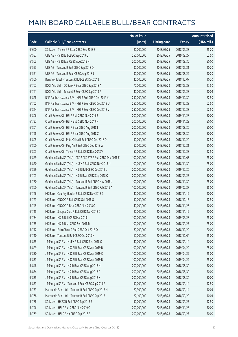|       |                                                               | No. of issue |                     |               | <b>Amount raised</b> |
|-------|---------------------------------------------------------------|--------------|---------------------|---------------|----------------------|
| Code  | <b>Callable Bull/Bear Contracts</b>                           | (units)      | <b>Listing date</b> | <b>Expiry</b> | (HK\$ mil.)          |
| 64600 | SG Issuer - Tencent R Bear CBBC Sep 2018 S                    | 80,000,000   | 2018/05/25          | 2018/09/28    | 25.20                |
| 64557 | UBS AG - HSI R Bull CBBC Sep 2019 C                           | 250,000,000  | 2018/05/25          | 2019/09/27    | 62.50                |
| 64563 | UBS AG - HSI R Bear CBBC Aug 2018 N                           | 200,000,000  | 2018/05/25          | 2018/08/30    | 50.00                |
| 64553 | UBS AG - Tencent R Bull CBBC Sep 2018 Q                       | 30,000,000   | 2018/05/25          | 2018/09/21    | 10.20                |
| 64551 | UBS AG - Tencent R Bear CBBC Aug 2018 J                       | 30,000,000   | 2018/05/25          | 2018/08/29    | 10.20                |
| 64500 | Bank Vontobel - Tencent R Bull CBBC Dec 2018 I                | 40,000,000   | 2018/05/25          | 2018/12/07    | 10.20                |
| 64767 | BOCI Asia Ltd. - CC Bank R Bear CBBC Sep 2018 A               | 70,000,000   | 2018/05/28          | 2018/09/28    | 17.50                |
| 64761 | BOCI Asia Ltd. - Tencent R Bear CBBC Sep 2018 A               | 40,000,000   | 2018/05/28          | 2018/09/28    | 10.08                |
| 64828 | BNP Paribas Issuance B.V. - HSI R Bull CBBC Dec 2019 X        | 250,000,000  | 2018/05/28          | 2019/12/30    | 62.50                |
| 64702 | BNP Paribas Issuance B.V. - HSI R Bear CBBC Dec 2018 U        | 250,000,000  | 2018/05/28          | 2018/12/28    | 62.50                |
| 64824 | BNP Paribas Issuance B.V. - HSI R Bear CBBC Dec 2018 V        | 250,000,000  | 2018/05/28          | 2018/12/28    | 62.50                |
| 64806 | Credit Suisse AG - HSI R Bull CBBC Nov 2019 B                 | 200,000,000  | 2018/05/28          | 2019/11/28    | 50.00                |
| 64797 | Credit Suisse AG - HSI R Bull CBBC Nov 2019 H                 | 200,000,000  | 2018/05/28          | 2019/11/28    | 50.00                |
| 64801 | Credit Suisse AG - HSI R Bear CBBC Aug 2018 I                 | 200,000,000  | 2018/05/28          | 2018/08/30    | 50.00                |
| 64798 | Credit Suisse AG - HSI R Bear CBBC Aug 2018 Z                 | 200,000,000  | 2018/05/28          | 2018/08/30    | 50.00                |
| 64805 | Credit Suisse AG - PetroChina R Bull CBBC Dec 2018 D          | 50,000,000   | 2018/05/28          | 2018/12/20    | 12.50                |
| 64800 | Credit Suisse AG - Ping An R Bull CBBC Dec 2018 W             | 80,000,000   | 2018/05/28          | 2018/12/21    | 20.00                |
| 64803 | Credit Suisse AG - Tencent R Bull CBBC Dec 2018 V             | 50,000,000   | 2018/05/28          | 2018/12/28    | 12.50                |
| 64869 | Goldman Sachs SP (Asia) - CSOP A50 ETF R Bull CBBC Dec 2018 E | 100,000,000  | 2018/05/28          | 2018/12/03    | 25.00                |
| 64870 | Goldman Sachs SP (Asia) - HKEX R Bull CBBC Nov 2018 U         | 100,000,000  | 2018/05/28          | 2018/11/30    | 25.00                |
| 64859 | Goldman Sachs SP (Asia) - HSI R Bull CBBC Dec 2019 L          | 200,000,000  | 2018/05/28          | 2019/12/30    | 50.00                |
| 64703 | Goldman Sachs SP (Asia) - HSI R Bear CBBC Sep 2018 Q          | 200,000,000  | 2018/05/28          | 2018/09/27    | 50.00                |
| 64760 | Goldman Sachs SP (Asia) - Tencent R Bull CBBC Nov 2018 J      | 100,000,000  | 2018/05/28          | 2018/11/30    | 25.00                |
| 64860 | Goldman Sachs SP (Asia) - Tencent R Bull CBBC Feb 2019 A      | 100,000,000  | 2018/05/28          | 2019/02/27    | 25.00                |
| 64746 | HK Bank - Country Garden R Bull CBBC Nov 2018 G               | 40,000,000   | 2018/05/28          | 2018/11/19    | 10.00                |
| 64723 | HK Bank - CNOOC R Bull CBBC Oct 2018 O                        | 50,000,000   | 2018/05/28          | 2018/10/15    | 12.50                |
| 64745 | HK Bank - CNOOC R Bear CBBC Nov 2018 C                        | 40,000,000   | 2018/05/28          | 2018/11/26    | 10.00                |
| 64715 | HK Bank - Sinopec Corp R Bull CBBC Nov 2018 C                 | 80,000,000   | 2018/05/28          | 2018/11/19    | 20.00                |
| 64734 | HK Bank - HSI R Bull CBBC Mar 2019 I                          | 100,000,000  | 2018/05/28          | 2019/03/28    | 25.00                |
| 64735 | HK Bank - HSI R Bear CBBC Sep 2018 R                          | 100,000,000  | 2018/05/28          | 2018/09/27    | 25.00                |
| 64712 | HK Bank - PetroChina R Bull CBBC Oct 2018 O                   | 80,000,000   | 2018/05/28          | 2018/10/29    | 20.00                |
| 64710 | HK Bank - Tencent R Bull CBBC Oct 2018 H                      | 60,000,000   | 2018/05/28          | 2018/10/04    | 15.00                |
| 64855 | J P Morgan SP BV - HKEX R Bull CBBC Sep 2018 C                | 40,000,000   | 2018/05/28          | 2018/09/14    | 10.00                |
| 64829 | J P Morgan SP BV - HSCEI R Bear CBBC Apr 2019 B               | 100,000,000  | 2018/05/28          | 2019/04/29    | 25.00                |
| 64830 | J P Morgan SP BV - HSCEI R Bear CBBC Apr 2019 C               | 100,000,000  | 2018/05/28          | 2019/04/29    | 25.00                |
| 64833 | J P Morgan SP BV - HSCEI R Bear CBBC Apr 2019 D               | 100,000,000  | 2018/05/28          | 2019/04/29    | 25.00                |
| 64848 | J P Morgan SP BV - HSI R Bear CBBC Aug 2018 H                 | 200,000,000  | 2018/05/28          | 2018/08/30    | 50.00                |
| 64834 | J P Morgan SP BV - HSI R Bear CBBC Aug 2018 P                 | 200,000,000  | 2018/05/28          | 2018/08/30    | 50.00                |
| 64835 | J P Morgan SP BV - HSI R Bear CBBC Aug 2018 X                 | 200,000,000  | 2018/05/28          | 2018/08/30    | 50.00                |
| 64853 | J P Morgan SP BV - Tencent R Bear CBBC Sep 2018 F             | 50,000,000   | 2018/05/28          | 2018/09/14    | 12.50                |
| 64753 | Macquarie Bank Ltd. - Tencent R Bull CBBC Sep 2018 H          | 20,900,000   | 2018/05/28          | 2018/09/14    | 10.03                |
| 64768 | Macquarie Bank Ltd. - Tencent R Bull CBBC Sep 2018 I          | 22,100,000   | 2018/05/28          | 2018/09/20    | 10.03                |
| 64788 | SG Issuer - HKEX R Bull CBBC Sep 2018 S                       | 50,000,000   | 2018/05/28          | 2018/09/27    | 12.50                |
| 64796 | SG Issuer - HSI R Bull CBBC Nov 2019 O                        | 200,000,000  | 2018/05/28          | 2019/11/28    | 50.00                |
| 64769 | SG Issuer - HSI R Bear CBBC Sep 2018 B                        | 200,000,000  | 2018/05/28          | 2018/09/27    | 50.00                |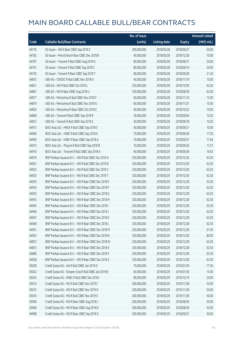|       |                                                        | No. of issue |                     |               | <b>Amount raised</b> |
|-------|--------------------------------------------------------|--------------|---------------------|---------------|----------------------|
| Code  | <b>Callable Bull/Bear Contracts</b>                    | (units)      | <b>Listing date</b> | <b>Expiry</b> | (HK\$ mil.)          |
| 64776 | SG Issuer - HSI R Bear CBBC Sep 2018 Z                 | 200,000,000  | 2018/05/28          | 2018/09/27    | 50.00                |
| 64782 | SG Issuer - PetroChina R Bear CBBC Dec 2018 B          | 40,000,000   | 2018/05/28          | 2018/12/28    | 10.00                |
| 64787 | SG Issuer - Tencent R Bull CBBC Aug 2018 N             | 80,000,000   | 2018/05/28          | 2018/08/31    | 20.00                |
| 64791 | SG Issuer - Tencent R Bull CBBC Sep 2018 C             | 80,000,000   | 2018/05/28          | 2018/09/14    | 20.00                |
| 64792 | SG Issuer - Tencent R Bear CBBC Sep 2018 T             | 80,000,000   | 2018/05/28          | 2018/09/28    | 21.20                |
| 64815 | UBS AG - CNOOC R Bull CBBC Nov 2018 D                  | 40,000,000   | 2018/05/28          | 2018/11/19    | 10.00                |
| 64821 | UBS AG - HSI R Bull CBBC Oct 2018 L                    | 250,000,000  | 2018/05/28          | 2018/10/30    | 62.50                |
| 64807 | UBS AG - HSI R Bear CBBC Aug 2018 U                    | 250,000,000  | 2018/05/28          | 2018/08/30    | 62.50                |
| 64817 | UBS AG - Petrochina R Bull CBBC Nov 2018 F             | 60,000,000   | 2018/05/28          | 2018/11/14    | 15.00                |
| 64819 | UBS AG - Petrochina R Bull CBBC Nov 2018 G             | 60,000,000   | 2018/05/28          | 2018/11/21    | 15.00                |
| 64820 | UBS AG - Petrochina R Bear CBBC Oct 2018 C             | 40,000,000   | 2018/05/28          | 2018/10/22    | 10.00                |
| 64809 | UBS AG - Tencent R Bull CBBC Sep 2018 R                | 30,000,000   | 2018/05/28          | 2018/09/04    | 10.20                |
| 64812 | UBS AG - Tencent R Bull CBBC Sep 2018 S                | 30,000,000   | 2018/05/28          | 2018/09/18    | 10.20                |
| 64913 | BOCI Asia Ltd. - HKEX R Bull CBBC Sep 2018 C           | 40,000,000   | 2018/05/29          | 2018/09/21    | 10.00                |
| 64906 | BOCI Asia Ltd. - HSBC R Bull CBBC Sep 2018 A           | 70,000,000   | 2018/05/29          | 2018/09/28    | 17.50                |
| 64909 | BOCI Asia Ltd. - HSBC R Bear CBBC Sep 2018 A           | 70,000,000   | 2018/05/29          | 2018/09/27    | 17.64                |
| 64915 | BOCI Asia Ltd. - Ping An R Bull CBBC Sep 2018 B        | 70,000,000   | 2018/05/29          | 2018/09/26    | 17.57                |
| 64910 | BOCI Asia Ltd. - Tencent R Bull CBBC Sep 2018 A        | 40,000,000   | 2018/05/29          | 2018/09/28    | 16.92                |
| 64916 | BNP Paribas Issuance B.V. - HSI R Bull CBBC Dec 2019 A | 250,000,000  | 2018/05/29          | 2019/12/30    | 62.50                |
| 64921 | BNP Paribas Issuance B.V. - HSI R Bull CBBC Dec 2019 B | 250,000,000  | 2018/05/29          | 2019/12/30    | 62.50                |
| 64923 | BNP Paribas Issuance B.V. - HSI R Bull CBBC Dec 2019 C | 250,000,000  | 2018/05/29          | 2019/12/30    | 62.50                |
| 64925 | BNP Paribas Issuance B.V. - HSI R Bull CBBC Dec 2019 T | 250,000,000  | 2018/05/29          | 2019/12/30    | 62.50                |
| 64929 | BNP Paribas Issuance B.V. - HSI R Bear CBBC Dec 2018 E | 250,000,000  | 2018/05/29          | 2018/12/28    | 62.50                |
| 64934 | BNP Paribas Issuance B.V. - HSI R Bear CBBC Dec 2018 F | 250,000,000  | 2018/05/29          | 2018/12/28    | 62.50                |
| 64935 | BNP Paribas Issuance B.V. - HSI R Bear CBBC Dec 2018 G | 250,000,000  | 2018/05/29          | 2018/12/28    | 62.50                |
| 64943 | BNP Paribas Issuance B.V. - HSI R Bear CBBC Dec 2018 H | 250,000,000  | 2018/05/29          | 2018/12/28    | 62.50                |
| 64945 | BNP Paribas Issuance B.V. - HSI R Bear CBBC Dec 2018 I | 250,000,000  | 2018/05/29          | 2018/12/28    | 62.50                |
| 64946 | BNP Paribas Issuance B.V. - HSI R Bear CBBC Dec 2018 J | 250,000,000  | 2018/05/29          | 2018/12/28    | 62.50                |
| 64947 | BNP Paribas Issuance B.V. - HSI R Bear CBBC Dec 2018 K | 250,000,000  | 2018/05/29          | 2018/12/28    | 62.50                |
| 64948 | BNP Paribas Issuance B.V. - HSI R Bear CBBC Dec 2018 L | 250,000,000  | 2018/05/29          | 2018/12/28    | 62.50                |
| 64951 | BNP Paribas Issuance B.V. - HSI R Bear CBBC Dec 2018 M | 250,000,000  | 2018/05/29          | 2018/12/28    | 67.50                |
| 64953 | BNP Paribas Issuance B.V. - HSI R Bear CBBC Dec 2018 N | 250,000,000  | 2018/05/29          | 2018/12/28    | 80.00                |
| 64872 | BNP Paribas Issuance B.V. - HSI R Bear CBBC Dec 2018 W | 250,000,000  | 2018/05/29          | 2018/12/28    | 62.50                |
| 64873 | BNP Paribas Issuance B.V. - HSI R Bear CBBC Dec 2018 X | 250,000,000  | 2018/05/29          | 2018/12/28    | 62.50                |
| 64880 | BNP Paribas Issuance B.V. - HSI R Bear CBBC Dec 2018 Y | 250,000,000  | 2018/05/29          | 2018/12/28    | 62.50                |
| 64928 | BNP Paribas Issuance B.V. - HSI R Bear CBBC Dec 2018 Z | 250,000,000  | 2018/05/29          | 2018/12/28    | 62.50                |
| 65028 | Credit Suisse AG - AIA R Bull CBBC Jan 2019 D          | 70,000,000   | 2018/05/29          | 2019/01/30    | 17.50                |
| 65022 | Credit Suisse AG - Sinopec Corp R Bull CBBC Jan 2019 B | 60,000,000   | 2018/05/29          | 2019/01/30    | 15.00                |
| 65024 | Credit Suisse AG - HSBC R Bull CBBC Dec 2018 I         | 80,000,000   | 2018/05/29          | 2018/12/14    | 20.00                |
| 65014 | Credit Suisse AG - HSI R Bull CBBC Nov 2019 C          | 200,000,000  | 2018/05/29          | 2019/11/28    | 50.00                |
| 65015 | Credit Suisse AG - HSI R Bull CBBC Nov 2019 D          | 200,000,000  | 2018/05/29          | 2019/11/28    | 50.00                |
| 65016 | Credit Suisse AG - HSI R Bull CBBC Nov 2019 E          | 200,000,000  | 2018/05/29          | 2019/11/28    | 50.00                |
| 65000 | Credit Suisse AG - HSI R Bear CBBC Aug 2018 J          | 200,000,000  | 2018/05/29          | 2018/08/30    | 50.00                |
| 65006 | Credit Suisse AG - HSI R Bear CBBC Aug 2018 K          | 200,000,000  | 2018/05/29          | 2018/08/30    | 50.00                |
| 64998 | Credit Suisse AG - HSI R Bear CBBC Sep 2018 G          | 200,000,000  | 2018/05/29          | 2018/09/27    | 50.00                |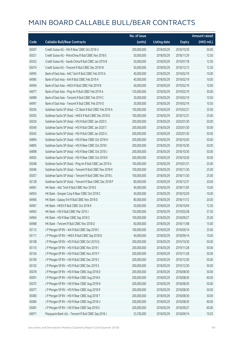|       |                                                          | No. of issue |                     |               | <b>Amount raised</b> |
|-------|----------------------------------------------------------|--------------|---------------------|---------------|----------------------|
| Code  | <b>Callable Bull/Bear Contracts</b>                      | (units)      | <b>Listing date</b> | <b>Expiry</b> | (HK\$ mil.)          |
| 65007 | Credit Suisse AG - HSI R Bear CBBC Oct 2018 U            | 200,000,000  | 2018/05/29          | 2018/10/30    | 50.00                |
| 65021 | Credit Suisse AG - PetroChina R Bull CBBC Nov 2018 E     | 50,000,000   | 2018/05/29          | 2018/11/29    | 12.50                |
| 65032 | Credit Suisse AG - Sands China R Bull CBBC Jan 2019 B    | 50,000,000   | 2018/05/29          | 2019/01/18    | 12.50                |
| 65074 | Credit Suisse AG - Tencent R Bull CBBC Dec 2018 W        | 50,000,000   | 2018/05/29          | 2018/12/13    | 12.50                |
| 64995 | Bank of East Asia - AAC Tech R Bull CBBC Feb 2019 A      | 40,000,000   | 2018/05/29          | 2019/02/19    | 10.00                |
| 64985 | Bank of East Asia - AIA R Bull CBBC Feb 2019 A           | 40,000,000   | 2018/05/29          | 2019/02/19    | 10.00                |
| 64994 | Bank of East Asia - HKEX R Bull CBBC Feb 2019 B          | 40,000,000   | 2018/05/29          | 2019/02/19    | 10.00                |
| 64977 | Bank of East Asia - Ping An R Bull CBBC Feb 2019 A       | 120,000,000  | 2018/05/29          | 2019/02/19    | 30.00                |
| 64989 | Bank of East Asia - Tencent R Bull CBBC Feb 2019 C       | 30,000,000   | 2018/05/29          | 2019/02/19    | 10.50                |
| 64991 | Bank of East Asia - Tencent R Bull CBBC Feb 2019 D       | 30,000,000   | 2018/05/29          | 2019/02/19    | 10.50                |
| 65056 | Goldman Sachs SP (Asia) - CC Bank R Bull CBBC Feb 2019 A | 100,000,000  | 2018/05/29          | 2019/02/27    | 25.00                |
| 65055 | Goldman Sachs SP (Asia) - HKEX R Bull CBBC Dec 2018 D    | 100,000,000  | 2018/05/29          | 2018/12/31    | 25.00                |
| 65034 | Goldman Sachs SP (Asia) - HSI R Bull CBBC Jan 2020 S     | 200,000,000  | 2018/05/29          | 2020/01/30    | 50.00                |
| 65040 | Goldman Sachs SP (Asia) - HSI R Bull CBBC Jan 2020 T     | 200,000,000  | 2018/05/29          | 2020/01/30    | 50.00                |
| 65043 | Goldman Sachs SP (Asia) - HSI R Bull CBBC Jan 2020 U     | 200,000,000  | 2018/05/29          | 2020/01/30    | 50.00                |
| 64894 | Goldman Sachs SP (Asia) - HSI R Bear CBBC Oct 2018 H     | 200,000,000  | 2018/05/29          | 2018/10/30    | 50.00                |
| 64895 | Goldman Sachs SP (Asia) - HSI R Bear CBBC Oct 2018 I     | 200,000,000  | 2018/05/29          | 2018/10/30    | 50.00                |
| 64898 | Goldman Sachs SP (Asia) - HSI R Bear CBBC Oct 2018 J     | 200,000,000  | 2018/05/29          | 2018/10/30    | 50.00                |
| 64902 | Goldman Sachs SP (Asia) - HSI R Bear CBBC Oct 2018 K     | 200,000,000  | 2018/05/29          | 2018/10/30    | 50.00                |
| 65048 | Goldman Sachs SP (Asia) - Ping An R Bull CBBC Jan 2019 A | 100,000,000  | 2018/05/29          | 2019/01/31    | 25.00                |
| 65046 | Goldman Sachs SP (Asia) - Tencent R Bull CBBC Nov 2018 K | 100,000,000  | 2018/05/29          | 2018/11/30    | 25.00                |
| 65057 | Goldman Sachs SP (Asia) - Tencent R Bull CBBC Nov 2018 L | 100,000,000  | 2018/05/29          | 2018/11/30    | 25.00                |
| 65128 | Goldman Sachs SP (Asia) - Tencent R Bear CBBC Dec 2018 P | 80,000,000   | 2018/05/29          | 2018/12/31    | 20.00                |
| 64961 | HK Bank - AAC Tech R Bull CBBC Nov 2018 E                | 40,000,000   | 2018/05/29          | 2018/11/05    | 10.00                |
| 64954 | HK Bank - Sinopec Corp R Bear CBBC Oct 2018 C            | 40,000,000   | 2018/05/29          | 2018/10/29    | 10.00                |
| 64966 | HK Bank - Galaxy Ent R Bull CBBC Nov 2018 D              | 80,000,000   | 2018/05/29          | 2018/11/12    | 20.00                |
| 64967 | HK Bank - HKEX R Bull CBBC Oct 2018 K                    | 50,000,000   | 2018/05/29          | 2018/10/04    | 12.50                |
| 64963 | HK Bank - HSI R Bull CBBC Mar 2019 J                     | 150,000,000  | 2018/05/29          | 2019/03/28    | 37.50                |
| 64964 | HK Bank - HSI R Bear CBBC Sep 2018 Z                     | 100,000,000  | 2018/05/29          | 2018/09/27    | 25.00                |
| 64968 | HK Bank - Tencent R Bull CBBC Nov 2018 O                 | 60,000,000   | 2018/05/29          | 2018/11/08    | 15.00                |
| 65112 | J P Morgan SP BV - AIA R Bull CBBC Sep 2018 C            | 100,000,000  | 2018/05/29          | 2018/09/14    | 25.00                |
| 65111 | J P Morgan SP BV - HKEX R Bull CBBC Sep 2018 D           | 40,000,000   | 2018/05/29          | 2018/09/14    | 10.00                |
| 65108 | JP Morgan SP BV - HSIR Bull CBBC Oct 2019 Q              | 200,000,000  | 2018/05/29          | 2019/10/30    | 50.00                |
| 65110 | J P Morgan SP BV - HSI R Bull CBBC Nov 2019 I            | 200,000,000  | 2018/05/29          | 2019/11/28    | 50.00                |
| 65104 | J P Morgan SP BV - HSI R Bull CBBC Nov 2019 Y            | 200,000,000  | 2018/05/29          | 2019/11/28    | 50.00                |
| 65109 | J P Morgan SP BV - HSI R Bull CBBC Dec 2019 C            | 200,000,000  | 2018/05/29          | 2019/12/30    | 50.00                |
| 65103 | J P Morgan SP BV - HSI R Bull CBBC Dec 2019 S            | 200,000,000  | 2018/05/29          | 2019/12/30    | 50.00                |
| 65078 | J P Morgan SP BV - HSI R Bear CBBC Aug 2018 D            | 200,000,000  | 2018/05/29          | 2018/08/30    | 50.00                |
| 65091 | J P Morgan SP BV - HSI R Bear CBBC Aug 2018 K            | 200,000,000  | 2018/05/29          | 2018/08/30    | 60.00                |
| 65075 | J P Morgan SP BV - HSI R Bear CBBC Aug 2018 N            | 200,000,000  | 2018/05/29          | 2018/08/30    | 50.00                |
| 65077 | J P Morgan SP BV - HSI R Bear CBBC Aug 2018 R            | 200,000,000  | 2018/05/29          | 2018/08/30    | 50.00                |
| 65080 | J P Morgan SP BV - HSI R Bear CBBC Aug 2018 T            | 200,000,000  | 2018/05/29          | 2018/08/30    | 50.00                |
| 65084 | J P Morgan SP BV - HSI R Bear CBBC Aug 2018 U            | 200,000,000  | 2018/05/29          | 2018/08/30    | 60.00                |
| 65081 | J P Morgan SP BV - HSI R Bear CBBC Sep 2018 S            | 200,000,000  | 2018/05/29          | 2018/09/27    | 60.00                |
| 64971 | Macquarie Bank Ltd. - Tencent R Bull CBBC Sep 2018 J     | 23,700,000   | 2018/05/29          | 2018/09/14    | 10.03                |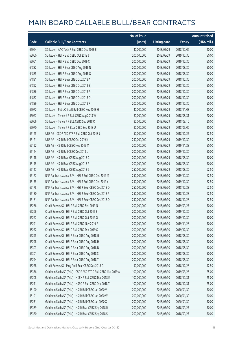|       |                                                               | No. of issue |                     |               | <b>Amount raised</b> |
|-------|---------------------------------------------------------------|--------------|---------------------|---------------|----------------------|
| Code  | <b>Callable Bull/Bear Contracts</b>                           | (units)      | <b>Listing date</b> | <b>Expiry</b> | (HK\$ mil.)          |
| 65064 | SG Issuer - AAC Tech R Bull CBBC Dec 2018 E                   | 40,000,000   | 2018/05/29          | 2018/12/06    | 10.00                |
| 65060 | SG Issuer - HSI R Bull CBBC Oct 2019 J                        | 200,000,000  | 2018/05/29          | 2019/10/30    | 50.00                |
| 65061 | SG Issuer - HSI R Bull CBBC Dec 2019 C                        | 200,000,000  | 2018/05/29          | 2019/12/30    | 50.00                |
| 64882 | SG Issuer - HSI R Bear CBBC Aug 2018 N                        | 200,000,000  | 2018/05/29          | 2018/08/30    | 50.00                |
| 64885 | SG Issuer - HSI R Bear CBBC Aug 2018 Q                        | 200,000,000  | 2018/05/29          | 2018/08/30    | 50.00                |
| 64891 | SG Issuer - HSI R Bear CBBC Oct 2018 A                        | 200,000,000  | 2018/05/29          | 2018/10/30    | 50.00                |
| 64892 | SG Issuer - HSI R Bear CBBC Oct 2018 B                        | 200,000,000  | 2018/05/29          | 2018/10/30    | 50.00                |
| 64886 | SG Issuer - HSI R Bear CBBC Oct 2018 P                        | 200,000,000  | 2018/05/29          | 2018/10/30    | 50.00                |
| 64887 | SG Issuer - HSI R Bear CBBC Oct 2018 Q                        | 200,000,000  | 2018/05/29          | 2018/10/30    | 50.00                |
| 64889 | SG Issuer - HSI R Bear CBBC Oct 2018 R                        | 200,000,000  | 2018/05/29          | 2018/10/30    | 50.00                |
| 65072 | SG Issuer - PetroChina R Bull CBBC Nov 2018 H                 | 40,000,000   | 2018/05/29          | 2018/11/08    | 10.00                |
| 65067 | SG Issuer - Tencent R Bull CBBC Aug 2018 W                    | 80,000,000   | 2018/05/29          | 2018/08/31    | 20.00                |
| 65066 | SG Issuer - Tencent R Bull CBBC Sep 2018 O                    | 80,000,000   | 2018/05/29          | 2018/09/10    | 20.00                |
| 65070 | SG Issuer - Tencent R Bear CBBC Sep 2018 U                    | 80,000,000   | 2018/05/29          | 2018/09/06    | 20.00                |
| 65125 | UBS AG - CSOP A50 ETF R Bull CBBC Oct 2018 J                  | 50,000,000   | 2018/05/29          | 2018/10/25    | 12.50                |
| 65121 | UBS AG - HSI R Bull CBBC Oct 2019 X                           | 250,000,000  | 2018/05/29          | 2019/10/30    | 62.50                |
| 65122 | UBS AG - HSI R Bull CBBC Nov 2019 M                           | 200,000,000  | 2018/05/29          | 2019/11/28    | 50.00                |
| 65124 | UBS AG - HSI R Bull CBBC Dec 2019 L                           | 200,000,000  | 2018/05/29          | 2019/12/30    | 50.00                |
| 65118 | UBS AG - HSI R Bear CBBC Aug 2018 D                           | 200,000,000  | 2018/05/29          | 2018/08/30    | 50.00                |
| 65115 | UBS AG - HSI R Bear CBBC Aug 2018 F                           | 200,000,000  | 2018/05/29          | 2018/08/30    | 50.00                |
| 65117 | UBS AG - HSI R Bear CBBC Aug 2018 G                           | 250,000,000  | 2018/05/29          | 2018/08/30    | 62.50                |
| 65177 | BNP Paribas Issuance B.V. - HSI R Bull CBBC Dec 2019 M        | 250,000,000  | 2018/05/30          | 2019/12/30    | 62.50                |
| 65155 | BNP Paribas Issuance B.V. - HSI R Bull CBBC Dec 2019 Y        | 250,000,000  | 2018/05/30          | 2019/12/30    | 62.50                |
| 65178 | BNP Paribas Issuance B.V. - HSI R Bear CBBC Dec 2018 O        | 250,000,000  | 2018/05/30          | 2018/12/28    | 62.50                |
| 65180 | BNP Paribas Issuance B.V. - HSI R Bear CBBC Dec 2018 P        | 250,000,000  | 2018/05/30          | 2018/12/28    | 62.50                |
| 65181 | BNP Paribas Issuance B.V. - HSI R Bear CBBC Dec 2018 Q        | 250,000,000  | 2018/05/30          | 2018/12/28    | 62.50                |
| 65286 | Credit Suisse AG - HSI R Bull CBBC Sep 2019 N                 | 200,000,000  | 2018/05/30          | 2019/09/27    | 50.00                |
| 65266 | Credit Suisse AG - HSI R Bull CBBC Oct 2019 E                 | 200,000,000  | 2018/05/30          | 2019/10/30    | 50.00                |
| 65267 | Credit Suisse AG - HSI R Bull CBBC Oct 2019 G                 | 200,000,000  | 2018/05/30          | 2019/10/30    | 50.00                |
| 65291 | Credit Suisse AG - HSI R Bull CBBC Nov 2019 F                 | 200,000,000  | 2018/05/30          | 2019/11/28    | 50.00                |
| 65272 | Credit Suisse AG - HSI R Bull CBBC Dec 2019 G                 | 200,000,000  | 2018/05/30          | 2019/12/30    | 50.00                |
| 65295 | Credit Suisse AG - HSI R Bear CBBC Aug 2018 G                 | 200,000,000  | 2018/05/30          | 2018/08/30    | 50.00                |
| 65298 | Credit Suisse AG - HSI R Bear CBBC Aug 2018 H                 | 200,000,000  | 2018/05/30          | 2018/08/30    | 50.00                |
| 65303 | Credit Suisse AG - HSI R Bear CBBC Aug 2018 N                 | 200,000,000  | 2018/05/30          | 2018/08/30    | 50.00                |
| 65301 | Credit Suisse AG - HSI R Bear CBBC Aug 2018 S                 | 200,000,000  | 2018/05/30          | 2018/08/30    | 50.00                |
| 65294 | Credit Suisse AG - HSI R Bear CBBC Aug 2018 T                 | 200,000,000  | 2018/05/30          | 2018/08/30    | 50.00                |
| 65278 | Credit Suisse AG - Ping An R Bear CBBC Dec 2018 C             | 50,000,000   | 2018/05/30          | 2018/12/28    | 12.50                |
| 65356 | Goldman Sachs SP (Asia) - CSOP A50 ETF R Bull CBBC Mar 2019 A | 100,000,000  | 2018/05/30          | 2019/03/28    | 25.00                |
| 65208 | Goldman Sachs SP (Asia) - HKEX R Bull CBBC Dec 2018 E         | 100,000,000  | 2018/05/30          | 2018/12/31    | 25.00                |
| 65211 | Goldman Sachs SP (Asia) - HSBC R Bull CBBC Dec 2018 T         | 100,000,000  | 2018/05/30          | 2018/12/31    | 25.00                |
| 65190 | Goldman Sachs SP (Asia) - HSI R Bull CBBC Jan 2020 V          | 200,000,000  | 2018/05/30          | 2020/01/30    | 50.00                |
| 65191 | Goldman Sachs SP (Asia) - HSI R Bull CBBC Jan 2020 W          | 200,000,000  | 2018/05/30          | 2020/01/30    | 50.00                |
| 65231 | Goldman Sachs SP (Asia) - HSI R Bull CBBC Jan 2020 X          | 200,000,000  | 2018/05/30          | 2020/01/30    | 50.00                |
| 65369 | Goldman Sachs SP (Asia) - HSI R Bear CBBC Sep 2018 R          | 200,000,000  | 2018/05/30          | 2018/09/27    | 50.00                |
| 65380 | Goldman Sachs SP (Asia) - HSI R Bear CBBC Sep 2018 S          | 200,000,000  | 2018/05/30          | 2018/09/27    | 50.00                |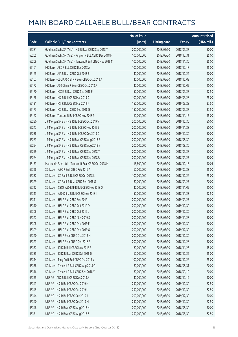|       |                                                          | No. of issue |                     |               | <b>Amount raised</b> |
|-------|----------------------------------------------------------|--------------|---------------------|---------------|----------------------|
| Code  | <b>Callable Bull/Bear Contracts</b>                      | (units)      | <b>Listing date</b> | <b>Expiry</b> | (HK\$ mil.)          |
| 65381 | Goldman Sachs SP (Asia) - HSI R Bear CBBC Sep 2018 T     | 200,000,000  | 2018/05/30          | 2018/09/27    | 50.00                |
| 65205 | Goldman Sachs SP (Asia) - Ping An R Bull CBBC Dec 2018 F | 100,000,000  | 2018/05/30          | 2018/12/31    | 25.00                |
| 65209 | Goldman Sachs SP (Asia) - Tencent R Bull CBBC Nov 2018 M | 100,000,000  | 2018/05/30          | 2018/11/30    | 25.00                |
| 65161 | HK Bank - ABC R Bull CBBC Dec 2018 A                     | 100,000,000  | 2018/05/30          | 2018/12/17    | 25.00                |
| 65165 | HK Bank - AIA R Bear CBBC Oct 2018 E                     | 40,000,000   | 2018/05/30          | 2018/10/22    | 10.00                |
| 65167 | HK Bank - CSOP A50 ETF R Bear CBBC Oct 2018 A            | 40,000,000   | 2018/05/30          | 2018/10/02    | 10.00                |
| 65172 | HK Bank - A50 China R Bear CBBC Oct 2018 A               | 40,000,000   | 2018/05/30          | 2018/10/02    | 10.00                |
| 65170 | HK Bank - HSCEI R Bear CBBC Sep 2018 F                   | 50,000,000   | 2018/05/30          | 2018/09/27    | 12.50                |
| 65168 | HK Bank - HSI R Bull CBBC Mar 2019 D                     | 100,000,000  | 2018/05/30          | 2019/03/28    | 25.00                |
| 65131 | HK Bank - HSI R Bull CBBC Mar 2019 K                     | 150,000,000  | 2018/05/30          | 2019/03/28    | 37.50                |
| 65173 | HK Bank - HSI R Bear CBBC Sep 2018 G                     | 150,000,000  | 2018/05/30          | 2018/09/27    | 37.50                |
| 65162 | HK Bank - Tencent R Bull CBBC Nov 2018 P                 | 60,000,000   | 2018/05/30          | 2018/11/15    | 15.00                |
| 65250 | J P Morgan SP BV - HSI R Bull CBBC Oct 2019 V            | 200,000,000  | 2018/05/30          | 2019/10/30    | 50.00                |
| 65247 | J P Morgan SP BV - HSI R Bull CBBC Nov 2019 Z            | 200,000,000  | 2018/05/30          | 2019/11/28    | 50.00                |
| 65238 | J P Morgan SP BV - HSI R Bull CBBC Dec 2019 D            | 200,000,000  | 2018/05/30          | 2019/12/30    | 50.00                |
| 65263 | J P Morgan SP BV - HSI R Bear CBBC Aug 2018 B            | 200,000,000  | 2018/05/30          | 2018/08/30    | 50.00                |
| 65254 | J P Morgan SP BV - HSI R Bear CBBC Aug 2018 Y            | 200,000,000  | 2018/05/30          | 2018/08/30    | 50.00                |
| 65259 | J P Morgan SP BV - HSI R Bear CBBC Sep 2018 T            | 200,000,000  | 2018/05/30          | 2018/09/27    | 50.00                |
| 65264 | J P Morgan SP BV - HSI R Bear CBBC Sep 2018 U            | 200,000,000  | 2018/05/30          | 2018/09/27    | 50.00                |
| 65153 | Macquarie Bank Ltd. - Tencent R Bear CBBC Oct 2018 H     | 18,800,000   | 2018/05/30          | 2018/10/16    | 10.04                |
| 65328 | SG Issuer - ABC R Bull CBBC Feb 2019 A                   | 60,000,000   | 2018/05/30          | 2019/02/28    | 15.00                |
| 65332 | SG Issuer - CC Bank R Bull CBBC Oct 2018 L               | 100,000,000  | 2018/05/30          | 2018/10/26    | 25.00                |
| 65329 | SG Issuer - CC Bank R Bear CBBC Sep 2018 G               | 80,000,000   | 2018/05/30          | 2018/09/27    | 20.00                |
| 65312 | SG Issuer - CSOP A50 ETF R Bull CBBC Nov 2018 O          | 40,000,000   | 2018/05/30          | 2018/11/09    | 10.00                |
| 65313 | SG Issuer - A50 China R Bull CBBC Nov 2018 I             | 50,000,000   | 2018/05/30          | 2018/11/23    | 12.50                |
| 65311 | SG Issuer - HSI R Bull CBBC Sep 2019 I                   | 200,000,000  | 2018/05/30          | 2019/09/27    | 50.00                |
| 65310 | SG Issuer - HSI R Bull CBBC Oct 2019 D                   | 200,000,000  | 2018/05/30          | 2019/10/30    | 50.00                |
| 65306 | SG Issuer - HSI R Bull CBBC Oct 2019 L                   | 200,000,000  | 2018/05/30          | 2019/10/30    | 50.00                |
| 65327 | SG Issuer - HSI R Bull CBBC Nov 2019 S                   | 200,000,000  | 2018/05/30          | 2019/11/28    | 50.00                |
| 65308 | SG Issuer - HSI R Bull CBBC Dec 2019 E                   | 200,000,000  | 2018/05/30          | 2019/12/30    | 50.00                |
| 65309 | SG Issuer - HSI R Bull CBBC Dec 2019 O                   | 200,000,000  | 2018/05/30          | 2019/12/30    | 50.00                |
| 65320 | SG Issuer - HSI R Bear CBBC Oct 2018 N                   | 200,000,000  | 2018/05/30          | 2018/10/30    | 50.00                |
| 65323 | SG Issuer - HSI R Bear CBBC Dec 2018 F                   | 200,000,000  | 2018/05/30          | 2018/12/28    | 50.00                |
| 65337 | SG Issuer - ICBC R Bull CBBC Nov 2018 E                  | 60,000,000   | 2018/05/30          | 2018/11/23    | 15.00                |
| 65335 | SG Issuer - ICBC R Bear CBBC Oct 2018 D                  | 60,000,000   | 2018/05/30          | 2018/10/22    | 15.00                |
| 65314 | SG Issuer - Ping An R Bull CBBC Oct 2018 V               | 100,000,000  | 2018/05/30          | 2018/10/26    | 25.00                |
| 65338 | SG Issuer - Tencent R Bull CBBC Aug 2018 O               | 80,000,000   | 2018/05/30          | 2018/08/31    | 20.00                |
| 65316 | SG Issuer - Tencent R Bull CBBC Sep 2018 Y               | 80,000,000   | 2018/05/30          | 2018/09/12    | 20.00                |
| 65355 | UBS AG - ABC R Bull CBBC Dec 2018 A                      | 40,000,000   | 2018/05/30          | 2018/12/19    | 10.00                |
| 65343 | UBS AG - HSI R Bull CBBC Oct 2019 N                      | 250,000,000  | 2018/05/30          | 2019/10/30    | 62.50                |
| 65345 | UBS AG - HSI R Bull CBBC Oct 2019 U                      | 250,000,000  | 2018/05/30          | 2019/10/30    | 62.50                |
| 65344 | UBS AG - HSI R Bull CBBC Dec 2019 J                      | 200,000,000  | 2018/05/30          | 2019/12/30    | 50.00                |
| 65340 | UBS AG - HSI R Bull CBBC Dec 2019 M                      | 250,000,000  | 2018/05/30          | 2019/12/30    | 62.50                |
| 65348 | UBS AG - HSI R Bear CBBC Aug 2018 H                      | 200,000,000  | 2018/05/30          | 2018/08/30    | 50.00                |
| 65351 | UBS AG - HSI R Bear CBBC Aug 2018 Z                      | 250,000,000  | 2018/05/30          | 2018/08/30    | 62.50                |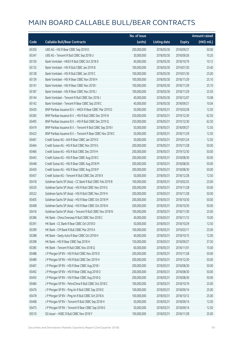|       |                                                            | No. of issue |                     |               | <b>Amount raised</b> |
|-------|------------------------------------------------------------|--------------|---------------------|---------------|----------------------|
| Code  | <b>Callable Bull/Bear Contracts</b>                        | (units)      | <b>Listing date</b> | <b>Expiry</b> | (HK\$ mil.)          |
| 65350 | UBS AG - HSI R Bear CBBC Sep 2018 D                        | 200,000,000  | 2018/05/30          | 2018/09/27    | 50.00                |
| 65347 | UBS AG - Tencent R Bull CBBC Sep 2018 U                    | 30,000,000   | 2018/05/30          | 2018/09/26    | 10.20                |
| 65150 | Bank Vontobel - HKEX R Bull CBBC Oct 2018 D                | 40,000,000   | 2018/05/30          | 2018/10/19    | 10.12                |
| 65132 | Bank Vontobel - HSI R Bull CBBC Jan 2019 B                 | 100,000,000  | 2018/05/30          | 2019/01/30    | 25.40                |
| 65138 | Bank Vontobel - HSI R Bull CBBC Jan 2019 C                 | 100,000,000  | 2018/05/30          | 2019/01/30    | 25.00                |
| 65139 | Bank Vontobel - HSI R Bear CBBC Nov 2018 H                 | 100,000,000  | 2018/05/30          | 2018/11/29    | 25.10                |
| 65141 | Bank Vontobel - HSI R Bear CBBC Nov 2018 I                 | 100,000,000  | 2018/05/30          | 2018/11/29    | 25.10                |
| 65187 | Bank Vontobel - HSI R Bear CBBC Nov 2018 J                 | 100,000,000  | 2018/05/30          | 2018/11/29    | 25.50                |
| 65144 | Bank Vontobel - Tencent R Bull CBBC Dec 2018 J             | 40,000,000   | 2018/05/30          | 2018/12/07    | 10.08                |
| 65142 | Bank Vontobel - Tencent R Bear CBBC Sep 2018 C             | 40,000,000   | 2018/05/30          | 2018/09/21    | 10.04                |
| 65430 | BNP Paribas Issuance B.V. - HKEX R Bear CBBC Mar 2019 D    | 50,000,000   | 2018/05/31          | 2019/03/28    | 12.50                |
| 65383 | BNP Paribas Issuance B.V. - HSI R Bull CBBC Dec 2019 N     | 250,000,000  | 2018/05/31          | 2019/12/30    | 62.50                |
| 65495 | BNP Paribas Issuance B.V. - HSI R Bull CBBC Dec 2019 Q     | 250,000,000  | 2018/05/31          | 2019/12/30    | 62.50                |
| 65419 | BNP Paribas Issuance B.V. - Tencent R Bull CBBC Sep 2018 I | 50,000,000   | 2018/05/31          | 2018/09/27    | 12.50                |
| 65423 | BNP Paribas Issuance B.V. - Tencent R Bear CBBC Nov 2018 C | 50,000,000   | 2018/05/31          | 2018/11/29    | 12.50                |
| 65461 | Credit Suisse AG - AIA R Bear CBBC Jan 2019 D              | 50,000,000   | 2018/05/31          | 2019/01/24    | 12.50                |
| 65464 | Credit Suisse AG - HSI R Bull CBBC Nov 2019 G              | 200,000,000  | 2018/05/31          | 2019/11/28    | 50.00                |
| 65466 | Credit Suisse AG - HSI R Bull CBBC Dec 2019 H              | 200,000,000  | 2018/05/31          | 2019/12/30    | 50.00                |
| 65443 | Credit Suisse AG - HSI R Bear CBBC Aug 2018 C              | 200,000,000  | 2018/05/31          | 2018/08/30    | 50.00                |
| 65448 | Credit Suisse AG - HSI R Bear CBBC Aug 2018 M              | 200,000,000  | 2018/05/31          | 2018/08/30    | 50.00                |
| 65450 | Credit Suisse AG - HSI R Bear CBBC Aug 2018 P              | 200,000,000  | 2018/05/31          | 2018/08/30    | 50.00                |
| 65457 | Credit Suisse AG - Tencent R Bull CBBC Dec 2018 X          | 50,000,000   | 2018/05/31          | 2018/12/28    | 12.50                |
| 65418 | Goldman Sachs SP (Asia) - CC Bank R Bull CBBC Feb 2019 B   | 100,000,000  | 2018/05/31          | 2019/02/25    | 25.00                |
| 65520 | Goldman Sachs SP (Asia) - HSI R Bull CBBC Nov 2019 G       | 200,000,000  | 2018/05/31          | 2019/11/28    | 50.00                |
| 65522 | Goldman Sachs SP (Asia) - HSI R Bull CBBC Nov 2019 H       | 200,000,000  | 2018/05/31          | 2019/11/28    | 50.00                |
| 65405 | Goldman Sachs SP (Asia) - HSI R Bear CBBC Oct 2018 M       | 200,000,000  | 2018/05/31          | 2018/10/30    | 50.00                |
| 65408 | Goldman Sachs SP (Asia) - HSI R Bear CBBC Oct 2018 N       | 200,000,000  | 2018/05/31          | 2018/10/30    | 50.00                |
| 65416 | Goldman Sachs SP (Asia) - Tencent R Bull CBBC Nov 2018 N   | 100,000,000  | 2018/05/31          | 2018/11/30    | 25.00                |
| 65386 | HK Bank - China Overseas R Bull CBBC Nov 2018 C            | 40,000,000   | 2018/05/31          | 2018/11/12    | 10.00                |
| 65391 | HK Bank - CC Bank R Bear CBBC Oct 2018 D                   | 50,000,000   | 2018/05/31          | 2018/10/29    | 12.50                |
| 65399 | HK Bank - CM Bank R Bull CBBC Mar 2019 A                   | 100,000,000  | 2018/05/31          | 2019/03/11    | 25.00                |
| 65388 | HK Bank - Geely Auto R Bear CBBC Oct 2018 H                | 40,000,000   | 2018/05/31          | 2018/10/15    | 12.00                |
| 65398 | HK Bank - HSI R Bear CBBC Sep 2018 H                       | 150,000,000  | 2018/05/31          | 2018/09/27    | 37.50                |
| 65385 | HK Bank - Tencent R Bull CBBC Nov 2018 Q                   | 60,000,000   | 2018/05/31          | 2018/11/01    | 15.00                |
| 65488 | J P Morgan SP BV - HSI R Bull CBBC Nov 2019 D              | 200,000,000  | 2018/05/31          | 2019/11/28    | 50.00                |
| 65489 | J P Morgan SP BV - HSI R Bull CBBC Dec 2019 H              | 200,000,000  | 2018/05/31          | 2019/12/30    | 50.00                |
| 65467 | J P Morgan SP BV - HSI R Bear CBBC Aug 2018 I              | 200,000,000  | 2018/05/31          | 2018/08/30    | 50.00                |
| 65492 | J P Morgan SP BV - HSI R Bear CBBC Aug 2018 O              | 200,000,000  | 2018/05/31          | 2018/08/30    | 50.00                |
| 65493 | J P Morgan SP BV - HSI R Bear CBBC Aug 2018 Q              | 200,000,000  | 2018/05/31          | 2018/08/30    | 50.00                |
| 65484 | J P Morgan SP BV - PetroChina R Bull CBBC Oct 2018 C       | 100,000,000  | 2018/05/31          | 2018/10/19    | 25.00                |
| 65476 | J P Morgan SP BV - Ping An R Bull CBBC Sep 2018 E          | 100,000,000  | 2018/05/31          | 2018/09/14    | 25.00                |
| 65478 | J P Morgan SP BV - Ping An R Bull CBBC Oct 2018 A          | 100,000,000  | 2018/05/31          | 2018/10/12    | 25.00                |
| 65468 | J P Morgan SP BV - Tencent R Bull CBBC Sep 2018 H          | 50,000,000   | 2018/05/31          | 2018/09/14    | 12.50                |
| 65475 | J P Morgan SP BV - Tencent R Bear CBBC Sep 2018 G          | 50,000,000   | 2018/05/31          | 2018/09/14    | 12.50                |
| 65510 | SG Issuer - HSBC R Bull CBBC Nov 2018 Y                    | 100,000,000  | 2018/05/31          | 2018/11/28    | 25.00                |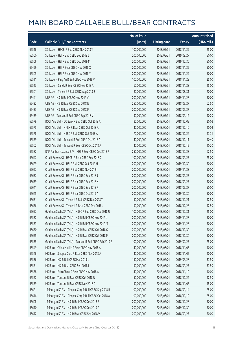|       |                                                          | No. of issue |                     |               | <b>Amount raised</b> |
|-------|----------------------------------------------------------|--------------|---------------------|---------------|----------------------|
| Code  | <b>Callable Bull/Bear Contracts</b>                      | (units)      | <b>Listing date</b> | <b>Expiry</b> | (HK\$ mil.)          |
| 65516 | SG Issuer - HSCEI R Bull CBBC Nov 2018 Y                 | 100,000,000  | 2018/05/31          | 2018/11/29    | 25.00                |
| 65500 | SG Issuer - HSI R Bull CBBC Sep 2019 J                   | 200,000,000  | 2018/05/31          | 2019/09/27    | 50.00                |
| 65506 | SG Issuer - HSI R Bull CBBC Dec 2019 M                   | 200,000,000  | 2018/05/31          | 2019/12/30    | 50.00                |
| 65499 | SG Issuer - HSI R Bear CBBC Nov 2018 X                   | 200,000,000  | 2018/05/31          | 2018/11/29    | 50.00                |
| 65505 | SG Issuer - HSI R Bear CBBC Nov 2018 Y                   | 200,000,000  | 2018/05/31          | 2018/11/29    | 50.00                |
| 65511 | SG Issuer - Ping An R Bull CBBC Nov 2018 V               | 100,000,000  | 2018/05/31          | 2018/11/23    | 25.00                |
| 65513 | SG Issuer - Sands R Bear CBBC Nov 2018 A                 | 60,000,000   | 2018/05/31          | 2018/11/28    | 15.00                |
| 65501 | SG Issuer - Tencent R Bull CBBC Aug 2018 B               | 80,000,000   | 2018/05/31          | 2018/08/31    | 20.00                |
| 65441 | UBS AG - HSI R Bull CBBC Nov 2019 V                      | 200,000,000  | 2018/05/31          | 2019/11/28    | 50.00                |
| 65432 | UBS AG - HSI R Bear CBBC Sep 2018 E                      | 250,000,000  | 2018/05/31          | 2018/09/27    | 62.50                |
| 65433 | UBS AG - HSI R Bear CBBC Sep 2018 F                      | 200,000,000  | 2018/05/31          | 2018/09/27    | 50.00                |
| 65439 | UBS AG - Tencent R Bull CBBC Sep 2018 V                  | 30,000,000   | 2018/05/31          | 2018/09/12    | 10.20                |
| 65579 | BOCI Asia Ltd. - CC Bank R Bull CBBC Oct 2018 A          | 80,000,000   | 2018/06/01          | 2018/10/09    | 20.08                |
| 65575 | BOCI Asia Ltd. - HKEX R Bear CBBC Oct 2018 A             | 40,000,000   | 2018/06/01          | 2018/10/10    | 10.04                |
| 65578 | BOCI Asia Ltd. - HSBC R Bull CBBC Oct 2018 A             | 70,000,000   | 2018/06/01          | 2018/10/26    | 17.71                |
| 65559 | BOCI Asia Ltd. - Tencent R Bull CBBC Oct 2018 A          | 40,000,000   | 2018/06/01          | 2018/10/11    | 10.40                |
| 65562 | BOCI Asia Ltd. - Tencent R Bear CBBC Oct 2018 A          | 40,000,000   | 2018/06/01          | 2018/10/12    | 10.20                |
| 65582 | BNP Paribas Issuance B.V. - HSI R Bear CBBC Dec 2018 R   | 250,000,000  | 2018/06/01          | 2018/12/28    | 62.50                |
| 65647 | Credit Suisse AG - HSCEI R Bear CBBC Sep 2018 C          | 100,000,000  | 2018/06/01          | 2018/09/27    | 25.00                |
| 65629 | Credit Suisse AG - HSI R Bull CBBC Oct 2019 H            | 200,000,000  | 2018/06/01          | 2019/10/30    | 50.00                |
| 65627 | Credit Suisse AG - HSI R Bull CBBC Nov 2019 I            | 200,000,000  | 2018/06/01          | 2019/11/28    | 50.00                |
| 65637 | Credit Suisse AG - HSI R Bear CBBC Sep 2018 J            | 200,000,000  | 2018/06/01          | 2018/09/27    | 50.00                |
| 65639 | Credit Suisse AG - HSI R Bear CBBC Sep 2018 K            | 200,000,000  | 2018/06/01          | 2018/09/27    | 50.00                |
| 65641 | Credit Suisse AG - HSI R Bear CBBC Sep 2018 R            | 200,000,000  | 2018/06/01          | 2018/09/27    | 50.00                |
| 65645 | Credit Suisse AG - HSI R Bear CBBC Oct 2019 A            | 200,000,000  | 2018/06/01          | 2019/10/30    | 50.00                |
| 65631 | Credit Suisse AG - Tencent R Bull CBBC Dec 2018 Y        | 50,000,000   | 2018/06/01          | 2018/12/21    | 12.50                |
| 65636 | Credit Suisse AG - Tencent R Bear CBBC Dec 2018 J        | 50,000,000   | 2018/06/01          | 2018/12/28    | 12.50                |
| 65657 | Goldman Sachs SP (Asia) - HSBC R Bull CBBC Dec 2018 U    | 100,000,000  | 2018/06/01          | 2018/12/31    | 25.00                |
| 65532 | Goldman Sachs SP (Asia) - HSI R Bull CBBC Nov 2019 L     | 200,000,000  | 2018/06/01          | 2019/11/28    | 50.00                |
| 65533 | Goldman Sachs SP (Asia) - HSI R Bull CBBC Nov 2019 M     | 200,000,000  | 2018/06/01          | 2019/11/28    | 50.00                |
| 65650 | Goldman Sachs SP (Asia) - HSI R Bear CBBC Oct 2018 O     | 200,000,000  | 2018/06/01          | 2018/10/30    | 50.00                |
| 65655 | Goldman Sachs SP (Asia) - HSI R Bear CBBC Oct 2018 P     | 200,000,000  | 2018/06/01          | 2018/10/30    | 50.00                |
| 65535 | Goldman Sachs SP (Asia) - Tencent R Bull CBBC Feb 2019 B | 100,000,000  | 2018/06/01          | 2019/02/27    | 25.00                |
| 65549 | HK Bank - China Mobile R Bear CBBC Nov 2018 A            | 40,000,000   | 2018/06/01          | 2018/11/05    | 10.00                |
| 65546 | HK Bank - Sinopec Corp R Bear CBBC Nov 2018 A            | 40,000,000   | 2018/06/01          | 2018/11/05    | 10.00                |
| 65536 | HK Bank - HSI R Bull CBBC Mar 2019 L                     | 150,000,000  | 2018/06/01          | 2019/03/28    | 37.50                |
| 65551 | HK Bank - HSI R Bear CBBC Sep 2018 I                     | 150,000,000  | 2018/06/01          | 2018/09/27    | 37.50                |
| 65538 | HK Bank - PetroChina R Bear CBBC Nov 2018 A              | 40,000,000   | 2018/06/01          | 2018/11/12    | 10.00                |
| 65552 | HK Bank - Tencent R Bear CBBC Oct 2018 U                 | 50,000,000   | 2018/06/01          | 2018/10/22    | 12.50                |
| 65539 | HK Bank - Tencent R Bear CBBC Nov 2018 D                 | 50,000,000   | 2018/06/01          | 2018/11/05    | 15.00                |
| 65621 | J P Morgan SP BV - Sinopec Corp R Bull CBBC Sep 2018 B   | 100,000,000  | 2018/06/01          | 2018/09/14    | 25.00                |
| 65616 | J P Morgan SP BV - Sinopec Corp R Bull CBBC Oct 2018 A   | 100,000,000  | 2018/06/01          | 2018/10/12    | 25.00                |
| 65608 | J P Morgan SP BV - HSI R Bull CBBC Dec 2018 E            | 200,000,000  | 2018/06/01          | 2018/12/28    | 50.00                |
| 65610 | J P Morgan SP BV - HSI R Bull CBBC Dec 2019 G            | 200,000,000  | 2018/06/01          | 2019/12/30    | 50.00                |
| 65612 | J P Morgan SP BV - HSI R Bear CBBC Sep 2018 V            | 200,000,000  | 2018/06/01          | 2018/09/27    | 50.00                |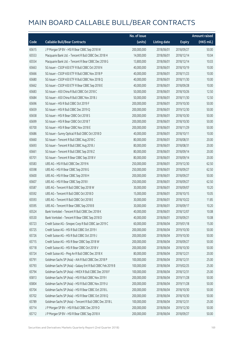|       |                                                             | No. of issue |                     |               | Amount raised         |
|-------|-------------------------------------------------------------|--------------|---------------------|---------------|-----------------------|
| Code  | <b>Callable Bull/Bear Contracts</b>                         | (units)      | <b>Listing date</b> | <b>Expiry</b> | $(HK\frac{1}{2}mil.)$ |
| 65615 | J P Morgan SP BV - HSI R Bear CBBC Sep 2018 W               | 200,000,000  | 2018/06/01          | 2018/09/27    | 50.00                 |
| 65553 | Macquarie Bank Ltd. - Tencent R Bull CBBC Dec 2018 H        | 14,000,000   | 2018/06/01          | 2018/12/14    | 10.04                 |
| 65554 | Macquarie Bank Ltd. - Tencent R Bear CBBC Dec 2018 G        | 13,800,000   | 2018/06/01          | 2018/12/14    | 10.03                 |
| 65663 | SG Issuer - CSOP A50 ETF R Bull CBBC Oct 2018 N             | 40,000,000   | 2018/06/01          | 2018/10/19    | 10.00                 |
| 65666 | SG Issuer - CSOP A50 ETF R Bull CBBC Nov 2018 P             | 40,000,000   | 2018/06/01          | 2018/11/23    | 10.00                 |
| 65680 | SG Issuer - CSOP A50 ETF R Bull CBBC Nov 2018 Q             | 40,000,000   | 2018/06/01          | 2018/11/30    | 10.00                 |
| 65662 | SG Issuer - CSOP A50 ETF R Bear CBBC Sep 2018 E             | 40,000,000   | 2018/06/01          | 2018/09/28    | 10.00                 |
| 65683 | SG Issuer - A50 China R Bull CBBC Oct 2018 C                | 50,000,000   | 2018/06/01          | 2018/10/26    | 12.50                 |
| 65684 | SG Issuer - A50 China R Bull CBBC Nov 2018 J                | 50,000,000   | 2018/06/01          | 2018/11/30    | 12.50                 |
| 65696 | SG Issuer - HSI R Bull CBBC Oct 2019 F                      | 200,000,000  | 2018/06/01          | 2019/10/30    | 50.00                 |
| 65659 | SG Issuer - HSI R Bull CBBC Dec 2019 Q                      | 200,000,000  | 2018/06/01          | 2019/12/30    | 50.00                 |
| 65658 | SG Issuer - HSI R Bear CBBC Oct 2018 S                      | 200,000,000  | 2018/06/01          | 2018/10/30    | 50.00                 |
| 65699 | SG Issuer - HSI R Bear CBBC Oct 2018 T                      | 200,000,000  | 2018/06/01          | 2018/10/30    | 50.00                 |
| 65700 | SG Issuer - HSI R Bear CBBC Nov 2018 E                      | 200,000,000  | 2018/06/01          | 2018/11/29    | 50.00                 |
| 65686 | SG Issuer - Sunny Optical R Bull CBBC Oct 2018 D            | 40,000,000   | 2018/06/01          | 2018/10/11    | 10.00                 |
| 65660 | SG Issuer - Tencent R Bull CBBC Aug 2018 C                  | 80,000,000   | 2018/06/01          | 2018/08/31    | 20.00                 |
| 65693 | SG Issuer - Tencent R Bull CBBC Aug 2018 J                  | 80,000,000   | 2018/06/01          | 2018/08/31    | 20.00                 |
| 65661 | SG Issuer - Tencent R Bull CBBC Sep 2018 Z                  | 80,000,000   | 2018/06/01          | 2018/09/14    | 20.00                 |
| 65701 | SG Issuer - Tencent R Bear CBBC Sep 2018 V                  | 80,000,000   | 2018/06/01          | 2018/09/14    | 20.00                 |
| 65583 | UBS AG - HSI R Bull CBBC Dec 2019 N                         | 250,000,000  | 2018/06/01          | 2019/12/30    | 62.50                 |
| 65598 | UBS AG - HSI R Bear CBBC Sep 2018 G                         | 250,000,000  | 2018/06/01          | 2018/09/27    | 62.50                 |
| 65600 | UBS AG - HSI R Bear CBBC Sep 2018 H                         | 200,000,000  | 2018/06/01          | 2018/09/27    | 50.00                 |
| 65607 | UBS AG - HSI R Bear CBBC Sep 2018 I                         | 250,000,000  | 2018/06/01          | 2018/09/27    | 62.50                 |
| 65587 | UBS AG - Tencent R Bull CBBC Sep 2018 W                     | 30,000,000   | 2018/06/01          | 2018/09/07    | 10.20                 |
| 65592 | UBS AG - Tencent R Bull CBBC Oct 2018 D                     | 15,000,000   | 2018/06/01          | 2018/10/15    | 10.05                 |
| 65593 | UBS AG - Tencent R Bull CBBC Oct 2018 E                     | 30,000,000   | 2018/06/01          | 2018/10/22    | 11.85                 |
| 65595 | UBS AG - Tencent R Bear CBBC Sep 2018 B                     | 30,000,000   | 2018/06/01          | 2018/09/17    | 10.20                 |
| 65524 | Bank Vontobel - Tencent R Bull CBBC Dec 2018 K              | 40,000,000   | 2018/06/01          | 2018/12/07    | 10.08                 |
| 65530 | Bank Vontobel - Tencent R Bear CBBC Sep 2018 D              | 40,000,000   | 2018/06/01          | 2018/09/21    | 10.08                 |
| 65723 | Credit Suisse AG - Sinopec Corp R Bull CBBC Jan 2019 C      | 60,000,000   | 2018/06/04          | 2019/01/18    | 15.00                 |
| 65725 | Credit Suisse AG - HSI R Bull CBBC Oct 2019 I               | 200,000,000  | 2018/06/04          | 2019/10/30    | 50.00                 |
| 65726 | Credit Suisse AG - HSI R Bull CBBC Oct 2019 J               | 200,000,000  | 2018/06/04          | 2019/10/30    | 50.00                 |
| 65715 | Credit Suisse AG - HSI R Bear CBBC Sep 2018 W               | 200,000,000  | 2018/06/04          | 2018/09/27    | 50.00                 |
| 65718 | Credit Suisse AG - HSI R Bear CBBC Oct 2018 V               | 200,000,000  | 2018/06/04          | 2018/10/30    | 50.00                 |
| 65724 | Credit Suisse AG - Ping An R Bull CBBC Dec 2018 X           | 80,000,000   | 2018/06/04          | 2018/12/21    | 20.00                 |
| 65791 | Goldman Sachs SP (Asia) - AIA R Bull CBBC Dec 2018 P        | 100,000,000  | 2018/06/04          | 2018/12/31    | 25.00                 |
| 65793 | Goldman Sachs SP (Asia) - Galaxy Ent R Bull CBBC Feb 2019 B | 100,000,000  | 2018/06/04          | 2019/02/25    | 25.00                 |
| 65794 | Goldman Sachs SP (Asia) - HKEX R Bull CBBC Dec 2018 F       | 100,000,000  | 2018/06/04          | 2018/12/31    | 25.00                 |
| 65813 | Goldman Sachs SP (Asia) - HSI R Bull CBBC Nov 2019 I        | 200,000,000  | 2018/06/04          | 2019/11/28    | 50.00                 |
| 65804 | Goldman Sachs SP (Asia) - HSI R Bull CBBC Nov 2019 U        | 200,000,000  | 2018/06/04          | 2019/11/28    | 50.00                 |
| 65704 | Goldman Sachs SP (Asia) - HSI R Bear CBBC Oct 2018 L        | 200,000,000  | 2018/06/04          | 2018/10/30    | 50.00                 |
| 65702 | Goldman Sachs SP (Asia) - HSI R Bear CBBC Oct 2018 Q        | 200,000,000  | 2018/06/04          | 2018/10/30    | 50.00                 |
| 65789 | Goldman Sachs SP (Asia) - Tencent R Bull CBBC Dec 2018 L    | 100,000,000  | 2018/06/04          | 2018/12/31    | 25.00                 |
| 65714 | J P Morgan SP BV - HSI R Bull CBBC Dec 2019 O               | 200,000,000  | 2018/06/04          | 2019/12/30    | 50.00                 |
| 65712 | J P Morgan SP BV - HSI R Bear CBBC Sep 2018 X               | 200,000,000  | 2018/06/04          | 2018/09/27    | 50.00                 |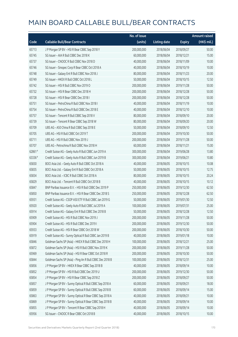|        |                                                          | No. of issue |                     |               | <b>Amount raised</b> |
|--------|----------------------------------------------------------|--------------|---------------------|---------------|----------------------|
| Code   | <b>Callable Bull/Bear Contracts</b>                      | (units)      | <b>Listing date</b> | <b>Expiry</b> | (HK\$ mil.)          |
| 65713  | J P Morgan SP BV - HSI R Bear CBBC Sep 2018 Y            | 200,000,000  | 2018/06/04          | 2018/09/27    | 50.00                |
| 65745  | SG Issuer - AIA R Bull CBBC Dec 2018 K                   | 60,000,000   | 2018/06/04          | 2018/12/21    | 15.00                |
| 65737  | SG Issuer - CNOOC R Bull CBBC Nov 2018 D                 | 40,000,000   | 2018/06/04          | 2018/11/09    | 10.00                |
| 65746  | SG Issuer - Sinopec Corp R Bear CBBC Oct 2018 A          | 40,000,000   | 2018/06/04          | 2018/10/19    | 10.00                |
| 65748  | SG Issuer - Galaxy Ent R Bull CBBC Nov 2018 J            | 80,000,000   | 2018/06/04          | 2018/11/23    | 20.00                |
| 65749  | SG Issuer - HKEX R Bull CBBC Oct 2018 L                  | 50,000,000   | 2018/06/04          | 2018/10/15    | 12.50                |
| 65742  | SG Issuer - HSI R Bull CBBC Nov 2019 O                   | 200,000,000  | 2018/06/04          | 2019/11/28    | 50.00                |
| 65732  | SG Issuer - HSI R Bear CBBC Dec 2018 H                   | 200,000,000  | 2018/06/04          | 2018/12/28    | 50.00                |
| 65728  | SG Issuer - HSI R Bear CBBC Dec 2018 I                   | 200,000,000  | 2018/06/04          | 2018/12/28    | 50.00                |
| 65751  | SG Issuer - PetroChina R Bull CBBC Nov 2018 I            | 40,000,000   | 2018/06/04          | 2018/11/19    | 10.00                |
| 65754  | SG Issuer - PetroChina R Bull CBBC Dec 2018 E            | 40,000,000   | 2018/06/04          | 2018/12/10    | 10.00                |
| 65757  | SG Issuer - Tencent R Bull CBBC Sep 2018 V               | 80,000,000   | 2018/06/04          | 2018/09/10    | 20.00                |
| 65739  | SG Issuer - Tencent R Bear CBBC Sep 2018 W               | 80,000,000   | 2018/06/04          | 2018/09/20    | 20.00                |
| 65709  | UBS AG - A50 China R Bull CBBC Sep 2018 E                | 50,000,000   | 2018/06/04          | 2018/09/10    | 12.50                |
| 65705  | UBS AG - HSI R Bull CBBC Oct 2019 T                      | 200,000,000  | 2018/06/04          | 2019/10/30    | 50.00                |
| 65711  | UBS AG - HSI R Bull CBBC Nov 2019 J                      | 200,000,000  | 2018/06/04          | 2019/11/28    | 50.00                |
| 65707  | UBS AG - Petrochina R Bull CBBC Nov 2018 H               | 60,000,000   | 2018/06/04          | 2018/11/21    | 15.00                |
| 62861# | Credit Suisse AG - Geely Auto R Bull CBBC Jun 2019 A     | 300,000,000  | 2018/06/04          | 2019/06/28    | 13.80                |
| 63336# | Credit Suisse AG - Geely Auto R Bull CBBC Jun 2019 B     | 300,000,000  | 2018/06/04          | 2019/06/21    | 10.80                |
| 65830  | BOCI Asia Ltd. - Geely Auto R Bull CBBC Oct 2018 A       | 40,000,000   | 2018/06/05          | 2018/10/15    | 10.08                |
| 65835  | BOCI Asia Ltd. - Galaxy Ent R Bull CBBC Oct 2018 A       | 50,000,000   | 2018/06/05          | 2018/10/15    | 12.75                |
| 65834  | BOCI Asia Ltd. - ICBC R Bull CBBC Oct 2018 A             | 80,000,000   | 2018/06/05          | 2018/10/15    | 20.24                |
| 65829  | BOCI Asia Ltd. - Tencent R Bull CBBC Oct 2018 B          | 40,000,000   | 2018/06/05          | 2018/10/15    | 10.12                |
| 65847  | BNP Paribas Issuance B.V. - HSI R Bull CBBC Dec 2019 P   | 250,000,000  | 2018/06/05          | 2019/12/30    | 62.50                |
| 65850  | BNP Paribas Issuance B.V. - HSI R Bear CBBC Dec 2018 S   | 250,000,000  | 2018/06/05          | 2018/12/28    | 62.50                |
| 65931  | Credit Suisse AG - CSOP A50 ETF R Bull CBBC Jan 2019 G   | 50,000,000   | 2018/06/05          | 2019/01/30    | 12.50                |
| 65920  | Credit Suisse AG - Geely Auto R Bull CBBC Jul 2019 A     | 100,000,000  | 2018/06/05          | 2019/07/31    | 25.00                |
| 65914  | Credit Suisse AG - Galaxy Ent R Bull CBBC Dec 2018 B     | 50,000,000   | 2018/06/05          | 2018/12/28    | 12.50                |
| 65909  | Credit Suisse AG - HSI R Bull CBBC Nov 2019 J            | 200,000,000  | 2018/06/05          | 2019/11/28    | 50.00                |
| 65904  | Credit Suisse AG - HSI R Bull CBBC Dec 2019 I            | 200,000,000  | 2018/06/05          | 2019/12/30    | 50.00                |
| 65933  | Credit Suisse AG - HSI R Bear CBBC Oct 2018 W            | 200,000,000  | 2018/06/05          | 2018/10/30    | 50.00                |
| 65919  | Credit Suisse AG - Sunny Optical R Bull CBBC Jan 2019 B  | 40,000,000   | 2018/06/05          | 2019/01/18    | 10.00                |
| 65846  | Goldman Sachs SP (Asia) - HKEX R Bull CBBC Dec 2018 H    | 100,000,000  | 2018/06/05          | 2018/12/21    | 25.00                |
| 65872  | Goldman Sachs SP (Asia) - HSI R Bull CBBC Nov 2019 K     | 200,000,000  | 2018/06/05          | 2019/11/28    | 50.00                |
| 65969  | Goldman Sachs SP (Asia) - HSI R Bear CBBC Oct 2018 R     | 200,000,000  | 2018/06/05          | 2018/10/30    | 50.00                |
| 65844  | Goldman Sachs SP (Asia) - Ping An R Bull CBBC Dec 2018 B | 100,000,000  | 2018/06/05          | 2018/12/31    | 25.00                |
| 65856  | J P Morgan SP BV - HKEX R Bear CBBC Sep 2018 B           | 40,000,000   | 2018/06/05          | 2018/09/14    | 10.00                |
| 65852  | J P Morgan SP BV - HSI R Bull CBBC Dec 2019 U            | 200,000,000  | 2018/06/05          | 2019/12/30    | 50.00                |
| 65854  | J P Morgan SP BV - HSI R Bear CBBC Sep 2018 Z            | 200,000,000  | 2018/06/05          | 2018/09/27    | 50.00                |
| 65857  | J P Morgan SP BV - Sunny Optical R Bull CBBC Sep 2018 A  | 60,000,000   | 2018/06/05          | 2018/09/21    | 18.00                |
| 65859  | J P Morgan SP BV - Sunny Optical R Bull CBBC Sep 2018 B  | 60,000,000   | 2018/06/05          | 2018/09/14    | 15.00                |
| 65863  | J P Morgan SP BV - Sunny Optical R Bear CBBC Sep 2018 A  | 40,000,000   | 2018/06/05          | 2018/09/21    | 10.00                |
| 65869  | J P Morgan SP BV - Sunny Optical R Bear CBBC Sep 2018 B  | 40,000,000   | 2018/06/05          | 2018/09/14    | 10.00                |
| 65855  | J P Morgan SP BV - Tencent R Bear CBBC Sep 2018 H        | 40,000,000   | 2018/06/05          | 2018/09/14    | 10.00                |
| 65956  | SG Issuer - CNOOC R Bear CBBC Oct 2018 B                 | 40,000,000   | 2018/06/05          | 2018/10/15    | 10.00                |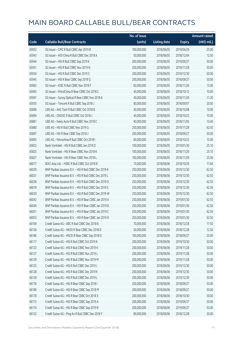|       |                                                        | No. of issue |                     |               | <b>Amount raised</b> |
|-------|--------------------------------------------------------|--------------|---------------------|---------------|----------------------|
| Code  | <b>Callable Bull/Bear Contracts</b>                    | (units)      | <b>Listing date</b> | <b>Expiry</b> | (HK\$ mil.)          |
| 65952 | SG Issuer - CPIC R Bull CBBC Apr 2019 B                | 100,000,000  | 2018/06/05          | 2019/04/29    | 25.00                |
| 65943 | SG Issuer - A50 China R Bull CBBC Dec 2018 A           | 50,000,000   | 2018/06/05          | 2018/12/04    | 12.50                |
| 65944 | SG Issuer - HSI R Bull CBBC Sep 2019 K                 | 200,000,000  | 2018/06/05          | 2019/09/27    | 50.00                |
| 65951 | SG Issuer - HSI R Bull CBBC Nov 2019 N                 | 200,000,000  | 2018/06/05          | 2019/11/28    | 50.00                |
| 65934 | SG Issuer - HSI R Bull CBBC Dec 2019 S                 | 200,000,000  | 2018/06/05          | 2019/12/30    | 50.00                |
| 65945 | SG Issuer - HSI R Bear CBBC Sep 2018 Q                 | 200,000,000  | 2018/06/05          | 2018/09/27    | 50.00                |
| 65963 | SG Issuer - ICBC R Bull CBBC Nov 2018 F                | 60,000,000   | 2018/06/05          | 2018/11/26    | 15.00                |
| 65965 | SG Issuer - PetroChina R Bear CBBC Oct 2018 C          | 40,000,000   | 2018/06/05          | 2018/10/12    | 10.00                |
| 65967 | SG Issuer - Sunny Optical R Bear CBBC Nov 2018 A       | 40,000,000   | 2018/06/05          | 2018/11/29    | 11.20                |
| 65935 | SG Issuer - Tencent R Bull CBBC Sep 2018 J             | 80,000,000   | 2018/06/05          | 2018/09/07    | 20.00                |
| 65896 | UBS AG - AAC Tech R Bull CBBC Oct 2018 B               | 40,000,000   | 2018/06/05          | 2018/10/08    | 10.00                |
| 65894 | UBS AG - CNOOC R Bull CBBC Oct 2018 J                  | 40,000,000   | 2018/06/05          | 2018/10/22    | 10.00                |
| 65881 | UBS AG - Geely Auto R Bull CBBC Nov 2018 C             | 40,000,000   | 2018/06/05          | 2018/11/05    | 10.40                |
| 65880 | UBS AG - HSI R Bull CBBC Nov 2019 G                    | 250,000,000  | 2018/06/05          | 2019/11/28    | 62.50                |
| 65897 | UBS AG - HSI R Bear CBBC Sep 2018 J                    | 200,000,000  | 2018/06/05          | 2018/09/27    | 50.00                |
| 65893 | UBS AG - Petrochina R Bull CBBC Oct 2018 I             | 60,000,000   | 2018/06/05          | 2018/10/22    | 15.00                |
| 65822 | Bank Vontobel - HSI R Bull CBBC Jan 2019 D             | 100,000,000  | 2018/06/05          | 2019/01/30    | 25.10                |
| 65825 | Bank Vontobel - HSI R Bear CBBC Nov 2018 K             | 100,000,000  | 2018/06/05          | 2018/11/29    | 25.10                |
| 65827 | Bank Vontobel - HSI R Bear CBBC Nov 2018 L             | 100,000,000  | 2018/06/05          | 2018/11/29    | 25.00                |
| 66017 | BOCI Asia Ltd. - HSBC R Bull CBBC Oct 2018 B           | 70,000,000   | 2018/06/06          | 2018/10/29    | 17.64                |
| 66029 | BNP Paribas Issuance B.V. - HSI R Bull CBBC Dec 2019 K | 250,000,000  | 2018/06/06          | 2019/12/30    | 62.50                |
| 66031 | BNP Paribas Issuance B.V. - HSI R Bull CBBC Dec 2019 L | 250,000,000  | 2018/06/06          | 2019/12/30    | 62.50                |
| 66036 | BNP Paribas Issuance B.V. - HSI R Bull CBBC Dec 2019 O | 250,000,000  | 2018/06/06          | 2019/12/30    | 62.50                |
| 66019 | BNP Paribas Issuance B.V. - HSI R Bull CBBC Dec 2019 S | 250,000,000  | 2018/06/06          | 2019/12/30    | 62.50                |
| 66020 | BNP Paribas Issuance B.V. - HSI R Bull CBBC Dec 2019 W | 250,000,000  | 2018/06/06          | 2019/12/30    | 62.50                |
| 66042 | BNP Paribas Issuance B.V. - HSI R Bear CBBC Jan 2019 A | 250,000,000  | 2018/06/06          | 2019/01/30    | 62.50                |
| 66044 | BNP Paribas Issuance B.V. - HSI R Bear CBBC Jan 2019 B | 250,000,000  | 2018/06/06          | 2019/01/30    | 62.50                |
| 66051 | BNP Paribas Issuance B.V. - HSLR Bear CBBC Jan 2019 C. | 250,000,000  | 2018/06/06          | 2019/01/30    | 62.50                |
| 66053 | BNP Paribas Issuance B.V. - HSI R Bear CBBC Jan 2019 D | 250,000,000  | 2018/06/06          | 2019/01/30    | 62.50                |
| 66169 | Credit Suisse AG - ABC R Bull CBBC Dec 2018 B          | 70,000,000   | 2018/06/06          | 2018/12/28    | 17.50                |
| 66156 | Credit Suisse AG - HKEX R Bear CBBC Dec 2018 D         | 50,000,000   | 2018/06/06          | 2018/12/28    | 12.50                |
| 66186 | Credit Suisse AG - HSCEI R Bear CBBC Sep 2018 D        | 100,000,000  | 2018/06/06          | 2018/09/27    | 25.00                |
| 66117 | Credit Suisse AG - HSI R Bull CBBC Oct 2019 K          | 200,000,000  | 2018/06/06          | 2019/10/30    | 50.00                |
| 66123 | Credit Suisse AG - HSI R Bull CBBC Nov 2019 K          | 200,000,000  | 2018/06/06          | 2019/11/28    | 50.00                |
| 66127 | Credit Suisse AG - HSI R Bull CBBC Nov 2019 L          | 200,000,000  | 2018/06/06          | 2019/11/28    | 50.00                |
| 66129 | Credit Suisse AG - HSI R Bull CBBC Nov 2019 M          | 200,000,000  | 2018/06/06          | 2019/11/28    | 50.00                |
| 66125 | Credit Suisse AG - HSI R Bull CBBC Dec 2019 J          | 200,000,000  | 2018/06/06          | 2019/12/30    | 50.00                |
| 66128 | Credit Suisse AG - HSI R Bull CBBC Dec 2019 K          | 200,000,000  | 2018/06/06          | 2019/12/30    | 50.00                |
| 66130 | Credit Suisse AG - HSI R Bull CBBC Dec 2019 L          | 200,000,000  | 2018/06/06          | 2019/12/30    | 50.00                |
| 66176 | Credit Suisse AG - HSI R Bear CBBC Sep 2018 I          | 200,000,000  | 2018/06/06          | 2018/09/27    | 50.00                |
| 66180 | Credit Suisse AG - HSI R Bear CBBC Sep 2018 M          | 200,000,000  | 2018/06/06          | 2018/09/27    | 50.00                |
| 66178 | Credit Suisse AG - HSI R Bear CBBC Oct 2018 X          | 200,000,000  | 2018/06/06          | 2018/10/30    | 50.00                |
| 66173 | Credit Suisse AG - HSI R Bear CBBC Sep 2019 A          | 200,000,000  | 2018/06/06          | 2019/09/27    | 50.00                |
| 66174 | Credit Suisse AG - HSI R Bear CBBC Sep 2019 B          | 200,000,000  | 2018/06/06          | 2019/09/27    | 50.00                |
| 66152 | Credit Suisse AG - Ping An R Bull CBBC Dec 2018 Y      | 80,000,000   | 2018/06/06          | 2018/12/28    | 20.00                |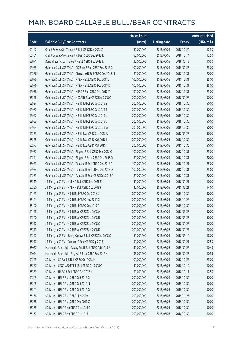|       |                                                             | No. of issue |                     |               | <b>Amount raised</b> |
|-------|-------------------------------------------------------------|--------------|---------------------|---------------|----------------------|
| Code  | <b>Callable Bull/Bear Contracts</b>                         | (units)      | <b>Listing date</b> | <b>Expiry</b> | (HK\$ mil.)          |
| 66147 | Credit Suisse AG - Tencent R Bull CBBC Dec 2018 Z           | 50,000,000   | 2018/06/06          | 2018/12/20    | 12.50                |
| 66161 | Credit Suisse AG - Tencent R Bear CBBC Dec 2018 K           | 50,000,000   | 2018/06/06          | 2018/12/14    | 12.50                |
| 65971 | Bank of East Asia - Tencent R Bull CBBC Feb 2019 E          | 30,000,000   | 2018/06/06          | 2019/02/19    | 10.50                |
| 65979 | Goldman Sachs SP (Asia) – CC Bank R Bull CBBC Feb 2019 C    | 100,000,000  | 2018/06/06          | 2019/02/27    | 25.00                |
| 66286 | Goldman Sachs SP (Asia) - China Life R Bull CBBC Dec 2018 M | 80,000,000   | 2018/06/06          | 2018/12/31    | 20.00                |
| 65975 | Goldman Sachs SP (Asia) - HKEX R Bull CBBC Dec 2018 J       | 100,000,000  | 2018/06/06          | 2018/12/31    | 25.00                |
| 65976 | Goldman Sachs SP (Asia) - HKEX R Bull CBBC Dec 2018 K       | 100,000,000  | 2018/06/06          | 2018/12/31    | 25.00                |
| 65978 | Goldman Sachs SP (Asia) - HSBC R Bull CBBC Dec 2018 V       | 100,000,000  | 2018/06/06          | 2018/12/31    | 25.00                |
| 66278 | Goldman Sachs SP (Asia) - HSCEI R Bear CBBC Sep 2018 C      | 200,000,000  | 2018/06/06          | 2018/09/27    | 50.00                |
| 65984 | Goldman Sachs SP (Asia) - HSI R Bull CBBC Dec 2019 S        | 200,000,000  | 2018/06/06          | 2019/12/30    | 50.00                |
| 65987 | Goldman Sachs SP (Asia) - HSI R Bull CBBC Dec 2019 T        | 200,000,000  | 2018/06/06          | 2019/12/30    | 50.00                |
| 65992 | Goldman Sachs SP (Asia) - HSI R Bull CBBC Dec 2019 U        | 200,000,000  | 2018/06/06          | 2019/12/30    | 50.00                |
| 65993 | Goldman Sachs SP (Asia) - HSI R Bull CBBC Dec 2019 V        | 200,000,000  | 2018/06/06          | 2019/12/30    | 50.00                |
| 65994 | Goldman Sachs SP (Asia) - HSI R Bull CBBC Dec 2019 W        | 200,000,000  | 2018/06/06          | 2019/12/30    | 50.00                |
| 66273 | Goldman Sachs SP (Asia) - HSI R Bear CBBC Sep 2018 U        | 200,000,000  | 2018/06/06          | 2018/09/27    | 50.00                |
| 66275 | Goldman Sachs SP (Asia) - HSI R Bear CBBC Oct 2018 S        | 200,000,000  | 2018/06/06          | 2018/10/30    | 50.00                |
| 66277 | Goldman Sachs SP (Asia) - HSI R Bear CBBC Oct 2018 T        | 200,000,000  | 2018/06/06          | 2018/10/30    | 50.00                |
| 65977 | Goldman Sachs SP (Asia) - Ping An R Bull CBBC Dec 2018 C    | 100,000,000  | 2018/06/06          | 2018/12/31    | 25.00                |
| 66291 | Goldman Sachs SP (Asia) - Ping An R Bear CBBC Dec 2018 D    | 80,000,000   | 2018/06/06          | 2018/12/31    | 20.00                |
| 65973 | Goldman Sachs SP (Asia) - Tencent R Bull CBBC Dec 2018 P    | 100,000,000  | 2018/06/06          | 2018/12/21    | 25.00                |
| 65974 | Goldman Sachs SP (Asia) - Tencent R Bull CBBC Dec 2018 Q    | 100,000,000  | 2018/06/06          | 2018/12/31    | 25.00                |
| 66283 | Goldman Sachs SP (Asia) - Tencent R Bear CBBC Dec 2018 Q    | 80,000,000   | 2018/06/06          | 2018/12/31    | 20.00                |
| 66219 | J P Morgan SP BV - HKEX R Bull CBBC Sep 2018 E              | 40,000,000   | 2018/06/06          | 2018/09/21    | 10.00                |
| 66220 | J P Morgan SP BV - HKEX R Bull CBBC Sep 2018 F              | 40,000,000   | 2018/06/06          | 2018/09/21    | 14.00                |
| 66195 | J P Morgan SP BV - HSI R Bull CBBC Oct 2019 X               | 200,000,000  | 2018/06/06          | 2019/10/30    | 50.00                |
| 66191 | J P Morgan SP BV - HSI R Bull CBBC Nov 2019 C               | 200,000,000  | 2018/06/06          | 2019/11/28    | 50.00                |
| 66190 | J P Morgan SP BV - HSI R Bull CBBC Dec 2019 Q               | 200,000,000  | 2018/06/06          | 2019/12/30    | 50.00                |
| 66198 | J P Morgan SP BV - HSI R Bear CBBC Sep 2018 A               | 200,000,000  | 2018/06/06          | 2018/09/27    | 50.00                |
| 66200 | J P Morgan SP BV - HSI R Bear CBBC Sep 2018 B               | 200,000,000  | 2018/06/06          | 2018/09/27    | 50.00                |
| 66212 | J P Morgan SP BV - HSI R Bear CBBC Sep 2018 C               | 200,000,000  | 2018/06/06          | 2018/09/27    | 50.00                |
| 66213 | J P Morgan SP BV - HSI R Bear CBBC Sep 2018 D               | 200,000,000  | 2018/06/06          | 2018/09/27    | 50.00                |
| 66222 | J P Morgan SP BV - Sunny Optical R Bull CBBC Sep 2018 C     | 50,000,000   | 2018/06/06          | 2018/09/14    | 18.00                |
| 66217 | J P Morgan SP BV - Tencent R Bear CBBC Sep 2018 I           | 50,000,000   | 2018/06/06          | 2018/09/21    | 12.50                |
| 66057 | Macquarie Bank Ltd. - Galaxy Ent R Bull CBBC Feb 2019 A     | 32,000,000   | 2018/06/06          | 2019/02/27    | 10.43                |
| 66054 | Macquarie Bank Ltd. - Ping An R Bear CBBC Feb 2019 A        | 33,000,000   | 2018/06/06          | 2019/02/27    | 10.59                |
| 66225 | SG Issuer - CC Bank R Bull CBBC Oct 2018 M                  | 100,000,000  | 2018/06/06          | 2018/10/25    | 25.00                |
| 66237 | SG Issuer - CSOP A50 ETF R Bull CBBC Oct 2018 O             | 40,000,000   | 2018/06/06          | 2018/10/10    | 10.00                |
| 66259 | SG Issuer - HKEX R Bull CBBC Oct 2018 K                     | 50,000,000   | 2018/06/06          | 2018/10/11    | 12.50                |
| 66249 | SG Issuer - HSI R Bull CBBC Oct 2019 C                      | 200,000,000  | 2018/06/06          | 2019/10/30    | 50.00                |
| 66245 | SG Issuer - HSI R Bull CBBC Oct 2019 N                      | 200,000,000  | 2018/06/06          | 2019/10/30    | 50.00                |
| 66241 | SG Issuer - HSI R Bull CBBC Oct 2019 O                      | 200,000,000  | 2018/06/06          | 2019/10/30    | 50.00                |
| 66256 | SG Issuer - HSI R Bull CBBC Nov 2019 J                      | 200,000,000  | 2018/06/06          | 2019/11/28    | 50.00                |
| 66258 | SG Issuer - HSI R Bull CBBC Dec 2019 Z                      | 200,000,000  | 2018/06/06          | 2019/12/30    | 50.00                |
| 66265 | SG Issuer - HSI R Bear CBBC Oct 2018 O                      | 200,000,000  | 2018/06/06          | 2018/10/30    | 50.00                |
| 66267 | SG Issuer - HSI R Bear CBBC Oct 2018 U                      | 200,000,000  | 2018/06/06          | 2018/10/30    | 50.00                |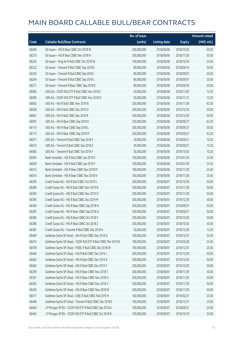|       |                                                               | No. of issue |                     |               | Amount raised         |
|-------|---------------------------------------------------------------|--------------|---------------------|---------------|-----------------------|
| Code  | <b>Callable Bull/Bear Contracts</b>                           | (units)      | <b>Listing date</b> | <b>Expiry</b> | $(HK\frac{1}{2}mil.)$ |
| 66269 | SG Issuer - HSI R Bear CBBC Oct 2018 W                        | 200,000,000  | 2018/06/06          | 2018/10/30    | 50.00                 |
| 66270 | SG Issuer - HSI R Bear CBBC Nov 2018 H                        | 200,000,000  | 2018/06/06          | 2018/11/29    | 50.00                 |
| 66262 | SG Issuer - Ping An R Bull CBBC Oct 2018 W                    | 100,000,000  | 2018/06/06          | 2018/10/30    | 25.00                 |
| 66232 | SG Issuer - Tencent R Bull CBBC Sep 2018 E                    | 80,000,000   | 2018/06/06          | 2018/09/14    | 20.00                 |
| 66229 | SG Issuer - Tencent R Bull CBBC Sep 2018 I                    | 80,000,000   | 2018/06/06          | 2018/09/07    | 20.00                 |
| 66264 | SG Issuer - Tencent R Bull CBBC Sep 2018 L                    | 80,000,000   | 2018/06/06          | 2018/09/07    | 20.00                 |
| 66271 | SG Issuer - Tencent R Bear CBBC Sep 2018 X                    | 80,000,000   | 2018/06/06          | 2018/09/20    | 20.00                 |
| 66095 | UBS AG - CSOP A50 ETF R Bull CBBC Nov 2018 C                  | 50,000,000   | 2018/06/06          | 2018/11/05    | 12.50                 |
| 66096 | UBS AG - CSOP A50 ETF R Bull CBBC Nov 2018 D                  | 50,000,000   | 2018/06/06          | 2018/11/12    | 12.50                 |
| 66063 | UBS AG - HSI R Bull CBBC Nov 2019 B                           | 250,000,000  | 2018/06/06          | 2019/11/28    | 62.50                 |
| 66058 | UBS AG - HSI R Bull CBBC Dec 2019 O                           | 200,000,000  | 2018/06/06          | 2019/12/30    | 50.00                 |
| 66061 | UBS AG - HSI R Bull CBBC Dec 2019 R                           | 200,000,000  | 2018/06/06          | 2019/12/30    | 50.00                 |
| 66097 | UBS AG - HSI R Bear CBBC Sep 2018 K                           | 250,000,000  | 2018/06/06          | 2018/09/27    | 62.50                 |
| 66113 | UBS AG - HSI R Bear CBBC Sep 2018 L                           | 200,000,000  | 2018/06/06          | 2018/09/27    | 50.00                 |
| 66115 | UBS AG - HSI R Bear CBBC Sep 2018 M                           | 250,000,000  | 2018/06/06          | 2018/09/27    | 62.50                 |
| 66071 | UBS AG - Tencent R Bull CBBC Sep 2018 Y                       | 30,000,000   | 2018/06/06          | 2018/09/21    | 10.20                 |
| 66075 | UBS AG - Tencent R Bull CBBC Sep 2018 Z                       | 30,000,000   | 2018/06/06          | 2018/09/27    | 10.20                 |
| 66085 | UBS AG - Tencent R Bull CBBC Oct 2018 F                       | 30,000,000   | 2018/06/06          | 2018/10/03    | 10.20                 |
| 65995 | Bank Vontobel - HSI R Bull CBBC Jan 2019 E                    | 100,000,000  | 2018/06/06          | 2019/01/30    | 25.40                 |
| 66009 | Bank Vontobel - HSI R Bull CBBC Jan 2019 F                    | 100,000,000  | 2018/06/06          | 2019/01/30    | 25.30                 |
| 66012 | Bank Vontobel - HSI R Bear CBBC Nov 2018 M                    | 100,000,000  | 2018/06/06          | 2018/11/29    | 25.40                 |
| 66014 | Bank Vontobel - HSI R Bear CBBC Nov 2018 N                    | 100,000,000  | 2018/06/06          | 2018/11/29    | 25.40                 |
| 66390 | Credit Suisse AG - HSI R Bull CBBC Oct 2019 L                 | 200,000,000  | 2018/06/07          | 2019/10/30    | 50.00                 |
| 66389 | Credit Suisse AG - HSI R Bull CBBC Nov 2019 N                 | 200,000,000  | 2018/06/07          | 2019/11/28    | 50.00                 |
| 66394 | Credit Suisse AG - HSI R Bull CBBC Nov 2019 O                 | 200,000,000  | 2018/06/07          | 2019/11/28    | 50.00                 |
| 66395 | Credit Suisse AG - HSI R Bull CBBC Dec 2019 M                 | 200,000,000  | 2018/06/07          | 2019/12/30    | 50.00                 |
| 66384 | Credit Suisse AG - HSI R Bear CBBC Sep 2018 N                 | 200,000,000  | 2018/06/07          | 2018/09/27    | 50.00                 |
| 66381 | Credit Suisse AG - HSI R Bear CBBC Sep 2018 O                 | 200,000,000  | 2018/06/07          | 2018/09/27    | 50.00                 |
| 66380 | Credit Suisse AG - HSI R Bear CBBC Oct 2018 Y                 | 200,000,000  | 2018/06/07          | 2018/10/30    | 50.00                 |
| 66386 | Credit Suisse AG - HSI R Bear CBBC Oct 2018 Z                 | 200,000,000  | 2018/06/07          | 2018/10/30    | 50.00                 |
| 66387 | Credit Suisse AG - Tencent R Bull CBBC Dec 2018 A             | 50,000,000   | 2018/06/07          | 2018/12/28    | 12.50                 |
| 66469 | Goldman Sachs SP (Asia) - AIA R Bull CBBC Dec 2018 Q          | 100,000,000  | 2018/06/07          | 2018/12/31    | 25.00                 |
| 66474 | Goldman Sachs SP (Asia) - CSOP A50 ETF R Bull CBBC Mar 2019 B | 100,000,000  | 2018/06/07          | 2019/03/28    | 25.00                 |
| 66478 | Goldman Sachs SP (Asia) - HSBC R Bull CBBC Dec 2018 W         | 100,000,000  | 2018/06/07          | 2018/12/31    | 25.00                 |
| 66460 | Goldman Sachs SP (Asia) - HSI R Bull CBBC Dec 2019 J          | 200,000,000  | 2018/06/07          | 2019/12/30    | 50.00                 |
| 66462 | Goldman Sachs SP (Asia) - HSI R Bull CBBC Dec 2019 X          | 200,000,000  | 2018/06/07          | 2019/12/30    | 50.00                 |
| 66463 | Goldman Sachs SP (Asia) - HSI R Bull CBBC Dec 2019 Y          | 200,000,000  | 2018/06/07          | 2019/12/30    | 50.00                 |
| 66299 | Goldman Sachs SP (Asia) - HSI R Bear CBBC Nov 2018 T          | 200,000,000  | 2018/06/07          | 2018/11/29    | 50.00                 |
| 66301 | Goldman Sachs SP (Asia) - HSI R Bear CBBC Nov 2018 U          | 200,000,000  | 2018/06/07          | 2018/11/29    | 50.00                 |
| 66305 | Goldman Sachs SP (Asia) - HSI R Bear CBBC Nov 2018 V          | 200,000,000  | 2018/06/07          | 2018/11/29    | 50.00                 |
| 66459 | Goldman Sachs SP (Asia) - HSI R Bear CBBC Nov 2018 W          | 200,000,000  | 2018/06/07          | 2018/11/29    | 50.00                 |
| 66471 | Goldman Sachs SP (Asia) - ICBC R Bull CBBC Feb 2019 H         | 100,000,000  | 2018/06/07          | 2019/02/27    | 25.00                 |
| 66468 | Goldman Sachs SP (Asia) - Tencent R Bull CBBC Dec 2018 E      | 100,000,000  | 2018/06/07          | 2018/12/31    | 25.00                 |
| 66444 | J P Morgan SP BV - CSOP A50 ETF R Bull CBBC Sep 2018 A        | 100,000,000  | 2018/06/07          | 2018/09/21    | 25.00                 |
| 66445 | J P Morgan SP BV - CSOP A50 ETF R Bull CBBC Oct 2018 B        | 100,000,000  | 2018/06/07          | 2018/10/19    | 25.00                 |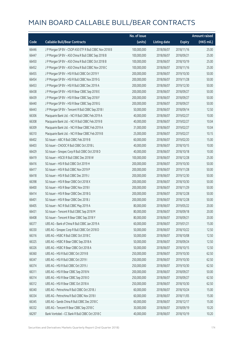|       |                                                        | No. of issue |                     |               | Amount raised |
|-------|--------------------------------------------------------|--------------|---------------------|---------------|---------------|
| Code  | <b>Callable Bull/Bear Contracts</b>                    | (units)      | <b>Listing date</b> | <b>Expiry</b> | (HK\$ mil.)   |
| 66446 | J P Morgan SP BV - CSOP A50 ETF R Bull CBBC Nov 2018 B | 100,000,000  | 2018/06/07          | 2018/11/16    | 25.00         |
| 66447 | J P Morgan SP BV - A50 China R Bull CBBC Sep 2018 B    | 100,000,000  | 2018/06/07          | 2018/09/21    | 25.00         |
| 66450 | J P Morgan SP BV - A50 China R Bull CBBC Oct 2018 B    | 100,000,000  | 2018/06/07          | 2018/10/19    | 25.00         |
| 66452 | J P Morgan SP BV - A50 China R Bull CBBC Nov 2018 C    | 100,000,000  | 2018/06/07          | 2018/11/16    | 25.00         |
| 66455 | J P Morgan SP BV - HSI R Bull CBBC Oct 2019 Y          | 200,000,000  | 2018/06/07          | 2019/10/30    | 50.00         |
| 66454 | J P Morgan SP BV - HSI R Bull CBBC Nov 2019 G          | 200,000,000  | 2018/06/07          | 2019/11/28    | 50.00         |
| 66453 | J P Morgan SP BV - HSI R Bull CBBC Dec 2019 A          | 200,000,000  | 2018/06/07          | 2019/12/30    | 50.00         |
| 66438 | J P Morgan SP BV - HSI R Bear CBBC Sep 2018 E          | 200,000,000  | 2018/06/07          | 2018/09/27    | 50.00         |
| 66439 | J P Morgan SP BV - HSI R Bear CBBC Sep 2018 F          | 200,000,000  | 2018/06/07          | 2018/09/27    | 50.00         |
| 66440 | J P Morgan SP BV - HSI R Bear CBBC Sep 2018 G          | 200,000,000  | 2018/06/07          | 2018/09/27    | 50.00         |
| 66443 | J P Morgan SP BV - Tencent R Bull CBBC Sep 2018 I      | 50,000,000   | 2018/06/07          | 2018/09/14    | 12.50         |
| 66306 | Macquarie Bank Ltd. - NCI R Bull CBBC Feb 2019 A       | 40,000,000   | 2018/06/07          | 2019/02/27    | 10.00         |
| 66308 | Macquarie Bank Ltd. - NCI R Bull CBBC Feb 2019 B       | 40,000,000   | 2018/06/07          | 2019/02/27    | 10.04         |
| 66309 | Macquarie Bank Ltd. - NCI R Bear CBBC Feb 2019 A       | 31,000,000   | 2018/06/07          | 2019/02/27    | 10.04         |
| 66310 | Macquarie Bank Ltd. - NCI R Bear CBBC Feb 2019 B       | 25,000,000   | 2018/06/07          | 2019/02/27    | 10.15         |
| 66402 | SG Issuer - ABC R Bull CBBC Feb 2019 B                 | 60,000,000   | 2018/06/07          | 2019/02/20    | 15.00         |
| 66403 | SG Issuer - CNOOC R Bull CBBC Oct 2018 L               | 40,000,000   | 2018/06/07          | 2018/10/15    | 10.00         |
| 66429 | SG Issuer - Sinopec Corp R Bull CBBC Oct 2018 D        | 40,000,000   | 2018/06/07          | 2018/10/18    | 10.00         |
| 66419 | SG Issuer - HSCEI R Bull CBBC Dec 2018 W               | 100,000,000  | 2018/06/07          | 2018/12/28    | 25.00         |
| 66416 | SG Issuer - HSI R Bull CBBC Oct 2019 H                 | 200,000,000  | 2018/06/07          | 2019/10/30    | 50.00         |
| 66417 | SG Issuer - HSI R Bull CBBC Nov 2019 P                 | 200,000,000  | 2018/06/07          | 2019/11/28    | 50.00         |
| 66418 | SG Issuer - HSI R Bull CBBC Dec 2019 J                 | 200,000,000  | 2018/06/07          | 2019/12/30    | 50.00         |
| 66398 | SG Issuer - HSI R Bear CBBC Oct 2018 X                 | 200,000,000  | 2018/06/07          | 2018/10/30    | 50.00         |
| 66400 | SG Issuer - HSI R Bear CBBC Nov 2018 I                 | 200,000,000  | 2018/06/07          | 2018/11/29    | 50.00         |
| 66414 | SG Issuer - HSI R Bear CBBC Dec 2018 G                 | 200,000,000  | 2018/06/07          | 2018/12/28    | 50.00         |
| 66401 | SG Issuer - HSI R Bear CBBC Dec 2018 J                 | 200,000,000  | 2018/06/07          | 2018/12/28    | 50.00         |
| 66405 | SG Issuer - NCI R Bull CBBC May 2019 A                 | 80,000,000   | 2018/06/07          | 2019/05/22    | 20.00         |
| 66431 | SG Issuer - Tencent R Bull CBBC Sep 2018 M             | 80,000,000   | 2018/06/07          | 2018/09/18    | 20.00         |
| 66408 | SG Issuer - Tencent R Bear CBBC Sep 2018 Y             | 80,000,000   | 2018/06/07          | 2018/09/21    | 20.00         |
| 66377 | UBS AG - Bank of China R Bull CBBC Jan 2019 A          | 60,000,000   | 2018/06/07          | 2019/01/21    | 15.00         |
| 66330 | UBS AG - Sinopec Corp R Bull CBBC Oct 2018 D           | 50,000,000   | 2018/06/07          | 2018/10/22    | 12.50         |
| 66316 | UBS AG - HSBC R Bull CBBC Oct 2018 C                   | 50,000,000   | 2018/06/07          | 2018/10/08    | 12.50         |
| 66325 | UBS AG - HSBC R Bear CBBC Sep 2018 A                   | 50,000,000   | 2018/06/07          | 2018/09/24    | 12.50         |
| 66326 | UBS AG - HSBC R Bear CBBC Oct 2018 A                   | 50,000,000   | 2018/06/07          | 2018/10/15    | 12.50         |
| 66360 | UBS AG - HSI R Bull CBBC Oct 2019 B                    | 250,000,000  | 2018/06/07          | 2019/10/30    | 62.50         |
| 66347 | UBS AG - HSI R Bull CBBC Oct 2019 I                    | 250,000,000  | 2018/06/07          | 2019/10/30    | 62.50         |
| 66374 | UBS AG - HSI R Bull CBBC Oct 2019 J                    | 250,000,000  | 2018/06/07          | 2019/10/30    | 62.50         |
| 66311 | UBS AG - HSI R Bear CBBC Sep 2018 N                    | 200,000,000  | 2018/06/07          | 2018/09/27    | 50.00         |
| 66314 | UBS AG - HSI R Bear CBBC Sep 2018 O                    | 250,000,000  | 2018/06/07          | 2018/09/27    | 62.50         |
| 66312 | UBS AG - HSI R Bear CBBC Oct 2018 A                    | 250,000,000  | 2018/06/07          | 2018/10/30    | 62.50         |
| 66340 | UBS AG - Petrochina R Bull CBBC Oct 2018 J             | 60,000,000   | 2018/06/07          | 2018/10/24    | 15.00         |
| 66334 | UBS AG - Petrochina R Bull CBBC Nov 2018 I             | 60,000,000   | 2018/06/07          | 2018/11/05    | 15.00         |
| 66345 | UBS AG - Sands China R Bull CBBC Dec 2018 C            | 60,000,000   | 2018/06/07          | 2018/12/17    | 15.00         |
| 66332 | UBS AG - Tencent R Bear CBBC Sep 2018 C                | 30,000,000   | 2018/06/07          | 2018/09/19    | 10.20         |
| 66297 | Bank Vontobel - CC Bank R Bull CBBC Oct 2018 C         | 40,000,000   | 2018/06/07          | 2018/10/19    | 10.20         |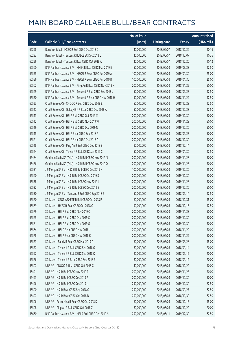|       |                                                            | No. of issue |                     |               | <b>Amount raised</b> |
|-------|------------------------------------------------------------|--------------|---------------------|---------------|----------------------|
| Code  | <b>Callable Bull/Bear Contracts</b>                        | (units)      | <b>Listing date</b> | <b>Expiry</b> | (HK\$ mil.)          |
| 66298 | Bank Vontobel - HSBC R Bull CBBC Oct 2018 C                | 40,000,000   | 2018/06/07          | 2018/10/26    | 10.16                |
| 66293 | Bank Vontobel - Tencent R Bull CBBC Dec 2018 L             | 40,000,000   | 2018/06/07          | 2018/12/07    | 10.36                |
| 66296 | Bank Vontobel - Tencent R Bear CBBC Oct 2018 A             | 40,000,000   | 2018/06/07          | 2018/10/26    | 10.12                |
| 66560 | BNP Paribas Issuance B.V. - HKEX R Bear CBBC Mar 2019 E    | 50,000,000   | 2018/06/08          | 2019/03/28    | 12.50                |
| 66555 | BNP Paribas Issuance B.V. - HSCEI R Bear CBBC Jan 2019 A   | 100,000,000  | 2018/06/08          | 2019/01/30    | 25.00                |
| 66556 | BNP Paribas Issuance B.V. - HSCEI R Bear CBBC Jan 2019 B   | 100,000,000  | 2018/06/08          | 2019/01/30    | 25.00                |
| 66562 | BNP Paribas Issuance B.V. - Ping An R Bear CBBC Nov 2018 H | 200,000,000  | 2018/06/08          | 2018/11/29    | 50.00                |
| 66549 | BNP Paribas Issuance B.V. - Tencent R Bull CBBC Sep 2018 J | 50,000,000   | 2018/06/08          | 2018/09/27    | 12.50                |
| 66550 | BNP Paribas Issuance B.V. - Tencent R Bear CBBC Nov 2018 H | 50,000,000   | 2018/06/08          | 2018/11/29    | 12.50                |
| 66523 | Credit Suisse AG - CNOOC R Bull CBBC Dec 2018 E            | 50,000,000   | 2018/06/08          | 2018/12/28    | 12.50                |
| 66517 | Credit Suisse AG - Galaxy Ent R Bear CBBC Dec 2018 A       | 50,000,000   | 2018/06/08          | 2018/12/28    | 12.50                |
| 66513 | Credit Suisse AG - HSI R Bull CBBC Oct 2019 M              | 200,000,000  | 2018/06/08          | 2019/10/30    | 50.00                |
| 66512 | Credit Suisse AG - HSI R Bull CBBC Nov 2019 W              | 200,000,000  | 2018/06/08          | 2019/11/28    | 50.00                |
| 66519 | Credit Suisse AG - HSI R Bull CBBC Dec 2019 N              | 200,000,000  | 2018/06/08          | 2019/12/30    | 50.00                |
| 66515 | Credit Suisse AG - HSI R Bear CBBC Sep 2018 P              | 200,000,000  | 2018/06/08          | 2018/09/27    | 50.00                |
| 66521 | Credit Suisse AG - HSI R Bear CBBC Oct 2018 A              | 200,000,000  | 2018/06/08          | 2018/10/30    | 50.00                |
| 66518 | Credit Suisse AG - Ping An R Bull CBBC Dec 2018 Z          | 80,000,000   | 2018/06/08          | 2018/12/14    | 20.00                |
| 66524 | Credit Suisse AG - Tencent R Bull CBBC Jan 2019 C          | 50,000,000   | 2018/06/08          | 2019/01/30    | 12.50                |
| 66484 | Goldman Sachs SP (Asia) - HSI R Bull CBBC Nov 2019 N       | 200,000,000  | 2018/06/08          | 2019/11/28    | 50.00                |
| 66486 | Goldman Sachs SP (Asia) - HSI R Bull CBBC Nov 2019 O       | 200,000,000  | 2018/06/08          | 2019/11/28    | 50.00                |
| 66531 | J P Morgan SP BV - HSCEI R Bull CBBC Dec 2019 H            | 100,000,000  | 2018/06/08          | 2019/12/30    | 25.00                |
| 66540 | J P Morgan SP BV - HSI R Bull CBBC Oct 2019 S              | 200,000,000  | 2018/06/08          | 2019/10/30    | 50.00                |
| 66538 | J P Morgan SP BV - HSI R Bull CBBC Nov 2019 L              | 200,000,000  | 2018/06/08          | 2019/11/28    | 50.00                |
| 66532 | J P Morgan SP BV - HSI R Bull CBBC Dec 2019 B              | 200,000,000  | 2018/06/08          | 2019/12/30    | 50.00                |
| 66530 | J P Morgan SP BV - Tencent R Bull CBBC Sep 2018 J          | 50,000,000   | 2018/06/08          | 2018/09/14    | 12.50                |
| 66570 | SG Issuer - CSOP A50 ETF R Bull CBBC Oct 2018 P            | 60,000,000   | 2018/06/08          | 2018/10/31    | 15.00                |
| 66569 | SG Issuer - HKEX R Bear CBBC Oct 2018 C                    | 50,000,000   | 2018/06/08          | 2018/10/15    | 12.50                |
| 66579 | SG Issuer - HSI R Bull CBBC Nov 2019 Q                     | 200,000,000  | 2018/06/08          | 2019/11/28    | 50.00                |
| 66565 | SG Issuer - HSI R Bull CBBC Dec 2019 C                     | 200,000,000  | 2018/06/08          | 2019/12/30    | 50.00                |
| 66581 | SG Issuer - HSI R Bull CBBC Dec 2019 G                     | 200,000,000  | 2018/06/08          | 2019/12/30    | 50.00                |
| 66564 | SG Issuer - HSI R Bear CBBC Nov 2018 J                     | 200,000,000  | 2018/06/08          | 2018/11/29    | 50.00                |
| 66578 | SG Issuer - HSI R Bear CBBC Nov 2018 K                     | 200,000,000  | 2018/06/08          | 2018/11/29    | 50.00                |
| 66573 | SG Issuer - Sands R Bear CBBC Mar 2019 A                   | 60,000,000   | 2018/06/08          | 2019/03/28    | 15.00                |
| 66577 | SG Issuer - Tencent R Bull CBBC Sep 2018 G                 | 80,000,000   | 2018/06/08          | 2018/09/14    | 20.00                |
| 66592 | SG Issuer - Tencent R Bull CBBC Sep 2018 Q                 | 80,000,000   | 2018/06/08          | 2018/09/12    | 20.00                |
| 66576 | SG Issuer - Tencent R Bear CBBC Sep 2018 Z                 | 80,000,000   | 2018/06/08          | 2018/09/12    | 20.00                |
| 66507 | UBS AG - CNOOC R Bear CBBC Oct 2018 C                      | 40,000,000   | 2018/06/08          | 2018/10/22    | 10.00                |
| 66491 | UBS AG - HSI R Bull CBBC Nov 2019 F                        | 200,000,000  | 2018/06/08          | 2019/11/28    | 50.00                |
| 66493 | UBS AG - HSI R Bull CBBC Dec 2019 P                        | 200,000,000  | 2018/06/08          | 2019/12/30    | 50.00                |
| 66496 | UBS AG - HSI R Bull CBBC Dec 2019 U                        | 250,000,000  | 2018/06/08          | 2019/12/30    | 62.50                |
| 66500 | UBS AG - HSI R Bear CBBC Sep 2018 Q                        | 250,000,000  | 2018/06/08          | 2018/09/27    | 62.50                |
| 66497 | UBS AG - HSI R Bear CBBC Oct 2018 B                        | 250,000,000  | 2018/06/08          | 2018/10/30    | 62.50                |
| 66506 | UBS AG - Petrochina R Bear CBBC Oct 2018 D                 | 60,000,000   | 2018/06/08          | 2018/10/15    | 15.00                |
| 66508 | UBS AG - Ping An R Bull CBBC Oct 2018 Z                    | 80,000,000   | 2018/06/08          | 2018/10/22    | 20.00                |
| 66660 | BNP Paribas Issuance B.V. - HSI R Bull CBBC Dec 2019 A     | 250,000,000  | 2018/06/11          | 2019/12/30    | 62.50                |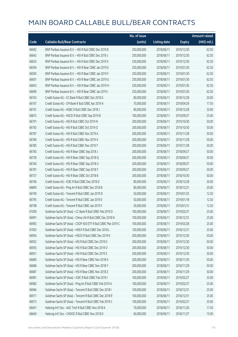|       |                                                               | No. of issue |                     |               | <b>Amount raised</b> |
|-------|---------------------------------------------------------------|--------------|---------------------|---------------|----------------------|
| Code  | <b>Callable Bull/Bear Contracts</b>                           | (units)      | <b>Listing date</b> | <b>Expiry</b> | (HK\$ mil.)          |
| 66692 | BNP Paribas Issuance B.V. - HSI R Bull CBBC Dec 2019 B        | 250,000,000  | 2018/06/11          | 2019/12/30    | 62.50                |
| 66642 | BNP Paribas Issuance B.V. - HSI R Bull CBBC Dec 2019 J        | 250,000,000  | 2018/06/11          | 2019/12/30    | 62.50                |
| 66653 | BNP Paribas Issuance B.V. - HSI R Bull CBBC Dec 2019 X        | 250,000,000  | 2018/06/11          | 2019/12/30    | 62.50                |
| 66594 | BNP Paribas Issuance B.V. - HSI R Bear CBBC Jan 2019 E        | 250,000,000  | 2018/06/11          | 2019/01/30    | 62.50                |
| 66595 | BNP Paribas Issuance B.V. - HSI R Bear CBBC Jan 2019 F        | 250,000,000  | 2018/06/11          | 2019/01/30    | 62.50                |
| 66601 | BNP Paribas Issuance B.V. - HSI R Bear CBBC Jan 2019 G        | 250,000,000  | 2018/06/11          | 2019/01/30    | 62.50                |
| 66603 | BNP Paribas Issuance B.V. - HSI R Bear CBBC Jan 2019 H        | 250,000,000  | 2018/06/11          | 2019/01/30    | 62.50                |
| 66690 | BNP Paribas Issuance B.V. - HSI R Bear CBBC Jan 2019 I        | 250,000,000  | 2018/06/11          | 2019/01/30    | 62.50                |
| 66763 | Credit Suisse AG - CC Bank R Bull CBBC Dec 2018 G             | 80,000,000   | 2018/06/11          | 2018/12/28    | 20.00                |
| 66767 | Credit Suisse AG - CM Bank R Bull CBBC Apr 2019 A             | 70,000,000   | 2018/06/11          | 2019/04/29    | 17.50                |
| 66761 | Credit Suisse AG - HSBC R Bull CBBC Dec 2018 J                | 80,000,000   | 2018/06/11          | 2018/12/28    | 20.00                |
| 66815 | Credit Suisse AG - HSCEI R Bull CBBC Sep 2019 B               | 100,000,000  | 2018/06/11          | 2019/09/27    | 25.00                |
| 66791 | Credit Suisse AG - HSI R Bull CBBC Oct 2019 N                 | 200,000,000  | 2018/06/11          | 2019/10/30    | 50.00                |
| 66792 | Credit Suisse AG - HSI R Bull CBBC Oct 2019 O                 | 200,000,000  | 2018/06/11          | 2019/10/30    | 50.00                |
| 66787 | Credit Suisse AG - HSI R Bull CBBC Nov 2019 A                 | 200,000,000  | 2018/06/11          | 2019/11/28    | 50.00                |
| 66784 | Credit Suisse AG - HSI R Bull CBBC Nov 2019 X                 | 200,000,000  | 2018/06/11          | 2019/11/28    | 50.00                |
| 66785 | Credit Suisse AG - HSI R Bull CBBC Nov 2019 Y                 | 200,000,000  | 2018/06/11          | 2019/11/28    | 50.00                |
| 66783 | Credit Suisse AG - HSI R Bear CBBC Sep 2018 J                 | 200,000,000  | 2018/06/11          | 2018/09/27    | 50.00                |
| 66759 | Credit Suisse AG - HSI R Bear CBBC Sep 2018 Q                 | 200,000,000  | 2018/06/11          | 2018/09/27    | 50.00                |
| 66760 | Credit Suisse AG - HSI R Bear CBBC Sep 2018 U                 | 200,000,000  | 2018/06/11          | 2018/09/27    | 50.00                |
| 66781 | Credit Suisse AG - HSI R Bear CBBC Sep 2018 Y                 | 200,000,000  | 2018/06/11          | 2018/09/27    | 50.00                |
| 66757 | Credit Suisse AG - HSI R Bear CBBC Oct 2018 B                 | 200,000,000  | 2018/06/11          | 2018/10/30    | 50.00                |
| 66766 | Credit Suisse AG - ICBC R Bull CBBC Dec 2018 D                | 80,000,000   | 2018/06/11          | 2018/12/28    | 20.00                |
| 66809 | Credit Suisse AG - Ping An R Bull CBBC Dec 2018 B             | 80,000,000   | 2018/06/11          | 2018/12/21    | 20.00                |
| 66769 | Credit Suisse AG - Tencent R Bull CBBC Jan 2019 D             | 50,000,000   | 2018/06/11          | 2019/01/25    | 12.50                |
| 66795 | Credit Suisse AG - Tencent R Bull CBBC Jan 2019 E             | 50,000,000   | 2018/06/11          | 2019/01/18    | 12.50                |
| 66798 | Credit Suisse AG - Tencent R Bull CBBC Jan 2019 F             | 50,000,000   | 2018/06/11          | 2019/01/31    | 12.50                |
| 67009 | Goldman Sachs SP (Asia) - CC Bank R Bull CBBC Feb 2019 D      | 100,000,000  | 2018/06/11          | 2019/02/27    | 25.00                |
| 66991 | Goldman Sachs SP (Asia) - China Life R Bull CBBC Dec 2018 N   | 100,000,000  | 2018/06/11          | 2018/12/31    | 25.00                |
| 66992 | Goldman Sachs SP (Asia) - CSOP A50 ETF R Bull CBBC Mar 2019 C | 100,000,000  | 2018/06/11          | 2019/03/28    | 25.00                |
| 67003 | Goldman Sachs SP (Asia) - HKEX R Bull CBBC Dec 2018 L         | 100,000,000  | 2018/06/11          | 2018/12/31    | 25.00                |
| 66956 | Goldman Sachs SP (Asia) - HSCEI R Bull CBBC Dec 2019 K        | 200,000,000  | 2018/06/11          | 2019/12/30    | 50.00                |
| 66952 | Goldman Sachs SP (Asia) - HSI R Bull CBBC Dec 2019 G          | 200,000,000  | 2018/06/11          | 2019/12/30    | 50.00                |
| 66955 | Goldman Sachs SP (Asia) - HSI R Bull CBBC Dec 2019 O          | 200,000,000  | 2018/06/11          | 2019/12/30    | 50.00                |
| 66951 | Goldman Sachs SP (Asia) - HSI R Bull CBBC Dec 2019 Z          | 200,000,000  | 2018/06/11          | 2019/12/30    | 50.00                |
| 66685 | Goldman Sachs SP (Asia) - HSI R Bear CBBC Nov 2018 X          | 200,000,000  | 2018/06/11          | 2018/11/29    | 50.00                |
| 66686 | Goldman Sachs SP (Asia) - HSI R Bear CBBC Nov 2018 Y          | 200,000,000  | 2018/06/11          | 2018/11/29    | 50.00                |
| 66687 | Goldman Sachs SP (Asia) - HSI R Bear CBBC Nov 2018 Z          | 200,000,000  | 2018/06/11          | 2018/11/29    | 50.00                |
| 66981 | Goldman Sachs SP (Asia) - ICBC R Bull CBBC Feb 2019 I         | 100,000,000  | 2018/06/11          | 2019/02/27    | 25.00                |
| 66982 | Goldman Sachs SP (Asia) - Ping An R Bull CBBC Feb 2019 A      | 100,000,000  | 2018/06/11          | 2019/02/27    | 25.00                |
| 66966 | Goldman Sachs SP (Asia) - Tencent R Bull CBBC Dec 2018 I      | 100,000,000  | 2018/06/11          | 2018/12/31    | 25.00                |
| 66971 | Goldman Sachs SP (Asia) - Tencent R Bull CBBC Dec 2018 R      | 100,000,000  | 2018/06/11          | 2018/12/31    | 25.00                |
| 66973 | Goldman Sachs SP (Asia) - Tencent R Bull CBBC Feb 2019 C      | 100,000,000  | 2018/06/11          | 2019/02/27    | 25.00                |
| 66641 | Haitong Int'l Sec - AAC Tech R Bull CBBC Nov 2018 A           | 70,000,000   | 2018/06/11          | 2018/11/26    | 17.50                |
| 66640 | Haitong Int'l Sec - CNOOC R Bull CBBC Nov 2018 D              | 60,000,000   | 2018/06/11          | 2018/11/27    | 15.00                |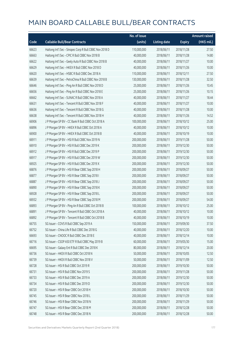|       |                                                         | No. of issue |                     |               | <b>Amount raised</b> |
|-------|---------------------------------------------------------|--------------|---------------------|---------------|----------------------|
| Code  | <b>Callable Bull/Bear Contracts</b>                     | (units)      | <b>Listing date</b> | <b>Expiry</b> | (HK\$ mil.)          |
| 66623 | Haitong Int'l Sec - Sinopec Corp R Bull CBBC Nov 2018 D | 110,000,000  | 2018/06/11          | 2018/11/28    | 27.50                |
| 66663 | Haitong Int'l Sec - CPIC R Bull CBBC Nov 2018 B         | 40,000,000   | 2018/06/11          | 2018/11/28    | 14.80                |
| 66622 | Haitong Int'l Sec - Geely Auto R Bull CBBC Nov 2018 B   | 40,000,000   | 2018/06/11          | 2018/11/27    | 10.00                |
| 66629 | Haitong Int'l Sec - HKEX R Bull CBBC Nov 2018 D         | 40,000,000   | 2018/06/11          | 2018/11/26    | 10.00                |
| 66620 | Haitong Int'l Sec - HSBC R Bull CBBC Dec 2018 A         | 110,000,000  | 2018/06/11          | 2018/12/11    | 27.50                |
| 66639 | Haitong Int'l Sec - PetroChina R Bull CBBC Nov 2018 B   | 130,000,000  | 2018/06/11          | 2018/11/28    | 32.50                |
| 66646 | Haitong Int'l Sec - Ping An R Bull CBBC Nov 2018 D      | 25,000,000   | 2018/06/11          | 2018/11/26    | 10.45                |
| 66656 | Haitong Int'l Sec - Ping An R Bull CBBC Nov 2018 E      | 25,000,000   | 2018/06/11          | 2018/11/26    | 10.15                |
| 66662 | Haitong Int'l Sec - SUNAC R Bull CBBC Nov 2018 A        | 40,000,000   | 2018/06/11          | 2018/11/27    | 18.44                |
| 66631 | Haitong Int'l Sec - Tencent R Bull CBBC Nov 2018 F      | 40,000,000   | 2018/06/11          | 2018/11/27    | 10.00                |
| 66636 | Haitong Int'l Sec - Tencent R Bull CBBC Nov 2018 G      | 40,000,000   | 2018/06/11          | 2018/11/28    | 10.00                |
| 66638 | Haitong Int'l Sec - Tencent R Bull CBBC Nov 2018 H      | 40,000,000   | 2018/06/11          | 2018/11/26    | 14.52                |
| 66906 | J P Morgan SP BV - CC Bank R Bull CBBC Oct 2018 A       | 100,000,000  | 2018/06/11          | 2018/10/12    | 25.00                |
| 66896 | J P Morgan SP BV - HKEX R Bull CBBC Oct 2018 A          | 40,000,000   | 2018/06/11          | 2018/10/12    | 10.00                |
| 66900 | J P Morgan SP BV - HKEX R Bull CBBC Oct 2018 B          | 40,000,000   | 2018/06/11          | 2018/10/19    | 10.00                |
| 66911 | J P Morgan SP BV - HSI R Bull CBBC Nov 2019 N           | 200,000,000  | 2018/06/11          | 2019/11/28    | 50.00                |
| 66910 | J P Morgan SP BV - HSI R Bull CBBC Dec 2019 K           | 200,000,000  | 2018/06/11          | 2019/12/30    | 50.00                |
| 66912 | J P Morgan SP BV - HSI R Bull CBBC Dec 2019 P           | 200,000,000  | 2018/06/11          | 2019/12/30    | 50.00                |
| 66917 | J P Morgan SP BV - HSI R Bull CBBC Dec 2019 W           | 200,000,000  | 2018/06/11          | 2019/12/30    | 50.00                |
| 66925 | J P Morgan SP BV - HSI R Bull CBBC Dec 2019 X           | 200,000,000  | 2018/06/11          | 2019/12/30    | 50.00                |
| 66876 | J P Morgan SP BV - HSI R Bear CBBC Sep 2018 H           | 200,000,000  | 2018/06/11          | 2018/09/27    | 50.00                |
| 66877 | J P Morgan SP BV - HSI R Bear CBBC Sep 2018 I           | 200,000,000  | 2018/06/11          | 2018/09/27    | 50.00                |
| 66887 | J P Morgan SP BV - HSI R Bear CBBC Sep 2018 J           | 200,000,000  | 2018/06/11          | 2018/09/27    | 50.00                |
| 66890 | J P Morgan SP BV - HSI R Bear CBBC Sep 2018 K           | 200,000,000  | 2018/06/11          | 2018/09/27    | 50.00                |
| 66928 | J P Morgan SP BV - HSI R Bear CBBC Sep 2018 L           | 200,000,000  | 2018/06/11          | 2018/09/27    | 50.00                |
| 66932 | J P Morgan SP BV - HSI R Bear CBBC Sep 2018 M           | 200,000,000  | 2018/06/11          | 2018/09/27    | 54.00                |
| 66893 | J P Morgan SP BV - Ping An R Bull CBBC Oct 2018 B       | 100,000,000  | 2018/06/11          | 2018/10/12    | 25.00                |
| 66891 | J P Morgan SP BV - Tencent R Bull CBBC Oct 2018 A       | 40,000,000   | 2018/06/11          | 2018/10/12    | 10.00                |
| 66892 | J P Morgan SP BV - Tencent R Bull CBBC Oct 2018 B       | 40,000,000   | 2018/06/11          | 2018/10/19    | 10.00                |
| 66755 | SG Issuer - COVS R Bull CBBC Sep 2019 A                 | 150,000,000  | 2018/06/11          | 2019/09/30    | 37.50                |
| 66752 | SG Issuer - China Life R Bull CBBC Dec 2018 G           | 40,000,000   | 2018/06/11          | 2018/12/20    | 10.00                |
| 66693 | SG Issuer - CNOOC R Bull CBBC Dec 2018 E                | 40,000,000   | 2018/06/11          | 2018/12/14    | 10.00                |
| 66716 | SG Issuer - CSOP A50 ETF R Bull CBBC May 2019 B         | 60,000,000   | 2018/06/11          | 2019/05/30    | 15.00                |
| 66695 | SG Issuer - Galaxy Ent R Bull CBBC Dec 2018 K           | 80,000,000   | 2018/06/11          | 2018/12/14    | 20.00                |
| 66736 | SG Issuer - HKEX R Bull CBBC Oct 2018 N                 | 50,000,000   | 2018/06/11          | 2018/10/05    | 12.50                |
| 66739 | SG Issuer - HKEX R Bull CBBC Nov 2018 V                 | 50,000,000   | 2018/06/11          | 2018/11/09    | 12.50                |
| 66728 | SG Issuer - HSI R Bull CBBC Oct 2019 R                  | 200,000,000  | 2018/06/11          | 2019/10/30    | 50.00                |
| 66731 | SG Issuer - HSI R Bull CBBC Nov 2019 S                  | 200,000,000  | 2018/06/11          | 2019/11/28    | 50.00                |
| 66733 | SG Issuer - HSI R Bull CBBC Dec 2019 A                  | 200,000,000  | 2018/06/11          | 2019/12/30    | 50.00                |
| 66734 | SG Issuer - HSI R Bull CBBC Dec 2019 D                  | 200,000,000  | 2018/06/11          | 2019/12/30    | 50.00                |
| 66720 | SG Issuer - HSI R Bear CBBC Oct 2018 H                  | 200,000,000  | 2018/06/11          | 2018/10/30    | 50.00                |
| 66745 | SG Issuer - HSI R Bear CBBC Nov 2018 L                  | 200,000,000  | 2018/06/11          | 2018/11/29    | 50.00                |
| 66746 | SG Issuer - HSI R Bear CBBC Nov 2018 N                  | 200,000,000  | 2018/06/11          | 2018/11/29    | 50.00                |
| 66747 | SG Issuer - HSI R Bear CBBC Dec 2018 M                  | 200,000,000  | 2018/06/11          | 2018/12/28    | 50.00                |
| 66748 | SG Issuer - HSI R Bear CBBC Dec 2018 N                  | 200,000,000  | 2018/06/11          | 2018/12/28    | 50.00                |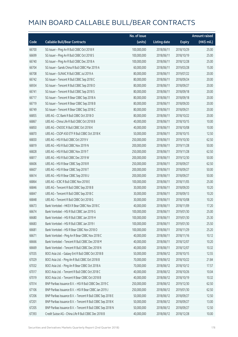|       |                                                            | No. of issue |                     |               | <b>Amount raised</b>  |
|-------|------------------------------------------------------------|--------------|---------------------|---------------|-----------------------|
| Code  | <b>Callable Bull/Bear Contracts</b>                        | (units)      | <b>Listing date</b> | <b>Expiry</b> | $(HK\frac{1}{2}mil.)$ |
| 66700 | SG Issuer - Ping An R Bull CBBC Oct 2018 R                 | 100,000,000  | 2018/06/11          | 2018/10/29    | 25.00                 |
| 66699 | SG Issuer - Ping An R Bull CBBC Oct 2018 S                 | 100,000,000  | 2018/06/11          | 2018/10/19    | 25.00                 |
| 66740 | SG Issuer - Ping An R Bull CBBC Dec 2018 A                 | 100,000,000  | 2018/06/11          | 2018/12/28    | 25.00                 |
| 66704 | SG Issuer - Sands China R Bull CBBC Mar 2019 A             | 60,000,000   | 2018/06/11          | 2019/03/28    | 15.00                 |
| 66708 | SG Issuer - SUNAC R Bull CBBC Jul 2019 A                   | 80,000,000   | 2018/06/11          | 2019/07/22    | 20.00                 |
| 66742 | SG Issuer - Tencent R Bull CBBC Sep 2018 C                 | 80,000,000   | 2018/06/11          | 2018/09/24    | 20.00                 |
| 66934 | SG Issuer - Tencent R Bull CBBC Sep 2018 O                 | 80,000,000   | 2018/06/11          | 2018/09/27    | 20.00                 |
| 66741 | SG Issuer - Tencent R Bull CBBC Sep 2018 S                 | 80,000,000   | 2018/06/11          | 2018/09/18    | 20.00                 |
| 66717 | SG Issuer - Tencent R Bear CBBC Sep 2018 A                 | 80,000,000   | 2018/06/11          | 2018/09/18    | 20.00                 |
| 66719 | SG Issuer - Tencent R Bear CBBC Sep 2018 B                 | 80,000,000   | 2018/06/11          | 2018/09/20    | 20.00                 |
| 66749 | SG Issuer - Tencent R Bear CBBC Sep 2018 C                 | 80,000,000   | 2018/06/11          | 2018/09/21    | 20.00                 |
| 66855 | UBS AG - CC Bank R Bull CBBC Oct 2018 O                    | 80,000,000   | 2018/06/11          | 2018/10/22    | 20.00                 |
| 66867 | UBS AG - China Life R Bull CBBC Oct 2018 B                 | 40,000,000   | 2018/06/11          | 2018/10/15    | 10.00                 |
| 66850 | UBS AG - CNOOC R Bull CBBC Oct 2018 K                      | 40,000,000   | 2018/06/11          | 2018/10/08    | 10.00                 |
| 66870 | UBS AG - CSOP A50 ETF R Bull CBBC Oct 2018 K               | 50,000,000   | 2018/06/11          | 2018/10/15    | 12.50                 |
| 66830 | UBS AG - HSI R Bull CBBC Oct 2019 V                        | 250,000,000  | 2018/06/11          | 2019/10/30    | 62.50                 |
| 66819 | UBS AG - HSI R Bull CBBC Nov 2019 N                        | 200,000,000  | 2018/06/11          | 2019/11/28    | 50.00                 |
| 66828 | UBS AG - HSI R Bull CBBC Nov 2019 T                        | 250,000,000  | 2018/06/11          | 2019/11/28    | 62.50                 |
| 66817 | UBS AG - HSI R Bull CBBC Dec 2019 W                        | 200,000,000  | 2018/06/11          | 2019/12/30    | 50.00                 |
| 66606 | UBS AG - HSI R Bear CBBC Sep 2018 R                        | 250,000,000  | 2018/06/11          | 2018/09/27    | 62.50                 |
| 66607 | UBS AG - HSI R Bear CBBC Sep 2018 T                        | 200,000,000  | 2018/06/11          | 2018/09/27    | 50.00                 |
| 66614 | UBS AG - HSI R Bear CBBC Sep 2018 U                        | 200,000,000  | 2018/06/11          | 2018/09/27    | 50.00                 |
| 66864 | UBS AG - ICBC R Bull CBBC Nov 2018 E                       | 100,000,000  | 2018/06/11          | 2018/11/05    | 25.00                 |
| 66846 | UBS AG - Tencent R Bull CBBC Sep 2018 B                    | 30,000,000   | 2018/06/11          | 2018/09/20    | 10.20                 |
| 66847 | UBS AG - Tencent R Bull CBBC Sep 2018 C                    | 30,000,000   | 2018/06/11          | 2018/09/13    | 10.20                 |
| 66848 | UBS AG - Tencent R Bull CBBC Oct 2018 G                    | 30,000,000   | 2018/06/11          | 2018/10/08    | 10.20                 |
| 66673 | Bank Vontobel - HKEX R Bear CBBC Nov 2018 C                | 40,000,000   | 2018/06/11          | 2018/11/09    | 17.20                 |
| 66674 | Bank Vontobel - HSI R Bull CBBC Jan 2019 G                 | 100,000,000  | 2018/06/11          | 2019/01/30    | 25.00                 |
| 66680 | Bank Vontobel - HSI R Bull CBBC Jan 2019 H                 | 100,000,000  | 2018/06/11          | 2019/01/30    | 25.30                 |
| 66683 | Bank Vontobel - HSI R Bull CBBC Jan 2019 I                 | 100,000,000  | 2018/06/11          | 2019/01/30    | 25.50                 |
| 66681 | Bank Vontobel - HSI R Bear CBBC Nov 2018 O                 | 100,000,000  | 2018/06/11          | 2018/11/29    | 25.20                 |
| 66671 | Bank Vontobel - Ping An R Bear CBBC Nov 2018 C             | 40,000,000   | 2018/06/11          | 2018/11/16    | 10.12                 |
| 66666 | Bank Vontobel - Tencent R Bull CBBC Dec 2018 M             | 40,000,000   | 2018/06/11          | 2018/12/07    | 10.20                 |
| 66669 | Bank Vontobel - Tencent R Bull CBBC Dec 2018 N             | 40,000,000   | 2018/06/11          | 2018/12/07    | 10.32                 |
| 67035 | BOCI Asia Ltd. - Galaxy Ent R Bull CBBC Oct 2018 B         | 50,000,000   | 2018/06/12          | 2018/10/15    | 12.55                 |
| 67029 | BOCI Asia Ltd. - Ping An R Bull CBBC Oct 2018 B            | 70,000,000   | 2018/06/12          | 2018/10/22    | 21.84                 |
| 67032 | BOCI Asia Ltd. - Ping An R Bear CBBC Oct 2018 A            | 70,000,000   | 2018/06/12          | 2018/10/12    | 17.57                 |
| 67017 | BOCI Asia Ltd. - Tencent R Bull CBBC Oct 2018 C            | 40,000,000   | 2018/06/12          | 2018/10/26    | 10.04                 |
| 67019 | BOCI Asia Ltd. - Tencent R Bear CBBC Oct 2018 B            | 40,000,000   | 2018/06/12          | 2018/10/19    | 10.32                 |
| 67014 | BNP Paribas Issuance B.V. - HSI R Bull CBBC Dec 2019 C     | 250,000,000  | 2018/06/12          | 2019/12/30    | 62.50                 |
| 67106 | BNP Paribas Issuance B.V. - HSI R Bear CBBC Jan 2019 J     | 250,000,000  | 2018/06/12          | 2019/01/30    | 62.50                 |
| 67206 | BNP Paribas Issuance B.V. - Tencent R Bull CBBC Sep 2018 E | 50,000,000   | 2018/06/12          | 2018/09/27    | 12.50                 |
| 67201 | BNP Paribas Issuance B.V. - Tencent R Bull CBBC Sep 2018 K | 50,000,000   | 2018/06/12          | 2018/09/27    | 13.00                 |
| 67205 | BNP Paribas Issuance B.V. - Tencent R Bull CBBC Sep 2018 N | 50,000,000   | 2018/06/12          | 2018/09/27    | 12.50                 |
| 67393 | Credit Suisse AG - China Life R Bull CBBC Dec 2018 B       | 40,000,000   | 2018/06/12          | 2018/12/28    | 10.00                 |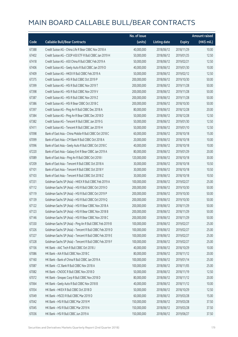|       |                                                          | No. of issue |                     |               | Amount raised |
|-------|----------------------------------------------------------|--------------|---------------------|---------------|---------------|
| Code  | <b>Callable Bull/Bear Contracts</b>                      | (units)      | <b>Listing date</b> | <b>Expiry</b> | $(HK\$ mil.)  |
| 67388 | Credit Suisse AG - China Life R Bear CBBC Nov 2018 A     | 40,000,000   | 2018/06/12          | 2018/11/29    | 10.00         |
| 67402 | Credit Suisse AG - CSOP A50 ETF R Bull CBBC Jan 2019 H   | 50,000,000   | 2018/06/12          | 2019/01/25    | 12.50         |
| 67418 | Credit Suisse AG - A50 China R Bull CBBC Feb 2019 A      | 50,000,000   | 2018/06/12          | 2019/02/21    | 12.50         |
| 67406 | Credit Suisse AG - Geely Auto R Bull CBBC Jan 2019 D     | 40,000,000   | 2018/06/12          | 2019/01/30    | 10.00         |
| 67409 | Credit Suisse AG - HKEX R Bull CBBC Feb 2019 A           | 50,000,000   | 2018/06/12          | 2019/02/12    | 12.50         |
| 67375 | Credit Suisse AG - HSI R Bull CBBC Oct 2019 P            | 200,000,000  | 2018/06/12          | 2019/10/30    | 50.00         |
| 67399 | Credit Suisse AG - HSI R Bull CBBC Nov 2019 T            | 200,000,000  | 2018/06/12          | 2019/11/28    | 50.00         |
| 67398 | Credit Suisse AG - HSI R Bull CBBC Nov 2019 V            | 200,000,000  | 2018/06/12          | 2019/11/28    | 50.00         |
| 67387 | Credit Suisse AG - HSI R Bull CBBC Nov 2019 Z            | 200,000,000  | 2018/06/12          | 2019/11/28    | 50.00         |
| 67386 | Credit Suisse AG - HSI R Bear CBBC Oct 2018 C            | 200,000,000  | 2018/06/12          | 2018/10/30    | 50.00         |
| 67397 | Credit Suisse AG - Ping An R Bull CBBC Dec 2018 A        | 80,000,000   | 2018/06/12          | 2018/12/28    | 20.00         |
| 67384 | Credit Suisse AG - Ping An R Bear CBBC Dec 2018 D        | 50,000,000   | 2018/06/12          | 2018/12/28    | 12.50         |
| 67382 | Credit Suisse AG - Tencent R Bull CBBC Jan 2019 G        | 50,000,000   | 2018/06/12          | 2019/01/30    | 12.50         |
| 67411 | Credit Suisse AG - Tencent R Bull CBBC Jan 2019 H        | 50,000,000   | 2018/06/12          | 2019/01/10    | 12.50         |
| 67098 | Bank of East Asia - China Mobile R Bull CBBC Oct 2018 C  | 60,000,000   | 2018/06/12          | 2018/10/18    | 15.00         |
| 67099 | Bank of East Asia - CM Bank R Bull CBBC Oct 2018 A       | 20,000,000   | 2018/06/12          | 2018/10/18    | 10.00         |
| 67096 | Bank of East Asia - Geely Auto R Bull CBBC Oct 2018 C    | 40,000,000   | 2018/06/12          | 2018/10/18    | 10.00         |
| 67220 | Bank of East Asia - Galaxy Ent R Bear CBBC Jan 2019 A    | 80,000,000   | 2018/06/12          | 2019/01/29    | 20.00         |
| 67089 | Bank of East Asia - Ping An R Bull CBBC Oct 2018 I       | 120,000,000  | 2018/06/12          | 2018/10/18    | 30.00         |
| 67209 | Bank of East Asia - Tencent R Bull CBBC Oct 2018 A       | 30,000,000   | 2018/06/12          | 2018/10/18    | 10.50         |
| 67101 | Bank of East Asia - Tencent R Bull CBBC Oct 2018 Y       | 30,000,000   | 2018/06/12          | 2018/10/18    | 10.50         |
| 67103 | Bank of East Asia - Tencent R Bull CBBC Oct 2018 Z       | 30,000,000   | 2018/06/12          | 2018/10/18    | 10.50         |
| 67331 | Goldman Sachs SP (Asia) - HKEX R Bull CBBC Feb 2019 A    | 100,000,000  | 2018/06/12          | 2019/02/27    | 25.00         |
| 67112 | Goldman Sachs SP (Asia) - HSI R Bull CBBC Oct 2019 O     | 200,000,000  | 2018/06/12          | 2019/10/30    | 50.00         |
| 67119 | Goldman Sachs SP (Asia) - HSI R Bull CBBC Oct 2019 P     | 200,000,000  | 2018/06/12          | 2019/10/30    | 50.00         |
| 67139 | Goldman Sachs SP (Asia) - HSI R Bull CBBC Oct 2019 Q     | 200,000,000  | 2018/06/12          | 2019/10/30    | 50.00         |
| 67122 | Goldman Sachs SP (Asia) - HSI R Bear CBBC Nov 2018 A     | 200,000,000  | 2018/06/12          | 2018/11/29    | 50.00         |
| 67123 | Goldman Sachs SP (Asia) - HSI R Bear CBBC Nov 2018 B     | 200,000,000  | 2018/06/12          | 2018/11/29    | 50.00         |
| 67146 | Goldman Sachs SP (Asia) - HSI R Bear CBBC Nov 2018 C     | 200,000,000  | 2018/06/12          | 2018/11/29    | 50.00         |
| 67330 | Goldman Sachs SP (Asia) - Ping An R Bull CBBC Feb 2019 B | 100,000,000  | 2018/06/12          | 2019/02/27    | 25.00         |
| 67326 | Goldman Sachs SP (Asia) - Tencent R Bull CBBC Feb 2019 D | 100,000,000  | 2018/06/12          | 2019/02/27    | 25.00         |
| 67327 | Goldman Sachs SP (Asia) - Tencent R Bull CBBC Feb 2019 E | 100,000,000  | 2018/06/12          | 2019/02/27    | 25.00         |
| 67328 | Goldman Sachs SP (Asia) - Tencent R Bull CBBC Feb 2019 F | 100,000,000  | 2018/06/12          | 2019/02/27    | 25.00         |
| 67156 | HK Bank - AAC Tech R Bull CBBC Oct 2018 J                | 40,000,000   | 2018/06/12          | 2018/10/29    | 10.00         |
| 67086 | HK Bank - AIA R Bull CBBC Nov 2018 C                     | 80,000,000   | 2018/06/12          | 2018/11/12    | 20.00         |
| 67160 | HK Bank - Bank of China R Bull CBBC Jan 2019 A           | 100,000,000  | 2018/06/12          | 2019/01/14    | 25.00         |
| 67087 | HK Bank - CC Bank R Bull CBBC Nov 2018 A                 | 100,000,000  | 2018/06/12          | 2018/11/05    | 25.00         |
| 67082 | HK Bank - CNOOC R Bull CBBC Nov 2018 D                   | 50,000,000   | 2018/06/12          | 2018/11/19    | 12.50         |
| 67072 | HK Bank - Sinopec Corp R Bull CBBC Nov 2018 D            | 80,000,000   | 2018/06/12          | 2018/11/12    | 20.00         |
| 67064 | HK Bank - Geely Auto R Bull CBBC Nov 2018 B              | 40,000,000   | 2018/06/12          | 2018/11/12    | 10.00         |
| 67054 | HK Bank - HKEX R Bull CBBC Oct 2018 D                    | 50,000,000   | 2018/06/12          | 2018/10/29    | 12.50         |
| 67049 | HK Bank - HSCEI R Bull CBBC Mar 2019 D                   | 60,000,000   | 2018/06/12          | 2019/03/28    | 15.00         |
| 67042 | HK Bank - HSI R Bull CBBC Mar 2019 M                     | 150,000,000  | 2018/06/12          | 2019/03/28    | 37.50         |
| 67045 | HK Bank - HSI R Bull CBBC Mar 2019 N                     | 150,000,000  | 2018/06/12          | 2019/03/28    | 37.50         |
| 67036 | HK Bank - HSI R Bull CBBC Jun 2019 A                     | 150,000,000  | 2018/06/12          | 2019/06/27    | 37.50         |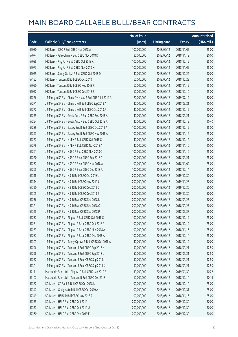|       |                                                          | No. of issue |                     |               | Amount raised         |
|-------|----------------------------------------------------------|--------------|---------------------|---------------|-----------------------|
| Code  | <b>Callable Bull/Bear Contracts</b>                      | (units)      | <b>Listing date</b> | <b>Expiry</b> | $(HK\frac{1}{2}mil.)$ |
| 67080 | HK Bank - ICBC R Bull CBBC Nov 2018 A                    | 100,000,000  | 2018/06/12          | 2018/11/05    | 25.00                 |
| 67074 | HK Bank - PetroChina R Bull CBBC Nov 2018 D              | 80,000,000   | 2018/06/12          | 2018/11/19    | 20.00                 |
| 67088 | HK Bank - Ping An R Bull CBBC Oct 2018 K                 | 100,000,000  | 2018/06/12          | 2018/10/15    | 25.00                 |
| 67073 | HK Bank - Ping An R Bull CBBC Nov 2018 M                 | 100,000,000  | 2018/06/12          | 2018/11/05    | 25.00                 |
| 67059 | HK Bank - Sunny Optical R Bull CBBC Oct 2018 D           | 40,000,000   | 2018/06/12          | 2018/10/22    | 10.00                 |
| 67152 | HK Bank - Tencent R Bull CBBC Oct 2018 I                 | 60,000,000   | 2018/06/12          | 2018/10/22    | 15.00                 |
| 67050 | HK Bank - Tencent R Bull CBBC Nov 2018 R                 | 60,000,000   | 2018/06/12          | 2018/11/19    | 15.00                 |
| 67052 | HK Bank - Tencent R Bull CBBC Dec 2018 B                 | 60,000,000   | 2018/06/12          | 2018/12/10    | 15.00                 |
| 67276 | J P Morgan SP BV - China Overseas R Bull CBBC Jul 2019 A | 120,000,000  | 2018/06/12          | 2019/07/19    | 30.00                 |
| 67271 | J P Morgan SP BV - China Life R Bull CBBC Sep 2018 A     | 40,000,000   | 2018/06/12          | 2018/09/21    | 10.00                 |
| 67272 | J P Morgan SP BV - China Life R Bull CBBC Oct 2018 A     | 40,000,000   | 2018/06/12          | 2018/10/19    | 10.00                 |
| 67259 | J P Morgan SP BV - Geely Auto R Bull CBBC Sep 2018 A     | 40,000,000   | 2018/06/12          | 2018/09/21    | 10.00                 |
| 67254 | J P Morgan SP BV - Geely Auto R Bull CBBC Oct 2018 A     | 40,000,000   | 2018/06/12          | 2018/10/19    | 10.40                 |
| 67289 | J P Morgan SP BV - Galaxy Ent R Bull CBBC Oct 2018 A     | 100,000,000  | 2018/06/12          | 2018/10/19    | 25.00                 |
| 67293 | J P Morgan SP BV - Galaxy Ent R Bull CBBC Nov 2018 A     | 100,000,000  | 2018/06/12          | 2018/11/16    | 25.00                 |
| 67277 | J P Morgan SP BV - HKEX R Bull CBBC Oct 2018 C           | 40,000,000   | 2018/06/12          | 2018/10/12    | 10.00                 |
| 67279 | J P Morgan SP BV - HKEX R Bull CBBC Nov 2018 A           | 40,000,000   | 2018/06/12          | 2018/11/16    | 10.00                 |
| 67261 | JP Morgan SP BV - HSBC R Bull CBBC Nov 2018 C            | 100,000,000  | 2018/06/12          | 2018/11/16    | 25.00                 |
| 67270 | J P Morgan SP BV - HSBC R Bear CBBC Sep 2018 A           | 100,000,000  | 2018/06/12          | 2018/09/21    | 25.00                 |
| 67267 | J P Morgan SP BV - HSBC R Bear CBBC Nov 2018 A           | 100,000,000  | 2018/06/12          | 2018/11/09    | 25.00                 |
| 67265 | J P Morgan SP BV - HSBC R Bear CBBC Dec 2018 A           | 100,000,000  | 2018/06/12          | 2018/12/14    | 25.00                 |
| 67318 | J P Morgan SP BV - HSI R Bull CBBC Oct 2019 U            | 200,000,000  | 2018/06/12          | 2019/10/30    | 50.00                 |
| 67314 | J P Morgan SP BV - HSI R Bull CBBC Nov 2019 J            | 200,000,000  | 2018/06/12          | 2019/11/28    | 50.00                 |
| 67320 | J P Morgan SP BV - HSI R Bull CBBC Dec 2019 C            | 200,000,000  | 2018/06/12          | 2019/12/30    | 50.00                 |
| 67305 | JP Morgan SP BV - HSIR Bull CBBC Dec 2019 Z              | 200,000,000  | 2018/06/12          | 2019/12/30    | 50.00                 |
| 67236 | J P Morgan SP BV - HSI R Bear CBBC Sep 2018 N            | 200,000,000  | 2018/06/12          | 2018/09/27    | 50.00                 |
| 67321 | J P Morgan SP BV - HSI R Bear CBBC Sep 2018 O            | 200,000,000  | 2018/06/12          | 2018/09/27    | 50.00                 |
| 67325 | J P Morgan SP BV - HSI R Bear CBBC Sep 2018 P            | 200,000,000  | 2018/06/12          | 2018/09/27    | 50.00                 |
| 67237 | J P Morgan SP BV - Ping An R Bull CBBC Oct 2018 C        | 100,000,000  | 2018/06/12          | 2018/10/19    | 25.00                 |
| 67281 | J P Morgan SP BV - Ping An R Bear CBBC Oct 2018 A        | 100,000,000  | 2018/06/12          | 2018/10/19    | 25.00                 |
| 67283 | J P Morgan SP BV - Ping An R Bear CBBC Nov 2018 A        | 100,000,000  | 2018/06/12          | 2018/11/16    | 25.00                 |
| 67287 | J P Morgan SP BV - Ping An R Bear CBBC Dec 2018 A        | 100,000,000  | 2018/06/12          | 2018/12/14    | 25.00                 |
| 67303 | J P Morgan SP BV - Sunny Optical R Bull CBBC Oct 2018 A  | 40,000,000   | 2018/06/12          | 2018/10/19    | 10.00                 |
| 67296 | J P Morgan SP BV - Tencent R Bull CBBC Sep 2018 K        | 50,000,000   | 2018/06/12          | 2018/09/21    | 12.50                 |
| 67298 | J P Morgan SP BV - Tencent R Bull CBBC Sep 2018 L        | 50,000,000   | 2018/06/12          | 2018/09/21    | 12.50                 |
| 67252 | J P Morgan SP BV - Tencent R Bear CBBC Sep 2018 J        | 50,000,000   | 2018/06/12          | 2018/09/21    | 12.50                 |
| 67301 | J P Morgan SP BV - Tencent R Bear CBBC Sep 2018 K        | 50,000,000   | 2018/06/12          | 2018/09/21    | 12.50                 |
| 67111 | Macquarie Bank Ltd. - Ping An R Bull CBBC Jan 2019 B     | 39,000,000   | 2018/06/12          | 2019/01/30    | 10.22                 |
| 67107 | Macquarie Bank Ltd. - Tencent R Bull CBBC Dec 2018 I     | 12,000,000   | 2018/06/12          | 2018/12/14    | 10.16                 |
| 67362 | SG Issuer - CC Bank R Bull CBBC Oct 2018 N               | 100,000,000  | 2018/06/12          | 2018/10/10    | 25.00                 |
| 67347 | SG Issuer - Geely Auto R Bull CBBC Oct 2019 A            | 100,000,000  | 2018/06/12          | 2019/10/31    | 25.00                 |
| 67349 | SG Issuer - HSBC R Bull CBBC Nov 2018 Z                  | 100,000,000  | 2018/06/12          | 2018/11/16    | 25.00                 |
| 67355 | SG Issuer - HSI R Bull CBBC Oct 2019 I                   | 200,000,000  | 2018/06/12          | 2019/10/30    | 50.00                 |
| 67357 | SG Issuer - HSI R Bull CBBC Oct 2019 U                   | 200,000,000  | 2018/06/12          | 2019/10/30    | 50.00                 |
| 67360 | SG Issuer - HSI R Bull CBBC Dec 2019 E                   | 200,000,000  | 2018/06/12          | 2019/12/30    | 50.00                 |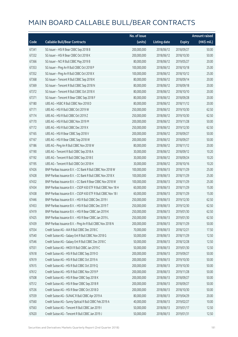|       |                                                               | No. of issue |                     |               | <b>Amount raised</b> |
|-------|---------------------------------------------------------------|--------------|---------------------|---------------|----------------------|
| Code  | <b>Callable Bull/Bear Contracts</b>                           | (units)      | <b>Listing date</b> | <b>Expiry</b> | (HK\$ mil.)          |
| 67341 | SG Issuer - HSI R Bear CBBC Sep 2018 B                        | 200,000,000  | 2018/06/12          | 2018/09/27    | 50.00                |
| 67332 | SG Issuer - HSI R Bear CBBC Oct 2018 K                        | 200,000,000  | 2018/06/12          | 2018/10/30    | 50.00                |
| 67366 | SG Issuer - NCI R Bull CBBC May 2019 B                        | 80,000,000   | 2018/06/12          | 2019/05/27    | 20.00                |
| 67353 | SG Issuer - Ping An R Bull CBBC Oct 2018 P                    | 100,000,000  | 2018/06/12          | 2018/10/18    | 25.00                |
| 67352 | SG Issuer - Ping An R Bull CBBC Oct 2018 X                    | 100,000,000  | 2018/06/12          | 2018/10/12    | 25.00                |
| 67368 | SG Issuer - Tencent R Bull CBBC Sep 2018 K                    | 80,000,000   | 2018/06/12          | 2018/09/14    | 20.00                |
| 67369 | SG Issuer - Tencent R Bull CBBC Sep 2018 N                    | 80,000,000   | 2018/06/12          | 2018/09/18    | 20.00                |
| 67372 | SG Issuer - Tencent R Bull CBBC Oct 2018 X                    | 80,000,000   | 2018/06/12          | 2018/10/10    | 20.00                |
| 67371 | SG Issuer - Tencent R Bear CBBC Sep 2018 F                    | 80,000,000   | 2018/06/12          | 2018/09/28    | 20.00                |
| 67180 | UBS AG - HSBC R Bull CBBC Nov 2018 D                          | 80,000,000   | 2018/06/12          | 2018/11/12    | 20.00                |
| 67171 | UBS AG - HSI R Bull CBBC Oct 2019 W                           | 250,000,000  | 2018/06/12          | 2019/10/30    | 62.50                |
| 67174 | UBS AG - HSI R Bull CBBC Oct 2019 Z                           | 250,000,000  | 2018/06/12          | 2019/10/30    | 62.50                |
| 67170 | UBS AG - HSI R Bull CBBC Nov 2019 M                           | 200,000,000  | 2018/06/12          | 2019/11/28    | 50.00                |
| 67172 | UBS AG - HSI R Bull CBBC Dec 2019 X                           | 250,000,000  | 2018/06/12          | 2019/12/30    | 62.50                |
| 67165 | UBS AG - HSI R Bear CBBC Sep 2018 V                           | 200,000,000  | 2018/06/12          | 2018/09/27    | 50.00                |
| 67167 | UBS AG - HSI R Bear CBBC Sep 2018 W                           | 200,000,000  | 2018/06/12          | 2018/09/27    | 50.00                |
| 67186 | UBS AG - Ping An R Bull CBBC Nov 2018 W                       | 80,000,000   | 2018/06/12          | 2018/11/12    | 20.00                |
| 67190 | UBS AG - Tencent R Bull CBBC Sep 2018 A                       | 30,000,000   | 2018/06/12          | 2018/09/12    | 10.20                |
| 67192 | UBS AG - Tencent R Bull CBBC Sep 2018 E                       | 30,000,000   | 2018/06/12          | 2018/09/24    | 10.20                |
| 67195 | UBS AG - Tencent R Bull CBBC Oct 2018 H                       | 30,000,000   | 2018/06/12          | 2018/10/16    | 10.20                |
| 67426 | BNP Paribas Issuance B.V. - CC Bank R Bull CBBC Nov 2018 W    | 100,000,000  | 2018/06/13          | 2018/11/29    | 25.00                |
| 67428 | BNP Paribas Issuance B.V. - CC Bank R Bull CBBC Nov 2018 X    | 100,000,000  | 2018/06/13          | 2018/11/29    | 25.00                |
| 67432 | BNP Paribas Issuance B.V. - CC Bank R Bear CBBC Nov 2018 W    | 100,000,000  | 2018/06/13          | 2018/11/29    | 25.00                |
| 67434 | BNP Paribas Issuance B.V. - CSOP A50 ETF R Bull CBBC Nov 18 H | 60,000,000   | 2018/06/13          | 2018/11/29    | 15.00                |
| 67438 | BNP Paribas Issuance B.V. - CSOP A50 ETF R Bull CBBC Nov 18 I | 60,000,000   | 2018/06/13          | 2018/11/29    | 15.00                |
| 67446 | BNP Paribas Issuance B.V. - HSI R Bull CBBC Dec 2019 I        | 250,000,000  | 2018/06/13          | 2019/12/30    | 62.50                |
| 67453 | BNP Paribas Issuance B.V. - HSI R Bull CBBC Dec 2019 T        | 250,000,000  | 2018/06/13          | 2019/12/30    | 62.50                |
| 67419 | BNP Paribas Issuance B.V. - HSI R Bear CBBC Jan 2019 K        | 250,000,000  | 2018/06/13          | 2019/01/30    | 62.50                |
| 67425 | BNP Paribas Issuance B.V. - HSI R Bear CBBC Jan 2019 L        | 250,000,000  | 2018/06/13          | 2019/01/30    | 62.50                |
| 67439 | BNP Paribas Issuance B.V. - Ping An R Bull CBBC Nov 2018 N    | 200,000,000  | 2018/06/13          | 2018/11/29    | 50.00                |
| 67554 | Credit Suisse AG - AIA R Bull CBBC Dec 2018 C                 | 70,000,000   | 2018/06/13          | 2018/12/21    | 17.50                |
| 67540 | Credit Suisse AG - Galaxy Ent R Bull CBBC Nov 2018 G          | 50,000,000   | 2018/06/13          | 2018/11/29    | 12.50                |
| 67546 | Credit Suisse AG - Galaxy Ent R Bull CBBC Dec 2018 C          | 50,000,000   | 2018/06/13          | 2018/12/28    | 12.50                |
| 67551 | Credit Suisse AG - HKEX R Bull CBBC Jan 2019 C                | 50,000,000   | 2018/06/13          | 2019/01/30    | 12.50                |
| 67618 | Credit Suisse AG - HSI R Bull CBBC Sep 2019 O                 | 200,000,000  | 2018/06/13          | 2019/09/27    | 50.00                |
| 67619 | Credit Suisse AG - HSI R Bull CBBC Oct 2019 A                 | 200,000,000  | 2018/06/13          | 2019/10/30    | 50.00                |
| 67615 | Credit Suisse AG - HSI R Bull CBBC Oct 2019 Q                 | 200,000,000  | 2018/06/13          | 2019/10/30    | 50.00                |
| 67612 | Credit Suisse AG - HSI R Bull CBBC Nov 2019 P                 | 200,000,000  | 2018/06/13          | 2019/11/28    | 50.00                |
| 67508 | Credit Suisse AG - HSI R Bear CBBC Sep 2018 K                 | 200,000,000  | 2018/06/13          | 2018/09/27    | 50.00                |
| 67512 | Credit Suisse AG - HSI R Bear CBBC Sep 2018 R                 | 200,000,000  | 2018/06/13          | 2018/09/27    | 50.00                |
| 67536 | Credit Suisse AG - HSI R Bear CBBC Oct 2018 D                 | 200,000,000  | 2018/06/13          | 2018/10/30    | 50.00                |
| 67559 | Credit Suisse AG - SUNAC R Bull CBBC Apr 2019 A               | 80,000,000   | 2018/06/13          | 2019/04/29    | 20.00                |
| 67560 | Credit Suisse AG - Sunny Optical R Bull CBBC Feb 2019 A       | 40,000,000   | 2018/06/13          | 2019/02/27    | 10.00                |
| 67563 | Credit Suisse AG - Tencent R Bull CBBC Jan 2019 I             | 50,000,000   | 2018/06/13          | 2019/01/17    | 12.50                |
| 67620 | Credit Suisse AG - Tencent R Bull CBBC Jan 2019 J             | 50,000,000   | 2018/06/13          | 2019/01/31    | 12.50                |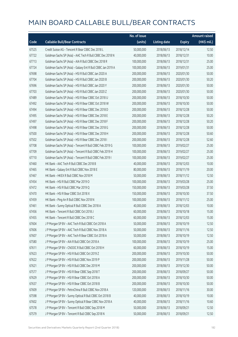|       |                                                             | No. of issue |                     |               | <b>Amount raised</b>  |
|-------|-------------------------------------------------------------|--------------|---------------------|---------------|-----------------------|
| Code  | <b>Callable Bull/Bear Contracts</b>                         | (units)      | <b>Listing date</b> | <b>Expiry</b> | $(HK\frac{1}{2}mil.)$ |
| 67525 | Credit Suisse AG - Tencent R Bear CBBC Dec 2018 L           | 50,000,000   | 2018/06/13          | 2018/12/14    | 12.50                 |
| 67722 | Goldman Sachs SP (Asia) - AAC Tech R Bull CBBC Dec 2018 N   | 40,000,000   | 2018/06/13          | 2018/12/31    | 10.00                 |
| 67713 | Goldman Sachs SP (Asia) - AIA R Bull CBBC Dec 2018 R        | 100,000,000  | 2018/06/13          | 2018/12/31    | 25.00                 |
| 67724 | Goldman Sachs SP (Asia) - Galaxy Ent R Bull CBBC Jan 2019 A | 100,000,000  | 2018/06/13          | 2019/01/31    | 25.00                 |
| 67698 | Goldman Sachs SP (Asia) - HSI R Bull CBBC Jan 2020 A        | 200,000,000  | 2018/06/13          | 2020/01/30    | 50.00                 |
| 67704 | Goldman Sachs SP (Asia) - HSI R Bull CBBC Jan 2020 B        | 200,000,000  | 2018/06/13          | 2020/01/30    | 50.20                 |
| 67696 | Goldman Sachs SP (Asia) - HSI R Bull CBBC Jan 2020 Y        | 200,000,000  | 2018/06/13          | 2020/01/30    | 50.00                 |
| 67703 | Goldman Sachs SP (Asia) - HSI R Bull CBBC Jan 2020 Z        | 200,000,000  | 2018/06/13          | 2020/01/30    | 50.00                 |
| 67489 | Goldman Sachs SP (Asia) - HSI R Bear CBBC Oct 2018 U        | 200,000,000  | 2018/06/13          | 2018/10/30    | 50.00                 |
| 67492 | Goldman Sachs SP (Asia) - HSI R Bear CBBC Oct 2018 W        | 200,000,000  | 2018/06/13          | 2018/10/30    | 50.00                 |
| 67494 | Goldman Sachs SP (Asia) - HSI R Bear CBBC Dec 2018 D        | 200,000,000  | 2018/06/13          | 2018/12/28    | 50.00                 |
| 67495 | Goldman Sachs SP (Asia) - HSI R Bear CBBC Dec 2018 E        | 200,000,000  | 2018/06/13          | 2018/12/28    | 50.20                 |
| 67497 | Goldman Sachs SP (Asia) - HSI R Bear CBBC Dec 2018 F        | 200,000,000  | 2018/06/13          | 2018/12/28    | 50.20                 |
| 67498 | Goldman Sachs SP (Asia) - HSI R Bear CBBC Dec 2018 G        | 200,000,000  | 2018/06/13          | 2018/12/28    | 50.00                 |
| 67500 | Goldman Sachs SP (Asia) - HSI R Bear CBBC Dec 2018 H        | 200,000,000  | 2018/06/13          | 2018/12/28    | 50.60                 |
| 67502 | Goldman Sachs SP (Asia) - HSI R Bear CBBC Dec 2018 I        | 200,000,000  | 2018/06/13          | 2018/12/28    | 52.60                 |
| 67708 | Goldman Sachs SP (Asia) - Tencent R Bull CBBC Feb 2019 G    | 100,000,000  | 2018/06/13          | 2019/02/27    | 25.00                 |
| 67709 | Goldman Sachs SP (Asia) - Tencent R Bull CBBC Feb 2019 H    | 100,000,000  | 2018/06/13          | 2019/02/27    | 25.00                 |
| 67710 | Goldman Sachs SP (Asia) - Tencent R Bull CBBC Feb 2019 I    | 100,000,000  | 2018/06/13          | 2019/02/27    | 25.00                 |
| 67460 | HK Bank - AAC Tech R Bull CBBC Dec 2018 B                   | 40,000,000   | 2018/06/13          | 2018/12/03    | 10.00                 |
| 67465 | HK Bank - Galaxy Ent R Bull CBBC Nov 2018 E                 | 80,000,000   | 2018/06/13          | 2018/11/19    | 20.00                 |
| 67467 | HK Bank - HKEX R Bull CBBC Nov 2018 M                       | 50,000,000   | 2018/06/13          | 2018/11/12    | 12.50                 |
| 67454 | HK Bank - HSI R Bull CBBC Mar 2019 O                        | 100,000,000  | 2018/06/13          | 2019/03/28    | 25.00                 |
| 67472 | HK Bank - HSI R Bull CBBC Mar 2019 Q                        | 150,000,000  | 2018/06/13          | 2019/03/28    | 37.50                 |
| 67470 | HK Bank - HSI R Bear CBBC Oct 2018 X                        | 150,000,000  | 2018/06/13          | 2018/10/30    | 37.50                 |
| 67459 | HK Bank - Ping An R Bull CBBC Nov 2018 N                    | 100,000,000  | 2018/06/13          | 2018/11/12    | 25.00                 |
| 67461 | HK Bank - Sunny Optical R Bull CBBC Dec 2018 A              | 40,000,000   | 2018/06/13          | 2018/12/03    | 10.00                 |
| 67456 | HK Bank - Tencent R Bull CBBC Oct 2018 J                    | 60,000,000   | 2018/06/13          | 2018/10/18    | 15.00                 |
| 67455 | HK Bank - Tencent R Bull CBBC Dec 2018 C                    | 60,000,000   | 2018/06/13          | 2018/12/03    | 15.00                 |
| 67604 | J P Morgan SP BV - AAC Tech R Bull CBBC Oct 2018 A          | 50,000,000   | 2018/06/13          | 2018/10/19    | 12.50                 |
| 67606 | J P Morgan SP BV - AAC Tech R Bull CBBC Nov 2018 A          | 50,000,000   | 2018/06/13          | 2018/11/16    | 12.50                 |
| 67607 | J P Morgan SP BV - AAC Tech R Bear CBBC Oct 2018 A          | 50,000,000   | 2018/06/13          | 2018/10/19    | 12.50                 |
| 67580 | J P Morgan SP BV - AIA R Bull CBBC Oct 2018 A               | 100,000,000  | 2018/06/13          | 2018/10/19    | 25.00                 |
| 67611 | J P Morgan SP BV - CNOOC R Bull CBBC Oct 2018 H             | 60,000,000   | 2018/06/13          | 2018/10/19    | 15.00                 |
| 67623 | J P Morgan SP BV - HSI R Bull CBBC Oct 2019 Z               | 200,000,000  | 2018/06/13          | 2019/10/30    | 50.00                 |
| 67622 | J P Morgan SP BV - HSI R Bull CBBC Nov 2019 P               | 200,000,000  | 2018/06/13          | 2019/11/28    | 50.00                 |
| 67621 | J P Morgan SP BV - HSI R Bull CBBC Dec 2019 M               | 200,000,000  | 2018/06/13          | 2019/12/30    | 50.00                 |
| 67577 | J P Morgan SP BV - HSI R Bear CBBC Sep 2018 T               | 200,000,000  | 2018/06/13          | 2018/09/27    | 50.00                 |
| 67629 | J P Morgan SP BV - HSI R Bear CBBC Oct 2018 A               | 200,000,000  | 2018/06/13          | 2018/10/30    | 50.00                 |
| 67637 | J P Morgan SP BV - HSI R Bear CBBC Oct 2018 B               | 200,000,000  | 2018/06/13          | 2018/10/30    | 50.00                 |
| 67609 | J P Morgan SP BV - PetroChina R Bull CBBC Nov 2018 A        | 120,000,000  | 2018/06/13          | 2018/11/16    | 30.00                 |
| 67598 | J P Morgan SP BV - Sunny Optical R Bull CBBC Oct 2018 B     | 40,000,000   | 2018/06/13          | 2018/10/19    | 10.00                 |
| 67602 | J P Morgan SP BV - Sunny Optical R Bear CBBC Nov 2018 A     | 40,000,000   | 2018/06/13          | 2018/11/16    | 10.60                 |
| 67578 | J P Morgan SP BV - Tencent R Bull CBBC Sep 2018 M           | 50,000,000   | 2018/06/13          | 2018/09/21    | 12.50                 |
| 67579 | J P Morgan SP BV - Tencent R Bull CBBC Sep 2018 N           | 50,000,000   | 2018/06/13          | 2018/09/21    | 12.50                 |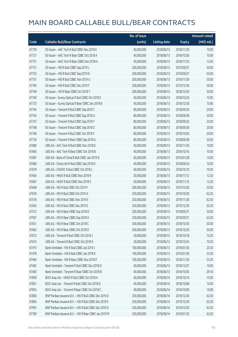|       |                                                        | No. of issue |                     |               | <b>Amount raised</b> |
|-------|--------------------------------------------------------|--------------|---------------------|---------------|----------------------|
| Code  | <b>Callable Bull/Bear Contracts</b>                    | (units)      | <b>Listing date</b> | <b>Expiry</b> | $(HK\$ mil.)         |
| 67739 | SG Issuer - AAC Tech R Bull CBBC Nov 2018 E            | 40,000,000   | 2018/06/13          | 2018/11/30    | 10.00                |
| 67727 | SG Issuer - AAC Tech R Bear CBBC Oct 2018 A            | 40,000,000   | 2018/06/13          | 2018/10/26    | 10.00                |
| 67731 | SG Issuer - AAC Tech R Bear CBBC Nov 2018 A            | 40,000,000   | 2018/06/13          | 2018/11/23    | 13.60                |
| 67751 | SG Issuer - HSI R Bull CBBC Sep 2019 L                 | 200,000,000  | 2018/06/13          | 2019/09/27    | 50.00                |
| 67753 | SG Issuer - HSI R Bull CBBC Sep 2019 N                 | 200,000,000  | 2018/06/13          | 2019/09/27    | 50.00                |
| 67757 | SG Issuer - HSI R Bull CBBC Nov 2019 U                 | 200,000,000  | 2018/06/13          | 2019/11/28    | 50.00                |
| 67760 | SG Issuer - HSI R Bull CBBC Dec 2019 F                 | 200,000,000  | 2018/06/13          | 2019/12/30    | 50.00                |
| 67749 | SG Issuer - HSI R Bear CBBC Oct 2018 Y                 | 200,000,000  | 2018/06/13          | 2018/10/30    | 50.00                |
| 67740 | SG Issuer - Sunny Optical R Bull CBBC Oct 2018 E       | 40,000,000   | 2018/06/13          | 2018/10/26    | 10.00                |
| 67733 | SG Issuer - Sunny Optical R Bear CBBC Dec 2018 B       | 40,000,000   | 2018/06/13          | 2018/12/28    | 15.80                |
| 67744 | SG Issuer - Tencent R Bull CBBC Sep 2018 T             | 80,000,000   | 2018/06/13          | 2018/09/20    | 20.00                |
| 67745 | SG Issuer - Tencent R Bull CBBC Sep 2018 U             | 80,000,000   | 2018/06/13          | 2018/09/28    | 20.00                |
| 67747 | SG Issuer - Tencent R Bull CBBC Sep 2018 Y             | 80,000,000   | 2018/06/13          | 2018/09/20    | 20.00                |
| 67748 | SG Issuer - Tencent R Bull CBBC Sep 2018 Z             | 80,000,000   | 2018/06/13          | 2018/09/28    | 20.00                |
| 67746 | SG Issuer - Tencent R Bull CBBC Oct 2018 Y             | 80,000,000   | 2018/06/13          | 2018/10/05    | 20.00                |
| 67736 | SG Issuer - Tencent R Bear CBBC Sep 2018 G             | 80,000,000   | 2018/06/13          | 2018/09/28    | 20.00                |
| 67680 | UBS AG - AAC Tech R Bull CBBC Nov 2018 B               | 40,000,000   | 2018/06/13          | 2018/11/26    | 10.00                |
| 67685 | UBS AG - AAC Tech R Bear CBBC Oct 2018 B               | 40,000,000   | 2018/06/13          | 2018/10/16    | 10.00                |
| 67687 | UBS AG - Bank of China R Bull CBBC Jan 2019 B          | 60,000,000   | 2018/06/13          | 2019/01/28    | 15.00                |
| 67686 | UBS AG - China Life R Bull CBBC Sep 2018 O             | 40,000,000   | 2018/06/13          | 2018/09/24    | 10.00                |
| 67679 | UBS AG - CNOOC R Bull CBBC Oct 2018 L                  | 40,000,000   | 2018/06/13          | 2018/10/10    | 10.00                |
| 67664 | UBS AG - HKEX R Bull CBBC Nov 2018 R                   | 50,000,000   | 2018/06/13          | 2018/11/12    | 12.50                |
| 67667 | UBS AG - HKEX R Bull CBBC Nov 2018 S                   | 50,000,000   | 2018/06/13          | 2018/11/12    | 12.50                |
| 67648 | UBS AG - HSI R Bull CBBC Oct 2019 F                    | 200,000,000  | 2018/06/13          | 2019/10/30    | 50.00                |
| 67639 | UBS AG - HSI R Bull CBBC Oct 2019 X                    | 250,000,000  | 2018/06/13          | 2019/10/30    | 62.50                |
| 67576 | UBS AG - HSI R Bull CBBC Nov 2019 E                    | 250,000,000  | 2018/06/13          | 2019/11/28    | 62.50                |
| 67643 | UBS AG - HSI R Bull CBBC Dec 2019 E                    | 250,000,000  | 2018/06/13          | 2019/12/30    | 62.50                |
| 67572 | UBS AG - HSI R Bear CBBC Sep 2018 D                    | 200,000,000  | 2018/06/13          | 2018/09/27    | 50.00                |
| 67567 | UBS AG - HSI R Bear CBBC Sep 2018 X                    | 250,000,000  | 2018/06/13          | 2018/09/27    | 62.50                |
| 67651 | UBS AG - HSI R Bear CBBC Oct 2018 C                    | 200,000,000  | 2018/06/13          | 2018/10/30    | 50.00                |
| 67662 | UBS AG - HSI R Bear CBBC Oct 2018 D                    | 200,000,000  | 2018/06/13          | 2018/10/30    | 50.00                |
| 67672 | UBS AG - Tencent R Bull CBBC Oct 2018 J                | 30,000,000   | 2018/06/13          | 2018/10/18    | 10.20                |
| 67674 | UBS AG - Tencent R Bull CBBC Oct 2018 K                | 30,000,000   | 2018/06/13          | 2018/10/24    | 10.20                |
| 67475 | Bank Vontobel - HSI R Bull CBBC Jan 2019 J             | 100,000,000  | 2018/06/13          | 2019/01/30    | 25.30                |
| 67478 | Bank Vontobel - HSI R Bull CBBC Jan 2019 K             | 100,000,000  | 2018/06/13          | 2019/01/30    | 25.30                |
| 67484 | Bank Vontobel - HSI R Bear CBBC Nov 2018 P             | 100,000,000  | 2018/06/13          | 2018/11/29    | 25.20                |
| 67482 | Bank Vontobel - Tencent R Bull CBBC Dec 2018 O         | 40,000,000   | 2018/06/13          | 2018/12/07    | 10.00                |
| 67483 | Bank Vontobel - Tencent R Bear CBBC Oct 2018 B         | 40,000,000   | 2018/06/13          | 2018/10/05    | 29.16                |
| 67858 | BOCI Asia Ltd. - HKEX R Bull CBBC Oct 2018 A           | 40,000,000   | 2018/06/14          | 2018/10/10    | 10.00                |
| 67851 | BOCI Asia Ltd. - Tencent R Bull CBBC Oct 2018 D        | 40,000,000   | 2018/06/14          | 2018/10/08    | 10.00                |
| 67855 | BOCI Asia Ltd. - Tencent R Bear CBBC Oct 2018 C        | 40,000,000   | 2018/06/14          | 2018/10/09    | 10.08                |
| 67800 | BNP Paribas Issuance B.V. - HSI R Bull CBBC Dec 2019 D | 250,000,000  | 2018/06/14          | 2019/12/30    | 62.50                |
| 67804 | BNP Paribas Issuance B.V. - HSI R Bull CBBC Dec 2019 E | 250,000,000  | 2018/06/14          | 2019/12/30    | 62.50                |
| 67991 | BNP Paribas Issuance B.V. - HSI R Bull CBBC Dec 2019 G | 250,000,000  | 2018/06/14          | 2019/12/30    | 62.50                |
| 67780 | BNP Paribas Issuance B.V. - HSI R Bear CBBC Jan 2019 M | 250,000,000  | 2018/06/14          | 2019/01/30    | 62.50                |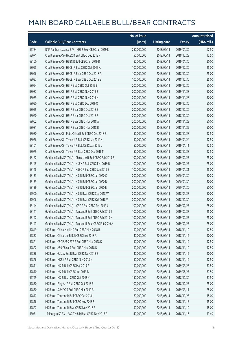|       |                                                             | No. of issue |                     |               | Amount raised         |
|-------|-------------------------------------------------------------|--------------|---------------------|---------------|-----------------------|
| Code  | <b>Callable Bull/Bear Contracts</b>                         | (units)      | <b>Listing date</b> | <b>Expiry</b> | $(HK\frac{1}{2}mil.)$ |
| 67784 | BNP Paribas Issuance B.V. - HSI R Bear CBBC Jan 2019 N      | 250,000,000  | 2018/06/14          | 2019/01/30    | 62.50                 |
| 68071 | Credit Suisse AG - HKEX R Bull CBBC Dec 2018 F              | 50,000,000   | 2018/06/14          | 2018/12/28    | 12.50                 |
| 68100 | Credit Suisse AG - HSBC R Bull CBBC Jan 2019 B              | 80,000,000   | 2018/06/14          | 2019/01/30    | 20.00                 |
| 68095 | Credit Suisse AG - HSCEI R Bull CBBC Oct 2019 A             | 100,000,000  | 2018/06/14          | 2019/10/30    | 25.00                 |
| 68096 | Credit Suisse AG - HSCEI R Bear CBBC Oct 2018 A             | 100,000,000  | 2018/06/14          | 2018/10/30    | 25.00                 |
| 68097 | Credit Suisse AG - HSCEI R Bear CBBC Oct 2018 B             | 100,000,000  | 2018/06/14          | 2018/10/30    | 25.00                 |
| 68094 | Credit Suisse AG - HSI R Bull CBBC Oct 2019 B               | 200,000,000  | 2018/06/14          | 2019/10/30    | 50.00                 |
| 68087 | Credit Suisse AG - HSI R Bull CBBC Nov 2019 B               | 200,000,000  | 2018/06/14          | 2019/11/28    | 50.00                 |
| 68089 | Credit Suisse AG - HSI R Bull CBBC Nov 2019 H               | 200,000,000  | 2018/06/14          | 2019/11/28    | 50.00                 |
| 68090 | Credit Suisse AG - HSI R Bull CBBC Dec 2019 O               | 200,000,000  | 2018/06/14          | 2019/12/30    | 50.00                 |
| 68059 | Credit Suisse AG - HSI R Bear CBBC Oct 2018 E               | 200,000,000  | 2018/06/14          | 2018/10/30    | 50.00                 |
| 68060 | Credit Suisse AG - HSI R Bear CBBC Oct 2018 F               | 200,000,000  | 2018/06/14          | 2018/10/30    | 50.00                 |
| 68062 | Credit Suisse AG - HSI R Bear CBBC Nov 2018 A               | 200,000,000  | 2018/06/14          | 2018/11/29    | 50.00                 |
| 68081 | Credit Suisse AG - HSI R Bear CBBC Nov 2018 B               | 200,000,000  | 2018/06/14          | 2018/11/29    | 50.00                 |
| 68080 | Credit Suisse AG - PetroChina R Bull CBBC Dec 2018 E        | 50,000,000   | 2018/06/14          | 2018/12/28    | 12.50                 |
| 68076 | Credit Suisse AG - Tencent R Bull CBBC Jan 2019 K           | 50,000,000   | 2018/06/14          | 2019/01/24    | 12.50                 |
| 68101 | Credit Suisse AG - Tencent R Bull CBBC Jan 2019 L           | 50,000,000   | 2018/06/14          | 2019/01/11    | 12.50                 |
| 68079 | Credit Suisse AG - Tencent R Bear CBBC Dec 2018 M           | 50,000,000   | 2018/06/14          | 2018/12/28    | 12.50                 |
| 68162 | Goldman Sachs SP (Asia) - China Life R Bull CBBC Feb 2019 B | 100,000,000  | 2018/06/14          | 2019/02/27    | 25.00                 |
| 68145 | Goldman Sachs SP (Asia) - HKEX R Bull CBBC Feb 2019 B       | 100,000,000  | 2018/06/14          | 2019/02/27    | 25.00                 |
| 68148 | Goldman Sachs SP (Asia) - HSBC R Bull CBBC Jan 2019 B       | 100,000,000  | 2018/06/14          | 2019/01/31    | 25.00                 |
| 68133 | Goldman Sachs SP (Asia) - HSI R Bull CBBC Jan 2020 C        | 200,000,000  | 2018/06/14          | 2020/01/30    | 50.20                 |
| 68139 | Goldman Sachs SP (Asia) - HSI R Bull CBBC Jan 2020 D        | 200,000,000  | 2018/06/14          | 2020/01/30    | 50.00                 |
| 68136 | Goldman Sachs SP (Asia) - HSI R Bull CBBC Jan 2020 E        | 200,000,000  | 2018/06/14          | 2020/01/30    | 50.00                 |
| 67900 | Goldman Sachs SP (Asia) - HSI R Bear CBBC Sep 2018 W        | 200,000,000  | 2018/06/14          | 2018/09/27    | 50.00                 |
| 67906 | Goldman Sachs SP (Asia) - HSI R Bear CBBC Oct 2018 V        | 200,000,000  | 2018/06/14          | 2018/10/30    | 50.00                 |
| 68144 | Goldman Sachs SP (Asia) - ICBC R Bull CBBC Feb 2019 J       | 100,000,000  | 2018/06/14          | 2019/02/27    | 25.00                 |
| 68141 | Goldman Sachs SP (Asia) - Tencent R Bull CBBC Feb 2019 J    | 100,000,000  | 2018/06/14          | 2019/02/27    | 25.00                 |
| 68142 | Goldman Sachs SP (Asia) - Tencent R Bull CBBC Feb 2019 K    | 100,000,000  | 2018/06/14          | 2019/02/27    | 25.00                 |
| 68143 | Goldman Sachs SP (Asia) - Tencent R Bear CBBC Feb 2019 A    | 100,000,000  | 2018/06/14          | 2019/02/27    | 25.00                 |
| 67849 | HK Bank - China Mobile R Bull CBBC Nov 2018 B               | 50,000,000   | 2018/06/14          | 2018/11/19    | 12.50                 |
| 67837 | HK Bank - China Life R Bull CBBC Nov 2018 A                 | 40,000,000   | 2018/06/14          | 2018/11/12    | 10.00                 |
| 67821 | HK Bank - CSOP A50 ETF R Bull CBBC Nov 2018 D               | 50,000,000   | 2018/06/14          | 2018/11/19    | 12.50                 |
| 67822 | HK Bank - A50 China R Bull CBBC Nov 2018 D                  | 50,000,000   | 2018/06/14          | 2018/11/19    | 12.50                 |
| 67836 | HK Bank - Galaxy Ent R Bear CBBC Nov 2018 B                 | 40,000,000   | 2018/06/14          | 2018/11/12    | 10.00                 |
| 67826 | HK Bank - HKEX R Bull CBBC Nov 2018 N                       | 50,000,000   | 2018/06/14          | 2018/11/19    | 12.50                 |
| 67811 | HK Bank - HSI R Bull CBBC Mar 2019 P                        | 150,000,000  | 2018/06/14          | 2019/03/28    | 37.50                 |
| 67810 | HK Bank - HSI R Bull CBBC Jun 2019 B                        | 150,000,000  | 2018/06/14          | 2019/06/27    | 37.50                 |
| 67799 | HK Bank - HSI R Bear CBBC Oct 2018 Y                        | 150,000,000  | 2018/06/14          | 2018/10/30    | 37.50                 |
| 67830 | HK Bank - Ping An R Bull CBBC Oct 2018 E                    | 100,000,000  | 2018/06/14          | 2018/10/25    | 25.00                 |
| 67850 | HK Bank - SUNAC R Bull CBBC Mar 2019 B                      | 100,000,000  | 2018/06/14          | 2019/03/11    | 25.00                 |
| 67817 | HK Bank - Tencent R Bull CBBC Oct 2018 L                    | 60,000,000   | 2018/06/14          | 2018/10/25    | 15.00                 |
| 67816 | HK Bank - Tencent R Bull CBBC Nov 2018 S                    | 60,000,000   | 2018/06/14          | 2018/11/15    | 15.00                 |
| 67827 | HK Bank - Tencent R Bear CBBC Nov 2018 E                    | 50,000,000   | 2018/06/14          | 2018/11/19    | 15.00                 |
| 68051 | J P Morgan SP BV - AAC Tech R Bear CBBC Nov 2018 A          | 40,000,000   | 2018/06/14          | 2018/11/16    | 13.40                 |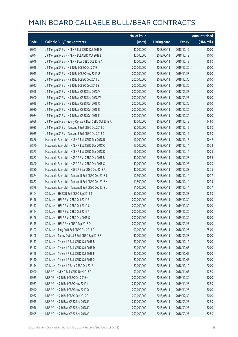|       |                                                         | No. of issue |                     |               | <b>Amount raised</b> |
|-------|---------------------------------------------------------|--------------|---------------------|---------------|----------------------|
| Code  | <b>Callable Bull/Bear Contracts</b>                     | (units)      | <b>Listing date</b> | <b>Expiry</b> | (HK\$ mil.)          |
| 68043 | J P Morgan SP BV - HKEX R Bull CBBC Oct 2018 D          | 40,000,000   | 2018/06/14          | 2018/10/19    | 10.00                |
| 68044 | J P Morgan SP BV - HKEX R Bull CBBC Oct 2018 E          | 40,000,000   | 2018/06/14          | 2018/10/19    | 10.00                |
| 68046 | J P Morgan SP BV - HKEX R Bear CBBC Oct 2018 A          | 40,000,000   | 2018/06/14          | 2018/10/12    | 15.80                |
| 68016 | JP Morgan SP BV - HSIR Bull CBBC Oct 2019 I             | 200,000,000  | 2018/06/14          | 2019/10/30    | 50.00                |
| 68015 | J P Morgan SP BV - HSI R Bull CBBC Nov 2019 U           | 200,000,000  | 2018/06/14          | 2019/11/28    | 50.00                |
| 68057 | J P Morgan SP BV - HSI R Bull CBBC Dec 2019 D           | 200,000,000  | 2018/06/14          | 2019/12/30    | 50.00                |
| 68017 | J P Morgan SP BV - HSI R Bull CBBC Dec 2019 S           | 200,000,000  | 2018/06/14          | 2019/12/30    | 50.00                |
| 67998 | J P Morgan SP BV - HSI R Bear CBBC Sep 2018 V           | 200,000,000  | 2018/06/14          | 2018/09/27    | 50.00                |
| 68000 | J P Morgan SP BV - HSI R Bear CBBC Sep 2018 W           | 200,000,000  | 2018/06/14          | 2018/09/27    | 50.00                |
| 68018 | J P Morgan SP BV - HSI R Bear CBBC Oct 2018 C           | 200,000,000  | 2018/06/14          | 2018/10/30    | 50.00                |
| 68030 | J P Morgan SP BV - HSI R Bear CBBC Oct 2018 D           | 200,000,000  | 2018/06/14          | 2018/10/30    | 50.00                |
| 68034 | J P Morgan SP BV - HSI R Bear CBBC Oct 2018 E           | 200,000,000  | 2018/06/14          | 2018/10/30    | 50.00                |
| 68056 | J P Morgan SP BV - Sunny Optical R Bear CBBC Oct 2018 A | 40,000,000   | 2018/06/14          | 2018/10/19    | 14.60                |
| 68035 | JP Morgan SP BV - Tencent R Bull CBBC Oct 2018 C        | 50,000,000   | 2018/06/14          | 2018/10/12    | 12.50                |
| 68039 | J P Morgan SP BV - Tencent R Bull CBBC Oct 2018 D       | 50,000,000   | 2018/06/14          | 2018/10/12    | 12.50                |
| 67866 | Macquarie Bank Ltd. - HKEX R Bull CBBC Dec 2018 B       | 17,000,000   | 2018/06/14          | 2018/12/18    | 10.42                |
| 67870 | Macquarie Bank Ltd. - HKEX R Bull CBBC Dec 2018 C       | 17,000,000   | 2018/06/14          | 2018/12/14    | 10.34                |
| 67873 | Macquarie Bank Ltd. - HKEX R Bull CBBC Dec 2018 D       | 16,000,000   | 2018/06/14          | 2018/12/14    | 10.26                |
| 67887 | Macquarie Bank Ltd. - HSBC R Bull CBBC Dec 2018 B       | 40,000,000   | 2018/06/14          | 2018/12/28    | 10.56                |
| 67890 | Macquarie Bank Ltd. - HSBC R Bull CBBC Dec 2018 C       | 40,000,000   | 2018/06/14          | 2018/12/28    | 10.20                |
| 67880 | Macquarie Bank Ltd. - HSBC R Bear CBBC Dec 2018 A       | 40,000,000   | 2018/06/14          | 2018/12/28    | 12.76                |
| 67874 | Macquarie Bank Ltd. - Tencent R Bull CBBC Dec 2018 J    | 10,500,000   | 2018/06/14          | 2018/12/14    | 10.37                |
| 67877 | Macquarie Bank Ltd. - Tencent R Bull CBBC Dec 2018 K    | 11,500,000   | 2018/06/14          | 2018/12/14    | 10.33                |
| 67879 | Macquarie Bank Ltd. - Tencent R Bull CBBC Dec 2018 L    | 11,000,000   | 2018/06/14          | 2018/12/14    | 10.37                |
| 68104 | SG Issuer - HKEX R Bull CBBC Sep 2018 T                 | 50,000,000   | 2018/06/14          | 2018/09/28    | 12.50                |
| 68116 | SG Issuer - HSI R Bull CBBC Oct 2019 E                  | 200,000,000  | 2018/06/14          | 2019/10/30    | 50.00                |
| 68117 | SG Issuer - HSI R Bull CBBC Oct 2019 J                  | 200,000,000  | 2018/06/14          | 2019/10/30    | 50.00                |
| 68124 | SG Issuer - HSI R Bull CBBC Oct 2019 P                  | 200,000,000  | 2018/06/14          | 2019/10/30    | 50.00                |
| 68126 | SG Issuer - HSI R Bull CBBC Dec 2019 O                  | 200,000,000  | 2018/06/14          | 2019/12/30    | 50.00                |
| 68115 | SG Issuer - HSI R Bear CBBC Sep 2018 Q                  | 200,000,000  | 2018/06/14          | 2018/09/27    | 50.00                |
| 68107 | SG Issuer - Ping An R Bull CBBC Oct 2018 Q              | 100,000,000  | 2018/06/14          | 2018/10/26    | 25.00                |
| 68108 | SG Issuer - Sunny Optical R Bull CBBC Sep 2018 F        | 40,000,000   | 2018/06/14          | 2018/09/28    | 10.00                |
| 68113 | SG Issuer - Tencent R Bull CBBC Oct 2018 B              | 80,000,000   | 2018/06/14          | 2018/10/12    | 20.00                |
| 68112 | SG Issuer - Tencent R Bull CBBC Oct 2018 D              | 80,000,000   | 2018/06/14          | 2018/10/05    | 20.00                |
| 68128 | SG Issuer - Tencent R Bull CBBC Oct 2018 E              | 80,000,000   | 2018/06/14          | 2018/10/05    | 20.00                |
| 68110 | SG Issuer - Tencent R Bull CBBC Oct 2018 Z              | 80,000,000   | 2018/06/14          | 2018/10/05    | 20.00                |
| 68114 | SG Issuer - Tencent R Bear CBBC Oct 2018 L              | 80,000,000   | 2018/06/14          | 2018/10/12    | 20.00                |
| 67990 | UBS AG - HKEX R Bull CBBC Nov 2018 T                    | 50,000,000   | 2018/06/14          | 2018/11/07    | 12.50                |
| 67939 | UBS AG - HSI R Bull CBBC Oct 2019 N                     | 200,000,000  | 2018/06/14          | 2019/10/30    | 50.00                |
| 67933 | UBS AG - HSI R Bull CBBC Nov 2019 L                     | 250,000,000  | 2018/06/14          | 2019/11/28    | 62.50                |
| 67940 | UBS AG - HSI R Bull CBBC Nov 2019 Q                     | 200,000,000  | 2018/06/14          | 2019/11/28    | 50.00                |
| 67932 | UBS AG - HSI R Bull CBBC Dec 2019 C                     | 200,000,000  | 2018/06/14          | 2019/12/30    | 50.00                |
| 67915 | UBS AG - HSI R Bear CBBC Sep 2018 E                     | 250,000,000  | 2018/06/14          | 2018/09/27    | 62.50                |
| 67916 | UBS AG - HSI R Bear CBBC Sep 2018 F                     | 200,000,000  | 2018/06/14          | 2018/09/27    | 50.00                |
| 67945 | UBS AG - HSI R Bear CBBC Sep 2018 G                     | 250,000,000  | 2018/06/14          | 2018/09/27    | 62.50                |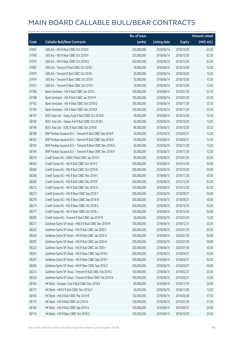|       |                                                            | No. of issue |                     |               | <b>Amount raised</b> |
|-------|------------------------------------------------------------|--------------|---------------------|---------------|----------------------|
| Code  | <b>Callable Bull/Bear Contracts</b>                        | (units)      | <b>Listing date</b> | <b>Expiry</b> | (HK\$ mil.)          |
| 67947 | UBS AG - HSI R Bear CBBC Oct 2018 E                        | 250,000,000  | 2018/06/14          | 2018/10/30    | 62.50                |
| 67959 | UBS AG - HSI R Bear CBBC Oct 2018 F                        | 250,000,000  | 2018/06/14          | 2018/10/30    | 62.50                |
| 67970 | UBS AG - HSI R Bear CBBC Oct 2018 G                        | 250,000,000  | 2018/06/14          | 2018/10/30    | 62.50                |
| 67987 | UBS AG - Tencent R Bull CBBC Oct 2018 I                    | 30,000,000   | 2018/06/14          | 2018/10/09    | 10.20                |
| 67979 | UBS AG - Tencent R Bull CBBC Oct 2018 L                    | 30,000,000   | 2018/06/14          | 2018/10/03    | 10.20                |
| 67919 | UBS AG - Tencent R Bear CBBC Oct 2018 I                    | 30,000,000   | 2018/06/14          | 2018/10/26    | 10.20                |
| 67921 | UBS AG - Tencent R Bear CBBC Oct 2018 J                    | 30,000,000   | 2018/06/14          | 2018/10/08    | 13.05                |
| 67786 | Bank Vontobel - HSI R Bull CBBC Jan 2019 L                 | 100,000,000  | 2018/06/14          | 2019/01/30    | 25.10                |
| 67798 | Bank Vontobel - HSI R Bull CBBC Jan 2019 M                 | 100,000,000  | 2018/06/14          | 2019/01/30    | 25.50                |
| 67762 | Bank Vontobel - HSI R Bear CBBC Nov 2018 Q                 | 100,000,000  | 2018/06/14          | 2018/11/29    | 25.10                |
| 67765 | Bank Vontobel - HSI R Bear CBBC Nov 2018 R                 | 100,000,000  | 2018/06/14          | 2018/11/29    | 25.30                |
| 68197 | BOCI Asia Ltd. - Geely Auto R Bull CBBC Oct 2018 B         | 40,000,000   | 2018/06/15          | 2018/10/29    | 10.16                |
| 68196 | BOCI Asia Ltd. - Galaxy Ent R Bull CBBC Oct 2018 C         | 50,000,000   | 2018/06/15          | 2018/10/29    | 12.65                |
| 68198 | BOCI Asia Ltd. - ICBC R Bull CBBC Oct 2018 B               | 80,000,000   | 2018/06/15          | 2018/10/29    | 20.32                |
| 68189 | BNP Paribas Issuance B.V. - Tencent R Bull CBBC Sep 2018 F | 50,000,000   | 2018/06/15          | 2018/09/27    | 12.50                |
| 68192 | BNP Paribas Issuance B.V. - Tencent R Bull CBBC Sep 2018 H | 50,000,000   | 2018/06/15          | 2018/09/27    | 12.50                |
| 68195 | BNP Paribas Issuance B.V. - Tencent R Bear CBBC Nov 2018 O | 50,000,000   | 2018/06/15          | 2018/11/29    | 12.50                |
| 68194 | BNP Paribas Issuance B.V. - Tencent R Bear CBBC Nov 2018 P | 50,000,000   | 2018/06/15          | 2018/11/29    | 12.50                |
| 68270 | Credit Suisse AG - HSBC R Bull CBBC Jan 2019 C             | 80,000,000   | 2018/06/15          | 2019/01/25    | 20.00                |
| 68265 | Credit Suisse AG - HSI R Bull CBBC Oct 2019 C              | 200,000,000  | 2018/06/15          | 2019/10/30    | 50.00                |
| 68266 | Credit Suisse AG - HSI R Bull CBBC Oct 2019 D              | 200,000,000  | 2018/06/15          | 2019/10/30    | 50.00                |
| 68268 | Credit Suisse AG - HSI R Bull CBBC Nov 2019 C              | 200,000,000  | 2018/06/15          | 2019/11/28    | 50.00                |
| 68269 | Credit Suisse AG - HSI R Bull CBBC Dec 2019 P              | 250,000,000  | 2018/06/15          | 2019/12/30    | 62.50                |
| 68272 | Credit Suisse AG - HSI R Bull CBBC Dec 2019 Q              | 250,000,000  | 2018/06/15          | 2019/12/30    | 62.50                |
| 68273 | Credit Suisse AG - HSI R Bear CBBC Sep 2018 T              | 200,000,000  | 2018/06/15          | 2018/09/27    | 50.00                |
| 68276 | Credit Suisse AG - HSI R Bear CBBC Sep 2018 W              | 200,000,000  | 2018/06/15          | 2018/09/27    | 50.00                |
| 68274 | Credit Suisse AG - HSI R Bear CBBC Oct 2018 G              | 200,000,000  | 2018/06/15          | 2018/10/30    | 50.00                |
| 68277 | Credit Suisse AG - HSI R Bear CBBC Oct 2018 J              | 200,000,000  | 2018/06/15          | 2018/10/30    | 50.00                |
| 68280 | Credit Suisse AG - Tencent R Bull CBBC Jan 2019 M          | 50,000,000   | 2018/06/15          | 2019/01/24    | 12.50                |
| 68217 | Goldman Sachs SP (Asia) - HKEX R Bull CBBC Dec 2018 M      | 100,000,000  | 2018/06/15          | 2018/12/31    | 25.00                |
| 68202 | Goldman Sachs SP (Asia) - HSI R Bull CBBC Jan 2020 F       | 200,000,000  | 2018/06/15          | 2020/01/30    | 50.00                |
| 68204 | Goldman Sachs SP (Asia) - HSI R Bull CBBC Jan 2020 G       | 200,000,000  | 2018/06/15          | 2020/01/30    | 50.00                |
| 68207 | Goldman Sachs SP (Asia) - HSI R Bull CBBC Jan 2020 H       | 200,000,000  | 2018/06/15          | 2020/01/30    | 50.00                |
| 68223 | Goldman Sachs SP (Asia) - HSI R Bull CBBC Jan 2020 I       | 200,000,000  | 2018/06/15          | 2020/01/30    | 50.00                |
| 68291 | Goldman Sachs SP (Asia) - HSI R Bear CBBC Sep 2018 X       | 200,000,000  | 2018/06/15          | 2018/09/27    | 50.00                |
| 68297 | Goldman Sachs SP (Asia) - HSI R Bear CBBC Sep 2018 Y       | 200,000,000  | 2018/06/15          | 2018/09/27    | 50.20                |
| 68300 | Goldman Sachs SP (Asia) - HSI R Bear CBBC Sep 2018 Z       | 200,000,000  | 2018/06/15          | 2018/09/27    | 50.00                |
| 68213 | Goldman Sachs SP (Asia) - Tencent R Bull CBBC Feb 2019 L   | 100,000,000  | 2018/06/15          | 2019/02/27    | 25.00                |
| 68332 | Goldman Sachs SP (Asia) - Tencent R Bear CBBC Feb 2019 B   | 100,000,000  | 2018/06/15          | 2019/02/27    | 25.00                |
| 68183 | HK Bank - Sinopec Corp R Bull CBBC Nov 2018 E              | 80,000,000   | 2018/06/15          | 2018/11/19    | 20.00                |
| 68173 | HK Bank - HKEX R Bull CBBC Nov 2018 O                      | 50,000,000   | 2018/06/15          | 2018/11/26    | 12.50                |
| 68165 | HK Bank - HSI R Bull CBBC Mar 2019 R                       | 150,000,000  | 2018/06/15          | 2019/03/28    | 37.50                |
| 68175 | HK Bank - HSI R Bull CBBC Jul 2019 A                       | 150,000,000  | 2018/06/15          | 2019/07/30    | 37.50                |
| 68182 | HK Bank - HSI R Bull CBBC Sep 2019 A                       | 100,000,000  | 2018/06/15          | 2019/09/27    | 25.00                |
| 68174 | HK Bank - HSI R Bear CBBC Oct 2018 Z                       | 100,000,000  | 2018/06/15          | 2018/10/30    | 25.00                |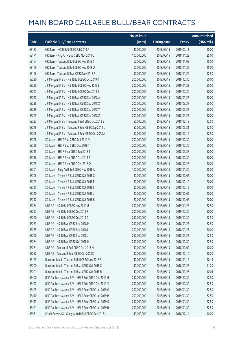|       |                                                        | No. of issue |                     |               | Amount raised         |
|-------|--------------------------------------------------------|--------------|---------------------|---------------|-----------------------|
| Code  | <b>Callable Bull/Bear Contracts</b>                    | (units)      | <b>Listing date</b> | <b>Expiry</b> | $(HK\frac{1}{2}mil.)$ |
| 68187 | HK Bank - NCI R Bull CBBC Feb 2019 A                   | 40,000,000   | 2018/06/15          | 2019/02/11    | 10.00                 |
| 68171 | HK Bank - Ping An R Bull CBBC Nov 2018 O               | 100,000,000  | 2018/06/15          | 2018/11/22    | 25.00                 |
| 68164 | HK Bank - Tencent R Bull CBBC Nov 2018 T               | 60,000,000   | 2018/06/15          | 2018/11/08    | 15.00                 |
| 68169 | HK Bank - Tencent R Bull CBBC Nov 2018 U               | 60,000,000   | 2018/06/15          | 2018/11/22    | 15.00                 |
| 68166 | HK Bank - Tencent R Bear CBBC Nov 2018 F               | 50,000,000   | 2018/06/15          | 2018/11/26    | 12.50                 |
| 68230 | J P Morgan SP BV - HSI R Bull CBBC Oct 2019 K          | 200,000,000  | 2018/06/15          | 2019/10/30    | 50.00                 |
| 68228 | J P Morgan SP BV - HSI R Bull CBBC Nov 2019 E          | 200,000,000  | 2018/06/15          | 2019/11/28    | 50.00                 |
| 68227 | J P Morgan SP BV - HSI R Bull CBBC Dec 2019 E          | 200,000,000  | 2018/06/15          | 2019/12/30    | 50.00                 |
| 68252 | J P Morgan SP BV - HSI R Bear CBBC Sep 2018 A          | 200,000,000  | 2018/06/15          | 2018/09/27    | 50.00                 |
| 68238 | J P Morgan SP BV - HSI R Bear CBBC Sep 2018 X          | 200,000,000  | 2018/06/15          | 2018/09/27    | 50.00                 |
| 68239 | J P Morgan SP BV - HSI R Bear CBBC Sep 2018 Y          | 200,000,000  | 2018/06/15          | 2018/09/27    | 50.00                 |
| 68245 | J P Morgan SP BV - HSI R Bear CBBC Sep 2018 Z          | 200,000,000  | 2018/06/15          | 2018/09/27    | 50.00                 |
| 68233 | J P Morgan SP BV - Tencent R Bull CBBC Oct 2018 E      | 50,000,000   | 2018/06/15          | 2018/10/12    | 12.50                 |
| 68246 | JP Morgan SP BV - Tencent R Bear CBBC Sep 2018 L       | 50,000,000   | 2018/06/15          | 2018/09/21    | 12.50                 |
| 68248 | J P Morgan SP BV - Tencent R Bear CBBC Oct 2018 A      | 50,000,000   | 2018/06/15          | 2018/10/12    | 12.50                 |
| 68328 | SG Issuer - HSI R Bull CBBC Oct 2019 D                 | 200,000,000  | 2018/06/15          | 2019/10/30    | 50.00                 |
| 68329 | SG Issuer - HSI R Bull CBBC Dec 2019 T                 | 200,000,000  | 2018/06/15          | 2019/12/30    | 50.00                 |
| 68315 | SG Issuer - HSI R Bear CBBC Sep 2018 T                 | 200,000,000  | 2018/06/15          | 2018/09/27    | 50.00                 |
| 68316 | SG Issuer - HSI R Bear CBBC Oct 2018 Z                 | 200,000,000  | 2018/06/15          | 2018/10/30    | 50.00                 |
| 68325 | SG Issuer - HSI R Bear CBBC Dec 2018 O                 | 200,000,000  | 2018/06/15          | 2018/12/28    | 50.00                 |
| 68301 | SG Issuer - Ping An R Bull CBBC Nov 2018 A             | 100,000,000  | 2018/06/15          | 2018/11/26    | 25.00                 |
| 68306 | SG Issuer - Tencent R Bull CBBC Oct 2018 C             | 80,000,000   | 2018/06/15          | 2018/10/05    | 20.00                 |
| 68309 | SG Issuer - Tencent R Bull CBBC Oct 2018 F             | 80,000,000   | 2018/06/15          | 2018/10/12    | 20.00                 |
| 68313 | SG Issuer - Tencent R Bull CBBC Oct 2018 I             | 80,000,000   | 2018/06/15          | 2018/10/12    | 20.00                 |
| 68310 | SG Issuer - Tencent R Bull CBBC Oct 2018 J             | 80,000,000   | 2018/06/15          | 2018/10/05    | 20.00                 |
| 68312 | SG Issuer - Tencent R Bull CBBC Oct 2018 K             | 80,000,000   | 2018/06/15          | 2018/10/05    | 20.00                 |
| 68254 | UBS AG - HSI R Bull CBBC Nov 2019 U                    | 250,000,000  | 2018/06/15          | 2019/11/28    | 62.50                 |
| 68257 | UBS AG - HSI R Bull CBBC Dec 2019 F                    | 200,000,000  | 2018/06/15          | 2019/12/30    | 50.00                 |
| 68260 | UBS AG - HSI R Bull CBBC Dec 2019 G                    | 250,000,000  | 2018/06/15          | 2019/12/30    | 62.50                 |
| 68283 | UBS AG - HSI R Bear CBBC Sep 2018 H                    | 250,000,000  | 2018/06/15          | 2018/09/27    | 62.50                 |
| 68285 | UBS AG - HSI R Bear CBBC Sep 2018 I                    | 200,000,000  | 2018/06/15          | 2018/09/27    | 50.00                 |
| 68290 | UBS AG - HSI R Bear CBBC Sep 2018 J                    | 250,000,000  | 2018/06/15          | 2018/09/27    | 62.50                 |
| 68284 | UBS AG - HSI R Bear CBBC Oct 2018 H                    | 250,000,000  | 2018/06/15          | 2018/10/30    | 62.50                 |
| 68261 | UBS AG - Tencent R Bull CBBC Oct 2018 M                | 30,000,000   | 2018/06/15          | 2018/10/02    | 10.20                 |
| 68282 | UBS AG - Tencent R Bear CBBC Oct 2018 K                | 30,000,000   | 2018/06/15          | 2018/10/10    | 10.20                 |
| 68199 | Bank Vontobel - Tencent R Bull CBBC Nov 2018 E         | 40,000,000   | 2018/06/15          | 2018/11/16    | 10.16                 |
| 68200 | Bank Vontobel - Tencent R Bear CBBC Oct 2018 C         | 40,000,000   | 2018/06/15          | 2018/10/26    | 11.20                 |
| 68201 | Bank Vontobel - Tencent R Bear CBBC Oct 2018 D         | 40,000,000   | 2018/06/15          | 2018/10/26    | 10.04                 |
| 68400 | BNP Paribas Issuance B.V. - HSI R Bull CBBC Dec 2019 H | 250,000,000  | 2018/06/19          | 2019/12/30    | 62.50                 |
| 68422 | BNP Paribas Issuance B.V. - HSI R Bull CBBC Dec 2019 M | 250,000,000  | 2018/06/19          | 2019/12/30    | 62.50                 |
| 68405 | BNP Paribas Issuance B.V. - HSI R Bear CBBC Jan 2019 O | 250,000,000  | 2018/06/19          | 2019/01/30    | 62.50                 |
| 68410 | BNP Paribas Issuance B.V. - HSI R Bear CBBC Jan 2019 P | 250,000,000  | 2018/06/19          | 2019/01/30    | 62.50                 |
| 68413 | BNP Paribas Issuance B.V. - HSI R Bear CBBC Jan 2019 Q | 250,000,000  | 2018/06/19          | 2019/01/30    | 62.50                 |
| 68421 | BNP Paribas Issuance B.V. - HSI R Bear CBBC Jan 2019 R | 250,000,000  | 2018/06/19          | 2019/01/30    | 62.50                 |
| 68561 | Credit Suisse AG - Geely Auto R Bull CBBC Dec 2018 J   | 40,000,000   | 2018/06/19          | 2018/12/14    | 10.00                 |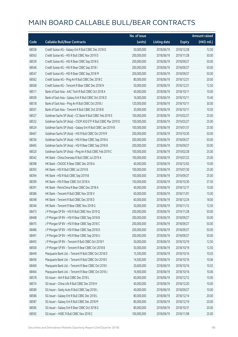|       |                                                               | No. of issue |                     |               | <b>Amount raised</b>  |
|-------|---------------------------------------------------------------|--------------|---------------------|---------------|-----------------------|
| Code  | <b>Callable Bull/Bear Contracts</b>                           | (units)      | <b>Listing date</b> | <b>Expiry</b> | $(HK\frac{1}{2}mil.)$ |
| 68558 | Credit Suisse AG - Galaxy Ent R Bull CBBC Dec 2018 D          | 50,000,000   | 2018/06/19          | 2018/12/28    | 12.50                 |
| 68563 | Credit Suisse AG - HSI R Bull CBBC Nov 2019 D                 | 200,000,000  | 2018/06/19          | 2019/11/28    | 50.00                 |
| 68539 | Credit Suisse AG - HSI R Bear CBBC Sep 2018 G                 | 200,000,000  | 2018/06/19          | 2018/09/27    | 50.00                 |
| 68546 | Credit Suisse AG - HSI R Bear CBBC Sep 2018 I                 | 200,000,000  | 2018/06/19          | 2018/09/27    | 50.00                 |
| 68547 | Credit Suisse AG - HSI R Bear CBBC Sep 2018 M                 | 200,000,000  | 2018/06/19          | 2018/09/27    | 50.00                 |
| 68562 | Credit Suisse AG - Ping An R Bull CBBC Dec 2018 C             | 80,000,000   | 2018/06/19          | 2018/12/21    | 20.00                 |
| 68568 | Credit Suisse AG - Tencent R Bear CBBC Dec 2018 N             | 50,000,000   | 2018/06/19          | 2018/12/21    | 12.50                 |
| 68511 | Bank of East Asia - AAC Tech R Bull CBBC Oct 2018 A           | 40,000,000   | 2018/06/19          | 2018/10/11    | 10.00                 |
| 68509 | Bank of East Asia - Galaxy Ent R Bull CBBC Oct 2018 D         | 16,000,000   | 2018/06/19          | 2018/10/11    | 10.40                 |
| 68518 | Bank of East Asia - Ping An R Bull CBBC Oct 2018 J            | 120,000,000  | 2018/06/19          | 2018/10/11    | 30.00                 |
| 68501 | Bank of East Asia - Tencent R Bull CBBC Oct 2018 B            | 30,000,000   | 2018/06/19          | 2018/10/11    | 10.50                 |
| 68527 | Goldman Sachs SP (Asia) - CC Bank R Bull CBBC Feb 2019 E      | 100,000,000  | 2018/06/19          | 2019/02/27    | 25.00                 |
| 68532 | Goldman Sachs SP (Asia) - CSOP A50 ETF R Bull CBBC Mar 2019 D | 100,000,000  | 2018/06/19          | 2019/03/27    | 25.00                 |
| 68524 | Goldman Sachs SP (Asia) - Galaxy Ent R Bull CBBC Jan 2019 B   | 100,000,000  | 2018/06/19          | 2019/01/31    | 25.00                 |
| 68467 | Goldman Sachs SP (Asia) - HSI R Bull CBBC Oct 2019 R          | 200,000,000  | 2018/06/19          | 2019/10/30    | 50.00                 |
| 68336 | Goldman Sachs SP (Asia) - HSI R Bear CBBC Sep 2018 A          | 200,000,000  | 2018/06/19          | 2018/09/27    | 50.00                 |
| 68465 | Goldman Sachs SP (Asia) - HSI R Bear CBBC Sep 2018 B          | 200,000,000  | 2018/06/19          | 2018/09/27    | 50.00                 |
| 68520 | Goldman Sachs SP (Asia) - Ping An R Bull CBBC Feb 2019 C      | 100,000,000  | 2018/06/19          | 2019/02/28    | 25.00                 |
| 68342 | HK Bank - China Overseas R Bull CBBC Jul 2019 A               | 100,000,000  | 2018/06/19          | 2019/07/22    | 25.00                 |
| 68398 | HK Bank - CNOOC R Bear CBBC Dec 2018 A                        | 40,000,000   | 2018/06/19          | 2018/12/03    | 10.00                 |
| 68393 | HK Bank - HSI R Bull CBBC Jul 2019 B                          | 100,000,000  | 2018/06/19          | 2019/07/30    | 25.00                 |
| 68394 | HK Bank - HSI R Bull CBBC Sep 2019 B                          | 100,000,000  | 2018/06/19          | 2019/09/27    | 25.00                 |
| 68390 | HK Bank - HSI R Bear CBBC Oct 2018 A                          | 150,000,000  | 2018/06/19          | 2018/10/30    | 37.50                 |
| 68391 | HK Bank - PetroChina R Bear CBBC Dec 2018 A                   | 40,000,000   | 2018/06/19          | 2018/12/17    | 10.00                 |
| 68386 | HK Bank - Tencent R Bull CBBC Nov 2018 V                      | 60,000,000   | 2018/06/19          | 2018/11/01    | 15.00                 |
| 68348 | HK Bank - Tencent R Bull CBBC Dec 2018 D                      | 60,000,000   | 2018/06/19          | 2018/12/24    | 18.00                 |
| 68346 | HK Bank - Tencent R Bear CBBC Nov 2018 G                      | 50,000,000   | 2018/06/19          | 2018/11/12    | 12.50                 |
| 68473 | J P Morgan SP BV - HSI R Bull CBBC Nov 2019 Q                 | 200,000,000  | 2018/06/19          | 2019/11/28    | 50.00                 |
| 68468 | J P Morgan SP BV - HSI R Bear CBBC Sep 2018 B                 | 200,000,000  | 2018/06/19          | 2018/09/27    | 50.00                 |
| 68475 | J P Morgan SP BV - HSI R Bear CBBC Sep 2018 C                 | 200,000,000  | 2018/06/19          | 2018/09/27    | 50.00                 |
| 68486 | J P Morgan SP BV - HSI R Bear CBBC Sep 2018 D                 | 200,000,000  | 2018/06/19          | 2018/09/27    | 50.00                 |
| 68491 | J P Morgan SP BV - HSI R Bear CBBC Sep 2018 U                 | 200,000,000  | 2018/06/19          | 2018/09/27    | 50.00                 |
| 68493 | J P Morgan SP BV - Tencent R Bull CBBC Oct 2018 F             | 50,000,000   | 2018/06/19          | 2018/10/19    | 12.50                 |
| 68500 | J P Morgan SP BV - Tencent R Bear CBBC Oct 2018 B             | 50,000,000   | 2018/06/19          | 2018/10/19    | 12.50                 |
| 68449 | Macquarie Bank Ltd. - Tencent R Bull CBBC Oct 2018 D          | 15,500,000   | 2018/06/19          | 2018/10/16    | 10.03                 |
| 68456 | Macquarie Bank Ltd. - Tencent R Bull CBBC Oct 2018 E          | 14,500,000   | 2018/06/19          | 2018/10/16    | 10.06                 |
| 68460 | Macquarie Bank Ltd. - Tencent R Bear CBBC Oct 2018 I          | 20,600,000   | 2018/06/19          | 2018/10/16    | 10.03                 |
| 68464 | Macquarie Bank Ltd. - Tencent R Bear CBBC Oct 2018 J          | 16,900,000   | 2018/06/19          | 2018/10/16    | 10.06                 |
| 68578 | SG Issuer - AIA R Bull CBBC Dec 2018 L                        | 60,000,000   | 2018/06/19          | 2018/12/12    | 15.00                 |
| 68574 | SG Issuer - China Life R Bull CBBC Dec 2018 H                 | 40,000,000   | 2018/06/19          | 2018/12/20    | 10.00                 |
| 68589 | SG Issuer - Geely Auto R Bull CBBC Sep 2018 L                 | 40,000,000   | 2018/06/19          | 2018/09/27    | 10.00                 |
| 68586 | SG Issuer - Galaxy Ent R Bull CBBC Dec 2018 L                 | 80,000,000   | 2018/06/19          | 2018/12/14    | 20.00                 |
| 68587 | SG Issuer - Galaxy Ent R Bull CBBC Dec 2018 M                 | 80,000,000   | 2018/06/19          | 2018/12/19    | 20.00                 |
| 68585 | SG Issuer - Galaxy Ent R Bear CBBC Oct 2018 G                 | 80,000,000   | 2018/06/19          | 2018/10/31    | 20.00                 |
| 68592 | SG Issuer - HSBC R Bull CBBC Nov 2018 C                       | 100,000,000  | 2018/06/19          | 2018/11/08    | 25.00                 |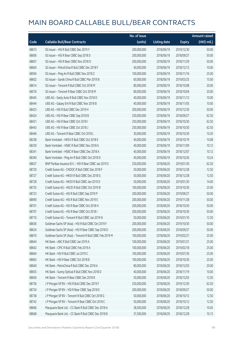|       |                                                          | No. of issue |                     |               | <b>Amount raised</b> |
|-------|----------------------------------------------------------|--------------|---------------------|---------------|----------------------|
| Code  | <b>Callable Bull/Bear Contracts</b>                      | (units)      | <b>Listing date</b> | <b>Expiry</b> | (HK\$ mil.)          |
| 68613 | SG Issuer - HSI R Bull CBBC Dec 2019 Y                   | 200,000,000  | 2018/06/19          | 2019/12/30    | 50.00                |
| 68606 | SG Issuer - HSI R Bear CBBC Sep 2018 D                   | 200,000,000  | 2018/06/19          | 2018/09/27    | 50.00                |
| 68607 | SG Issuer - HSI R Bear CBBC Nov 2018 O                   | 200,000,000  | 2018/06/19          | 2018/11/29    | 50.00                |
| 68604 | SG Issuer - PetroChina R Bull CBBC Dec 2018 F            | 40,000,000   | 2018/06/19          | 2018/12/13    | 10.00                |
| 68594 | SG Issuer - Ping An R Bull CBBC Nov 2018 Z               | 100,000,000  | 2018/06/19          | 2018/11/16    | 25.00                |
| 68602 | SG Issuer - Sands China R Bull CBBC Mar 2019 B           | 60,000,000   | 2018/06/19          | 2019/03/25    | 15.00                |
| 68614 | SG Issuer - Tencent R Bull CBBC Oct 2018 M               | 80,000,000   | 2018/06/19          | 2018/10/08    | 20.00                |
| 68576 | SG Issuer - Tencent R Bear CBBC Oct 2018 M               | 80,000,000   | 2018/06/19          | 2018/10/04    | 20.00                |
| 68445 | UBS AG - Geely Auto R Bull CBBC Nov 2018 D               | 40,000,000   | 2018/06/19          | 2018/11/12    | 10.00                |
| 68444 | UBS AG - Galaxy Ent R Bull CBBC Nov 2018 B               | 40,000,000   | 2018/06/19          | 2018/11/05    | 10.00                |
| 68423 | UBS AG - HSI R Bull CBBC Dec 2019 H                      | 200,000,000  | 2018/06/19          | 2019/12/30    | 50.00                |
| 68424 | UBS AG - HSI R Bear CBBC Sep 2018 B                      | 250,000,000  | 2018/06/19          | 2018/09/27    | 62.50                |
| 68431 | UBS AG - HSI R Bear CBBC Oct 2018 I                      | 250,000,000  | 2018/06/19          | 2018/10/30    | 62.50                |
| 68443 | UBS AG - HSI R Bear CBBC Oct 2018 J                      | 250,000,000  | 2018/06/19          | 2018/10/30    | 62.50                |
| 68446 | UBS AG - Tencent R Bear CBBC Oct 2018 L                  | 30,000,000   | 2018/06/19          | 2018/10/30    | 10.20                |
| 68338 | Bank Vontobel - HKEX R Bull CBBC Oct 2018 E              | 40,000,000   | 2018/06/19          | 2018/10/19    | 10.08                |
| 68339 | Bank Vontobel - HSBC R Bull CBBC Nov 2018 A              | 40,000,000   | 2018/06/19          | 2018/11/09    | 10.12                |
| 68341 | Bank Vontobel - HSBC R Bear CBBC Dec 2018 A              | 40,000,000   | 2018/06/19          | 2018/12/07    | 10.12                |
| 68340 | Bank Vontobel - Ping An R Bull CBBC Oct 2018 D           | 40,000,000   | 2018/06/19          | 2018/10/26    | 10.24                |
| 68637 | BNP Paribas Issuance B.V. - HSI R Bear CBBC Jan 2019 S   | 250,000,000  | 2018/06/20          | 2019/01/30    | 62.50                |
| 68720 | Credit Suisse AG - CNOOC R Bull CBBC Dec 2018 F          | 50,000,000   | 2018/06/20          | 2018/12/28    | 12.50                |
| 68727 | Credit Suisse AG - HKEX R Bull CBBC Dec 2018 G           | 50,000,000   | 2018/06/20          | 2018/12/28    | 12.50                |
| 68728 | Credit Suisse AG - HKEX R Bull CBBC Jan 2019 D           | 50,000,000   | 2018/06/20          | 2019/01/30    | 14.00                |
| 68725 | Credit Suisse AG - HSCEI R Bull CBBC Oct 2019 B          | 100,000,000  | 2018/06/20          | 2019/10/30    | 25.00                |
| 68723 | Credit Suisse AG - HSI R Bull CBBC Sep 2019 P            | 200,000,000  | 2018/06/20          | 2019/09/27    | 50.00                |
| 68690 | Credit Suisse AG - HSI R Bull CBBC Nov 2019 E            | 200,000,000  | 2018/06/20          | 2019/11/28    | 50.00                |
| 68701 | Credit Suisse AG - HSI R Bear CBBC Oct 2018 H            | 200,000,000  | 2018/06/20          | 2018/10/30    | 50.00                |
| 68707 | Credit Suisse AG - HSI R Bear CBBC Oct 2018 L            | 200,000,000  | 2018/06/20          | 2018/10/30    | 50.00                |
| 68710 | Credit Suisse AG - Tencent R Bull CBBC Jan 2019 N        | 50,000,000   | 2018/06/20          | 2019/01/10    | 12.50                |
| 68636 | Goldman Sachs SP (Asia) - HSI R Bull CBBC Oct 2019 F     | 200,000,000  | 2018/06/20          | 2019/10/30    | 50.00                |
| 68634 | Goldman Sachs SP (Asia) - HSI R Bear CBBC Sep 2018 D     | 200,000,000  | 2018/06/20          | 2018/09/27    | 50.00                |
| 68670 | Goldman Sachs SP (Asia) - Tencent R Bull CBBC Feb 2019 M | 100,000,000  | 2018/06/20          | 2019/02/27    | 25.00                |
| 68644 | HK Bank - ABC R Bull CBBC Jan 2019 A                     | 100,000,000  | 2018/06/20          | 2019/01/21    | 25.00                |
| 68642 | HK Bank - CPIC R Bull CBBC Feb 2019 A                    | 100,000,000  | 2018/06/20          | 2019/02/18    | 25.00                |
| 68664 | HK Bank - HSI R Bull CBBC Jul 2019 C                     | 100,000,000  | 2018/06/20          | 2019/07/30    | 25.00                |
| 68663 | HK Bank - HSI R Bear CBBC Oct 2018 B                     | 100,000,000  | 2018/06/20          | 2018/10/30    | 25.00                |
| 68640 | HK Bank - PetroChina R Bull CBBC Dec 2018 A              | 80,000,000   | 2018/06/20          | 2018/12/03    | 20.00                |
| 68655 | HK Bank - Sunny Optical R Bull CBBC Nov 2018 D           | 40,000,000   | 2018/06/20          | 2018/11/19    | 10.00                |
| 68656 | HK Bank - Tencent R Bear CBBC Dec 2018 B                 | 50,000,000   | 2018/06/20          | 2018/12/03    | 12.50                |
| 68736 | J P Morgan SP BV - HSI R Bull CBBC Dec 2019 F            | 250,000,000  | 2018/06/20          | 2019/12/30    | 62.50                |
| 68734 | J P Morgan SP BV - HSI R Bear CBBC Sep 2018 E            | 200,000,000  | 2018/06/20          | 2018/09/27    | 50.00                |
| 68738 | J P Morgan SP BV - Tencent R Bull CBBC Oct 2018 G        | 50,000,000   | 2018/06/20          | 2018/10/12    | 12.50                |
| 68742 | J P Morgan SP BV - Tencent R Bear CBBC Oct 2018 C        | 50,000,000   | 2018/06/20          | 2018/10/12    | 12.50                |
| 68666 | Macquarie Bank Ltd. - CC Bank R Bull CBBC Dec 2018 A     | 38,500,000   | 2018/06/20          | 2018/12/28    | 10.05                |
| 68668 | Macquarie Bank Ltd. - CC Bank R Bull CBBC Dec 2018 B     | 37,500,000   | 2018/06/20          | 2018/12/28    | 10.13                |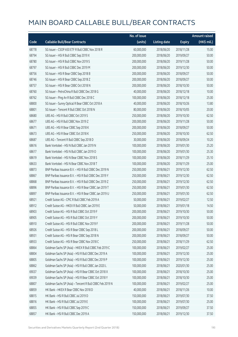|       |                                                          | No. of issue |                     |               | <b>Amount raised</b> |
|-------|----------------------------------------------------------|--------------|---------------------|---------------|----------------------|
| Code  | <b>Callable Bull/Bear Contracts</b>                      | (units)      | <b>Listing date</b> | <b>Expiry</b> | $(HK\$ mil.)         |
| 68778 | SG Issuer - CSOP A50 ETF R Bull CBBC Nov 2018 R          | 60,000,000   | 2018/06/20          | 2018/11/28    | 15.00                |
| 68794 | SG Issuer - HSI R Bull CBBC Sep 2019 X                   | 200,000,000  | 2018/06/20          | 2019/09/27    | 50.00                |
| 68780 | SG Issuer - HSI R Bull CBBC Nov 2019 S                   | 200,000,000  | 2018/06/20          | 2019/11/28    | 50.00                |
| 68797 | SG Issuer - HSI R Bull CBBC Dec 2019 M                   | 200,000,000  | 2018/06/20          | 2019/12/30    | 50.00                |
| 68756 | SG Issuer - HSI R Bear CBBC Sep 2018 B                   | 200,000,000  | 2018/06/20          | 2018/09/27    | 50.00                |
| 68746 | SG Issuer - HSI R Bear CBBC Sep 2018 Z                   | 200,000,000  | 2018/06/20          | 2018/09/27    | 50.00                |
| 68757 | SG Issuer - HSI R Bear CBBC Oct 2018 N                   | 200,000,000  | 2018/06/20          | 2018/10/30    | 50.00                |
| 68760 | SG Issuer - PetroChina R Bull CBBC Dec 2018 G            | 40,000,000   | 2018/06/20          | 2018/12/18    | 10.00                |
| 68762 | SG Issuer - Ping An R Bull CBBC Dec 2018 C               | 100,000,000  | 2018/06/20          | 2018/12/18    | 25.00                |
| 68800 | SG Issuer - Sunny Optical R Bear CBBC Oct 2018 A         | 40,000,000   | 2018/06/20          | 2018/10/26    | 13.80                |
| 68801 | SG Issuer - Tencent R Bull CBBC Oct 2018 N               | 80,000,000   | 2018/06/20          | 2018/10/05    | 20.00                |
| 68680 | UBS AG - HSI R Bull CBBC Oct 2019 S                      | 250,000,000  | 2018/06/20          | 2019/10/30    | 62.50                |
| 68677 | UBS AG - HSI R Bull CBBC Nov 2019 Z                      | 200,000,000  | 2018/06/20          | 2019/11/28    | 50.00                |
| 68671 | UBS AG - HSI R Bear CBBC Sep 2018 K                      | 200,000,000  | 2018/06/20          | 2018/09/27    | 50.00                |
| 68673 | UBS AG - HSI R Bear CBBC Oct 2018 K                      | 250,000,000  | 2018/06/20          | 2018/10/30    | 62.50                |
| 68687 | UBS AG - Tencent R Bull CBBC Sep 2018 D                  | 30,000,000   | 2018/06/20          | 2018/09/24    | 10.20                |
| 68616 | Bank Vontobel - HSI N Bull CBBC Jan 2019 N               | 100,000,000  | 2018/06/20          | 2019/01/30    | 25.20                |
| 68617 | Bank Vontobel - HSI N Bull CBBC Jan 2019 O               | 100,000,000  | 2018/06/20          | 2019/01/30    | 25.30                |
| 68619 | Bank Vontobel - HSI N Bear CBBC Nov 2018 S               | 100,000,000  | 2018/06/20          | 2018/11/29    | 25.10                |
| 68633 | Bank Vontobel - HSI N Bear CBBC Nov 2018 T               | 100,000,000  | 2018/06/20          | 2018/11/29    | 25.00                |
| 68873 | BNP Paribas Issuance B.V. - HSI R Bull CBBC Dec 2019 N   | 250,000,000  | 2018/06/21          | 2019/12/30    | 62.50                |
| 68867 | BNP Paribas Issuance B.V. - HSI R Bull CBBC Dec 2019 Y   | 250,000,000  | 2018/06/21          | 2019/12/30    | 62.50                |
| 68868 | BNP Paribas Issuance B.V. - HSI R Bull CBBC Dec 2019 Z   | 250,000,000  | 2018/06/21          | 2019/12/30    | 62.50                |
| 68896 | BNP Paribas Issuance B.V. - HSI R Bear CBBC Jan 2019 T   | 250,000,000  | 2018/06/21          | 2019/01/30    | 62.50                |
| 68897 | BNP Paribas Issuance B.V. - HSI R Bear CBBC Jan 2019 U   | 250,000,000  | 2018/06/21          | 2019/01/30    | 62.50                |
| 68921 | Credit Suisse AG - CPIC R Bull CBBC Feb 2019 A           | 50,000,000   | 2018/06/21          | 2019/02/27    | 12.50                |
| 68912 | Credit Suisse AG - HKEX R Bull CBBC Jan 2019 E           | 50,000,000   | 2018/06/21          | 2019/01/18    | 14.50                |
| 68903 | Credit Suisse AG - HSI R Bull CBBC Oct 2019 F            | 200,000,000  | 2018/06/21          | 2019/10/30    | 50.00                |
| 68905 | Credit Suisse AG - HSI R Bull CBBC Oct 2019 Y            | 200,000,000  | 2018/06/21          | 2019/10/30    | 50.00                |
| 68910 | Credit Suisse AG - HSI R Bull CBBC Nov 2019 F            | 200,000,000  | 2018/06/21          | 2019/11/28    | 50.00                |
| 68926 | Credit Suisse AG - HSI R Bear CBBC Sep 2018 L            | 200,000,000  | 2018/06/21          | 2018/09/27    | 50.00                |
| 68931 | Credit Suisse AG - HSI R Bear CBBC Sep 2018 N            | 200,000,000  | 2018/06/21          | 2018/09/27    | 50.00                |
| 68933 | Credit Suisse AG - HSI R Bear CBBC Nov 2018 C            | 250,000,000  | 2018/06/21          | 2018/11/29    | 62.50                |
| 68864 | Goldman Sachs SP (Asia) - HKEX R Bull CBBC Feb 2019 C    | 100,000,000  | 2018/06/21          | 2019/02/27    | 25.00                |
| 68804 | Goldman Sachs SP (Asia) - HSI R Bull CBBC Dec 2019 A     | 100,000,000  | 2018/06/21          | 2019/12/30    | 25.00                |
| 68805 | Goldman Sachs SP (Asia) - HSI R Bull CBBC Dec 2019 P     | 100,000,000  | 2018/06/21          | 2019/12/30    | 25.00                |
| 68862 | Goldman Sachs SP (Asia) - HSI R Bull CBBC Jan 2020 L     | 100,000,000  | 2018/06/21          | 2020/01/30    | 25.00                |
| 69037 | Goldman Sachs SP (Asia) - HSI R Bear CBBC Oct 2018 X     | 100,000,000  | 2018/06/21          | 2018/10/30    | 25.00                |
| 69039 | Goldman Sachs SP (Asia) - HSI R Bear CBBC Oct 2018 Y     | 100,000,000  | 2018/06/21          | 2018/10/30    | 25.00                |
| 68807 | Goldman Sachs SP (Asia) - Tencent R Bull CBBC Feb 2019 N | 100,000,000  | 2018/06/21          | 2019/02/27    | 25.00                |
| 68859 | HK Bank - HKEX R Bear CBBC Nov 2018 D                    | 40,000,000   | 2018/06/21          | 2018/11/26    | 10.00                |
| 68815 | HK Bank - HSI R Bull CBBC Jul 2019 D                     | 150,000,000  | 2018/06/21          | 2019/07/30    | 37.50                |
| 68816 | HK Bank - HSI R Bull CBBC Jul 2019 E                     | 100,000,000  | 2018/06/21          | 2019/07/30    | 25.00                |
| 68855 | HK Bank - HSI R Bull CBBC Sep 2019 C                     | 150,000,000  | 2018/06/21          | 2019/09/27    | 37.50                |
| 68857 | HK Bank - HSI R Bull CBBC Dec 2019 A                     | 150,000,000  | 2018/06/21          | 2019/12/30    | 37.50                |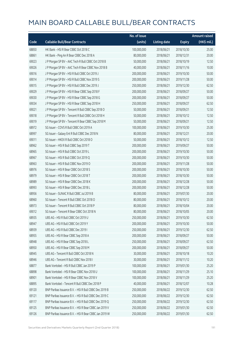|       |                                                        | No. of issue |                     |               | <b>Amount raised</b>  |
|-------|--------------------------------------------------------|--------------|---------------------|---------------|-----------------------|
| Code  | <b>Callable Bull/Bear Contracts</b>                    | (units)      | <b>Listing date</b> | <b>Expiry</b> | $(HK\frac{1}{2}mil.)$ |
| 68850 | HK Bank - HSI R Bear CBBC Oct 2018 C                   | 100,000,000  | 2018/06/21          | 2018/10/30    | 25.00                 |
| 68861 | HK Bank - Ping An R Bear CBBC Dec 2018 A               | 80,000,000   | 2018/06/21          | 2018/12/31    | 20.00                 |
| 69023 | J P Morgan SP BV - AAC Tech R Bull CBBC Oct 2018 B     | 50,000,000   | 2018/06/21          | 2018/10/19    | 12.50                 |
| 69026 | J P Morgan SP BV - AAC Tech R Bear CBBC Nov 2018 B     | 40,000,000   | 2018/06/21          | 2018/11/16    | 10.00                 |
| 69016 | JP Morgan SP BV - HSIR Bull CBBC Oct 2019 J            | 200,000,000  | 2018/06/21          | 2019/10/30    | 50.00                 |
| 69014 | J P Morgan SP BV - HSI R Bull CBBC Nov 2019 S          | 200,000,000  | 2018/06/21          | 2019/11/28    | 50.00                 |
| 69015 | J P Morgan SP BV - HSI R Bull CBBC Dec 2019 J          | 250,000,000  | 2018/06/21          | 2019/12/30    | 62.50                 |
| 69029 | J P Morgan SP BV - HSI R Bear CBBC Sep 2018 F          | 200,000,000  | 2018/06/21          | 2018/09/27    | 50.00                 |
| 69030 | J P Morgan SP BV - HSI R Bear CBBC Sep 2018 G          | 200,000,000  | 2018/06/21          | 2018/09/27    | 50.00                 |
| 69034 | J P Morgan SP BV - HSI R Bear CBBC Sep 2018 H          | 250,000,000  | 2018/06/21          | 2018/09/27    | 62.50                 |
| 69021 | J P Morgan SP BV - Tencent R Bull CBBC Sep 2018 O      | 50,000,000   | 2018/06/21          | 2018/09/21    | 12.50                 |
| 69018 | J P Morgan SP BV - Tencent R Bull CBBC Oct 2018 H      | 50,000,000   | 2018/06/21          | 2018/10/12    | 12.50                 |
| 69019 | J P Morgan SP BV - Tencent R Bear CBBC Sep 2018 M      | 50,000,000   | 2018/06/21          | 2018/09/21    | 12.50                 |
| 68972 | SG Issuer - COVS R Bull CBBC Oct 2019 A                | 100,000,000  | 2018/06/21          | 2019/10/30    | 25.00                 |
| 68997 | SG Issuer - Galaxy Ent R Bull CBBC Dec 2018 N          | 80,000,000   | 2018/06/21          | 2018/12/21    | 20.00                 |
| 69011 | SG Issuer - HKEX R Bull CBBC Oct 2018 O                | 50,000,000   | 2018/06/21          | 2018/10/12    | 12.50                 |
| 68962 | SG Issuer - HSI R Bull CBBC Sep 2019 T                 | 200,000,000  | 2018/06/21          | 2019/09/27    | 50.00                 |
| 68965 | SG Issuer - HSI R Bull CBBC Oct 2019 L                 | 200,000,000  | 2018/06/21          | 2019/10/30    | 50.00                 |
| 68967 | SG Issuer - HSI R Bull CBBC Oct 2019 Q                 | 200,000,000  | 2018/06/21          | 2019/10/30    | 50.00                 |
| 68963 | SG Issuer - HSI R Bull CBBC Nov 2019 O                 | 200,000,000  | 2018/06/21          | 2019/11/28    | 50.00                 |
| 68976 | SG Issuer - HSI R Bear CBBC Oct 2018 S                 | 200,000,000  | 2018/06/21          | 2018/10/30    | 50.00                 |
| 68979 | SG Issuer - HSI R Bear CBBC Oct 2018 T                 | 200,000,000  | 2018/06/21          | 2018/10/30    | 50.00                 |
| 68989 | SG Issuer - HSI R Bear CBBC Dec 2018 K                 | 200,000,000  | 2018/06/21          | 2018/12/28    | 50.00                 |
| 68993 | SG Issuer - HSI R Bear CBBC Dec 2018 L                 | 200,000,000  | 2018/06/21          | 2018/12/28    | 50.00                 |
| 68956 | SG Issuer - SUNAC R Bull CBBC Jul 2019 B               | 80,000,000   | 2018/06/21          | 2019/07/30    | 20.00                 |
| 68960 | SG Issuer - Tencent R Bull CBBC Oct 2018 O             | 80,000,000   | 2018/06/21          | 2018/10/12    | 20.00                 |
| 68973 | SG Issuer - Tencent R Bull CBBC Oct 2018 P             | 80,000,000   | 2018/06/21          | 2018/10/04    | 20.00                 |
| 69012 | SG Issuer - Tencent R Bear CBBC Oct 2018 N             | 80,000,000   | 2018/06/21          | 2018/10/05    | 20.00                 |
| 68935 | UBS AG - HSI R Bull CBBC Oct 2019 U                    | 250,000,000  | 2018/06/21          | 2019/10/30    | 62.50                 |
| 68947 | UBS AG - HSI R Bull CBBC Oct 2019 Y                    | 200,000,000  | 2018/06/21          | 2019/10/30    | 50.00                 |
| 68939 | UBS AG - HSI R Bull CBBC Dec 2019 I                    | 250,000,000  | 2018/06/21          | 2019/12/30    | 62.50                 |
| 68955 | UBS AG - HSI R Bear CBBC Sep 2018 A                    | 200,000,000  | 2018/06/21          | 2018/09/27    | 50.00                 |
| 68948 | UBS AG - HSI R Bear CBBC Sep 2018 L                    | 250,000,000  | 2018/06/21          | 2018/09/27    | 62.50                 |
| 68950 | UBS AG - HSI R Bear CBBC Sep 2018 M                    | 200,000,000  | 2018/06/21          | 2018/09/27    | 50.00                 |
| 68945 | UBS AG - Tencent R Bull CBBC Oct 2018 N                | 30,000,000   | 2018/06/21          | 2018/10/18    | 10.20                 |
| 68946 | UBS AG - Tencent R Bull CBBC Nov 2018 I                | 30,000,000   | 2018/06/21          | 2018/11/12    | 10.20                 |
| 68877 | Bank Vontobel - HSI R Bull CBBC Jan 2019 P             | 100,000,000  | 2018/06/21          | 2019/01/30    | 25.20                 |
| 68898 | Bank Vontobel - HSI R Bear CBBC Nov 2018 U             | 100,000,000  | 2018/06/21          | 2018/11/29    | 25.10                 |
| 68901 | Bank Vontobel - HSI R Bear CBBC Nov 2018 V             | 100,000,000  | 2018/06/21          | 2018/11/29    | 25.20                 |
| 68895 | Bank Vontobel - Tencent R Bull CBBC Dec 2018 P         | 40,000,000   | 2018/06/21          | 2018/12/07    | 10.28                 |
| 69120 | BNP Paribas Issuance B.V. - HSI R Bull CBBC Dec 2019 B | 250,000,000  | 2018/06/22          | 2019/12/30    | 62.50                 |
| 69121 | BNP Paribas Issuance B.V. - HSI R Bull CBBC Dec 2019 C | 250,000,000  | 2018/06/22          | 2019/12/30    | 62.50                 |
| 69117 | BNP Paribas Issuance B.V. - HSI R Bull CBBC Dec 2019 Q | 250,000,000  | 2018/06/22          | 2019/12/30    | 62.50                 |
| 69125 | BNP Paribas Issuance B.V. - HSI R Bear CBBC Jan 2019 V | 250,000,000  | 2018/06/22          | 2019/01/30    | 62.50                 |
| 69126 | BNP Paribas Issuance B.V. - HSI R Bear CBBC Jan 2019 W | 250,000,000  | 2018/06/22          | 2019/01/30    | 62.50                 |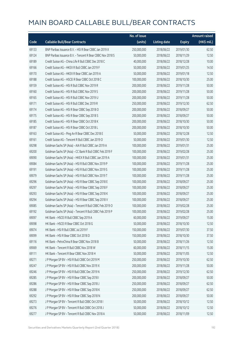|       |                                                            | No. of issue |                     |               | <b>Amount raised</b> |
|-------|------------------------------------------------------------|--------------|---------------------|---------------|----------------------|
| Code  | <b>Callable Bull/Bear Contracts</b>                        | (units)      | <b>Listing date</b> | <b>Expiry</b> | (HK\$ mil.)          |
| 69133 | BNP Paribas Issuance B.V. - HSI R Bear CBBC Jan 2019 X     | 250,000,000  | 2018/06/22          | 2019/01/30    | 62.50                |
| 69124 | BNP Paribas Issuance B.V. - Tencent R Bear CBBC Nov 2018 S | 50,000,000   | 2018/06/22          | 2018/11/29    | 12.50                |
| 69189 | Credit Suisse AG - China Life R Bull CBBC Dec 2018 C       | 40,000,000   | 2018/06/22          | 2018/12/28    | 10.00                |
| 69166 | Credit Suisse AG - HKEX R Bull CBBC Jan 2019 F             | 50,000,000   | 2018/06/22          | 2019/01/25    | 14.50                |
| 69170 | Credit Suisse AG - HKEX R Bear CBBC Jan 2019 A             | 50,000,000   | 2018/06/22          | 2019/01/18    | 12.50                |
| 69188 | Credit Suisse AG - HSCEI R Bear CBBC Oct 2018 C            | 100,000,000  | 2018/06/22          | 2018/10/30    | 25.00                |
| 69159 | Credit Suisse AG - HSI R Bull CBBC Nov 2019 R              | 200,000,000  | 2018/06/22          | 2019/11/28    | 50.00                |
| 69160 | Credit Suisse AG - HSI R Bull CBBC Nov 2019 S              | 200,000,000  | 2018/06/22          | 2019/11/28    | 50.00                |
| 69165 | Credit Suisse AG - HSI R Bull CBBC Nov 2019 U              | 200,000,000  | 2018/06/22          | 2019/11/28    | 50.00                |
| 69171 | Credit Suisse AG - HSI R Bull CBBC Dec 2019 R              | 250,000,000  | 2018/06/22          | 2019/12/30    | 62.50                |
| 69174 | Credit Suisse AG - HSI R Bear CBBC Sep 2018 O              | 200,000,000  | 2018/06/22          | 2018/09/27    | 50.00                |
| 69175 | Credit Suisse AG - HSI R Bear CBBC Sep 2018 S              | 200,000,000  | 2018/06/22          | 2018/09/27    | 50.00                |
| 69185 | Credit Suisse AG - HSI R Bear CBBC Oct 2018 K              | 200,000,000  | 2018/06/22          | 2018/10/30    | 50.00                |
| 69187 | Credit Suisse AG - HSI R Bear CBBC Oct 2018 L              | 200,000,000  | 2018/06/22          | 2018/10/30    | 50.00                |
| 69163 | Credit Suisse AG - Ping An R Bear CBBC Dec 2018 E          | 50,000,000   | 2018/06/22          | 2018/12/28    | 12.50                |
| 69161 | Credit Suisse AG - Tencent R Bull CBBC Jan 2019 O          | 50,000,000   | 2018/06/22          | 2019/01/30    | 12.50                |
| 69298 | Goldman Sachs SP (Asia) - AIA R Bull CBBC Jan 2019 A       | 100,000,000  | 2018/06/22          | 2019/01/31    | 25.00                |
| 69200 | Goldman Sachs SP (Asia) - CC Bank R Bull CBBC Feb 2019 F   | 100,000,000  | 2018/06/22          | 2019/02/28    | 25.00                |
| 69090 | Goldman Sachs SP (Asia) - HKEX R Bull CBBC Jan 2019 A      | 100,000,000  | 2018/06/22          | 2019/01/31    | 25.00                |
| 69084 | Goldman Sachs SP (Asia) - HSI R Bull CBBC Nov 2019 P       | 100,000,000  | 2018/06/22          | 2019/11/28    | 25.00                |
| 69191 | Goldman Sachs SP (Asia) - HSI R Bull CBBC Nov 2019 S       | 100,000,000  | 2018/06/22          | 2019/11/28    | 25.00                |
| 69079 | Goldman Sachs SP (Asia) - HSI R Bull CBBC Nov 2019 T       | 100,000,000  | 2018/06/22          | 2019/11/28    | 25.00                |
| 69296 | Goldman Sachs SP (Asia) - HSI R Bear CBBC Sep 2018 E       | 100,000,000  | 2018/06/22          | 2018/09/27    | 25.00                |
| 69297 | Goldman Sachs SP (Asia) - HSI R Bear CBBC Sep 2018 F       | 100,000,000  | 2018/06/22          | 2018/09/27    | 25.00                |
| 69293 | Goldman Sachs SP (Asia) - HSI R Bear CBBC Sep 2018 K       | 100,000,000  | 2018/06/22          | 2018/09/27    | 25.00                |
| 69294 | Goldman Sachs SP (Asia) - HSI R Bear CBBC Sep 2018 V       | 100,000,000  | 2018/06/22          | 2018/09/27    | 25.00                |
| 69085 | Goldman Sachs SP (Asia) - Tencent R Bull CBBC Feb 2019 O   | 100,000,000  | 2018/06/22          | 2019/02/28    | 25.00                |
| 69192 | Goldman Sachs SP (Asia) - Tencent R Bull CBBC Feb 2019 P   | 100,000,000  | 2018/06/22          | 2019/02/28    | 25.00                |
| 69097 | HK Bank - HSCEI R Bull CBBC Sep 2019 A                     | 60,000,000   | 2018/06/22          | 2019/09/27    | 15.00                |
| 69098 | HK Bank - HSCEI R Bear CBBC Oct 2018 G                     | 50,000,000   | 2018/06/22          | 2018/10/30    | 12.50                |
| 69074 | HK Bank - HSI R Bull CBBC Jul 2019 F                       | 150,000,000  | 2018/06/22          | 2019/07/30    | 37.50                |
| 69099 | HK Bank - HSI R Bear CBBC Oct 2018 D                       | 150,000,000  | 2018/06/22          | 2018/10/30    | 37.50                |
| 69116 | HK Bank - PetroChina R Bear CBBC Nov 2018 B                | 50,000,000   | 2018/06/22          | 2018/11/26    | 12.50                |
| 69069 | HK Bank - Tencent R Bull CBBC Nov 2018 W                   | 60,000,000   | 2018/06/22          | 2018/11/15    | 15.00                |
| 69111 | HK Bank - Tencent R Bear CBBC Nov 2018 H                   | 50,000,000   | 2018/06/22          | 2018/11/05    | 12.50                |
| 69271 | J P Morgan SP BV - HSI R Bull CBBC Oct 2019 M              | 250,000,000  | 2018/06/22          | 2019/10/30    | 62.50                |
| 69247 | J P Morgan SP BV - HSI R Bull CBBC Nov 2019 X              | 200,000,000  | 2018/06/22          | 2019/11/28    | 50.00                |
| 69246 | J P Morgan SP BV - HSI R Bull CBBC Dec 2019 N              | 250,000,000  | 2018/06/22          | 2019/12/30    | 62.50                |
| 69285 | J P Morgan SP BV - HSI R Bear CBBC Sep 2018 I              | 200,000,000  | 2018/06/22          | 2018/09/27    | 50.00                |
| 69286 | J P Morgan SP BV - HSI R Bear CBBC Sep 2018 J              | 250,000,000  | 2018/06/22          | 2018/09/27    | 62.50                |
| 69288 | J P Morgan SP BV - HSI R Bear CBBC Sep 2018 K              | 250,000,000  | 2018/06/22          | 2018/09/27    | 62.50                |
| 69292 | J P Morgan SP BV - HSI R Bear CBBC Sep 2018 N              | 200,000,000  | 2018/06/22          | 2018/09/27    | 50.00                |
| 69273 | JP Morgan SP BV - Tencent R Bull CBBC Oct 2018 I           | 50,000,000   | 2018/06/22          | 2018/10/12    | 12.50                |
| 69276 | J P Morgan SP BV - Tencent R Bull CBBC Oct 2018 J          | 50,000,000   | 2018/06/22          | 2018/10/12    | 12.50                |
| 69277 | J P Morgan SP BV - Tencent R Bull CBBC Nov 2018 A          | 50,000,000   | 2018/06/22          | 2018/11/09    | 12.50                |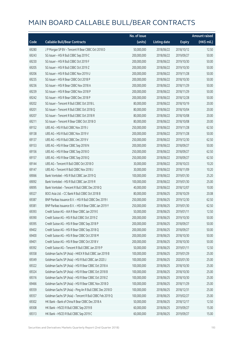|       |                                                          | No. of issue |                     |               | <b>Amount raised</b> |
|-------|----------------------------------------------------------|--------------|---------------------|---------------|----------------------|
| Code  | <b>Callable Bull/Bear Contracts</b>                      | (units)      | <b>Listing date</b> | <b>Expiry</b> | (HK\$ mil.)          |
| 69280 | J P Morgan SP BV - Tencent R Bear CBBC Oct 2018 D        | 50,000,000   | 2018/06/22          | 2018/10/12    | 12.50                |
| 69243 | SG Issuer - HSI R Bull CBBC Sep 2019 C                   | 200,000,000  | 2018/06/22          | 2019/09/27    | 50.00                |
| 69230 | SG Issuer - HSI R Bull CBBC Oct 2019 F                   | 200,000,000  | 2018/06/22          | 2019/10/30    | 50.00                |
| 69205 | SG Issuer - HSI R Bull CBBC Oct 2019 Z                   | 200,000,000  | 2018/06/22          | 2019/10/30    | 50.00                |
| 69206 | SG Issuer - HSI R Bull CBBC Nov 2019 U                   | 200,000,000  | 2018/06/22          | 2019/11/28    | 50.00                |
| 69235 | SG Issuer - HSI R Bear CBBC Oct 2018 P                   | 200,000,000  | 2018/06/22          | 2018/10/30    | 50.00                |
| 69236 | SG Issuer - HSI R Bear CBBC Nov 2018 A                   | 200,000,000  | 2018/06/22          | 2018/11/29    | 50.00                |
| 69239 | SG Issuer - HSI R Bear CBBC Nov 2018 P                   | 200,000,000  | 2018/06/22          | 2018/11/29    | 50.00                |
| 69242 | SG Issuer - HSI R Bear CBBC Dec 2018 P                   | 200,000,000  | 2018/06/22          | 2018/12/28    | 50.00                |
| 69202 | SG Issuer - Tencent R Bull CBBC Oct 2018 L               | 80,000,000   | 2018/06/22          | 2018/10/19    | 20.00                |
| 69201 | SG Issuer - Tencent R Bull CBBC Oct 2018 Q               | 80,000,000   | 2018/06/22          | 2018/10/04    | 20.00                |
| 69207 | SG Issuer - Tencent R Bull CBBC Oct 2018 R               | 80,000,000   | 2018/06/22          | 2018/10/08    | 20.00                |
| 69211 | SG Issuer - Tencent R Bear CBBC Oct 2018 O               | 80,000,000   | 2018/06/22          | 2018/10/08    | 20.00                |
| 69152 | UBS AG - HSI R Bull CBBC Nov 2019 J                      | 250,000,000  | 2018/06/22          | 2019/11/28    | 62.50                |
| 69138 | UBS AG - HSI R Bull CBBC Nov 2019 V                      | 200,000,000  | 2018/06/22          | 2019/11/28    | 50.00                |
| 69137 | UBS AG - HSI R Bull CBBC Dec 2019 V                      | 250,000,000  | 2018/06/22          | 2019/12/30    | 62.50                |
| 69153 | UBS AG - HSI R Bear CBBC Sep 2018 N                      | 200,000,000  | 2018/06/22          | 2018/09/27    | 50.00                |
| 69156 | UBS AG - HSI R Bear CBBC Sep 2018 O                      | 250,000,000  | 2018/06/22          | 2018/09/27    | 62.50                |
| 69157 | UBS AG - HSI R Bear CBBC Sep 2018 Q                      | 250,000,000  | 2018/06/22          | 2018/09/27    | 62.50                |
| 69144 | UBS AG - Tencent R Bull CBBC Oct 2018 O                  | 30,000,000   | 2018/06/22          | 2018/10/23    | 10.20                |
| 69147 | UBS AG - Tencent R Bull CBBC Nov 2018 J                  | 30,000,000   | 2018/06/22          | 2018/11/09    | 10.20                |
| 69066 | Bank Vontobel - HSI R Bull CBBC Jan 2019 Q               | 100,000,000  | 2018/06/22          | 2019/01/30    | 25.20                |
| 69092 | Bank Vontobel - HSI R Bull CBBC Jan 2019 R               | 100,000,000  | 2018/06/22          | 2019/01/30    | 25.00                |
| 69095 | Bank Vontobel - Tencent R Bull CBBC Dec 2018 Q           | 40,000,000   | 2018/06/22          | 2018/12/07    | 10.00                |
| 69327 | BOCI Asia Ltd. - CC Bank R Bull CBBC Oct 2018 B          | 80,000,000   | 2018/06/25          | 2018/10/29    | 20.08                |
| 69387 | BNP Paribas Issuance B.V. - HSI R Bull CBBC Dec 2019 I   | 250,000,000  | 2018/06/25          | 2019/12/30    | 62.50                |
| 69381 | BNP Paribas Issuance B.V. - HSI R Bear CBBC Jan 2019 Y   | 250,000,000  | 2018/06/25          | 2019/01/30    | 62.50                |
| 69393 | Credit Suisse AG - AIA R Bear CBBC Jan 2019 E            | 50,000,000   | 2018/06/25          | 2019/01/11    | 12.50                |
| 69390 | Credit Suisse AG - HSI R Bull CBBC Oct 2019 Z            | 200,000,000  | 2018/06/25          | 2019/10/30    | 50.00                |
| 69395 | Credit Suisse AG - HSI R Bear CBBC Sep 2018 P            | 200,000,000  | 2018/06/25          | 2018/09/27    | 50.00                |
| 69402 | Credit Suisse AG - HSI R Bear CBBC Sep 2018 Q            | 200,000,000  | 2018/06/25          | 2018/09/27    | 50.00                |
| 69400 | Credit Suisse AG - HSI R Bear CBBC Oct 2018 M            | 200,000,000  | 2018/06/25          | 2018/10/30    | 50.00                |
| 69401 | Credit Suisse AG - HSI R Bear CBBC Oct 2018 V            | 200,000,000  | 2018/06/25          | 2018/10/30    | 50.00                |
| 69392 | Credit Suisse AG - Tencent R Bull CBBC Jan 2019 P        | 50,000,000   | 2018/06/25          | 2019/01/11    | 12.50                |
| 69358 | Goldman Sachs SP (Asia) - HKEX R Bull CBBC Jan 2019 B    | 100,000,000  | 2018/06/25          | 2019/01/29    | 25.00                |
| 69349 | Goldman Sachs SP (Asia) - HSI R Bull CBBC Jan 2020 J     | 100,000,000  | 2018/06/25          | 2020/01/30    | 25.00                |
| 69322 | Goldman Sachs SP (Asia) - HSI R Bear CBBC Oct 2018 A     | 100,000,000  | 2018/06/25          | 2018/10/30    | 25.00                |
| 69324 | Goldman Sachs SP (Asia) - HSI R Bear CBBC Oct 2018 B     | 100,000,000  | 2018/06/25          | 2018/10/30    | 25.00                |
| 69316 | Goldman Sachs SP (Asia) - HSI R Bear CBBC Oct 2018 Z     | 100,000,000  | 2018/06/25          | 2018/10/30    | 25.00                |
| 69466 | Goldman Sachs SP (Asia) - HSI R Bear CBBC Nov 2018 D     | 100,000,000  | 2018/06/25          | 2018/11/29    | 25.00                |
| 69359 | Goldman Sachs SP (Asia) - Ping An R Bull CBBC Dec 2018 D | 100,000,000  | 2018/06/25          | 2018/12/31    | 25.00                |
| 69357 | Goldman Sachs SP (Asia) - Tencent R Bull CBBC Feb 2019 Q | 100,000,000  | 2018/06/25          | 2019/02/27    | 25.00                |
| 69302 | HK Bank - Bank of China R Bear CBBC Dec 2018 A           | 50,000,000   | 2018/06/25          | 2018/12/17    | 12.50                |
| 69308 | HK Bank - HSCEI R Bull CBBC Sep 2019 B                   | 60,000,000   | 2018/06/25          | 2019/09/27    | 15.00                |
| 69313 | HK Bank - HSCEI R Bull CBBC Sep 2019 C                   | 60,000,000   | 2018/06/25          | 2019/09/27    | 15.00                |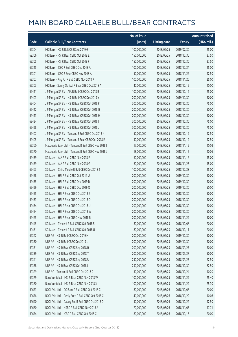|       |                                                      | No. of issue |                     |               | <b>Amount raised</b> |
|-------|------------------------------------------------------|--------------|---------------------|---------------|----------------------|
| Code  | <b>Callable Bull/Bear Contracts</b>                  | (units)      | <b>Listing date</b> | <b>Expiry</b> | (HK\$ mil.)          |
| 69304 | HK Bank - HSI R Bull CBBC Jul 2019 G                 | 100,000,000  | 2018/06/25          | 2019/07/30    | 25.00                |
| 69306 | HK Bank - HSI R Bear CBBC Oct 2018 E                 | 150,000,000  | 2018/06/25          | 2018/10/30    | 37.50                |
| 69305 | HK Bank - HSI R Bear CBBC Oct 2018 F                 | 150,000,000  | 2018/06/25          | 2018/10/30    | 37.50                |
| 69315 | HK Bank - ICBC R Bull CBBC Dec 2018 A                | 100,000,000  | 2018/06/25          | 2018/12/24    | 25.00                |
| 69301 | HK Bank - ICBC R Bear CBBC Nov 2018 A                | 50,000,000   | 2018/06/25          | 2018/11/26    | 12.50                |
| 69307 | HK Bank - Ping An R Bull CBBC Nov 2018 P             | 100,000,000  | 2018/06/25          | 2018/11/26    | 25.00                |
| 69303 | HK Bank - Sunny Optical R Bear CBBC Oct 2018 A       | 40,000,000   | 2018/06/25          | 2018/10/15    | 10.00                |
| 69411 | J P Morgan SP BV - AIA R Bull CBBC Oct 2018 B        | 100,000,000  | 2018/06/25          | 2018/10/12    | 25.00                |
| 69403 | J P Morgan SP BV - HSI R Bull CBBC Dec 2019 Y        | 200,000,000  | 2018/06/25          | 2019/12/30    | 50.00                |
| 69404 | J P Morgan SP BV - HSI R Bear CBBC Oct 2018 F        | 300,000,000  | 2018/06/25          | 2018/10/30    | 75.00                |
| 69412 | J P Morgan SP BV - HSI R Bear CBBC Oct 2018 G        | 200,000,000  | 2018/06/25          | 2018/10/30    | 50.00                |
| 69413 | J P Morgan SP BV - HSI R Bear CBBC Oct 2018 H        | 200,000,000  | 2018/06/25          | 2018/10/30    | 50.00                |
| 69424 | J P Morgan SP BV - HSI R Bear CBBC Oct 2018 I        | 300,000,000  | 2018/06/25          | 2018/10/30    | 75.00                |
| 69428 | JP Morgan SP BV - HSIR Bear CBBC Oct 2018 J          | 300,000,000  | 2018/06/25          | 2018/10/30    | 75.00                |
| 69407 | JP Morgan SP BV - Tencent R Bull CBBC Oct 2018 K     | 50,000,000   | 2018/06/25          | 2018/10/19    | 12.50                |
| 69405 | J P Morgan SP BV - Tencent R Bear CBBC Oct 2018 E    | 50,000,000   | 2018/06/25          | 2018/10/19    | 12.50                |
| 69360 | Macquarie Bank Ltd. - Tencent R Bull CBBC Nov 2018 I | 17,000,000   | 2018/06/25          | 2018/11/15    | 10.08                |
| 69370 | Macquarie Bank Ltd. - Tencent R Bull CBBC Nov 2018 J | 18,000,000   | 2018/06/25          | 2018/11/15    | 10.06                |
| 69439 | SG Issuer - AIA R Bull CBBC Nov 2018 F               | 60,000,000   | 2018/06/25          | 2018/11/16    | 15.00                |
| 69459 | SG Issuer - AIA R Bull CBBC Nov 2018 G               | 60,000,000   | 2018/06/25          | 2018/11/23    | 15.00                |
| 69463 | SG Issuer - China Mobile R Bull CBBC Dec 2018 T      | 100,000,000  | 2018/06/25          | 2018/12/28    | 25.00                |
| 69458 | SG Issuer - HSI R Bull CBBC Oct 2019 U               | 200,000,000  | 2018/06/25          | 2019/10/30    | 50.00                |
| 69435 | SG Issuer - HSI R Bull CBBC Dec 2019 D               | 200,000,000  | 2018/06/25          | 2019/12/30    | 50.00                |
| 69429 | SG Issuer - HSI R Bull CBBC Dec 2019 Q               | 200,000,000  | 2018/06/25          | 2019/12/30    | 50.00                |
| 69455 | SG Issuer - HSI R Bear CBBC Oct 2018 J               | 200,000,000  | 2018/06/25          | 2018/10/30    | 50.00                |
| 69433 | SG Issuer - HSI R Bear CBBC Oct 2018 O               | 200,000,000  | 2018/06/25          | 2018/10/30    | 50.00                |
| 69434 | SG Issuer - HSI R Bear CBBC Oct 2018 U               | 200,000,000  | 2018/06/25          | 2018/10/30    | 50.00                |
| 69454 | SG Issuer – HSI R Bear CBBC Oct 2018 W               | 200,000,000  | 2018/06/25          | 2018/10/30    | 50.00                |
| 69465 | SG Issuer - HSI R Bear CBBC Nov 2018 R               | 200,000,000  | 2018/06/25          | 2018/11/29    | 50.00                |
| 69445 | SG Issuer - Tencent R Bull CBBC Oct 2018 S           | 80,000,000   | 2018/06/25          | 2018/10/08    | 20.00                |
| 69451 | SG Issuer - Tencent R Bull CBBC Oct 2018 U           | 80,000,000   | 2018/06/25          | 2018/10/11    | 20.00                |
| 69342 | UBS AG - HSI R Bull CBBC Oct 2019 H                  | 200,000,000  | 2018/06/25          | 2019/10/30    | 50.00                |
| 69330 | UBS AG - HSI R Bull CBBC Dec 2019 L                  | 200,000,000  | 2018/06/25          | 2019/12/30    | 50.00                |
| 69331 | UBS AG - HSI R Bear CBBC Sep 2018 R                  | 200,000,000  | 2018/06/25          | 2018/09/27    | 50.00                |
| 69339 | UBS AG - HSI R Bear CBBC Sep 2018 T                  | 200,000,000  | 2018/06/25          | 2018/09/27    | 50.00                |
| 69341 | UBS AG - HSI R Bear CBBC Sep 2018 U                  | 250,000,000  | 2018/06/25          | 2018/09/27    | 62.50                |
| 69338 | UBS AG - HSI R Bear CBBC Oct 2018 L                  | 250,000,000  | 2018/06/25          | 2018/10/30    | 62.50                |
| 69329 | UBS AG - Tencent R Bull CBBC Oct 2018 R              | 30,000,000   | 2018/06/25          | 2018/10/24    | 10.20                |
| 69379 | Bank Vontobel - HSI R Bear CBBC Nov 2018 W           | 100,000,000  | 2018/06/25          | 2018/11/29    | 25.40                |
| 69380 | Bank Vontobel - HSI R Bear CBBC Nov 2018 X           | 100,000,000  | 2018/06/25          | 2018/11/29    | 25.30                |
| 69673 | BOCI Asia Ltd. - CC Bank R Bull CBBC Oct 2018 C      | 80,000,000   | 2018/06/26          | 2018/10/08    | 20.00                |
| 69676 | BOCI Asia Ltd. - Geely Auto R Bull CBBC Oct 2018 C   | 40,000,000   | 2018/06/26          | 2018/10/22    | 10.08                |
| 69690 | BOCI Asia Ltd. - Galaxy Ent R Bull CBBC Oct 2018 D   | 50,000,000   | 2018/06/26          | 2018/10/22    | 12.50                |
| 69680 | BOCI Asia Ltd. - HSBC R Bull CBBC Nov 2018 A         | 70,000,000   | 2018/06/26          | 2018/11/05    | 17.71                |
| 69674 | BOCI Asia Ltd. - ICBC R Bull CBBC Oct 2018 C         | 80,000,000   | 2018/06/26          | 2018/10/15    | 20.00                |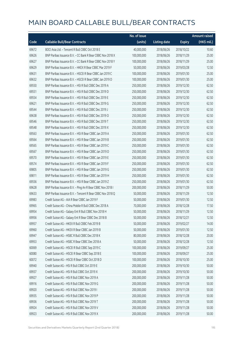|       |                                                            | No. of issue |                     |               | <b>Amount raised</b> |
|-------|------------------------------------------------------------|--------------|---------------------|---------------|----------------------|
| Code  | <b>Callable Bull/Bear Contracts</b>                        | (units)      | <b>Listing date</b> | <b>Expiry</b> | (HK\$ mil.)          |
| 69672 | BOCI Asia Ltd. - Tencent R Bull CBBC Oct 2018 E            | 40,000,000   | 2018/06/26          | 2018/10/22    | 10.60                |
| 69626 | BNP Paribas Issuance B.V. - CC Bank R Bear CBBC Nov 2018 X | 100,000,000  | 2018/06/26          | 2018/11/29    | 25.00                |
| 69627 | BNP Paribas Issuance B.V. - CC Bank R Bear CBBC Nov 2018 Y | 100,000,000  | 2018/06/26          | 2018/11/29    | 25.00                |
| 69629 | BNP Paribas Issuance B.V. - HKEX R Bear CBBC Mar 2019 F    | 50,000,000   | 2018/06/26          | 2019/03/28    | 12.50                |
| 69631 | BNP Paribas Issuance B.V. - HSCEI R Bear CBBC Jan 2019 C   | 100,000,000  | 2018/06/26          | 2019/01/30    | 25.00                |
| 69632 | BNP Paribas Issuance B.V. - HSCEI R Bear CBBC Jan 2019 D   | 100,000,000  | 2018/06/26          | 2019/01/30    | 25.00                |
| 69550 | BNP Paribas Issuance B.V. - HSI R Bull CBBC Dec 2019 A     | 250,000,000  | 2018/06/26          | 2019/12/30    | 62.50                |
| 69551 | BNP Paribas Issuance B.V. - HSI R Bull CBBC Dec 2019 D     | 250,000,000  | 2018/06/26          | 2019/12/30    | 62.50                |
| 69554 | BNP Paribas Issuance B.V. - HSI R Bull CBBC Dec 2019 E     | 250,000,000  | 2018/06/26          | 2019/12/30    | 62.50                |
| 69621 | BNP Paribas Issuance B.V. - HSI R Bull CBBC Dec 2019 G     | 250,000,000  | 2018/06/26          | 2019/12/30    | 62.50                |
| 69544 | BNP Paribas Issuance B.V. - HSI R Bull CBBC Dec 2019 J     | 250,000,000  | 2018/06/26          | 2019/12/30    | 62.50                |
| 69638 | BNP Paribas Issuance B.V. - HSI R Bull CBBC Dec 2019 O     | 250,000,000  | 2018/06/26          | 2019/12/30    | 62.50                |
| 69546 | BNP Paribas Issuance B.V. - HSI R Bull CBBC Dec 2019 T     | 250,000,000  | 2018/06/26          | 2019/12/30    | 62.50                |
| 69548 | BNP Paribas Issuance B.V. - HSI R Bull CBBC Dec 2019 X     | 250,000,000  | 2018/06/26          | 2019/12/30    | 62.50                |
| 69563 | BNP Paribas Issuance B.V. - HSI R Bear CBBC Jan 2019 A     | 250,000,000  | 2018/06/26          | 2019/01/30    | 62.50                |
| 69564 | BNP Paribas Issuance B.V. - HSI R Bear CBBC Jan 2019 B     | 250,000,000  | 2018/06/26          | 2019/01/30    | 62.50                |
| 69565 | BNP Paribas Issuance B.V. - HSI R Bear CBBC Jan 2019 C     | 250,000,000  | 2018/06/26          | 2019/01/30    | 62.50                |
| 69567 | BNP Paribas Issuance B.V. - HSI R Bear CBBC Jan 2019 D     | 250,000,000  | 2018/06/26          | 2019/01/30    | 62.50                |
| 69570 | BNP Paribas Issuance B.V. - HSI R Bear CBBC Jan 2019 E     | 250,000,000  | 2018/06/26          | 2019/01/30    | 62.50                |
| 69574 | BNP Paribas Issuance B.V. - HSI R Bear CBBC Jan 2019 F     | 250,000,000  | 2018/06/26          | 2019/01/30    | 62.50                |
| 69805 | BNP Paribas Issuance B.V. - HSI R Bear CBBC Jan 2019 G     | 250,000,000  | 2018/06/26          | 2019/01/30    | 62.50                |
| 69811 | BNP Paribas Issuance B.V. - HSI R Bear CBBC Jan 2019 H     | 250,000,000  | 2018/06/26          | 2019/01/30    | 62.50                |
| 69556 | BNP Paribas Issuance B.V. - HSI R Bear CBBC Jan 2019 Z     | 250,000,000  | 2018/06/26          | 2019/01/30    | 62.50                |
| 69628 | BNP Paribas Issuance B.V. - Ping An R Bear CBBC Nov 2018 I | 200,000,000  | 2018/06/26          | 2018/11/29    | 50.00                |
| 69633 | BNP Paribas Issuance B.V. - Tencent R Bear CBBC Nov 2018 Q | 50,000,000   | 2018/06/26          | 2018/11/29    | 12.50                |
| 69983 | Credit Suisse AG - AIA R Bear CBBC Jan 2019 F              | 50,000,000   | 2018/06/26          | 2019/01/30    | 12.50                |
| 69965 | Credit Suisse AG - China Mobile R Bull CBBC Dec 2018 A     | 70,000,000   | 2018/06/26          | 2018/12/28    | 17.50                |
| 69954 | Credit Suisse AG - Galaxy Ent R Bull CBBC Nov 2018 H       | 50,000,000   | 2018/06/26          | 2018/11/29    | 12.50                |
| 69956 | Credit Suisse AG - Galaxy Ent R Bear CBBC Dec 2018 B       | 50,000,000   | 2018/06/26          | 2018/12/21    | 12.50                |
| 69957 | Credit Suisse AG - HKEX R Bull CBBC Feb 2019 B             | 50,000,000   | 2018/06/26          | 2019/02/27    | 14.00                |
| 69960 | Credit Suisse AG - HKEX R Bear CBBC Jan 2019 B             | 50,000,000   | 2018/06/26          | 2019/01/30    | 12.50                |
| 69947 | Credit Suisse AG - HSBC R Bull CBBC Dec 2018 K             | 80,000,000   | 2018/06/26          | 2018/12/28    | 20.00                |
| 69953 | Credit Suisse AG - HSBC R Bear CBBC Dec 2018 A             | 50,000,000   | 2018/06/26          | 2018/12/28    | 12.50                |
| 60069 | Credit Suisse AG - HSCEI R Bull CBBC Sep 2019 C            | 100,000,000  | 2018/06/26          | 2019/09/27    | 25.00                |
| 60080 | Credit Suisse AG - HSCEI R Bear CBBC Sep 2018 E            | 100,000,000  | 2018/06/26          | 2018/09/27    | 25.00                |
| 60072 | Credit Suisse AG - HSCEI R Bear CBBC Oct 2018 D            | 100,000,000  | 2018/06/26          | 2018/10/30    | 25.00                |
| 69940 | Credit Suisse AG - HSI R Bull CBBC Oct 2019 E              | 200,000,000  | 2018/06/26          | 2019/10/30    | 50.00                |
| 69937 | Credit Suisse AG - HSI R Bull CBBC Oct 2019 X              | 200,000,000  | 2018/06/26          | 2019/10/30    | 50.00                |
| 69927 | Credit Suisse AG - HSI R Bull CBBC Nov 2019 A              | 200,000,000  | 2018/06/26          | 2019/11/28    | 50.00                |
| 69916 | Credit Suisse AG - HSI R Bull CBBC Nov 2019 G              | 200,000,000  | 2018/06/26          | 2019/11/28    | 50.00                |
| 69920 | Credit Suisse AG - HSI R Bull CBBC Nov 2019 I              | 200,000,000  | 2018/06/26          | 2019/11/28    | 50.00                |
| 69935 | Credit Suisse AG - HSI R Bull CBBC Nov 2019 P              | 200,000,000  | 2018/06/26          | 2019/11/28    | 50.00                |
| 69936 | Credit Suisse AG - HSI R Bull CBBC Nov 2019 T              | 200,000,000  | 2018/06/26          | 2019/11/28    | 50.00                |
| 69924 | Credit Suisse AG - HSI R Bull CBBC Nov 2019 V              | 200,000,000  | 2018/06/26          | 2019/11/28    | 50.00                |
| 69923 | Credit Suisse AG - HSI R Bull CBBC Nov 2019 X              | 200,000,000  | 2018/06/26          | 2019/11/28    | 50.00                |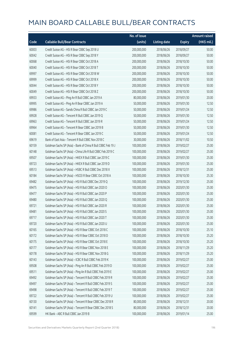|       |                                                              | No. of issue |                     |               | Amount raised |
|-------|--------------------------------------------------------------|--------------|---------------------|---------------|---------------|
| Code  | <b>Callable Bull/Bear Contracts</b>                          | (units)      | <b>Listing date</b> | <b>Expiry</b> | (HK\$ mil.)   |
| 60003 | Credit Suisse AG - HSI R Bear CBBC Sep 2018 U                | 200,000,000  | 2018/06/26          | 2018/09/27    | 50.00         |
| 60042 | Credit Suisse AG - HSI R Bear CBBC Sep 2018 Y                | 200,000,000  | 2018/06/26          | 2018/09/27    | 50.00         |
| 60068 | Credit Suisse AG - HSI R Bear CBBC Oct 2018 A                | 200,000,000  | 2018/06/26          | 2018/10/30    | 50.00         |
| 60040 | Credit Suisse AG - HSI R Bear CBBC Oct 2018 T                | 200,000,000  | 2018/06/26          | 2018/10/30    | 50.00         |
| 69997 | Credit Suisse AG - HSI R Bear CBBC Oct 2018 W                | 200,000,000  | 2018/06/26          | 2018/10/30    | 50.00         |
| 69999 | Credit Suisse AG - HSI R Bear CBBC Oct 2018 X                | 200,000,000  | 2018/06/26          | 2018/10/30    | 50.00         |
| 60044 | Credit Suisse AG - HSI R Bear CBBC Oct 2018 Y                | 200,000,000  | 2018/06/26          | 2018/10/30    | 50.00         |
| 60049 | Credit Suisse AG - HSI R Bear CBBC Oct 2018 Z                | 200,000,000  | 2018/06/26          | 2018/10/30    | 50.00         |
| 69933 | Credit Suisse AG - Ping An R Bull CBBC Jan 2019 A            | 80,000,000   | 2018/06/26          | 2019/01/30    | 20.00         |
| 69995 | Credit Suisse AG - Ping An R Bear CBBC Jan 2019 A            | 50,000,000   | 2018/06/26          | 2019/01/30    | 12.50         |
| 69986 | Credit Suisse AG - Sands China R Bull CBBC Jan 2019 C        | 50,000,000   | 2018/06/26          | 2019/01/24    | 12.50         |
| 69928 | Credit Suisse AG - Tencent R Bull CBBC Jan 2019 Q            | 50,000,000   | 2018/06/26          | 2019/01/30    | 12.50         |
| 69963 | Credit Suisse AG - Tencent R Bull CBBC Jan 2019 R            | 50,000,000   | 2018/06/26          | 2019/01/24    | 12.50         |
| 69964 | Credit Suisse AG - Tencent R Bear CBBC Jan 2019 B            | 50,000,000   | 2018/06/26          | 2019/01/30    | 12.50         |
| 60081 | Credit Suisse AG - Tencent R Bear CBBC Jan 2019 C            | 50,000,000   | 2018/06/26          | 2019/01/24    | 12.50         |
| 69619 | Bank of East Asia - Tencent R Bull CBBC Nov 2018 C           | 30,000,000   | 2018/06/26          | 2018/11/02    | 10.50         |
| 60159 | Goldman Sachs SP (Asia) - Bank of China R Bull CBBC Feb 19 J | 100,000,000  | 2018/06/26          | 2019/02/27    | 25.00         |
| 60148 | Goldman Sachs SP (Asia) - China Life R Bull CBBC Feb 2019 C  | 100,000,000  | 2018/06/26          | 2019/02/27    | 25.00         |
| 69507 | Goldman Sachs SP (Asia) - HKEX R Bull CBBC Jan 2019 C        | 100,000,000  | 2018/06/26          | 2019/01/30    | 25.00         |
| 69723 | Goldman Sachs SP (Asia) - HKEX R Bull CBBC Jan 2019 D        | 100,000,000  | 2018/06/26          | 2019/01/30    | 25.00         |
| 69513 | Goldman Sachs SP (Asia) - HSBC R Bull CBBC Dec 2018 X        | 100,000,000  | 2018/06/26          | 2018/12/31    | 25.00         |
| 60184 | Goldman Sachs SP (Asia) - HSCEI R Bear CBBC Oct 2018 A       | 100,000,000  | 2018/06/26          | 2018/10/30    | 25.30         |
| 69482 | Goldman Sachs SP (Asia) - HSI R Bull CBBC Dec 2019 Q         | 100,000,000  | 2018/06/26          | 2019/12/30    | 25.00         |
| 69475 | Goldman Sachs SP (Asia) - HSI R Bull CBBC Jan 2020 O         | 100,000,000  | 2018/06/26          | 2020/01/30    | 25.00         |
| 69477 | Goldman Sachs SP (Asia) - HSI R Bull CBBC Jan 2020 P         | 100,000,000  | 2018/06/26          | 2020/01/30    | 25.00         |
| 69480 | Goldman Sachs SP (Asia) - HSI R Bull CBBC Jan 2020 Q         | 100,000,000  | 2018/06/26          | 2020/01/30    | 25.00         |
| 69721 | Goldman Sachs SP (Asia) - HSI R Bull CBBC Jan 2020 R         | 100,000,000  | 2018/06/26          | 2020/01/30    | 25.00         |
| 69481 | Goldman Sachs SP (Asia) - HSI R Bull CBBC Jan 2020 S         | 100,000,000  | 2018/06/26          | 2020/01/30    | 25.00         |
| 69717 | Goldman Sachs SP (Asia) - HSI R Bull CBBC Jan 2020 T         | 100,000,000  | 2018/06/26          | 2020/01/30    | 25.00         |
| 69720 | Goldman Sachs SP (Asia) - HSI R Bull CBBC Jan 2020 U         | 100,000,000  | 2018/06/26          | 2020/01/30    | 25.00         |
| 60165 | Goldman Sachs SP (Asia) - HSI R Bear CBBC Oct 2018 C         | 100,000,000  | 2018/06/26          | 2018/10/30    | 25.10         |
| 60172 | Goldman Sachs SP (Asia) - HSI R Bear CBBC Oct 2018 D         | 100,000,000  | 2018/06/26          | 2018/10/30    | 25.20         |
| 60175 | Goldman Sachs SP (Asia) - HSI R Bear CBBC Oct 2018 E         | 100,000,000  | 2018/06/26          | 2018/10/30    | 25.20         |
| 60177 | Goldman Sachs SP (Asia) - HSI R Bear CBBC Nov 2018 E         | 100,000,000  | 2018/06/26          | 2018/11/29    | 25.20         |
| 60178 | Goldman Sachs SP (Asia) - HSI R Bear CBBC Nov 2018 G         | 100,000,000  | 2018/06/26          | 2018/11/29    | 25.20         |
| 60143 | Goldman Sachs SP (Asia) - ICBC R Bull CBBC Feb 2019 K        | 100,000,000  | 2018/06/26          | 2019/02/27    | 25.00         |
| 69508 | Goldman Sachs SP (Asia) - Ping An R Bull CBBC Feb 2019 D     | 100,000,000  | 2018/06/26          | 2019/02/27    | 25.00         |
| 69511 | Goldman Sachs SP (Asia) - Ping An R Bull CBBC Feb 2019 E     | 100,000,000  | 2018/06/26          | 2019/02/27    | 25.00         |
| 69492 | Goldman Sachs SP (Asia) - Tencent R Bull CBBC Feb 2019 R     | 100,000,000  | 2018/06/26          | 2019/02/27    | 25.00         |
| 69497 | Goldman Sachs SP (Asia) - Tencent R Bull CBBC Feb 2019 S     | 100,000,000  | 2018/06/26          | 2019/02/27    | 25.00         |
| 69498 | Goldman Sachs SP (Asia) - Tencent R Bull CBBC Feb 2019 T     | 100,000,000  | 2018/06/26          | 2019/02/27    | 25.00         |
| 69722 | Goldman Sachs SP (Asia) - Tencent R Bull CBBC Feb 2019 U     | 100,000,000  | 2018/06/26          | 2019/02/27    | 25.00         |
| 60130 | Goldman Sachs SP (Asia) - Tencent R Bear CBBC Dec 2018 R     | 80,000,000   | 2018/06/26          | 2018/12/31    | 20.00         |
| 60141 | Goldman Sachs SP (Asia) - Tencent R Bear CBBC Dec 2018 S     | 80,000,000   | 2018/06/26          | 2018/12/31    | 20.00         |
| 69599 | HK Bank - ABC R Bull CBBC Jan 2019 B                         | 100,000,000  | 2018/06/26          | 2019/01/14    | 25.00         |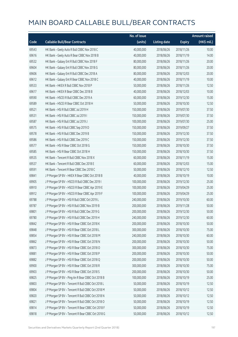|       |                                                   | No. of issue |                     |               | <b>Amount raised</b>  |
|-------|---------------------------------------------------|--------------|---------------------|---------------|-----------------------|
| Code  | <b>Callable Bull/Bear Contracts</b>               | (units)      | <b>Listing date</b> | <b>Expiry</b> | $(HK\frac{1}{2}mil.)$ |
| 69543 | HK Bank - Geely Auto R Bull CBBC Nov 2018 C       | 40,000,000   | 2018/06/26          | 2018/11/26    | 10.00                 |
| 69616 | HK Bank - Geely Auto R Bear CBBC Nov 2018 B       | 40,000,000   | 2018/06/26          | 2018/11/19    | 14.00                 |
| 69532 | HK Bank - Galaxy Ent R Bull CBBC Nov 2018 F       | 80,000,000   | 2018/06/26          | 2018/11/26    | 20.00                 |
| 69604 | HK Bank - Galaxy Ent R Bull CBBC Nov 2018 G       | 80,000,000   | 2018/06/26          | 2018/11/26    | 20.00                 |
| 69606 | HK Bank - Galaxy Ent R Bull CBBC Dec 2018 A       | 80,000,000   | 2018/06/26          | 2018/12/03    | 20.00                 |
| 69612 | HK Bank - Galaxy Ent R Bear CBBC Nov 2018 C       | 40,000,000   | 2018/06/26          | 2018/11/19    | 10.00                 |
| 69533 | HK Bank - HKEX R Bull CBBC Nov 2018 P             | 50,000,000   | 2018/06/26          | 2018/11/26    | 12.50                 |
| 69617 | HK Bank - HKEX R Bear CBBC Dec 2018 B             | 40,000,000   | 2018/06/26          | 2018/12/03    | 10.00                 |
| 69590 | HK Bank - HSCEI R Bull CBBC Dec 2019 A            | 60,000,000   | 2018/06/26          | 2019/12/30    | 15.00                 |
| 69589 | HK Bank - HSCEI R Bear CBBC Oct 2018 H            | 50,000,000   | 2018/06/26          | 2018/10/30    | 12.50                 |
| 69521 | HK Bank - HSI R Bull CBBC Jul 2019 H              | 150,000,000  | 2018/06/26          | 2019/07/30    | 37.50                 |
| 69531 | HK Bank - HSI R Bull CBBC Jul 2019 I              | 150,000,000  | 2018/06/26          | 2019/07/30    | 37.50                 |
| 69587 | HK Bank - HSI R Bull CBBC Jul 2019 J              | 100,000,000  | 2018/06/26          | 2019/07/30    | 25.00                 |
| 69575 | HK Bank - HSI R Bull CBBC Sep 2019 D              | 150,000,000  | 2018/06/26          | 2019/09/27    | 37.50                 |
| 69578 | HK Bank - HSI R Bull CBBC Dec 2019 B              | 150,000,000  | 2018/06/26          | 2019/12/30    | 37.50                 |
| 69586 | HK Bank - HSI R Bull CBBC Dec 2019 C              | 150,000,000  | 2018/06/26          | 2019/12/30    | 37.50                 |
| 69577 | HK Bank - HSI R Bear CBBC Oct 2018 G              | 150,000,000  | 2018/06/26          | 2018/10/30    | 37.50                 |
| 69585 | HK Bank - HSI R Bear CBBC Oct 2018 H              | 150,000,000  | 2018/06/26          | 2018/10/30    | 37.50                 |
| 69535 | HK Bank - Tencent R Bull CBBC Nov 2018 X          | 60,000,000   | 2018/06/26          | 2018/11/19    | 15.00                 |
| 69537 | HK Bank - Tencent R Bull CBBC Dec 2018 E          | 60,000,000   | 2018/06/26          | 2018/12/03    | 15.00                 |
| 69591 | HK Bank - Tencent R Bear CBBC Dec 2018 C          | 50,000,000   | 2018/06/26          | 2018/12/10    | 12.50                 |
| 69841 | J P Morgan SP BV - HKEX R Bear CBBC Oct 2018 B    | 40,000,000   | 2018/06/26          | 2018/10/19    | 10.00                 |
| 69905 | J P Morgan SP BV - HSCEI R Bull CBBC Dec 2019 I   | 100,000,000  | 2018/06/26          | 2019/12/30    | 25.00                 |
| 69910 | J P Morgan SP BV - HSCEI R Bear CBBC Apr 2019 E   | 100,000,000  | 2018/06/26          | 2019/04/29    | 25.00                 |
| 69912 | J P Morgan SP BV - HSCEI R Bear CBBC Apr 2019 F   | 100,000,000  | 2018/06/26          | 2019/04/29    | 25.00                 |
| 69788 | JP Morgan SP BV - HSIR Bull CBBC Oct 2019 L       | 240,000,000  | 2018/06/26          | 2019/10/30    | 60.00                 |
| 69787 | J P Morgan SP BV - HSI R Bull CBBC Nov 2019 B     | 200,000,000  | 2018/06/26          | 2019/11/28    | 50.00                 |
| 69801 | J P Morgan SP BV - HSI R Bull CBBC Dec 2019 G     | 200,000,000  | 2018/06/26          | 2019/12/30    | 50.00                 |
| 69780 | J P Morgan SP BV - HSI R Bull CBBC Dec 2019 H     | 240,000,000  | 2018/06/26          | 2019/12/30    | 60.00                 |
| 69842 | J P Morgan SP BV - HSI R Bear CBBC Oct 2018 K     | 200,000,000  | 2018/06/26          | 2018/10/30    | 50.00                 |
| 69848 | JP Morgan SP BV - HSIR Bear CBBC Oct 2018 L       | 300,000,000  | 2018/06/26          | 2018/10/30    | 75.00                 |
| 69854 | J P Morgan SP BV - HSI R Bear CBBC Oct 2018 M     | 240,000,000  | 2018/06/26          | 2018/10/30    | 60.00                 |
| 69862 | J P Morgan SP BV - HSI R Bear CBBC Oct 2018 N     | 200,000,000  | 2018/06/26          | 2018/10/30    | 50.00                 |
| 69873 | J P Morgan SP BV - HSI R Bear CBBC Oct 2018 O     | 300,000,000  | 2018/06/26          | 2018/10/30    | 75.00                 |
| 69881 | J P Morgan SP BV - HSI R Bear CBBC Oct 2018 P     | 200,000,000  | 2018/06/26          | 2018/10/30    | 50.00                 |
| 69882 | J P Morgan SP BV - HSI R Bear CBBC Oct 2018 Q     | 200,000,000  | 2018/06/26          | 2018/10/30    | 50.00                 |
| 69900 | J P Morgan SP BV - HSI R Bear CBBC Oct 2018 R     | 300,000,000  | 2018/06/26          | 2018/10/30    | 75.00                 |
| 69903 | J P Morgan SP BV - HSI R Bear CBBC Oct 2018 S     | 200,000,000  | 2018/06/26          | 2018/10/30    | 50.00                 |
| 69825 | J P Morgan SP BV - Ping An R Bear CBBC Oct 2018 B | 100,000,000  | 2018/06/26          | 2018/10/19    | 25.00                 |
| 69803 | J P Morgan SP BV - Tencent R Bull CBBC Oct 2018 L | 50,000,000   | 2018/06/26          | 2018/10/19    | 12.50                 |
| 69804 | J P Morgan SP BV - Tencent R Bull CBBC Oct 2018 M | 50,000,000   | 2018/06/26          | 2018/10/12    | 12.50                 |
| 69820 | J P Morgan SP BV - Tencent R Bull CBBC Oct 2018 N | 50,000,000   | 2018/06/26          | 2018/10/12    | 12.50                 |
| 69821 | J P Morgan SP BV - Tencent R Bull CBBC Oct 2018 O | 50,000,000   | 2018/06/26          | 2018/10/19    | 12.50                 |
| 69814 | JP Morgan SP BV - Tencent R Bear CBBC Oct 2018 F  | 50,000,000   | 2018/06/26          | 2018/10/19    | 12.50                 |
| 69818 | J P Morgan SP BV - Tencent R Bear CBBC Oct 2018 G | 50,000,000   | 2018/06/26          | 2018/10/12    | 12.50                 |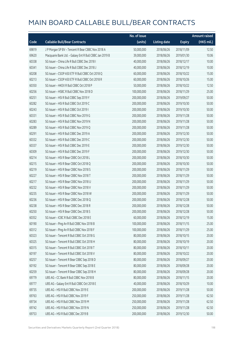|       |                                                         | No. of issue |                     |               | Amount raised |
|-------|---------------------------------------------------------|--------------|---------------------|---------------|---------------|
| Code  | <b>Callable Bull/Bear Contracts</b>                     | (units)      | <b>Listing date</b> | <b>Expiry</b> | $(HK\$ mil.)  |
| 69819 | J P Morgan SP BV - Tencent R Bear CBBC Nov 2018 A       | 50,000,000   | 2018/06/26          | 2018/11/09    | 12.50         |
| 69620 | Macquarie Bank Ltd. - Galaxy Ent R Bull CBBC Jan 2019 B | 39,000,000   | 2018/06/26          | 2019/01/30    | 10.06         |
| 60338 | SG Issuer - China Life R Bull CBBC Dec 2018 I           | 40,000,000   | 2018/06/26          | 2018/12/17    | 10.00         |
| 60341 | SG Issuer - China Life R Bull CBBC Dec 2018 J           | 40,000,000   | 2018/06/26          | 2018/12/19    | 10.00         |
| 60208 | SG Issuer - CSOP A50 ETF R Bull CBBC Oct 2018 Q         | 60,000,000   | 2018/06/26          | 2018/10/22    | 15.00         |
| 60213 | SG Issuer - CSOP A50 ETF R Bull CBBC Oct 2018 R         | 60,000,000   | 2018/06/26          | 2018/10/26    | 15.00         |
| 60350 | SG Issuer - HKEX R Bull CBBC Oct 2018 P                 | 50,000,000   | 2018/06/26          | 2018/10/22    | 12.50         |
| 60256 | SG Issuer - HSBC R Bull CBBC Nov 2018 D                 | 100,000,000  | 2018/06/26          | 2018/11/29    | 25.00         |
| 60251 | SG Issuer - HSI R Bull CBBC Sep 2019 Y                  | 200,000,000  | 2018/06/26          | 2019/09/27    | 50.00         |
| 60282 | SG Issuer - HSI R Bull CBBC Oct 2019 C                  | 200,000,000  | 2018/06/26          | 2019/10/30    | 50.00         |
| 60243 | SG Issuer - HSI R Bull CBBC Oct 2019 I                  | 200,000,000  | 2018/06/26          | 2019/10/30    | 50.00         |
| 60331 | SG Issuer - HSI R Bull CBBC Nov 2019 G                  | 200,000,000  | 2018/06/26          | 2019/11/28    | 50.00         |
| 60283 | SG Issuer - HSI R Bull CBBC Nov 2019 N                  | 200,000,000  | 2018/06/26          | 2019/11/28    | 50.00         |
| 60289 | SG Issuer - HSI R Bull CBBC Nov 2019 Q                  | 200,000,000  | 2018/06/26          | 2019/11/28    | 50.00         |
| 60291 | SG Issuer - HSI R Bull CBBC Dec 2019 A                  | 200,000,000  | 2018/06/26          | 2019/12/30    | 50.00         |
| 60332 | SG Issuer - HSI R Bull CBBC Dec 2019 C                  | 200,000,000  | 2018/06/26          | 2019/12/30    | 50.00         |
| 60337 | SG Issuer - HSI R Bull CBBC Dec 2019 E                  | 200,000,000  | 2018/06/26          | 2019/12/30    | 50.00         |
| 60309 | SG Issuer - HSI R Bull CBBC Dec 2019 F                  | 200,000,000  | 2018/06/26          | 2019/12/30    | 50.00         |
| 60214 | SG Issuer - HSI R Bear CBBC Oct 2018 L                  | 200,000,000  | 2018/06/26          | 2018/10/30    | 50.00         |
| 60215 | SG Issuer - HSI R Bear CBBC Oct 2018 Q                  | 200,000,000  | 2018/06/26          | 2018/10/30    | 50.00         |
| 60219 | SG Issuer - HSI R Bear CBBC Nov 2018 S                  | 200,000,000  | 2018/06/26          | 2018/11/29    | 50.00         |
| 60227 | SG Issuer - HSI R Bear CBBC Nov 2018 T                  | 200,000,000  | 2018/06/26          | 2018/11/29    | 50.00         |
| 60217 | SG Issuer - HSI R Bear CBBC Nov 2018 U                  | 200,000,000  | 2018/06/26          | 2018/11/29    | 50.00         |
| 60232 | SG Issuer - HSI R Bear CBBC Nov 2018 V                  | 200,000,000  | 2018/06/26          | 2018/11/29    | 50.00         |
| 60235 | SG Issuer - HSI R Bear CBBC Nov 2018 W                  | 200,000,000  | 2018/06/26          | 2018/11/29    | 50.00         |
| 60236 | SG Issuer - HSI R Bear CBBC Dec 2018 Q                  | 200,000,000  | 2018/06/26          | 2018/12/28    | 50.00         |
| 60238 | SG Issuer - HSI R Bear CBBC Dec 2018 R                  | 200,000,000  | 2018/06/26          | 2018/12/28    | 50.00         |
| 60250 | SG Issuer - HSI R Bear CBBC Dec 2018 S                  | 200,000,000  | 2018/06/26          | 2018/12/28    | 50.00         |
| 60352 | SG Issuer - ICBC R Bull CBBC Dec 2018 E                 | 60,000,000   | 2018/06/26          | 2018/12/19    | 15.00         |
| 60190 | SG Issuer - Ping An R Bull CBBC Nov 2018 B              | 100,000,000  | 2018/06/26          | 2018/11/15    | 25.00         |
| 60312 | SG Issuer - Ping An R Bull CBBC Nov 2018 F              | 100,000,000  | 2018/06/26          | 2018/11/29    | 25.00         |
| 60323 | SG Issuer - Tencent R Bull CBBC Oct 2018 G              | 80,000,000   | 2018/06/26          | 2018/10/15    | 20.00         |
| 60325 | SG Issuer - Tencent R Bull CBBC Oct 2018 H              | 80,000,000   | 2018/06/26          | 2018/10/19    | 20.00         |
| 60315 | SG Issuer - Tencent R Bull CBBC Oct 2018 T              | 80,000,000   | 2018/06/26          | 2018/10/11    | 20.00         |
| 60197 | SG Issuer - Tencent R Bull CBBC Oct 2018 V              | 80,000,000   | 2018/06/26          | 2018/10/22    | 20.00         |
| 60257 | SG Issuer - Tencent R Bear CBBC Sep 2018 D              | 80,000,000   | 2018/06/26          | 2018/09/27    | 20.00         |
| 60192 | SG Issuer - Tencent R Bear CBBC Sep 2018 E              | 80,000,000   | 2018/06/26          | 2018/09/28    | 20.00         |
| 60259 | SG Issuer - Tencent R Bear CBBC Sep 2018 H              | 80,000,000   | 2018/06/26          | 2018/09/28    | 20.00         |
| 69779 | UBS AG - CC Bank R Bull CBBC Nov 2018 B                 | 80,000,000   | 2018/06/26          | 2018/11/15    | 20.00         |
| 69777 | UBS AG - Galaxy Ent R Bull CBBC Oct 2018 E              | 40,000,000   | 2018/06/26          | 2018/10/29    | 10.00         |
| 69735 | UBS AG - HSI R Bull CBBC Nov 2019 E                     | 200,000,000  | 2018/06/26          | 2019/11/28    | 50.00         |
| 69763 | UBS AG - HSI R Bull CBBC Nov 2019 F                     | 250,000,000  | 2018/06/26          | 2019/11/28    | 62.50         |
| 69734 | UBS AG - HSI R Bull CBBC Nov 2019 M                     | 250,000,000  | 2018/06/26          | 2019/11/28    | 62.50         |
| 69742 | UBS AG - HSI R Bull CBBC Nov 2019 N                     | 250,000,000  | 2018/06/26          | 2019/11/28    | 62.50         |
| 69753 | UBS AG - HSI R Bull CBBC Dec 2019 B                     | 200,000,000  | 2018/06/26          | 2019/12/30    | 50.00         |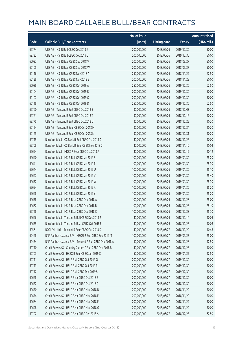|       |                                                            | No. of issue |                     |               | <b>Amount raised</b> |
|-------|------------------------------------------------------------|--------------|---------------------|---------------|----------------------|
| Code  | <b>Callable Bull/Bear Contracts</b>                        | (units)      | <b>Listing date</b> | <b>Expiry</b> | (HK\$ mil.)          |
| 69774 | UBS AG - HSI R Bull CBBC Dec 2019 J                        | 200,000,000  | 2018/06/26          | 2019/12/30    | 50.00                |
| 69732 | UBS AG - HSI R Bull CBBC Dec 2019 Q                        | 200,000,000  | 2018/06/26          | 2019/12/30    | 50.00                |
| 60087 | UBS AG - HSI R Bear CBBC Sep 2018 V                        | 200,000,000  | 2018/06/26          | 2018/09/27    | 50.00                |
| 60105 | UBS AG - HSI R Bear CBBC Sep 2018 W                        | 200,000,000  | 2018/06/26          | 2018/09/27    | 50.00                |
| 60116 | UBS AG - HSI R Bear CBBC Nov 2018 A                        | 250,000,000  | 2018/06/26          | 2018/11/29    | 62.50                |
| 60128 | UBS AG - HSI R Bear CBBC Nov 2018 B                        | 200,000,000  | 2018/06/26          | 2018/11/29    | 50.00                |
| 60088 | UBS AG - HSI R Bear CBBC Oct 2019 A                        | 250,000,000  | 2018/06/26          | 2019/10/30    | 62.50                |
| 60104 | UBS AG - HSI R Bear CBBC Oct 2019 B                        | 200,000,000  | 2018/06/26          | 2019/10/30    | 50.00                |
| 60107 | UBS AG - HSI R Bear CBBC Oct 2019 C                        | 200,000,000  | 2018/06/26          | 2019/10/30    | 50.00                |
| 60118 | UBS AG - HSI R Bear CBBC Oct 2019 D                        | 250,000,000  | 2018/06/26          | 2019/10/30    | 62.50                |
| 69760 | UBS AG - Tencent R Bull CBBC Oct 2018 S                    | 30,000,000   | 2018/06/26          | 2018/10/03    | 10.20                |
| 69761 | UBS AG - Tencent R Bull CBBC Oct 2018 T                    | 30,000,000   | 2018/06/26          | 2018/10/16    | 10.20                |
| 69775 | UBS AG - Tencent R Bull CBBC Oct 2018 U                    | 30,000,000   | 2018/06/26          | 2018/10/25    | 10.20                |
| 60124 | UBS AG - Tencent R Bear CBBC Oct 2018 M                    | 30,000,000   | 2018/06/26          | 2018/10/24    | 10.20                |
| 60125 | UBS AG - Tencent R Bear CBBC Oct 2018 N                    | 30,000,000   | 2018/06/26          | 2018/10/31    | 10.20                |
| 69715 | Bank Vontobel - CC Bank R Bull CBBC Oct 2018 D             | 40,000,000   | 2018/06/26          | 2018/10/26    | 10.00                |
| 69708 | Bank Vontobel - CC Bank R Bear CBBC Nov 2018 C             | 40,000,000   | 2018/06/26          | 2018/11/16    | 10.04                |
| 69694 | Bank Vontobel - HKEX R Bear CBBC Oct 2018 A                | 40,000,000   | 2018/06/26          | 2018/10/19    | 10.12                |
| 69640 | Bank Vontobel - HSI R Bull CBBC Jan 2019 S                 | 100,000,000  | 2018/06/26          | 2019/01/30    | 25.20                |
| 69641 | Bank Vontobel - HSI R Bull CBBC Jan 2019 T                 | 100,000,000  | 2018/06/26          | 2019/01/30    | 25.30                |
| 69644 | Bank Vontobel - HSI R Bull CBBC Jan 2019 U                 | 100,000,000  | 2018/06/26          | 2019/01/30    | 25.10                |
| 69647 | Bank Vontobel - HSI R Bull CBBC Jan 2019 V                 | 100,000,000  | 2018/06/26          | 2019/01/30    | 25.40                |
| 69652 | Bank Vontobel - HSI R Bull CBBC Jan 2019 W                 | 100,000,000  | 2018/06/26          | 2019/01/30    | 25.30                |
| 69654 | Bank Vontobel - HSI R Bull CBBC Jan 2019 X                 | 100,000,000  | 2018/06/26          | 2019/01/30    | 25.20                |
| 69668 | Bank Vontobel - HSI R Bull CBBC Jan 2019 Y                 | 100,000,000  | 2018/06/26          | 2019/01/30    | 25.20                |
| 69658 | Bank Vontobel - HSI R Bear CBBC Dec 2018 A                 | 100,000,000  | 2018/06/26          | 2018/12/28    | 25.00                |
| 69662 | Bank Vontobel - HSI R Bear CBBC Dec 2018 B                 | 100,000,000  | 2018/06/26          | 2018/12/28    | 25.10                |
| 69728 | Bank Vontobel - HSI R Bear CBBC Dec 2018 C                 | 100,000,000  | 2018/06/26          | 2018/12/28    | 25.70                |
| 69646 | Bank Vontobel - Tencent R Bull CBBC Dec 2018 R             | 40,000,000   | 2018/06/26          | 2018/12/14    | 10.04                |
| 69655 | Bank Vontobel - Tencent R Bear CBBC Oct 2018 E             | 40,000,000   | 2018/06/26          | 2018/10/26    | 10.08                |
| 60561 | BOCI Asia Ltd. - Tencent R Bear CBBC Oct 2018 D            | 40,000,000   | 2018/06/27          | 2018/10/29    | 10.48                |
| 60468 | BNP Paribas Issuance B.V. - HSCEI R Bull CBBC Sep 2019 M   | 100,000,000  | 2018/06/27          | 2019/09/27    | 25.00                |
| 60454 | BNP Paribas Issuance B.V. - Tencent R Bull CBBC Dec 2018 A | 50,000,000   | 2018/06/27          | 2018/12/28    | 12.50                |
| 60710 | Credit Suisse AG - Country Garden R Bull CBBC Dec 2018 B   | 40,000,000   | 2018/06/27          | 2018/12/28    | 10.00                |
| 60703 | Credit Suisse AG - HKEX R Bear CBBC Jan 2019 C             | 50,000,000   | 2018/06/27          | 2019/01/25    | 12.50                |
| 60711 | Credit Suisse AG - HSI R Bull CBBC Oct 2019 G              | 200,000,000  | 2018/06/27          | 2019/10/30    | 50.00                |
| 60713 | Credit Suisse AG - HSI R Bull CBBC Oct 2019 R              | 200,000,000  | 2018/06/27          | 2019/10/30    | 50.00                |
| 60712 | Credit Suisse AG - HSI R Bull CBBC Dec 2019 S              | 200,000,000  | 2018/06/27          | 2019/12/30    | 50.00                |
| 60668 | Credit Suisse AG - HSI R Bear CBBC Oct 2018 B              | 200,000,000  | 2018/06/27          | 2018/10/30    | 50.00                |
| 60672 | Credit Suisse AG - HSI R Bear CBBC Oct 2018 C              | 200,000,000  | 2018/06/27          | 2018/10/30    | 50.00                |
| 60670 | Credit Suisse AG - HSI R Bear CBBC Nov 2018 D              | 200,000,000  | 2018/06/27          | 2018/11/29    | 50.00                |
| 60674 | Credit Suisse AG - HSI R Bear CBBC Nov 2018 E              | 200,000,000  | 2018/06/27          | 2018/11/29    | 50.00                |
| 60684 | Credit Suisse AG - HSI R Bear CBBC Nov 2018 F              | 200,000,000  | 2018/06/27          | 2018/11/29    | 50.00                |
| 60698 | Credit Suisse AG - HSI R Bear CBBC Nov 2018 G              | 200,000,000  | 2018/06/27          | 2018/11/29    | 50.00                |
| 60702 | Credit Suisse AG - HSI R Bear CBBC Dec 2018 A              | 250,000,000  | 2018/06/27          | 2018/12/28    | 62.50                |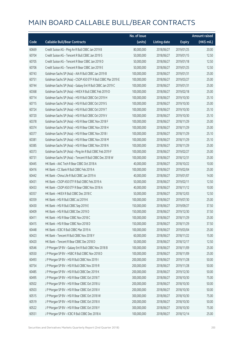|       |                                                               | No. of issue |                     |               | <b>Amount raised</b> |
|-------|---------------------------------------------------------------|--------------|---------------------|---------------|----------------------|
| Code  | <b>Callable Bull/Bear Contracts</b>                           | (units)      | <b>Listing date</b> | <b>Expiry</b> | (HK\$ mil.)          |
| 60669 | Credit Suisse AG - Ping An R Bull CBBC Jan 2019 B             | 80,000,000   | 2018/06/27          | 2019/01/25    | 20.00                |
| 60704 | Credit Suisse AG - Tencent R Bull CBBC Jan 2019 S             | 50,000,000   | 2018/06/27          | 2019/01/15    | 12.50                |
| 60705 | Credit Suisse AG - Tencent R Bear CBBC Jan 2019 D             | 50,000,000   | 2018/06/27          | 2019/01/18    | 12.50                |
| 60706 | Credit Suisse AG - Tencent R Bear CBBC Jan 2019 E             | 50,000,000   | 2018/06/27          | 2019/01/25    | 12.50                |
| 60743 | Goldman Sachs SP (Asia) - AIA R Bull CBBC Jan 2019 B          | 100,000,000  | 2018/06/27          | 2019/01/31    | 25.00                |
| 60751 | Goldman Sachs SP (Asia) - CSOP A50 ETF R Bull CBBC Mar 2019 E | 100,000,000  | 2018/06/27          | 2019/03/27    | 25.00                |
| 60744 | Goldman Sachs SP (Asia) - Galaxy Ent R Bull CBBC Jan 2019 C   | 100,000,000  | 2018/06/27          | 2019/01/31    | 25.00                |
| 60368 | Goldman Sachs SP (Asia) - HKEX R Bull CBBC Feb 2019 D         | 100,000,000  | 2018/06/27          | 2019/02/18    | 25.00                |
| 60714 | Goldman Sachs SP (Asia) - HSI R Bull CBBC Oct 2019 H          | 100,000,000  | 2018/06/27          | 2019/10/30    | 25.10                |
| 60715 | Goldman Sachs SP (Asia) - HSI R Bull CBBC Oct 2019 S          | 100,000,000  | 2018/06/27          | 2019/10/30    | 25.00                |
| 60724 | Goldman Sachs SP (Asia) - HSI R Bull CBBC Oct 2019 T          | 100,000,000  | 2018/06/27          | 2019/10/30    | 25.10                |
| 60720 | Goldman Sachs SP (Asia) - HSI R Bull CBBC Oct 2019 V          | 100,000,000  | 2018/06/27          | 2019/10/30    | 25.10                |
| 60378 | Goldman Sachs SP (Asia) - HSI R Bear CBBC Nov 2018 F          | 100,000,000  | 2018/06/27          | 2018/11/29    | 25.00                |
| 60374 | Goldman Sachs SP (Asia) - HSI R Bear CBBC Nov 2018 H          | 100,000,000  | 2018/06/27          | 2018/11/29    | 25.00                |
| 60377 | Goldman Sachs SP (Asia) - HSI R Bear CBBC Nov 2018 I          | 100,000,000  | 2018/06/27          | 2018/11/29    | 25.10                |
| 60381 | Goldman Sachs SP (Asia) - HSI R Bear CBBC Nov 2018 M          | 100,000,000  | 2018/06/27          | 2018/11/29    | 25.10                |
| 60385 | Goldman Sachs SP (Asia) - HSI R Bear CBBC Nov 2018 N          | 100,000,000  | 2018/06/27          | 2018/11/29    | 25.00                |
| 60373 | Goldman Sachs SP (Asia) - Ping An R Bull CBBC Feb 2019 F      | 100,000,000  | 2018/06/27          | 2019/02/27    | 25.00                |
| 60731 | Goldman Sachs SP (Asia) - Tencent R Bull CBBC Dec 2018 W      | 100,000,000  | 2018/06/27          | 2018/12/31    | 25.00                |
| 60445 | HK Bank - AAC Tech R Bear CBBC Oct 2018 A                     | 40,000,000   | 2018/06/27          | 2018/10/22    | 10.00                |
| 60416 | HK Bank - CC Bank R Bull CBBC Feb 2019 A                      | 100,000,000  | 2018/06/27          | 2019/02/04    | 25.00                |
| 60442 | HK Bank - China Life R Bull CBBC Jan 2019 A                   | 40,000,000   | 2018/06/27          | 2019/01/07    | 14.00                |
| 60431 | HK Bank - CSOP A50 ETF R Bull CBBC Feb 2019 A                 | 50,000,000   | 2018/06/27          | 2019/02/11    | 12.50                |
| 60433 | HK Bank - CSOP A50 ETF R Bear CBBC Nov 2018 A                 | 40,000,000   | 2018/06/27          | 2018/11/12    | 10.00                |
| 60357 | HK Bank - HKEX R Bull CBBC Dec 2018 C                         | 50,000,000   | 2018/06/27          | 2018/12/03    | 12.50                |
| 60359 | HK Bank - HSI R Bull CBBC Jul 2019 K                          | 100,000,000  | 2018/06/27          | 2019/07/30    | 25.00                |
| 60430 | HK Bank - HSI R Bull CBBC Sep 2019 E                          | 150,000,000  | 2018/06/27          | 2019/09/27    | 37.50                |
| 60409 | HK Bank - HSI R Bull CBBC Dec 2019 D                          | 150,000,000  | 2018/06/27          | 2019/12/30    | 37.50                |
| 60411 | HK Bank - HSI R Bear CBBC Nov 2018 C                          | 100,000,000  | 2018/06/27          | 2018/11/29    | 25.00                |
| 60415 | HK Bank - HSI R Bear CBBC Nov 2018 D                          | 150,000,000  | 2018/06/27          | 2018/11/29    | 37.50                |
| 60448 | HK Bank - ICBC R Bull CBBC Mar 2019 A                         | 100,000,000  | 2018/06/27          | 2019/03/04    | 25.00                |
| 60423 | HK Bank - Tencent R Bull CBBC Nov 2018 Y                      | 60,000,000   | 2018/06/27          | 2018/11/22    | 15.00                |
| 60420 | HK Bank - Tencent R Bear CBBC Dec 2018 D                      | 50,000,000   | 2018/06/27          | 2018/12/17    | 12.50                |
| 60546 | J P Morgan SP BV - Galaxy Ent R Bull CBBC Nov 2018 B          | 100,000,000  | 2018/06/27          | 2018/11/09    | 25.00                |
| 60550 | J P Morgan SP BV - HSBC R Bull CBBC Nov 2018 D                | 100,000,000  | 2018/06/27          | 2018/11/09    | 25.00                |
| 60493 | J P Morgan SP BV - HSI R Bull CBBC Nov 2019 I                 | 200,000,000  | 2018/06/27          | 2019/11/28    | 50.00                |
| 60754 | J P Morgan SP BV - HSI R Bull CBBC Nov 2019 R                 | 200,000,000  | 2018/06/27          | 2019/11/28    | 50.00                |
| 60485 | J P Morgan SP BV - HSI R Bull CBBC Dec 2019 K                 | 200,000,000  | 2018/06/27          | 2019/12/30    | 50.00                |
| 60495 | J P Morgan SP BV - HSI R Bear CBBC Oct 2018 T                 | 300,000,000  | 2018/06/27          | 2018/10/30    | 75.00                |
| 60502 | J P Morgan SP BV - HSI R Bear CBBC Oct 2018 U                 | 200,000,000  | 2018/06/27          | 2018/10/30    | 50.00                |
| 60503 | J P Morgan SP BV - HSI R Bear CBBC Oct 2018 V                 | 200,000,000  | 2018/06/27          | 2018/10/30    | 50.00                |
| 60515 | J P Morgan SP BV - HSI R Bear CBBC Oct 2018 W                 | 300,000,000  | 2018/06/27          | 2018/10/30    | 75.00                |
| 60519 | J P Morgan SP BV - HSI R Bear CBBC Oct 2018 X                 | 200,000,000  | 2018/06/27          | 2018/10/30    | 50.00                |
| 60522 | J P Morgan SP BV - HSI R Bear CBBC Oct 2018 Y                 | 300,000,000  | 2018/06/27          | 2018/10/30    | 75.00                |
| 60551 | J P Morgan SP BV - ICBC R Bull CBBC Dec 2018 A                | 100,000,000  | 2018/06/27          | 2018/12/14    | 25.00                |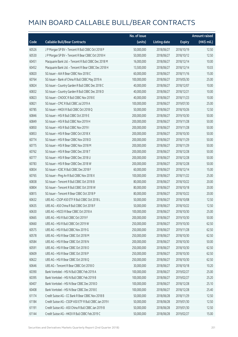|       |                                                        | No. of issue |                     |               | <b>Amount raised</b> |
|-------|--------------------------------------------------------|--------------|---------------------|---------------|----------------------|
| Code  | <b>Callable Bull/Bear Contracts</b>                    | (units)      | <b>Listing date</b> | <b>Expiry</b> | (HK\$ mil.)          |
| 60526 | J P Morgan SP BV - Tencent R Bull CBBC Oct 2018 P      | 50,000,000   | 2018/06/27          | 2018/10/19    | 12.50                |
| 60530 | J P Morgan SP BV - Tencent R Bear CBBC Oct 2018 H      | 50,000,000   | 2018/06/27          | 2018/10/12    | 12.50                |
| 60451 | Macquarie Bank Ltd. - Tencent R Bull CBBC Dec 2018 M   | 16,000,000   | 2018/06/27          | 2018/12/14    | 10.00                |
| 60452 | Macquarie Bank Ltd. - Tencent R Bear CBBC Dec 2018 H   | 13,500,000   | 2018/06/27          | 2018/12/14    | 10.03                |
| 60820 | SG Issuer - AIA R Bear CBBC Nov 2018 C                 | 60,000,000   | 2018/06/27          | 2018/11/16    | 15.00                |
| 60764 | SG Issuer - Bank of China R Bull CBBC May 2019 A       | 100,000,000  | 2018/06/27          | 2019/05/30    | 25.00                |
| 60824 | SG Issuer - Country Garden R Bull CBBC Dec 2018 C      | 40,000,000   | 2018/06/27          | 2018/12/07    | 10.00                |
| 60832 | SG Issuer - Country Garden R Bull CBBC Dec 2018 D      | 40,000,000   | 2018/06/27          | 2018/12/21    | 10.00                |
| 60823 | SG Issuer - CNOOC R Bull CBBC Nov 2018 E               | 40,000,000   | 2018/06/27          | 2018/11/23    | 10.00                |
| 60821 | SG Issuer - CPIC R Bull CBBC Jul 2019 A                | 100,000,000  | 2018/06/27          | 2019/07/30    | 25.00                |
| 60785 | SG Issuer - HKEX R Bull CBBC Oct 2018 Q                | 50,000,000   | 2018/06/27          | 2018/10/26    | 12.50                |
| 60846 | SG Issuer - HSI R Bull CBBC Oct 2019 E                 | 200,000,000  | 2018/06/27          | 2019/10/30    | 50.00                |
| 60849 | SG Issuer - HSI R Bull CBBC Nov 2019 H                 | 200,000,000  | 2018/06/27          | 2019/11/28    | 50.00                |
| 60850 | SG Issuer - HSI R Bull CBBC Nov 2019 I                 | 200,000,000  | 2018/06/27          | 2019/11/28    | 50.00                |
| 60853 | SG Issuer - HSI R Bear CBBC Oct 2018 X                 | 200,000,000  | 2018/06/27          | 2018/10/30    | 50.00                |
| 60774 | SG Issuer - HSI R Bear CBBC Nov 2018 D                 | 200,000,000  | 2018/06/27          | 2018/11/29    | 50.00                |
| 60775 | SG Issuer - HSI R Bear CBBC Nov 2018 M                 | 200,000,000  | 2018/06/27          | 2018/11/29    | 50.00                |
| 60762 | SG Issuer - HSI R Bear CBBC Dec 2018 T                 | 200,000,000  | 2018/06/27          | 2018/12/28    | 50.00                |
| 60777 | SG Issuer - HSI R Bear CBBC Dec 2018 U                 | 200,000,000  | 2018/06/27          | 2018/12/28    | 50.00                |
| 60783 | SG Issuer - HSI R Bear CBBC Dec 2018 W                 | 200,000,000  | 2018/06/27          | 2018/12/28    | 50.00                |
| 60834 | SG Issuer - ICBC R Bull CBBC Dec 2018 F                | 60,000,000   | 2018/06/27          | 2018/12/14    | 15.00                |
| 60765 | SG Issuer - Ping An R Bull CBBC Nov 2018 X             | 100,000,000  | 2018/06/27          | 2018/11/22    | 25.00                |
| 60838 | SG Issuer - Tencent R Bull CBBC Oct 2018 B             | 80,000,000   | 2018/06/27          | 2018/10/22    | 20.00                |
| 60804 | SG Issuer - Tencent R Bull CBBC Oct 2018 W             | 80,000,000   | 2018/06/27          | 2018/10/18    | 20.00                |
| 60815 | SG Issuer - Tencent R Bear CBBC Oct 2018 P             | 80,000,000   | 2018/06/27          | 2018/10/22    | 20.00                |
| 60632 | UBS AG - CSOP A50 ETF R Bull CBBC Oct 2018 L           | 50,000,000   | 2018/06/27          | 2018/10/08    | 12.50                |
| 60635 | UBS AG - A50 China R Bull CBBC Oct 2018 F              | 50,000,000   | 2018/06/27          | 2018/10/22    | 12.50                |
| 60630 | UBS AG – HSCEI R Bear CBBC Oct 2018 A                  | 100,000,000  | 2018/06/27          | 2018/10/30    | 25.00                |
| 60665 | UBS AG - HSI R Bull CBBC Oct 2019 F                    | 200,000,000  | 2018/06/27          | 2019/10/30    | 50.00                |
| 60660 | UBS AG - HSI R Bull CBBC Oct 2019 W                    | 250,000,000  | 2018/06/27          | 2019/10/30    | 62.50                |
| 60575 | UBS AG - HSI R Bull CBBC Nov 2019 G                    | 250,000,000  | 2018/06/27          | 2019/11/28    | 62.50                |
| 60578 | UBS AG - HSI R Bear CBBC Oct 2018 M                    | 250,000,000  | 2018/06/27          | 2018/10/30    | 62.50                |
| 60584 | UBS AG - HSI R Bear CBBC Oct 2018 N                    | 200,000,000  | 2018/06/27          | 2018/10/30    | 50.00                |
| 60591 | UBS AG - HSI R Bear CBBC Oct 2018 O                    | 250,000,000  | 2018/06/27          | 2018/10/30    | 62.50                |
| 60609 | UBS AG - HSI R Bear CBBC Oct 2018 P                    | 250,000,000  | 2018/06/27          | 2018/10/30    | 62.50                |
| 60622 | UBS AG - HSI R Bear CBBC Oct 2018 Q                    | 250,000,000  | 2018/06/27          | 2018/10/30    | 62.50                |
| 60646 | UBS AG - Tencent R Bear CBBC Oct 2018 O                | 30,000,000   | 2018/06/27          | 2018/10/18    | 10.20                |
| 60390 | Bank Vontobel - HSI N Bull CBBC Feb 2019 A             | 100,000,000  | 2018/06/27          | 2019/02/27    | 25.00                |
| 60395 | Bank Vontobel - HSI N Bull CBBC Feb 2019 B             | 100,000,000  | 2018/06/27          | 2019/02/27    | 25.20                |
| 60407 | Bank Vontobel - HSI N Bear CBBC Dec 2018 D             | 100,000,000  | 2018/06/27          | 2018/12/28    | 25.10                |
| 60408 | Bank Vontobel - HSI N Bear CBBC Dec 2018 E             | 100,000,000  | 2018/06/27          | 2018/12/28    | 25.40                |
| 61174 | Credit Suisse AG - CC Bank R Bear CBBC Nov 2018 B      | 50,000,000   | 2018/06/28          | 2018/11/29    | 12.50                |
| 61184 | Credit Suisse AG - CSOP A50 ETF R Bull CBBC Jan 2019 I | 50,000,000   | 2018/06/28          | 2019/01/30    | 12.50                |
| 61191 | Credit Suisse AG - A50 China R Bull CBBC Jan 2019 B    | 50,000,000   | 2018/06/28          | 2019/01/30    | 12.50                |
| 61144 | Credit Suisse AG - HKEX R Bull CBBC Feb 2019 C         | 50,000,000   | 2018/06/28          | 2019/02/27    | 15.00                |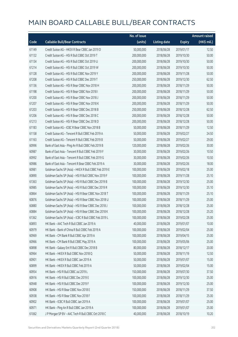|       |                                                       | No. of issue |                     |               | <b>Amount raised</b> |
|-------|-------------------------------------------------------|--------------|---------------------|---------------|----------------------|
| Code  | <b>Callable Bull/Bear Contracts</b>                   | (units)      | <b>Listing date</b> | <b>Expiry</b> | (HK\$ mil.)          |
| 61149 | Credit Suisse AG - HKEX R Bear CBBC Jan 2019 D        | 50,000,000   | 2018/06/28          | 2019/01/17    | 12.50                |
| 61132 | Credit Suisse AG - HSI R Bull CBBC Oct 2019 T         | 200,000,000  | 2018/06/28          | 2019/10/30    | 50.00                |
| 61134 | Credit Suisse AG - HSI R Bull CBBC Oct 2019 U         | 200,000,000  | 2018/06/28          | 2019/10/30    | 50.00                |
| 61214 | Credit Suisse AG - HSI R Bull CBBC Oct 2019 W         | 200,000,000  | 2018/06/28          | 2019/10/30    | 50.00                |
| 61128 | Credit Suisse AG - HSI R Bull CBBC Nov 2019 Y         | 200,000,000  | 2018/06/28          | 2019/11/28    | 50.00                |
| 61208 | Credit Suisse AG - HSI R Bull CBBC Dec 2019 T         | 250,000,000  | 2018/06/28          | 2019/12/30    | 62.50                |
| 61136 | Credit Suisse AG - HSI R Bear CBBC Nov 2018 H         | 200,000,000  | 2018/06/28          | 2018/11/29    | 50.00                |
| 61198 | Credit Suisse AG - HSI R Bear CBBC Nov 2018 I         | 200,000,000  | 2018/06/28          | 2018/11/29    | 50.00                |
| 61200 | Credit Suisse AG - HSI R Bear CBBC Nov 2018 J         | 200,000,000  | 2018/06/28          | 2018/11/29    | 50.00                |
| 61207 | Credit Suisse AG - HSI R Bear CBBC Nov 2018 K         | 200,000,000  | 2018/06/28          | 2018/11/29    | 50.00                |
| 61203 | Credit Suisse AG - HSI R Bear CBBC Dec 2018 B         | 250,000,000  | 2018/06/28          | 2018/12/28    | 62.50                |
| 61206 | Credit Suisse AG - HSI R Bear CBBC Dec 2018 C         | 200,000,000  | 2018/06/28          | 2018/12/28    | 50.00                |
| 61213 | Credit Suisse AG - HSI R Bear CBBC Dec 2018 D         | 200,000,000  | 2018/06/28          | 2018/12/28    | 50.00                |
| 61183 | Credit Suisse AG - ICBC R Bear CBBC Nov 2018 B        | 50,000,000   | 2018/06/28          | 2018/11/29    | 12.50                |
| 61158 | Credit Suisse AG - Tencent R Bull CBBC Feb 2019 A     | 50,000,000   | 2018/06/28          | 2019/02/27    | 24.50                |
| 61163 | Credit Suisse AG - Tencent R Bull CBBC Feb 2019 B     | 50,000,000   | 2018/06/28          | 2019/02/27    | 29.00                |
| 60996 | Bank of East Asia - Ping An R Bull CBBC Feb 2019 B    | 120,000,000  | 2018/06/28          | 2019/02/26    | 30.00                |
| 60987 | Bank of East Asia - Tencent R Bull CBBC Feb 2019 F    | 30,000,000   | 2018/06/28          | 2019/02/26    | 10.50                |
| 60992 | Bank of East Asia - Tencent R Bull CBBC Feb 2019 G    | 30,000,000   | 2018/06/28          | 2019/02/26    | 10.50                |
| 60986 | Bank of East Asia - Tencent R Bear CBBC Feb 2019 A    | 30,000,000   | 2018/06/28          | 2019/02/26    | 18.00                |
| 60981 | Goldman Sachs SP (Asia) - HKEX R Bull CBBC Feb 2019 E | 100,000,000  | 2018/06/28          | 2019/02/18    | 25.00                |
| 60890 | Goldman Sachs SP (Asia) - HSI R Bull CBBC Nov 2019 F  | 100,000,000  | 2018/06/28          | 2019/11/28    | 25.10                |
| 61363 | Goldman Sachs SP (Asia) - HSI R Bull CBBC Dec 2019 B  | 100,000,000  | 2018/06/28          | 2019/12/30    | 25.00                |
| 60985 | Goldman Sachs SP (Asia) - HSI R Bull CBBC Dec 2019 R  | 100,000,000  | 2018/06/28          | 2019/12/30    | 25.10                |
| 60864 | Goldman Sachs SP (Asia) - HSI R Bear CBBC Nov 2018 T  | 100,000,000  | 2018/06/28          | 2018/11/29    | 25.10                |
| 60876 | Goldman Sachs SP (Asia) - HSI R Bear CBBC Nov 2018 U  | 100,000,000  | 2018/06/28          | 2018/11/29    | 25.00                |
| 60880 | Goldman Sachs SP (Asia) - HSI R Bear CBBC Dec 2018 J  | 100,000,000  | 2018/06/28          | 2018/12/28    | 25.00                |
| 60884 | Goldman Sachs SP (Asia) - HSI R Bear CBBC Dec 2018 K  | 100,000,000  | 2018/06/28          | 2018/12/28    | 25.20                |
| 61362 | Goldman Sachs SP (Asia) - ICBC R Bull CBBC Feb 2019 L | 100,000,000  | 2018/06/28          | 2019/02/28    | 25.00                |
| 60893 | HK Bank - AAC Tech R Bull CBBC Jan 2019 A             | 40,000,000   | 2018/06/28          | 2019/01/07    | 10.00                |
| 60979 | HK Bank - Bank of China R Bull CBBC Feb 2019 A        | 100,000,000  | 2018/06/28          | 2019/02/04    | 25.00                |
| 60969 | HK Bank - CM Bank R Bull CBBC Apr 2019 A              | 100,000,000  | 2018/06/28          | 2019/04/15    | 25.00                |
| 60966 | HK Bank - CM Bank R Bull CBBC May 2019 A              | 100,000,000  | 2018/06/28          | 2019/05/06    | 25.00                |
| 60898 | HK Bank - Galaxy Ent R Bull CBBC Dec 2018 B           | 80,000,000   | 2018/06/28          | 2018/12/17    | 20.00                |
| 60964 | HK Bank - HKEX R Bull CBBC Nov 2018 Q                 | 50,000,000   | 2018/06/28          | 2018/11/19    | 12.50                |
| 60901 | HK Bank - HKEX R Bull CBBC Jan 2019 A                 | 50,000,000   | 2018/06/28          | 2019/01/07    | 15.00                |
| 60899 | HK Bank - HKEX R Bull CBBC Feb 2019 A                 | 50,000,000   | 2018/06/28          | 2019/02/04    | 15.00                |
| 60954 | HK Bank - HSI R Bull CBBC Jul 2019 L                  | 150,000,000  | 2018/06/28          | 2019/07/30    | 37.50                |
| 60916 | HK Bank - HSI R Bull CBBC Dec 2019 E                  | 100,000,000  | 2018/06/28          | 2019/12/30    | 25.00                |
| 60948 | HK Bank - HSI R Bull CBBC Dec 2019 F                  | 100,000,000  | 2018/06/28          | 2019/12/30    | 25.00                |
| 60908 | HK Bank - HSI R Bear CBBC Nov 2018 E                  | 150,000,000  | 2018/06/28          | 2018/11/29    | 37.50                |
| 60938 | HK Bank - HSI R Bear CBBC Nov 2018 F                  | 100,000,000  | 2018/06/28          | 2018/11/29    | 25.00                |
| 60902 | HK Bank - ICBC R Bull CBBC Jan 2019 A                 | 100,000,000  | 2018/06/28          | 2019/01/07    | 25.00                |
| 60971 | HK Bank - Ping An R Bull CBBC Jan 2019 A              | 100,000,000  | 2018/06/28          | 2019/01/07    | 25.00                |
| 61062 | J P Morgan SP BV - AAC Tech R Bull CBBC Oct 2018 C    | 40,000,000   | 2018/06/28          | 2018/10/19    | 10.20                |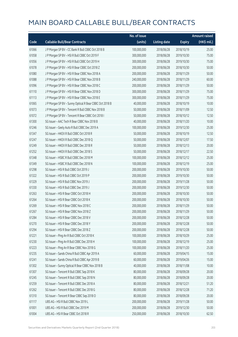|       |                                                         | No. of issue |                     |               | <b>Amount raised</b> |
|-------|---------------------------------------------------------|--------------|---------------------|---------------|----------------------|
| Code  | <b>Callable Bull/Bear Contracts</b>                     | (units)      | <b>Listing date</b> | <b>Expiry</b> | (HK\$ mil.)          |
| 61066 | J P Morgan SP BV - CC Bank R Bull CBBC Oct 2018 B       | 100,000,000  | 2018/06/28          | 2018/10/19    | 25.00                |
| 61058 | J P Morgan SP BV - HSI R Bull CBBC Oct 2019 F           | 300,000,000  | 2018/06/28          | 2019/10/30    | 75.00                |
| 61056 | JP Morgan SP BV - HSIR Bull CBBC Oct 2019 H             | 300,000,000  | 2018/06/28          | 2019/10/30    | 75.00                |
| 61078 | J P Morgan SP BV - HSI R Bear CBBC Oct 2018 Z           | 200,000,000  | 2018/06/28          | 2018/10/30    | 50.00                |
| 61080 | J P Morgan SP BV - HSI R Bear CBBC Nov 2018 A           | 200,000,000  | 2018/06/28          | 2018/11/29    | 50.00                |
| 61088 | J P Morgan SP BV - HSI R Bear CBBC Nov 2018 B           | 240,000,000  | 2018/06/28          | 2018/11/29    | 60.00                |
| 61096 | J P Morgan SP BV - HSI R Bear CBBC Nov 2018 C           | 200,000,000  | 2018/06/28          | 2018/11/29    | 50.00                |
| 61110 | J P Morgan SP BV - HSI R Bear CBBC Nov 2018 D           | 300,000,000  | 2018/06/28          | 2018/11/29    | 75.00                |
| 61113 | J P Morgan SP BV - HSI R Bear CBBC Nov 2018 E           | 300,000,000  | 2018/06/28          | 2018/11/29    | 75.00                |
| 61065 | J P Morgan SP BV - Sunny Optical R Bear CBBC Oct 2018 B | 40,000,000   | 2018/06/28          | 2018/10/19    | 10.00                |
| 61073 | J P Morgan SP BV - Tencent R Bull CBBC Nov 2018 B       | 50,000,000   | 2018/06/28          | 2018/11/09    | 12.50                |
| 61072 | J P Morgan SP BV - Tencent R Bear CBBC Oct 2018 I       | 50,000,000   | 2018/06/28          | 2018/10/12    | 12.50                |
| 61300 | SG Issuer - AAC Tech R Bear CBBC Nov 2018 B             | 40,000,000   | 2018/06/28          | 2018/11/20    | 10.00                |
| 61246 | SG Issuer - Geely Auto R Bull CBBC Dec 2019 A           | 100,000,000  | 2018/06/28          | 2019/12/30    | 25.00                |
| 61347 | SG Issuer - HKEX R Bull CBBC Oct 2018 R                 | 50,000,000   | 2018/06/28          | 2018/10/19    | 12.50                |
| 61247 | SG Issuer - HKEX R Bull CBBC Dec 2018 Q                 | 50,000,000   | 2018/06/28          | 2018/12/07    | 17.50                |
| 61249 | SG Issuer - HKEX R Bull CBBC Dec 2018 R                 | 50,000,000   | 2018/06/28          | 2018/12/13    | 20.00                |
| 61252 | SG Issuer - HKEX R Bull CBBC Dec 2018 S                 | 50,000,000   | 2018/06/28          | 2018/12/17    | 22.50                |
| 61348 | SG Issuer - HSBC R Bull CBBC Dec 2018 M                 | 100,000,000  | 2018/06/28          | 2018/12/12    | 25.00                |
| 61349 | SG Issuer - HSBC R Bull CBBC Dec 2018 N                 | 100,000,000  | 2018/06/28          | 2018/12/19    | 25.00                |
| 61298 | SG Issuer - HSI R Bull CBBC Oct 2019 J                  | 200,000,000  | 2018/06/28          | 2019/10/30    | 50.00                |
| 61322 | SG Issuer - HSI R Bull CBBC Oct 2019 P                  | 200,000,000  | 2018/06/28          | 2019/10/30    | 50.00                |
| 61329 | SG Issuer - HSI R Bull CBBC Nov 2019 J                  | 200,000,000  | 2018/06/28          | 2019/11/28    | 50.00                |
| 61330 | SG Issuer - HSI R Bull CBBC Dec 2019 J                  | 200,000,000  | 2018/06/28          | 2019/12/30    | 50.00                |
| 61263 | SG Issuer - HSI R Bear CBBC Oct 2018 H                  | 200,000,000  | 2018/06/28          | 2018/10/30    | 50.00                |
| 61264 | SG Issuer - HSI R Bear CBBC Oct 2018 K                  | 200,000,000  | 2018/06/28          | 2018/10/30    | 50.00                |
| 61269 | SG Issuer - HSI R Bear CBBC Nov 2018 C                  | 200,000,000  | 2018/06/28          | 2018/11/29    | 50.00                |
| 61267 | SG Issuer - HSI R Bear CBBC Nov 2018 Z                  | 200,000,000  | 2018/06/28          | 2018/11/29    | 50.00                |
| 61284 | SG Issuer - HSI R Bear CBBC Dec 2018 V                  | 200,000,000  | 2018/06/28          | 2018/12/28    | 50.00                |
| 61270 | SG Issuer - HSI R Bear CBBC Dec 2018 Y                  | 200,000,000  | 2018/06/28          | 2018/12/28    | 50.00                |
| 61294 | SG Issuer - HSI R Bear CBBC Dec 2018 Z                  | 200,000,000  | 2018/06/28          | 2018/12/28    | 50.00                |
| 61221 | SG Issuer - Ping An R Bull CBBC Oct 2018 K              | 100,000,000  | 2018/06/28          | 2018/10/29    | 25.00                |
| 61230 | SG Issuer - Ping An R Bull CBBC Dec 2018 H              | 100,000,000  | 2018/06/28          | 2018/12/19    | 25.00                |
| 61223 | SG Issuer - Ping An R Bear CBBC Nov 2018 G              | 100,000,000  | 2018/06/28          | 2018/11/20    | 25.00                |
| 61235 | SG Issuer - Sands China R Bull CBBC Apr 2019 A          | 60,000,000   | 2018/06/28          | 2019/04/15    | 15.00                |
| 61241 | SG Issuer - Sands China R Bull CBBC Apr 2019 B          | 60,000,000   | 2018/06/28          | 2019/04/26    | 15.00                |
| 61302 | SG Issuer - Sunny Optical R Bear CBBC Nov 2018 B        | 40,000,000   | 2018/06/28          | 2018/11/08    | 10.00                |
| 61307 | SG Issuer - Tencent R Bull CBBC Sep 2018 K              | 80,000,000   | 2018/06/28          | 2018/09/28    | 20.00                |
| 61245 | SG Issuer - Tencent R Bull CBBC Sep 2018 N              | 80,000,000   | 2018/06/28          | 2018/09/28    | 20.00                |
| 61259 | SG Issuer - Tencent R Bull CBBC Dec 2018 A              | 80,000,000   | 2018/06/28          | 2018/12/21    | 51.20                |
| 61262 | SG Issuer - Tencent R Bull CBBC Dec 2018 G              | 80,000,000   | 2018/06/28          | 2018/12/28    | 71.20                |
| 61310 | SG Issuer - Tencent R Bear CBBC Sep 2018 O              | 80,000,000   | 2018/06/28          | 2018/09/28    | 20.00                |
| 61117 | UBS AG - HSI R Bull CBBC Nov 2019 L                     | 200,000,000  | 2018/06/28          | 2019/11/28    | 50.00                |
| 61001 | UBS AG - HSI R Bull CBBC Dec 2019 M                     | 200,000,000  | 2018/06/28          | 2019/12/30    | 50.00                |
| 61004 | UBS AG - HSI R Bear CBBC Oct 2018 R                     | 250,000,000  | 2018/06/28          | 2018/10/30    | 62.50                |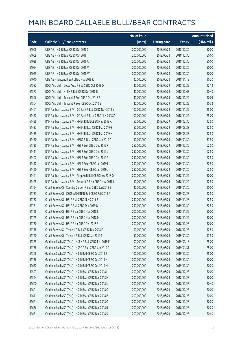|       |                                                            | No. of issue |                     |               | <b>Amount raised</b> |
|-------|------------------------------------------------------------|--------------|---------------------|---------------|----------------------|
| Code  | <b>Callable Bull/Bear Contracts</b>                        | (units)      | <b>Listing date</b> | <b>Expiry</b> | (HK\$ mil.)          |
| 61008 | UBS AG - HSI R Bear CBBC Oct 2018 S                        | 200,000,000  | 2018/06/28          | 2018/10/30    | 50.00                |
| 61009 | UBS AG - HSI R Bear CBBC Oct 2018 T                        | 200,000,000  | 2018/06/28          | 2018/10/30    | 50.00                |
| 61038 | UBS AG - HSI R Bear CBBC Oct 2018 U                        | 200,000,000  | 2018/06/28          | 2018/10/30    | 50.00                |
| 61054 | UBS AG - HSI R Bear CBBC Oct 2018 V                        | 200,000,000  | 2018/06/28          | 2018/10/30    | 50.00                |
| 61055 | UBS AG - HSI R Bear CBBC Oct 2018 W                        | 200,000,000  | 2018/06/28          | 2018/10/30    | 50.00                |
| 61040 | UBS AG - Tencent R Bull CBBC Nov 2018 K                    | 30,000,000   | 2018/06/28          | 2018/11/12    | 10.20                |
| 61582 | BOCI Asia Ltd. - Geely Auto R Bull CBBC Oct 2018 D         | 40,000,000   | 2018/06/29          | 2018/10/29    | 12.12                |
| 61577 | BOCI Asia Ltd. - HKEX R Bull CBBC Oct 2018 B               | 40,000,000   | 2018/06/29          | 2018/10/08    | 10.40                |
| 61546 | BOCI Asia Ltd. - Tencent R Bull CBBC Oct 2018 F            | 40,000,000   | 2018/06/29          | 2018/10/29    | 10.04                |
| 61564 | BOCI Asia Ltd. - Tencent R Bear CBBC Oct 2018 E            | 40,000,000   | 2018/06/29          | 2018/10/29    | 10.32                |
| 61461 | BNP Paribas Issuance B.V. - CC Bank R Bull CBBC Nov 2018 Y | 100,000,000  | 2018/06/29          | 2018/11/29    | 25.00                |
| 61452 | BNP Paribas Issuance B.V. - CC Bank R Bear CBBC Nov 2018 Z | 100,000,000  | 2018/06/29          | 2018/11/29    | 25.00                |
| 61428 | BNP Paribas Issuance B.V. - HKEX R Bull CBBC May 2019 A    | 50,000,000   | 2018/06/29          | 2019/05/30    | 12.50                |
| 61437 | BNP Paribas Issuance B.V. - HKEX R Bear CBBC Mar 2019 G    | 50,000,000   | 2018/06/29          | 2019/03/28    | 12.50                |
| 61439 | BNP Paribas Issuance B.V. - HKEX R Bear CBBC Mar 2019 H    | 50,000,000   | 2018/06/29          | 2019/03/28    | 12.50                |
| 61450 | BNP Paribas Issuance B.V. - HSBC R Bear CBBC Jan 2019 A    | 150,000,000  | 2018/06/29          | 2019/01/30    | 37.50                |
| 61735 | BNP Paribas Issuance B.V. - HSI R Bull CBBC Dec 2019 F     | 250,000,000  | 2018/06/29          | 2019/12/30    | 62.50                |
| 61411 | BNP Paribas Issuance B.V. - HSI R Bull CBBC Dec 2019 L     | 250,000,000  | 2018/06/29          | 2019/12/30    | 62.50                |
| 61402 | BNP Paribas Issuance B.V. - HSI R Bull CBBC Dec 2019 P     | 250,000,000  | 2018/06/29          | 2019/12/30    | 62.50                |
| 61412 | BNP Paribas Issuance B.V. - HSI R Bear CBBC Jan 2019 I     | 250,000,000  | 2018/06/29          | 2019/01/30    | 62.50                |
| 61420 | BNP Paribas Issuance B.V. - HSI R Bear CBBC Jan 2019 J     | 250,000,000  | 2018/06/29          | 2019/01/30    | 62.50                |
| 61441 | BNP Paribas Issuance B.V. - Ping An R Bull CBBC Nov 2018 O | 200,000,000  | 2018/06/29          | 2018/11/29    | 50.00                |
| 61425 | BNP Paribas Issuance B.V. - Tencent R Bear CBBC Nov 2018 L | 50,000,000   | 2018/06/29          | 2018/11/29    | 12.50                |
| 61724 | Credit Suisse AG - Country Garden R Bull CBBC Jan 2019 B   | 40,000,000   | 2018/06/29          | 2019/01/30    | 10.00                |
| 61733 | Credit Suisse AG - CSOP A50 ETF R Bull CBBC Feb 2019 A     | 50,000,000   | 2018/06/29          | 2019/02/27    | 12.50                |
| 61732 | Credit Suisse AG - HSI R Bull CBBC Nov 2019 B              | 250,000,000  | 2018/06/29          | 2019/11/28    | 62.50                |
| 61731 | Credit Suisse AG - HSI R Bull CBBC Dec 2019 U              | 250,000,000  | 2018/06/29          | 2019/12/30    | 62.50                |
| 61728 | Credit Suisse AG - HSI R Bear CBBC Nov 2018 L              | 200,000,000  | 2018/06/29          | 2018/11/29    | 50.00                |
| 61729 | Credit Suisse AG - HSI R Bear CBBC Nov 2018 M              | 200,000,000  | 2018/06/29          | 2018/11/29    | 50.00                |
| 61730 | Credit Suisse AG - HSI R Bear CBBC Dec 2018 E              | 200,000,000  | 2018/06/29          | 2018/12/28    | 50.00                |
| 61718 | Credit Suisse AG - Tencent R Bull CBBC Dec 2018 E          | 50,000,000   | 2018/06/29          | 2018/12/28    | 12.50                |
| 61720 | Credit Suisse AG - Tencent R Bull CBBC Jan 2019 T          | 50,000,000   | 2018/06/29          | 2019/01/30    | 13.50                |
| 61375 | Goldman Sachs SP (Asia) - HKEX R Bull CBBC Feb 2019 F      | 100,000,000  | 2018/06/29          | 2019/02/18    | 25.00                |
| 61738 | Goldman Sachs SP (Asia) - HSBC R Bull CBBC Jan 2019 C      | 100,000,000  | 2018/06/29          | 2019/01/31    | 25.00                |
| 61366 | Goldman Sachs SP (Asia) - HSI R Bull CBBC Dec 2019 E       | 100,000,000  | 2018/06/29          | 2019/12/30    | 25.00                |
| 61736 | Goldman Sachs SP (Asia) - HSI R Bull CBBC Dec 2019 H       | 200,000,000  | 2018/06/29          | 2019/12/30    | 50.00                |
| 61652 | Goldman Sachs SP (Asia) - HSI R Bull CBBC Dec 2019 M       | 200,000,000  | 2018/06/29          | 2019/12/30    | 50.20                |
| 61593 | Goldman Sachs SP (Asia) - HSI R Bear CBBC Dec 2018 L       | 200,000,000  | 2018/06/29          | 2018/12/28    | 50.00                |
| 61594 | Goldman Sachs SP (Asia) - HSI R Bear CBBC Dec 2018 M       | 200,000,000  | 2018/06/29          | 2018/12/28    | 50.00                |
| 61600 | Goldman Sachs SP (Asia) - HSI R Bear CBBC Dec 2018 N       | 200,000,000  | 2018/06/29          | 2018/12/28    | 50.40                |
| 61601 | Goldman Sachs SP (Asia) - HSI R Bear CBBC Dec 2018 O       | 200,000,000  | 2018/06/29          | 2018/12/28    | 50.00                |
| 61611 | Goldman Sachs SP (Asia) - HSI R Bear CBBC Dec 2018 P       | 200,000,000  | 2018/06/29          | 2018/12/28    | 50.00                |
| 61621 | Goldman Sachs SP (Asia) - HSI R Bear CBBC Dec 2018 Q       | 200,000,000  | 2018/06/29          | 2018/12/28    | 50.20                |
| 61636 | Goldman Sachs SP (Asia) - HSI R Bear CBBC Dec 2018 R       | 200,000,000  | 2018/06/29          | 2018/12/28    | 50.20                |
| 61651 | Goldman Sachs SP (Asia) - HSI R Bear CBBC Dec 2018 S       | 200,000,000  | 2018/06/29          | 2018/12/28    | 50.40                |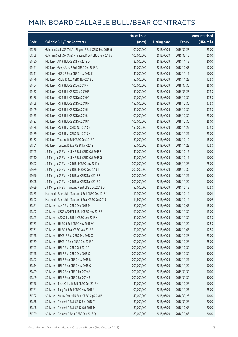|       |                                                          | No. of issue |                     |               | <b>Amount raised</b> |
|-------|----------------------------------------------------------|--------------|---------------------|---------------|----------------------|
| Code  | <b>Callable Bull/Bear Contracts</b>                      | (units)      | <b>Listing date</b> | <b>Expiry</b> | (HK\$ mil.)          |
| 61376 | Goldman Sachs SP (Asia) - Ping An R Bull CBBC Feb 2019 G | 100,000,000  | 2018/06/29          | 2019/02/27    | 25.00                |
| 61388 | Goldman Sachs SP (Asia) - Tencent R Bull CBBC Feb 2019 V | 100,000,000  | 2018/06/29          | 2019/02/18    | 25.00                |
| 61490 | HK Bank - AIA R Bull CBBC Nov 2018 D                     | 80,000,000   | 2018/06/29          | 2018/11/19    | 20.00                |
| 61491 | HK Bank - Geely Auto R Bull CBBC Dec 2018 A              | 40,000,000   | 2018/06/29          | 2018/12/03    | 12.00                |
| 61511 | HK Bank - HKEX R Bear CBBC Nov 2018 E                    | 40,000,000   | 2018/06/29          | 2018/11/19    | 10.00                |
| 61476 | HK Bank - HSCEI R Bear CBBC Nov 2018 C                   | 50,000,000   | 2018/06/29          | 2018/11/29    | 12.50                |
| 61464 | HK Bank - HSI R Bull CBBC Jul 2019 M                     | 100,000,000  | 2018/06/29          | 2019/07/30    | 25.00                |
| 61472 | HK Bank - HSI R Bull CBBC Sep 2019 F                     | 150,000,000  | 2018/06/29          | 2019/09/27    | 37.50                |
| 61466 | HK Bank - HSI R Bull CBBC Dec 2019 G                     | 150,000,000  | 2018/06/29          | 2019/12/30    | 37.50                |
| 61468 | HK Bank - HSI R Bull CBBC Dec 2019 H                     | 150,000,000  | 2018/06/29          | 2019/12/30    | 37.50                |
| 61469 | HK Bank - HSI R Bull CBBC Dec 2019 I                     | 150,000,000  | 2018/06/29          | 2019/12/30    | 37.50                |
| 61475 | HK Bank - HSI R Bull CBBC Dec 2019 J                     | 100,000,000  | 2018/06/29          | 2019/12/30    | 25.00                |
| 61487 | HK Bank - HSI R Bull CBBC Dec 2019 K                     | 100,000,000  | 2018/06/29          | 2019/12/30    | 25.00                |
| 61488 | HK Bank - HSI R Bear CBBC Nov 2018 G                     | 150,000,000  | 2018/06/29          | 2018/11/29    | 37.50                |
| 61489 | HK Bank - HSI R Bear CBBC Nov 2018 H                     | 100,000,000  | 2018/06/29          | 2018/11/29    | 25.00                |
| 61462 | HK Bank - Tencent R Bull CBBC Dec 2018 F                 | 60,000,000   | 2018/06/29          | 2018/12/10    | 15.00                |
| 61501 | HK Bank - Tencent R Bear CBBC Nov 2018 I                 | 50,000,000   | 2018/06/29          | 2018/11/22    | 12.50                |
| 61705 | J P Morgan SP BV - HKEX R Bull CBBC Oct 2018 F           | 40,000,000   | 2018/06/29          | 2018/10/12    | 10.00                |
| 61710 | J P Morgan SP BV - HKEX R Bull CBBC Oct 2018 G           | 40,000,000   | 2018/06/29          | 2018/10/19    | 10.00                |
| 61692 | J P Morgan SP BV - HSI R Bull CBBC Nov 2019 Y            | 300,000,000  | 2018/06/29          | 2019/11/28    | 75.00                |
| 61689 | J P Morgan SP BV - HSI R Bull CBBC Dec 2019 Z            | 200,000,000  | 2018/06/29          | 2019/12/30    | 50.00                |
| 61696 | J P Morgan SP BV - HSI R Bear CBBC Nov 2018 F            | 200,000,000  | 2018/06/29          | 2018/11/29    | 50.00                |
| 61698 | J P Morgan SP BV - HSI R Bear CBBC Nov 2018 G            | 200,000,000  | 2018/06/29          | 2018/11/29    | 50.00                |
| 61699 | J P Morgan SP BV - Tencent R Bull CBBC Oct 2018 Q        | 50,000,000   | 2018/06/29          | 2018/10/19    | 12.50                |
| 61585 | Macquarie Bank Ltd. - Tencent R Bull CBBC Dec 2018 N     | 16,300,000   | 2018/06/29          | 2018/12/14    | 10.01                |
| 61592 | Macquarie Bank Ltd. - Tencent R Bear CBBC Dec 2018 I     | 14,800,000   | 2018/06/29          | 2018/12/14    | 10.02                |
| 61831 | SG Issuer - AIA R Bull CBBC Dec 2018 M                   | 60,000,000   | 2018/06/29          | 2018/12/05    | 15.00                |
| 61802 | SG Issuer - CSOP A50 ETF R Bull CBBC Nov 2018 S          | 60,000,000   | 2018/06/29          | 2018/11/30    | 15.00                |
| 61803 | SG Issuer - A50 China R Bull CBBC Nov 2018 K             | 50,000,000   | 2018/06/29          | 2018/11/30    | 12.50                |
| 61763 | SG Issuer - HKEX R Bull CBBC Nov 2018 W                  | 50,000,000   | 2018/06/29          | 2018/11/20    | 12.50                |
| 61761 | SG Issuer - HKEX R Bear CBBC Nov 2018 E                  | 50,000,000   | 2018/06/29          | 2018/11/05    | 12.50                |
| 61758 | SG Issuer - HSCEI R Bull CBBC Dec 2018 X                 | 100,000,000  | 2018/06/29          | 2018/12/28    | 25.00                |
| 61759 | SG Issuer - HSCEI R Bear CBBC Dec 2018 F                 | 100,000,000  | 2018/06/29          | 2018/12/28    | 25.00                |
| 61793 | SG Issuer - HSI R Bull CBBC Oct 2019 R                   | 200,000,000  | 2018/06/29          | 2019/10/30    | 50.00                |
| 61798 | SG Issuer - HSI R Bull CBBC Dec 2019 O                   | 200,000,000  | 2018/06/29          | 2019/12/30    | 50.00                |
| 61807 | SG Issuer - HSI R Bear CBBC Nov 2018 B                   | 200,000,000  | 2018/06/29          | 2018/11/29    | 50.00                |
| 61814 | SG Issuer - HSI R Bear CBBC Nov 2018 Q                   | 200,000,000  | 2018/06/29          | 2018/11/29    | 50.00                |
| 61829 | SG Issuer - HSI R Bear CBBC Jan 2019 A                   | 200,000,000  | 2018/06/29          | 2019/01/30    | 50.00                |
| 61849 | SG Issuer - HSI R Bear CBBC Jan 2019 B                   | 200,000,000  | 2018/06/29          | 2019/01/30    | 50.00                |
| 61776 | SG Issuer - PetroChina R Bull CBBC Dec 2018 H            | 40,000,000   | 2018/06/29          | 2018/12/28    | 10.00                |
| 61781 | SG Issuer - Ping An R Bull CBBC Nov 2018 Y               | 100,000,000  | 2018/06/29          | 2018/11/23    | 25.00                |
| 61792 | SG Issuer - Sunny Optical R Bear CBBC Sep 2018 B         | 40,000,000   | 2018/06/29          | 2018/09/28    | 10.00                |
| 61838 | SG Issuer - Tencent R Bull CBBC Sep 2018 T               | 80,000,000   | 2018/06/29          | 2018/09/28    | 20.00                |
| 61848 | SG Issuer - Tencent R Bull CBBC Oct 2018 D               | 80,000,000   | 2018/06/29          | 2018/10/08    | 20.00                |
| 61799 | SG Issuer - Tencent R Bear CBBC Oct 2018 Q               | 80,000,000   | 2018/06/29          | 2018/10/08    | 20.00                |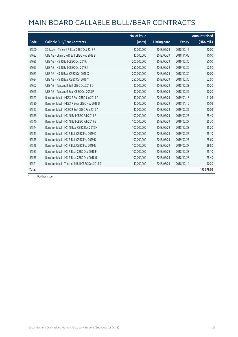|       |                                                | No. of issue |                     |               | <b>Amount raised</b> |
|-------|------------------------------------------------|--------------|---------------------|---------------|----------------------|
| Code  | <b>Callable Bull/Bear Contracts</b>            | (units)      | <b>Listing date</b> | <b>Expiry</b> | $(HK\$ mil.)         |
| 61800 | SG Issuer - Tencent R Bear CBBC Oct 2018 R     | 80,000,000   | 2018/06/29          | 2018/10/15    | 20.00                |
| 61682 | UBS AG - China Life R Bull CBBC Nov 2018 B     | 40,000,000   | 2018/06/29          | 2018/11/05    | 10.00                |
| 61685 | UBS AG - HSI R Bull CBBC Oct 2019 J            | 200,000,000  | 2018/06/29          | 2019/10/30    | 50.00                |
| 61653 | UBS AG - HSI R Bull CBBC Oct 2019 X            | 250,000,000  | 2018/06/29          | 2019/10/30    | 62.50                |
| 61683 | UBS AG - HSI R Bear CBBC Oct 2018 X            | 200,000,000  | 2018/06/29          | 2018/10/30    | 50.00                |
| 61684 | UBS AG - HSI R Bear CBBC Oct 2018 Y            | 250,000,000  | 2018/06/29          | 2018/10/30    | 62.50                |
| 61662 | UBS AG - Tencent R Bull CBBC Oct 2018 Q        | 30,000,000   | 2018/06/29          | 2018/10/23    | 10.20                |
| 61665 | UBS AG - Tencent R Bear CBBC Oct 2018 P        | 30,000,000   | 2018/06/29          | 2018/10/29    | 10.20                |
| 61523 | Bank Vontobel - HKEX R Bull CBBC Jan 2019 A    | 40,000,000   | 2018/06/29          | 2019/01/18    | 11.08                |
| 61530 | Bank Vontobel - HKEX R Bear CBBC Nov 2018 D    | 40,000,000   | 2018/06/29          | 2018/11/16    | 10.08                |
| 61527 | Bank Vontobel - HSBC R Bull CBBC Feb 2019 A    | 40,000,000   | 2018/06/29          | 2019/02/22    | 10.08                |
| 61539 | Bank Vontobel - HSI N Bull CBBC Feb 2019 F     | 100,000,000  | 2018/06/29          | 2019/02/27    | 25.40                |
| 61540 | Bank Vontobel - HSI N Bull CBBC Feb 2019 G     | 100,000,000  | 2018/06/29          | 2019/02/27    | 25.30                |
| 61544 | Bank Vontobel - HSI N Bear CBBC Dec 2018 H     | 100,000,000  | 2018/06/29          | 2018/12/28    | 25.20                |
| 61513 | Bank Vontobel - HSI R Bull CBBC Feb 2019 C     | 100,000,000  | 2018/06/29          | 2019/02/27    | 25.10                |
| 61515 | Bank Vontobel - HSI R Bull CBBC Feb 2019 D     | 100,000,000  | 2018/06/29          | 2019/02/27    | 25.60                |
| 61518 | Bank Vontobel - HSI R Bull CBBC Feb 2019 E     | 100,000,000  | 2018/06/29          | 2019/02/27    | 29.80                |
| 61533 | Bank Vontobel - HSI R Bear CBBC Dec 2018 F     | 100,000,000  | 2018/06/29          | 2018/12/28    | 25.10                |
| 61535 | Bank Vontobel - HSI R Bear CBBC Dec 2018 G     | 100,000,000  | 2018/06/29          | 2018/12/28    | 25.40                |
| 61521 | Bank Vontobel - Tencent R Bull CBBC Dec 2018 S | 40,000,000   | 2018/06/29          | 2018/12/14    | 10.20                |
| Total |                                                |              |                     |               | 173,579.03           |

 $#$  Further issue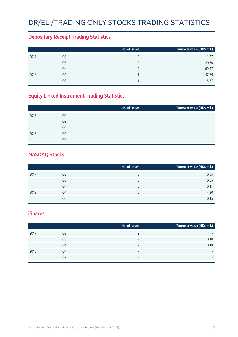# DR/ELI/Trading Only Stocks Trading Statistics

### **Depositary Receipt Trading Statistics**

|                        |    | No. of issues | Turnover value (HK\$ mil.) |
|------------------------|----|---------------|----------------------------|
| 2017<br>Q <sub>2</sub> |    |               | 11.27                      |
| Q3                     |    |               | 20.30                      |
|                        | Q4 |               | 69.47                      |
| 2018<br>Q1             |    |               | 47.76                      |
|                        | Ο2 |               | 15.87                      |

### **Equity Linked Instrument Trading Statistics**

|      |                | No. of issues            | Turnover value (HK\$ mil.) |
|------|----------------|--------------------------|----------------------------|
| 2017 | Q <sub>2</sub> | $\overline{\phantom{0}}$ |                            |
|      | Q <sub>3</sub> |                          |                            |
|      | Q4             | $\overline{\phantom{0}}$ | $\overline{\phantom{0}}$   |
| 2018 | Q1             | $\overline{\phantom{0}}$ |                            |
|      | 02             | $\overline{\phantom{0}}$ | $\overline{\phantom{0}}$   |

#### **NASDAQ Stocks**

|      |                | No. of issues | Turnover value (HK\$ mil.) |
|------|----------------|---------------|----------------------------|
| 2017 | Q <sub>2</sub> | 6             | 0.05                       |
|      | Q3             | 6             | 0.05                       |
|      | Q4             | 6             | 0.11                       |
| 2018 | Q1             | 6             | 4.30                       |
|      | Q2             | 6             | 0.15                       |

#### **iShares**

|      |                | No. of issues            | Turnover value (HK\$ mil.) |
|------|----------------|--------------------------|----------------------------|
| 2017 | Q2             |                          | $\overline{\phantom{0}}$   |
|      | Q <sub>3</sub> |                          | 0.18                       |
|      | Q4             | $\overline{\phantom{0}}$ | 0.18                       |
| 2018 | Q1             | $\overline{\phantom{0}}$ | $\overline{\phantom{0}}$   |
|      | Q2             | -                        | $\overline{\phantom{0}}$   |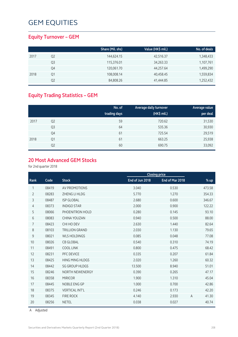### **Equity Turnover – GEM**

|      |    | Share (Mil. shs) | Value (HK\$ mil.) | No. of deals |
|------|----|------------------|-------------------|--------------|
| 2017 | Q2 | 144,624.15       | 42,516.37         | 1,348,433    |
|      | Q3 | 115,376.01       | 34,263.33         | 1,107,761    |
|      | Q4 | 120,061.70       | 44,257.64         | 1,499,290    |
| 2018 | Q1 | 108,008.14       | 40,458.45         | 1,559,834    |
|      | Q2 | 84,808.26        | 41,444.85         | 1,252,432    |

### **Equity Trading Statistics – GEM**

|      |                | No. of<br>trading days | Average daily turnover<br>(HK\$ mil.) | Average value<br>per deal |
|------|----------------|------------------------|---------------------------------------|---------------------------|
| 2017 | Q <sub>2</sub> | 59                     | 720.62                                | 31,530                    |
|      | Q <sub>3</sub> | 64                     | 535.36                                | 30,930                    |
|      | Q4             | 61                     | 725.54                                | 29,519                    |
| 2018 | Q1             | 61                     | 663.25                                | 25,938                    |
|      | Q <sub>2</sub> | 60                     | 690.75                                | 33,092                    |

#### **20 Most Advanced GEM Stocks**

for 2nd quarter 2018

|                |       |                        | <b>Closing price</b> |                 |   |        |
|----------------|-------|------------------------|----------------------|-----------------|---|--------|
| Rank           | Code  | <b>Stock</b>           | End of Jun 2018      | End of Mar 2018 |   | % up   |
| 1              | 08419 | AV PROMOTIONS          | 3.040                | 0.530           |   | 473.58 |
| $\overline{2}$ | 08283 | ZHENG LI HLDG          | 5.770                | 1.270           |   | 354.33 |
| 3              | 08487 | <b>ISP GLOBAL</b>      | 2.680                | 0.600           |   | 346.67 |
| 4              | 08373 | <b>INDIGO STAR</b>     | 2.000                | 0.900           |   | 122.22 |
| 5              | 08066 | PHOENITRON HOLD        | 0.280                | 0.145           |   | 93.10  |
| 6              | 08083 | CHINA YOUZAN           | 0.940                | 0.500           |   | 88.00  |
| 7              | 08423 | CHI HO DEV             | 2.630                | 1.440           |   | 82.64  |
| 8              | 08103 | <b>TRILLION GRAND</b>  | 2.030                | 1.130           |   | 79.65  |
| 9              | 08021 | <b>WLS HOLDINGS</b>    | 0.085                | 0.048           |   | 77.08  |
| 10             | 08026 | <b>CB GLOBAL</b>       | 0.540                | 0.310           |   | 74.19  |
| 11             | 08491 | <b>COOL LINK</b>       | 0.800                | 0.475           |   | 68.42  |
| 12             | 08231 | PFC DEVICE             | 0.335                | 0.207           |   | 61.84  |
| 13             | 08425 | <b>HING MING HLDGS</b> | 2.020                | 1.260           |   | 60.32  |
| 14             | 08442 | <b>SG GROUP HLDGS</b>  | 13.500               | 8.940           |   | 51.01  |
| 15             | 08246 | NORTH NEWENERGY        | 0.390                | 0.265           |   | 47.17  |
| 16             | 08358 | <b>MIRICOR</b>         | 1.900                | 1.310           |   | 45.04  |
| 17             | 08445 | NOBLE ENG GP           | 1.000                | 0.700           |   | 42.86  |
| 18             | 08375 | <b>VERTICAL INT'L</b>  | 0.246                | 0.173           |   | 42.20  |
| 19             | 08345 | <b>FIRE ROCK</b>       | 4.140                | 2.930           | A | 41.30  |
| 20             | 08256 | <b>NETEL</b>           | 0.038                | 0.027           |   | 40.74  |

A Adjusted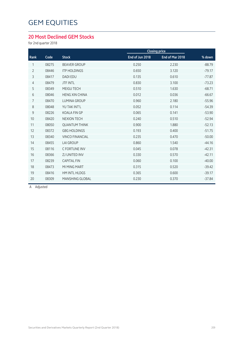### **20 Most Declined GEM Stocks**

for 2nd quarter 2018

|                |       |                        |                 | <b>Closing price</b> |          |
|----------------|-------|------------------------|-----------------|----------------------|----------|
| Rank           | Code  | <b>Stock</b>           | End of Jun 2018 | End of Mar 2018      | % down   |
| 1              | 08275 | <b>BEAVER GROUP</b>    | 0.250           | 2.230                | $-88.79$ |
| $\overline{2}$ | 08446 | <b>ITP HOLDINGS</b>    | 0.650           | 3.120                | $-79.17$ |
| 3              | 08417 | <b>DADI EDU</b>        | 0.135           | 0.610                | $-77.87$ |
| $\overline{4}$ | 08479 | <b>JTF INTL</b>        | 0.830           | 3.100                | $-73.23$ |
| 5              | 08349 | MEIGU TECH             | 0.510           | 1.630                | $-68.71$ |
| 6              | 08046 | <b>HENG XIN CHINA</b>  | 0.012           | 0.036                | $-66.67$ |
| $\overline{7}$ | 08470 | <b>LUMINA GROUP</b>    | 0.960           | 2.180                | $-55.96$ |
| 8              | 08048 | YU TAK INT'L           | 0.052           | 0.114                | $-54.39$ |
| $\mathsf 9$    | 08226 | <b>KOALA FIN GP</b>    | 0.065           | 0.141                | $-53.90$ |
| 10             | 08420 | <b>NEXION TECH</b>     | 0.240           | 0.510                | $-52.94$ |
| 11             | 08050 | <b>QUANTUM THINK</b>   | 0.900           | 1.880                | $-52.13$ |
| 12             | 08372 | <b>GBG HOLDINGS</b>    | 0.193           | 0.400                | $-51.75$ |
| 13             | 08340 | <b>VINCO FINANCIAL</b> | 0.235           | 0.470                | $-50.00$ |
| 14             | 08455 | <b>LAI GROUP</b>       | 0.860           | 1.540                | $-44.16$ |
| 15             | 08116 | C FORTUNE INV          | 0.045           | 0.078                | $-42.31$ |
| 16             | 08366 | ZJ UNITED INV          | 0.330           | 0.570                | $-42.11$ |
| 17             | 08239 | <b>CAPITAL FIN</b>     | 0.060           | 0.100                | $-40.00$ |
| 18             | 08473 | MI MING MART           | 0.315           | 0.520                | $-39.42$ |
| 19             | 08416 | HM INTL HLDGS          | 0.365           | 0.600                | $-39.17$ |
| 20             | 08309 | <b>MANSHING GLOBAL</b> | 0.230           | 0.370                | $-37.84$ |
|                |       |                        |                 |                      |          |

A Adjusted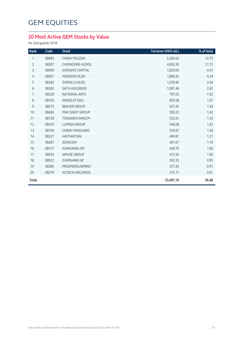### **20 Most Active GEM Stocks by Value**

for 2nd quarter 2018

| Rank           | Code  | <b>Stock</b>           | Turnover (HK\$ mil.) | % of total |
|----------------|-------|------------------------|----------------------|------------|
| 1              | 08083 | CHINA YOUZAN           | 5,283.63             | 12.75      |
| $\overline{2}$ | 08207 | <b>CHONGSING HLDGS</b> | 4,855.30             | 11.72      |
| 3              | 08469 | <b>SHENGYE CAPITAL</b> | 1,829.04             | 4.41       |
| $\overline{4}$ | 08057 | <b>MADISON HLDG</b>    | 1,800.42             | 4.34       |
| 5              | 08283 | ZHENG LI HLDG          | 1,259.46             | 3.04       |
| $\sqrt{6}$     | 08392 | <b>SATU HOLDINGS</b>   | 1,087.46             | 2.62       |
| 7              | 08228 | <b>NATIONAL ARTS</b>   | 797.03               | 1.92       |
| $\,8\,$        | 08105 | KINGSLEY EDU           | 650.58               | 1.57       |
| $\mathsf g$    | 08275 | <b>BEAVER GROUP</b>    | 637.45               | 1.54       |
| 10             | 08483 | <b>MAX SIGHT GROUP</b> | 590.22               | 1.42       |
| 11             | 08138 | TONGRENTANGCM          | 552.91               | 1.33       |
| 12             | 08470 | <b>LUMINA GROUP</b>    | 546.08               | 1.32       |
| 13             | 08156 | CHINA VANGUARD         | 529.97               | 1.28       |
| 14             | 08227 | <b>HAITIANTIAN</b>     | 499.81               | 1.21       |
| 15             | 08287 | <b>ZIONCOM</b>         | 491.67               | 1.19       |
| 16             | 08157 | XIANGXING INT          | 438.70               | 1.06       |
| 17             | 08545 | AMUSE GROUP            | 412.50               | 1.00       |
| 18             | 08022 | <b>EVERSHINE GP</b>    | 392.35               | 0.95       |
| 19             | 08385 | PROSPEROUSPRINT        | 377.34               | 0.91       |
| 20             | 08279 | <b>AGTECH HOLDINGS</b> | 375.17               | 0.91       |
| <b>Total</b>   |       |                        | 23,407.10            | 56.48      |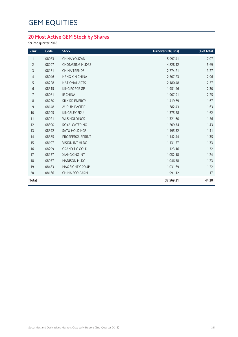### **20 Most Active GEM Stock by Shares**

for 2nd quarter 2018

| Rank           | Code  | <b>Stock</b>           | Turnover (Mil. shs) | % of total |
|----------------|-------|------------------------|---------------------|------------|
| 1              | 08083 | CHINA YOUZAN           | 5,997.41            | 7.07       |
| $\overline{2}$ | 08207 | <b>CHONGSING HLDGS</b> | 4,828.12            | 5.69       |
| 3              | 08171 | <b>CHINA TRENDS</b>    | 2,774.21            | 3.27       |
| $\overline{4}$ | 08046 | <b>HENG XIN CHINA</b>  | 2,507.23            | 2.96       |
| 5              | 08228 | <b>NATIONAL ARTS</b>   | 2,180.48            | 2.57       |
| $6\,$          | 08315 | KING FORCE GP          | 1,951.46            | 2.30       |
| 7              | 08081 | <b>IE CHINA</b>        | 1,907.91            | 2.25       |
| 8              | 08250 | SILK RD ENERGY         | 1,419.69            | 1.67       |
| $9\,$          | 08148 | <b>AURUM PACIFIC</b>   | 1,382.43            | 1.63       |
| 10             | 08105 | KINGSLEY EDU           | 1,375.58            | 1.62       |
| 11             | 08021 | <b>WLS HOLDINGS</b>    | 1,321.60            | 1.56       |
| 12             | 08300 | ROYALCATERING          | 1,209.34            | 1.43       |
| 13             | 08392 | <b>SATU HOLDINGS</b>   | 1,195.32            | 1.41       |
| 14             | 08385 | PROSPEROUSPRINT        | 1,142.44            | 1.35       |
| 15             | 08107 | VISION INT HLDG        | 1,131.57            | 1.33       |
| 16             | 08299 | <b>GRAND T G GOLD</b>  | 1,123.16            | 1.32       |
| 17             | 08157 | <b>XIANGXING INT</b>   | 1,052.18            | 1.24       |
| 18             | 08057 | MADISON HLDG           | 1,046.38            | 1.23       |
| 19             | 08483 | MAX SIGHT GROUP        | 1,031.69            | 1.22       |
| 20             | 08166 | CHINA ECO-FARM         | 991.12              | 1.17       |
| <b>Total</b>   |       |                        | 37,569.31           | 44.30      |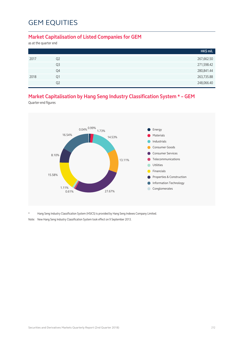#### **Market Capitalisation of Listed Companies for GEM**

as at the quarter end

|                | HK\$ mil.  |
|----------------|------------|
| Q <sub>2</sub> | 267,662.50 |
| Q <sub>3</sub> | 271,598.42 |
| Q4             | 280,841.44 |
| Q1             | 263,735.88 |
| O <sub>2</sub> | 248,066.40 |
|                |            |

### **Market Capitalisation by Hang Seng Industry Classification System \* – GEM**

Quarter-end figures



Hang Seng Industry Classification System (HSICS) is provided by Hang Seng Indexes Company Limited.

Note: New Hang Seng Industry Classification System took effect on 9 September 2013.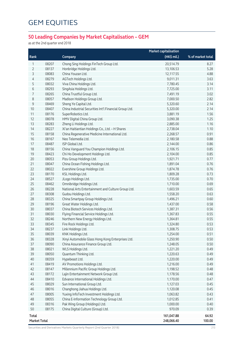### **50 Leading Companies by Market Capitalisation – GEM**

as at the 2nd quarter end 2018

|              |                     |                                                        | <b>Market capitalisation</b> |                   |
|--------------|---------------------|--------------------------------------------------------|------------------------------|-------------------|
| Rank         |                     | Company                                                | (HK\$ mil.)                  | % of market total |
| 1            | 08207               | Chong Sing Holdings FinTech Group Ltd.                 | 20,514.79                    | 8.27              |
| 2            | 08137               | Honbridge Holdings Ltd.                                | 13,106.53                    | 5.28              |
| 3            | 08083               | China Youzan Ltd.                                      | 12,117.55                    | 4.88              |
| 4            | 08279               | AGTech Holdings Ltd.                                   | 9,011.31                     | 3.63              |
| 5            | 08032               | Viva China Holdings Ltd.                               | 7,780.45                     | 3.14              |
| 6            | 08293               | SingAsia Holdings Ltd.                                 | 7,725.00                     | 3.11              |
| 7            | 08265               | China Trustful Group Ltd.                              | 7,491.19                     | 3.02              |
| 8            | 08057               | Madison Holdings Group Ltd.                            | 7,000.50                     | 2.82              |
| 9            | 08469               | Sheng Ye Capital Ltd.                                  | 5,320.60                     | 2.14              |
| 10           | 08407               | China Industrial Securities Int'l Financial Group Ltd. | 5,320.00                     | 2.14              |
| 11           | 08176               | SuperRobotics Ltd.                                     | 3,881.19                     | 1.56              |
| 12           | 08078               | HMV Digital China Group Ltd.                           | 3,090.38                     | 1.25              |
| 13           | 08283               | Zheng Li Holdings Ltd.                                 | 2,885.00                     | 1.16              |
| 14           | 08227               | Xi'an Haitiantian Holdings Co., Ltd. - H Shares        | 2,738.04                     | 1.10              |
| 15           | 08158               | China Regenerative Medicine International Ltd.         | 2,268.57                     | 0.91              |
| 16           | 08167               | Neo Telemedia Ltd.                                     | 2,180.58                     | 0.88              |
| 17           | 08487               | ISP Global Ltd.                                        | 2,144.00                     | 0.86              |
| 18           | 08156               | China Vanguard You Champion Holdings Ltd.              | 2,106.15                     | 0.85              |
| 19           | 08423               | Chi Ho Development Holdings Ltd.                       | 2,104.00                     | 0.85              |
| 20           | 08053               | Pizu Group Holdings Ltd.                               | 1,921.71                     | 0.77              |
| 21           | 08047               | China Ocean Fishing Holdings Ltd.                      | 1,891.04                     | 0.76              |
| 22           | 08022               | Evershine Group Holdings Ltd.                          | 1,874.78                     | 0.76              |
| 23           | 08170               | KSL Holdings Ltd.                                      | 1,809.28                     | 0.73              |
| 24           | 08527               | JLogo Holdings Ltd.                                    | 1,735.00                     | 0.70              |
| 25           | 08462               | Omnibridge Holdings Ltd.                               | 1,710.00                     | 0.69              |
| 26           | 08228               | National Arts Entertainment and Culture Group Ltd.     | 1,603.59                     | 0.65              |
| 27           | 08308               | Gudou Holdings Ltd.                                    | 1,558.20                     | 0.63              |
| 28           | 08325               | China Smartpay Group Holdings Ltd.                     | 1,496.21                     | 0.60              |
| 29           | 08196               | Great Water Holdings Ltd.                              | 1,437.00                     | 0.58              |
| 30           | 08037               | China Biotech Services Holdings Ltd.                   | 1,387.31                     | 0.56              |
| 31           | 08030               | Flying Financial Service Holdings Ltd.                 | 1,367.83                     | 0.55              |
| 32           | 08246               | Northern New Energy Holdings Ltd.                      | 1,364.81                     | 0.55              |
| 33           | 08345               | Fire Rock Holdings Ltd.                                | 1,324.80                     | 0.53              |
| 34           | 08237               | Link Holdings Ltd.                                     | 1,308.75                     | 0.53              |
| 35           | 08039               | KNK Holdings Ltd.                                      | 1,254.00                     | 0.51              |
| 36           | 08328               | Xinyi Automobile Glass Hong Kong Enterprises Ltd.      | 1,250.90                     | 0.50              |
| 37           | 08090               | China Assurance Finance Group Ltd.                     | 1,248.05                     | 0.50              |
| 38           | 08021               | WLS Holdings Ltd.                                      | 1,221.20                     | 0.49              |
| 39           | 08050               | Quantum Thinking Ltd.                                  | 1,220.63                     | 0.49              |
| 40           | 08359               | Hypebeast Ltd.                                         | 1,220.00                     | 0.49              |
| 41           | 08419               | AV Promotions Holdings Ltd.                            | 1,216.00                     | 0.49              |
| 42           | 08147               | Millennium Pacific Group Holdings Ltd.                 | 1,198.52                     | 0.48              |
| 43           | 08172               | Lajin Entertainment Network Group Ltd.                 | 1,178.56                     | 0.48              |
| 44           | 08410               | Edvance International Holdings Ltd.                    | 1,170.00                     | 0.47              |
| 45           | 08029               | Sun International Group Ltd.                           | 1,127.03                     | 0.45              |
| 46           | 08016               | Changhong Jiahua Holdings Ltd.                         | 1,120.08                     | 0.45              |
| 47           | 08005               | Yuxing InfoTech Investment Holdings Ltd.               | 1,063.82                     | 0.43              |
| 48           | 08055               | China E-Information Technology Group Ltd.              | 1,012.85                     | 0.41              |
| 49           | 08316               | Pak Wing Group (Holdings) Ltd.                         | 1,000.00                     | 0.40              |
| 50           | 08175               | China Digital Culture (Group) Ltd.                     | 970.09                       | 0.39              |
| <b>Total</b> |                     |                                                        | 161,047.88                   | 64.92             |
|              | <b>Market Total</b> |                                                        | 248,066.40                   | 100.00            |

Securities and Derivatives Markets Quarterly Report (2nd Quarter 2018) 213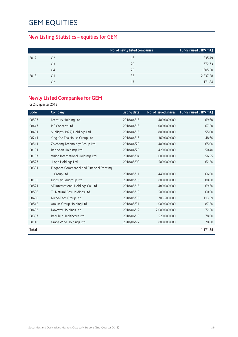### **New Listing Statistics – equities for GEM**

|      |                | No. of newly listed companies | Funds raised (HK\$ mil.) |
|------|----------------|-------------------------------|--------------------------|
| 2017 | Q <sub>2</sub> | 16                            | 1,235.49                 |
|      | Q <sub>3</sub> | 20                            | 1,772.73                 |
|      | Q4             | 25                            | 1,605.50                 |
| 2018 | Q1             | 33                            | 2,237.28                 |
|      | Q2             | 17                            | 1,171.84                 |

### **Newly Listed Companies for GEM**

for 2nd quarter 2018

| Code  | Company                                    | <b>Listing date</b> | No. of issued shares | Funds raised (HK\$ mil.) |
|-------|--------------------------------------------|---------------------|----------------------|--------------------------|
| 08507 | i.century Holding Ltd.                     | 2018/04/16          | 400,000,000          | 69.60                    |
| 08447 | MS Concept Ltd.                            | 2018/04/16          | 1,000,000,000        | 67.50                    |
| 08451 | Sunlight (1977) Holdings Ltd.              | 2018/04/16          | 800,000,000          | 55.00                    |
| 08241 | Ying Kee Tea House Group Ltd.              | 2018/04/16          | 360,000,000          | 48.60                    |
| 08511 | Zhicheng Technology Group Ltd.             | 2018/04/20          | 400,000,000          | 65.00                    |
| 08151 | Bao Shen Holdings Ltd.                     | 2018/04/23          | 420,000,000          | 50.40                    |
| 08107 | Vision International Holdings Ltd.         | 2018/05/04          | 1,000,000,000        | 56.25                    |
| 08527 | JLogo Holdings Ltd.                        | 2018/05/09          | 500,000,000          | 62.50                    |
| 08391 | Elegance Commercial and Financial Printing |                     |                      |                          |
|       | Group Ltd.                                 | 2018/05/11          | 440,000,000          | 66.00                    |
| 08105 | Kingsley Edugroup Ltd.                     | 2018/05/16          | 800,000,000          | 80.00                    |
| 08521 | ST International Holdings Co. Ltd.         | 2018/05/16          | 480,000,000          | 69.60                    |
| 08536 | TL Natural Gas Holdings Ltd.               | 2018/05/18          | 500,000,000          | 60.00                    |
| 08490 | Niche-Tech Group Ltd.                      | 2018/05/30          | 705,500,000          | 113.39                   |
| 08545 | Amuse Group Holding Ltd.                   | 2018/05/31          | 1,000,000,000        | 87.50                    |
| 08403 | Dowway Holdings Ltd.                       | 2018/06/12          | 2,000,000,000        | 72.50                    |
| 08357 | Republic Healthcare Ltd.                   | 2018/06/15          | 520,000,000          | 78.00                    |
| 08146 | Grace Wine Holdings Ltd.                   | 2018/06/27          | 800,000,000          | 70.00                    |
| Total |                                            |                     |                      | 1,171.84                 |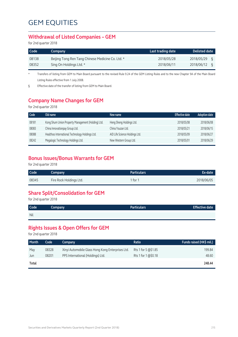#### **Withdrawal of Listed Companies – GEM**

for 2nd quarter 2018

| <b>Code</b> | Company                                           | Last trading date | Delisted date          |
|-------------|---------------------------------------------------|-------------------|------------------------|
| 08138       | Beijing Tong Ren Tang Chinese Medicine Co. Ltd. * | 2018/05/28        | 2018/05/29             |
| 08352       | Sing On Holdings Ltd. *                           | 2018/06/11        | 2018/06/12<br>$\sigma$ |

\* Transfers of listing from GEM to Main Board pursuant to the revised Rule 9.24 of the GEM Listing Rules and to the new Chapter 9A of the Main Board Listing Rules effective from 1 July 2008.

§ Effective date of the transfer of listing from GEM to Main Board.

### **Company Name Changes for GEM**

for 2nd quarter 2018

| Code  | Old name                                           | New name                       | <b>Effective date</b> | <b>Adoption date</b> |
|-------|----------------------------------------------------|--------------------------------|-----------------------|----------------------|
| 08181 | Kong Shum Union Property Management (Holding) Ltd. | Heng Sheng Holdings Ltd.       | 2018/05/08            | 2018/06/08           |
| 08083 | China Innovationpay Group Ltd.                     | China Youzan Ltd.              | 2018/05/21            | 2018/06/15           |
| 08088 | Healthoo International Technology Holdings Ltd.    | AID Life Science Holdings Ltd. | 2018/05/09            | 2018/06/27           |
| 08242 | Megalogic Technology Holdings Ltd.                 | New Western Group Ltd.         | 2018/05/01            | 2018/06/29           |

### **Bonus Issues/Bonus Warrants for GEM**

for 2nd quarter 2018

| Code  | Company                 | <b>Particulars</b> | Ex-date    |
|-------|-------------------------|--------------------|------------|
| 08345 | Fire Rock Holdings Ltd. | 1 for 1            | 2018/06/05 |

### **Share Split/Consolidation for GEM**

for 2nd quarter 2018

| Code       | Company | <b>Particulars</b> | <b>Effective date</b> |
|------------|---------|--------------------|-----------------------|
| <b>Nil</b> |         |                    |                       |

### **Rights Issues & Open Offers for GEM**

for 2nd quarter 2018

| <b>Month</b> | Code  | Company                                           | Ratio               | Funds raised (HK\$ mil.) |
|--------------|-------|---------------------------------------------------|---------------------|--------------------------|
| May          | 08328 | Xinyi Automobile Glass Hong Kong Enterprises Ltd. | Rts 1 for 5 @\$1.85 | 199.84                   |
| Jun          | 08201 | PPS International (Holdings) Ltd.                 | Rts 1 for 1 @\$0.18 | 48.60                    |
| Total        |       |                                                   |                     | 248.44                   |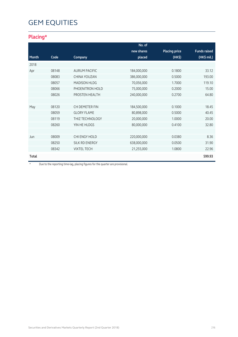# **GEM EQUITIES**

## **Placing\***

|       |       |                        | No. of      |                      |                     |
|-------|-------|------------------------|-------------|----------------------|---------------------|
|       |       |                        | new shares  | <b>Placing price</b> | <b>Funds raised</b> |
| Month | Code  | Company                | placed      | (HK\$)               | (HK\$ mil.)         |
| 2018  |       |                        |             |                      |                     |
| Apr   | 08148 | <b>AURUM PACIFIC</b>   | 184,000,000 | 0.1800               | 33.12               |
|       | 08083 | CHINA YOUZAN           | 386,000,000 | 0.5000               | 193.00              |
|       | 08057 | <b>MADISON HLDG</b>    | 70,056,000  | 1.7000               | 119.10              |
|       | 08066 | PHOENITRON HOLD        | 75,000,000  | 0.2000               | 15.00               |
|       | 08026 | PROSTEN HEALTH         | 240,000,000 | 0.2700               | 64.80               |
|       |       |                        |             |                      |                     |
| May   | 08120 | CH DEMETER FIN         | 184,500,000 | 0.1000               | 18.45               |
|       | 08059 | <b>GLORY FLAME</b>     | 80,898,000  | 0.5000               | 40.45               |
|       | 08119 | <b>THIZ TECHNOLOGY</b> | 20,000,000  | 1.0000               | 20.00               |
|       | 08260 | YIN HE HLDGS           | 80,000,000  | 0.4100               | 32.80               |
|       |       |                        |             |                      |                     |
| Jun   | 08009 | CHI ENGY HOLD          | 220,000,000 | 0.0380               | 8.36                |
|       | 08250 | SILK RD ENERGY         | 638,000,000 | 0.0500               | 31.90               |
|       | 08342 | <b>VIXTEL TECH</b>     | 21,255,000  | 1.0800               | 22.96               |
| Total |       |                        |             |                      | 599.93              |

\* Due to the reporting time-lag, placing figures for the quarter are provisional.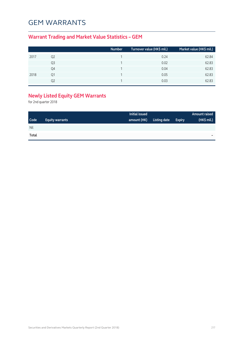## GEM Warrants

### **Warrant Trading and Market Value Statistics – GEM**

|      |    | Number | Turnover value (HK\$ mil.) | Market value (HK\$ mil.) |
|------|----|--------|----------------------------|--------------------------|
| 2017 | Q2 |        | 0.24                       | 62.84                    |
|      | Q3 |        | 0.02                       | 62.83                    |
|      | Q4 |        | 0.04                       | 62.83                    |
| 2018 | Q1 |        | 0.05                       | 62.83                    |
|      |    |        | 0.03                       | 62.83                    |

## **Newly Listed Equity GEM Warrants**

for 2nd quarter 2018

|       |                        | Initial issued |              |               | <b>Amount raised</b> |
|-------|------------------------|----------------|--------------|---------------|----------------------|
| Code  | <b>Equity warrants</b> | amount (HK)    | Listing date | <b>Expiry</b> | (HK\$ mil.)          |
| Nil   |                        |                |              |               |                      |
| Total |                        |                |              |               | -                    |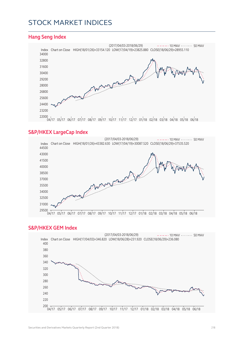## Stock Market Indices

#### **Hang Seng Index**



#### **S&P/HKEX LargeCap Index**



#### **S&P/HKEX GEM Index**

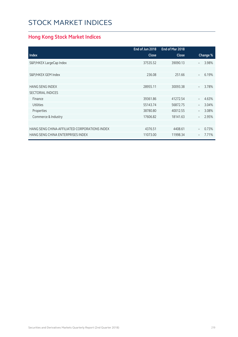# Stock Market Indices

## **Hong Kong Stock Market Indices**

|                                               | End of Jun 2018 | End of Mar 2018 |                                   |
|-----------------------------------------------|-----------------|-----------------|-----------------------------------|
| <b>Index</b>                                  | <b>Close</b>    | Close           | Change %                          |
| S&P/HKEX LargeCap Index                       | 37535.52        | 39090.13        | 3.98%<br>$\overline{\phantom{0}}$ |
|                                               |                 |                 |                                   |
| S&P/HKEX GEM Index                            | 236.08          | 251.66          | 6.19%<br>$\equiv$                 |
|                                               |                 |                 |                                   |
| <b>HANG SENG INDEX</b>                        | 28955.11        | 30093.38        | 3.78%<br>$\overline{\phantom{a}}$ |
| <b>SECTORIAL INDICES</b>                      |                 |                 |                                   |
| Finance                                       | 39361.86        | 41272.54        | 4.63%<br>$\overline{\phantom{a}}$ |
| <b>Utilities</b>                              | 55143.74        | 56872.75        | 3.04%<br>$\overline{\phantom{0}}$ |
| Properties                                    | 38780.80        | 40012.55        | 3.08%<br>$\overline{\phantom{m}}$ |
| Commerce & Industry                           | 17606.82        | 18141.63        | 2.95%<br>$\overline{\phantom{a}}$ |
|                                               |                 |                 |                                   |
| HANG SENG CHINA-AFFILIATED CORPORATIONS INDEX | 4376.51         | 4408.61         | 0.73%<br>$\overline{\phantom{0}}$ |
| HANG SENG CHINA ENTERPRISES INDEX             | 11073.00        | 11998.34        | 7.71%<br>$\qquad \qquad -$        |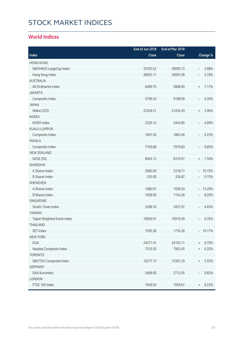# Stock Market Indices

#### **World Indices**

|                             | End of Jun 2018 | End of Mar 2018 |                                           |
|-----------------------------|-----------------|-----------------|-------------------------------------------|
| Index                       | Close           | Close           | Change %                                  |
| <b>HONG KONG</b>            |                 |                 |                                           |
| S&P/HKEX LargeCap Index     | 37535.52        | 39090.13        | 3.98%<br>$\overline{\phantom{a}}$         |
| Hang Seng Index             | 28955.11        | 30093.38        | 3.78%<br>$\overline{\phantom{a}}$         |
| <b>AUSTRALIA</b>            |                 |                 |                                           |
| All Ordinaries Index        | 6289.70         | 5868.90         | 7.17%<br>$\begin{array}{c} + \end{array}$ |
| <b>JAKARTA</b>              |                 |                 |                                           |
| Composite Index             | 5799.24         | 6188.99         | 6.30%<br>$\overline{\phantom{a}}$         |
| <b>JAPAN</b>                |                 |                 |                                           |
| Nikkei (225)                | 22304.51        | 21454.30        | 3.96%<br>$\, +$                           |
| <b>KOREA</b>                |                 |                 |                                           |
| KOSPI Index                 | 2326.13         | 2445.85         | 4.89%<br>$\overline{\phantom{a}}$         |
| <b>KUALA LUMPUR</b>         |                 |                 |                                           |
| Composite Index             | 1691.50         | 1863.46         | 9.23%<br>$\overline{\phantom{a}}$         |
| <b>MANILA</b>               |                 |                 |                                           |
| Composite Index             | 7193.68         | 7979.83         | 9.85%<br>$\overline{\phantom{a}}$         |
| <b>NEW ZEALAND</b>          |                 |                 |                                           |
| <b>NZSE (50)</b>            | 8943.13         | 8319.07         | 7.50%<br>$\begin{array}{c} + \end{array}$ |
| SHANGHAI                    |                 |                 |                                           |
| A Shares Index              | 2982.00         | 3318.71         | $-10.15%$                                 |
| <b>B Shares Index</b>       | 295.00          | 326.87          | 9.75%<br>$\overline{\phantom{a}}$         |
| <b>SHENZHEN</b>             |                 |                 |                                           |
| A Shares Index              | 1680.91         | 1938.59         | $-13.29%$                                 |
| <b>B Shares Index</b>       | 1058.90         | 1154.26         | 8.26%                                     |
| <b>SINGAPORE</b>            |                 |                 |                                           |
| <b>Straits Times Index</b>  | 3268.70         | 3427.97         | 4.65%<br>$\overline{\phantom{a}}$         |
| <b>TAIWAN</b>               |                 |                 |                                           |
| Taipei Weighted Stock Index | 10836.91        | 10919.49        | 0.76%                                     |
| THAILAND                    |                 |                 |                                           |
| <b>SET Index</b>            | 1595.58         | 1776.26         | $-10.17%$                                 |
| <b>NEW YORK</b>             |                 |                 |                                           |
| <b>DJIA</b>                 | 24271.41        | 24103.11        | 0.70%<br>$^{+}$                           |
| Nasdaq Composite Index      | 7510.30         | 7063.45         | 6.33%<br>$^{+}$                           |
| <b>TORONTO</b>              |                 |                 |                                           |
| S&P/TSX Composite Index     | 16277.73        | 15367.29        | 5.92%<br>$^{+}$                           |
| <b>GERMANY</b>              |                 |                 |                                           |
| DAX Kursindex               | 5668.60         | 5715.45         | 0.82%<br>$\overline{\phantom{a}}$         |
| LONDON                      |                 |                 |                                           |
| FTSE 100 Index              | 7636.93         | 7056.61         | 8.22%<br>$\begin{array}{c} + \end{array}$ |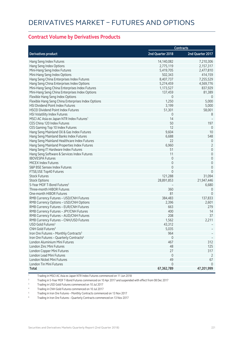#### **Contract Volume by Derivatives Products**

|                                                      |                  | <b>Contracts</b>    |
|------------------------------------------------------|------------------|---------------------|
| <b>Derivatives product</b>                           | 2nd Quarter 2018 | 2nd Quarter 2017    |
| Hang Seng Index Futures                              | 14,140,082       | 7,210,306           |
| Hang Seng Index Options                              | 2,775,119        | 2,157,317           |
| Mini-Hang Seng Index Futures                         | 5,419,705        | 2,477,810           |
| Mini-Hang Seng Index Options                         | 502,343          | 414,159             |
| Hang Seng China Enterprises Index Futures            | 8,407,737        | 7,255,529           |
| Hang Seng China Enterprises Index Options            | 5,274,459        | 4,569,776           |
| Mini-Hang Seng China Enterprises Index Futures       | 1,173,527        | 837,929             |
| Mini-Hang Seng China Enterprises Index Options       | 137,459          | 81,389              |
| Flexible Hang Seng Index Options                     | 0                | 0                   |
| Flexible Hang Seng China Enterprises Index Options   | 1,250            | 5,000               |
| HSI Dividend Point Index Futures                     | 3,199            | 5,000               |
| <b>HSCEI Dividend Point Index Futures</b>            | 51,301           | 58,001              |
| HSI Volatility Index Futures                         | 0                | 8                   |
| MSCI AC Asia ex Japan NTR Index Futures <sup>1</sup> | 14               |                     |
| CES China 120 Index Futures                          | 50               | 197                 |
| CES Gaming Top 10 Index Futures                      | 12               | $\mathbf 0$         |
| Hang Seng Mainland Oil & Gas Index Futures           | 9,604            | 10                  |
| Hang Seng Mainland Banks Index Futures               | 6,688            | 548                 |
| Hang Seng Mainland Healthcare Index Futures          | 22               | $\theta$            |
| Hang Seng Mainland Properties Index Futures          | 6,960            | $\overline{2}$      |
| Hang Seng IT Hardware Index Futures                  | 51               | $\mathbf 0$         |
| Hang Seng Software & Services Index Futures          | 11               | $\mathbf 0$         |
| <b>IBOVESPA Futures</b>                              | $\mathbf 0$      | $\mathbf 0$         |
| <b>MICEX Index Futures</b>                           | $\mathbf 0$      | $\mathbf 0$         |
| S&P BSE Sensex Index Futures                         | $\mathbf 0$      | $\mathsf{O}\xspace$ |
| FTSE/JSE Top40 Futures                               | $\Omega$         | $\Omega$            |
| <b>Stock Futures</b>                                 | 121,288          | 31,094              |
| <b>Stock Options</b>                                 | 28,891,853       | 21,947,446          |
| 5-Year MOF T-Bond Futures <sup>2</sup>               |                  | 6,680               |
| Three-month HIBOR Futures                            | 360              | 0                   |
| One-month HIBOR Futures                              | 81               | $\Omega$            |
| RMB Currency Futures - USD/CNH Futures               | 384,483          | 137,833             |
| RMB Currency Options - USD/CNH Options               | 2,396            | 2,601               |
| RMB Currency Futures - EUR/CNH Futures               | 663              | 279                 |
| RMB Currency Futures - JPY/CNH Futures               | 400              | 14                  |
| RMB Currency Futures - AUD/CNH Futures               | 208              | 37                  |
| RMB Currency Futures - CNH/USD Futures               | 1,562            | 2,211               |
| USD Gold Futures <sup>3</sup>                        | 43,312           |                     |
| CNH Gold Futures <sup>4</sup>                        | 5,035            |                     |
| Iron Ore Futures - Monthly Contracts <sup>5</sup>    | 964              |                     |
| Iron Ore Futures - Quarterly Contracts <sup>6</sup>  | $\mathbb O$      |                     |
| London Aluminium Mini Futures                        | 467              | 312                 |
| London Zinc Mini Futures                             | 48               | 125                 |
| London Copper Mini Futures                           | 27               | 317                 |
| London Lead Mini Futures                             | $\mathbf 0$      | $\overline{2}$      |
| London Nickel Mini Futures                           | 49               | 67                  |
| London Tin Mini Futures                              | 0                | $\Omega$            |
| <b>Total</b>                                         | 67,362,789       | 47,201,999          |

1 Trading in MSCI AC Asia ex Japan NTR Index Futures commenced on 11 Jun 2018

<sup>2</sup> Trading in 5-Year MOF T-Bond Futures commenced on 10 Apr 2017 and suspended with effect from 08 Dec 2017

<sup>3</sup> Trading in USD Gold Futures commenced on 10 Jul 2017

4 Trading in CNH Gold Futures commenced on 10 Jul 2017

5 Trading in Iron Ore Futures – Monthly Contracts commenced on 13 Nov 2017

6 Trading in Iron Ore Futures – Quarterly Contracts commenced on 13 Nov 2017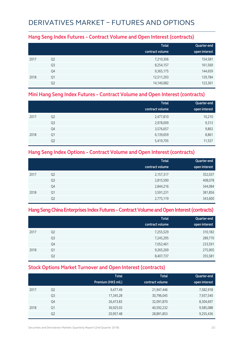## Derivatives Market – Futures and Options

#### **Hang Seng Index Futures – Contract Volume and Open Interest (contracts)**

|      |                | <b>Total</b>    | Quarter-end   |
|------|----------------|-----------------|---------------|
|      |                | contract volume | open interest |
| 2017 | Q <sub>2</sub> | 7,210,306       | 154,581       |
|      | Q <sub>3</sub> | 8,254,157       | 161,569       |
|      | Q4             | 9,365,175       | 144,659       |
| 2018 | Q1             | 12,511,293      | 129,784       |
|      | Q <sub>2</sub> | 14,140,082      | 123,361       |

#### **Mini Hang Seng Index Futures – Contract Volume and Open Interest (contracts)**

|      |                | <b>Total</b>    | Quarter-end   |
|------|----------------|-----------------|---------------|
|      |                | contract volume | open interest |
| 2017 | Q <sub>2</sub> | 2,477,810       | 10,210        |
|      | Q3             | 2,978,009       | 9,313         |
|      | Q4             | 3,576,657       | 9,863         |
| 2018 | Q1             | 6,139,659       | 8,861         |
|      | Q <sub>2</sub> | 5,419,705       | 11,557        |

#### **Hang Seng Index Options – Contract Volume and Open Interest (contracts)**

|      |                | <b>Total</b>    | Quarter-end   |
|------|----------------|-----------------|---------------|
|      |                | contract volume | open interest |
| 2017 | Q <sub>2</sub> | 2,157,317       | 352,037       |
|      | Q <sub>3</sub> | 2,815,590       | 408,078       |
|      | Q4             | 2,844,216       | 344,084       |
| 2018 | Q1             | 3,591,231       | 381,856       |
|      | Q <sub>2</sub> | 2,775,119       | 343,600       |

#### **Hang Seng China Enterprises Index Futures – Contract Volume and Open Interest (contracts)**

|      |                | <b>Total</b><br>contract volume | Quarter-end<br>open interest |
|------|----------------|---------------------------------|------------------------------|
| 2017 | Q <sub>2</sub> | 7,255,529                       | 310,182                      |
|      | Q <sub>3</sub> | 7,245,295                       | 289,770                      |
|      | Q4             | 7,052,461                       | 233,591                      |
| 2018 | Q1             | 9,265,269                       | 275,905                      |
|      | Q <sub>2</sub> | 8,407,737                       | 355,581                      |

#### **Stock Options Market Turnover and Open Interest (contracts)**

|      |                | <b>Total</b><br>Premium (HK\$ mil.) | <b>Total</b><br>contract volume | Quarter-end<br>open interest |
|------|----------------|-------------------------------------|---------------------------------|------------------------------|
| 2017 | Q <sub>2</sub> | 9,477.49                            | 21,947,446                      | 7,582,918                    |
|      | Q <sub>3</sub> | 17,345.28                           | 30,796,045                      | 7,937,540                    |
|      | Q4             | 26,473.83                           | 32,091,870                      | 8,304,697                    |
| 2018 | Q1             | 36,925.03                           | 40,592,232                      | 9,585,088                    |
|      | Q <sub>2</sub> | 20,957.48                           | 28,891,853                      | 9,255,436                    |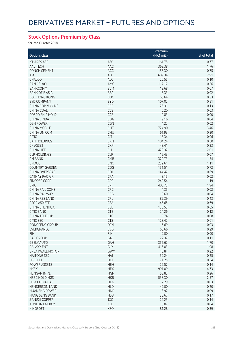### **Stock Options Premium by Class**

for 2nd Quarter 2018

|                        |            | Premium     |            |
|------------------------|------------|-------------|------------|
| <b>Options class</b>   |            | (HK\$ mil.) | % of total |
| <b>ISHARES A50</b>     | A50        | 161.75      | 0.77       |
| AAC TECH               | AAC        | 368.38      | 1.76       |
| <b>CONCH CEMENT</b>    | ACC        | 156.30      | 0.75       |
| AIA                    | AIA        | 609.34      | 2.91       |
| CHALCO                 | <b>ALC</b> | 20.55       | 0.10       |
| CAM CSI300             | AMC        | 117.17      | 0.56       |
| <b>BANKCOMM</b>        | <b>BCM</b> | 13.68       | 0.07       |
| <b>BANK OF E ASIA</b>  | <b>BEA</b> | 3.33        | 0.02       |
| <b>BOC HONG KONG</b>   | <b>BOC</b> | 68.64       | 0.33       |
| <b>BYD COMPANY</b>     | <b>BYD</b> | 107.02      | 0.51       |
| CHINA COMM CONS        | CCC        | 26.31       | 0.13       |
| CHINA COAL             | CCE        | 6.20        | 0.03       |
| <b>COSCO SHIP HOLD</b> | CCS        | 0.83        | 0.00       |
| CHINA CINDA            | CDA        | 9.16        | 0.04       |
| <b>CGN POWER</b>       | CGN        | 4.27        | 0.02       |
| <b>CHINA MOBILE</b>    | CHT        | 724.90      | 3.46       |
|                        | <b>CHU</b> | 61.93       | 0.30       |
| <b>CHINA UNICOM</b>    |            |             |            |
| <b>CITIC</b>           | <b>CIT</b> | 13.34       | 0.06       |
| <b>CKH HOLDINGS</b>    | <b>CKH</b> | 104.24      | 0.50       |
| <b>CK ASSET</b>        | <b>CKP</b> | 48.41       | 0.23       |
| <b>CHINA LIFE</b>      | <b>CLI</b> | 420.32      | 2.01       |
| <b>CLP HOLDINGS</b>    | <b>CLP</b> | 15.43       | 0.07       |
| <b>CM BANK</b>         | CMB        | 322.73      | 1.54       |
| <b>CNOOC</b>           | <b>CNC</b> | 232.61      | 1.11       |
| <b>COUNTRY GARDEN</b>  | COG        | 151.51      | 0.72       |
| <b>CHINA OVERSEAS</b>  | <b>COL</b> | 144.42      | 0.69       |
| <b>CATHAY PAC AIR</b>  | CPA        | 3.15        | 0.02       |
| SINOPEC CORP           | CPC        | 249.54      | 1.19       |
| <b>CPIC</b>            | CPI        | 405.73      | 1.94       |
| <b>CHINA RAIL CONS</b> | CRC        | 4.35        | 0.02       |
| <b>CHINA RAILWAY</b>   | CRG        | 8.60        | 0.04       |
| <b>CHINA RES LAND</b>  | <b>CRL</b> | 89.39       | 0.43       |
| CSOP A50 ETF           | <b>CSA</b> | 145.65      | 0.69       |
| CHINA SHENHUA          | <b>CSE</b> | 135.53      | 0.65       |
| <b>CITIC BANK</b>      | <b>CTB</b> | 24.26       | 0.12       |
| CHINA TELECOM          | CTC        | 15.74       | 0.08       |
| <b>CITIC SEC</b>       | <b>CTS</b> | 128.42      | 0.61       |
| <b>DONGFENG GROUP</b>  | <b>DFM</b> | 6.69        | 0.03       |
| EVERGRANDE             | EVG        | 60.66       | 0.29       |
| <b>FIH</b>             | <b>FIH</b> | 0.00        | 0.00       |
| <b>GAC GROUP</b>       | GAC        | 22.32       | 0.11       |
| <b>GEELY AUTO</b>      | GAH        | 355.62      | 1.70       |
| <b>GALAXY ENT</b>      | GLX        | 415.03      | 1.98       |
| <b>GREATWALL MOTOR</b> | <b>GWM</b> | 45.84       | 0.22       |
| <b>HAITONG SEC</b>     | HAI        | 52.24       | 0.25       |
| <b>HSCEI ETF</b>       | <b>HCF</b> | 71.25       | 0.34       |
| POWER ASSETS           | <b>HEH</b> | 29.57       | 0.14       |
| <b>HKEX</b>            | <b>HEX</b> | 991.09      | 4.73       |
| <b>HENGAN INT'L</b>    | <b>HGN</b> | 53.82       | 0.26       |
| <b>HSBC HOLDINGS</b>   | <b>HKB</b> | 538.30      | 2.57       |
| HK & CHINA GAS         | <b>HKG</b> | 7.29        | 0.03       |
| <b>HENDERSON LAND</b>  | <b>HLD</b> | 42.00       | 0.20       |
| <b>HUANENG POWER</b>   | <b>HNP</b> | 18.97       | 0.09       |
| <b>HANG SENG BANK</b>  | <b>HSB</b> | 35.67       | 0.17       |
| <b>JIANGXI COPPER</b>  | <b>JXC</b> | 29.23       | 0.14       |
| <b>KUNLUN ENERGY</b>   | <b>KLE</b> | 8.87        | 0.04       |
| <b>KINGSOFT</b>        | <b>KSO</b> | 81.28       | 0.39       |
|                        |            |             |            |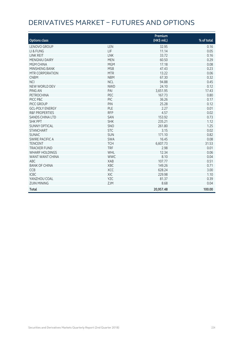# Derivatives Market – Futures and Options

| <b>Options class</b>      |            | Premium<br>(HK\$ mil.) | % of total |
|---------------------------|------------|------------------------|------------|
| <b>LENOVO GROUP</b>       | LEN        | 32.95                  | 0.16       |
| LI & FUNG                 | LIF        | 11.14                  | 0.05       |
| <b>LINK REIT</b>          | <b>LNK</b> | 33.72                  | 0.16       |
| <b>MENGNIU DAIRY</b>      | <b>MEN</b> | 60.50                  | 0.29       |
| MGM CHINA                 | <b>MGM</b> | 17.18                  | 0.08       |
| MINSHENG BANK             | <b>MSB</b> | 47.43                  | 0.23       |
| MTR CORPORATION           | <b>MTR</b> | 13.22                  | 0.06       |
| <b>CNBM</b>               | <b>NBM</b> | 67.30                  | 0.32       |
| <b>NCI</b>                | <b>NCL</b> | 94.88                  | 0.45       |
| NEW WORLD DEV             | <b>NWD</b> | 24.10                  | 0.12       |
| PING AN                   | PAI        | 3,651.95               | 17.43      |
| <b>PETROCHINA</b>         | PEC        | 167.73                 | 0.80       |
| PICC P&C                  | PIC        | 36.26                  | 0.17       |
| PICC GROUP                | PIN        | 25.28                  | 0.12       |
| <b>GCL-POLY ENERGY</b>    | PLE        | 2.27                   | 0.01       |
| <b>R&amp;F PROPERTIES</b> | <b>RFP</b> | 4.57                   | 0.02       |
| <b>SANDS CHINA LTD</b>    | SAN        | 153.92                 | 0.73       |
| <b>SHK PPT</b>            | <b>SHK</b> | 235.21                 | 1.12       |
| <b>SUNNY OPTICAL</b>      | SNO        | 261.80                 | 1.25       |
| <b>STANCHART</b>          | <b>STC</b> | 3.15                   | 0.02       |
| <b>SUNAC</b>              | SUN        | 171.10                 | 0.82       |
| <b>SWIRE PACIFIC A</b>    | <b>SWA</b> | 16.45                  | 0.08       |
| <b>TENCENT</b>            | <b>TCH</b> | 6,607.73               | 31.53      |
| <b>TRACKER FUND</b>       | <b>TRF</b> | 2.98                   | 0.01       |
| <b>WHARF HOLDINGS</b>     | WHL        | 12.34                  | 0.06       |
| <b>WANT WANT CHINA</b>    | <b>WWC</b> | 8.10                   | 0.04       |
| ABC                       | <b>XAB</b> | 107.77                 | 0.51       |
| <b>BANK OF CHINA</b>      | XBC        | 149.26                 | 0.71       |
| CCB                       | XCC        | 628.24                 | 3.00       |
| <b>ICBC</b>               | XIC        | 229.98                 | 1.10       |
| YANZHOU COAL              | <b>YZC</b> | 81.37                  | 0.39       |
| <b>ZIJIN MINING</b>       | ZJM        | 8.68                   | 0.04       |
| <b>Total</b>              |            | 20,957.48              | 100.00     |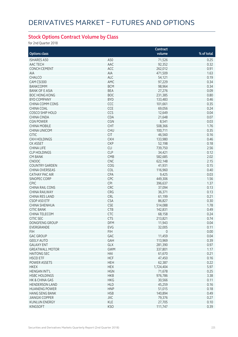### **Stock Options Contract Volume by Class**

for 2nd Quarter 2018

|                        |            | Contract    |            |
|------------------------|------------|-------------|------------|
| <b>Options class</b>   |            | volume      | % of total |
| <b>ISHARES A50</b>     | A50        | 71,526      | 0.25       |
| AAC TECH               | AAC        | 92,352      | 0.32       |
| <b>CONCH CEMENT</b>    | ACC        | 262,012     | 0.91       |
| AIA                    | AIA        | 471,509     | 1.63       |
| CHALCO                 | <b>ALC</b> | 54,121      | 0.19       |
| CAM CSI300             | AMC        | 97,229      | 0.34       |
| <b>BANKCOMM</b>        | <b>BCM</b> | 98,964      | 0.34       |
| <b>BANK OF E ASIA</b>  | <b>BEA</b> | 27,276      | 0.09       |
| <b>BOC HONG KONG</b>   | <b>BOC</b> | 231,385     | 0.80       |
| <b>BYD COMPANY</b>     | <b>BYD</b> | 133,483     | 0.46       |
| <b>CHINA COMM CONS</b> | CCC        | 101,661     | 0.35       |
| <b>CHINA COAL</b>      | CCE        | 69,056      | 0.24       |
| COSCO SHIP HOLD        | CCS        | 12,649      | 0.04       |
| <b>CHINA CINDA</b>     | CDA        |             | 0.07       |
| <b>CGN POWER</b>       | <b>CGN</b> | 21,648      |            |
|                        |            | 8,541       | 0.03       |
| <b>CHINA MOBILE</b>    | <b>CHT</b> | 508,366     | 1.76       |
| <b>CHINA UNICOM</b>    | <b>CHU</b> | 100,711     | 0.35       |
| <b>CITIC</b>           | <b>CIT</b> | 46,560      | 0.16       |
| <b>CKH HOLDINGS</b>    | <b>CKH</b> | 133,980     | 0.46       |
| <b>CK ASSET</b>        | <b>CKP</b> | 52,198      | 0.18       |
| <b>CHINA LIFE</b>      | <b>CLI</b> | 739,750     | 2.56       |
| <b>CLP HOLDINGS</b>    | <b>CLP</b> | 34,421      | 0.12       |
| <b>CM BANK</b>         | CMB        | 582,685     | 2.02       |
| <b>CNOOC</b>           | CNC        | 622,148     | 2.15       |
| <b>COUNTRY GARDEN</b>  | COG        | 41,931      | 0.15       |
| <b>CHINA OVERSEAS</b>  | COL        | 116,960     | 0.40       |
| <b>CATHAY PAC AIR</b>  | CPA        | 9,425       | 0.03       |
| SINOPEC CORP           | CPC        | 449,306     | 1.56       |
| <b>CPIC</b>            | <b>CPI</b> | 396,637     | 1.37       |
| <b>CHINA RAIL CONS</b> | CRC        | 37,094      | 0.13       |
| <b>CHINA RAILWAY</b>   | CRG        | 36,371      | 0.13       |
| CHINA RES LAND         | <b>CRL</b> | 61,199      | 0.21       |
| CSOP A50 ETF           | <b>CSA</b> | 86,827      | 0.30       |
| CHINA SHENHUA          | <b>CSE</b> | 514,088     | 1.78       |
| <b>CITIC BANK</b>      | <b>CTB</b> | 142,831     | 0.49       |
| CHINA TELECOM          | <b>CTC</b> | 68,158      | 0.24       |
| <b>CITIC SEC</b>       | <b>CTS</b> | 213,821     | 0.74       |
| DONGFENG GROUP         | <b>DFM</b> | 11,943      | 0.04       |
| EVERGRANDE             | EVG        | 32,005      | 0.11       |
| <b>FIH</b>             | <b>FIH</b> | $\mathbf 0$ | 0.00       |
| <b>GAC GROUP</b>       | GAC        | 11,459      | 0.04       |
| <b>GEELY AUTO</b>      | GAH        | 113,969     | 0.39       |
| <b>GALAXY ENT</b>      | GLX        | 281,390     | 0.97       |
| <b>GREATWALL MOTOR</b> | <b>GWM</b> | 337,801     | 1.17       |
| <b>HAITONG SEC</b>     | HAI        | 61,670      | 0.21       |
| <b>HSCEI ETF</b>       | <b>HCF</b> | 47,450      | 0.16       |
| POWER ASSETS           | <b>HEH</b> | 62,387      | 0.22       |
| <b>HKEX</b>            | <b>HEX</b> | 1,724,404   | 5.97       |
| <b>HENGAN INT'L</b>    | <b>HGN</b> | 71,678      | 0.25       |
| <b>HSBC HOLDINGS</b>   | <b>HKB</b> | 976,786     | 3.38       |
| HK & CHINA GAS         | <b>HKG</b> | 30,566      | 0.11       |
| <b>HENDERSON LAND</b>  | <b>HLD</b> | 45,259      | 0.16       |
| <b>HUANENG POWER</b>   | <b>HNP</b> | 51,015      | 0.18       |
| <b>HANG SENG BANK</b>  | <b>HSB</b> | 140,894     | 0.49       |
| <b>JIANGXI COPPER</b>  | <b>JXC</b> | 79,376      | 0.27       |
| <b>KUNLUN ENERGY</b>   | <b>KLE</b> | 27,705      | 0.10       |
| KINGSOFT               | <b>KSO</b> | 111,747     | 0.39       |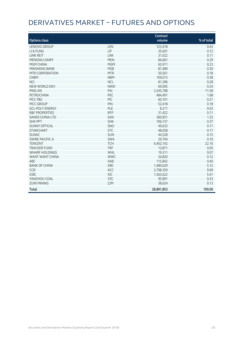# Derivatives Market – Futures and Options

| <b>Options class</b>      |            | <b>Contract</b><br>volume | % of total |
|---------------------------|------------|---------------------------|------------|
| LENOVO GROUP              | LEN        | 123,418                   | 0.43       |
| LI & FUNG                 | LIF        | 35,691                    | 0.12       |
| <b>LINK REIT</b>          | <b>LNK</b> | 31,022                    | 0.11       |
| MENGNIU DAIRY             | <b>MEN</b> | 84,661                    | 0.29       |
| MGM CHINA                 | <b>MGM</b> | 65,911                    | 0.23       |
| MINSHENG BANK             | <b>MSB</b> | 87,489                    | 0.30       |
| MTR CORPORATION           | <b>MTR</b> | 50,561                    | 0.18       |
| <b>CNBM</b>               | <b>NBM</b> | 109,013                   | 0.38       |
| <b>NCI</b>                | <b>NCL</b> | 81,396                    | 0.28       |
| NEW WORLD DEV             | <b>NWD</b> | 69,095                    | 0.24       |
| PING AN                   | PAI        | 3,345,788                 | 11.58      |
| <b>PETROCHINA</b>         | PEC        | 484,491                   | 1.68       |
| PICC P&C                  | PIC        | 60,161                    | 0.21       |
| PICC GROUP                | PIN        | 52,418                    | 0.18       |
| <b>GCL-POLY ENERGY</b>    | PLE        | 8,211                     | 0.03       |
| <b>R&amp;F PROPERTIES</b> | <b>RFP</b> | 31,422                    | 0.11       |
| <b>SANDS CHINA LTD</b>    | SAN        | 360,951                   | 1.25       |
| <b>SHK PPT</b>            | <b>SHK</b> | 106,737                   | 0.37       |
| <b>SUNNY OPTICAL</b>      | SNO        | 49,633                    | 0.17       |
| <b>STANCHART</b>          | <b>STC</b> | 48,058                    | 0.17       |
| <b>SUNAC</b>              | SUN        | 44,528                    | 0.15       |
| <b>SWIRE PACIFIC A</b>    | <b>SWA</b> | 29,704                    | 0.10       |
| <b>TENCENT</b>            | <b>TCH</b> | 6,402,142                 | 22.16      |
| <b>TRACKER FUND</b>       | <b>TRF</b> | 13,871                    | 0.05       |
| <b>WHARF HOLDINGS</b>     | WHL        | 19,311                    | 0.07       |
| WANT WANT CHINA           | <b>WWC</b> | 34,820                    | 0.12       |
| ABC                       | <b>XAB</b> | 115,842                   | 0.40       |
| <b>BANK OF CHINA</b>      | XBC        | 1,480,629                 | 5.12       |
| <b>CCB</b>                | XCC        | 2,798,359                 | 9.69       |
| <b>ICBC</b>               | XIC        | 1,563,622                 | 5.41       |
| YANZHOU COAL              | <b>YZC</b> | 95,891                    | 0.33       |
| <b>ZIJIN MINING</b>       | <b>ZJM</b> | 38,624                    | 0.13       |
| <b>Total</b>              |            | 28,891,853                | 100.00     |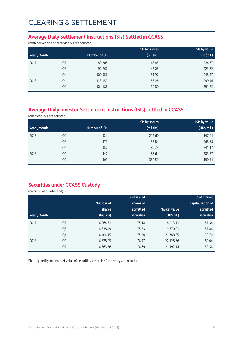## CLEARING & SETTLEMENT

#### **Average Daily Settlement Instructions (SIs) Settled in CCASS**

(both delivering and receiving SIs are counted)

|              |                |               | SIs by shares | SIs by value |
|--------------|----------------|---------------|---------------|--------------|
| Year \ Month |                | Number of SIs | (bil. shs)    | (HK\$bil.)   |
| 2017         | Q <sub>2</sub> | 89,205        | 48.85         | 224.77       |
|              | Q <sub>3</sub> | 92,762        | 47.05         | 223.72       |
|              | Q4             | 100,956       | 51.97         | 248.47       |
| 2018         | Q1             | 113,959       | 55.26         | 299.46       |
|              | Q <sub>2</sub> | 104,188       | 50.80         | 291.72       |

### **Average Daily Investor Settlement Instructions (ISIs) settled in CCASS**

(one sided ISIs are counted)

|              |                |                | <b>ISIs by shares</b> | <b>ISIs by value</b> |
|--------------|----------------|----------------|-----------------------|----------------------|
| Year \ month |                | Number of ISIs | (Mil shs)             | (HK\$ mil.)          |
| 2017         | Q <sub>2</sub> | 321            | 212.60                | 147.64               |
|              | Q <sub>3</sub> | 373            | 155.84                | 468.68               |
|              | Q4             | 352            | 80.73                 | 241.17               |
| 2018         | Q1             | 442            | 87.64                 | 283.87               |
|              | Q <sub>2</sub> | 303            | 352.59                | 190.54               |

### **Securities under CCASS Custody**

(balances at quarter end)

|              |                |            | % of issued       |              | % of market       |
|--------------|----------------|------------|-------------------|--------------|-------------------|
|              |                | Number of  | shares of         |              | capitalisation of |
|              |                | shares     | admitted          | Market value | admitted          |
| Year \ Month |                | (bil. shs) | <b>securities</b> | (HK\$ bil.)  | securities        |
| 2017         | Q <sub>2</sub> | 6,264.71   | 75.18             | 18,013.11    | 57.34             |
|              | Q <sub>3</sub> | 6,338.49   | 75.53             | 19,870.01    | 57.86             |
|              | Q4             | 6,404.15   | 75.30             | 21,768.65    | 58.70             |
| 2018         | Q1             | 6,628.95   | 76.47             | 22,128.66    | 60.04             |
|              | Q <sub>2</sub> | 6,663.56   | 76.69             | 21,197.14    | 59.56             |

Share quantity and market value of securities in non-HKD currency are included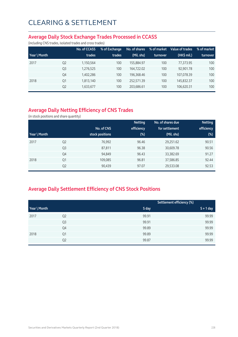#### **Average Daily Stock Exchange Trades Processed in CCASS**

(including CNS trades, isolated trades and cross trades)

|              |                | No. of CCASS | % of Exchange | No. of shares | % of market | Value of trades | % of market |
|--------------|----------------|--------------|---------------|---------------|-------------|-----------------|-------------|
| Year \ Month |                | trades       | trades        | (Mil. shs)    | turnover    | $(HK\$ mil.)    | turnover    |
| 2017         | Q <sub>2</sub> | 1,150,564    | 100           | 155,884.97    | 100         | 77,373.95       | 100         |
|              | Q <sub>3</sub> | 1,276,525    | 100           | 164.722.02    | 100         | 92,901.78       | 100         |
|              | Q4             | 1,402,286    | 100           | 196,368.46    | 100         | 107,078.39      | 100         |
| 2018         | Q1             | 1,813,140    | 100           | 252.571.39    | 100         | 145,832.37      | 100         |
|              | Q <sub>2</sub> | 1,633,677    | 100           | 203.686.61    | 100         | 106,620.31      | 100         |

### **Average Daily Netting Efficiency of CNS Trades**

(in stock positions and share quantity)

|              |                |                 | <b>Netting</b> | No. of shares due | <b>Netting</b> |
|--------------|----------------|-----------------|----------------|-------------------|----------------|
|              |                | No. of CNS      | efficiency     | for settlement    | efficiency     |
| Year \ Month |                | stock positions | (%)            | (Mil. shs)        | $(\%)$         |
| 2017         | Q <sub>2</sub> | 76,992          | 96.46          | 29,251.62         | 90.51          |
|              | Q <sub>3</sub> | 87,811          | 96.38          | 30,609.78         | 90.56          |
|              | Q4             | 94,849          | 96.43          | 33,382.69         | 91.27          |
| 2018         | Q1             | 109,085         | 96.81          | 37,586.85         | 92.44          |
|              | Q <sub>2</sub> | 90,439          | 97.07          | 29,533.08         | 92.53          |

### **Average Daily Settlement Efficiency of CNS Stock Positions**

|              |                | Settlement efficiency (%) |             |
|--------------|----------------|---------------------------|-------------|
| Year \ Month |                | S day                     | $S + 1$ day |
| 2017         | Q <sub>2</sub> | 99.91                     | 99.99       |
|              | Q <sub>3</sub> | 99.91                     | 99.99       |
|              | Q4             | 99.89                     | 99.99       |
| 2018         | Q1             | 99.89                     | 99.99       |
|              | Q <sub>2</sub> | 99.87                     | 99.99       |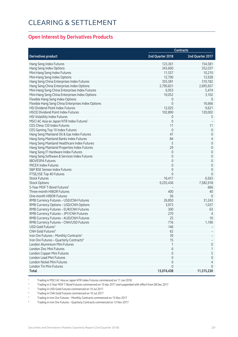## Clearing & Settlement

#### **Open Interest by Derivatives Products**

|                                                                                  | <b>Contracts</b> |                      |
|----------------------------------------------------------------------------------|------------------|----------------------|
| <b>Derivatives product</b>                                                       | 2nd Quarter 2018 | 2nd Quarter 2017     |
| Hang Seng Index Futures                                                          | 123,361          | 154,581              |
| Hang Seng Index Options                                                          | 343,600          | 352,037              |
| Mini-Hang Seng Index Futures                                                     | 11,557           | 10,210               |
| Mini-Hang Seng Index Options                                                     | 12,700           | 13,928               |
| Hang Seng China Enterprises Index Futures                                        | 355,581          | 310,182              |
| Hang Seng China Enterprises Index Options                                        | 2,790,831        | 2,695,657            |
| Mini-Hang Seng China Enterprises Index Futures                                   | 6,953            | 5,474                |
| Mini-Hang Seng China Enterprises Index Options                                   | 10,052           | 3,102                |
| Flexible Hang Seng Index Options                                                 | 0                | $\theta$             |
| Flexible Hang Seng China Enterprises Index Options                               | $\mathbf 0$      | 16,666               |
| HSI Dividend Point Index Futures                                                 | 12,025           | 9,621                |
| <b>HSCEI Dividend Point Index Futures</b>                                        | 102,890          | 120,002              |
| HSI Volatility Index Futures                                                     | 0                | 5                    |
| MSCI AC Asia ex Japan NTR Index Futures <sup>1</sup>                             | $\mathbf 0$      |                      |
| CES China 120 Index Futures                                                      | 11               | 11                   |
| CES Gaming Top 10 Index Futures                                                  | $\mathbf 0$      | $\mathbf 0$          |
| Hang Seng Mainland Oil & Gas Index Futures                                       | 47               | 0                    |
| Hang Seng Mainland Banks Index Futures                                           | 84               | $\overline{4}$       |
| Hang Seng Mainland Healthcare Index Futures                                      | 5                | $\mathsf{O}\xspace$  |
| Hang Seng Mainland Properties Index Futures                                      | 29               | $\mathbf 0$          |
| Hang Seng IT Hardware Index Futures                                              | $\mathbf 0$      | $\mathbf 0$          |
| Hang Seng Software & Services Index Futures                                      | $\mathbf 0$      | $\mathbf 0$          |
| <b>IBOVESPA Futures</b>                                                          | $\mathbf 0$      | $\mathbf 0$          |
| MICEX Index Futures                                                              | $\mathbf 0$      | $\mathsf{O}\xspace$  |
| S&P BSE Sensex Index Futures                                                     | $\mathbf 0$      | $\mathbf 0$          |
| FTSE/JSE Top 40 Futures                                                          | $\Omega$         | $\Omega$             |
| <b>Stock Futures</b>                                                             | 16,417           | 6,563                |
| <b>Stock Options</b>                                                             | 9,255,436        | 7,582,918            |
| 5-Year MOF T-Bond Futures <sup>2</sup>                                           |                  | 666                  |
| Three-month HIBOR Futures                                                        | 400              | 40                   |
| One-month HIBOR Futures                                                          | 56               | $\overline{0}$       |
| RMB Currency Futures - USD/CNH Futures                                           | 26,850           |                      |
| RMB Currency Options - USD/CNH Options                                           | 3,973            | 31,243<br>1,037      |
| RMB Currency Futures - EUR/CNH Futures                                           | 300              | 63                   |
|                                                                                  | 270              |                      |
| RMB Currency Futures - JPY/CNH Futures                                           | 25               | $\overline{4}$<br>10 |
| RMB Currency Futures - AUD/CNH Futures<br>RMB Currency Futures - CNH/USD Futures | 716              | 1,196                |
| USD Gold Futures <sup>3</sup>                                                    | 146              |                      |
| CNH Gold Futures <sup>4</sup>                                                    |                  |                      |
|                                                                                  | 62               |                      |
| Iron Ore Futures - Monthly Contracts <sup>5</sup>                                | 39               |                      |
| Iron Ore Futures - Quarterly Contracts <sup>6</sup>                              | 15               |                      |
| London Aluminium Mini Futures                                                    | 1                | 0                    |
| London Zinc Mini Futures                                                         | 6                | 1                    |
| London Copper Mini Futures                                                       | 0                | 5                    |
| London Lead Mini Futures                                                         | $\Omega$         | 0                    |
| London Nickel Mini Futures                                                       | $\Omega$         | 4                    |
| London Tin Mini Futures                                                          | 0                | 0                    |
| <b>Total</b>                                                                     | 13,074,438       | 11,315,230           |

1 Trading in MSCI AC Asia ex Japan NTR Index Futures commenced on 11 Jun 2018

<sup>2</sup> Trading in 5-Year MOF T-Bond Futures commenced on 10 Apr 2017 and suspended with effect from 08 Dec 2017

3 Trading in USD Gold Futures commenced on 10 Jul 2017

4 Trading in CNH Gold Futures commenced on 10 Jul 2017

5 Trading in Iron Ore Futures – Monthly Contracts commenced on 13 Nov 2017

6 Trading in Iron Ore Futures – Quarterly Contracts commenced on 13 Nov 2017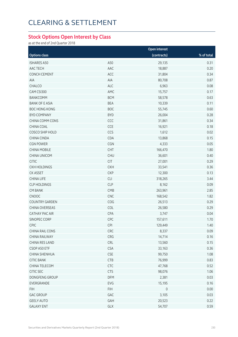# Clearing & Settlement

#### **Stock Options Open Interest by Class**

as at the end of 2nd Quarter 2018

|                       |            | Open interest       |              |
|-----------------------|------------|---------------------|--------------|
| <b>Options class</b>  |            | (contracts)         | $%$ of total |
| <b>ISHARES A50</b>    | A50        | 29,135              | 0.31         |
| AAC TECH              | AAC        | 18,887              | 0.20         |
| <b>CONCH CEMENT</b>   | ACC        | 31,804              | 0.34         |
| AIA                   | AIA        | 80,708              | 0.87         |
| CHALCO                | <b>ALC</b> | 6,963               | 0.08         |
| CAM CSI300            | AMC        | 15,757              | 0.17         |
| <b>BANKCOMM</b>       | <b>BCM</b> | 58,578              | 0.63         |
| <b>BANK OF E ASIA</b> | <b>BEA</b> | 10,339              | 0.11         |
| <b>BOC HONG KONG</b>  | <b>BOC</b> | 55,745              | 0.60         |
| <b>BYD COMPANY</b>    | <b>BYD</b> | 26,004              | 0.28         |
| CHINA COMM CONS       | CCC        | 31,861              | 0.34         |
| CHINA COAL            | CCE        | 16,921              | 0.18         |
| COSCO SHIP HOLD       | CCS        | 1,612               | 0.02         |
| <b>CHINA CINDA</b>    | CDA        | 13,868              | 0.15         |
| <b>CGN POWER</b>      | CGN        | 4,333               | 0.05         |
| <b>CHINA MOBILE</b>   | CHT        | 166,470             | 1.80         |
| <b>CHINA UNICOM</b>   | <b>CHU</b> | 36,601              | 0.40         |
| <b>CITIC</b>          | CIT        | 27,001              | 0.29         |
| <b>CKH HOLDINGS</b>   | <b>CKH</b> | 33,541              | 0.36         |
| CK ASSET              | <b>CKP</b> | 12,300              | 0.13         |
| <b>CHINA LIFE</b>     | CLI        | 318,265             | 3.44         |
| <b>CLP HOLDINGS</b>   | <b>CLP</b> | 8,162               | 0.09         |
| <b>CM BANK</b>        | CMB        | 263,961             | 2.85         |
| CNOOC                 | <b>CNC</b> | 168,542             | 1.82         |
| <b>COUNTRY GARDEN</b> | COG        | 26,513              | 0.29         |
| <b>CHINA OVERSEAS</b> | COL        | 26,580              | 0.29         |
| CATHAY PAC AIR        | CPA        | 3,747               | 0.04         |
| SINOPEC CORP          | CPC        | 157,611             | 1.70         |
| <b>CPIC</b>           | CPI        | 129,449             | 1.40         |
| CHINA RAIL CONS       | <b>CRC</b> | 8,337               | 0.09         |
| CHINA RAILWAY         | CRG        | 14,714              | 0.16         |
| CHINA RES LAND        | CRL        | 13,560              | 0.15         |
| CSOP A50 ETF          | <b>CSA</b> | 33,163              | 0.36         |
| CHINA SHENHUA         | <b>CSE</b> | 99,750              | 1.08         |
| <b>CITIC BANK</b>     | <b>CTB</b> | 76,999              | 0.83         |
| CHINA TELECOM         | <b>CTC</b> | 47,768              | 0.52         |
| <b>CITIC SEC</b>      | <b>CTS</b> | 98,076              | 1.06         |
| DONGFENG GROUP        | DFM        | 2,381               | 0.03         |
| EVERGRANDE            | EVG        | 15,195              | 0.16         |
| <b>FIH</b>            | <b>FIH</b> | $\mathsf{O}\xspace$ | 0.00         |
| <b>GAC GROUP</b>      | GAC        | 3,105               | 0.03         |
| <b>GEELY AUTO</b>     | GAH        | 20,523              | 0.22         |
| <b>GALAXY ENT</b>     | GLX        | 54,707              | 0.59         |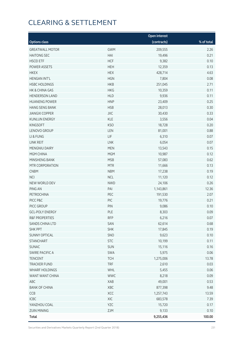# Clearing & Settlement

|                        |            | <b>Open interest</b> |            |
|------------------------|------------|----------------------|------------|
| <b>Options class</b>   |            | (contracts)          | % of total |
| <b>GREATWALL MOTOR</b> | <b>GWM</b> | 209,555              | 2.26       |
| <b>HAITONG SEC</b>     | HAI        | 19,496               | 0.21       |
| <b>HSCEI ETF</b>       | <b>HCF</b> | 9,382                | 0.10       |
| POWER ASSETS           | <b>HEH</b> | 12,359               | 0.13       |
| <b>HKEX</b>            | <b>HEX</b> | 428,714              | 4.63       |
| HENGAN INT'L           | <b>HGN</b> | 7,804                | 0.08       |
| <b>HSBC HOLDINGS</b>   | <b>HKB</b> | 251,045              | 2.71       |
| HK & CHINA GAS         | <b>HKG</b> | 10,359               | 0.11       |
| <b>HENDERSON LAND</b>  | <b>HLD</b> | 9,936                | 0.11       |
| <b>HUANENG POWER</b>   | <b>HNP</b> | 23,409               | 0.25       |
| <b>HANG SENG BANK</b>  | <b>HSB</b> | 28,013               | 0.30       |
| <b>JIANGXI COPPER</b>  | JXC        | 30,430               | 0.33       |
| <b>KUNLUN ENERGY</b>   | KLE        | 3,556                | 0.04       |
| <b>KINGSOFT</b>        | <b>KSO</b> | 18,728               | 0.20       |
| LENOVO GROUP           | LEN        | 81,001               | 0.88       |
| LI & FUNG              | LIF        | 6,310                | 0.07       |
| LINK REIT              | LNK        | 6,054                | 0.07       |
| MENGNIU DAIRY          | <b>MEN</b> | 13,543               | 0.15       |
| MGM CHINA              | <b>MGM</b> | 10,987               | 0.12       |
| MINSHENG BANK          | <b>MSB</b> | 57,083               | 0.62       |
| MTR CORPORATION        | <b>MTR</b> | 11,666               | 0.13       |
| <b>CNBM</b>            | <b>NBM</b> | 17,238               | 0.19       |
| <b>NCI</b>             | <b>NCL</b> | 11,120               | 0.12       |
| NEW WORLD DEV          | <b>NWD</b> | 24,106               | 0.26       |
| PING AN                | PAI        | 1,143,861            | 12.36      |
| PETROCHINA             | PEC        | 191,530              | 2.07       |
| PICC P&C               | PIC        | 19,776               | 0.21       |
| PICC GROUP             | PIN        | 9,086                | 0.10       |
| <b>GCL-POLY ENERGY</b> | PLE        | 8,303                | 0.09       |
| R&F PROPERTIES         | <b>RFP</b> | 6,216                | 0.07       |
| SANDS CHINA LTD        | SAN        | 62,614               | 0.68       |
| <b>SHK PPT</b>         | <b>SHK</b> | 17,845               | 0.19       |
| <b>SUNNY OPTICAL</b>   | SNO        | 9,623                | 0.10       |
| <b>STANCHART</b>       | <b>STC</b> | 10,199               | 0.11       |
| SUNAC                  | SUN        | 15,116               | 0.16       |
| <b>SWIRE PACIFIC A</b> | SWA        | 5,975                | 0.06       |
| <b>TENCENT</b>         | <b>TCH</b> | 1,275,006            | 13.78      |
| <b>TRACKER FUND</b>    | <b>TRF</b> | 2,610                | 0.03       |
| <b>WHARF HOLDINGS</b>  | WHL        | 5,455                | 0.06       |
| WANT WANT CHINA        | <b>WWC</b> | 8,218                | 0.09       |
| ABC                    | XAB        | 49,001               | 0.53       |
| <b>BANK OF CHINA</b>   | XBC        | 877,398              | 9.48       |
| CCB                    | XCC        | 1,257,743            | 13.59      |
| ICBC                   | XIC        | 683,578              | 7.39       |
| YANZHOU COAL           | YZC        | 15,720               | 0.17       |
| <b>ZIJIN MINING</b>    | ZJM        | 9,133                | 0.10       |
| <b>Total</b>           |            | 9,255,436            | 100.00     |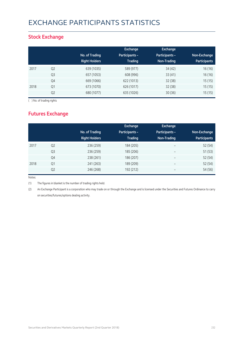# Exchange Participants Statistics

### **Stock Exchange**

|      |                | No. of Trading<br><b>Right Holders</b> | Exchange<br><b>Participants -</b><br><b>Trading</b> | <b>Exchange</b><br>Participants -<br>Non-Trading | Non-Exchange<br><b>Participants</b> |
|------|----------------|----------------------------------------|-----------------------------------------------------|--------------------------------------------------|-------------------------------------|
| 2017 | Q <sub>2</sub> | 639 (1035)                             | 589 (977)                                           | 34(42)                                           | 16 (16)                             |
|      | Q <sub>3</sub> | 657 (1053)                             | 608 (996)                                           | 33(41)                                           | 16 (16)                             |
|      | Q4             | 669 (1066)                             | 622 (1013)                                          | 32(38)                                           | 15(15)                              |
| 2018 | Q1             | 673 (1070)                             | 626 (1017)                                          | 32(38)                                           | 15(15)                              |
|      | Q <sub>2</sub> | 680 (1077)                             | 635 (1026)                                          | 30(36)                                           | 15(15)                              |

( ) No. of trading rights

### **Futures Exchange**

|      |                | No. of Trading<br><b>Right Holders</b> | Exchange<br><b>Participants -</b><br><b>Trading</b> | <b>Exchange</b><br>Participants -<br>Non-Trading | Non-Exchange<br><b>Participants</b> |
|------|----------------|----------------------------------------|-----------------------------------------------------|--------------------------------------------------|-------------------------------------|
| 2017 | Q <sub>2</sub> | 236 (259)                              | 184 (205)                                           | $\overline{\phantom{0}}$                         | 52 (54)                             |
|      | Q3             | 236 (259)                              | 185 (206)                                           | $\overline{\phantom{0}}$                         | 51(53)                              |
|      | Q4             | 238 (261)                              | 186 (207)                                           | $\overline{\phantom{m}}$                         | 52(54)                              |
| 2018 | Q1             | 241 (263)                              | 189 (209)                                           | $\overline{\phantom{0}}$                         | 52 (54)                             |
|      | Q <sub>2</sub> | 246 (268)                              | 192 (212)                                           | -                                                | 54 (56)                             |

Notes:

(1) The figures in blanket is the number of trading rights held.

(2) An Exchange Participant is a corporation who may trade on or through the Exchange and is licensed under the Securities and Futures Ordinance to carry on securities/futures/options dealing activity.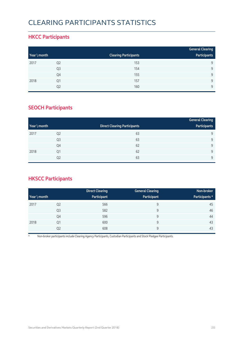## Clearing Participants Statistics

#### **HKCC Participants**

|              |                |                              | <b>General Clearing</b> |
|--------------|----------------|------------------------------|-------------------------|
| Year \ month |                | <b>Clearing Participants</b> | Participants            |
| 2017         | Q <sub>2</sub> | 153                          | q                       |
|              | Q <sub>3</sub> | 154                          | $\mathsf{Q}$            |
|              | Q4             | 155                          | Q                       |
| 2018         | Q1             | 157                          | Q                       |
|              | Q2             | 160                          | $\mathsf{Q}$            |

### **SEOCH Participants**

|              |                |                                     | <b>General Clearing</b> |
|--------------|----------------|-------------------------------------|-------------------------|
| Year \ month |                | <b>Direct Clearing Participants</b> | Participants            |
| 2017         | Q <sub>2</sub> | 63                                  | 9                       |
|              | Q <sub>3</sub> | 63                                  | 9                       |
|              | Q4             | 62                                  | 9                       |
| 2018         | Q1             | 62                                  | 9                       |
|              | Q2             | 63                                  | 9                       |

### **HKSCC Participants**

|              |                | <b>Direct Clearing</b> | <b>General Clearing</b> | Non-broker     |
|--------------|----------------|------------------------|-------------------------|----------------|
| Year \ month |                | Participant            | Participant             | Participants * |
| 2017         | Q <sub>2</sub> | 566                    | 9                       | 45             |
|              | Q3             | 582                    | 9                       | 46             |
|              | Q4             | 596                    | 9                       | 44             |
| 2018         | Q1             | 600                    | 9                       | 43             |
|              | Q <sub>2</sub> | 608                    | 9                       | 43             |

\* Non-broker participants include Clearing Agency Participants, Custodian Participants and Stock Pledgee Participants.